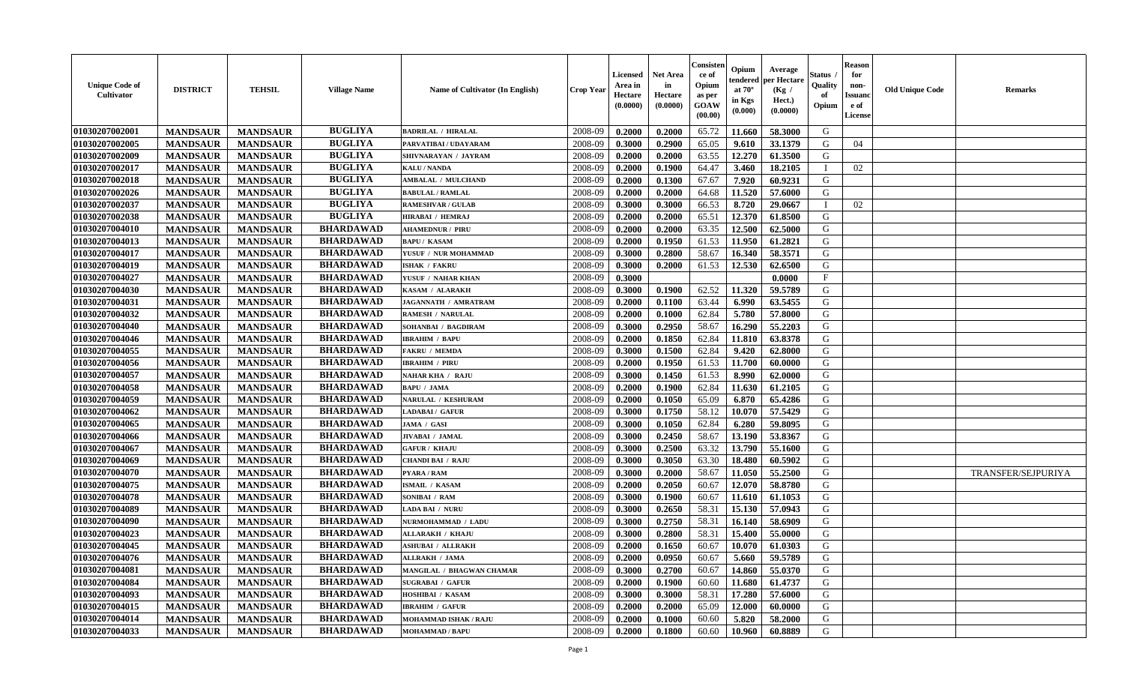| <b>Unique Code of</b><br><b>Cultivator</b> | <b>DISTRICT</b> | <b>TEHSIL</b>   | <b>Village Name</b> | Name of Cultivator (In English)  | <b>Crop Year</b> | <b>Licensed</b><br>Area in<br>Hectare<br>(0.0000) | <b>Net Area</b><br>in<br>Hectare<br>(0.0000) | Consisteı<br>ce of<br>Opium<br>as per<br>GOAW<br>(00.00) | Opium<br>endered<br>at $70^\circ$<br>in Kgs<br>(0.000) | Average<br>oer Hectare<br>(Kg /<br>Hect.)<br>(0.0000) | Status<br>Quality<br>of<br>Opium | <b>Reason</b><br>for<br>non-<br>Issuano<br>e of<br>License | <b>Old Unique Code</b> | Remarks            |
|--------------------------------------------|-----------------|-----------------|---------------------|----------------------------------|------------------|---------------------------------------------------|----------------------------------------------|----------------------------------------------------------|--------------------------------------------------------|-------------------------------------------------------|----------------------------------|------------------------------------------------------------|------------------------|--------------------|
| 01030207002001                             | <b>MANDSAUR</b> | <b>MANDSAUR</b> | <b>BUGLIYA</b>      | <b>BADRILAL / HIRALAL</b>        | 2008-09          | 0.2000                                            | 0.2000                                       | 65.72                                                    | 11.660                                                 | 58.3000                                               | G                                |                                                            |                        |                    |
| 01030207002005                             | <b>MANDSAUR</b> | <b>MANDSAUR</b> | <b>BUGLIYA</b>      | PARVATIBAI / UDAYARAM            | 2008-09          | 0.3000                                            | 0.2900                                       | 65.05                                                    | 9.610                                                  | 33.1379                                               | G                                | 04                                                         |                        |                    |
| 01030207002009                             | <b>MANDSAUR</b> | <b>MANDSAUR</b> | <b>BUGLIYA</b>      | SHIVNARAYAN / JAYRAM             | 2008-09          | 0.2000                                            | 0.2000                                       | 63.55                                                    | 12.270                                                 | 61.3500                                               | G                                |                                                            |                        |                    |
| 01030207002017                             | <b>MANDSAUR</b> | <b>MANDSAUR</b> | <b>BUGLIYA</b>      | <b>KALU / NANDA</b>              | 2008-09          | 0.2000                                            | 0.1900                                       | 64.47                                                    | 3.460                                                  | 18.2105                                               | $\mathbf{I}$                     | 02                                                         |                        |                    |
| 01030207002018                             | <b>MANDSAUR</b> | <b>MANDSAUR</b> | <b>BUGLIYA</b>      | <b>AMBALAL / MULCHAND</b>        | 2008-09          | 0.2000                                            | 0.1300                                       | 67.67                                                    | 7.920                                                  | 60.9231                                               | G                                |                                                            |                        |                    |
| 01030207002026                             | <b>MANDSAUR</b> | <b>MANDSAUR</b> | <b>BUGLIYA</b>      | <b>BABULAL / RAMLAL</b>          | 2008-09          | 0.2000                                            | 0.2000                                       | 64.68                                                    | 11.520                                                 | 57.6000                                               | G                                |                                                            |                        |                    |
| 01030207002037                             | <b>MANDSAUR</b> | <b>MANDSAUR</b> | <b>BUGLIYA</b>      | <b>RAMESHVAR / GULAB</b>         | 2008-09          | 0.3000                                            | 0.3000                                       | 66.53                                                    | 8.720                                                  | 29.0667                                               |                                  | 02                                                         |                        |                    |
| 01030207002038                             | <b>MANDSAUR</b> | <b>MANDSAUR</b> | <b>BUGLIYA</b>      | <b>HIRABAI / HEMRAJ</b>          | 2008-09          | 0.2000                                            | 0.2000                                       | 65.51                                                    | 12.370                                                 | 61.8500                                               | G                                |                                                            |                        |                    |
| 01030207004010                             | <b>MANDSAUR</b> | <b>MANDSAUR</b> | <b>BHARDAWAD</b>    | <b>AHAMEDNUR / PIRU</b>          | 2008-09          | 0.2000                                            | 0.2000                                       | 63.35                                                    | 12.500                                                 | 62.5000                                               | G                                |                                                            |                        |                    |
| 01030207004013                             | <b>MANDSAUR</b> | <b>MANDSAUR</b> | <b>BHARDAWAD</b>    | <b>BAPU/KASAM</b>                | 2008-09          | 0.2000                                            | 0.1950                                       | 61.53                                                    | 11.950                                                 | 61.2821                                               | G                                |                                                            |                        |                    |
| 01030207004017                             | <b>MANDSAUR</b> | <b>MANDSAUR</b> | <b>BHARDAWAD</b>    | YUSUF / NUR MOHAMMAD             | 2008-09          | 0.3000                                            | 0.2800                                       | 58.67                                                    | 16.340                                                 | 58.3571                                               | G                                |                                                            |                        |                    |
| 01030207004019                             | <b>MANDSAUR</b> | <b>MANDSAUR</b> | <b>BHARDAWAD</b>    | <b>ISHAK / FAKRU</b>             | 2008-09          | 0.3000                                            | 0.2000                                       | 61.53                                                    | 12.530                                                 | 62.6500                                               | G                                |                                                            |                        |                    |
| 01030207004027                             | <b>MANDSAUR</b> | <b>MANDSAUR</b> | <b>BHARDAWAD</b>    | YUSUF / NAHAR KHAN               | 2008-09          | 0.3000                                            |                                              |                                                          |                                                        | 0.0000                                                | $\mathbf{F}$                     |                                                            |                        |                    |
| 01030207004030                             | <b>MANDSAUR</b> | <b>MANDSAUR</b> | <b>BHARDAWAD</b>    | KASAM / ALARAKH                  | 2008-09          | 0.3000                                            | 0.1900                                       | 62.52                                                    | 11.320                                                 | 59.5789                                               | G                                |                                                            |                        |                    |
| 01030207004031                             | <b>MANDSAUR</b> | <b>MANDSAUR</b> | <b>BHARDAWAD</b>    | <b>JAGANNATH / AMRATRAM</b>      | 2008-09          | 0.2000                                            | 0.1100                                       | 63.44                                                    | 6.990                                                  | 63.5455                                               | $\mathbf G$                      |                                                            |                        |                    |
| 01030207004032                             | <b>MANDSAUR</b> | <b>MANDSAUR</b> | <b>BHARDAWAD</b>    | <b>RAMESH / NARULAL</b>          | 2008-09          | 0.2000                                            | 0.1000                                       | 62.84                                                    | 5.780                                                  | 57.8000                                               | G                                |                                                            |                        |                    |
| 01030207004040                             | <b>MANDSAUR</b> | <b>MANDSAUR</b> | <b>BHARDAWAD</b>    | SOHANBAI / BAGDIRAM              | 2008-09          | 0.3000                                            | 0.2950                                       | 58.67                                                    | 16.290                                                 | 55.2203                                               | G                                |                                                            |                        |                    |
| 01030207004046                             | <b>MANDSAUR</b> | <b>MANDSAUR</b> | <b>BHARDAWAD</b>    | <b>IBRAHIM / BAPU</b>            | 2008-09          | 0.2000                                            | 0.1850                                       | 62.84                                                    | 11.810                                                 | 63.8378                                               | G                                |                                                            |                        |                    |
| 01030207004055                             | <b>MANDSAUR</b> | <b>MANDSAUR</b> | <b>BHARDAWAD</b>    | <b>FAKRU / MEMDA</b>             | 2008-09          | 0.3000                                            | 0.1500                                       | 62.84                                                    | 9.420                                                  | 62.8000                                               | G                                |                                                            |                        |                    |
| 01030207004056                             | <b>MANDSAUR</b> | <b>MANDSAUR</b> | <b>BHARDAWAD</b>    | <b>IBRAHIM / PIRU</b>            | 2008-09          | 0.2000                                            | 0.1950                                       | 61.53                                                    | 11.700                                                 | 60.0000                                               | G                                |                                                            |                        |                    |
| 01030207004057                             | <b>MANDSAUR</b> | <b>MANDSAUR</b> | <b>BHARDAWAD</b>    | <b>NAHAR KHA / RAJU</b>          | 2008-09          | 0.3000                                            | 0.1450                                       | 61.53                                                    | 8.990                                                  | 62.0000                                               | G                                |                                                            |                        |                    |
| 01030207004058                             | <b>MANDSAUR</b> | <b>MANDSAUR</b> | <b>BHARDAWAD</b>    | <b>BAPU / JAMA</b>               | 2008-09          | 0.2000                                            | 0.1900                                       | 62.84                                                    | 11.630                                                 | 61.2105                                               | G                                |                                                            |                        |                    |
| 01030207004059                             | <b>MANDSAUR</b> | <b>MANDSAUR</b> | <b>BHARDAWAD</b>    | <b>NARULAL / KESHURAM</b>        | 2008-09          | 0.2000                                            | 0.1050                                       | 65.09                                                    | 6.870                                                  | 65.4286                                               | G                                |                                                            |                        |                    |
| 01030207004062                             | <b>MANDSAUR</b> | <b>MANDSAUR</b> | <b>BHARDAWAD</b>    | <b>ADABAI/ GAFUR</b>             | 2008-09          | 0.3000                                            | 0.1750                                       | 58.12                                                    | 10.070                                                 | 57.5429                                               | G                                |                                                            |                        |                    |
| 01030207004065                             | <b>MANDSAUR</b> | <b>MANDSAUR</b> | <b>BHARDAWAD</b>    | JAMA / GASI                      | 2008-09          | 0.3000                                            | 0.1050                                       | 62.84                                                    | 6.280                                                  | 59.8095                                               | G                                |                                                            |                        |                    |
| 01030207004066                             | <b>MANDSAUR</b> | <b>MANDSAUR</b> | <b>BHARDAWAD</b>    | JIVABAI / JAMAL                  | 2008-09          | 0.3000                                            | 0.2450                                       | 58.67                                                    | 13.190                                                 | 53.8367                                               | G                                |                                                            |                        |                    |
| 01030207004067                             | <b>MANDSAUR</b> | <b>MANDSAUR</b> | <b>BHARDAWAD</b>    | <b>GAFUR / KHAJU</b>             | 2008-09          | 0.3000                                            | 0.2500                                       | 63.32                                                    | 13.790                                                 | 55.1600                                               | G                                |                                                            |                        |                    |
| 01030207004069                             | <b>MANDSAUR</b> | <b>MANDSAUR</b> | <b>BHARDAWAD</b>    | <b>CHANDI BAI / RAJU</b>         | 2008-09          | 0.3000                                            | 0.3050                                       | 63.30                                                    | 18.480                                                 | 60.5902                                               | G                                |                                                            |                        |                    |
| 01030207004070                             | <b>MANDSAUR</b> | <b>MANDSAUR</b> | <b>BHARDAWAD</b>    | <b>PYARA / RAM</b>               | 2008-09          | 0.3000                                            | 0.2000                                       | 58.67                                                    | 11.050                                                 | 55.2500                                               | G                                |                                                            |                        | TRANSFER/SEJPURIYA |
| 01030207004075                             | <b>MANDSAUR</b> | <b>MANDSAUR</b> | <b>BHARDAWAD</b>    | ISMAIL / KASAM                   | 2008-09          | 0.2000                                            | 0.2050                                       | 60.67                                                    | 12.070                                                 | 58.8780                                               | G                                |                                                            |                        |                    |
| 01030207004078                             | <b>MANDSAUR</b> | <b>MANDSAUR</b> | <b>BHARDAWAD</b>    | SONIBAI / RAM                    | 2008-09          | 0.3000                                            | 0.1900                                       | 60.67                                                    | 11.610                                                 | 61.1053                                               | G                                |                                                            |                        |                    |
| 01030207004089                             | <b>MANDSAUR</b> | <b>MANDSAUR</b> | <b>BHARDAWAD</b>    | LADA BAI / NURU                  | 2008-09          | 0.3000                                            | 0.2650                                       | 58.31                                                    | 15.130                                                 | 57.0943                                               | G                                |                                                            |                        |                    |
| 01030207004090                             | <b>MANDSAUR</b> | <b>MANDSAUR</b> | <b>BHARDAWAD</b>    | NURMOHAMMAD / LADU               | 2008-09          | 0.3000                                            | 0.2750                                       | 58.31                                                    | 16.140                                                 | 58.6909                                               | G                                |                                                            |                        |                    |
| 01030207004023                             | <b>MANDSAUR</b> | <b>MANDSAUR</b> | <b>BHARDAWAD</b>    | <b>ALLARAKH / KHAJU</b>          | 2008-09          | 0.3000                                            | 0.2800                                       | 58.31                                                    | 15.400                                                 | 55.0000                                               | G                                |                                                            |                        |                    |
| 01030207004045                             | <b>MANDSAUR</b> | <b>MANDSAUR</b> | <b>BHARDAWAD</b>    | <b>ASHUBAI / ALLRAKH</b>         | 2008-09          | 0.2000                                            | 0.1650                                       | 60.67                                                    | 10.070                                                 | 61.0303                                               | G                                |                                                            |                        |                    |
| 01030207004076                             | <b>MANDSAUR</b> | <b>MANDSAUR</b> | <b>BHARDAWAD</b>    | <b>ALLRAKH / JAMA</b>            | 2008-09          | 0.2000                                            | 0.0950                                       | 60.67                                                    | 5.660                                                  | 59.5789                                               | G                                |                                                            |                        |                    |
| 01030207004081                             | <b>MANDSAUR</b> | <b>MANDSAUR</b> | <b>BHARDAWAD</b>    | <b>MANGILAL / BHAGWAN CHAMAR</b> | 2008-09          | 0.3000                                            | 0.2700                                       | 60.67                                                    | 14.860                                                 | 55.0370                                               | G                                |                                                            |                        |                    |
| 01030207004084                             | <b>MANDSAUR</b> | <b>MANDSAUR</b> | <b>BHARDAWAD</b>    | <b>SUGRABAI / GAFUR</b>          | 2008-09          | 0.2000                                            | 0.1900                                       | 60.60                                                    | 11.680                                                 | 61.4737                                               | G                                |                                                            |                        |                    |
| 01030207004093                             | <b>MANDSAUR</b> | <b>MANDSAUR</b> | <b>BHARDAWAD</b>    | HOSHIBAI / KASAM                 | 2008-09          | 0.3000                                            | 0.3000                                       | 58.31                                                    | 17.280                                                 | 57.6000                                               | G                                |                                                            |                        |                    |
| 01030207004015                             | <b>MANDSAUR</b> | <b>MANDSAUR</b> | <b>BHARDAWAD</b>    | <b>IBRAHIM / GAFUR</b>           | 2008-09          | 0.2000                                            | 0.2000                                       | 65.09                                                    | 12.000                                                 | 60.0000                                               | ${\bf G}$                        |                                                            |                        |                    |
| 01030207004014                             | <b>MANDSAUR</b> | <b>MANDSAUR</b> | <b>BHARDAWAD</b>    | MOHAMMAD ISHAK / RAJU            | 2008-09          | 0.2000                                            | 0.1000                                       | 60.60                                                    | 5.820                                                  | 58.2000                                               | G                                |                                                            |                        |                    |
| 01030207004033                             | <b>MANDSAUR</b> | <b>MANDSAUR</b> | <b>BHARDAWAD</b>    | <b>MOHAMMAD / BAPU</b>           | 2008-09          | 0.2000                                            | 0.1800                                       | 60.60                                                    | 10.960                                                 | 60.8889                                               | G                                |                                                            |                        |                    |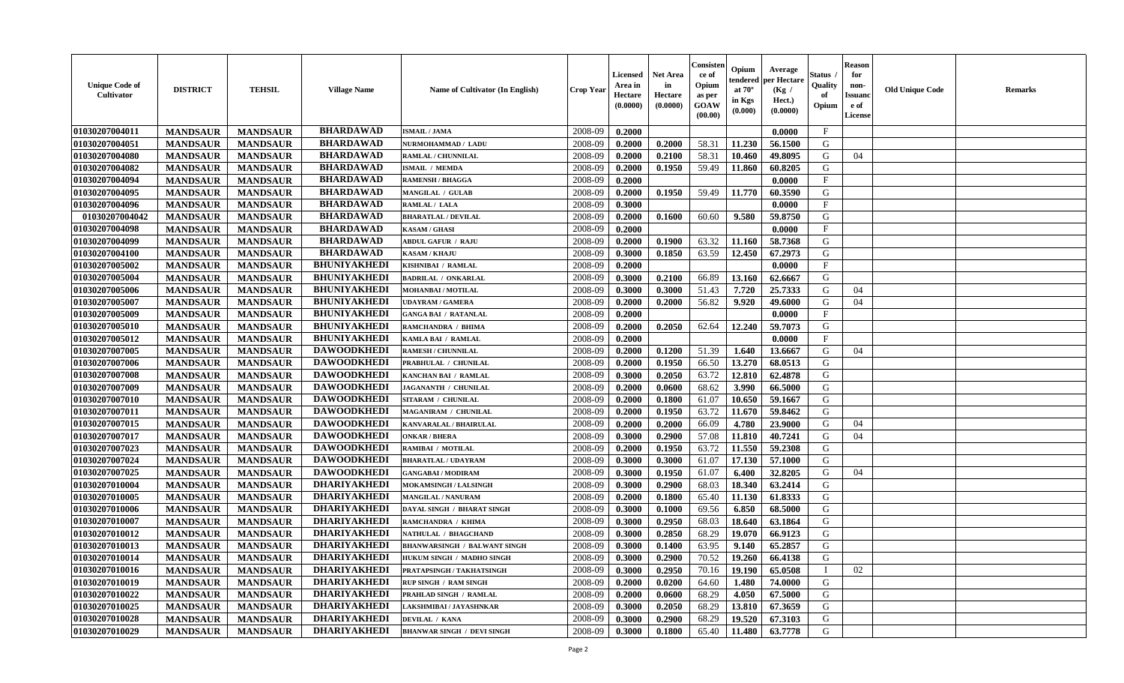| <b>Unique Code of</b><br>Cultivator | <b>DISTRICT</b> | <b>TEHSIL</b>   | <b>Village Name</b> | <b>Name of Cultivator (In English)</b> | <b>Crop Year</b> | Licensed<br>Area in<br>Hectare<br>(0.0000) | <b>Net Area</b><br>in<br>Hectare<br>(0.0000) | Consister<br>ce of<br>Opium<br>as per<br>GOAW<br>(00.00) | Opium<br>endered<br>at $70^\circ$<br>in Kgs<br>(0.000) | Average<br>per Hectare<br>(Kg /<br>Hect.)<br>(0.0000) | Status<br>Quality<br>of<br>Opium | <b>Reason</b><br>for<br>non-<br><b>Issuanc</b><br>e of<br>License | <b>Old Unique Code</b> | Remarks |
|-------------------------------------|-----------------|-----------------|---------------------|----------------------------------------|------------------|--------------------------------------------|----------------------------------------------|----------------------------------------------------------|--------------------------------------------------------|-------------------------------------------------------|----------------------------------|-------------------------------------------------------------------|------------------------|---------|
| 01030207004011                      | <b>MANDSAUR</b> | <b>MANDSAUR</b> | <b>BHARDAWAD</b>    | <b>ISMAIL / JAMA</b>                   | 2008-09          | 0.2000                                     |                                              |                                                          |                                                        | 0.0000                                                | $\mathbf{F}$                     |                                                                   |                        |         |
| 01030207004051                      | <b>MANDSAUR</b> | <b>MANDSAUR</b> | <b>BHARDAWAD</b>    | NURMOHAMMAD / LADU                     | 2008-09          | 0.2000                                     | 0.2000                                       | 58.31                                                    | 11.230                                                 | 56.1500                                               | G                                |                                                                   |                        |         |
| 01030207004080                      | <b>MANDSAUR</b> | <b>MANDSAUR</b> | <b>BHARDAWAD</b>    | RAMLAL / CHUNNILAL                     | 2008-09          | 0.2000                                     | 0.2100                                       | 58.31                                                    | 10.460                                                 | 49.8095                                               | G                                | 04                                                                |                        |         |
| 01030207004082                      | <b>MANDSAUR</b> | <b>MANDSAUR</b> | <b>BHARDAWAD</b>    | <b>ISMAIL / MEMDA</b>                  | 2008-09          | 0.2000                                     | 0.1950                                       | 59.49                                                    | 11.860                                                 | 60.8205                                               | G                                |                                                                   |                        |         |
| 01030207004094                      | <b>MANDSAUR</b> | <b>MANDSAUR</b> | <b>BHARDAWAD</b>    | <b>RAMENSH / BHAGGA</b>                | 2008-09          | 0.2000                                     |                                              |                                                          |                                                        | 0.0000                                                | $\mathbf{F}$                     |                                                                   |                        |         |
| 01030207004095                      | <b>MANDSAUR</b> | <b>MANDSAUR</b> | <b>BHARDAWAD</b>    | <b>MANGILAL / GULAB</b>                | 2008-09          | 0.2000                                     | 0.1950                                       | 59.49                                                    | 11.770                                                 | 60.3590                                               | G                                |                                                                   |                        |         |
| 01030207004096                      | <b>MANDSAUR</b> | <b>MANDSAUR</b> | <b>BHARDAWAD</b>    | RAMLAL / LALA                          | 2008-09          | 0.3000                                     |                                              |                                                          |                                                        | 0.0000                                                | $\mathbf F$                      |                                                                   |                        |         |
| 01030207004042                      | <b>MANDSAUR</b> | <b>MANDSAUR</b> | <b>BHARDAWAD</b>    | <b>BHARATLAL / DEVILAL</b>             | 2008-09          | 0.2000                                     | 0.1600                                       | 60.60                                                    | 9.580                                                  | 59.8750                                               | G                                |                                                                   |                        |         |
| <b>01030207004098</b>               | <b>MANDSAUR</b> | <b>MANDSAUR</b> | <b>BHARDAWAD</b>    | <b>KASAM / GHASI</b>                   | 2008-09          | 0.2000                                     |                                              |                                                          |                                                        | 0.0000                                                | $\mathbf{F}$                     |                                                                   |                        |         |
| 01030207004099                      | <b>MANDSAUR</b> | <b>MANDSAUR</b> | <b>BHARDAWAD</b>    | <b>ABDUL GAFUR / RAJU</b>              | 2008-09          | 0.2000                                     | 0.1900                                       | 63.32                                                    | 11.160                                                 | 58.7368                                               | G                                |                                                                   |                        |         |
| 01030207004100                      | <b>MANDSAUR</b> | <b>MANDSAUR</b> | <b>BHARDAWAD</b>    | <b>KASAM / KHAJU</b>                   | 2008-09          | 0.3000                                     | 0.1850                                       | 63.59                                                    | 12.450                                                 | 67.2973                                               | G                                |                                                                   |                        |         |
| 01030207005002                      | <b>MANDSAUR</b> | <b>MANDSAUR</b> | <b>BHUNIYAKHEDI</b> | KISHNIBAI / RAMLAL                     | 2008-09          | 0.2000                                     |                                              |                                                          |                                                        | 0.0000                                                | $\mathbf F$                      |                                                                   |                        |         |
| 01030207005004                      | <b>MANDSAUR</b> | <b>MANDSAUR</b> | <b>BHUNIYAKHEDI</b> | <b>BADRILAL / ONKARLAL</b>             | 2008-09          | 0.3000                                     | 0.2100                                       | 66.89                                                    | 13.160                                                 | 62.6667                                               | G                                |                                                                   |                        |         |
| 01030207005006                      | <b>MANDSAUR</b> | <b>MANDSAUR</b> | <b>BHUNIYAKHEDI</b> | MOHANBAI / MOTILAL                     | 2008-09          | 0.3000                                     | 0.3000                                       | 51.43                                                    | 7.720                                                  | 25.7333                                               | G                                | 04                                                                |                        |         |
| 01030207005007                      | <b>MANDSAUR</b> | <b>MANDSAUR</b> | <b>BHUNIYAKHEDI</b> | <b>JDAYRAM / GAMERA</b>                | 2008-09          | 0.2000                                     | 0.2000                                       | 56.82                                                    | 9.920                                                  | 49.6000                                               | G                                | 04                                                                |                        |         |
| 01030207005009                      | <b>MANDSAUR</b> | <b>MANDSAUR</b> | <b>BHUNIYAKHEDI</b> | <b>GANGA BAI / RATANLAL</b>            | 2008-09          | 0.2000                                     |                                              |                                                          |                                                        | 0.0000                                                | $\mathbf F$                      |                                                                   |                        |         |
| 01030207005010                      | <b>MANDSAUR</b> | <b>MANDSAUR</b> | <b>BHUNIYAKHEDI</b> | RAMCHANDRA / BHIMA                     | 2008-09          | 0.2000                                     | 0.2050                                       | 62.64                                                    | 12.240                                                 | 59.7073                                               | G                                |                                                                   |                        |         |
| 01030207005012                      | <b>MANDSAUR</b> | <b>MANDSAUR</b> | <b>BHUNIYAKHEDI</b> | KAMLA BAI / RAMLAL                     | 2008-09          | 0.2000                                     |                                              |                                                          |                                                        | 0.0000                                                | $\mathbf F$                      |                                                                   |                        |         |
| 01030207007005                      | <b>MANDSAUR</b> | <b>MANDSAUR</b> | <b>DAWOODKHEDI</b>  | <b>RAMESH / CHUNNILAL</b>              | 2008-09          | 0.2000                                     | 0.1200                                       | 51.39                                                    | 1.640                                                  | 13.6667                                               | G                                | 04                                                                |                        |         |
| 01030207007006                      | <b>MANDSAUR</b> | <b>MANDSAUR</b> | <b>DAWOODKHEDI</b>  | PRABHULAL / CHUNILAL                   | 2008-09          | 0.2000                                     | 0.1950                                       | 66.50                                                    | 13.270                                                 | 68.0513                                               | G                                |                                                                   |                        |         |
| 01030207007008                      | <b>MANDSAUR</b> | <b>MANDSAUR</b> | <b>DAWOODKHEDI</b>  | <b>KANCHAN BAI / RAMLAL</b>            | 2008-09          | 0.3000                                     | 0.2050                                       | 63.72                                                    | 12.810                                                 | 62.4878                                               | G                                |                                                                   |                        |         |
| 01030207007009                      | <b>MANDSAUR</b> | <b>MANDSAUR</b> | <b>DAWOODKHEDI</b>  | JAGANANTH / CHUNILAL                   | 2008-09          | 0.2000                                     | 0.0600                                       | 68.62                                                    | 3.990                                                  | 66.5000                                               | G                                |                                                                   |                        |         |
| 01030207007010                      | <b>MANDSAUR</b> | <b>MANDSAUR</b> | <b>DAWOODKHEDI</b>  | SITARAM / CHUNILAL                     | 2008-09          | 0.2000                                     | 0.1800                                       | 61.07                                                    | 10.650                                                 | 59.1667                                               | G                                |                                                                   |                        |         |
| 01030207007011                      | <b>MANDSAUR</b> | <b>MANDSAUR</b> | <b>DAWOODKHEDI</b>  | MAGANIRAM / CHUNILAL                   | 2008-09          | 0.2000                                     | 0.1950                                       | 63.72                                                    | 11.670                                                 | 59.8462                                               | G                                |                                                                   |                        |         |
| 01030207007015                      | <b>MANDSAUR</b> | <b>MANDSAUR</b> | <b>DAWOODKHEDI</b>  | KANVARALAL / BHAIRULAL                 | 2008-09          | 0.2000                                     | 0.2000                                       | 66.09                                                    | 4.780                                                  | 23.9000                                               | G                                | 04                                                                |                        |         |
| 01030207007017                      | <b>MANDSAUR</b> | <b>MANDSAUR</b> | <b>DAWOODKHEDI</b>  | <b>ONKAR / BHERA</b>                   | 2008-09          | 0.3000                                     | 0.2900                                       | 57.08                                                    | 11.810                                                 | 40.7241                                               | G                                | 04                                                                |                        |         |
| 01030207007023                      | <b>MANDSAUR</b> | <b>MANDSAUR</b> | <b>DAWOODKHEDI</b>  | RAMIBAI / MOTILAL                      | 2008-09          | 0.2000                                     | 0.1950                                       | 63.72                                                    | 11.550                                                 | 59.2308                                               | G                                |                                                                   |                        |         |
| 01030207007024                      | <b>MANDSAUR</b> | <b>MANDSAUR</b> | <b>DAWOODKHEDI</b>  | <b>BHARATLAL / UDAYRAM</b>             | 2008-09          | 0.3000                                     | 0.3000                                       | 61.07                                                    | 17.130                                                 | 57.1000                                               | G                                |                                                                   |                        |         |
| 01030207007025                      | <b>MANDSAUR</b> | <b>MANDSAUR</b> | <b>DAWOODKHEDI</b>  | <b>GANGABAI/MODIRAM</b>                | 2008-09          | 0.3000                                     | 0.1950                                       | 61.07                                                    | 6.400                                                  | 32.8205                                               | G                                | 04                                                                |                        |         |
| 01030207010004                      | <b>MANDSAUR</b> | <b>MANDSAUR</b> | <b>DHARIYAKHEDI</b> | <b>MOKAMSINGH / LALSINGH</b>           | 2008-09          | 0.3000                                     | 0.2900                                       | 68.03                                                    | 18.340                                                 | 63.2414                                               | G                                |                                                                   |                        |         |
| 01030207010005                      | <b>MANDSAUR</b> | <b>MANDSAUR</b> | <b>DHARIYAKHEDI</b> | <b>MANGILAL / NANURAM</b>              | 2008-09          | 0.2000                                     | 0.1800                                       | 65.40                                                    | 11.130                                                 | 61.8333                                               | G                                |                                                                   |                        |         |
| 01030207010006                      | <b>MANDSAUR</b> | <b>MANDSAUR</b> | <b>DHARIYAKHEDI</b> | DAYAL SINGH / BHARAT SINGH             | 2008-09          | 0.3000                                     | 0.1000                                       | 69.56                                                    | 6.850                                                  | 68.5000                                               | G                                |                                                                   |                        |         |
| 01030207010007                      | <b>MANDSAUR</b> | <b>MANDSAUR</b> | <b>DHARIYAKHEDI</b> | RAMCHANDRA / KHIMA                     | 2008-09          | 0.3000                                     | 0.2950                                       | 68.03                                                    | 18.640                                                 | 63.1864                                               | G                                |                                                                   |                        |         |
| 01030207010012                      | <b>MANDSAUR</b> | <b>MANDSAUR</b> | <b>DHARIYAKHEDI</b> | NATHULAL / BHAGCHAND                   | 2008-09          | 0.3000                                     | 0.2850                                       | 68.29                                                    | 19.070                                                 | 66.9123                                               | G                                |                                                                   |                        |         |
| 01030207010013                      | <b>MANDSAUR</b> | <b>MANDSAUR</b> | <b>DHARIYAKHEDI</b> | <b>BHANWARSINGH / BALWANT SINGH</b>    | 2008-09          | 0.3000                                     | 0.1400                                       | 63.95                                                    | 9.140                                                  | 65.2857                                               | G                                |                                                                   |                        |         |
| 01030207010014                      | <b>MANDSAUR</b> | <b>MANDSAUR</b> | <b>DHARIYAKHEDI</b> | HUKUM SINGH / MADHO SINGH              | 2008-09          | 0.3000                                     | 0.2900                                       | 70.52                                                    | 19.260                                                 | 66.4138                                               | G                                |                                                                   |                        |         |
| 01030207010016                      | <b>MANDSAUR</b> | <b>MANDSAUR</b> | <b>DHARIYAKHEDI</b> | PRATAPSINGH / TAKHATSINGH              | 2008-09          | 0.3000                                     | 0.2950                                       | 70.16                                                    | 19.190                                                 | 65.0508                                               | $\mathbf{I}$                     | 02                                                                |                        |         |
| 01030207010019                      | <b>MANDSAUR</b> | <b>MANDSAUR</b> | <b>DHARIYAKHEDI</b> | <b>RUP SINGH / RAM SINGH</b>           | 2008-09          | 0.2000                                     | 0.0200                                       | 64.60                                                    | 1.480                                                  | 74.0000                                               | G                                |                                                                   |                        |         |
| 01030207010022                      | <b>MANDSAUR</b> | <b>MANDSAUR</b> | <b>DHARIYAKHEDI</b> | PRAHLAD SINGH / RAMLAL                 | 2008-09          | 0.2000                                     | 0.0600                                       | 68.29                                                    | 4.050                                                  | 67.5000                                               | G                                |                                                                   |                        |         |
| 01030207010025                      | <b>MANDSAUR</b> | <b>MANDSAUR</b> | <b>DHARIYAKHEDI</b> | AKSHMIBAI / JAYASHNKAR                 | 2008-09          | 0.3000                                     | 0.2050                                       | 68.29                                                    | 13.810                                                 | 67.3659                                               | ${\bf G}$                        |                                                                   |                        |         |
| 01030207010028                      | <b>MANDSAUR</b> | <b>MANDSAUR</b> | <b>DHARIYAKHEDI</b> | <b>DEVILAL / KANA</b>                  | 2008-09          | 0.3000                                     | 0.2900                                       | 68.29                                                    | 19.520                                                 | 67.3103                                               | G                                |                                                                   |                        |         |
| 01030207010029                      | <b>MANDSAUR</b> | <b>MANDSAUR</b> | <b>DHARIYAKHEDI</b> | <b>BHANWAR SINGH / DEVI SINGH</b>      | 2008-09          | 0.3000                                     | 0.1800                                       | 65.40                                                    | 11.480                                                 | 63.7778                                               | G                                |                                                                   |                        |         |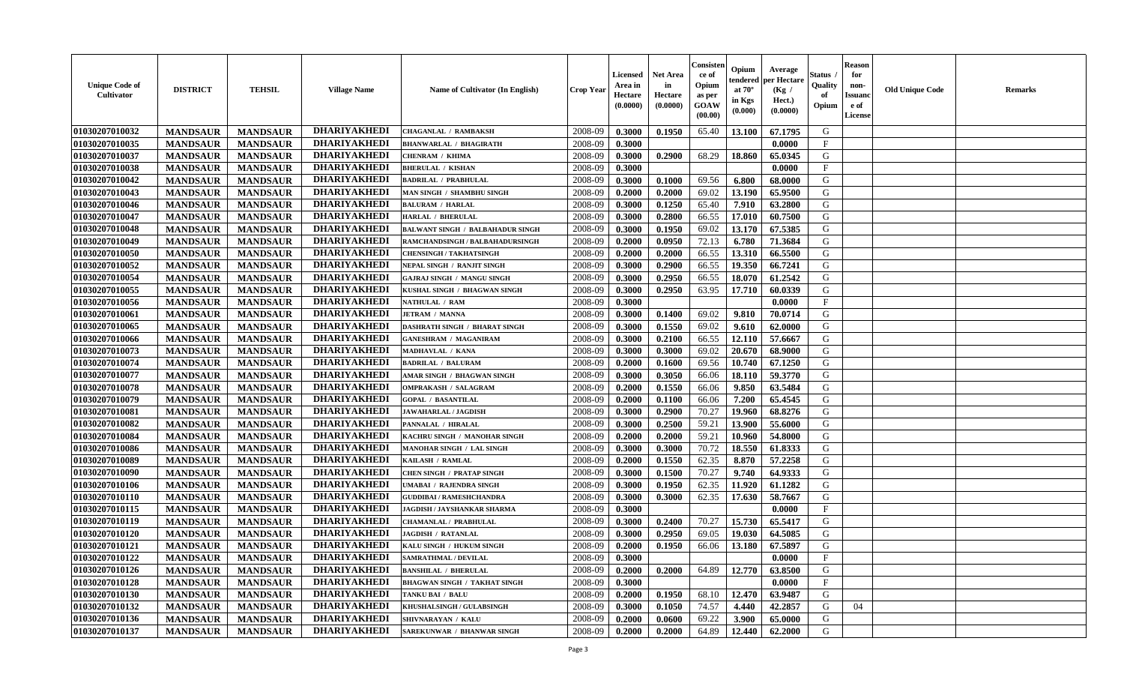| <b>Unique Code of</b><br><b>Cultivator</b> | <b>DISTRICT</b> | <b>TEHSIL</b>   | <b>Village Name</b> | <b>Name of Cultivator (In English)</b>  | <b>Crop Year</b> | Licensed<br>Area in<br>Hectare<br>(0.0000) | <b>Net Area</b><br>in<br>Hectare<br>(0.0000) | Consisteı<br>ce of<br>Opium<br>as per<br>GOAW<br>(00.00) | Opium<br>endered<br>at $70^\circ$<br>in Kgs<br>(0.000) | Average<br>per Hectare<br>(Kg /<br>Hect.)<br>(0.0000) | Status<br>Quality<br>of<br>Opium | <b>Reason</b><br>for<br>non-<br><b>Issuand</b><br>e of<br>License | <b>Old Unique Code</b> | Remarks |
|--------------------------------------------|-----------------|-----------------|---------------------|-----------------------------------------|------------------|--------------------------------------------|----------------------------------------------|----------------------------------------------------------|--------------------------------------------------------|-------------------------------------------------------|----------------------------------|-------------------------------------------------------------------|------------------------|---------|
| 01030207010032                             | <b>MANDSAUR</b> | <b>MANDSAUR</b> | <b>DHARIYAKHEDI</b> | <b>CHAGANLAL / RAMBAKSH</b>             | 2008-09          | 0.3000                                     | 0.1950                                       | 65.40                                                    | 13.100                                                 | 67.1795                                               | G                                |                                                                   |                        |         |
| 01030207010035                             | <b>MANDSAUR</b> | <b>MANDSAUR</b> | <b>DHARIYAKHEDI</b> | <b>BHANWARLAL / BHAGIRATH</b>           | 2008-09          | 0.3000                                     |                                              |                                                          |                                                        | 0.0000                                                | $\mathbf{F}$                     |                                                                   |                        |         |
| 01030207010037                             | <b>MANDSAUR</b> | <b>MANDSAUR</b> | <b>DHARIYAKHEDI</b> | <b>CHENRAM / KHIMA</b>                  | 2008-09          | 0.3000                                     | 0.2900                                       | 68.29                                                    | 18.860                                                 | 65.0345                                               | G                                |                                                                   |                        |         |
| 01030207010038                             | <b>MANDSAUR</b> | <b>MANDSAUR</b> | <b>DHARIYAKHEDI</b> | <b>BHERULAL / KISHAN</b>                | 2008-09          | 0.3000                                     |                                              |                                                          |                                                        | 0.0000                                                | $\mathbf{F}$                     |                                                                   |                        |         |
| 01030207010042                             | <b>MANDSAUR</b> | <b>MANDSAUR</b> | <b>DHARIYAKHEDI</b> | <b>BADRILAL / PRABHULAL</b>             | 2008-09          | 0.3000                                     | 0.1000                                       | 69.56                                                    | 6.800                                                  | 68.0000                                               | G                                |                                                                   |                        |         |
| 01030207010043                             | <b>MANDSAUR</b> | <b>MANDSAUR</b> | <b>DHARIYAKHEDI</b> | MAN SINGH / SHAMBHU SINGH               | 2008-09          | 0.2000                                     | 0.2000                                       | 69.02                                                    | 13.190                                                 | 65.9500                                               | G                                |                                                                   |                        |         |
| 01030207010046                             | <b>MANDSAUR</b> | <b>MANDSAUR</b> | <b>DHARIYAKHEDI</b> | <b>BALURAM / HARLAL</b>                 | 2008-09          | 0.3000                                     | 0.1250                                       | 65.40                                                    | 7.910                                                  | 63.2800                                               | G                                |                                                                   |                        |         |
| 01030207010047                             | <b>MANDSAUR</b> | <b>MANDSAUR</b> | <b>DHARIYAKHEDI</b> | <b>HARLAL / BHERULAL</b>                | 2008-09          | 0.3000                                     | 0.2800                                       | 66.55                                                    | 17.010                                                 | 60.7500                                               | G                                |                                                                   |                        |         |
| 01030207010048                             | <b>MANDSAUR</b> | <b>MANDSAUR</b> | <b>DHARIYAKHEDI</b> | <b>BALWANT SINGH / BALBAHADUR SINGH</b> | 2008-09          | 0.3000                                     | 0.1950                                       | 69.02                                                    | 13.170                                                 | 67.5385                                               | G                                |                                                                   |                        |         |
| 01030207010049                             | <b>MANDSAUR</b> | <b>MANDSAUR</b> | <b>DHARIYAKHEDI</b> | RAMCHANDSINGH / BALBAHADURSINGH         | 2008-09          | 0.2000                                     | 0.0950                                       | 72.13                                                    | 6.780                                                  | 71.3684                                               | G                                |                                                                   |                        |         |
| 01030207010050                             | <b>MANDSAUR</b> | <b>MANDSAUR</b> | <b>DHARIYAKHEDI</b> | <b>CHENSINGH / TAKHATSINGH</b>          | 2008-09          | 0.2000                                     | 0.2000                                       | 66.55                                                    | 13.310                                                 | 66.5500                                               | G                                |                                                                   |                        |         |
| 01030207010052                             | <b>MANDSAUR</b> | <b>MANDSAUR</b> | <b>DHARIYAKHEDI</b> | NEPAL SINGH / RANJIT SINGH              | 2008-09          | 0.3000                                     | 0.2900                                       | 66.55                                                    | 19.350                                                 | 66.7241                                               | G                                |                                                                   |                        |         |
| 01030207010054                             | <b>MANDSAUR</b> | <b>MANDSAUR</b> | <b>DHARIYAKHEDI</b> | <b>GAJRAJ SINGH / MANGU SINGH</b>       | 2008-09          | 0.3000                                     | 0.2950                                       | 66.55                                                    | 18.070                                                 | 61.2542                                               | G                                |                                                                   |                        |         |
| 01030207010055                             | <b>MANDSAUR</b> | <b>MANDSAUR</b> | <b>DHARIYAKHEDI</b> | KUSHAL SINGH / BHAGWAN SINGH            | 2008-09          | 0.3000                                     | 0.2950                                       | 63.95                                                    | 17.710                                                 | 60.0339                                               | G                                |                                                                   |                        |         |
| 01030207010056                             | <b>MANDSAUR</b> | <b>MANDSAUR</b> | <b>DHARIYAKHEDI</b> | <b>NATHULAL / RAM</b>                   | 2008-09          | 0.3000                                     |                                              |                                                          |                                                        | 0.0000                                                | F                                |                                                                   |                        |         |
| 01030207010061                             | <b>MANDSAUR</b> | <b>MANDSAUR</b> | <b>DHARIYAKHEDI</b> | <b>JETRAM / MANNA</b>                   | 2008-09          | 0.3000                                     | 0.1400                                       | 69.02                                                    | 9.810                                                  | 70.0714                                               | G                                |                                                                   |                        |         |
| 01030207010065                             | <b>MANDSAUR</b> | <b>MANDSAUR</b> | <b>DHARIYAKHEDI</b> | DASHRATH SINGH / BHARAT SINGH           | 2008-09          | 0.3000                                     | 0.1550                                       | 69.02                                                    | 9.610                                                  | 62.0000                                               | G                                |                                                                   |                        |         |
| 01030207010066                             | <b>MANDSAUR</b> | <b>MANDSAUR</b> | <b>DHARIYAKHEDI</b> | <b>GANESHRAM / MAGANIRAM</b>            | 2008-09          | 0.3000                                     | 0.2100                                       | 66.55                                                    | 12.110                                                 | 57.6667                                               | G                                |                                                                   |                        |         |
| 01030207010073                             | <b>MANDSAUR</b> | <b>MANDSAUR</b> | <b>DHARIYAKHEDI</b> | MADHAVLAL / KANA                        | 2008-09          | 0.3000                                     | 0.3000                                       | 69.02                                                    | 20.670                                                 | 68.9000                                               | G                                |                                                                   |                        |         |
| 01030207010074                             | <b>MANDSAUR</b> | <b>MANDSAUR</b> | <b>DHARIYAKHEDI</b> | <b>BADRILAL / BALURAM</b>               | 2008-09          | 0.2000                                     | 0.1600                                       | 69.56                                                    | 10.740                                                 | 67.1250                                               | G                                |                                                                   |                        |         |
| 01030207010077                             | <b>MANDSAUR</b> | <b>MANDSAUR</b> | <b>DHARIYAKHEDI</b> | AMAR SINGH / BHAGWAN SINGH              | 2008-09          | 0.3000                                     | 0.3050                                       | 66.06                                                    | 18.110                                                 | 59.3770                                               | G                                |                                                                   |                        |         |
| 01030207010078                             | <b>MANDSAUR</b> | <b>MANDSAUR</b> | <b>DHARIYAKHEDI</b> | <b>OMPRAKASH / SALAGRAM</b>             | 2008-09          | 0.2000                                     | 0.1550                                       | 66.06                                                    | 9.850                                                  | 63.5484                                               | G                                |                                                                   |                        |         |
| 01030207010079                             | <b>MANDSAUR</b> | <b>MANDSAUR</b> | <b>DHARIYAKHEDI</b> | <b>GOPAL / BASANTILAL</b>               | 2008-09          | 0.2000                                     | 0.1100                                       | 66.06                                                    | 7.200                                                  | 65.4545                                               | G                                |                                                                   |                        |         |
| 01030207010081                             | <b>MANDSAUR</b> | <b>MANDSAUR</b> | <b>DHARIYAKHEDI</b> | JAWAHARLAL / JAGDISH                    | 2008-09          | 0.3000                                     | 0.2900                                       | 70.27                                                    | 19.960                                                 | 68.8276                                               | G                                |                                                                   |                        |         |
| 01030207010082                             | <b>MANDSAUR</b> | <b>MANDSAUR</b> | <b>DHARIYAKHEDI</b> | PANNALAL / HIRALAL                      | 2008-09          | 0.3000                                     | 0.2500                                       | 59.21                                                    | 13.900                                                 | 55.6000                                               | G                                |                                                                   |                        |         |
| 01030207010084                             | <b>MANDSAUR</b> | <b>MANDSAUR</b> | <b>DHARIYAKHEDI</b> | KACHRU SINGH / MANOHAR SINGH            | 2008-09          | 0.2000                                     | 0.2000                                       | 59.21                                                    | 10.960                                                 | 54.8000                                               | G                                |                                                                   |                        |         |
| 01030207010086                             | <b>MANDSAUR</b> | <b>MANDSAUR</b> | <b>DHARIYAKHEDI</b> | MANOHAR SINGH / LAL SINGH               | 2008-09          | 0.3000                                     | 0.3000                                       | 70.72                                                    | 18.550                                                 | 61.8333                                               | G                                |                                                                   |                        |         |
| 01030207010089                             | <b>MANDSAUR</b> | <b>MANDSAUR</b> | <b>DHARIYAKHEDI</b> | KAILASH / RAMLAL                        | 2008-09          | 0.2000                                     | 0.1550                                       | 62.35                                                    | 8.870                                                  | 57.2258                                               | G                                |                                                                   |                        |         |
| 01030207010090                             | <b>MANDSAUR</b> | <b>MANDSAUR</b> | <b>DHARIYAKHEDI</b> | <b>CHEN SINGH / PRATAP SINGH</b>        | 2008-09          | 0.3000                                     | 0.1500                                       | 70.27                                                    | 9.740                                                  | 64.9333                                               | G                                |                                                                   |                        |         |
| 01030207010106                             | <b>MANDSAUR</b> | <b>MANDSAUR</b> | <b>DHARIYAKHEDI</b> | UMABAI / RAJENDRA SINGH                 | 2008-09          | 0.3000                                     | 0.1950                                       | 62.35                                                    | 11.920                                                 | 61.1282                                               | G                                |                                                                   |                        |         |
| 01030207010110                             | <b>MANDSAUR</b> | <b>MANDSAUR</b> | <b>DHARIYAKHEDI</b> | <b>GUDDIBAI/RAMESHCHANDRA</b>           | 2008-09          | 0.3000                                     | 0.3000                                       | 62.35                                                    | 17.630                                                 | 58.7667                                               | G                                |                                                                   |                        |         |
| 01030207010115                             | <b>MANDSAUR</b> | <b>MANDSAUR</b> | <b>DHARIYAKHEDI</b> | JAGDISH / JAYSHANKAR SHARMA             | 2008-09          | 0.3000                                     |                                              |                                                          |                                                        | 0.0000                                                | $\mathbf{F}$                     |                                                                   |                        |         |
| 01030207010119                             | <b>MANDSAUR</b> | <b>MANDSAUR</b> | <b>DHARIYAKHEDI</b> | CHAMANLAL / PRABHULAL                   | 2008-09          | 0.3000                                     | 0.2400                                       | 70.27                                                    | 15.730                                                 | 65.5417                                               | G                                |                                                                   |                        |         |
| 01030207010120                             | <b>MANDSAUR</b> | <b>MANDSAUR</b> | <b>DHARIYAKHEDI</b> | <b>JAGDISH / RATANLAL</b>               | 2008-09          | 0.3000                                     | 0.2950                                       | 69.05                                                    | 19.030                                                 | 64.5085                                               | G                                |                                                                   |                        |         |
| 01030207010121                             | <b>MANDSAUR</b> | <b>MANDSAUR</b> | <b>DHARIYAKHEDI</b> | KALU SINGH / HUKUM SINGH                | 2008-09          | 0.2000                                     | 0.1950                                       | 66.06                                                    | 13.180                                                 | 67.5897                                               | G                                |                                                                   |                        |         |
| 01030207010122                             | <b>MANDSAUR</b> | <b>MANDSAUR</b> | <b>DHARIYAKHEDI</b> | <b>SAMRATHMAL / DEVILAL</b>             | 2008-09          | 0.3000                                     |                                              |                                                          |                                                        | 0.0000                                                | F                                |                                                                   |                        |         |
| 01030207010126                             | <b>MANDSAUR</b> | <b>MANDSAUR</b> | <b>DHARIYAKHEDI</b> | <b>BANSHILAL / BHERULAL</b>             | 2008-09          | 0.2000                                     | 0.2000                                       | 64.89                                                    | 12.770                                                 | 63.8500                                               | G                                |                                                                   |                        |         |
| 01030207010128                             | <b>MANDSAUR</b> | <b>MANDSAUR</b> | <b>DHARIYAKHEDI</b> | <b>BHAGWAN SINGH / TAKHAT SINGH</b>     | 2008-09          | 0.3000                                     |                                              |                                                          |                                                        | 0.0000                                                | $\mathbf{F}$                     |                                                                   |                        |         |
| 01030207010130                             | <b>MANDSAUR</b> | <b>MANDSAUR</b> | <b>DHARIYAKHEDI</b> | TANKU BAI / BALU                        | 2008-09          | 0.2000                                     | 0.1950                                       | 68.10                                                    | 12.470                                                 | 63.9487                                               | G                                |                                                                   |                        |         |
| 01030207010132                             | <b>MANDSAUR</b> | <b>MANDSAUR</b> | <b>DHARIYAKHEDI</b> | <b>KHUSHALSINGH / GULABSINGH</b>        | 2008-09          | 0.3000                                     | 0.1050                                       | 74.57                                                    | 4.440                                                  | 42.2857                                               | G                                | 04                                                                |                        |         |
| 01030207010136                             | <b>MANDSAUR</b> | <b>MANDSAUR</b> | <b>DHARIYAKHEDI</b> | <b>SHIVNARAYAN / KALU</b>               | 2008-09          | 0.2000                                     | 0.0600                                       | 69.22                                                    | 3.900                                                  | 65.0000                                               | G                                |                                                                   |                        |         |
| 01030207010137                             | <b>MANDSAUR</b> | <b>MANDSAUR</b> | <b>DHARIYAKHEDI</b> | <b>SAREKUNWAR / BHANWAR SINGH</b>       | 2008-09          | 0.2000                                     | 0.2000                                       | 64.89                                                    | 12.440                                                 | 62.2000                                               | G                                |                                                                   |                        |         |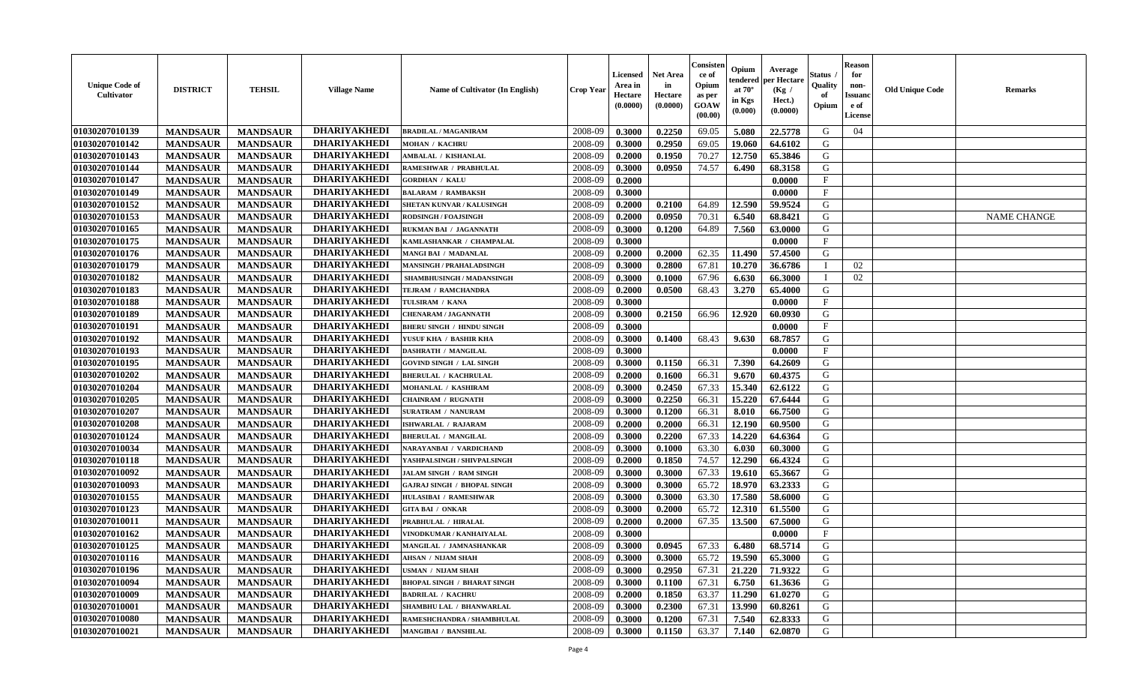| <b>Unique Code of</b><br>Cultivator | <b>DISTRICT</b> | <b>TEHSIL</b>   | <b>Village Name</b> | Name of Cultivator (In English)    | <b>Crop Year</b> | Licensed<br>Area in<br>Hectare<br>(0.0000) | <b>Net Area</b><br>in<br>Hectare<br>(0.0000) | Consister<br>ce of<br>Opium<br>as per<br>GOAW<br>(00.00) | Opium<br>endered<br>at $70^\circ$<br>in Kgs<br>$(\mathbf{0.000})$ | Average<br>per Hectare<br>(Kg /<br>Hect.)<br>(0.0000) | Status<br>Quality<br>of<br>Opium | <b>Reason</b><br>for<br>non-<br><b>Issuanc</b><br>e of<br>License | <b>Old Unique Code</b> | Remarks            |
|-------------------------------------|-----------------|-----------------|---------------------|------------------------------------|------------------|--------------------------------------------|----------------------------------------------|----------------------------------------------------------|-------------------------------------------------------------------|-------------------------------------------------------|----------------------------------|-------------------------------------------------------------------|------------------------|--------------------|
| 01030207010139                      | <b>MANDSAUR</b> | <b>MANDSAUR</b> | <b>DHARIYAKHEDI</b> | <b>BRADILAL / MAGANIRAM</b>        | 2008-09          | 0.3000                                     | 0.2250                                       | 69.05                                                    | 5.080                                                             | 22.5778                                               | G                                | 04                                                                |                        |                    |
| 01030207010142                      | <b>MANDSAUR</b> | <b>MANDSAUR</b> | <b>DHARIYAKHEDI</b> | <b>MOHAN / KACHRU</b>              | 2008-09          | 0.3000                                     | 0.2950                                       | 69.05                                                    | 19.060                                                            | 64.6102                                               | G                                |                                                                   |                        |                    |
| 01030207010143                      | <b>MANDSAUR</b> | <b>MANDSAUR</b> | <b>DHARIYAKHEDI</b> | <b>AMBALAL / KISHANLAL</b>         | 2008-09          | 0.2000                                     | 0.1950                                       | 70.27                                                    | 12.750                                                            | 65.3846                                               | G                                |                                                                   |                        |                    |
| 01030207010144                      | <b>MANDSAUR</b> | <b>MANDSAUR</b> | <b>DHARIYAKHEDI</b> | RAMESHWAR / PRABHULAL              | 2008-09          | 0.3000                                     | 0.0950                                       | 74.57                                                    | 6.490                                                             | 68.3158                                               | G                                |                                                                   |                        |                    |
| 01030207010147                      | <b>MANDSAUR</b> | <b>MANDSAUR</b> | <b>DHARIYAKHEDI</b> | <b>GORDHAN / KALU</b>              | 2008-09          | 0.2000                                     |                                              |                                                          |                                                                   | 0.0000                                                | $\mathbf F$                      |                                                                   |                        |                    |
| 01030207010149                      | <b>MANDSAUR</b> | <b>MANDSAUR</b> | <b>DHARIYAKHEDI</b> | <b>BALARAM / RAMBAKSH</b>          | 2008-09          | 0.3000                                     |                                              |                                                          |                                                                   | 0.0000                                                | $\mathbf{F}$                     |                                                                   |                        |                    |
| 01030207010152                      | <b>MANDSAUR</b> | <b>MANDSAUR</b> | <b>DHARIYAKHEDI</b> | SHETAN KUNVAR / KALUSINGH          | 2008-09          | 0.2000                                     | 0.2100                                       | 64.89                                                    | 12.590                                                            | 59.9524                                               | G                                |                                                                   |                        |                    |
| 01030207010153                      | <b>MANDSAUR</b> | <b>MANDSAUR</b> | <b>DHARIYAKHEDI</b> | <b>RODSINGH / FOAJSINGH</b>        | 2008-09          | 0.2000                                     | 0.0950                                       | 70.31                                                    | 6.540                                                             | 68.8421                                               | G                                |                                                                   |                        | <b>NAME CHANGE</b> |
| 01030207010165                      | <b>MANDSAUR</b> | <b>MANDSAUR</b> | <b>DHARIYAKHEDI</b> | RUKMAN BAI / JAGANNATH             | 2008-09          | 0.3000                                     | 0.1200                                       | 64.89                                                    | 7.560                                                             | 63.0000                                               | G                                |                                                                   |                        |                    |
| 01030207010175                      | <b>MANDSAUR</b> | <b>MANDSAUR</b> | <b>DHARIYAKHEDI</b> | KAMLASHANKAR / CHAMPALAL           | 2008-09          | 0.3000                                     |                                              |                                                          |                                                                   | 0.0000                                                | $\mathbf{F}$                     |                                                                   |                        |                    |
| 01030207010176                      | <b>MANDSAUR</b> | <b>MANDSAUR</b> | <b>DHARIYAKHEDI</b> | <b>MANGI BAI / MADANLAL</b>        | 2008-09          | 0.2000                                     | 0.2000                                       | 62.35                                                    | 11.490                                                            | 57.4500                                               | G                                |                                                                   |                        |                    |
| 01030207010179                      | <b>MANDSAUR</b> | <b>MANDSAUR</b> | <b>DHARIYAKHEDI</b> | <b>MANSINGH / PRAHALADSINGH</b>    | 2008-09          | 0.3000                                     | 0.2800                                       | 67.81                                                    | 10.270                                                            | 36.6786                                               | $\mathbf{I}$                     | 02                                                                |                        |                    |
| 01030207010182                      | <b>MANDSAUR</b> | <b>MANDSAUR</b> | <b>DHARIYAKHEDI</b> | SHAMBHUSINGH / MADANSINGH          | 2008-09          | 0.3000                                     | 0.1000                                       | 67.96                                                    | 6.630                                                             | 66.3000                                               | - I                              | 02                                                                |                        |                    |
| 01030207010183                      | <b>MANDSAUR</b> | <b>MANDSAUR</b> | <b>DHARIYAKHEDI</b> | TEJRAM / RAMCHANDRA                | 2008-09          | 0.2000                                     | 0.0500                                       | 68.43                                                    | 3.270                                                             | 65.4000                                               | G                                |                                                                   |                        |                    |
| 01030207010188                      | <b>MANDSAUR</b> | <b>MANDSAUR</b> | <b>DHARIYAKHEDI</b> | TULSIRAM / KANA                    | 2008-09          | 0.3000                                     |                                              |                                                          |                                                                   | 0.0000                                                | F                                |                                                                   |                        |                    |
| 01030207010189                      | <b>MANDSAUR</b> | <b>MANDSAUR</b> | <b>DHARIYAKHEDI</b> | <b>CHENARAM / JAGANNATH</b>        | 2008-09          | 0.3000                                     | 0.2150                                       | 66.96                                                    | 12.920                                                            | 60.0930                                               | G                                |                                                                   |                        |                    |
| 01030207010191                      | <b>MANDSAUR</b> | <b>MANDSAUR</b> | <b>DHARIYAKHEDI</b> | <b>BHERU SINGH / HINDU SINGH</b>   | 2008-09          | 0.3000                                     |                                              |                                                          |                                                                   | 0.0000                                                | $\mathbf{F}$                     |                                                                   |                        |                    |
| 01030207010192                      | <b>MANDSAUR</b> | <b>MANDSAUR</b> | <b>DHARIYAKHEDI</b> | YUSUF KHA / BASHIR KHA             | 2008-09          | 0.3000                                     | 0.1400                                       | 68.43                                                    | 9.630                                                             | 68.7857                                               | G                                |                                                                   |                        |                    |
| 01030207010193                      | <b>MANDSAUR</b> | <b>MANDSAUR</b> | <b>DHARIYAKHEDI</b> | <b>DASHRATH / MANGILAL</b>         | 2008-09          | 0.3000                                     |                                              |                                                          |                                                                   | 0.0000                                                | $\mathbf{F}$                     |                                                                   |                        |                    |
| 01030207010195                      | <b>MANDSAUR</b> | <b>MANDSAUR</b> | <b>DHARIYAKHEDI</b> | <b>GOVIND SINGH / LAL SINGH</b>    | 2008-09          | 0.3000                                     | 0.1150                                       | 66.31                                                    | 7.390                                                             | 64.2609                                               | G                                |                                                                   |                        |                    |
| 01030207010202                      | <b>MANDSAUR</b> | <b>MANDSAUR</b> | <b>DHARIYAKHEDI</b> | <b>BHERULAL / KACHRULAL</b>        | 2008-09          | 0.2000                                     | 0.1600                                       | 66.31                                                    | 9.670                                                             | 60.4375                                               | G                                |                                                                   |                        |                    |
| 01030207010204                      | <b>MANDSAUR</b> | <b>MANDSAUR</b> | <b>DHARIYAKHEDI</b> | MOHANLAL / KASHIRAM                | 2008-09          | 0.3000                                     | 0.2450                                       | 67.33                                                    | 15.340                                                            | 62.6122                                               | G                                |                                                                   |                        |                    |
| 01030207010205                      | <b>MANDSAUR</b> | <b>MANDSAUR</b> | <b>DHARIYAKHEDI</b> | <b>CHAINRAM / RUGNATH</b>          | 2008-09          | 0.3000                                     | 0.2250                                       | 66.31                                                    | 15.220                                                            | 67.6444                                               | G                                |                                                                   |                        |                    |
| 01030207010207                      | <b>MANDSAUR</b> | <b>MANDSAUR</b> | <b>DHARIYAKHEDI</b> | <b>SURATRAM / NANURAM</b>          | 2008-09          | 0.3000                                     | 0.1200                                       | 66.31                                                    | 8.010                                                             | 66.7500                                               | G                                |                                                                   |                        |                    |
| 01030207010208                      | <b>MANDSAUR</b> | <b>MANDSAUR</b> | <b>DHARIYAKHEDI</b> | ISHWARLAL / RAJARAM                | 2008-09          | 0.2000                                     | 0.2000                                       | 66.31                                                    | 12.190                                                            | 60.9500                                               | G                                |                                                                   |                        |                    |
| 01030207010124                      | <b>MANDSAUR</b> | <b>MANDSAUR</b> | <b>DHARIYAKHEDI</b> | <b>BHERULAL / MANGILAL</b>         | 2008-09          | 0.3000                                     | 0.2200                                       | 67.33                                                    | 14.220                                                            | 64.6364                                               | G                                |                                                                   |                        |                    |
| 01030207010034                      | <b>MANDSAUR</b> | <b>MANDSAUR</b> | <b>DHARIYAKHEDI</b> | NARAYANBAI / VARDICHAND            | 2008-09          | 0.3000                                     | 0.1000                                       | 63.30                                                    | 6.030                                                             | 60.3000                                               | G                                |                                                                   |                        |                    |
| 01030207010118                      | <b>MANDSAUR</b> | <b>MANDSAUR</b> | <b>DHARIYAKHEDI</b> | YASHPALSINGH / SHIVPALSINGH        | 2008-09          | 0.2000                                     | 0.1850                                       | 74.57                                                    | 12.290                                                            | 66.4324                                               | G                                |                                                                   |                        |                    |
| 01030207010092                      | <b>MANDSAUR</b> | <b>MANDSAUR</b> | <b>DHARIYAKHEDI</b> | <b>JALAM SINGH / RAM SINGH</b>     | 2008-09          | 0.3000                                     | 0.3000                                       | 67.33                                                    | 19.610                                                            | 65.3667                                               | G                                |                                                                   |                        |                    |
| 01030207010093                      | <b>MANDSAUR</b> | <b>MANDSAUR</b> | <b>DHARIYAKHEDI</b> | <b>GAJRAJ SINGH / BHOPAL SINGH</b> | 2008-09          | 0.3000                                     | 0.3000                                       | 65.72                                                    | 18.970                                                            | 63.2333                                               | G                                |                                                                   |                        |                    |
| 01030207010155                      | <b>MANDSAUR</b> | <b>MANDSAUR</b> | <b>DHARIYAKHEDI</b> | <b>HULASIBAI / RAMESHWAR</b>       | 2008-09          | 0.3000                                     | 0.3000                                       | 63.30                                                    | 17.580                                                            | 58.6000                                               | G                                |                                                                   |                        |                    |
| 01030207010123                      | <b>MANDSAUR</b> | <b>MANDSAUR</b> | <b>DHARIYAKHEDI</b> | <b>GITA BAI / ONKAR</b>            | 2008-09          | 0.3000                                     | 0.2000                                       | 65.72                                                    | 12.310                                                            | 61.5500                                               | G                                |                                                                   |                        |                    |
| 01030207010011                      | <b>MANDSAUR</b> | <b>MANDSAUR</b> | <b>DHARIYAKHEDI</b> | PRABHULAL / HIRALAL                | 2008-09          | 0.2000                                     | 0.2000                                       | 67.35                                                    | 13.500                                                            | 67.5000                                               | G                                |                                                                   |                        |                    |
| 01030207010162                      | <b>MANDSAUR</b> | <b>MANDSAUR</b> | <b>DHARIYAKHEDI</b> | VINODKUMAR / KANHAIYALAL           | 2008-09          | 0.3000                                     |                                              |                                                          |                                                                   | 0.0000                                                | $\mathbf{F}$                     |                                                                   |                        |                    |
| 01030207010125                      | <b>MANDSAUR</b> | <b>MANDSAUR</b> | <b>DHARIYAKHEDI</b> | MANGILAL / JAMNASHANKAR            | 2008-09          | 0.3000                                     | 0.0945                                       | 67.33                                                    | 6.480                                                             | 68.5714                                               | G                                |                                                                   |                        |                    |
| 01030207010116                      | <b>MANDSAUR</b> | <b>MANDSAUR</b> | <b>DHARIYAKHEDI</b> | AHSAN / NIJAM SHAH                 | 2008-09          | 0.3000                                     | 0.3000                                       | 65.72                                                    | 19.590                                                            | 65.3000                                               | G                                |                                                                   |                        |                    |
| 01030207010196                      | <b>MANDSAUR</b> | <b>MANDSAUR</b> | <b>DHARIYAKHEDI</b> | USMAN / NIJAM SHAH                 | 2008-09          | 0.3000                                     | 0.2950                                       | 67.31                                                    | 21.220                                                            | 71.9322                                               | G                                |                                                                   |                        |                    |
| 01030207010094                      | <b>MANDSAUR</b> | <b>MANDSAUR</b> | <b>DHARIYAKHEDI</b> | <b>BHOPAL SINGH / BHARAT SINGH</b> | 2008-09          | 0.3000                                     | 0.1100                                       | 67.31                                                    | 6.750                                                             | 61.3636                                               | G                                |                                                                   |                        |                    |
| 01030207010009                      | <b>MANDSAUR</b> | <b>MANDSAUR</b> | <b>DHARIYAKHEDI</b> | <b>BADRILAL / KACHRU</b>           | 2008-09          | 0.2000                                     | 0.1850                                       | 63.37                                                    | 11.290                                                            | 61.0270                                               | G                                |                                                                   |                        |                    |
| 01030207010001                      | <b>MANDSAUR</b> | <b>MANDSAUR</b> | <b>DHARIYAKHEDI</b> | SHAMBHU LAL / BHANWARLAL           | 2008-09          | 0.3000                                     | 0.2300                                       | 67.31                                                    | 13.990                                                            | 60.8261                                               | ${\bf G}$                        |                                                                   |                        |                    |
| 01030207010080                      | <b>MANDSAUR</b> | <b>MANDSAUR</b> | <b>DHARIYAKHEDI</b> | RAMESHCHANDRA / SHAMBHULAL         | 2008-09          | 0.3000                                     | 0.1200                                       | 67.31                                                    | 7.540                                                             | 62.8333                                               | G                                |                                                                   |                        |                    |
| 01030207010021                      | <b>MANDSAUR</b> | <b>MANDSAUR</b> | <b>DHARIYAKHEDI</b> | <b>MANGIBAI / BANSHILAL</b>        | 2008-09          | 0.3000                                     | 0.1150                                       | 63.37                                                    | 7.140                                                             | 62.0870                                               | G                                |                                                                   |                        |                    |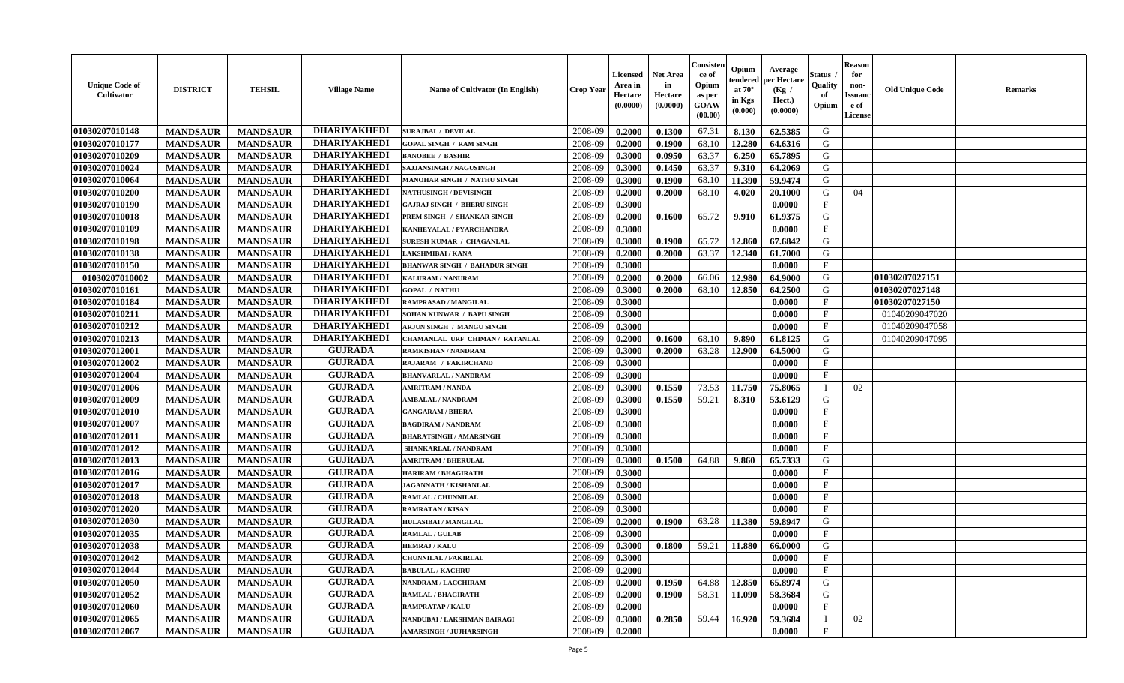| <b>Unique Code of</b><br><b>Cultivator</b> | <b>DISTRICT</b> | <b>TEHSIL</b>   | <b>Village Name</b> | Name of Cultivator (In English)      | <b>Crop Year</b> | <b>Licensed</b><br>Area in<br>Hectare<br>(0.0000) | <b>Net Area</b><br>in<br>Hectare<br>(0.0000) | Consisteı<br>ce of<br>Opium<br>as per<br><b>GOAW</b><br>(00.00) | Opium<br>endered<br>at $70^\circ$<br>in Kgs<br>$(\mathbf{0.000})$ | Average<br>per Hectare<br>(Kg /<br>Hect.)<br>(0.0000) | Status<br>Quality<br>of<br>Opium | <b>Reason</b><br>for<br>non-<br>Issuan<br>e of<br>License | <b>Old Unique Code</b> | <b>Remarks</b> |
|--------------------------------------------|-----------------|-----------------|---------------------|--------------------------------------|------------------|---------------------------------------------------|----------------------------------------------|-----------------------------------------------------------------|-------------------------------------------------------------------|-------------------------------------------------------|----------------------------------|-----------------------------------------------------------|------------------------|----------------|
| 01030207010148                             | <b>MANDSAUR</b> | <b>MANDSAUR</b> | <b>DHARIYAKHEDI</b> | <b>SURAJBAI / DEVILAL</b>            | 2008-09          | 0.2000                                            | 0.1300                                       | 67.31                                                           | 8.130                                                             | 62.5385                                               | G                                |                                                           |                        |                |
| 01030207010177                             | <b>MANDSAUR</b> | <b>MANDSAUR</b> | <b>DHARIYAKHEDI</b> | <b>GOPAL SINGH / RAM SINGH</b>       | 2008-09          | 0.2000                                            | 0.1900                                       | 68.10                                                           | 12.280                                                            | 64.6316                                               | G                                |                                                           |                        |                |
| 01030207010209                             | <b>MANDSAUR</b> | <b>MANDSAUR</b> | <b>DHARIYAKHEDI</b> | <b>BANOBEE / BASHIR</b>              | 2008-09          | 0.3000                                            | 0.0950                                       | 63.37                                                           | 6.250                                                             | 65.7895                                               | G                                |                                                           |                        |                |
| 01030207010024                             | <b>MANDSAUR</b> | <b>MANDSAUR</b> | <b>DHARIYAKHEDI</b> | SAJJANSINGH / NAGUSINGH              | 2008-09          | 0.3000                                            | 0.1450                                       | 63.37                                                           | 9.310                                                             | 64.2069                                               | G                                |                                                           |                        |                |
| 01030207010064                             | <b>MANDSAUR</b> | <b>MANDSAUR</b> | <b>DHARIYAKHEDI</b> | MANOHAR SINGH / NATHU SINGH          | 2008-09          | 0.3000                                            | 0.1900                                       | 68.10                                                           | 11.390                                                            | 59.9474                                               | G                                |                                                           |                        |                |
| 01030207010200                             | <b>MANDSAUR</b> | <b>MANDSAUR</b> | <b>DHARIYAKHEDI</b> | <b>NATHUSINGH / DEVISINGH</b>        | 2008-09          | 0.2000                                            | 0.2000                                       | 68.10                                                           | 4.020                                                             | 20.1000                                               | G                                | 04                                                        |                        |                |
| 01030207010190                             | <b>MANDSAUR</b> | <b>MANDSAUR</b> | <b>DHARIYAKHEDI</b> | <b>GAJRAJ SINGH / BHERU SINGH</b>    | 2008-09          | 0.3000                                            |                                              |                                                                 |                                                                   | 0.0000                                                | $\mathbf{F}$                     |                                                           |                        |                |
| 01030207010018                             | <b>MANDSAUR</b> | <b>MANDSAUR</b> | <b>DHARIYAKHEDI</b> | PREM SINGH / SHANKAR SINGH           | 2008-09          | 0.2000                                            | 0.1600                                       | 65.72                                                           | 9.910                                                             | 61.9375                                               | G                                |                                                           |                        |                |
| 01030207010109                             | <b>MANDSAUR</b> | <b>MANDSAUR</b> | <b>DHARIYAKHEDI</b> | KANHEYALAL / PYARCHANDRA             | 2008-09          | 0.3000                                            |                                              |                                                                 |                                                                   | 0.0000                                                | $_{\rm F}$                       |                                                           |                        |                |
| 01030207010198                             | <b>MANDSAUR</b> | <b>MANDSAUR</b> | <b>DHARIYAKHEDI</b> | SURESH KUMAR / CHAGANLAL             | 2008-09          | 0.3000                                            | 0.1900                                       | 65.72                                                           | 12.860                                                            | 67.6842                                               | G                                |                                                           |                        |                |
| 01030207010138                             | <b>MANDSAUR</b> | <b>MANDSAUR</b> | <b>DHARIYAKHEDI</b> | AKSHMIBAI / KANA                     | 2008-09          | 0.2000                                            | 0.2000                                       | 63.37                                                           | 12.340                                                            | 61.7000                                               | G                                |                                                           |                        |                |
| 01030207010150                             | <b>MANDSAUR</b> | <b>MANDSAUR</b> | <b>DHARIYAKHEDI</b> | <b>BHANWAR SINGH / BAHADUR SINGH</b> | 2008-09          | 0.3000                                            |                                              |                                                                 |                                                                   | 0.0000                                                | $\mathbf{F}$                     |                                                           |                        |                |
| 01030207010002                             | <b>MANDSAUR</b> | <b>MANDSAUR</b> | <b>DHARIYAKHEDI</b> | <b>KALURAM / NANURAM</b>             | 2008-09          | 0.2000                                            | 0.2000                                       | 66.06                                                           | 12.980                                                            | 64.9000                                               | G                                |                                                           | 01030207027151         |                |
| 01030207010161                             | <b>MANDSAUR</b> | <b>MANDSAUR</b> | <b>DHARIYAKHEDI</b> | <b>GOPAL / NATHU</b>                 | 2008-09          | 0.3000                                            | 0.2000                                       | 68.10                                                           | 12.850                                                            | 64.2500                                               | G                                |                                                           | 01030207027148         |                |
| 01030207010184                             | <b>MANDSAUR</b> | <b>MANDSAUR</b> | <b>DHARIYAKHEDI</b> | RAMPRASAD / MANGILAL                 | 2008-09          | 0.3000                                            |                                              |                                                                 |                                                                   | 0.0000                                                | $\mathbf{F}$                     |                                                           | 01030207027150         |                |
| 01030207010211                             | <b>MANDSAUR</b> | <b>MANDSAUR</b> | <b>DHARIYAKHEDI</b> | SOHAN KUNWAR / BAPU SINGH            | 2008-09          | 0.3000                                            |                                              |                                                                 |                                                                   | 0.0000                                                | $\mathbf{F}$                     |                                                           | 01040209047020         |                |
| 01030207010212                             | <b>MANDSAUR</b> | <b>MANDSAUR</b> | <b>DHARIYAKHEDI</b> | <b>ARJUN SINGH / MANGU SINGH</b>     | 2008-09          | 0.3000                                            |                                              |                                                                 |                                                                   | 0.0000                                                | $\mathbf{F}$                     |                                                           | 01040209047058         |                |
| 01030207010213                             | <b>MANDSAUR</b> | <b>MANDSAUR</b> | <b>DHARIYAKHEDI</b> | CHAMANLAL URF CHIMAN / RATANLAL      | 2008-09          | 0.2000                                            | 0.1600                                       | 68.10                                                           | 9.890                                                             | 61.8125                                               | G                                |                                                           | 01040209047095         |                |
| 01030207012001                             | <b>MANDSAUR</b> | <b>MANDSAUR</b> | <b>GUJRADA</b>      | RAMKISHAN / NANDRAM                  | 2008-09          | 0.3000                                            | 0.2000                                       | 63.28                                                           | 12.900                                                            | 64.5000                                               | G                                |                                                           |                        |                |
| 01030207012002                             | <b>MANDSAUR</b> | <b>MANDSAUR</b> | <b>GUJRADA</b>      | RAJARAM / FAKIRCHAND                 | 2008-09          | 0.3000                                            |                                              |                                                                 |                                                                   | 0.0000                                                | $\mathbf{F}$                     |                                                           |                        |                |
| 01030207012004                             | <b>MANDSAUR</b> | <b>MANDSAUR</b> | <b>GUJRADA</b>      | <b>BHANVARLAL / NANDRAM</b>          | 2008-09          | 0.3000                                            |                                              |                                                                 |                                                                   | 0.0000                                                | $_{\rm F}$                       |                                                           |                        |                |
| 01030207012006                             | <b>MANDSAUR</b> | <b>MANDSAUR</b> | <b>GUJRADA</b>      | <b>AMRITRAM / NANDA</b>              | 2008-09          | 0.3000                                            | 0.1550                                       | 73.53                                                           | 11.750                                                            | 75.8065                                               | - 1                              | 02                                                        |                        |                |
| 01030207012009                             | <b>MANDSAUR</b> | <b>MANDSAUR</b> | <b>GUJRADA</b>      | <b>AMBALAL / NANDRAM</b>             | 2008-09          | 0.3000                                            | 0.1550                                       | 59.21                                                           | 8.310                                                             | 53.6129                                               | G                                |                                                           |                        |                |
| 01030207012010                             | <b>MANDSAUR</b> | <b>MANDSAUR</b> | <b>GUJRADA</b>      | <b>GANGARAM / BHERA</b>              | 2008-09          | 0.3000                                            |                                              |                                                                 |                                                                   | 0.0000                                                | $\mathbf{F}$                     |                                                           |                        |                |
| 01030207012007                             | <b>MANDSAUR</b> | <b>MANDSAUR</b> | <b>GUJRADA</b>      | <b>BAGDIRAM / NANDRAM</b>            | 2008-09          | 0.3000                                            |                                              |                                                                 |                                                                   | 0.0000                                                | $\mathbf{F}$                     |                                                           |                        |                |
| 01030207012011                             | <b>MANDSAUR</b> | <b>MANDSAUR</b> | <b>GUJRADA</b>      | <b>BHARATSINGH / AMARSINGH</b>       | 2008-09          | 0.3000                                            |                                              |                                                                 |                                                                   | 0.0000                                                | $\mathbf{F}$                     |                                                           |                        |                |
| 01030207012012                             | <b>MANDSAUR</b> | <b>MANDSAUR</b> | <b>GUJRADA</b>      | SHANKARLAL / NANDRAM                 | 2008-09          | 0.3000                                            |                                              |                                                                 |                                                                   | 0.0000                                                | $_{\rm F}$                       |                                                           |                        |                |
| 01030207012013                             | <b>MANDSAUR</b> | <b>MANDSAUR</b> | <b>GUJRADA</b>      | <b>AMRITRAM / BHERULAL</b>           | 2008-09          | 0.3000                                            | 0.1500                                       | 64.88                                                           | 9.860                                                             | 65.7333                                               | G                                |                                                           |                        |                |
| 01030207012016                             | <b>MANDSAUR</b> | <b>MANDSAUR</b> | <b>GUJRADA</b>      | <b>HARIRAM / BHAGIRATH</b>           | 2008-09          | 0.3000                                            |                                              |                                                                 |                                                                   | 0.0000                                                | $\mathbf{F}$                     |                                                           |                        |                |
| 01030207012017                             | <b>MANDSAUR</b> | <b>MANDSAUR</b> | <b>GUJRADA</b>      | JAGANNATH / KISHANLAL                | 2008-09          | 0.3000                                            |                                              |                                                                 |                                                                   | 0.0000                                                | $_{\rm F}$                       |                                                           |                        |                |
| 01030207012018                             | <b>MANDSAUR</b> | <b>MANDSAUR</b> | <b>GUJRADA</b>      | RAMLAL / CHUNNILAL                   | 2008-09          | 0.3000                                            |                                              |                                                                 |                                                                   | 0.0000                                                | $_{\rm F}$                       |                                                           |                        |                |
| 01030207012020                             | <b>MANDSAUR</b> | <b>MANDSAUR</b> | <b>GUJRADA</b>      | <b>RAMRATAN / KISAN</b>              | 2008-09          | 0.3000                                            |                                              |                                                                 |                                                                   | 0.0000                                                | $\mathbf{F}$                     |                                                           |                        |                |
| 01030207012030                             | <b>MANDSAUR</b> | <b>MANDSAUR</b> | <b>GUJRADA</b>      | HULASIBAI / MANGILAL                 | 2008-09          | 0.2000                                            | 0.1900                                       | 63.28                                                           | 11.380                                                            | 59.8947                                               | G                                |                                                           |                        |                |
| 01030207012035                             | <b>MANDSAUR</b> | <b>MANDSAUR</b> | <b>GUJRADA</b>      | <b>RAMLAL / GULAB</b>                | 2008-09          | 0.3000                                            |                                              |                                                                 |                                                                   | 0.0000                                                | $\mathbf{F}$                     |                                                           |                        |                |
| 01030207012038                             | <b>MANDSAUR</b> | <b>MANDSAUR</b> | <b>GUJRADA</b>      | <b>HEMRAJ / KALU</b>                 | 2008-09          | 0.3000                                            | 0.1800                                       | 59.21                                                           | 11.880                                                            | 66.0000                                               | G                                |                                                           |                        |                |
| <b>01030207012042</b>                      | <b>MANDSAUR</b> | <b>MANDSAUR</b> | <b>GUJRADA</b>      | <b>CHUNNILAL / FAKIRLAL</b>          | 2008-09          | 0.3000                                            |                                              |                                                                 |                                                                   | 0.0000                                                | F                                |                                                           |                        |                |
| 01030207012044                             | <b>MANDSAUR</b> | <b>MANDSAUR</b> | <b>GUJRADA</b>      | <b>BABULAL / KACHRU</b>              | 2008-09          | 0.2000                                            |                                              |                                                                 |                                                                   | 0.0000                                                | $\mathbf{F}$                     |                                                           |                        |                |
| 01030207012050                             | <b>MANDSAUR</b> | <b>MANDSAUR</b> | <b>GUJRADA</b>      | <b>NANDRAM / LACCHIRAM</b>           | 2008-09          | 0.2000                                            | 0.1950                                       | 64.88                                                           | 12.850                                                            | 65.8974                                               | G                                |                                                           |                        |                |
| 01030207012052                             | <b>MANDSAUR</b> | <b>MANDSAUR</b> | <b>GUJRADA</b>      | <b>RAMLAL / BHAGIRATH</b>            | 2008-09          | 0.2000                                            | 0.1900                                       | 58.31                                                           | 11.090                                                            | 58.3684                                               | G                                |                                                           |                        |                |
| 01030207012060                             | <b>MANDSAUR</b> | <b>MANDSAUR</b> | <b>GUJRADA</b>      | <b>RAMPRATAP / KALU</b>              | 2008-09          | 0.2000                                            |                                              |                                                                 |                                                                   | 0.0000                                                | $\mathbf F$                      |                                                           |                        |                |
| 01030207012065                             | <b>MANDSAUR</b> | <b>MANDSAUR</b> | <b>GUJRADA</b>      | NANDUBAI / LAKSHMAN BAIRAGI          | 2008-09          | 0.3000                                            | 0.2850                                       | 59.44                                                           | 16.920                                                            | 59.3684                                               | - 1                              | 02                                                        |                        |                |
| 01030207012067                             | <b>MANDSAUR</b> | <b>MANDSAUR</b> | <b>GUJRADA</b>      | <b>AMARSINGH / JUJHARSINGH</b>       | 2008-09          | 0.2000                                            |                                              |                                                                 |                                                                   | 0.0000                                                | $\mathbf{F}$                     |                                                           |                        |                |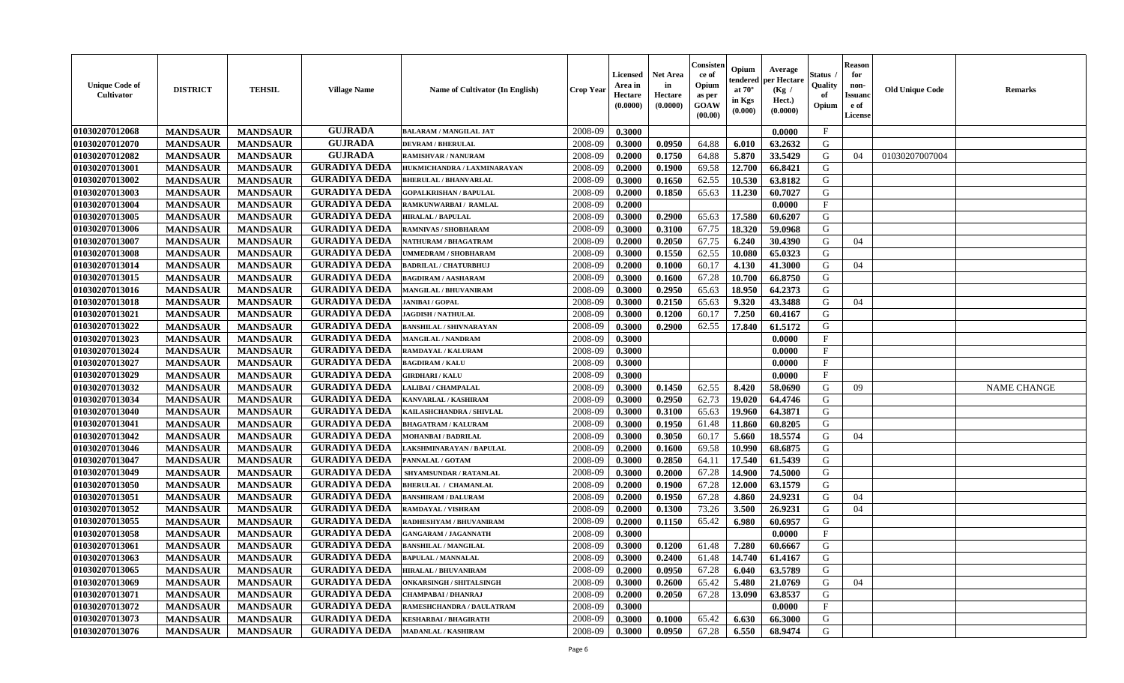| <b>Unique Code of</b><br>Cultivator | <b>DISTRICT</b> | <b>TEHSIL</b>   | <b>Village Name</b>  | <b>Name of Cultivator (In English)</b> | <b>Crop Year</b> | Licensed<br>Area in<br>Hectare<br>(0.0000) | <b>Net Area</b><br>in<br>Hectare<br>(0.0000) | Consister<br>ce of<br>Opium<br>as per<br><b>GOAW</b><br>(00.00) | Opium<br>tendered<br>at $70^{\circ}$<br>in Kgs<br>(0.000) | Average<br>per Hectare<br>(Kg /<br>Hect.)<br>(0.0000) | Status<br>Quality<br>of<br>Opium | <b>Reason</b><br>for<br>non-<br><b>Issuano</b><br>e of<br>License | <b>Old Unique Code</b> | <b>Remarks</b>     |
|-------------------------------------|-----------------|-----------------|----------------------|----------------------------------------|------------------|--------------------------------------------|----------------------------------------------|-----------------------------------------------------------------|-----------------------------------------------------------|-------------------------------------------------------|----------------------------------|-------------------------------------------------------------------|------------------------|--------------------|
| 01030207012068                      | <b>MANDSAUR</b> | <b>MANDSAUR</b> | <b>GUJRADA</b>       | <b>BALARAM / MANGILAL JAT</b>          | 2008-09          | 0.3000                                     |                                              |                                                                 |                                                           | 0.0000                                                | $\mathbf{F}$                     |                                                                   |                        |                    |
| 01030207012070                      | <b>MANDSAUR</b> | <b>MANDSAUR</b> | <b>GUJRADA</b>       | <b>DEVRAM / BHERULAL</b>               | 2008-09          | 0.3000                                     | 0.0950                                       | 64.88                                                           | 6.010                                                     | 63.2632                                               | G                                |                                                                   |                        |                    |
| 01030207012082                      | <b>MANDSAUR</b> | <b>MANDSAUR</b> | <b>GUJRADA</b>       | <b>RAMISHVAR / NANURAM</b>             | 2008-09          | 0.2000                                     | 0.1750                                       | 64.88                                                           | 5.870                                                     | 33.5429                                               | G                                | 04                                                                | 01030207007004         |                    |
| 01030207013001                      | <b>MANDSAUR</b> | <b>MANDSAUR</b> | <b>GURADIYA DEDA</b> | HUKMICHANDRA / LAXMINARAYAN            | 2008-09          | 0.2000                                     | 0.1900                                       | 69.58                                                           | 12.700                                                    | 66.8421                                               | G                                |                                                                   |                        |                    |
| 01030207013002                      | <b>MANDSAUR</b> | <b>MANDSAUR</b> | <b>GURADIYA DEDA</b> | <b>BHERULAL / BHANVARLAL</b>           | 2008-09          | 0.3000                                     | 0.1650                                       | 62.55                                                           | 10.530                                                    | 63.8182                                               | G                                |                                                                   |                        |                    |
| 01030207013003                      | <b>MANDSAUR</b> | <b>MANDSAUR</b> | <b>GURADIYA DEDA</b> | <b>GOPALKRISHAN / BAPULAL</b>          | 2008-09          | 0.2000                                     | 0.1850                                       | 65.63                                                           | 11.230                                                    | 60.7027                                               | G                                |                                                                   |                        |                    |
| 01030207013004                      | <b>MANDSAUR</b> | <b>MANDSAUR</b> | <b>GURADIYA DEDA</b> | RAMKUNWARBAI/ RAMLAL                   | 2008-09          | 0.2000                                     |                                              |                                                                 |                                                           | 0.0000                                                | $\mathbf{F}$                     |                                                                   |                        |                    |
| 01030207013005                      | <b>MANDSAUR</b> | <b>MANDSAUR</b> | <b>GURADIYA DEDA</b> | <b>HIRALAL / BAPULAL</b>               | 2008-09          | 0.3000                                     | 0.2900                                       | 65.63                                                           | 17.580                                                    | 60.6207                                               | G                                |                                                                   |                        |                    |
| 01030207013006                      | <b>MANDSAUR</b> | <b>MANDSAUR</b> | <b>GURADIYA DEDA</b> | RAMNIVAS / SHOBHARAM                   | 2008-09          | 0.3000                                     | 0.3100                                       | 67.75                                                           | 18.320                                                    | 59.0968                                               | G                                |                                                                   |                        |                    |
| 01030207013007                      | <b>MANDSAUR</b> | <b>MANDSAUR</b> | <b>GURADIYA DEDA</b> | NATHURAM / BHAGATRAM                   | 2008-09          | 0.2000                                     | 0.2050                                       | 67.75                                                           | 6.240                                                     | 30.4390                                               | G                                | 04                                                                |                        |                    |
| 01030207013008                      | <b>MANDSAUR</b> | <b>MANDSAUR</b> | <b>GURADIYA DEDA</b> | <b>JMMEDRAM / SHOBHARAM</b>            | 2008-09          | 0.3000                                     | 0.1550                                       | 62.55                                                           | 10.080                                                    | 65.0323                                               | G                                |                                                                   |                        |                    |
| 01030207013014                      | <b>MANDSAUR</b> | <b>MANDSAUR</b> | <b>GURADIYA DEDA</b> | <b>BADRILAL / CHATURBHUJ</b>           | 2008-09          | 0.2000                                     | 0.1000                                       | 60.17                                                           | 4.130                                                     | 41.3000                                               | G                                | 04                                                                |                        |                    |
| 01030207013015                      | <b>MANDSAUR</b> | <b>MANDSAUR</b> | <b>GURADIYA DEDA</b> | <b>BAGDIRAM / AASHARAM</b>             | 2008-09          | 0.3000                                     | 0.1600                                       | 67.28                                                           | 10.700                                                    | 66.8750                                               | G                                |                                                                   |                        |                    |
| 01030207013016                      | <b>MANDSAUR</b> | <b>MANDSAUR</b> | <b>GURADIYA DEDA</b> | <b>MANGILAL / BHUVANIRAM</b>           | 2008-09          | 0.3000                                     | 0.2950                                       | 65.63                                                           | 18.950                                                    | 64.2373                                               | G                                |                                                                   |                        |                    |
| 01030207013018                      | <b>MANDSAUR</b> | <b>MANDSAUR</b> | <b>GURADIYA DEDA</b> | <b>JANIBAI/GOPAL</b>                   | 2008-09          | 0.3000                                     | 0.2150                                       | 65.63                                                           | 9.320                                                     | 43.3488                                               | G                                | 04                                                                |                        |                    |
| 01030207013021                      | <b>MANDSAUR</b> | <b>MANDSAUR</b> | <b>GURADIYA DEDA</b> | <b>JAGDISH / NATHULAL</b>              | 2008-09          | 0.3000                                     | 0.1200                                       | 60.17                                                           | 7.250                                                     | 60.4167                                               | G                                |                                                                   |                        |                    |
| 01030207013022                      | <b>MANDSAUR</b> | <b>MANDSAUR</b> | <b>GURADIYA DEDA</b> | <b>BANSHILAL / SHIVNARAYAN</b>         | 2008-09          | 0.3000                                     | 0.2900                                       | 62.55                                                           | 17.840                                                    | 61.5172                                               | G                                |                                                                   |                        |                    |
| 01030207013023                      | <b>MANDSAUR</b> | <b>MANDSAUR</b> | <b>GURADIYA DEDA</b> | <b>MANGILAL / NANDRAM</b>              | 2008-09          | 0.3000                                     |                                              |                                                                 |                                                           | 0.0000                                                | $\mathbf{F}$                     |                                                                   |                        |                    |
| 01030207013024                      | <b>MANDSAUR</b> | <b>MANDSAUR</b> | <b>GURADIYA DEDA</b> | RAMDAYAL / KALURAM                     | 2008-09          | 0.3000                                     |                                              |                                                                 |                                                           | 0.0000                                                | $\mathbf{F}$                     |                                                                   |                        |                    |
| 01030207013027                      | <b>MANDSAUR</b> | <b>MANDSAUR</b> | <b>GURADIYA DEDA</b> | <b>BAGDIRAM / KALU</b>                 | 2008-09          | 0.3000                                     |                                              |                                                                 |                                                           | 0.0000                                                | $\mathbf F$                      |                                                                   |                        |                    |
| 01030207013029                      | <b>MANDSAUR</b> | <b>MANDSAUR</b> | <b>GURADIYA DEDA</b> | <b>GIRDHARI / KALU</b>                 | 2008-09          | 0.3000                                     |                                              |                                                                 |                                                           | 0.0000                                                | F                                |                                                                   |                        |                    |
| 01030207013032                      | <b>MANDSAUR</b> | <b>MANDSAUR</b> | <b>GURADIYA DEDA</b> | LALIBAI / CHAMPALAL                    | 2008-09          | 0.3000                                     | 0.1450                                       | 62.55                                                           | 8.420                                                     | 58.0690                                               | G                                | 09                                                                |                        | <b>NAME CHANGE</b> |
| 01030207013034                      | <b>MANDSAUR</b> | <b>MANDSAUR</b> | <b>GURADIYA DEDA</b> | KANVARLAL / KASHIRAM                   | 2008-09          | 0.3000                                     | 0.2950                                       | 62.73                                                           | 19.020                                                    | 64.4746                                               | G                                |                                                                   |                        |                    |
| 01030207013040                      | <b>MANDSAUR</b> | <b>MANDSAUR</b> | <b>GURADIYA DEDA</b> | KAILASHCHANDRA / SHIVLAL               | 2008-09          | 0.3000                                     | 0.3100                                       | 65.63                                                           | 19.960                                                    | 64.3871                                               | G                                |                                                                   |                        |                    |
| 01030207013041                      | <b>MANDSAUR</b> | <b>MANDSAUR</b> | <b>GURADIYA DEDA</b> | <b>BHAGATRAM / KALURAM</b>             | 2008-09          | 0.3000                                     | 0.1950                                       | 61.48                                                           | 11.860                                                    | 60.8205                                               | G                                |                                                                   |                        |                    |
| 01030207013042                      | <b>MANDSAUR</b> | <b>MANDSAUR</b> | <b>GURADIYA DEDA</b> | <b>MOHANBAI/BADRILAL</b>               | 2008-09          | 0.3000                                     | 0.3050                                       | 60.17                                                           | 5.660                                                     | 18.5574                                               | G                                | 04                                                                |                        |                    |
| 01030207013046                      | <b>MANDSAUR</b> | <b>MANDSAUR</b> | <b>GURADIYA DEDA</b> | LAKSHMINARAYAN / BAPULAL               | 2008-09          | 0.2000                                     | 0.1600                                       | 69.58                                                           | 10.990                                                    | 68.6875                                               | G                                |                                                                   |                        |                    |
| 01030207013047                      | <b>MANDSAUR</b> | <b>MANDSAUR</b> | <b>GURADIYA DEDA</b> | PANNALAL / GOTAM                       | 2008-09          | 0.3000                                     | 0.2850                                       | 64.11                                                           | 17.540                                                    | 61.5439                                               | G                                |                                                                   |                        |                    |
| 01030207013049                      | <b>MANDSAUR</b> | <b>MANDSAUR</b> | <b>GURADIYA DEDA</b> | <b>SHYAMSUNDAR / RATANLAL</b>          | 2008-09          | 0.3000                                     | 0.2000                                       | 67.28                                                           | 14.900                                                    | 74.5000                                               | G                                |                                                                   |                        |                    |
| 01030207013050                      | <b>MANDSAUR</b> | <b>MANDSAUR</b> | <b>GURADIYA DEDA</b> | <b>BHERULAL / CHAMANLAL</b>            | 2008-09          | 0.2000                                     | 0.1900                                       | 67.28                                                           | 12.000                                                    | 63.1579                                               | G                                |                                                                   |                        |                    |
| 01030207013051                      | <b>MANDSAUR</b> | <b>MANDSAUR</b> | <b>GURADIYA DEDA</b> | <b>BANSHIRAM / DALURAM</b>             | 2008-09          | 0.2000                                     | 0.1950                                       | 67.28                                                           | 4.860                                                     | 24.9231                                               | G                                | 04                                                                |                        |                    |
| 01030207013052                      | <b>MANDSAUR</b> | <b>MANDSAUR</b> | <b>GURADIYA DEDA</b> | RAMDAYAL / VISHRAM                     | 2008-09          | 0.2000                                     | 0.1300                                       | 73.26                                                           | 3.500                                                     | 26.9231                                               | G                                | 04                                                                |                        |                    |
| 01030207013055                      | <b>MANDSAUR</b> | <b>MANDSAUR</b> | <b>GURADIYA DEDA</b> | RADHESHYAM / BHUVANIRAM                | 2008-09          | 0.2000                                     | 0.1150                                       | 65.42                                                           | 6.980                                                     | 60.6957                                               | G                                |                                                                   |                        |                    |
| 01030207013058                      | <b>MANDSAUR</b> | <b>MANDSAUR</b> | <b>GURADIYA DEDA</b> | <b>GANGARAM / JAGANNATH</b>            | 2008-09          | 0.3000                                     |                                              |                                                                 |                                                           | 0.0000                                                | F                                |                                                                   |                        |                    |
| 01030207013061                      | <b>MANDSAUR</b> | <b>MANDSAUR</b> | <b>GURADIYA DEDA</b> | <b>BANSHILAL / MANGILAL</b>            | 2008-09          | 0.3000                                     | 0.1200                                       | 61.48                                                           | 7.280                                                     | 60.6667                                               | G                                |                                                                   |                        |                    |
| 01030207013063                      | <b>MANDSAUR</b> | <b>MANDSAUR</b> | GURADIYA DEDA        | <b>BAPULAL / MANNALAL</b>              | 2008-09          | 0.3000                                     | 0.2400                                       |                                                                 |                                                           | 61.48   14.740   61.4167                              | G                                |                                                                   |                        |                    |
| 01030207013065                      | <b>MANDSAUR</b> | <b>MANDSAUR</b> | <b>GURADIYA DEDA</b> | <b>HIRALAL / BHUVANIRAM</b>            | 2008-09          | 0.2000                                     | 0.0950                                       | 67.28                                                           | 6.040                                                     | 63.5789                                               | G                                |                                                                   |                        |                    |
| 01030207013069                      | <b>MANDSAUR</b> | <b>MANDSAUR</b> | <b>GURADIYA DEDA</b> | <b>ONKARSINGH / SHITALSINGH</b>        | 2008-09          | 0.3000                                     | 0.2600                                       | 65.42                                                           | 5.480                                                     | 21.0769                                               | G                                | 04                                                                |                        |                    |
| 01030207013071                      | <b>MANDSAUR</b> | <b>MANDSAUR</b> | <b>GURADIYA DEDA</b> | <b>CHAMPABAI / DHANRAJ</b>             | 2008-09          | 0.2000                                     | 0.2050                                       | 67.28                                                           | 13.090                                                    | 63.8537                                               | G                                |                                                                   |                        |                    |
| 01030207013072                      | <b>MANDSAUR</b> | <b>MANDSAUR</b> | <b>GURADIYA DEDA</b> | RAMESHCHANDRA / DAULATRAM              | 2008-09          | 0.3000                                     |                                              |                                                                 |                                                           | 0.0000                                                | $\mathbf{F}$                     |                                                                   |                        |                    |
| 01030207013073                      | <b>MANDSAUR</b> | <b>MANDSAUR</b> | <b>GURADIYA DEDA</b> | <b>KESHARBAI / BHAGIRATH</b>           | 2008-09          | 0.3000                                     | 0.1000                                       | 65.42                                                           | 6.630                                                     | 66.3000                                               | G                                |                                                                   |                        |                    |
| 01030207013076                      | <b>MANDSAUR</b> | <b>MANDSAUR</b> | <b>GURADIYA DEDA</b> | <b>MADANLAL / KASHIRAM</b>             | 2008-09          | 0.3000                                     | 0.0950                                       | 67.28                                                           | 6.550                                                     | 68.9474                                               | G                                |                                                                   |                        |                    |
|                                     |                 |                 |                      |                                        |                  |                                            |                                              |                                                                 |                                                           |                                                       |                                  |                                                                   |                        |                    |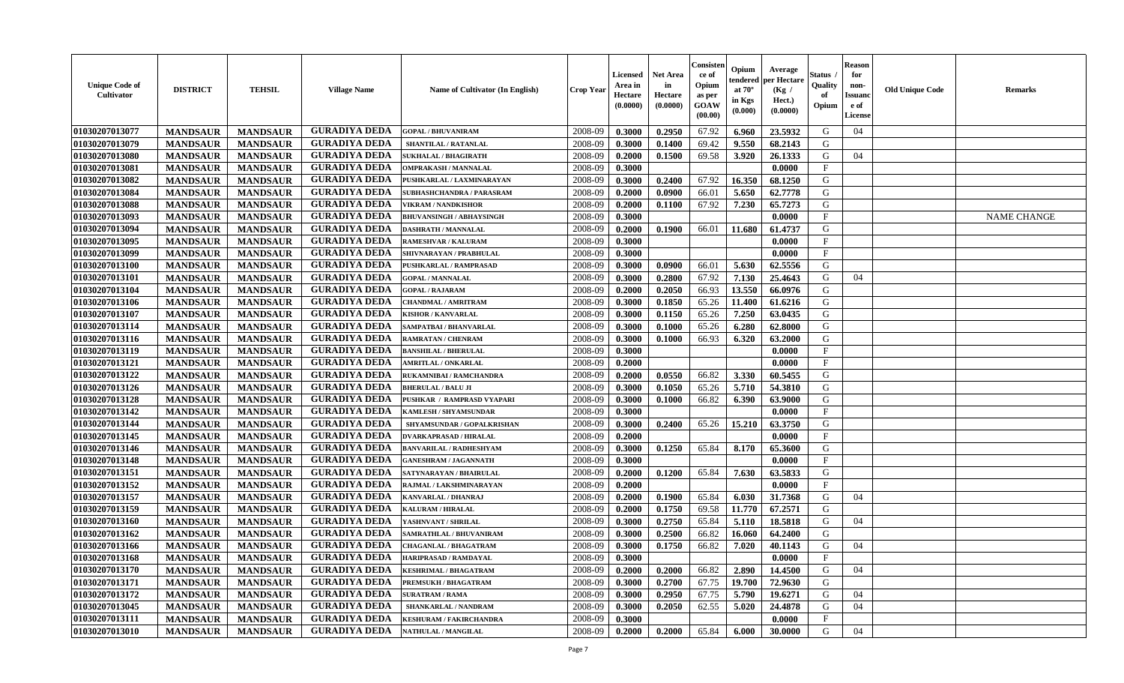| <b>Unique Code of</b><br>Cultivator | <b>DISTRICT</b> | <b>TEHSIL</b>   | <b>Village Name</b>  | Name of Cultivator (In English) | Crop Year | Licensed<br>Area in<br>Hectare<br>(0.0000) | <b>Net Area</b><br>in<br>Hectare<br>(0.0000) | Consisten<br>ce of<br>Opium<br>as per<br><b>GOAW</b><br>(00.00) | Opium<br>tendered<br>at $70^{\circ}$<br>in Kgs<br>(0.000) | Average<br>per Hectare<br>(Kg /<br>Hect.)<br>(0.0000) | Status<br>Quality<br>of<br>Opium | <b>Reason</b><br>for<br>non-<br><b>Issuand</b><br>e of<br>License | <b>Old Unique Code</b> | <b>Remarks</b>     |
|-------------------------------------|-----------------|-----------------|----------------------|---------------------------------|-----------|--------------------------------------------|----------------------------------------------|-----------------------------------------------------------------|-----------------------------------------------------------|-------------------------------------------------------|----------------------------------|-------------------------------------------------------------------|------------------------|--------------------|
| 01030207013077                      | <b>MANDSAUR</b> | <b>MANDSAUR</b> | <b>GURADIYA DEDA</b> | <b>GOPAL / BHUVANIRAM</b>       | 2008-09   | 0.3000                                     | 0.2950                                       | 67.92                                                           | 6.960                                                     | 23.5932                                               | G                                | 04                                                                |                        |                    |
| 01030207013079                      | <b>MANDSAUR</b> | <b>MANDSAUR</b> | <b>GURADIYA DEDA</b> | SHANTILAL / RATANLAL            | 2008-09   | 0.3000                                     | 0.1400                                       | 69.42                                                           | 9.550                                                     | 68.2143                                               | G                                |                                                                   |                        |                    |
| 01030207013080                      | <b>MANDSAUR</b> | <b>MANDSAUR</b> | <b>GURADIYA DEDA</b> | <b>SUKHALAL / BHAGIRATH</b>     | 2008-09   | 0.2000                                     | 0.1500                                       | 69.58                                                           | 3.920                                                     | 26.1333                                               | G                                | 04                                                                |                        |                    |
| 01030207013081                      | <b>MANDSAUR</b> | <b>MANDSAUR</b> | <b>GURADIYA DEDA</b> | <b>OMPRAKASH / MANNALAL</b>     | 2008-09   | 0.3000                                     |                                              |                                                                 |                                                           | 0.0000                                                | F                                |                                                                   |                        |                    |
| 01030207013082                      | <b>MANDSAUR</b> | <b>MANDSAUR</b> | <b>GURADIYA DEDA</b> | PUSHKARLAL / LAXMINARAYAN       | 2008-09   | 0.3000                                     | 0.2400                                       | 67.92                                                           | 16.350                                                    | 68.1250                                               | G                                |                                                                   |                        |                    |
| 01030207013084                      | <b>MANDSAUR</b> | <b>MANDSAUR</b> | <b>GURADIYA DEDA</b> | SUBHASHCHANDRA / PARASRAM       | 2008-09   | 0.2000                                     | 0.0900                                       | 66.01                                                           | 5.650                                                     | 62.7778                                               | G                                |                                                                   |                        |                    |
| 01030207013088                      | <b>MANDSAUR</b> | <b>MANDSAUR</b> | <b>GURADIYA DEDA</b> | <b>VIKRAM / NANDKISHOR</b>      | 2008-09   | 0.2000                                     | 0.1100                                       | 67.92                                                           | 7.230                                                     | 65.7273                                               | G                                |                                                                   |                        |                    |
| 01030207013093                      | <b>MANDSAUR</b> | <b>MANDSAUR</b> | <b>GURADIYA DEDA</b> | <b>BHUVANSINGH / ABHAYSINGH</b> | 2008-09   | 0.3000                                     |                                              |                                                                 |                                                           | 0.0000                                                | $\mathbf{F}$                     |                                                                   |                        | <b>NAME CHANGE</b> |
| 01030207013094                      | <b>MANDSAUR</b> | <b>MANDSAUR</b> | <b>GURADIYA DEDA</b> | <b>DASHRATH / MANNALAL</b>      | 2008-09   | 0.2000                                     | 0.1900                                       | 66.01                                                           | 11.680                                                    | 61.4737                                               | G                                |                                                                   |                        |                    |
| 01030207013095                      | <b>MANDSAUR</b> | <b>MANDSAUR</b> | <b>GURADIYA DEDA</b> | <b>RAMESHVAR / KALURAM</b>      | 2008-09   | 0.3000                                     |                                              |                                                                 |                                                           | 0.0000                                                | $\mathbf F$                      |                                                                   |                        |                    |
| 01030207013099                      | <b>MANDSAUR</b> | <b>MANDSAUR</b> | <b>GURADIYA DEDA</b> | SHIVNARAYAN / PRABHULAL         | 2008-09   | 0.3000                                     |                                              |                                                                 |                                                           | 0.0000                                                | $\mathbf{F}$                     |                                                                   |                        |                    |
| 01030207013100                      | <b>MANDSAUR</b> | <b>MANDSAUR</b> | <b>GURADIYA DEDA</b> | PUSHKARLAL / RAMPRASAD          | 2008-09   | 0.3000                                     | 0.0900                                       | 66.01                                                           | 5.630                                                     | 62.5556                                               | G                                |                                                                   |                        |                    |
| 01030207013101                      | <b>MANDSAUR</b> | <b>MANDSAUR</b> | <b>GURADIYA DEDA</b> | <b>GOPAL / MANNALAL</b>         | 2008-09   | 0.3000                                     | 0.2800                                       | 67.92                                                           | 7.130                                                     | 25.4643                                               | G                                | 04                                                                |                        |                    |
| 01030207013104                      | <b>MANDSAUR</b> | <b>MANDSAUR</b> | <b>GURADIYA DEDA</b> | <b>GOPAL / RAJARAM</b>          | 2008-09   | 0.2000                                     | 0.2050                                       | 66.93                                                           | 13.550                                                    | 66.0976                                               | G                                |                                                                   |                        |                    |
| 01030207013106                      | <b>MANDSAUR</b> | <b>MANDSAUR</b> | <b>GURADIYA DEDA</b> | <b>CHANDMAL / AMRITRAM</b>      | 2008-09   | 0.3000                                     | 0.1850                                       | 65.26                                                           | 11.400                                                    | 61.6216                                               | G                                |                                                                   |                        |                    |
| 01030207013107                      | <b>MANDSAUR</b> | <b>MANDSAUR</b> | <b>GURADIYA DEDA</b> | <b>KISHOR / KANVARLAL</b>       | 2008-09   | 0.3000                                     | 0.1150                                       | 65.26                                                           | 7.250                                                     | 63.0435                                               | G                                |                                                                   |                        |                    |
| 01030207013114                      | <b>MANDSAUR</b> | <b>MANDSAUR</b> | <b>GURADIYA DEDA</b> | SAMPATBAI / BHANVARLAL          | 2008-09   | 0.3000                                     | 0.1000                                       | 65.26                                                           | 6.280                                                     | 62.8000                                               | G                                |                                                                   |                        |                    |
| 01030207013116                      | <b>MANDSAUR</b> | <b>MANDSAUR</b> | <b>GURADIYA DEDA</b> | RAMRATAN / CHENRAM              | 2008-09   | 0.3000                                     | 0.1000                                       | 66.93                                                           | 6.320                                                     | 63.2000                                               | G                                |                                                                   |                        |                    |
| 01030207013119                      | <b>MANDSAUR</b> | <b>MANDSAUR</b> | <b>GURADIYA DEDA</b> | <b>BANSHILAL / BHERULAL</b>     | 2008-09   | 0.3000                                     |                                              |                                                                 |                                                           | 0.0000                                                | $\mathbf{F}$                     |                                                                   |                        |                    |
| 01030207013121                      | <b>MANDSAUR</b> | <b>MANDSAUR</b> | <b>GURADIYA DEDA</b> | <b>AMRITLAL / ONKARLAL</b>      | 2008-09   | 0.2000                                     |                                              |                                                                 |                                                           | 0.0000                                                | $\mathbf{F}$                     |                                                                   |                        |                    |
| 01030207013122                      | <b>MANDSAUR</b> | <b>MANDSAUR</b> | <b>GURADIYA DEDA</b> | RUKAMNIBAI / RAMCHANDRA         | 2008-09   | 0.2000                                     | 0.0550                                       | 66.82                                                           | 3.330                                                     | 60.5455                                               | G                                |                                                                   |                        |                    |
| 01030207013126                      | <b>MANDSAUR</b> | <b>MANDSAUR</b> | <b>GURADIYA DEDA</b> | <b>BHERULAL / BALU JI</b>       | 2008-09   | 0.3000                                     | 0.1050                                       | 65.26                                                           | 5.710                                                     | 54.3810                                               | G                                |                                                                   |                        |                    |
| 01030207013128                      | <b>MANDSAUR</b> | <b>MANDSAUR</b> | <b>GURADIYA DEDA</b> | PUSHKAR / RAMPRASD VYAPARI      | 2008-09   | 0.3000                                     | 0.1000                                       | 66.82                                                           | 6.390                                                     | 63.9000                                               | G                                |                                                                   |                        |                    |
| 01030207013142                      | <b>MANDSAUR</b> | <b>MANDSAUR</b> | <b>GURADIYA DEDA</b> | KAMLESH / SHYAMSUNDAR           | 2008-09   | 0.3000                                     |                                              |                                                                 |                                                           | 0.0000                                                | $\mathbf{F}$                     |                                                                   |                        |                    |
| 01030207013144                      | <b>MANDSAUR</b> | <b>MANDSAUR</b> | <b>GURADIYA DEDA</b> | SHYAMSUNDAR / GOPALKRISHAN      | 2008-09   | 0.3000                                     | 0.2400                                       | 65.26                                                           | 15.210                                                    | 63.3750                                               | G                                |                                                                   |                        |                    |
| 01030207013145                      | <b>MANDSAUR</b> | <b>MANDSAUR</b> | <b>GURADIYA DEDA</b> | <b>DVARKAPRASAD / HIRALAL</b>   | 2008-09   | 0.2000                                     |                                              |                                                                 |                                                           | 0.0000                                                | F                                |                                                                   |                        |                    |
| 01030207013146                      | <b>MANDSAUR</b> | <b>MANDSAUR</b> | <b>GURADIYA DEDA</b> | <b>BANVARILAL / RADHESHYAM</b>  | 2008-09   | 0.3000                                     | 0.1250                                       | 65.84                                                           | 8.170                                                     | 65.3600                                               | G                                |                                                                   |                        |                    |
| 01030207013148                      | <b>MANDSAUR</b> | <b>MANDSAUR</b> | <b>GURADIYA DEDA</b> | <b>GANESHRAM / JAGANNATH</b>    | 2008-09   | 0.3000                                     |                                              |                                                                 |                                                           | 0.0000                                                | $\mathbf{F}$                     |                                                                   |                        |                    |
| 01030207013151                      | <b>MANDSAUR</b> | <b>MANDSAUR</b> | <b>GURADIYA DEDA</b> | SATYNARAYAN / BHAIRULAL         | 2008-09   | 0.2000                                     | 0.1200                                       | 65.84                                                           | 7.630                                                     | 63.5833                                               | G                                |                                                                   |                        |                    |
| 01030207013152                      | <b>MANDSAUR</b> | <b>MANDSAUR</b> | <b>GURADIYA DEDA</b> | RAJMAL / LAKSHMINARAYAN         | 2008-09   | 0.2000                                     |                                              |                                                                 |                                                           | 0.0000                                                | $\mathbf{F}$                     |                                                                   |                        |                    |
| 01030207013157                      | <b>MANDSAUR</b> | <b>MANDSAUR</b> | <b>GURADIYA DEDA</b> | KANVARLAL / DHANRAJ             | 2008-09   | 0.2000                                     | 0.1900                                       | 65.84                                                           | 6.030                                                     | 31.7368                                               | G                                | 04                                                                |                        |                    |
| 01030207013159                      | <b>MANDSAUR</b> | <b>MANDSAUR</b> | <b>GURADIYA DEDA</b> | KALURAM / HIRALAL               | 2008-09   | 0.2000                                     | 0.1750                                       | 69.58                                                           | 11.770                                                    | 67.2571                                               | G                                |                                                                   |                        |                    |
| 01030207013160                      | <b>MANDSAUR</b> | <b>MANDSAUR</b> | <b>GURADIYA DEDA</b> | YASHNVANT / SHRILAL             | 2008-09   | 0.3000                                     | 0.2750                                       | 65.84                                                           | 5.110                                                     | 18.5818                                               | G                                | 04                                                                |                        |                    |
| 01030207013162                      | <b>MANDSAUR</b> | <b>MANDSAUR</b> | <b>GURADIYA DEDA</b> | SAMRATHLAL / BHUVANIRAM         | 2008-09   | 0.3000                                     | 0.2500                                       | 66.82                                                           | 16.060                                                    | 64.2400                                               | G                                |                                                                   |                        |                    |
| 01030207013166                      | <b>MANDSAUR</b> | <b>MANDSAUR</b> | <b>GURADIYA DEDA</b> | CHAGANLAL / BHAGATRAM           | 2008-09   | 0.3000                                     | 0.1750                                       | 66.82                                                           | 7.020                                                     | 40.1143                                               | G                                | 04                                                                |                        |                    |
| 01030207013168                      | <b>MANDSAUR</b> | <b>MANDSAUR</b> | <b>GURADIYA DEDA</b> | <b>HARIPRASAD / RAMDAYAL</b>    | 2008-09   | 0.3000                                     |                                              |                                                                 |                                                           | 0.0000                                                | $\mathbf{F}$                     |                                                                   |                        |                    |
| 01030207013170                      | <b>MANDSAUR</b> | <b>MANDSAUR</b> | <b>GURADIYA DEDA</b> | <b>KESHRIMAL / BHAGATRAM</b>    | 2008-09   | 0.2000                                     | 0.2000                                       | 66.82                                                           | 2.890                                                     | 14.4500                                               | G                                | 04                                                                |                        |                    |
| 01030207013171                      | <b>MANDSAUR</b> | <b>MANDSAUR</b> | <b>GURADIYA DEDA</b> | PREMSUKH / BHAGATRAM            | 2008-09   | 0.3000                                     | 0.2700                                       | 67.75                                                           | 19.700                                                    | 72.9630                                               | G                                |                                                                   |                        |                    |
| 01030207013172                      | <b>MANDSAUR</b> | <b>MANDSAUR</b> | <b>GURADIYA DEDA</b> | <b>SURATRAM / RAMA</b>          | 2008-09   | 0.3000                                     | 0.2950                                       | 67.75                                                           | 5.790                                                     | 19.6271                                               | G                                | 04                                                                |                        |                    |
| 01030207013045                      | <b>MANDSAUR</b> | <b>MANDSAUR</b> | <b>GURADIYA DEDA</b> | SHANKARLAL / NANDRAM            | 2008-09   | 0.3000                                     | 0.2050                                       | 62.55                                                           | 5.020                                                     | 24.4878                                               | G                                | 04                                                                |                        |                    |
| 01030207013111                      | <b>MANDSAUR</b> | <b>MANDSAUR</b> | <b>GURADIYA DEDA</b> | <b>KESHURAM / FAKIRCHANDRA</b>  | 2008-09   | 0.3000                                     |                                              |                                                                 |                                                           | 0.0000                                                | $\mathbf{F}$                     |                                                                   |                        |                    |
| 01030207013010                      | <b>MANDSAUR</b> | <b>MANDSAUR</b> | <b>GURADIYA DEDA</b> | NATHULAL / MANGILAL             | 2008-09   | 0.2000                                     | 0.2000                                       | 65.84                                                           | 6.000                                                     | 30.0000                                               | G                                | 04                                                                |                        |                    |
|                                     |                 |                 |                      |                                 |           |                                            |                                              |                                                                 |                                                           |                                                       |                                  |                                                                   |                        |                    |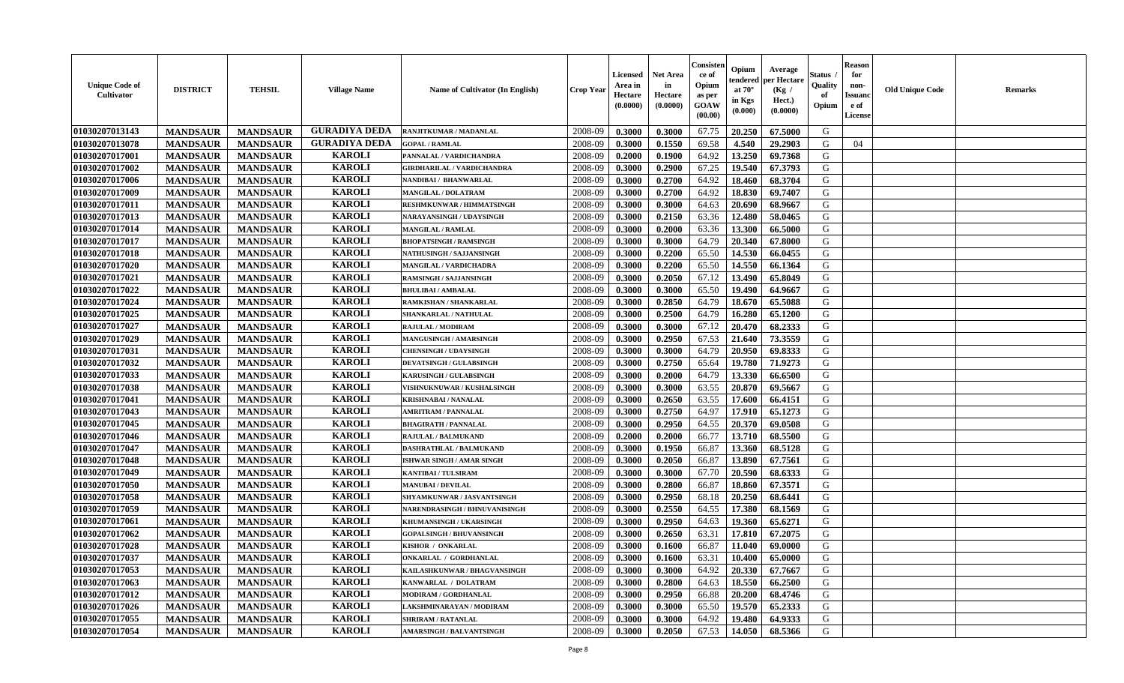| <b>GURADIYA DEDA</b><br>01030207013143<br>2008-09<br>0.3000<br>0.3000<br>67.75<br>20.250<br>67.5000<br>G<br><b>MANDSAUR</b><br><b>MANDSAUR</b><br>RANJITKUMAR / MADANLAL<br>01030207013078<br><b>GURADIYA DEDA</b><br>2008-09<br>69.58<br>4.540<br><b>MANDSAUR</b><br>0.1550<br>29.2903<br>G<br>04<br><b>MANDSAUR</b><br><b>GOPAL / RAMLAL</b><br>0.3000<br><b>KAROLI</b><br>01030207017001<br>2008-09<br>0.1900<br>64.92<br>13.250<br>69.7368<br><b>MANDSAUR</b><br><b>MANDSAUR</b><br>PANNALAL / VARDICHANDRA<br>0.2000<br>G<br><b>KAROLI</b><br>01030207017002<br><b>MANDSAUR</b><br><b>MANDSAUR</b><br>2008-09<br>0.2900<br>67.25<br>19.540<br>67.3793<br>G<br><b>GIRDHARILAL / VARDICHANDRA</b><br>0.3000<br><b>KAROLI</b><br>01030207017006<br><b>MANDSAUR</b><br><b>MANDSAUR</b><br>2008-09<br>0.2700<br>64.92<br>18.460<br>68.3704<br>G<br>NANDIBAI / BHANWARLAL<br>0.3000<br><b>KAROLI</b><br>01030207017009<br><b>MANDSAUR</b><br><b>MANDSAUR</b><br>0.2700<br>64.92<br>18.830<br>69.7407<br>G<br>2008-09<br>0.3000<br><b>MANGILAL / DOLATRAM</b><br><b>KAROLI</b><br>01030207017011<br><b>MANDSAUR</b><br>20.690<br>G<br><b>MANDSAUR</b><br>2008-09<br>0.3000<br>64.63<br>68.9667<br><b>RESHMKUNWAR / HIMMATSINGH</b><br>0.3000<br><b>KAROLI</b><br>01030207017013<br><b>MANDSAUR</b><br><b>MANDSAUR</b><br>2008-09<br>0.2150<br>63.36<br>12.480<br>58.0465<br>G<br>NARAYANSINGH / UDAYSINGH<br>0.3000<br><b>KAROLI</b><br>01030207017014<br>2008-09<br><b>MANDSAUR</b><br><b>MANDSAUR</b><br>0.3000<br>0.2000<br>63.36<br>13.300<br>66.5000<br>G<br><b>MANGILAL / RAMLAL</b><br><b>KAROLI</b><br>01030207017017<br>64.79<br>20.340<br>G<br><b>MANDSAUR</b><br>2008-09<br>0.3000<br>0.3000<br>67.8000<br><b>MANDSAUR</b><br><b>BHOPATSINGH / RAMSINGH</b><br><b>KAROLI</b><br>65.50<br>14.530<br>G<br>01030207017018<br><b>MANDSAUR</b><br><b>MANDSAUR</b><br>2008-09<br>0.2200<br>66.0455<br><b>NATHUSINGH / SAJJANSINGH</b><br>0.3000<br><b>KAROLI</b><br>01030207017020<br><b>MANDSAUR</b><br><b>MANDSAUR</b><br>MANGILAL / VARDICHADRA<br>2008-09<br>0.3000<br>0.2200<br>65.50<br>14.550<br>66.1364<br>G<br><b>KAROLI</b><br>01030207017021<br><b>MANDSAUR</b><br><b>MANDSAUR</b><br>13.490<br><b>RAMSINGH / SAJJANSINGH</b><br>2008-09<br>0.3000<br>0.2050<br>67.12<br>65.8049<br>G<br><b>KAROLI</b><br>01030207017022<br><b>MANDSAUR</b><br><b>MANDSAUR</b><br>65.50<br>19.490<br>64.9667<br>G<br><b>BHULIBAI/AMBALAL</b><br>2008-09<br>0.3000<br>0.3000<br><b>KAROLI</b><br>$\mathbf G$<br>01030207017024<br><b>MANDSAUR</b><br><b>MANDSAUR</b><br>0.2850<br>64.79<br>18.670<br>65.5088<br>2008-09<br>0.3000<br>RAMKISHAN / SHANKARLAL<br>01030207017025<br><b>KAROLI</b><br>0.2500<br>64.79<br>16.280<br>65.1200<br>G<br><b>MANDSAUR</b><br><b>MANDSAUR</b><br>2008-09<br>0.3000<br>SHANKARLAL / NATHULAL<br><b>KAROLI</b><br>01030207017027<br>2008-09<br>67.12<br>20.470<br>68.2333<br>G<br><b>MANDSAUR</b><br><b>MANDSAUR</b><br>0.3000<br>0.3000<br>RAJULAL / MODIRAM<br>01030207017029<br><b>KAROLI</b><br>2008-09<br>0.2950<br>67.53<br>21.640<br>73.3559<br>G<br><b>MANDSAUR</b><br><b>MANDSAUR</b><br>0.3000<br>MANGUSINGH / AMARSINGH<br><b>KAROLI</b><br>01030207017031<br>0.3000<br>64.79<br>20.950<br>69.8333<br>G<br><b>MANDSAUR</b><br><b>MANDSAUR</b><br>2008-09<br>0.3000<br><b>CHENSINGH / UDAYSINGH</b><br><b>KAROLI</b><br>2008-09<br>0.2750<br>19.780<br>01030207017032<br><b>MANDSAUR</b><br><b>MANDSAUR</b><br><b>DEVATSINGH / GULABSINGH</b><br>0.3000<br>65.64<br>71.9273<br>G<br><b>KAROLI</b><br>01030207017033<br><b>MANDSAUR</b><br><b>MANDSAUR</b><br>2008-09<br>0.2000<br>13.330<br>66.6500<br>G<br><b>KARUSINGH / GULABSINGH</b><br>0.3000<br>64.79<br><b>KAROLI</b><br>01030207017038<br><b>MANDSAUR</b><br><b>MANDSAUR</b><br>2008-09<br>0.3000<br>0.3000<br>63.55<br>20.870<br>69.5667<br>G<br>VISHNUKNUWAR / KUSHALSINGH<br><b>KAROLI</b><br>01030207017041<br>G<br><b>MANDSAUR</b><br><b>MANDSAUR</b><br>2008-09<br>0.2650<br>63.55<br>17.600<br>66.4151<br><b>KRISHNABAI / NANALAL</b><br>0.3000<br><b>KAROLI</b><br>G<br>01030207017043<br>0.2750<br>64.97<br>17.910<br><b>MANDSAUR</b><br><b>MANDSAUR</b><br>2008-09<br>0.3000<br>65.1273<br><b>AMRITRAM / PANNALAL</b><br><b>KAROLI</b><br>01030207017045<br><b>MANDSAUR</b><br>2008-09<br>0.2950<br>64.55<br>20.370<br>G<br><b>MANDSAUR</b><br><b>BHAGIRATH / PANNALAL</b><br>0.3000<br>69.0508<br><b>KAROLI</b><br>01030207017046<br><b>MANDSAUR</b><br>2008-09<br>0.2000<br>66.77<br>13.710<br>68.5500<br>G<br><b>MANDSAUR</b><br>0.2000<br>RAJULAL / BALMUKAND<br><b>KAROLI</b><br>01030207017047<br><b>MANDSAUR</b><br>2008-09<br>0.1950<br>66.87<br>13.360<br>68.5128<br>G<br><b>MANDSAUR</b><br>0.3000<br>DASHRATHLAL / BALMUKAND<br><b>KAROLI</b><br>01030207017048<br>0.2050<br>13.890<br>67.7561<br><b>MANDSAUR</b><br><b>MANDSAUR</b><br><b>ISHWAR SINGH / AMAR SINGH</b><br>2008-09<br>0.3000<br>66.87<br>G<br><b>KAROLI</b><br>20.590<br>01030207017049<br><b>MANDSAUR</b><br><b>MANDSAUR</b><br>2008-09<br>0.3000<br>0.3000<br>67.70<br>68.6333<br>G<br><b>KANTIBAI / TULSIRAM</b><br><b>KAROLI</b><br>01030207017050<br><b>MANDSAUR</b><br><b>MANDSAUR</b><br>2008-09<br>0.3000<br>0.2800<br>66.87<br>18.860<br>67.3571<br>G<br><b>MANUBAI/DEVILAL</b><br><b>KAROLI</b><br>01030207017058<br><b>MANDSAUR</b><br><b>MANDSAUR</b><br>0.2950<br>68.18<br>20.250<br>68.6441<br>G<br>2008-09<br>0.3000<br>SHYAMKUNWAR / JASVANTSINGH<br><b>KAROLI</b><br>01030207017059<br>G<br><b>MANDSAUR</b><br>2008-09<br>0.2550<br>64.55<br>17.380<br><b>MANDSAUR</b><br>0.3000<br>68.1569<br>NARENDRASINGH / BHNUVANISINGH<br><b>KAROLI</b><br>01030207017061<br><b>MANDSAUR</b><br>2008-09<br>0.2950<br>64.63<br>19.360<br>65.6271<br>G<br><b>MANDSAUR</b><br>KHUMANSINGH / UKARSINGH<br>0.3000<br><b>KAROLI</b><br>01030207017062<br>2008-09<br><b>MANDSAUR</b><br><b>MANDSAUR</b><br>0.3000<br>0.2650<br>63.31<br>17.810<br>67.2075<br>G<br><b>GOPALSINGH / BHUVANSINGH</b><br><b>KAROLI</b><br>01030207017028<br><b>MANDSAUR</b><br>2008-09<br>0.1600<br>66.87<br>11.040<br>69.0000<br>G<br><b>MANDSAUR</b><br>0.3000<br>KISHOR / ONKARLAL<br><b>KAROLI</b><br>01030207017037<br><b>MANDSAUR</b><br>2008-09<br>0.1600<br>63.31<br>10.400<br>65.0000<br>G<br><b>MANDSAUR</b><br><b>ONKARLAL / GORDHANLAL</b><br>0.3000<br><b>KAROLI</b><br>01030207017053<br><b>MANDSAUR</b><br><b>MANDSAUR</b><br>KAILASHKUNWAR / BHAGVANSINGH<br>2008-09<br>0.3000<br>0.3000<br>64.92<br>20.330<br>67.7667<br>G<br><b>KAROLI</b><br><b>MANDSAUR</b><br><b>MANDSAUR</b><br>01030207017063<br>KANWARLAL / DOLATRAM<br>2008-09<br>0.3000<br>0.2800<br>64.63<br>18.550<br>66.2500<br>G<br><b>KAROLI</b><br>01030207017012<br><b>MANDSAUR</b><br><b>MANDSAUR</b><br>20.200<br>68.4746<br>G<br>MODIRAM / GORDHANLAL<br>2008-09<br>0.3000<br>0.2950<br>66.88<br><b>KAROLI</b><br>65.2333<br>${\bf G}$<br>01030207017026<br><b>MANDSAUR</b><br><b>MANDSAUR</b><br>65.50<br>19.570<br>2008-09<br>0.3000<br>0.3000<br>LAKSHMINARAYAN / MODIRAM<br>G<br><b>KAROLI</b><br>01030207017055<br>2008-09<br>0.3000<br>64.92<br>19.480<br>64.9333<br><b>MANDSAUR</b><br><b>MANDSAUR</b><br><b>SHRIRAM / RATANLAL</b><br>0.3000<br><b>KAROLI</b><br>01030207017054<br>2008-09<br>0.3000<br>0.2050<br>67.53<br>68.5366<br>G<br><b>MANDSAUR</b><br>14.050<br><b>MANDSAUR</b><br><b>AMARSINGH / BALVANTSINGH</b> | <b>Unique Code of</b><br><b>Cultivator</b> | <b>DISTRICT</b> | <b>TEHSIL</b> | <b>Village Name</b> | Name of Cultivator (In English) | <b>Crop Year</b> | Licensed<br>Area in<br>Hectare<br>(0.0000) | <b>Net Area</b><br>in<br>Hectare<br>(0.0000) | Consisteı<br>ce of<br>Opium<br>as per<br>GOAW<br>(00.00) | Opium<br>endered<br>at $70^\circ$<br>in Kgs<br>(0.000) | Average<br>per Hectare<br>(Kg /<br>Hect.)<br>(0.0000) | Status<br>Quality<br>of<br>Opium | <b>Reason</b><br>for<br>non-<br><b>Issuand</b><br>e of<br>License | <b>Old Unique Code</b> | Remarks |
|--------------------------------------------------------------------------------------------------------------------------------------------------------------------------------------------------------------------------------------------------------------------------------------------------------------------------------------------------------------------------------------------------------------------------------------------------------------------------------------------------------------------------------------------------------------------------------------------------------------------------------------------------------------------------------------------------------------------------------------------------------------------------------------------------------------------------------------------------------------------------------------------------------------------------------------------------------------------------------------------------------------------------------------------------------------------------------------------------------------------------------------------------------------------------------------------------------------------------------------------------------------------------------------------------------------------------------------------------------------------------------------------------------------------------------------------------------------------------------------------------------------------------------------------------------------------------------------------------------------------------------------------------------------------------------------------------------------------------------------------------------------------------------------------------------------------------------------------------------------------------------------------------------------------------------------------------------------------------------------------------------------------------------------------------------------------------------------------------------------------------------------------------------------------------------------------------------------------------------------------------------------------------------------------------------------------------------------------------------------------------------------------------------------------------------------------------------------------------------------------------------------------------------------------------------------------------------------------------------------------------------------------------------------------------------------------------------------------------------------------------------------------------------------------------------------------------------------------------------------------------------------------------------------------------------------------------------------------------------------------------------------------------------------------------------------------------------------------------------------------------------------------------------------------------------------------------------------------------------------------------------------------------------------------------------------------------------------------------------------------------------------------------------------------------------------------------------------------------------------------------------------------------------------------------------------------------------------------------------------------------------------------------------------------------------------------------------------------------------------------------------------------------------------------------------------------------------------------------------------------------------------------------------------------------------------------------------------------------------------------------------------------------------------------------------------------------------------------------------------------------------------------------------------------------------------------------------------------------------------------------------------------------------------------------------------------------------------------------------------------------------------------------------------------------------------------------------------------------------------------------------------------------------------------------------------------------------------------------------------------------------------------------------------------------------------------------------------------------------------------------------------------------------------------------------------------------------------------------------------------------------------------------------------------------------------------------------------------------------------------------------------------------------------------------------------------------------------------------------------------------------------------------------------------------------------------------------------------------------------------------------------------------------------------------------------------------------------------------------------------------------------------------------------------------------------------------------------------------------------------------------------------------------------------------------------------------------------------------------------------------------------------------------------------------------------------------------------------------------------------------------------------------------------------------------------------------------------------------------------------------------------------------------------------------------------------------------------------------------------------------------------------------------------------------------------------------------------------------------------------------------------------------------------------------------------------------------------------------------------------------------------------------------------------------------------------------------------------------------------------------------------------------------------------------------------------------------------------------------------------------------------------------------------------------------------------------------------------------------------------------------------------------------------------------------------------------------------------------------------------------------------------------------------------------------------------------------------------------------------------------------------------------------------------------------------------------------------------------------------------------------------------------------------------------------------------------------------------------------------------------------------------------------------------------------------------------------------------------------------------------------------------------------------------------------------------------------------------------------------------------------------------|--------------------------------------------|-----------------|---------------|---------------------|---------------------------------|------------------|--------------------------------------------|----------------------------------------------|----------------------------------------------------------|--------------------------------------------------------|-------------------------------------------------------|----------------------------------|-------------------------------------------------------------------|------------------------|---------|
|                                                                                                                                                                                                                                                                                                                                                                                                                                                                                                                                                                                                                                                                                                                                                                                                                                                                                                                                                                                                                                                                                                                                                                                                                                                                                                                                                                                                                                                                                                                                                                                                                                                                                                                                                                                                                                                                                                                                                                                                                                                                                                                                                                                                                                                                                                                                                                                                                                                                                                                                                                                                                                                                                                                                                                                                                                                                                                                                                                                                                                                                                                                                                                                                                                                                                                                                                                                                                                                                                                                                                                                                                                                                                                                                                                                                                                                                                                                                                                                                                                                                                                                                                                                                                                                                                                                                                                                                                                                                                                                                                                                                                                                                                                                                                                                                                                                                                                                                                                                                                                                                                                                                                                                                                                                                                                                                                                                                                                                                                                                                                                                                                                                                                                                                                                                                                                                                                                                                                                                                                                                                                                                                                                                                                                                                                                                                                                                                                                                                                                                                                                                                                                                                                                                                                                                                                                                                                                                                                                                                                                                                                                                                                                                                                                                                                                                                                                                            |                                            |                 |               |                     |                                 |                  |                                            |                                              |                                                          |                                                        |                                                       |                                  |                                                                   |                        |         |
|                                                                                                                                                                                                                                                                                                                                                                                                                                                                                                                                                                                                                                                                                                                                                                                                                                                                                                                                                                                                                                                                                                                                                                                                                                                                                                                                                                                                                                                                                                                                                                                                                                                                                                                                                                                                                                                                                                                                                                                                                                                                                                                                                                                                                                                                                                                                                                                                                                                                                                                                                                                                                                                                                                                                                                                                                                                                                                                                                                                                                                                                                                                                                                                                                                                                                                                                                                                                                                                                                                                                                                                                                                                                                                                                                                                                                                                                                                                                                                                                                                                                                                                                                                                                                                                                                                                                                                                                                                                                                                                                                                                                                                                                                                                                                                                                                                                                                                                                                                                                                                                                                                                                                                                                                                                                                                                                                                                                                                                                                                                                                                                                                                                                                                                                                                                                                                                                                                                                                                                                                                                                                                                                                                                                                                                                                                                                                                                                                                                                                                                                                                                                                                                                                                                                                                                                                                                                                                                                                                                                                                                                                                                                                                                                                                                                                                                                                                                            |                                            |                 |               |                     |                                 |                  |                                            |                                              |                                                          |                                                        |                                                       |                                  |                                                                   |                        |         |
|                                                                                                                                                                                                                                                                                                                                                                                                                                                                                                                                                                                                                                                                                                                                                                                                                                                                                                                                                                                                                                                                                                                                                                                                                                                                                                                                                                                                                                                                                                                                                                                                                                                                                                                                                                                                                                                                                                                                                                                                                                                                                                                                                                                                                                                                                                                                                                                                                                                                                                                                                                                                                                                                                                                                                                                                                                                                                                                                                                                                                                                                                                                                                                                                                                                                                                                                                                                                                                                                                                                                                                                                                                                                                                                                                                                                                                                                                                                                                                                                                                                                                                                                                                                                                                                                                                                                                                                                                                                                                                                                                                                                                                                                                                                                                                                                                                                                                                                                                                                                                                                                                                                                                                                                                                                                                                                                                                                                                                                                                                                                                                                                                                                                                                                                                                                                                                                                                                                                                                                                                                                                                                                                                                                                                                                                                                                                                                                                                                                                                                                                                                                                                                                                                                                                                                                                                                                                                                                                                                                                                                                                                                                                                                                                                                                                                                                                                                                            |                                            |                 |               |                     |                                 |                  |                                            |                                              |                                                          |                                                        |                                                       |                                  |                                                                   |                        |         |
|                                                                                                                                                                                                                                                                                                                                                                                                                                                                                                                                                                                                                                                                                                                                                                                                                                                                                                                                                                                                                                                                                                                                                                                                                                                                                                                                                                                                                                                                                                                                                                                                                                                                                                                                                                                                                                                                                                                                                                                                                                                                                                                                                                                                                                                                                                                                                                                                                                                                                                                                                                                                                                                                                                                                                                                                                                                                                                                                                                                                                                                                                                                                                                                                                                                                                                                                                                                                                                                                                                                                                                                                                                                                                                                                                                                                                                                                                                                                                                                                                                                                                                                                                                                                                                                                                                                                                                                                                                                                                                                                                                                                                                                                                                                                                                                                                                                                                                                                                                                                                                                                                                                                                                                                                                                                                                                                                                                                                                                                                                                                                                                                                                                                                                                                                                                                                                                                                                                                                                                                                                                                                                                                                                                                                                                                                                                                                                                                                                                                                                                                                                                                                                                                                                                                                                                                                                                                                                                                                                                                                                                                                                                                                                                                                                                                                                                                                                                            |                                            |                 |               |                     |                                 |                  |                                            |                                              |                                                          |                                                        |                                                       |                                  |                                                                   |                        |         |
|                                                                                                                                                                                                                                                                                                                                                                                                                                                                                                                                                                                                                                                                                                                                                                                                                                                                                                                                                                                                                                                                                                                                                                                                                                                                                                                                                                                                                                                                                                                                                                                                                                                                                                                                                                                                                                                                                                                                                                                                                                                                                                                                                                                                                                                                                                                                                                                                                                                                                                                                                                                                                                                                                                                                                                                                                                                                                                                                                                                                                                                                                                                                                                                                                                                                                                                                                                                                                                                                                                                                                                                                                                                                                                                                                                                                                                                                                                                                                                                                                                                                                                                                                                                                                                                                                                                                                                                                                                                                                                                                                                                                                                                                                                                                                                                                                                                                                                                                                                                                                                                                                                                                                                                                                                                                                                                                                                                                                                                                                                                                                                                                                                                                                                                                                                                                                                                                                                                                                                                                                                                                                                                                                                                                                                                                                                                                                                                                                                                                                                                                                                                                                                                                                                                                                                                                                                                                                                                                                                                                                                                                                                                                                                                                                                                                                                                                                                                            |                                            |                 |               |                     |                                 |                  |                                            |                                              |                                                          |                                                        |                                                       |                                  |                                                                   |                        |         |
|                                                                                                                                                                                                                                                                                                                                                                                                                                                                                                                                                                                                                                                                                                                                                                                                                                                                                                                                                                                                                                                                                                                                                                                                                                                                                                                                                                                                                                                                                                                                                                                                                                                                                                                                                                                                                                                                                                                                                                                                                                                                                                                                                                                                                                                                                                                                                                                                                                                                                                                                                                                                                                                                                                                                                                                                                                                                                                                                                                                                                                                                                                                                                                                                                                                                                                                                                                                                                                                                                                                                                                                                                                                                                                                                                                                                                                                                                                                                                                                                                                                                                                                                                                                                                                                                                                                                                                                                                                                                                                                                                                                                                                                                                                                                                                                                                                                                                                                                                                                                                                                                                                                                                                                                                                                                                                                                                                                                                                                                                                                                                                                                                                                                                                                                                                                                                                                                                                                                                                                                                                                                                                                                                                                                                                                                                                                                                                                                                                                                                                                                                                                                                                                                                                                                                                                                                                                                                                                                                                                                                                                                                                                                                                                                                                                                                                                                                                                            |                                            |                 |               |                     |                                 |                  |                                            |                                              |                                                          |                                                        |                                                       |                                  |                                                                   |                        |         |
|                                                                                                                                                                                                                                                                                                                                                                                                                                                                                                                                                                                                                                                                                                                                                                                                                                                                                                                                                                                                                                                                                                                                                                                                                                                                                                                                                                                                                                                                                                                                                                                                                                                                                                                                                                                                                                                                                                                                                                                                                                                                                                                                                                                                                                                                                                                                                                                                                                                                                                                                                                                                                                                                                                                                                                                                                                                                                                                                                                                                                                                                                                                                                                                                                                                                                                                                                                                                                                                                                                                                                                                                                                                                                                                                                                                                                                                                                                                                                                                                                                                                                                                                                                                                                                                                                                                                                                                                                                                                                                                                                                                                                                                                                                                                                                                                                                                                                                                                                                                                                                                                                                                                                                                                                                                                                                                                                                                                                                                                                                                                                                                                                                                                                                                                                                                                                                                                                                                                                                                                                                                                                                                                                                                                                                                                                                                                                                                                                                                                                                                                                                                                                                                                                                                                                                                                                                                                                                                                                                                                                                                                                                                                                                                                                                                                                                                                                                                            |                                            |                 |               |                     |                                 |                  |                                            |                                              |                                                          |                                                        |                                                       |                                  |                                                                   |                        |         |
|                                                                                                                                                                                                                                                                                                                                                                                                                                                                                                                                                                                                                                                                                                                                                                                                                                                                                                                                                                                                                                                                                                                                                                                                                                                                                                                                                                                                                                                                                                                                                                                                                                                                                                                                                                                                                                                                                                                                                                                                                                                                                                                                                                                                                                                                                                                                                                                                                                                                                                                                                                                                                                                                                                                                                                                                                                                                                                                                                                                                                                                                                                                                                                                                                                                                                                                                                                                                                                                                                                                                                                                                                                                                                                                                                                                                                                                                                                                                                                                                                                                                                                                                                                                                                                                                                                                                                                                                                                                                                                                                                                                                                                                                                                                                                                                                                                                                                                                                                                                                                                                                                                                                                                                                                                                                                                                                                                                                                                                                                                                                                                                                                                                                                                                                                                                                                                                                                                                                                                                                                                                                                                                                                                                                                                                                                                                                                                                                                                                                                                                                                                                                                                                                                                                                                                                                                                                                                                                                                                                                                                                                                                                                                                                                                                                                                                                                                                                            |                                            |                 |               |                     |                                 |                  |                                            |                                              |                                                          |                                                        |                                                       |                                  |                                                                   |                        |         |
|                                                                                                                                                                                                                                                                                                                                                                                                                                                                                                                                                                                                                                                                                                                                                                                                                                                                                                                                                                                                                                                                                                                                                                                                                                                                                                                                                                                                                                                                                                                                                                                                                                                                                                                                                                                                                                                                                                                                                                                                                                                                                                                                                                                                                                                                                                                                                                                                                                                                                                                                                                                                                                                                                                                                                                                                                                                                                                                                                                                                                                                                                                                                                                                                                                                                                                                                                                                                                                                                                                                                                                                                                                                                                                                                                                                                                                                                                                                                                                                                                                                                                                                                                                                                                                                                                                                                                                                                                                                                                                                                                                                                                                                                                                                                                                                                                                                                                                                                                                                                                                                                                                                                                                                                                                                                                                                                                                                                                                                                                                                                                                                                                                                                                                                                                                                                                                                                                                                                                                                                                                                                                                                                                                                                                                                                                                                                                                                                                                                                                                                                                                                                                                                                                                                                                                                                                                                                                                                                                                                                                                                                                                                                                                                                                                                                                                                                                                                            |                                            |                 |               |                     |                                 |                  |                                            |                                              |                                                          |                                                        |                                                       |                                  |                                                                   |                        |         |
|                                                                                                                                                                                                                                                                                                                                                                                                                                                                                                                                                                                                                                                                                                                                                                                                                                                                                                                                                                                                                                                                                                                                                                                                                                                                                                                                                                                                                                                                                                                                                                                                                                                                                                                                                                                                                                                                                                                                                                                                                                                                                                                                                                                                                                                                                                                                                                                                                                                                                                                                                                                                                                                                                                                                                                                                                                                                                                                                                                                                                                                                                                                                                                                                                                                                                                                                                                                                                                                                                                                                                                                                                                                                                                                                                                                                                                                                                                                                                                                                                                                                                                                                                                                                                                                                                                                                                                                                                                                                                                                                                                                                                                                                                                                                                                                                                                                                                                                                                                                                                                                                                                                                                                                                                                                                                                                                                                                                                                                                                                                                                                                                                                                                                                                                                                                                                                                                                                                                                                                                                                                                                                                                                                                                                                                                                                                                                                                                                                                                                                                                                                                                                                                                                                                                                                                                                                                                                                                                                                                                                                                                                                                                                                                                                                                                                                                                                                                            |                                            |                 |               |                     |                                 |                  |                                            |                                              |                                                          |                                                        |                                                       |                                  |                                                                   |                        |         |
|                                                                                                                                                                                                                                                                                                                                                                                                                                                                                                                                                                                                                                                                                                                                                                                                                                                                                                                                                                                                                                                                                                                                                                                                                                                                                                                                                                                                                                                                                                                                                                                                                                                                                                                                                                                                                                                                                                                                                                                                                                                                                                                                                                                                                                                                                                                                                                                                                                                                                                                                                                                                                                                                                                                                                                                                                                                                                                                                                                                                                                                                                                                                                                                                                                                                                                                                                                                                                                                                                                                                                                                                                                                                                                                                                                                                                                                                                                                                                                                                                                                                                                                                                                                                                                                                                                                                                                                                                                                                                                                                                                                                                                                                                                                                                                                                                                                                                                                                                                                                                                                                                                                                                                                                                                                                                                                                                                                                                                                                                                                                                                                                                                                                                                                                                                                                                                                                                                                                                                                                                                                                                                                                                                                                                                                                                                                                                                                                                                                                                                                                                                                                                                                                                                                                                                                                                                                                                                                                                                                                                                                                                                                                                                                                                                                                                                                                                                                            |                                            |                 |               |                     |                                 |                  |                                            |                                              |                                                          |                                                        |                                                       |                                  |                                                                   |                        |         |
|                                                                                                                                                                                                                                                                                                                                                                                                                                                                                                                                                                                                                                                                                                                                                                                                                                                                                                                                                                                                                                                                                                                                                                                                                                                                                                                                                                                                                                                                                                                                                                                                                                                                                                                                                                                                                                                                                                                                                                                                                                                                                                                                                                                                                                                                                                                                                                                                                                                                                                                                                                                                                                                                                                                                                                                                                                                                                                                                                                                                                                                                                                                                                                                                                                                                                                                                                                                                                                                                                                                                                                                                                                                                                                                                                                                                                                                                                                                                                                                                                                                                                                                                                                                                                                                                                                                                                                                                                                                                                                                                                                                                                                                                                                                                                                                                                                                                                                                                                                                                                                                                                                                                                                                                                                                                                                                                                                                                                                                                                                                                                                                                                                                                                                                                                                                                                                                                                                                                                                                                                                                                                                                                                                                                                                                                                                                                                                                                                                                                                                                                                                                                                                                                                                                                                                                                                                                                                                                                                                                                                                                                                                                                                                                                                                                                                                                                                                                            |                                            |                 |               |                     |                                 |                  |                                            |                                              |                                                          |                                                        |                                                       |                                  |                                                                   |                        |         |
|                                                                                                                                                                                                                                                                                                                                                                                                                                                                                                                                                                                                                                                                                                                                                                                                                                                                                                                                                                                                                                                                                                                                                                                                                                                                                                                                                                                                                                                                                                                                                                                                                                                                                                                                                                                                                                                                                                                                                                                                                                                                                                                                                                                                                                                                                                                                                                                                                                                                                                                                                                                                                                                                                                                                                                                                                                                                                                                                                                                                                                                                                                                                                                                                                                                                                                                                                                                                                                                                                                                                                                                                                                                                                                                                                                                                                                                                                                                                                                                                                                                                                                                                                                                                                                                                                                                                                                                                                                                                                                                                                                                                                                                                                                                                                                                                                                                                                                                                                                                                                                                                                                                                                                                                                                                                                                                                                                                                                                                                                                                                                                                                                                                                                                                                                                                                                                                                                                                                                                                                                                                                                                                                                                                                                                                                                                                                                                                                                                                                                                                                                                                                                                                                                                                                                                                                                                                                                                                                                                                                                                                                                                                                                                                                                                                                                                                                                                                            |                                            |                 |               |                     |                                 |                  |                                            |                                              |                                                          |                                                        |                                                       |                                  |                                                                   |                        |         |
|                                                                                                                                                                                                                                                                                                                                                                                                                                                                                                                                                                                                                                                                                                                                                                                                                                                                                                                                                                                                                                                                                                                                                                                                                                                                                                                                                                                                                                                                                                                                                                                                                                                                                                                                                                                                                                                                                                                                                                                                                                                                                                                                                                                                                                                                                                                                                                                                                                                                                                                                                                                                                                                                                                                                                                                                                                                                                                                                                                                                                                                                                                                                                                                                                                                                                                                                                                                                                                                                                                                                                                                                                                                                                                                                                                                                                                                                                                                                                                                                                                                                                                                                                                                                                                                                                                                                                                                                                                                                                                                                                                                                                                                                                                                                                                                                                                                                                                                                                                                                                                                                                                                                                                                                                                                                                                                                                                                                                                                                                                                                                                                                                                                                                                                                                                                                                                                                                                                                                                                                                                                                                                                                                                                                                                                                                                                                                                                                                                                                                                                                                                                                                                                                                                                                                                                                                                                                                                                                                                                                                                                                                                                                                                                                                                                                                                                                                                                            |                                            |                 |               |                     |                                 |                  |                                            |                                              |                                                          |                                                        |                                                       |                                  |                                                                   |                        |         |
|                                                                                                                                                                                                                                                                                                                                                                                                                                                                                                                                                                                                                                                                                                                                                                                                                                                                                                                                                                                                                                                                                                                                                                                                                                                                                                                                                                                                                                                                                                                                                                                                                                                                                                                                                                                                                                                                                                                                                                                                                                                                                                                                                                                                                                                                                                                                                                                                                                                                                                                                                                                                                                                                                                                                                                                                                                                                                                                                                                                                                                                                                                                                                                                                                                                                                                                                                                                                                                                                                                                                                                                                                                                                                                                                                                                                                                                                                                                                                                                                                                                                                                                                                                                                                                                                                                                                                                                                                                                                                                                                                                                                                                                                                                                                                                                                                                                                                                                                                                                                                                                                                                                                                                                                                                                                                                                                                                                                                                                                                                                                                                                                                                                                                                                                                                                                                                                                                                                                                                                                                                                                                                                                                                                                                                                                                                                                                                                                                                                                                                                                                                                                                                                                                                                                                                                                                                                                                                                                                                                                                                                                                                                                                                                                                                                                                                                                                                                            |                                            |                 |               |                     |                                 |                  |                                            |                                              |                                                          |                                                        |                                                       |                                  |                                                                   |                        |         |
|                                                                                                                                                                                                                                                                                                                                                                                                                                                                                                                                                                                                                                                                                                                                                                                                                                                                                                                                                                                                                                                                                                                                                                                                                                                                                                                                                                                                                                                                                                                                                                                                                                                                                                                                                                                                                                                                                                                                                                                                                                                                                                                                                                                                                                                                                                                                                                                                                                                                                                                                                                                                                                                                                                                                                                                                                                                                                                                                                                                                                                                                                                                                                                                                                                                                                                                                                                                                                                                                                                                                                                                                                                                                                                                                                                                                                                                                                                                                                                                                                                                                                                                                                                                                                                                                                                                                                                                                                                                                                                                                                                                                                                                                                                                                                                                                                                                                                                                                                                                                                                                                                                                                                                                                                                                                                                                                                                                                                                                                                                                                                                                                                                                                                                                                                                                                                                                                                                                                                                                                                                                                                                                                                                                                                                                                                                                                                                                                                                                                                                                                                                                                                                                                                                                                                                                                                                                                                                                                                                                                                                                                                                                                                                                                                                                                                                                                                                                            |                                            |                 |               |                     |                                 |                  |                                            |                                              |                                                          |                                                        |                                                       |                                  |                                                                   |                        |         |
|                                                                                                                                                                                                                                                                                                                                                                                                                                                                                                                                                                                                                                                                                                                                                                                                                                                                                                                                                                                                                                                                                                                                                                                                                                                                                                                                                                                                                                                                                                                                                                                                                                                                                                                                                                                                                                                                                                                                                                                                                                                                                                                                                                                                                                                                                                                                                                                                                                                                                                                                                                                                                                                                                                                                                                                                                                                                                                                                                                                                                                                                                                                                                                                                                                                                                                                                                                                                                                                                                                                                                                                                                                                                                                                                                                                                                                                                                                                                                                                                                                                                                                                                                                                                                                                                                                                                                                                                                                                                                                                                                                                                                                                                                                                                                                                                                                                                                                                                                                                                                                                                                                                                                                                                                                                                                                                                                                                                                                                                                                                                                                                                                                                                                                                                                                                                                                                                                                                                                                                                                                                                                                                                                                                                                                                                                                                                                                                                                                                                                                                                                                                                                                                                                                                                                                                                                                                                                                                                                                                                                                                                                                                                                                                                                                                                                                                                                                                            |                                            |                 |               |                     |                                 |                  |                                            |                                              |                                                          |                                                        |                                                       |                                  |                                                                   |                        |         |
|                                                                                                                                                                                                                                                                                                                                                                                                                                                                                                                                                                                                                                                                                                                                                                                                                                                                                                                                                                                                                                                                                                                                                                                                                                                                                                                                                                                                                                                                                                                                                                                                                                                                                                                                                                                                                                                                                                                                                                                                                                                                                                                                                                                                                                                                                                                                                                                                                                                                                                                                                                                                                                                                                                                                                                                                                                                                                                                                                                                                                                                                                                                                                                                                                                                                                                                                                                                                                                                                                                                                                                                                                                                                                                                                                                                                                                                                                                                                                                                                                                                                                                                                                                                                                                                                                                                                                                                                                                                                                                                                                                                                                                                                                                                                                                                                                                                                                                                                                                                                                                                                                                                                                                                                                                                                                                                                                                                                                                                                                                                                                                                                                                                                                                                                                                                                                                                                                                                                                                                                                                                                                                                                                                                                                                                                                                                                                                                                                                                                                                                                                                                                                                                                                                                                                                                                                                                                                                                                                                                                                                                                                                                                                                                                                                                                                                                                                                                            |                                            |                 |               |                     |                                 |                  |                                            |                                              |                                                          |                                                        |                                                       |                                  |                                                                   |                        |         |
|                                                                                                                                                                                                                                                                                                                                                                                                                                                                                                                                                                                                                                                                                                                                                                                                                                                                                                                                                                                                                                                                                                                                                                                                                                                                                                                                                                                                                                                                                                                                                                                                                                                                                                                                                                                                                                                                                                                                                                                                                                                                                                                                                                                                                                                                                                                                                                                                                                                                                                                                                                                                                                                                                                                                                                                                                                                                                                                                                                                                                                                                                                                                                                                                                                                                                                                                                                                                                                                                                                                                                                                                                                                                                                                                                                                                                                                                                                                                                                                                                                                                                                                                                                                                                                                                                                                                                                                                                                                                                                                                                                                                                                                                                                                                                                                                                                                                                                                                                                                                                                                                                                                                                                                                                                                                                                                                                                                                                                                                                                                                                                                                                                                                                                                                                                                                                                                                                                                                                                                                                                                                                                                                                                                                                                                                                                                                                                                                                                                                                                                                                                                                                                                                                                                                                                                                                                                                                                                                                                                                                                                                                                                                                                                                                                                                                                                                                                                            |                                            |                 |               |                     |                                 |                  |                                            |                                              |                                                          |                                                        |                                                       |                                  |                                                                   |                        |         |
|                                                                                                                                                                                                                                                                                                                                                                                                                                                                                                                                                                                                                                                                                                                                                                                                                                                                                                                                                                                                                                                                                                                                                                                                                                                                                                                                                                                                                                                                                                                                                                                                                                                                                                                                                                                                                                                                                                                                                                                                                                                                                                                                                                                                                                                                                                                                                                                                                                                                                                                                                                                                                                                                                                                                                                                                                                                                                                                                                                                                                                                                                                                                                                                                                                                                                                                                                                                                                                                                                                                                                                                                                                                                                                                                                                                                                                                                                                                                                                                                                                                                                                                                                                                                                                                                                                                                                                                                                                                                                                                                                                                                                                                                                                                                                                                                                                                                                                                                                                                                                                                                                                                                                                                                                                                                                                                                                                                                                                                                                                                                                                                                                                                                                                                                                                                                                                                                                                                                                                                                                                                                                                                                                                                                                                                                                                                                                                                                                                                                                                                                                                                                                                                                                                                                                                                                                                                                                                                                                                                                                                                                                                                                                                                                                                                                                                                                                                                            |                                            |                 |               |                     |                                 |                  |                                            |                                              |                                                          |                                                        |                                                       |                                  |                                                                   |                        |         |
|                                                                                                                                                                                                                                                                                                                                                                                                                                                                                                                                                                                                                                                                                                                                                                                                                                                                                                                                                                                                                                                                                                                                                                                                                                                                                                                                                                                                                                                                                                                                                                                                                                                                                                                                                                                                                                                                                                                                                                                                                                                                                                                                                                                                                                                                                                                                                                                                                                                                                                                                                                                                                                                                                                                                                                                                                                                                                                                                                                                                                                                                                                                                                                                                                                                                                                                                                                                                                                                                                                                                                                                                                                                                                                                                                                                                                                                                                                                                                                                                                                                                                                                                                                                                                                                                                                                                                                                                                                                                                                                                                                                                                                                                                                                                                                                                                                                                                                                                                                                                                                                                                                                                                                                                                                                                                                                                                                                                                                                                                                                                                                                                                                                                                                                                                                                                                                                                                                                                                                                                                                                                                                                                                                                                                                                                                                                                                                                                                                                                                                                                                                                                                                                                                                                                                                                                                                                                                                                                                                                                                                                                                                                                                                                                                                                                                                                                                                                            |                                            |                 |               |                     |                                 |                  |                                            |                                              |                                                          |                                                        |                                                       |                                  |                                                                   |                        |         |
|                                                                                                                                                                                                                                                                                                                                                                                                                                                                                                                                                                                                                                                                                                                                                                                                                                                                                                                                                                                                                                                                                                                                                                                                                                                                                                                                                                                                                                                                                                                                                                                                                                                                                                                                                                                                                                                                                                                                                                                                                                                                                                                                                                                                                                                                                                                                                                                                                                                                                                                                                                                                                                                                                                                                                                                                                                                                                                                                                                                                                                                                                                                                                                                                                                                                                                                                                                                                                                                                                                                                                                                                                                                                                                                                                                                                                                                                                                                                                                                                                                                                                                                                                                                                                                                                                                                                                                                                                                                                                                                                                                                                                                                                                                                                                                                                                                                                                                                                                                                                                                                                                                                                                                                                                                                                                                                                                                                                                                                                                                                                                                                                                                                                                                                                                                                                                                                                                                                                                                                                                                                                                                                                                                                                                                                                                                                                                                                                                                                                                                                                                                                                                                                                                                                                                                                                                                                                                                                                                                                                                                                                                                                                                                                                                                                                                                                                                                                            |                                            |                 |               |                     |                                 |                  |                                            |                                              |                                                          |                                                        |                                                       |                                  |                                                                   |                        |         |
|                                                                                                                                                                                                                                                                                                                                                                                                                                                                                                                                                                                                                                                                                                                                                                                                                                                                                                                                                                                                                                                                                                                                                                                                                                                                                                                                                                                                                                                                                                                                                                                                                                                                                                                                                                                                                                                                                                                                                                                                                                                                                                                                                                                                                                                                                                                                                                                                                                                                                                                                                                                                                                                                                                                                                                                                                                                                                                                                                                                                                                                                                                                                                                                                                                                                                                                                                                                                                                                                                                                                                                                                                                                                                                                                                                                                                                                                                                                                                                                                                                                                                                                                                                                                                                                                                                                                                                                                                                                                                                                                                                                                                                                                                                                                                                                                                                                                                                                                                                                                                                                                                                                                                                                                                                                                                                                                                                                                                                                                                                                                                                                                                                                                                                                                                                                                                                                                                                                                                                                                                                                                                                                                                                                                                                                                                                                                                                                                                                                                                                                                                                                                                                                                                                                                                                                                                                                                                                                                                                                                                                                                                                                                                                                                                                                                                                                                                                                            |                                            |                 |               |                     |                                 |                  |                                            |                                              |                                                          |                                                        |                                                       |                                  |                                                                   |                        |         |
|                                                                                                                                                                                                                                                                                                                                                                                                                                                                                                                                                                                                                                                                                                                                                                                                                                                                                                                                                                                                                                                                                                                                                                                                                                                                                                                                                                                                                                                                                                                                                                                                                                                                                                                                                                                                                                                                                                                                                                                                                                                                                                                                                                                                                                                                                                                                                                                                                                                                                                                                                                                                                                                                                                                                                                                                                                                                                                                                                                                                                                                                                                                                                                                                                                                                                                                                                                                                                                                                                                                                                                                                                                                                                                                                                                                                                                                                                                                                                                                                                                                                                                                                                                                                                                                                                                                                                                                                                                                                                                                                                                                                                                                                                                                                                                                                                                                                                                                                                                                                                                                                                                                                                                                                                                                                                                                                                                                                                                                                                                                                                                                                                                                                                                                                                                                                                                                                                                                                                                                                                                                                                                                                                                                                                                                                                                                                                                                                                                                                                                                                                                                                                                                                                                                                                                                                                                                                                                                                                                                                                                                                                                                                                                                                                                                                                                                                                                                            |                                            |                 |               |                     |                                 |                  |                                            |                                              |                                                          |                                                        |                                                       |                                  |                                                                   |                        |         |
|                                                                                                                                                                                                                                                                                                                                                                                                                                                                                                                                                                                                                                                                                                                                                                                                                                                                                                                                                                                                                                                                                                                                                                                                                                                                                                                                                                                                                                                                                                                                                                                                                                                                                                                                                                                                                                                                                                                                                                                                                                                                                                                                                                                                                                                                                                                                                                                                                                                                                                                                                                                                                                                                                                                                                                                                                                                                                                                                                                                                                                                                                                                                                                                                                                                                                                                                                                                                                                                                                                                                                                                                                                                                                                                                                                                                                                                                                                                                                                                                                                                                                                                                                                                                                                                                                                                                                                                                                                                                                                                                                                                                                                                                                                                                                                                                                                                                                                                                                                                                                                                                                                                                                                                                                                                                                                                                                                                                                                                                                                                                                                                                                                                                                                                                                                                                                                                                                                                                                                                                                                                                                                                                                                                                                                                                                                                                                                                                                                                                                                                                                                                                                                                                                                                                                                                                                                                                                                                                                                                                                                                                                                                                                                                                                                                                                                                                                                                            |                                            |                 |               |                     |                                 |                  |                                            |                                              |                                                          |                                                        |                                                       |                                  |                                                                   |                        |         |
|                                                                                                                                                                                                                                                                                                                                                                                                                                                                                                                                                                                                                                                                                                                                                                                                                                                                                                                                                                                                                                                                                                                                                                                                                                                                                                                                                                                                                                                                                                                                                                                                                                                                                                                                                                                                                                                                                                                                                                                                                                                                                                                                                                                                                                                                                                                                                                                                                                                                                                                                                                                                                                                                                                                                                                                                                                                                                                                                                                                                                                                                                                                                                                                                                                                                                                                                                                                                                                                                                                                                                                                                                                                                                                                                                                                                                                                                                                                                                                                                                                                                                                                                                                                                                                                                                                                                                                                                                                                                                                                                                                                                                                                                                                                                                                                                                                                                                                                                                                                                                                                                                                                                                                                                                                                                                                                                                                                                                                                                                                                                                                                                                                                                                                                                                                                                                                                                                                                                                                                                                                                                                                                                                                                                                                                                                                                                                                                                                                                                                                                                                                                                                                                                                                                                                                                                                                                                                                                                                                                                                                                                                                                                                                                                                                                                                                                                                                                            |                                            |                 |               |                     |                                 |                  |                                            |                                              |                                                          |                                                        |                                                       |                                  |                                                                   |                        |         |
|                                                                                                                                                                                                                                                                                                                                                                                                                                                                                                                                                                                                                                                                                                                                                                                                                                                                                                                                                                                                                                                                                                                                                                                                                                                                                                                                                                                                                                                                                                                                                                                                                                                                                                                                                                                                                                                                                                                                                                                                                                                                                                                                                                                                                                                                                                                                                                                                                                                                                                                                                                                                                                                                                                                                                                                                                                                                                                                                                                                                                                                                                                                                                                                                                                                                                                                                                                                                                                                                                                                                                                                                                                                                                                                                                                                                                                                                                                                                                                                                                                                                                                                                                                                                                                                                                                                                                                                                                                                                                                                                                                                                                                                                                                                                                                                                                                                                                                                                                                                                                                                                                                                                                                                                                                                                                                                                                                                                                                                                                                                                                                                                                                                                                                                                                                                                                                                                                                                                                                                                                                                                                                                                                                                                                                                                                                                                                                                                                                                                                                                                                                                                                                                                                                                                                                                                                                                                                                                                                                                                                                                                                                                                                                                                                                                                                                                                                                                            |                                            |                 |               |                     |                                 |                  |                                            |                                              |                                                          |                                                        |                                                       |                                  |                                                                   |                        |         |
|                                                                                                                                                                                                                                                                                                                                                                                                                                                                                                                                                                                                                                                                                                                                                                                                                                                                                                                                                                                                                                                                                                                                                                                                                                                                                                                                                                                                                                                                                                                                                                                                                                                                                                                                                                                                                                                                                                                                                                                                                                                                                                                                                                                                                                                                                                                                                                                                                                                                                                                                                                                                                                                                                                                                                                                                                                                                                                                                                                                                                                                                                                                                                                                                                                                                                                                                                                                                                                                                                                                                                                                                                                                                                                                                                                                                                                                                                                                                                                                                                                                                                                                                                                                                                                                                                                                                                                                                                                                                                                                                                                                                                                                                                                                                                                                                                                                                                                                                                                                                                                                                                                                                                                                                                                                                                                                                                                                                                                                                                                                                                                                                                                                                                                                                                                                                                                                                                                                                                                                                                                                                                                                                                                                                                                                                                                                                                                                                                                                                                                                                                                                                                                                                                                                                                                                                                                                                                                                                                                                                                                                                                                                                                                                                                                                                                                                                                                                            |                                            |                 |               |                     |                                 |                  |                                            |                                              |                                                          |                                                        |                                                       |                                  |                                                                   |                        |         |
|                                                                                                                                                                                                                                                                                                                                                                                                                                                                                                                                                                                                                                                                                                                                                                                                                                                                                                                                                                                                                                                                                                                                                                                                                                                                                                                                                                                                                                                                                                                                                                                                                                                                                                                                                                                                                                                                                                                                                                                                                                                                                                                                                                                                                                                                                                                                                                                                                                                                                                                                                                                                                                                                                                                                                                                                                                                                                                                                                                                                                                                                                                                                                                                                                                                                                                                                                                                                                                                                                                                                                                                                                                                                                                                                                                                                                                                                                                                                                                                                                                                                                                                                                                                                                                                                                                                                                                                                                                                                                                                                                                                                                                                                                                                                                                                                                                                                                                                                                                                                                                                                                                                                                                                                                                                                                                                                                                                                                                                                                                                                                                                                                                                                                                                                                                                                                                                                                                                                                                                                                                                                                                                                                                                                                                                                                                                                                                                                                                                                                                                                                                                                                                                                                                                                                                                                                                                                                                                                                                                                                                                                                                                                                                                                                                                                                                                                                                                            |                                            |                 |               |                     |                                 |                  |                                            |                                              |                                                          |                                                        |                                                       |                                  |                                                                   |                        |         |
|                                                                                                                                                                                                                                                                                                                                                                                                                                                                                                                                                                                                                                                                                                                                                                                                                                                                                                                                                                                                                                                                                                                                                                                                                                                                                                                                                                                                                                                                                                                                                                                                                                                                                                                                                                                                                                                                                                                                                                                                                                                                                                                                                                                                                                                                                                                                                                                                                                                                                                                                                                                                                                                                                                                                                                                                                                                                                                                                                                                                                                                                                                                                                                                                                                                                                                                                                                                                                                                                                                                                                                                                                                                                                                                                                                                                                                                                                                                                                                                                                                                                                                                                                                                                                                                                                                                                                                                                                                                                                                                                                                                                                                                                                                                                                                                                                                                                                                                                                                                                                                                                                                                                                                                                                                                                                                                                                                                                                                                                                                                                                                                                                                                                                                                                                                                                                                                                                                                                                                                                                                                                                                                                                                                                                                                                                                                                                                                                                                                                                                                                                                                                                                                                                                                                                                                                                                                                                                                                                                                                                                                                                                                                                                                                                                                                                                                                                                                            |                                            |                 |               |                     |                                 |                  |                                            |                                              |                                                          |                                                        |                                                       |                                  |                                                                   |                        |         |
|                                                                                                                                                                                                                                                                                                                                                                                                                                                                                                                                                                                                                                                                                                                                                                                                                                                                                                                                                                                                                                                                                                                                                                                                                                                                                                                                                                                                                                                                                                                                                                                                                                                                                                                                                                                                                                                                                                                                                                                                                                                                                                                                                                                                                                                                                                                                                                                                                                                                                                                                                                                                                                                                                                                                                                                                                                                                                                                                                                                                                                                                                                                                                                                                                                                                                                                                                                                                                                                                                                                                                                                                                                                                                                                                                                                                                                                                                                                                                                                                                                                                                                                                                                                                                                                                                                                                                                                                                                                                                                                                                                                                                                                                                                                                                                                                                                                                                                                                                                                                                                                                                                                                                                                                                                                                                                                                                                                                                                                                                                                                                                                                                                                                                                                                                                                                                                                                                                                                                                                                                                                                                                                                                                                                                                                                                                                                                                                                                                                                                                                                                                                                                                                                                                                                                                                                                                                                                                                                                                                                                                                                                                                                                                                                                                                                                                                                                                                            |                                            |                 |               |                     |                                 |                  |                                            |                                              |                                                          |                                                        |                                                       |                                  |                                                                   |                        |         |
|                                                                                                                                                                                                                                                                                                                                                                                                                                                                                                                                                                                                                                                                                                                                                                                                                                                                                                                                                                                                                                                                                                                                                                                                                                                                                                                                                                                                                                                                                                                                                                                                                                                                                                                                                                                                                                                                                                                                                                                                                                                                                                                                                                                                                                                                                                                                                                                                                                                                                                                                                                                                                                                                                                                                                                                                                                                                                                                                                                                                                                                                                                                                                                                                                                                                                                                                                                                                                                                                                                                                                                                                                                                                                                                                                                                                                                                                                                                                                                                                                                                                                                                                                                                                                                                                                                                                                                                                                                                                                                                                                                                                                                                                                                                                                                                                                                                                                                                                                                                                                                                                                                                                                                                                                                                                                                                                                                                                                                                                                                                                                                                                                                                                                                                                                                                                                                                                                                                                                                                                                                                                                                                                                                                                                                                                                                                                                                                                                                                                                                                                                                                                                                                                                                                                                                                                                                                                                                                                                                                                                                                                                                                                                                                                                                                                                                                                                                                            |                                            |                 |               |                     |                                 |                  |                                            |                                              |                                                          |                                                        |                                                       |                                  |                                                                   |                        |         |
|                                                                                                                                                                                                                                                                                                                                                                                                                                                                                                                                                                                                                                                                                                                                                                                                                                                                                                                                                                                                                                                                                                                                                                                                                                                                                                                                                                                                                                                                                                                                                                                                                                                                                                                                                                                                                                                                                                                                                                                                                                                                                                                                                                                                                                                                                                                                                                                                                                                                                                                                                                                                                                                                                                                                                                                                                                                                                                                                                                                                                                                                                                                                                                                                                                                                                                                                                                                                                                                                                                                                                                                                                                                                                                                                                                                                                                                                                                                                                                                                                                                                                                                                                                                                                                                                                                                                                                                                                                                                                                                                                                                                                                                                                                                                                                                                                                                                                                                                                                                                                                                                                                                                                                                                                                                                                                                                                                                                                                                                                                                                                                                                                                                                                                                                                                                                                                                                                                                                                                                                                                                                                                                                                                                                                                                                                                                                                                                                                                                                                                                                                                                                                                                                                                                                                                                                                                                                                                                                                                                                                                                                                                                                                                                                                                                                                                                                                                                            |                                            |                 |               |                     |                                 |                  |                                            |                                              |                                                          |                                                        |                                                       |                                  |                                                                   |                        |         |
|                                                                                                                                                                                                                                                                                                                                                                                                                                                                                                                                                                                                                                                                                                                                                                                                                                                                                                                                                                                                                                                                                                                                                                                                                                                                                                                                                                                                                                                                                                                                                                                                                                                                                                                                                                                                                                                                                                                                                                                                                                                                                                                                                                                                                                                                                                                                                                                                                                                                                                                                                                                                                                                                                                                                                                                                                                                                                                                                                                                                                                                                                                                                                                                                                                                                                                                                                                                                                                                                                                                                                                                                                                                                                                                                                                                                                                                                                                                                                                                                                                                                                                                                                                                                                                                                                                                                                                                                                                                                                                                                                                                                                                                                                                                                                                                                                                                                                                                                                                                                                                                                                                                                                                                                                                                                                                                                                                                                                                                                                                                                                                                                                                                                                                                                                                                                                                                                                                                                                                                                                                                                                                                                                                                                                                                                                                                                                                                                                                                                                                                                                                                                                                                                                                                                                                                                                                                                                                                                                                                                                                                                                                                                                                                                                                                                                                                                                                                            |                                            |                 |               |                     |                                 |                  |                                            |                                              |                                                          |                                                        |                                                       |                                  |                                                                   |                        |         |
|                                                                                                                                                                                                                                                                                                                                                                                                                                                                                                                                                                                                                                                                                                                                                                                                                                                                                                                                                                                                                                                                                                                                                                                                                                                                                                                                                                                                                                                                                                                                                                                                                                                                                                                                                                                                                                                                                                                                                                                                                                                                                                                                                                                                                                                                                                                                                                                                                                                                                                                                                                                                                                                                                                                                                                                                                                                                                                                                                                                                                                                                                                                                                                                                                                                                                                                                                                                                                                                                                                                                                                                                                                                                                                                                                                                                                                                                                                                                                                                                                                                                                                                                                                                                                                                                                                                                                                                                                                                                                                                                                                                                                                                                                                                                                                                                                                                                                                                                                                                                                                                                                                                                                                                                                                                                                                                                                                                                                                                                                                                                                                                                                                                                                                                                                                                                                                                                                                                                                                                                                                                                                                                                                                                                                                                                                                                                                                                                                                                                                                                                                                                                                                                                                                                                                                                                                                                                                                                                                                                                                                                                                                                                                                                                                                                                                                                                                                                            |                                            |                 |               |                     |                                 |                  |                                            |                                              |                                                          |                                                        |                                                       |                                  |                                                                   |                        |         |
|                                                                                                                                                                                                                                                                                                                                                                                                                                                                                                                                                                                                                                                                                                                                                                                                                                                                                                                                                                                                                                                                                                                                                                                                                                                                                                                                                                                                                                                                                                                                                                                                                                                                                                                                                                                                                                                                                                                                                                                                                                                                                                                                                                                                                                                                                                                                                                                                                                                                                                                                                                                                                                                                                                                                                                                                                                                                                                                                                                                                                                                                                                                                                                                                                                                                                                                                                                                                                                                                                                                                                                                                                                                                                                                                                                                                                                                                                                                                                                                                                                                                                                                                                                                                                                                                                                                                                                                                                                                                                                                                                                                                                                                                                                                                                                                                                                                                                                                                                                                                                                                                                                                                                                                                                                                                                                                                                                                                                                                                                                                                                                                                                                                                                                                                                                                                                                                                                                                                                                                                                                                                                                                                                                                                                                                                                                                                                                                                                                                                                                                                                                                                                                                                                                                                                                                                                                                                                                                                                                                                                                                                                                                                                                                                                                                                                                                                                                                            |                                            |                 |               |                     |                                 |                  |                                            |                                              |                                                          |                                                        |                                                       |                                  |                                                                   |                        |         |
|                                                                                                                                                                                                                                                                                                                                                                                                                                                                                                                                                                                                                                                                                                                                                                                                                                                                                                                                                                                                                                                                                                                                                                                                                                                                                                                                                                                                                                                                                                                                                                                                                                                                                                                                                                                                                                                                                                                                                                                                                                                                                                                                                                                                                                                                                                                                                                                                                                                                                                                                                                                                                                                                                                                                                                                                                                                                                                                                                                                                                                                                                                                                                                                                                                                                                                                                                                                                                                                                                                                                                                                                                                                                                                                                                                                                                                                                                                                                                                                                                                                                                                                                                                                                                                                                                                                                                                                                                                                                                                                                                                                                                                                                                                                                                                                                                                                                                                                                                                                                                                                                                                                                                                                                                                                                                                                                                                                                                                                                                                                                                                                                                                                                                                                                                                                                                                                                                                                                                                                                                                                                                                                                                                                                                                                                                                                                                                                                                                                                                                                                                                                                                                                                                                                                                                                                                                                                                                                                                                                                                                                                                                                                                                                                                                                                                                                                                                                            |                                            |                 |               |                     |                                 |                  |                                            |                                              |                                                          |                                                        |                                                       |                                  |                                                                   |                        |         |
|                                                                                                                                                                                                                                                                                                                                                                                                                                                                                                                                                                                                                                                                                                                                                                                                                                                                                                                                                                                                                                                                                                                                                                                                                                                                                                                                                                                                                                                                                                                                                                                                                                                                                                                                                                                                                                                                                                                                                                                                                                                                                                                                                                                                                                                                                                                                                                                                                                                                                                                                                                                                                                                                                                                                                                                                                                                                                                                                                                                                                                                                                                                                                                                                                                                                                                                                                                                                                                                                                                                                                                                                                                                                                                                                                                                                                                                                                                                                                                                                                                                                                                                                                                                                                                                                                                                                                                                                                                                                                                                                                                                                                                                                                                                                                                                                                                                                                                                                                                                                                                                                                                                                                                                                                                                                                                                                                                                                                                                                                                                                                                                                                                                                                                                                                                                                                                                                                                                                                                                                                                                                                                                                                                                                                                                                                                                                                                                                                                                                                                                                                                                                                                                                                                                                                                                                                                                                                                                                                                                                                                                                                                                                                                                                                                                                                                                                                                                            |                                            |                 |               |                     |                                 |                  |                                            |                                              |                                                          |                                                        |                                                       |                                  |                                                                   |                        |         |
|                                                                                                                                                                                                                                                                                                                                                                                                                                                                                                                                                                                                                                                                                                                                                                                                                                                                                                                                                                                                                                                                                                                                                                                                                                                                                                                                                                                                                                                                                                                                                                                                                                                                                                                                                                                                                                                                                                                                                                                                                                                                                                                                                                                                                                                                                                                                                                                                                                                                                                                                                                                                                                                                                                                                                                                                                                                                                                                                                                                                                                                                                                                                                                                                                                                                                                                                                                                                                                                                                                                                                                                                                                                                                                                                                                                                                                                                                                                                                                                                                                                                                                                                                                                                                                                                                                                                                                                                                                                                                                                                                                                                                                                                                                                                                                                                                                                                                                                                                                                                                                                                                                                                                                                                                                                                                                                                                                                                                                                                                                                                                                                                                                                                                                                                                                                                                                                                                                                                                                                                                                                                                                                                                                                                                                                                                                                                                                                                                                                                                                                                                                                                                                                                                                                                                                                                                                                                                                                                                                                                                                                                                                                                                                                                                                                                                                                                                                                            |                                            |                 |               |                     |                                 |                  |                                            |                                              |                                                          |                                                        |                                                       |                                  |                                                                   |                        |         |
|                                                                                                                                                                                                                                                                                                                                                                                                                                                                                                                                                                                                                                                                                                                                                                                                                                                                                                                                                                                                                                                                                                                                                                                                                                                                                                                                                                                                                                                                                                                                                                                                                                                                                                                                                                                                                                                                                                                                                                                                                                                                                                                                                                                                                                                                                                                                                                                                                                                                                                                                                                                                                                                                                                                                                                                                                                                                                                                                                                                                                                                                                                                                                                                                                                                                                                                                                                                                                                                                                                                                                                                                                                                                                                                                                                                                                                                                                                                                                                                                                                                                                                                                                                                                                                                                                                                                                                                                                                                                                                                                                                                                                                                                                                                                                                                                                                                                                                                                                                                                                                                                                                                                                                                                                                                                                                                                                                                                                                                                                                                                                                                                                                                                                                                                                                                                                                                                                                                                                                                                                                                                                                                                                                                                                                                                                                                                                                                                                                                                                                                                                                                                                                                                                                                                                                                                                                                                                                                                                                                                                                                                                                                                                                                                                                                                                                                                                                                            |                                            |                 |               |                     |                                 |                  |                                            |                                              |                                                          |                                                        |                                                       |                                  |                                                                   |                        |         |
|                                                                                                                                                                                                                                                                                                                                                                                                                                                                                                                                                                                                                                                                                                                                                                                                                                                                                                                                                                                                                                                                                                                                                                                                                                                                                                                                                                                                                                                                                                                                                                                                                                                                                                                                                                                                                                                                                                                                                                                                                                                                                                                                                                                                                                                                                                                                                                                                                                                                                                                                                                                                                                                                                                                                                                                                                                                                                                                                                                                                                                                                                                                                                                                                                                                                                                                                                                                                                                                                                                                                                                                                                                                                                                                                                                                                                                                                                                                                                                                                                                                                                                                                                                                                                                                                                                                                                                                                                                                                                                                                                                                                                                                                                                                                                                                                                                                                                                                                                                                                                                                                                                                                                                                                                                                                                                                                                                                                                                                                                                                                                                                                                                                                                                                                                                                                                                                                                                                                                                                                                                                                                                                                                                                                                                                                                                                                                                                                                                                                                                                                                                                                                                                                                                                                                                                                                                                                                                                                                                                                                                                                                                                                                                                                                                                                                                                                                                                            |                                            |                 |               |                     |                                 |                  |                                            |                                              |                                                          |                                                        |                                                       |                                  |                                                                   |                        |         |
|                                                                                                                                                                                                                                                                                                                                                                                                                                                                                                                                                                                                                                                                                                                                                                                                                                                                                                                                                                                                                                                                                                                                                                                                                                                                                                                                                                                                                                                                                                                                                                                                                                                                                                                                                                                                                                                                                                                                                                                                                                                                                                                                                                                                                                                                                                                                                                                                                                                                                                                                                                                                                                                                                                                                                                                                                                                                                                                                                                                                                                                                                                                                                                                                                                                                                                                                                                                                                                                                                                                                                                                                                                                                                                                                                                                                                                                                                                                                                                                                                                                                                                                                                                                                                                                                                                                                                                                                                                                                                                                                                                                                                                                                                                                                                                                                                                                                                                                                                                                                                                                                                                                                                                                                                                                                                                                                                                                                                                                                                                                                                                                                                                                                                                                                                                                                                                                                                                                                                                                                                                                                                                                                                                                                                                                                                                                                                                                                                                                                                                                                                                                                                                                                                                                                                                                                                                                                                                                                                                                                                                                                                                                                                                                                                                                                                                                                                                                            |                                            |                 |               |                     |                                 |                  |                                            |                                              |                                                          |                                                        |                                                       |                                  |                                                                   |                        |         |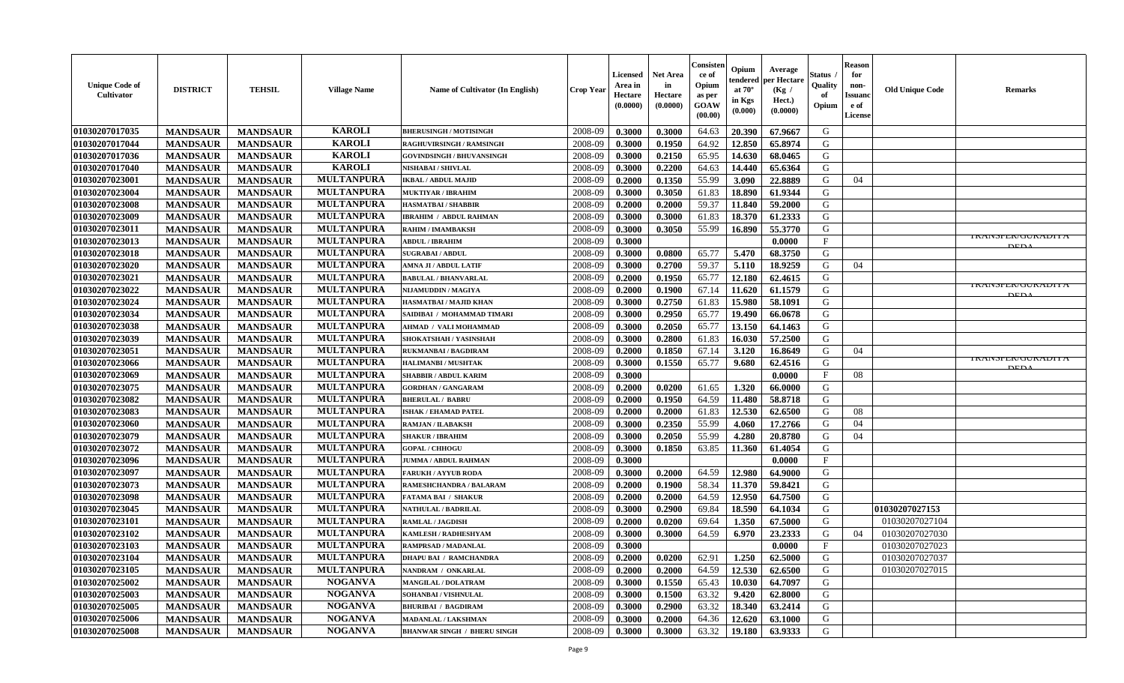| <b>Unique Code of</b><br>Cultivator | <b>DISTRICT</b> | <b>TEHSIL</b>   | <b>Village Name</b> | <b>Name of Cultivator (In English)</b> | <b>Crop Year</b> | <b>Licensed</b><br>Area in<br>Hectare<br>(0.0000) | <b>Net Area</b><br>in<br>Hectare<br>(0.0000) | Consister<br>ce of<br>Opium<br>as per<br>GOAW<br>(00.00) | Opium<br>tendered<br>at $70^{\circ}$<br>in Kgs<br>$(\mathbf{0.000})$ | Average<br>per Hectare<br>(Kg /<br>Hect.)<br>(0.0000) | Status .<br>Quality<br>of<br>Opium | <b>Reason</b><br>for<br>non-<br><b>Issuanc</b><br>e of<br>License | <b>Old Unique Code</b> | <b>Remarks</b>              |
|-------------------------------------|-----------------|-----------------|---------------------|----------------------------------------|------------------|---------------------------------------------------|----------------------------------------------|----------------------------------------------------------|----------------------------------------------------------------------|-------------------------------------------------------|------------------------------------|-------------------------------------------------------------------|------------------------|-----------------------------|
| 01030207017035                      | <b>MANDSAUR</b> | <b>MANDSAUR</b> | <b>KAROLI</b>       | <b>BHERUSINGH / MOTISINGH</b>          | 2008-09          | 0.3000                                            | 0.3000                                       | 64.63                                                    | 20.390                                                               | 67.9667                                               | G                                  |                                                                   |                        |                             |
| 01030207017044                      | <b>MANDSAUR</b> | <b>MANDSAUR</b> | <b>KAROLI</b>       | <b>RAGHUVIRSINGH / RAMSINGH</b>        | 2008-09          | 0.3000                                            | 0.1950                                       | 64.92                                                    | 12.850                                                               | 65.8974                                               | G                                  |                                                                   |                        |                             |
| 01030207017036                      | <b>MANDSAUR</b> | <b>MANDSAUR</b> | <b>KAROLI</b>       | <b>GOVINDSINGH / BHUVANSINGH</b>       | 2008-09          | 0.3000                                            | 0.2150                                       | 65.95                                                    | 14.630                                                               | 68.0465                                               | G                                  |                                                                   |                        |                             |
| 01030207017040                      | <b>MANDSAUR</b> | <b>MANDSAUR</b> | <b>KAROLI</b>       | <b>NISHABAI / SHIVLAL</b>              | 2008-09          | 0.3000                                            | 0.2200                                       | 64.63                                                    | 14.440                                                               | 65.6364                                               | G                                  |                                                                   |                        |                             |
| 01030207023001                      | <b>MANDSAUR</b> | <b>MANDSAUR</b> | <b>MULTANPURA</b>   | <b>IKBAL / ABDUL MAJID</b>             | 2008-09          | 0.2000                                            | 0.1350                                       | 55.99                                                    | 3.090                                                                | 22.8889                                               | G                                  | 04                                                                |                        |                             |
| 01030207023004                      | <b>MANDSAUR</b> | <b>MANDSAUR</b> | <b>MULTANPURA</b>   | <b>MUKTIYAR / IBRAHIM</b>              | 2008-09          | 0.3000                                            | 0.3050                                       | 61.83                                                    | 18.890                                                               | 61.9344                                               | G                                  |                                                                   |                        |                             |
| 01030207023008                      | <b>MANDSAUR</b> | <b>MANDSAUR</b> | <b>MULTANPURA</b>   | <b>HASMATBAI/SHABBIR</b>               | 2008-09          | 0.2000                                            | 0.2000                                       | 59.37                                                    | 11.840                                                               | 59.2000                                               | G                                  |                                                                   |                        |                             |
| 01030207023009                      | <b>MANDSAUR</b> | <b>MANDSAUR</b> | <b>MULTANPURA</b>   | <b>IBRAHIM / ABDUL RAHMAN</b>          | 2008-09          | 0.3000                                            | 0.3000                                       | 61.83                                                    | 18.370                                                               | 61.2333                                               | G                                  |                                                                   |                        |                             |
| 01030207023011                      | <b>MANDSAUR</b> | <b>MANDSAUR</b> | <b>MULTANPURA</b>   | RAHIM / IMAMBAKSH                      | 2008-09          | 0.3000                                            | 0.3050                                       | 55.99                                                    | 16.890                                                               | 55.3770                                               | G                                  |                                                                   |                        |                             |
| 01030207023013                      | <b>MANDSAUR</b> | <b>MANDSAUR</b> | <b>MULTANPURA</b>   | <b>ABDUL / IBRAHIM</b>                 | 2008-09          | 0.3000                                            |                                              |                                                          |                                                                      | 0.0000                                                | $\mathbf{F}$                       |                                                                   |                        | <u>I KANSPEN/UUKADI I A</u> |
| 01030207023018                      | <b>MANDSAUR</b> | <b>MANDSAUR</b> | <b>MULTANPURA</b>   | <b>SUGRABAI/ABDUL</b>                  | 2008-09          | 0.3000                                            | 0.0800                                       | 65.77                                                    | 5.470                                                                | 68.3750                                               | G                                  |                                                                   |                        |                             |
| 01030207023020                      | <b>MANDSAUR</b> | <b>MANDSAUR</b> | <b>MULTANPURA</b>   | AMNA JI / ABDUL LATIF                  | 2008-09          | 0.3000                                            | 0.2700                                       | 59.37                                                    | 5.110                                                                | 18.9259                                               | G                                  | 04                                                                |                        |                             |
| 01030207023021                      | <b>MANDSAUR</b> | <b>MANDSAUR</b> | <b>MULTANPURA</b>   | <b>BABULAL / BHANVARLAL</b>            | 2008-09          | 0.2000                                            | 0.1950                                       | 65.77                                                    | 12.180                                                               | 62.4615                                               | G                                  |                                                                   |                        |                             |
| 01030207023022                      | <b>MANDSAUR</b> | <b>MANDSAUR</b> | <b>MULTANPURA</b>   | NIJAMUDDIN / MAGIYA                    | 2008-09          | 0.2000                                            | 0.1900                                       | 67.14                                                    | 11.620                                                               | 61.1579                                               | G                                  |                                                                   |                        | I NAINJE LIVUU NADI LA      |
| 01030207023024                      | <b>MANDSAUR</b> | <b>MANDSAUR</b> | <b>MULTANPURA</b>   | HASMATBAI / MAJID KHAN                 | 2008-09          | 0.3000                                            | 0.2750                                       | 61.83                                                    | 15.980                                                               | 58.1091                                               | G                                  |                                                                   |                        | <b>DEDA</b>                 |
| 01030207023034                      | <b>MANDSAUR</b> | <b>MANDSAUR</b> | <b>MULTANPURA</b>   | SAIDIBAI / MOHAMMAD TIMARI             | 2008-09          | 0.3000                                            | 0.2950                                       | 65.77                                                    | 19.490                                                               | 66.0678                                               | G                                  |                                                                   |                        |                             |
| 01030207023038                      | <b>MANDSAUR</b> | <b>MANDSAUR</b> | <b>MULTANPURA</b>   | AHMAD / VALI MOHAMMAD                  | 2008-09          | 0.3000                                            | 0.2050                                       | 65.77                                                    | 13.150                                                               | 64.1463                                               | G                                  |                                                                   |                        |                             |
| 01030207023039                      | <b>MANDSAUR</b> | <b>MANDSAUR</b> | <b>MULTANPURA</b>   | SHOKATSHAH / YASINSHAH                 | 2008-09          | 0.3000                                            | 0.2800                                       | 61.83                                                    | 16.030                                                               | 57.2500                                               | G                                  |                                                                   |                        |                             |
| 01030207023051                      | <b>MANDSAUR</b> | <b>MANDSAUR</b> | <b>MULTANPURA</b>   | <b>RUKMANBAI / BAGDIRAM</b>            | 2008-09          | 0.2000                                            | 0.1850                                       | 67.14                                                    | 3.120                                                                | 16.8649                                               | G                                  | 04                                                                |                        |                             |
| 01030207023066                      | <b>MANDSAUR</b> | <b>MANDSAUR</b> | <b>MULTANPURA</b>   | <b>HALIMANBI / MUSHTAK</b>             | 2008-09          | 0.3000                                            | 0.1550                                       | 65.77                                                    | 9.680                                                                | 62.4516                                               | G                                  |                                                                   |                        | <b>IKANSFEN/UUKADI I A</b>  |
| 01030207023069                      | <b>MANDSAUR</b> | <b>MANDSAUR</b> | <b>MULTANPURA</b>   | <b>SHABBIR / ABDUL KARIM</b>           | 2008-09          | 0.3000                                            |                                              |                                                          |                                                                      | 0.0000                                                | F                                  | 08                                                                |                        | DED /                       |
| 01030207023075                      | <b>MANDSAUR</b> | <b>MANDSAUR</b> | <b>MULTANPURA</b>   | <b>GORDHAN / GANGARAM</b>              | 2008-09          | 0.2000                                            | 0.0200                                       | 61.65                                                    | 1.320                                                                | 66.0000                                               | G                                  |                                                                   |                        |                             |
| 01030207023082                      | <b>MANDSAUR</b> | <b>MANDSAUR</b> | <b>MULTANPURA</b>   | <b>BHERULAL / BABRU</b>                | 2008-09          | 0.2000                                            | 0.1950                                       | 64.59                                                    | 11.480                                                               | 58.8718                                               | G                                  |                                                                   |                        |                             |
| 01030207023083                      | <b>MANDSAUR</b> | <b>MANDSAUR</b> | <b>MULTANPURA</b>   | <b>ISHAK / EHAMAD PATEL</b>            | 2008-09          | 0.2000                                            | 0.2000                                       | 61.83                                                    | 12.530                                                               | 62.6500                                               | G                                  | 08                                                                |                        |                             |
| 01030207023060                      | <b>MANDSAUR</b> | <b>MANDSAUR</b> | <b>MULTANPURA</b>   | <b>RAMJAN / ILABAKSH</b>               | 2008-09          | 0.3000                                            | 0.2350                                       | 55.99                                                    | 4.060                                                                | 17.2766                                               | G                                  | 04                                                                |                        |                             |
| 01030207023079                      | <b>MANDSAUR</b> | <b>MANDSAUR</b> | <b>MULTANPURA</b>   | <b>SHAKUR / IBRAHIM</b>                | 2008-09          | 0.3000                                            | 0.2050                                       | 55.99                                                    | 4.280                                                                | 20.8780                                               | G                                  | 04                                                                |                        |                             |
| 01030207023072                      | <b>MANDSAUR</b> | <b>MANDSAUR</b> | <b>MULTANPURA</b>   | <b>GOPAL / CHHOGU</b>                  | 2008-09          | 0.3000                                            | 0.1850                                       | 63.85                                                    | 11.360                                                               | 61.4054                                               | G                                  |                                                                   |                        |                             |
| 01030207023096                      | <b>MANDSAUR</b> | <b>MANDSAUR</b> | <b>MULTANPURA</b>   | <b>JUMMA / ABDUL RAHMAN</b>            | 2008-09          | 0.3000                                            |                                              |                                                          |                                                                      | 0.0000                                                | $\mathbf{F}$                       |                                                                   |                        |                             |
| 01030207023097                      | <b>MANDSAUR</b> | <b>MANDSAUR</b> | <b>MULTANPURA</b>   | <b>FARUKH/AYYUB RODA</b>               | 2008-09          | 0.3000                                            | 0.2000                                       | 64.59                                                    | 12.980                                                               | 64.9000                                               | G                                  |                                                                   |                        |                             |
| 01030207023073                      | <b>MANDSAUR</b> | <b>MANDSAUR</b> | <b>MULTANPURA</b>   | RAMESHCHANDRA / BALARAM                | 2008-09          | 0.2000                                            | 0.1900                                       | 58.34                                                    | 11.370                                                               | 59.8421                                               | G                                  |                                                                   |                        |                             |
| 01030207023098                      | <b>MANDSAUR</b> | <b>MANDSAUR</b> | <b>MULTANPURA</b>   | <b>FATAMA BAI / SHAKUR</b>             | 2008-09          | 0.2000                                            | 0.2000                                       | 64.59                                                    | 12.950                                                               | 64.7500                                               | G                                  |                                                                   |                        |                             |
| 01030207023045                      | <b>MANDSAUR</b> | <b>MANDSAUR</b> | <b>MULTANPURA</b>   | <b>NATHULAL / BADRILAL</b>             | 2008-09          | 0.3000                                            | 0.2900                                       | 69.84                                                    | 18.590                                                               | 64.1034                                               | G                                  |                                                                   | 01030207027153         |                             |
| 01030207023101                      | <b>MANDSAUR</b> | <b>MANDSAUR</b> | <b>MULTANPURA</b>   | <b>RAMLAL / JAGDISH</b>                | 2008-09          | 0.2000                                            | 0.0200                                       | 69.64                                                    | 1.350                                                                | 67.5000                                               | G                                  |                                                                   | 01030207027104         |                             |
| 01030207023102                      | <b>MANDSAUR</b> | <b>MANDSAUR</b> | <b>MULTANPURA</b>   | KAMLESH / RADHESHYAM                   | 2008-09          | 0.3000                                            | 0.3000                                       | 64.59                                                    | 6.970                                                                | 23.2333                                               | G                                  | 04                                                                | 01030207027030         |                             |
| 01030207023103                      | <b>MANDSAUR</b> | <b>MANDSAUR</b> | <b>MULTANPURA</b>   | RAMPRSAD / MADANLAL                    | 2008-09          | 0.3000                                            |                                              |                                                          |                                                                      | 0.0000                                                | $\mathbf{F}$                       |                                                                   | 01030207027023         |                             |
| 01030207023104                      | <b>MANDSAUR</b> | <b>MANDSAUR</b> | <b>MULTANPURA</b>   | <b>DHAPU BAI / RAMCHANDRA</b>          | 2008-09          | 0.2000                                            | 0.0200                                       | 62.91                                                    | 1.250                                                                | 62.5000                                               | G                                  |                                                                   | 01030207027037         |                             |
| 01030207023105                      | <b>MANDSAUR</b> | <b>MANDSAUR</b> | <b>MULTANPURA</b>   | NANDRAM / ONKARLAL                     | 2008-09          | 0.2000                                            | 0.2000                                       | 64.59                                                    | 12.530                                                               | 62.6500                                               | G                                  |                                                                   | 01030207027015         |                             |
| 01030207025002                      | <b>MANDSAUR</b> | <b>MANDSAUR</b> | <b>NOGANVA</b>      | <b>MANGILAL / DOLATRAM</b>             | 2008-09          | 0.3000                                            | 0.1550                                       | 65.43                                                    | 10.030                                                               | 64.7097                                               | G                                  |                                                                   |                        |                             |
| 01030207025003                      | <b>MANDSAUR</b> | <b>MANDSAUR</b> | <b>NOGANVA</b>      | SOHANBAI / VISHNULAL                   | 2008-09          | 0.3000                                            | 0.1500                                       | 63.32                                                    | 9.420                                                                | 62.8000                                               | G                                  |                                                                   |                        |                             |
| 01030207025005                      | <b>MANDSAUR</b> | <b>MANDSAUR</b> | <b>NOGANVA</b>      | <b>BHURIBAI / BAGDIRAM</b>             | 2008-09          | 0.3000                                            | 0.2900                                       | 63.32                                                    | 18.340                                                               | 63.2414                                               | G                                  |                                                                   |                        |                             |
| 01030207025006                      | <b>MANDSAUR</b> | <b>MANDSAUR</b> | <b>NOGANVA</b>      | <b>MADANLAL / LAKSHMAN</b>             | 2008-09          | 0.3000                                            | 0.2000                                       | 64.36                                                    | 12.620                                                               | 63.1000                                               | G                                  |                                                                   |                        |                             |
| 01030207025008                      | <b>MANDSAUR</b> | <b>MANDSAUR</b> | <b>NOGANVA</b>      | <b>BHANWAR SINGH / BHERU SINGH</b>     | 2008-09          | 0.3000                                            | 0.3000                                       | 63.32                                                    | 19.180                                                               | 63.9333                                               | G                                  |                                                                   |                        |                             |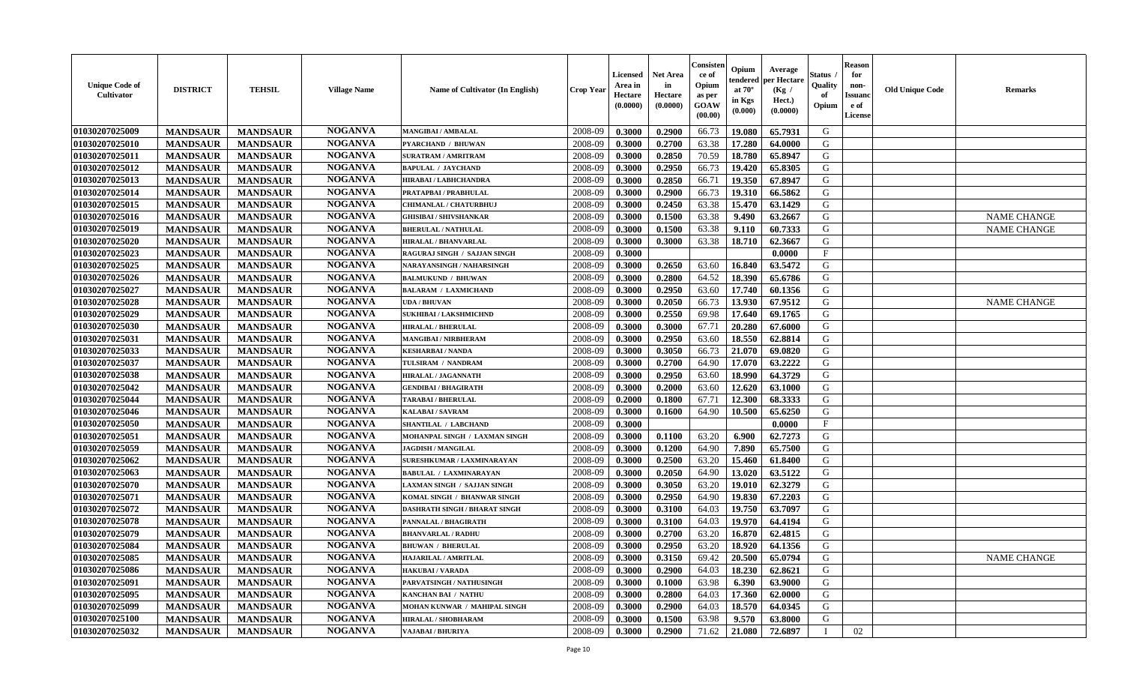| <b>Unique Code of</b><br>Cultivator | <b>DISTRICT</b> | <b>TEHSIL</b>   | <b>Village Name</b> | <b>Name of Cultivator (In English)</b> | <b>Crop Year</b> | <b>Licensed</b><br>Area in<br>Hectare<br>(0.0000) | Net Area<br>in<br><b>Hectare</b><br>(0.0000) | Consiste<br>ce of<br>Opium<br>as per<br>GOAW<br>(00.00) | Opium<br>endereo<br>at 70°<br>in Kgs<br>(0.000) | Average<br>er Hectare<br>(Kg /<br>Hect.)<br>(0.0000) | Status<br>Quality<br>of<br>Opium | <b>Reason</b><br>for<br>non-<br>Issuand<br>e of<br><b>License</b> | <b>Old Unique Code</b> | Remarks            |
|-------------------------------------|-----------------|-----------------|---------------------|----------------------------------------|------------------|---------------------------------------------------|----------------------------------------------|---------------------------------------------------------|-------------------------------------------------|------------------------------------------------------|----------------------------------|-------------------------------------------------------------------|------------------------|--------------------|
| 01030207025009                      | <b>MANDSAUR</b> | <b>MANDSAUR</b> | <b>NOGANVA</b>      | <b>MANGIBAI/AMBALAL</b>                | 2008-09          | 0.3000                                            | 0.2900                                       | 66.73                                                   | 19.080                                          | 65.7931                                              | G                                |                                                                   |                        |                    |
| 01030207025010                      | <b>MANDSAUR</b> | <b>MANDSAUR</b> | <b>NOGANVA</b>      | <b>PYARCHAND / BHUWAN</b>              | 2008-09          | 0.3000                                            | 0.2700                                       | 63.38                                                   | 17.280                                          | 64.0000                                              | G                                |                                                                   |                        |                    |
| 01030207025011                      | <b>MANDSAUR</b> | <b>MANDSAUR</b> | <b>NOGANVA</b>      | <b>SURATRAM / AMRITRAM</b>             | 2008-09          | 0.3000                                            | 0.2850                                       | 70.59                                                   | 18.780                                          | 65.8947                                              | G                                |                                                                   |                        |                    |
| 01030207025012                      | <b>MANDSAUR</b> | <b>MANDSAUR</b> | <b>NOGANVA</b>      | <b>BAPULAL / JAYCHAND</b>              | 2008-09          | 0.3000                                            | 0.2950                                       | 66.73                                                   | 19.420                                          | 65.8305                                              | G                                |                                                                   |                        |                    |
| 01030207025013                      | <b>MANDSAUR</b> | <b>MANDSAUR</b> | <b>NOGANVA</b>      | HIRABAI / LABHCHANDRA                  | 2008-09          | 0.3000                                            | 0.2850                                       | 66.71                                                   | 19.350                                          | 67.8947                                              | G                                |                                                                   |                        |                    |
| 01030207025014                      | <b>MANDSAUR</b> | <b>MANDSAUR</b> | <b>NOGANVA</b>      | PRATAPBAI / PRABHULAL                  | 2008-09          | 0.3000                                            | 0.2900                                       | 66.73                                                   | 19.310                                          | 66.5862                                              | G                                |                                                                   |                        |                    |
| 01030207025015                      | <b>MANDSAUR</b> | <b>MANDSAUR</b> | <b>NOGANVA</b>      | <b>CHIMANLAL / CHATURBHUJ</b>          | 2008-09          | 0.3000                                            | 0.2450                                       | 63.38                                                   | 15.470                                          | 63.1429                                              | G                                |                                                                   |                        |                    |
| 01030207025016                      | <b>MANDSAUR</b> | <b>MANDSAUR</b> | <b>NOGANVA</b>      | GHISIBAI / SHIVSHANKAR                 | 2008-09          | 0.3000                                            | 0.1500                                       | 63.38                                                   | 9.490                                           | 63.2667                                              | G                                |                                                                   |                        | <b>NAME CHANGE</b> |
| 01030207025019                      | <b>MANDSAUR</b> | <b>MANDSAUR</b> | <b>NOGANVA</b>      | <b>BHERULAL / NATHULAL</b>             | 2008-09          | 0.3000                                            | 0.1500                                       | 63.38                                                   | 9.110                                           | 60.7333                                              | G                                |                                                                   |                        | <b>NAME CHANGE</b> |
| 01030207025020                      | <b>MANDSAUR</b> | <b>MANDSAUR</b> | <b>NOGANVA</b>      | HIRALAL / BHANVARLAL                   | 2008-09          | 0.3000                                            | 0.3000                                       | 63.38                                                   | 18.710                                          | 62.3667                                              | G                                |                                                                   |                        |                    |
| 01030207025023                      | <b>MANDSAUR</b> | <b>MANDSAUR</b> | <b>NOGANVA</b>      | RAGURAJ SINGH / SAJJAN SINGH           | 2008-09          | 0.3000                                            |                                              |                                                         |                                                 | 0.0000                                               | $\rm F$                          |                                                                   |                        |                    |
| 01030207025025                      | <b>MANDSAUR</b> | <b>MANDSAUR</b> | <b>NOGANVA</b>      | NARAYANSINGH / NAHARSINGH              | 2008-09          | 0.3000                                            | 0.2650                                       | 63.60                                                   | 16.840                                          | 63.5472                                              | G                                |                                                                   |                        |                    |
| 01030207025026                      | <b>MANDSAUR</b> | <b>MANDSAUR</b> | <b>NOGANVA</b>      | <b>BALMUKUND / BHUWAN</b>              | 2008-09          | 0.3000                                            | 0.2800                                       | 64.52                                                   | 18.390                                          | 65.6786                                              | G                                |                                                                   |                        |                    |
| 01030207025027                      | <b>MANDSAUR</b> | <b>MANDSAUR</b> | <b>NOGANVA</b>      | <b>BALARAM / LAXMICHAND</b>            | 2008-09          | 0.3000                                            | 0.2950                                       | 63.60                                                   | 17.740                                          | 60.1356                                              | ${\bf G}$                        |                                                                   |                        |                    |
| 01030207025028                      | <b>MANDSAUR</b> | <b>MANDSAUR</b> | <b>NOGANVA</b>      | UDA / BHUVAN                           | 2008-09          | 0.3000                                            | 0.2050                                       | 66.73                                                   | 13.930                                          | 67.9512                                              | G                                |                                                                   |                        | <b>NAME CHANGE</b> |
| 01030207025029                      | <b>MANDSAUR</b> | <b>MANDSAUR</b> | <b>NOGANVA</b>      | <b>SUKHIBAI / LAKSHMICHND</b>          | 2008-09          | 0.3000                                            | 0.2550                                       | 69.98                                                   | 17.640                                          | 69.1765                                              | G                                |                                                                   |                        |                    |
| 01030207025030                      | <b>MANDSAUR</b> | <b>MANDSAUR</b> | <b>NOGANVA</b>      | <b>HIRALAL / BHERULAL</b>              | 2008-09          | 0.3000                                            | 0.3000                                       | 67.71                                                   | 20.280                                          | 67.6000                                              | G                                |                                                                   |                        |                    |
| 01030207025031                      | <b>MANDSAUR</b> | <b>MANDSAUR</b> | <b>NOGANVA</b>      | <b>MANGIBAI / NIRBHERAM</b>            | 2008-09          | 0.3000                                            | 0.2950                                       | 63.60                                                   | 18.550                                          | 62.8814                                              | G                                |                                                                   |                        |                    |
| 01030207025033                      | <b>MANDSAUR</b> | <b>MANDSAUR</b> | <b>NOGANVA</b>      | <b>KESHARBAI/NANDA</b>                 | 2008-09          | 0.3000                                            | 0.3050                                       | 66.73                                                   | 21.070                                          | 69.0820                                              | G                                |                                                                   |                        |                    |
| 01030207025037                      | <b>MANDSAUR</b> | <b>MANDSAUR</b> | <b>NOGANVA</b>      | TULSIRAM / NANDRAM                     | 2008-09          | 0.3000                                            | 0.2700                                       | 64.90                                                   | 17.070                                          | 63.2222                                              | G                                |                                                                   |                        |                    |
| 01030207025038                      | <b>MANDSAUR</b> | <b>MANDSAUR</b> | <b>NOGANVA</b>      | <b>HIRALAL / JAGANNATH</b>             | 2008-09          | 0.3000                                            | 0.2950                                       | 63.60                                                   | 18.990                                          | 64.3729                                              | G                                |                                                                   |                        |                    |
| 01030207025042                      | <b>MANDSAUR</b> | <b>MANDSAUR</b> | <b>NOGANVA</b>      | <b>GENDIBAI / BHAGIRATH</b>            | 2008-09          | 0.3000                                            | 0.2000                                       | 63.60                                                   | 12.620                                          | 63.1000                                              | G                                |                                                                   |                        |                    |
| 01030207025044                      | <b>MANDSAUR</b> | <b>MANDSAUR</b> | <b>NOGANVA</b>      | <b><i>TARABAI/BHERULAL</i></b>         | 2008-09          | 0.2000                                            | 0.1800                                       | 67.71                                                   | 12.300                                          | 68.3333                                              | ${\bf G}$                        |                                                                   |                        |                    |
| 01030207025046                      | <b>MANDSAUR</b> | <b>MANDSAUR</b> | <b>NOGANVA</b>      | KALABAI / SAVRAM                       | 2008-09          | 0.3000                                            | 0.1600                                       | 64.90                                                   | 10.500                                          | 65.6250                                              | G                                |                                                                   |                        |                    |
| 01030207025050                      | <b>MANDSAUR</b> | <b>MANDSAUR</b> | <b>NOGANVA</b>      | SHANTILAL / LABCHAND                   | 2008-09          | 0.3000                                            |                                              |                                                         |                                                 | 0.0000                                               | $\mathbf{F}$                     |                                                                   |                        |                    |
| 01030207025051                      | <b>MANDSAUR</b> | <b>MANDSAUR</b> | <b>NOGANVA</b>      | MOHANPAL SINGH / LAXMAN SINGH          | 2008-09          | 0.3000                                            | 0.1100                                       | 63.20                                                   | 6.900                                           | 62.7273                                              | G                                |                                                                   |                        |                    |
| 01030207025059                      | <b>MANDSAUR</b> | <b>MANDSAUR</b> | <b>NOGANVA</b>      | <b>JAGDISH / MANGILAL</b>              | 2008-09          | 0.3000                                            | 0.1200                                       | 64.90                                                   | 7.890                                           | 65.7500                                              | G                                |                                                                   |                        |                    |
| 01030207025062                      | <b>MANDSAUR</b> | <b>MANDSAUR</b> | <b>NOGANVA</b>      | SURESHKUMAR / LAXMINARAYAN             | 2008-09          | 0.3000                                            | 0.2500                                       | 63.20                                                   | 15.460                                          | 61.8400                                              | G                                |                                                                   |                        |                    |
| 01030207025063                      | <b>MANDSAUR</b> | <b>MANDSAUR</b> | <b>NOGANVA</b>      | <b>BABULAL / LAXMINARAYAN</b>          | 2008-09          | 0.3000                                            | 0.2050                                       | 64.90                                                   | 13.020                                          | 63.5122                                              | G                                |                                                                   |                        |                    |
| 01030207025070                      | <b>MANDSAUR</b> | <b>MANDSAUR</b> | <b>NOGANVA</b>      | <b>LAXMAN SINGH / SAJJAN SINGH</b>     | 2008-09          | 0.3000                                            | 0.3050                                       | 63.20                                                   | 19.010                                          | 62.3279                                              | G                                |                                                                   |                        |                    |
| 01030207025071                      | <b>MANDSAUR</b> | <b>MANDSAUR</b> | <b>NOGANVA</b>      | KOMAL SINGH / BHANWAR SINGH            | 2008-09          | 0.3000                                            | 0.2950                                       | 64.90                                                   | 19.830                                          | 67.2203                                              | G                                |                                                                   |                        |                    |
| 01030207025072                      | <b>MANDSAUR</b> | <b>MANDSAUR</b> | <b>NOGANVA</b>      | <b>DASHRATH SINGH / BHARAT SINGH</b>   | 2008-09          | 0.3000                                            | 0.3100                                       | 64.03                                                   | 19.750                                          | 63.7097                                              | G                                |                                                                   |                        |                    |
| 01030207025078                      | <b>MANDSAUR</b> | <b>MANDSAUR</b> | <b>NOGANVA</b>      | PANNALAL / BHAGIRATH                   | 2008-09          | 0.3000                                            | 0.3100                                       | 64.03                                                   | 19.970                                          | 64.4194                                              | G                                |                                                                   |                        |                    |
| 01030207025079                      | <b>MANDSAUR</b> | <b>MANDSAUR</b> | <b>NOGANVA</b>      | <b>BHANVARLAL / RADHU</b>              | 2008-09          | 0.3000                                            | 0.2700                                       | 63.20                                                   | 16.870                                          | 62.4815                                              | G                                |                                                                   |                        |                    |
| 01030207025084                      | <b>MANDSAUR</b> | <b>MANDSAUR</b> | <b>NOGANVA</b>      | <b>BHUWAN / BHERULAL</b>               | 2008-09          | 0.3000                                            | 0.2950                                       | 63.20                                                   | 18.920                                          | 64.1356                                              | G                                |                                                                   |                        |                    |
| 01030207025085                      | <b>MANDSAUR</b> | <b>MANDSAUR</b> | <b>NOGANVA</b>      | HAJARILAL / AMRITLAL                   | 2008-09          | 0.3000                                            | 0.3150                                       | 69.42                                                   | 20.500                                          | 65.0794                                              | G                                |                                                                   |                        | <b>NAME CHANGE</b> |
| 01030207025086                      | <b>MANDSAUR</b> | <b>MANDSAUR</b> | <b>NOGANVA</b>      | <b>HAKUBAI/VARADA</b>                  | 2008-09          | 0.3000                                            | 0.2900                                       | 64.03                                                   | 18.230                                          | 62.8621                                              | G                                |                                                                   |                        |                    |
| 01030207025091                      | <b>MANDSAUR</b> | <b>MANDSAUR</b> | <b>NOGANVA</b>      | PARVATSINGH / NATHUSINGH               | 2008-09          | 0.3000                                            | 0.1000                                       | 63.98                                                   | 6.390                                           | 63.9000                                              | G                                |                                                                   |                        |                    |
| 01030207025095                      | <b>MANDSAUR</b> | <b>MANDSAUR</b> | <b>NOGANVA</b>      | KANCHAN BAI / NATHU                    | 2008-09          | 0.3000                                            | 0.2800                                       | 64.03                                                   | 17.360                                          | 62.0000                                              | G                                |                                                                   |                        |                    |
| 01030207025099                      | <b>MANDSAUR</b> | <b>MANDSAUR</b> | <b>NOGANVA</b>      | MOHAN KUNWAR / MAHIPAL SINGH           | 2008-09          | 0.3000                                            | 0.2900                                       | 64.03                                                   | 18.570                                          | 64.0345                                              | G                                |                                                                   |                        |                    |
| 01030207025100                      | <b>MANDSAUR</b> | <b>MANDSAUR</b> | <b>NOGANVA</b>      | HIRALAL / SHOBHARAM                    | 2008-09          | 0.3000                                            | 0.1500                                       | 63.98                                                   | 9.570                                           | 63.8000                                              | G                                |                                                                   |                        |                    |
| 01030207025032                      | <b>MANDSAUR</b> | <b>MANDSAUR</b> | <b>NOGANVA</b>      | VAJABAI / BHURIYA                      | 2008-09          | 0.3000                                            | 0.2900                                       | 71.62                                                   | 21.080                                          | 72.6897                                              | $\mathbf I$                      | 02                                                                |                        |                    |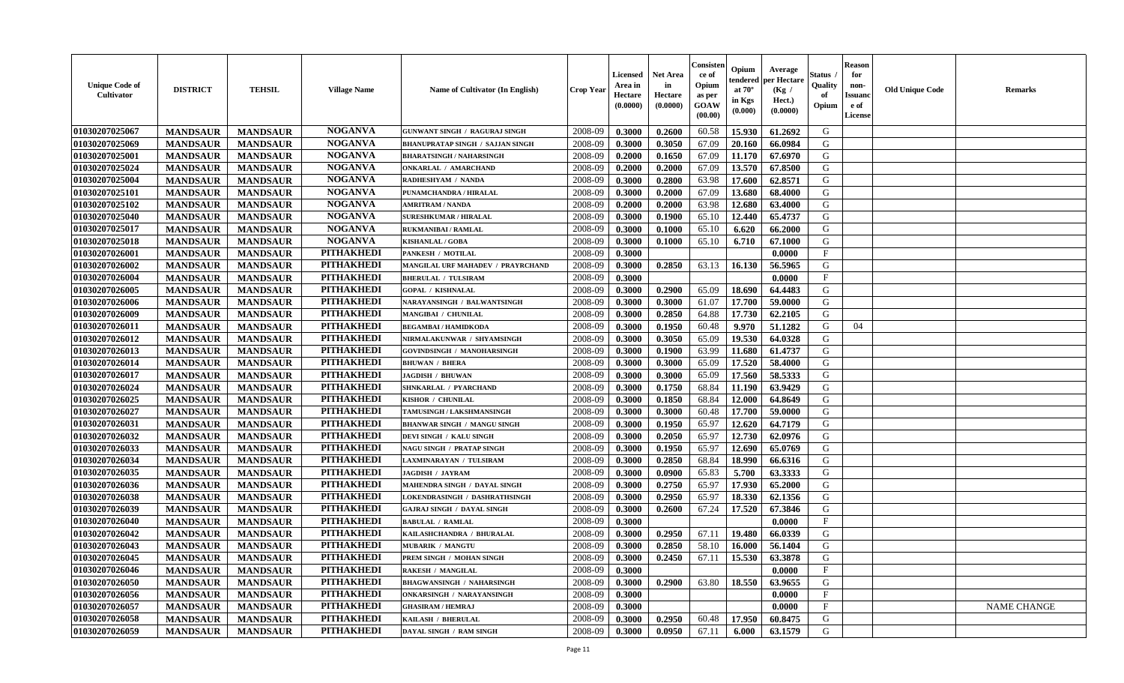| <b>Unique Code of</b><br><b>Cultivator</b> | <b>DISTRICT</b> | <b>TEHSIL</b>   | <b>Village Name</b> | <b>Name of Cultivator (In English)</b>  | <b>Crop Year</b> | <b>Licensed</b><br>Area in<br>Hectare<br>(0.0000) | <b>Net Area</b><br>in<br>Hectare<br>(0.0000) | Consister<br>ce of<br>Opium<br>as per<br><b>GOAW</b><br>(00.00) | Opium<br>endered<br>at $70^{\circ}$<br>in Kgs<br>$(\mathbf{0.000})$ | Average<br>per Hectare<br>(Kg)<br>Hect.)<br>(0.0000) | Status<br>Quality<br>of<br>Opium | <b>Reason</b><br>for<br>non-<br><b>Issuano</b><br>e of<br>License | <b>Old Unique Code</b> | <b>Remarks</b>     |
|--------------------------------------------|-----------------|-----------------|---------------------|-----------------------------------------|------------------|---------------------------------------------------|----------------------------------------------|-----------------------------------------------------------------|---------------------------------------------------------------------|------------------------------------------------------|----------------------------------|-------------------------------------------------------------------|------------------------|--------------------|
| 01030207025067                             | <b>MANDSAUR</b> | <b>MANDSAUR</b> | <b>NOGANVA</b>      | <b>GUNWANT SINGH / RAGURAJ SINGH</b>    | 2008-09          | 0.3000                                            | 0.2600                                       | 60.58                                                           | 15.930                                                              | 61.2692                                              | G                                |                                                                   |                        |                    |
| 01030207025069                             | <b>MANDSAUR</b> | <b>MANDSAUR</b> | <b>NOGANVA</b>      | <b>BHANUPRATAP SINGH / SAJJAN SINGH</b> | 2008-09          | 0.3000                                            | 0.3050                                       | 67.09                                                           | 20.160                                                              | 66.0984                                              | G                                |                                                                   |                        |                    |
| 01030207025001                             | <b>MANDSAUR</b> | <b>MANDSAUR</b> | <b>NOGANVA</b>      | <b>BHARATSINGH / NAHARSINGH</b>         | 2008-09          | 0.2000                                            | 0.1650                                       | 67.09                                                           | 11.170                                                              | 67.6970                                              | G                                |                                                                   |                        |                    |
| 01030207025024                             | <b>MANDSAUR</b> | <b>MANDSAUR</b> | <b>NOGANVA</b>      | <b>ONKARLAL / AMARCHAND</b>             | 2008-09          | 0.2000                                            | 0.2000                                       | 67.09                                                           | 13.570                                                              | 67.8500                                              | G                                |                                                                   |                        |                    |
| 01030207025004                             | <b>MANDSAUR</b> | <b>MANDSAUR</b> | <b>NOGANVA</b>      | RADHESHYAM / NANDA                      | 2008-09          | 0.3000                                            | 0.2800                                       | 63.98                                                           | 17.600                                                              | 62.8571                                              | G                                |                                                                   |                        |                    |
| 01030207025101                             | <b>MANDSAUR</b> | <b>MANDSAUR</b> | <b>NOGANVA</b>      | PUNAMCHANDRA / HIRALAL                  | 2008-09          | 0.3000                                            | 0.2000                                       | 67.09                                                           | 13.680                                                              | 68.4000                                              | G                                |                                                                   |                        |                    |
| 01030207025102                             | <b>MANDSAUR</b> | <b>MANDSAUR</b> | <b>NOGANVA</b>      | <b>AMRITRAM / NANDA</b>                 | 2008-09          | 0.2000                                            | 0.2000                                       | 63.98                                                           | 12.680                                                              | 63.4000                                              | G                                |                                                                   |                        |                    |
| 01030207025040                             | <b>MANDSAUR</b> | <b>MANDSAUR</b> | <b>NOGANVA</b>      | <b>SURESHKUMAR / HIRALAL</b>            | 2008-09          | 0.3000                                            | 0.1900                                       | 65.10                                                           | 12.440                                                              | 65.4737                                              | G                                |                                                                   |                        |                    |
| 01030207025017                             | <b>MANDSAUR</b> | <b>MANDSAUR</b> | <b>NOGANVA</b>      | <b>RUKMANIBAI / RAMLAL</b>              | 2008-09          | 0.3000                                            | 0.1000                                       | 65.10                                                           | 6.620                                                               | 66.2000                                              | G                                |                                                                   |                        |                    |
| 01030207025018                             | <b>MANDSAUR</b> | <b>MANDSAUR</b> | <b>NOGANVA</b>      | <b>KISHANLAL / GOBA</b>                 | 2008-09          | 0.3000                                            | 0.1000                                       | 65.10                                                           | 6.710                                                               | 67.1000                                              | G                                |                                                                   |                        |                    |
| 01030207026001                             | <b>MANDSAUR</b> | <b>MANDSAUR</b> | <b>PITHAKHEDI</b>   | PANKESH / MOTILAL                       | 2008-09          | 0.3000                                            |                                              |                                                                 |                                                                     | 0.0000                                               | $_{\rm F}$                       |                                                                   |                        |                    |
| 01030207026002                             | <b>MANDSAUR</b> | <b>MANDSAUR</b> | <b>PITHAKHEDI</b>   | MANGILAL URF MAHADEV / PRAYRCHAND       | 2008-09          | 0.3000                                            | 0.2850                                       | 63.13                                                           | 16.130                                                              | 56.5965                                              | G                                |                                                                   |                        |                    |
| 01030207026004                             | <b>MANDSAUR</b> | <b>MANDSAUR</b> | <b>PITHAKHEDI</b>   | <b>BHERULAL / TULSIRAM</b>              | 2008-09          | 0.3000                                            |                                              |                                                                 |                                                                     | 0.0000                                               | $\mathbf{F}$                     |                                                                   |                        |                    |
| 01030207026005                             | <b>MANDSAUR</b> | <b>MANDSAUR</b> | <b>PITHAKHEDI</b>   | <b>GOPAL / KISHNALAL</b>                | 2008-09          | 0.3000                                            | 0.2900                                       | 65.09                                                           | 18.690                                                              | 64.4483                                              | G                                |                                                                   |                        |                    |
| 01030207026006                             | <b>MANDSAUR</b> | <b>MANDSAUR</b> | <b>PITHAKHEDI</b>   | NARAYANSINGH / BALWANTSINGH             | 2008-09          | 0.3000                                            | 0.3000                                       | 61.07                                                           | 17.700                                                              | 59.0000                                              | G                                |                                                                   |                        |                    |
| 01030207026009                             | <b>MANDSAUR</b> | <b>MANDSAUR</b> | <b>PITHAKHEDI</b>   | MANGIBAI / CHUNILAL                     | 2008-09          | 0.3000                                            | 0.2850                                       | 64.88                                                           | 17.730                                                              | 62.2105                                              | G                                |                                                                   |                        |                    |
| 01030207026011                             | <b>MANDSAUR</b> | <b>MANDSAUR</b> | <b>PITHAKHEDI</b>   | <b>BEGAMBAI/HAMIDKODA</b>               | 2008-09          | 0.3000                                            | 0.1950                                       | 60.48                                                           | 9.970                                                               | 51.1282                                              | G                                | 04                                                                |                        |                    |
| 01030207026012                             | <b>MANDSAUR</b> | <b>MANDSAUR</b> | <b>PITHAKHEDI</b>   | NIRMALAKUNWAR / SHYAMSINGH              | 2008-09          | 0.3000                                            | 0.3050                                       | 65.09                                                           | 19.530                                                              | 64.0328                                              | G                                |                                                                   |                        |                    |
| 01030207026013                             | <b>MANDSAUR</b> | <b>MANDSAUR</b> | <b>PITHAKHEDI</b>   | GOVINDSINGH / MANOHARSINGH              | 2008-09          | 0.3000                                            | 0.1900                                       | 63.99                                                           | 11.680                                                              | 61.4737                                              | G                                |                                                                   |                        |                    |
| 01030207026014                             | <b>MANDSAUR</b> | <b>MANDSAUR</b> | <b>PITHAKHEDI</b>   | <b>BHUWAN / BHERA</b>                   | 2008-09          | 0.3000                                            | 0.3000                                       | 65.09                                                           | 17.520                                                              | 58.4000                                              | G                                |                                                                   |                        |                    |
| 01030207026017                             | <b>MANDSAUR</b> | <b>MANDSAUR</b> | <b>PITHAKHEDI</b>   | <b>JAGDISH / BHUWAN</b>                 | 2008-09          | 0.3000                                            | 0.3000                                       | 65.09                                                           | 17.560                                                              | 58.5333                                              | G                                |                                                                   |                        |                    |
| 01030207026024                             | <b>MANDSAUR</b> | <b>MANDSAUR</b> | <b>PITHAKHEDI</b>   | SHNKARLAL / PYARCHAND                   | 2008-09          | 0.3000                                            | 0.1750                                       | 68.84                                                           | 11.190                                                              | 63.9429                                              | G                                |                                                                   |                        |                    |
| 01030207026025                             | <b>MANDSAUR</b> | <b>MANDSAUR</b> | <b>PITHAKHEDI</b>   | KISHOR / CHUNILAL                       | 2008-09          | 0.3000                                            | 0.1850                                       | 68.84                                                           | 12.000                                                              | 64.8649                                              | G                                |                                                                   |                        |                    |
| 01030207026027                             | <b>MANDSAUR</b> | <b>MANDSAUR</b> | <b>PITHAKHEDI</b>   | TAMUSINGH / LAKSHMANSINGH               | 2008-09          | 0.3000                                            | 0.3000                                       | 60.48                                                           | 17.700                                                              | 59.0000                                              | G                                |                                                                   |                        |                    |
| 01030207026031                             | <b>MANDSAUR</b> | <b>MANDSAUR</b> | <b>PITHAKHEDI</b>   | <b>BHANWAR SINGH / MANGU SINGH</b>      | 2008-09          | 0.3000                                            | 0.1950                                       | 65.97                                                           | 12.620                                                              | 64.7179                                              | G                                |                                                                   |                        |                    |
| 01030207026032                             | <b>MANDSAUR</b> | <b>MANDSAUR</b> | <b>PITHAKHEDI</b>   | DEVI SINGH / KALU SINGH                 | 2008-09          | 0.3000                                            | 0.2050                                       | 65.97                                                           | 12.730                                                              | 62.0976                                              | G                                |                                                                   |                        |                    |
| 01030207026033                             | <b>MANDSAUR</b> | <b>MANDSAUR</b> | <b>PITHAKHEDI</b>   | NAGU SINGH / PRATAP SINGH               | 2008-09          | 0.3000                                            | 0.1950                                       | 65.97                                                           | 12.690                                                              | 65.0769                                              | G                                |                                                                   |                        |                    |
| 01030207026034                             | <b>MANDSAUR</b> | <b>MANDSAUR</b> | <b>PITHAKHEDI</b>   | LAXMINARAYAN / TULSIRAM                 | 2008-09          | 0.3000                                            | 0.2850                                       | 68.84                                                           | 18.990                                                              | 66.6316                                              | G                                |                                                                   |                        |                    |
| 01030207026035                             | <b>MANDSAUR</b> | <b>MANDSAUR</b> | <b>PITHAKHEDI</b>   | <b>JAGDISH / JAYRAM</b>                 | 2008-09          | 0.3000                                            | 0.0900                                       | 65.83                                                           | 5.700                                                               | 63.3333                                              | G                                |                                                                   |                        |                    |
| 01030207026036                             | <b>MANDSAUR</b> | <b>MANDSAUR</b> | <b>PITHAKHEDI</b>   | <b>MAHENDRA SINGH / DAYAL SINGH</b>     | 2008-09          | 0.3000                                            | 0.2750                                       | 65.97                                                           | 17.930                                                              | 65.2000                                              | G                                |                                                                   |                        |                    |
| 01030207026038                             | <b>MANDSAUR</b> | <b>MANDSAUR</b> | <b>PITHAKHEDI</b>   | <b>LOKENDRASINGH / DASHRATHSINGH</b>    | 2008-09          | 0.3000                                            | 0.2950                                       | 65.97                                                           | 18.330                                                              | 62.1356                                              | G                                |                                                                   |                        |                    |
| 01030207026039                             | <b>MANDSAUR</b> | <b>MANDSAUR</b> | <b>PITHAKHEDI</b>   | <b>GAJRAJ SINGH / DAYAL SINGH</b>       | 2008-09          | 0.3000                                            | 0.2600                                       | 67.24                                                           | 17.520                                                              | 67.3846                                              | G                                |                                                                   |                        |                    |
| 01030207026040                             | <b>MANDSAUR</b> | <b>MANDSAUR</b> | <b>PITHAKHEDI</b>   | <b>BABULAL / RAMLAL</b>                 | 2008-09          | 0.3000                                            |                                              |                                                                 |                                                                     | 0.0000                                               | $_{\rm F}$                       |                                                                   |                        |                    |
| 01030207026042                             | <b>MANDSAUR</b> | <b>MANDSAUR</b> | <b>PITHAKHEDI</b>   | KAILASHCHANDRA / BHURALAL               | 2008-09          | 0.3000                                            | 0.2950                                       | 67.11                                                           | 19.480                                                              | 66.0339                                              | G                                |                                                                   |                        |                    |
| 01030207026043                             | <b>MANDSAUR</b> | <b>MANDSAUR</b> | <b>PITHAKHEDI</b>   | <b>MUBARIK / MANGTU</b>                 | 2008-09          | 0.3000                                            | 0.2850                                       | 58.10                                                           | 16.000                                                              | 56.1404                                              | G                                |                                                                   |                        |                    |
| 01030207026045                             | <b>MANDSAUR</b> | <b>MANDSAUR</b> | PITHAKHEDI          | PREM SINGH / MOHAN SINGH                | 2008-09          | 0.3000                                            | 0.2450                                       |                                                                 | 67.11   15.530                                                      | 63.3878                                              | G                                |                                                                   |                        |                    |
| 01030207026046                             | <b>MANDSAUR</b> | <b>MANDSAUR</b> | <b>PITHAKHEDI</b>   | <b>RAKESH / MANGILAL</b>                | 2008-09          | 0.3000                                            |                                              |                                                                 |                                                                     | 0.0000                                               | $\mathbf{F}$                     |                                                                   |                        |                    |
| 01030207026050                             | <b>MANDSAUR</b> | <b>MANDSAUR</b> | <b>PITHAKHEDI</b>   | <b>BHAGWANSINGH / NAHARSINGH</b>        | 2008-09          | 0.3000                                            | 0.2900                                       | 63.80                                                           | 18.550                                                              | 63.9655                                              | G                                |                                                                   |                        |                    |
| 01030207026056                             | <b>MANDSAUR</b> | <b>MANDSAUR</b> | <b>PITHAKHEDI</b>   | <b>ONKARSINGH / NARAYANSINGH</b>        | 2008-09          | 0.3000                                            |                                              |                                                                 |                                                                     | 0.0000                                               | $\mathbf{F}$                     |                                                                   |                        |                    |
| 01030207026057                             | <b>MANDSAUR</b> | <b>MANDSAUR</b> | <b>PITHAKHEDI</b>   | <b>GHASIRAM / HEMRAJ</b>                | 2008-09          | 0.3000                                            |                                              |                                                                 |                                                                     | 0.0000                                               | $\mathbf{F}$                     |                                                                   |                        | <b>NAME CHANGE</b> |
| 01030207026058                             | <b>MANDSAUR</b> | <b>MANDSAUR</b> | <b>PITHAKHEDI</b>   | KAILASH / BHERULAL                      | 2008-09          | 0.3000                                            | 0.2950                                       | 60.48                                                           | 17.950                                                              | 60.8475                                              | G                                |                                                                   |                        |                    |
| 01030207026059                             | <b>MANDSAUR</b> | <b>MANDSAUR</b> | <b>PITHAKHEDI</b>   | DAYAL SINGH / RAM SINGH                 | 2008-09          | 0.3000                                            | 0.0950                                       | 67.11                                                           | 6.000                                                               | 63.1579                                              | G                                |                                                                   |                        |                    |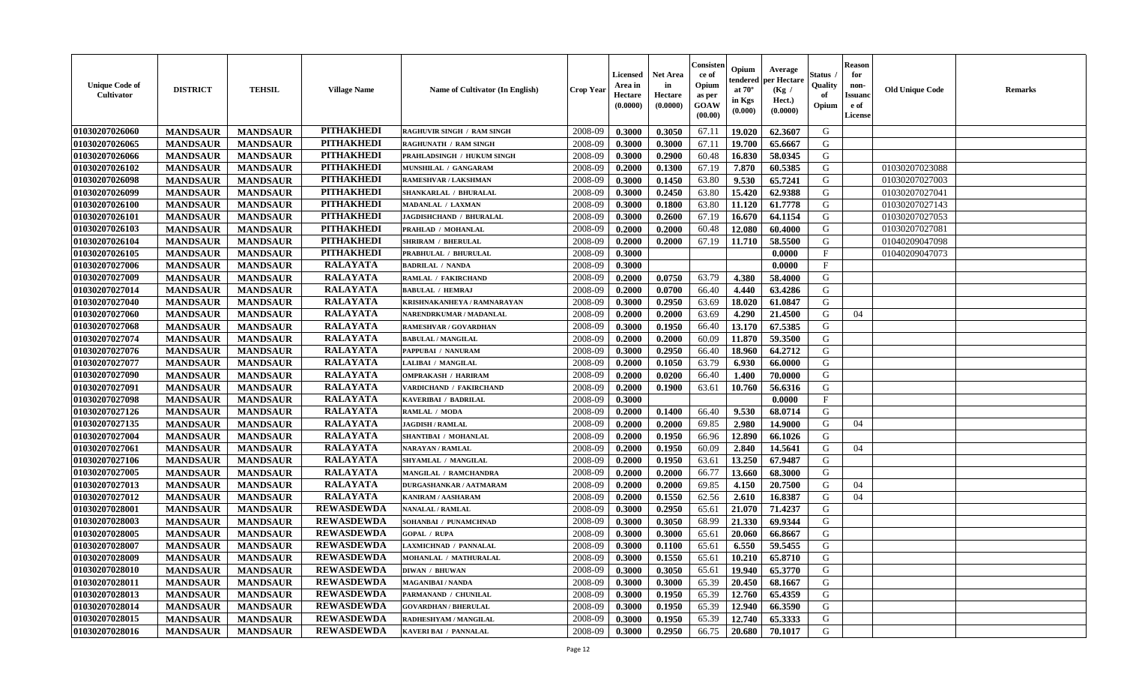| <b>Unique Code of</b><br><b>Cultivator</b> | <b>DISTRICT</b> | <b>TEHSIL</b>   | <b>Village Name</b> | Name of Cultivator (In English)   | <b>Crop Year</b> | <b>Licensed</b><br>Area in<br>Hectare<br>(0.0000) | <b>Net Area</b><br>in<br>Hectare<br>(0.0000) | Consister<br>ce of<br>Opium<br>as per<br><b>GOAW</b><br>(00.00) | Opium<br>endered<br>at $70^{\circ}$<br>in Kgs<br>$(\mathbf{0.000})$ | Average<br>per Hectare<br>(Kg)<br>Hect.)<br>(0.0000) | Status<br>Quality<br>of<br>Opium | <b>Reason</b><br>for<br>non-<br><b>Issuano</b><br>e of<br>License | <b>Old Unique Code</b> | <b>Remarks</b> |
|--------------------------------------------|-----------------|-----------------|---------------------|-----------------------------------|------------------|---------------------------------------------------|----------------------------------------------|-----------------------------------------------------------------|---------------------------------------------------------------------|------------------------------------------------------|----------------------------------|-------------------------------------------------------------------|------------------------|----------------|
| 01030207026060                             | <b>MANDSAUR</b> | <b>MANDSAUR</b> | <b>PITHAKHEDI</b>   | <b>RAGHUVIR SINGH / RAM SINGH</b> | 2008-09          | 0.3000                                            | 0.3050                                       | 67.11                                                           | 19.020                                                              | 62.3607                                              | G                                |                                                                   |                        |                |
| 01030207026065                             | <b>MANDSAUR</b> | <b>MANDSAUR</b> | <b>PITHAKHEDI</b>   | <b>RAGHUNATH / RAM SINGH</b>      | 2008-09          | 0.3000                                            | 0.3000                                       | 67.11                                                           | 19.700                                                              | 65.6667                                              | G                                |                                                                   |                        |                |
| 01030207026066                             | <b>MANDSAUR</b> | <b>MANDSAUR</b> | <b>PITHAKHEDI</b>   | PRAHLADSINGH / HUKUM SINGH        | 2008-09          | 0.3000                                            | 0.2900                                       | 60.48                                                           | 16.830                                                              | 58.0345                                              | G                                |                                                                   |                        |                |
| 01030207026102                             | <b>MANDSAUR</b> | <b>MANDSAUR</b> | <b>PITHAKHEDI</b>   | MUNSHILAL / GANGARAM              | 2008-09          | 0.2000                                            | 0.1300                                       | 67.19                                                           | 7.870                                                               | 60.5385                                              | G                                |                                                                   | 01030207023088         |                |
| 01030207026098                             | <b>MANDSAUR</b> | <b>MANDSAUR</b> | <b>PITHAKHEDI</b>   | RAMESHVAR / LAKSHMAN              | 2008-09          | 0.3000                                            | 0.1450                                       | 63.80                                                           | 9.530                                                               | 65.7241                                              | G                                |                                                                   | 01030207027003         |                |
| 01030207026099                             | <b>MANDSAUR</b> | <b>MANDSAUR</b> | <b>PITHAKHEDI</b>   | SHANKARLAL / BHURALAL             | 2008-09          | 0.3000                                            | 0.2450                                       | 63.80                                                           | 15.420                                                              | 62.9388                                              | G                                |                                                                   | 01030207027041         |                |
| 01030207026100                             | <b>MANDSAUR</b> | <b>MANDSAUR</b> | <b>PITHAKHEDI</b>   | MADANLAL / LAXMAN                 | 2008-09          | 0.3000                                            | 0.1800                                       | 63.80                                                           | 11.120                                                              | 61.7778                                              | G                                |                                                                   | 01030207027143         |                |
| 01030207026101                             | <b>MANDSAUR</b> | <b>MANDSAUR</b> | <b>PITHAKHEDI</b>   | JAGDISHCHAND / BHURALAL           | 2008-09          | 0.3000                                            | 0.2600                                       | 67.19                                                           | 16.670                                                              | 64.1154                                              | G                                |                                                                   | 01030207027053         |                |
| 01030207026103                             | <b>MANDSAUR</b> | <b>MANDSAUR</b> | <b>PITHAKHEDI</b>   | PRAHLAD / MOHANLAL                | 2008-09          | 0.2000                                            | 0.2000                                       | 60.48                                                           | 12.080                                                              | 60.4000                                              | G                                |                                                                   | 01030207027081         |                |
| 01030207026104                             | <b>MANDSAUR</b> | <b>MANDSAUR</b> | <b>PITHAKHEDI</b>   | SHRIRAM / BHERULAL                | 2008-09          | 0.2000                                            | 0.2000                                       | 67.19                                                           | 11.710                                                              | 58.5500                                              | G                                |                                                                   | 01040209047098         |                |
| 01030207026105                             | <b>MANDSAUR</b> | <b>MANDSAUR</b> | <b>PITHAKHEDI</b>   | PRABHULAL / BHURULAL              | 2008-09          | 0.3000                                            |                                              |                                                                 |                                                                     | 0.0000                                               | F                                |                                                                   | 01040209047073         |                |
| 01030207027006                             | <b>MANDSAUR</b> | <b>MANDSAUR</b> | <b>RALAYATA</b>     | <b>BADRILAL / NANDA</b>           | 2008-09          | 0.3000                                            |                                              |                                                                 |                                                                     | 0.0000                                               | $\mathbf{F}$                     |                                                                   |                        |                |
| 01030207027009                             | <b>MANDSAUR</b> | <b>MANDSAUR</b> | <b>RALAYATA</b>     | <b>RAMLAL / FAKIRCHAND</b>        | 2008-09          | 0.2000                                            | 0.0750                                       | 63.79                                                           | 4.380                                                               | 58.4000                                              | G                                |                                                                   |                        |                |
| 01030207027014                             | <b>MANDSAUR</b> | <b>MANDSAUR</b> | <b>RALAYATA</b>     | <b>BABULAL / HEMRAJ</b>           | 2008-09          | 0.2000                                            | 0.0700                                       | 66.40                                                           | 4.440                                                               | 63.4286                                              | G                                |                                                                   |                        |                |
| 01030207027040                             | <b>MANDSAUR</b> | <b>MANDSAUR</b> | <b>RALAYATA</b>     | KRISHNAKANHEYA / RAMNARAYAN       | 2008-09          | 0.3000                                            | 0.2950                                       | 63.69                                                           | 18.020                                                              | 61.0847                                              | G                                |                                                                   |                        |                |
| 01030207027060                             | <b>MANDSAUR</b> | <b>MANDSAUR</b> | <b>RALAYATA</b>     | NARENDRKUMAR / MADANLAL           | 2008-09          | 0.2000                                            | 0.2000                                       | 63.69                                                           | 4.290                                                               | 21.4500                                              | G                                | 04                                                                |                        |                |
| 01030207027068                             | <b>MANDSAUR</b> | <b>MANDSAUR</b> | <b>RALAYATA</b>     | RAMESHVAR / GOVARDHAN             | 2008-09          | 0.3000                                            | 0.1950                                       | 66.40                                                           | 13.170                                                              | 67.5385                                              | G                                |                                                                   |                        |                |
| 01030207027074                             | <b>MANDSAUR</b> | <b>MANDSAUR</b> | <b>RALAYATA</b>     | <b>BABULAL / MANGILAL</b>         | 2008-09          | 0.2000                                            | 0.2000                                       | 60.09                                                           | 11.870                                                              | 59.3500                                              | G                                |                                                                   |                        |                |
| 01030207027076                             | <b>MANDSAUR</b> | <b>MANDSAUR</b> | <b>RALAYATA</b>     | PAPPUBAI / NANURAM                | 2008-09          | 0.3000                                            | 0.2950                                       | 66.40                                                           | 18.960                                                              | 64.2712                                              | G                                |                                                                   |                        |                |
| 01030207027077                             | <b>MANDSAUR</b> | <b>MANDSAUR</b> | <b>RALAYATA</b>     | LALIBAI / MANGILAL                | 2008-09          | 0.2000                                            | 0.1050                                       | 63.79                                                           | 6.930                                                               | 66.0000                                              | G                                |                                                                   |                        |                |
| 01030207027090                             | <b>MANDSAUR</b> | <b>MANDSAUR</b> | <b>RALAYATA</b>     | <b>OMPRAKASH / HARIRAM</b>        | 2008-09          | 0.2000                                            | 0.0200                                       | 66.40                                                           | 1.400                                                               | 70.0000                                              | G                                |                                                                   |                        |                |
| 01030207027091                             | <b>MANDSAUR</b> | <b>MANDSAUR</b> | <b>RALAYATA</b>     | VARDICHAND / FAKIRCHAND           | 2008-09          | 0.2000                                            | 0.1900                                       | 63.61                                                           | 10.760                                                              | 56.6316                                              | G                                |                                                                   |                        |                |
| 01030207027098                             | <b>MANDSAUR</b> | <b>MANDSAUR</b> | <b>RALAYATA</b>     | <b>KAVERIBAI / BADRILAL</b>       | 2008-09          | 0.3000                                            |                                              |                                                                 |                                                                     | 0.0000                                               | $\mathbf{F}$                     |                                                                   |                        |                |
| 01030207027126                             | <b>MANDSAUR</b> | <b>MANDSAUR</b> | <b>RALAYATA</b>     | RAMLAL / MODA                     | 2008-09          | 0.2000                                            | 0.1400                                       | 66.40                                                           | 9.530                                                               | 68.0714                                              | G                                |                                                                   |                        |                |
| 01030207027135                             | <b>MANDSAUR</b> | <b>MANDSAUR</b> | <b>RALAYATA</b>     | <b>JAGDISH / RAMLAL</b>           | 2008-09          | 0.2000                                            | 0.2000                                       | 69.85                                                           | 2.980                                                               | 14.9000                                              | G                                | 04                                                                |                        |                |
| 01030207027004                             | <b>MANDSAUR</b> | <b>MANDSAUR</b> | <b>RALAYATA</b>     | SHANTIBAI / MOHANLAL              | 2008-09          | 0.2000                                            | 0.1950                                       | 66.96                                                           | 12.890                                                              | 66.1026                                              | G                                |                                                                   |                        |                |
| 01030207027061                             | <b>MANDSAUR</b> | <b>MANDSAUR</b> | <b>RALAYATA</b>     | NARAYAN / RAMLAL                  | 2008-09          | 0.2000                                            | 0.1950                                       | 60.09                                                           | 2.840                                                               | 14.5641                                              | G                                | 04                                                                |                        |                |
| 01030207027106                             | <b>MANDSAUR</b> | <b>MANDSAUR</b> | <b>RALAYATA</b>     | SHYAMLAL / MANGILAL               | 2008-09          | 0.2000                                            | 0.1950                                       | 63.61                                                           | 13.250                                                              | 67.9487                                              | G                                |                                                                   |                        |                |
| 01030207027005                             | <b>MANDSAUR</b> | <b>MANDSAUR</b> | <b>RALAYATA</b>     | <b>MANGILAL / RAMCHANDRA</b>      | 2008-09          | 0.2000                                            | 0.2000                                       | 66.77                                                           | 13.660                                                              | 68.3000                                              | G                                |                                                                   |                        |                |
| 01030207027013                             | <b>MANDSAUR</b> | <b>MANDSAUR</b> | <b>RALAYATA</b>     | DURGASHANKAR / AATMARAM           | 2008-09          | 0.2000                                            | 0.2000                                       | 69.85                                                           | 4.150                                                               | 20.7500                                              | G                                | 04                                                                |                        |                |
| 01030207027012                             | <b>MANDSAUR</b> | <b>MANDSAUR</b> | <b>RALAYATA</b>     | <b>KANIRAM / AASHARAM</b>         | 2008-09          | 0.2000                                            | 0.1550                                       | 62.56                                                           | 2.610                                                               | 16.8387                                              | G                                | 04                                                                |                        |                |
| 01030207028001                             | <b>MANDSAUR</b> | <b>MANDSAUR</b> | <b>REWASDEWDA</b>   | <b>NANALAL / RAMLAL</b>           | 2008-09          | 0.3000                                            | 0.2950                                       | 65.61                                                           | 21.070                                                              | 71.4237                                              | G                                |                                                                   |                        |                |
| 01030207028003                             | <b>MANDSAUR</b> | <b>MANDSAUR</b> | <b>REWASDEWDA</b>   | SOHANBAI / PUNAMCHNAD             | 2008-09          | 0.3000                                            | 0.3050                                       | 68.99                                                           | 21.330                                                              | 69.9344                                              | G                                |                                                                   |                        |                |
| 01030207028005                             | <b>MANDSAUR</b> | <b>MANDSAUR</b> | <b>REWASDEWDA</b>   | <b>GOPAL / RUPA</b>               | 2008-09          | 0.3000                                            | 0.3000                                       | 65.61                                                           | 20.060                                                              | 66.8667                                              | G                                |                                                                   |                        |                |
| 01030207028007                             | <b>MANDSAUR</b> | <b>MANDSAUR</b> | <b>REWASDEWDA</b>   | LAXMICHNAD / PANNALAL             | 2008-09          | 0.3000                                            | 0.1100                                       | 65.61                                                           | 6.550                                                               | 59.5455                                              | G                                |                                                                   |                        |                |
| 01030207028009                             | <b>MANDSAUR</b> | <b>MANDSAUR</b> | <b>REWASDEWDA</b>   | MOHANLAL / MATHURALAL             | 2008-09          | 0.3000                                            | 0.1550                                       | 65.61                                                           |                                                                     | $10.210 \mid 65.8710$                                | G                                |                                                                   |                        |                |
| 01030207028010                             | <b>MANDSAUR</b> | <b>MANDSAUR</b> | <b>REWASDEWDA</b>   | <b>DIWAN / BHUWAN</b>             | 2008-09          | 0.3000                                            | 0.3050                                       | 65.61                                                           | 19.940                                                              | 65.3770                                              | G                                |                                                                   |                        |                |
| 01030207028011                             | <b>MANDSAUR</b> | <b>MANDSAUR</b> | <b>REWASDEWDA</b>   | <b>MAGANIBAI / NANDA</b>          | 2008-09          | 0.3000                                            | 0.3000                                       | 65.39                                                           | 20.450                                                              | 68.1667                                              | G                                |                                                                   |                        |                |
| 01030207028013                             | <b>MANDSAUR</b> | <b>MANDSAUR</b> | <b>REWASDEWDA</b>   | PARMANAND / CHUNILAL              | 2008-09          | 0.3000                                            | 0.1950                                       | 65.39                                                           | 12.760                                                              | 65.4359                                              | G                                |                                                                   |                        |                |
| 01030207028014                             | <b>MANDSAUR</b> | <b>MANDSAUR</b> | <b>REWASDEWDA</b>   | <b>GOVARDHAN / BHERULAL</b>       | 2008-09          | 0.3000                                            | 0.1950                                       | 65.39                                                           | 12.940                                                              | 66.3590                                              | G                                |                                                                   |                        |                |
| 01030207028015                             | <b>MANDSAUR</b> | <b>MANDSAUR</b> | <b>REWASDEWDA</b>   | RADHESHYAM / MANGILAL             | 2008-09          | 0.3000                                            | 0.1950                                       | 65.39                                                           | 12.740                                                              | 65.3333                                              | G                                |                                                                   |                        |                |
| 01030207028016                             | <b>MANDSAUR</b> | <b>MANDSAUR</b> | <b>REWASDEWDA</b>   | <b>KAVERI BAI / PANNALAL</b>      | 2008-09          | 0.3000                                            | 0.2950                                       | 66.75                                                           | 20.680                                                              | 70.1017                                              | G                                |                                                                   |                        |                |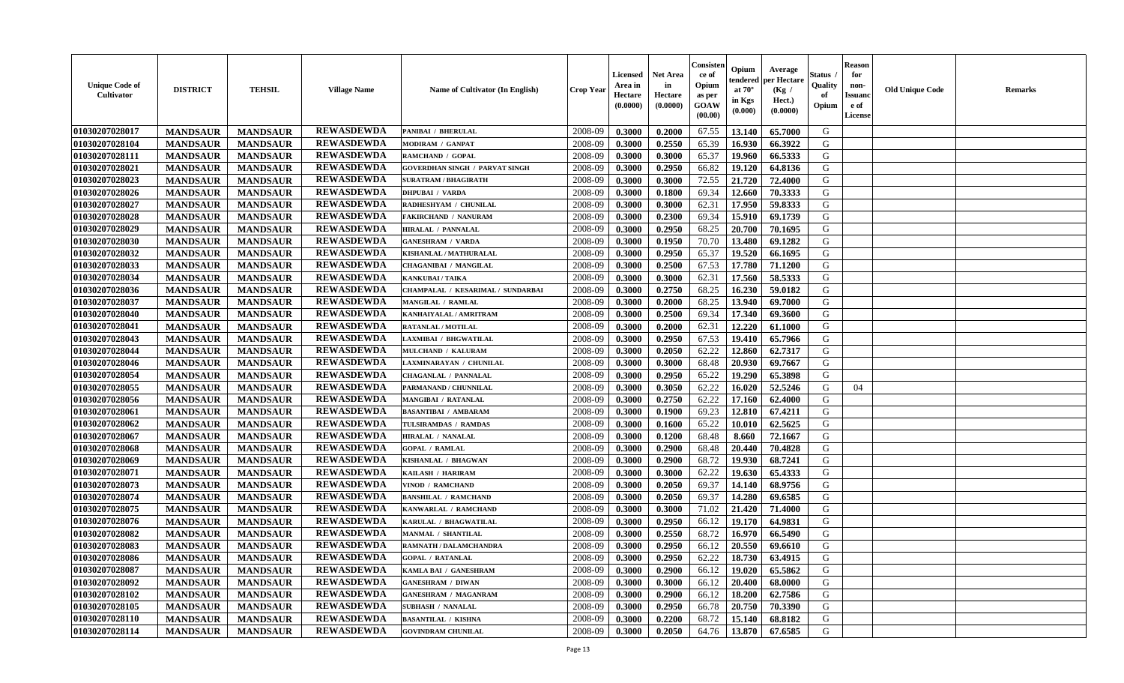| <b>Unique Code of</b><br><b>Cultivator</b> | <b>DISTRICT</b> | <b>TEHSIL</b>   | <b>Village Name</b> | <b>Name of Cultivator (In English)</b> | <b>Crop Year</b> | <b>Licensed</b><br>Area in<br>Hectare<br>(0.0000) | <b>Net Area</b><br>in<br>Hectare<br>(0.0000) | Consister<br>ce of<br>Opium<br>as per<br><b>GOAW</b><br>(00.00) | Opium<br>endered<br>at $70^{\circ}$<br>in Kgs<br>$(\mathbf{0.000})$ | Average<br>per Hectare<br>(Kg)<br>Hect.)<br>(0.0000) | Status<br>Quality<br>of<br>Opium | <b>Reason</b><br>for<br>non-<br><b>Issuano</b><br>e of<br>License | <b>Old Unique Code</b> | <b>Remarks</b> |
|--------------------------------------------|-----------------|-----------------|---------------------|----------------------------------------|------------------|---------------------------------------------------|----------------------------------------------|-----------------------------------------------------------------|---------------------------------------------------------------------|------------------------------------------------------|----------------------------------|-------------------------------------------------------------------|------------------------|----------------|
| 01030207028017                             | <b>MANDSAUR</b> | <b>MANDSAUR</b> | <b>REWASDEWDA</b>   | <b>PANIBAI / BHERULAL</b>              | 2008-09          | 0.3000                                            | 0.2000                                       | 67.55                                                           | 13.140                                                              | 65.7000                                              | G                                |                                                                   |                        |                |
| 01030207028104                             | <b>MANDSAUR</b> | <b>MANDSAUR</b> | <b>REWASDEWDA</b>   | MODIRAM / GANPAT                       | 2008-09          | 0.3000                                            | 0.2550                                       | 65.39                                                           | 16.930                                                              | 66.3922                                              | G                                |                                                                   |                        |                |
| 01030207028111                             | <b>MANDSAUR</b> | <b>MANDSAUR</b> | <b>REWASDEWDA</b>   | RAMCHAND / GOPAL                       | 2008-09          | 0.3000                                            | 0.3000                                       | 65.37                                                           | 19.960                                                              | 66.5333                                              | G                                |                                                                   |                        |                |
| 01030207028021                             | <b>MANDSAUR</b> | <b>MANDSAUR</b> | <b>REWASDEWDA</b>   | <b>GOVERDHAN SINGH / PARVAT SINGH</b>  | 2008-09          | 0.3000                                            | 0.2950                                       | 66.82                                                           | 19.120                                                              | 64.8136                                              | G                                |                                                                   |                        |                |
| 01030207028023                             | <b>MANDSAUR</b> | <b>MANDSAUR</b> | <b>REWASDEWDA</b>   | <b>SURATRAM / BHAGIRATH</b>            | 2008-09          | 0.3000                                            | 0.3000                                       | 72.55                                                           | 21.720                                                              | 72.4000                                              | G                                |                                                                   |                        |                |
| 01030207028026                             | <b>MANDSAUR</b> | <b>MANDSAUR</b> | <b>REWASDEWDA</b>   | <b>DHPUBAI / VARDA</b>                 | 2008-09          | 0.3000                                            | 0.1800                                       | 69.34                                                           | 12.660                                                              | 70.3333                                              | G                                |                                                                   |                        |                |
| 01030207028027                             | <b>MANDSAUR</b> | <b>MANDSAUR</b> | <b>REWASDEWDA</b>   | RADHESHYAM / CHUNILAL                  | 2008-09          | 0.3000                                            | 0.3000                                       | 62.31                                                           | 17.950                                                              | 59.8333                                              | G                                |                                                                   |                        |                |
| 01030207028028                             | <b>MANDSAUR</b> | <b>MANDSAUR</b> | <b>REWASDEWDA</b>   | <b>FAKIRCHAND / NANURAM</b>            | 2008-09          | 0.3000                                            | 0.2300                                       | 69.34                                                           | 15.910                                                              | 69.1739                                              | G                                |                                                                   |                        |                |
| 01030207028029                             | <b>MANDSAUR</b> | <b>MANDSAUR</b> | <b>REWASDEWDA</b>   | HIRALAL / PANNALAL                     | 2008-09          | 0.3000                                            | 0.2950                                       | 68.25                                                           | 20.700                                                              | 70.1695                                              | G                                |                                                                   |                        |                |
| 01030207028030                             | <b>MANDSAUR</b> | <b>MANDSAUR</b> | <b>REWASDEWDA</b>   | <b>GANESHRAM / VARDA</b>               | 2008-09          | 0.3000                                            | 0.1950                                       | 70.70                                                           | 13.480                                                              | 69.1282                                              | G                                |                                                                   |                        |                |
| 01030207028032                             | <b>MANDSAUR</b> | <b>MANDSAUR</b> | <b>REWASDEWDA</b>   | KISHANLAL / MATHURALAL                 | 2008-09          | 0.3000                                            | 0.2950                                       | 65.37                                                           | 19.520                                                              | 66.1695                                              | G                                |                                                                   |                        |                |
| 01030207028033                             | <b>MANDSAUR</b> | <b>MANDSAUR</b> | <b>REWASDEWDA</b>   | <b>CHAGANIBAI / MANGILAL</b>           | 2008-09          | 0.3000                                            | 0.2500                                       | 67.53                                                           | 17.780                                                              | 71.1200                                              | G                                |                                                                   |                        |                |
| 01030207028034                             | <b>MANDSAUR</b> | <b>MANDSAUR</b> | <b>REWASDEWDA</b>   | <b>KANKUBAI/TAIKA</b>                  | 2008-09          | 0.3000                                            | 0.3000                                       | 62.31                                                           | 17.560                                                              | 58.5333                                              | G                                |                                                                   |                        |                |
| 01030207028036                             | <b>MANDSAUR</b> | <b>MANDSAUR</b> | <b>REWASDEWDA</b>   | CHAMPALAL / KESARIMAL / SUNDARBAI      | 2008-09          | 0.3000                                            | 0.2750                                       | 68.25                                                           | 16.230                                                              | 59.0182                                              | G                                |                                                                   |                        |                |
| 01030207028037                             | <b>MANDSAUR</b> | <b>MANDSAUR</b> | <b>REWASDEWDA</b>   | MANGILAL / RAMLAL                      | 2008-09          | 0.3000                                            | 0.2000                                       | 68.25                                                           | 13.940                                                              | 69.7000                                              | G                                |                                                                   |                        |                |
| 01030207028040                             | <b>MANDSAUR</b> | <b>MANDSAUR</b> | <b>REWASDEWDA</b>   | KANHAIYALAL / AMRITRAM                 | 2008-09          | 0.3000                                            | 0.2500                                       | 69.34                                                           | 17.340                                                              | 69.3600                                              | G                                |                                                                   |                        |                |
| 01030207028041                             | <b>MANDSAUR</b> | <b>MANDSAUR</b> | <b>REWASDEWDA</b>   | <b>RATANLAL / MOTILAL</b>              | 2008-09          | 0.3000                                            | 0.2000                                       | 62.31                                                           | 12.220                                                              | 61.1000                                              | G                                |                                                                   |                        |                |
| 01030207028043                             | <b>MANDSAUR</b> | <b>MANDSAUR</b> | <b>REWASDEWDA</b>   | LAXMIBAI / BHGWATILAL                  | 2008-09          | 0.3000                                            | 0.2950                                       | 67.53                                                           | 19.410                                                              | 65.7966                                              | G                                |                                                                   |                        |                |
| 01030207028044                             | <b>MANDSAUR</b> | <b>MANDSAUR</b> | <b>REWASDEWDA</b>   | MULCHAND / KALURAM                     | 2008-09          | 0.3000                                            | 0.2050                                       | 62.22                                                           | 12.860                                                              | 62.7317                                              | G                                |                                                                   |                        |                |
| 01030207028046                             | <b>MANDSAUR</b> | <b>MANDSAUR</b> | <b>REWASDEWDA</b>   | LAXMINARAYAN / CHUNILAL                | 2008-09          | 0.3000                                            | 0.3000                                       | 68.48                                                           | 20.930                                                              | 69.7667                                              | G                                |                                                                   |                        |                |
| 01030207028054                             | <b>MANDSAUR</b> | <b>MANDSAUR</b> | <b>REWASDEWDA</b>   | <b>CHAGANLAL / PANNALAL</b>            | 2008-09          | 0.3000                                            | 0.2950                                       | 65.22                                                           | 19.290                                                              | 65.3898                                              | G                                |                                                                   |                        |                |
| 01030207028055                             | <b>MANDSAUR</b> | <b>MANDSAUR</b> | <b>REWASDEWDA</b>   | PARMANAND / CHUNNILAL                  | 2008-09          | 0.3000                                            | 0.3050                                       | 62.22                                                           | 16.020                                                              | 52.5246                                              | G                                | 04                                                                |                        |                |
| 01030207028056                             | <b>MANDSAUR</b> | <b>MANDSAUR</b> | <b>REWASDEWDA</b>   | MANGIBAI / RATANLAL                    | 2008-09          | 0.3000                                            | 0.2750                                       | 62.22                                                           | 17.160                                                              | 62.4000                                              | G                                |                                                                   |                        |                |
| 01030207028061                             | <b>MANDSAUR</b> | <b>MANDSAUR</b> | <b>REWASDEWDA</b>   | <b>BASANTIBAI / AMBARAM</b>            | 2008-09          | 0.3000                                            | 0.1900                                       | 69.23                                                           | 12.810                                                              | 67.4211                                              | G                                |                                                                   |                        |                |
| 01030207028062                             | <b>MANDSAUR</b> | <b>MANDSAUR</b> | <b>REWASDEWDA</b>   | TULSIRAMDAS / RAMDAS                   | 2008-09          | 0.3000                                            | 0.1600                                       | 65.22                                                           | 10.010                                                              | 62.5625                                              | G                                |                                                                   |                        |                |
| 01030207028067                             | <b>MANDSAUR</b> | <b>MANDSAUR</b> | <b>REWASDEWDA</b>   | <b>HIRALAL / NANALAL</b>               | 2008-09          | 0.3000                                            | 0.1200                                       | 68.48                                                           | 8.660                                                               | 72.1667                                              | G                                |                                                                   |                        |                |
| 01030207028068                             | <b>MANDSAUR</b> | <b>MANDSAUR</b> | <b>REWASDEWDA</b>   | <b>GOPAL / RAMLAL</b>                  | 2008-09          | 0.3000                                            | 0.2900                                       | 68.48                                                           | 20.440                                                              | 70.4828                                              | G                                |                                                                   |                        |                |
| 01030207028069                             | <b>MANDSAUR</b> | <b>MANDSAUR</b> | <b>REWASDEWDA</b>   | KISHANLAL / BHAGWAN                    | 2008-09          | 0.3000                                            | 0.2900                                       | 68.72                                                           | 19.930                                                              | 68.7241                                              | G                                |                                                                   |                        |                |
| 01030207028071                             | <b>MANDSAUR</b> | <b>MANDSAUR</b> | <b>REWASDEWDA</b>   | KAILASH / HARIRAM                      | 2008-09          | 0.3000                                            | 0.3000                                       | 62.22                                                           | 19.630                                                              | 65.4333                                              | G                                |                                                                   |                        |                |
| 01030207028073                             | <b>MANDSAUR</b> | <b>MANDSAUR</b> | <b>REWASDEWDA</b>   | VINOD / RAMCHAND                       | 2008-09          | 0.3000                                            | 0.2050                                       | 69.37                                                           | 14.140                                                              | 68.9756                                              | G                                |                                                                   |                        |                |
| 01030207028074                             | <b>MANDSAUR</b> | <b>MANDSAUR</b> | <b>REWASDEWDA</b>   | <b>BANSHILAL / RAMCHAND</b>            | 2008-09          | 0.3000                                            | 0.2050                                       | 69.37                                                           | 14.280                                                              | 69.6585                                              | G                                |                                                                   |                        |                |
| 01030207028075                             | <b>MANDSAUR</b> | <b>MANDSAUR</b> | <b>REWASDEWDA</b>   | KANWARLAL / RAMCHAND                   | 2008-09          | 0.3000                                            | 0.3000                                       | 71.02                                                           | 21.420                                                              | 71.4000                                              | G                                |                                                                   |                        |                |
| 01030207028076                             | <b>MANDSAUR</b> | <b>MANDSAUR</b> | <b>REWASDEWDA</b>   | KARULAL / BHAGWATILAL                  | 2008-09          | 0.3000                                            | 0.2950                                       | 66.12                                                           | 19.170                                                              | 64.9831                                              | G                                |                                                                   |                        |                |
| 01030207028082                             | <b>MANDSAUR</b> | <b>MANDSAUR</b> | <b>REWASDEWDA</b>   | MANMAL / SHANTILAL                     | 2008-09          | 0.3000                                            | 0.2550                                       | 68.72                                                           | 16.970                                                              | 66.5490                                              | G                                |                                                                   |                        |                |
| 01030207028083                             | <b>MANDSAUR</b> | <b>MANDSAUR</b> | <b>REWASDEWDA</b>   | RAMNATH / DALAMCHANDRA                 | 2008-09          | 0.3000                                            | 0.2950                                       | 66.12                                                           | 20.550                                                              | 69.6610                                              | G                                |                                                                   |                        |                |
| 01030207028086                             | <b>MANDSAUR</b> | <b>MANDSAUR</b> | <b>REWASDEWDA</b>   | <b>GOPAL / RATANLAL</b>                | 2008-09          | 0.3000                                            | 0.2950                                       | 62.22                                                           |                                                                     | $18.730 \cdot 63.4915$                               | G                                |                                                                   |                        |                |
| 01030207028087                             | <b>MANDSAUR</b> | <b>MANDSAUR</b> | <b>REWASDEWDA</b>   | KAMLA BAI / GANESHRAM                  | 2008-09          | 0.3000                                            | 0.2900                                       | 66.12                                                           | 19.020                                                              | 65.5862                                              | G                                |                                                                   |                        |                |
| 01030207028092                             | <b>MANDSAUR</b> | <b>MANDSAUR</b> | <b>REWASDEWDA</b>   | <b>GANESHRAM / DIWAN</b>               | 2008-09          | 0.3000                                            | 0.3000                                       | 66.12                                                           | 20.400                                                              | 68.0000                                              | G                                |                                                                   |                        |                |
| 01030207028102                             | <b>MANDSAUR</b> | <b>MANDSAUR</b> | <b>REWASDEWDA</b>   | <b>GANESHRAM / MAGANRAM</b>            | 2008-09          | 0.3000                                            | 0.2900                                       | 66.12                                                           | 18.200                                                              | 62.7586                                              | G                                |                                                                   |                        |                |
| 01030207028105                             | <b>MANDSAUR</b> | <b>MANDSAUR</b> | <b>REWASDEWDA</b>   | <b>SUBHASH / NANALAL</b>               | 2008-09          | 0.3000                                            | 0.2950                                       | 66.78                                                           | 20.750                                                              | 70.3390                                              | G                                |                                                                   |                        |                |
| 01030207028110                             | <b>MANDSAUR</b> | <b>MANDSAUR</b> | <b>REWASDEWDA</b>   | <b>BASANTILAL / KISHNA</b>             | 2008-09          | 0.3000                                            | 0.2200                                       | 68.72                                                           | 15.140                                                              | 68.8182                                              | G                                |                                                                   |                        |                |
| 01030207028114                             | <b>MANDSAUR</b> | <b>MANDSAUR</b> | <b>REWASDEWDA</b>   | <b>GOVINDRAM CHUNILAL</b>              | 2008-09          | 0.3000                                            | 0.2050                                       | 64.76                                                           |                                                                     | 13.870 67.6585                                       | G                                |                                                                   |                        |                |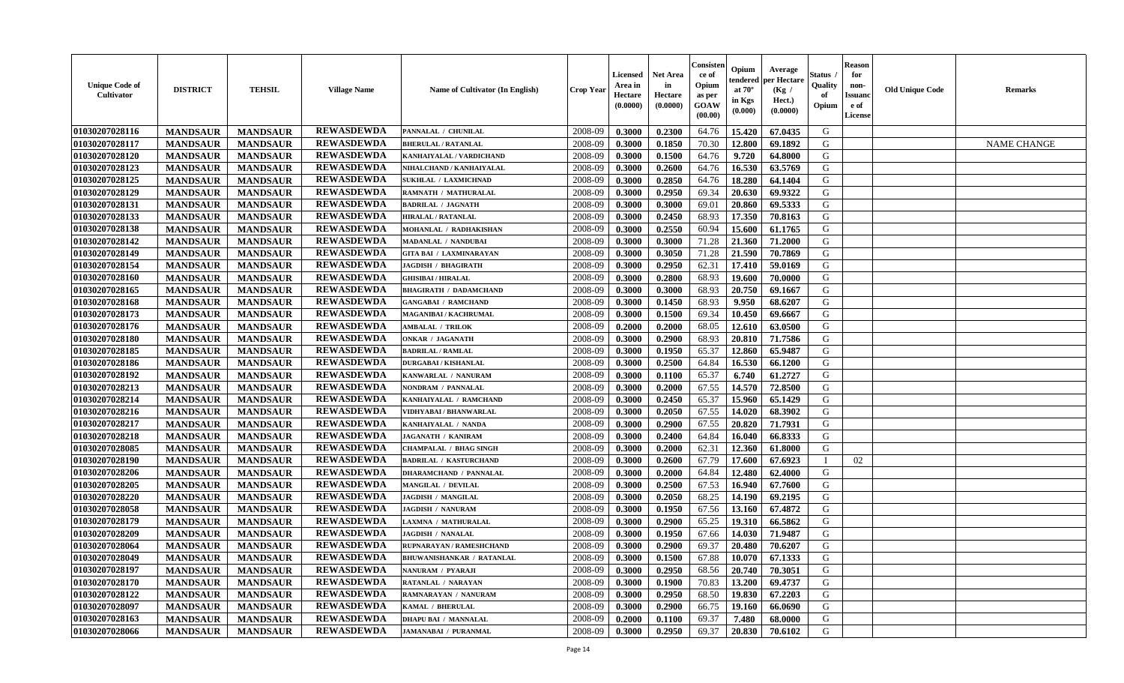| <b>Unique Code of</b><br><b>Cultivator</b> | <b>DISTRICT</b> | <b>TEHSIL</b>   | <b>Village Name</b> | <b>Name of Cultivator (In English)</b> | <b>Crop Year</b> | <b>Licensed</b><br>Area in<br>Hectare<br>(0.0000) | <b>Net Area</b><br>in<br>Hectare<br>(0.0000) | Consister<br>ce of<br>Opium<br>as per<br><b>GOAW</b><br>(00.00) | Opium<br>endered<br>at $70^{\circ}$<br>in Kgs<br>$(\mathbf{0.000})$ | Average<br>per Hectare<br>(Kg)<br>Hect.)<br>(0.0000) | Status<br>Quality<br>of<br>Opium | <b>Reason</b><br>for<br>non-<br><b>Issuano</b><br>e of<br>License | <b>Old Unique Code</b> | <b>Remarks</b>     |
|--------------------------------------------|-----------------|-----------------|---------------------|----------------------------------------|------------------|---------------------------------------------------|----------------------------------------------|-----------------------------------------------------------------|---------------------------------------------------------------------|------------------------------------------------------|----------------------------------|-------------------------------------------------------------------|------------------------|--------------------|
| 01030207028116                             | <b>MANDSAUR</b> | <b>MANDSAUR</b> | <b>REWASDEWDA</b>   | PANNALAL / CHUNILAL                    | 2008-09          | 0.3000                                            | 0.2300                                       | 64.76                                                           | 15.420                                                              | 67.0435                                              | G                                |                                                                   |                        |                    |
| 01030207028117                             | <b>MANDSAUR</b> | <b>MANDSAUR</b> | <b>REWASDEWDA</b>   | <b>BHERULAL / RATANLAL</b>             | 2008-09          | 0.3000                                            | 0.1850                                       | 70.30                                                           | 12.800                                                              | 69.1892                                              | G                                |                                                                   |                        | <b>NAME CHANGE</b> |
| 01030207028120                             | <b>MANDSAUR</b> | <b>MANDSAUR</b> | <b>REWASDEWDA</b>   | KANHAIYALAL / VARDICHAND               | 2008-09          | 0.3000                                            | 0.1500                                       | 64.76                                                           | 9.720                                                               | 64.8000                                              | G                                |                                                                   |                        |                    |
| 01030207028123                             | <b>MANDSAUR</b> | <b>MANDSAUR</b> | <b>REWASDEWDA</b>   | NIHALCHAND / KANHAIYALAL               | 2008-09          | 0.3000                                            | 0.2600                                       | 64.76                                                           | 16.530                                                              | 63.5769                                              | G                                |                                                                   |                        |                    |
| 01030207028125                             | <b>MANDSAUR</b> | <b>MANDSAUR</b> | <b>REWASDEWDA</b>   | SUKHLAL / LAXMICHNAD                   | 2008-09          | 0.3000                                            | 0.2850                                       | 64.76                                                           | 18.280                                                              | 64.1404                                              | G                                |                                                                   |                        |                    |
| 01030207028129                             | <b>MANDSAUR</b> | <b>MANDSAUR</b> | <b>REWASDEWDA</b>   | RAMNATH / MATHURALAL                   | 2008-09          | 0.3000                                            | 0.2950                                       | 69.34                                                           | 20.630                                                              | 69.9322                                              | G                                |                                                                   |                        |                    |
| 01030207028131                             | <b>MANDSAUR</b> | <b>MANDSAUR</b> | <b>REWASDEWDA</b>   | <b>BADRILAL / JAGNATH</b>              | 2008-09          | 0.3000                                            | 0.3000                                       | 69.01                                                           | 20.860                                                              | 69.5333                                              | G                                |                                                                   |                        |                    |
| 01030207028133                             | <b>MANDSAUR</b> | <b>MANDSAUR</b> | <b>REWASDEWDA</b>   | <b>HIRALAL / RATANLAL</b>              | 2008-09          | 0.3000                                            | 0.2450                                       | 68.93                                                           | 17.350                                                              | 70.8163                                              | G                                |                                                                   |                        |                    |
| 01030207028138                             | <b>MANDSAUR</b> | <b>MANDSAUR</b> | <b>REWASDEWDA</b>   | MOHANLAL / RADHAKISHAN                 | 2008-09          | 0.3000                                            | 0.2550                                       | 60.94                                                           | 15.600                                                              | 61.1765                                              | G                                |                                                                   |                        |                    |
| 01030207028142                             | <b>MANDSAUR</b> | <b>MANDSAUR</b> | <b>REWASDEWDA</b>   | MADANLAL / NANDUBAI                    | 2008-09          | 0.3000                                            | 0.3000                                       | 71.28                                                           | 21.360                                                              | 71.2000                                              | G                                |                                                                   |                        |                    |
| 01030207028149                             | <b>MANDSAUR</b> | <b>MANDSAUR</b> | <b>REWASDEWDA</b>   | <b>GITA BAI / LAXMINARAYAN</b>         | 2008-09          | 0.3000                                            | 0.3050                                       | 71.28                                                           | 21.590                                                              | 70.7869                                              | G                                |                                                                   |                        |                    |
| 01030207028154                             | <b>MANDSAUR</b> | <b>MANDSAUR</b> | <b>REWASDEWDA</b>   | <b>JAGDISH / BHAGIRATH</b>             | 2008-09          | 0.3000                                            | 0.2950                                       | 62.31                                                           | 17.410                                                              | 59.0169                                              | G                                |                                                                   |                        |                    |
| 01030207028160                             | <b>MANDSAUR</b> | <b>MANDSAUR</b> | <b>REWASDEWDA</b>   | <b>GHISIBAI/HIRALAL</b>                | 2008-09          | 0.3000                                            | 0.2800                                       | 68.93                                                           | 19.600                                                              | 70.0000                                              | G                                |                                                                   |                        |                    |
| 01030207028165                             | <b>MANDSAUR</b> | <b>MANDSAUR</b> | <b>REWASDEWDA</b>   | <b>BHAGIRATH / DADAMCHAND</b>          | 2008-09          | 0.3000                                            | 0.3000                                       | 68.93                                                           | 20.750                                                              | 69.1667                                              | G                                |                                                                   |                        |                    |
| 01030207028168                             | <b>MANDSAUR</b> | <b>MANDSAUR</b> | <b>REWASDEWDA</b>   | <b>GANGABAI / RAMCHAND</b>             | 2008-09          | 0.3000                                            | 0.1450                                       | 68.93                                                           | 9.950                                                               | 68.6207                                              | G                                |                                                                   |                        |                    |
| 01030207028173                             | <b>MANDSAUR</b> | <b>MANDSAUR</b> | <b>REWASDEWDA</b>   | MAGANIBAI / KACHRUMAL                  | 2008-09          | 0.3000                                            | 0.1500                                       | 69.34                                                           | 10.450                                                              | 69.6667                                              | G                                |                                                                   |                        |                    |
| 01030207028176                             | <b>MANDSAUR</b> | <b>MANDSAUR</b> | <b>REWASDEWDA</b>   | <b>AMBALAL / TRILOK</b>                | 2008-09          | 0.2000                                            | 0.2000                                       | 68.05                                                           | 12.610                                                              | 63.0500                                              | G                                |                                                                   |                        |                    |
| 01030207028180                             | <b>MANDSAUR</b> | <b>MANDSAUR</b> | <b>REWASDEWDA</b>   | <b>ONKAR / JAGANATH</b>                | 2008-09          | 0.3000                                            | 0.2900                                       | 68.93                                                           | 20.810                                                              | 71.7586                                              | G                                |                                                                   |                        |                    |
| 01030207028185                             | <b>MANDSAUR</b> | <b>MANDSAUR</b> | <b>REWASDEWDA</b>   | <b>BADRILAL / RAMLAL</b>               | 2008-09          | 0.3000                                            | 0.1950                                       | 65.37                                                           | 12.860                                                              | 65.9487                                              | G                                |                                                                   |                        |                    |
| 01030207028186                             | <b>MANDSAUR</b> | <b>MANDSAUR</b> | <b>REWASDEWDA</b>   | <b>DURGABAI/KISHANLAL</b>              | 2008-09          | 0.3000                                            | 0.2500                                       | 64.84                                                           | 16.530                                                              | 66.1200                                              | G                                |                                                                   |                        |                    |
| 01030207028192                             | <b>MANDSAUR</b> | <b>MANDSAUR</b> | <b>REWASDEWDA</b>   | KANWARLAL / NANURAM                    | 2008-09          | 0.3000                                            | 0.1100                                       | 65.37                                                           | 6.740                                                               | 61.2727                                              | G                                |                                                                   |                        |                    |
| 01030207028213                             | <b>MANDSAUR</b> | <b>MANDSAUR</b> | <b>REWASDEWDA</b>   | NONDRAM / PANNALAL                     | 2008-09          | 0.3000                                            | 0.2000                                       | 67.55                                                           | 14.570                                                              | 72.8500                                              | G                                |                                                                   |                        |                    |
| 01030207028214                             | <b>MANDSAUR</b> | <b>MANDSAUR</b> | <b>REWASDEWDA</b>   | KANHAIYALAL / RAMCHAND                 | 2008-09          | 0.3000                                            | 0.2450                                       | 65.37                                                           | 15.960                                                              | 65.1429                                              | G                                |                                                                   |                        |                    |
| 01030207028216                             | <b>MANDSAUR</b> | <b>MANDSAUR</b> | <b>REWASDEWDA</b>   | VIDHYABAI / BHANWARLAL                 | 2008-09          | 0.3000                                            | 0.2050                                       | 67.55                                                           | 14.020                                                              | 68.3902                                              | G                                |                                                                   |                        |                    |
| 01030207028217                             | <b>MANDSAUR</b> | <b>MANDSAUR</b> | <b>REWASDEWDA</b>   | KANHAIYALAL / NANDA                    | 2008-09          | 0.3000                                            | 0.2900                                       | 67.55                                                           | 20.820                                                              | 71.7931                                              | G                                |                                                                   |                        |                    |
| 01030207028218                             | <b>MANDSAUR</b> | <b>MANDSAUR</b> | <b>REWASDEWDA</b>   | <b>JAGANATH / KANIRAM</b>              | 2008-09          | 0.3000                                            | 0.2400                                       | 64.84                                                           | 16.040                                                              | 66.8333                                              | G                                |                                                                   |                        |                    |
| 01030207028085                             | <b>MANDSAUR</b> | <b>MANDSAUR</b> | <b>REWASDEWDA</b>   | <b>CHAMPALAL / BHAG SINGH</b>          | 2008-09          | 0.3000                                            | 0.2000                                       | 62.31                                                           | 12.360                                                              | 61.8000                                              | G                                |                                                                   |                        |                    |
| 01030207028190                             | <b>MANDSAUR</b> | <b>MANDSAUR</b> | <b>REWASDEWDA</b>   | <b>BADRILAL / KASTURCHAND</b>          | 2008-09          | 0.3000                                            | 0.2600                                       | 67.79                                                           | 17.600                                                              | 67.6923                                              | П                                | 02                                                                |                        |                    |
| 01030207028206                             | <b>MANDSAUR</b> | <b>MANDSAUR</b> | <b>REWASDEWDA</b>   | <b>DHARAMCHAND / PANNALAL</b>          | 2008-09          | 0.3000                                            | 0.2000                                       | 64.84                                                           | 12.480                                                              | 62.4000                                              | G                                |                                                                   |                        |                    |
| 01030207028205                             | <b>MANDSAUR</b> | <b>MANDSAUR</b> | <b>REWASDEWDA</b>   | <b>MANGILAL / DEVILAL</b>              | 2008-09          | 0.3000                                            | 0.2500                                       | 67.53                                                           | 16.940                                                              | 67.7600                                              | G                                |                                                                   |                        |                    |
| 01030207028220                             | <b>MANDSAUR</b> | <b>MANDSAUR</b> | <b>REWASDEWDA</b>   | <b>JAGDISH / MANGILAL</b>              | 2008-09          | 0.3000                                            | 0.2050                                       | 68.25                                                           | 14.190                                                              | 69.2195                                              | G                                |                                                                   |                        |                    |
| 01030207028058                             | <b>MANDSAUR</b> | <b>MANDSAUR</b> | <b>REWASDEWDA</b>   | <b>JAGDISH / NANURAM</b>               | 2008-09          | 0.3000                                            | 0.1950                                       | 67.56                                                           | 13.160                                                              | 67.4872                                              | G                                |                                                                   |                        |                    |
| 01030207028179                             | <b>MANDSAUR</b> | <b>MANDSAUR</b> | <b>REWASDEWDA</b>   | LAXMNA / MATHURALAL                    | 2008-09          | 0.3000                                            | 0.2900                                       | 65.25                                                           | 19.310                                                              | 66.5862                                              | G                                |                                                                   |                        |                    |
| 01030207028209                             | <b>MANDSAUR</b> | <b>MANDSAUR</b> | <b>REWASDEWDA</b>   | <b>JAGDISH / NANALAL</b>               | 2008-09          | 0.3000                                            | 0.1950                                       | 67.66                                                           | 14.030                                                              | 71.9487                                              | G                                |                                                                   |                        |                    |
| 01030207028064                             | <b>MANDSAUR</b> | <b>MANDSAUR</b> | <b>REWASDEWDA</b>   | RUPNARAYAN / RAMESHCHAND               | 2008-09          | 0.3000                                            | 0.2900                                       | 69.37                                                           | 20.480                                                              | 70.6207                                              | G                                |                                                                   |                        |                    |
| 01030207028049                             | <b>MANDSAUR</b> | <b>MANDSAUR</b> | <b>REWASDEWDA</b>   | <b>BHUWANISHANKAR / RATANLAL</b>       | 2008-09          | 0.3000                                            | 0.1500                                       | 67.88                                                           |                                                                     | $10.070$ 67.1333                                     | G                                |                                                                   |                        |                    |
| 01030207028197                             | <b>MANDSAUR</b> | <b>MANDSAUR</b> | <b>REWASDEWDA</b>   | NANURAM / PYARAJI                      | 2008-09          | 0.3000                                            | 0.2950                                       | 68.56                                                           | 20.740                                                              | 70.3051                                              | G                                |                                                                   |                        |                    |
| 01030207028170                             | <b>MANDSAUR</b> | <b>MANDSAUR</b> | <b>REWASDEWDA</b>   | RATANLAL / NARAYAN                     | 2008-09          | 0.3000                                            | 0.1900                                       | 70.83                                                           | 13.200                                                              | 69.4737                                              | G                                |                                                                   |                        |                    |
| 01030207028122                             | <b>MANDSAUR</b> | <b>MANDSAUR</b> | <b>REWASDEWDA</b>   | RAMNARAYAN / NANURAM                   | 2008-09          | 0.3000                                            | 0.2950                                       | 68.50                                                           | 19.830                                                              | 67.2203                                              | G                                |                                                                   |                        |                    |
| 01030207028097                             | <b>MANDSAUR</b> | <b>MANDSAUR</b> | <b>REWASDEWDA</b>   | KAMAL / BHERULAL                       | 2008-09          | 0.3000                                            | 0.2900                                       | 66.75                                                           | 19.160                                                              | 66.0690                                              | G                                |                                                                   |                        |                    |
| 01030207028163                             | <b>MANDSAUR</b> | <b>MANDSAUR</b> | <b>REWASDEWDA</b>   | <b>DHAPU BAI / MANNALAL</b>            | 2008-09          | 0.2000                                            | 0.1100                                       | 69.37                                                           | 7.480                                                               | 68.0000                                              | G                                |                                                                   |                        |                    |
| 01030207028066                             | <b>MANDSAUR</b> | <b>MANDSAUR</b> | <b>REWASDEWDA</b>   | <b>JAMANABAI / PURANMAL</b>            | 2008-09          | 0.3000                                            | 0.2950                                       | 69.37                                                           | 20.830                                                              | 70.6102                                              | G                                |                                                                   |                        |                    |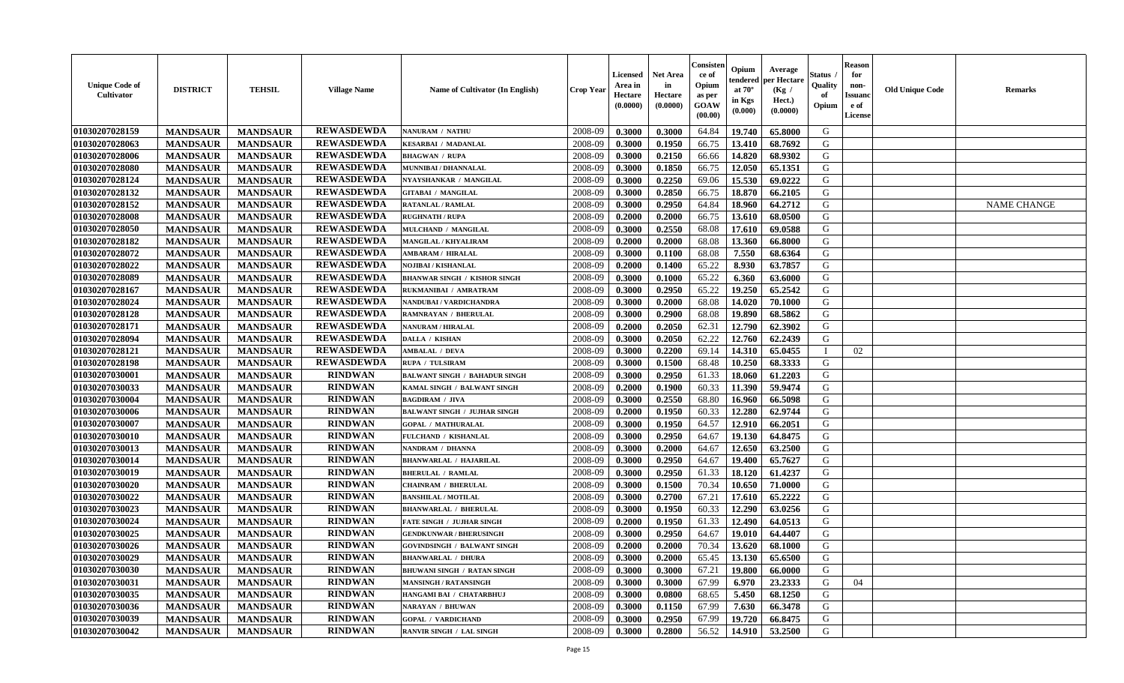| <b>Unique Code of</b><br>Cultivator | <b>DISTRICT</b> | <b>TEHSIL</b>   | <b>Village Name</b> | Name of Cultivator (In English)      | <b>Crop Year</b> | <b>Licensed</b><br>Area in<br>Hectare<br>(0.0000) | Net Area<br>in<br>Hectare<br>(0.0000) | Consisteı<br>ce of<br>Opium<br>as per<br><b>GOAW</b><br>(00.00) | Opium<br>:endereo<br>at $70^\circ$<br>in Kgs<br>$({\bf 0.000})$ | Average<br>per Hectare<br>(Kg /<br>Hect.)<br>(0.0000) | Status<br>Quality<br>of<br>Opium | <b>Reason</b><br>for<br>non-<br><b>Issuano</b><br>e of<br>License | <b>Old Unique Code</b> | <b>Remarks</b>     |
|-------------------------------------|-----------------|-----------------|---------------------|--------------------------------------|------------------|---------------------------------------------------|---------------------------------------|-----------------------------------------------------------------|-----------------------------------------------------------------|-------------------------------------------------------|----------------------------------|-------------------------------------------------------------------|------------------------|--------------------|
| 01030207028159                      | <b>MANDSAUR</b> | <b>MANDSAUR</b> | <b>REWASDEWDA</b>   | NANURAM / NATHU                      | 2008-09          | 0.3000                                            | 0.3000                                | 64.84                                                           | 19.740                                                          | 65.8000                                               | G                                |                                                                   |                        |                    |
| 01030207028063                      | <b>MANDSAUR</b> | <b>MANDSAUR</b> | <b>REWASDEWDA</b>   | <b>KESARBAI / MADANLAL</b>           | 2008-09          | 0.3000                                            | 0.1950                                | 66.75                                                           | 13.410                                                          | 68.7692                                               | G                                |                                                                   |                        |                    |
| 01030207028006                      | <b>MANDSAUR</b> | <b>MANDSAUR</b> | <b>REWASDEWDA</b>   | <b>BHAGWAN / RUPA</b>                | 2008-09          | 0.3000                                            | 0.2150                                | 66.66                                                           | 14.820                                                          | 68.9302                                               | G                                |                                                                   |                        |                    |
| 01030207028080                      | <b>MANDSAUR</b> | <b>MANDSAUR</b> | <b>REWASDEWDA</b>   | MUNNIBAI / DHANNALAL                 | 2008-09          | 0.3000                                            | 0.1850                                | 66.75                                                           | 12.050                                                          | 65.1351                                               | G                                |                                                                   |                        |                    |
| 01030207028124                      | <b>MANDSAUR</b> | <b>MANDSAUR</b> | <b>REWASDEWDA</b>   | NYAYSHANKAR / MANGILAL               | 2008-09          | 0.3000                                            | 0.2250                                | 69.06                                                           | 15.530                                                          | 69.0222                                               | G                                |                                                                   |                        |                    |
| 01030207028132                      | <b>MANDSAUR</b> | <b>MANDSAUR</b> | <b>REWASDEWDA</b>   | <b>GITABAI / MANGILAL</b>            | 2008-09          | 0.3000                                            | 0.2850                                | 66.75                                                           | 18.870                                                          | 66.2105                                               | G                                |                                                                   |                        |                    |
| 01030207028152                      | <b>MANDSAUR</b> | <b>MANDSAUR</b> | <b>REWASDEWDA</b>   | RATANLAL / RAMLAL                    | 2008-09          | 0.3000                                            | 0.2950                                | 64.84                                                           | 18.960                                                          | 64.2712                                               | G                                |                                                                   |                        | <b>NAME CHANGE</b> |
| 01030207028008                      | <b>MANDSAUR</b> | <b>MANDSAUR</b> | <b>REWASDEWDA</b>   | <b>RUGHNATH / RUPA</b>               | 2008-09          | 0.2000                                            | 0.2000                                | 66.75                                                           | 13.610                                                          | 68.0500                                               | G                                |                                                                   |                        |                    |
| 01030207028050                      | <b>MANDSAUR</b> | <b>MANDSAUR</b> | <b>REWASDEWDA</b>   | MULCHAND / MANGILAL                  | 2008-09          | 0.3000                                            | 0.2550                                | 68.08                                                           | 17.610                                                          | 69.0588                                               | G                                |                                                                   |                        |                    |
| 01030207028182                      | <b>MANDSAUR</b> | <b>MANDSAUR</b> | <b>REWASDEWDA</b>   | <b>MANGILAL / KHYALIRAM</b>          | 2008-09          | 0.2000                                            | 0.2000                                | 68.08                                                           | 13.360                                                          | 66.8000                                               | G                                |                                                                   |                        |                    |
| 01030207028072                      | <b>MANDSAUR</b> | <b>MANDSAUR</b> | <b>REWASDEWDA</b>   | AMBARAM / HIRALAL                    | 2008-09          | 0.3000                                            | 0.1100                                | 68.08                                                           | 7.550                                                           | 68.6364                                               | G                                |                                                                   |                        |                    |
| 01030207028022                      | <b>MANDSAUR</b> | <b>MANDSAUR</b> | <b>REWASDEWDA</b>   | NOJIBAI / KISHANLAL                  | 2008-09          | 0.2000                                            | 0.1400                                | 65.22                                                           | 8.930                                                           | 63.7857                                               | G                                |                                                                   |                        |                    |
| 01030207028089                      | <b>MANDSAUR</b> | <b>MANDSAUR</b> | <b>REWASDEWDA</b>   | <b>BHANWAR SINGH / KISHOR SINGH</b>  | 2008-09          | 0.3000                                            | 0.1000                                | 65.22                                                           | 6.360                                                           | 63.6000                                               | G                                |                                                                   |                        |                    |
| 01030207028167                      | <b>MANDSAUR</b> | <b>MANDSAUR</b> | <b>REWASDEWDA</b>   | RUKMANIBAI / AMRATRAM                | 2008-09          | 0.3000                                            | 0.2950                                | 65.22                                                           | 19.250                                                          | 65.2542                                               | G                                |                                                                   |                        |                    |
| 01030207028024                      | <b>MANDSAUR</b> | <b>MANDSAUR</b> | <b>REWASDEWDA</b>   | NANDUBAI / VARDICHANDRA              | 2008-09          | 0.3000                                            | 0.2000                                | 68.08                                                           | 14.020                                                          | 70.1000                                               | G                                |                                                                   |                        |                    |
| 01030207028128                      | <b>MANDSAUR</b> | <b>MANDSAUR</b> | <b>REWASDEWDA</b>   | RAMNRAYAN / BHERULAL                 | 2008-09          | 0.3000                                            | 0.2900                                | 68.08                                                           | 19.890                                                          | 68.5862                                               | G                                |                                                                   |                        |                    |
| 01030207028171                      | <b>MANDSAUR</b> | <b>MANDSAUR</b> | <b>REWASDEWDA</b>   | <b>NANURAM / HIRALAL</b>             | 2008-09          | 0.2000                                            | 0.2050                                | 62.31                                                           | 12.790                                                          | 62.3902                                               | G                                |                                                                   |                        |                    |
| 01030207028094                      | <b>MANDSAUR</b> | <b>MANDSAUR</b> | <b>REWASDEWDA</b>   | DALLA / KISHAN                       | 2008-09          | 0.3000                                            | 0.2050                                | 62.22                                                           | 12.760                                                          | 62.2439                                               | G                                |                                                                   |                        |                    |
| 01030207028121                      | <b>MANDSAUR</b> | <b>MANDSAUR</b> | <b>REWASDEWDA</b>   | <b>AMBALAL / DEVA</b>                | 2008-09          | 0.3000                                            | 0.2200                                | 69.14                                                           | 14.310                                                          | 65.0455                                               | - 1                              | 02                                                                |                        |                    |
| 01030207028198                      | <b>MANDSAUR</b> | <b>MANDSAUR</b> | <b>REWASDEWDA</b>   | <b>RUPA / TULSIRAM</b>               | 2008-09          | 0.3000                                            | 0.1500                                | 68.48                                                           | 10.250                                                          | 68.3333                                               | G                                |                                                                   |                        |                    |
| 01030207030001                      | <b>MANDSAUR</b> | <b>MANDSAUR</b> | <b>RINDWAN</b>      | <b>BALWANT SINGH / BAHADUR SINGH</b> | 2008-09          | 0.3000                                            | 0.2950                                | 61.33                                                           | 18.060                                                          | 61.2203                                               | G                                |                                                                   |                        |                    |
| 01030207030033                      | <b>MANDSAUR</b> | <b>MANDSAUR</b> | <b>RINDWAN</b>      | KAMAL SINGH / BALWANT SINGH          | 2008-09          | 0.2000                                            | 0.1900                                | 60.33                                                           | 11.390                                                          | 59.9474                                               | G                                |                                                                   |                        |                    |
| 01030207030004                      | <b>MANDSAUR</b> | <b>MANDSAUR</b> | <b>RINDWAN</b>      | <b>BAGDIRAM / JIVA</b>               | 2008-09          | 0.3000                                            | 0.2550                                | 68.80                                                           | 16.960                                                          | 66.5098                                               | G                                |                                                                   |                        |                    |
| 01030207030006                      | <b>MANDSAUR</b> | <b>MANDSAUR</b> | <b>RINDWAN</b>      | <b>BALWANT SINGH / JUJHAR SINGH</b>  | 2008-09          | 0.2000                                            | 0.1950                                | 60.33                                                           | 12.280                                                          | 62.9744                                               | G                                |                                                                   |                        |                    |
| 01030207030007                      | <b>MANDSAUR</b> | <b>MANDSAUR</b> | <b>RINDWAN</b>      | <b>GOPAL / MATHURALAL</b>            | 2008-09          | 0.3000                                            | 0.1950                                | 64.57                                                           | 12.910                                                          | 66.2051                                               | G                                |                                                                   |                        |                    |
| 01030207030010                      | <b>MANDSAUR</b> | <b>MANDSAUR</b> | <b>RINDWAN</b>      | FULCHAND / KISHANLAL                 | 2008-09          | 0.3000                                            | 0.2950                                | 64.67                                                           | 19.130                                                          | 64.8475                                               | G                                |                                                                   |                        |                    |
| 01030207030013                      | <b>MANDSAUR</b> | <b>MANDSAUR</b> | <b>RINDWAN</b>      | NANDRAM / DHANNA                     | 2008-09          | 0.3000                                            | 0.2000                                | 64.67                                                           | 12.650                                                          | 63.2500                                               | G                                |                                                                   |                        |                    |
| 01030207030014                      | <b>MANDSAUR</b> | <b>MANDSAUR</b> | <b>RINDWAN</b>      | <b>BHANWARLAL / HAJARILAL</b>        | 2008-09          | 0.3000                                            | 0.2950                                | 64.67                                                           | 19.400                                                          | 65.7627                                               | G                                |                                                                   |                        |                    |
| 01030207030019                      | <b>MANDSAUR</b> | <b>MANDSAUR</b> | <b>RINDWAN</b>      | <b>BHERULAL / RAMLAL</b>             | 2008-09          | 0.3000                                            | 0.2950                                | 61.33                                                           | 18.120                                                          | 61.4237                                               | G                                |                                                                   |                        |                    |
| 01030207030020                      | <b>MANDSAUR</b> | <b>MANDSAUR</b> | <b>RINDWAN</b>      | <b>CHAINRAM / BHERULAL</b>           | 2008-09          | 0.3000                                            | 0.1500                                | 70.34                                                           | 10.650                                                          | 71.0000                                               | G                                |                                                                   |                        |                    |
| 01030207030022                      | <b>MANDSAUR</b> | <b>MANDSAUR</b> | <b>RINDWAN</b>      | <b>BANSHILAL / MOTILAL</b>           | 2008-09          | 0.3000                                            | 0.2700                                | 67.21                                                           | 17.610                                                          | 65.2222                                               | G                                |                                                                   |                        |                    |
| 01030207030023                      | <b>MANDSAUR</b> | <b>MANDSAUR</b> | <b>RINDWAN</b>      | <b>BHANWARLAL / BHERULAL</b>         | 2008-09          | 0.3000                                            | 0.1950                                | 60.33                                                           | 12.290                                                          | 63.0256                                               | G                                |                                                                   |                        |                    |
| 01030207030024                      | <b>MANDSAUR</b> | <b>MANDSAUR</b> | <b>RINDWAN</b>      | FATE SINGH / JUJHAR SINGH            | 2008-09          | 0.2000                                            | 0.1950                                | 61.33                                                           | 12.490                                                          | 64.0513                                               | G                                |                                                                   |                        |                    |
| 01030207030025                      | <b>MANDSAUR</b> | <b>MANDSAUR</b> | <b>RINDWAN</b>      | <b>GENDKUNWAR / BHERUSINGH</b>       | 2008-09          | 0.3000                                            | 0.2950                                | 64.67                                                           | 19.010                                                          | 64.4407                                               | G                                |                                                                   |                        |                    |
| 01030207030026                      | <b>MANDSAUR</b> | <b>MANDSAUR</b> | <b>RINDWAN</b>      | <b>GOVINDSINGH / BALWANT SINGH</b>   | 2008-09          | 0.2000                                            | 0.2000                                | 70.34                                                           | 13.620                                                          | 68.1000                                               | G                                |                                                                   |                        |                    |
| 01030207030029                      | <b>MANDSAUR</b> | <b>MANDSAUR</b> | <b>RINDWAN</b>      | <b>BHANWARLAL / DHURA</b>            | 2008-09          | 0.3000                                            | 0.2000                                | 65.45                                                           | 13.130                                                          | 65.6500                                               | G                                |                                                                   |                        |                    |
| 01030207030030                      | <b>MANDSAUR</b> | <b>MANDSAUR</b> | <b>RINDWAN</b>      | <b>BHUWANI SINGH / RATAN SINGH</b>   | 2008-09          | 0.3000                                            | 0.3000                                | 67.21                                                           | 19.800                                                          | 66.0000                                               | G                                |                                                                   |                        |                    |
| 01030207030031                      | <b>MANDSAUR</b> | <b>MANDSAUR</b> | <b>RINDWAN</b>      | <b>MANSINGH / RATANSINGH</b>         | 2008-09          | 0.3000                                            | 0.3000                                | 67.99                                                           | 6.970                                                           | 23.2333                                               | G                                | 04                                                                |                        |                    |
| 01030207030035                      | <b>MANDSAUR</b> | <b>MANDSAUR</b> | <b>RINDWAN</b>      | HANGAMI BAI / CHATARBHUJ             | 2008-09          | 0.3000                                            | 0.0800                                | 68.65                                                           | 5.450                                                           | 68.1250                                               | G                                |                                                                   |                        |                    |
| 01030207030036                      | <b>MANDSAUR</b> | <b>MANDSAUR</b> | <b>RINDWAN</b>      | <b>NARAYAN / BHUWAN</b>              | 2008-09          | 0.3000                                            | 0.1150                                | 67.99                                                           | 7.630                                                           | 66.3478                                               | G                                |                                                                   |                        |                    |
| 01030207030039                      | <b>MANDSAUR</b> | <b>MANDSAUR</b> | <b>RINDWAN</b>      | <b>GOPAL / VARDICHAND</b>            | 2008-09          | 0.3000                                            | 0.2950                                | 67.99                                                           | 19.720                                                          | 66.8475                                               | G                                |                                                                   |                        |                    |
| 01030207030042                      | <b>MANDSAUR</b> | <b>MANDSAUR</b> | <b>RINDWAN</b>      | RANVIR SINGH / LAL SINGH             | 2008-09          | 0.3000                                            | 0.2800                                | 56.52                                                           |                                                                 | $14.910$ 53.2500                                      | G                                |                                                                   |                        |                    |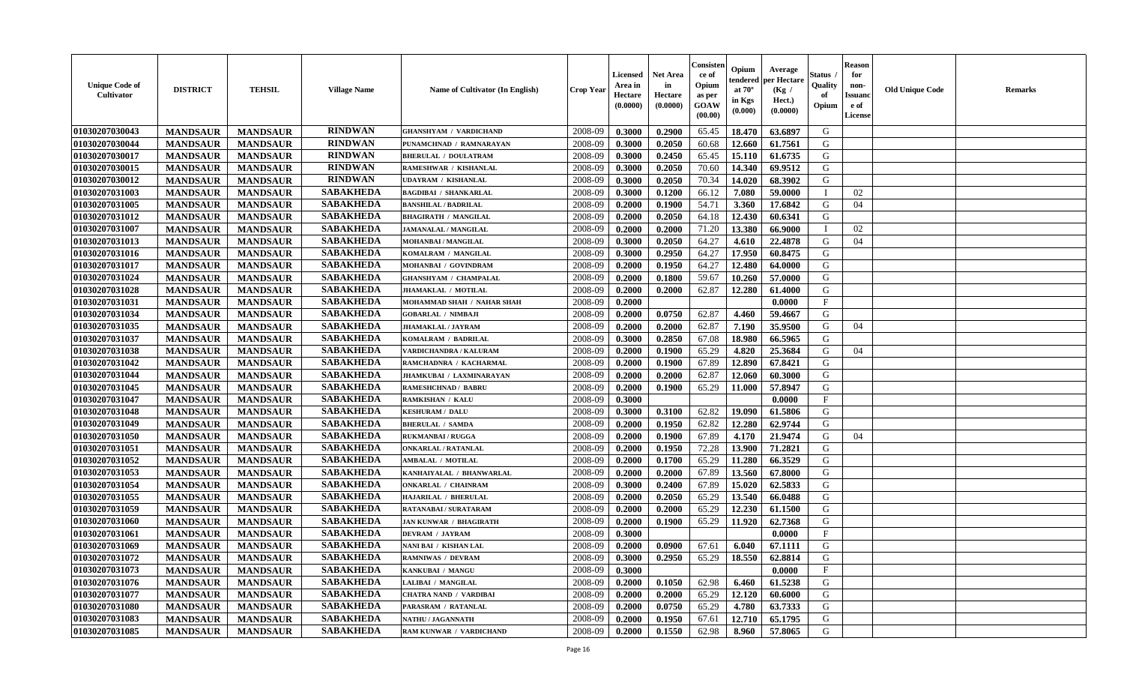| <b>Unique Code of</b><br><b>Cultivator</b> | <b>DISTRICT</b> | <b>TEHSIL</b>   | <b>Village Name</b> | Name of Cultivator (In English) | <b>Crop Year</b> | <b>Licensed</b><br>Area in<br>Hectare<br>(0.0000) | <b>Net Area</b><br>in<br>Hectare<br>(0.0000) | Consister<br>ce of<br>Opium<br>as per<br><b>GOAW</b><br>(00.00) | Opium<br>endered<br>at $70^\circ$<br>in Kgs<br>(0.000) | Average<br>per Hectare<br>(Kg /<br>Hect.)<br>(0.0000) | Status<br>Quality<br>of<br>Opium | <b>Reason</b><br>for<br>non-<br><b>Issuand</b><br>e of<br><b>License</b> | <b>Old Unique Code</b> | <b>Remarks</b> |
|--------------------------------------------|-----------------|-----------------|---------------------|---------------------------------|------------------|---------------------------------------------------|----------------------------------------------|-----------------------------------------------------------------|--------------------------------------------------------|-------------------------------------------------------|----------------------------------|--------------------------------------------------------------------------|------------------------|----------------|
| 01030207030043                             | <b>MANDSAUR</b> | <b>MANDSAUR</b> | <b>RINDWAN</b>      | <b>GHANSHYAM / VARDICHAND</b>   | 2008-09          | 0.3000                                            | 0.2900                                       | 65.45                                                           | 18.470                                                 | 63.6897                                               | G                                |                                                                          |                        |                |
| 01030207030044                             | <b>MANDSAUR</b> | <b>MANDSAUR</b> | <b>RINDWAN</b>      | PUNAMCHNAD / RAMNARAYAN         | 2008-09          | 0.3000                                            | 0.2050                                       | 60.68                                                           | 12.660                                                 | 61.7561                                               | G                                |                                                                          |                        |                |
| 01030207030017                             | <b>MANDSAUR</b> | <b>MANDSAUR</b> | <b>RINDWAN</b>      | <b>BHERULAL / DOULATRAM</b>     | 2008-09          | 0.3000                                            | 0.2450                                       | 65.45                                                           | 15.110                                                 | 61.6735                                               | G                                |                                                                          |                        |                |
| 01030207030015                             | <b>MANDSAUR</b> | <b>MANDSAUR</b> | <b>RINDWAN</b>      | RAMESHWAR / KISHANLAL           | 2008-09          | 0.3000                                            | 0.2050                                       | 70.60                                                           | 14.340                                                 | 69.9512                                               | G                                |                                                                          |                        |                |
| 01030207030012                             | <b>MANDSAUR</b> | <b>MANDSAUR</b> | <b>RINDWAN</b>      | <b>UDAYRAM / KISHANLAL</b>      | 2008-09          | 0.3000                                            | 0.2050                                       | 70.34                                                           | 14.020                                                 | 68.3902                                               | G                                |                                                                          |                        |                |
| 01030207031003                             | <b>MANDSAUR</b> | <b>MANDSAUR</b> | <b>SABAKHEDA</b>    | <b>BAGDIBAI / SHANKARLAL</b>    | 2008-09          | 0.3000                                            | 0.1200                                       | 66.12                                                           | 7.080                                                  | 59.0000                                               | $\mathbf I$                      | 02                                                                       |                        |                |
| 01030207031005                             | <b>MANDSAUR</b> | <b>MANDSAUR</b> | <b>SABAKHEDA</b>    | <b>BANSHILAL / BADRILAL</b>     | 2008-09          | 0.2000                                            | 0.1900                                       | 54.71                                                           | 3.360                                                  | 17.6842                                               | G                                | 04                                                                       |                        |                |
| 01030207031012                             | <b>MANDSAUR</b> | <b>MANDSAUR</b> | <b>SABAKHEDA</b>    | <b>BHAGIRATH / MANGILAL</b>     | 2008-09          | 0.2000                                            | 0.2050                                       | 64.18                                                           | 12.430                                                 | 60.6341                                               | G                                |                                                                          |                        |                |
| 01030207031007                             | <b>MANDSAUR</b> | <b>MANDSAUR</b> | <b>SABAKHEDA</b>    | <b>JAMANALAL / MANGILAL</b>     | 2008-09          | 0.2000                                            | 0.2000                                       | 71.20                                                           | 13.380                                                 | 66.9000                                               | T                                | 02                                                                       |                        |                |
| 01030207031013                             | <b>MANDSAUR</b> | <b>MANDSAUR</b> | <b>SABAKHEDA</b>    | MOHANBAI / MANGILAL             | 2008-09          | 0.3000                                            | 0.2050                                       | 64.27                                                           | 4.610                                                  | 22.4878                                               | G                                | 04                                                                       |                        |                |
| 01030207031016                             | <b>MANDSAUR</b> | <b>MANDSAUR</b> | <b>SABAKHEDA</b>    | KOMALRAM / MANGILAL             | 2008-09          | 0.3000                                            | 0.2950                                       | 64.27                                                           | 17.950                                                 | 60.8475                                               | G                                |                                                                          |                        |                |
| 01030207031017                             | <b>MANDSAUR</b> | <b>MANDSAUR</b> | <b>SABAKHEDA</b>    | MOHANBAI / GOVINDRAM            | 2008-09          | 0.2000                                            | 0.1950                                       | 64.27                                                           | 12.480                                                 | 64.0000                                               | G                                |                                                                          |                        |                |
| 01030207031024                             | <b>MANDSAUR</b> | <b>MANDSAUR</b> | <b>SABAKHEDA</b>    | <b>GHANSHYAM / CHAMPALAL</b>    | 2008-09          | 0.2000                                            | 0.1800                                       | 59.67                                                           | 10.260                                                 | 57.0000                                               | G                                |                                                                          |                        |                |
| 01030207031028                             | <b>MANDSAUR</b> | <b>MANDSAUR</b> | <b>SABAKHEDA</b>    | JHAMAKLAL / MOTILAL             | 2008-09          | 0.2000                                            | 0.2000                                       | 62.87                                                           | 12.280                                                 | 61.4000                                               | G                                |                                                                          |                        |                |
| 01030207031031                             | <b>MANDSAUR</b> | <b>MANDSAUR</b> | <b>SABAKHEDA</b>    | MOHAMMAD SHAH / NAHAR SHAH      | 2008-09          | 0.2000                                            |                                              |                                                                 |                                                        | 0.0000                                                | $\mathbf{F}$                     |                                                                          |                        |                |
| 01030207031034                             | <b>MANDSAUR</b> | <b>MANDSAUR</b> | <b>SABAKHEDA</b>    | <b>GOBARLAL / NIMBAJI</b>       | 2008-09          | 0.2000                                            | 0.0750                                       | 62.87                                                           | 4.460                                                  | 59.4667                                               | G                                |                                                                          |                        |                |
| 01030207031035                             | <b>MANDSAUR</b> | <b>MANDSAUR</b> | <b>SABAKHEDA</b>    | <b>JHAMAKLAL / JAYRAM</b>       | 2008-09          | 0.2000                                            | 0.2000                                       | 62.87                                                           | 7.190                                                  | 35.9500                                               | G                                | 04                                                                       |                        |                |
| 01030207031037                             | <b>MANDSAUR</b> | <b>MANDSAUR</b> | <b>SABAKHEDA</b>    | KOMALRAM / BADRILAL             | 2008-09          | 0.3000                                            | 0.2850                                       | 67.08                                                           | 18.980                                                 | 66.5965                                               | G                                |                                                                          |                        |                |
| 01030207031038                             | <b>MANDSAUR</b> | <b>MANDSAUR</b> | <b>SABAKHEDA</b>    | VARDICHANDRA / KALURAM          | 2008-09          | 0.2000                                            | 0.1900                                       | 65.29                                                           | 4.820                                                  | 25.3684                                               | G                                | 04                                                                       |                        |                |
| 01030207031042                             | <b>MANDSAUR</b> | <b>MANDSAUR</b> | <b>SABAKHEDA</b>    | RAMCHADNRA / KACHARMAL          | 2008-09          | 0.2000                                            | 0.1900                                       | 67.89                                                           | 12.890                                                 | 67.8421                                               | G                                |                                                                          |                        |                |
| 01030207031044                             | <b>MANDSAUR</b> | <b>MANDSAUR</b> | <b>SABAKHEDA</b>    | <b>JHAMKUBAI / LAXMINARAYAN</b> | 2008-09          | 0.2000                                            | 0.2000                                       | 62.87                                                           | 12.060                                                 | 60.3000                                               | G                                |                                                                          |                        |                |
| 01030207031045                             | <b>MANDSAUR</b> | <b>MANDSAUR</b> | <b>SABAKHEDA</b>    | <b>RAMESHCHNAD / BABRU</b>      | 2008-09          | 0.2000                                            | 0.1900                                       | 65.29                                                           | 11.000                                                 | 57.8947                                               | G                                |                                                                          |                        |                |
| 01030207031047                             | <b>MANDSAUR</b> | <b>MANDSAUR</b> | <b>SABAKHEDA</b>    | RAMKISHAN / KALU                | 2008-09          | 0.3000                                            |                                              |                                                                 |                                                        | 0.0000                                                | $\mathbf{F}$                     |                                                                          |                        |                |
| 01030207031048                             | <b>MANDSAUR</b> | <b>MANDSAUR</b> | <b>SABAKHEDA</b>    | <b>KESHURAM / DALU</b>          | 2008-09          | 0.3000                                            | 0.3100                                       | 62.82                                                           | 19.090                                                 | 61.5806                                               | G                                |                                                                          |                        |                |
| 01030207031049                             | <b>MANDSAUR</b> | <b>MANDSAUR</b> | <b>SABAKHEDA</b>    | <b>BHERULAL / SAMDA</b>         | 2008-09          | 0.2000                                            | 0.1950                                       | 62.82                                                           | 12.280                                                 | 62.9744                                               | G                                |                                                                          |                        |                |
| 01030207031050                             | <b>MANDSAUR</b> | <b>MANDSAUR</b> | <b>SABAKHEDA</b>    | <b>RUKMANBAI/RUGGA</b>          | 2008-09          | 0.2000                                            | 0.1900                                       | 67.89                                                           | 4.170                                                  | 21.9474                                               | G                                | 04                                                                       |                        |                |
| 01030207031051                             | <b>MANDSAUR</b> | <b>MANDSAUR</b> | <b>SABAKHEDA</b>    | <b>ONKARLAL / RATANLAL</b>      | 2008-09          | 0.2000                                            | 0.1950                                       | 72.28                                                           | 13.900                                                 | 71.2821                                               | G                                |                                                                          |                        |                |
| 01030207031052                             | <b>MANDSAUR</b> | <b>MANDSAUR</b> | <b>SABAKHEDA</b>    | <b>AMBALAL / MOTILAL</b>        | 2008-09          | 0.2000                                            | 0.1700                                       | 65.29                                                           | 11.280                                                 | 66.3529                                               | G                                |                                                                          |                        |                |
| 01030207031053                             | <b>MANDSAUR</b> | <b>MANDSAUR</b> | <b>SABAKHEDA</b>    | KANHAIYALAL / BHANWARLAL        | 2008-09          | 0.2000                                            | 0.2000                                       | 67.89                                                           | 13.560                                                 | 67.8000                                               | G                                |                                                                          |                        |                |
| 01030207031054                             | <b>MANDSAUR</b> | <b>MANDSAUR</b> | <b>SABAKHEDA</b>    | <b>ONKARLAL / CHAINRAM</b>      | 2008-09          | 0.3000                                            | 0.2400                                       | 67.89                                                           | 15.020                                                 | 62.5833                                               | G                                |                                                                          |                        |                |
| 01030207031055                             | <b>MANDSAUR</b> | <b>MANDSAUR</b> | <b>SABAKHEDA</b>    | HAJARILAL / BHERULAL            | 2008-09          | 0.2000                                            | 0.2050                                       | 65.29                                                           | 13.540                                                 | 66.0488                                               | G                                |                                                                          |                        |                |
| 01030207031059                             | <b>MANDSAUR</b> | <b>MANDSAUR</b> | <b>SABAKHEDA</b>    | RATANABAI / SURATARAM           | 2008-09          | 0.2000                                            | 0.2000                                       | 65.29                                                           | 12.230                                                 | 61.1500                                               | ${\bf G}$                        |                                                                          |                        |                |
| 01030207031060                             | <b>MANDSAUR</b> | <b>MANDSAUR</b> | <b>SABAKHEDA</b>    | <b>JAN KUNWAR / BHAGIRATH</b>   | 2008-09          | 0.2000                                            | 0.1900                                       | 65.29                                                           | 11.920                                                 | 62.7368                                               | G                                |                                                                          |                        |                |
| 01030207031061                             | <b>MANDSAUR</b> | <b>MANDSAUR</b> | <b>SABAKHEDA</b>    | <b>DEVRAM / JAYRAM</b>          | 2008-09          | 0.3000                                            |                                              |                                                                 |                                                        | 0.0000                                                | $\mathbf{F}$                     |                                                                          |                        |                |
| 01030207031069                             | <b>MANDSAUR</b> | <b>MANDSAUR</b> | <b>SABAKHEDA</b>    | NANI BAI / KISHAN LAL           | 2008-09          | 0.2000                                            | 0.0900                                       | 67.61                                                           | 6.040                                                  | 67.1111                                               | G                                |                                                                          |                        |                |
| 01030207031072                             | <b>MANDSAUR</b> | <b>MANDSAUR</b> | <b>SABAKHEDA</b>    | <b>RAMNIWAS / DEVRAM</b>        | 2008-09          | 0.3000                                            | 0.2950                                       | 65.29                                                           | 18.550                                                 | 62.8814                                               | G                                |                                                                          |                        |                |
| 01030207031073                             | <b>MANDSAUR</b> | <b>MANDSAUR</b> | <b>SABAKHEDA</b>    | KANKUBAI / MANGU                | 2008-09          | 0.3000                                            |                                              |                                                                 |                                                        | 0.0000                                                | $\rm F$                          |                                                                          |                        |                |
| 01030207031076                             | <b>MANDSAUR</b> | <b>MANDSAUR</b> | <b>SABAKHEDA</b>    | LALIBAI / MANGILAL              | 2008-09          | 0.2000                                            | 0.1050                                       | 62.98                                                           | 6.460                                                  | 61.5238                                               | G                                |                                                                          |                        |                |
| 01030207031077                             | <b>MANDSAUR</b> | <b>MANDSAUR</b> | <b>SABAKHEDA</b>    | <b>CHATRA NAND / VARDIBAI</b>   | 2008-09          | 0.2000                                            | 0.2000                                       | 65.29                                                           | 12.120                                                 | 60.6000                                               | G                                |                                                                          |                        |                |
| 01030207031080                             | <b>MANDSAUR</b> | <b>MANDSAUR</b> | <b>SABAKHEDA</b>    | PARASRAM / RATANLAL             | 2008-09          | 0.2000                                            | 0.0750                                       | 65.29                                                           | 4.780                                                  | 63.7333                                               | G                                |                                                                          |                        |                |
| 01030207031083                             | <b>MANDSAUR</b> | <b>MANDSAUR</b> | <b>SABAKHEDA</b>    | NATHU / JAGANNATH               | 2008-09          | 0.2000                                            | 0.1950                                       | 67.61                                                           | 12.710                                                 | 65.1795                                               | G                                |                                                                          |                        |                |
| 01030207031085                             | <b>MANDSAUR</b> | <b>MANDSAUR</b> | <b>SABAKHEDA</b>    | RAM KUNWAR / VARDICHAND         | 2008-09          | 0.2000                                            | 0.1550                                       | 62.98                                                           | 8.960                                                  | 57.8065                                               | G                                |                                                                          |                        |                |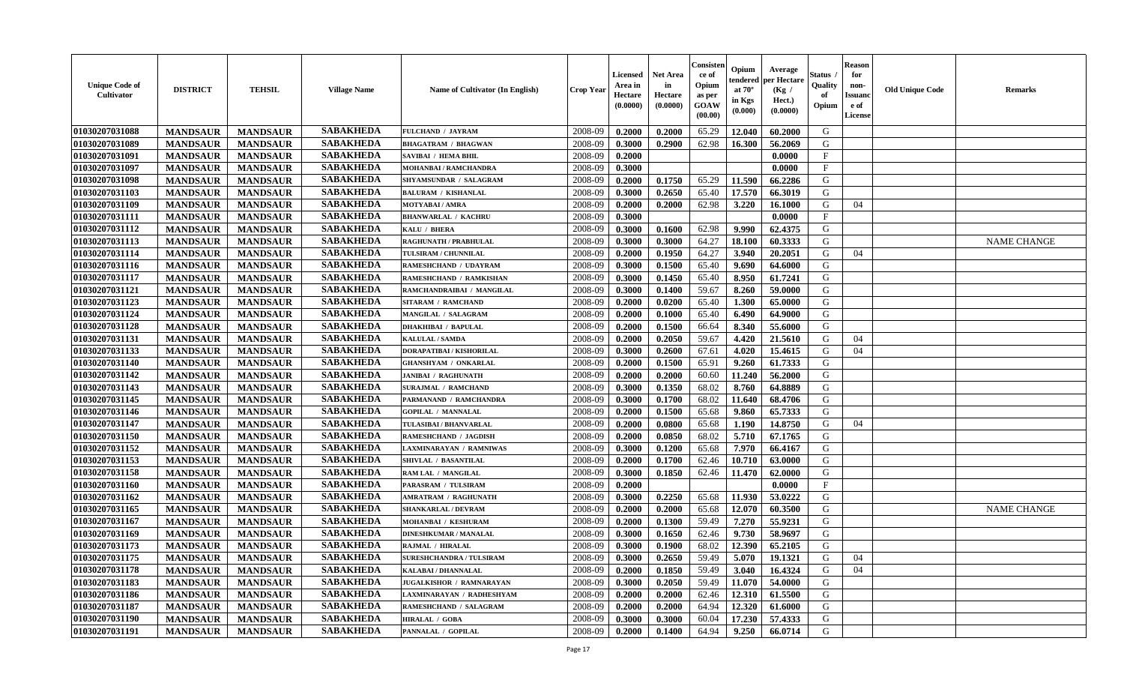| <b>Unique Code of</b><br><b>Cultivator</b> | <b>DISTRICT</b> | <b>TEHSIL</b>   | <b>Village Name</b> | Name of Cultivator (In English) | <b>Crop Year</b> | <b>Licensed</b><br>Area in<br>Hectare<br>(0.0000) | <b>Net Area</b><br>in<br>Hectare<br>(0.0000) | Consisteı<br>ce of<br>Opium<br>as per<br>GOAW<br>(00.00) | Opium<br>endered<br>at $70^\circ$<br>in Kgs<br>(0.000) | Average<br>per Hectare<br>(Kg /<br>Hect.)<br>(0.0000) | Status<br>Quality<br>of<br>Opium | <b>Reason</b><br>for<br>non-<br><b>Issuand</b><br>e of<br>License | <b>Old Unique Code</b> | Remarks            |
|--------------------------------------------|-----------------|-----------------|---------------------|---------------------------------|------------------|---------------------------------------------------|----------------------------------------------|----------------------------------------------------------|--------------------------------------------------------|-------------------------------------------------------|----------------------------------|-------------------------------------------------------------------|------------------------|--------------------|
| 01030207031088                             | <b>MANDSAUR</b> | <b>MANDSAUR</b> | <b>SABAKHEDA</b>    | FULCHAND / JAYRAM               | 2008-09          | 0.2000                                            | 0.2000                                       | 65.29                                                    | 12.040                                                 | 60.2000                                               | G                                |                                                                   |                        |                    |
| 01030207031089                             | <b>MANDSAUR</b> | <b>MANDSAUR</b> | <b>SABAKHEDA</b>    | <b>BHAGATRAM / BHAGWAN</b>      | 2008-09          | 0.3000                                            | 0.2900                                       | 62.98                                                    | 16.300                                                 | 56.2069                                               | G                                |                                                                   |                        |                    |
| 01030207031091                             | <b>MANDSAUR</b> | <b>MANDSAUR</b> | <b>SABAKHEDA</b>    | SAVIBAI / HEMA BHIL             | 2008-09          | 0.2000                                            |                                              |                                                          |                                                        | 0.0000                                                | $\mathbf{F}$                     |                                                                   |                        |                    |
| 01030207031097                             | <b>MANDSAUR</b> | <b>MANDSAUR</b> | <b>SABAKHEDA</b>    | MOHANBAI / RAMCHANDRA           | 2008-09          | 0.3000                                            |                                              |                                                          |                                                        | 0.0000                                                | $\mathbf{F}$                     |                                                                   |                        |                    |
| 01030207031098                             | <b>MANDSAUR</b> | <b>MANDSAUR</b> | <b>SABAKHEDA</b>    | SHYAMSUNDAR / SALAGRAM          | 2008-09          | 0.2000                                            | 0.1750                                       | 65.29                                                    | 11.590                                                 | 66.2286                                               | G                                |                                                                   |                        |                    |
| 01030207031103                             | <b>MANDSAUR</b> | <b>MANDSAUR</b> | <b>SABAKHEDA</b>    | <b>BALURAM / KISHANLAL</b>      | 2008-09          | 0.3000                                            | 0.2650                                       | 65.40                                                    | 17.570                                                 | 66.3019                                               | G                                |                                                                   |                        |                    |
| 01030207031109                             | <b>MANDSAUR</b> | <b>MANDSAUR</b> | <b>SABAKHEDA</b>    | <b>MOTYABAI/AMRA</b>            | 2008-09          | 0.2000                                            | 0.2000                                       | 62.98                                                    | 3.220                                                  | 16.1000                                               | G                                | 04                                                                |                        |                    |
| 01030207031111                             | <b>MANDSAUR</b> | <b>MANDSAUR</b> | <b>SABAKHEDA</b>    | <b>BHANWARLAL / KACHRU</b>      | 2008-09          | 0.3000                                            |                                              |                                                          |                                                        | 0.0000                                                | $\mathbf{F}$                     |                                                                   |                        |                    |
| 01030207031112                             | <b>MANDSAUR</b> | <b>MANDSAUR</b> | <b>SABAKHEDA</b>    | KALU / BHERA                    | 2008-09          | 0.3000                                            | 0.1600                                       | 62.98                                                    | 9.990                                                  | 62.4375                                               | G                                |                                                                   |                        |                    |
| 01030207031113                             | <b>MANDSAUR</b> | <b>MANDSAUR</b> | <b>SABAKHEDA</b>    | <b>RAGHUNATH / PRABHULAL</b>    | 2008-09          | 0.3000                                            | 0.3000                                       | 64.27                                                    | 18.100                                                 | 60.3333                                               | G                                |                                                                   |                        | <b>NAME CHANGE</b> |
| 01030207031114                             | <b>MANDSAUR</b> | <b>MANDSAUR</b> | <b>SABAKHEDA</b>    | TULSIRAM / CHUNNILAL            | 2008-09          | 0.2000                                            | 0.1950                                       | 64.27                                                    | 3.940                                                  | 20.2051                                               | G                                | 04                                                                |                        |                    |
| 01030207031116                             | <b>MANDSAUR</b> | <b>MANDSAUR</b> | <b>SABAKHEDA</b>    | RAMESHCHAND / UDAYRAM           | 2008-09          | 0.3000                                            | 0.1500                                       | 65.40                                                    | 9.690                                                  | 64.6000                                               | G                                |                                                                   |                        |                    |
| 01030207031117                             | <b>MANDSAUR</b> | <b>MANDSAUR</b> | <b>SABAKHEDA</b>    | RAMESHCHAND / RAMKISHAN         | 2008-09          | 0.3000                                            | 0.1450                                       | 65.40                                                    | 8.950                                                  | 61.7241                                               | G                                |                                                                   |                        |                    |
| 01030207031121                             | <b>MANDSAUR</b> | <b>MANDSAUR</b> | <b>SABAKHEDA</b>    | RAMCHANDRAIBAI / MANGILAL       | 2008-09          | 0.3000                                            | 0.1400                                       | 59.67                                                    | 8.260                                                  | 59.0000                                               | G                                |                                                                   |                        |                    |
| 01030207031123                             | <b>MANDSAUR</b> | <b>MANDSAUR</b> | <b>SABAKHEDA</b>    | <b>SITARAM / RAMCHAND</b>       | 2008-09          | 0.2000                                            | 0.0200                                       | 65.40                                                    | 1.300                                                  | 65.0000                                               | $\mathbf G$                      |                                                                   |                        |                    |
| 01030207031124                             | <b>MANDSAUR</b> | <b>MANDSAUR</b> | <b>SABAKHEDA</b>    | MANGILAL / SALAGRAM             | 2008-09          | 0.2000                                            | 0.1000                                       | 65.40                                                    | 6.490                                                  | 64.9000                                               | G                                |                                                                   |                        |                    |
| 01030207031128                             | <b>MANDSAUR</b> | <b>MANDSAUR</b> | <b>SABAKHEDA</b>    | <b>DHAKHIBAI / BAPULAL</b>      | 2008-09          | 0.2000                                            | 0.1500                                       | 66.64                                                    | 8.340                                                  | 55.6000                                               | G                                |                                                                   |                        |                    |
| 01030207031131                             | <b>MANDSAUR</b> | <b>MANDSAUR</b> | <b>SABAKHEDA</b>    | <b>KALULAL / SAMDA</b>          | 2008-09          | 0.2000                                            | 0.2050                                       | 59.67                                                    | 4.420                                                  | 21.5610                                               | G                                | 04                                                                |                        |                    |
| 01030207031133                             | <b>MANDSAUR</b> | <b>MANDSAUR</b> | <b>SABAKHEDA</b>    | DORAPATIBAI / KISHORILAL        | 2008-09          | 0.3000                                            | 0.2600                                       | 67.61                                                    | 4.020                                                  | 15.4615                                               | G                                | 04                                                                |                        |                    |
| 01030207031140                             | <b>MANDSAUR</b> | <b>MANDSAUR</b> | <b>SABAKHEDA</b>    | <b>GHANSHYAM / ONKARLAL</b>     | 2008-09          | 0.2000                                            | 0.1500                                       | 65.91                                                    | 9.260                                                  | 61.7333                                               | G                                |                                                                   |                        |                    |
| 01030207031142                             | <b>MANDSAUR</b> | <b>MANDSAUR</b> | <b>SABAKHEDA</b>    | <b>JANIBAI / RAGHUNATH</b>      | 2008-09          | 0.2000                                            | 0.2000                                       | 60.60                                                    | 11.240                                                 | 56.2000                                               | G                                |                                                                   |                        |                    |
| 01030207031143                             | <b>MANDSAUR</b> | <b>MANDSAUR</b> | <b>SABAKHEDA</b>    | <b>SURAJMAL / RAMCHAND</b>      | 2008-09          | 0.3000                                            | 0.1350                                       | 68.02                                                    | 8.760                                                  | 64.8889                                               | G                                |                                                                   |                        |                    |
| 01030207031145                             | <b>MANDSAUR</b> | <b>MANDSAUR</b> | <b>SABAKHEDA</b>    | PARMANAND / RAMCHANDRA          | 2008-09          | 0.3000                                            | 0.1700                                       | 68.02                                                    | 11.640                                                 | 68.4706                                               | G                                |                                                                   |                        |                    |
| 01030207031146                             | <b>MANDSAUR</b> | <b>MANDSAUR</b> | <b>SABAKHEDA</b>    | <b>GOPILAL / MANNALAL</b>       | 2008-09          | 0.2000                                            | 0.1500                                       | 65.68                                                    | 9.860                                                  | 65.7333                                               | G                                |                                                                   |                        |                    |
| 01030207031147                             | <b>MANDSAUR</b> | <b>MANDSAUR</b> | <b>SABAKHEDA</b>    | TULASIBAI / BHANVARLAL          | 2008-09          | 0.2000                                            | 0.0800                                       | 65.68                                                    | 1.190                                                  | 14.8750                                               | G                                | 04                                                                |                        |                    |
| 01030207031150                             | <b>MANDSAUR</b> | <b>MANDSAUR</b> | <b>SABAKHEDA</b>    | RAMESHCHAND / JAGDISH           | 2008-09          | 0.2000                                            | 0.0850                                       | 68.02                                                    | 5.710                                                  | 67.1765                                               | G                                |                                                                   |                        |                    |
| 01030207031152                             | <b>MANDSAUR</b> | <b>MANDSAUR</b> | <b>SABAKHEDA</b>    | <b>LAXMINARAYAN / RAMNIWAS</b>  | 2008-09          | 0.3000                                            | 0.1200                                       | 65.68                                                    | 7.970                                                  | 66.4167                                               | G                                |                                                                   |                        |                    |
| 01030207031153                             | <b>MANDSAUR</b> | <b>MANDSAUR</b> | <b>SABAKHEDA</b>    | SHIVLAL / BASANTILAL            | 2008-09          | 0.2000                                            | 0.1700                                       | 62.46                                                    | 10.710                                                 | 63.0000                                               | G                                |                                                                   |                        |                    |
| 01030207031158                             | <b>MANDSAUR</b> | <b>MANDSAUR</b> | <b>SABAKHEDA</b>    | RAM LAL / MANGILAL              | 2008-09          | 0.3000                                            | 0.1850                                       | 62.46                                                    | 11.470                                                 | 62.0000                                               | G                                |                                                                   |                        |                    |
| 01030207031160                             | <b>MANDSAUR</b> | <b>MANDSAUR</b> | <b>SABAKHEDA</b>    | PARASRAM / TULSIRAM             | 2008-09          | 0.2000                                            |                                              |                                                          |                                                        | 0.0000                                                | $_{\rm F}$                       |                                                                   |                        |                    |
| 01030207031162                             | <b>MANDSAUR</b> | <b>MANDSAUR</b> | <b>SABAKHEDA</b>    | <b>AMRATRAM / RAGHUNATH</b>     | 2008-09          | 0.3000                                            | 0.2250                                       | 65.68                                                    | 11.930                                                 | 53.0222                                               | G                                |                                                                   |                        |                    |
| 01030207031165                             | <b>MANDSAUR</b> | <b>MANDSAUR</b> | <b>SABAKHEDA</b>    | <b>SHANKARLAL / DEVRAM</b>      | 2008-09          | 0.2000                                            | 0.2000                                       | 65.68                                                    | 12.070                                                 | 60.3500                                               | G                                |                                                                   |                        | <b>NAME CHANGE</b> |
| 01030207031167                             | <b>MANDSAUR</b> | <b>MANDSAUR</b> | <b>SABAKHEDA</b>    | MOHANBAI / KESHURAM             | 2008-09          | 0.2000                                            | 0.1300                                       | 59.49                                                    | 7.270                                                  | 55.9231                                               | G                                |                                                                   |                        |                    |
| 01030207031169                             | <b>MANDSAUR</b> | <b>MANDSAUR</b> | <b>SABAKHEDA</b>    | <b>DINESHKUMAR / MANALAL</b>    | 2008-09          | 0.3000                                            | 0.1650                                       | 62.46                                                    | 9.730                                                  | 58.9697                                               | G                                |                                                                   |                        |                    |
| 01030207031173                             | <b>MANDSAUR</b> | <b>MANDSAUR</b> | <b>SABAKHEDA</b>    | RAJMAL / HIRALAL                | 2008-09          | 0.3000                                            | 0.1900                                       | 68.02                                                    | 12.390                                                 | 65.2105                                               | G                                |                                                                   |                        |                    |
| 01030207031175                             | <b>MANDSAUR</b> | <b>MANDSAUR</b> | <b>SABAKHEDA</b>    | <b>SURESHCHANDRA / TULSIRAM</b> | 2008-09          | 0.3000                                            | 0.2650                                       | 59.49                                                    | 5.070                                                  | 19.1321                                               | G                                | 04                                                                |                        |                    |
| 01030207031178                             | <b>MANDSAUR</b> | <b>MANDSAUR</b> | <b>SABAKHEDA</b>    | <b>KALABAI/DHANNALAL</b>        | 2008-09          | 0.2000                                            | 0.1850                                       | 59.49                                                    | 3.040                                                  | 16.4324                                               | G                                | 04                                                                |                        |                    |
| 01030207031183                             | <b>MANDSAUR</b> | <b>MANDSAUR</b> | <b>SABAKHEDA</b>    | <b>JUGALKISHOR / RAMNARAYAN</b> | 2008-09          | 0.3000                                            | 0.2050                                       | 59.49                                                    | 11.070                                                 | 54.0000                                               | G                                |                                                                   |                        |                    |
| 01030207031186                             | <b>MANDSAUR</b> | <b>MANDSAUR</b> | <b>SABAKHEDA</b>    | LAXMINARAYAN / RADHESHYAM       | 2008-09          | 0.2000                                            | 0.2000                                       | 62.46                                                    | 12.310                                                 | 61.5500                                               | G                                |                                                                   |                        |                    |
| 01030207031187                             | <b>MANDSAUR</b> | <b>MANDSAUR</b> | <b>SABAKHEDA</b>    | RAMESHCHAND / SALAGRAM          | 2008-09          | 0.2000                                            | 0.2000                                       | 64.94                                                    | 12.320                                                 | 61.6000                                               | ${\bf G}$                        |                                                                   |                        |                    |
| 01030207031190                             | <b>MANDSAUR</b> | <b>MANDSAUR</b> | <b>SABAKHEDA</b>    | <b>HIRALAL / GOBA</b>           | 2008-09          | 0.3000                                            | 0.3000                                       | 60.04                                                    | 17.230                                                 | 57.4333                                               | G                                |                                                                   |                        |                    |
| 01030207031191                             | <b>MANDSAUR</b> | <b>MANDSAUR</b> | <b>SABAKHEDA</b>    | PANNALAL / GOPILAL              | 2008-09          | 0.2000                                            | 0.1400                                       | 64.94                                                    | 9.250                                                  | 66.0714                                               | G                                |                                                                   |                        |                    |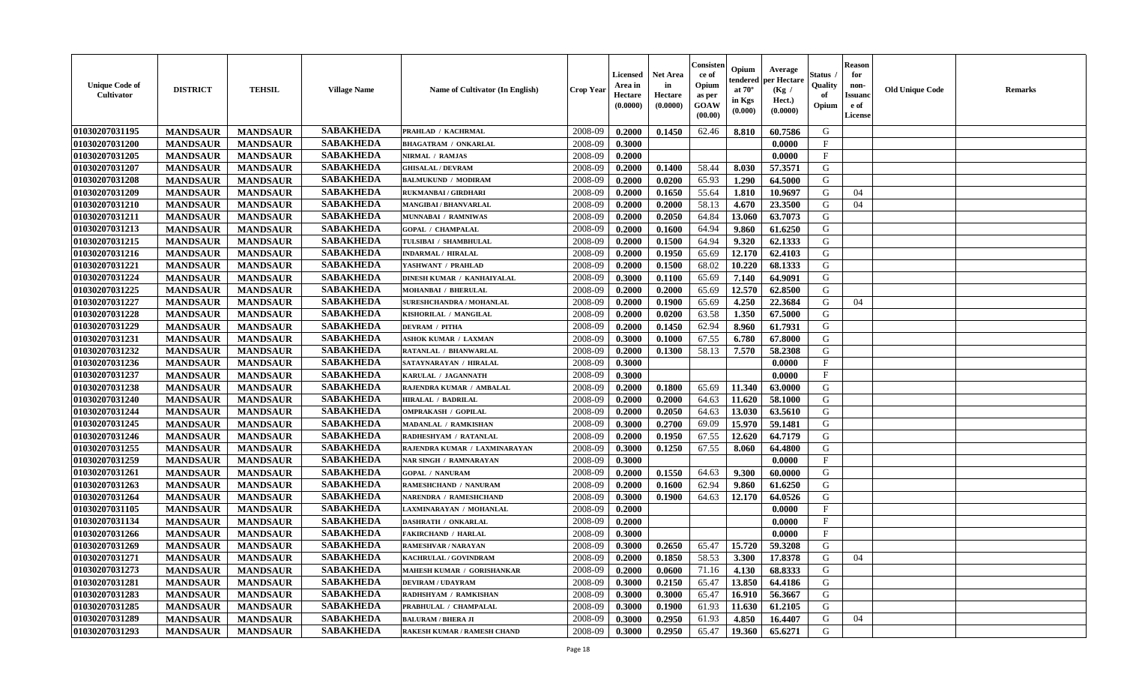| <b>Unique Code of</b><br><b>Cultivator</b> | <b>DISTRICT</b> | <b>TEHSIL</b>   | <b>Village Name</b> | Name of Cultivator (In English)    | <b>Crop Year</b> | <b>Licensed</b><br>Area in<br>Hectare<br>(0.0000) | <b>Net Area</b><br>in<br>Hectare<br>(0.0000) | Consister<br>ce of<br>Opium<br>as per<br><b>GOAW</b><br>(00.00) | Opium<br>endered<br>at $70^{\circ}$<br>in Kgs<br>(0.000) | Average<br>per Hectare<br>(Kg)<br>Hect.)<br>(0.0000) | Status<br>Quality<br>of<br>Opium | <b>Reason</b><br>for<br>non-<br><b>Issuano</b><br>e of<br>License | <b>Old Unique Code</b> | <b>Remarks</b> |
|--------------------------------------------|-----------------|-----------------|---------------------|------------------------------------|------------------|---------------------------------------------------|----------------------------------------------|-----------------------------------------------------------------|----------------------------------------------------------|------------------------------------------------------|----------------------------------|-------------------------------------------------------------------|------------------------|----------------|
| 01030207031195                             | <b>MANDSAUR</b> | <b>MANDSAUR</b> | <b>SABAKHEDA</b>    | PRAHLAD / KACHRMAL                 | 2008-09          | 0.2000                                            | 0.1450                                       | 62.46                                                           | 8.810                                                    | 60.7586                                              | G                                |                                                                   |                        |                |
| 01030207031200                             | <b>MANDSAUR</b> | <b>MANDSAUR</b> | <b>SABAKHEDA</b>    | <b>BHAGATRAM / ONKARLAL</b>        | 2008-09          | 0.3000                                            |                                              |                                                                 |                                                          | 0.0000                                               | $\mathbf{F}$                     |                                                                   |                        |                |
| 01030207031205                             | <b>MANDSAUR</b> | <b>MANDSAUR</b> | <b>SABAKHEDA</b>    | NIRMAL / RAMJAS                    | 2008-09          | 0.2000                                            |                                              |                                                                 |                                                          | 0.0000                                               | $\mathbf{F}$                     |                                                                   |                        |                |
| 01030207031207                             | <b>MANDSAUR</b> | <b>MANDSAUR</b> | <b>SABAKHEDA</b>    | <b>GHISALAL / DEVRAM</b>           | 2008-09          | 0.2000                                            | 0.1400                                       | 58.44                                                           | 8.030                                                    | 57.3571                                              | G                                |                                                                   |                        |                |
| 01030207031208                             | <b>MANDSAUR</b> | <b>MANDSAUR</b> | <b>SABAKHEDA</b>    | <b>BALMUKUND / MODIRAM</b>         | 2008-09          | 0.2000                                            | 0.0200                                       | 65.93                                                           | 1.290                                                    | 64.5000                                              | G                                |                                                                   |                        |                |
| 01030207031209                             | <b>MANDSAUR</b> | <b>MANDSAUR</b> | <b>SABAKHEDA</b>    | RUKMANBAI / GIRDHARI               | 2008-09          | 0.2000                                            | 0.1650                                       | 55.64                                                           | 1.810                                                    | 10.9697                                              | G                                | 04                                                                |                        |                |
| 01030207031210                             | <b>MANDSAUR</b> | <b>MANDSAUR</b> | <b>SABAKHEDA</b>    | <b>MANGIBAI / BHANVARLAL</b>       | 2008-09          | 0.2000                                            | 0.2000                                       | 58.13                                                           | 4.670                                                    | 23.3500                                              | G                                | 04                                                                |                        |                |
| 01030207031211                             | <b>MANDSAUR</b> | <b>MANDSAUR</b> | <b>SABAKHEDA</b>    | MUNNABAI / RAMNIWAS                | 2008-09          | 0.2000                                            | 0.2050                                       | 64.84                                                           | 13.060                                                   | 63.7073                                              | G                                |                                                                   |                        |                |
| 01030207031213                             | <b>MANDSAUR</b> | <b>MANDSAUR</b> | <b>SABAKHEDA</b>    | <b>GOPAL / CHAMPALAL</b>           | 2008-09          | 0.2000                                            | 0.1600                                       | 64.94                                                           | 9.860                                                    | 61.6250                                              | G                                |                                                                   |                        |                |
| 01030207031215                             | <b>MANDSAUR</b> | <b>MANDSAUR</b> | <b>SABAKHEDA</b>    | TULSIBAI / SHAMBHULAL              | 2008-09          | 0.2000                                            | 0.1500                                       | 64.94                                                           | 9.320                                                    | 62.1333                                              | G                                |                                                                   |                        |                |
| 01030207031216                             | <b>MANDSAUR</b> | <b>MANDSAUR</b> | <b>SABAKHEDA</b>    | <b>INDARMAL / HIRALAL</b>          | 2008-09          | 0.2000                                            | 0.1950                                       | 65.69                                                           | 12.170                                                   | 62.4103                                              | G                                |                                                                   |                        |                |
| 01030207031221                             | <b>MANDSAUR</b> | <b>MANDSAUR</b> | <b>SABAKHEDA</b>    | YASHWANT / PRAHLAD                 | 2008-09          | 0.2000                                            | 0.1500                                       | 68.02                                                           | 10.220                                                   | 68.1333                                              | G                                |                                                                   |                        |                |
| 01030207031224                             | <b>MANDSAUR</b> | <b>MANDSAUR</b> | <b>SABAKHEDA</b>    | DINESH KUMAR / KANHAIYALAL         | 2008-09          | 0.3000                                            | 0.1100                                       | 65.69                                                           | 7.140                                                    | 64.9091                                              | G                                |                                                                   |                        |                |
| 01030207031225                             | <b>MANDSAUR</b> | <b>MANDSAUR</b> | <b>SABAKHEDA</b>    | MOHANBAI / BHERULAL                | 2008-09          | 0.2000                                            | 0.2000                                       | 65.69                                                           | 12.570                                                   | 62.8500                                              | G                                |                                                                   |                        |                |
| 01030207031227                             | <b>MANDSAUR</b> | <b>MANDSAUR</b> | <b>SABAKHEDA</b>    | SURESHCHANDRA / MOHANLAL           | 2008-09          | 0.2000                                            | 0.1900                                       | 65.69                                                           | 4.250                                                    | 22.3684                                              | G                                | 04                                                                |                        |                |
| 01030207031228                             | <b>MANDSAUR</b> | <b>MANDSAUR</b> | <b>SABAKHEDA</b>    | KISHORILAL / MANGILAL              | 2008-09          | 0.2000                                            | 0.0200                                       | 63.58                                                           | 1.350                                                    | 67.5000                                              | G                                |                                                                   |                        |                |
| 01030207031229                             | <b>MANDSAUR</b> | <b>MANDSAUR</b> | <b>SABAKHEDA</b>    | <b>DEVRAM / PITHA</b>              | 2008-09          | 0.2000                                            | 0.1450                                       | 62.94                                                           | 8.960                                                    | 61.7931                                              | G                                |                                                                   |                        |                |
| 01030207031231                             | <b>MANDSAUR</b> | <b>MANDSAUR</b> | <b>SABAKHEDA</b>    | <b>ASHOK KUMAR / LAXMAN</b>        | 2008-09          | 0.3000                                            | 0.1000                                       | 67.55                                                           | 6.780                                                    | 67.8000                                              | G                                |                                                                   |                        |                |
| 01030207031232                             | <b>MANDSAUR</b> | <b>MANDSAUR</b> | <b>SABAKHEDA</b>    | RATANLAL / BHANWARLAL              | 2008-09          | 0.2000                                            | 0.1300                                       | 58.13                                                           | 7.570                                                    | 58.2308                                              | G                                |                                                                   |                        |                |
| 01030207031236                             |                 |                 | <b>SABAKHEDA</b>    |                                    | 2008-09          | 0.3000                                            |                                              |                                                                 |                                                          |                                                      | $\mathbf{F}$                     |                                                                   |                        |                |
|                                            | <b>MANDSAUR</b> | <b>MANDSAUR</b> | <b>SABAKHEDA</b>    | SATAYNARAYAN / HIRALAL             |                  |                                                   |                                              |                                                                 |                                                          | 0.0000                                               |                                  |                                                                   |                        |                |
| 01030207031237                             | <b>MANDSAUR</b> | <b>MANDSAUR</b> |                     | KARULAL / JAGANNATH                | 2008-09          | 0.3000                                            |                                              |                                                                 |                                                          | 0.0000                                               | $\mathbf{F}$                     |                                                                   |                        |                |
| 01030207031238                             | <b>MANDSAUR</b> | <b>MANDSAUR</b> | <b>SABAKHEDA</b>    | RAJENDRA KUMAR / AMBALAL           | 2008-09          | 0.2000                                            | 0.1800                                       | 65.69                                                           | 11.340                                                   | 63.0000                                              | G                                |                                                                   |                        |                |
| 01030207031240                             | <b>MANDSAUR</b> | <b>MANDSAUR</b> | <b>SABAKHEDA</b>    | <b>HIRALAL / BADRILAL</b>          | 2008-09          | 0.2000                                            | 0.2000                                       | 64.63                                                           | 11.620                                                   | 58.1000                                              | G                                |                                                                   |                        |                |
| 01030207031244                             | <b>MANDSAUR</b> | <b>MANDSAUR</b> | <b>SABAKHEDA</b>    | <b>OMPRAKASH / GOPILAL</b>         | 2008-09          | 0.2000                                            | 0.2050                                       | 64.63                                                           | 13.030                                                   | 63.5610                                              | G                                |                                                                   |                        |                |
| 01030207031245                             | <b>MANDSAUR</b> | <b>MANDSAUR</b> | <b>SABAKHEDA</b>    | MADANLAL / RAMKISHAN               | 2008-09          | 0.3000                                            | 0.2700                                       | 69.09                                                           | 15.970                                                   | 59.1481                                              | G                                |                                                                   |                        |                |
| 01030207031246                             | <b>MANDSAUR</b> | <b>MANDSAUR</b> | <b>SABAKHEDA</b>    | RADHESHYAM / RATANLAL              | 2008-09          | 0.2000                                            | 0.1950                                       | 67.55                                                           | 12.620                                                   | 64.7179                                              | G                                |                                                                   |                        |                |
| 01030207031255                             | <b>MANDSAUR</b> | <b>MANDSAUR</b> | <b>SABAKHEDA</b>    | RAJENDRA KUMAR / LAXMINARAYAN      | 2008-09          | 0.3000                                            | 0.1250                                       | 67.55                                                           | 8.060                                                    | 64.4800                                              | G                                |                                                                   |                        |                |
| 01030207031259                             | <b>MANDSAUR</b> | <b>MANDSAUR</b> | <b>SABAKHEDA</b>    | <b>NAR SINGH / RAMNARAYAN</b>      | 2008-09          | 0.3000                                            |                                              |                                                                 |                                                          | 0.0000                                               | $\mathbf{F}$                     |                                                                   |                        |                |
| 01030207031261                             | <b>MANDSAUR</b> | <b>MANDSAUR</b> | <b>SABAKHEDA</b>    | <b>GOPAL / NANURAM</b>             | 2008-09          | 0.2000                                            | 0.1550                                       | 64.63                                                           | 9.300                                                    | 60.0000                                              | G                                |                                                                   |                        |                |
| 01030207031263                             | <b>MANDSAUR</b> | <b>MANDSAUR</b> | <b>SABAKHEDA</b>    | RAMESHCHAND / NANURAM              | 2008-09          | 0.2000                                            | 0.1600                                       | 62.94                                                           | 9.860                                                    | 61.6250                                              | G                                |                                                                   |                        |                |
| 01030207031264                             | <b>MANDSAUR</b> | <b>MANDSAUR</b> | <b>SABAKHEDA</b>    | <b>NARENDRA / RAMESHCHAND</b>      | 2008-09          | 0.3000                                            | 0.1900                                       | 64.63                                                           | 12.170                                                   | 64.0526                                              | G                                |                                                                   |                        |                |
| 01030207031105                             | <b>MANDSAUR</b> | <b>MANDSAUR</b> | <b>SABAKHEDA</b>    | LAXMINARAYAN / MOHANLAL            | 2008-09          | 0.2000                                            |                                              |                                                                 |                                                          | 0.0000                                               | $\mathbf{F}$                     |                                                                   |                        |                |
| 01030207031134                             | <b>MANDSAUR</b> | <b>MANDSAUR</b> | <b>SABAKHEDA</b>    | DASHRATH / ONKARLAL                | 2008-09          | 0.2000                                            |                                              |                                                                 |                                                          | 0.0000                                               | $_{\rm F}$                       |                                                                   |                        |                |
| 01030207031266                             | <b>MANDSAUR</b> | <b>MANDSAUR</b> | <b>SABAKHEDA</b>    | <b>FAKIRCHAND / HARLAL</b>         | 2008-09          | 0.3000                                            |                                              |                                                                 |                                                          | 0.0000                                               | $\mathbf{F}$                     |                                                                   |                        |                |
| 01030207031269                             | <b>MANDSAUR</b> | <b>MANDSAUR</b> | <b>SABAKHEDA</b>    | RAMESHVAR / NARAYAN                | 2008-09          | 0.3000                                            | 0.2650                                       | 65.47                                                           | 15.720                                                   | 59.3208                                              | G                                |                                                                   |                        |                |
| 01030207031271                             | <b>MANDSAUR</b> | <b>MANDSAUR</b> | <b>SABAKHEDA</b>    | KACHRULAL / GOVINDRAM              | 2008-09          | 0.2000                                            | 0.1850                                       | 58.53                                                           | 3.300                                                    | 17.8378                                              | G                                | 04                                                                |                        |                |
| 01030207031273                             | <b>MANDSAUR</b> | <b>MANDSAUR</b> | <b>SABAKHEDA</b>    | MAHESH KUMAR / GORISHANKAR         | 2008-09          | 0.2000                                            | 0.0600                                       | 71.16                                                           | 4.130                                                    | 68.8333                                              | G                                |                                                                   |                        |                |
| 01030207031281                             | <b>MANDSAUR</b> | <b>MANDSAUR</b> | <b>SABAKHEDA</b>    | <b>DEVIRAM / UDAYRAM</b>           | 2008-09          | 0.3000                                            | 0.2150                                       | 65.47                                                           | 13.850                                                   | 64.4186                                              | G                                |                                                                   |                        |                |
| 01030207031283                             | <b>MANDSAUR</b> | <b>MANDSAUR</b> | <b>SABAKHEDA</b>    | RADHSHYAM / RAMKISHAN              | 2008-09          | 0.3000                                            | 0.3000                                       | 65.47                                                           | 16.910                                                   | 56.3667                                              | G                                |                                                                   |                        |                |
| 01030207031285                             | <b>MANDSAUR</b> | <b>MANDSAUR</b> | <b>SABAKHEDA</b>    | PRABHULAL / CHAMPALAL              | 2008-09          | 0.3000                                            | 0.1900                                       | 61.93                                                           | 11.630                                                   | 61.2105                                              | G                                |                                                                   |                        |                |
| 01030207031289                             | <b>MANDSAUR</b> | <b>MANDSAUR</b> | <b>SABAKHEDA</b>    | <b>BALURAM / BHERA JI</b>          | 2008-09          | 0.3000                                            | 0.2950                                       | 61.93                                                           | 4.850                                                    | 16.4407                                              | G                                | 04                                                                |                        |                |
| 01030207031293                             | <b>MANDSAUR</b> | <b>MANDSAUR</b> | <b>SABAKHEDA</b>    | <b>RAKESH KUMAR / RAMESH CHAND</b> | 2008-09          | 0.3000                                            | 0.2950                                       | 65.47                                                           | 19.360 65.6271                                           |                                                      | G                                |                                                                   |                        |                |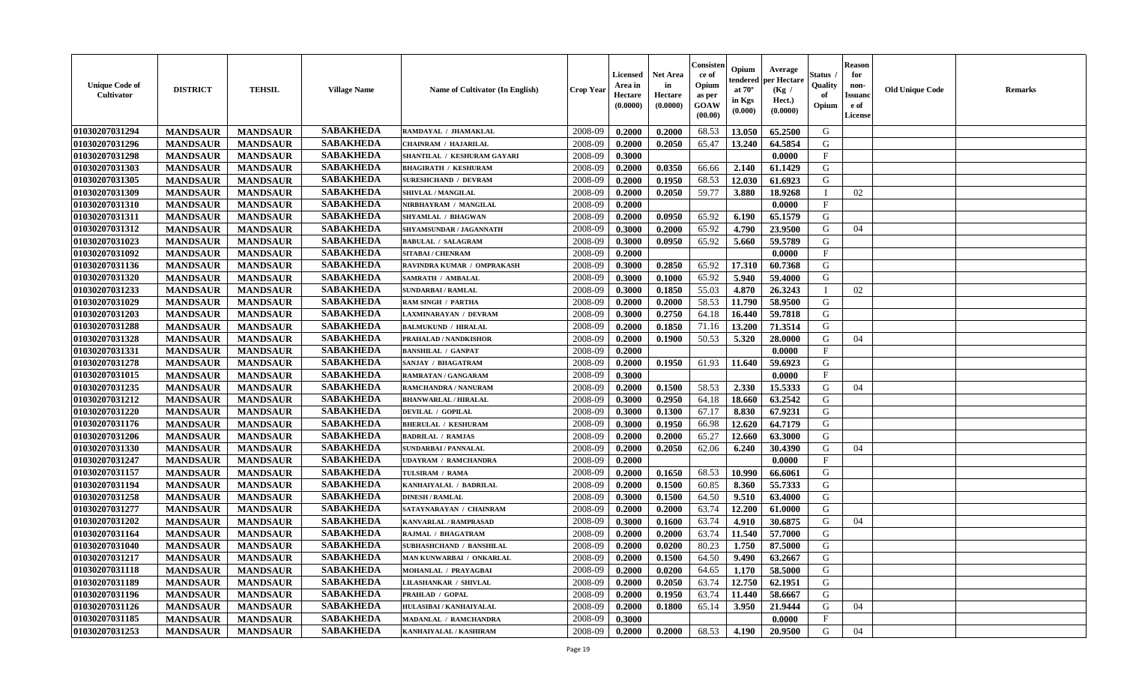| <b>Unique Code of</b><br><b>Cultivator</b> | <b>DISTRICT</b> | <b>TEHSIL</b>   | <b>Village Name</b> | <b>Name of Cultivator (In English)</b> | <b>Crop Year</b> | Licensed<br>Area in<br>Hectare<br>(0.0000) | <b>Net Area</b><br>in<br>Hectare<br>(0.0000) | Consister<br>ce of<br>Opium<br>as per<br>GOAW<br>(00.00) | Opium<br>endered<br>at $70^\circ$<br>in Kgs<br>(0.000) | Average<br>per Hectare<br>(Kg /<br>Hect.)<br>(0.0000) | Status<br>Quality<br>of<br>Opium | <b>Reason</b><br>for<br>non-<br><b>Issuand</b><br>e of<br>License | <b>Old Unique Code</b> | Remarks |
|--------------------------------------------|-----------------|-----------------|---------------------|----------------------------------------|------------------|--------------------------------------------|----------------------------------------------|----------------------------------------------------------|--------------------------------------------------------|-------------------------------------------------------|----------------------------------|-------------------------------------------------------------------|------------------------|---------|
| 01030207031294                             | <b>MANDSAUR</b> | <b>MANDSAUR</b> | <b>SABAKHEDA</b>    | RAMDAYAL / JHAMAKLAL                   | 2008-09          | 0.2000                                     | 0.2000                                       | 68.53                                                    | 13.050                                                 | 65.2500                                               | G                                |                                                                   |                        |         |
| 01030207031296                             | <b>MANDSAUR</b> | <b>MANDSAUR</b> | <b>SABAKHEDA</b>    | <b>CHAINRAM / HAJARILAL</b>            | 2008-09          | 0.2000                                     | 0.2050                                       | 65.47                                                    | 13.240                                                 | 64.5854                                               | G                                |                                                                   |                        |         |
| 01030207031298                             | <b>MANDSAUR</b> | <b>MANDSAUR</b> | <b>SABAKHEDA</b>    | SHANTILAL / KESHURAM GAYARI            | 2008-09          | 0.3000                                     |                                              |                                                          |                                                        | 0.0000                                                | $\mathbf{F}$                     |                                                                   |                        |         |
| 01030207031303                             | <b>MANDSAUR</b> | <b>MANDSAUR</b> | <b>SABAKHEDA</b>    | <b>BHAGIRATH / KESHURAM</b>            | 2008-09          | 0.2000                                     | 0.0350                                       | 66.66                                                    | 2.140                                                  | 61.1429                                               | G                                |                                                                   |                        |         |
| 01030207031305                             | <b>MANDSAUR</b> | <b>MANDSAUR</b> | <b>SABAKHEDA</b>    | <b>SURESHCHAND / DEVRAM</b>            | 2008-09          | 0.2000                                     | 0.1950                                       | 68.53                                                    | 12.030                                                 | 61.6923                                               | G                                |                                                                   |                        |         |
| 01030207031309                             | <b>MANDSAUR</b> | <b>MANDSAUR</b> | <b>SABAKHEDA</b>    | SHIVLAL / MANGILAL                     | 2008-09          | 0.2000                                     | 0.2050                                       | 59.77                                                    | 3.880                                                  | 18.9268                                               | $\mathbf{I}$                     | 02                                                                |                        |         |
| 01030207031310                             | <b>MANDSAUR</b> | <b>MANDSAUR</b> | <b>SABAKHEDA</b>    | NIRBHAYRAM / MANGILAL                  | 2008-09          | 0.2000                                     |                                              |                                                          |                                                        | 0.0000                                                | $\mathbf{F}$                     |                                                                   |                        |         |
| 01030207031311                             | <b>MANDSAUR</b> | <b>MANDSAUR</b> | <b>SABAKHEDA</b>    | SHYAMLAL / BHAGWAN                     | 2008-09          | 0.2000                                     | 0.0950                                       | 65.92                                                    | 6.190                                                  | 65.1579                                               | G                                |                                                                   |                        |         |
| 01030207031312                             | <b>MANDSAUR</b> | <b>MANDSAUR</b> | <b>SABAKHEDA</b>    | SHYAMSUNDAR / JAGANNATH                | 2008-09          | 0.3000                                     | 0.2000                                       | 65.92                                                    | 4.790                                                  | 23.9500                                               | G                                | 04                                                                |                        |         |
| 01030207031023                             | <b>MANDSAUR</b> | <b>MANDSAUR</b> | <b>SABAKHEDA</b>    | <b>BABULAL / SALAGRAM</b>              | 2008-09          | 0.3000                                     | 0.0950                                       | 65.92                                                    | 5.660                                                  | 59.5789                                               | G                                |                                                                   |                        |         |
| 01030207031092                             | <b>MANDSAUR</b> | <b>MANDSAUR</b> | <b>SABAKHEDA</b>    | <b>SITABAI/ CHENRAM</b>                | 2008-09          | 0.2000                                     |                                              |                                                          |                                                        | 0.0000                                                | F                                |                                                                   |                        |         |
| 01030207031136                             | <b>MANDSAUR</b> | <b>MANDSAUR</b> | <b>SABAKHEDA</b>    | RAVINDRA KUMAR / OMPRAKASH             | 2008-09          | 0.3000                                     | 0.2850                                       | 65.92                                                    | 17.310                                                 | 60.7368                                               | G                                |                                                                   |                        |         |
| 01030207031320                             | <b>MANDSAUR</b> | <b>MANDSAUR</b> | <b>SABAKHEDA</b>    | <b>SAMRATH / AMBALAL</b>               | 2008-09          | 0.3000                                     | 0.1000                                       | 65.92                                                    | 5.940                                                  | 59.4000                                               | G                                |                                                                   |                        |         |
| 01030207031233                             | <b>MANDSAUR</b> | <b>MANDSAUR</b> | <b>SABAKHEDA</b>    | <b>SUNDARBAI/RAMLAL</b>                | 2008-09          | 0.3000                                     | 0.1850                                       | 55.03                                                    | 4.870                                                  | 26.3243                                               | $\blacksquare$                   | 02                                                                |                        |         |
| 01030207031029                             | <b>MANDSAUR</b> | <b>MANDSAUR</b> | <b>SABAKHEDA</b>    | <b>RAM SINGH / PARTHA</b>              | 2008-09          | 0.2000                                     | 0.2000                                       | 58.53                                                    | 11.790                                                 | 58.9500                                               | G                                |                                                                   |                        |         |
| 01030207031203                             | <b>MANDSAUR</b> | <b>MANDSAUR</b> | <b>SABAKHEDA</b>    | LAXMINARAYAN / DEVRAM                  | 2008-09          | 0.3000                                     | 0.2750                                       | 64.18                                                    | 16.440                                                 | 59.7818                                               | G                                |                                                                   |                        |         |
| 01030207031288                             | <b>MANDSAUR</b> | <b>MANDSAUR</b> | <b>SABAKHEDA</b>    | <b>BALMUKUND / HIRALAL</b>             | 2008-09          | 0.2000                                     | 0.1850                                       | 71.16                                                    | 13.200                                                 | 71.3514                                               | G                                |                                                                   |                        |         |
| 01030207031328                             | <b>MANDSAUR</b> | <b>MANDSAUR</b> | <b>SABAKHEDA</b>    | PRAHALAD / NANDKISHOR                  | 2008-09          | 0.2000                                     | 0.1900                                       | 50.53                                                    | 5.320                                                  | 28.0000                                               | G                                | 04                                                                |                        |         |
| 01030207031331                             | <b>MANDSAUR</b> | <b>MANDSAUR</b> | <b>SABAKHEDA</b>    | <b>BANSHILAL / GANPAT</b>              | 2008-09          | 0.2000                                     |                                              |                                                          |                                                        | 0.0000                                                | $\mathbf{F}$                     |                                                                   |                        |         |
| 01030207031278                             | <b>MANDSAUR</b> | <b>MANDSAUR</b> | <b>SABAKHEDA</b>    | SANJAY / BHAGATRAM                     | 2008-09          | 0.2000                                     | 0.1950                                       | 61.93                                                    | 11.640                                                 | 59.6923                                               | G                                |                                                                   |                        |         |
| 01030207031015                             | <b>MANDSAUR</b> | <b>MANDSAUR</b> | <b>SABAKHEDA</b>    | <b>RAMRATAN / GANGARAM</b>             | 2008-09          | 0.3000                                     |                                              |                                                          |                                                        | 0.0000                                                | $\mathbf{F}$                     |                                                                   |                        |         |
| 01030207031235                             | <b>MANDSAUR</b> | <b>MANDSAUR</b> | <b>SABAKHEDA</b>    | <b>RAMCHANDRA / NANURAM</b>            | 2008-09          | 0.2000                                     | 0.1500                                       | 58.53                                                    | 2.330                                                  | 15.5333                                               | G                                | 04                                                                |                        |         |
| 01030207031212                             | <b>MANDSAUR</b> | <b>MANDSAUR</b> | <b>SABAKHEDA</b>    | <b>BHANWARLAL / HIRALAL</b>            | 2008-09          | 0.3000                                     | 0.2950                                       | 64.18                                                    | 18.660                                                 | 63.2542                                               | G                                |                                                                   |                        |         |
| 01030207031220                             | <b>MANDSAUR</b> | <b>MANDSAUR</b> | <b>SABAKHEDA</b>    | <b>DEVILAL / GOPILAL</b>               | 2008-09          | 0.3000                                     | 0.1300                                       | 67.17                                                    | 8.830                                                  | 67.9231                                               | G                                |                                                                   |                        |         |
| 01030207031176                             | <b>MANDSAUR</b> | <b>MANDSAUR</b> | <b>SABAKHEDA</b>    | <b>BHERULAL / KESHURAM</b>             | 2008-09          | 0.3000                                     | 0.1950                                       | 66.98                                                    | 12.620                                                 | 64.7179                                               | G                                |                                                                   |                        |         |
| 01030207031206                             | <b>MANDSAUR</b> | <b>MANDSAUR</b> | <b>SABAKHEDA</b>    | <b>BADRILAL / RAMJAS</b>               | 2008-09          | 0.2000                                     | 0.2000                                       | 65.27                                                    | 12.660                                                 | 63.3000                                               | G                                |                                                                   |                        |         |
| 01030207031330                             | <b>MANDSAUR</b> | <b>MANDSAUR</b> | <b>SABAKHEDA</b>    | <b>SUNDARBAI/PANNALAL</b>              | 2008-09          | 0.2000                                     | 0.2050                                       | 62.06                                                    | 6.240                                                  | 30.4390                                               | G                                | 04                                                                |                        |         |
| 01030207031247                             | <b>MANDSAUR</b> | <b>MANDSAUR</b> | <b>SABAKHEDA</b>    | <b>UDAYRAM / RAMCHANDRA</b>            | 2008-09          | 0.2000                                     |                                              |                                                          |                                                        | 0.0000                                                | $\mathbf{F}$                     |                                                                   |                        |         |
| 01030207031157                             | <b>MANDSAUR</b> | <b>MANDSAUR</b> | <b>SABAKHEDA</b>    | TULSIRAM / RAMA                        | 2008-09          | 0.2000                                     | 0.1650                                       | 68.53                                                    | 10.990                                                 | 66.6061                                               | G                                |                                                                   |                        |         |
| 01030207031194                             | <b>MANDSAUR</b> | <b>MANDSAUR</b> | <b>SABAKHEDA</b>    | KANHAIYALAL / BADRILAL                 | 2008-09          | 0.2000                                     | 0.1500                                       | 60.85                                                    | 8.360                                                  | 55.7333                                               | G                                |                                                                   |                        |         |
| 01030207031258                             | <b>MANDSAUR</b> | <b>MANDSAUR</b> | <b>SABAKHEDA</b>    | <b>DINESH / RAMLAL</b>                 | 2008-09          | 0.3000                                     | 0.1500                                       | 64.50                                                    | 9.510                                                  | 63.4000                                               | G                                |                                                                   |                        |         |
| 01030207031277                             | <b>MANDSAUR</b> | <b>MANDSAUR</b> | <b>SABAKHEDA</b>    | SATAYNARAYAN / CHAINRAM                | 2008-09          | 0.2000                                     | 0.2000                                       | 63.74                                                    | 12.200                                                 | 61.0000                                               | G                                |                                                                   |                        |         |
| 01030207031202                             | <b>MANDSAUR</b> | <b>MANDSAUR</b> | <b>SABAKHEDA</b>    | <b>KANVARLAL / RAMPRASAD</b>           | 2008-09          | 0.3000                                     | 0.1600                                       | 63.74                                                    | 4.910                                                  | 30.6875                                               | G                                | 04                                                                |                        |         |
| 01030207031164                             | <b>MANDSAUR</b> | <b>MANDSAUR</b> | <b>SABAKHEDA</b>    | <b>RAJMAL / BHAGATRAM</b>              | 2008-09          | 0.2000                                     | 0.2000                                       | 63.74                                                    | 11.540                                                 | 57.7000                                               | G                                |                                                                   |                        |         |
| 01030207031040                             | <b>MANDSAUR</b> | <b>MANDSAUR</b> | <b>SABAKHEDA</b>    | SUBHASHCHAND / BANSHILAL               | 2008-09          | 0.2000                                     | 0.0200                                       | 80.23                                                    | 1.750                                                  | 87.5000                                               | G                                |                                                                   |                        |         |
| 01030207031217                             | <b>MANDSAUR</b> | <b>MANDSAUR</b> | <b>SABAKHEDA</b>    | MAN KUNWARBAI / ONKARLAL               | 2008-09          | 0.2000                                     | 0.1500                                       | 64.50                                                    | 9.490                                                  | 63.2667                                               | G                                |                                                                   |                        |         |
| 01030207031118                             | <b>MANDSAUR</b> | <b>MANDSAUR</b> | <b>SABAKHEDA</b>    | MOHANLAL / PRAYAGBAI                   | 2008-09          | 0.2000                                     | 0.0200                                       | 64.65                                                    | 1.170                                                  | 58.5000                                               | G                                |                                                                   |                        |         |
| 01030207031189                             | <b>MANDSAUR</b> | <b>MANDSAUR</b> | <b>SABAKHEDA</b>    | <b>LILASHANKAR / SHIVLAL</b>           | 2008-09          | 0.2000                                     | 0.2050                                       | 63.74                                                    | 12.750                                                 | 62.1951                                               | G                                |                                                                   |                        |         |
| 01030207031196                             | <b>MANDSAUR</b> | <b>MANDSAUR</b> | <b>SABAKHEDA</b>    | PRAHLAD / GOPAL                        | 2008-09          | 0.2000                                     | 0.1950                                       | 63.74                                                    | 11.440                                                 | 58.6667                                               | G                                |                                                                   |                        |         |
| 01030207031126                             | <b>MANDSAUR</b> | <b>MANDSAUR</b> | <b>SABAKHEDA</b>    | HULASIBAI / KANHAIYALAL                | 2008-09          | 0.2000                                     | 0.1800                                       | 65.14                                                    | 3.950                                                  | 21.9444                                               | G                                | 04                                                                |                        |         |
| 01030207031185                             | <b>MANDSAUR</b> | <b>MANDSAUR</b> | <b>SABAKHEDA</b>    | MADANLAL / RAMCHANDRA                  | 2008-09          | 0.3000                                     |                                              |                                                          |                                                        | 0.0000                                                | $\mathbf{F}$                     |                                                                   |                        |         |
| 01030207031253                             | <b>MANDSAUR</b> | <b>MANDSAUR</b> | <b>SABAKHEDA</b>    | KANHAIYALAL / KASHIRAM                 | 2008-09          | 0.2000                                     | 0.2000                                       | 68.53                                                    | 4.190                                                  | 20.9500                                               | G                                | 04                                                                |                        |         |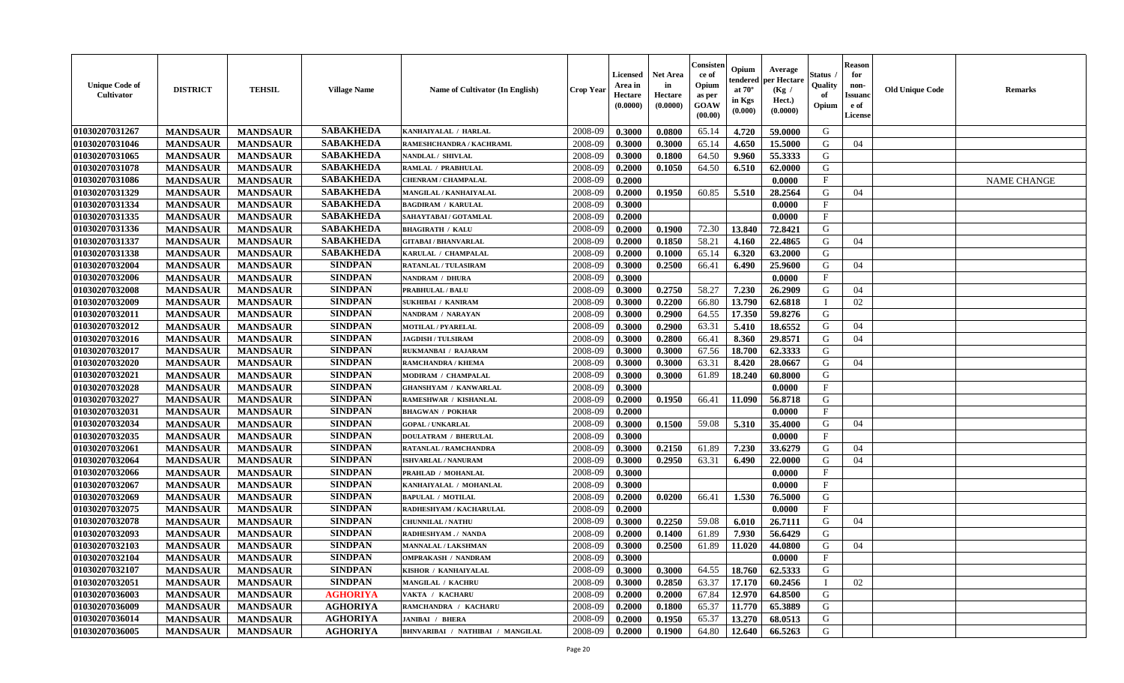| <b>Unique Code of</b><br><b>Cultivator</b> | <b>DISTRICT</b> | <b>TEHSIL</b>   | <b>Village Name</b> | Name of Cultivator (In English)  | <b>Crop Year</b> | <b>Licensed</b><br>Area in<br>Hectare<br>(0.0000) | <b>Net Area</b><br>in<br>Hectare<br>(0.0000) | Consister<br>ce of<br>Opium<br>as per<br>GOAW<br>(00.00) | Opium<br>endered<br>at $70^\circ$<br>in Kgs<br>(0.000) | Average<br>per Hectare<br>(Kg /<br>Hect.)<br>(0.0000) | Status<br>Quality<br>of<br>Opium | <b>Reason</b><br>for<br>non-<br><b>Issuand</b><br>e of<br>License | <b>Old Unique Code</b> | Remarks            |
|--------------------------------------------|-----------------|-----------------|---------------------|----------------------------------|------------------|---------------------------------------------------|----------------------------------------------|----------------------------------------------------------|--------------------------------------------------------|-------------------------------------------------------|----------------------------------|-------------------------------------------------------------------|------------------------|--------------------|
| 01030207031267                             | <b>MANDSAUR</b> | <b>MANDSAUR</b> | <b>SABAKHEDA</b>    | KANHAIYALAL / HARLAL             | 2008-09          | 0.3000                                            | 0.0800                                       | 65.14                                                    | 4.720                                                  | 59.0000                                               | G                                |                                                                   |                        |                    |
| 01030207031046                             | <b>MANDSAUR</b> | <b>MANDSAUR</b> | <b>SABAKHEDA</b>    | RAMESHCHANDRA / KACHRAML         | 2008-09          | 0.3000                                            | 0.3000                                       | 65.14                                                    | 4.650                                                  | 15.5000                                               | G                                | 04                                                                |                        |                    |
| 01030207031065                             | <b>MANDSAUR</b> | <b>MANDSAUR</b> | <b>SABAKHEDA</b>    | NANDLAL / SHIVLAL                | 2008-09          | 0.3000                                            | 0.1800                                       | 64.50                                                    | 9.960                                                  | 55.3333                                               | G                                |                                                                   |                        |                    |
| 01030207031078                             | <b>MANDSAUR</b> | <b>MANDSAUR</b> | <b>SABAKHEDA</b>    | RAMLAL / PRABHULAL               | 2008-09          | 0.2000                                            | 0.1050                                       | 64.50                                                    | 6.510                                                  | 62.0000                                               | G                                |                                                                   |                        |                    |
| 01030207031086                             | <b>MANDSAUR</b> | <b>MANDSAUR</b> | <b>SABAKHEDA</b>    | CHENRAM / CHAMPALAL              | 2008-09          | 0.2000                                            |                                              |                                                          |                                                        | 0.0000                                                | $_{\rm F}$                       |                                                                   |                        | <b>NAME CHANGE</b> |
| 01030207031329                             | <b>MANDSAUR</b> | <b>MANDSAUR</b> | <b>SABAKHEDA</b>    | MANGILAL / KANHAIYALAL           | 2008-09          | 0.2000                                            | 0.1950                                       | 60.85                                                    | 5.510                                                  | 28.2564                                               | G                                | 04                                                                |                        |                    |
| 01030207031334                             | <b>MANDSAUR</b> | <b>MANDSAUR</b> | <b>SABAKHEDA</b>    | <b>BAGDIRAM / KARULAL</b>        | 2008-09          | 0.3000                                            |                                              |                                                          |                                                        | 0.0000                                                | $\mathbf{F}$                     |                                                                   |                        |                    |
| 01030207031335                             | <b>MANDSAUR</b> | <b>MANDSAUR</b> | <b>SABAKHEDA</b>    | SAHAYTABAI / GOTAMLAL            | 2008-09          | 0.2000                                            |                                              |                                                          |                                                        | 0.0000                                                | $\mathbf{F}$                     |                                                                   |                        |                    |
| 01030207031336                             | <b>MANDSAUR</b> | <b>MANDSAUR</b> | <b>SABAKHEDA</b>    | <b>BHAGIRATH / KALU</b>          | 2008-09          | 0.2000                                            | 0.1900                                       | 72.30                                                    | 13.840                                                 | 72.8421                                               | G                                |                                                                   |                        |                    |
| 01030207031337                             | <b>MANDSAUR</b> | <b>MANDSAUR</b> | <b>SABAKHEDA</b>    | <b>GITABAI/BHANVARLAL</b>        | 2008-09          | 0.2000                                            | 0.1850                                       | 58.21                                                    | 4.160                                                  | 22.4865                                               | G                                | 04                                                                |                        |                    |
| 01030207031338                             | <b>MANDSAUR</b> | <b>MANDSAUR</b> | <b>SABAKHEDA</b>    | KARULAL / CHAMPALAL              | 2008-09          | 0.2000                                            | 0.1000                                       | 65.14                                                    | 6.320                                                  | 63.2000                                               | G                                |                                                                   |                        |                    |
| 01030207032004                             | <b>MANDSAUR</b> | <b>MANDSAUR</b> | <b>SINDPAN</b>      | <b>RATANLAL / TULASIRAM</b>      | 2008-09          | 0.3000                                            | 0.2500                                       | 66.41                                                    | 6.490                                                  | 25.9600                                               | G                                | 04                                                                |                        |                    |
| 01030207032006                             | <b>MANDSAUR</b> | <b>MANDSAUR</b> | <b>SINDPAN</b>      | <b>NANDRAM / DHURA</b>           | 2008-09          | 0.3000                                            |                                              |                                                          |                                                        | 0.0000                                                | $\mathbf{F}$                     |                                                                   |                        |                    |
| 01030207032008                             | <b>MANDSAUR</b> | <b>MANDSAUR</b> | <b>SINDPAN</b>      | <b>PRABHULAL / BALU</b>          | 2008-09          | 0.3000                                            | 0.2750                                       | 58.27                                                    | 7.230                                                  | 26.2909                                               | G                                | 04                                                                |                        |                    |
| 01030207032009                             | <b>MANDSAUR</b> | <b>MANDSAUR</b> | <b>SINDPAN</b>      | <b>SUKHIBAI / KANIRAM</b>        | 2008-09          | 0.3000                                            | 0.2200                                       | 66.80                                                    | 13.790                                                 | 62.6818                                               |                                  | 02                                                                |                        |                    |
| 01030207032011                             | <b>MANDSAUR</b> | <b>MANDSAUR</b> | <b>SINDPAN</b>      | NANDRAM / NARAYAN                | 2008-09          | 0.3000                                            | 0.2900                                       | 64.55                                                    | 17.350                                                 | 59.8276                                               | G                                |                                                                   |                        |                    |
| 01030207032012                             | <b>MANDSAUR</b> | <b>MANDSAUR</b> | <b>SINDPAN</b>      | <b>MOTILAL / PYARELAL</b>        | 2008-09          | 0.3000                                            | 0.2900                                       | 63.31                                                    | 5.410                                                  | 18.6552                                               | G                                | 04                                                                |                        |                    |
| 01030207032016                             | <b>MANDSAUR</b> | <b>MANDSAUR</b> | <b>SINDPAN</b>      | <b>JAGDISH / TULSIRAM</b>        | 2008-09          | 0.3000                                            | 0.2800                                       | 66.41                                                    | 8.360                                                  | 29.8571                                               | G                                | 04                                                                |                        |                    |
| 01030207032017                             | <b>MANDSAUR</b> | <b>MANDSAUR</b> | <b>SINDPAN</b>      | RUKMANBAI / RAJARAM              | 2008-09          | 0.3000                                            | 0.3000                                       | 67.56                                                    | 18.700                                                 | 62.3333                                               | G                                |                                                                   |                        |                    |
| 01030207032020                             | <b>MANDSAUR</b> | <b>MANDSAUR</b> | <b>SINDPAN</b>      | RAMCHANDRA / KHEMA               | 2008-09          | 0.3000                                            | 0.3000                                       | 63.31                                                    | 8.420                                                  | 28.0667                                               | G                                | 04                                                                |                        |                    |
| 01030207032021                             | <b>MANDSAUR</b> | <b>MANDSAUR</b> | <b>SINDPAN</b>      | MODIRAM / CHAMPALAL              | 2008-09          | 0.3000                                            | 0.3000                                       | 61.89                                                    | 18.240                                                 | 60.8000                                               | G                                |                                                                   |                        |                    |
| 01030207032028                             | <b>MANDSAUR</b> | <b>MANDSAUR</b> | <b>SINDPAN</b>      | <b>GHANSHYAM / KANWARLAL</b>     | 2008-09          | 0.3000                                            |                                              |                                                          |                                                        | 0.0000                                                | $_{\rm F}$                       |                                                                   |                        |                    |
| 01030207032027                             | <b>MANDSAUR</b> | <b>MANDSAUR</b> | <b>SINDPAN</b>      | RAMESHWAR / KISHANLAL            | 2008-09          | 0.2000                                            | 0.1950                                       | 66.41                                                    | 11.090                                                 | 56.8718                                               | G                                |                                                                   |                        |                    |
| 01030207032031                             | <b>MANDSAUR</b> | <b>MANDSAUR</b> | <b>SINDPAN</b>      | <b>BHAGWAN / POKHAR</b>          | 2008-09          | 0.2000                                            |                                              |                                                          |                                                        | 0.0000                                                | $\mathbf{F}$                     |                                                                   |                        |                    |
| 01030207032034                             | <b>MANDSAUR</b> | <b>MANDSAUR</b> | <b>SINDPAN</b>      | <b>GOPAL / UNKARLAL</b>          | 2008-09          | 0.3000                                            | 0.1500                                       | 59.08                                                    | 5.310                                                  | 35.4000                                               | G                                | 04                                                                |                        |                    |
| 01030207032035                             | <b>MANDSAUR</b> | <b>MANDSAUR</b> | <b>SINDPAN</b>      | <b>DOULATRAM / BHERULAL</b>      | 2008-09          | 0.3000                                            |                                              |                                                          |                                                        | 0.0000                                                | $\mathbf{F}$                     |                                                                   |                        |                    |
| 01030207032061                             | <b>MANDSAUR</b> | <b>MANDSAUR</b> | <b>SINDPAN</b>      | RATANLAL / RAMCHANDRA            | 2008-09          | 0.3000                                            | 0.2150                                       | 61.89                                                    | 7.230                                                  | 33.6279                                               | G                                | 04                                                                |                        |                    |
| 01030207032064                             | <b>MANDSAUR</b> | <b>MANDSAUR</b> | <b>SINDPAN</b>      | ISHVARLAL / NANURAM              | 2008-09          | 0.3000                                            | 0.2950                                       | 63.31                                                    | 6.490                                                  | 22.0000                                               | G                                | 04                                                                |                        |                    |
| 01030207032066                             | <b>MANDSAUR</b> | <b>MANDSAUR</b> | <b>SINDPAN</b>      | PRAHLAD / MOHANLAL               | 2008-09          | 0.3000                                            |                                              |                                                          |                                                        | 0.0000                                                | $\mathbf{F}$                     |                                                                   |                        |                    |
| 01030207032067                             | <b>MANDSAUR</b> | <b>MANDSAUR</b> | <b>SINDPAN</b>      | KANHAIYALAL / MOHANLAL           | 2008-09          | 0.3000                                            |                                              |                                                          |                                                        | 0.0000                                                | $_{\rm F}$                       |                                                                   |                        |                    |
| 01030207032069                             | <b>MANDSAUR</b> | <b>MANDSAUR</b> | <b>SINDPAN</b>      | <b>BAPULAL / MOTILAL</b>         | 2008-09          | 0.2000                                            | 0.0200                                       | 66.41                                                    | 1.530                                                  | 76.5000                                               | G                                |                                                                   |                        |                    |
| 01030207032075                             | <b>MANDSAUR</b> | <b>MANDSAUR</b> | <b>SINDPAN</b>      | RADHESHYAM / KACHARULAL          | 2008-09          | 0.2000                                            |                                              |                                                          |                                                        | 0.0000                                                | $\mathbf{F}$                     |                                                                   |                        |                    |
| 01030207032078                             | <b>MANDSAUR</b> | <b>MANDSAUR</b> | <b>SINDPAN</b>      | <b>CHUNNILAL / NATHU</b>         | 2008-09          | 0.3000                                            | 0.2250                                       | 59.08                                                    | 6.010                                                  | 26.7111                                               | G                                | 04                                                                |                        |                    |
| 01030207032093                             | <b>MANDSAUR</b> | <b>MANDSAUR</b> | <b>SINDPAN</b>      | RADHESHYAM./ NANDA               | 2008-09          | 0.2000                                            | 0.1400                                       | 61.89                                                    | 7.930                                                  | 56.6429                                               | G                                |                                                                   |                        |                    |
| 01030207032103                             | <b>MANDSAUR</b> | <b>MANDSAUR</b> | <b>SINDPAN</b>      | <b>MANNALAL / LAKSHMAN</b>       | 2008-09          | 0.3000                                            | 0.2500                                       | 61.89                                                    | 11.020                                                 | 44.0800                                               | G                                | 04                                                                |                        |                    |
| 01030207032104                             | <b>MANDSAUR</b> | <b>MANDSAUR</b> | <b>SINDPAN</b>      | <b>OMPRAKASH / NANDRAM</b>       | 2008-09          | 0.3000                                            |                                              |                                                          |                                                        | 0.0000                                                | F                                |                                                                   |                        |                    |
| 01030207032107                             | <b>MANDSAUR</b> | <b>MANDSAUR</b> | <b>SINDPAN</b>      | KISHOR / KANHAIYALAL             | 2008-09          | 0.3000                                            | 0.3000                                       | 64.55                                                    | 18.760                                                 | 62.5333                                               | G                                |                                                                   |                        |                    |
| 01030207032051                             | <b>MANDSAUR</b> | <b>MANDSAUR</b> | <b>SINDPAN</b>      | <b>MANGILAL / KACHRU</b>         | 2008-09          | 0.3000                                            | 0.2850                                       | 63.37                                                    | 17.170                                                 | 60.2456                                               | $\mathbf{I}$                     | 02                                                                |                        |                    |
| 01030207036003                             | <b>MANDSAUR</b> | <b>MANDSAUR</b> | <b>AGHORIYA</b>     | VAKTA / KACHARU                  | 2008-09          | 0.2000                                            | 0.2000                                       | 67.84                                                    | 12.970                                                 | 64.8500                                               | G                                |                                                                   |                        |                    |
| 01030207036009                             | <b>MANDSAUR</b> | <b>MANDSAUR</b> | <b>AGHORIYA</b>     | RAMCHANDRA / KACHARU             | 2008-09          | 0.2000                                            | 0.1800                                       | 65.37                                                    | 11.770                                                 | 65.3889                                               | ${\bf G}$                        |                                                                   |                        |                    |
| 01030207036014                             | <b>MANDSAUR</b> | <b>MANDSAUR</b> | <b>AGHORIYA</b>     | <b>JANIBAI / BHERA</b>           | 2008-09          | 0.2000                                            | 0.1950                                       | 65.37                                                    | 13.270                                                 | 68.0513                                               | G                                |                                                                   |                        |                    |
| 01030207036005                             | <b>MANDSAUR</b> | <b>MANDSAUR</b> | <b>AGHORIYA</b>     | BHNVARIBAI / NATHIBAI / MANGILAL | 2008-09          | 0.2000                                            | 0.1900                                       | 64.80                                                    | 12.640                                                 | 66.5263                                               | G                                |                                                                   |                        |                    |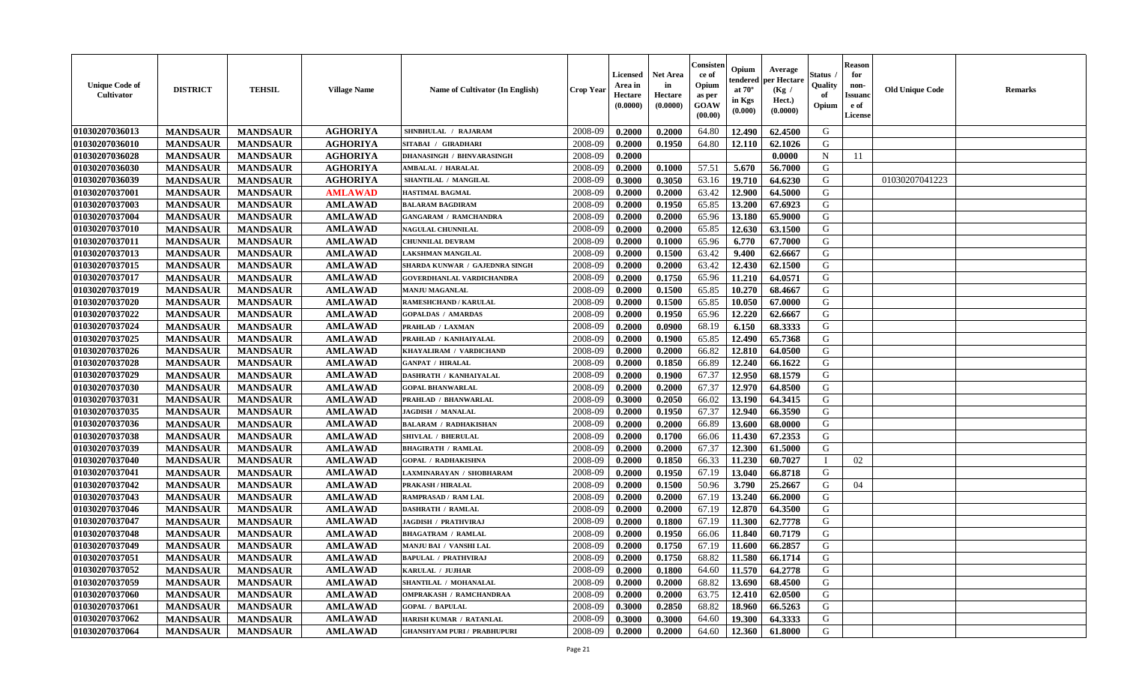| <b>Unique Code of</b><br><b>Cultivator</b> | <b>DISTRICT</b> | <b>TEHSIL</b>   | <b>Village Name</b> | Name of Cultivator (In English)    | <b>Crop Year</b> | Licensed<br>Area in<br>Hectare<br>(0.0000) | <b>Net Area</b><br>in<br>Hectare<br>(0.0000) | Consister<br>ce of<br>Opium<br>as per<br>GOAW<br>(00.00) | Opium<br>endered<br>at $70^\circ$<br>in Kgs<br>(0.000) | Average<br>per Hectare<br>(Kg /<br>Hect.)<br>(0.0000) | <b>Status</b> .<br>Quality<br>of<br>Opium | <b>Reason</b><br>for<br>non-<br><b>Issuand</b><br>e of<br>License | <b>Old Unique Code</b> | <b>Remarks</b> |
|--------------------------------------------|-----------------|-----------------|---------------------|------------------------------------|------------------|--------------------------------------------|----------------------------------------------|----------------------------------------------------------|--------------------------------------------------------|-------------------------------------------------------|-------------------------------------------|-------------------------------------------------------------------|------------------------|----------------|
| 01030207036013                             | <b>MANDSAUR</b> | <b>MANDSAUR</b> | <b>AGHORIYA</b>     | SHNBHULAL / RAJARAM                | 2008-09          | 0.2000                                     | 0.2000                                       | 64.80                                                    | 12.490                                                 | 62.4500                                               | G                                         |                                                                   |                        |                |
| 01030207036010                             | <b>MANDSAUR</b> | <b>MANDSAUR</b> | <b>AGHORIYA</b>     | SITABAI / GIRADHARI                | 2008-09          | 0.2000                                     | 0.1950                                       | 64.80                                                    | 12.110                                                 | 62.1026                                               | G                                         |                                                                   |                        |                |
| 01030207036028                             | <b>MANDSAUR</b> | <b>MANDSAUR</b> | <b>AGHORIYA</b>     | <b>DHANASINGH / BHNVARASINGH</b>   | 2008-09          | 0.2000                                     |                                              |                                                          |                                                        | 0.0000                                                | N                                         | 11                                                                |                        |                |
| 01030207036030                             | <b>MANDSAUR</b> | <b>MANDSAUR</b> | <b>AGHORIYA</b>     | <b>AMBALAL / HARALAL</b>           | 2008-09          | 0.2000                                     | 0.1000                                       | 57.51                                                    | 5.670                                                  | 56.7000                                               | G                                         |                                                                   |                        |                |
| 01030207036039                             | <b>MANDSAUR</b> | <b>MANDSAUR</b> | <b>AGHORIYA</b>     | SHANTILAL / MANGILAL               | 2008-09          | 0.3000                                     | 0.3050                                       | 63.16                                                    | 19.710                                                 | 64.6230                                               | G                                         |                                                                   | 01030207041223         |                |
| 01030207037001                             | <b>MANDSAUR</b> | <b>MANDSAUR</b> | <b>AMLAWAD</b>      | <b>HASTIMAL BAGMAL</b>             | 2008-09          | 0.2000                                     | 0.2000                                       | 63.42                                                    | 12.900                                                 | 64.5000                                               | G                                         |                                                                   |                        |                |
| 01030207037003                             | <b>MANDSAUR</b> | <b>MANDSAUR</b> | <b>AMLAWAD</b>      | <b>BALARAM BAGDIRAM</b>            | 2008-09          | 0.2000                                     | 0.1950                                       | 65.85                                                    | 13.200                                                 | 67.6923                                               | G                                         |                                                                   |                        |                |
| 01030207037004                             | <b>MANDSAUR</b> | <b>MANDSAUR</b> | <b>AMLAWAD</b>      | <b>GANGARAM / RAMCHANDRA</b>       | 2008-09          | 0.2000                                     | 0.2000                                       | 65.96                                                    | 13.180                                                 | 65.9000                                               | G                                         |                                                                   |                        |                |
| 01030207037010                             | <b>MANDSAUR</b> | <b>MANDSAUR</b> | <b>AMLAWAD</b>      | <b>NAGULAL CHUNNILAL</b>           | 2008-09          | 0.2000                                     | 0.2000                                       | 65.85                                                    | 12.630                                                 | 63.1500                                               | G                                         |                                                                   |                        |                |
| 01030207037011                             | <b>MANDSAUR</b> | <b>MANDSAUR</b> | <b>AMLAWAD</b>      | <b>CHUNNILAL DEVRAM</b>            | 2008-09          | 0.2000                                     | 0.1000                                       | 65.96                                                    | 6.770                                                  | 67.7000                                               | G                                         |                                                                   |                        |                |
| 01030207037013                             | <b>MANDSAUR</b> | <b>MANDSAUR</b> | <b>AMLAWAD</b>      | <b>LAKSHMAN MANGILAL</b>           | 2008-09          | 0.2000                                     | 0.1500                                       | 63.42                                                    | 9.400                                                  | 62.6667                                               | G                                         |                                                                   |                        |                |
| 01030207037015                             | <b>MANDSAUR</b> | <b>MANDSAUR</b> | <b>AMLAWAD</b>      | SHARDA KUNWAR / GAJEDNRA SINGH     | 2008-09          | 0.2000                                     | 0.2000                                       | 63.42                                                    | 12.430                                                 | 62.1500                                               | G                                         |                                                                   |                        |                |
| 01030207037017                             | <b>MANDSAUR</b> | <b>MANDSAUR</b> | <b>AMLAWAD</b>      | <b>GOVERDHANLAL VARDICHANDRA</b>   | 2008-09          | 0.2000                                     | 0.1750                                       | 65.96                                                    | 11.210                                                 | 64.0571                                               | G                                         |                                                                   |                        |                |
| 01030207037019                             | <b>MANDSAUR</b> | <b>MANDSAUR</b> | <b>AMLAWAD</b>      | <b>MANJU MAGANLAL</b>              | 2008-09          | 0.2000                                     | 0.1500                                       | 65.85                                                    | 10.270                                                 | 68.4667                                               | G                                         |                                                                   |                        |                |
| 01030207037020                             | <b>MANDSAUR</b> | <b>MANDSAUR</b> | <b>AMLAWAD</b>      | <b>RAMESHCHAND / KARULAL</b>       | 2008-09          | 0.2000                                     | 0.1500                                       | 65.85                                                    | 10.050                                                 | 67.0000                                               | ${\bf G}$                                 |                                                                   |                        |                |
| 01030207037022                             | <b>MANDSAUR</b> | <b>MANDSAUR</b> | <b>AMLAWAD</b>      | <b>GOPALDAS / AMARDAS</b>          | 2008-09          | 0.2000                                     | 0.1950                                       | 65.96                                                    | 12.220                                                 | 62.6667                                               | G                                         |                                                                   |                        |                |
| 01030207037024                             | <b>MANDSAUR</b> | <b>MANDSAUR</b> | <b>AMLAWAD</b>      | PRAHLAD / LAXMAN                   | 2008-09          | 0.2000                                     | 0.0900                                       | 68.19                                                    | 6.150                                                  | 68.3333                                               | G                                         |                                                                   |                        |                |
| 01030207037025                             | <b>MANDSAUR</b> | <b>MANDSAUR</b> | <b>AMLAWAD</b>      | PRAHLAD / KANHAIYALAL              | 2008-09          | 0.2000                                     | 0.1900                                       | 65.85                                                    | 12.490                                                 | 65.7368                                               | G                                         |                                                                   |                        |                |
| 01030207037026                             | <b>MANDSAUR</b> | <b>MANDSAUR</b> | <b>AMLAWAD</b>      | KHAYALIRAM / VARDICHAND            | 2008-09          | 0.2000                                     | 0.2000                                       | 66.82                                                    | 12.810                                                 | 64.0500                                               | G                                         |                                                                   |                        |                |
| 01030207037028                             | <b>MANDSAUR</b> | <b>MANDSAUR</b> | <b>AMLAWAD</b>      | <b>GANPAT / HIRALAL</b>            | 2008-09          | 0.2000                                     | 0.1850                                       | 66.89                                                    | 12.240                                                 | 66.1622                                               | G                                         |                                                                   |                        |                |
| 01030207037029                             | <b>MANDSAUR</b> | <b>MANDSAUR</b> | <b>AMLAWAD</b>      | DASHRATH / KANHAIYALAL             | 2008-09          | 0.2000                                     | 0.1900                                       | 67.37                                                    | 12.950                                                 | 68.1579                                               | G                                         |                                                                   |                        |                |
| 01030207037030                             | <b>MANDSAUR</b> | <b>MANDSAUR</b> | <b>AMLAWAD</b>      | <b>GOPAL BHANWARLAL</b>            | 2008-09          | 0.2000                                     | 0.2000                                       | 67.37                                                    | 12.970                                                 | 64.8500                                               | G                                         |                                                                   |                        |                |
| 01030207037031                             | <b>MANDSAUR</b> | <b>MANDSAUR</b> | <b>AMLAWAD</b>      | PRAHLAD / BHANWARLAL               | 2008-09          | 0.3000                                     |                                              | 66.02                                                    | 13.190                                                 | 64.3415                                               | ${\bf G}$                                 |                                                                   |                        |                |
|                                            |                 |                 |                     |                                    |                  |                                            | 0.2050                                       |                                                          |                                                        |                                                       |                                           |                                                                   |                        |                |
| 01030207037035                             | <b>MANDSAUR</b> | <b>MANDSAUR</b> | <b>AMLAWAD</b>      | JAGDISH / MANALAL                  | 2008-09          | 0.2000                                     | 0.1950                                       | 67.37                                                    | 12.940                                                 | 66.3590                                               | ${\bf G}$                                 |                                                                   |                        |                |
| 01030207037036                             | <b>MANDSAUR</b> | <b>MANDSAUR</b> | <b>AMLAWAD</b>      | <b>BALARAM / RADHAKISHAN</b>       | 2008-09          | 0.2000                                     | 0.2000                                       | 66.89                                                    | 13.600                                                 | 68.0000                                               | G                                         |                                                                   |                        |                |
| 01030207037038                             | <b>MANDSAUR</b> | <b>MANDSAUR</b> | <b>AMLAWAD</b>      | SHIVLAL / BHERULAL                 | 2008-09          | 0.2000                                     | 0.1700                                       | 66.06                                                    | 11.430                                                 | 67.2353                                               | G                                         |                                                                   |                        |                |
| 01030207037039                             | <b>MANDSAUR</b> | <b>MANDSAUR</b> | <b>AMLAWAD</b>      | <b>BHAGIRATH / RAMLAL</b>          | 2008-09          | 0.2000                                     | 0.2000                                       | 67.37                                                    | 12.300                                                 | 61.5000                                               | G                                         |                                                                   |                        |                |
| 01030207037040                             | <b>MANDSAUR</b> | <b>MANDSAUR</b> | <b>AMLAWAD</b>      | <b>GOPAL / RADHAKISHNA</b>         | 2008-09          | 0.2000                                     | 0.1850                                       | 66.33                                                    | 11.230                                                 | 60.7027                                               | $\mathbf I$                               | 02                                                                |                        |                |
| 01030207037041                             | <b>MANDSAUR</b> | <b>MANDSAUR</b> | <b>AMLAWAD</b>      | LAXMINARAYAN / SHOBHARAM           | 2008-09          | 0.2000                                     | 0.1950                                       | 67.19                                                    | 13.040                                                 | 66.8718                                               | G                                         |                                                                   |                        |                |
| 01030207037042                             | <b>MANDSAUR</b> | <b>MANDSAUR</b> | <b>AMLAWAD</b>      | <b>PRAKASH / HIRALAL</b>           | 2008-09          | 0.2000                                     | 0.1500                                       | 50.96                                                    | 3.790                                                  | 25.2667                                               | G                                         | 04                                                                |                        |                |
| 01030207037043                             | <b>MANDSAUR</b> | <b>MANDSAUR</b> | <b>AMLAWAD</b>      | RAMPRASAD / RAM LAL                | 2008-09          | 0.2000                                     | 0.2000                                       | 67.19                                                    | 13.240                                                 | 66.2000                                               | G                                         |                                                                   |                        |                |
| 01030207037046                             | <b>MANDSAUR</b> | <b>MANDSAUR</b> | <b>AMLAWAD</b>      | <b>DASHRATH / RAMLAL</b>           | 2008-09          | 0.2000                                     | 0.2000                                       | 67.19                                                    | 12.870                                                 | 64.3500                                               | G                                         |                                                                   |                        |                |
| 01030207037047                             | <b>MANDSAUR</b> | <b>MANDSAUR</b> | <b>AMLAWAD</b>      | <b>JAGDISH / PRATHVIRAJ</b>        | 2008-09          | 0.2000                                     | 0.1800                                       | 67.19                                                    | 11.300                                                 | 62.7778                                               | G                                         |                                                                   |                        |                |
| 01030207037048                             | <b>MANDSAUR</b> | <b>MANDSAUR</b> | <b>AMLAWAD</b>      | <b>BHAGATRAM / RAMLAL</b>          | 2008-09          | 0.2000                                     | 0.1950                                       | 66.06                                                    | 11.840                                                 | 60.7179                                               | G                                         |                                                                   |                        |                |
| 01030207037049                             | <b>MANDSAUR</b> | <b>MANDSAUR</b> | <b>AMLAWAD</b>      | <b>MANJU BAI / VANSHI LAL</b>      | 2008-09          | 0.2000                                     | 0.1750                                       | 67.19                                                    | 11.600                                                 | 66.2857                                               | ${\bf G}$                                 |                                                                   |                        |                |
| 01030207037051                             | <b>MANDSAUR</b> | <b>MANDSAUR</b> | <b>AMLAWAD</b>      | <b>BAPULAL / PRATHVIRAJ</b>        | 2008-09          | 0.2000                                     | 0.1750                                       | 68.82                                                    | 11.580                                                 | 66.1714                                               | G                                         |                                                                   |                        |                |
| 01030207037052                             | <b>MANDSAUR</b> | <b>MANDSAUR</b> | <b>AMLAWAD</b>      | KARULAL / JUJHAR                   | 2008-09          | 0.2000                                     | 0.1800                                       | 64.60                                                    | 11.570                                                 | 64.2778                                               | G                                         |                                                                   |                        |                |
| 01030207037059                             | <b>MANDSAUR</b> | <b>MANDSAUR</b> | <b>AMLAWAD</b>      | SHANTILAL / MOHANALAL              | 2008-09          | 0.2000                                     | 0.2000                                       | 68.82                                                    | 13.690                                                 | 68.4500                                               | G                                         |                                                                   |                        |                |
| 01030207037060                             | <b>MANDSAUR</b> | <b>MANDSAUR</b> | <b>AMLAWAD</b>      | <b>OMPRAKASH / RAMCHANDRAA</b>     | 2008-09          | 0.2000                                     | 0.2000                                       | 63.75                                                    | 12.410                                                 | 62.0500                                               | G                                         |                                                                   |                        |                |
| 01030207037061                             | <b>MANDSAUR</b> | <b>MANDSAUR</b> | <b>AMLAWAD</b>      | <b>GOPAL / BAPULAL</b>             | 2008-09          | 0.3000                                     | 0.2850                                       | 68.82                                                    | 18.960                                                 | 66.5263                                               | ${\bf G}$                                 |                                                                   |                        |                |
| 01030207037062                             | <b>MANDSAUR</b> | <b>MANDSAUR</b> | <b>AMLAWAD</b>      | HARISH KUMAR / RATANLAL            | 2008-09          | 0.3000                                     | 0.3000                                       | 64.60                                                    | 19.300                                                 | 64.3333                                               | G                                         |                                                                   |                        |                |
| 01030207037064                             | <b>MANDSAUR</b> | <b>MANDSAUR</b> | <b>AMLAWAD</b>      | <b>GHANSHYAM PURI / PRABHUPURI</b> | 2008-09          | 0.2000                                     | 0.2000                                       | 64.60                                                    | 12.360                                                 | 61.8000                                               | G                                         |                                                                   |                        |                |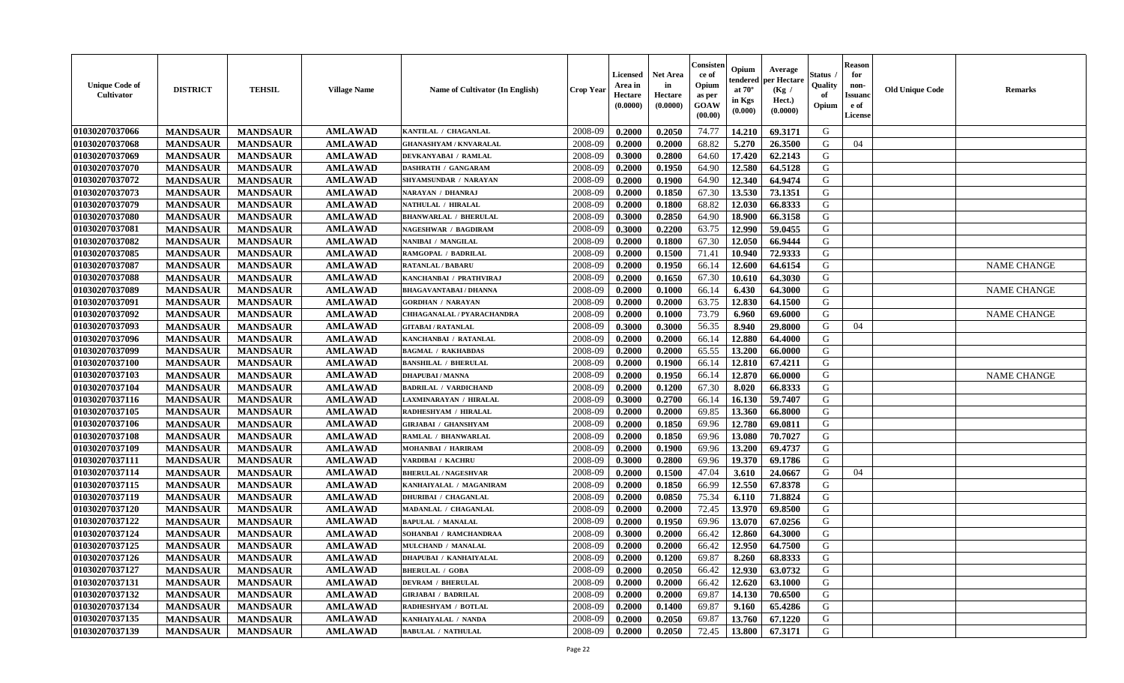| <b>Unique Code of</b><br><b>Cultivator</b> | <b>DISTRICT</b> | <b>TEHSIL</b>   | <b>Village Name</b> | Name of Cultivator (In English) | <b>Crop Year</b> | <b>Licensed</b><br>Area in<br>Hectare<br>(0.0000) | <b>Net Area</b><br>in<br>Hectare<br>(0.0000) | Consister<br>ce of<br>Opium<br>as per<br>GOAW<br>(00.00) | Opium<br>tendered<br>at $70^{\circ}$<br>in Kgs<br>(0.000) | Average<br>oer Hectare<br>(Kg /<br>Hect.)<br>(0.0000) | Status<br>Quality<br>of<br>Opium | <b>Reason</b><br>for<br>non-<br><b>Issuand</b><br>e of<br>License | <b>Old Unique Code</b> | <b>Remarks</b>     |
|--------------------------------------------|-----------------|-----------------|---------------------|---------------------------------|------------------|---------------------------------------------------|----------------------------------------------|----------------------------------------------------------|-----------------------------------------------------------|-------------------------------------------------------|----------------------------------|-------------------------------------------------------------------|------------------------|--------------------|
| 01030207037066                             | <b>MANDSAUR</b> | <b>MANDSAUR</b> | <b>AMLAWAD</b>      | KANTILAL / CHAGANLAL            | 2008-09          | 0.2000                                            | 0.2050                                       | 74.77                                                    | 14.210                                                    | 69.3171                                               | G                                |                                                                   |                        |                    |
| 01030207037068                             | <b>MANDSAUR</b> | <b>MANDSAUR</b> | <b>AMLAWAD</b>      | <b>GHANASHYAM / KNVARALAL</b>   | 2008-09          | 0.2000                                            | 0.2000                                       | 68.82                                                    | 5.270                                                     | 26.3500                                               | G                                | 04                                                                |                        |                    |
| 01030207037069                             | <b>MANDSAUR</b> | <b>MANDSAUR</b> | <b>AMLAWAD</b>      | DEVKANYABAI / RAMLAL            | 2008-09          | 0.3000                                            | 0.2800                                       | 64.60                                                    | 17.420                                                    | 62.2143                                               | G                                |                                                                   |                        |                    |
| 01030207037070                             | <b>MANDSAUR</b> | <b>MANDSAUR</b> | <b>AMLAWAD</b>      | <b>DASHRATH / GANGARAM</b>      | 2008-09          | 0.2000                                            | 0.1950                                       | 64.90                                                    | 12.580                                                    | 64.5128                                               | G                                |                                                                   |                        |                    |
| 01030207037072                             | <b>MANDSAUR</b> | <b>MANDSAUR</b> | <b>AMLAWAD</b>      | SHYAMSUNDAR / NARAYAN           | 2008-09          | 0.2000                                            | 0.1900                                       | 64.90                                                    | 12.340                                                    | 64.9474                                               | G                                |                                                                   |                        |                    |
| 01030207037073                             | <b>MANDSAUR</b> | <b>MANDSAUR</b> | <b>AMLAWAD</b>      | NARAYAN / DHANRAJ               | 2008-09          | 0.2000                                            | 0.1850                                       | 67.30                                                    | 13.530                                                    | 73.1351                                               | G                                |                                                                   |                        |                    |
| 01030207037079                             | <b>MANDSAUR</b> | <b>MANDSAUR</b> | <b>AMLAWAD</b>      | NATHULAL / HIRALAL              | 2008-09          | 0.2000                                            | 0.1800                                       | 68.82                                                    | 12.030                                                    | 66.8333                                               | G                                |                                                                   |                        |                    |
| 01030207037080                             | <b>MANDSAUR</b> | <b>MANDSAUR</b> | <b>AMLAWAD</b>      | <b>BHANWARLAL / BHERULAL</b>    | 2008-09          | 0.3000                                            | 0.2850                                       | 64.90                                                    | 18.900                                                    | 66.3158                                               | G                                |                                                                   |                        |                    |
| 01030207037081                             | <b>MANDSAUR</b> | <b>MANDSAUR</b> | <b>AMLAWAD</b>      | NAGESHWAR / BAGDIRAM            | 2008-09          | 0.3000                                            | 0.2200                                       | 63.75                                                    | 12.990                                                    | 59.0455                                               | G                                |                                                                   |                        |                    |
| 01030207037082                             | <b>MANDSAUR</b> | <b>MANDSAUR</b> | <b>AMLAWAD</b>      | NANIBAI / MANGILAL              | 2008-09          | 0.2000                                            | 0.1800                                       | 67.30                                                    | 12.050                                                    | 66.9444                                               | G                                |                                                                   |                        |                    |
| 01030207037085                             | <b>MANDSAUR</b> | <b>MANDSAUR</b> | <b>AMLAWAD</b>      | RAMGOPAL / BADRILAL             | 2008-09          | 0.2000                                            | 0.1500                                       | 71.41                                                    | 10.940                                                    | 72.9333                                               | G                                |                                                                   |                        |                    |
| 01030207037087                             | <b>MANDSAUR</b> | <b>MANDSAUR</b> | <b>AMLAWAD</b>      | <b>RATANLAL / BABARU</b>        | 2008-09          | 0.2000                                            | 0.1950                                       | 66.14                                                    | 12.600                                                    | 64.6154                                               | G                                |                                                                   |                        | <b>NAME CHANGE</b> |
| 01030207037088                             | <b>MANDSAUR</b> | <b>MANDSAUR</b> | <b>AMLAWAD</b>      | KANCHANBAI / PRATHVIRAJ         | 2008-09          | 0.2000                                            | 0.1650                                       | 67.30                                                    | 10.610                                                    | 64.3030                                               | G                                |                                                                   |                        |                    |
| 01030207037089                             | <b>MANDSAUR</b> | <b>MANDSAUR</b> | <b>AMLAWAD</b>      | <b>BHAGAVANTABAI / DHANNA</b>   | 2008-09          | 0.2000                                            | 0.1000                                       | 66.14                                                    | 6.430                                                     | 64.3000                                               | G                                |                                                                   |                        | <b>NAME CHANGE</b> |
| 01030207037091                             | <b>MANDSAUR</b> | <b>MANDSAUR</b> | <b>AMLAWAD</b>      | <b>GORDHAN / NARAYAN</b>        | 2008-09          | 0.2000                                            | 0.2000                                       | 63.75                                                    | 12.830                                                    | 64.1500                                               | G                                |                                                                   |                        |                    |
| 01030207037092                             | <b>MANDSAUR</b> | <b>MANDSAUR</b> | <b>AMLAWAD</b>      | CHHAGANALAL / PYARACHANDRA      | 2008-09          | 0.2000                                            | 0.1000                                       | 73.79                                                    | 6.960                                                     | 69.6000                                               | G                                |                                                                   |                        | <b>NAME CHANGE</b> |
| 01030207037093                             | <b>MANDSAUR</b> | <b>MANDSAUR</b> | <b>AMLAWAD</b>      | <b>GITABAI/RATANLAL</b>         | 2008-09          | 0.3000                                            | 0.3000                                       | 56.35                                                    | 8.940                                                     | 29.8000                                               | G                                | 04                                                                |                        |                    |
| 01030207037096                             | <b>MANDSAUR</b> | <b>MANDSAUR</b> | <b>AMLAWAD</b>      | KANCHANBAI / RATANLAL           | 2008-09          | 0.2000                                            | 0.2000                                       | 66.14                                                    | 12.880                                                    | 64.4000                                               | G                                |                                                                   |                        |                    |
| 01030207037099                             | <b>MANDSAUR</b> | <b>MANDSAUR</b> | <b>AMLAWAD</b>      | <b>BAGMAL / RAKHABDAS</b>       | 2008-09          | 0.2000                                            | 0.2000                                       | 65.55                                                    | 13.200                                                    | 66.0000                                               | G                                |                                                                   |                        |                    |
| 01030207037100                             | <b>MANDSAUR</b> | <b>MANDSAUR</b> | <b>AMLAWAD</b>      | <b>BANSHILAL / BHERULAL</b>     | 2008-09          | 0.2000                                            | 0.1900                                       | 66.14                                                    | 12.810                                                    | 67.4211                                               | G                                |                                                                   |                        |                    |
| 01030207037103                             | <b>MANDSAUR</b> | <b>MANDSAUR</b> | <b>AMLAWAD</b>      | <b>DHAPUBAI/MANNA</b>           | 2008-09          | 0.2000                                            | 0.1950                                       | 66.14                                                    | 12.870                                                    | 66.0000                                               | G                                |                                                                   |                        | <b>NAME CHANGE</b> |
| 01030207037104                             | <b>MANDSAUR</b> | <b>MANDSAUR</b> | <b>AMLAWAD</b>      | <b>BADRILAL / VARDICHAND</b>    | 2008-09          | 0.2000                                            | 0.1200                                       | 67.30                                                    | 8.020                                                     | 66.8333                                               | G                                |                                                                   |                        |                    |
| 01030207037116                             | <b>MANDSAUR</b> | <b>MANDSAUR</b> | <b>AMLAWAD</b>      | LAXMINARAYAN / HIRALAL          | 2008-09          | 0.3000                                            | 0.2700                                       | 66.14                                                    | 16.130                                                    | 59.7407                                               | G                                |                                                                   |                        |                    |
| 01030207037105                             | <b>MANDSAUR</b> | <b>MANDSAUR</b> | <b>AMLAWAD</b>      | RADHESHYAM / HIRALAL            | 2008-09          | 0.2000                                            | 0.2000                                       | 69.85                                                    | 13.360                                                    | 66.8000                                               | G                                |                                                                   |                        |                    |
| 01030207037106                             | <b>MANDSAUR</b> | <b>MANDSAUR</b> | <b>AMLAWAD</b>      | <b>GIRJABAI / GHANSHYAM</b>     | 2008-09          | 0.2000                                            | 0.1850                                       | 69.96                                                    | 12.780                                                    | 69.0811                                               | G                                |                                                                   |                        |                    |
| 01030207037108                             | <b>MANDSAUR</b> | <b>MANDSAUR</b> | <b>AMLAWAD</b>      | RAMLAL / BHANWARLAL             | 2008-09          | 0.2000                                            | 0.1850                                       | 69.96                                                    | 13.080                                                    | 70.7027                                               | G                                |                                                                   |                        |                    |
| 01030207037109                             | <b>MANDSAUR</b> | <b>MANDSAUR</b> | <b>AMLAWAD</b>      | <b>MOHANBAI / HARIRAM</b>       | 2008-09          | 0.2000                                            | 0.1900                                       | 69.96                                                    | 13.200                                                    | 69.4737                                               | G                                |                                                                   |                        |                    |
| 01030207037111                             | <b>MANDSAUR</b> | <b>MANDSAUR</b> | <b>AMLAWAD</b>      | VARDIBAI / KACHRU               | 2008-09          | 0.3000                                            | 0.2800                                       | 69.96                                                    | 19.370                                                    | 69.1786                                               | G                                |                                                                   |                        |                    |
| 01030207037114                             | <b>MANDSAUR</b> | <b>MANDSAUR</b> | <b>AMLAWAD</b>      | <b>BHERULAL / NAGESHVAR</b>     | 2008-09          | 0.2000                                            | 0.1500                                       | 47.04                                                    | 3.610                                                     | 24.0667                                               | G                                | 04                                                                |                        |                    |
| 01030207037115                             | <b>MANDSAUR</b> | <b>MANDSAUR</b> | <b>AMLAWAD</b>      | KANHAIYALAL / MAGANIRAM         | 2008-09          | 0.2000                                            | 0.1850                                       | 66.99                                                    | 12.550                                                    | 67.8378                                               | G                                |                                                                   |                        |                    |
| 01030207037119                             | <b>MANDSAUR</b> | <b>MANDSAUR</b> | <b>AMLAWAD</b>      | <b>DHURIBAI / CHAGANLAL</b>     | 2008-09          | 0.2000                                            | 0.0850                                       | 75.34                                                    | 6.110                                                     | 71.8824                                               | G                                |                                                                   |                        |                    |
| 01030207037120                             | <b>MANDSAUR</b> | <b>MANDSAUR</b> | <b>AMLAWAD</b>      | MADANLAL / CHAGANLAL            | 2008-09          | 0.2000                                            | 0.2000                                       | 72.45                                                    | 13.970                                                    | 69.8500                                               | G                                |                                                                   |                        |                    |
| 01030207037122                             | <b>MANDSAUR</b> | <b>MANDSAUR</b> | <b>AMLAWAD</b>      | <b>BAPULAL / MANALAL</b>        | 2008-09          | 0.2000                                            | 0.1950                                       | 69.96                                                    | 13.070                                                    | 67.0256                                               | G                                |                                                                   |                        |                    |
| 01030207037124                             | <b>MANDSAUR</b> | <b>MANDSAUR</b> | <b>AMLAWAD</b>      | SOHANBAI / RAMCHANDRAA          | 2008-09          | 0.3000                                            | 0.2000                                       | 66.42                                                    | 12.860                                                    | 64.3000                                               | G                                |                                                                   |                        |                    |
| 01030207037125                             | <b>MANDSAUR</b> | <b>MANDSAUR</b> | <b>AMLAWAD</b>      | MULCHAND / MANALAL              | 2008-09          | 0.2000                                            | 0.2000                                       | 66.42                                                    | 12.950                                                    | 64.7500                                               | G                                |                                                                   |                        |                    |
| 01030207037126                             | <b>MANDSAUR</b> | <b>MANDSAUR</b> | <b>AMLAWAD</b>      | <b>DHAPUBAI / KANHAIYALAL</b>   | 2008-09          | 0.2000                                            | 0.1200                                       | 69.87                                                    | 8.260                                                     | 68.8333                                               | G                                |                                                                   |                        |                    |
| 01030207037127                             | <b>MANDSAUR</b> | <b>MANDSAUR</b> | <b>AMLAWAD</b>      | <b>BHERULAL / GOBA</b>          | 2008-09          | 0.2000                                            | 0.2050                                       | 66.42                                                    | 12.930                                                    | 63.0732                                               | G                                |                                                                   |                        |                    |
| 01030207037131                             | <b>MANDSAUR</b> | <b>MANDSAUR</b> | <b>AMLAWAD</b>      | <b>DEVRAM / BHERULAL</b>        | 2008-09          | 0.2000                                            | 0.2000                                       | 66.42                                                    | 12.620                                                    | 63.1000                                               | G                                |                                                                   |                        |                    |
| 01030207037132                             | <b>MANDSAUR</b> | <b>MANDSAUR</b> | <b>AMLAWAD</b>      | <b>GIRJABAI / BADRILAL</b>      | 2008-09          | 0.2000                                            | 0.2000                                       | 69.87                                                    | 14.130                                                    | 70.6500                                               | $\mathbf G$                      |                                                                   |                        |                    |
| 01030207037134                             | <b>MANDSAUR</b> | <b>MANDSAUR</b> | <b>AMLAWAD</b>      | RADHESHYAM / BOTLAL             | 2008-09          | 0.2000                                            | 0.1400                                       | 69.87                                                    | 9.160                                                     | 65.4286                                               | G                                |                                                                   |                        |                    |
| 01030207037135                             | <b>MANDSAUR</b> | <b>MANDSAUR</b> | <b>AMLAWAD</b>      | KANHAIYALAL / NANDA             | 2008-09          | 0.2000                                            | 0.2050                                       | 69.87                                                    | 13.760                                                    | 67.1220                                               | G                                |                                                                   |                        |                    |
| 01030207037139                             | <b>MANDSAUR</b> | <b>MANDSAUR</b> | <b>AMLAWAD</b>      | <b>BABULAL / NATHULAL</b>       | 2008-09          | 0.2000                                            | 0.2050                                       | 72.45                                                    | 13.800                                                    | 67.3171                                               | G                                |                                                                   |                        |                    |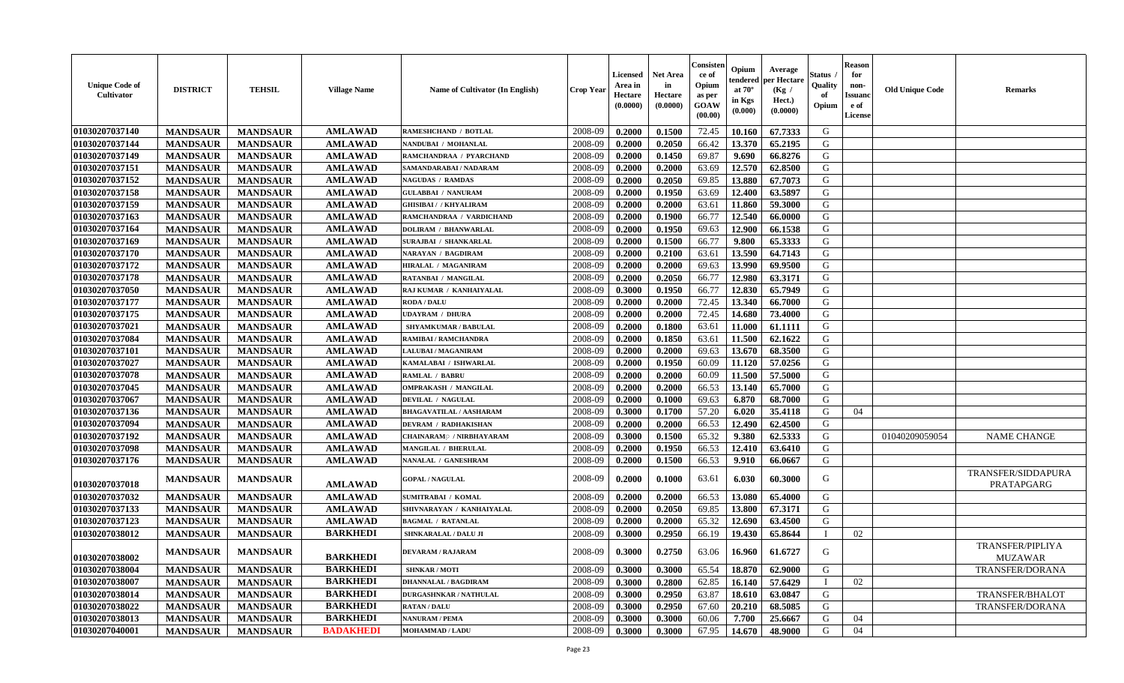| <b>Unique Code of</b><br>Cultivator | <b>DISTRICT</b> | <b>TEHSIL</b>   | <b>Village Name</b> | Name of Cultivator (In English)            | <b>Crop Year</b> | <b>Licensed</b><br>Area in<br>Hectare<br>(0.0000) | <b>Net Area</b><br>in<br>Hectare<br>(0.0000) | Consisten<br>ce of<br>Opium<br>as per<br><b>GOAW</b><br>(00.00) | Opium<br>tendered<br>at $70^{\circ}$<br>in Kgs<br>$(\mathbf{0.000})$ | Average<br>per Hectare<br>(Kg /<br>Hect.)<br>(0.0000) | <b>Status</b><br>Quality<br>of<br>Opium | <b>Reason</b><br>for<br>non-<br><b>Issuand</b><br>e of<br>License | <b>Old Unique Code</b> | <b>Remarks</b>                     |
|-------------------------------------|-----------------|-----------------|---------------------|--------------------------------------------|------------------|---------------------------------------------------|----------------------------------------------|-----------------------------------------------------------------|----------------------------------------------------------------------|-------------------------------------------------------|-----------------------------------------|-------------------------------------------------------------------|------------------------|------------------------------------|
| 01030207037140                      | <b>MANDSAUR</b> | <b>MANDSAUR</b> | <b>AMLAWAD</b>      | <b>RAMESHCHAND / BOTLAL</b>                | 2008-09          | 0.2000                                            | 0.1500                                       | 72.45                                                           | 10.160                                                               | 67.7333                                               | G                                       |                                                                   |                        |                                    |
| 01030207037144                      | <b>MANDSAUR</b> | <b>MANDSAUR</b> | <b>AMLAWAD</b>      | NANDUBAI / MOHANLAL                        | 2008-09          | 0.2000                                            | 0.2050                                       | 66.42                                                           | 13.370                                                               | 65.2195                                               | G                                       |                                                                   |                        |                                    |
| 01030207037149                      | <b>MANDSAUR</b> | <b>MANDSAUR</b> | <b>AMLAWAD</b>      | RAMCHANDRAA / PYARCHAND                    | 2008-09          | 0.2000                                            | 0.1450                                       | 69.87                                                           | 9.690                                                                | 66.8276                                               | G                                       |                                                                   |                        |                                    |
| 01030207037151                      | <b>MANDSAUR</b> | <b>MANDSAUR</b> | <b>AMLAWAD</b>      | SAMANDARABAI / NADARAM                     | 2008-09          | 0.2000                                            | 0.2000                                       | 63.69                                                           | 12.570                                                               | 62.8500                                               | G                                       |                                                                   |                        |                                    |
| 01030207037152                      | <b>MANDSAUR</b> | <b>MANDSAUR</b> | <b>AMLAWAD</b>      | <b>NAGUDAS / RAMDAS</b>                    | 2008-09          | 0.2000                                            | 0.2050                                       | 69.85                                                           | 13.880                                                               | 67.7073                                               | G                                       |                                                                   |                        |                                    |
| 01030207037158                      | <b>MANDSAUR</b> | <b>MANDSAUR</b> | <b>AMLAWAD</b>      | <b>GULABBAI / NANURAM</b>                  | 2008-09          | 0.2000                                            | 0.1950                                       | 63.69                                                           | 12.400                                                               | 63.5897                                               | G                                       |                                                                   |                        |                                    |
| 01030207037159                      | <b>MANDSAUR</b> | <b>MANDSAUR</b> | <b>AMLAWAD</b>      | <b>GHISIBAI / / KHYALIRAM</b>              | 2008-09          | 0.2000                                            | 0.2000                                       | 63.61                                                           | 11.860                                                               | 59.3000                                               | G                                       |                                                                   |                        |                                    |
| 01030207037163                      | <b>MANDSAUR</b> | <b>MANDSAUR</b> | <b>AMLAWAD</b>      | RAMCHANDRAA / VARDICHAND                   | 2008-09          | 0.2000                                            | 0.1900                                       | 66.77                                                           | 12.540                                                               | 66.0000                                               | G                                       |                                                                   |                        |                                    |
| 01030207037164                      | <b>MANDSAUR</b> | <b>MANDSAUR</b> | <b>AMLAWAD</b>      | <b>DOLIRAM / BHANWARLAL</b>                | 2008-09          | 0.2000                                            | 0.1950                                       | 69.63                                                           | 12.900                                                               | 66.1538                                               | G                                       |                                                                   |                        |                                    |
| 01030207037169                      | <b>MANDSAUR</b> | <b>MANDSAUR</b> | <b>AMLAWAD</b>      | SURAJBAI / SHANKARLAL                      | 2008-09          | 0.2000                                            | 0.1500                                       | 66.77                                                           | 9.800                                                                | 65.3333                                               | G                                       |                                                                   |                        |                                    |
| 01030207037170                      | <b>MANDSAUR</b> | <b>MANDSAUR</b> | <b>AMLAWAD</b>      | NARAYAN / BAGDIRAM                         | 2008-09          | 0.2000                                            | 0.2100                                       | 63.61                                                           | 13.590                                                               | 64.7143                                               | G                                       |                                                                   |                        |                                    |
| 01030207037172                      | <b>MANDSAUR</b> | <b>MANDSAUR</b> | <b>AMLAWAD</b>      | HIRALAL / MAGANIRAM                        | 2008-09          | 0.2000                                            | 0.2000                                       | 69.63                                                           | 13.990                                                               | 69.9500                                               | G                                       |                                                                   |                        |                                    |
| 01030207037178                      | <b>MANDSAUR</b> | <b>MANDSAUR</b> | <b>AMLAWAD</b>      | RATANBAI / MANGILAL                        | 2008-09          | 0.2000                                            | 0.2050                                       | 66.77                                                           | 12.980                                                               | 63.3171                                               | G                                       |                                                                   |                        |                                    |
| 01030207037050                      | <b>MANDSAUR</b> | <b>MANDSAUR</b> | <b>AMLAWAD</b>      | RAJ KUMAR / KANHAIYALAL                    | 2008-09          | 0.3000                                            | 0.1950                                       | 66.77                                                           | 12.830                                                               | 65.7949                                               | G                                       |                                                                   |                        |                                    |
| 01030207037177                      | <b>MANDSAUR</b> | <b>MANDSAUR</b> | <b>AMLAWAD</b>      | <b>RODA / DALU</b>                         | 2008-09          | 0.2000                                            | 0.2000                                       | 72.45                                                           | 13.340                                                               | 66.7000                                               | G                                       |                                                                   |                        |                                    |
| 01030207037175                      | <b>MANDSAUR</b> | <b>MANDSAUR</b> | <b>AMLAWAD</b>      | UDAYRAM / DHURA                            | 2008-09          | 0.2000                                            | 0.2000                                       | 72.45                                                           | 14.680                                                               | 73.4000                                               | G                                       |                                                                   |                        |                                    |
| 01030207037021                      | <b>MANDSAUR</b> | <b>MANDSAUR</b> | <b>AMLAWAD</b>      | SHYAMKUMAR / BABULAL                       | 2008-09          | 0.2000                                            | 0.1800                                       | 63.61                                                           | 11.000                                                               | 61.1111                                               | G                                       |                                                                   |                        |                                    |
| 01030207037084                      | <b>MANDSAUR</b> | <b>MANDSAUR</b> | <b>AMLAWAD</b>      | RAMIBAI / RAMCHANDRA                       | 2008-09          | 0.2000                                            | 0.1850                                       | 63.61                                                           | 11.500                                                               | 62.1622                                               | G                                       |                                                                   |                        |                                    |
| 01030207037101                      | <b>MANDSAUR</b> | <b>MANDSAUR</b> | <b>AMLAWAD</b>      | <b>LALUBAI / MAGANIRAM</b>                 | 2008-09          | 0.2000                                            | 0.2000                                       | 69.63                                                           | 13.670                                                               | 68.3500                                               | G                                       |                                                                   |                        |                                    |
| 01030207037027                      | <b>MANDSAUR</b> | <b>MANDSAUR</b> | <b>AMLAWAD</b>      | KAMALABAI / ISHWARLAL                      | 2008-09          | 0.2000                                            | 0.1950                                       | 60.09                                                           | 11.120                                                               | 57.0256                                               | G                                       |                                                                   |                        |                                    |
| 01030207037078                      | <b>MANDSAUR</b> | <b>MANDSAUR</b> | <b>AMLAWAD</b>      | <b>RAMLAL / BABRU</b>                      | 2008-09          | 0.2000                                            | 0.2000                                       | 60.09                                                           | 11.500                                                               | 57.5000                                               | G                                       |                                                                   |                        |                                    |
| 01030207037045                      | <b>MANDSAUR</b> | <b>MANDSAUR</b> | <b>AMLAWAD</b>      | <b>OMPRAKASH / MANGILAL</b>                | 2008-09          | 0.2000                                            | 0.2000                                       | 66.53                                                           | 13.140                                                               | 65.7000                                               | G                                       |                                                                   |                        |                                    |
| 01030207037067                      | <b>MANDSAUR</b> | <b>MANDSAUR</b> | <b>AMLAWAD</b>      | <b>DEVILAL / NAGULAL</b>                   | 2008-09          | 0.2000                                            | 0.1000                                       | 69.63                                                           | 6.870                                                                | 68.7000                                               | G                                       |                                                                   |                        |                                    |
| 01030207037136                      | <b>MANDSAUR</b> | <b>MANDSAUR</b> | <b>AMLAWAD</b>      | BHAGAVATILAL / AASHARAM                    | 2008-09          | 0.3000                                            | 0.1700                                       | 57.20                                                           | 6.020                                                                | 35.4118                                               | G                                       | 04                                                                |                        |                                    |
| 01030207037094                      | <b>MANDSAUR</b> | <b>MANDSAUR</b> | <b>AMLAWAD</b>      | <b>DEVRAM / RADHAKISHAN</b>                | 2008-09          | 0.2000                                            | 0.2000                                       | 66.53                                                           | 12.490                                                               | 62.4500                                               | G                                       |                                                                   |                        |                                    |
| 01030207037192                      | <b>MANDSAUR</b> | <b>MANDSAUR</b> | <b>AMLAWAD</b>      | <b>CHAINARAM<sup>®</sup> / NIRBHAYARAM</b> | 2008-09          | 0.3000                                            | 0.1500                                       | 65.32                                                           | 9.380                                                                | 62.5333                                               | G                                       |                                                                   | 01040209059054         | <b>NAME CHANGE</b>                 |
| 01030207037098                      | <b>MANDSAUR</b> | <b>MANDSAUR</b> | <b>AMLAWAD</b>      | MANGILAL / BHERULAL                        | 2008-09          | 0.2000                                            | 0.1950                                       | 66.53                                                           | 12.410                                                               | 63.6410                                               | G                                       |                                                                   |                        |                                    |
| 01030207037176                      | <b>MANDSAUR</b> | <b>MANDSAUR</b> | <b>AMLAWAD</b>      | NANALAL / GANESHRAM                        | 2008-09          | 0.2000                                            | 0.1500                                       | 66.53                                                           | 9.910                                                                | 66.0667                                               | G                                       |                                                                   |                        |                                    |
| 01030207037018                      | <b>MANDSAUR</b> | <b>MANDSAUR</b> | <b>AMLAWAD</b>      | <b>GOPAL / NAGULAL</b>                     | 2008-09          | 0.2000                                            | 0.1000                                       | 63.61                                                           | 6.030                                                                | 60.3000                                               | G                                       |                                                                   |                        | TRANSFER/SIDDAPURA<br>PRATAPGARG   |
| 01030207037032                      | <b>MANDSAUR</b> | <b>MANDSAUR</b> | <b>AMLAWAD</b>      | <b>SUMITRABAI / KOMAL</b>                  | 2008-09          | 0.2000                                            | 0.2000                                       | 66.53                                                           | 13.080                                                               | 65.4000                                               | G                                       |                                                                   |                        |                                    |
| 01030207037133                      | <b>MANDSAUR</b> | <b>MANDSAUR</b> | <b>AMLAWAD</b>      | SHIVNARAYAN / KANHAIYALAL                  | 2008-09          | 0.2000                                            | 0.2050                                       | 69.85                                                           | 13.800                                                               | 67.3171                                               | G                                       |                                                                   |                        |                                    |
| 01030207037123                      | <b>MANDSAUR</b> | <b>MANDSAUR</b> | <b>AMLAWAD</b>      | <b>BAGMAL / RATANLAL</b>                   | 2008-09          | 0.2000                                            | 0.2000                                       | 65.32                                                           | 12.690                                                               | 63.4500                                               | G                                       |                                                                   |                        |                                    |
| 01030207038012                      | <b>MANDSAUR</b> | <b>MANDSAUR</b> | <b>BARKHEDI</b>     | SHNKARALAL / DALU JI                       | 2008-09          | 0.3000                                            | 0.2950                                       | 66.19                                                           | 19.430                                                               | 65.8644                                               |                                         | 02                                                                |                        |                                    |
| 01030207038002                      | <b>MANDSAUR</b> | <b>MANDSAUR</b> | <b>BARKHEDI</b>     | <b>DEVARAM / RAJARAM</b>                   | 2008-09          | 0.3000                                            | 0.2750                                       | 63.06                                                           | 16.960                                                               | 61.6727                                               | G                                       |                                                                   |                        | <b>TRANSFER/PIPLIYA</b><br>MUZAWAR |
| 01030207038004                      | <b>MANDSAUR</b> | <b>MANDSAUR</b> | <b>BARKHEDI</b>     | <b>SHNKAR / MOTI</b>                       | 2008-09          | 0.3000                                            | 0.3000                                       | 65.54                                                           | 18.870                                                               | 62.9000                                               | G                                       |                                                                   |                        | TRANSFER/DORANA                    |
| 01030207038007                      | <b>MANDSAUR</b> | <b>MANDSAUR</b> | <b>BARKHEDI</b>     | <b>DHANNALAL / BAGDIRAM</b>                | 2008-09          | 0.3000                                            | 0.2800                                       | 62.85                                                           | 16.140                                                               | 57.6429                                               |                                         | 02                                                                |                        |                                    |
| 01030207038014                      | <b>MANDSAUR</b> | <b>MANDSAUR</b> | <b>BARKHEDI</b>     | <b>DURGASHNKAR / NATHULAL</b>              | 2008-09          | 0.3000                                            | 0.2950                                       | 63.87                                                           | 18.610                                                               | 63.0847                                               | G                                       |                                                                   |                        | <b>TRANSFER/BHALOT</b>             |
| 01030207038022                      | <b>MANDSAUR</b> | <b>MANDSAUR</b> | <b>BARKHEDI</b>     | <b>RATAN / DALU</b>                        | 2008-09          | 0.3000                                            | 0.2950                                       | 67.60                                                           | 20.210                                                               | 68.5085                                               | G                                       |                                                                   |                        | <b>TRANSFER/DORANA</b>             |
| 01030207038013                      | <b>MANDSAUR</b> | <b>MANDSAUR</b> | <b>BARKHEDI</b>     | <b>NANURAM / PEMA</b>                      | 2008-09          | 0.3000                                            | 0.3000                                       | 60.06                                                           | 7.700                                                                | 25.6667                                               | G                                       | 04                                                                |                        |                                    |
| 01030207040001                      | <b>MANDSAUR</b> | <b>MANDSAUR</b> | <b>BADAKHEDI</b>    | <b>MOHAMMAD / LADU</b>                     | 2008-09          | 0.3000                                            | 0.3000                                       | 67.95                                                           | 14.670                                                               | 48.9000                                               | G                                       | 04                                                                |                        |                                    |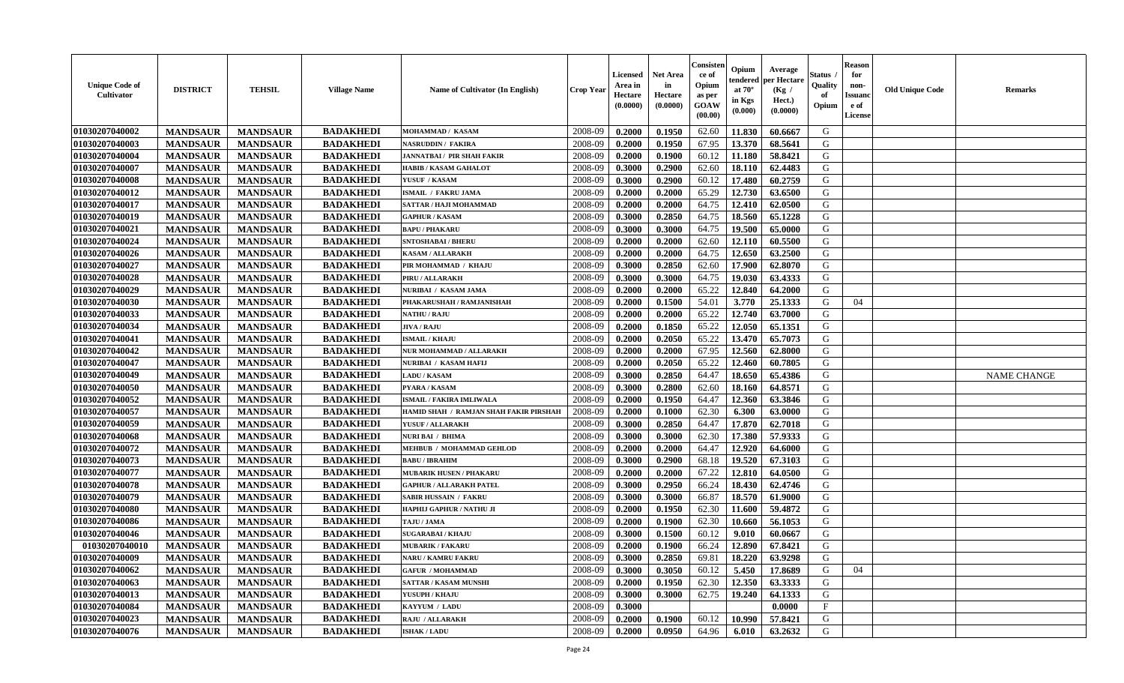| <b>Unique Code of</b><br>Cultivator | <b>DISTRICT</b> | <b>TEHSIL</b>   | <b>Village Name</b> | <b>Name of Cultivator (In English)</b> | <b>Crop Year</b> | <b>Licensed</b><br>Area in<br>Hectare<br>(0.0000) | <b>Net Area</b><br>in<br>Hectare<br>(0.0000) | Consister<br>ce of<br>Opium<br>as per<br><b>GOAW</b><br>(00.00) | Opium<br>tendered<br>at $70^{\circ}$<br>in Kgs<br>$(\mathbf{0.000})$ | Average<br>per Hectare<br>(Kg /<br>Hect.)<br>(0.0000) | Status .<br>Quality<br>of<br>Opium | <b>Reason</b><br>for<br>non-<br><b>Issuanc</b><br>e of<br>License | <b>Old Unique Code</b> | <b>Remarks</b>     |
|-------------------------------------|-----------------|-----------------|---------------------|----------------------------------------|------------------|---------------------------------------------------|----------------------------------------------|-----------------------------------------------------------------|----------------------------------------------------------------------|-------------------------------------------------------|------------------------------------|-------------------------------------------------------------------|------------------------|--------------------|
| 01030207040002                      | <b>MANDSAUR</b> | <b>MANDSAUR</b> | <b>BADAKHEDI</b>    | <b>MOHAMMAD / KASAM</b>                | 2008-09          | 0.2000                                            | 0.1950                                       | 62.60                                                           | 11.830                                                               | 60.6667                                               | G                                  |                                                                   |                        |                    |
| 01030207040003                      | <b>MANDSAUR</b> | <b>MANDSAUR</b> | <b>BADAKHEDI</b>    | <b>NASRUDDIN / FAKIRA</b>              | 2008-09          | 0.2000                                            | 0.1950                                       | 67.95                                                           | 13.370                                                               | 68.5641                                               | G                                  |                                                                   |                        |                    |
| 01030207040004                      | <b>MANDSAUR</b> | <b>MANDSAUR</b> | <b>BADAKHEDI</b>    | <b>JANNATBAI / PIR SHAH FAKIR</b>      | 2008-09          | 0.2000                                            | 0.1900                                       | 60.12                                                           | 11.180                                                               | 58.8421                                               | G                                  |                                                                   |                        |                    |
| 01030207040007                      | <b>MANDSAUR</b> | <b>MANDSAUR</b> | <b>BADAKHEDI</b>    | <b>HABIB / KASAM GAHALOT</b>           | 2008-09          | 0.3000                                            | 0.2900                                       | 62.60                                                           | 18.110                                                               | 62.4483                                               | G                                  |                                                                   |                        |                    |
| 01030207040008                      | <b>MANDSAUR</b> | <b>MANDSAUR</b> | <b>BADAKHEDI</b>    | YUSUF / KASAM                          | 2008-09          | 0.3000                                            | 0.2900                                       | 60.12                                                           | 17.480                                                               | 60.2759                                               | G                                  |                                                                   |                        |                    |
| 01030207040012                      | <b>MANDSAUR</b> | <b>MANDSAUR</b> | <b>BADAKHEDI</b>    | ISMAIL / FAKRU JAMA                    | 2008-09          | 0.2000                                            | 0.2000                                       | 65.29                                                           | 12.730                                                               | 63.6500                                               | G                                  |                                                                   |                        |                    |
| 01030207040017                      | <b>MANDSAUR</b> | <b>MANDSAUR</b> | <b>BADAKHEDI</b>    | SATTAR / HAJI MOHAMMAD                 | 2008-09          | 0.2000                                            | 0.2000                                       | 64.75                                                           | 12.410                                                               | 62.0500                                               | G                                  |                                                                   |                        |                    |
| 01030207040019                      | <b>MANDSAUR</b> | <b>MANDSAUR</b> | <b>BADAKHEDI</b>    | <b>GAPHUR / KASAM</b>                  | 2008-09          | 0.3000                                            | 0.2850                                       | 64.75                                                           | 18.560                                                               | 65.1228                                               | G                                  |                                                                   |                        |                    |
| 01030207040021                      | <b>MANDSAUR</b> | <b>MANDSAUR</b> | <b>BADAKHEDI</b>    | <b>BAPU / PHAKARU</b>                  | 2008-09          | 0.3000                                            | 0.3000                                       | 64.75                                                           | 19.500                                                               | 65.0000                                               | G                                  |                                                                   |                        |                    |
| 01030207040024                      | <b>MANDSAUR</b> | <b>MANDSAUR</b> | <b>BADAKHEDI</b>    | SNTOSHABAI / BHERU                     | 2008-09          | 0.2000                                            | 0.2000                                       | 62.60                                                           | 12.110                                                               | 60.5500                                               | G                                  |                                                                   |                        |                    |
| 01030207040026                      | <b>MANDSAUR</b> | <b>MANDSAUR</b> | <b>BADAKHEDI</b>    | <b>KASAM / ALLARAKH</b>                | 2008-09          | 0.2000                                            | 0.2000                                       | 64.75                                                           | 12.650                                                               | 63.2500                                               | G                                  |                                                                   |                        |                    |
| 01030207040027                      | <b>MANDSAUR</b> | <b>MANDSAUR</b> | <b>BADAKHEDI</b>    | PIR MOHAMMAD / KHAJU                   | 2008-09          | 0.3000                                            | 0.2850                                       | 62.60                                                           | 17.900                                                               | 62.8070                                               | G                                  |                                                                   |                        |                    |
| 01030207040028                      | <b>MANDSAUR</b> | <b>MANDSAUR</b> | <b>BADAKHEDI</b>    | PIRU / ALLARAKH                        | 2008-09          | 0.3000                                            | 0.3000                                       | 64.75                                                           | 19.030                                                               | 63.4333                                               | G                                  |                                                                   |                        |                    |
| 01030207040029                      | <b>MANDSAUR</b> | <b>MANDSAUR</b> | <b>BADAKHEDI</b>    | NURIBAI / KASAM JAMA                   | 2008-09          | 0.2000                                            | 0.2000                                       | 65.22                                                           | 12.840                                                               | 64.2000                                               | G                                  |                                                                   |                        |                    |
| 01030207040030                      | <b>MANDSAUR</b> | <b>MANDSAUR</b> | <b>BADAKHEDI</b>    | PHAKARUSHAH / RAMJANISHAH              | 2008-09          | 0.2000                                            | 0.1500                                       | 54.01                                                           | 3.770                                                                | 25.1333                                               | G                                  | 04                                                                |                        |                    |
| 01030207040033                      | <b>MANDSAUR</b> | <b>MANDSAUR</b> | <b>BADAKHEDI</b>    | <b>NATHU / RAJU</b>                    | 2008-09          | 0.2000                                            | 0.2000                                       | 65.22                                                           | 12.740                                                               | 63.7000                                               | G                                  |                                                                   |                        |                    |
| 01030207040034                      | <b>MANDSAUR</b> | <b>MANDSAUR</b> | <b>BADAKHEDI</b>    | <b>JIVA / RAJU</b>                     | 2008-09          | 0.2000                                            | 0.1850                                       | 65.22                                                           | 12.050                                                               | 65.1351                                               | G                                  |                                                                   |                        |                    |
| 01030207040041                      | <b>MANDSAUR</b> | <b>MANDSAUR</b> | <b>BADAKHEDI</b>    | <b>ISMAIL / KHAJU</b>                  | 2008-09          | 0.2000                                            | 0.2050                                       | 65.22                                                           | 13.470                                                               | 65.7073                                               | G                                  |                                                                   |                        |                    |
| 01030207040042                      | <b>MANDSAUR</b> | <b>MANDSAUR</b> | <b>BADAKHEDI</b>    | NUR MOHAMMAD / ALLARAKH                | 2008-09          | 0.2000                                            | 0.2000                                       | 67.95                                                           | 12.560                                                               | 62.8000                                               | G                                  |                                                                   |                        |                    |
| 01030207040047                      | <b>MANDSAUR</b> | <b>MANDSAUR</b> | <b>BADAKHEDI</b>    | NURIBAI / KASAM HAFIJ                  | 2008-09          | 0.2000                                            | 0.2050                                       | 65.22                                                           | 12.460                                                               | 60.7805                                               | G                                  |                                                                   |                        |                    |
| 01030207040049                      | <b>MANDSAUR</b> | <b>MANDSAUR</b> | <b>BADAKHEDI</b>    | <b>LADU / KASAM</b>                    | 2008-09          | 0.3000                                            | 0.2850                                       | 64.47                                                           | 18.650                                                               | 65.4386                                               | G                                  |                                                                   |                        | <b>NAME CHANGE</b> |
| 01030207040050                      | <b>MANDSAUR</b> | <b>MANDSAUR</b> | <b>BADAKHEDI</b>    | PYARA / KASAM                          | 2008-09          | 0.3000                                            | 0.2800                                       | 62.60                                                           | 18.160                                                               | 64.8571                                               | G                                  |                                                                   |                        |                    |
| 01030207040052                      | <b>MANDSAUR</b> | <b>MANDSAUR</b> | <b>BADAKHEDI</b>    | <b>ISMAIL / FAKIRA IMLIWALA</b>        | 2008-09          | 0.2000                                            | 0.1950                                       | 64.47                                                           | 12.360                                                               | 63.3846                                               | G                                  |                                                                   |                        |                    |
| 01030207040057                      | <b>MANDSAUR</b> | <b>MANDSAUR</b> | <b>BADAKHEDI</b>    | HAMID SHAH / RAMJAN SHAH FAKIR PIRSHAH | 2008-09          | 0.2000                                            | 0.1000                                       | 62.30                                                           | 6.300                                                                | 63.0000                                               | G                                  |                                                                   |                        |                    |
| 01030207040059                      | <b>MANDSAUR</b> | <b>MANDSAUR</b> | <b>BADAKHEDI</b>    | YUSUF / ALLARAKH                       | 2008-09          | 0.3000                                            | 0.2850                                       | 64.47                                                           | 17.870                                                               | 62.7018                                               | G                                  |                                                                   |                        |                    |
| 01030207040068                      | <b>MANDSAUR</b> | <b>MANDSAUR</b> | <b>BADAKHEDI</b>    | <b>NURI BAI / BHIMA</b>                | 2008-09          | 0.3000                                            | 0.3000                                       | 62.30                                                           | 17.380                                                               | 57.9333                                               | G                                  |                                                                   |                        |                    |
| 01030207040072                      | <b>MANDSAUR</b> | <b>MANDSAUR</b> | <b>BADAKHEDI</b>    | <b>MEHBUB / MOHAMMAD GEHLOD</b>        | 2008-09          | 0.2000                                            | 0.2000                                       | 64.47                                                           | 12.920                                                               | 64.6000                                               | G                                  |                                                                   |                        |                    |
| 01030207040073                      | <b>MANDSAUR</b> | <b>MANDSAUR</b> | <b>BADAKHEDI</b>    | <b>BABU / IBRAHIM</b>                  | 2008-09          | 0.3000                                            | 0.2900                                       | 68.18                                                           | 19.520                                                               | 67.3103                                               | G                                  |                                                                   |                        |                    |
| 01030207040077                      | <b>MANDSAUR</b> | <b>MANDSAUR</b> | <b>BADAKHEDI</b>    | <b>MUBARIK HUSEN / PHAKARU</b>         | 2008-09          | 0.2000                                            | 0.2000                                       | 67.22                                                           | 12.810                                                               | 64.0500                                               | G                                  |                                                                   |                        |                    |
| 01030207040078                      | <b>MANDSAUR</b> | <b>MANDSAUR</b> | <b>BADAKHEDI</b>    | <b>GAPHUR / ALLARAKH PATEL</b>         | 2008-09          | 0.3000                                            | 0.2950                                       | 66.24                                                           | 18.430                                                               | 62.4746                                               | G                                  |                                                                   |                        |                    |
| 01030207040079                      | <b>MANDSAUR</b> | <b>MANDSAUR</b> | <b>BADAKHEDI</b>    | SABIR HUSSAIN / FAKRU                  | 2008-09          | 0.3000                                            | 0.3000                                       | 66.87                                                           | 18.570                                                               | 61.9000                                               | G                                  |                                                                   |                        |                    |
| 01030207040080                      | <b>MANDSAUR</b> | <b>MANDSAUR</b> | <b>BADAKHEDI</b>    | HAPHIJ GAPHUR / NATHU JI               | 2008-09          | 0.2000                                            | 0.1950                                       | 62.30                                                           | 11.600                                                               | 59.4872                                               | G                                  |                                                                   |                        |                    |
| 01030207040086                      | <b>MANDSAUR</b> | <b>MANDSAUR</b> | <b>BADAKHEDI</b>    | TAJU / JAMA                            | 2008-09          | 0.2000                                            | 0.1900                                       | 62.30                                                           | 10.660                                                               | 56.1053                                               | G                                  |                                                                   |                        |                    |
| 01030207040046                      | <b>MANDSAUR</b> | <b>MANDSAUR</b> | <b>BADAKHEDI</b>    | <b>SUGARABAI / KHAJU</b>               | 2008-09          | 0.3000                                            | 0.1500                                       | 60.12                                                           | 9.010                                                                | 60.0667                                               | G                                  |                                                                   |                        |                    |
| 01030207040010                      | <b>MANDSAUR</b> | <b>MANDSAUR</b> | <b>BADAKHEDI</b>    | <b>MUBARIK / FAKARU</b>                | 2008-09          | 0.2000                                            | 0.1900                                       | 66.24                                                           | 12.890                                                               | 67.8421                                               | G                                  |                                                                   |                        |                    |
| 01030207040009                      | <b>MANDSAUR</b> | <b>MANDSAUR</b> | <b>BADAKHEDI</b>    | <b>NARU / KAMRU FAKRU</b>              | 2008-09          | 0.3000                                            | 0.2850                                       | 69.81                                                           | 18.220                                                               | 63.9298                                               | G                                  |                                                                   |                        |                    |
| 01030207040062                      | <b>MANDSAUR</b> | <b>MANDSAUR</b> | <b>BADAKHEDI</b>    | <b>GAFUR / MOHAMMAD</b>                | 2008-09          | 0.3000                                            | 0.3050                                       | 60.12                                                           | 5.450                                                                | 17.8689                                               | G                                  | 04                                                                |                        |                    |
| 01030207040063                      | <b>MANDSAUR</b> | <b>MANDSAUR</b> | <b>BADAKHEDI</b>    | <b>SATTAR / KASAM MUNSHI</b>           | 2008-09          | 0.2000                                            | 0.1950                                       | 62.30                                                           | 12.350                                                               | 63.3333                                               | G                                  |                                                                   |                        |                    |
| 01030207040013                      | <b>MANDSAUR</b> | <b>MANDSAUR</b> | <b>BADAKHEDI</b>    | YUSUPH / KHAJU                         | 2008-09          | 0.3000                                            | 0.3000                                       | 62.75                                                           | 19.240                                                               | 64.1333                                               | G                                  |                                                                   |                        |                    |
| 01030207040084                      | <b>MANDSAUR</b> | <b>MANDSAUR</b> | <b>BADAKHEDI</b>    | KAYYUM / LADU                          | 2008-09          | 0.3000                                            |                                              |                                                                 |                                                                      | 0.0000                                                | $\mathbf{F}$                       |                                                                   |                        |                    |
| 01030207040023                      | <b>MANDSAUR</b> | <b>MANDSAUR</b> | <b>BADAKHEDI</b>    | <b>RAJU / ALLARAKH</b>                 | 2008-09          | 0.2000                                            | 0.1900                                       | 60.12                                                           | 10.990                                                               | 57.8421                                               | G                                  |                                                                   |                        |                    |
| 01030207040076                      | <b>MANDSAUR</b> | <b>MANDSAUR</b> | <b>BADAKHEDI</b>    | <b>ISHAK / LADU</b>                    | 2008-09          | 0.2000                                            | 0.0950                                       | 64.96                                                           | 6.010                                                                | 63.2632                                               | G                                  |                                                                   |                        |                    |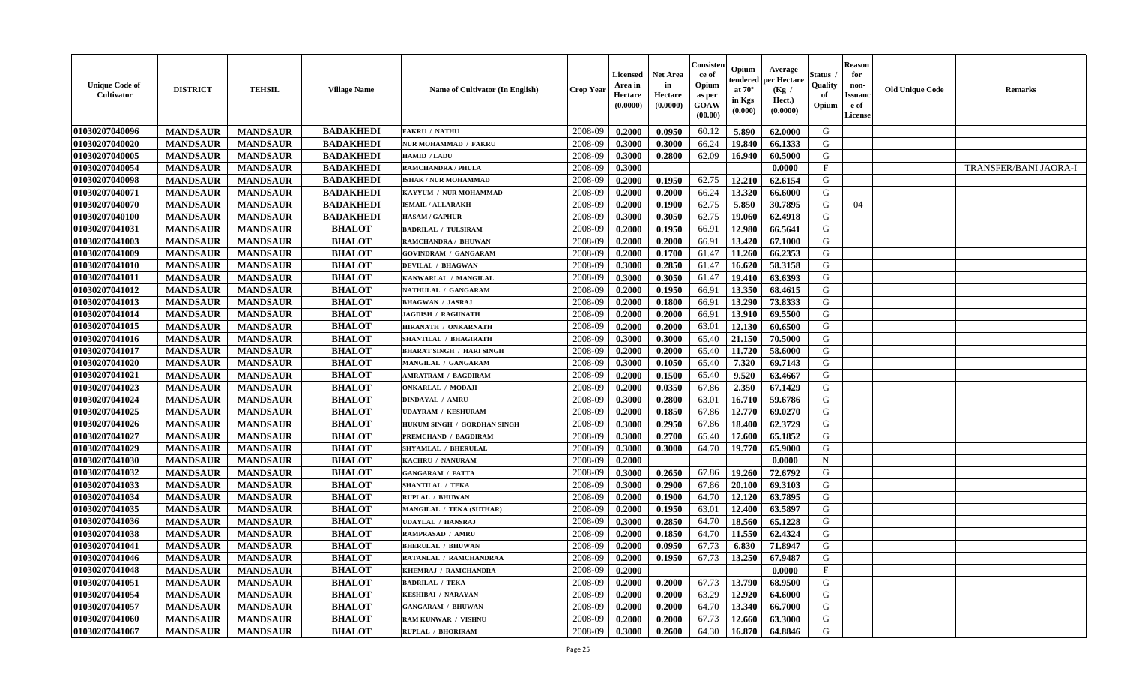| <b>Unique Code of</b><br><b>Cultivator</b> | <b>DISTRICT</b> | <b>TEHSIL</b>   | <b>Village Name</b> | Name of Cultivator (In English)  | <b>Crop Year</b> | Licensed<br>Area in<br>Hectare<br>(0.0000) | Net Area<br>in<br>Hectare<br>(0.0000) | Consisten<br>ce of<br>Opium<br>as per<br>GOAW<br>(00.00) | Opium<br>tendered<br>at $70^\circ$<br>in Kgs<br>(0.000) | Average<br>per Hectare<br>(Kg /<br>Hect.)<br>(0.0000) | Status<br>Quality<br>of<br>Opium | <b>Reason</b><br>for<br>non-<br>Issuanc<br>e of<br>License | <b>Old Unique Code</b> | <b>Remarks</b>        |
|--------------------------------------------|-----------------|-----------------|---------------------|----------------------------------|------------------|--------------------------------------------|---------------------------------------|----------------------------------------------------------|---------------------------------------------------------|-------------------------------------------------------|----------------------------------|------------------------------------------------------------|------------------------|-----------------------|
| 01030207040096                             | <b>MANDSAUR</b> | <b>MANDSAUR</b> | <b>BADAKHEDI</b>    | <b>FAKRU / NATHU</b>             | 2008-09          | 0.2000                                     | 0.0950                                | 60.12                                                    | 5.890                                                   | 62.0000                                               | G                                |                                                            |                        |                       |
| 01030207040020                             | <b>MANDSAUR</b> | <b>MANDSAUR</b> | <b>BADAKHEDI</b>    | NUR MOHAMMAD / FAKRU             | 2008-09          | 0.3000                                     | 0.3000                                | 66.24                                                    | 19.840                                                  | 66.1333                                               | G                                |                                                            |                        |                       |
| 01030207040005                             | <b>MANDSAUR</b> | <b>MANDSAUR</b> | <b>BADAKHEDI</b>    | HAMID / LADU                     | 2008-09          | 0.3000                                     | 0.2800                                | 62.09                                                    | 16.940                                                  | 60.5000                                               | G                                |                                                            |                        |                       |
| 01030207040054                             | <b>MANDSAUR</b> | <b>MANDSAUR</b> | <b>BADAKHEDI</b>    | <b>RAMCHANDRA / PHULA</b>        | 2008-09          | 0.3000                                     |                                       |                                                          |                                                         | 0.0000                                                | $\mathbf{F}$                     |                                                            |                        | TRANSFER/BANI JAORA-I |
| 01030207040098                             | <b>MANDSAUR</b> | <b>MANDSAUR</b> | <b>BADAKHEDI</b>    | ISHAK / NUR MOHAMMAD             | 2008-09          | 0.2000                                     | 0.1950                                | 62.75                                                    | 12.210                                                  | 62.6154                                               | G                                |                                                            |                        |                       |
| 01030207040071                             | <b>MANDSAUR</b> | <b>MANDSAUR</b> | <b>BADAKHEDI</b>    | KAYYUM / NUR MOHAMMAD            | 2008-09          | 0.2000                                     | 0.2000                                | 66.24                                                    | 13.320                                                  | 66.6000                                               | G                                |                                                            |                        |                       |
| 01030207040070                             | <b>MANDSAUR</b> | <b>MANDSAUR</b> | <b>BADAKHEDI</b>    | <b>ISMAIL / ALLARAKH</b>         | 2008-09          | 0.2000                                     | 0.1900                                | 62.75                                                    | 5.850                                                   | 30.7895                                               | G                                | 04                                                         |                        |                       |
| 01030207040100                             | <b>MANDSAUR</b> | <b>MANDSAUR</b> | <b>BADAKHEDI</b>    | <b>HASAM / GAPHUR</b>            | 2008-09          | 0.3000                                     | 0.3050                                | 62.75                                                    | 19.060                                                  | 62.4918                                               | G                                |                                                            |                        |                       |
| 01030207041031                             | <b>MANDSAUR</b> | <b>MANDSAUR</b> | <b>BHALOT</b>       | <b>BADRILAL / TULSIRAM</b>       | 2008-09          | 0.2000                                     | 0.1950                                | 66.91                                                    | 12.980                                                  | 66.5641                                               | G                                |                                                            |                        |                       |
| 01030207041003                             | <b>MANDSAUR</b> | <b>MANDSAUR</b> | <b>BHALOT</b>       | RAMCHANDRA / BHUWAN              | 2008-09          | 0.2000                                     | 0.2000                                | 66.91                                                    | 13.420                                                  | 67.1000                                               | G                                |                                                            |                        |                       |
| 01030207041009                             | <b>MANDSAUR</b> | <b>MANDSAUR</b> | <b>BHALOT</b>       | <b>GOVINDRAM / GANGARAM</b>      | 2008-09          | 0.2000                                     | 0.1700                                | 61.47                                                    | 11.260                                                  | 66.2353                                               | G                                |                                                            |                        |                       |
| 01030207041010                             | <b>MANDSAUR</b> | <b>MANDSAUR</b> | <b>BHALOT</b>       | <b>DEVILAL / BHAGWAN</b>         | 2008-09          | 0.3000                                     | 0.2850                                | 61.47                                                    | 16.620                                                  | 58.3158                                               | G                                |                                                            |                        |                       |
| 01030207041011                             | <b>MANDSAUR</b> | <b>MANDSAUR</b> | <b>BHALOT</b>       | KANWARLAL / MANGILAI             | 2008-09          | 0.3000                                     | 0.3050                                | 61.47                                                    | 19.410                                                  | 63.6393                                               | G                                |                                                            |                        |                       |
| 01030207041012                             | <b>MANDSAUR</b> | <b>MANDSAUR</b> | <b>BHALOT</b>       | NATHULAL / GANGARAM              | 2008-09          | 0.2000                                     | 0.1950                                | 66.91                                                    | 13.350                                                  | 68.4615                                               | G                                |                                                            |                        |                       |
| 01030207041013                             | <b>MANDSAUR</b> | <b>MANDSAUR</b> | <b>BHALOT</b>       | <b>BHAGWAN / JASRAJ</b>          | 2008-09          | 0.2000                                     | 0.1800                                | 66.91                                                    | 13.290                                                  | 73.8333                                               | G                                |                                                            |                        |                       |
| 01030207041014                             | <b>MANDSAUR</b> | <b>MANDSAUR</b> | <b>BHALOT</b>       | <b>JAGDISH / RAGUNATH</b>        | 2008-09          | 0.2000                                     | 0.2000                                | 66.91                                                    | 13.910                                                  | 69.5500                                               | G                                |                                                            |                        |                       |
| 01030207041015                             | <b>MANDSAUR</b> | <b>MANDSAUR</b> | <b>BHALOT</b>       | HIRANATH / ONKARNATH             | 2008-09          | 0.2000                                     | 0.2000                                | 63.01                                                    | 12.130                                                  | 60.6500                                               | G                                |                                                            |                        |                       |
| 01030207041016                             | <b>MANDSAUR</b> | <b>MANDSAUR</b> | <b>BHALOT</b>       | SHANTILAL / BHAGIRATH            | 2008-09          | 0.3000                                     | 0.3000                                | 65.40                                                    | 21.150                                                  | 70.5000                                               | G                                |                                                            |                        |                       |
| 01030207041017                             | <b>MANDSAUR</b> | <b>MANDSAUR</b> | <b>BHALOT</b>       | <b>BHARAT SINGH / HARI SINGH</b> | 2008-09          | 0.2000                                     | 0.2000                                | 65.40                                                    | 11.720                                                  | 58.6000                                               | G                                |                                                            |                        |                       |
| 01030207041020                             | <b>MANDSAUR</b> | <b>MANDSAUR</b> | <b>BHALOT</b>       | MANGILAL / GANGARAM              | 2008-09          | 0.3000                                     | 0.1050                                | 65.40                                                    | 7.320                                                   | 69.7143                                               | G                                |                                                            |                        |                       |
| 01030207041021                             | <b>MANDSAUR</b> | <b>MANDSAUR</b> | <b>BHALOT</b>       | <b>AMRATRAM / BAGDIRAM</b>       | 2008-09          | 0.2000                                     | 0.1500                                | 65.40                                                    | 9.520                                                   | 63.4667                                               | G                                |                                                            |                        |                       |
| 01030207041023                             | <b>MANDSAUR</b> | <b>MANDSAUR</b> | <b>BHALOT</b>       | <b>ONKARLAL / MODAJI</b>         | 2008-09          | 0.2000                                     | 0.0350                                | 67.86                                                    | 2.350                                                   | 67.1429                                               | G                                |                                                            |                        |                       |
| 01030207041024                             | <b>MANDSAUR</b> | <b>MANDSAUR</b> | <b>BHALOT</b>       | <b>DINDAYAL / AMRU</b>           | 2008-09          | 0.3000                                     | 0.2800                                | 63.01                                                    | 16.710                                                  | 59.6786                                               | G                                |                                                            |                        |                       |
| 01030207041025                             | <b>MANDSAUR</b> | <b>MANDSAUR</b> | <b>BHALOT</b>       | <b>UDAYRAM / KESHURAM</b>        | 2008-09          | 0.2000                                     | 0.1850                                | 67.86                                                    | 12.770                                                  | 69.0270                                               | G                                |                                                            |                        |                       |
| 01030207041026                             | <b>MANDSAUR</b> | <b>MANDSAUR</b> | <b>BHALOT</b>       | HUKUM SINGH / GORDHAN SINGH      | 2008-09          | 0.3000                                     | 0.2950                                | 67.86                                                    | 18.400                                                  | 62.3729                                               | G                                |                                                            |                        |                       |
| 01030207041027                             | <b>MANDSAUR</b> | <b>MANDSAUR</b> | <b>BHALOT</b>       | PREMCHAND / BAGDIRAM             | 2008-09          | 0.3000                                     | 0.2700                                | 65.40                                                    | 17.600                                                  | 65.1852                                               | G                                |                                                            |                        |                       |
| 01030207041029                             | <b>MANDSAUR</b> | <b>MANDSAUR</b> | <b>BHALOT</b>       | SHYAMLAL / BHERULAL              | 2008-09          | 0.3000                                     | 0.3000                                | 64.70                                                    | 19.770                                                  | 65.9000                                               | G                                |                                                            |                        |                       |
| 01030207041030                             | <b>MANDSAUR</b> | <b>MANDSAUR</b> | <b>BHALOT</b>       | KACHRU / NANURAM                 | 2008-09          | 0.2000                                     |                                       |                                                          |                                                         | 0.0000                                                | N                                |                                                            |                        |                       |
| 01030207041032                             | <b>MANDSAUR</b> | <b>MANDSAUR</b> | <b>BHALOT</b>       | <b>GANGARAM / FATTA</b>          | 2008-09          | 0.3000                                     | 0.2650                                | 67.86                                                    | 19.260                                                  | 72.6792                                               | G                                |                                                            |                        |                       |
| 01030207041033                             | <b>MANDSAUR</b> | <b>MANDSAUR</b> | <b>BHALOT</b>       | <b>SHANTILAL / TEKA</b>          | 2008-09          | 0.3000                                     | 0.2900                                | 67.86                                                    | 20.100                                                  | 69.3103                                               | G                                |                                                            |                        |                       |
| 01030207041034                             | <b>MANDSAUR</b> | <b>MANDSAUR</b> | <b>BHALOT</b>       | RUPLAL / BHUWAN                  | 2008-09          | 0.2000                                     | 0.1900                                | 64.70                                                    | 12.120                                                  | 63.7895                                               | G                                |                                                            |                        |                       |
| 01030207041035                             | <b>MANDSAUR</b> | <b>MANDSAUR</b> | <b>BHALOT</b>       | <b>MANGILAL / TEKA (SUTHAR)</b>  | 2008-09          | 0.2000                                     | 0.1950                                | 63.01                                                    | 12.400                                                  | 63.5897                                               | G                                |                                                            |                        |                       |
| 01030207041036                             | <b>MANDSAUR</b> | <b>MANDSAUR</b> | <b>BHALOT</b>       | <b>UDAYLAL / HANSRAJ</b>         | 2008-09          | 0.3000                                     | 0.2850                                | 64.70                                                    | 18.560                                                  | 65.1228                                               | G                                |                                                            |                        |                       |
| 01030207041038                             | <b>MANDSAUR</b> | <b>MANDSAUR</b> | <b>BHALOT</b>       | <b>RAMPRASAD / AMRU</b>          | 2008-09          | 0.2000                                     | 0.1850                                | 64.70                                                    | 11.550                                                  | 62.4324                                               | G                                |                                                            |                        |                       |
| 01030207041041                             | <b>MANDSAUR</b> | <b>MANDSAUR</b> | <b>BHALOT</b>       | <b>BHERULAL / BHUWAN</b>         | 2008-09          | 0.2000                                     | 0.0950                                | 67.73                                                    | 6.830                                                   | 71.8947                                               | G                                |                                                            |                        |                       |
| 01030207041046                             | <b>MANDSAUR</b> | <b>MANDSAUR</b> | <b>BHALOT</b>       | RATANLAL / RAMCHANDRAA           | 2008-09          | 0.2000                                     | 0.1950                                | 67.73                                                    | 13.250                                                  | 67.9487                                               | G                                |                                                            |                        |                       |
| 01030207041048                             | <b>MANDSAUR</b> | <b>MANDSAUR</b> | <b>BHALOT</b>       | KHEMRAJ / RAMCHANDRA             | 2008-09          | 0.2000                                     |                                       |                                                          |                                                         | 0.0000                                                | $\mathbf{F}$                     |                                                            |                        |                       |
| 01030207041051                             | <b>MANDSAUR</b> | <b>MANDSAUR</b> | <b>BHALOT</b>       | <b>BADRILAL / TEKA</b>           | 2008-09          | 0.2000                                     | 0.2000                                | 67.73                                                    | 13.790                                                  | 68.9500                                               | G                                |                                                            |                        |                       |
| 01030207041054                             | <b>MANDSAUR</b> | <b>MANDSAUR</b> | <b>BHALOT</b>       | <b>KESHIBAI / NARAYAN</b>        | 2008-09          | 0.2000                                     | 0.2000                                | 63.29                                                    | 12.920                                                  | 64.6000                                               | G                                |                                                            |                        |                       |
| 01030207041057                             | <b>MANDSAUR</b> | <b>MANDSAUR</b> | <b>BHALOT</b>       | <b>GANGARAM / BHUWAN</b>         | 2008-09          | 0.2000                                     | 0.2000                                | 64.70                                                    | 13.340                                                  | 66.7000                                               | G                                |                                                            |                        |                       |
| 01030207041060                             | <b>MANDSAUR</b> | <b>MANDSAUR</b> | <b>BHALOT</b>       | <b>RAM KUNWAR / VISHNU</b>       | 2008-09          | 0.2000                                     | 0.2000                                | 67.73                                                    | 12.660                                                  | 63.3000                                               | G                                |                                                            |                        |                       |
| 01030207041067                             | <b>MANDSAUR</b> | <b>MANDSAUR</b> | <b>BHALOT</b>       | <b>RUPLAL / BHORIRAM</b>         | 2008-09          | 0.3000                                     | 0.2600                                | 64.30                                                    | 16.870                                                  | 64.8846                                               | G                                |                                                            |                        |                       |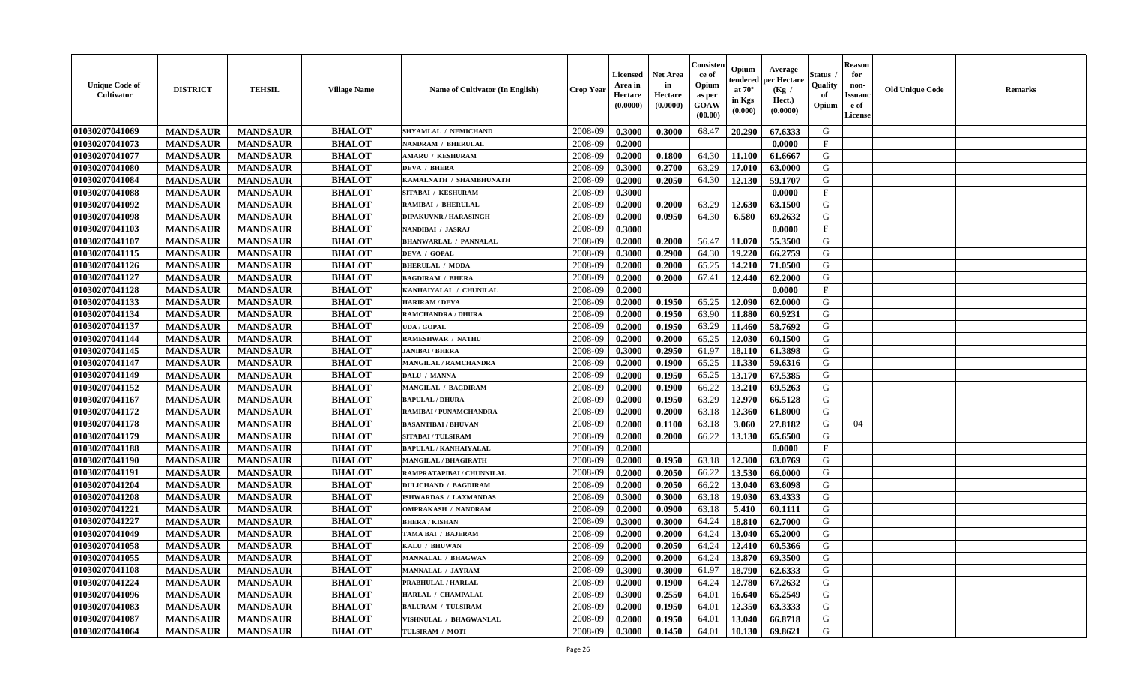| <b>Unique Code of</b><br><b>Cultivator</b> | <b>DISTRICT</b> | <b>TEHSIL</b>   | <b>Village Name</b> | Name of Cultivator (In English) | <b>Crop Year</b> | Licensed<br>Area in<br>Hectare<br>(0.0000) | <b>Net Area</b><br>in<br>Hectare<br>(0.0000) | Consisteı<br>ce of<br>Opium<br>as per<br>GOAW<br>(00.00) | Opium<br>endered<br>at $70^\circ$<br>in Kgs<br>(0.000) | Average<br>per Hectare<br>(Kg /<br>Hect.)<br>(0.0000) | Status<br>Quality<br>of<br>Opium | <b>Reason</b><br>for<br>non-<br><b>Issuand</b><br>e of<br><b>License</b> | <b>Old Unique Code</b> | <b>Remarks</b> |
|--------------------------------------------|-----------------|-----------------|---------------------|---------------------------------|------------------|--------------------------------------------|----------------------------------------------|----------------------------------------------------------|--------------------------------------------------------|-------------------------------------------------------|----------------------------------|--------------------------------------------------------------------------|------------------------|----------------|
| 01030207041069                             | <b>MANDSAUR</b> | <b>MANDSAUR</b> | <b>BHALOT</b>       | SHYAMLAL / NEMICHAND            | 2008-09          | 0.3000                                     | 0.3000                                       | 68.47                                                    | 20.290                                                 | 67.6333                                               | G                                |                                                                          |                        |                |
| 01030207041073                             | <b>MANDSAUR</b> | <b>MANDSAUR</b> | <b>BHALOT</b>       | <b>NANDRAM / BHERULAL</b>       | 2008-09          | 0.2000                                     |                                              |                                                          |                                                        | 0.0000                                                | $\mathbf{F}$                     |                                                                          |                        |                |
| 01030207041077                             | <b>MANDSAUR</b> | <b>MANDSAUR</b> | <b>BHALOT</b>       | <b>AMARU / KESHURAM</b>         | 2008-09          | 0.2000                                     | 0.1800                                       | 64.30                                                    | 11.100                                                 | 61.6667                                               | G                                |                                                                          |                        |                |
| 01030207041080                             | <b>MANDSAUR</b> | <b>MANDSAUR</b> | <b>BHALOT</b>       | <b>DEVA / BHERA</b>             | 2008-09          | 0.3000                                     | 0.2700                                       | 63.29                                                    | 17.010                                                 | 63.0000                                               | G                                |                                                                          |                        |                |
| 01030207041084                             | <b>MANDSAUR</b> | <b>MANDSAUR</b> | <b>BHALOT</b>       | KAMALNATH / SHAMBHUNATH         | 2008-09          | 0.2000                                     | 0.2050                                       | 64.30                                                    | 12.130                                                 | 59.1707                                               | G                                |                                                                          |                        |                |
| 01030207041088                             | <b>MANDSAUR</b> | <b>MANDSAUR</b> | <b>BHALOT</b>       | <b>SITABAI / KESHURAM</b>       | 2008-09          | 0.3000                                     |                                              |                                                          |                                                        | 0.0000                                                | F                                |                                                                          |                        |                |
| 01030207041092                             | <b>MANDSAUR</b> | <b>MANDSAUR</b> | <b>BHALOT</b>       | <b>RAMIBAI / BHERULAL</b>       | 2008-09          | 0.2000                                     | 0.2000                                       | 63.29                                                    | 12.630                                                 | 63.1500                                               | G                                |                                                                          |                        |                |
| 01030207041098                             | <b>MANDSAUR</b> | <b>MANDSAUR</b> | <b>BHALOT</b>       | <b>DIPAKUVNR / HARASINGH</b>    | 2008-09          | 0.2000                                     | 0.0950                                       | 64.30                                                    | 6.580                                                  | 69.2632                                               | G                                |                                                                          |                        |                |
| 01030207041103                             | <b>MANDSAUR</b> | <b>MANDSAUR</b> | <b>BHALOT</b>       | NANDIBAI / JASRAJ               | 2008-09          | 0.3000                                     |                                              |                                                          |                                                        | 0.0000                                                | $\mathbf{F}$                     |                                                                          |                        |                |
| 01030207041107                             | <b>MANDSAUR</b> | <b>MANDSAUR</b> | <b>BHALOT</b>       | <b>BHANWARLAL / PANNALAL</b>    | 2008-09          | 0.2000                                     | 0.2000                                       | 56.47                                                    | 11.070                                                 | 55.3500                                               | G                                |                                                                          |                        |                |
| 01030207041115                             | <b>MANDSAUR</b> | <b>MANDSAUR</b> | <b>BHALOT</b>       | <b>DEVA / GOPAL</b>             | 2008-09          | 0.3000                                     | 0.2900                                       | 64.30                                                    | 19.220                                                 | 66.2759                                               | G                                |                                                                          |                        |                |
| 01030207041126                             | <b>MANDSAUR</b> | <b>MANDSAUR</b> | <b>BHALOT</b>       | <b>BHERULAL / MODA</b>          | 2008-09          | 0.2000                                     | 0.2000                                       | 65.25                                                    | 14.210                                                 | 71.0500                                               | G                                |                                                                          |                        |                |
| 01030207041127                             | <b>MANDSAUR</b> | <b>MANDSAUR</b> | <b>BHALOT</b>       | <b>BAGDIRAM / BHERA</b>         | 2008-09          | 0.2000                                     | 0.2000                                       | 67.41                                                    | 12.440                                                 | 62.2000                                               | G                                |                                                                          |                        |                |
| 01030207041128                             | <b>MANDSAUR</b> | <b>MANDSAUR</b> | <b>BHALOT</b>       | KANHAIYALAL / CHUNILAL          | 2008-09          | 0.2000                                     |                                              |                                                          |                                                        | 0.0000                                                | F                                |                                                                          |                        |                |
| 01030207041133                             | <b>MANDSAUR</b> | <b>MANDSAUR</b> | <b>BHALOT</b>       | <b>HARIRAM / DEVA</b>           | 2008-09          | 0.2000                                     | 0.1950                                       | 65.25                                                    | 12.090                                                 | 62.0000                                               | G                                |                                                                          |                        |                |
| 01030207041134                             | <b>MANDSAUR</b> | <b>MANDSAUR</b> | <b>BHALOT</b>       | <b>RAMCHANDRA / DHURA</b>       | 2008-09          | 0.2000                                     | 0.1950                                       | 63.90                                                    | 11.880                                                 | 60.9231                                               | G                                |                                                                          |                        |                |
| 01030207041137                             | <b>MANDSAUR</b> | <b>MANDSAUR</b> | <b>BHALOT</b>       | <b>UDA / GOPAL</b>              | 2008-09          | 0.2000                                     | 0.1950                                       | 63.29                                                    | 11.460                                                 | 58.7692                                               | G                                |                                                                          |                        |                |
| 01030207041144                             | <b>MANDSAUR</b> | <b>MANDSAUR</b> | <b>BHALOT</b>       | <b>RAMESHWAR / NATHU</b>        | 2008-09          | 0.2000                                     | 0.2000                                       | 65.25                                                    | 12.030                                                 | 60.1500                                               | G                                |                                                                          |                        |                |
| 01030207041145                             | <b>MANDSAUR</b> | <b>MANDSAUR</b> | <b>BHALOT</b>       | <b>JANIBAI / BHERA</b>          | 2008-09          | 0.3000                                     | 0.2950                                       | 61.97                                                    | 18.110                                                 | 61.3898                                               | G                                |                                                                          |                        |                |
| 01030207041147                             | <b>MANDSAUR</b> | <b>MANDSAUR</b> | <b>BHALOT</b>       | <b>MANGILAL / RAMCHANDRA</b>    | 2008-09          | 0.2000                                     | 0.1900                                       | 65.25                                                    | 11.330                                                 | 59.6316                                               | G                                |                                                                          |                        |                |
| 01030207041149                             | <b>MANDSAUR</b> | <b>MANDSAUR</b> | <b>BHALOT</b>       | DALU / MANNA                    | 2008-09          | 0.2000                                     | 0.1950                                       | 65.25                                                    | 13.170                                                 | 67.5385                                               | G                                |                                                                          |                        |                |
| 01030207041152                             | <b>MANDSAUR</b> | <b>MANDSAUR</b> | <b>BHALOT</b>       | <b>MANGILAL / BAGDIRAM</b>      | 2008-09          | 0.2000                                     | 0.1900                                       | 66.22                                                    | 13.210                                                 | 69.5263                                               | G                                |                                                                          |                        |                |
| 01030207041167                             | <b>MANDSAUR</b> | <b>MANDSAUR</b> | <b>BHALOT</b>       | <b>BAPULAL / DHURA</b>          | 2008-09          | 0.2000                                     | 0.1950                                       | 63.29                                                    | 12.970                                                 | 66.5128                                               | G                                |                                                                          |                        |                |
| 01030207041172                             | <b>MANDSAUR</b> | <b>MANDSAUR</b> | <b>BHALOT</b>       | RAMIBAI / PUNAMCHANDRA          | 2008-09          | 0.2000                                     | 0.2000                                       | 63.18                                                    | 12.360                                                 | 61.8000                                               | G                                |                                                                          |                        |                |
| 01030207041178                             | <b>MANDSAUR</b> | <b>MANDSAUR</b> | <b>BHALOT</b>       | <b>BASANTIBAI/BHUVAN</b>        | 2008-09          | 0.2000                                     | 0.1100                                       | 63.18                                                    | 3.060                                                  | 27.8182                                               | G                                | 04                                                                       |                        |                |
| 01030207041179                             | <b>MANDSAUR</b> | <b>MANDSAUR</b> | <b>BHALOT</b>       | <b>SITABAI/TULSIRAM</b>         | 2008-09          | 0.2000                                     | 0.2000                                       | 66.22                                                    | 13.130                                                 | 65.6500                                               | G                                |                                                                          |                        |                |
| 01030207041188                             | <b>MANDSAUR</b> | <b>MANDSAUR</b> | <b>BHALOT</b>       | <b>BAPULAL / KANHAIYALAL</b>    | 2008-09          | 0.2000                                     |                                              |                                                          |                                                        | 0.0000                                                | $\mathbf{F}$                     |                                                                          |                        |                |
| 01030207041190                             | <b>MANDSAUR</b> | <b>MANDSAUR</b> | <b>BHALOT</b>       | <b>MANGILAL / BHAGIRATH</b>     | 2008-09          | 0.2000                                     | 0.1950                                       | 63.18                                                    | 12.300                                                 | 63.0769                                               | G                                |                                                                          |                        |                |
| 01030207041191                             | <b>MANDSAUR</b> | <b>MANDSAUR</b> | <b>BHALOT</b>       | RAMPRATAPIBAI / CHUNNILAL       | 2008-09          | 0.2000                                     | 0.2050                                       | 66.22                                                    | 13.530                                                 | 66.0000                                               | G                                |                                                                          |                        |                |
| 01030207041204                             | <b>MANDSAUR</b> | <b>MANDSAUR</b> | <b>BHALOT</b>       | <b>DULICHAND / BAGDIRAM</b>     | 2008-09          | 0.2000                                     | 0.2050                                       | 66.22                                                    | 13.040                                                 | 63.6098                                               | G                                |                                                                          |                        |                |
| 01030207041208                             | <b>MANDSAUR</b> | <b>MANDSAUR</b> | <b>BHALOT</b>       | ISHWARDAS / LAXMANDAS           | 2008-09          | 0.3000                                     | 0.3000                                       | 63.18                                                    | 19.030                                                 | 63.4333                                               | ${\bf G}$                        |                                                                          |                        |                |
| 01030207041221                             | <b>MANDSAUR</b> | <b>MANDSAUR</b> | <b>BHALOT</b>       | <b>OMPRAKASH / NANDRAM</b>      | 2008-09          | 0.2000                                     | 0.0900                                       | 63.18                                                    | 5.410                                                  | 60.1111                                               | G                                |                                                                          |                        |                |
| 01030207041227                             | <b>MANDSAUR</b> | <b>MANDSAUR</b> | <b>BHALOT</b>       | <b>BHERA / KISHAN</b>           | 2008-09          | 0.3000                                     | 0.3000                                       | 64.24                                                    | 18.810                                                 | 62.7000                                               | G                                |                                                                          |                        |                |
| 01030207041049                             | <b>MANDSAUR</b> | <b>MANDSAUR</b> | <b>BHALOT</b>       | TAMA BAI / BAJERAM              | 2008-09          | 0.2000                                     | 0.2000                                       | 64.24                                                    | 13.040                                                 | 65.2000                                               | G                                |                                                                          |                        |                |
| 01030207041058                             | <b>MANDSAUR</b> | <b>MANDSAUR</b> | <b>BHALOT</b>       | KALU / BHUWAN                   | 2008-09          | 0.2000                                     | 0.2050                                       | 64.24                                                    | 12.410                                                 | 60.5366                                               | G                                |                                                                          |                        |                |
| 01030207041055                             | <b>MANDSAUR</b> | <b>MANDSAUR</b> | <b>BHALOT</b>       | <b>MANNALAL / BHAGWAN</b>       | 2008-09          | 0.2000                                     | 0.2000                                       | 64.24                                                    | 13.870                                                 | 69.3500                                               | G                                |                                                                          |                        |                |
| 01030207041108                             | <b>MANDSAUR</b> | <b>MANDSAUR</b> | <b>BHALOT</b>       | <b>MANNALAL / JAYRAM</b>        | 2008-09          | 0.3000                                     | 0.3000                                       | 61.97                                                    | 18.790                                                 | 62.6333                                               | G                                |                                                                          |                        |                |
| 01030207041224                             | <b>MANDSAUR</b> | <b>MANDSAUR</b> | <b>BHALOT</b>       | PRABHULAL / HARLAL              | 2008-09          | 0.2000                                     | 0.1900                                       | 64.24                                                    | 12.780                                                 | 67.2632                                               | G                                |                                                                          |                        |                |
| 01030207041096                             | <b>MANDSAUR</b> | <b>MANDSAUR</b> | <b>BHALOT</b>       | HARLAL / CHAMPALAL              | 2008-09          | 0.3000                                     | 0.2550                                       | 64.01                                                    | 16.640                                                 | 65.2549                                               | G                                |                                                                          |                        |                |
| 01030207041083                             | <b>MANDSAUR</b> | <b>MANDSAUR</b> | <b>BHALOT</b>       | <b>BALURAM / TULSIRAM</b>       | 2008-09          | 0.2000                                     | 0.1950                                       | 64.01                                                    | 12.350                                                 | 63.3333                                               | G                                |                                                                          |                        |                |
| 01030207041087                             | <b>MANDSAUR</b> | <b>MANDSAUR</b> | <b>BHALOT</b>       | VISHNULAL / BHAGWANLAL          | 2008-09          | 0.2000                                     | 0.1950                                       | 64.01                                                    | 13.040                                                 | 66.8718                                               | G                                |                                                                          |                        |                |
| 01030207041064                             | <b>MANDSAUR</b> | <b>MANDSAUR</b> | <b>BHALOT</b>       | TULSIRAM / MOTI                 | 2008-09          | 0.3000                                     | 0.1450                                       | 64.01                                                    | 10.130                                                 | 69.8621                                               | G                                |                                                                          |                        |                |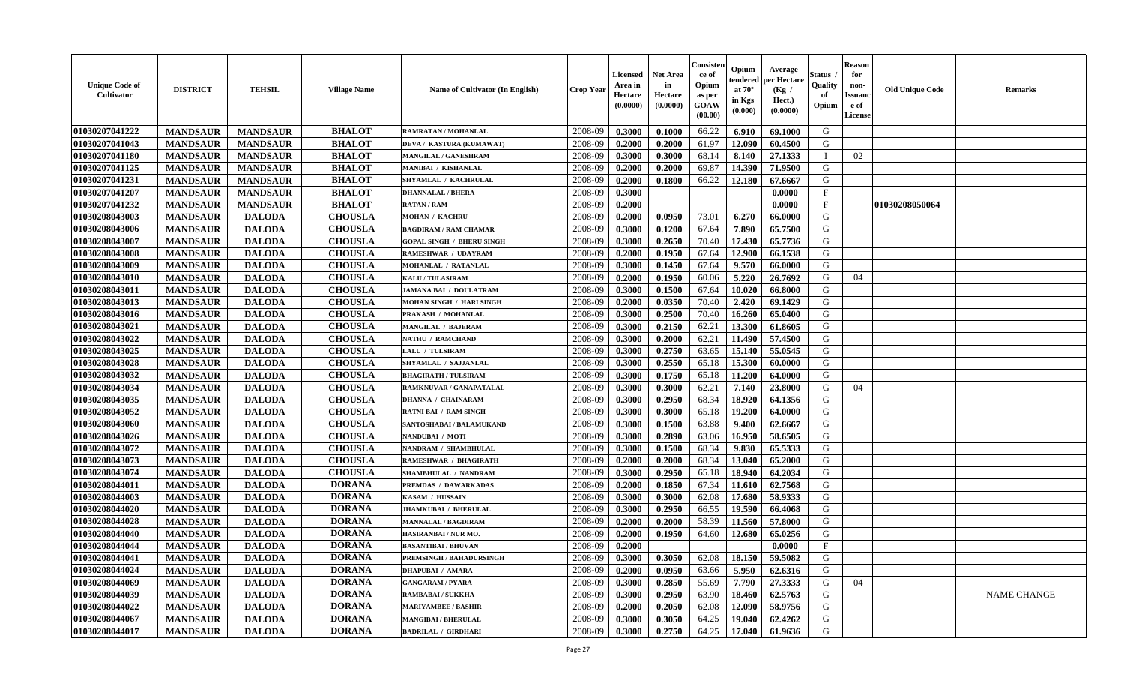| <b>Unique Code of</b><br><b>Cultivator</b> | <b>DISTRICT</b> | <b>TEHSIL</b>   | <b>Village Name</b> | Name of Cultivator (In English)  | <b>Crop Year</b> | Licensed<br>Area in<br>Hectare<br>(0.0000) | <b>Net Area</b><br>in<br>Hectare<br>(0.0000) | Consisteı<br>ce of<br>Opium<br>as per<br>GOAW<br>(00.00) | Opium<br>endered<br>at $70^\circ$<br>in Kgs<br>(0.000) | Average<br>per Hectare<br>(Kg /<br>Hect.)<br>(0.0000) | Status<br>Quality<br>of<br>Opium | <b>Reason</b><br>for<br>non-<br><b>Issuand</b><br>e of<br><b>License</b> | <b>Old Unique Code</b> | <b>Remarks</b>     |
|--------------------------------------------|-----------------|-----------------|---------------------|----------------------------------|------------------|--------------------------------------------|----------------------------------------------|----------------------------------------------------------|--------------------------------------------------------|-------------------------------------------------------|----------------------------------|--------------------------------------------------------------------------|------------------------|--------------------|
| 01030207041222                             | <b>MANDSAUR</b> | <b>MANDSAUR</b> | <b>BHALOT</b>       | RAMRATAN / MOHANLAL              | 2008-09          | 0.3000                                     | 0.1000                                       | 66.22                                                    | 6.910                                                  | 69.1000                                               | G                                |                                                                          |                        |                    |
| 01030207041043                             | <b>MANDSAUR</b> | <b>MANDSAUR</b> | <b>BHALOT</b>       | DEVA / KASTURA (KUMAWAT)         | 2008-09          | 0.2000                                     | 0.2000                                       | 61.97                                                    | 12.090                                                 | 60.4500                                               | G                                |                                                                          |                        |                    |
| 01030207041180                             | <b>MANDSAUR</b> | <b>MANDSAUR</b> | <b>BHALOT</b>       | MANGILAL / GANESHRAM             | 2008-09          | 0.3000                                     | 0.3000                                       | 68.14                                                    | 8.140                                                  | 27.1333                                               | $\mathbf{I}$                     | 02                                                                       |                        |                    |
| 01030207041125                             | <b>MANDSAUR</b> | <b>MANDSAUR</b> | <b>BHALOT</b>       | <b>MANIBAI / KISHANLAL</b>       | 2008-09          | 0.2000                                     | 0.2000                                       | 69.87                                                    | 14.390                                                 | 71.9500                                               | G                                |                                                                          |                        |                    |
| 01030207041231                             | <b>MANDSAUR</b> | <b>MANDSAUR</b> | <b>BHALOT</b>       | SHYAMLAL / KACHRULAL             | 2008-09          | 0.2000                                     | 0.1800                                       | 66.22                                                    | 12.180                                                 | 67.6667                                               | G                                |                                                                          |                        |                    |
| 01030207041207                             | <b>MANDSAUR</b> | <b>MANDSAUR</b> | <b>BHALOT</b>       | <b>DHANNALAL / BHERA</b>         | 2008-09          | 0.3000                                     |                                              |                                                          |                                                        | 0.0000                                                | F                                |                                                                          |                        |                    |
| 01030207041232                             | <b>MANDSAUR</b> | <b>MANDSAUR</b> | <b>BHALOT</b>       | <b>RATAN / RAM</b>               | 2008-09          | 0.2000                                     |                                              |                                                          |                                                        | 0.0000                                                | $\rm F$                          |                                                                          | 01030208050064         |                    |
| 01030208043003                             | <b>MANDSAUR</b> | <b>DALODA</b>   | <b>CHOUSLA</b>      | MOHAN / KACHRU                   | 2008-09          | 0.2000                                     | 0.0950                                       | 73.01                                                    | 6.270                                                  | 66.0000                                               | G                                |                                                                          |                        |                    |
| 01030208043006                             | <b>MANDSAUR</b> | <b>DALODA</b>   | <b>CHOUSLA</b>      | <b>BAGDIRAM / RAM CHAMAR</b>     | 2008-09          | 0.3000                                     | 0.1200                                       | 67.64                                                    | 7.890                                                  | 65.7500                                               | G                                |                                                                          |                        |                    |
| 01030208043007                             | <b>MANDSAUR</b> | <b>DALODA</b>   | <b>CHOUSLA</b>      | <b>GOPAL SINGH / BHERU SINGH</b> | 2008-09          | 0.3000                                     | 0.2650                                       | 70.40                                                    | 17.430                                                 | 65.7736                                               | G                                |                                                                          |                        |                    |
| 01030208043008                             | <b>MANDSAUR</b> | <b>DALODA</b>   | <b>CHOUSLA</b>      | <b>RAMESHWAR / UDAYRAM</b>       | 2008-09          | 0.2000                                     | 0.1950                                       | 67.64                                                    | 12.900                                                 | 66.1538                                               | G                                |                                                                          |                        |                    |
| 01030208043009                             | <b>MANDSAUR</b> | <b>DALODA</b>   | <b>CHOUSLA</b>      | MOHANLAL / RATANLAL              | 2008-09          | 0.3000                                     | 0.1450                                       | 67.64                                                    | 9.570                                                  | 66.0000                                               | G                                |                                                                          |                        |                    |
| 01030208043010                             | <b>MANDSAUR</b> | <b>DALODA</b>   | <b>CHOUSLA</b>      | <b>KALU / TULASIRAM</b>          | 2008-09          | 0.2000                                     | 0.1950                                       | 60.06                                                    | 5.220                                                  | 26.7692                                               | G                                | 04                                                                       |                        |                    |
| 01030208043011                             | <b>MANDSAUR</b> | <b>DALODA</b>   | <b>CHOUSLA</b>      | <b>JAMANA BAI / DOULATRAM</b>    | 2008-09          | 0.3000                                     | 0.1500                                       | 67.64                                                    | 10.020                                                 | 66.8000                                               | G                                |                                                                          |                        |                    |
| 01030208043013                             | <b>MANDSAUR</b> | <b>DALODA</b>   | <b>CHOUSLA</b>      | MOHAN SINGH / HARI SINGH         | 2008-09          | 0.2000                                     | 0.0350                                       | 70.40                                                    | 2.420                                                  | 69.1429                                               | G                                |                                                                          |                        |                    |
| 01030208043016                             | <b>MANDSAUR</b> | <b>DALODA</b>   | <b>CHOUSLA</b>      | PRAKASH / MOHANLAL               | 2008-09          | 0.3000                                     | 0.2500                                       | 70.40                                                    | 16.260                                                 | 65.0400                                               | G                                |                                                                          |                        |                    |
| 01030208043021                             | <b>MANDSAUR</b> | <b>DALODA</b>   | <b>CHOUSLA</b>      | <b>MANGILAL / BAJERAM</b>        | 2008-09          | 0.3000                                     | 0.2150                                       | 62.21                                                    | 13.300                                                 | 61.8605                                               | G                                |                                                                          |                        |                    |
| 01030208043022                             | <b>MANDSAUR</b> | <b>DALODA</b>   | <b>CHOUSLA</b>      | <b>NATHU / RAMCHAND</b>          | 2008-09          | 0.3000                                     | 0.2000                                       | 62.21                                                    | 11.490                                                 | 57.4500                                               | G                                |                                                                          |                        |                    |
| 01030208043025                             | <b>MANDSAUR</b> | <b>DALODA</b>   | <b>CHOUSLA</b>      | LALU / TULSIRAM                  | 2008-09          | 0.3000                                     | 0.2750                                       | 63.65                                                    | 15.140                                                 | 55.0545                                               | G                                |                                                                          |                        |                    |
| 01030208043028                             | <b>MANDSAUR</b> | <b>DALODA</b>   | <b>CHOUSLA</b>      | SHYAMLAL / SAJJANLAL             | 2008-09          | 0.3000                                     | 0.2550                                       | 65.18                                                    | 15.300                                                 | 60.0000                                               | G                                |                                                                          |                        |                    |
| 01030208043032                             | <b>MANDSAUR</b> | <b>DALODA</b>   | <b>CHOUSLA</b>      | <b>BHAGIRATH / TULSIRAM</b>      | 2008-09          | 0.3000                                     | 0.1750                                       | 65.18                                                    | 11.200                                                 | 64.0000                                               | G                                |                                                                          |                        |                    |
| 01030208043034                             | <b>MANDSAUR</b> | <b>DALODA</b>   | <b>CHOUSLA</b>      | RAMKNUVAR / GANAPATALAL          | 2008-09          | 0.3000                                     | 0.3000                                       | 62.21                                                    | 7.140                                                  | 23.8000                                               | G                                | 04                                                                       |                        |                    |
| 01030208043035                             | <b>MANDSAUR</b> | <b>DALODA</b>   | <b>CHOUSLA</b>      | <b>DHANNA / CHAINARAM</b>        | 2008-09          | 0.3000                                     | 0.2950                                       | 68.34                                                    | 18.920                                                 | 64.1356                                               | G                                |                                                                          |                        |                    |
| 01030208043052                             | <b>MANDSAUR</b> | <b>DALODA</b>   | <b>CHOUSLA</b>      | <b>RATNI BAI / RAM SINGH</b>     | 2008-09          | 0.3000                                     | 0.3000                                       | 65.18                                                    | 19.200                                                 | 64.0000                                               | G                                |                                                                          |                        |                    |
| 01030208043060                             | <b>MANDSAUR</b> | <b>DALODA</b>   | <b>CHOUSLA</b>      | SANTOSHABAI / BALAMUKAND         | 2008-09          | 0.3000                                     | 0.1500                                       | 63.88                                                    | 9.400                                                  | 62.6667                                               | G                                |                                                                          |                        |                    |
| 01030208043026                             | <b>MANDSAUR</b> | <b>DALODA</b>   | <b>CHOUSLA</b>      | NANDUBAI / MOTI                  | 2008-09          | 0.3000                                     | 0.2890                                       | 63.06                                                    | 16.950                                                 | 58.6505                                               | G                                |                                                                          |                        |                    |
| 01030208043072                             | <b>MANDSAUR</b> | <b>DALODA</b>   | <b>CHOUSLA</b>      | NANDRAM / SHAMBHULAL             | 2008-09          | 0.3000                                     | 0.1500                                       | 68.34                                                    | 9.830                                                  | 65.5333                                               | G                                |                                                                          |                        |                    |
| 01030208043073                             | <b>MANDSAUR</b> | <b>DALODA</b>   | <b>CHOUSLA</b>      | <b>RAMESHWAR / BHAGIRATH</b>     | 2008-09          | 0.2000                                     | 0.2000                                       | 68.34                                                    | 13.040                                                 | 65.2000                                               | G                                |                                                                          |                        |                    |
| 01030208043074                             | <b>MANDSAUR</b> | <b>DALODA</b>   | <b>CHOUSLA</b>      | SHAMBHULAL / NANDRAM             | 2008-09          | 0.3000                                     | 0.2950                                       | 65.18                                                    | 18.940                                                 | 64.2034                                               | G                                |                                                                          |                        |                    |
| 01030208044011                             | <b>MANDSAUR</b> | <b>DALODA</b>   | <b>DORANA</b>       | PREMDAS / DAWARKADAS             | 2008-09          | 0.2000                                     | 0.1850                                       | 67.34                                                    | 11.610                                                 | 62.7568                                               | G                                |                                                                          |                        |                    |
| 01030208044003                             | <b>MANDSAUR</b> | <b>DALODA</b>   | <b>DORANA</b>       | KASAM / HUSSAIN                  | 2008-09          | 0.3000                                     | 0.3000                                       | 62.08                                                    | 17.680                                                 | 58.9333                                               | ${\bf G}$                        |                                                                          |                        |                    |
| 01030208044020                             | <b>MANDSAUR</b> | <b>DALODA</b>   | <b>DORANA</b>       | <b>JHAMKUBAI / BHERULAL</b>      | 2008-09          | 0.3000                                     | 0.2950                                       | 66.55                                                    | 19.590                                                 | 66.4068                                               | G                                |                                                                          |                        |                    |
| 01030208044028                             | <b>MANDSAUR</b> | <b>DALODA</b>   | <b>DORANA</b>       | <b>MANNALAL / BAGDIRAM</b>       | 2008-09          | 0.2000                                     | 0.2000                                       | 58.39                                                    | 11.560                                                 | 57.8000                                               | G                                |                                                                          |                        |                    |
| 01030208044040                             | <b>MANDSAUR</b> | <b>DALODA</b>   | <b>DORANA</b>       | HASIRANBAI / NUR MO.             | 2008-09          | 0.2000                                     | 0.1950                                       | 64.60                                                    | 12.680                                                 | 65.0256                                               | G                                |                                                                          |                        |                    |
| 01030208044044                             | <b>MANDSAUR</b> | <b>DALODA</b>   | <b>DORANA</b>       | <b>BASANTIBAI / BHUVAN</b>       | 2008-09          | 0.2000                                     |                                              |                                                          |                                                        | 0.0000                                                | F                                |                                                                          |                        |                    |
| 01030208044041                             | <b>MANDSAUR</b> | <b>DALODA</b>   | <b>DORANA</b>       | PREMSINGH / BAHADURSINGH         | 2008-09          | 0.3000                                     | 0.3050                                       | 62.08                                                    | 18.150                                                 | 59.5082                                               | G                                |                                                                          |                        |                    |
| 01030208044024                             | <b>MANDSAUR</b> | <b>DALODA</b>   | <b>DORANA</b>       | <b>DHAPUBAI / AMARA</b>          | 2008-09          | 0.2000                                     | 0.0950                                       | 63.66                                                    | 5.950                                                  | 62.6316                                               | G                                |                                                                          |                        |                    |
| 01030208044069                             | <b>MANDSAUR</b> | <b>DALODA</b>   | <b>DORANA</b>       | <b>GANGARAM / PYARA</b>          | 2008-09          | 0.3000                                     | 0.2850                                       | 55.69                                                    | 7.790                                                  | 27.3333                                               | G                                | 04                                                                       |                        |                    |
| 01030208044039                             | <b>MANDSAUR</b> | <b>DALODA</b>   | <b>DORANA</b>       | <b>RAMBABAI/SUKKHA</b>           | 2008-09          | 0.3000                                     | 0.2950                                       | 63.90                                                    | 18.460                                                 | 62.5763                                               | G                                |                                                                          |                        | <b>NAME CHANGE</b> |
| 01030208044022                             | <b>MANDSAUR</b> | <b>DALODA</b>   | <b>DORANA</b>       | <b>MARIYAMBEE / BASHIR</b>       | 2008-09          | 0.2000                                     | 0.2050                                       | 62.08                                                    | 12.090                                                 | 58.9756                                               | G                                |                                                                          |                        |                    |
| 01030208044067                             | <b>MANDSAUR</b> | <b>DALODA</b>   | <b>DORANA</b>       | <b>MANGIBAI / BHERULAL</b>       | 2008-09          | 0.3000                                     | 0.3050                                       | 64.25                                                    | 19.040                                                 | 62.4262                                               | G                                |                                                                          |                        |                    |
| 01030208044017                             | <b>MANDSAUR</b> | <b>DALODA</b>   | <b>DORANA</b>       | <b>BADRILAL / GIRDHARI</b>       | 2008-09          | 0.3000                                     | 0.2750                                       | 64.25                                                    | 17.040                                                 | 61.9636                                               | G                                |                                                                          |                        |                    |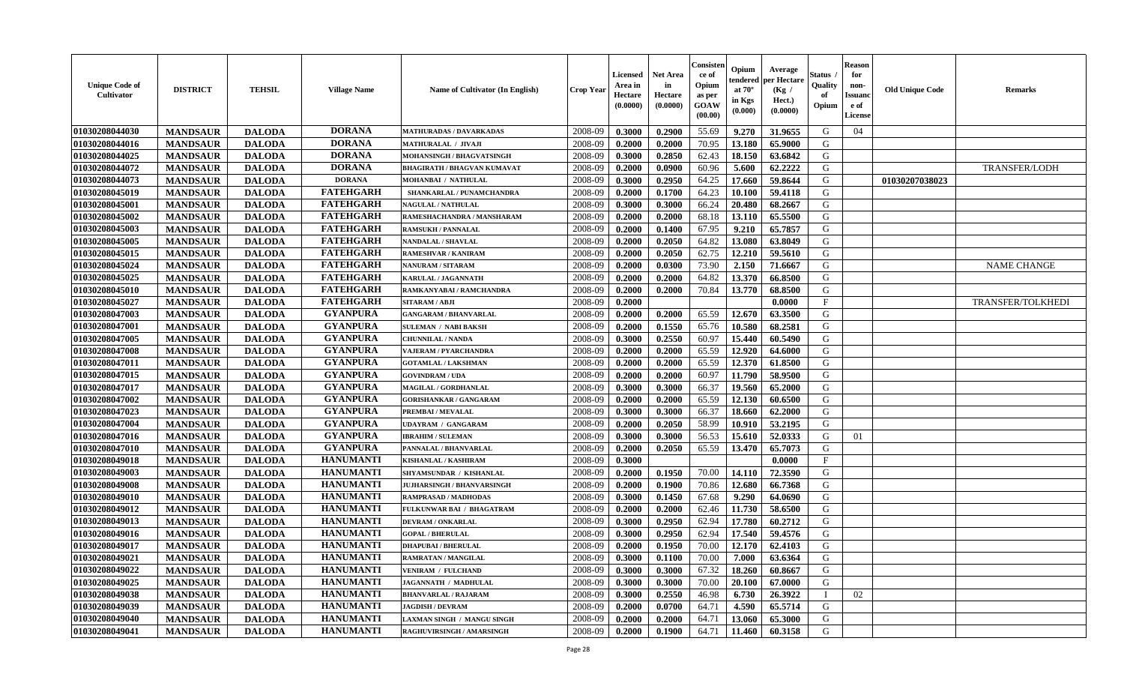| <b>Unique Code of</b><br><b>Cultivator</b> | <b>DISTRICT</b> | <b>TEHSIL</b> | <b>Village Name</b> | <b>Name of Cultivator (In English)</b> | <b>Crop Year</b> | <b>Licensed</b><br>Area in<br>Hectare<br>(0.0000) | <b>Net Area</b><br>in<br>Hectare<br>(0.0000) | Consisteı<br>ce of<br>Opium<br>as per<br>GOAW<br>(00.00) | Opium<br>endered<br>at $70^\circ$<br>in Kgs<br>(0.000) | Average<br>oer Hectare<br>(Kg /<br>Hect.)<br>(0.0000) | Status<br>Quality<br>of<br>Opium | <b>Reason</b><br>for<br>non-<br>Issuano<br>e of<br>License | <b>Old Unique Code</b> | Remarks                  |
|--------------------------------------------|-----------------|---------------|---------------------|----------------------------------------|------------------|---------------------------------------------------|----------------------------------------------|----------------------------------------------------------|--------------------------------------------------------|-------------------------------------------------------|----------------------------------|------------------------------------------------------------|------------------------|--------------------------|
| 01030208044030                             | <b>MANDSAUR</b> | <b>DALODA</b> | <b>DORANA</b>       | MATHURADAS / DAVARKADAS                | 2008-09          | 0.3000                                            | 0.2900                                       | 55.69                                                    | 9.270                                                  | 31.9655                                               | G                                | 04                                                         |                        |                          |
| 01030208044016                             | <b>MANDSAUR</b> | <b>DALODA</b> | <b>DORANA</b>       | <b>MATHURALAL / JIVAJI</b>             | 2008-09          | 0.2000                                            | 0.2000                                       | 70.95                                                    | 13.180                                                 | 65.9000                                               | G                                |                                                            |                        |                          |
| 01030208044025                             | <b>MANDSAUR</b> | <b>DALODA</b> | <b>DORANA</b>       | MOHANSINGH / BHAGVATSINGH              | 2008-09          | 0.3000                                            | 0.2850                                       | 62.43                                                    | 18.150                                                 | 63.6842                                               | G                                |                                                            |                        |                          |
| 01030208044072                             | <b>MANDSAUR</b> | <b>DALODA</b> | <b>DORANA</b>       | <b>BHAGIRATH / BHAGVAN KUMAVAT</b>     | 2008-09          | 0.2000                                            | 0.0900                                       | 60.96                                                    | 5.600                                                  | 62.2222                                               | G                                |                                                            |                        | <b>TRANSFER/LODH</b>     |
| 01030208044073                             | <b>MANDSAUR</b> | <b>DALODA</b> | <b>DORANA</b>       | MOHANBAI / NATHULAL                    | 2008-09          | 0.3000                                            | 0.2950                                       | 64.25                                                    | 17.660                                                 | 59.8644                                               | G                                |                                                            | 01030207038023         |                          |
| 01030208045019                             | <b>MANDSAUR</b> | <b>DALODA</b> | <b>FATEHGARH</b>    | SHANKARLAL / PUNAMCHANDRA              | 2008-09          | 0.2000                                            | 0.1700                                       | 64.23                                                    | 10.100                                                 | 59.4118                                               | G                                |                                                            |                        |                          |
| 01030208045001                             | <b>MANDSAUR</b> | <b>DALODA</b> | <b>FATEHGARH</b>    | <b>NAGULAL / NATHULAL</b>              | 2008-09          | 0.3000                                            | 0.3000                                       | 66.24                                                    | 20.480                                                 | 68.2667                                               | G                                |                                                            |                        |                          |
| 01030208045002                             | <b>MANDSAUR</b> | <b>DALODA</b> | <b>FATEHGARH</b>    | RAMESHACHANDRA / MANSHARAM             | 2008-09          | 0.2000                                            | 0.2000                                       | 68.18                                                    | 13.110                                                 | 65.5500                                               | G                                |                                                            |                        |                          |
| 01030208045003                             | <b>MANDSAUR</b> | <b>DALODA</b> | <b>FATEHGARH</b>    | <b>RAMSUKH / PANNALAL</b>              | 2008-09          | 0.2000                                            | 0.1400                                       | 67.95                                                    | 9.210                                                  | 65.7857                                               | G                                |                                                            |                        |                          |
| 01030208045005                             | <b>MANDSAUR</b> | <b>DALODA</b> | <b>FATEHGARH</b>    | <b>NANDALAL / SHAVLAL</b>              | 2008-09          | 0.2000                                            | 0.2050                                       | 64.82                                                    | 13.080                                                 | 63.8049                                               | G                                |                                                            |                        |                          |
| 01030208045015                             | <b>MANDSAUR</b> | <b>DALODA</b> | <b>FATEHGARH</b>    | <b>RAMESHVAR / KANIRAM</b>             | 2008-09          | 0.2000                                            | 0.2050                                       | 62.75                                                    | 12.210                                                 | 59.5610                                               | G                                |                                                            |                        |                          |
| 01030208045024                             | <b>MANDSAUR</b> | <b>DALODA</b> | <b>FATEHGARH</b>    | <b>NANURAM / SITARAM</b>               | 2008-09          | 0.2000                                            | 0.0300                                       | 73.90                                                    | 2.150                                                  | 71.6667                                               | G                                |                                                            |                        | <b>NAME CHANGE</b>       |
| 01030208045025                             | <b>MANDSAUR</b> | <b>DALODA</b> | <b>FATEHGARH</b>    | <b>KARULAL / JAGANNATH</b>             | 2008-09          | 0.2000                                            | 0.2000                                       | 64.82                                                    | 13.370                                                 | 66.8500                                               | G                                |                                                            |                        |                          |
| 01030208045010                             | <b>MANDSAUR</b> | <b>DALODA</b> | <b>FATEHGARH</b>    | RAMKANYABAI / RAMCHANDRA               | 2008-09          | 0.2000                                            | 0.2000                                       | 70.84                                                    | 13.770                                                 | 68.8500                                               | G                                |                                                            |                        |                          |
| 01030208045027                             | <b>MANDSAUR</b> | <b>DALODA</b> | <b>FATEHGARH</b>    | SITARAM / ABJI                         | 2008-09          | 0.2000                                            |                                              |                                                          |                                                        | 0.0000                                                | F                                |                                                            |                        | <b>TRANSFER/TOLKHEDI</b> |
| 01030208047003                             | <b>MANDSAUR</b> | <b>DALODA</b> | <b>GYANPURA</b>     | <b>GANGARAM / BHANVARLAL</b>           | 2008-09          | 0.2000                                            | 0.2000                                       | 65.59                                                    | 12.670                                                 | 63.3500                                               | G                                |                                                            |                        |                          |
| 01030208047001                             | <b>MANDSAUR</b> | <b>DALODA</b> | <b>GYANPURA</b>     | <b>SULEMAN / NABI BAKSH</b>            | 2008-09          | 0.2000                                            | 0.1550                                       | 65.76                                                    | 10.580                                                 | 68.2581                                               | G                                |                                                            |                        |                          |
| 01030208047005                             | <b>MANDSAUR</b> | <b>DALODA</b> | <b>GYANPURA</b>     | <b>CHUNNILAL / NANDA</b>               | 2008-09          | 0.3000                                            | 0.2550                                       | 60.97                                                    | 15.440                                                 | 60.5490                                               | G                                |                                                            |                        |                          |
| 01030208047008                             | <b>MANDSAUR</b> | <b>DALODA</b> | <b>GYANPURA</b>     | VAJERAM / PYARCHANDRA                  | 2008-09          | 0.2000                                            | 0.2000                                       | 65.59                                                    | 12.920                                                 | 64.6000                                               | G                                |                                                            |                        |                          |
| 01030208047011                             | <b>MANDSAUR</b> | <b>DALODA</b> | <b>GYANPURA</b>     | <b>GOTAMLAL / LAKSHMAN</b>             | 2008-09          | 0.2000                                            | 0.2000                                       | 65.59                                                    | 12.370                                                 | 61.8500                                               | G                                |                                                            |                        |                          |
| 01030208047015                             | <b>MANDSAUR</b> | <b>DALODA</b> | <b>GYANPURA</b>     | <b>GOVINDRAM / UDA</b>                 | 2008-09          | 0.2000                                            | 0.2000                                       | 60.97                                                    | 11.790                                                 | 58.9500                                               | G                                |                                                            |                        |                          |
| 01030208047017                             | <b>MANDSAUR</b> | <b>DALODA</b> | <b>GYANPURA</b>     | <b>MAGILAL / GORDHANLAL</b>            | 2008-09          | 0.3000                                            | 0.3000                                       | 66.37                                                    | 19.560                                                 | 65.2000                                               | G                                |                                                            |                        |                          |
| 01030208047002                             | <b>MANDSAUR</b> | <b>DALODA</b> | <b>GYANPURA</b>     | <b>GORISHANKAR / GANGARAM</b>          | 2008-09          | 0.2000                                            | 0.2000                                       | 65.59                                                    | 12.130                                                 | 60.6500                                               | G                                |                                                            |                        |                          |
| 01030208047023                             | <b>MANDSAUR</b> | <b>DALODA</b> | <b>GYANPURA</b>     | PREMBAI / MEVALAL                      | 2008-09          | 0.3000                                            | 0.3000                                       | 66.37                                                    | 18.660                                                 | 62.2000                                               | G                                |                                                            |                        |                          |
| 01030208047004                             | <b>MANDSAUR</b> | <b>DALODA</b> | <b>GYANPURA</b>     | <b>UDAYRAM / GANGARAM</b>              | 2008-09          | 0.2000                                            | 0.2050                                       | 58.99                                                    | 10.910                                                 | 53.2195                                               | G                                |                                                            |                        |                          |
| 01030208047016                             | <b>MANDSAUR</b> | <b>DALODA</b> | <b>GYANPURA</b>     | <b>IBRAHIM / SULEMAN</b>               | 2008-09          | 0.3000                                            | 0.3000                                       | 56.53                                                    | 15.610                                                 | 52.0333                                               | G                                | 01                                                         |                        |                          |
| 01030208047010                             | <b>MANDSAUR</b> | <b>DALODA</b> | <b>GYANPURA</b>     | PANNALAL / BHANVARLAL                  | 2008-09          | 0.2000                                            | 0.2050                                       | 65.59                                                    | 13.470                                                 | 65.7073                                               | G                                |                                                            |                        |                          |
| 01030208049018                             | <b>MANDSAUR</b> | <b>DALODA</b> | <b>HANUMANTI</b>    | <b>KISHANLAL / KASHIRAM</b>            | 2008-09          | 0.3000                                            |                                              |                                                          |                                                        | 0.0000                                                | $\mathbf{F}$                     |                                                            |                        |                          |
| 01030208049003                             | <b>MANDSAUR</b> | <b>DALODA</b> | <b>HANUMANTI</b>    | SHYAMSUNDAR / KISHANLAL                | 2008-09          | 0.2000                                            | 0.1950                                       | 70.00                                                    | 14.110                                                 | 72.3590                                               | G                                |                                                            |                        |                          |
| 01030208049008                             | <b>MANDSAUR</b> | <b>DALODA</b> | <b>HANUMANTI</b>    | <b>JUJHARSINGH / BHANVARSINGH</b>      | 2008-09          | 0.2000                                            | 0.1900                                       | 70.86                                                    | 12.680                                                 | 66.7368                                               | G                                |                                                            |                        |                          |
| 01030208049010                             | <b>MANDSAUR</b> | <b>DALODA</b> | <b>HANUMANTI</b>    | RAMPRASAD / MADHODAS                   | 2008-09          | 0.3000                                            | 0.1450                                       | 67.68                                                    | 9.290                                                  | 64.0690                                               | G                                |                                                            |                        |                          |
| 01030208049012                             | <b>MANDSAUR</b> | <b>DALODA</b> | <b>HANUMANTI</b>    | FULKUNWAR BAI / BHAGATRAM              | 2008-09          | 0.2000                                            | 0.2000                                       | 62.46                                                    | 11.730                                                 | 58.6500                                               | G                                |                                                            |                        |                          |
| 01030208049013                             | <b>MANDSAUR</b> | <b>DALODA</b> | <b>HANUMANTI</b>    | <b>DEVRAM / ONKARLAL</b>               | 2008-09          | 0.3000                                            | 0.2950                                       | 62.94                                                    | 17.780                                                 | 60.2712                                               | G                                |                                                            |                        |                          |
| 01030208049016                             | <b>MANDSAUR</b> | <b>DALODA</b> | <b>HANUMANTI</b>    | <b>GOPAL / BHERULAL</b>                | 2008-09          | 0.3000                                            | 0.2950                                       | 62.94                                                    | 17.540                                                 | 59.4576                                               | G                                |                                                            |                        |                          |
| 01030208049017                             | <b>MANDSAUR</b> | <b>DALODA</b> | <b>HANUMANTI</b>    | <b>DHAPUBAI / BHERULAL</b>             | 2008-09          | 0.2000                                            | 0.1950                                       | 70.00                                                    | 12.170                                                 | 62.4103                                               | G                                |                                                            |                        |                          |
| 01030208049021                             | <b>MANDSAUR</b> | <b>DALODA</b> | <b>HANUMANTI</b>    | RAMRATAN / MANGILAL                    | 2008-09          | 0.3000                                            | 0.1100                                       | 70.00                                                    | 7.000                                                  | 63.6364                                               | G                                |                                                            |                        |                          |
| 01030208049022                             | <b>MANDSAUR</b> | <b>DALODA</b> | <b>HANUMANTI</b>    | <b>VENIRAM / FULCHAND</b>              | 2008-09          | 0.3000                                            | 0.3000                                       | 67.32                                                    | 18.260                                                 | 60.8667                                               | G                                |                                                            |                        |                          |
| 01030208049025                             | <b>MANDSAUR</b> | <b>DALODA</b> | <b>HANUMANTI</b>    | JAGANNATH / MADHULAL                   | 2008-09          | 0.3000                                            | 0.3000                                       | 70.00                                                    | 20.100                                                 | 67.0000                                               | G                                |                                                            |                        |                          |
| 01030208049038                             | <b>MANDSAUR</b> | <b>DALODA</b> | <b>HANUMANTI</b>    | <b>BHANVARLAL / RAJARAM</b>            | 2008-09          | 0.3000                                            | 0.2550                                       | 46.98                                                    | 6.730                                                  | 26.3922                                               | T                                | 02                                                         |                        |                          |
| 01030208049039                             | <b>MANDSAUR</b> | <b>DALODA</b> | <b>HANUMANTI</b>    | <b>JAGDISH / DEVRAM</b>                | 2008-09          | 0.2000                                            | 0.0700                                       | 64.71                                                    | 4.590                                                  | 65.5714                                               | G                                |                                                            |                        |                          |
| 01030208049040                             | <b>MANDSAUR</b> | <b>DALODA</b> | <b>HANUMANTI</b>    | LAXMAN SINGH / MANGU SINGH             | 2008-09          | 0.2000                                            | 0.2000                                       | 64.71                                                    | 13.060                                                 | 65.3000                                               | G                                |                                                            |                        |                          |
| 01030208049041                             | <b>MANDSAUR</b> | <b>DALODA</b> | <b>HANUMANTI</b>    | RAGHUVIRSINGH / AMARSINGH              | 2008-09          | 0.2000                                            | 0.1900                                       | 64.71                                                    | 11.460                                                 | 60.3158                                               | G                                |                                                            |                        |                          |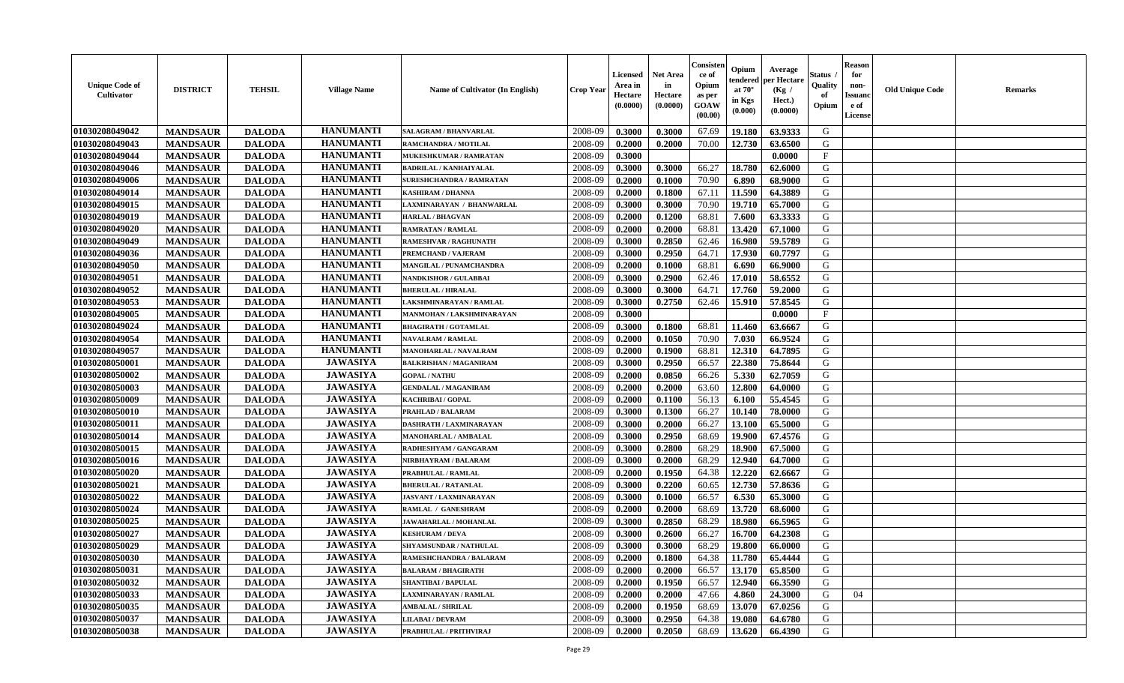| <b>Unique Code of</b><br><b>Cultivator</b> | <b>DISTRICT</b> | <b>TEHSIL</b> | <b>Village Name</b> | Name of Cultivator (In English) | <b>Crop Year</b> | Licensed<br>Area in<br>Hectare<br>(0.0000) | <b>Net Area</b><br>in<br>Hectare<br>(0.0000) | Consisteı<br>ce of<br>Opium<br>as per<br>GOAW<br>(00.00) | Opium<br>endered<br>at $70^\circ$<br>in Kgs<br>(0.000) | Average<br>oer Hectare<br>(Kg /<br>Hect.)<br>(0.0000) | Status<br>Quality<br>of<br>Opium | <b>Reason</b><br>for<br>non-<br>Issuano<br>e of<br>License | <b>Old Unique Code</b> | <b>Remarks</b> |
|--------------------------------------------|-----------------|---------------|---------------------|---------------------------------|------------------|--------------------------------------------|----------------------------------------------|----------------------------------------------------------|--------------------------------------------------------|-------------------------------------------------------|----------------------------------|------------------------------------------------------------|------------------------|----------------|
| 01030208049042                             | <b>MANDSAUR</b> | <b>DALODA</b> | <b>HANUMANTI</b>    | SALAGRAM / BHANVARLAL           | 2008-09          | 0.3000                                     | 0.3000                                       | 67.69                                                    | 19.180                                                 | 63.9333                                               | G                                |                                                            |                        |                |
| 01030208049043                             | <b>MANDSAUR</b> | <b>DALODA</b> | <b>HANUMANTI</b>    | RAMCHANDRA / MOTILAL            | 2008-09          | 0.2000                                     | 0.2000                                       | 70.00                                                    | 12.730                                                 | 63.6500                                               | G                                |                                                            |                        |                |
| 01030208049044                             | <b>MANDSAUR</b> | <b>DALODA</b> | <b>HANUMANTI</b>    | MUKESHKUMAR / RAMRATAN          | 2008-09          | 0.3000                                     |                                              |                                                          |                                                        | 0.0000                                                | $\mathbf{F}$                     |                                                            |                        |                |
| 01030208049046                             | <b>MANDSAUR</b> | <b>DALODA</b> | <b>HANUMANTI</b>    | <b>BADRILAL / KANHAIYALAL</b>   | 2008-09          | 0.3000                                     | 0.3000                                       | 66.27                                                    | 18.780                                                 | 62.6000                                               | G                                |                                                            |                        |                |
| 01030208049006                             | <b>MANDSAUR</b> | <b>DALODA</b> | <b>HANUMANTI</b>    | <b>SURESHCHANDRA / RAMRATAN</b> | 2008-09          | 0.2000                                     | 0.1000                                       | 70.90                                                    | 6.890                                                  | 68.9000                                               | G                                |                                                            |                        |                |
| 01030208049014                             | <b>MANDSAUR</b> | <b>DALODA</b> | <b>HANUMANTI</b>    | KASHIRAM / DHANNA               | 2008-09          | 0.2000                                     | 0.1800                                       | 67.11                                                    | 11.590                                                 | 64.3889                                               | G                                |                                                            |                        |                |
| 01030208049015                             | <b>MANDSAUR</b> | <b>DALODA</b> | <b>HANUMANTI</b>    | LAXMINARAYAN / BHANWARLAL       | 2008-09          | 0.3000                                     | 0.3000                                       | 70.90                                                    | 19.710                                                 | 65.7000                                               | G                                |                                                            |                        |                |
| 01030208049019                             | <b>MANDSAUR</b> | <b>DALODA</b> | <b>HANUMANTI</b>    | <b>HARLAL / BHAGVAN</b>         | 2008-09          | 0.2000                                     | 0.1200                                       | 68.81                                                    | 7.600                                                  | 63.3333                                               | G                                |                                                            |                        |                |
| 01030208049020                             | <b>MANDSAUR</b> | <b>DALODA</b> | <b>HANUMANTI</b>    | <b>RAMRATAN / RAMLAL</b>        | 2008-09          | 0.2000                                     | 0.2000                                       | 68.81                                                    | 13.420                                                 | 67.1000                                               | G                                |                                                            |                        |                |
| 01030208049049                             | <b>MANDSAUR</b> | <b>DALODA</b> | <b>HANUMANTI</b>    | <b>RAMESHVAR / RAGHUNATH</b>    | 2008-09          | 0.3000                                     | 0.2850                                       | 62.46                                                    | 16.980                                                 | 59.5789                                               | G                                |                                                            |                        |                |
| 01030208049036                             | <b>MANDSAUR</b> | <b>DALODA</b> | <b>HANUMANTI</b>    | <b>PREMCHAND / VAJERAM</b>      | 2008-09          | 0.3000                                     | 0.2950                                       | 64.71                                                    | 17.930                                                 | 60.7797                                               | $\mathbf G$                      |                                                            |                        |                |
| 01030208049050                             | <b>MANDSAUR</b> | <b>DALODA</b> | <b>HANUMANTI</b>    | <b>MANGILAL / PUNAMCHANDRA</b>  | 2008-09          | 0.2000                                     | 0.1000                                       | 68.81                                                    | 6.690                                                  | 66.9000                                               | G                                |                                                            |                        |                |
| 01030208049051                             | <b>MANDSAUR</b> | <b>DALODA</b> | <b>HANUMANTI</b>    | NANDKISHOR / GULABBAI           | 2008-09          | 0.3000                                     | 0.2900                                       | 62.46                                                    | 17.010                                                 | 58.6552                                               | G                                |                                                            |                        |                |
| 01030208049052                             | <b>MANDSAUR</b> | <b>DALODA</b> | <b>HANUMANTI</b>    | <b>BHERULAL / HIRALAL</b>       | 2008-09          | 0.3000                                     | 0.3000                                       | 64.71                                                    | 17.760                                                 | 59.2000                                               | G                                |                                                            |                        |                |
| 01030208049053                             | <b>MANDSAUR</b> | <b>DALODA</b> | <b>HANUMANTI</b>    | LAKSHMINARAYAN / RAMLAL         | 2008-09          | 0.3000                                     | 0.2750                                       | 62.46                                                    | 15.910                                                 | 57.8545                                               | G                                |                                                            |                        |                |
| 01030208049005                             | <b>MANDSAUR</b> | <b>DALODA</b> | <b>HANUMANTI</b>    | MANMOHAN / LAKSHMINARAYAN       | 2008-09          | 0.3000                                     |                                              |                                                          |                                                        | 0.0000                                                | $\rm F$                          |                                                            |                        |                |
| 01030208049024                             | <b>MANDSAUR</b> | <b>DALODA</b> | <b>HANUMANTI</b>    | <b>BHAGIRATH / GOTAMLAL</b>     | 2008-09          | 0.3000                                     | 0.1800                                       | 68.81                                                    | 11.460                                                 | 63.6667                                               | G                                |                                                            |                        |                |
| 01030208049054                             | <b>MANDSAUR</b> | <b>DALODA</b> | <b>HANUMANTI</b>    | <b>NAVALRAM / RAMLAL</b>        | 2008-09          | 0.2000                                     | 0.1050                                       | 70.90                                                    | 7.030                                                  | 66.9524                                               | G                                |                                                            |                        |                |
| 01030208049057                             | <b>MANDSAUR</b> | <b>DALODA</b> | <b>HANUMANTI</b>    | MANOHARLAL / NAVALRAM           | 2008-09          | 0.2000                                     | 0.1900                                       | 68.81                                                    | 12.310                                                 | 64.7895                                               | G                                |                                                            |                        |                |
| 01030208050001                             | <b>MANDSAUR</b> | <b>DALODA</b> | <b>JAWASIYA</b>     | <b>BALKRISHAN / MAGANIRAM</b>   | 2008-09          | 0.3000                                     | 0.2950                                       | 66.57                                                    | 22.380                                                 | 75.8644                                               | G                                |                                                            |                        |                |
| 01030208050002                             | <b>MANDSAUR</b> | <b>DALODA</b> | <b>JAWASIYA</b>     | <b>GOPAL / NATHU</b>            | 2008-09          | 0.2000                                     | 0.0850                                       | 66.26                                                    | 5.330                                                  | 62.7059                                               | G                                |                                                            |                        |                |
| 01030208050003                             | <b>MANDSAUR</b> | <b>DALODA</b> | <b>JAWASIYA</b>     | <b>GENDALAL / MAGANIRAM</b>     | 2008-09          | 0.2000                                     | 0.2000                                       | 63.60                                                    | 12.800                                                 | 64.0000                                               | G                                |                                                            |                        |                |
| 01030208050009                             | <b>MANDSAUR</b> | <b>DALODA</b> | <b>JAWASIYA</b>     | KACHRIBAI / GOPAL               | 2008-09          | 0.2000                                     | 0.1100                                       | 56.13                                                    | 6.100                                                  | 55.4545                                               | G                                |                                                            |                        |                |
| 01030208050010                             | <b>MANDSAUR</b> | <b>DALODA</b> | <b>JAWASIYA</b>     | PRAHLAD / BALARAM               | 2008-09          | 0.3000                                     | 0.1300                                       | 66.27                                                    | 10.140                                                 | 78.0000                                               | G                                |                                                            |                        |                |
| 01030208050011                             | <b>MANDSAUR</b> | <b>DALODA</b> | <b>JAWASIYA</b>     | DASHRATH / LAXMINARAYAN         | 2008-09          | 0.3000                                     | 0.2000                                       | 66.27                                                    | 13.100                                                 | 65.5000                                               | G                                |                                                            |                        |                |
| 01030208050014                             | <b>MANDSAUR</b> | <b>DALODA</b> | <b>JAWASIYA</b>     | <b>MANOHARLAL / AMBALAL</b>     | 2008-09          | 0.3000                                     | 0.2950                                       | 68.69                                                    | 19.900                                                 | 67.4576                                               | G                                |                                                            |                        |                |
| 01030208050015                             | <b>MANDSAUR</b> | <b>DALODA</b> | <b>JAWASIYA</b>     | RADHESHYAM / GANGARAM           | 2008-09          | 0.3000                                     | 0.2800                                       | 68.29                                                    | 18.900                                                 | 67.5000                                               | G                                |                                                            |                        |                |
| 01030208050016                             | <b>MANDSAUR</b> | <b>DALODA</b> | <b>JAWASIYA</b>     | NIRBHAYRAM / BALARAM            | 2008-09          | 0.3000                                     | 0.2000                                       | 68.29                                                    | 12.940                                                 | 64.7000                                               | G                                |                                                            |                        |                |
| 01030208050020                             | <b>MANDSAUR</b> | <b>DALODA</b> | <b>JAWASIYA</b>     | PRABHULAL / RAMLAL              | 2008-09          | 0.2000                                     | 0.1950                                       | 64.38                                                    | 12.220                                                 | 62.6667                                               | G                                |                                                            |                        |                |
| 01030208050021                             | <b>MANDSAUR</b> | <b>DALODA</b> | <b>JAWASIYA</b>     | <b>BHERULAL / RATANLAL</b>      | 2008-09          | 0.3000                                     | 0.2200                                       | 60.65                                                    | 12.730                                                 | 57.8636                                               | G                                |                                                            |                        |                |
| 01030208050022                             | <b>MANDSAUR</b> | <b>DALODA</b> | <b>JAWASIYA</b>     | <b>JASVANT / LAXMINARAYAN</b>   | 2008-09          | 0.3000                                     | 0.1000                                       | 66.57                                                    | 6.530                                                  | 65.3000                                               | ${\bf G}$                        |                                                            |                        |                |
| 01030208050024                             | <b>MANDSAUR</b> | <b>DALODA</b> | <b>JAWASIYA</b>     | RAMLAL / GANESHRAM              | 2008-09          | 0.2000                                     | 0.2000                                       | 68.69                                                    | 13.720                                                 | 68.6000                                               | G                                |                                                            |                        |                |
| 01030208050025                             | <b>MANDSAUR</b> | <b>DALODA</b> | <b>JAWASIYA</b>     | JAWAHARLAL / MOHANLAL           | 2008-09          | 0.3000                                     | 0.2850                                       | 68.29                                                    | 18.980                                                 | 66.5965                                               | G                                |                                                            |                        |                |
| 01030208050027                             | <b>MANDSAUR</b> | <b>DALODA</b> | <b>JAWASIYA</b>     | <b>KESHURAM / DEVA</b>          | 2008-09          | 0.3000                                     | 0.2600                                       | 66.27                                                    | 16.700                                                 | 64.2308                                               | G                                |                                                            |                        |                |
| 01030208050029                             | <b>MANDSAUR</b> | <b>DALODA</b> | <b>JAWASIYA</b>     | SHYAMSUNDAR / NATHULAL          | 2008-09          | 0.3000                                     | 0.3000                                       | 68.29                                                    | 19.800                                                 | 66.0000                                               | G                                |                                                            |                        |                |
| 01030208050030                             | <b>MANDSAUR</b> | <b>DALODA</b> | <b>JAWASIYA</b>     | RAMESHCHANDRA / BALARAM         | 2008-09          | 0.2000                                     | 0.1800                                       | 64.38                                                    | 11.780                                                 | 65.4444                                               | G                                |                                                            |                        |                |
| 01030208050031                             | <b>MANDSAUR</b> | <b>DALODA</b> | <b>JAWASIYA</b>     | <b>BALARAM / BHAGIRATH</b>      | 2008-09          | 0.2000                                     | 0.2000                                       | 66.57                                                    | 13.170                                                 | 65.8500                                               | G                                |                                                            |                        |                |
| 01030208050032                             | <b>MANDSAUR</b> | <b>DALODA</b> | <b>JAWASIYA</b>     | <b>SHANTIBAI / BAPULAL</b>      | 2008-09          | 0.2000                                     | 0.1950                                       | 66.57                                                    | 12.940                                                 | 66.3590                                               | G                                |                                                            |                        |                |
| 01030208050033                             | <b>MANDSAUR</b> | <b>DALODA</b> | <b>JAWASIYA</b>     | LAXMINARAYAN / RAMLAL           | 2008-09          | 0.2000                                     | 0.2000                                       | 47.66                                                    | 4.860                                                  | 24.3000                                               | G                                | 04                                                         |                        |                |
| 01030208050035                             | <b>MANDSAUR</b> | <b>DALODA</b> | <b>JAWASIYA</b>     | <b>AMBALAL / SHRILAL</b>        | 2008-09          | 0.2000                                     | 0.1950                                       | 68.69                                                    | 13.070                                                 | 67.0256                                               | G                                |                                                            |                        |                |
| 01030208050037                             | <b>MANDSAUR</b> | <b>DALODA</b> | <b>JAWASIYA</b>     | <b>LILABAI/DEVRAM</b>           | 2008-09          | 0.3000                                     | 0.2950                                       | 64.38                                                    | 19.080                                                 | 64.6780                                               | G                                |                                                            |                        |                |
| 01030208050038                             | <b>MANDSAUR</b> | <b>DALODA</b> | <b>JAWASIYA</b>     | PRABHULAL / PRITHVIRAJ          | 2008-09          | 0.2000                                     | 0.2050                                       | 68.69                                                    | 13.620                                                 | 66.4390                                               | G                                |                                                            |                        |                |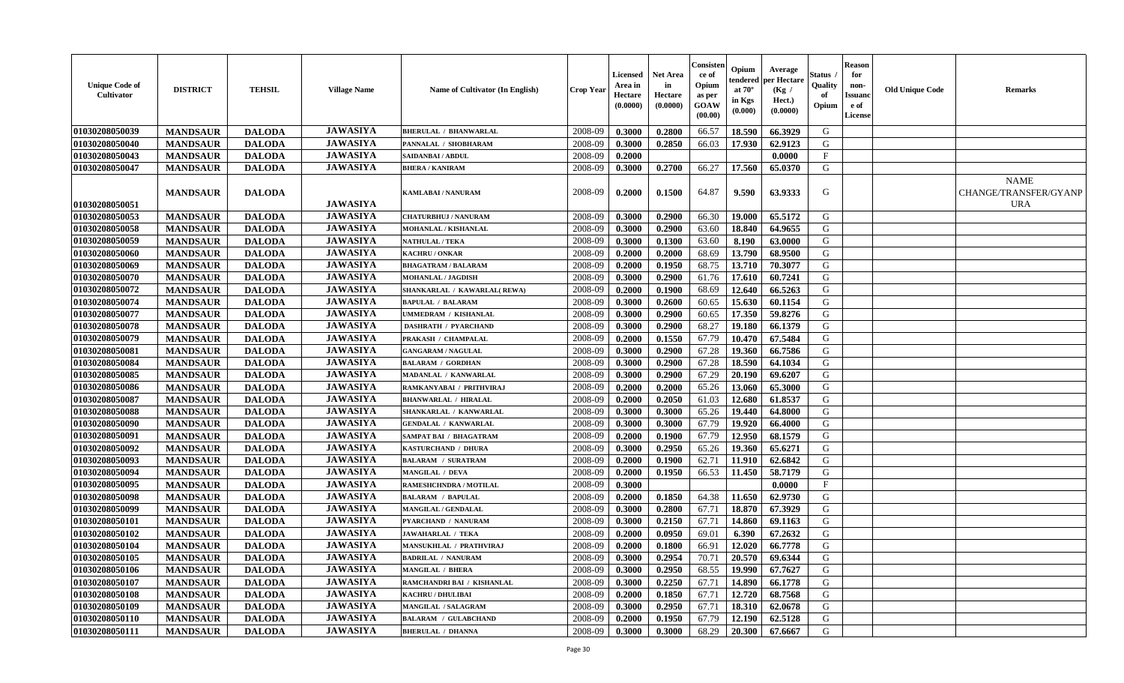| <b>Unique Code of</b><br>Cultivator | <b>DISTRICT</b> | <b>TEHSIL</b> | <b>Village Name</b> | Name of Cultivator (In English) | <b>Crop Year</b> | Licensed<br>Area in<br>Hectare<br>(0.0000) | <b>Net Area</b><br>in<br>Hectare<br>(0.0000) | Consisten<br>ce of<br>Opium<br>as per<br>GOAW<br>(00.00) | Opium<br>tendered<br>at $70^\circ$<br>in Kgs<br>(0.000) | Average<br>per Hectare<br>(Kg /<br>Hect.)<br>(0.0000) | Status<br>Quality<br>of<br>Opium | <b>Reason</b><br>for<br>non-<br><b>Issuand</b><br>e of<br><b>License</b> | <b>Old Unique Code</b> | <b>Remarks</b>                                     |
|-------------------------------------|-----------------|---------------|---------------------|---------------------------------|------------------|--------------------------------------------|----------------------------------------------|----------------------------------------------------------|---------------------------------------------------------|-------------------------------------------------------|----------------------------------|--------------------------------------------------------------------------|------------------------|----------------------------------------------------|
| 01030208050039                      | <b>MANDSAUR</b> | <b>DALODA</b> | <b>JAWASIYA</b>     | <b>BHERULAL / BHANWARLAL</b>    | 2008-09          | 0.3000                                     | 0.2800                                       | 66.57                                                    | 18.590                                                  | 66.3929                                               | G                                |                                                                          |                        |                                                    |
| 01030208050040                      | <b>MANDSAUR</b> | <b>DALODA</b> | <b>JAWASIYA</b>     | PANNALAL / SHOBHARAM            | 2008-09          | 0.3000                                     | 0.2850                                       | 66.03                                                    | 17.930                                                  | 62.9123                                               | G                                |                                                                          |                        |                                                    |
| 01030208050043                      | <b>MANDSAUR</b> | <b>DALODA</b> | <b>JAWASIYA</b>     | SAIDANBAI / ABDUL               | 2008-09          | 0.2000                                     |                                              |                                                          |                                                         | 0.0000                                                | $\mathbf{F}$                     |                                                                          |                        |                                                    |
| 01030208050047                      | <b>MANDSAUR</b> | <b>DALODA</b> | <b>JAWASIYA</b>     | <b>BHERA / KANIRAM</b>          | 2008-09          | 0.3000                                     | 0.2700                                       | 66.27                                                    | 17.560                                                  | 65.0370                                               | G                                |                                                                          |                        |                                                    |
| 01030208050051                      | <b>MANDSAUR</b> | <b>DALODA</b> | <b>JAWASIYA</b>     | <b>KAMLABAI/NANURAM</b>         | 2008-09          | 0.2000                                     | 0.1500                                       | 64.87                                                    | 9.590                                                   | 63.9333                                               | G                                |                                                                          |                        | <b>NAME</b><br>CHANGE/TRANSFER/GYANP<br><b>URA</b> |
| 01030208050053                      | <b>MANDSAUR</b> | <b>DALODA</b> | <b>JAWASIYA</b>     | <b>CHATURBHUJ / NANURAM</b>     | 2008-09          | 0.3000                                     | 0.2900                                       | 66.30                                                    | 19.000                                                  | 65.5172                                               | G                                |                                                                          |                        |                                                    |
| 01030208050058                      | <b>MANDSAUR</b> | <b>DALODA</b> | <b>JAWASIYA</b>     | <b>MOHANLAL / KISHANLAL</b>     | 2008-09          | 0.3000                                     | 0.2900                                       | 63.60                                                    | 18.840                                                  | 64.9655                                               | G                                |                                                                          |                        |                                                    |
| 01030208050059                      | <b>MANDSAUR</b> | <b>DALODA</b> | <b>JAWASIYA</b>     | <b>NATHULAL / TEKA</b>          | 2008-09          | 0.3000                                     | 0.1300                                       | 63.60                                                    | 8.190                                                   | 63.0000                                               | G                                |                                                                          |                        |                                                    |
| 01030208050060                      | <b>MANDSAUR</b> | <b>DALODA</b> | <b>JAWASIYA</b>     | KACHRU / ONKAR                  | 2008-09          | 0.2000                                     | 0.2000                                       | 68.69                                                    | 13.790                                                  | 68.9500                                               | G                                |                                                                          |                        |                                                    |
| 01030208050069                      | <b>MANDSAUR</b> | <b>DALODA</b> | <b>JAWASIYA</b>     | <b>BHAGATRAM / BALARAM</b>      | 2008-09          | 0.2000                                     | 0.1950                                       | 68.75                                                    | 13.710                                                  | 70.3077                                               | G                                |                                                                          |                        |                                                    |
| 01030208050070                      | <b>MANDSAUR</b> | <b>DALODA</b> | <b>JAWASIYA</b>     | <b>MOHANLAL / JAGDISH</b>       | 2008-09          | 0.3000                                     | 0.2900                                       | 61.76                                                    | 17.610                                                  | 60.7241                                               | G                                |                                                                          |                        |                                                    |
| 01030208050072                      | <b>MANDSAUR</b> | <b>DALODA</b> | <b>JAWASIYA</b>     | SHANKARLAL / KAWARLAL(REWA)     | 2008-09          | 0.2000                                     | 0.1900                                       | 68.69                                                    | 12.640                                                  | 66.5263                                               | G                                |                                                                          |                        |                                                    |
| 01030208050074                      | <b>MANDSAUR</b> | <b>DALODA</b> | <b>JAWASIYA</b>     | <b>BAPULAL / BALARAM</b>        | 2008-09          | 0.3000                                     | 0.2600                                       | 60.65                                                    | 15.630                                                  | 60.1154                                               | G                                |                                                                          |                        |                                                    |
| 01030208050077                      | <b>MANDSAUR</b> | <b>DALODA</b> | <b>JAWASIYA</b>     | UMMEDRAM / KISHANLAL            | 2008-09          | 0.3000                                     | 0.2900                                       | 60.65                                                    | 17.350                                                  | 59.8276                                               | G                                |                                                                          |                        |                                                    |
| 01030208050078                      | <b>MANDSAUR</b> | <b>DALODA</b> | <b>JAWASIYA</b>     | <b>DASHRATH / PYARCHAND</b>     | 2008-09          | 0.3000                                     | 0.2900                                       | 68.27                                                    | 19.180                                                  | 66.1379                                               | G                                |                                                                          |                        |                                                    |
| 01030208050079                      | <b>MANDSAUR</b> | <b>DALODA</b> | <b>JAWASIYA</b>     | PRAKASH / CHAMPALAL             | 2008-09          | 0.2000                                     | 0.1550                                       | 67.79                                                    | 10.470                                                  | 67.5484                                               | G                                |                                                                          |                        |                                                    |
| 01030208050081                      | <b>MANDSAUR</b> | <b>DALODA</b> | <b>JAWASIYA</b>     | <b>GANGARAM / NAGULAL</b>       | 2008-09          | 0.3000                                     | 0.2900                                       | 67.28                                                    | 19.360                                                  | 66.7586                                               | G                                |                                                                          |                        |                                                    |
| 01030208050084                      | <b>MANDSAUR</b> | <b>DALODA</b> | <b>JAWASIYA</b>     | <b>BALARAM / GORDHAN</b>        | 2008-09          | 0.3000                                     | 0.2900                                       | 67.28                                                    | 18.590                                                  | 64.1034                                               | $\mathbf G$                      |                                                                          |                        |                                                    |
| 01030208050085                      | <b>MANDSAUR</b> | <b>DALODA</b> | <b>JAWASIYA</b>     | MADANLAL / KANWARLAL            | 2008-09          | 0.3000                                     | 0.2900                                       | 67.29                                                    | 20.190                                                  | 69.6207                                               | G                                |                                                                          |                        |                                                    |
| 01030208050086                      | <b>MANDSAUR</b> | <b>DALODA</b> | <b>JAWASIYA</b>     | RAMKANYABAI / PRITHVIRAJ        | 2008-09          | 0.2000                                     | 0.2000                                       | 65.26                                                    | 13.060                                                  | 65.3000                                               | G                                |                                                                          |                        |                                                    |
| 01030208050087                      | <b>MANDSAUR</b> | <b>DALODA</b> | <b>JAWASIYA</b>     | <b>BHANWARLAL / HIRALAL</b>     | 2008-09          | 0.2000                                     | 0.2050                                       | 61.03                                                    | 12.680                                                  | 61.8537                                               | G                                |                                                                          |                        |                                                    |
| 01030208050088                      | <b>MANDSAUR</b> | <b>DALODA</b> | <b>JAWASIYA</b>     | SHANKARLAL / KANWARLAL          | 2008-09          | 0.3000                                     | 0.3000                                       | 65.26                                                    | 19.440                                                  | 64.8000                                               | G                                |                                                                          |                        |                                                    |
| 01030208050090                      | <b>MANDSAUR</b> | <b>DALODA</b> | <b>JAWASIYA</b>     | <b>GENDALAL / KANWARLAL</b>     | 2008-09          | 0.3000                                     | 0.3000                                       | 67.79                                                    | 19.920                                                  | 66.4000                                               | G                                |                                                                          |                        |                                                    |
| 01030208050091                      | <b>MANDSAUR</b> | <b>DALODA</b> | <b>JAWASIYA</b>     | <b>SAMPAT BAI / BHAGATRAM</b>   | 2008-09          | 0.2000                                     | 0.1900                                       | 67.79                                                    | 12.950                                                  | 68.1579                                               | G                                |                                                                          |                        |                                                    |
| 01030208050092                      | <b>MANDSAUR</b> | <b>DALODA</b> | <b>JAWASIYA</b>     | KASTURCHAND / DHURA             | 2008-09          | 0.3000                                     | 0.2950                                       | 65.26                                                    | 19.360                                                  | 65.6271                                               | G                                |                                                                          |                        |                                                    |
| 01030208050093                      | <b>MANDSAUR</b> | <b>DALODA</b> | <b>JAWASIYA</b>     | <b>BALARAM / SURATRAM</b>       | 2008-09          | 0.2000                                     | 0.1900                                       | 62.71                                                    | 11.910                                                  | 62.6842                                               | G                                |                                                                          |                        |                                                    |
| 01030208050094                      | <b>MANDSAUR</b> | <b>DALODA</b> | <b>JAWASIYA</b>     | MANGILAL / DEVA                 | 2008-09          | 0.2000                                     | 0.1950                                       | 66.53                                                    | 11.450                                                  | 58.7179                                               | G                                |                                                                          |                        |                                                    |
| 01030208050095                      | <b>MANDSAUR</b> | <b>DALODA</b> | <b>JAWASIYA</b>     | RAMESHCHNDRA / MOTILAL          | 2008-09          | 0.3000                                     |                                              |                                                          |                                                         | 0.0000                                                | $\mathbf{F}$                     |                                                                          |                        |                                                    |
| 01030208050098                      | <b>MANDSAUR</b> | <b>DALODA</b> | <b>JAWASIYA</b>     | <b>BALARAM / BAPULAL</b>        | 2008-09          | 0.2000                                     | 0.1850                                       | 64.38                                                    | 11.650                                                  | 62.9730                                               | G                                |                                                                          |                        |                                                    |
| 01030208050099                      | <b>MANDSAUR</b> | <b>DALODA</b> | <b>JAWASIYA</b>     | <b>MANGILAL / GENDALAL</b>      | 2008-09          | 0.3000                                     | 0.2800                                       | 67.71                                                    | 18.870                                                  | 67.3929                                               | $\mathbf G$                      |                                                                          |                        |                                                    |
| 01030208050101                      | <b>MANDSAUR</b> | <b>DALODA</b> | <b>JAWASIYA</b>     | PYARCHAND / NANURAM             | 2008-09          | 0.3000                                     | 0.2150                                       | 67.71                                                    | 14.860                                                  | 69.1163                                               | G                                |                                                                          |                        |                                                    |
| 01030208050102                      | <b>MANDSAUR</b> | <b>DALODA</b> | <b>JAWASIYA</b>     | <b>JAWAHARLAL / TEKA</b>        | 2008-09          | 0.2000                                     | 0.0950                                       | 69.01                                                    | 6.390                                                   | 67.2632                                               | G                                |                                                                          |                        |                                                    |
| 01030208050104                      | <b>MANDSAUR</b> | <b>DALODA</b> | <b>JAWASIYA</b>     | MANSUKHLAL / PRATHVIRAJ         | 2008-09          | 0.2000                                     | 0.1800                                       | 66.91                                                    | 12.020                                                  | 66.7778                                               | G                                |                                                                          |                        |                                                    |
| 01030208050105                      | <b>MANDSAUR</b> | <b>DALODA</b> | <b>JAWASIYA</b>     | <b>BADRILAL / NANURAM</b>       | 2008-09          | 0.3000                                     | 0.2954                                       | 70.71                                                    | 20.570                                                  | 69.6344                                               | G                                |                                                                          |                        |                                                    |
| 01030208050106                      | <b>MANDSAUR</b> | <b>DALODA</b> | <b>JAWASIYA</b>     | <b>MANGILAL / BHERA</b>         | 2008-09          | 0.3000                                     | 0.2950                                       | 68.55                                                    | 19.990                                                  | 67.7627                                               | G                                |                                                                          |                        |                                                    |
| 01030208050107                      | <b>MANDSAUR</b> | <b>DALODA</b> | <b>JAWASIYA</b>     | RAMCHANDRI BAI / KISHANLAL      | 2008-09          | 0.3000                                     | 0.2250                                       | 67.71                                                    | 14.890                                                  | 66.1778                                               | G                                |                                                                          |                        |                                                    |
| 01030208050108                      | <b>MANDSAUR</b> | <b>DALODA</b> | <b>JAWASIYA</b>     | <b>KACHRU / DHULIBAI</b>        | 2008-09          | 0.2000                                     | 0.1850                                       | 67.71                                                    | 12.720                                                  | 68.7568                                               | G                                |                                                                          |                        |                                                    |
| 01030208050109                      | <b>MANDSAUR</b> | <b>DALODA</b> | <b>JAWASIYA</b>     | <b>MANGILAL / SALAGRAM</b>      | 2008-09          | 0.3000                                     | 0.2950                                       | 67.71                                                    | 18.310                                                  | 62.0678                                               | $\mathbf G$                      |                                                                          |                        |                                                    |
| 01030208050110                      | <b>MANDSAUR</b> | <b>DALODA</b> | <b>JAWASIYA</b>     | <b>BALARAM / GULABCHAND</b>     | 2008-09          | 0.2000                                     | 0.1950                                       | 67.79                                                    | 12.190                                                  | 62.5128                                               | G                                |                                                                          |                        |                                                    |
| 01030208050111                      | <b>MANDSAUR</b> | <b>DALODA</b> | <b>JAWASIYA</b>     | <b>BHERULAL / DHANNA</b>        | 2008-09          | 0.3000                                     | 0.3000                                       | 68.29                                                    | 20.300                                                  | 67.6667                                               | G                                |                                                                          |                        |                                                    |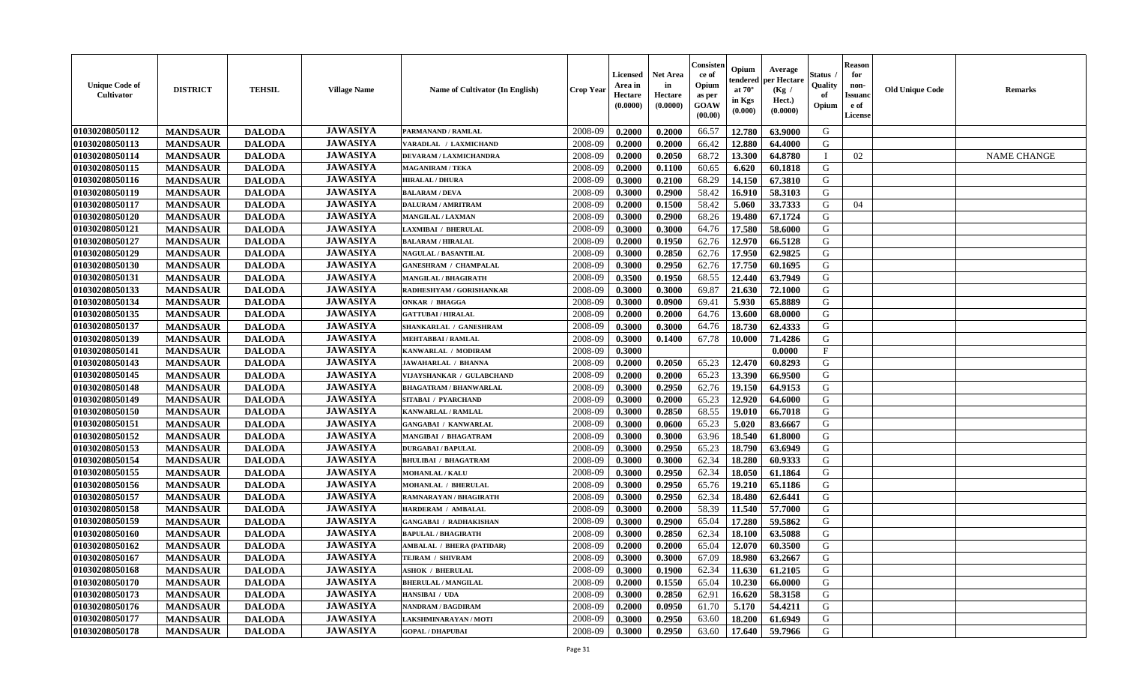| <b>Unique Code of</b><br><b>Cultivator</b> | <b>DISTRICT</b> | <b>TEHSIL</b> | <b>Village Name</b> | Name of Cultivator (In English)  | <b>Crop Year</b> | <b>Licensed</b><br>Area in<br>Hectare<br>(0.0000) | <b>Net Area</b><br>in<br>Hectare<br>(0.0000) | Consister<br>ce of<br>Opium<br>as per<br><b>GOAW</b><br>(00.00) | Opium<br>endered<br>at $70^\circ$<br>in Kgs<br>(0.000) | Average<br>per Hectare<br>(Kg /<br>Hect.)<br>(0.0000) | Status<br>Quality<br>of<br>Opium | <b>Reason</b><br>for<br>non-<br><b>Issuand</b><br>e of<br><b>License</b> | <b>Old Unique Code</b> | <b>Remarks</b>     |
|--------------------------------------------|-----------------|---------------|---------------------|----------------------------------|------------------|---------------------------------------------------|----------------------------------------------|-----------------------------------------------------------------|--------------------------------------------------------|-------------------------------------------------------|----------------------------------|--------------------------------------------------------------------------|------------------------|--------------------|
| 01030208050112                             | <b>MANDSAUR</b> | <b>DALODA</b> | <b>JAWASIYA</b>     | PARMANAND / RAMLAL               | 2008-09          | 0.2000                                            | 0.2000                                       | 66.57                                                           | 12.780                                                 | 63.9000                                               | G                                |                                                                          |                        |                    |
| 01030208050113                             | <b>MANDSAUR</b> | <b>DALODA</b> | <b>JAWASIYA</b>     | VARADLAL / LAXMICHAND            | 2008-09          | 0.2000                                            | 0.2000                                       | 66.42                                                           | 12.880                                                 | 64.4000                                               | G                                |                                                                          |                        |                    |
| 01030208050114                             | <b>MANDSAUR</b> | <b>DALODA</b> | <b>JAWASIYA</b>     | DEVARAM / LAXMICHANDRA           | 2008-09          | 0.2000                                            | 0.2050                                       | 68.72                                                           | 13.300                                                 | 64.8780                                               | п                                | 02                                                                       |                        | <b>NAME CHANGE</b> |
| 01030208050115                             | <b>MANDSAUR</b> | <b>DALODA</b> | <b>JAWASIYA</b>     | <b>MAGANIRAM / TEKA</b>          | 2008-09          | 0.2000                                            | 0.1100                                       | 60.65                                                           | 6.620                                                  | 60.1818                                               | G                                |                                                                          |                        |                    |
| 01030208050116                             | <b>MANDSAUR</b> | <b>DALODA</b> | <b>JAWASIYA</b>     | <b>HIRALAL / DHURA</b>           | 2008-09          | 0.3000                                            | 0.2100                                       | 68.29                                                           | 14.150                                                 | 67.3810                                               | G                                |                                                                          |                        |                    |
| 01030208050119                             | <b>MANDSAUR</b> | <b>DALODA</b> | <b>JAWASIYA</b>     | <b>BALARAM / DEVA</b>            | 2008-09          | 0.3000                                            | 0.2900                                       | 58.42                                                           | 16.910                                                 | 58.3103                                               | G                                |                                                                          |                        |                    |
| 01030208050117                             | <b>MANDSAUR</b> | <b>DALODA</b> | <b>JAWASIYA</b>     | <b>DALURAM / AMRITRAM</b>        | 2008-09          | 0.2000                                            | 0.1500                                       | 58.42                                                           | 5.060                                                  | 33.7333                                               | G                                | 04                                                                       |                        |                    |
| 01030208050120                             | <b>MANDSAUR</b> | <b>DALODA</b> | <b>JAWASIYA</b>     | <b>MANGILAL / LAXMAN</b>         | 2008-09          | 0.3000                                            | 0.2900                                       | 68.26                                                           | 19.480                                                 | 67.1724                                               | G                                |                                                                          |                        |                    |
| 01030208050121                             | <b>MANDSAUR</b> | <b>DALODA</b> | <b>JAWASIYA</b>     | <b>LAXMIBAI / BHERULAL</b>       | 2008-09          | 0.3000                                            | 0.3000                                       | 64.76                                                           | 17.580                                                 | 58.6000                                               | G                                |                                                                          |                        |                    |
| 01030208050127                             | <b>MANDSAUR</b> | <b>DALODA</b> | <b>JAWASIYA</b>     | <b>BALARAM / HIRALAL</b>         | 2008-09          | 0.2000                                            | 0.1950                                       | 62.76                                                           | 12.970                                                 | 66.5128                                               | G                                |                                                                          |                        |                    |
| 01030208050129                             | <b>MANDSAUR</b> | <b>DALODA</b> | <b>JAWASIYA</b>     | <b>NAGULAL / BASANTILAL</b>      | 2008-09          | 0.3000                                            | 0.2850                                       | 62.76                                                           | 17.950                                                 | 62.9825                                               | G                                |                                                                          |                        |                    |
| 01030208050130                             | <b>MANDSAUR</b> | <b>DALODA</b> | <b>JAWASIYA</b>     | <b>GANESHRAM / CHAMPALAL</b>     | 2008-09          | 0.3000                                            | 0.2950                                       | 62.76                                                           | 17.750                                                 | 60.1695                                               | G                                |                                                                          |                        |                    |
| 01030208050131                             | <b>MANDSAUR</b> | <b>DALODA</b> | <b>JAWASIYA</b>     | <b>MANGILAL / BHAGIRATH</b>      | 2008-09          | 0.3500                                            | 0.1950                                       | 68.55                                                           | 12.440                                                 | 63.7949                                               | G                                |                                                                          |                        |                    |
| 01030208050133                             | <b>MANDSAUR</b> | <b>DALODA</b> | <b>JAWASIYA</b>     | RADHESHYAM / GORISHANKAR         | 2008-09          | 0.3000                                            | 0.3000                                       | 69.87                                                           | 21.630                                                 | 72.1000                                               | G                                |                                                                          |                        |                    |
| 01030208050134                             | <b>MANDSAUR</b> | <b>DALODA</b> | <b>JAWASIYA</b>     | <b>ONKAR / BHAGGA</b>            | 2008-09          | 0.3000                                            | 0.0900                                       | 69.41                                                           | 5.930                                                  | 65.8889                                               | ${\bf G}$                        |                                                                          |                        |                    |
| 01030208050135                             | <b>MANDSAUR</b> | <b>DALODA</b> | <b>JAWASIYA</b>     | <b>GATTUBAI/HIRALAL</b>          | 2008-09          | 0.2000                                            | 0.2000                                       | 64.76                                                           | 13.600                                                 | 68.0000                                               | G                                |                                                                          |                        |                    |
| 01030208050137                             | <b>MANDSAUR</b> | <b>DALODA</b> | <b>JAWASIYA</b>     | SHANKARLAL / GANESHRAM           | 2008-09          | 0.3000                                            | 0.3000                                       | 64.76                                                           | 18.730                                                 | 62.4333                                               | G                                |                                                                          |                        |                    |
| 01030208050139                             | <b>MANDSAUR</b> | <b>DALODA</b> | <b>JAWASIYA</b>     | <b>MEHTABBAI/RAMLAL</b>          | 2008-09          | 0.3000                                            | 0.1400                                       | 67.78                                                           | 10.000                                                 | 71.4286                                               | G                                |                                                                          |                        |                    |
| 01030208050141                             | <b>MANDSAUR</b> | <b>DALODA</b> | <b>JAWASIYA</b>     | KANWARLAL / MODIRAM              | 2008-09          | 0.3000                                            |                                              |                                                                 |                                                        | 0.0000                                                | $\mathbf{F}$                     |                                                                          |                        |                    |
| 01030208050143                             | <b>MANDSAUR</b> | <b>DALODA</b> | <b>JAWASIYA</b>     | <b>JAWAHARLAL / BHANNA</b>       | 2008-09          | 0.2000                                            | 0.2050                                       | 65.23                                                           | 12.470                                                 | 60.8293                                               | G                                |                                                                          |                        |                    |
| 01030208050145                             | <b>MANDSAUR</b> | <b>DALODA</b> | <b>JAWASIYA</b>     | VIJAYSHANKAR / GULABCHAND        | 2008-09          | 0.2000                                            | 0.2000                                       | 65.23                                                           | 13.390                                                 | 66.9500                                               | G                                |                                                                          |                        |                    |
| 01030208050148                             | <b>MANDSAUR</b> | <b>DALODA</b> | <b>JAWASIYA</b>     | <b>BHAGATRAM / BHANWARLAL</b>    | 2008-09          | 0.3000                                            | 0.2950                                       | 62.76                                                           | 19.150                                                 | 64.9153                                               | G                                |                                                                          |                        |                    |
| 01030208050149                             | <b>MANDSAUR</b> | <b>DALODA</b> | <b>JAWASIYA</b>     | SITABAI / PYARCHAND              | 2008-09          | 0.3000                                            | 0.2000                                       | 65.23                                                           | 12.920                                                 | 64.6000                                               | ${\bf G}$                        |                                                                          |                        |                    |
| 01030208050150                             | <b>MANDSAUR</b> | <b>DALODA</b> | <b>JAWASIYA</b>     | KANWARLAL / RAMLAL               | 2008-09          | 0.3000                                            | 0.2850                                       | 68.55                                                           | 19.010                                                 | 66.7018                                               | G                                |                                                                          |                        |                    |
| 01030208050151                             | <b>MANDSAUR</b> | <b>DALODA</b> | <b>JAWASIYA</b>     | <b>GANGABAI / KANWARLAL</b>      | 2008-09          | 0.3000                                            | 0.0600                                       | 65.23                                                           | 5.020                                                  | 83.6667                                               | G                                |                                                                          |                        |                    |
| 01030208050152                             | <b>MANDSAUR</b> | <b>DALODA</b> | <b>JAWASIYA</b>     | MANGIBAI / BHAGATRAM             | 2008-09          | 0.3000                                            | 0.3000                                       | 63.96                                                           | 18.540                                                 | 61.8000                                               | G                                |                                                                          |                        |                    |
| 01030208050153                             | <b>MANDSAUR</b> | <b>DALODA</b> | <b>JAWASIYA</b>     | <b>DURGABAI/BAPULAL</b>          | 2008-09          | 0.3000                                            | 0.2950                                       | 65.23                                                           | 18.790                                                 | 63.6949                                               | G                                |                                                                          |                        |                    |
| 01030208050154                             | <b>MANDSAUR</b> | <b>DALODA</b> | <b>JAWASIYA</b>     | <b>BHULIBAI / BHAGATRAM</b>      | 2008-09          | 0.3000                                            | 0.3000                                       | 62.34                                                           | 18.280                                                 | 60.9333                                               | G                                |                                                                          |                        |                    |
| 01030208050155                             | <b>MANDSAUR</b> | <b>DALODA</b> | <b>JAWASIYA</b>     | <b>MOHANLAL / KALU</b>           | 2008-09          | 0.3000                                            | 0.2950                                       | 62.34                                                           | 18.050                                                 | 61.1864                                               | G                                |                                                                          |                        |                    |
| 01030208050156                             | <b>MANDSAUR</b> | <b>DALODA</b> | <b>JAWASIYA</b>     | <b>MOHANLAL / BHERULAL</b>       | 2008-09          | 0.3000                                            | 0.2950                                       | 65.76                                                           | 19.210                                                 | 65.1186                                               | G                                |                                                                          |                        |                    |
| 01030208050157                             | <b>MANDSAUR</b> | <b>DALODA</b> | <b>JAWASIYA</b>     | RAMNARAYAN / BHAGIRATH           | 2008-09          | 0.3000                                            | 0.2950                                       | 62.34                                                           | 18.480                                                 | 62.6441                                               | $\mathbf G$                      |                                                                          |                        |                    |
| 01030208050158                             | <b>MANDSAUR</b> | <b>DALODA</b> | <b>JAWASIYA</b>     | HARDERAM / AMBALAL               | 2008-09          | 0.3000                                            | 0.2000                                       | 58.39                                                           | 11.540                                                 | 57.7000                                               | G                                |                                                                          |                        |                    |
| 01030208050159                             | <b>MANDSAUR</b> | <b>DALODA</b> | <b>JAWASIYA</b>     | <b>GANGABAI / RADHAKISHAN</b>    | 2008-09          | 0.3000                                            | 0.2900                                       | 65.04                                                           | 17.280                                                 | 59.5862                                               | G                                |                                                                          |                        |                    |
| 01030208050160                             | <b>MANDSAUR</b> | <b>DALODA</b> | <b>JAWASIYA</b>     | <b>BAPULAL / BHAGIRATH</b>       | 2008-09          | 0.3000                                            | 0.2850                                       | 62.34                                                           | 18.100                                                 | 63.5088                                               | G                                |                                                                          |                        |                    |
| 01030208050162                             | <b>MANDSAUR</b> | <b>DALODA</b> | <b>JAWASIYA</b>     | <b>AMBALAL / BHERA (PATIDAR)</b> | 2008-09          | 0.2000                                            | 0.2000                                       | 65.04                                                           | 12.070                                                 | 60.3500                                               | G                                |                                                                          |                        |                    |
| 01030208050167                             | <b>MANDSAUR</b> | <b>DALODA</b> | <b>JAWASIYA</b>     | TEJRAM / SHIVRAM                 | 2008-09          | 0.3000                                            | 0.3000                                       | 67.09                                                           | 18.980                                                 | 63.2667                                               | G                                |                                                                          |                        |                    |
| 01030208050168                             | <b>MANDSAUR</b> | <b>DALODA</b> | <b>JAWASIYA</b>     | <b>ASHOK / BHERULAL</b>          | 2008-09          | 0.3000                                            | 0.1900                                       | 62.34                                                           | 11.630                                                 | 61.2105                                               | G                                |                                                                          |                        |                    |
| 01030208050170                             | <b>MANDSAUR</b> | <b>DALODA</b> | <b>JAWASIYA</b>     | <b>BHERULAL / MANGILAL</b>       | 2008-09          | 0.2000                                            | 0.1550                                       | 65.04                                                           | 10.230                                                 | 66.0000                                               | G                                |                                                                          |                        |                    |
| 01030208050173                             | <b>MANDSAUR</b> | <b>DALODA</b> | <b>JAWASIYA</b>     | HANSIBAI / UDA                   | 2008-09          | 0.3000                                            | 0.2850                                       | 62.91                                                           | 16.620                                                 | 58.3158                                               | G                                |                                                                          |                        |                    |
| 01030208050176                             | <b>MANDSAUR</b> | <b>DALODA</b> | <b>JAWASIYA</b>     | NANDRAM / BAGDIRAM               | 2008-09          | 0.2000                                            | 0.0950                                       | 61.70                                                           | 5.170                                                  | 54.4211                                               | G                                |                                                                          |                        |                    |
| 01030208050177                             | <b>MANDSAUR</b> | <b>DALODA</b> | <b>JAWASIYA</b>     | <b>LAKSHMINARAYAN / MOTI</b>     | 2008-09          | 0.3000                                            | 0.2950                                       | 63.60                                                           | 18.200                                                 | 61.6949                                               | G                                |                                                                          |                        |                    |
| 01030208050178                             | <b>MANDSAUR</b> | <b>DALODA</b> | <b>JAWASIYA</b>     | <b>GOPAL / DHAPUBAI</b>          | 2008-09          | 0.3000                                            | 0.2950                                       | 63.60                                                           | 17.640                                                 | 59.7966                                               | G                                |                                                                          |                        |                    |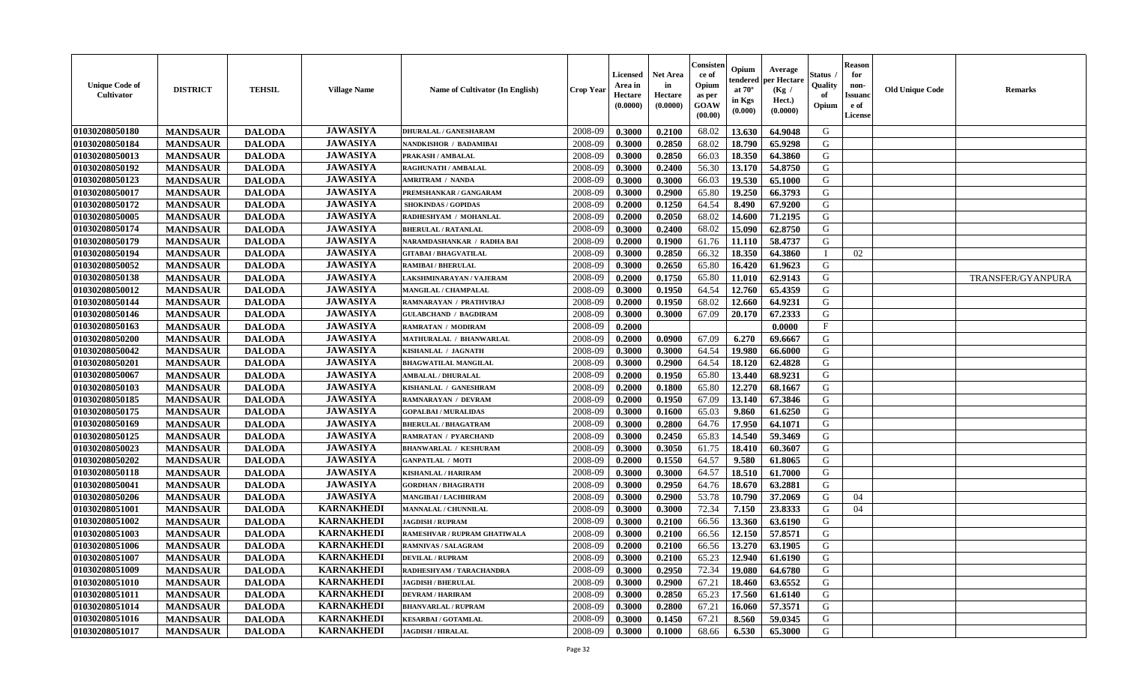| <b>Unique Code of</b><br><b>Cultivator</b> | <b>DISTRICT</b> | <b>TEHSIL</b> | <b>Village Name</b> | Name of Cultivator (In English) | <b>Crop Year</b> | Licensed<br>Area in<br>Hectare<br>(0.0000) | <b>Net Area</b><br>in<br>Hectare<br>(0.0000) | Consisteı<br>ce of<br>Opium<br>as per<br>GOAW<br>(00.00) | Opium<br>endered<br>at $70^\circ$<br>in Kgs<br>(0.000) | Average<br>per Hectare<br>(Kg /<br>Hect.)<br>(0.0000) | Status<br>Quality<br>of<br>Opium | <b>Reason</b><br>for<br>non-<br>Issuano<br>e of<br>License | <b>Old Unique Code</b> | Remarks           |
|--------------------------------------------|-----------------|---------------|---------------------|---------------------------------|------------------|--------------------------------------------|----------------------------------------------|----------------------------------------------------------|--------------------------------------------------------|-------------------------------------------------------|----------------------------------|------------------------------------------------------------|------------------------|-------------------|
| 01030208050180                             | <b>MANDSAUR</b> | <b>DALODA</b> | <b>JAWASIYA</b>     | <b>DHURALAL / GANESHARAM</b>    | 2008-09          | 0.3000                                     | 0.2100                                       | 68.02                                                    | 13.630                                                 | 64.9048                                               | G                                |                                                            |                        |                   |
| 01030208050184                             | <b>MANDSAUR</b> | <b>DALODA</b> | <b>JAWASIYA</b>     | <b>NANDKISHOR / BADAMIBAI</b>   | 2008-09          | 0.3000                                     | 0.2850                                       | 68.02                                                    | 18.790                                                 | 65.9298                                               | G                                |                                                            |                        |                   |
| 01030208050013                             | <b>MANDSAUR</b> | <b>DALODA</b> | <b>JAWASIYA</b>     | PRAKASH / AMBALAL               | 2008-09          | 0.3000                                     | 0.2850                                       | 66.03                                                    | 18.350                                                 | 64.3860                                               | G                                |                                                            |                        |                   |
| 01030208050192                             | <b>MANDSAUR</b> | <b>DALODA</b> | <b>JAWASIYA</b>     | <b>RAGHUNATH / AMBALAL</b>      | 2008-09          | 0.3000                                     | 0.2400                                       | 56.30                                                    | 13.170                                                 | 54.8750                                               | G                                |                                                            |                        |                   |
| 01030208050123                             | <b>MANDSAUR</b> | <b>DALODA</b> | <b>JAWASIYA</b>     | <b>AMRITRAM / NANDA</b>         | 2008-09          | 0.3000                                     | 0.3000                                       | 66.03                                                    | 19.530                                                 | 65.1000                                               | G                                |                                                            |                        |                   |
| 01030208050017                             | <b>MANDSAUR</b> | <b>DALODA</b> | <b>JAWASIYA</b>     | PREMSHANKAR / GANGARAM          | 2008-09          | 0.3000                                     | 0.2900                                       | 65.80                                                    | 19.250                                                 | 66.3793                                               | G                                |                                                            |                        |                   |
| 01030208050172                             | <b>MANDSAUR</b> | <b>DALODA</b> | <b>JAWASIYA</b>     | <b>SHOKINDAS / GOPIDAS</b>      | 2008-09          | 0.2000                                     | 0.1250                                       | 64.54                                                    | 8.490                                                  | 67.9200                                               | G                                |                                                            |                        |                   |
| 01030208050005                             | <b>MANDSAUR</b> | <b>DALODA</b> | <b>JAWASIYA</b>     | RADHESHYAM / MOHANLAL           | 2008-09          | 0.2000                                     | 0.2050                                       | 68.02                                                    | 14.600                                                 | 71.2195                                               | G                                |                                                            |                        |                   |
| 01030208050174                             | <b>MANDSAUR</b> | <b>DALODA</b> | <b>JAWASIYA</b>     | <b>BHERULAL / RATANLAL</b>      | 2008-09          | 0.3000                                     | 0.2400                                       | 68.02                                                    | 15.090                                                 | 62.8750                                               | G                                |                                                            |                        |                   |
| 01030208050179                             | <b>MANDSAUR</b> | <b>DALODA</b> | <b>JAWASIYA</b>     | NARAMDASHANKAR / RADHA BAI      | 2008-09          | 0.2000                                     | 0.1900                                       | 61.76                                                    | 11.110                                                 | 58.4737                                               | G                                |                                                            |                        |                   |
| 01030208050194                             | <b>MANDSAUR</b> | <b>DALODA</b> | <b>JAWASIYA</b>     | <b>GITABAI/BHAGVATILAL</b>      | 2008-09          | 0.3000                                     | 0.2850                                       | 66.32                                                    | 18.350                                                 | 64.3860                                               | $\mathbf{I}$                     | 02                                                         |                        |                   |
| 01030208050052                             | <b>MANDSAUR</b> | <b>DALODA</b> | <b>JAWASIYA</b>     | <b>RAMIBAI / BHERULAL</b>       | 2008-09          | 0.3000                                     | 0.2650                                       | 65.80                                                    | 16.420                                                 | 61.9623                                               | G                                |                                                            |                        |                   |
| 01030208050138                             | <b>MANDSAUR</b> | <b>DALODA</b> | <b>JAWASIYA</b>     | LAKSHMINARAYAN / VAJERAM        | 2008-09          | 0.2000                                     | 0.1750                                       | 65.80                                                    | 11.010                                                 | 62.9143                                               | G                                |                                                            |                        | TRANSFER/GYANPURA |
| 01030208050012                             | <b>MANDSAUR</b> | <b>DALODA</b> | <b>JAWASIYA</b>     | MANGILAL / CHAMPALAL            | 2008-09          | 0.3000                                     | 0.1950                                       | 64.54                                                    | 12.760                                                 | 65.4359                                               | G                                |                                                            |                        |                   |
| 01030208050144                             | <b>MANDSAUR</b> | <b>DALODA</b> | <b>JAWASIYA</b>     | RAMNARAYAN / PRATHVIRAJ         | 2008-09          | 0.2000                                     | 0.1950                                       | 68.02                                                    | 12.660                                                 | 64.9231                                               | $\mathbf G$                      |                                                            |                        |                   |
| 01030208050146                             | <b>MANDSAUR</b> | <b>DALODA</b> | <b>JAWASIYA</b>     | <b>GULABCHAND / BAGDIRAM</b>    | 2008-09          | 0.3000                                     | 0.3000                                       | 67.09                                                    | 20.170                                                 | 67.2333                                               | G                                |                                                            |                        |                   |
| 01030208050163                             | <b>MANDSAUR</b> | <b>DALODA</b> | <b>JAWASIYA</b>     | RAMRATAN / MODIRAM              | 2008-09          | 0.2000                                     |                                              |                                                          |                                                        | 0.0000                                                | $\mathbf{F}$                     |                                                            |                        |                   |
| 01030208050200                             | <b>MANDSAUR</b> | <b>DALODA</b> | <b>JAWASIYA</b>     | MATHURALAL / BHANWARLAL         | 2008-09          | 0.2000                                     | 0.0900                                       | 67.09                                                    | 6.270                                                  | 69.6667                                               | G                                |                                                            |                        |                   |
| 01030208050042                             | <b>MANDSAUR</b> | <b>DALODA</b> | <b>JAWASIYA</b>     | KISHANLAL / JAGNATH             | 2008-09          | 0.3000                                     | 0.3000                                       | 64.54                                                    | 19.980                                                 | 66.6000                                               | G                                |                                                            |                        |                   |
| 01030208050201                             | <b>MANDSAUR</b> | <b>DALODA</b> | <b>JAWASIYA</b>     | <b>BHAGWATILAL MANGILAL</b>     | 2008-09          | 0.3000                                     | 0.2900                                       | 64.54                                                    | 18.120                                                 | 62.4828                                               | G                                |                                                            |                        |                   |
| 01030208050067                             | <b>MANDSAUR</b> | <b>DALODA</b> | <b>JAWASIYA</b>     | <b>AMBALAL / DHURALAL</b>       | 2008-09          | 0.2000                                     | 0.1950                                       | 65.80                                                    | 13.440                                                 | 68.9231                                               | G                                |                                                            |                        |                   |
| 01030208050103                             | <b>MANDSAUR</b> | <b>DALODA</b> | <b>JAWASIYA</b>     | KISHANLAL / GANESHRAM           | 2008-09          | 0.2000                                     | 0.1800                                       | 65.80                                                    | 12.270                                                 | 68.1667                                               | G                                |                                                            |                        |                   |
| 01030208050185                             | <b>MANDSAUR</b> | <b>DALODA</b> | <b>JAWASIYA</b>     | RAMNARAYAN / DEVRAM             | 2008-09          | 0.2000                                     | 0.1950                                       | 67.09                                                    | 13.140                                                 | 67.3846                                               | G                                |                                                            |                        |                   |
| 01030208050175                             | <b>MANDSAUR</b> | <b>DALODA</b> | <b>JAWASIYA</b>     | <b>GOPALBAI/MURALIDAS</b>       | 2008-09          | 0.3000                                     | 0.1600                                       | 65.03                                                    | 9.860                                                  | 61.6250                                               | G                                |                                                            |                        |                   |
| 01030208050169                             | <b>MANDSAUR</b> | <b>DALODA</b> | <b>JAWASIYA</b>     | <b>BHERULAL / BHAGATRAM</b>     | 2008-09          | 0.3000                                     | 0.2800                                       | 64.76                                                    | 17.950                                                 | 64.1071                                               | G                                |                                                            |                        |                   |
| 01030208050125                             | <b>MANDSAUR</b> | <b>DALODA</b> | <b>JAWASIYA</b>     | <b>RAMRATAN / PYARCHAND</b>     | 2008-09          | 0.3000                                     | 0.2450                                       | 65.83                                                    | 14.540                                                 | 59.3469                                               | G                                |                                                            |                        |                   |
| 01030208050023                             | <b>MANDSAUR</b> | <b>DALODA</b> | <b>JAWASIYA</b>     | <b>BHANWARLAL / KESHURAM</b>    | 2008-09          | 0.3000                                     | 0.3050                                       | 61.75                                                    | 18.410                                                 | 60.3607                                               | G                                |                                                            |                        |                   |
| 01030208050202                             | <b>MANDSAUR</b> | <b>DALODA</b> | <b>JAWASIYA</b>     | <b>GANPATLAL / MOTI</b>         | 2008-09          | 0.2000                                     | 0.1550                                       | 64.57                                                    | 9.580                                                  | 61.8065                                               | G                                |                                                            |                        |                   |
| 01030208050118                             | <b>MANDSAUR</b> | <b>DALODA</b> | <b>JAWASIYA</b>     | <b>KISHANLAL / HARIRAM</b>      | 2008-09          | 0.3000                                     | 0.3000                                       | 64.57                                                    | 18.510                                                 | 61.7000                                               | G                                |                                                            |                        |                   |
| 01030208050041                             | <b>MANDSAUR</b> | <b>DALODA</b> | <b>JAWASIYA</b>     | <b>GORDHAN / BHAGIRATH</b>      | 2008-09          | 0.3000                                     | 0.2950                                       | 64.76                                                    | 18.670                                                 | 63.2881                                               | G                                |                                                            |                        |                   |
| 01030208050206                             | <b>MANDSAUR</b> | <b>DALODA</b> | <b>JAWASIYA</b>     | <b>MANGIBAI / LACHHIRAM</b>     | 2008-09          | 0.3000                                     | 0.2900                                       | 53.78                                                    | 10.790                                                 | 37.2069                                               | G                                | 04                                                         |                        |                   |
| 01030208051001                             | <b>MANDSAUR</b> | <b>DALODA</b> | <b>KARNAKHEDI</b>   | MANNALAL / CHUNNILAL            | 2008-09          | 0.3000                                     | 0.3000                                       | 72.34                                                    | 7.150                                                  | 23.8333                                               | G                                | 04                                                         |                        |                   |
| 01030208051002                             | <b>MANDSAUR</b> | <b>DALODA</b> | <b>KARNAKHEDI</b>   | <b>JAGDISH / RUPRAM</b>         | 2008-09          | 0.3000                                     | 0.2100                                       | 66.56                                                    | 13.360                                                 | 63.6190                                               | G                                |                                                            |                        |                   |
| 01030208051003                             | <b>MANDSAUR</b> | <b>DALODA</b> | <b>KARNAKHEDI</b>   | RAMESHVAR / RUPRAM GHATIWALA    | 2008-09          | 0.3000                                     | 0.2100                                       | 66.56                                                    | 12.150                                                 | 57.8571                                               | G                                |                                                            |                        |                   |
| 01030208051006                             | <b>MANDSAUR</b> | <b>DALODA</b> | <b>KARNAKHEDI</b>   | <b>RAMNIVAS / SALAGRAM</b>      | 2008-09          | 0.2000                                     | 0.2100                                       | 66.56                                                    | 13.270                                                 | 63.1905                                               | G                                |                                                            |                        |                   |
| 01030208051007                             | <b>MANDSAUR</b> | <b>DALODA</b> | <b>KARNAKHEDI</b>   | <b>DEVILAL / RUPRAM</b>         | 2008-09          | 0.3000                                     | 0.2100                                       | 65.23                                                    | 12.940                                                 | 61.6190                                               | G                                |                                                            |                        |                   |
| 01030208051009                             | <b>MANDSAUR</b> | <b>DALODA</b> | <b>KARNAKHEDI</b>   | RADHESHYAM / TARACHANDRA        | 2008-09          | 0.3000                                     | 0.2950                                       | 72.34                                                    | 19.080                                                 | 64.6780                                               | G                                |                                                            |                        |                   |
| 01030208051010                             | <b>MANDSAUR</b> | <b>DALODA</b> | <b>KARNAKHEDI</b>   | <b>JAGDISH / BHERULAL</b>       | 2008-09          | 0.3000                                     | 0.2900                                       | 67.21                                                    | 18.460                                                 | 63.6552                                               | G                                |                                                            |                        |                   |
| 01030208051011                             | <b>MANDSAUR</b> | <b>DALODA</b> | <b>KARNAKHEDI</b>   | <b>DEVRAM / HARIRAM</b>         | 2008-09          | 0.3000                                     | 0.2850                                       | 65.23                                                    | 17.560                                                 | 61.6140                                               | G                                |                                                            |                        |                   |
| 01030208051014                             | <b>MANDSAUR</b> | <b>DALODA</b> | <b>KARNAKHEDI</b>   | <b>BHANVARLAL / RUPRAM</b>      | 2008-09          | 0.3000                                     | 0.2800                                       | 67.21                                                    | 16.060                                                 | 57.3571                                               | ${\bf G}$                        |                                                            |                        |                   |
| 01030208051016                             | <b>MANDSAUR</b> | <b>DALODA</b> | <b>KARNAKHEDI</b>   | <b>KESARBAI/GOTAMLAL</b>        | 2008-09          | 0.3000                                     | 0.1450                                       | 67.21                                                    | 8.560                                                  | 59.0345                                               | G                                |                                                            |                        |                   |
| 01030208051017                             | <b>MANDSAUR</b> | <b>DALODA</b> | <b>KARNAKHEDI</b>   | <b>JAGDISH / HIRALAL</b>        | 2008-09          | 0.3000                                     | 0.1000                                       | 68.66                                                    | 6.530                                                  | 65.3000                                               | G                                |                                                            |                        |                   |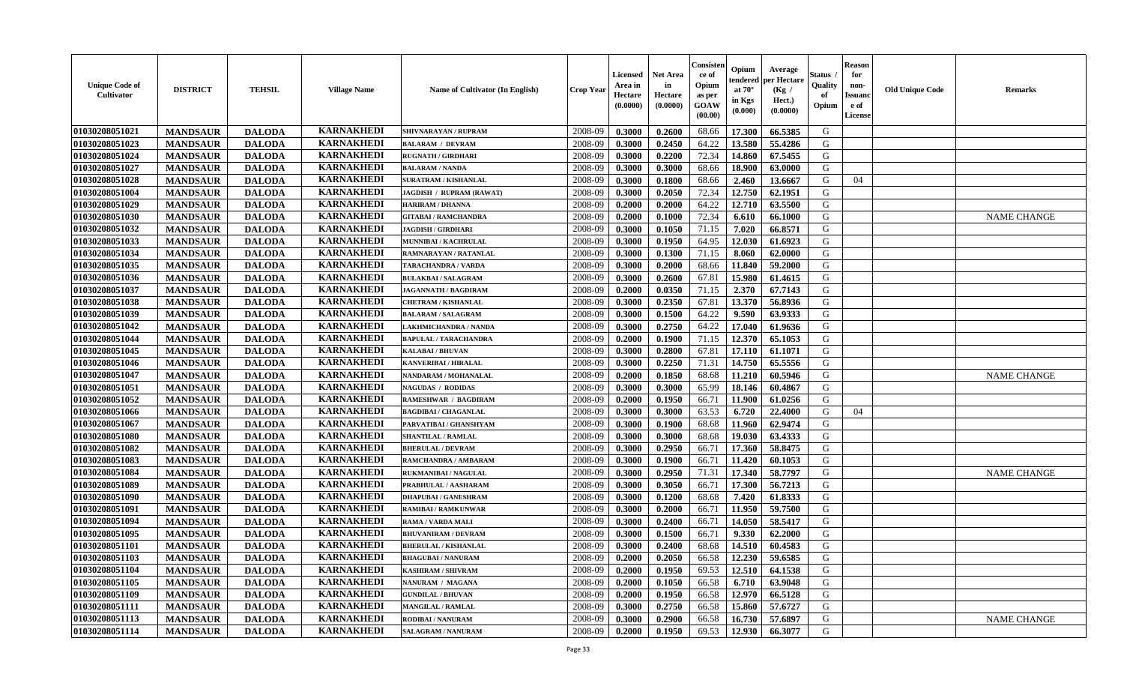| <b>Unique Code of</b><br>Cultivator | <b>DISTRICT</b> | <b>TEHSIL</b> | <b>Village Name</b> | Name of Cultivator (In English) | <b>Crop Year</b> | Licensed<br>Area in<br>Hectare<br>(0.0000) | <b>Net Area</b><br>in<br>Hectare<br>(0.0000) | Consisten<br>ce of<br>Opium<br>as per<br>GOAW<br>(00.00) | Opium<br>tendered<br>at $70^\circ$<br>in Kgs<br>(0.000) | Average<br>per Hectare<br>(Kg /<br>Hect.)<br>(0.0000) | Status<br>Quality<br>of<br>Opium | <b>Reason</b><br>for<br>non-<br>Issuanc<br>e of<br>License | <b>Old Unique Code</b> | <b>Remarks</b>     |
|-------------------------------------|-----------------|---------------|---------------------|---------------------------------|------------------|--------------------------------------------|----------------------------------------------|----------------------------------------------------------|---------------------------------------------------------|-------------------------------------------------------|----------------------------------|------------------------------------------------------------|------------------------|--------------------|
| 01030208051021                      | <b>MANDSAUR</b> | <b>DALODA</b> | <b>KARNAKHEDI</b>   | SHIVNARAYAN / RUPRAM            | 2008-09          | 0.3000                                     | 0.2600                                       | 68.66                                                    | 17.300                                                  | 66.5385                                               | G                                |                                                            |                        |                    |
| 01030208051023                      | <b>MANDSAUR</b> | <b>DALODA</b> | <b>KARNAKHEDI</b>   | <b>BALARAM / DEVRAM</b>         | 2008-09          | 0.3000                                     | 0.2450                                       | 64.22                                                    | 13.580                                                  | 55.4286                                               | G                                |                                                            |                        |                    |
| 01030208051024                      | <b>MANDSAUR</b> | <b>DALODA</b> | <b>KARNAKHEDI</b>   | <b>RUGNATH / GIRDHARI</b>       | 2008-09          | 0.3000                                     | 0.2200                                       | 72.34                                                    | 14.860                                                  | 67.5455                                               | G                                |                                                            |                        |                    |
| 01030208051027                      | <b>MANDSAUR</b> | <b>DALODA</b> | <b>KARNAKHEDI</b>   | <b>BALARAM / NANDA</b>          | 2008-09          | 0.3000                                     | 0.3000                                       | 68.66                                                    | 18.900                                                  | 63.0000                                               | G                                |                                                            |                        |                    |
| 01030208051028                      | <b>MANDSAUR</b> | <b>DALODA</b> | <b>KARNAKHEDI</b>   | <b>SURATRAM / KISHANLAL</b>     | 2008-09          | 0.3000                                     | 0.1800                                       | 68.66                                                    | 2.460                                                   | 13.6667                                               | G                                | 04                                                         |                        |                    |
| 01030208051004                      | <b>MANDSAUR</b> | <b>DALODA</b> | <b>KARNAKHEDI</b>   | JAGDISH / RUPRAM (RAWAT)        | 2008-09          | 0.3000                                     | 0.2050                                       | 72.34                                                    | 12.750                                                  | 62.1951                                               | G                                |                                                            |                        |                    |
| 01030208051029                      | <b>MANDSAUR</b> | <b>DALODA</b> | <b>KARNAKHEDI</b>   | <b>HARIRAM / DHANNA</b>         | 2008-09          | 0.2000                                     | 0.2000                                       | 64.22                                                    | 12.710                                                  | 63.5500                                               | G                                |                                                            |                        |                    |
| 01030208051030                      | <b>MANDSAUR</b> | <b>DALODA</b> | <b>KARNAKHEDI</b>   | <b>GITABAI/RAMCHANDRA</b>       | 2008-09          | 0.2000                                     | 0.1000                                       | 72.34                                                    | 6.610                                                   | 66.1000                                               | G                                |                                                            |                        | <b>NAME CHANGE</b> |
| 01030208051032                      | <b>MANDSAUR</b> | <b>DALODA</b> | <b>KARNAKHEDI</b>   | <b>JAGDISH / GIRDHARI</b>       | 2008-09          | 0.3000                                     | 0.1050                                       | 71.15                                                    | 7.020                                                   | 66.8571                                               | G                                |                                                            |                        |                    |
| 01030208051033                      | <b>MANDSAUR</b> | <b>DALODA</b> | <b>KARNAKHEDI</b>   | MUNNIBAI / KACHRULAL            | 2008-09          | 0.3000                                     | 0.1950                                       | 64.95                                                    | 12.030                                                  | 61.6923                                               | G                                |                                                            |                        |                    |
| 01030208051034                      | <b>MANDSAUR</b> | <b>DALODA</b> | <b>KARNAKHEDI</b>   | <b>RAMNARAYAN / RATANLAL</b>    | 2008-09          | 0.3000                                     | 0.1300                                       | 71.15                                                    | 8.060                                                   | 62.0000                                               | $\mathbf G$                      |                                                            |                        |                    |
| 01030208051035                      | <b>MANDSAUR</b> | <b>DALODA</b> | <b>KARNAKHEDI</b>   | TARACHANDRA / VARDA             | 2008-09          | 0.3000                                     | 0.2000                                       | 68.66                                                    | 11.840                                                  | 59.2000                                               | G                                |                                                            |                        |                    |
| 01030208051036                      | <b>MANDSAUR</b> | <b>DALODA</b> | <b>KARNAKHEDI</b>   | <b>BULAKBAI/SALAGRAM</b>        | 2008-09          | 0.3000                                     | 0.2600                                       | 67.81                                                    | 15.980                                                  | 61.4615                                               | G                                |                                                            |                        |                    |
| 01030208051037                      | <b>MANDSAUR</b> | <b>DALODA</b> | <b>KARNAKHEDI</b>   | <b>JAGANNATH / BAGDIRAM</b>     | 2008-09          | 0.2000                                     | 0.0350                                       | 71.15                                                    | 2.370                                                   | 67.7143                                               | G                                |                                                            |                        |                    |
| 01030208051038                      | <b>MANDSAUR</b> | <b>DALODA</b> | <b>KARNAKHEDI</b>   | <b>CHETRAM / KISHANLAL</b>      | 2008-09          | 0.3000                                     | 0.2350                                       | 67.81                                                    | 13.370                                                  | 56.8936                                               | G                                |                                                            |                        |                    |
| 01030208051039                      | <b>MANDSAUR</b> | <b>DALODA</b> | <b>KARNAKHEDI</b>   | <b>BALARAM / SALAGRAM</b>       | 2008-09          | 0.3000                                     | 0.1500                                       | 64.22                                                    | 9.590                                                   | 63.9333                                               | G                                |                                                            |                        |                    |
| 01030208051042                      | <b>MANDSAUR</b> | <b>DALODA</b> | <b>KARNAKHEDI</b>   | <b>LAKHMICHANDRA / NANDA</b>    | 2008-09          | 0.3000                                     | 0.2750                                       | 64.22                                                    | 17.040                                                  | 61.9636                                               | G                                |                                                            |                        |                    |
| 01030208051044                      | <b>MANDSAUR</b> | <b>DALODA</b> | <b>KARNAKHEDI</b>   | <b>BAPULAL / TARACHANDRA</b>    | 2008-09          | 0.2000                                     | 0.1900                                       | 71.15                                                    | 12.370                                                  | 65.1053                                               | G                                |                                                            |                        |                    |
| 01030208051045                      | <b>MANDSAUR</b> | <b>DALODA</b> | <b>KARNAKHEDI</b>   | <b>KALABAI/BHUVAN</b>           | 2008-09          | 0.3000                                     | 0.2800                                       | 67.81                                                    | 17.110                                                  | 61.1071                                               | G                                |                                                            |                        |                    |
| 01030208051046                      | <b>MANDSAUR</b> | <b>DALODA</b> | <b>KARNAKHEDI</b>   | KANVERIBAI / HIRALAL            | 2008-09          | 0.3000                                     | 0.2250                                       | 71.31                                                    | 14.750                                                  | 65.5556                                               | G                                |                                                            |                        |                    |
| 01030208051047                      | <b>MANDSAUR</b> | <b>DALODA</b> | <b>KARNAKHEDI</b>   | NANDARAM / MOHANALAL            | 2008-09          | 0.2000                                     | 0.1850                                       | 68.68                                                    | 11.210                                                  | 60.5946                                               | G                                |                                                            |                        | <b>NAME CHANGE</b> |
| 01030208051051                      | <b>MANDSAUR</b> | <b>DALODA</b> | <b>KARNAKHEDI</b>   | <b>NAGUDAS / RODIDAS</b>        | 2008-09          | 0.3000                                     | 0.3000                                       | 65.99                                                    | 18.146                                                  | 60.4867                                               | G                                |                                                            |                        |                    |
| 01030208051052                      | <b>MANDSAUR</b> | <b>DALODA</b> | <b>KARNAKHEDI</b>   | <b>RAMESHWAR / BAGDIRAM</b>     | 2008-09          | 0.2000                                     | 0.1950                                       | 66.71                                                    | 11.900                                                  | 61.0256                                               | G                                |                                                            |                        |                    |
| 01030208051066                      | <b>MANDSAUR</b> | <b>DALODA</b> | <b>KARNAKHEDI</b>   | <b>BAGDIBAI / CHAGANLAL</b>     | 2008-09          | 0.3000                                     | 0.3000                                       | 63.53                                                    | 6.720                                                   | 22.4000                                               | G                                | 04                                                         |                        |                    |
| 01030208051067                      | <b>MANDSAUR</b> | <b>DALODA</b> | <b>KARNAKHEDI</b>   | PARVATIBAI / GHANSHYAM          | 2008-09          | 0.3000                                     | 0.1900                                       | 68.68                                                    | 11.960                                                  | 62.9474                                               | G                                |                                                            |                        |                    |
| 01030208051080                      | <b>MANDSAUR</b> | <b>DALODA</b> | <b>KARNAKHEDI</b>   | <b>SHANTILAL / RAMLAL</b>       | 2008-09          | 0.3000                                     | 0.3000                                       | 68.68                                                    | 19.030                                                  | 63.4333                                               | G                                |                                                            |                        |                    |
| 01030208051082                      | <b>MANDSAUR</b> | <b>DALODA</b> | <b>KARNAKHEDI</b>   | <b>BHERULAL / DEVRAM</b>        | 2008-09          | 0.3000                                     | 0.2950                                       | 66.71                                                    | 17.360                                                  | 58.8475                                               | G                                |                                                            |                        |                    |
| 01030208051083                      | <b>MANDSAUR</b> | <b>DALODA</b> | <b>KARNAKHEDI</b>   | RAMCHANDRA / AMBARAM            | 2008-09          | 0.3000                                     | 0.1900                                       | 66.71                                                    | 11.420                                                  | 60.1053                                               | G                                |                                                            |                        |                    |
| 01030208051084                      | <b>MANDSAUR</b> | <b>DALODA</b> | <b>KARNAKHEDI</b>   | <b>RUKMANIBAI / NAGULAL</b>     | 2008-09          | 0.3000                                     | 0.2950                                       | 71.31                                                    | 17.340                                                  | 58.7797                                               | G                                |                                                            |                        | <b>NAME CHANGE</b> |
| 01030208051089                      | <b>MANDSAUR</b> | <b>DALODA</b> | <b>KARNAKHEDI</b>   | PRABHULAL / AASHARAM            | 2008-09          | 0.3000                                     | 0.3050                                       | 66.71                                                    | 17.300                                                  | 56.7213                                               | G                                |                                                            |                        |                    |
| 01030208051090                      | <b>MANDSAUR</b> | <b>DALODA</b> | <b>KARNAKHEDI</b>   | <b>DHAPUBAI/GANESHRAM</b>       | 2008-09          | 0.3000                                     | 0.1200                                       | 68.68                                                    | 7.420                                                   | 61.8333                                               | G                                |                                                            |                        |                    |
| 01030208051091                      | <b>MANDSAUR</b> | <b>DALODA</b> | <b>KARNAKHEDI</b>   | <b>RAMIBAI / RAMKUNWAR</b>      | 2008-09          | 0.3000                                     | 0.2000                                       | 66.71                                                    | 11.950                                                  | 59.7500                                               | G                                |                                                            |                        |                    |
| 01030208051094                      | <b>MANDSAUR</b> | <b>DALODA</b> | <b>KARNAKHEDI</b>   | <b>RAMA / VARDA MALI</b>        | 2008-09          | 0.3000                                     | 0.2400                                       | 66.71                                                    | 14.050                                                  | 58.5417                                               | G                                |                                                            |                        |                    |
| 01030208051095                      | <b>MANDSAUR</b> | <b>DALODA</b> | <b>KARNAKHEDI</b>   | <b>BHUVANIRAM / DEVRAM</b>      | 2008-09          | 0.3000                                     | 0.1500                                       | 66.71                                                    | 9.330                                                   | 62.2000                                               | G                                |                                                            |                        |                    |
| 01030208051101                      | <b>MANDSAUR</b> | <b>DALODA</b> | <b>KARNAKHEDI</b>   | <b>BHERULAL / KISHANLAL</b>     | 2008-09          | 0.3000                                     | 0.2400                                       | 68.68                                                    | 14.510                                                  | 60.4583                                               | G                                |                                                            |                        |                    |
| 01030208051103                      | <b>MANDSAUR</b> | <b>DALODA</b> | <b>KARNAKHEDI</b>   | <b>BHAGUBAI / NANURAM</b>       | 2008-09          | 0.2000                                     | 0.2050                                       | 66.58                                                    | 12.230                                                  | 59.6585                                               | G                                |                                                            |                        |                    |
| 01030208051104                      | <b>MANDSAUR</b> | <b>DALODA</b> | <b>KARNAKHEDI</b>   | <b>KASHIRAM / SHIVRAM</b>       | 2008-09          | 0.2000                                     | 0.1950                                       | 69.53                                                    | 12.510                                                  | 64.1538                                               | G                                |                                                            |                        |                    |
| 01030208051105                      | <b>MANDSAUR</b> | <b>DALODA</b> | <b>KARNAKHEDI</b>   | NANURAM / MAGANA                | 2008-09          | 0.2000                                     | 0.1050                                       | 66.58                                                    | 6.710                                                   | 63.9048                                               | G                                |                                                            |                        |                    |
| 01030208051109                      | <b>MANDSAUR</b> | <b>DALODA</b> | <b>KARNAKHEDI</b>   | <b>GUNDILAL / BHUVAN</b>        | 2008-09          | 0.2000                                     | 0.1950                                       | 66.58                                                    | 12.970                                                  | 66.5128                                               | G                                |                                                            |                        |                    |
| 01030208051111                      | <b>MANDSAUR</b> | <b>DALODA</b> | <b>KARNAKHEDI</b>   | <b>MANGILAL / RAMLAL</b>        | 2008-09          | 0.3000                                     | 0.2750                                       | 66.58                                                    | 15.860                                                  | 57.6727                                               | G                                |                                                            |                        |                    |
| 01030208051113                      | <b>MANDSAUR</b> | <b>DALODA</b> | <b>KARNAKHEDI</b>   | RODIBAI / NANURAM               | 2008-09          | 0.3000                                     | 0.2900                                       | 66.58                                                    | 16.730                                                  | 57.6897                                               | G                                |                                                            |                        | <b>NAME CHANGE</b> |
| 01030208051114                      | <b>MANDSAUR</b> | <b>DALODA</b> | <b>KARNAKHEDI</b>   | <b>SALAGRAM / NANURAM</b>       | 2008-09          | 0.2000                                     | 0.1950                                       | 69.53                                                    | 12.930                                                  | 66.3077                                               | G                                |                                                            |                        |                    |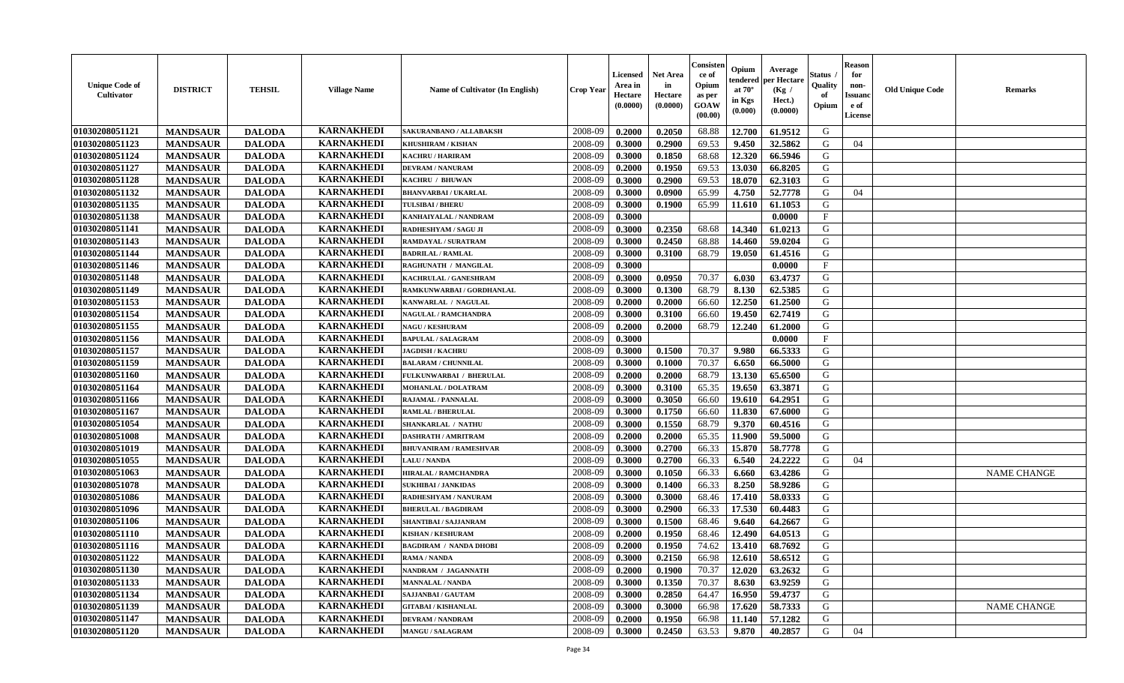| <b>Unique Code of</b><br><b>Cultivator</b> | <b>DISTRICT</b> | <b>TEHSIL</b> | <b>Village Name</b> | Name of Cultivator (In English) | <b>Crop Year</b> | <b>Licensed</b><br>Area in<br>Hectare<br>(0.0000) | <b>Net Area</b><br>in<br>Hectare<br>(0.0000) | Consister<br>ce of<br>Opium<br>as per<br>GOAW<br>(00.00) | Opium<br>endered<br>at $70^\circ$<br>in Kgs<br>(0.000) | Average<br>per Hectare<br>(Kg /<br>Hect.)<br>(0.0000) | Status<br>Quality<br>of<br>Opium | <b>Reason</b><br>for<br>non-<br>Issuano<br>e of<br>License | <b>Old Unique Code</b> | <b>Remarks</b>     |
|--------------------------------------------|-----------------|---------------|---------------------|---------------------------------|------------------|---------------------------------------------------|----------------------------------------------|----------------------------------------------------------|--------------------------------------------------------|-------------------------------------------------------|----------------------------------|------------------------------------------------------------|------------------------|--------------------|
| 01030208051121                             | <b>MANDSAUR</b> | <b>DALODA</b> | <b>KARNAKHEDI</b>   | SAKURANBANO / ALLABAKSH         | 2008-09          | 0.2000                                            | 0.2050                                       | 68.88                                                    | 12.700                                                 | 61.9512                                               | G                                |                                                            |                        |                    |
| 01030208051123                             | <b>MANDSAUR</b> | <b>DALODA</b> | <b>KARNAKHEDI</b>   | KHUSHIRAM / KISHAN              | 2008-09          | 0.3000                                            | 0.2900                                       | 69.53                                                    | 9.450                                                  | 32.5862                                               | G                                | 04                                                         |                        |                    |
| 01030208051124                             | <b>MANDSAUR</b> | <b>DALODA</b> | <b>KARNAKHEDI</b>   | <b>KACHRU / HARIRAM</b>         | 2008-09          | 0.3000                                            | 0.1850                                       | 68.68                                                    | 12.320                                                 | 66.5946                                               | G                                |                                                            |                        |                    |
| 01030208051127                             | <b>MANDSAUR</b> | <b>DALODA</b> | <b>KARNAKHEDI</b>   | <b>DEVRAM / NANURAM</b>         | 2008-09          | 0.2000                                            | 0.1950                                       | 69.53                                                    | 13.030                                                 | 66.8205                                               | G                                |                                                            |                        |                    |
| 01030208051128                             | <b>MANDSAUR</b> | <b>DALODA</b> | <b>KARNAKHEDI</b>   | KACHRU / BHUWAN                 | 2008-09          | 0.3000                                            | 0.2900                                       | 69.53                                                    | 18.070                                                 | 62.3103                                               | G                                |                                                            |                        |                    |
| 01030208051132                             | <b>MANDSAUR</b> | <b>DALODA</b> | <b>KARNAKHEDI</b>   | <b>BHANVARBAI/UKARLAL</b>       | 2008-09          | 0.3000                                            | 0.0900                                       | 65.99                                                    | 4.750                                                  | 52.7778                                               | G                                | 04                                                         |                        |                    |
| 01030208051135                             | <b>MANDSAUR</b> | <b>DALODA</b> | <b>KARNAKHEDI</b>   | <b>TULSIBAI/BHERU</b>           | 2008-09          | 0.3000                                            | 0.1900                                       | 65.99                                                    | 11.610                                                 | 61.1053                                               | G                                |                                                            |                        |                    |
| 01030208051138                             | <b>MANDSAUR</b> | <b>DALODA</b> | <b>KARNAKHEDI</b>   | KANHAIYALAL / NANDRAM           | 2008-09          | 0.3000                                            |                                              |                                                          |                                                        | 0.0000                                                | $\mathbf{F}$                     |                                                            |                        |                    |
| 01030208051141                             | <b>MANDSAUR</b> | <b>DALODA</b> | <b>KARNAKHEDI</b>   | RADHESHYAM / SAGU JI            | 2008-09          | 0.3000                                            | 0.2350                                       | 68.68                                                    | 14.340                                                 | 61.0213                                               | G                                |                                                            |                        |                    |
| 01030208051143                             | <b>MANDSAUR</b> | <b>DALODA</b> | <b>KARNAKHEDI</b>   | RAMDAYAL / SURATRAM             | 2008-09          | 0.3000                                            | 0.2450                                       | 68.88                                                    | 14.460                                                 | 59.0204                                               | G                                |                                                            |                        |                    |
| 01030208051144                             | <b>MANDSAUR</b> | <b>DALODA</b> | <b>KARNAKHEDI</b>   | <b>BADRILAL / RAMLAL</b>        | 2008-09          | 0.3000                                            | 0.3100                                       | 68.79                                                    | 19.050                                                 | 61.4516                                               | $\mathbf G$                      |                                                            |                        |                    |
| 01030208051146                             | <b>MANDSAUR</b> | <b>DALODA</b> | <b>KARNAKHEDI</b>   | RAGHUNATH / MANGILAL            | 2008-09          | 0.3000                                            |                                              |                                                          |                                                        | 0.0000                                                | $\mathbf{F}$                     |                                                            |                        |                    |
| 01030208051148                             | <b>MANDSAUR</b> | <b>DALODA</b> | <b>KARNAKHEDI</b>   | KACHRULAL / GANESHRAM           | 2008-09          | 0.3000                                            | 0.0950                                       | 70.37                                                    | 6.030                                                  | 63.4737                                               | G                                |                                                            |                        |                    |
| 01030208051149                             | <b>MANDSAUR</b> | <b>DALODA</b> | <b>KARNAKHEDI</b>   | RAMKUNWARBAI / GORDHANLAL       | 2008-09          | 0.3000                                            | 0.1300                                       | 68.79                                                    | 8.130                                                  | 62.5385                                               | G                                |                                                            |                        |                    |
| 01030208051153                             | <b>MANDSAUR</b> | <b>DALODA</b> | <b>KARNAKHEDI</b>   | KANWARLAL / NAGULAL             | 2008-09          | 0.2000                                            | 0.2000                                       | 66.60                                                    | 12.250                                                 | 61.2500                                               | G                                |                                                            |                        |                    |
| 01030208051154                             | <b>MANDSAUR</b> | <b>DALODA</b> | <b>KARNAKHEDI</b>   | <b>NAGULAL / RAMCHANDRA</b>     | 2008-09          | 0.3000                                            | 0.3100                                       | 66.60                                                    | 19.450                                                 | 62.7419                                               | G                                |                                                            |                        |                    |
| 01030208051155                             | <b>MANDSAUR</b> | <b>DALODA</b> | <b>KARNAKHEDI</b>   | <b>NAGU / KESHURAM</b>          | 2008-09          | 0.2000                                            | 0.2000                                       | 68.79                                                    | 12.240                                                 | 61.2000                                               | G                                |                                                            |                        |                    |
| 01030208051156                             | <b>MANDSAUR</b> | <b>DALODA</b> | <b>KARNAKHEDI</b>   | <b>BAPULAL / SALAGRAM</b>       | 2008-09          | 0.3000                                            |                                              |                                                          |                                                        | 0.0000                                                | $\mathbf{F}$                     |                                                            |                        |                    |
| 01030208051157                             | <b>MANDSAUR</b> | <b>DALODA</b> | <b>KARNAKHEDI</b>   | <b>JAGDISH / KACHRU</b>         | 2008-09          | 0.3000                                            | 0.1500                                       | 70.37                                                    | 9.980                                                  | 66.5333                                               | G                                |                                                            |                        |                    |
| 01030208051159                             | <b>MANDSAUR</b> | <b>DALODA</b> | <b>KARNAKHEDI</b>   | <b>BALARAM / CHUNNILAL</b>      | 2008-09          | 0.3000                                            | 0.1000                                       | 70.37                                                    | 6.650                                                  | 66.5000                                               | G                                |                                                            |                        |                    |
| 01030208051160                             | <b>MANDSAUR</b> | <b>DALODA</b> | <b>KARNAKHEDI</b>   | FULKUNWARBAI / BHERULAL         | 2008-09          | 0.2000                                            | 0.2000                                       | 68.79                                                    | 13.130                                                 | 65.6500                                               | G                                |                                                            |                        |                    |
| 01030208051164                             | <b>MANDSAUR</b> | <b>DALODA</b> | <b>KARNAKHEDI</b>   | <b>MOHANLAL / DOLATRAM</b>      | 2008-09          | 0.3000                                            | 0.3100                                       | 65.35                                                    | 19.650                                                 | 63.3871                                               | G                                |                                                            |                        |                    |
| 01030208051166                             | <b>MANDSAUR</b> | <b>DALODA</b> | <b>KARNAKHEDI</b>   | <b>RAJAMAL / PANNALAL</b>       | 2008-09          | 0.3000                                            | 0.3050                                       | 66.60                                                    | 19.610                                                 | 64.2951                                               | G                                |                                                            |                        |                    |
| 01030208051167                             | <b>MANDSAUR</b> | <b>DALODA</b> | <b>KARNAKHEDI</b>   | <b>RAMLAL / BHERULAL</b>        | 2008-09          | 0.3000                                            | 0.1750                                       | 66.60                                                    | 11.830                                                 | 67.6000                                               | G                                |                                                            |                        |                    |
| 01030208051054                             | <b>MANDSAUR</b> | <b>DALODA</b> | <b>KARNAKHEDI</b>   | <b>SHANKARLAL / NATHU</b>       | 2008-09          | 0.3000                                            | 0.1550                                       | 68.79                                                    | 9.370                                                  | 60.4516                                               | G                                |                                                            |                        |                    |
| 01030208051008                             | <b>MANDSAUR</b> | <b>DALODA</b> | <b>KARNAKHEDI</b>   | <b>DASHRATH / AMRITRAM</b>      | 2008-09          | 0.2000                                            | 0.2000                                       | 65.35                                                    | 11.900                                                 | 59.5000                                               | G                                |                                                            |                        |                    |
| 01030208051019                             | <b>MANDSAUR</b> | <b>DALODA</b> | <b>KARNAKHEDI</b>   | <b>BHUVANIRAM / RAMESHVAR</b>   | 2008-09          | 0.3000                                            | 0.2700                                       | 66.33                                                    | 15.870                                                 | 58.7778                                               | G                                |                                                            |                        |                    |
| 01030208051055                             | <b>MANDSAUR</b> | <b>DALODA</b> | <b>KARNAKHEDI</b>   | <b>LALU / NANDA</b>             | 2008-09          | 0.3000                                            | 0.2700                                       | 66.33                                                    | 6.540                                                  | 24,2222                                               | G                                | 04                                                         |                        |                    |
| 01030208051063                             | <b>MANDSAUR</b> | <b>DALODA</b> | <b>KARNAKHEDI</b>   | <b>HIRALAL / RAMCHANDRA</b>     | 2008-09          | 0.3000                                            | 0.1050                                       | 66.33                                                    | 6.660                                                  | 63.4286                                               | G                                |                                                            |                        | <b>NAME CHANGE</b> |
| 01030208051078                             | <b>MANDSAUR</b> | <b>DALODA</b> | <b>KARNAKHEDI</b>   | <b>SUKHIBAI / JANKIDAS</b>      | 2008-09          | 0.3000                                            | 0.1400                                       | 66.33                                                    | 8.250                                                  | 58.9286                                               | G                                |                                                            |                        |                    |
| 01030208051086                             | <b>MANDSAUR</b> | <b>DALODA</b> | <b>KARNAKHEDI</b>   | RADHESHYAM / NANURAM            | 2008-09          | 0.3000                                            | 0.3000                                       | 68.46                                                    | 17.410                                                 | 58.0333                                               | ${\bf G}$                        |                                                            |                        |                    |
| 01030208051096                             | <b>MANDSAUR</b> | <b>DALODA</b> | <b>KARNAKHEDI</b>   | <b>BHERULAL / BAGDIRAM</b>      | 2008-09          | 0.3000                                            | 0.2900                                       | 66.33                                                    | 17.530                                                 | 60.4483                                               | G                                |                                                            |                        |                    |
| 01030208051106                             | <b>MANDSAUR</b> | <b>DALODA</b> | <b>KARNAKHEDI</b>   | SHANTIBAI / SAJJANRAM           | 2008-09          | 0.3000                                            | 0.1500                                       | 68.46                                                    | 9.640                                                  | 64.2667                                               | G                                |                                                            |                        |                    |
| 01030208051110                             | <b>MANDSAUR</b> | <b>DALODA</b> | <b>KARNAKHEDI</b>   | <b>KISHAN / KESHURAM</b>        | 2008-09          | 0.2000                                            | 0.1950                                       | 68.46                                                    | 12.490                                                 | 64.0513                                               | G                                |                                                            |                        |                    |
| 01030208051116                             | <b>MANDSAUR</b> | <b>DALODA</b> | <b>KARNAKHEDI</b>   | <b>BAGDIRAM / NANDA DHOBI</b>   | 2008-09          | 0.2000                                            | 0.1950                                       | 74.62                                                    | 13.410                                                 | 68.7692                                               | G                                |                                                            |                        |                    |
| 01030208051122                             | <b>MANDSAUR</b> | <b>DALODA</b> | <b>KARNAKHEDI</b>   | <b>RAMA / NANDA</b>             | 2008-09          | 0.3000                                            | 0.2150                                       | 66.98                                                    | 12.610                                                 | 58.6512                                               | G                                |                                                            |                        |                    |
| 01030208051130                             | <b>MANDSAUR</b> | <b>DALODA</b> | <b>KARNAKHEDI</b>   | NANDRAM / JAGANNATH             | 2008-09          | 0.2000                                            | 0.1900                                       | 70.37                                                    | 12.020                                                 | 63.2632                                               | G                                |                                                            |                        |                    |
| 01030208051133                             | <b>MANDSAUR</b> | <b>DALODA</b> | <b>KARNAKHEDI</b>   | <b>MANNALAL / NANDA</b>         | 2008-09          | 0.3000                                            | 0.1350                                       | 70.37                                                    | 8.630                                                  | 63.9259                                               | G                                |                                                            |                        |                    |
| 01030208051134                             | <b>MANDSAUR</b> | <b>DALODA</b> | <b>KARNAKHEDI</b>   | SAJJANBAI / GAUTAM              | 2008-09          | 0.3000                                            | 0.2850                                       | 64.47                                                    | 16.950                                                 | 59.4737                                               | G                                |                                                            |                        |                    |
| 01030208051139                             | <b>MANDSAUR</b> | <b>DALODA</b> | <b>KARNAKHEDI</b>   | <b>GITABAI/KISHANLAL</b>        | 2008-09          | 0.3000                                            | 0.3000                                       | 66.98                                                    | 17.620                                                 | 58.7333                                               | G                                |                                                            |                        | <b>NAME CHANGE</b> |
| 01030208051147                             | <b>MANDSAUR</b> | <b>DALODA</b> | <b>KARNAKHEDI</b>   | <b>DEVRAM / NANDRAM</b>         | 2008-09          | 0.2000                                            | 0.1950                                       | 66.98                                                    | 11.140                                                 | 57.1282                                               | G                                |                                                            |                        |                    |
| 01030208051120                             | <b>MANDSAUR</b> | <b>DALODA</b> | <b>KARNAKHEDI</b>   | <b>MANGU / SALAGRAM</b>         | 2008-09          | 0.3000                                            | 0.2450                                       | 63.53                                                    | 9.870                                                  | 40.2857                                               | G                                | 04                                                         |                        |                    |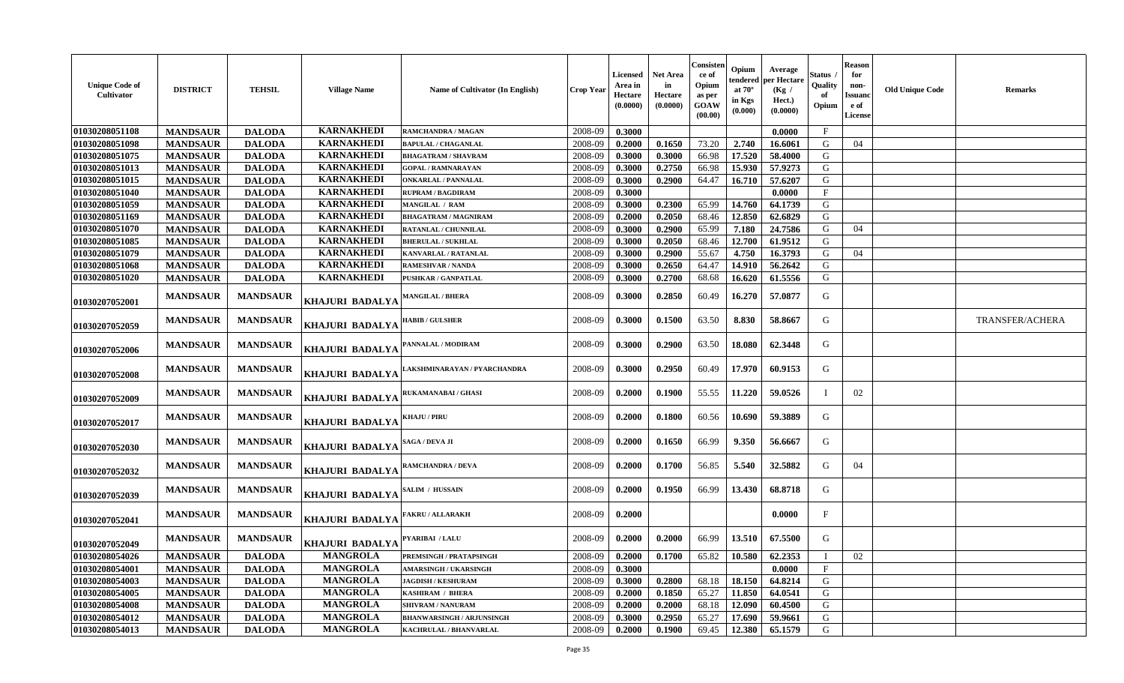| <b>Unique Code of</b><br>Cultivator | <b>DISTRICT</b> | <b>TEHSIL</b>   | <b>Village Name</b>    | Name of Cultivator (In English)  | <b>Crop Year</b> | Licensed<br>Area in<br>Hectare<br>(0.0000) | Net Area<br>in<br><b>Hectare</b><br>(0.0000) | Consisten<br>ce of<br>Opium<br>as per<br>GOAW<br>(00.00) | Opium<br>tendered<br>at $70^\circ$<br>in Kgs<br>(0.000) | Average<br>per Hectare<br>(Kg /<br>Hect.)<br>(0.0000) | Status<br>Quality<br>Opium | <b>Reason</b><br>for<br>non-<br>Issuanc<br>e of<br><b>License</b> | <b>Old Unique Code</b> | <b>Remarks</b>         |
|-------------------------------------|-----------------|-----------------|------------------------|----------------------------------|------------------|--------------------------------------------|----------------------------------------------|----------------------------------------------------------|---------------------------------------------------------|-------------------------------------------------------|----------------------------|-------------------------------------------------------------------|------------------------|------------------------|
| 01030208051108                      | <b>MANDSAUR</b> | <b>DALODA</b>   | <b>KARNAKHEDI</b>      | <b>RAMCHANDRA / MAGAN</b>        | 2008-09          | 0.3000                                     |                                              |                                                          |                                                         | 0.0000                                                | $\mathbf{F}$               |                                                                   |                        |                        |
| 01030208051098                      | <b>MANDSAUR</b> | <b>DALODA</b>   | <b>KARNAKHEDI</b>      | <b>BAPULAL / CHAGANLAL</b>       | 2008-09          | 0.2000                                     | 0.1650                                       | 73.20                                                    | 2.740                                                   | 16.6061                                               | G                          | 04                                                                |                        |                        |
| 01030208051075                      | <b>MANDSAUR</b> | <b>DALODA</b>   | <b>KARNAKHEDI</b>      | <b>BHAGATRAM / SHAVRAM</b>       | 2008-09          | 0.3000                                     | 0.3000                                       | 66.98                                                    | 17.520                                                  | 58.4000                                               | G                          |                                                                   |                        |                        |
| 01030208051013                      | <b>MANDSAUR</b> | <b>DALODA</b>   | <b>KARNAKHEDI</b>      | <b>GOPAL / RAMNARAYAN</b>        | 2008-09          | 0.3000                                     | 0.2750                                       | 66.98                                                    | 15.930                                                  | 57.9273                                               | G                          |                                                                   |                        |                        |
| 01030208051015                      | <b>MANDSAUR</b> | <b>DALODA</b>   | <b>KARNAKHEDI</b>      | <b>ONKARLAL / PANNALAL</b>       | 2008-09          | 0.3000                                     | 0.2900                                       | 64.47                                                    | 16.710                                                  | 57.6207                                               | G                          |                                                                   |                        |                        |
| 01030208051040                      | <b>MANDSAUR</b> | <b>DALODA</b>   | <b>KARNAKHEDI</b>      | <b>RUPRAM / BAGDIRAM</b>         | 2008-09          | 0.3000                                     |                                              |                                                          |                                                         | 0.0000                                                | $\mathbf{F}$               |                                                                   |                        |                        |
| 01030208051059                      | <b>MANDSAUR</b> | <b>DALODA</b>   | <b>KARNAKHEDI</b>      | MANGILAL / RAM                   | 2008-09          | 0.3000                                     | 0.2300                                       | 65.99                                                    | 14.760                                                  | 64.1739                                               | G                          |                                                                   |                        |                        |
| 01030208051169                      | <b>MANDSAUR</b> | <b>DALODA</b>   | <b>KARNAKHEDI</b>      | <b>BHAGATRAM / MAGNIRAM</b>      | 2008-09          | 0.2000                                     | 0.2050                                       | 68.46                                                    | 12.850                                                  | 62.6829                                               | G                          |                                                                   |                        |                        |
| 01030208051070                      | <b>MANDSAUR</b> | <b>DALODA</b>   | <b>KARNAKHEDI</b>      | <b>RATANLAL / CHUNNILAL</b>      | 2008-09          | 0.3000                                     | 0.2900                                       | 65.99                                                    | 7.180                                                   | 24.7586                                               | G                          | 04                                                                |                        |                        |
| 01030208051085                      | <b>MANDSAUR</b> | <b>DALODA</b>   | <b>KARNAKHEDI</b>      | <b>BHERULAL / SUKHLAL</b>        | 2008-09          | 0.3000                                     | 0.2050                                       | 68.46                                                    | 12.700                                                  | 61.9512                                               | G                          |                                                                   |                        |                        |
| 01030208051079                      | <b>MANDSAUR</b> | <b>DALODA</b>   | <b>KARNAKHEDI</b>      | <b>KANVARLAL / RATANLAL</b>      | 2008-09          | 0.3000                                     | 0.2900                                       | 55.67                                                    | 4.750                                                   | 16.3793                                               | G                          | 04                                                                |                        |                        |
| 01030208051068                      | <b>MANDSAUR</b> | <b>DALODA</b>   | <b>KARNAKHEDI</b>      | <b>RAMESHVAR / NANDA</b>         | 2008-09          | 0.3000                                     | 0.2650                                       | 64.47                                                    | 14.910                                                  | 56.2642                                               | G                          |                                                                   |                        |                        |
| 01030208051020                      | <b>MANDSAUR</b> | <b>DALODA</b>   | <b>KARNAKHEDI</b>      | <b>PUSHKAR / GANPATLAL</b>       | 2008-09          | 0.3000                                     | 0.2700                                       | 68.68                                                    | 16.620                                                  | 61.5556                                               | G                          |                                                                   |                        |                        |
| 01030207052001                      | <b>MANDSAUR</b> | <b>MANDSAUR</b> | KHAJURI BADALYA        | <b>MANGILAL / BHERA</b>          | 2008-09          | 0.3000                                     | 0.2850                                       | 60.49                                                    | 16.270                                                  | 57.0877                                               | G                          |                                                                   |                        |                        |
| 01030207052059                      | <b>MANDSAUR</b> | <b>MANDSAUR</b> | <b>KHAJURI BADALYA</b> | <b>HABIB / GULSHER</b>           | 2008-09          | 0.3000                                     | 0.1500                                       | 63.50                                                    | 8.830                                                   | 58.8667                                               | G                          |                                                                   |                        | <b>TRANSFER/ACHERA</b> |
| 01030207052006                      | <b>MANDSAUR</b> | <b>MANDSAUR</b> | KHAJURI BADALYA        | PANNALAL / MODIRAM               | 2008-09          | 0.3000                                     | 0.2900                                       | 63.50                                                    | 18.080                                                  | 62.3448                                               | G                          |                                                                   |                        |                        |
| 01030207052008                      | <b>MANDSAUR</b> | <b>MANDSAUR</b> | KHAJURI BADALYA        | AKSHMINARAYAN / PYARCHANDRA      | 2008-09          | 0.3000                                     | 0.2950                                       | 60.49                                                    | 17.970                                                  | 60.9153                                               | G                          |                                                                   |                        |                        |
| 01030207052009                      | <b>MANDSAUR</b> | <b>MANDSAUR</b> | KHAJURI BADALYA        | RUKAMANABAI / GHASI              | 2008-09          | 0.2000                                     | 0.1900                                       | 55.55                                                    | 11.220                                                  | 59.0526                                               |                            | 02                                                                |                        |                        |
| 01030207052017                      | <b>MANDSAUR</b> | <b>MANDSAUR</b> | KHAJURI BADALYA        | KHAJU / PIRU                     | 2008-09          | 0.2000                                     | 0.1800                                       | 60.56                                                    | 10.690                                                  | 59.3889                                               | G                          |                                                                   |                        |                        |
| 01030207052030                      | <b>MANDSAUR</b> | <b>MANDSAUR</b> | KHAJURI BADALYA        | SAGA / DEVA JI                   | 2008-09          | 0.2000                                     | 0.1650                                       | 66.99                                                    | 9.350                                                   | 56.6667                                               | G                          |                                                                   |                        |                        |
| 01030207052032                      | <b>MANDSAUR</b> | <b>MANDSAUR</b> | <b>KHAJURI BADALYA</b> | <b>RAMCHANDRA / DEVA</b>         | 2008-09          | 0.2000                                     | 0.1700                                       | 56.85                                                    | 5.540                                                   | 32.5882                                               | G                          | 04                                                                |                        |                        |
| 01030207052039                      | <b>MANDSAUR</b> | <b>MANDSAUR</b> | <b>KHAJURI BADALYA</b> | <b>SALIM / HUSSAIN</b>           | 2008-09          | 0.2000                                     | 0.1950                                       | 66.99                                                    | 13.430                                                  | 68.8718                                               | G                          |                                                                   |                        |                        |
| 01030207052041                      | <b>MANDSAUR</b> | <b>MANDSAUR</b> | KHAJURI BADALYA        | <b>FAKRU / ALLARAKH</b>          | 2008-09          | 0.2000                                     |                                              |                                                          |                                                         | 0.0000                                                | $\mathbf{F}$               |                                                                   |                        |                        |
| 01030207052049                      | <b>MANDSAUR</b> | <b>MANDSAUR</b> | KHAJURI BADALYA        | PYARIBAI / LALU                  | 2008-09          | 0.2000                                     | 0.2000                                       | 66.99                                                    | 13.510                                                  | 67.5500                                               | G                          |                                                                   |                        |                        |
| 01030208054026                      | <b>MANDSAUR</b> | <b>DALODA</b>   | <b>MANGROLA</b>        | PREMSINGH / PRATAPSINGH          | 2008-09          | 0.2000                                     | 0.1700                                       | 65.82                                                    | 10.580                                                  | 62.2353                                               | $\mathbf{I}$               | 02                                                                |                        |                        |
| 01030208054001                      | <b>MANDSAUR</b> | <b>DALODA</b>   | <b>MANGROLA</b>        | <b>AMARSINGH / UKARSINGH</b>     | 2008-09          | 0.3000                                     |                                              |                                                          |                                                         | 0.0000                                                | $\mathbf{F}$               |                                                                   |                        |                        |
| 01030208054003                      | <b>MANDSAUR</b> | <b>DALODA</b>   | <b>MANGROLA</b>        | <b>JAGDISH / KESHURAM</b>        | 2008-09          | 0.3000                                     | 0.2800                                       | 68.18                                                    | 18.150                                                  | 64.8214                                               | G                          |                                                                   |                        |                        |
| 01030208054005                      | <b>MANDSAUR</b> | <b>DALODA</b>   | <b>MANGROLA</b>        | <b>KASHIRAM / BHERA</b>          | 2008-09          | 0.2000                                     | 0.1850                                       | 65.27                                                    | 11.850                                                  | 64.0541                                               | G                          |                                                                   |                        |                        |
| 01030208054008                      | <b>MANDSAUR</b> | <b>DALODA</b>   | <b>MANGROLA</b>        | <b>SHIVRAM / NANURAM</b>         | 2008-09          | 0.2000                                     | 0.2000                                       | 68.18                                                    | 12.090                                                  | 60.4500                                               | G                          |                                                                   |                        |                        |
| 01030208054012                      | <b>MANDSAUR</b> | <b>DALODA</b>   | <b>MANGROLA</b>        | <b>BHANWARSINGH / ARJUNSINGH</b> | 2008-09          | 0.3000                                     | 0.2950                                       | 65.27                                                    | 17.690                                                  | 59.9661                                               | G                          |                                                                   |                        |                        |
| 01030208054013                      | <b>MANDSAUR</b> | <b>DALODA</b>   | <b>MANGROLA</b>        | <b>KACHRULAL / BHANVARLAL</b>    | 2008-09          | 0.2000                                     | 0.1900                                       | 69.45                                                    | 12.380                                                  | 65.1579                                               | G                          |                                                                   |                        |                        |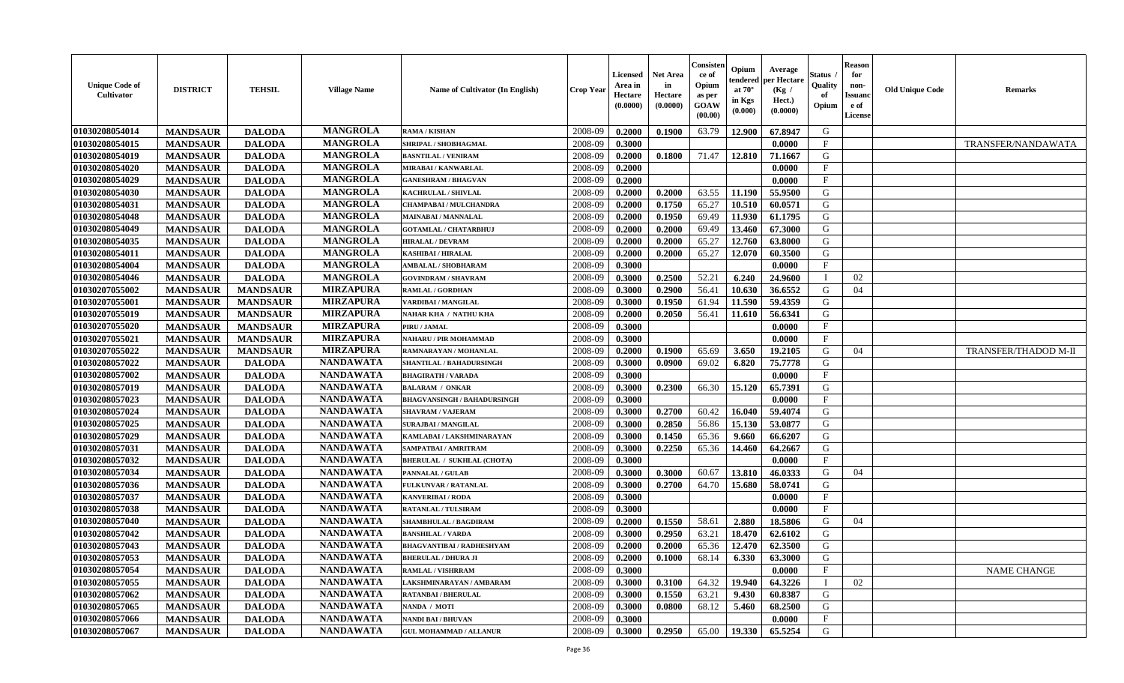| <b>Unique Code of</b><br><b>Cultivator</b> | <b>DISTRICT</b> | <b>TEHSIL</b>   | <b>Village Name</b> | Name of Cultivator (In English)    | <b>Crop Year</b> | <b>Licensed</b><br>Area in<br>Hectare<br>(0.0000) | <b>Net Area</b><br>in<br>Hectare<br>(0.0000) | Consisteı<br>ce of<br>Opium<br>as per<br>GOAW<br>(00.00) | Opium<br>endered<br>at $70^\circ$<br>in Kgs<br>(0.000) | Average<br>per Hectare<br>(Kg /<br>Hect.)<br>(0.0000) | Status<br>Quality<br>of<br>Opium | <b>Reason</b><br>for<br>non-<br>Issuano<br>e of<br>License | <b>Old Unique Code</b> | Remarks              |
|--------------------------------------------|-----------------|-----------------|---------------------|------------------------------------|------------------|---------------------------------------------------|----------------------------------------------|----------------------------------------------------------|--------------------------------------------------------|-------------------------------------------------------|----------------------------------|------------------------------------------------------------|------------------------|----------------------|
| 01030208054014                             | <b>MANDSAUR</b> | <b>DALODA</b>   | <b>MANGROLA</b>     | <b>RAMA / KISHAN</b>               | 2008-09          | 0.2000                                            | 0.1900                                       | 63.79                                                    | 12.900                                                 | 67.8947                                               | G                                |                                                            |                        |                      |
| 01030208054015                             | <b>MANDSAUR</b> | <b>DALODA</b>   | <b>MANGROLA</b>     | SHRIPAL / SHOBHAGMAL               | 2008-09          | 0.3000                                            |                                              |                                                          |                                                        | 0.0000                                                | $\mathbf{F}$                     |                                                            |                        | TRANSFER/NANDAWATA   |
| 01030208054019                             | <b>MANDSAUR</b> | <b>DALODA</b>   | <b>MANGROLA</b>     | <b>BASNTILAL / VENIRAM</b>         | 2008-09          | 0.2000                                            | 0.1800                                       | 71.47                                                    | 12.810                                                 | 71.1667                                               | G                                |                                                            |                        |                      |
| 01030208054020                             | <b>MANDSAUR</b> | <b>DALODA</b>   | <b>MANGROLA</b>     | <b>MIRABAI / KANWARLAL</b>         | 2008-09          | 0.2000                                            |                                              |                                                          |                                                        | 0.0000                                                | $\mathbf{F}$                     |                                                            |                        |                      |
| 01030208054029                             | <b>MANDSAUR</b> | <b>DALODA</b>   | <b>MANGROLA</b>     | <b>GANESHRAM / BHAGVAN</b>         | 2008-09          | 0.2000                                            |                                              |                                                          |                                                        | 0.0000                                                | $_{\rm F}$                       |                                                            |                        |                      |
| 01030208054030                             | <b>MANDSAUR</b> | <b>DALODA</b>   | <b>MANGROLA</b>     | KACHRULAL / SHIVLAL                | 2008-09          | 0.2000                                            | 0.2000                                       | 63.55                                                    | 11.190                                                 | 55.9500                                               | G                                |                                                            |                        |                      |
| 01030208054031                             | <b>MANDSAUR</b> | <b>DALODA</b>   | <b>MANGROLA</b>     | CHAMPABAI / MULCHANDRA             | 2008-09          | 0.2000                                            | 0.1750                                       | 65.27                                                    | 10.510                                                 | 60.0571                                               | G                                |                                                            |                        |                      |
| 01030208054048                             | <b>MANDSAUR</b> | <b>DALODA</b>   | <b>MANGROLA</b>     | <b>MAINABAI/MANNALAL</b>           | 2008-09          | 0.2000                                            | 0.1950                                       | 69.49                                                    | 11.930                                                 | 61.1795                                               | G                                |                                                            |                        |                      |
| 01030208054049                             | <b>MANDSAUR</b> | <b>DALODA</b>   | <b>MANGROLA</b>     | <b>GOTAMLAL / CHATARBHUJ</b>       | 2008-09          | 0.2000                                            | 0.2000                                       | 69.49                                                    | 13.460                                                 | 67.3000                                               | G                                |                                                            |                        |                      |
| 01030208054035                             | <b>MANDSAUR</b> | <b>DALODA</b>   | <b>MANGROLA</b>     | <b>HIRALAL / DEVRAM</b>            | 2008-09          | 0.2000                                            | 0.2000                                       | 65.27                                                    | 12.760                                                 | 63.8000                                               | G                                |                                                            |                        |                      |
| 01030208054011                             | <b>MANDSAUR</b> | <b>DALODA</b>   | <b>MANGROLA</b>     | <b>KASHIBAI / HIRALAL</b>          | 2008-09          | 0.2000                                            | 0.2000                                       | 65.27                                                    | 12.070                                                 | 60.3500                                               | G                                |                                                            |                        |                      |
| 01030208054004                             | <b>MANDSAUR</b> | <b>DALODA</b>   | <b>MANGROLA</b>     | <b>AMBALAL / SHOBHARAM</b>         | 2008-09          | 0.3000                                            |                                              |                                                          |                                                        | 0.0000                                                | $_{\rm F}$                       |                                                            |                        |                      |
| 01030208054046                             | <b>MANDSAUR</b> | <b>DALODA</b>   | <b>MANGROLA</b>     | <b>GOVINDRAM / SHAVRAM</b>         | 2008-09          | 0.3000                                            | 0.2500                                       | 52.21                                                    | 6.240                                                  | 24.9600                                               | $\mathbf{I}$                     | 02                                                         |                        |                      |
| 01030207055002                             | <b>MANDSAUR</b> | <b>MANDSAUR</b> | <b>MIRZAPURA</b>    | <b>RAMLAL / GORDHAN</b>            | 2008-09          | 0.3000                                            | 0.2900                                       | 56.41                                                    | 10.630                                                 | 36.6552                                               | G                                | 04                                                         |                        |                      |
| 01030207055001                             | <b>MANDSAUR</b> | <b>MANDSAUR</b> | <b>MIRZAPURA</b>    | VARDIBAI / MANGILAL                | 2008-09          | 0.3000                                            | 0.1950                                       | 61.94                                                    | 11.590                                                 | 59.4359                                               | $\mathbf G$                      |                                                            |                        |                      |
| 01030207055019                             | <b>MANDSAUR</b> | <b>MANDSAUR</b> | <b>MIRZAPURA</b>    | <b>NAHAR KHA / NATHU KHA</b>       | 2008-09          | 0.2000                                            | 0.2050                                       | 56.41                                                    | 11.610                                                 | 56.6341                                               | G                                |                                                            |                        |                      |
| 01030207055020                             | <b>MANDSAUR</b> | <b>MANDSAUR</b> | <b>MIRZAPURA</b>    | PIRU / JAMAL                       | 2008-09          | 0.3000                                            |                                              |                                                          |                                                        | 0.0000                                                | $\mathbf{F}$                     |                                                            |                        |                      |
| 01030207055021                             | <b>MANDSAUR</b> | <b>MANDSAUR</b> | <b>MIRZAPURA</b>    | NAHARU / PIR MOHAMMAD              | 2008-09          | 0.3000                                            |                                              |                                                          |                                                        | 0.0000                                                | $_{\rm F}$                       |                                                            |                        |                      |
| 01030207055022                             | <b>MANDSAUR</b> | <b>MANDSAUR</b> | <b>MIRZAPURA</b>    | RAMNARAYAN / MOHANLAL              | 2008-09          | 0.2000                                            | 0.1900                                       | 65.69                                                    | 3.650                                                  | 19.2105                                               | G                                | 04                                                         |                        | TRANSFER/THADOD M-II |
| 01030208057022                             | <b>MANDSAUR</b> | <b>DALODA</b>   | <b>NANDAWATA</b>    | SHANTILAL / BAHADURSINGH           | 2008-09          | 0.3000                                            | 0.0900                                       | 69.02                                                    | 6.820                                                  | 75.7778                                               | G                                |                                                            |                        |                      |
| 01030208057002                             | <b>MANDSAUR</b> | <b>DALODA</b>   | <b>NANDAWATA</b>    | <b>BHAGIRATH / VARADA</b>          | 2008-09          | 0.3000                                            |                                              |                                                          |                                                        | 0.0000                                                | $\mathbf{F}$                     |                                                            |                        |                      |
| 01030208057019                             | <b>MANDSAUR</b> | <b>DALODA</b>   | <b>NANDAWATA</b>    | <b>BALARAM / ONKAR</b>             | 2008-09          | 0.3000                                            | 0.2300                                       | 66.30                                                    | 15.120                                                 | 65.7391                                               | G                                |                                                            |                        |                      |
| 01030208057023                             | <b>MANDSAUR</b> | <b>DALODA</b>   | <b>NANDAWATA</b>    | <b>BHAGVANSINGH / BAHADURSINGH</b> | 2008-09          | 0.3000                                            |                                              |                                                          |                                                        | 0.0000                                                | F                                |                                                            |                        |                      |
| 01030208057024                             | <b>MANDSAUR</b> | <b>DALODA</b>   | <b>NANDAWATA</b>    | <b>SHAVRAM / VAJERAM</b>           | 2008-09          | 0.3000                                            | 0.2700                                       | 60.42                                                    | 16.040                                                 | 59.4074                                               | G                                |                                                            |                        |                      |
| 01030208057025                             | <b>MANDSAUR</b> | <b>DALODA</b>   | <b>NANDAWATA</b>    | <b>SURAJBAI / MANGILAL</b>         | 2008-09          | 0.3000                                            | 0.2850                                       | 56.86                                                    | 15.130                                                 | 53.0877                                               | G                                |                                                            |                        |                      |
| 01030208057029                             | <b>MANDSAUR</b> | <b>DALODA</b>   | <b>NANDAWATA</b>    | KAMLABAI / LAKSHMINARAYAN          | 2008-09          | 0.3000                                            | 0.1450                                       | 65.36                                                    | 9.660                                                  | 66.6207                                               | G                                |                                                            |                        |                      |
| 01030208057031                             | <b>MANDSAUR</b> | <b>DALODA</b>   | <b>NANDAWATA</b>    | SAMPATBAI / AMRITRAM               | 2008-09          | 0.3000                                            | 0.2250                                       | 65.36                                                    | 14.460                                                 | 64.2667                                               | G                                |                                                            |                        |                      |
| 01030208057032                             | <b>MANDSAUR</b> | <b>DALODA</b>   | <b>NANDAWATA</b>    | <b>BHERULAL / SUKHLAL (CHOTA)</b>  | 2008-09          | 0.3000                                            |                                              |                                                          |                                                        | 0.0000                                                | $\mathbf{F}$                     |                                                            |                        |                      |
| 01030208057034                             | <b>MANDSAUR</b> | <b>DALODA</b>   | <b>NANDAWATA</b>    | PANNALAL / GULAB                   | 2008-09          | 0.3000                                            | 0.3000                                       | 60.67                                                    | 13.810                                                 | 46.0333                                               | G                                | 04                                                         |                        |                      |
| 01030208057036                             | <b>MANDSAUR</b> | <b>DALODA</b>   | <b>NANDAWATA</b>    | <b>FULKUNVAR / RATANLAL</b>        | 2008-09          | 0.3000                                            | 0.2700                                       | 64.70                                                    | 15.680                                                 | 58.0741                                               | G                                |                                                            |                        |                      |
| 01030208057037                             | <b>MANDSAUR</b> | <b>DALODA</b>   | <b>NANDAWATA</b>    | <b>KANVERIBAI / RODA</b>           | 2008-09          | 0.3000                                            |                                              |                                                          |                                                        | 0.0000                                                | $\mathbf{F}$                     |                                                            |                        |                      |
| 01030208057038                             | <b>MANDSAUR</b> | <b>DALODA</b>   | <b>NANDAWATA</b>    | <b>RATANLAL / TULSIRAM</b>         | 2008-09          | 0.3000                                            |                                              |                                                          |                                                        | 0.0000                                                | $\mathbf{F}$                     |                                                            |                        |                      |
| 01030208057040                             | <b>MANDSAUR</b> | <b>DALODA</b>   | <b>NANDAWATA</b>    | SHAMBHULAL / BAGDIRAM              | 2008-09          | 0.2000                                            | 0.1550                                       | 58.61                                                    | 2.880                                                  | 18.5806                                               | G                                | 04                                                         |                        |                      |
| 01030208057042                             | <b>MANDSAUR</b> | <b>DALODA</b>   | <b>NANDAWATA</b>    | <b>BANSHILAL / VARDA</b>           | 2008-09          | 0.3000                                            | 0.2950                                       | 63.21                                                    | 18.470                                                 | 62.6102                                               | G                                |                                                            |                        |                      |
| 01030208057043                             | <b>MANDSAUR</b> | <b>DALODA</b>   | <b>NANDAWATA</b>    | <b>BHAGVANTIBAI / RADHESHYAM</b>   | 2008-09          | 0.2000                                            | 0.2000                                       | 65.36                                                    | 12.470                                                 | 62.3500                                               | G                                |                                                            |                        |                      |
| 01030208057053                             | <b>MANDSAUR</b> | <b>DALODA</b>   | <b>NANDAWATA</b>    | <b>BHERULAL / DHURA JI</b>         | 2008-09          | 0.2000                                            | 0.1000                                       | 68.14                                                    | 6.330                                                  | 63.3000                                               | G                                |                                                            |                        |                      |
| 01030208057054                             | <b>MANDSAUR</b> | <b>DALODA</b>   | <b>NANDAWATA</b>    | <b>RAMLAL / VISHRRAM</b>           | 2008-09          | 0.3000                                            |                                              |                                                          |                                                        | 0.0000                                                | $\rm F$                          |                                                            |                        | <b>NAME CHANGE</b>   |
| 01030208057055                             | <b>MANDSAUR</b> | <b>DALODA</b>   | <b>NANDAWATA</b>    | LAKSHMINARAYAN / AMBARAM           | 2008-09          | 0.3000                                            | 0.3100                                       | 64.32                                                    | 19.940                                                 | 64.3226                                               | $\mathbf{I}$                     | 02                                                         |                        |                      |
| 01030208057062                             | <b>MANDSAUR</b> | <b>DALODA</b>   | <b>NANDAWATA</b>    | <b>RATANBAI/BHERULAL</b>           | 2008-09          | 0.3000                                            | 0.1550                                       | 63.21                                                    | 9.430                                                  | 60.8387                                               | G                                |                                                            |                        |                      |
| 01030208057065                             | <b>MANDSAUR</b> | <b>DALODA</b>   | <b>NANDAWATA</b>    | <b>NANDA / MOTI</b>                | 2008-09          | 0.3000                                            | 0.0800                                       | 68.12                                                    | 5.460                                                  | 68.2500                                               | ${\bf G}$                        |                                                            |                        |                      |
| 01030208057066                             | <b>MANDSAUR</b> | <b>DALODA</b>   | <b>NANDAWATA</b>    | NANDI BAI / BHUVAN                 | 2008-09          | 0.3000                                            |                                              |                                                          |                                                        | 0.0000                                                | $\mathbf{F}$                     |                                                            |                        |                      |
| 01030208057067                             | <b>MANDSAUR</b> | <b>DALODA</b>   | <b>NANDAWATA</b>    | <b>GUL MOHAMMAD / ALLANUR</b>      | 2008-09          | 0.3000                                            | 0.2950                                       | 65.00                                                    | 19.330                                                 | 65.5254                                               | G                                |                                                            |                        |                      |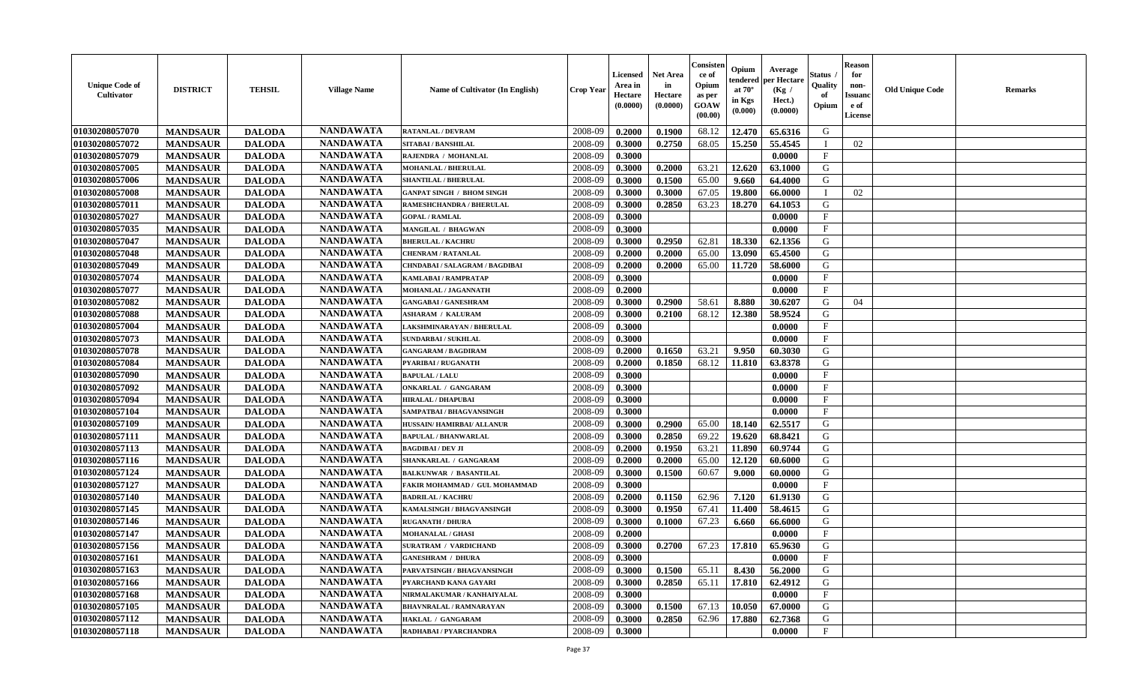| <b>Unique Code of</b><br><b>Cultivator</b> | <b>DISTRICT</b> | <b>TEHSIL</b> | <b>Village Name</b> | Name of Cultivator (In English)  | <b>Crop Year</b> | <b>Licensed</b><br>Area in<br>Hectare<br>(0.0000) | <b>Net Area</b><br>in<br>Hectare<br>(0.0000) | Consister<br>ce of<br>Opium<br>as per<br><b>GOAW</b><br>(00.00) | Opium<br>endered<br>at $70^\circ$<br>in Kgs<br>(0.000) | Average<br>per Hectare<br>(Kg /<br>Hect.)<br>(0.0000) | Status<br>Quality<br>of<br>Opium | <b>Reason</b><br>for<br>non-<br><b>Issuand</b><br>e of<br><b>License</b> | <b>Old Unique Code</b> | <b>Remarks</b> |
|--------------------------------------------|-----------------|---------------|---------------------|----------------------------------|------------------|---------------------------------------------------|----------------------------------------------|-----------------------------------------------------------------|--------------------------------------------------------|-------------------------------------------------------|----------------------------------|--------------------------------------------------------------------------|------------------------|----------------|
| 01030208057070                             | <b>MANDSAUR</b> | <b>DALODA</b> | <b>NANDAWATA</b>    | <b>RATANLAL / DEVRAM</b>         | 2008-09          | 0.2000                                            | 0.1900                                       | 68.12                                                           | 12.470                                                 | 65.6316                                               | G                                |                                                                          |                        |                |
| 01030208057072                             | <b>MANDSAUR</b> | <b>DALODA</b> | <b>NANDAWATA</b>    | <b>SITABAI/BANSHILAL</b>         | 2008-09          | 0.3000                                            | 0.2750                                       | 68.05                                                           | 15.250                                                 | 55.4545                                               | - 1                              | 02                                                                       |                        |                |
| 01030208057079                             | <b>MANDSAUR</b> | <b>DALODA</b> | <b>NANDAWATA</b>    | RAJENDRA / MOHANLAL              | 2008-09          | 0.3000                                            |                                              |                                                                 |                                                        | 0.0000                                                | $\mathbf{F}$                     |                                                                          |                        |                |
| 01030208057005                             | <b>MANDSAUR</b> | <b>DALODA</b> | <b>NANDAWATA</b>    | <b>MOHANLAL / BHERULAL</b>       | 2008-09          | 0.3000                                            | 0.2000                                       | 63.21                                                           | 12.620                                                 | 63.1000                                               | G                                |                                                                          |                        |                |
| 01030208057006                             | <b>MANDSAUR</b> | <b>DALODA</b> | <b>NANDAWATA</b>    | <b>SHANTILAL / BHERULAL</b>      | 2008-09          | 0.3000                                            | 0.1500                                       | 65.00                                                           | 9.660                                                  | 64.4000                                               | G                                |                                                                          |                        |                |
| 01030208057008                             | <b>MANDSAUR</b> | <b>DALODA</b> | <b>NANDAWATA</b>    | <b>GANPAT SINGH / BHOM SINGH</b> | 2008-09          | 0.3000                                            | 0.3000                                       | 67.05                                                           | 19.800                                                 | 66.0000                                               | $\mathbf I$                      | 02                                                                       |                        |                |
| 01030208057011                             | <b>MANDSAUR</b> | <b>DALODA</b> | <b>NANDAWATA</b>    | RAMESHCHANDRA / BHERULAL         | 2008-09          | 0.3000                                            | 0.2850                                       | 63.23                                                           | 18.270                                                 | 64.1053                                               | G                                |                                                                          |                        |                |
| 01030208057027                             | <b>MANDSAUR</b> | <b>DALODA</b> | <b>NANDAWATA</b>    | <b>GOPAL / RAMLAL</b>            | 2008-09          | 0.3000                                            |                                              |                                                                 |                                                        | 0.0000                                                | $\rm F$                          |                                                                          |                        |                |
| 01030208057035                             | <b>MANDSAUR</b> | <b>DALODA</b> | <b>NANDAWATA</b>    | MANGILAL / BHAGWAN               | 2008-09          | 0.3000                                            |                                              |                                                                 |                                                        | 0.0000                                                | $\mathbf{F}$                     |                                                                          |                        |                |
| 01030208057047                             | <b>MANDSAUR</b> | <b>DALODA</b> | <b>NANDAWATA</b>    | <b>BHERULAL / KACHRU</b>         | 2008-09          | 0.3000                                            | 0.2950                                       | 62.81                                                           | 18.330                                                 | 62.1356                                               | G                                |                                                                          |                        |                |
| 01030208057048                             | <b>MANDSAUR</b> | <b>DALODA</b> | <b>NANDAWATA</b>    | <b>CHENRAM / RATANLAL</b>        | 2008-09          | 0.2000                                            | 0.2000                                       | 65.00                                                           | 13.090                                                 | 65.4500                                               | G                                |                                                                          |                        |                |
| 01030208057049                             | <b>MANDSAUR</b> | <b>DALODA</b> | <b>NANDAWATA</b>    | CHNDABAI / SALAGRAM / BAGDIBAI   | 2008-09          | 0.2000                                            | 0.2000                                       | 65.00                                                           | 11.720                                                 | 58.6000                                               | G                                |                                                                          |                        |                |
| 01030208057074                             | <b>MANDSAUR</b> | <b>DALODA</b> | <b>NANDAWATA</b>    | <b>KAMLABAI/RAMPRATAP</b>        | 2008-09          | 0.3000                                            |                                              |                                                                 |                                                        | 0.0000                                                | $\mathbf{F}$                     |                                                                          |                        |                |
| 01030208057077                             | <b>MANDSAUR</b> | <b>DALODA</b> | <b>NANDAWATA</b>    | MOHANLAL / JAGANNATH             | 2008-09          | 0.2000                                            |                                              |                                                                 |                                                        | 0.0000                                                | $_{\rm F}$                       |                                                                          |                        |                |
| 01030208057082                             | <b>MANDSAUR</b> | <b>DALODA</b> | <b>NANDAWATA</b>    | <b>GANGABAI / GANESHRAM</b>      | 2008-09          | 0.3000                                            | 0.2900                                       | 58.61                                                           | 8.880                                                  | 30.6207                                               | G                                | 04                                                                       |                        |                |
| 01030208057088                             | <b>MANDSAUR</b> | <b>DALODA</b> | <b>NANDAWATA</b>    | <b>ASHARAM / KALURAM</b>         | 2008-09          | 0.3000                                            | 0.2100                                       | 68.12                                                           | 12.380                                                 | 58.9524                                               | G                                |                                                                          |                        |                |
| 01030208057004                             | <b>MANDSAUR</b> | <b>DALODA</b> | <b>NANDAWATA</b>    | <b>LAKSHMINARAYAN / BHERULAL</b> | 2008-09          | 0.3000                                            |                                              |                                                                 |                                                        | 0.0000                                                | $_{\rm F}$                       |                                                                          |                        |                |
| 01030208057073                             | <b>MANDSAUR</b> | <b>DALODA</b> | <b>NANDAWATA</b>    | <b>SUNDARBAI/SUKHLAL</b>         | 2008-09          | 0.3000                                            |                                              |                                                                 |                                                        | 0.0000                                                | $\mathbf{F}$                     |                                                                          |                        |                |
| 01030208057078                             | <b>MANDSAUR</b> | <b>DALODA</b> | <b>NANDAWATA</b>    | <b>GANGARAM / BAGDIRAM</b>       | 2008-09          | 0.2000                                            | 0.1650                                       | 63.21                                                           | 9.950                                                  | 60.3030                                               | G                                |                                                                          |                        |                |
| 01030208057084                             | <b>MANDSAUR</b> | <b>DALODA</b> | <b>NANDAWATA</b>    | PYARIBAI / RUGANATH              | 2008-09          | 0.2000                                            | 0.1850                                       | 68.12                                                           | 11.810                                                 | 63.8378                                               | G                                |                                                                          |                        |                |
| 01030208057090                             | <b>MANDSAUR</b> | <b>DALODA</b> | <b>NANDAWATA</b>    | <b>BAPULAL / LALU</b>            | 2008-09          | 0.3000                                            |                                              |                                                                 |                                                        | 0.0000                                                | $\mathbf{F}$                     |                                                                          |                        |                |
| 01030208057092                             | <b>MANDSAUR</b> | <b>DALODA</b> | <b>NANDAWATA</b>    | <b>ONKARLAL / GANGARAM</b>       | 2008-09          | 0.3000                                            |                                              |                                                                 |                                                        | 0.0000                                                | $_{\rm F}$                       |                                                                          |                        |                |
| 01030208057094                             | <b>MANDSAUR</b> | <b>DALODA</b> | <b>NANDAWATA</b>    | <b>HIRALAL / DHAPUBAI</b>        | 2008-09          | 0.3000                                            |                                              |                                                                 |                                                        | 0.0000                                                | $\mathbf{F}$                     |                                                                          |                        |                |
| 01030208057104                             | <b>MANDSAUR</b> | <b>DALODA</b> | <b>NANDAWATA</b>    | SAMPATBAI / BHAGVANSINGH         | 2008-09          | 0.3000                                            |                                              |                                                                 |                                                        | 0.0000                                                | $\mathbf{F}$                     |                                                                          |                        |                |
| 01030208057109                             | <b>MANDSAUR</b> | <b>DALODA</b> | <b>NANDAWATA</b>    | HUSSAIN/HAMIRBAI/ ALLANUR        | 2008-09          | 0.3000                                            | 0.2900                                       | 65.00                                                           | 18.140                                                 | 62.5517                                               | G                                |                                                                          |                        |                |
| 01030208057111                             | <b>MANDSAUR</b> | <b>DALODA</b> | <b>NANDAWATA</b>    | <b>BAPULAL / BHANWARLAL</b>      | 2008-09          | 0.3000                                            | 0.2850                                       | 69.22                                                           | 19.620                                                 | 68.8421                                               | G                                |                                                                          |                        |                |
| 01030208057113                             | <b>MANDSAUR</b> | <b>DALODA</b> | <b>NANDAWATA</b>    | <b>BAGDIBAI/DEV JI</b>           | 2008-09          | 0.2000                                            | 0.1950                                       | 63.21                                                           | 11.890                                                 | 60.9744                                               | G                                |                                                                          |                        |                |
| 01030208057116                             | <b>MANDSAUR</b> | <b>DALODA</b> | <b>NANDAWATA</b>    | SHANKARLAL / GANGARAM            | 2008-09          | 0.2000                                            | 0.2000                                       | 65.00                                                           | 12.120                                                 | 60.6000                                               | G                                |                                                                          |                        |                |
| 01030208057124                             | <b>MANDSAUR</b> | <b>DALODA</b> | <b>NANDAWATA</b>    | <b>BALKUNWAR / BASANTILAL</b>    | 2008-09          | 0.3000                                            | 0.1500                                       | 60.67                                                           | 9.000                                                  | 60.0000                                               | G                                |                                                                          |                        |                |
| 01030208057127                             | <b>MANDSAUR</b> | <b>DALODA</b> | <b>NANDAWATA</b>    | FAKIR MOHAMMAD / GUL MOHAMMAD    | 2008-09          | 0.3000                                            |                                              |                                                                 |                                                        | 0.0000                                                | $\mathbf{F}$                     |                                                                          |                        |                |
| 01030208057140                             | <b>MANDSAUR</b> | <b>DALODA</b> | <b>NANDAWATA</b>    | <b>BADRILAL / KACHRU</b>         | 2008-09          | 0.2000                                            | 0.1150                                       | 62.96                                                           | 7.120                                                  | 61.9130                                               | G                                |                                                                          |                        |                |
| 01030208057145                             | <b>MANDSAUR</b> | <b>DALODA</b> | <b>NANDAWATA</b>    | KAMALSINGH / BHAGVANSINGH        | 2008-09          | 0.3000                                            | 0.1950                                       | 67.41                                                           | 11.400                                                 | 58.4615                                               | ${\bf G}$                        |                                                                          |                        |                |
| 01030208057146                             | <b>MANDSAUR</b> | <b>DALODA</b> | <b>NANDAWATA</b>    | <b>RUGANATH / DHURA</b>          | 2008-09          | 0.3000                                            | 0.1000                                       | 67.23                                                           | 6.660                                                  | 66.6000                                               | G                                |                                                                          |                        |                |
| 01030208057147                             | <b>MANDSAUR</b> | <b>DALODA</b> | <b>NANDAWATA</b>    | <b>MOHANALAL / GHASI</b>         | 2008-09          | 0.2000                                            |                                              |                                                                 |                                                        | 0.0000                                                | $\mathbf{F}$                     |                                                                          |                        |                |
| 01030208057156                             | <b>MANDSAUR</b> | <b>DALODA</b> | <b>NANDAWATA</b>    | <b>SURATRAM / VARDICHAND</b>     | 2008-09          | 0.3000                                            | 0.2700                                       | 67.23                                                           | 17.810                                                 | 65.9630                                               | G                                |                                                                          |                        |                |
| 01030208057161                             | <b>MANDSAUR</b> | <b>DALODA</b> | <b>NANDAWATA</b>    | <b>GANESHRAM / DHURA</b>         | 2008-09          | 0.3000                                            |                                              |                                                                 |                                                        | 0.0000                                                | F                                |                                                                          |                        |                |
| 01030208057163                             | <b>MANDSAUR</b> | <b>DALODA</b> | <b>NANDAWATA</b>    | PARVATSINGH / BHAGVANSINGH       | 2008-09          | 0.3000                                            | 0.1500                                       | 65.11                                                           | 8.430                                                  | 56.2000                                               | G                                |                                                                          |                        |                |
| 01030208057166                             | <b>MANDSAUR</b> | <b>DALODA</b> | <b>NANDAWATA</b>    | PYARCHAND KANA GAYARI            | 2008-09          | 0.3000                                            | 0.2850                                       | 65.11                                                           | 17.810                                                 | 62.4912                                               | G                                |                                                                          |                        |                |
| 01030208057168                             | <b>MANDSAUR</b> | <b>DALODA</b> | <b>NANDAWATA</b>    | NIRMALAKUMAR / KANHAIYALAL       | 2008-09          | 0.3000                                            |                                              |                                                                 |                                                        | 0.0000                                                | $\mathbf{F}$                     |                                                                          |                        |                |
| 01030208057105                             | <b>MANDSAUR</b> | <b>DALODA</b> | <b>NANDAWATA</b>    | <b>BHAVNRALAL / RAMNARAYAN</b>   | 2008-09          | 0.3000                                            | 0.1500                                       | 67.13                                                           | 10.050                                                 | 67.0000                                               | ${\bf G}$                        |                                                                          |                        |                |
| 01030208057112                             | <b>MANDSAUR</b> | <b>DALODA</b> | <b>NANDAWATA</b>    | HAKLAL / GANGARAM                | 2008-09          | 0.3000                                            | 0.2850                                       | 62.96                                                           | 17.880                                                 | 62.7368                                               | G                                |                                                                          |                        |                |
| 01030208057118                             | <b>MANDSAUR</b> | <b>DALODA</b> | <b>NANDAWATA</b>    | RADHABAI / PYARCHANDRA           | 2008-09          | 0.3000                                            |                                              |                                                                 |                                                        | 0.0000                                                | $\mathbf{F}$                     |                                                                          |                        |                |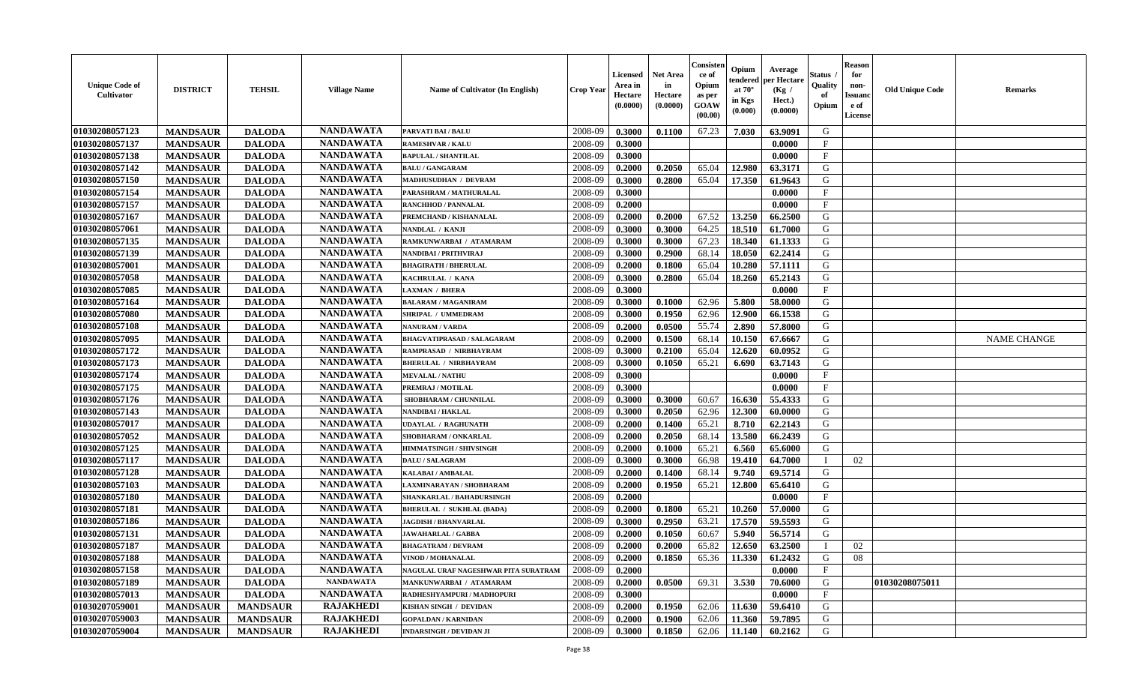| <b>Unique Code of</b><br><b>Cultivator</b> | <b>DISTRICT</b> | <b>TEHSIL</b>   | <b>Village Name</b> | <b>Name of Cultivator (In English)</b> | <b>Crop Year</b> | <b>Licensed</b><br>Area in<br>Hectare<br>(0.0000) | <b>Net Area</b><br>in<br>Hectare<br>(0.0000) | Consisteı<br>ce of<br>Opium<br>as per<br><b>GOAW</b><br>(00.00) | Opium<br>endered<br>at $70^\circ$<br>in Kgs<br>$(\mathbf{0.000})$ | Average<br>per Hectare<br>(Kg /<br>Hect.)<br>(0.0000) | Status<br>Quality<br>of<br>Opium | <b>Reason</b><br>for<br>non-<br>Issuan<br>e of<br>License | <b>Old Unique Code</b> | <b>Remarks</b>     |
|--------------------------------------------|-----------------|-----------------|---------------------|----------------------------------------|------------------|---------------------------------------------------|----------------------------------------------|-----------------------------------------------------------------|-------------------------------------------------------------------|-------------------------------------------------------|----------------------------------|-----------------------------------------------------------|------------------------|--------------------|
| 01030208057123                             | <b>MANDSAUR</b> | <b>DALODA</b>   | <b>NANDAWATA</b>    | <b>PARVATI BAI / BALU</b>              | 2008-09          | 0.3000                                            | 0.1100                                       | 67.23                                                           | 7.030                                                             | 63.9091                                               | G                                |                                                           |                        |                    |
| 01030208057137                             | <b>MANDSAUR</b> | <b>DALODA</b>   | <b>NANDAWATA</b>    | <b>RAMESHVAR / KALU</b>                | 2008-09          | 0.3000                                            |                                              |                                                                 |                                                                   | 0.0000                                                | $\mathbf{F}$                     |                                                           |                        |                    |
| 01030208057138                             | <b>MANDSAUR</b> | <b>DALODA</b>   | <b>NANDAWATA</b>    | <b>BAPULAL / SHANTILAL</b>             | 2008-09          | 0.3000                                            |                                              |                                                                 |                                                                   | 0.0000                                                | $\mathbf{F}$                     |                                                           |                        |                    |
| 01030208057142                             | <b>MANDSAUR</b> | <b>DALODA</b>   | <b>NANDAWATA</b>    | <b>BALU / GANGARAM</b>                 | 2008-09          | 0.2000                                            | 0.2050                                       | 65.04                                                           | 12.980                                                            | 63.3171                                               | G                                |                                                           |                        |                    |
| 01030208057150                             | <b>MANDSAUR</b> | <b>DALODA</b>   | <b>NANDAWATA</b>    | MADHUSUDHAN / DEVRAM                   | 2008-09          | 0.3000                                            | 0.2800                                       | 65.04                                                           | 17.350                                                            | 61.9643                                               | G                                |                                                           |                        |                    |
| 01030208057154                             | <b>MANDSAUR</b> | <b>DALODA</b>   | <b>NANDAWATA</b>    | PARASHRAM / MATHURALAL                 | 2008-09          | 0.3000                                            |                                              |                                                                 |                                                                   | 0.0000                                                | $_{\rm F}$                       |                                                           |                        |                    |
| 01030208057157                             | <b>MANDSAUR</b> | <b>DALODA</b>   | <b>NANDAWATA</b>    | <b>RANCHHOD / PANNALAL</b>             | 2008-09          | 0.2000                                            |                                              |                                                                 |                                                                   | 0.0000                                                | $\mathbf F$                      |                                                           |                        |                    |
| 01030208057167                             | <b>MANDSAUR</b> | <b>DALODA</b>   | <b>NANDAWATA</b>    | PREMCHAND / KISHANALAL                 | 2008-09          | 0.2000                                            | 0.2000                                       | 67.52                                                           | 13.250                                                            | 66.2500                                               | G                                |                                                           |                        |                    |
| 01030208057061                             | <b>MANDSAUR</b> | <b>DALODA</b>   | <b>NANDAWATA</b>    | NANDLAL / KANJI                        | 2008-09          | 0.3000                                            | 0.3000                                       | 64.25                                                           | 18.510                                                            | 61.7000                                               | G                                |                                                           |                        |                    |
| 01030208057135                             | <b>MANDSAUR</b> | <b>DALODA</b>   | <b>NANDAWATA</b>    | RAMKUNWARBAI / ATAMARAM                | 2008-09          | 0.3000                                            | 0.3000                                       | 67.23                                                           | 18.340                                                            | 61.1333                                               | G                                |                                                           |                        |                    |
| 01030208057139                             | <b>MANDSAUR</b> | <b>DALODA</b>   | <b>NANDAWATA</b>    | NANDIBAI / PRITHVIRAJ                  | 2008-09          | 0.3000                                            | 0.2900                                       | 68.14                                                           | 18.050                                                            | 62.2414                                               | G                                |                                                           |                        |                    |
| 01030208057001                             | <b>MANDSAUR</b> | <b>DALODA</b>   | <b>NANDAWATA</b>    | <b>BHAGIRATH / BHERULAL</b>            | 2008-09          | 0.2000                                            | 0.1800                                       | 65.04                                                           | 10.280                                                            | 57.1111                                               | G                                |                                                           |                        |                    |
| 01030208057058                             | <b>MANDSAUR</b> | <b>DALODA</b>   | <b>NANDAWATA</b>    | KACHRULAL / KANA                       | 2008-09          | 0.3000                                            | 0.2800                                       | 65.04                                                           | 18.260                                                            | 65.2143                                               | G                                |                                                           |                        |                    |
| 01030208057085                             | <b>MANDSAUR</b> | <b>DALODA</b>   | <b>NANDAWATA</b>    | <b>LAXMAN / BHERA</b>                  | 2008-09          | 0.3000                                            |                                              |                                                                 |                                                                   | 0.0000                                                | $\mathbf{F}$                     |                                                           |                        |                    |
| 01030208057164                             | <b>MANDSAUR</b> | <b>DALODA</b>   | <b>NANDAWATA</b>    | <b>BALARAM / MAGANIRAM</b>             | 2008-09          | 0.3000                                            | 0.1000                                       | 62.96                                                           | 5.800                                                             | 58.0000                                               | G                                |                                                           |                        |                    |
| 01030208057080                             | <b>MANDSAUR</b> | <b>DALODA</b>   | <b>NANDAWATA</b>    | SHRIPAL / UMMEDRAM                     | 2008-09          | 0.3000                                            | 0.1950                                       | 62.96                                                           | 12.900                                                            | 66.1538                                               | G                                |                                                           |                        |                    |
| 01030208057108                             | <b>MANDSAUR</b> | <b>DALODA</b>   | <b>NANDAWATA</b>    | <b>NANURAM / VARDA</b>                 | 2008-09          | 0.2000                                            | 0.0500                                       | 55.74                                                           | 2.890                                                             | 57.8000                                               | G                                |                                                           |                        |                    |
| 01030208057095                             | <b>MANDSAUR</b> | <b>DALODA</b>   | <b>NANDAWATA</b>    | <b>BHAGVATIPRASAD / SALAGARAM</b>      | 2008-09          | 0.2000                                            | 0.1500                                       | 68.14                                                           | 10.150                                                            | 67.6667                                               | G                                |                                                           |                        | <b>NAME CHANGE</b> |
| 01030208057172                             | <b>MANDSAUR</b> | <b>DALODA</b>   | <b>NANDAWATA</b>    | RAMPRASAD / NIRBHAYRAM                 | 2008-09          | 0.3000                                            | 0.2100                                       | 65.04                                                           | 12.620                                                            | 60.0952                                               | G                                |                                                           |                        |                    |
| 01030208057173                             | <b>MANDSAUR</b> | <b>DALODA</b>   | <b>NANDAWATA</b>    | <b>BHERULAL / NIRBHAYRAM</b>           | 2008-09          | 0.3000                                            | 0.1050                                       | 65.21                                                           | 6.690                                                             | 63.7143                                               | G                                |                                                           |                        |                    |
| 01030208057174                             | <b>MANDSAUR</b> | <b>DALODA</b>   | <b>NANDAWATA</b>    | <b>MEVALAL / NATHU</b>                 | 2008-09          | 0.3000                                            |                                              |                                                                 |                                                                   | 0.0000                                                | F                                |                                                           |                        |                    |
| 01030208057175                             | <b>MANDSAUR</b> | <b>DALODA</b>   | <b>NANDAWATA</b>    | PREMRAJ / MOTILAL                      | 2008-09          | 0.3000                                            |                                              |                                                                 |                                                                   | 0.0000                                                | $\mathbf{F}$                     |                                                           |                        |                    |
| 01030208057176                             | <b>MANDSAUR</b> | <b>DALODA</b>   | <b>NANDAWATA</b>    | SHOBHARAM / CHUNNILAL                  | 2008-09          | 0.3000                                            | 0.3000                                       | 60.67                                                           | 16.630                                                            | 55.4333                                               | G                                |                                                           |                        |                    |
| 01030208057143                             | <b>MANDSAUR</b> | <b>DALODA</b>   | <b>NANDAWATA</b>    | NANDIBAI / HAKLAL                      | 2008-09          | 0.3000                                            | 0.2050                                       | 62.96                                                           | 12.300                                                            | 60.0000                                               | G                                |                                                           |                        |                    |
| 01030208057017                             | <b>MANDSAUR</b> | <b>DALODA</b>   | <b>NANDAWATA</b>    | <b>UDAYLAL / RAGHUNATH</b>             | 2008-09          | 0.2000                                            | 0.1400                                       | 65.21                                                           | 8.710                                                             | 62.2143                                               | G                                |                                                           |                        |                    |
| 01030208057052                             | <b>MANDSAUR</b> | <b>DALODA</b>   | <b>NANDAWATA</b>    | SHOBHARAM / ONKARLAL                   | 2008-09          | 0.2000                                            | 0.2050                                       | 68.14                                                           | 13.580                                                            | 66.2439                                               | G                                |                                                           |                        |                    |
| 01030208057125                             | <b>MANDSAUR</b> | <b>DALODA</b>   | <b>NANDAWATA</b>    | <b>HIMMATSINGH / SHIVSINGH</b>         | 2008-09          | 0.2000                                            | 0.1000                                       | 65.21                                                           | 6.560                                                             | 65.6000                                               | G                                |                                                           |                        |                    |
| 01030208057117                             | <b>MANDSAUR</b> | <b>DALODA</b>   | <b>NANDAWATA</b>    | <b>DALU / SALAGRAM</b>                 | 2008-09          | 0.3000                                            | 0.3000                                       | 66.98                                                           | 19.410                                                            | 64.7000                                               | $\blacksquare$                   | 02                                                        |                        |                    |
| 01030208057128                             | <b>MANDSAUR</b> | <b>DALODA</b>   | <b>NANDAWATA</b>    | <b>KALABAI/AMBALAL</b>                 | 2008-09          | 0.2000                                            | 0.1400                                       | 68.14                                                           | 9.740                                                             | 69.5714                                               | G                                |                                                           |                        |                    |
| 01030208057103                             | <b>MANDSAUR</b> | <b>DALODA</b>   | <b>NANDAWATA</b>    | LAXMINARAYAN / SHOBHARAM               | 2008-09          | 0.2000                                            | 0.1950                                       | 65.21                                                           | 12.800                                                            | 65.6410                                               | G                                |                                                           |                        |                    |
| 01030208057180                             | <b>MANDSAUR</b> | <b>DALODA</b>   | <b>NANDAWATA</b>    | SHANKARLAL / BAHADURSINGH              | 2008-09          | 0.2000                                            |                                              |                                                                 |                                                                   | 0.0000                                                | $\mathbf{F}$                     |                                                           |                        |                    |
| 01030208057181                             | <b>MANDSAUR</b> | <b>DALODA</b>   | <b>NANDAWATA</b>    | <b>BHERULAL / SUKHLAL (BADA)</b>       | 2008-09          | 0.2000                                            | 0.1800                                       | 65.21                                                           | 10.260                                                            | 57.0000                                               | G                                |                                                           |                        |                    |
| 01030208057186                             | <b>MANDSAUR</b> | <b>DALODA</b>   | <b>NANDAWATA</b>    | <b>JAGDISH / BHANVARLAL</b>            | 2008-09          | 0.3000                                            | 0.2950                                       | 63.21                                                           | 17.570                                                            | 59.5593                                               | G                                |                                                           |                        |                    |
| 01030208057131                             | <b>MANDSAUR</b> | <b>DALODA</b>   | <b>NANDAWATA</b>    | <b>JAWAHARLAL / GABBA</b>              | 2008-09          | 0.2000                                            | 0.1050                                       | 60.67                                                           | 5.940                                                             | 56.5714                                               | G                                |                                                           |                        |                    |
| 01030208057187                             | <b>MANDSAUR</b> | <b>DALODA</b>   | <b>NANDAWATA</b>    | <b>BHAGATRAM / DEVRAM</b>              | 2008-09          | 0.2000                                            | 0.2000                                       | 65.82                                                           | 12.650                                                            | 63.2500                                               |                                  | 02                                                        |                        |                    |
| 01030208057188                             | <b>MANDSAUR</b> | <b>DALODA</b>   | <b>NANDAWATA</b>    | VINOD / MOHANALAL                      | 2008-09          | 0.2000                                            | 0.1850                                       |                                                                 |                                                                   | $65.36$   11.330   61.2432                            | G                                | 08                                                        |                        |                    |
| 01030208057158                             | <b>MANDSAUR</b> | <b>DALODA</b>   | <b>NANDAWATA</b>    | NAGULAL URAF NAGESHWAR PITA SURATRAM   | 2008-09          | 0.2000                                            |                                              |                                                                 |                                                                   | 0.0000                                                | $\mathbf{F}$                     |                                                           |                        |                    |
| 01030208057189                             | <b>MANDSAUR</b> | <b>DALODA</b>   | <b>NANDAWATA</b>    | MANKUNWARBAI / ATAMARAM                | 2008-09          | 0.2000                                            | 0.0500                                       | 69.31                                                           | 3.530                                                             | 70.6000                                               | G                                |                                                           | 01030208075011         |                    |
| 01030208057013                             | <b>MANDSAUR</b> | <b>DALODA</b>   | <b>NANDAWATA</b>    | RADHESHYAMPURI / MADHOPURI             | 2008-09          | 0.3000                                            |                                              |                                                                 |                                                                   | 0.0000                                                | $\mathbf{F}$                     |                                                           |                        |                    |
| 01030207059001                             | <b>MANDSAUR</b> | <b>MANDSAUR</b> | <b>RAJAKHEDI</b>    | KISHAN SINGH / DEVIDAN                 | 2008-09          | 0.2000                                            | 0.1950                                       | 62.06                                                           | 11.630                                                            | 59.6410                                               | G                                |                                                           |                        |                    |
| 01030207059003                             | <b>MANDSAUR</b> | <b>MANDSAUR</b> | <b>RAJAKHEDI</b>    | <b>GOPALDAN / KARNIDAN</b>             | 2008-09          | 0.2000                                            | 0.1900                                       | 62.06                                                           | 11.360                                                            | 59.7895                                               | G                                |                                                           |                        |                    |
| 01030207059004                             | <b>MANDSAUR</b> | <b>MANDSAUR</b> | <b>RAJAKHEDI</b>    | <b>INDARSINGH / DEVIDAN JI</b>         | 2008-09          | 0.3000                                            | 0.1850                                       | 62.06                                                           | 11.140                                                            | 60.2162                                               | G                                |                                                           |                        |                    |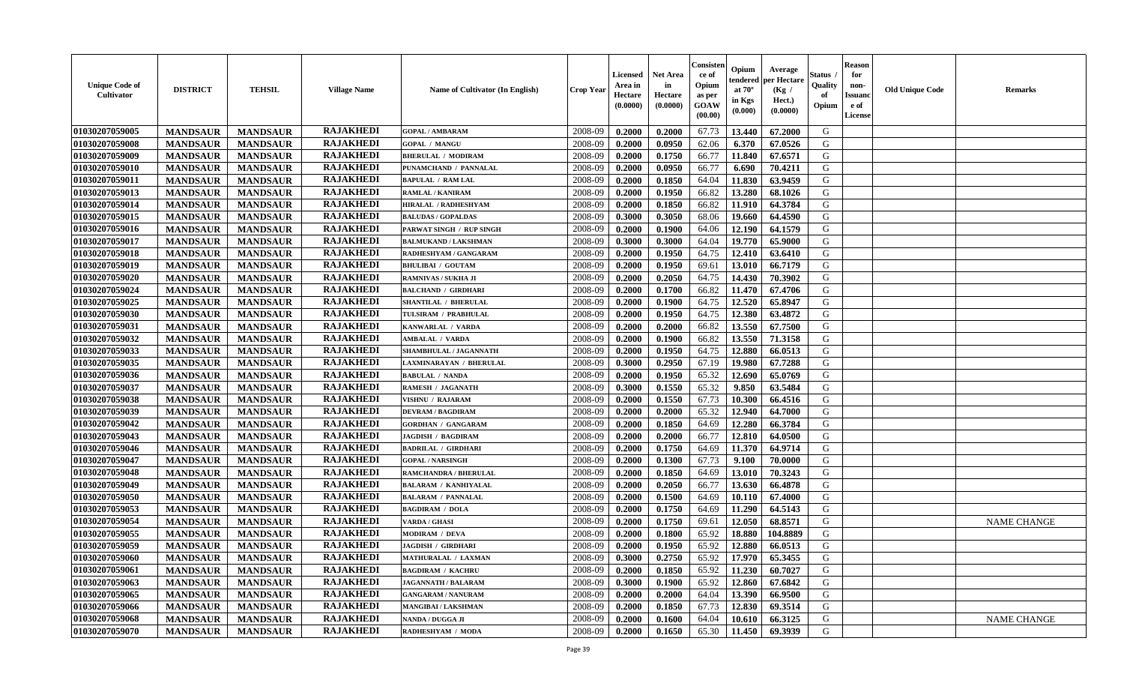| <b>Unique Code of</b><br>Cultivator | <b>DISTRICT</b> | <b>TEHSIL</b>   | <b>Village Name</b> | <b>Name of Cultivator (In English)</b> | <b>Crop Year</b> | <b>Licensed</b><br>Area in<br>Hectare<br>(0.0000) | Net Area<br>in<br>Hectare<br>(0.0000) | Consister<br>ce of<br>Opium<br>as per<br><b>GOAW</b><br>(00.00) | Opium<br>endered<br>at $70^\circ$<br>in Kgs<br>(0.000) | Average<br>per Hectare<br>(Kg /<br>Hect.)<br>(0.0000) | Status<br>Quality<br>of<br>Opium | <b>Reason</b><br>for<br>non-<br><b>Issuanc</b><br>e of<br>License | <b>Old Unique Code</b> | <b>Remarks</b>     |
|-------------------------------------|-----------------|-----------------|---------------------|----------------------------------------|------------------|---------------------------------------------------|---------------------------------------|-----------------------------------------------------------------|--------------------------------------------------------|-------------------------------------------------------|----------------------------------|-------------------------------------------------------------------|------------------------|--------------------|
| 01030207059005                      | <b>MANDSAUR</b> | <b>MANDSAUR</b> | <b>RAJAKHEDI</b>    | <b>GOPAL / AMBARAM</b>                 | 2008-09          | 0.2000                                            | 0.2000                                | 67.73                                                           | 13.440                                                 | 67.2000                                               | G                                |                                                                   |                        |                    |
| 01030207059008                      | <b>MANDSAUR</b> | <b>MANDSAUR</b> | <b>RAJAKHEDI</b>    | <b>GOPAL / MANGU</b>                   | 2008-09          | 0.2000                                            | 0.0950                                | 62.06                                                           | 6.370                                                  | 67.0526                                               | G                                |                                                                   |                        |                    |
| 01030207059009                      | <b>MANDSAUR</b> | <b>MANDSAUR</b> | <b>RAJAKHEDI</b>    | <b>BHERULAL / MODIRAM</b>              | 2008-09          | 0.2000                                            | 0.1750                                | 66.77                                                           | 11.840                                                 | 67.6571                                               | G                                |                                                                   |                        |                    |
| 01030207059010                      | <b>MANDSAUR</b> | <b>MANDSAUR</b> | <b>RAJAKHEDI</b>    | PUNAMCHAND / PANNALAL                  | 2008-09          | 0.2000                                            | 0.0950                                | 66.77                                                           | 6.690                                                  | 70.4211                                               | G                                |                                                                   |                        |                    |
| 01030207059011                      | <b>MANDSAUR</b> | <b>MANDSAUR</b> | <b>RAJAKHEDI</b>    | <b>BAPULAL / RAM LAL</b>               | 2008-09          | 0.2000                                            | 0.1850                                | 64.04                                                           | 11.830                                                 | 63.9459                                               | G                                |                                                                   |                        |                    |
| 01030207059013                      | <b>MANDSAUR</b> | <b>MANDSAUR</b> | <b>RAJAKHEDI</b>    | RAMLAL / KANIRAM                       | 2008-09          | 0.2000                                            | 0.1950                                | 66.82                                                           | 13.280                                                 | 68.1026                                               | G                                |                                                                   |                        |                    |
| 01030207059014                      | <b>MANDSAUR</b> | <b>MANDSAUR</b> | <b>RAJAKHEDI</b>    | HIRALAL / RADHESHYAM                   | 2008-09          | 0.2000                                            | 0.1850                                | 66.82                                                           | 11.910                                                 | 64.3784                                               | ${\bf G}$                        |                                                                   |                        |                    |
| 01030207059015                      | <b>MANDSAUR</b> | <b>MANDSAUR</b> | <b>RAJAKHEDI</b>    | <b>BALUDAS / GOPALDAS</b>              | 2008-09          | 0.3000                                            | 0.3050                                | 68.06                                                           | 19.660                                                 | 64.4590                                               | G                                |                                                                   |                        |                    |
| 01030207059016                      | <b>MANDSAUR</b> | <b>MANDSAUR</b> | <b>RAJAKHEDI</b>    | PARWAT SINGH / RUP SINGH               | 2008-09          | 0.2000                                            | 0.1900                                | 64.06                                                           | 12.190                                                 | 64.1579                                               | G                                |                                                                   |                        |                    |
| 01030207059017                      | <b>MANDSAUR</b> | <b>MANDSAUR</b> | <b>RAJAKHEDI</b>    | <b>BALMUKAND / LAKSHMAN</b>            | 2008-09          | 0.3000                                            | 0.3000                                | 64.04                                                           | 19.770                                                 | 65.9000                                               | G                                |                                                                   |                        |                    |
| 01030207059018                      | <b>MANDSAUR</b> | <b>MANDSAUR</b> | <b>RAJAKHEDI</b>    | RADHESHYAM / GANGARAM                  | 2008-09          | 0.2000                                            | 0.1950                                | 64.75                                                           | 12.410                                                 | 63.6410                                               | G                                |                                                                   |                        |                    |
| 01030207059019                      | <b>MANDSAUR</b> | <b>MANDSAUR</b> | <b>RAJAKHEDI</b>    | <b>BHULIBAI / GOUTAM</b>               | 2008-09          | 0.2000                                            | 0.1950                                | 69.61                                                           | 13.010                                                 | 66.7179                                               | G                                |                                                                   |                        |                    |
| 01030207059020                      | <b>MANDSAUR</b> | <b>MANDSAUR</b> | <b>RAJAKHEDI</b>    | RAMNIVAS / SUKHA JI                    | 2008-09          | 0.2000                                            | 0.2050                                | 64.75                                                           | 14.430                                                 | 70.3902                                               | G                                |                                                                   |                        |                    |
| 01030207059024                      | <b>MANDSAUR</b> | <b>MANDSAUR</b> | <b>RAJAKHEDI</b>    | <b>BALCHAND / GIRDHARI</b>             | 2008-09          | 0.2000                                            | 0.1700                                | 66.82                                                           | 11.470                                                 | 67.4706                                               | ${\bf G}$                        |                                                                   |                        |                    |
| 01030207059025                      | <b>MANDSAUR</b> | <b>MANDSAUR</b> | <b>RAJAKHEDI</b>    | SHANTILAL / BHERULAL                   | 2008-09          | 0.2000                                            | 0.1900                                | 64.75                                                           | 12.520                                                 | 65.8947                                               | G                                |                                                                   |                        |                    |
| 01030207059030                      | <b>MANDSAUR</b> | <b>MANDSAUR</b> | <b>RAJAKHEDI</b>    | TULSIRAM / PRABHULAL                   | 2008-09          | 0.2000                                            | 0.1950                                | 64.75                                                           | 12.380                                                 | 63.4872                                               | G                                |                                                                   |                        |                    |
| 01030207059031                      | <b>MANDSAUR</b> | <b>MANDSAUR</b> | <b>RAJAKHEDI</b>    | KANWARLAL / VARDA                      | 2008-09          | 0.2000                                            | 0.2000                                | 66.82                                                           | 13.550                                                 | 67.7500                                               | G                                |                                                                   |                        |                    |
| 01030207059032                      | <b>MANDSAUR</b> | <b>MANDSAUR</b> | <b>RAJAKHEDI</b>    | <b>AMBALAL / VARDA</b>                 | 2008-09          | 0.2000                                            | 0.1900                                | 66.82                                                           | 13.550                                                 | 71.3158                                               | G                                |                                                                   |                        |                    |
| 01030207059033                      | <b>MANDSAUR</b> | <b>MANDSAUR</b> | <b>RAJAKHEDI</b>    | SHAMBHULAL / JAGANNATH                 | 2008-09          | 0.2000                                            | 0.1950                                | 64.75                                                           | 12.880                                                 | 66.0513                                               | G                                |                                                                   |                        |                    |
| 01030207059035                      | <b>MANDSAUR</b> | <b>MANDSAUR</b> | <b>RAJAKHEDI</b>    | LAXMINARAYAN / BHERULAL                | 2008-09          | 0.3000                                            | 0.2950                                | 67.19                                                           | 19.980                                                 | 67.7288                                               | G                                |                                                                   |                        |                    |
| 01030207059036                      | <b>MANDSAUR</b> | <b>MANDSAUR</b> | <b>RAJAKHEDI</b>    | <b>BABULAL / NANDA</b>                 | 2008-09          | 0.2000                                            | 0.1950                                | 65.32                                                           | 12.690                                                 | 65.0769                                               | G                                |                                                                   |                        |                    |
| 01030207059037                      | <b>MANDSAUR</b> | <b>MANDSAUR</b> | <b>RAJAKHEDI</b>    | <b>RAMESH / JAGANATH</b>               | 2008-09          | 0.3000                                            | 0.1550                                | 65.32                                                           | 9.850                                                  | 63.5484                                               | G                                |                                                                   |                        |                    |
| 01030207059038                      | <b>MANDSAUR</b> | <b>MANDSAUR</b> | <b>RAJAKHEDI</b>    | VISHNU / RAJARAM                       | 2008-09          | 0.2000                                            | 0.1550                                | 67.73                                                           | 10.300                                                 | 66.4516                                               | G                                |                                                                   |                        |                    |
| 01030207059039                      | <b>MANDSAUR</b> | <b>MANDSAUR</b> | <b>RAJAKHEDI</b>    | <b>DEVRAM / BAGDIRAM</b>               | 2008-09          | 0.2000                                            | 0.2000                                | 65.32                                                           | 12.940                                                 | 64.7000                                               | G                                |                                                                   |                        |                    |
| 01030207059042                      | <b>MANDSAUR</b> | <b>MANDSAUR</b> | <b>RAJAKHEDI</b>    | <b>GORDHAN / GANGARAM</b>              | 2008-09          | 0.2000                                            | 0.1850                                | 64.69                                                           | 12.280                                                 | 66.3784                                               | G                                |                                                                   |                        |                    |
| 01030207059043                      | <b>MANDSAUR</b> | <b>MANDSAUR</b> | <b>RAJAKHEDI</b>    | <b>JAGDISH / BAGDIRAM</b>              | 2008-09          | 0.2000                                            | 0.2000                                | 66.77                                                           | 12.810                                                 | 64.0500                                               | G                                |                                                                   |                        |                    |
| 01030207059046                      | <b>MANDSAUR</b> | <b>MANDSAUR</b> | <b>RAJAKHEDI</b>    | <b>BADRILAL / GIRDHARI</b>             | 2008-09          | 0.2000                                            | 0.1750                                | 64.69                                                           | 11.370                                                 | 64.9714                                               | G                                |                                                                   |                        |                    |
| 01030207059047                      | <b>MANDSAUR</b> | <b>MANDSAUR</b> | <b>RAJAKHEDI</b>    | <b>GOPAL / NARSINGH</b>                | 2008-09          | 0.2000                                            | 0.1300                                | 67.73                                                           | 9.100                                                  | 70.0000                                               | G                                |                                                                   |                        |                    |
| 01030207059048                      | <b>MANDSAUR</b> | <b>MANDSAUR</b> | <b>RAJAKHEDI</b>    | <b>RAMCHANDRA / BHERULAL</b>           | 2008-09          | 0.2000                                            | 0.1850                                | 64.69                                                           | 13.010                                                 | 70.3243                                               | G                                |                                                                   |                        |                    |
| 01030207059049                      | <b>MANDSAUR</b> | <b>MANDSAUR</b> | <b>RAJAKHEDI</b>    | <b>BALARAM / KANHIYALAL</b>            | 2008-09          | 0.2000                                            | 0.2050                                | 66.77                                                           | 13.630                                                 | 66.4878                                               | G                                |                                                                   |                        |                    |
| 01030207059050                      | <b>MANDSAUR</b> | <b>MANDSAUR</b> | <b>RAJAKHEDI</b>    | <b>BALARAM / PANNALAL</b>              | 2008-09          | 0.2000                                            | 0.1500                                | 64.69                                                           | 10.110                                                 | 67.4000                                               | ${\bf G}$                        |                                                                   |                        |                    |
| 01030207059053                      | <b>MANDSAUR</b> | <b>MANDSAUR</b> | <b>RAJAKHEDI</b>    | <b>BAGDIRAM / DOLA</b>                 | 2008-09          | 0.2000                                            | 0.1750                                | 64.69                                                           | 11.290                                                 | 64.5143                                               | G                                |                                                                   |                        |                    |
| 01030207059054                      | <b>MANDSAUR</b> | <b>MANDSAUR</b> | <b>RAJAKHEDI</b>    | <b>VARDA / GHASI</b>                   | 2008-09          | 0.2000                                            | 0.1750                                | 69.61                                                           | 12.050                                                 | 68.8571                                               | G                                |                                                                   |                        | <b>NAME CHANGE</b> |
| 01030207059055                      | <b>MANDSAUR</b> | <b>MANDSAUR</b> | <b>RAJAKHEDI</b>    | MODIRAM / DEVA                         | 2008-09          | 0.2000                                            | 0.1800                                | 65.92                                                           | 18.880                                                 | 104.8889                                              | G                                |                                                                   |                        |                    |
| 01030207059059                      | <b>MANDSAUR</b> | <b>MANDSAUR</b> | <b>RAJAKHEDI</b>    | <b>JAGDISH / GIRDHARI</b>              | 2008-09          | 0.2000                                            | 0.1950                                | 65.92                                                           | 12.880                                                 | 66.0513                                               | G                                |                                                                   |                        |                    |
| 01030207059060                      | <b>MANDSAUR</b> | <b>MANDSAUR</b> | <b>RAJAKHEDI</b>    | MATHURALAL / LAXMAN                    | 2008-09          | 0.3000                                            | 0.2750                                | 65.92                                                           | 17.970                                                 | 65.3455                                               | G                                |                                                                   |                        |                    |
| 01030207059061                      | <b>MANDSAUR</b> | <b>MANDSAUR</b> | <b>RAJAKHEDI</b>    | <b>BAGDIRAM / KACHRU</b>               | 2008-09          | 0.2000                                            | 0.1850                                | 65.92                                                           | 11.230                                                 | 60.7027                                               | G                                |                                                                   |                        |                    |
| 01030207059063                      | <b>MANDSAUR</b> | <b>MANDSAUR</b> | <b>RAJAKHEDI</b>    | <b>JAGANNATH / BALARAM</b>             | 2008-09          | 0.3000                                            | 0.1900                                | 65.92                                                           | 12.860                                                 | 67.6842                                               | G                                |                                                                   |                        |                    |
| 01030207059065                      | <b>MANDSAUR</b> | <b>MANDSAUR</b> | <b>RAJAKHEDI</b>    | <b>GANGARAM / NANURAM</b>              | 2008-09          | 0.2000                                            | 0.2000                                | 64.04                                                           | 13.390                                                 | 66.9500                                               | G                                |                                                                   |                        |                    |
| 01030207059066                      | <b>MANDSAUR</b> | <b>MANDSAUR</b> | <b>RAJAKHEDI</b>    | MANGIBAI / LAKSHMAN                    | 2008-09          | 0.2000                                            | 0.1850                                | 67.73                                                           | 12.830                                                 | 69.3514                                               | G                                |                                                                   |                        |                    |
| 01030207059068                      | <b>MANDSAUR</b> | <b>MANDSAUR</b> | <b>RAJAKHEDI</b>    | <b>NANDA / DUGGA JI</b>                | 2008-09          | 0.2000                                            | 0.1600                                | 64.04                                                           | 10.610                                                 | 66.3125                                               | G                                |                                                                   |                        | <b>NAME CHANGE</b> |
| 01030207059070                      | <b>MANDSAUR</b> | <b>MANDSAUR</b> | <b>RAJAKHEDI</b>    | RADHESHYAM / MODA                      | 2008-09          | 0.2000                                            | 0.1650                                | 65.30                                                           | 11.450                                                 | 69.3939                                               | G                                |                                                                   |                        |                    |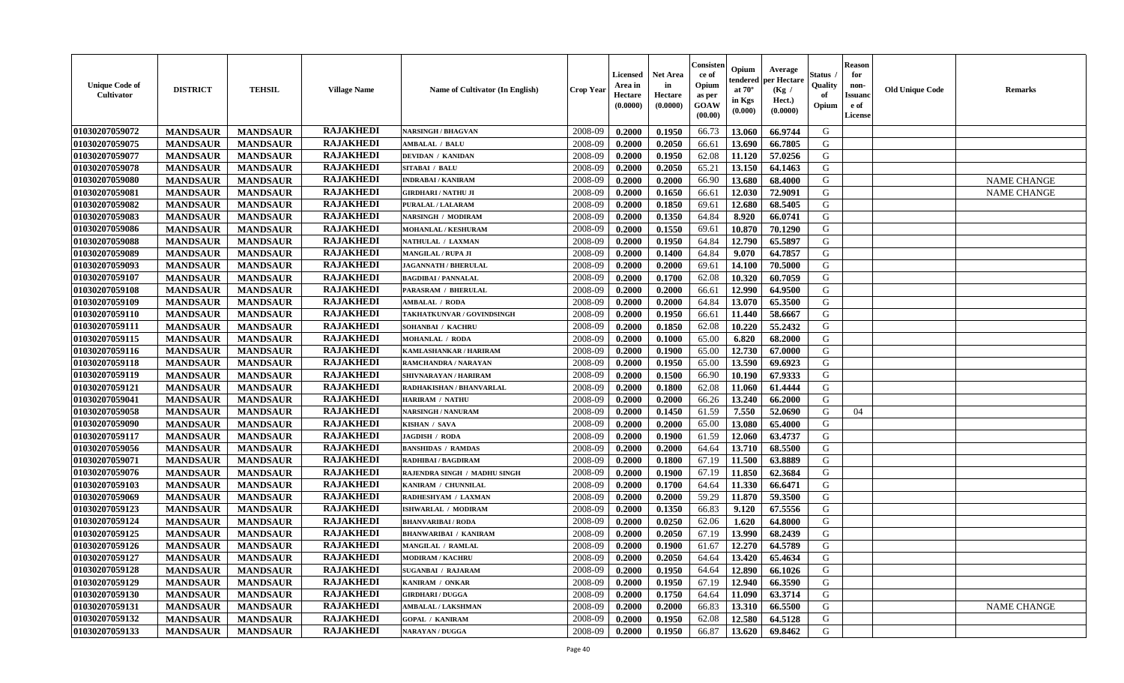| <b>Unique Code of</b><br>Cultivator | <b>DISTRICT</b> | <b>TEHSIL</b>   | <b>Village Name</b> | Name of Cultivator (In English) | <b>Crop Year</b> | <b>Licensed</b><br>Area in<br>Hectare<br>(0.0000) | <b>Net Area</b><br>in<br>Hectare<br>(0.0000) | Consisteı<br>ce of<br>Opium<br>as per<br>GOAW<br>(00.00) | Opium<br>endered<br>at 70°<br>in Kgs<br>(0.000) | Average<br>er Hectare<br>(Kg /<br>Hect.)<br>(0.0000) | Status<br>Quality<br>of<br>Opium | <b>Reason</b><br>for<br>non-<br><b>Issuand</b><br>e of<br>License | <b>Old Unique Code</b> | Remarks            |
|-------------------------------------|-----------------|-----------------|---------------------|---------------------------------|------------------|---------------------------------------------------|----------------------------------------------|----------------------------------------------------------|-------------------------------------------------|------------------------------------------------------|----------------------------------|-------------------------------------------------------------------|------------------------|--------------------|
| 01030207059072                      | <b>MANDSAUR</b> | <b>MANDSAUR</b> | <b>RAJAKHEDI</b>    | <b>NARSINGH / BHAGVAN</b>       | 2008-09          | 0.2000                                            | 0.1950                                       | 66.73                                                    | 13.060                                          | 66.9744                                              | G                                |                                                                   |                        |                    |
| 01030207059075                      | <b>MANDSAUR</b> | <b>MANDSAUR</b> | <b>RAJAKHEDI</b>    | <b>AMBALAL / BALU</b>           | 2008-09          | 0.2000                                            | 0.2050                                       | 66.61                                                    | 13.690                                          | 66.7805                                              | G                                |                                                                   |                        |                    |
| 01030207059077                      | <b>MANDSAUR</b> | <b>MANDSAUR</b> | <b>RAJAKHEDI</b>    | <b>DEVIDAN / KANIDAN</b>        | 2008-09          | 0.2000                                            | 0.1950                                       | 62.08                                                    | 11.120                                          | 57.0256                                              | G                                |                                                                   |                        |                    |
| 01030207059078                      | <b>MANDSAUR</b> | <b>MANDSAUR</b> | <b>RAJAKHEDI</b>    | <b>SITABAI / BALU</b>           | 2008-09          | 0.2000                                            | 0.2050                                       | 65.21                                                    | 13.150                                          | 64.1463                                              | G                                |                                                                   |                        |                    |
| 01030207059080                      | <b>MANDSAUR</b> | <b>MANDSAUR</b> | <b>RAJAKHEDI</b>    | <b>INDRABAI/KANIRAM</b>         | 2008-09          | 0.2000                                            | 0.2000                                       | 66.90                                                    | 13.680                                          | 68.4000                                              | G                                |                                                                   |                        | <b>NAME CHANGE</b> |
| 01030207059081                      | <b>MANDSAUR</b> | <b>MANDSAUR</b> | <b>RAJAKHEDI</b>    | GIRDHARI / NATHU JI             | 2008-09          | 0.2000                                            | 0.1650                                       | 66.61                                                    | 12.030                                          | 72.9091                                              | G                                |                                                                   |                        | <b>NAME CHANGE</b> |
| 01030207059082                      | <b>MANDSAUR</b> | <b>MANDSAUR</b> | <b>RAJAKHEDI</b>    | PURALAL / LALARAM               | 2008-09          | 0.2000                                            | 0.1850                                       | 69.61                                                    | 12.680                                          | 68.5405                                              | G                                |                                                                   |                        |                    |
| 01030207059083                      | <b>MANDSAUR</b> | <b>MANDSAUR</b> | <b>RAJAKHEDI</b>    | NARSINGH / MODIRAM              | 2008-09          | 0.2000                                            | 0.1350                                       | 64.84                                                    | 8.920                                           | 66.0741                                              | G                                |                                                                   |                        |                    |
| 01030207059086                      | <b>MANDSAUR</b> | <b>MANDSAUR</b> | <b>RAJAKHEDI</b>    | MOHANLAL / KESHURAM             | 2008-09          | 0.2000                                            | 0.1550                                       | 69.61                                                    | 10.870                                          | 70.1290                                              | G                                |                                                                   |                        |                    |
| 01030207059088                      | <b>MANDSAUR</b> | <b>MANDSAUR</b> | <b>RAJAKHEDI</b>    | NATHULAL / LAXMAN               | 2008-09          | 0.2000                                            | 0.1950                                       | 64.84                                                    | 12.790                                          | 65.5897                                              | G                                |                                                                   |                        |                    |
| 01030207059089                      | <b>MANDSAUR</b> | <b>MANDSAUR</b> | <b>RAJAKHEDI</b>    | <b>MANGILAL / RUPA JI</b>       | 2008-09          | 0.2000                                            | 0.1400                                       | 64.84                                                    | 9.070                                           | 64.7857                                              | G                                |                                                                   |                        |                    |
| 01030207059093                      | <b>MANDSAUR</b> | <b>MANDSAUR</b> | <b>RAJAKHEDI</b>    | <b>JAGANNATH / BHERULAL</b>     | 2008-09          | 0.2000                                            | 0.2000                                       | 69.61                                                    | 14.100                                          | 70.5000                                              | G                                |                                                                   |                        |                    |
| 01030207059107                      | <b>MANDSAUR</b> | <b>MANDSAUR</b> | <b>RAJAKHEDI</b>    | <b>BAGDIBAI / PANNALAL</b>      | 2008-09          | 0.2000                                            | 0.1700                                       | 62.08                                                    | 10.320                                          | 60.7059                                              | G                                |                                                                   |                        |                    |
| 01030207059108                      | <b>MANDSAUR</b> | <b>MANDSAUR</b> | <b>RAJAKHEDI</b>    | PARASRAM / BHERULAL             | 2008-09          | 0.2000                                            | 0.2000                                       | 66.61                                                    | 12.990                                          | 64.9500                                              | G                                |                                                                   |                        |                    |
| 01030207059109                      | <b>MANDSAUR</b> | <b>MANDSAUR</b> | <b>RAJAKHEDI</b>    | <b>MBALAL / RODA</b>            | 2008-09          | 0.2000                                            | 0.2000                                       | 64.84                                                    | 13.070                                          | 65.3500                                              | $\mathbf G$                      |                                                                   |                        |                    |
| 01030207059110                      | <b>MANDSAUR</b> | <b>MANDSAUR</b> | <b>RAJAKHEDI</b>    | TAKHATKUNVAR / GOVINDSINGH      | 2008-09          | 0.2000                                            | 0.1950                                       | 66.61                                                    | 11.440                                          | 58.6667                                              | G                                |                                                                   |                        |                    |
| 01030207059111                      | <b>MANDSAUR</b> | <b>MANDSAUR</b> | <b>RAJAKHEDI</b>    | SOHANBAI / KACHRU               | 2008-09          | 0.2000                                            | 0.1850                                       | 62.08                                                    | 10.220                                          | 55.2432                                              | G                                |                                                                   |                        |                    |
| 01030207059115                      | <b>MANDSAUR</b> | <b>MANDSAUR</b> | <b>RAJAKHEDI</b>    | <b>MOHANLAL / RODA</b>          | 2008-09          | 0.2000                                            | 0.1000                                       | 65.00                                                    | 6.820                                           | 68.2000                                              | G                                |                                                                   |                        |                    |
| 01030207059116                      | <b>MANDSAUR</b> | <b>MANDSAUR</b> | <b>RAJAKHEDI</b>    | KAMLASHANKAR / HARIRAM          | 2008-09          | 0.2000                                            | 0.1900                                       | 65.00                                                    | 12.730                                          | 67.0000                                              | G                                |                                                                   |                        |                    |
| 01030207059118                      |                 |                 | <b>RAJAKHEDI</b>    | RAMCHANDRA / NARAYAN            | 2008-09          | 0.2000                                            | 0.1950                                       | 65.00                                                    | 13.590                                          | 69.6923                                              | G                                |                                                                   |                        |                    |
|                                     | <b>MANDSAUR</b> | <b>MANDSAUR</b> | <b>RAJAKHEDI</b>    | SHIVNARAYAN / HARIRAM           |                  |                                                   |                                              |                                                          |                                                 |                                                      |                                  |                                                                   |                        |                    |
| 01030207059119                      | <b>MANDSAUR</b> | <b>MANDSAUR</b> | <b>RAJAKHEDI</b>    |                                 | 2008-09          | 0.2000                                            | 0.1500                                       | 66.90                                                    | 10.190                                          | 67.9333                                              | G                                |                                                                   |                        |                    |
| 01030207059121                      | <b>MANDSAUR</b> | <b>MANDSAUR</b> |                     | RADHAKISHAN / BHANVARLAL        | 2008-09          | 0.2000                                            | 0.1800                                       | 62.08                                                    | 11.060                                          | 61.4444                                              | G                                |                                                                   |                        |                    |
| 01030207059041                      | <b>MANDSAUR</b> | <b>MANDSAUR</b> | <b>RAJAKHEDI</b>    | <b>HARIRAM / NATHU</b>          | 2008-09          | 0.2000                                            | 0.2000                                       | 66.26                                                    | 13.240                                          | 66.2000                                              | G                                |                                                                   |                        |                    |
| 01030207059058                      | <b>MANDSAUR</b> | <b>MANDSAUR</b> | <b>RAJAKHEDI</b>    | <b>NARSINGH / NANURAM</b>       | 2008-09          | 0.2000                                            | 0.1450                                       | 61.59                                                    | 7.550                                           | 52.0690                                              | G                                | 04                                                                |                        |                    |
| 01030207059090                      | <b>MANDSAUR</b> | <b>MANDSAUR</b> | <b>RAJAKHEDI</b>    | KISHAN / SAVA                   | 2008-09          | 0.2000                                            | 0.2000                                       | 65.00                                                    | 13.080                                          | 65.4000                                              | G                                |                                                                   |                        |                    |
| 01030207059117                      | <b>MANDSAUR</b> | <b>MANDSAUR</b> | <b>RAJAKHEDI</b>    | JAGDISH / RODA                  | 2008-09          | 0.2000                                            | 0.1900                                       | 61.59                                                    | 12.060                                          | 63.4737                                              | G                                |                                                                   |                        |                    |
| 01030207059056                      | <b>MANDSAUR</b> | <b>MANDSAUR</b> | <b>RAJAKHEDI</b>    | <b>BANSHIDAS / RAMDAS</b>       | 2008-09          | 0.2000                                            | 0.2000                                       | 64.64                                                    | 13.710                                          | 68.5500                                              | G                                |                                                                   |                        |                    |
| 01030207059071                      | <b>MANDSAUR</b> | <b>MANDSAUR</b> | <b>RAJAKHEDI</b>    | RADHIBAI / BAGDIRAM             | 2008-09          | 0.2000                                            | 0.1800                                       | 67.19                                                    | 11.500                                          | 63.8889                                              | G                                |                                                                   |                        |                    |
| 01030207059076                      | <b>MANDSAUR</b> | <b>MANDSAUR</b> | <b>RAJAKHEDI</b>    | RAJENDRA SINGH / MADHU SINGH    | 2008-09          | 0.2000                                            | 0.1900                                       | 67.19                                                    | 11.850                                          | 62.3684                                              | G                                |                                                                   |                        |                    |
| 01030207059103                      | <b>MANDSAUR</b> | <b>MANDSAUR</b> | <b>RAJAKHEDI</b>    | KANIRAM / CHUNNILAL             | 2008-09          | 0.2000                                            | 0.1700                                       | 64.64                                                    | 11.330                                          | 66.6471                                              | G                                |                                                                   |                        |                    |
| 01030207059069                      | <b>MANDSAUR</b> | <b>MANDSAUR</b> | <b>RAJAKHEDI</b>    | RADHESHYAM / LAXMAN             | 2008-09          | 0.2000                                            | 0.2000                                       | 59.29                                                    | 11.870                                          | 59.3500                                              | G                                |                                                                   |                        |                    |
| 01030207059123                      | <b>MANDSAUR</b> | <b>MANDSAUR</b> | <b>RAJAKHEDI</b>    | ISHWARLAL / MODIRAM             | 2008-09          | 0.2000                                            | 0.1350                                       | 66.83                                                    | 9.120                                           | 67.5556                                              | G                                |                                                                   |                        |                    |
| 01030207059124                      | <b>MANDSAUR</b> | <b>MANDSAUR</b> | <b>RAJAKHEDI</b>    | <b>BHANVARIBAI/RODA</b>         | 2008-09          | 0.2000                                            | 0.0250                                       | 62.06                                                    | 1.620                                           | 64.8000                                              | G                                |                                                                   |                        |                    |
| 01030207059125                      | <b>MANDSAUR</b> | <b>MANDSAUR</b> | <b>RAJAKHEDI</b>    | <b>BHANWARIBAI / KANIRAM</b>    | 2008-09          | 0.2000                                            | 0.2050                                       | 67.19                                                    | 13.990                                          | 68.2439                                              | G                                |                                                                   |                        |                    |
| 01030207059126                      | <b>MANDSAUR</b> | <b>MANDSAUR</b> | <b>RAJAKHEDI</b>    | MANGILAL / RAMLAL               | 2008-09          | 0.2000                                            | 0.1900                                       | 61.67                                                    | 12.270                                          | 64.5789                                              | G                                |                                                                   |                        |                    |
| 01030207059127                      | <b>MANDSAUR</b> | <b>MANDSAUR</b> | <b>RAJAKHEDI</b>    | <b>MODIRAM / KACHRU</b>         | 2008-09          | 0.2000                                            | 0.2050                                       | 64.64                                                    | 13.420                                          | 65.4634                                              | G                                |                                                                   |                        |                    |
| 01030207059128                      | <b>MANDSAUR</b> | <b>MANDSAUR</b> | <b>RAJAKHEDI</b>    | <b>SUGANBAI / RAJARAM</b>       | 2008-09          | 0.2000                                            | 0.1950                                       | 64.64                                                    | 12.890                                          | 66.1026                                              | G                                |                                                                   |                        |                    |
| 01030207059129                      | <b>MANDSAUR</b> | <b>MANDSAUR</b> | <b>RAJAKHEDI</b>    | KANIRAM / ONKAR                 | 2008-09          | 0.2000                                            | 0.1950                                       | 67.19                                                    | 12.940                                          | 66.3590                                              | G                                |                                                                   |                        |                    |
| 01030207059130                      | <b>MANDSAUR</b> | <b>MANDSAUR</b> | <b>RAJAKHEDI</b>    | <b>GIRDHARI / DUGGA</b>         | 2008-09          | 0.2000                                            | 0.1750                                       | 64.64                                                    | 11.090                                          | 63.3714                                              | G                                |                                                                   |                        |                    |
| 01030207059131                      | <b>MANDSAUR</b> | <b>MANDSAUR</b> | <b>RAJAKHEDI</b>    | <b>MBALAL/LAKSHMAN</b>          | 2008-09          | 0.2000                                            | 0.2000                                       | 66.83                                                    | 13.310                                          | 66.5500                                              | $\mathbf G$                      |                                                                   |                        | <b>NAME CHANGE</b> |
| 01030207059132                      | <b>MANDSAUR</b> | <b>MANDSAUR</b> | <b>RAJAKHEDI</b>    | <b>GOPAL / KANIRAM</b>          | 2008-09          | 0.2000                                            | 0.1950                                       | 62.08                                                    | 12.580                                          | 64.5128                                              | G                                |                                                                   |                        |                    |
| 01030207059133                      | <b>MANDSAUR</b> | <b>MANDSAUR</b> | <b>RAJAKHEDI</b>    | NARAYAN / DUGGA                 | 2008-09          | 0.2000                                            | 0.1950                                       | 66.87                                                    | 13.620                                          | 69.8462                                              | G                                |                                                                   |                        |                    |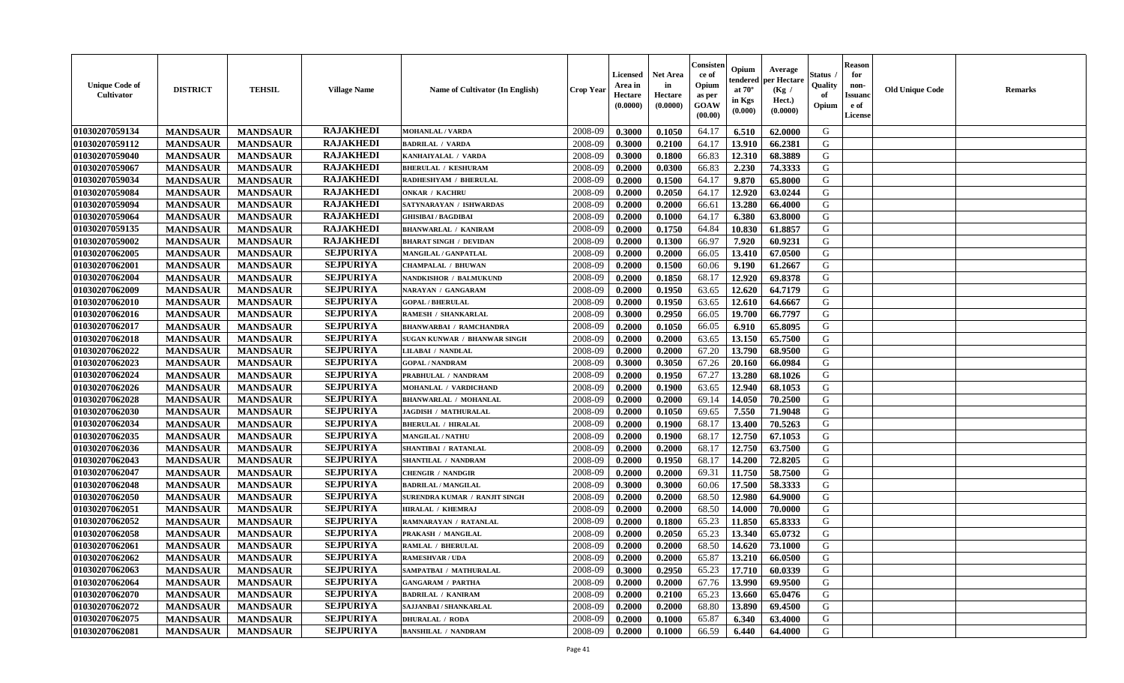| <b>Unique Code of</b><br><b>Cultivator</b> | <b>DISTRICT</b> | <b>TEHSIL</b>   | <b>Village Name</b> | Name of Cultivator (In English) | <b>Crop Year</b> | <b>Licensed</b><br>Area in<br>Hectare<br>(0.0000) | <b>Net Area</b><br>in<br>Hectare<br>(0.0000) | Consisteı<br>ce of<br>Opium<br>as per<br>GOAW<br>(00.00) | Opium<br>endered<br>at $70^\circ$<br>in Kgs<br>(0.000) | Average<br>per Hectare<br>(Kg /<br>Hect.)<br>(0.0000) | Status<br>Quality<br>of<br>Opium | <b>Reason</b><br>for<br>non-<br><b>Issuand</b><br>e of<br>License | <b>Old Unique Code</b> | Remarks |
|--------------------------------------------|-----------------|-----------------|---------------------|---------------------------------|------------------|---------------------------------------------------|----------------------------------------------|----------------------------------------------------------|--------------------------------------------------------|-------------------------------------------------------|----------------------------------|-------------------------------------------------------------------|------------------------|---------|
| 01030207059134                             | <b>MANDSAUR</b> | <b>MANDSAUR</b> | <b>RAJAKHEDI</b>    | <b>MOHANLAL / VARDA</b>         | 2008-09          | 0.3000                                            | 0.1050                                       | 64.17                                                    | 6.510                                                  | 62.0000                                               | G                                |                                                                   |                        |         |
| 01030207059112                             | <b>MANDSAUR</b> | <b>MANDSAUR</b> | <b>RAJAKHEDI</b>    | <b>BADRILAL / VARDA</b>         | 2008-09          | 0.3000                                            | 0.2100                                       | 64.17                                                    | 13.910                                                 | 66.2381                                               | G                                |                                                                   |                        |         |
| 01030207059040                             | <b>MANDSAUR</b> | <b>MANDSAUR</b> | <b>RAJAKHEDI</b>    | KANHAIYALAL / VARDA             | 2008-09          | 0.3000                                            | 0.1800                                       | 66.83                                                    | 12.310                                                 | 68.3889                                               | G                                |                                                                   |                        |         |
| 01030207059067                             | <b>MANDSAUR</b> | <b>MANDSAUR</b> | <b>RAJAKHEDI</b>    | <b>BHERULAL / KESHURAM</b>      | 2008-09          | 0.2000                                            | 0.0300                                       | 66.83                                                    | 2.230                                                  | 74.3333                                               | G                                |                                                                   |                        |         |
| 01030207059034                             | <b>MANDSAUR</b> | <b>MANDSAUR</b> | <b>RAJAKHEDI</b>    | RADHESHYAM / BHERULAL           | 2008-09          | 0.2000                                            | 0.1500                                       | 64.17                                                    | 9.870                                                  | 65.8000                                               | G                                |                                                                   |                        |         |
| 01030207059084                             | <b>MANDSAUR</b> | <b>MANDSAUR</b> | <b>RAJAKHEDI</b>    | <b>ONKAR / KACHRU</b>           | 2008-09          | 0.2000                                            | 0.2050                                       | 64.17                                                    | 12.920                                                 | 63.0244                                               | G                                |                                                                   |                        |         |
| 01030207059094                             | <b>MANDSAUR</b> | <b>MANDSAUR</b> | <b>RAJAKHEDI</b>    | SATYNARAYAN / ISHWARDAS         | 2008-09          | 0.2000                                            | 0.2000                                       | 66.61                                                    | 13.280                                                 | 66.4000                                               | G                                |                                                                   |                        |         |
| 01030207059064                             | <b>MANDSAUR</b> | <b>MANDSAUR</b> | <b>RAJAKHEDI</b>    | <b>GHISIBAI/BAGDIBAI</b>        | 2008-09          | 0.2000                                            | 0.1000                                       | 64.17                                                    | 6.380                                                  | 63.8000                                               | G                                |                                                                   |                        |         |
| 01030207059135                             | <b>MANDSAUR</b> | <b>MANDSAUR</b> | <b>RAJAKHEDI</b>    | <b>BHANWARLAL / KANIRAM</b>     | 2008-09          | 0.2000                                            | 0.1750                                       | 64.84                                                    | 10.830                                                 | 61.8857                                               | G                                |                                                                   |                        |         |
| 01030207059002                             | <b>MANDSAUR</b> | <b>MANDSAUR</b> | <b>RAJAKHEDI</b>    | <b>BHARAT SINGH / DEVIDAN</b>   | 2008-09          | 0.2000                                            | 0.1300                                       | 66.97                                                    | 7.920                                                  | 60.9231                                               | G                                |                                                                   |                        |         |
| 01030207062005                             | <b>MANDSAUR</b> | <b>MANDSAUR</b> | <b>SEJPURIYA</b>    | MANGILAL / GANPATLAL            | 2008-09          | 0.2000                                            | 0.2000                                       | 66.05                                                    | 13.410                                                 | 67.0500                                               | G                                |                                                                   |                        |         |
| 01030207062001                             | <b>MANDSAUR</b> | <b>MANDSAUR</b> | <b>SEJPURIYA</b>    | <b>CHAMPALAL / BHUWAN</b>       | 2008-09          | 0.2000                                            | 0.1500                                       | 60.06                                                    | 9.190                                                  | 61.2667                                               | G                                |                                                                   |                        |         |
| 01030207062004                             | <b>MANDSAUR</b> | <b>MANDSAUR</b> | <b>SEJPURIYA</b>    | NANDKISHOR / BALMUKUND          | 2008-09          | 0.2000                                            | 0.1850                                       | 68.17                                                    | 12.920                                                 | 69.8378                                               | G                                |                                                                   |                        |         |
| 01030207062009                             | <b>MANDSAUR</b> | <b>MANDSAUR</b> | <b>SEJPURIYA</b>    | NARAYAN / GANGARAM              | 2008-09          | 0.2000                                            | 0.1950                                       | 63.65                                                    | 12.620                                                 | 64.7179                                               | G                                |                                                                   |                        |         |
| 01030207062010                             | <b>MANDSAUR</b> | <b>MANDSAUR</b> | <b>SEJPURIYA</b>    | <b>GOPAL/BHERULAL</b>           | 2008-09          | 0.2000                                            | 0.1950                                       | 63.65                                                    | 12.610                                                 | 64.6667                                               | $\mathbf G$                      |                                                                   |                        |         |
| 01030207062016                             | <b>MANDSAUR</b> | <b>MANDSAUR</b> | <b>SEJPURIYA</b>    | RAMESH / SHANKARLAL             | 2008-09          | 0.3000                                            | 0.2950                                       | 66.05                                                    | 19.700                                                 | 66.7797                                               | G                                |                                                                   |                        |         |
| 01030207062017                             | <b>MANDSAUR</b> | <b>MANDSAUR</b> | <b>SEJPURIYA</b>    | <b>BHANWARBAI / RAMCHANDRA</b>  | 2008-09          | 0.2000                                            | 0.1050                                       | 66.05                                                    | 6.910                                                  | 65.8095                                               | G                                |                                                                   |                        |         |
| 01030207062018                             | <b>MANDSAUR</b> | <b>MANDSAUR</b> | <b>SEJPURIYA</b>    | SUGAN KUNWAR / BHANWAR SINGH    | 2008-09          | 0.2000                                            | 0.2000                                       | 63.65                                                    | 13.150                                                 | 65.7500                                               | G                                |                                                                   |                        |         |
| 01030207062022                             | <b>MANDSAUR</b> | <b>MANDSAUR</b> | <b>SEJPURIYA</b>    | <b>LILABAI / NANDLAL</b>        | 2008-09          | 0.2000                                            | 0.2000                                       | 67.20                                                    | 13.790                                                 | 68.9500                                               | G                                |                                                                   |                        |         |
| 01030207062023                             | <b>MANDSAUR</b> | <b>MANDSAUR</b> | <b>SEJPURIYA</b>    | <b>GOPAL / NANDRAM</b>          | 2008-09          | 0.3000                                            | 0.3050                                       | 67.26                                                    | 20.160                                                 | 66.0984                                               | G                                |                                                                   |                        |         |
| 01030207062024                             | <b>MANDSAUR</b> | <b>MANDSAUR</b> | <b>SEJPURIYA</b>    | PRABHULAL / NANDRAM             | 2008-09          | 0.2000                                            | 0.1950                                       | 67.27                                                    | 13.280                                                 | 68.1026                                               | G                                |                                                                   |                        |         |
| 01030207062026                             | <b>MANDSAUR</b> | <b>MANDSAUR</b> | <b>SEJPURIYA</b>    | MOHANLAL / VARDICHAND           | 2008-09          | 0.2000                                            | 0.1900                                       | 63.65                                                    | 12.940                                                 | 68.1053                                               | G                                |                                                                   |                        |         |
| 01030207062028                             | <b>MANDSAUR</b> | <b>MANDSAUR</b> | <b>SEJPURIYA</b>    | <b>BHANWARLAL / MOHANLAL</b>    | 2008-09          | 0.2000                                            | 0.2000                                       | 69.14                                                    | 14.050                                                 | 70.2500                                               | G                                |                                                                   |                        |         |
| 01030207062030                             | <b>MANDSAUR</b> | <b>MANDSAUR</b> | <b>SEJPURIYA</b>    | JAGDISH / MATHURALAL            | 2008-09          | 0.2000                                            | 0.1050                                       | 69.65                                                    | 7.550                                                  | 71.9048                                               | G                                |                                                                   |                        |         |
| 01030207062034                             | <b>MANDSAUR</b> | <b>MANDSAUR</b> | <b>SEJPURIYA</b>    | <b>BHERULAL / HIRALAL</b>       | 2008-09          | 0.2000                                            | 0.1900                                       | 68.17                                                    | 13.400                                                 | 70.5263                                               | G                                |                                                                   |                        |         |
| 01030207062035                             | <b>MANDSAUR</b> | <b>MANDSAUR</b> | <b>SEJPURIYA</b>    | <b>MANGILAL / NATHU</b>         | 2008-09          | 0.2000                                            | 0.1900                                       | 68.17                                                    | 12.750                                                 | 67.1053                                               | G                                |                                                                   |                        |         |
| 01030207062036                             | <b>MANDSAUR</b> | <b>MANDSAUR</b> | <b>SEJPURIYA</b>    | <b>SHANTIBAI / RATANLAL</b>     | 2008-09          | 0.2000                                            | 0.2000                                       | 68.17                                                    | 12.750                                                 | 63.7500                                               | G                                |                                                                   |                        |         |
| 01030207062043                             | <b>MANDSAUR</b> | <b>MANDSAUR</b> | <b>SEJPURIYA</b>    | SHANTILAL / NANDRAM             | 2008-09          | 0.2000                                            | 0.1950                                       | 68.17                                                    | 14.200                                                 | 72.8205                                               | G                                |                                                                   |                        |         |
| 01030207062047                             | <b>MANDSAUR</b> | <b>MANDSAUR</b> | <b>SEJPURIYA</b>    | <b>CHENGIR / NANDGIR</b>        | 2008-09          | 0.2000                                            | 0.2000                                       | 69.31                                                    | 11.750                                                 | 58.7500                                               | G                                |                                                                   |                        |         |
| 01030207062048                             | <b>MANDSAUR</b> | <b>MANDSAUR</b> | <b>SEJPURIYA</b>    | <b>BADRILAL / MANGILAL</b>      | 2008-09          | 0.3000                                            | 0.3000                                       | 60.06                                                    | 17.500                                                 | 58.3333                                               | G                                |                                                                   |                        |         |
| 01030207062050                             | <b>MANDSAUR</b> | <b>MANDSAUR</b> | <b>SEJPURIYA</b>    | SURENDRA KUMAR / RANJIT SINGH   | 2008-09          | 0.2000                                            | 0.2000                                       | 68.50                                                    | 12.980                                                 | 64.9000                                               | G                                |                                                                   |                        |         |
| 01030207062051                             | <b>MANDSAUR</b> | <b>MANDSAUR</b> | <b>SEJPURIYA</b>    | <b>HIRALAL / KHEMRAJ</b>        | 2008-09          | 0.2000                                            | 0.2000                                       | 68.50                                                    | 14.000                                                 | 70.0000                                               | G                                |                                                                   |                        |         |
| 01030207062052                             | <b>MANDSAUR</b> | <b>MANDSAUR</b> | <b>SEJPURIYA</b>    | RAMNARAYAN / RATANLAL           | 2008-09          | 0.2000                                            | 0.1800                                       | 65.23                                                    | 11.850                                                 | 65.8333                                               | G                                |                                                                   |                        |         |
| 01030207062058                             | <b>MANDSAUR</b> | <b>MANDSAUR</b> | <b>SEJPURIYA</b>    | PRAKASH / MANGILAL              | 2008-09          | 0.2000                                            | 0.2050                                       | 65.23                                                    | 13.340                                                 | 65.0732                                               | G                                |                                                                   |                        |         |
| 01030207062061                             | <b>MANDSAUR</b> | <b>MANDSAUR</b> | <b>SEJPURIYA</b>    | <b>RAMLAL / BHERULAL</b>        | 2008-09          | 0.2000                                            | 0.2000                                       | 68.50                                                    | 14.620                                                 | 73.1000                                               | G                                |                                                                   |                        |         |
| 01030207062062                             | <b>MANDSAUR</b> | <b>MANDSAUR</b> | <b>SEJPURIYA</b>    | <b>RAMESHVAR / UDA</b>          | 2008-09          | 0.2000                                            | 0.2000                                       | 65.87                                                    | 13.210                                                 | 66.0500                                               | G                                |                                                                   |                        |         |
| 01030207062063                             | <b>MANDSAUR</b> | <b>MANDSAUR</b> | <b>SEJPURIYA</b>    | SAMPATBAI / MATHURALAL          | 2008-09          | 0.3000                                            | 0.2950                                       | 65.23                                                    | 17.710                                                 | 60.0339                                               | G                                |                                                                   |                        |         |
| 01030207062064                             | <b>MANDSAUR</b> | <b>MANDSAUR</b> | <b>SEJPURIYA</b>    | <b>GANGARAM / PARTHA</b>        | 2008-09          | 0.2000                                            | 0.2000                                       | 67.76                                                    | 13.990                                                 | 69.9500                                               | G                                |                                                                   |                        |         |
| 01030207062070                             | <b>MANDSAUR</b> | <b>MANDSAUR</b> | <b>SEJPURIYA</b>    | <b>BADRILAL / KANIRAM</b>       | 2008-09          | 0.2000                                            | 0.2100                                       | 65.23                                                    | 13.660                                                 | 65.0476                                               | G                                |                                                                   |                        |         |
| 01030207062072                             | <b>MANDSAUR</b> | <b>MANDSAUR</b> | <b>SEJPURIYA</b>    | SAJJANBAI / SHANKARLAL          | 2008-09          | 0.2000                                            | 0.2000                                       | 68.80                                                    | 13.890                                                 | 69.4500                                               | ${\bf G}$                        |                                                                   |                        |         |
| 01030207062075                             | <b>MANDSAUR</b> | <b>MANDSAUR</b> | <b>SEJPURIYA</b>    | <b>DHURALAL / RODA</b>          | 2008-09          | 0.2000                                            | 0.1000                                       | 65.87                                                    | 6.340                                                  | 63.4000                                               | G                                |                                                                   |                        |         |
| 01030207062081                             | <b>MANDSAUR</b> | <b>MANDSAUR</b> | <b>SEJPURIYA</b>    | <b>BANSHILAL / NANDRAM</b>      | 2008-09          | 0.2000                                            | 0.1000                                       | 66.59                                                    | 6.440                                                  | 64.4000                                               | G                                |                                                                   |                        |         |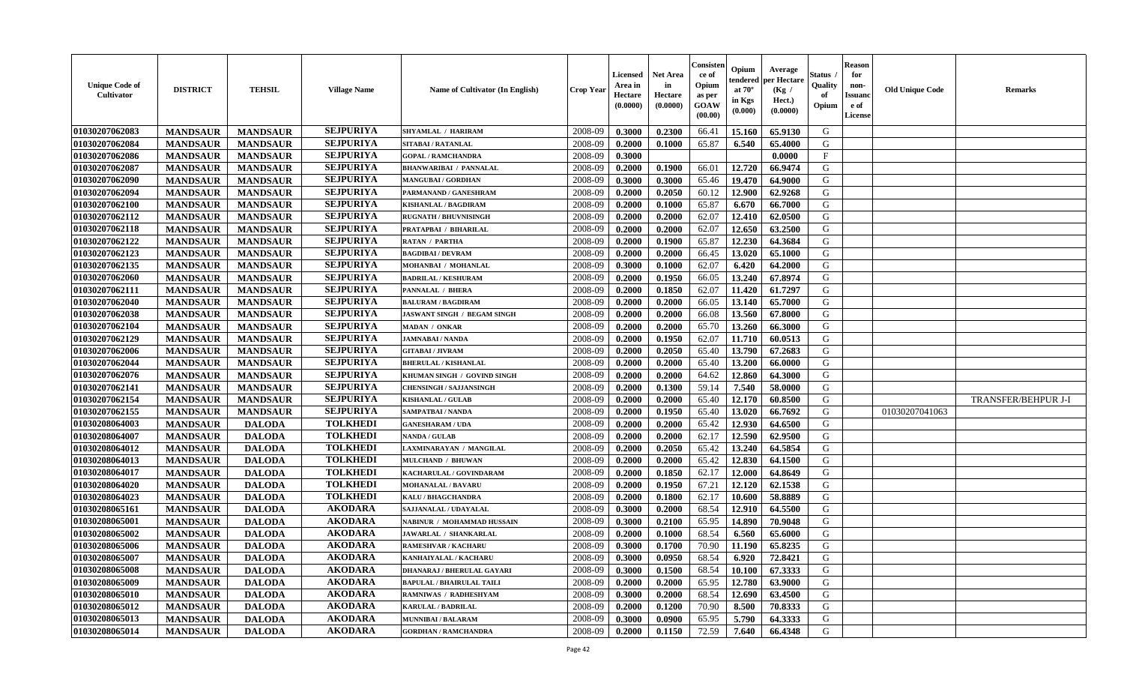| <b>Unique Code of</b><br><b>Cultivator</b> | <b>DISTRICT</b> | <b>TEHSIL</b>   | <b>Village Name</b> | Name of Cultivator (In English)   | <b>Crop Year</b> | <b>Licensed</b><br>Area in<br>Hectare<br>(0.0000) | <b>Net Area</b><br>in<br>Hectare<br>(0.0000) | Consisteı<br>ce of<br>Opium<br>as per<br>GOAW<br>(00.00) | Opium<br>endered<br>at $70^\circ$<br>in Kgs<br>(0.000) | Average<br>oer Hectare<br>(Kg /<br>Hect.)<br>(0.0000) | Status<br>Quality<br>of<br>Opium | <b>Reason</b><br>for<br>non-<br>Issuano<br>e of<br>License | <b>Old Unique Code</b> | Remarks                    |
|--------------------------------------------|-----------------|-----------------|---------------------|-----------------------------------|------------------|---------------------------------------------------|----------------------------------------------|----------------------------------------------------------|--------------------------------------------------------|-------------------------------------------------------|----------------------------------|------------------------------------------------------------|------------------------|----------------------------|
| 01030207062083                             | <b>MANDSAUR</b> | <b>MANDSAUR</b> | <b>SEJPURIYA</b>    | SHYAMLAL / HARIRAM                | 2008-09          | 0.3000                                            | 0.2300                                       | 66.41                                                    | 15.160                                                 | 65.9130                                               | G                                |                                                            |                        |                            |
| 01030207062084                             | <b>MANDSAUR</b> | <b>MANDSAUR</b> | <b>SEJPURIYA</b>    | SITABAI / RATANLAL                | 2008-09          | 0.2000                                            | 0.1000                                       | 65.87                                                    | 6.540                                                  | 65.4000                                               | G                                |                                                            |                        |                            |
| 01030207062086                             | <b>MANDSAUR</b> | <b>MANDSAUR</b> | <b>SEJPURIYA</b>    | <b>GOPAL / RAMCHANDRA</b>         | 2008-09          | 0.3000                                            |                                              |                                                          |                                                        | 0.0000                                                | $\mathbf{F}$                     |                                                            |                        |                            |
| 01030207062087                             | <b>MANDSAUR</b> | <b>MANDSAUR</b> | <b>SEJPURIYA</b>    | <b>BHANWARIBAI / PANNALAL</b>     | 2008-09          | 0.2000                                            | 0.1900                                       | 66.01                                                    | 12.720                                                 | 66.9474                                               | G                                |                                                            |                        |                            |
| 01030207062090                             | <b>MANDSAUR</b> | <b>MANDSAUR</b> | <b>SEJPURIYA</b>    | <b>MANGUBAI/GORDHAN</b>           | 2008-09          | 0.3000                                            | 0.3000                                       | 65.46                                                    | 19.470                                                 | 64.9000                                               | G                                |                                                            |                        |                            |
| 01030207062094                             | <b>MANDSAUR</b> | <b>MANDSAUR</b> | <b>SEJPURIYA</b>    | PARMANAND / GANESHRAM             | 2008-09          | 0.2000                                            | 0.2050                                       | 60.12                                                    | 12.900                                                 | 62.9268                                               | G                                |                                                            |                        |                            |
| 01030207062100                             | <b>MANDSAUR</b> | <b>MANDSAUR</b> | <b>SEJPURIYA</b>    | <b>KISHANLAL / BAGDIRAM</b>       | 2008-09          | 0.2000                                            | 0.1000                                       | 65.87                                                    | 6.670                                                  | 66.7000                                               | G                                |                                                            |                        |                            |
| 01030207062112                             | <b>MANDSAUR</b> | <b>MANDSAUR</b> | <b>SEJPURIYA</b>    | <b>RUGNATH / BHUVNISINGH</b>      | 2008-09          | 0.2000                                            | 0.2000                                       | 62.07                                                    | 12.410                                                 | 62.0500                                               | G                                |                                                            |                        |                            |
| 01030207062118                             | <b>MANDSAUR</b> | <b>MANDSAUR</b> | <b>SEJPURIYA</b>    | PRATAPBAI / BIHARILAL             | 2008-09          | 0.2000                                            | 0.2000                                       | 62.07                                                    | 12.650                                                 | 63.2500                                               | G                                |                                                            |                        |                            |
| 01030207062122                             | <b>MANDSAUR</b> | <b>MANDSAUR</b> | <b>SEJPURIYA</b>    | <b>RATAN / PARTHA</b>             | 2008-09          | 0.2000                                            | 0.1900                                       | 65.87                                                    | 12.230                                                 | 64.3684                                               | G                                |                                                            |                        |                            |
| 01030207062123                             | <b>MANDSAUR</b> | <b>MANDSAUR</b> | <b>SEJPURIYA</b>    | <b>BAGDIBAI / DEVRAM</b>          | 2008-09          | 0.2000                                            | 0.2000                                       | 66.45                                                    | 13.020                                                 | 65.1000                                               | G                                |                                                            |                        |                            |
| 01030207062135                             | <b>MANDSAUR</b> | <b>MANDSAUR</b> | <b>SEJPURIYA</b>    | MOHANBAI / MOHANLAL               | 2008-09          | 0.3000                                            | 0.1000                                       | 62.07                                                    | 6.420                                                  | 64.2000                                               | G                                |                                                            |                        |                            |
| 01030207062060                             | <b>MANDSAUR</b> | <b>MANDSAUR</b> | <b>SEJPURIYA</b>    | <b>BADRILAL / KESHURAM</b>        | 2008-09          | 0.2000                                            | 0.1950                                       | 66.05                                                    | 13.240                                                 | 67.8974                                               | G                                |                                                            |                        |                            |
| 01030207062111                             | <b>MANDSAUR</b> | <b>MANDSAUR</b> | <b>SEJPURIYA</b>    | PANNALAL / BHERA                  | 2008-09          | 0.2000                                            | 0.1850                                       | 62.07                                                    | 11.420                                                 | 61.7297                                               | G                                |                                                            |                        |                            |
| 01030207062040                             | <b>MANDSAUR</b> | <b>MANDSAUR</b> | <b>SEJPURIYA</b>    | <b>BALURAM / BAGDIRAM</b>         | 2008-09          | 0.2000                                            | 0.2000                                       | 66.05                                                    | 13.140                                                 | 65.7000                                               | $\mathbf G$                      |                                                            |                        |                            |
| 01030207062038                             | <b>MANDSAUR</b> | <b>MANDSAUR</b> | <b>SEJPURIYA</b>    | JASWANT SINGH / BEGAM SINGH       | 2008-09          | 0.2000                                            | 0.2000                                       | 66.08                                                    | 13.560                                                 | 67.8000                                               | G                                |                                                            |                        |                            |
| 01030207062104                             | <b>MANDSAUR</b> | <b>MANDSAUR</b> | <b>SEJPURIYA</b>    | <b>MADAN / ONKAR</b>              | 2008-09          | 0.2000                                            | 0.2000                                       | 65.70                                                    | 13.260                                                 | 66.3000                                               | G                                |                                                            |                        |                            |
| 01030207062129                             | <b>MANDSAUR</b> | <b>MANDSAUR</b> | <b>SEJPURIYA</b>    | <b>JAMNABAI/NANDA</b>             | 2008-09          | 0.2000                                            | 0.1950                                       | 62.07                                                    | 11.710                                                 | 60.0513                                               | G                                |                                                            |                        |                            |
| 01030207062006                             | <b>MANDSAUR</b> | <b>MANDSAUR</b> | <b>SEJPURIYA</b>    | <b>GITABAI / JIVRAM</b>           | 2008-09          | 0.2000                                            | 0.2050                                       | 65.40                                                    | 13.790                                                 | 67.2683                                               | G                                |                                                            |                        |                            |
| 01030207062044                             | <b>MANDSAUR</b> | <b>MANDSAUR</b> | <b>SEJPURIYA</b>    | <b>BHERULAL / KISHANLAL</b>       | 2008-09          | 0.2000                                            | 0.2000                                       | 65.40                                                    | 13.200                                                 | 66.0000                                               | G                                |                                                            |                        |                            |
| 01030207062076                             | <b>MANDSAUR</b> | <b>MANDSAUR</b> | <b>SEJPURIYA</b>    | KHUMAN SINGH / GOVIND SINGH       | 2008-09          | 0.2000                                            | 0.2000                                       | 64.62                                                    | 12.860                                                 | 64.3000                                               | G                                |                                                            |                        |                            |
| 01030207062141                             | <b>MANDSAUR</b> | <b>MANDSAUR</b> | <b>SEJPURIYA</b>    | <b>CHENSINGH / SAJJANSINGH</b>    | 2008-09          | 0.2000                                            | 0.1300                                       | 59.14                                                    | 7.540                                                  | 58.0000                                               | G                                |                                                            |                        |                            |
| 01030207062154                             | <b>MANDSAUR</b> | <b>MANDSAUR</b> | <b>SEJPURIYA</b>    | <b>KISHANLAL / GULAB</b>          | 2008-09          | 0.2000                                            | 0.2000                                       | 65.40                                                    | 12.170                                                 | 60.8500                                               | G                                |                                                            |                        | <b>TRANSFER/BEHPUR J-I</b> |
| 01030207062155                             | <b>MANDSAUR</b> | <b>MANDSAUR</b> | <b>SEJPURIYA</b>    | SAMPATBAI / NANDA                 | 2008-09          | 0.2000                                            | 0.1950                                       | 65.40                                                    | 13.020                                                 | 66.7692                                               | G                                |                                                            | 01030207041063         |                            |
| 01030208064003                             | <b>MANDSAUR</b> | <b>DALODA</b>   | <b>TOLKHEDI</b>     | <b>GANESHARAM / UDA</b>           | 2008-09          | 0.2000                                            | 0.2000                                       | 65.42                                                    | 12.930                                                 | 64.6500                                               | G                                |                                                            |                        |                            |
| 01030208064007                             | <b>MANDSAUR</b> | <b>DALODA</b>   | <b>TOLKHEDI</b>     | <b>NANDA / GULAB</b>              | 2008-09          | 0.2000                                            | 0.2000                                       | 62.17                                                    | 12.590                                                 | 62.9500                                               | G                                |                                                            |                        |                            |
| 01030208064012                             | <b>MANDSAUR</b> | <b>DALODA</b>   | <b>TOLKHEDI</b>     | LAXMINARAYAN / MANGILAL           | 2008-09          | 0.2000                                            | 0.2050                                       | 65.42                                                    | 13.240                                                 | 64.5854                                               | G                                |                                                            |                        |                            |
| 01030208064013                             | <b>MANDSAUR</b> | <b>DALODA</b>   | <b>TOLKHEDI</b>     | <b>MULCHAND / BHUWAN</b>          | 2008-09          | 0.2000                                            | 0.2000                                       | 65.42                                                    | 12.830                                                 | 64.1500                                               | G                                |                                                            |                        |                            |
| 01030208064017                             | <b>MANDSAUR</b> | <b>DALODA</b>   | <b>TOLKHEDI</b>     | KACHARULAL / GOVINDARAM           | 2008-09          | 0.2000                                            | 0.1850                                       | 62.17                                                    | 12.000                                                 | 64.8649                                               | G                                |                                                            |                        |                            |
| 01030208064020                             | <b>MANDSAUR</b> | <b>DALODA</b>   | <b>TOLKHEDI</b>     | <b>MOHANALAL / BAVARU</b>         | 2008-09          | 0.2000                                            | 0.1950                                       | 67.21                                                    | 12.120                                                 | 62.1538                                               | G                                |                                                            |                        |                            |
| 01030208064023                             | <b>MANDSAUR</b> | <b>DALODA</b>   | <b>TOLKHEDI</b>     | <b>KALU / BHAGCHANDRA</b>         | 2008-09          | 0.2000                                            | 0.1800                                       | 62.17                                                    | 10.600                                                 | 58.8889                                               | G                                |                                                            |                        |                            |
| 01030208065161                             | <b>MANDSAUR</b> | <b>DALODA</b>   | <b>AKODARA</b>      | SAJJANALAL / UDAYALAL             | 2008-09          | 0.3000                                            | 0.2000                                       | 68.54                                                    | 12.910                                                 | 64.5500                                               | G                                |                                                            |                        |                            |
| 01030208065001                             | <b>MANDSAUR</b> | <b>DALODA</b>   | <b>AKODARA</b>      | NABINUR / MOHAMMAD HUSSAIN        | 2008-09          | 0.3000                                            | 0.2100                                       | 65.95                                                    | 14.890                                                 | 70.9048                                               | G                                |                                                            |                        |                            |
| 01030208065002                             | <b>MANDSAUR</b> | <b>DALODA</b>   | <b>AKODARA</b>      | JAWARLAL / SHANKARLAL             | 2008-09          | 0.2000                                            | 0.1000                                       | 68.54                                                    | 6.560                                                  | 65.6000                                               | G                                |                                                            |                        |                            |
| 01030208065006                             | <b>MANDSAUR</b> | <b>DALODA</b>   | <b>AKODARA</b>      | <b>RAMESHVAR / KACHARU</b>        | 2008-09          | 0.3000                                            | 0.1700                                       | 70.90                                                    | 11.190                                                 | 65.8235                                               | G                                |                                                            |                        |                            |
| 01030208065007                             | <b>MANDSAUR</b> | <b>DALODA</b>   | <b>AKODARA</b>      | KANHAIYALAL / KACHARL             | 2008-09          | 0.3000                                            | 0.0950                                       | 68.54                                                    | 6.920                                                  | 72.8421                                               | G                                |                                                            |                        |                            |
| 01030208065008                             | <b>MANDSAUR</b> | <b>DALODA</b>   | <b>AKODARA</b>      | <b>DHANARAJ / BHERULAL GAYARI</b> | 2008-09          | 0.3000                                            | 0.1500                                       | 68.54                                                    | 10.100                                                 | 67.3333                                               | G                                |                                                            |                        |                            |
| 01030208065009                             | <b>MANDSAUR</b> | <b>DALODA</b>   | <b>AKODARA</b>      | <b>BAPULAL / BHAIRULAL TAIL!</b>  | 2008-09          | 0.2000                                            | 0.2000                                       | 65.95                                                    | 12.780                                                 | 63.9000                                               | G                                |                                                            |                        |                            |
| 01030208065010                             | <b>MANDSAUR</b> | <b>DALODA</b>   | <b>AKODARA</b>      | RAMNIWAS / RADHESHYAM             | 2008-09          | 0.3000                                            | 0.2000                                       | 68.54                                                    | 12.690                                                 | 63.4500                                               | G                                |                                                            |                        |                            |
| 01030208065012                             | <b>MANDSAUR</b> | <b>DALODA</b>   | <b>AKODARA</b>      | KARULAL / BADRILAL                | 2008-09          | 0.2000                                            | 0.1200                                       | 70.90                                                    | 8.500                                                  | 70.8333                                               | ${\bf G}$                        |                                                            |                        |                            |
| 01030208065013                             | <b>MANDSAUR</b> | <b>DALODA</b>   | <b>AKODARA</b>      | <b>MUNNIBAI/BALARAM</b>           | 2008-09          | 0.3000                                            | 0.0900                                       | 65.95                                                    | 5.790                                                  | 64.3333                                               | G                                |                                                            |                        |                            |
| 01030208065014                             | <b>MANDSAUR</b> | <b>DALODA</b>   | <b>AKODARA</b>      | <b>GORDHAN / RAMCHANDRA</b>       | 2008-09          | 0.2000                                            | 0.1150                                       | 72.59                                                    | 7.640                                                  | 66.4348                                               | G                                |                                                            |                        |                            |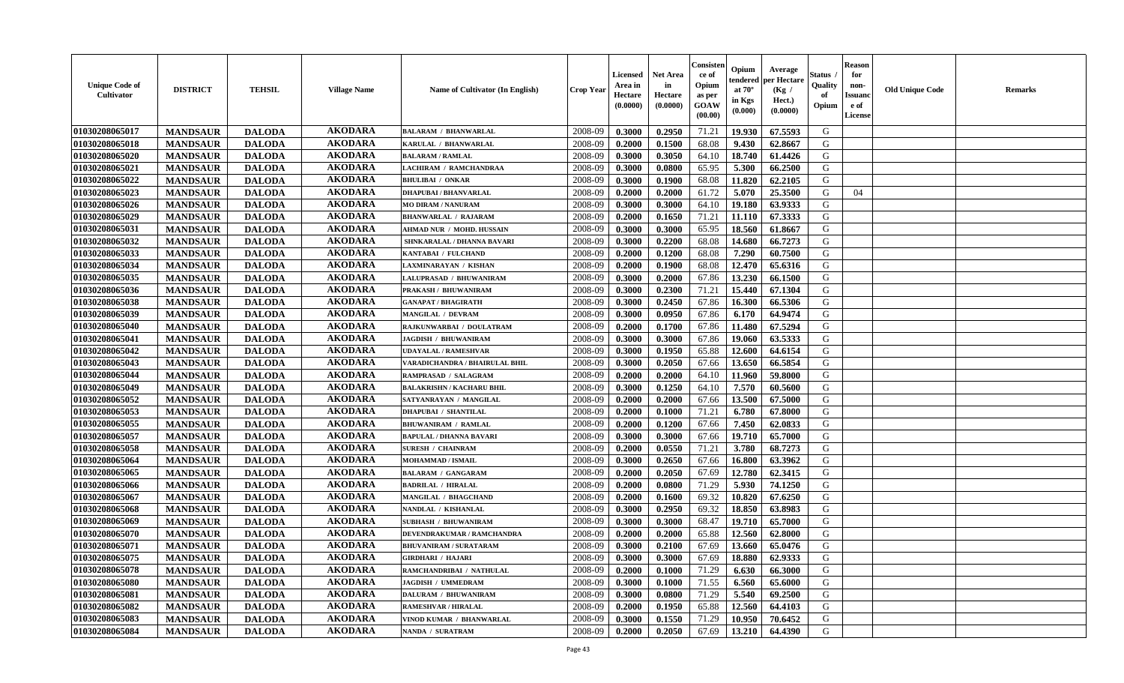| <b>Unique Code of</b><br><b>Cultivator</b> | <b>DISTRICT</b> | <b>TEHSIL</b> | <b>Village Name</b> | <b>Name of Cultivator (In English)</b> | <b>Crop Year</b> | Licensed<br>Area in<br>Hectare<br>(0.0000) | <b>Net Area</b><br>in<br>Hectare<br>(0.0000) | Consisteı<br>ce of<br>Opium<br>as per<br>GOAW<br>(00.00) | Opium<br>endered<br>at $70^\circ$<br>in Kgs<br>(0.000) | Average<br>per Hectare<br>(Kg /<br>Hect.)<br>(0.0000) | Status<br>Quality<br>of<br>Opium | <b>Reason</b><br>for<br>non-<br><b>Issuand</b><br>e of<br><b>License</b> | <b>Old Unique Code</b> | <b>Remarks</b> |
|--------------------------------------------|-----------------|---------------|---------------------|----------------------------------------|------------------|--------------------------------------------|----------------------------------------------|----------------------------------------------------------|--------------------------------------------------------|-------------------------------------------------------|----------------------------------|--------------------------------------------------------------------------|------------------------|----------------|
| 01030208065017                             | <b>MANDSAUR</b> | <b>DALODA</b> | <b>AKODARA</b>      | <b>BALARAM / BHANWARLAL</b>            | 2008-09          | 0.3000                                     | 0.2950                                       | 71.21                                                    | 19.930                                                 | 67.5593                                               | G                                |                                                                          |                        |                |
| 01030208065018                             | <b>MANDSAUR</b> | <b>DALODA</b> | <b>AKODARA</b>      | KARULAL / BHANWARLAL                   | 2008-09          | 0.2000                                     | 0.1500                                       | 68.08                                                    | 9.430                                                  | 62.8667                                               | G                                |                                                                          |                        |                |
| 01030208065020                             | <b>MANDSAUR</b> | <b>DALODA</b> | <b>AKODARA</b>      | <b>BALARAM / RAMLAL</b>                | 2008-09          | 0.3000                                     | 0.3050                                       | 64.10                                                    | 18.740                                                 | 61.4426                                               | G                                |                                                                          |                        |                |
| 01030208065021                             | <b>MANDSAUR</b> | <b>DALODA</b> | <b>AKODARA</b>      | LACHIRAM / RAMCHANDRAA                 | 2008-09          | 0.3000                                     | 0.0800                                       | 65.95                                                    | 5.300                                                  | 66.2500                                               | G                                |                                                                          |                        |                |
| 01030208065022                             | <b>MANDSAUR</b> | <b>DALODA</b> | <b>AKODARA</b>      | <b>BHULIBAI / ONKAR</b>                | 2008-09          | 0.3000                                     | 0.1900                                       | 68.08                                                    | 11.820                                                 | 62.2105                                               | G                                |                                                                          |                        |                |
| 01030208065023                             | <b>MANDSAUR</b> | <b>DALODA</b> | <b>AKODARA</b>      | <b>DHAPUBAI/BHANVARLAL</b>             | 2008-09          | 0.2000                                     | 0.2000                                       | 61.72                                                    | 5.070                                                  | 25.3500                                               | G                                | 04                                                                       |                        |                |
| 01030208065026                             | <b>MANDSAUR</b> | <b>DALODA</b> | <b>AKODARA</b>      | <b>MO DIRAM / NANURAM</b>              | 2008-09          | 0.3000                                     | 0.3000                                       | 64.10                                                    | 19.180                                                 | 63.9333                                               | G                                |                                                                          |                        |                |
| 01030208065029                             | <b>MANDSAUR</b> | <b>DALODA</b> | <b>AKODARA</b>      | <b>BHANWARLAL / RAJARAM</b>            | 2008-09          | 0.2000                                     | 0.1650                                       | 71.21                                                    | 11.110                                                 | 67.3333                                               | G                                |                                                                          |                        |                |
| 01030208065031                             | <b>MANDSAUR</b> | <b>DALODA</b> | <b>AKODARA</b>      | AHMAD NUR / MOHD. HUSSAIN              | 2008-09          | 0.3000                                     | 0.3000                                       | 65.95                                                    | 18.560                                                 | 61.8667                                               | G                                |                                                                          |                        |                |
| 01030208065032                             | <b>MANDSAUR</b> | <b>DALODA</b> | <b>AKODARA</b>      | SHNKARALAL / DHANNA BAVARI             | 2008-09          | 0.3000                                     | 0.2200                                       | 68.08                                                    | 14.680                                                 | 66.7273                                               | G                                |                                                                          |                        |                |
| 01030208065033                             | <b>MANDSAUR</b> | <b>DALODA</b> | <b>AKODARA</b>      | KANTABAI / FULCHAND                    | 2008-09          | 0.2000                                     | 0.1200                                       | 68.08                                                    | 7.290                                                  | 60.7500                                               | G                                |                                                                          |                        |                |
| 01030208065034                             | <b>MANDSAUR</b> | <b>DALODA</b> | <b>AKODARA</b>      | <b>LAXMINARAYAN / KISHAN</b>           | 2008-09          | 0.2000                                     | 0.1900                                       | 68.08                                                    | 12.470                                                 | 65.6316                                               | G                                |                                                                          |                        |                |
| 01030208065035                             | <b>MANDSAUR</b> | <b>DALODA</b> | <b>AKODARA</b>      | LALUPRASAD / BHUWANIRAM                | 2008-09          | 0.3000                                     | 0.2000                                       | 67.86                                                    | 13.230                                                 | 66.1500                                               | G                                |                                                                          |                        |                |
| 01030208065036                             | <b>MANDSAUR</b> | <b>DALODA</b> | <b>AKODARA</b>      | PRAKASH / BHUWANIRAM                   | 2008-09          | 0.3000                                     | 0.2300                                       | 71.21                                                    | 15.440                                                 | 67.1304                                               | G                                |                                                                          |                        |                |
| 01030208065038                             | <b>MANDSAUR</b> | <b>DALODA</b> | <b>AKODARA</b>      | <b>GANAPAT / BHAGIRATH</b>             | 2008-09          | 0.3000                                     | 0.2450                                       | 67.86                                                    | 16.300                                                 | 66.5306                                               | G                                |                                                                          |                        |                |
| 01030208065039                             | <b>MANDSAUR</b> | <b>DALODA</b> | <b>AKODARA</b>      | <b>MANGILAL / DEVRAM</b>               | 2008-09          | 0.3000                                     | 0.0950                                       | 67.86                                                    | 6.170                                                  | 64.9474                                               | G                                |                                                                          |                        |                |
| 01030208065040                             | <b>MANDSAUR</b> | <b>DALODA</b> | <b>AKODARA</b>      | RAJKUNWARBAI / DOULATRAM               | 2008-09          | 0.2000                                     | 0.1700                                       | 67.86                                                    | 11.480                                                 | 67.5294                                               | G                                |                                                                          |                        |                |
| 01030208065041                             | <b>MANDSAUR</b> | <b>DALODA</b> | <b>AKODARA</b>      | JAGDISH / BHUWANIRAM                   | 2008-09          | 0.3000                                     | 0.3000                                       | 67.86                                                    | 19.060                                                 | 63.5333                                               | G                                |                                                                          |                        |                |
| 01030208065042                             | <b>MANDSAUR</b> | <b>DALODA</b> | <b>AKODARA</b>      | <b>UDAYALAL / RAMESHVAR</b>            | 2008-09          | 0.3000                                     | 0.1950                                       | 65.88                                                    | 12.600                                                 | 64.6154                                               | G                                |                                                                          |                        |                |
| 01030208065043                             | <b>MANDSAUR</b> | <b>DALODA</b> | <b>AKODARA</b>      | VARADICHANDRA / BHAIRULAL BHIL         | 2008-09          | 0.3000                                     | 0.2050                                       | 67.66                                                    | 13.650                                                 | 66.5854                                               | G                                |                                                                          |                        |                |
| 01030208065044                             | <b>MANDSAUR</b> | <b>DALODA</b> | <b>AKODARA</b>      | <b>RAMPRASAD / SALAGRAM</b>            | 2008-09          | 0.2000                                     | 0.2000                                       | 64.10                                                    | 11.960                                                 | 59.8000                                               | G                                |                                                                          |                        |                |
| 01030208065049                             | <b>MANDSAUR</b> | <b>DALODA</b> | <b>AKODARA</b>      | <b>BALAKRISHN / KACHARU BHII</b>       | 2008-09          | 0.3000                                     | 0.1250                                       | 64.10                                                    | 7.570                                                  | 60.5600                                               | G                                |                                                                          |                        |                |
| 01030208065052                             | <b>MANDSAUR</b> | <b>DALODA</b> | <b>AKODARA</b>      | SATYANRAYAN / MANGILAL                 | 2008-09          | 0.2000                                     | 0.2000                                       | 67.66                                                    | 13.500                                                 | 67.5000                                               | G                                |                                                                          |                        |                |
| 01030208065053                             | <b>MANDSAUR</b> | <b>DALODA</b> | <b>AKODARA</b>      | <b>DHAPUBAI / SHANTILAL</b>            | 2008-09          | 0.2000                                     | 0.1000                                       | 71.21                                                    | 6.780                                                  | 67.8000                                               | G                                |                                                                          |                        |                |
| 01030208065055                             | <b>MANDSAUR</b> | <b>DALODA</b> | <b>AKODARA</b>      | <b>BHUWANIRAM / RAMLAL</b>             | 2008-09          | 0.2000                                     | 0.1200                                       | 67.66                                                    | 7.450                                                  | 62.0833                                               | G                                |                                                                          |                        |                |
| 01030208065057                             | <b>MANDSAUR</b> | <b>DALODA</b> | <b>AKODARA</b>      | <b>BAPULAL / DHANNA BAVARI</b>         | 2008-09          | 0.3000                                     | 0.3000                                       | 67.66                                                    | 19.710                                                 | 65.7000                                               | G                                |                                                                          |                        |                |
| 01030208065058                             | <b>MANDSAUR</b> | <b>DALODA</b> | <b>AKODARA</b>      | <b>SURESH / CHAINRAM</b>               | 2008-09          | 0.2000                                     | 0.0550                                       | 71.21                                                    | 3.780                                                  | 68.7273                                               | G                                |                                                                          |                        |                |
| 01030208065064                             | <b>MANDSAUR</b> | <b>DALODA</b> | <b>AKODARA</b>      | <b>MOHAMMAD / ISMAIL</b>               | 2008-09          | 0.3000                                     | 0.2650                                       | 67.66                                                    | 16.800                                                 | 63.3962                                               | G                                |                                                                          |                        |                |
| 01030208065065                             | <b>MANDSAUR</b> | <b>DALODA</b> | <b>AKODARA</b>      | <b>BALARAM / GANGARAM</b>              | 2008-09          | 0.2000                                     | 0.2050                                       | 67.69                                                    | 12.780                                                 | 62.3415                                               | G                                |                                                                          |                        |                |
| 01030208065066                             | <b>MANDSAUR</b> | <b>DALODA</b> | <b>AKODARA</b>      | <b>BADRILAL / HIRALAL</b>              | 2008-09          | 0.2000                                     | 0.0800                                       | 71.29                                                    | 5.930                                                  | 74.1250                                               | G                                |                                                                          |                        |                |
| 01030208065067                             | <b>MANDSAUR</b> | <b>DALODA</b> | <b>AKODARA</b>      | MANGILAL / BHAGCHAND                   | 2008-09          | 0.2000                                     | 0.1600                                       | 69.32                                                    | 10.820                                                 | 67.6250                                               | ${\bf G}$                        |                                                                          |                        |                |
| 01030208065068                             | <b>MANDSAUR</b> | <b>DALODA</b> | <b>AKODARA</b>      | NANDLAL / KISHANLAL                    | 2008-09          | 0.3000                                     | 0.2950                                       | 69.32                                                    | 18.850                                                 | 63.8983                                               | G                                |                                                                          |                        |                |
| 01030208065069                             | <b>MANDSAUR</b> | <b>DALODA</b> | <b>AKODARA</b>      | <b>SUBHASH / BHUWANIRAM</b>            | 2008-09          | 0.3000                                     | 0.3000                                       | 68.47                                                    | 19.710                                                 | 65.7000                                               | G                                |                                                                          |                        |                |
| 01030208065070                             | <b>MANDSAUR</b> | <b>DALODA</b> | <b>AKODARA</b>      | DEVENDRAKUMAR / RAMCHANDRA             | 2008-09          | 0.2000                                     | 0.2000                                       | 65.88                                                    | 12.560                                                 | 62.8000                                               | G                                |                                                                          |                        |                |
| 01030208065071                             | <b>MANDSAUR</b> | <b>DALODA</b> | <b>AKODARA</b>      | <b>BHUVANIRAM / SURATARAM</b>          | 2008-09          | 0.3000                                     | 0.2100                                       | 67.69                                                    | 13.660                                                 | 65.0476                                               | G                                |                                                                          |                        |                |
| 01030208065075                             | <b>MANDSAUR</b> | <b>DALODA</b> | <b>AKODARA</b>      | <b>GIRDHARI / HAJARI</b>               | 2008-09          | 0.3000                                     | 0.3000                                       | 67.69                                                    | 18.880                                                 | 62.9333                                               | G                                |                                                                          |                        |                |
| 01030208065078                             | <b>MANDSAUR</b> | <b>DALODA</b> | <b>AKODARA</b>      | RAMCHANDRIBAI / NATHULAL               | 2008-09          | 0.2000                                     | 0.1000                                       | 71.29                                                    | 6.630                                                  | 66.3000                                               | G                                |                                                                          |                        |                |
| 01030208065080                             | <b>MANDSAUR</b> | <b>DALODA</b> | <b>AKODARA</b>      | <b>JAGDISH / UMMEDRAM</b>              | 2008-09          | 0.3000                                     | 0.1000                                       | 71.55                                                    | 6.560                                                  | 65.6000                                               | G                                |                                                                          |                        |                |
| 01030208065081                             | <b>MANDSAUR</b> | <b>DALODA</b> | <b>AKODARA</b>      | DALURAM / BHUWANIRAM                   | 2008-09          | 0.3000                                     | 0.0800                                       | 71.29                                                    | 5.540                                                  | 69.2500                                               | G                                |                                                                          |                        |                |
| 01030208065082                             | <b>MANDSAUR</b> | <b>DALODA</b> | <b>AKODARA</b>      | <b>RAMESHVAR / HIRALAL</b>             | 2008-09          | 0.2000                                     | 0.1950                                       | 65.88                                                    | 12.560                                                 | 64.4103                                               | G                                |                                                                          |                        |                |
| 01030208065083                             | <b>MANDSAUR</b> | <b>DALODA</b> | <b>AKODARA</b>      | VINOD KUMAR / BHANWARLAL               | 2008-09          | 0.3000                                     | 0.1550                                       | 71.29                                                    | 10.950                                                 | 70.6452                                               | G                                |                                                                          |                        |                |
| 01030208065084                             | <b>MANDSAUR</b> | <b>DALODA</b> | <b>AKODARA</b>      | NANDA / SURATRAM                       | 2008-09          | 0.2000                                     | 0.2050                                       | 67.69                                                    | 13.210                                                 | 64.4390                                               | G                                |                                                                          |                        |                |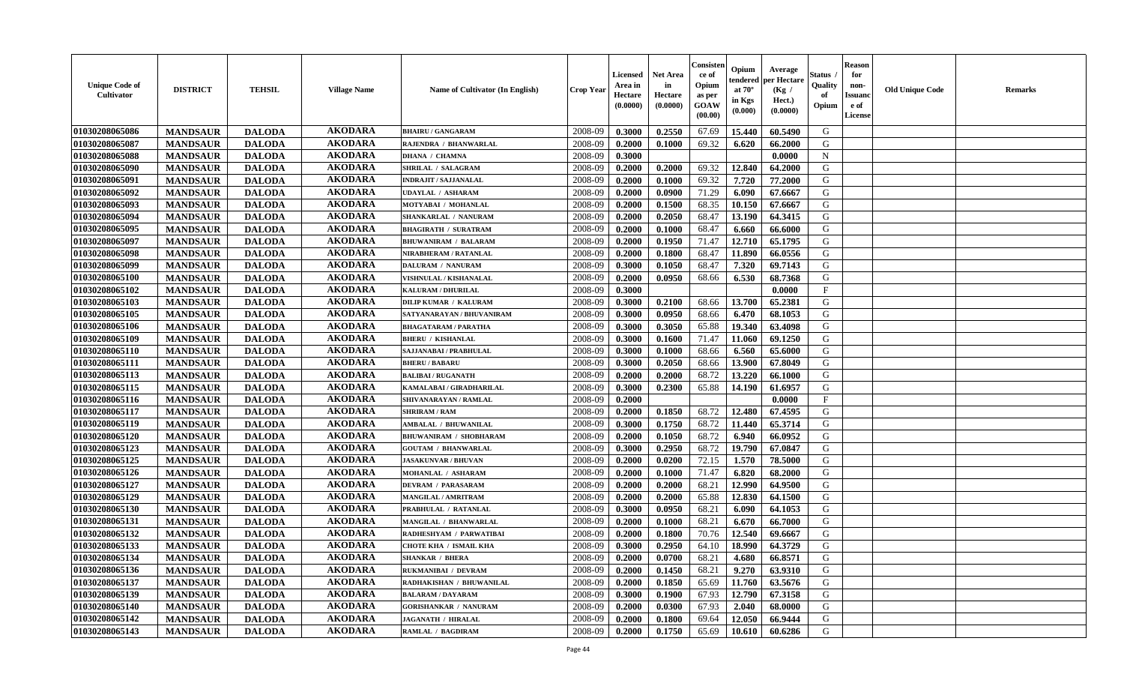| <b>Unique Code of</b><br><b>Cultivator</b> | <b>DISTRICT</b> | <b>TEHSIL</b> | <b>Village Name</b> | <b>Name of Cultivator (In English)</b> | <b>Crop Year</b> | Licensed<br>Area in<br>Hectare<br>(0.0000) | <b>Net Area</b><br>in<br>Hectare<br>(0.0000) | Consisteı<br>ce of<br>Opium<br>as per<br>GOAW<br>(00.00) | Opium<br>endered<br>at $70^\circ$<br>in Kgs<br>(0.000) | Average<br>oer Hectare<br>(Kg /<br>Hect.)<br>(0.0000) | Status<br>Quality<br>of<br>Opium | <b>Reason</b><br>for<br>non-<br><b>Issuand</b><br>e of<br>License | <b>Old Unique Code</b> | <b>Remarks</b> |
|--------------------------------------------|-----------------|---------------|---------------------|----------------------------------------|------------------|--------------------------------------------|----------------------------------------------|----------------------------------------------------------|--------------------------------------------------------|-------------------------------------------------------|----------------------------------|-------------------------------------------------------------------|------------------------|----------------|
| 01030208065086                             | <b>MANDSAUR</b> | <b>DALODA</b> | <b>AKODARA</b>      | <b>BHAIRU / GANGARAM</b>               | 2008-09          | 0.3000                                     | 0.2550                                       | 67.69                                                    | 15.440                                                 | 60.5490                                               | G                                |                                                                   |                        |                |
| 01030208065087                             | <b>MANDSAUR</b> | <b>DALODA</b> | <b>AKODARA</b>      | RAJENDRA / BHANWARLAL                  | 2008-09          | 0.2000                                     | 0.1000                                       | 69.32                                                    | 6.620                                                  | 66.2000                                               | G                                |                                                                   |                        |                |
| 01030208065088                             | <b>MANDSAUR</b> | <b>DALODA</b> | <b>AKODARA</b>      | <b>DHANA / CHAMNA</b>                  | 2008-09          | 0.3000                                     |                                              |                                                          |                                                        | 0.0000                                                | $\mathbf N$                      |                                                                   |                        |                |
| 01030208065090                             | <b>MANDSAUR</b> | <b>DALODA</b> | <b>AKODARA</b>      | <b>SHRILAL / SALAGRAM</b>              | 2008-09          | 0.2000                                     | 0.2000                                       | 69.32                                                    | 12.840                                                 | 64.2000                                               | G                                |                                                                   |                        |                |
| 01030208065091                             | <b>MANDSAUR</b> | <b>DALODA</b> | <b>AKODARA</b>      | <b>INDRAJIT / SAJJANALAL</b>           | 2008-09          | 0.2000                                     | 0.1000                                       | 69.32                                                    | 7.720                                                  | 77.2000                                               | G                                |                                                                   |                        |                |
| 01030208065092                             | <b>MANDSAUR</b> | <b>DALODA</b> | <b>AKODARA</b>      | UDAYLAL / ASHARAM                      | 2008-09          | 0.2000                                     | 0.0900                                       | 71.29                                                    | 6.090                                                  | 67.6667                                               | G                                |                                                                   |                        |                |
| 01030208065093                             | <b>MANDSAUR</b> | <b>DALODA</b> | <b>AKODARA</b>      | MOTYABAI / MOHANLAL                    | 2008-09          | 0.2000                                     | 0.1500                                       | 68.35                                                    | 10.150                                                 | 67.6667                                               | G                                |                                                                   |                        |                |
| 01030208065094                             | <b>MANDSAUR</b> | <b>DALODA</b> | <b>AKODARA</b>      | SHANKARLAL / NANURAM                   | 2008-09          | 0.2000                                     | 0.2050                                       | 68.47                                                    | 13.190                                                 | 64.3415                                               | G                                |                                                                   |                        |                |
| 01030208065095                             | <b>MANDSAUR</b> | <b>DALODA</b> | <b>AKODARA</b>      | <b>BHAGIRATH / SURATRAM</b>            | 2008-09          | 0.2000                                     | 0.1000                                       | 68.47                                                    | 6.660                                                  | 66.6000                                               | G                                |                                                                   |                        |                |
| 01030208065097                             | <b>MANDSAUR</b> | <b>DALODA</b> | <b>AKODARA</b>      | <b>BHUWANIRAM / BALARAM</b>            | 2008-09          | 0.2000                                     | 0.1950                                       | 71.47                                                    | 12.710                                                 | 65.1795                                               | G                                |                                                                   |                        |                |
| 01030208065098                             | <b>MANDSAUR</b> | <b>DALODA</b> | <b>AKODARA</b>      | NIRABHERAM / RATANLAL                  | 2008-09          | 0.2000                                     | 0.1800                                       | 68.47                                                    | 11.890                                                 | 66.0556                                               | G                                |                                                                   |                        |                |
| 01030208065099                             | <b>MANDSAUR</b> | <b>DALODA</b> | <b>AKODARA</b>      | <b>DALURAM / NANURAM</b>               | 2008-09          | 0.3000                                     | 0.1050                                       | 68.47                                                    | 7.320                                                  | 69.7143                                               | G                                |                                                                   |                        |                |
| 01030208065100                             | <b>MANDSAUR</b> | <b>DALODA</b> | <b>AKODARA</b>      | VISHNULAL / KISHANALAL                 | 2008-09          | 0.2000                                     | 0.0950                                       | 68.66                                                    | 6.530                                                  | 68.7368                                               | G                                |                                                                   |                        |                |
| 01030208065102                             | <b>MANDSAUR</b> | <b>DALODA</b> | <b>AKODARA</b>      | KALURAM / DHURILAL                     | 2008-09          | 0.3000                                     |                                              |                                                          |                                                        | 0.0000                                                | F                                |                                                                   |                        |                |
| 01030208065103                             | <b>MANDSAUR</b> | <b>DALODA</b> | <b>AKODARA</b>      | <b>DILIP KUMAR / KALURAM</b>           | 2008-09          | 0.3000                                     | 0.2100                                       | 68.66                                                    | 13.700                                                 | 65.2381                                               | G                                |                                                                   |                        |                |
| 01030208065105                             | <b>MANDSAUR</b> | <b>DALODA</b> | <b>AKODARA</b>      | SATYANARAYAN / BHUVANIRAM              | 2008-09          | 0.3000                                     | 0.0950                                       | 68.66                                                    | 6.470                                                  | 68.1053                                               | G                                |                                                                   |                        |                |
| 01030208065106                             | <b>MANDSAUR</b> | <b>DALODA</b> | <b>AKODARA</b>      | <b>BHAGATARAM / PARATHA</b>            | 2008-09          | 0.3000                                     | 0.3050                                       | 65.88                                                    | 19.340                                                 | 63.4098                                               | G                                |                                                                   |                        |                |
| 01030208065109                             | <b>MANDSAUR</b> | <b>DALODA</b> | <b>AKODARA</b>      | <b>BHERU / KISHANLAL</b>               | 2008-09          | 0.3000                                     | 0.1600                                       | 71.47                                                    | 11.060                                                 | 69.1250                                               | G                                |                                                                   |                        |                |
| 01030208065110                             | <b>MANDSAUR</b> | <b>DALODA</b> | <b>AKODARA</b>      | SAJJANABAI / PRABHULAL                 | 2008-09          | 0.3000                                     | 0.1000                                       | 68.66                                                    | 6.560                                                  | 65.6000                                               | G                                |                                                                   |                        |                |
| 01030208065111                             | <b>MANDSAUR</b> | <b>DALODA</b> | <b>AKODARA</b>      | <b>BHERU / BABARU</b>                  | 2008-09          | 0.3000                                     | 0.2050                                       | 68.66                                                    | 13.900                                                 | 67.8049                                               | G                                |                                                                   |                        |                |
| 01030208065113                             | <b>MANDSAUR</b> | <b>DALODA</b> | <b>AKODARA</b>      | <b>BALIBAI/RUGANATH</b>                | 2008-09          | 0.2000                                     | 0.2000                                       | 68.72                                                    | 13.220                                                 | 66.1000                                               | G                                |                                                                   |                        |                |
| 01030208065115                             | <b>MANDSAUR</b> | <b>DALODA</b> | <b>AKODARA</b>      | KAMALABAI / GIRADHARILAL               | 2008-09          | 0.3000                                     | 0.2300                                       | 65.88                                                    | 14.190                                                 | 61.6957                                               | G                                |                                                                   |                        |                |
| 01030208065116                             | <b>MANDSAUR</b> | <b>DALODA</b> | <b>AKODARA</b>      | SHIVANARAYAN / RAMLAL                  | 2008-09          | 0.2000                                     |                                              |                                                          |                                                        | 0.0000                                                | $\mathbf{F}$                     |                                                                   |                        |                |
| 01030208065117                             | <b>MANDSAUR</b> | <b>DALODA</b> | <b>AKODARA</b>      | <b>SHRIRAM / RAM</b>                   | 2008-09          | 0.2000                                     | 0.1850                                       | 68.72                                                    | 12.480                                                 | 67.4595                                               | G                                |                                                                   |                        |                |
| 01030208065119                             | <b>MANDSAUR</b> | <b>DALODA</b> | <b>AKODARA</b>      | <b>AMBALAL / BHUWANILAL</b>            | 2008-09          | 0.3000                                     | 0.1750                                       | 68.72                                                    | 11.440                                                 | 65.3714                                               | G                                |                                                                   |                        |                |
| 01030208065120                             | <b>MANDSAUR</b> | <b>DALODA</b> | <b>AKODARA</b>      | <b>BHUWANIRAM / SHOBHARAM</b>          | 2008-09          | 0.2000                                     | 0.1050                                       | 68.72                                                    | 6.940                                                  | 66.0952                                               | G                                |                                                                   |                        |                |
| 01030208065123                             | <b>MANDSAUR</b> | <b>DALODA</b> | <b>AKODARA</b>      | <b>GOUTAM / BHANWARLAL</b>             | 2008-09          | 0.3000                                     | 0.2950                                       | 68.72                                                    | 19.790                                                 | 67.0847                                               | G                                |                                                                   |                        |                |
| 01030208065125                             | <b>MANDSAUR</b> | <b>DALODA</b> | <b>AKODARA</b>      | <b>JASAKUNVAR / BHUVAN</b>             | 2008-09          | 0.2000                                     | 0.0200                                       | 72.15                                                    | 1.570                                                  | 78.5000                                               | G                                |                                                                   |                        |                |
| 01030208065126                             | <b>MANDSAUR</b> | <b>DALODA</b> | <b>AKODARA</b>      | MOHANLAL / ASHARAM                     | 2008-09          | 0.2000                                     | 0.1000                                       | 71.47                                                    | 6.820                                                  | 68.2000                                               | G                                |                                                                   |                        |                |
| 01030208065127                             | <b>MANDSAUR</b> | <b>DALODA</b> | <b>AKODARA</b>      | <b>DEVRAM / PARASARAM</b>              | 2008-09          | 0.2000                                     | 0.2000                                       | 68.21                                                    | 12.990                                                 | 64.9500                                               | G                                |                                                                   |                        |                |
| 01030208065129                             | <b>MANDSAUR</b> | <b>DALODA</b> | <b>AKODARA</b>      | <b>MANGILAL / AMRITRAM</b>             | 2008-09          | 0.2000                                     | 0.2000                                       | 65.88                                                    | 12.830                                                 | 64.1500                                               | ${\bf G}$                        |                                                                   |                        |                |
| 01030208065130                             | <b>MANDSAUR</b> | <b>DALODA</b> | <b>AKODARA</b>      | PRABHULAL / RATANLAL                   | 2008-09          | 0.3000                                     | 0.0950                                       | 68.21                                                    | 6.090                                                  | 64.1053                                               | G                                |                                                                   |                        |                |
| 01030208065131                             | <b>MANDSAUR</b> | <b>DALODA</b> | <b>AKODARA</b>      | MANGILAL / BHANWARLAL                  | 2008-09          | 0.2000                                     | 0.1000                                       | 68.21                                                    | 6.670                                                  | 66.7000                                               | G                                |                                                                   |                        |                |
| 01030208065132                             | <b>MANDSAUR</b> | <b>DALODA</b> | <b>AKODARA</b>      | RADHESHYAM / PARWATIBAI                | 2008-09          | 0.2000                                     | 0.1800                                       | 70.76                                                    | 12.540                                                 | 69.6667                                               | G                                |                                                                   |                        |                |
| 01030208065133                             | <b>MANDSAUR</b> | <b>DALODA</b> | <b>AKODARA</b>      | <b>CHOTE KHA / ISMAIL KHA</b>          | 2008-09          | 0.3000                                     | 0.2950                                       | 64.10                                                    | 18.990                                                 | 64.3729                                               | G                                |                                                                   |                        |                |
| 01030208065134                             | <b>MANDSAUR</b> | <b>DALODA</b> | <b>AKODARA</b>      | <b>SHANKAR / BHERA</b>                 | 2008-09          | 0.2000                                     | 0.0700                                       | 68.21                                                    | 4.680                                                  | 66.8571                                               | G                                |                                                                   |                        |                |
| 01030208065136                             | <b>MANDSAUR</b> | <b>DALODA</b> | <b>AKODARA</b>      | RUKMANIBAI / DEVRAM                    | 2008-09          | 0.2000                                     | 0.1450                                       | 68.21                                                    | 9.270                                                  | 63.9310                                               | G                                |                                                                   |                        |                |
| 01030208065137                             | <b>MANDSAUR</b> | <b>DALODA</b> | <b>AKODARA</b>      | RADHAKISHAN / BHUWANILAL               | 2008-09          | 0.2000                                     | 0.1850                                       | 65.69                                                    | 11.760                                                 | 63.5676                                               | G                                |                                                                   |                        |                |
| 01030208065139                             | <b>MANDSAUR</b> | <b>DALODA</b> | <b>AKODARA</b>      | <b>BALARAM / DAYARAM</b>               | 2008-09          | 0.3000                                     | 0.1900                                       | 67.93                                                    | 12.790                                                 | 67.3158                                               | ${\bf G}$                        |                                                                   |                        |                |
| 01030208065140                             | <b>MANDSAUR</b> | <b>DALODA</b> | <b>AKODARA</b>      | <b>GORISHANKAR / NANURAM</b>           | 2008-09          | 0.2000                                     | 0.0300                                       | 67.93                                                    | 2.040                                                  | 68.0000                                               | G                                |                                                                   |                        |                |
| 01030208065142                             | <b>MANDSAUR</b> | <b>DALODA</b> | <b>AKODARA</b>      | <b>JAGANATH / HIRALAL</b>              | 2008-09          | 0.2000                                     | 0.1800                                       | 69.64                                                    | 12.050                                                 | 66.9444                                               | G                                |                                                                   |                        |                |
| 01030208065143                             | <b>MANDSAUR</b> | <b>DALODA</b> | <b>AKODARA</b>      | <b>RAMLAL / BAGDIRAM</b>               | 2008-09          | 0.2000                                     | 0.1750                                       | 65.69                                                    | 10.610                                                 | 60.6286                                               | G                                |                                                                   |                        |                |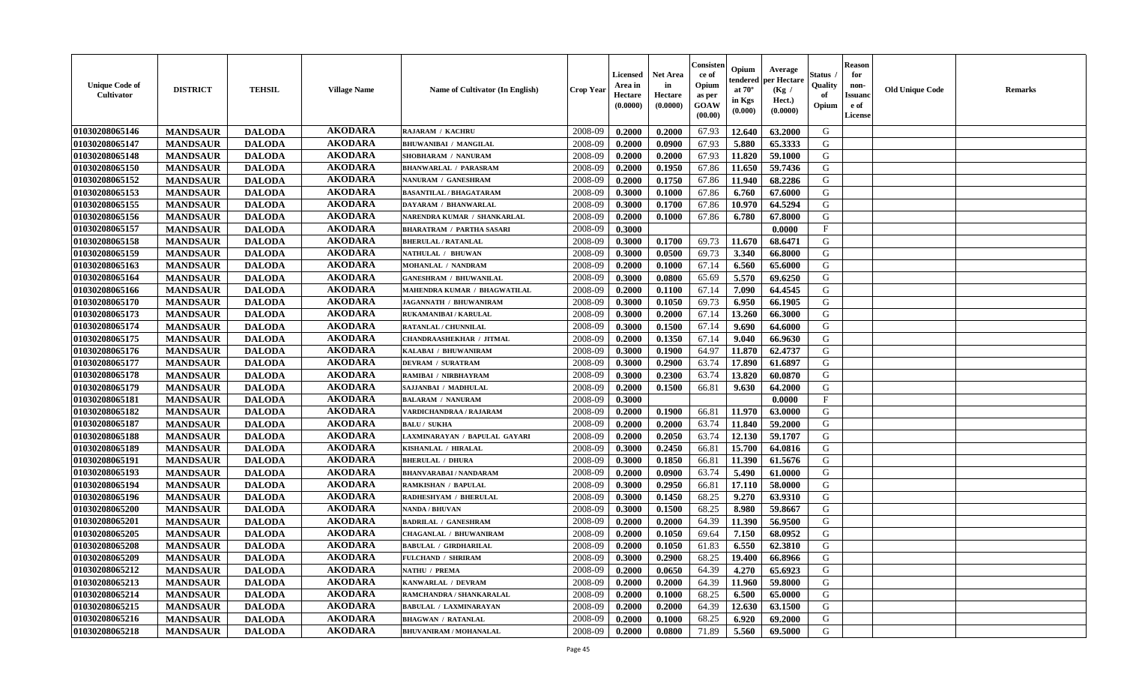| <b>Unique Code of</b><br><b>Cultivator</b> | <b>DISTRICT</b> | <b>TEHSIL</b> | <b>Village Name</b> | <b>Name of Cultivator (In English)</b> | <b>Crop Year</b> | Licensed<br>Area in<br>Hectare<br>(0.0000) | <b>Net Area</b><br>in<br>Hectare<br>(0.0000) | Consisteı<br>ce of<br>Opium<br>as per<br>GOAW<br>(00.00) | Opium<br>endered<br>at $70^\circ$<br>in Kgs<br>(0.000) | Average<br>per Hectare<br>(Kg /<br>Hect.)<br>(0.0000) | Status<br>Quality<br>of<br>Opium | <b>Reason</b><br>for<br>non-<br><b>Issuand</b><br>e of<br><b>License</b> | <b>Old Unique Code</b> | <b>Remarks</b> |
|--------------------------------------------|-----------------|---------------|---------------------|----------------------------------------|------------------|--------------------------------------------|----------------------------------------------|----------------------------------------------------------|--------------------------------------------------------|-------------------------------------------------------|----------------------------------|--------------------------------------------------------------------------|------------------------|----------------|
| 01030208065146                             | <b>MANDSAUR</b> | <b>DALODA</b> | <b>AKODARA</b>      | RAJARAM / KACHRU                       | 2008-09          | 0.2000                                     | 0.2000                                       | 67.93                                                    | 12.640                                                 | 63.2000                                               | G                                |                                                                          |                        |                |
| 01030208065147                             | <b>MANDSAUR</b> | <b>DALODA</b> | <b>AKODARA</b>      | <b>BHUWANIBAI / MANGILAL</b>           | 2008-09          | 0.2000                                     | 0.0900                                       | 67.93                                                    | 5.880                                                  | 65.3333                                               | G                                |                                                                          |                        |                |
| 01030208065148                             | <b>MANDSAUR</b> | <b>DALODA</b> | <b>AKODARA</b>      | SHOBHARAM / NANURAM                    | 2008-09          | 0.2000                                     | 0.2000                                       | 67.93                                                    | 11.820                                                 | 59.1000                                               | G                                |                                                                          |                        |                |
| 01030208065150                             | <b>MANDSAUR</b> | <b>DALODA</b> | <b>AKODARA</b>      | <b>BHANWARLAL / PARASRAM</b>           | 2008-09          | 0.2000                                     | 0.1950                                       | 67.86                                                    | 11.650                                                 | 59.7436                                               | G                                |                                                                          |                        |                |
| 01030208065152                             | <b>MANDSAUR</b> | <b>DALODA</b> | <b>AKODARA</b>      | NANURAM / GANESHRAM                    | 2008-09          | 0.2000                                     | 0.1750                                       | 67.86                                                    | 11.940                                                 | 68.2286                                               | G                                |                                                                          |                        |                |
| 01030208065153                             | <b>MANDSAUR</b> | <b>DALODA</b> | <b>AKODARA</b>      | <b>BASANTILAL / BHAGATARAM</b>         | 2008-09          | 0.3000                                     | 0.1000                                       | 67.86                                                    | 6.760                                                  | 67.6000                                               | G                                |                                                                          |                        |                |
| 01030208065155                             | <b>MANDSAUR</b> | <b>DALODA</b> | <b>AKODARA</b>      | DAYARAM / BHANWARLAL                   | 2008-09          | 0.3000                                     | 0.1700                                       | 67.86                                                    | 10.970                                                 | 64.5294                                               | G                                |                                                                          |                        |                |
| 01030208065156                             | <b>MANDSAUR</b> | <b>DALODA</b> | <b>AKODARA</b>      | NARENDRA KUMAR / SHANKARLAL            | 2008-09          | 0.2000                                     | 0.1000                                       | 67.86                                                    | 6.780                                                  | 67.8000                                               | G                                |                                                                          |                        |                |
| 01030208065157                             | <b>MANDSAUR</b> | <b>DALODA</b> | <b>AKODARA</b>      | <b>BHARATRAM / PARTHA SASARI</b>       | 2008-09          | 0.3000                                     |                                              |                                                          |                                                        | 0.0000                                                | $\mathbf{F}$                     |                                                                          |                        |                |
| 01030208065158                             | <b>MANDSAUR</b> | <b>DALODA</b> | <b>AKODARA</b>      | <b>BHERULAL / RATANLAL</b>             | 2008-09          | 0.3000                                     | 0.1700                                       | 69.73                                                    | 11.670                                                 | 68.6471                                               | G                                |                                                                          |                        |                |
| 01030208065159                             | <b>MANDSAUR</b> | <b>DALODA</b> | <b>AKODARA</b>      | NATHULAL / BHUWAN                      | 2008-09          | 0.3000                                     | 0.0500                                       | 69.73                                                    | 3.340                                                  | 66.8000                                               | G                                |                                                                          |                        |                |
| 01030208065163                             | <b>MANDSAUR</b> | <b>DALODA</b> | <b>AKODARA</b>      | MOHANLAL / NANDRAM                     | 2008-09          | 0.2000                                     | 0.1000                                       | 67.14                                                    | 6.560                                                  | 65.6000                                               | G                                |                                                                          |                        |                |
| 01030208065164                             | <b>MANDSAUR</b> | <b>DALODA</b> | <b>AKODARA</b>      | <b>GANESHRAM / BHUWANILAL</b>          | 2008-09          | 0.3000                                     | 0.0800                                       | 65.69                                                    | 5.570                                                  | 69.6250                                               | G                                |                                                                          |                        |                |
| 01030208065166                             | <b>MANDSAUR</b> | <b>DALODA</b> | <b>AKODARA</b>      | MAHENDRA KUMAR / BHAGWATILAL           | 2008-09          | 0.2000                                     | 0.1100                                       | 67.14                                                    | 7.090                                                  | 64.4545                                               | G                                |                                                                          |                        |                |
| 01030208065170                             | <b>MANDSAUR</b> | <b>DALODA</b> | <b>AKODARA</b>      | JAGANNATH / BHUWANIRAM                 | 2008-09          | 0.3000                                     | 0.1050                                       | 69.73                                                    | 6.950                                                  | 66.1905                                               | G                                |                                                                          |                        |                |
| 01030208065173                             | <b>MANDSAUR</b> | <b>DALODA</b> | <b>AKODARA</b>      | <b>RUKAMANIBAI / KARULAL</b>           | 2008-09          | 0.3000                                     | 0.2000                                       | 67.14                                                    | 13.260                                                 | 66.3000                                               | G                                |                                                                          |                        |                |
| 01030208065174                             | <b>MANDSAUR</b> | <b>DALODA</b> | <b>AKODARA</b>      | RATANLAL / CHUNNILAL                   | 2008-09          | 0.3000                                     | 0.1500                                       | 67.14                                                    | 9.690                                                  | 64.6000                                               | G                                |                                                                          |                        |                |
| 01030208065175                             | <b>MANDSAUR</b> | <b>DALODA</b> | <b>AKODARA</b>      | <b>CHANDRAASHEKHAR / JITMAL</b>        | 2008-09          | 0.2000                                     | 0.1350                                       | 67.14                                                    | 9.040                                                  | 66.9630                                               | G                                |                                                                          |                        |                |
| 01030208065176                             | <b>MANDSAUR</b> | <b>DALODA</b> | <b>AKODARA</b>      | KALABAI / BHUWANIRAM                   | 2008-09          | 0.3000                                     | 0.1900                                       | 64.97                                                    | 11.870                                                 | 62.4737                                               | G                                |                                                                          |                        |                |
| 01030208065177                             | <b>MANDSAUR</b> | <b>DALODA</b> | <b>AKODARA</b>      | <b>DEVRAM / SURATRAM</b>               | 2008-09          | 0.3000                                     | 0.2900                                       | 63.74                                                    | 17.890                                                 | 61.6897                                               | G                                |                                                                          |                        |                |
| 01030208065178                             | <b>MANDSAUR</b> | <b>DALODA</b> | <b>AKODARA</b>      | RAMIBAI / NIRBHAYRAM                   | 2008-09          | 0.3000                                     | 0.2300                                       | 63.74                                                    | 13.820                                                 | 60.0870                                               | G                                |                                                                          |                        |                |
| 01030208065179                             | <b>MANDSAUR</b> | <b>DALODA</b> | <b>AKODARA</b>      | SAJJANBAI / MADHULAL                   | 2008-09          | 0.2000                                     | 0.1500                                       | 66.81                                                    | 9.630                                                  | 64.2000                                               | G                                |                                                                          |                        |                |
| 01030208065181                             | <b>MANDSAUR</b> | <b>DALODA</b> | <b>AKODARA</b>      | <b>BALARAM / NANURAM</b>               | 2008-09          | 0.3000                                     |                                              |                                                          |                                                        | 0.0000                                                | $\mathbf{F}$                     |                                                                          |                        |                |
| 01030208065182                             | <b>MANDSAUR</b> | <b>DALODA</b> | <b>AKODARA</b>      | VARDICHANDRAA / RAJARAM                | 2008-09          | 0.2000                                     | 0.1900                                       | 66.81                                                    | 11.970                                                 | 63.0000                                               | G                                |                                                                          |                        |                |
| 01030208065187                             | <b>MANDSAUR</b> | <b>DALODA</b> | <b>AKODARA</b>      | <b>BALU / SUKHA</b>                    | 2008-09          | 0.2000                                     | 0.2000                                       | 63.74                                                    | 11.840                                                 | 59.2000                                               | G                                |                                                                          |                        |                |
| 01030208065188                             | <b>MANDSAUR</b> | <b>DALODA</b> | <b>AKODARA</b>      | LAXMINARAYAN / BAPULAL GAYARI          | 2008-09          | 0.2000                                     | 0.2050                                       | 63.74                                                    | 12.130                                                 | 59.1707                                               | G                                |                                                                          |                        |                |
| 01030208065189                             | <b>MANDSAUR</b> | <b>DALODA</b> | <b>AKODARA</b>      | KISHANLAL / HIRALAL                    | 2008-09          | 0.3000                                     | 0.2450                                       | 66.81                                                    | 15.700                                                 | 64.0816                                               | G                                |                                                                          |                        |                |
| 01030208065191                             | <b>MANDSAUR</b> | <b>DALODA</b> | <b>AKODARA</b>      | <b>BHERULAL / DHURA</b>                | 2008-09          | 0.3000                                     | 0.1850                                       | 66.81                                                    | 11.390                                                 | 61.5676                                               | G                                |                                                                          |                        |                |
| 01030208065193                             | <b>MANDSAUR</b> | <b>DALODA</b> | <b>AKODARA</b>      | <b>BHANVARABAI/NANDARAM</b>            | 2008-09          | 0.2000                                     | 0.0900                                       | 63.74                                                    | 5.490                                                  | 61.0000                                               | G                                |                                                                          |                        |                |
| 01030208065194                             | <b>MANDSAUR</b> | <b>DALODA</b> | <b>AKODARA</b>      | RAMKISHAN / BAPULAL                    | 2008-09          | 0.3000                                     | 0.2950                                       | 66.81                                                    | 17.110                                                 | 58.0000                                               | G                                |                                                                          |                        |                |
| 01030208065196                             | <b>MANDSAUR</b> | <b>DALODA</b> | <b>AKODARA</b>      | RADHESHYAM / BHERULAL                  | 2008-09          | 0.3000                                     | 0.1450                                       | 68.25                                                    | 9.270                                                  | 63.9310                                               | ${\bf G}$                        |                                                                          |                        |                |
| 01030208065200                             | <b>MANDSAUR</b> | <b>DALODA</b> | <b>AKODARA</b>      | <b>NANDA / BHUVAN</b>                  | 2008-09          | 0.3000                                     | 0.1500                                       | 68.25                                                    | 8.980                                                  | 59.8667                                               | G                                |                                                                          |                        |                |
| 01030208065201                             | <b>MANDSAUR</b> | <b>DALODA</b> | <b>AKODARA</b>      | <b>BADRILAL / GANESHRAM</b>            | 2008-09          | 0.2000                                     | 0.2000                                       | 64.39                                                    | 11.390                                                 | 56.9500                                               | G                                |                                                                          |                        |                |
| 01030208065205                             | <b>MANDSAUR</b> | <b>DALODA</b> | <b>AKODARA</b>      | <b>CHAGANLAL / BHUWANIRAM</b>          | 2008-09          | 0.2000                                     | 0.1050                                       | 69.64                                                    | 7.150                                                  | 68.0952                                               | G                                |                                                                          |                        |                |
| 01030208065208                             | <b>MANDSAUR</b> | <b>DALODA</b> | <b>AKODARA</b>      | <b>BABULAL / GIRDHARILAL</b>           | 2008-09          | 0.2000                                     | 0.1050                                       | 61.83                                                    | 6.550                                                  | 62.3810                                               | G                                |                                                                          |                        |                |
| 01030208065209                             | <b>MANDSAUR</b> | <b>DALODA</b> | <b>AKODARA</b>      | FULCHAND / SHRIRAM                     | 2008-09          | 0.3000                                     | 0.2900                                       | 68.25                                                    | 19.400                                                 | 66.8966                                               | G                                |                                                                          |                        |                |
| 01030208065212                             | <b>MANDSAUR</b> | <b>DALODA</b> | <b>AKODARA</b>      | NATHU / PREMA                          | 2008-09          | 0.2000                                     | 0.0650                                       | 64.39                                                    | 4.270                                                  | 65.6923                                               | G                                |                                                                          |                        |                |
| 01030208065213                             | <b>MANDSAUR</b> | <b>DALODA</b> | <b>AKODARA</b>      | KANWARLAL / DEVRAM                     | 2008-09          | 0.2000                                     | 0.2000                                       | 64.39                                                    | 11.960                                                 | 59.8000                                               | G                                |                                                                          |                        |                |
| 01030208065214                             | <b>MANDSAUR</b> | <b>DALODA</b> | <b>AKODARA</b>      | RAMCHANDRA / SHANKARALAL               | 2008-09          | 0.2000                                     | 0.1000                                       | 68.25                                                    | 6.500                                                  | 65.0000                                               | G                                |                                                                          |                        |                |
| 01030208065215                             | <b>MANDSAUR</b> | <b>DALODA</b> | <b>AKODARA</b>      | <b>BABULAL / LAXMINARAYAN</b>          | 2008-09          | 0.2000                                     | 0.2000                                       | 64.39                                                    | 12.630                                                 | 63.1500                                               | G                                |                                                                          |                        |                |
| 01030208065216                             | <b>MANDSAUR</b> | <b>DALODA</b> | <b>AKODARA</b>      | <b>BHAGWAN / RATANLAL</b>              | 2008-09          | 0.2000                                     | 0.1000                                       | 68.25                                                    | 6.920                                                  | 69.2000                                               | G                                |                                                                          |                        |                |
| 01030208065218                             | <b>MANDSAUR</b> | <b>DALODA</b> | <b>AKODARA</b>      | <b>BHUVANIRAM / MOHANALAL</b>          | 2008-09          | 0.2000                                     | 0.0800                                       | 71.89                                                    | 5.560                                                  | 69.5000                                               | G                                |                                                                          |                        |                |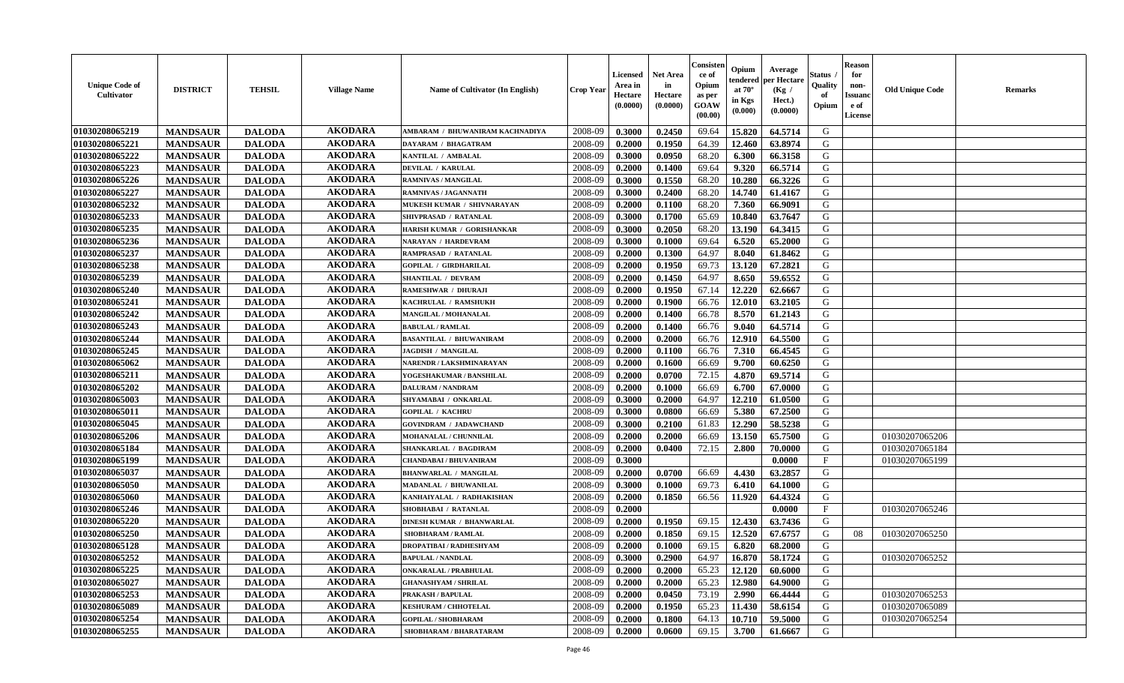| <b>Unique Code of</b><br>Cultivator | <b>DISTRICT</b> | <b>TEHSIL</b> | <b>Village Name</b> | <b>Name of Cultivator (In English)</b> | <b>Crop Year</b> | Licensed<br>Area in<br>Hectare<br>(0.0000) | <b>Net Area</b><br>in<br>Hectare<br>(0.0000) | Consister<br>ce of<br>Opium<br>as per<br>GOAW<br>(00.00) | Opium<br>endered<br>at $70^{\circ}$<br>in Kgs<br>$(\mathbf{0.000})$ | Average<br>per Hectare<br>(Kg /<br>Hect.)<br>(0.0000) | <b>Status</b> .<br>Quality<br>of<br>Opium | <b>Reason</b><br>for<br>non-<br><b>Issuand</b><br>e of<br>License | <b>Old Unique Code</b> | <b>Remarks</b> |
|-------------------------------------|-----------------|---------------|---------------------|----------------------------------------|------------------|--------------------------------------------|----------------------------------------------|----------------------------------------------------------|---------------------------------------------------------------------|-------------------------------------------------------|-------------------------------------------|-------------------------------------------------------------------|------------------------|----------------|
| 01030208065219                      | <b>MANDSAUR</b> | <b>DALODA</b> | <b>AKODARA</b>      | AMBARAM / BHUWANIRAM KACHNADIYA        | 2008-09          | 0.3000                                     | 0.2450                                       | 69.64                                                    | 15.820                                                              | 64.5714                                               | G                                         |                                                                   |                        |                |
| 01030208065221                      | <b>MANDSAUR</b> | <b>DALODA</b> | <b>AKODARA</b>      | DAYARAM / BHAGATRAM                    | 2008-09          | 0.2000                                     | 0.1950                                       | 64.39                                                    | 12.460                                                              | 63.8974                                               | G                                         |                                                                   |                        |                |
| 01030208065222                      | <b>MANDSAUR</b> | <b>DALODA</b> | <b>AKODARA</b>      | KANTILAL / AMBALAL                     | 2008-09          | 0.3000                                     | 0.0950                                       | 68.20                                                    | 6.300                                                               | 66.3158                                               | G                                         |                                                                   |                        |                |
| 01030208065223                      | <b>MANDSAUR</b> | <b>DALODA</b> | <b>AKODARA</b>      | <b>DEVILAL / KARULAL</b>               | 2008-09          | 0.2000                                     | 0.1400                                       | 69.64                                                    | 9.320                                                               | 66.5714                                               | G                                         |                                                                   |                        |                |
| 01030208065226                      | <b>MANDSAUR</b> | <b>DALODA</b> | <b>AKODARA</b>      | <b>RAMNIVAS / MANGILAL</b>             | 2008-09          | 0.3000                                     | 0.1550                                       | 68.20                                                    | 10.280                                                              | 66.3226                                               | G                                         |                                                                   |                        |                |
| 01030208065227                      | <b>MANDSAUR</b> | <b>DALODA</b> | <b>AKODARA</b>      | <b>RAMNIVAS / JAGANNATH</b>            | 2008-09          | 0.3000                                     | 0.2400                                       | 68.20                                                    | 14.740                                                              | 61.4167                                               | G                                         |                                                                   |                        |                |
| 01030208065232                      | <b>MANDSAUR</b> | <b>DALODA</b> | <b>AKODARA</b>      | MUKESH KUMAR / SHIVNARAYAN             | 2008-09          | 0.2000                                     | 0.1100                                       | 68.20                                                    | 7.360                                                               | 66.9091                                               | G                                         |                                                                   |                        |                |
| 01030208065233                      | <b>MANDSAUR</b> | <b>DALODA</b> | <b>AKODARA</b>      | SHIVPRASAD / RATANLAL                  | 2008-09          | 0.3000                                     | 0.1700                                       | 65.69                                                    | 10.840                                                              | 63.7647                                               | G                                         |                                                                   |                        |                |
| 01030208065235                      | <b>MANDSAUR</b> | <b>DALODA</b> | <b>AKODARA</b>      | HARISH KUMAR / GORISHANKAR             | 2008-09          | 0.3000                                     | 0.2050                                       | 68.20                                                    | 13.190                                                              | 64.3415                                               | G                                         |                                                                   |                        |                |
| 01030208065236                      | <b>MANDSAUR</b> | <b>DALODA</b> | <b>AKODARA</b>      | NARAYAN / HARDEVRAM                    | 2008-09          | 0.3000                                     | 0.1000                                       | 69.64                                                    | 6.520                                                               | 65.2000                                               | G                                         |                                                                   |                        |                |
| 01030208065237                      | <b>MANDSAUR</b> | <b>DALODA</b> | <b>AKODARA</b>      | RAMPRASAD / RATANLAL                   | 2008-09          | 0.2000                                     | 0.1300                                       | 64.97                                                    | 8.040                                                               | 61.8462                                               | G                                         |                                                                   |                        |                |
| 01030208065238                      | <b>MANDSAUR</b> | <b>DALODA</b> | <b>AKODARA</b>      | <b>GOPILAL / GIRDHARILAL</b>           | 2008-09          | 0.2000                                     | 0.1950                                       | 69.73                                                    | 13.120                                                              | 67.2821                                               | G                                         |                                                                   |                        |                |
| 01030208065239                      | <b>MANDSAUR</b> | <b>DALODA</b> | <b>AKODARA</b>      | <b>SHANTILAL / DEVRAM</b>              | 2008-09          | 0.2000                                     | 0.1450                                       | 64.97                                                    | 8.650                                                               | 59.6552                                               | G                                         |                                                                   |                        |                |
| 01030208065240                      | <b>MANDSAUR</b> | <b>DALODA</b> | <b>AKODARA</b>      | RAMESHWAR / DHURAJI                    | 2008-09          | 0.2000                                     | 0.1950                                       | 67.14                                                    | 12.220                                                              | 62.6667                                               | G                                         |                                                                   |                        |                |
| 01030208065241                      | <b>MANDSAUR</b> | <b>DALODA</b> | <b>AKODARA</b>      | KACHRULAL / RAMSHUKH                   | 2008-09          | 0.2000                                     | 0.1900                                       | 66.76                                                    | 12.010                                                              | 63.2105                                               | ${\bf G}$                                 |                                                                   |                        |                |
| 01030208065242                      | <b>MANDSAUR</b> | <b>DALODA</b> | <b>AKODARA</b>      | MANGILAL / MOHANALAL                   | 2008-09          | 0.2000                                     | 0.1400                                       | 66.78                                                    | 8.570                                                               | 61.2143                                               | G                                         |                                                                   |                        |                |
| 01030208065243                      | <b>MANDSAUR</b> | <b>DALODA</b> | <b>AKODARA</b>      | <b>BABULAL / RAMLAL</b>                | 2008-09          | 0.2000                                     | 0.1400                                       | 66.76                                                    | 9.040                                                               | 64.5714                                               | G                                         |                                                                   |                        |                |
| 01030208065244                      | <b>MANDSAUR</b> | <b>DALODA</b> | <b>AKODARA</b>      | <b>BASANTILAL / BHUWANIRAM</b>         | 2008-09          | 0.2000                                     | 0.2000                                       | 66.76                                                    | 12.910                                                              | 64.5500                                               | G                                         |                                                                   |                        |                |
| 01030208065245                      | <b>MANDSAUR</b> | <b>DALODA</b> | <b>AKODARA</b>      | <b>JAGDISH / MANGILAL</b>              | 2008-09          | 0.2000                                     | 0.1100                                       | 66.76                                                    | 7.310                                                               | 66.4545                                               | G                                         |                                                                   |                        |                |
| 01030208065062                      | <b>MANDSAUR</b> | <b>DALODA</b> | <b>AKODARA</b>      | NARENDR / LAKSHMINARAYAN               | 2008-09          | 0.2000                                     | 0.1600                                       | 66.69                                                    | 9.700                                                               | 60.6250                                               | G                                         |                                                                   |                        |                |
| 01030208065211                      | <b>MANDSAUR</b> | <b>DALODA</b> | <b>AKODARA</b>      | YOGESHAKUMAR / BANSHILAL               | 2008-09          | 0.2000                                     | 0.0700                                       | 72.15                                                    | 4.870                                                               | 69.5714                                               | G                                         |                                                                   |                        |                |
| 01030208065202                      | <b>MANDSAUR</b> | <b>DALODA</b> | <b>AKODARA</b>      | <b>DALURAM / NANDRAM</b>               | 2008-09          | 0.2000                                     | 0.1000                                       | 66.69                                                    | 6.700                                                               | 67.0000                                               | G                                         |                                                                   |                        |                |
| 01030208065003                      | <b>MANDSAUR</b> | <b>DALODA</b> | <b>AKODARA</b>      | SHYAMABAI / ONKARLAL                   | 2008-09          | 0.3000                                     | 0.2000                                       | 64.97                                                    | 12.210                                                              | 61.0500                                               | ${\bf G}$                                 |                                                                   |                        |                |
| 01030208065011                      | <b>MANDSAUR</b> | <b>DALODA</b> | <b>AKODARA</b>      | <b>GOPILAL / KACHRU</b>                | 2008-09          | 0.3000                                     | 0.0800                                       | 66.69                                                    | 5.380                                                               | 67.2500                                               | ${\bf G}$                                 |                                                                   |                        |                |
| 01030208065045                      | <b>MANDSAUR</b> | <b>DALODA</b> | <b>AKODARA</b>      | <b>GOVINDRAM / JADAWCHAND</b>          | 2008-09          | 0.3000                                     | 0.2100                                       | 61.83                                                    | 12.290                                                              | 58.5238                                               | G                                         |                                                                   |                        |                |
| 01030208065206                      | <b>MANDSAUR</b> | <b>DALODA</b> | <b>AKODARA</b>      | MOHANALAL / CHUNNILAL                  | 2008-09          | 0.2000                                     | 0.2000                                       | 66.69                                                    | 13.150                                                              | 65.7500                                               | $\mathsf G$                               |                                                                   | 01030207065206         |                |
| 01030208065184                      | <b>MANDSAUR</b> | <b>DALODA</b> | <b>AKODARA</b>      | SHANKARLAL / BAGDIRAM                  | 2008-09          | 0.2000                                     | 0.0400                                       | 72.15                                                    | 2.800                                                               | 70.0000                                               | G                                         |                                                                   | 01030207065184         |                |
| 01030208065199                      | <b>MANDSAUR</b> | <b>DALODA</b> | <b>AKODARA</b>      | CHANDABAI / BHUVANIRAM                 | 2008-09          | 0.3000                                     |                                              |                                                          |                                                                     | 0.0000                                                | $\mathbf{F}$                              |                                                                   | 01030207065199         |                |
| 01030208065037                      | <b>MANDSAUR</b> | <b>DALODA</b> | <b>AKODARA</b>      | <b>BHANWARLAL / MANGILAL</b>           | 2008-09          | 0.2000                                     | 0.0700                                       | 66.69                                                    | 4.430                                                               | 63.2857                                               | G                                         |                                                                   |                        |                |
| 01030208065050                      | <b>MANDSAUR</b> | <b>DALODA</b> | <b>AKODARA</b>      | <b>MADANLAL / BHUWANILAL</b>           | 2008-09          | 0.3000                                     | 0.1000                                       | 69.73                                                    | 6.410                                                               | 64.1000                                               | G                                         |                                                                   |                        |                |
| 01030208065060                      | <b>MANDSAUR</b> | <b>DALODA</b> | <b>AKODARA</b>      | KANHAIYALAL / RADHAKISHAN              | 2008-09          | 0.2000                                     | 0.1850                                       | 66.56                                                    | 11.920                                                              | 64.4324                                               | G                                         |                                                                   |                        |                |
| 01030208065246                      | <b>MANDSAUR</b> | <b>DALODA</b> | <b>AKODARA</b>      | SHOBHABAI / RATANLAL                   | 2008-09          | 0.2000                                     |                                              |                                                          |                                                                     | 0.0000                                                | $\boldsymbol{\mathrm{F}}$                 |                                                                   | 01030207065246         |                |
| 01030208065220                      | <b>MANDSAUR</b> | <b>DALODA</b> | <b>AKODARA</b>      | <b>DINESH KUMAR / BHANWARLAL</b>       | 2008-09          | 0.2000                                     | 0.1950                                       | 69.15                                                    | 12.430                                                              | 63.7436                                               | G                                         |                                                                   |                        |                |
| 01030208065250                      | <b>MANDSAUR</b> | <b>DALODA</b> | <b>AKODARA</b>      | <b>SHOBHARAM / RAMLAL</b>              | 2008-09          | 0.2000                                     | 0.1850                                       | 69.15                                                    | 12.520                                                              | 67.6757                                               | G                                         | 08                                                                | 01030207065250         |                |
| 01030208065128                      | <b>MANDSAUR</b> | <b>DALODA</b> | <b>AKODARA</b>      | <b>DROPATIBAI/RADHESHYAM</b>           | 2008-09          | 0.2000                                     | 0.1000                                       | 69.15                                                    | 6.820                                                               | 68.2000                                               | ${\bf G}$                                 |                                                                   |                        |                |
| 01030208065252                      | <b>MANDSAUR</b> | <b>DALODA</b> | <b>AKODARA</b>      | <b>BAPULAL / NANDLAL</b>               | 2008-09          | 0.3000                                     | 0.2900                                       | 64.97                                                    | 16.870                                                              | 58.1724                                               | G                                         |                                                                   | 01030207065252         |                |
| 01030208065225                      | <b>MANDSAUR</b> | <b>DALODA</b> | <b>AKODARA</b>      | <b>ONKARALAL / PRABHULAL</b>           | 2008-09          | 0.2000                                     | 0.2000                                       | 65.23                                                    | 12.120                                                              | 60.6000                                               | G                                         |                                                                   |                        |                |
| 01030208065027                      | <b>MANDSAUR</b> | <b>DALODA</b> | <b>AKODARA</b>      | <b>GHANASHYAM / SHRILAL</b>            | 2008-09          | 0.2000                                     | 0.2000                                       | 65.23                                                    | 12.980                                                              | 64.9000                                               | G                                         |                                                                   |                        |                |
| 01030208065253                      | <b>MANDSAUR</b> | <b>DALODA</b> | <b>AKODARA</b>      | PRAKASH / BAPULAL                      | 2008-09          | 0.2000                                     | 0.0450                                       | 73.19                                                    | 2.990                                                               | 66.4444                                               | G                                         |                                                                   | 01030207065253         |                |
| 01030208065089                      | <b>MANDSAUR</b> | <b>DALODA</b> | <b>AKODARA</b>      | <b>KESHURAM / CHHOTELAL</b>            | 2008-09          | 0.2000                                     | 0.1950                                       | 65.23                                                    | 11.430                                                              | 58.6154                                               | ${\bf G}$                                 |                                                                   | 01030207065089         |                |
| 01030208065254                      | <b>MANDSAUR</b> | <b>DALODA</b> | <b>AKODARA</b>      | <b>GOPILAL / SHOBHARAM</b>             | 2008-09          | 0.2000                                     | 0.1800                                       | 64.13                                                    | 10.710                                                              | 59.5000                                               | G                                         |                                                                   | 01030207065254         |                |
| 01030208065255                      | <b>MANDSAUR</b> | <b>DALODA</b> | <b>AKODARA</b>      | SHOBHARAM / BHARATARAM                 | 2008-09          | 0.2000                                     | 0.0600                                       | 69.15                                                    | 3.700                                                               | 61.6667                                               | G                                         |                                                                   |                        |                |
|                                     |                 |               |                     |                                        |                  |                                            |                                              |                                                          |                                                                     |                                                       |                                           |                                                                   |                        |                |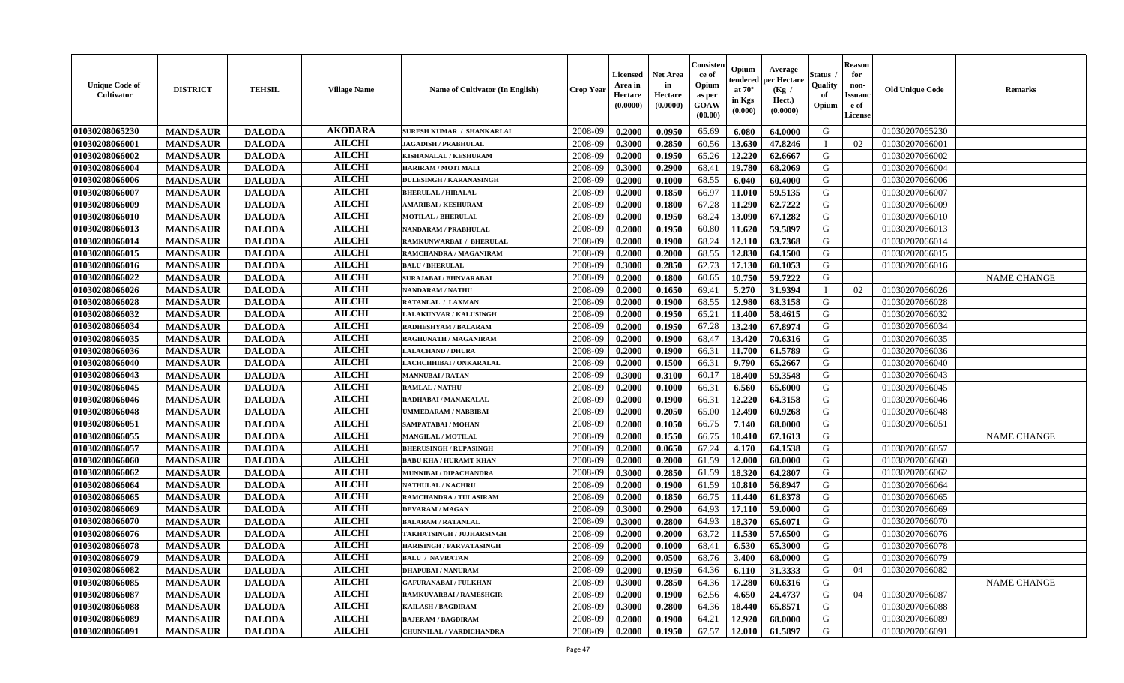| <b>Unique Code of</b><br>Cultivator | <b>DISTRICT</b> | <b>TEHSIL</b> | <b>Village Name</b> | <b>Name of Cultivator (In English)</b> | <b>Crop Year</b> | Licensed<br>Area in<br>Hectare<br>(0.0000) | Net Area<br>in<br>Hectare<br>(0.0000) | Consister<br>ce of<br>Opium<br>as per<br>GOAW<br>(00.00) | Opium<br>endered<br>at $70^{\circ}$<br>in Kgs<br>$(\mathbf{0.000})$ | Average<br>per Hectare<br>(Kg /<br>Hect.)<br>(0.0000) | Status<br>Quality<br>of<br>Opium | <b>Reason</b><br>for<br>non-<br><b>Issuano</b><br>e of<br>License | <b>Old Unique Code</b> | <b>Remarks</b>     |
|-------------------------------------|-----------------|---------------|---------------------|----------------------------------------|------------------|--------------------------------------------|---------------------------------------|----------------------------------------------------------|---------------------------------------------------------------------|-------------------------------------------------------|----------------------------------|-------------------------------------------------------------------|------------------------|--------------------|
| 01030208065230                      | <b>MANDSAUR</b> | <b>DALODA</b> | <b>AKODARA</b>      | <b>SURESH KUMAR / SHANKARLAL</b>       | 2008-09          | 0.2000                                     | 0.0950                                | 65.69                                                    | 6.080                                                               | 64.0000                                               | G                                |                                                                   | 01030207065230         |                    |
| 01030208066001                      | <b>MANDSAUR</b> | <b>DALODA</b> | <b>AILCHI</b>       | <b>JAGADISH / PRABHULAL</b>            | 2008-09          | 0.3000                                     | 0.2850                                | 60.56                                                    | 13.630                                                              | 47.8246                                               |                                  | 02                                                                | 01030207066001         |                    |
| 01030208066002                      | <b>MANDSAUR</b> | <b>DALODA</b> | <b>AILCHI</b>       | KISHANALAL / KESHURAM                  | 2008-09          | 0.2000                                     | 0.1950                                | 65.26                                                    | 12,220                                                              | 62.6667                                               | G                                |                                                                   | 01030207066002         |                    |
| 01030208066004                      | <b>MANDSAUR</b> | <b>DALODA</b> | <b>AILCHI</b>       | HARIRAM / MOTI MALI                    | 2008-09          | 0.3000                                     | 0.2900                                | 68.41                                                    | 19.780                                                              | 68.2069                                               | G                                |                                                                   | 01030207066004         |                    |
| 01030208066006                      | <b>MANDSAUR</b> | <b>DALODA</b> | <b>AILCHI</b>       | DULESINGH / KARANASINGH                | 2008-09          | 0.2000                                     | 0.1000                                | 68.55                                                    | 6.040                                                               | 60.4000                                               | G                                |                                                                   | 01030207066006         |                    |
| 01030208066007                      | <b>MANDSAUR</b> | <b>DALODA</b> | <b>AILCHI</b>       | <b>BHERULAL / HIRALAL</b>              | 2008-09          | 0.2000                                     | 0.1850                                | 66.97                                                    | 11.010                                                              | 59.5135                                               | G                                |                                                                   | 01030207066007         |                    |
| 01030208066009                      | <b>MANDSAUR</b> | <b>DALODA</b> | <b>AILCHI</b>       | <b>AMARIBAI/KESHURAM</b>               | 2008-09          | 0.2000                                     | 0.1800                                | 67.28                                                    | 11.290                                                              | 62.7222                                               | G                                |                                                                   | 01030207066009         |                    |
| 01030208066010                      | <b>MANDSAUR</b> | <b>DALODA</b> | <b>AILCHI</b>       | <b>MOTILAL / BHERULAL</b>              | 2008-09          | 0.2000                                     | 0.1950                                | 68.24                                                    | 13.090                                                              | 67.1282                                               | G                                |                                                                   | 01030207066010         |                    |
| 01030208066013                      | <b>MANDSAUR</b> | <b>DALODA</b> | <b>AILCHI</b>       | NANDARAM / PRABHULAL                   | 2008-09          | 0.2000                                     | 0.1950                                | 60.80                                                    | 11.620                                                              | 59.5897                                               | G                                |                                                                   | 01030207066013         |                    |
| 01030208066014                      | <b>MANDSAUR</b> | <b>DALODA</b> | <b>AILCHI</b>       | RAMKUNWARBAI / BHERULAL                | 2008-09          | 0.2000                                     | 0.1900                                | 68.24                                                    | 12.110                                                              | 63.7368                                               | G                                |                                                                   | 01030207066014         |                    |
| 01030208066015                      | <b>MANDSAUR</b> | <b>DALODA</b> | <b>AILCHI</b>       | RAMCHANDRA / MAGANIRAM                 | 2008-09          | 0.2000                                     | 0.2000                                | 68.55                                                    | 12.830                                                              | 64.1500                                               | G                                |                                                                   | 01030207066015         |                    |
| 01030208066016                      | <b>MANDSAUR</b> | <b>DALODA</b> | <b>AILCHI</b>       | <b>BALU / BHERULAL</b>                 | 2008-09          | 0.3000                                     | 0.2850                                | 62.73                                                    | 17.130                                                              | 60.1053                                               | G                                |                                                                   | 01030207066016         |                    |
| 01030208066022                      | <b>MANDSAUR</b> | <b>DALODA</b> | <b>AILCHI</b>       | <b>SURAJABAI / BHNVARABAI</b>          | 2008-09          | 0.2000                                     | 0.1800                                | 60.65                                                    | 10.750                                                              | 59.7222                                               | G                                |                                                                   |                        | <b>NAME CHANGE</b> |
| 01030208066026                      | <b>MANDSAUR</b> | <b>DALODA</b> | <b>AILCHI</b>       | <b>NANDARAM / NATHU</b>                | 2008-09          | 0.2000                                     | 0.1650                                | 69.41                                                    | 5.270                                                               | 31.9394                                               |                                  | 02                                                                | 01030207066026         |                    |
| 01030208066028                      | <b>MANDSAUR</b> | <b>DALODA</b> | <b>AILCHI</b>       | RATANLAL / LAXMAN                      | 2008-09          | 0.2000                                     | 0.1900                                | 68.55                                                    | 12.980                                                              | 68.3158                                               | G                                |                                                                   | 01030207066028         |                    |
| 01030208066032                      | <b>MANDSAUR</b> | <b>DALODA</b> | <b>AILCHI</b>       | LALAKUNVAR / KALUSINGH                 | 2008-09          | 0.2000                                     | 0.1950                                | 65.21                                                    | 11.400                                                              | 58.4615                                               | G                                |                                                                   | 01030207066032         |                    |
| 01030208066034                      | <b>MANDSAUR</b> | <b>DALODA</b> | <b>AILCHI</b>       | <b>RADHESHYAM / BALARAM</b>            | 2008-09          | 0.2000                                     | 0.1950                                | 67.28                                                    | 13.240                                                              | 67.8974                                               | G                                |                                                                   | 01030207066034         |                    |
| 01030208066035                      | <b>MANDSAUR</b> | <b>DALODA</b> | <b>AILCHI</b>       | RAGHUNATH / MAGANIRAM                  | 2008-09          | 0.2000                                     | 0.1900                                | 68.47                                                    | 13.420                                                              | 70.6316                                               | G                                |                                                                   | 01030207066035         |                    |
| 01030208066036                      | <b>MANDSAUR</b> | <b>DALODA</b> | <b>AILCHI</b>       | <b>LALACHAND / DHURA</b>               | 2008-09          | 0.2000                                     | 0.1900                                | 66.31                                                    | 11.700                                                              | 61.5789                                               | G                                |                                                                   | 01030207066036         |                    |
| 01030208066040                      | <b>MANDSAUR</b> | <b>DALODA</b> | <b>AILCHI</b>       | LACHCHHIBAI / ONKARALAL                | 2008-09          | 0.2000                                     | 0.1500                                | 66.31                                                    | 9.790                                                               | 65.2667                                               | G                                |                                                                   | 01030207066040         |                    |
| 01030208066043                      | <b>MANDSAUR</b> | <b>DALODA</b> | <b>AILCHI</b>       | <b>MANNUBAI/RATAN</b>                  | 2008-09          | 0.3000                                     | 0.3100                                | 60.17                                                    | 18.400                                                              | 59.3548                                               | G                                |                                                                   | 01030207066043         |                    |
| 01030208066045                      | <b>MANDSAUR</b> | <b>DALODA</b> | <b>AILCHI</b>       | <b>RAMLAL / NATHU</b>                  | 2008-09          | 0.2000                                     | 0.1000                                | 66.31                                                    | 6.560                                                               | 65.6000                                               | G                                |                                                                   | 01030207066045         |                    |
| 01030208066046                      | <b>MANDSAUR</b> | <b>DALODA</b> | <b>AILCHI</b>       | RADHABAI / MANAKALAL                   | 2008-09          | 0.2000                                     | 0.1900                                | 66.31                                                    | 12.220                                                              | 64.3158                                               | G                                |                                                                   | 01030207066046         |                    |
| 01030208066048                      | <b>MANDSAUR</b> | <b>DALODA</b> | <b>AILCHI</b>       | UMMEDARAM / NABBIBAI                   | 2008-09          | 0.2000                                     | 0.2050                                | 65.00                                                    | 12.490                                                              | 60.9268                                               | G                                |                                                                   | 01030207066048         |                    |
| 01030208066051                      | <b>MANDSAUR</b> | <b>DALODA</b> | <b>AILCHI</b>       | SAMPATABAI / MOHAN                     | 2008-09          | 0.2000                                     | 0.1050                                | 66.75                                                    | 7.140                                                               | 68.0000                                               | G                                |                                                                   | 01030207066051         |                    |
| 01030208066055                      | <b>MANDSAUR</b> | <b>DALODA</b> | <b>AILCHI</b>       | <b>MANGILAL / MOTILAL</b>              | 2008-09          | 0.2000                                     | 0.1550                                | 66.75                                                    | 10.410                                                              | 67.1613                                               | G                                |                                                                   |                        | <b>NAME CHANGE</b> |
| 01030208066057                      | <b>MANDSAUR</b> | <b>DALODA</b> | <b>AILCHI</b>       | <b>BHERUSINGH / RUPASINGH</b>          | 2008-09          | 0.2000                                     | 0.0650                                | 67.24                                                    | 4.170                                                               | 64.1538                                               | G                                |                                                                   | 01030207066057         |                    |
| 01030208066060                      | <b>MANDSAUR</b> | <b>DALODA</b> | <b>AILCHI</b>       | <b>BABU KHA / HURAMT KHAN</b>          | 2008-09          | 0.2000                                     | 0.2000                                | 61.59                                                    | 12.000                                                              | 60.0000                                               | G                                |                                                                   | 01030207066060         |                    |
| 01030208066062                      | <b>MANDSAUR</b> | <b>DALODA</b> | <b>AILCHI</b>       | <b>MUNNIBAI / DIPACHANDRA</b>          | 2008-09          | 0.3000                                     | 0.2850                                | 61.59                                                    | 18.320                                                              | 64.2807                                               | G                                |                                                                   | 01030207066062         |                    |
| 01030208066064                      | <b>MANDSAUR</b> | <b>DALODA</b> | <b>AILCHI</b>       | <b>NATHULAL / KACHRU</b>               | 2008-09          | 0.2000                                     | 0.1900                                | 61.59                                                    | 10.810                                                              | 56.8947                                               | G                                |                                                                   | 01030207066064         |                    |
| 01030208066065                      | <b>MANDSAUR</b> | <b>DALODA</b> | <b>AILCHI</b>       | RAMCHANDRA / TULASIRAM                 | 2008-09          | 0.2000                                     | 0.1850                                | 66.75                                                    | 11.440                                                              | 61.8378                                               | G                                |                                                                   | 01030207066065         |                    |
| 01030208066069                      | <b>MANDSAUR</b> | <b>DALODA</b> | <b>AILCHI</b>       | <b>DEVARAM / MAGAN</b>                 | 2008-09          | 0.3000                                     | 0.2900                                | 64.93                                                    | 17.110                                                              | 59.0000                                               | G                                |                                                                   | 01030207066069         |                    |
| 01030208066070                      | <b>MANDSAUR</b> | <b>DALODA</b> | <b>AILCHI</b>       | <b>BALARAM / RATANLAL</b>              | 2008-09          | 0.3000                                     | 0.2800                                | 64.93                                                    | 18.370                                                              | 65.6071                                               | G                                |                                                                   | 01030207066070         |                    |
| 01030208066076                      | <b>MANDSAUR</b> | <b>DALODA</b> | <b>AILCHI</b>       | <b>TAKHATSINGH / JUJHARSINGH</b>       | 2008-09          | 0.2000                                     | 0.2000                                | 63.72                                                    | 11.530                                                              | 57.6500                                               | G                                |                                                                   | 01030207066076         |                    |
| 01030208066078                      | <b>MANDSAUR</b> | <b>DALODA</b> | <b>AILCHI</b>       | <b>HARISINGH / PARVATASINGH</b>        | 2008-09          | 0.2000                                     | 0.1000                                | 68.41                                                    | 6.530                                                               | 65.3000                                               | G                                |                                                                   | 01030207066078         |                    |
| 01030208066079                      | <b>MANDSAUR</b> | <b>DALODA</b> | <b>AILCHI</b>       | <b>BALU / NAVRATAN</b>                 | 2008-09          | 0.2000                                     | 0.0500                                | 68.76                                                    | 3.400 l                                                             | 68.0000                                               | G                                |                                                                   | 01030207066079         |                    |
| 01030208066082                      | <b>MANDSAUR</b> | <b>DALODA</b> | <b>AILCHI</b>       | <b>DHAPUBAI/NANURAM</b>                | 2008-09          | 0.2000                                     | 0.1950                                | 64.36                                                    | 6.110                                                               | 31.3333                                               | G                                | 04                                                                | 01030207066082         |                    |
| 01030208066085                      | <b>MANDSAUR</b> | <b>DALODA</b> | <b>AILCHI</b>       | <b>GAFURANABAI / FULKHAN</b>           | 2008-09          | 0.3000                                     | 0.2850                                | 64.36                                                    | 17.280                                                              | 60.6316                                               | G                                |                                                                   |                        | <b>NAME CHANGE</b> |
| 01030208066087                      | <b>MANDSAUR</b> | <b>DALODA</b> | <b>AILCHI</b>       | <b>RAMKUVARBAI/RAMESHGIR</b>           | 2008-09          | 0.2000                                     | 0.1900                                | 62.56                                                    | 4.650                                                               | 24.4737                                               | G                                | 04                                                                | 01030207066087         |                    |
| 01030208066088                      | <b>MANDSAUR</b> | <b>DALODA</b> | <b>AILCHI</b>       | <b>KAILASH / BAGDIRAM</b>              | 2008-09          | 0.3000                                     | 0.2800                                | 64.36                                                    | 18.440                                                              | 65.8571                                               | G                                |                                                                   | 01030207066088         |                    |
| 01030208066089                      | <b>MANDSAUR</b> | <b>DALODA</b> | <b>AILCHI</b>       | <b>BAJERAM / BAGDIRAM</b>              | 2008-09          | 0.2000                                     | 0.1900                                | 64.21                                                    | 12.920                                                              | 68.0000                                               | G                                |                                                                   | 01030207066089         |                    |
| 01030208066091                      | <b>MANDSAUR</b> | <b>DALODA</b> | <b>AILCHI</b>       | CHUNNILAL / VARDICHANDRA               | 2008-09          | 0.2000                                     | 0.1950                                | 67.57                                                    | 12.010                                                              | 61.5897                                               | G                                |                                                                   | 01030207066091         |                    |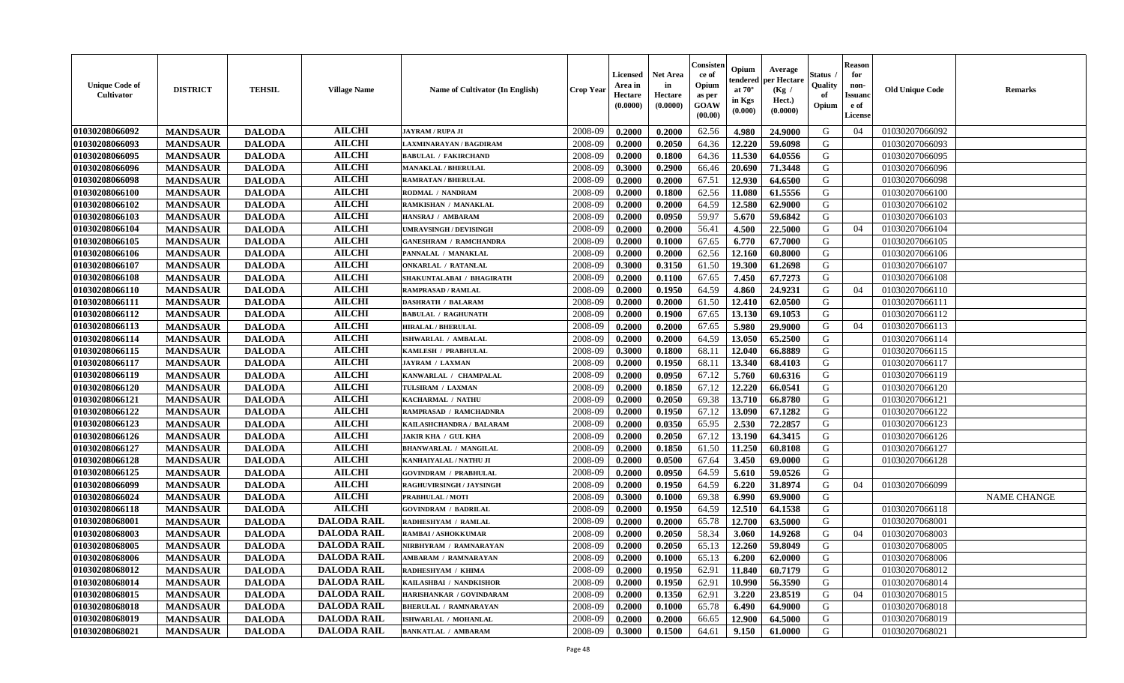| <b>Unique Code of</b><br>Cultivator | <b>DISTRICT</b> | <b>TEHSIL</b> | <b>Village Name</b> | <b>Name of Cultivator (In English)</b> | <b>Crop Year</b> | <b>Licensed</b><br>Area in<br>Hectare<br>(0.0000) | <b>Net Area</b><br>in<br>Hectare<br>(0.0000) | Consisteı<br>ce of<br>Opium<br>as per<br><b>GOAW</b><br>(00.00) | Opium<br>endered<br>at $70^\circ$<br>in Kgs<br>$(\mathbf{0.000})$ | Average<br>per Hectare<br>(Kg /<br>Hect.)<br>(0.0000) | Status<br>Quality<br>of<br>Opium | <b>Reason</b><br>for<br>non-<br>Issuan<br>e of<br><b>License</b> | <b>Old Unique Code</b> | <b>Remarks</b>     |
|-------------------------------------|-----------------|---------------|---------------------|----------------------------------------|------------------|---------------------------------------------------|----------------------------------------------|-----------------------------------------------------------------|-------------------------------------------------------------------|-------------------------------------------------------|----------------------------------|------------------------------------------------------------------|------------------------|--------------------|
| 01030208066092                      | <b>MANDSAUR</b> | <b>DALODA</b> | <b>AILCHI</b>       | JAYRAM / RUPA JI                       | 2008-09          | 0.2000                                            | 0.2000                                       | 62.56                                                           | 4.980                                                             | 24.9000                                               | G                                | 04                                                               | 01030207066092         |                    |
| 01030208066093                      | <b>MANDSAUR</b> | <b>DALODA</b> | <b>AILCHI</b>       | LAXMINARAYAN / BAGDIRAM                | 2008-09          | 0.2000                                            | 0.2050                                       | 64.36                                                           | 12.220                                                            | 59.6098                                               | G                                |                                                                  | 01030207066093         |                    |
| 01030208066095                      | <b>MANDSAUR</b> | <b>DALODA</b> | <b>AILCHI</b>       | <b>BABULAL / FAKIRCHAND</b>            | 2008-09          | 0.2000                                            | 0.1800                                       | 64.36                                                           | 11.530                                                            | 64.0556                                               | G                                |                                                                  | 01030207066095         |                    |
| 01030208066096                      | <b>MANDSAUR</b> | <b>DALODA</b> | <b>AILCHI</b>       | <b>MANAKLAL / BHERULAL</b>             | 2008-09          | 0.3000                                            | 0.2900                                       | 66.46                                                           | 20.690                                                            | 71.3448                                               | G                                |                                                                  | 01030207066096         |                    |
| 01030208066098                      | <b>MANDSAUR</b> | <b>DALODA</b> | <b>AILCHI</b>       | <b>RAMRATAN / BHERULAL</b>             | 2008-09          | 0.2000                                            | 0.2000                                       | 67.51                                                           | 12.930                                                            | 64.6500                                               | G                                |                                                                  | 01030207066098         |                    |
| 01030208066100                      | <b>MANDSAUR</b> | <b>DALODA</b> | <b>AILCHI</b>       | RODMAL / NANDRAM                       | 2008-09          | 0.2000                                            | 0.1800                                       | 62.56                                                           | 11.080                                                            | 61.5556                                               | G                                |                                                                  | 01030207066100         |                    |
| 01030208066102                      | <b>MANDSAUR</b> | <b>DALODA</b> | <b>AILCHI</b>       | RAMKISHAN / MANAKLAL                   | 2008-09          | 0.2000                                            | 0.2000                                       | 64.59                                                           | 12.580                                                            | 62.9000                                               | G                                |                                                                  | 01030207066102         |                    |
| 01030208066103                      | <b>MANDSAUR</b> | <b>DALODA</b> | <b>AILCHI</b>       | HANSRAJ / AMBARAM                      | 2008-09          | 0.2000                                            | 0.0950                                       | 59.97                                                           | 5.670                                                             | 59.6842                                               | G                                |                                                                  | 01030207066103         |                    |
| 01030208066104                      | <b>MANDSAUR</b> | <b>DALODA</b> | <b>AILCHI</b>       | UMRAVSINGH / DEVISINGH                 | 2008-09          | 0.2000                                            | 0.2000                                       | 56.41                                                           | 4.500                                                             | 22.5000                                               | G                                | 04                                                               | 01030207066104         |                    |
| 01030208066105                      | <b>MANDSAUR</b> | <b>DALODA</b> | <b>AILCHI</b>       | <b>GANESHRAM / RAMCHANDRA</b>          | 2008-09          | 0.2000                                            | 0.1000                                       | 67.65                                                           | 6.770                                                             | 67.7000                                               | G                                |                                                                  | 01030207066105         |                    |
| 01030208066106                      | <b>MANDSAUR</b> | <b>DALODA</b> | <b>AILCHI</b>       | PANNALAL / MANAKLAL                    | 2008-09          | 0.2000                                            | 0.2000                                       | 62.56                                                           | 12.160                                                            | 60.8000                                               | G                                |                                                                  | 01030207066106         |                    |
| 01030208066107                      | <b>MANDSAUR</b> | <b>DALODA</b> | <b>AILCHI</b>       | <b>ONKARLAL / RATANLAL</b>             | 2008-09          | 0.3000                                            | 0.3150                                       | 61.50                                                           | 19.300                                                            | 61.2698                                               | G                                |                                                                  | 01030207066107         |                    |
| 01030208066108                      | <b>MANDSAUR</b> | <b>DALODA</b> | <b>AILCHI</b>       | SHAKUNTALABAI / BHAGIRATH              | 2008-09          | 0.2000                                            | 0.1100                                       | 67.65                                                           | 7.450                                                             | 67.7273                                               | G                                |                                                                  | 01030207066108         |                    |
| 01030208066110                      | <b>MANDSAUR</b> | <b>DALODA</b> | <b>AILCHI</b>       | <b>RAMPRASAD / RAMLAL</b>              | 2008-09          | 0.2000                                            | 0.1950                                       | 64.59                                                           | 4.860                                                             | 24.9231                                               | G                                | 04                                                               | 01030207066110         |                    |
| 01030208066111                      | <b>MANDSAUR</b> | <b>DALODA</b> | <b>AILCHI</b>       | <b>DASHRATH / BALARAM</b>              | 2008-09          | 0.2000                                            | 0.2000                                       | 61.50                                                           | 12.410                                                            | 62.0500                                               | G                                |                                                                  | 01030207066111         |                    |
| 01030208066112                      | <b>MANDSAUR</b> | <b>DALODA</b> | <b>AILCHI</b>       | <b>BABULAL / RAGHUNATH</b>             | 2008-09          | 0.2000                                            | 0.1900                                       | 67.65                                                           | 13.130                                                            | 69.1053                                               | G                                |                                                                  | 01030207066112         |                    |
| 01030208066113                      | <b>MANDSAUR</b> | <b>DALODA</b> | <b>AILCHI</b>       | <b>HIRALAL / BHERULAL</b>              | 2008-09          | 0.2000                                            | 0.2000                                       | 67.65                                                           | 5.980                                                             | 29.9000                                               | G                                | 04                                                               | 01030207066113         |                    |
| 01030208066114                      | <b>MANDSAUR</b> | <b>DALODA</b> | <b>AILCHI</b>       | ISHWARLAL / AMBALAL                    | 2008-09          | 0.2000                                            | 0.2000                                       | 64.59                                                           | 13.050                                                            | 65.2500                                               | G                                |                                                                  | 01030207066114         |                    |
| 01030208066115                      | <b>MANDSAUR</b> | <b>DALODA</b> | <b>AILCHI</b>       | KAMLESH / PRABHULAL                    | 2008-09          | 0.3000                                            | 0.1800                                       | 68.11                                                           | 12.040                                                            | 66.8889                                               | G                                |                                                                  | 01030207066115         |                    |
| 01030208066117                      | <b>MANDSAUR</b> | <b>DALODA</b> | <b>AILCHI</b>       | <b>JAYRAM / LAXMAN</b>                 | 2008-09          | 0.2000                                            | 0.1950                                       | 68.11                                                           | 13.340                                                            | 68.4103                                               | G                                |                                                                  | 01030207066117         |                    |
| 01030208066119                      | <b>MANDSAUR</b> | <b>DALODA</b> | <b>AILCHI</b>       | KANWARLAL / CHAMPALAL                  | 2008-09          | 0.2000                                            | 0.0950                                       | 67.12                                                           | 5.760                                                             | 60.6316                                               | G                                |                                                                  | 01030207066119         |                    |
| 01030208066120                      | <b>MANDSAUR</b> | <b>DALODA</b> | <b>AILCHI</b>       | TULSIRAM / LAXMAN                      | 2008-09          | 0.2000                                            | 0.1850                                       | 67.12                                                           | 12.220                                                            | 66.0541                                               | G                                |                                                                  | 01030207066120         |                    |
| 01030208066121                      | <b>MANDSAUR</b> | <b>DALODA</b> | <b>AILCHI</b>       | KACHARMAL / NATHU                      | 2008-09          | 0.2000                                            | 0.2050                                       | 69.38                                                           | 13.710                                                            | 66.8780                                               | G                                |                                                                  | 01030207066121         |                    |
| 01030208066122                      | <b>MANDSAUR</b> | <b>DALODA</b> | <b>AILCHI</b>       | RAMPRASAD / RAMCHADNRA                 | 2008-09          | 0.2000                                            | 0.1950                                       | 67.12                                                           | 13.090                                                            | 67.1282                                               | G                                |                                                                  | 01030207066122         |                    |
| 01030208066123                      | <b>MANDSAUR</b> | <b>DALODA</b> | <b>AILCHI</b>       | KAILASHCHANDRA / BALARAM               | 2008-09          | 0.2000                                            | 0.0350                                       | 65.95                                                           | 2.530                                                             | 72.2857                                               | G                                |                                                                  | 01030207066123         |                    |
| 01030208066126                      | <b>MANDSAUR</b> | <b>DALODA</b> | <b>AILCHI</b>       | <b>JAKIR KHA / GUL KHA</b>             | 2008-09          | 0.2000                                            | 0.2050                                       | 67.12                                                           | 13.190                                                            | 64.3415                                               | G                                |                                                                  | 01030207066126         |                    |
| 01030208066127                      | <b>MANDSAUR</b> | <b>DALODA</b> | <b>AILCHI</b>       | <b>BHANWARLAL / MANGILAL</b>           | 2008-09          | 0.2000                                            | 0.1850                                       | 61.50                                                           | 11.250                                                            | 60.8108                                               | G                                |                                                                  | 01030207066127         |                    |
| 01030208066128                      | <b>MANDSAUR</b> | <b>DALODA</b> | <b>AILCHI</b>       | KANHAIYALAL / NATHU JI                 | 2008-09          | 0.2000                                            | 0.0500                                       | 67.64                                                           | 3.450                                                             | 69.0000                                               | G                                |                                                                  | 01030207066128         |                    |
| 01030208066125                      | <b>MANDSAUR</b> | <b>DALODA</b> | <b>AILCHI</b>       | <b>GOVINDRAM / PRABHULAL</b>           | 2008-09          | 0.2000                                            | 0.0950                                       | 64.59                                                           | 5.610                                                             | 59.0526                                               | G                                |                                                                  |                        |                    |
| 01030208066099                      | <b>MANDSAUR</b> | <b>DALODA</b> | <b>AILCHI</b>       | RAGHUVIRSINGH / JAYSINGH               | 2008-09          | 0.2000                                            | 0.1950                                       | 64.59                                                           | 6.220                                                             | 31.8974                                               | G                                | 04                                                               | 01030207066099         |                    |
| 01030208066024                      | <b>MANDSAUR</b> | <b>DALODA</b> | <b>AILCHI</b>       | <b>PRABHULAL / MOTI</b>                | 2008-09          | 0.3000                                            | 0.1000                                       | 69.38                                                           | 6.990                                                             | 69.9000                                               | G                                |                                                                  |                        | <b>NAME CHANGE</b> |
| 01030208066118                      | <b>MANDSAUR</b> | <b>DALODA</b> | <b>AILCHI</b>       | <b>GOVINDRAM / BADRILAL</b>            | 2008-09          | 0.2000                                            | 0.1950                                       | 64.59                                                           | 12.510                                                            | 64.1538                                               | G                                |                                                                  | 01030207066118         |                    |
| 01030208068001                      | <b>MANDSAUR</b> | <b>DALODA</b> | <b>DALODA RAIL</b>  | RADHESHYAM / RAMLAL                    | 2008-09          | 0.2000                                            | 0.2000                                       | 65.78                                                           | 12.700                                                            | 63.5000                                               | G                                |                                                                  | 01030207068001         |                    |
| 01030208068003                      | <b>MANDSAUR</b> | <b>DALODA</b> | <b>DALODA RAIL</b>  | RAMBAI / ASHOKKUMAR                    | 2008-09          | 0.2000                                            | 0.2050                                       | 58.34                                                           | 3.060                                                             | 14.9268                                               | G                                | 04                                                               | 01030207068003         |                    |
| 01030208068005                      | <b>MANDSAUR</b> | <b>DALODA</b> | <b>DALODA RAIL</b>  | NIRBHYRAM / RAMNARAYAN                 | 2008-09          | 0.2000                                            | 0.2050                                       | 65.13                                                           | 12.260                                                            | 59.8049                                               | G                                |                                                                  | 01030207068005         |                    |
| 01030208068006                      | <b>MANDSAUR</b> | <b>DALODA</b> | <b>DALODA RAIL</b>  | AMBARAM / RAMNARAYAN                   | 2008-09          | 0.2000                                            | 0.1000                                       | 65.13                                                           | $6.200$                                                           | 62.0000                                               | G                                |                                                                  | 01030207068006         |                    |
| 01030208068012                      | <b>MANDSAUR</b> | <b>DALODA</b> | <b>DALODA RAIL</b>  | RADHESHYAM / KHIMA                     | 2008-09          | 0.2000                                            | 0.1950                                       | 62.91                                                           | 11.840                                                            | 60.7179                                               | G                                |                                                                  | 01030207068012         |                    |
| 01030208068014                      | <b>MANDSAUR</b> | <b>DALODA</b> | <b>DALODA RAIL</b>  | KAILASHBAI / NANDKISHOR                | 2008-09          | 0.2000                                            | 0.1950                                       | 62.91                                                           | 10.990                                                            | 56.3590                                               | G                                |                                                                  | 01030207068014         |                    |
| 01030208068015                      | <b>MANDSAUR</b> | <b>DALODA</b> | <b>DALODA RAIL</b>  | HARISHANKAR / GOVINDARAM               | 2008-09          | 0.2000                                            | 0.1350                                       | 62.91                                                           | 3.220                                                             | 23.8519                                               | G                                | 04                                                               | 01030207068015         |                    |
| 01030208068018                      | <b>MANDSAUR</b> | <b>DALODA</b> | <b>DALODA RAIL</b>  | <b>BHERULAL / RAMNARAYAN</b>           | 2008-09          | 0.2000                                            | 0.1000                                       | 65.78                                                           | 6.490                                                             | 64.9000                                               | G                                |                                                                  | 01030207068018         |                    |
| 01030208068019                      | <b>MANDSAUR</b> | <b>DALODA</b> | <b>DALODA RAIL</b>  | ISHWARLAL / MOHANLAL                   | 2008-09          | 0.2000                                            | 0.2000                                       | 66.65                                                           | 12.900                                                            | 64.5000                                               | G                                |                                                                  | 01030207068019         |                    |
| 01030208068021                      | <b>MANDSAUR</b> | <b>DALODA</b> | <b>DALODA RAIL</b>  | <b>BANKATLAL / AMBARAM</b>             | 2008-09          | 0.3000                                            | 0.1500                                       | 64.61                                                           | 9.150                                                             | 61.0000                                               | G                                |                                                                  | 01030207068021         |                    |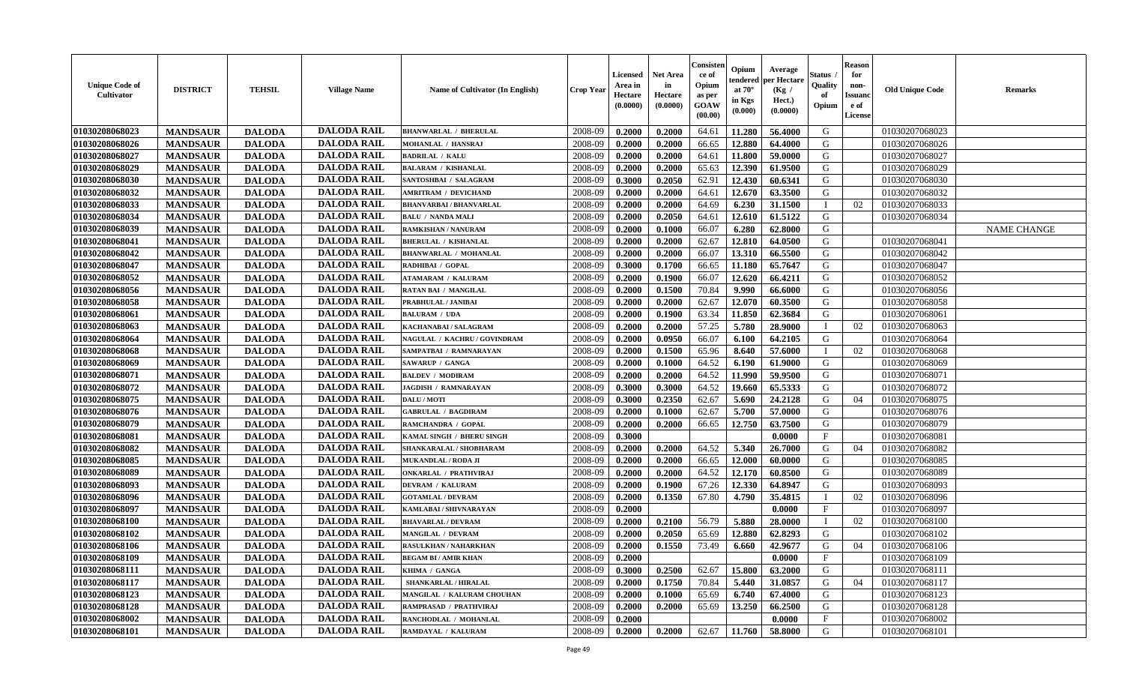| <b>Unique Code of</b><br>Cultivator | <b>DISTRICT</b> | <b>TEHSIL</b> | <b>Village Name</b> | Name of Cultivator (In English) | <b>Crop Year</b> | Licensed<br>Area in<br>Hectare<br>(0.0000) | <b>Net Area</b><br>in<br>Hectare<br>(0.0000) | Consisten<br>ce of<br>Opium<br>as per<br><b>GOAW</b><br>(00.00) | Opium<br>tendered<br>at $70^{\circ}$<br>in Kgs<br>(0.000) | Average<br>per Hectare<br>(Kg /<br>Hect.)<br>(0.0000) | Status<br>Quality<br>of<br>Opium | <b>Reason</b><br>for<br>non-<br><b>Issuand</b><br>e of<br>License | <b>Old Unique Code</b> | <b>Remarks</b> |
|-------------------------------------|-----------------|---------------|---------------------|---------------------------------|------------------|--------------------------------------------|----------------------------------------------|-----------------------------------------------------------------|-----------------------------------------------------------|-------------------------------------------------------|----------------------------------|-------------------------------------------------------------------|------------------------|----------------|
| 01030208068023                      | <b>MANDSAUR</b> | <b>DALODA</b> | <b>DALODA RAIL</b>  | <b>BHANWARLAL / BHERULAL</b>    | 2008-09          | 0.2000                                     | 0.2000                                       | 64.61                                                           | 11.280                                                    | 56.4000                                               | G                                |                                                                   | 01030207068023         |                |
| 01030208068026                      | <b>MANDSAUR</b> | <b>DALODA</b> | <b>DALODA RAIL</b>  | MOHANLAL / HANSRAJ              | 2008-09          | 0.2000                                     | 0.2000                                       | 66.65                                                           | 12.880                                                    | 64.4000                                               | G                                |                                                                   | 01030207068026         |                |
| 01030208068027                      | <b>MANDSAUR</b> | <b>DALODA</b> | <b>DALODA RAIL</b>  | <b>BADRILAL / KALU</b>          | 2008-09          | 0.2000                                     | 0.2000                                       | 64.61                                                           | 11.800                                                    | 59.0000                                               | G                                |                                                                   | 01030207068027         |                |
| 01030208068029                      | <b>MANDSAUR</b> | <b>DALODA</b> | <b>DALODA RAIL</b>  | <b>BALARAM / KISHANLAL</b>      | 2008-09          | 0.2000                                     | 0.2000                                       | 65.63                                                           | 12.390                                                    | 61.9500                                               | G                                |                                                                   | 01030207068029         |                |
| 01030208068030                      | <b>MANDSAUR</b> | <b>DALODA</b> | <b>DALODA RAIL</b>  | SANTOSHBAI / SALAGRAM           | 2008-09          | 0.3000                                     | 0.2050                                       | 62.91                                                           | 12.430                                                    | 60.6341                                               | G                                |                                                                   | 01030207068030         |                |
| 01030208068032                      | <b>MANDSAUR</b> | <b>DALODA</b> | <b>DALODA RAIL</b>  | <b>AMRITRAM / DEVICHAND</b>     | 2008-09          | 0.2000                                     | 0.2000                                       | 64.61                                                           | 12.670                                                    | 63.3500                                               | G                                |                                                                   | 01030207068032         |                |
| 01030208068033                      | <b>MANDSAUR</b> | <b>DALODA</b> | <b>DALODA RAIL</b>  | <b>BHANVARBAI/BHANVARLAL</b>    | 2008-09          | 0.2000                                     | 0.2000                                       | 64.69                                                           | 6.230                                                     | 31.1500                                               | - I                              | 02                                                                | 01030207068033         |                |
| 01030208068034                      | <b>MANDSAUR</b> | <b>DALODA</b> | <b>DALODA RAIL</b>  | <b>BALU / NANDA MALI</b>        | 2008-09          | 0.2000                                     | 0.2050                                       | 64.61                                                           | 12.610                                                    | 61.5122                                               | G                                |                                                                   | 01030207068034         |                |
| 01030208068039                      | <b>MANDSAUR</b> | <b>DALODA</b> | <b>DALODA RAIL</b>  | RAMKISHAN / NANURAM             | 2008-09          | 0.2000                                     | 0.1000                                       | 66.07                                                           | 6.280                                                     | 62.8000                                               | G                                |                                                                   |                        | NAME CHANGE    |
| 01030208068041                      | <b>MANDSAUR</b> | <b>DALODA</b> | <b>DALODA RAIL</b>  | <b>BHERULAL / KISHANLAL</b>     | 2008-09          | 0.2000                                     | 0.2000                                       | 62.67                                                           | 12.810                                                    | 64.0500                                               | G                                |                                                                   | 01030207068041         |                |
| 01030208068042                      | <b>MANDSAUR</b> | <b>DALODA</b> | <b>DALODA RAIL</b>  | <b>BHANWARLAL / MOHANLAL</b>    | 2008-09          | 0.2000                                     | 0.2000                                       | 66.07                                                           | 13.310                                                    | 66.5500                                               | G                                |                                                                   | 01030207068042         |                |
| 01030208068047                      | <b>MANDSAUR</b> | <b>DALODA</b> | <b>DALODA RAIL</b>  | RADHIBAI / GOPAL                | 2008-09          | 0.3000                                     | 0.1700                                       | 66.65                                                           | 11.180                                                    | 65.7647                                               | G                                |                                                                   | 01030207068047         |                |
| 01030208068052                      | <b>MANDSAUR</b> | <b>DALODA</b> | <b>DALODA RAIL</b>  | <b>ATAMARAM / KALURAM</b>       | 2008-09          | 0.2000                                     | 0.1900                                       | 66.07                                                           | 12.620                                                    | 66.4211                                               | G                                |                                                                   | 01030207068052         |                |
| 01030208068056                      | <b>MANDSAUR</b> | <b>DALODA</b> | <b>DALODA RAIL</b>  | <b>RATAN BAI / MANGILAL</b>     | 2008-09          | 0.2000                                     | 0.1500                                       | 70.84                                                           | 9.990                                                     | 66.6000                                               | G                                |                                                                   | 01030207068056         |                |
| 01030208068058                      | <b>MANDSAUR</b> | <b>DALODA</b> | <b>DALODA RAIL</b>  | PRABHULAL / JANIBAI             | 2008-09          | 0.2000                                     | 0.2000                                       | 62.67                                                           | 12.070                                                    | 60.3500                                               | G                                |                                                                   | 01030207068058         |                |
| 01030208068061                      | <b>MANDSAUR</b> | <b>DALODA</b> | <b>DALODA RAIL</b>  | <b>BALURAM / UDA</b>            | 2008-09          | 0.2000                                     | 0.1900                                       | 63.34                                                           | 11.850                                                    | 62.3684                                               | G                                |                                                                   | 01030207068061         |                |
| 01030208068063                      | <b>MANDSAUR</b> | <b>DALODA</b> | <b>DALODA RAIL</b>  | KACHANABAI / SALAGRAM           | 2008-09          | 0.2000                                     | 0.2000                                       | 57.25                                                           | 5.780                                                     | 28.9000                                               |                                  | 02                                                                | 01030207068063         |                |
| 01030208068064                      | <b>MANDSAUR</b> | <b>DALODA</b> | <b>DALODA RAIL</b>  | NAGULAL / KACHRU / GOVINDRAM    | 2008-09          | 0.2000                                     | 0.0950                                       | 66.07                                                           | 6.100                                                     | 64.2105                                               | G                                |                                                                   | 01030207068064         |                |
| 01030208068068                      | <b>MANDSAUR</b> | <b>DALODA</b> | <b>DALODA RAIL</b>  | SAMPATBAI / RAMNARAYAN          | 2008-09          | 0.2000                                     | 0.1500                                       | 65.96                                                           | 8.640                                                     | 57.6000                                               |                                  | 02                                                                | 01030207068068         |                |
| 01030208068069                      | <b>MANDSAUR</b> | <b>DALODA</b> | <b>DALODA RAIL</b>  | SAWARUP / GANGA                 | 2008-09          | 0.2000                                     | 0.1000                                       | 64.52                                                           | 6.190                                                     | 61.9000                                               | G                                |                                                                   | 01030207068069         |                |
| 01030208068071                      | <b>MANDSAUR</b> | <b>DALODA</b> | <b>DALODA RAIL</b>  | <b>BALDEV / MODIRAM</b>         | 2008-09          | 0.2000                                     | 0.2000                                       | 64.52                                                           | 11.990                                                    | 59.9500                                               | G                                |                                                                   | 01030207068071         |                |
| 01030208068072                      | <b>MANDSAUR</b> | <b>DALODA</b> | <b>DALODA RAIL</b>  | <b>JAGDISH / RAMNARAYAN</b>     | 2008-09          | 0.3000                                     | 0.3000                                       | 64.52                                                           | 19.660                                                    | 65.5333                                               | G                                |                                                                   | 01030207068072         |                |
| 01030208068075                      | <b>MANDSAUR</b> | <b>DALODA</b> | <b>DALODA RAIL</b>  | DALU / MOTI                     | 2008-09          | 0.3000                                     | 0.2350                                       | 62.67                                                           | 5.690                                                     | 24.2128                                               | G                                | 04                                                                | 01030207068075         |                |
| 01030208068076                      | <b>MANDSAUR</b> | <b>DALODA</b> | <b>DALODA RAIL</b>  | <b>GABRULAL / BAGDIRAM</b>      | 2008-09          | 0.2000                                     | 0.1000                                       | 62.67                                                           | 5.700                                                     | 57.0000                                               | G                                |                                                                   | 01030207068076         |                |
| 01030208068079                      | <b>MANDSAUR</b> | <b>DALODA</b> | <b>DALODA RAIL</b>  | RAMCHANDRA / GOPAL              | 2008-09          | 0.2000                                     | 0.2000                                       | 66.65                                                           | 12.750                                                    | 63.7500                                               | G                                |                                                                   | 01030207068079         |                |
| 01030208068081                      | <b>MANDSAUR</b> | <b>DALODA</b> | <b>DALODA RAIL</b>  | KAMAL SINGH / BHERU SINGH       | $2008 - 09$      | 0.3000                                     |                                              |                                                                 |                                                           | 0.0000                                                | F                                |                                                                   | 01030207068081         |                |
| 01030208068082                      | <b>MANDSAUR</b> | <b>DALODA</b> | <b>DALODA RAIL</b>  | SHANKARALAL / SHOBHARAM         | 2008-09          | 0.2000                                     | 0.2000                                       | 64.52                                                           | 5.340                                                     | 26.7000                                               | G                                | 04                                                                | 01030207068082         |                |
| 01030208068085                      | <b>MANDSAUR</b> | <b>DALODA</b> | <b>DALODA RAIL</b>  | MUKANDLAL / RODA JI             | 2008-09          | 0.2000                                     | 0.2000                                       | 66.65                                                           | 12.000                                                    | 60.0000                                               | G                                |                                                                   | 01030207068085         |                |
| 01030208068089                      | <b>MANDSAUR</b> | <b>DALODA</b> | <b>DALODA RAIL</b>  | <b>ONKARLAL / PRATHVIRAJ</b>    | 2008-09          | 0.2000                                     | 0.2000                                       | 64.52                                                           | 12.170                                                    | 60.8500                                               | G                                |                                                                   | 01030207068089         |                |
| 01030208068093                      | <b>MANDSAUR</b> | <b>DALODA</b> | <b>DALODA RAIL</b>  | <b>DEVRAM / KALURAM</b>         | 2008-09          | 0.2000                                     | 0.1900                                       | 67.26                                                           | 12.330                                                    | 64.8947                                               | G                                |                                                                   | 01030207068093         |                |
| 01030208068096                      | <b>MANDSAUR</b> | <b>DALODA</b> | <b>DALODA RAIL</b>  | <b>GOTAMLAL / DEVRAM</b>        | 2008-09          | 0.2000                                     | 0.1350                                       | 67.80                                                           | 4.790                                                     | 35.4815                                               |                                  | 02                                                                | 01030207068096         |                |
| 01030208068097                      | <b>MANDSAUR</b> | <b>DALODA</b> | <b>DALODA RAIL</b>  | KAMLABAI / SHIVNARAYAN          | 2008-09          | 0.2000                                     |                                              |                                                                 |                                                           | 0.0000                                                | $\mathbf{F}$                     |                                                                   | 01030207068097         |                |
| 01030208068100                      | <b>MANDSAUR</b> | <b>DALODA</b> | <b>DALODA RAIL</b>  | <b>BHAVARLAL / DEVRAM</b>       | 2008-09          | 0.2000                                     | 0.2100                                       | 56.79                                                           | 5.880                                                     | 28.0000                                               |                                  | 02                                                                | 01030207068100         |                |
| 01030208068102                      | <b>MANDSAUR</b> | <b>DALODA</b> | <b>DALODA RAIL</b>  | MANGILAL / DEVRAM               | 2008-09          | 0.2000                                     | 0.2050                                       | 65.69                                                           | 12.880                                                    | 62.8293                                               | G                                |                                                                   | 01030207068102         |                |
| 01030208068106                      | <b>MANDSAUR</b> | <b>DALODA</b> | <b>DALODA RAIL</b>  | RASULKHAN / NAHARKHAN           | 2008-09          | 0.2000                                     | 0.1550                                       | 73.49                                                           | 6.660                                                     | 42.9677                                               | G                                | 04                                                                | 01030207068106         |                |
| 01030208068109                      | <b>MANDSAUR</b> | <b>DALODA</b> | <b>DALODA RAIL</b>  | <b>BEGAM BI/AMIR KHAN</b>       | 2008-09          | 0.2000                                     |                                              |                                                                 |                                                           | 0.0000                                                | $\mathbf{F}$                     |                                                                   | 01030207068109         |                |
| 01030208068111                      | <b>MANDSAUR</b> | <b>DALODA</b> | <b>DALODA RAIL</b>  | KHIMA / GANGA                   | 2008-09          | 0.3000                                     | 0.2500                                       | 62.67                                                           | 15.800                                                    | 63.2000                                               | G                                |                                                                   | 01030207068111         |                |
| 01030208068117                      | <b>MANDSAUR</b> | <b>DALODA</b> | <b>DALODA RAIL</b>  | SHANKARLAL / HIRALAL            | 2008-09          | 0.2000                                     | 0.1750                                       | 70.84                                                           | 5.440                                                     | 31.0857                                               | G                                | 04                                                                | 01030207068117         |                |
| 01030208068123                      | <b>MANDSAUR</b> | <b>DALODA</b> | <b>DALODA RAIL</b>  | MANGILAL / KALURAM CHOUHAN      | 2008-09          | 0.2000                                     | 0.1000                                       | 65.69                                                           | 6.740                                                     | 67.4000                                               | G                                |                                                                   | 01030207068123         |                |
| 01030208068128                      | <b>MANDSAUR</b> | <b>DALODA</b> | <b>DALODA RAIL</b>  | RAMPRASAD / PRATHVIRAJ          | 2008-09          | 0.2000                                     | 0.2000                                       | 65.69                                                           | 13.250                                                    | 66.2500                                               | G                                |                                                                   | 01030207068128         |                |
| 01030208068002                      | <b>MANDSAUR</b> | <b>DALODA</b> | <b>DALODA RAIL</b>  | RANCHODLAL / MOHANLAL           | 2008-09          | 0.2000                                     |                                              |                                                                 |                                                           | 0.0000                                                | $\mathbf{F}$                     |                                                                   | 01030207068002         |                |
| 01030208068101                      | <b>MANDSAUR</b> | <b>DALODA</b> | <b>DALODA RAIL</b>  | RAMDAYAL / KALURAM              | 2008-09          | 0.2000                                     | 0.2000                                       | 62.67                                                           | 11.760                                                    | 58.8000                                               | G                                |                                                                   | 01030207068101         |                |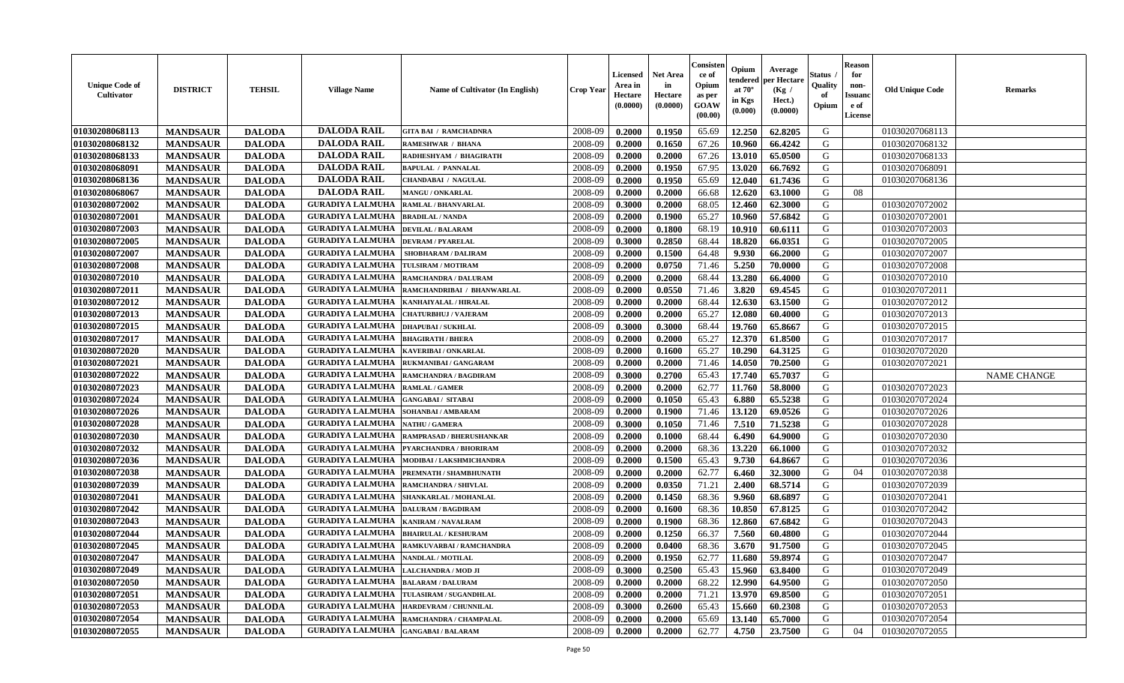| <b>Unique Code of</b><br>Cultivator | <b>DISTRICT</b> | <b>TEHSIL</b> | <b>Village Name</b>                         | Name of Cultivator (In English)                  | <b>Crop Year</b> | Licensed<br>Area in<br>Hectare<br>(0.0000) | <b>Net Area</b><br>in<br>Hectare<br>(0.0000) | Consisten<br>ce of<br>Opium<br>as per<br>GOAW<br>(00.00) | Opium<br>tendered<br>at $70^{\circ}$<br>in Kgs<br>(0.000) | Average<br>per Hectare<br>(Kg /<br>Hect.)<br>(0.0000) | Status<br>Quality<br>of<br>Opium | <b>Reason</b><br>for<br>non-<br><b>Issuand</b><br>e of<br>License | <b>Old Unique Code</b> | <b>Remarks</b>     |
|-------------------------------------|-----------------|---------------|---------------------------------------------|--------------------------------------------------|------------------|--------------------------------------------|----------------------------------------------|----------------------------------------------------------|-----------------------------------------------------------|-------------------------------------------------------|----------------------------------|-------------------------------------------------------------------|------------------------|--------------------|
| 01030208068113                      | <b>MANDSAUR</b> | <b>DALODA</b> | <b>DALODA RAIL</b>                          | <b>GITA BAI / RAMCHADNRA</b>                     | 2008-09          | 0.2000                                     | 0.1950                                       | 65.69                                                    | 12.250                                                    | 62.8205                                               | G                                |                                                                   | 01030207068113         |                    |
| 01030208068132                      | <b>MANDSAUR</b> | <b>DALODA</b> | <b>DALODA RAIL</b>                          | <b>RAMESHWAR / BHANA</b>                         | 2008-09          | 0.2000                                     | 0.1650                                       | 67.26                                                    | 10.960                                                    | 66.4242                                               | G                                |                                                                   | 01030207068132         |                    |
| 01030208068133                      | <b>MANDSAUR</b> | <b>DALODA</b> | <b>DALODA RAIL</b>                          | RADHESHYAM / BHAGIRATH                           | 2008-09          | 0.2000                                     | 0.2000                                       | 67.26                                                    | 13.010                                                    | 65.0500                                               | G                                |                                                                   | 01030207068133         |                    |
| 01030208068091                      | <b>MANDSAUR</b> | <b>DALODA</b> | <b>DALODA RAIL</b>                          | <b>BAPULAL / PANNALAL</b>                        | 2008-09          | 0.2000                                     | 0.1950                                       | 67.95                                                    | 13.020                                                    | 66.7692                                               | G                                |                                                                   | 01030207068091         |                    |
| 01030208068136                      | <b>MANDSAUR</b> | <b>DALODA</b> | <b>DALODA RAIL</b>                          | <b>CHANDABAI / NAGULAL</b>                       | 2008-09          | 0.2000                                     | 0.1950                                       | 65.69                                                    | 12.040                                                    | 61.7436                                               | G                                |                                                                   | 01030207068136         |                    |
| 01030208068067                      | <b>MANDSAUR</b> | <b>DALODA</b> | <b>DALODA RAIL</b>                          | MANGU / ONKARLAL                                 | 2008-09          | 0.2000                                     | 0.2000                                       | 66.68                                                    | 12.620                                                    | 63.1000                                               | G                                | 08                                                                |                        |                    |
| 01030208072002                      | <b>MANDSAUR</b> | <b>DALODA</b> | <b>GURADIYA LALMUHA</b>                     | <b>RAMLAL / BHANVARLAL</b>                       | 2008-09          | 0.3000                                     | 0.2000                                       | 68.05                                                    | 12.460                                                    | 62.3000                                               | G                                |                                                                   | 01030207072002         |                    |
| 01030208072001                      | <b>MANDSAUR</b> | <b>DALODA</b> | <b>GURADIYA LALMUHA</b>                     | <b>BRADILAL / NANDA</b>                          | 2008-09          | 0.2000                                     | 0.1900                                       | 65.27                                                    | 10.960                                                    | 57.6842                                               | G                                |                                                                   | 01030207072001         |                    |
| 01030208072003                      | <b>MANDSAUR</b> | <b>DALODA</b> | <b>GURADIYA LALMUHA</b>                     | <b>DEVILAL / BALARAM</b>                         | 2008-09          | 0.2000                                     | 0.1800                                       | 68.19                                                    | 10.910                                                    | 60.6111                                               | G                                |                                                                   | 01030207072003         |                    |
| 01030208072005                      | <b>MANDSAUR</b> | <b>DALODA</b> | <b>GURADIYA LALMUHA</b>                     | <b>DEVRAM / PYARELAL</b>                         | 2008-09          | 0.3000                                     | 0.2850                                       | 68.44                                                    | 18.820                                                    | 66.0351                                               | G                                |                                                                   | 01030207072005         |                    |
| 01030208072007                      | <b>MANDSAUR</b> | <b>DALODA</b> | <b>GURADIYA LALMUHA</b>                     | SHOBHARAM / DALIRAM                              | 2008-09          | 0.2000                                     | 0.1500                                       | 64.48                                                    | 9.930                                                     | 66.2000                                               | G                                |                                                                   | 01030207072007         |                    |
| 01030208072008                      | <b>MANDSAUR</b> | <b>DALODA</b> | <b>GURADIYA LALMUHA</b>                     | TULSIRAM / MOTIRAM                               | 2008-09          | 0.2000                                     | 0.0750                                       | 71.46                                                    | 5.250                                                     | 70.0000                                               | G                                |                                                                   | 01030207072008         |                    |
| 01030208072010                      | <b>MANDSAUR</b> | <b>DALODA</b> | <b>GURADIYA LALMUHA</b>                     | <b>RAMCHANDRA / DALURAM</b>                      | 2008-09          | 0.2000                                     | 0.2000                                       | 68.44                                                    | 13.280                                                    | 66.4000                                               | G                                |                                                                   | 01030207072010         |                    |
| 01030208072011                      | <b>MANDSAUR</b> | <b>DALODA</b> | <b>GURADIYA LALMUHA</b>                     | RAMCHANDRIBAI / BHANWARLAL                       | 2008-09          | 0.2000                                     | 0.0550                                       | 71.46                                                    | 3.820                                                     | 69.4545                                               | G                                |                                                                   | 01030207072011         |                    |
| 01030208072012                      | <b>MANDSAUR</b> | <b>DALODA</b> | <b>GURADIYA LALMUHA</b>                     | KANHAIYALAL / HIRALAL                            | 2008-09          | 0.2000                                     | 0.2000                                       | 68.44                                                    | 12.630                                                    | 63.1500                                               | G                                |                                                                   | 01030207072012         |                    |
| 01030208072013                      | <b>MANDSAUR</b> | <b>DALODA</b> | <b>GURADIYA LALMUHA</b>                     | <b>CHATURBHUJ / VAJERAM</b>                      | 2008-09          | 0.2000                                     | 0.2000                                       | 65.27                                                    | 12.080                                                    | 60.4000                                               | G                                |                                                                   | 01030207072013         |                    |
| 01030208072015                      | <b>MANDSAUR</b> | <b>DALODA</b> | <b>GURADIYA LALMUHA</b>                     | <b>DHAPUBAI/SUKHLAL</b>                          | 2008-09          | 0.3000                                     | 0.3000                                       | 68.44                                                    | 19.760                                                    | 65.8667                                               | G                                |                                                                   | 01030207072015         |                    |
| 01030208072017                      | <b>MANDSAUR</b> | <b>DALODA</b> | <b>GURADIYA LALMUHA</b>                     | <b>BHAGIRATH / BHERA</b>                         | 2008-09          | 0.2000                                     | 0.2000                                       | 65.27                                                    | 12.370                                                    | 61.8500                                               | G                                |                                                                   | 01030207072017         |                    |
| 01030208072020                      | <b>MANDSAUR</b> | <b>DALODA</b> | <b>GURADIYA LALMUHA</b>                     | <b>KAVERIBAI/ONKARLAL</b>                        | 2008-09          | 0.2000                                     | 0.1600                                       | 65.27                                                    | 10.290                                                    | 64.3125                                               | G                                |                                                                   | 01030207072020         |                    |
| 01030208072021                      | <b>MANDSAUR</b> | <b>DALODA</b> | <b>GURADIYA LALMUHA</b>                     | <b>RUKMANIBAI / GANGARAM</b>                     | 2008-09          | 0.2000                                     | 0.2000                                       | 71.46                                                    | 14.050                                                    | 70.2500                                               | G                                |                                                                   | 01030207072021         |                    |
| 01030208072022                      | <b>MANDSAUR</b> | <b>DALODA</b> | <b>GURADIYA LALMUHA</b>                     | RAMCHANDRA / BAGDIRAM                            | 2008-09          | 0.3000                                     | 0.2700                                       | 65.43                                                    | 17.740                                                    | 65.7037                                               | G                                |                                                                   |                        | <b>NAME CHANGE</b> |
| 01030208072023                      | <b>MANDSAUR</b> | <b>DALODA</b> | <b>GURADIYA LALMUHA</b>                     | <b>RAMLAL / GAMER</b>                            | 2008-09          | 0.2000                                     | 0.2000                                       | 62.77                                                    | 11.760                                                    | 58.8000                                               | G                                |                                                                   | 01030207072023         |                    |
| 01030208072024                      | <b>MANDSAUR</b> | <b>DALODA</b> | <b>GURADIYA LALMUHA</b>                     | <b>GANGABAI/ SITABAI</b>                         | 2008-09          | 0.2000                                     | 0.1050                                       | 65.43                                                    | 6.880                                                     | 65.5238                                               | G                                |                                                                   | 01030207072024         |                    |
| 01030208072026                      | <b>MANDSAUR</b> | <b>DALODA</b> | <b>GURADIYA LALMUHA</b>                     | SOHANBAI/AMBARAM                                 | 2008-09          | 0.2000                                     | 0.1900                                       | 71.46                                                    | 13.120                                                    | 69.0526                                               | G                                |                                                                   | 01030207072026         |                    |
| 01030208072028                      | <b>MANDSAUR</b> | <b>DALODA</b> | <b>GURADIYA LALMUHA</b>                     | <b>NATHU / GAMERA</b>                            | 2008-09          | 0.3000                                     | 0.1050                                       | 71.46                                                    | 7.510                                                     | 71.5238                                               | G                                |                                                                   | 01030207072028         |                    |
| 01030208072030                      | <b>MANDSAUR</b> | <b>DALODA</b> | <b>GURADIYA LALMUHA</b>                     | RAMPRASAD / BHERUSHANKAR                         | 2008-09          | 0.2000                                     | 0.1000                                       | 68.44                                                    | 6.490                                                     | 64.9000                                               | G                                |                                                                   | 01030207072030         |                    |
| 01030208072032                      | <b>MANDSAUR</b> | <b>DALODA</b> | <b>GURADIYA LALMUHA</b>                     | PYARCHANDRA / BHORIRAM                           | 2008-09          | 0.2000                                     | 0.2000                                       | 68.36                                                    | 13.220                                                    | 66.1000                                               | G                                |                                                                   | 01030207072032         |                    |
| 01030208072036                      | <b>MANDSAUR</b> | <b>DALODA</b> | <b>GURADIYA LALMUHA</b>                     | MODIBAI / LAKSHMICHANDRA                         | 2008-09          | 0.2000                                     | 0.1500                                       | 65.43                                                    | 9.730                                                     | 64.8667                                               | G                                |                                                                   | 01030207072036         |                    |
| 01030208072038                      | <b>MANDSAUR</b> | <b>DALODA</b> | <b>GURADIYA LALMUHA</b>                     | PREMNATH / SHAMBHUNATH                           | 2008-09          | 0.2000                                     | 0.2000                                       | 62.77                                                    | 6.460                                                     | 32.3000                                               | G                                | 04                                                                | 01030207072038         |                    |
| 01030208072039                      | <b>MANDSAUR</b> | <b>DALODA</b> | <b>GURADIYA LALMUHA</b>                     | RAMCHANDRA / SHIVLAL                             | 2008-09          | 0.2000                                     | 0.0350                                       | 71.21                                                    | 2.400                                                     | 68.5714                                               | G                                |                                                                   | 01030207072039         |                    |
| 01030208072041                      | <b>MANDSAUR</b> | <b>DALODA</b> | <b>GURADIYA LALMUHA</b>                     | SHANKARLAL / MOHANLAL                            | 2008-09          | 0.2000                                     | 0.1450                                       | 68.36                                                    | 9.960                                                     | 68.6897                                               | G                                |                                                                   | 01030207072041         |                    |
| 01030208072042                      | <b>MANDSAUR</b> | <b>DALODA</b> | <b>GURADIYA LALMUHA</b>                     | <b>DALURAM / BAGDIRAM</b>                        | 2008-09          | 0.2000                                     | 0.1600                                       | 68.36                                                    | 10.850                                                    | 67.8125                                               | G                                |                                                                   | 01030207072042         |                    |
| 01030208072043                      | <b>MANDSAUR</b> | <b>DALODA</b> | <b>GURADIYA LALMUHA</b>                     | KANIRAM / NAVALRAM                               | 2008-09          | 0.2000                                     | 0.1900                                       | 68.36                                                    | 12.860                                                    | 67.6842                                               | G                                |                                                                   | 01030207072043         |                    |
| 01030208072044                      | <b>MANDSAUR</b> | <b>DALODA</b> | <b>GURADIYA LALMUHA</b>                     | <b>BHAIRULAL / KESHURAM</b>                      | 2008-09          | 0.2000                                     | 0.1250                                       | 66.37                                                    | 7.560                                                     | 60.4800                                               | G                                |                                                                   | 01030207072044         |                    |
| 01030208072045                      | <b>MANDSAUR</b> | <b>DALODA</b> | <b>GURADIYA LALMUHA</b>                     | RAMKUVARBAI / RAMCHANDRA                         | 2008-09          | 0.2000                                     | 0.0400                                       | 68.36                                                    | 3.670                                                     | 91.7500                                               | G                                |                                                                   | 01030207072045         |                    |
| 01030208072047                      | <b>MANDSAUR</b> | <b>DALODA</b> | <b>GURADIYA LALMUHA   NANDLAL / MOTILAL</b> |                                                  | 2008-09          | 0.2000                                     | 0.1950                                       | 62.77                                                    |                                                           | $11.680$ 59.8974                                      | G                                |                                                                   | 01030207072047         |                    |
| 01030208072049                      | <b>MANDSAUR</b> | <b>DALODA</b> | <b>GURADIYA LALMUHA</b>                     | <b>LALCHANDRA / MOD JI</b>                       | 2008-09          | 0.3000                                     | 0.2500                                       | 65.43                                                    | 15.960                                                    | 63.8400                                               | G                                |                                                                   | 01030207072049         |                    |
| 01030208072050                      | <b>MANDSAUR</b> | <b>DALODA</b> | <b>GURADIYA LALMUHA</b>                     | <b>BALARAM / DALURAM</b>                         | 2008-09          | 0.2000                                     | 0.2000                                       | 68.22                                                    | 12.990                                                    | 64.9500                                               | G                                |                                                                   | 01030207072050         |                    |
| 01030208072051                      | <b>MANDSAUR</b> | <b>DALODA</b> |                                             | <b>GURADIYA LALMUHA   TULASIRAM / SUGANDHLAL</b> | 2008-09          | 0.2000                                     | 0.2000                                       | 71.21                                                    | 13.970                                                    | 69.8500                                               | G                                |                                                                   | 01030207072051         |                    |
| 01030208072053                      | <b>MANDSAUR</b> | <b>DALODA</b> | <b>GURADIYA LALMUHA</b>                     | HARDEVRAM / CHUNNILAL                            | 2008-09          | 0.3000                                     | 0.2600                                       | 65.43                                                    | 15.660                                                    | 60.2308                                               | G                                |                                                                   | 01030207072053         |                    |
| 01030208072054                      | <b>MANDSAUR</b> | <b>DALODA</b> | <b>GURADIYA LALMUHA</b>                     | RAMCHANDRA / CHAMPALAL                           | 2008-09          | 0.2000                                     | 0.2000                                       | 65.69                                                    | 13.140                                                    | 65.7000                                               | G                                |                                                                   | 01030207072054         |                    |
| 01030208072055                      | <b>MANDSAUR</b> | <b>DALODA</b> | <b>GURADIYA LALMUHA</b>                     | <b>GANGABAI/BALARAM</b>                          | 2008-09          | 0.2000                                     | 0.2000                                       | 62.77                                                    | 4.750                                                     | 23.7500                                               | G                                | 04                                                                | 01030207072055         |                    |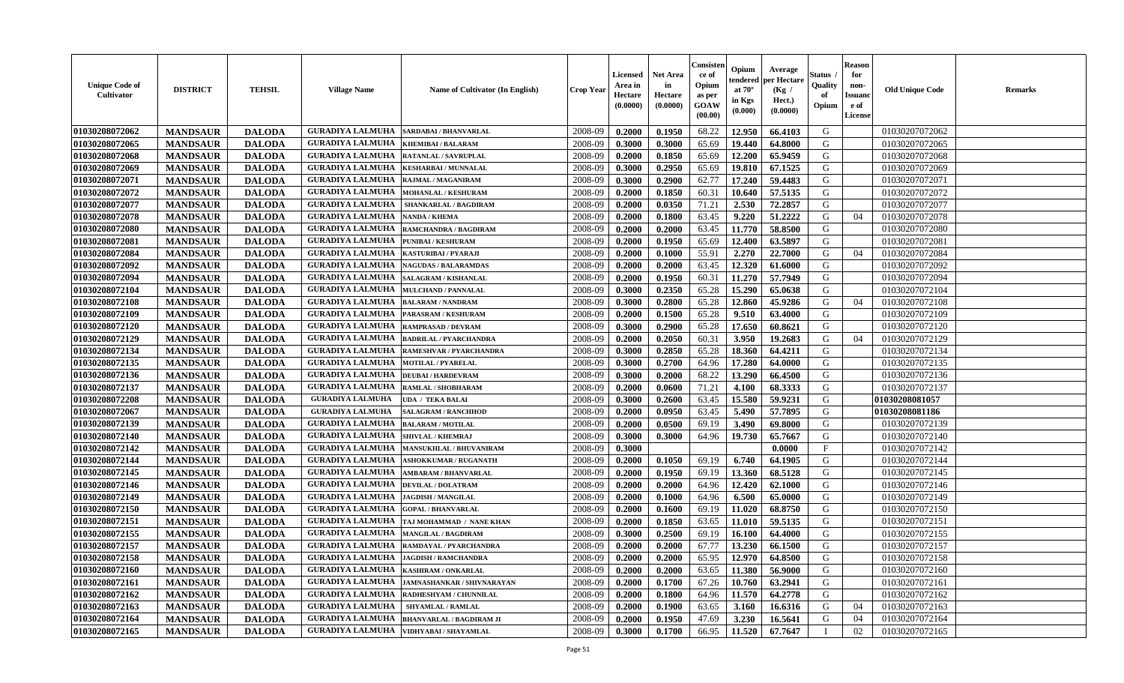| <b>Unique Code of</b><br>Cultivator | <b>DISTRICT</b> | <b>TEHSIL</b> | <b>Village Name</b>                     | Name of Cultivator (In English) | <b>Crop Year</b> | Licensed<br>Area in<br>Hectare<br>(0.0000) | <b>Net Area</b><br>in<br>Hectare<br>(0.0000) | Consisten<br>ce of<br>Opium<br>as per<br>GOAW<br>(00.00) | Opium<br>tendered<br>at $70^{\circ}$<br>in Kgs<br>(0.000) | Average<br>per Hectare<br>(Kg /<br>Hect.)<br>(0.0000) | Status<br>Quality<br>of<br>Opium | <b>Reason</b><br>for<br>non-<br><b>Issuand</b><br>e of<br>License | <b>Old Unique Code</b> | <b>Remarks</b> |
|-------------------------------------|-----------------|---------------|-----------------------------------------|---------------------------------|------------------|--------------------------------------------|----------------------------------------------|----------------------------------------------------------|-----------------------------------------------------------|-------------------------------------------------------|----------------------------------|-------------------------------------------------------------------|------------------------|----------------|
| 01030208072062                      | <b>MANDSAUR</b> | <b>DALODA</b> | <b>GURADIYA LALMUHA</b>                 | <b>SARDABAI/BHANVARLAL</b>      | 2008-09          | 0.2000                                     | 0.1950                                       | 68.22                                                    | 12.950                                                    | 66.4103                                               | G                                |                                                                   | 01030207072062         |                |
| 01030208072065                      | <b>MANDSAUR</b> | <b>DALODA</b> | <b>GURADIYA LALMUHA</b>                 | <b>KHEMIBAI/BALARAM</b>         | 2008-09          | 0.3000                                     | 0.3000                                       | 65.69                                                    | 19.440                                                    | 64.8000                                               | G                                |                                                                   | 01030207072065         |                |
| 01030208072068                      | <b>MANDSAUR</b> | <b>DALODA</b> | <b>GURADIYA LALMUHA</b>                 | RATANLAL / SAVRUPLAL            | 2008-09          | 0.2000                                     | 0.1850                                       | 65.69                                                    | 12.200                                                    | 65.9459                                               | G                                |                                                                   | 01030207072068         |                |
| 01030208072069                      | <b>MANDSAUR</b> | <b>DALODA</b> | <b>GURADIYA LALMUHA</b>                 | <b>KESHARBAI/MUNNALAL</b>       | 2008-09          | 0.3000                                     | 0.2950                                       | 65.69                                                    | 19.810                                                    | 67.1525                                               | G                                |                                                                   | 01030207072069         |                |
| 01030208072071                      | <b>MANDSAUR</b> | <b>DALODA</b> | <b>GURADIYA LALMUHA</b>                 | RAJMAL / MAGANIRAM              | 2008-09          | 0.3000                                     | 0.2900                                       | 62.77                                                    | 17.240                                                    | 59.4483                                               | G                                |                                                                   | 01030207072071         |                |
| 01030208072072                      | <b>MANDSAUR</b> | <b>DALODA</b> | <b>GURADIYA LALMUHA</b>                 | <b>MOHANLAL / KESHURAM</b>      | 2008-09          | 0.2000                                     | 0.1850                                       | 60.31                                                    | 10.640                                                    | 57.5135                                               | G                                |                                                                   | 01030207072072         |                |
| 01030208072077                      | <b>MANDSAUR</b> | <b>DALODA</b> | <b>GURADIYA LALMUHA</b>                 | SHANKARLAL / BAGDIRAM           | 2008-09          | 0.2000                                     | 0.0350                                       | 71.21                                                    | 2.530                                                     | 72.2857                                               | G                                |                                                                   | 01030207072077         |                |
| 01030208072078                      | <b>MANDSAUR</b> | <b>DALODA</b> | <b>GURADIYA LALMUHA</b>                 | <b>NANDA / KHEMA</b>            | 2008-09          | 0.2000                                     | 0.1800                                       | 63.45                                                    | 9.220                                                     | 51,2222                                               | G                                | 04                                                                | 01030207072078         |                |
| 01030208072080                      | <b>MANDSAUR</b> | <b>DALODA</b> | <b>GURADIYA LALMUHA</b>                 | RAMCHANDRA / BAGDIRAM           | 2008-09          | 0.2000                                     | 0.2000                                       | 63.45                                                    | 11.770                                                    | 58.8500                                               | G                                |                                                                   | 01030207072080         |                |
| 01030208072081                      | <b>MANDSAUR</b> | <b>DALODA</b> | <b>GURADIYA LALMUHA</b>                 | PUNIBAI / KESHURAM              | 2008-09          | 0.2000                                     | 0.1950                                       | 65.69                                                    | 12.400                                                    | 63.5897                                               | G                                |                                                                   | 01030207072081         |                |
| 01030208072084                      | <b>MANDSAUR</b> | <b>DALODA</b> | <b>GURADIYA LALMUHA</b>                 | KASTURIBAI / PYARAJI            | 2008-09          | 0.2000                                     | 0.1000                                       | 55.91                                                    | 2.270                                                     | 22.7000                                               | G                                | 04                                                                | 01030207072084         |                |
| 01030208072092                      | <b>MANDSAUR</b> | <b>DALODA</b> | <b>GURADIYA LALMUHA</b>                 | <b>NAGUDAS / BALARAMDAS</b>     | 2008-09          | 0.2000                                     | 0.2000                                       | 63.45                                                    | 12.320                                                    | 61.6000                                               | G                                |                                                                   | 01030207072092         |                |
| 01030208072094                      | <b>MANDSAUR</b> | <b>DALODA</b> | <b>GURADIYA LALMUHA</b>                 | <b>SALAGRAM / KISHANLAL</b>     | 2008-09          | 0.2000                                     | 0.1950                                       | 60.31                                                    | 11.270                                                    | 57.7949                                               | G                                |                                                                   | 01030207072094         |                |
| 01030208072104                      | <b>MANDSAUR</b> | <b>DALODA</b> | <b>GURADIYA LALMUHA</b>                 | <b>MULCHAND / PANNALAL</b>      | 2008-09          | 0.3000                                     | 0.2350                                       | 65.28                                                    | 15.290                                                    | 65.0638                                               | G                                |                                                                   | 01030207072104         |                |
| 01030208072108                      | <b>MANDSAUR</b> | <b>DALODA</b> | <b>GURADIYA LALMUHA</b>                 | <b>BALARAM / NANDRAM</b>        | 2008-09          | 0.3000                                     | 0.2800                                       | 65.28                                                    | 12.860                                                    | 45.9286                                               | G                                | 04                                                                | 01030207072108         |                |
| 01030208072109                      | <b>MANDSAUR</b> | <b>DALODA</b> | <b>GURADIYA LALMUHA</b>                 | PARASRAM / KESHURAM             | 2008-09          | 0.2000                                     | 0.1500                                       | 65.28                                                    | 9.510                                                     | 63.4000                                               | G                                |                                                                   | 01030207072109         |                |
| 01030208072120                      | <b>MANDSAUR</b> | <b>DALODA</b> | <b>GURADIYA LALMUHA</b>                 | <b>RAMPRASAD / DEVRAM</b>       | 2008-09          | 0.3000                                     | 0.2900                                       | 65.28                                                    | 17.650                                                    | 60.8621                                               | G                                |                                                                   | 01030207072120         |                |
| 01030208072129                      | <b>MANDSAUR</b> | <b>DALODA</b> | <b>GURADIYA LALMUHA</b>                 | <b>BADRILAL / PYARCHANDRA</b>   | 2008-09          | 0.2000                                     | 0.2050                                       | 60.31                                                    | 3.950                                                     | 19.2683                                               | G                                | 04                                                                | 01030207072129         |                |
| 01030208072134                      | <b>MANDSAUR</b> | <b>DALODA</b> | <b>GURADIYA LALMUHA</b>                 | RAMESHVAR / PYARCHANDRA         | 2008-09          | 0.3000                                     | 0.2850                                       | 65.28                                                    | 18.360                                                    | 64.4211                                               | G                                |                                                                   | 01030207072134         |                |
| 01030208072135                      | <b>MANDSAUR</b> | <b>DALODA</b> | <b>GURADIYA LALMUHA</b>                 | <b>MOTILAL / PYARELAL</b>       | 2008-09          | 0.3000                                     | 0.2700                                       | 64.96                                                    | 17.280                                                    | 64.0000                                               | G                                |                                                                   | 01030207072135         |                |
| 01030208072136                      | <b>MANDSAUR</b> | <b>DALODA</b> | <b>GURADIYA LALMUHA</b>                 | <b>DEUBAI/HARDEVRAM</b>         | 2008-09          | 0.3000                                     | 0.2000                                       | 68.22                                                    | 13.290                                                    | 66.4500                                               | G                                |                                                                   | 01030207072136         |                |
| 01030208072137                      | <b>MANDSAUR</b> | <b>DALODA</b> | <b>GURADIYA LALMUHA</b>                 | RAMLAL / SHOBHARAM              | 2008-09          | 0.2000                                     | 0.0600                                       | 71.21                                                    | 4.100                                                     | 68.3333                                               | G                                |                                                                   | 01030207072137         |                |
| 01030208072208                      | <b>MANDSAUR</b> | <b>DALODA</b> | <b>GURADIYA LALMUHA</b>                 | UDA / TEKA BALAI                | 2008-09          | 0.3000                                     | 0.2600                                       | 63.45                                                    | 15.580                                                    | 59.9231                                               | G                                |                                                                   | 01030208081057         |                |
| 01030208072067                      | <b>MANDSAUR</b> | <b>DALODA</b> | <b>GURADIYA LALMUHA</b>                 | <b>SALAGRAM / RANCHHOD</b>      | 2008-09          | 0.2000                                     | 0.0950                                       | 63.45                                                    | 5.490                                                     | 57.7895                                               | G                                |                                                                   | 01030208081186         |                |
| 01030208072139                      | <b>MANDSAUR</b> | <b>DALODA</b> | <b>GURADIYA LALMUHA</b>                 | <b>BALARAM / MOTILAL</b>        | 2008-09          | 0.2000                                     | 0.0500                                       | 69.19                                                    | 3.490                                                     | 69.8000                                               | G                                |                                                                   | 01030207072139         |                |
| 01030208072140                      | <b>MANDSAUR</b> | <b>DALODA</b> | <b>GURADIYA LALMUHA</b>                 | <b>SHIVLAL / KHEMRAJ</b>        | 2008-09          | 0.3000                                     | 0.3000                                       | 64.96                                                    | 19.730                                                    | 65.7667                                               | G                                |                                                                   | 01030207072140         |                |
| 01030208072142                      | <b>MANDSAUR</b> | <b>DALODA</b> | <b>GURADIYA LALMUHA</b>                 | <b>MANSUKHLAL / BHUVANIRAM</b>  | 2008-09          | 0.3000                                     |                                              |                                                          |                                                           | 0.0000                                                | $\mathbf{F}$                     |                                                                   | 01030207072142         |                |
| 01030208072144                      | <b>MANDSAUR</b> | <b>DALODA</b> | <b>GURADIYA LALMUHA</b>                 | <b>ASHOKKUMAR / RUGANATH</b>    | 2008-09          | 0.2000                                     | 0.1050                                       | 69.19                                                    | 6.740                                                     | 64.1905                                               | G                                |                                                                   | 01030207072144         |                |
| 01030208072145                      | <b>MANDSAUR</b> | <b>DALODA</b> | <b>GURADIYA LALMUHA</b>                 | AMBARAM / BHANVARLAL            | 2008-09          | 0.2000                                     | 0.1950                                       | 69.19                                                    | 13.360                                                    | 68.5128                                               | G                                |                                                                   | 01030207072145         |                |
| 01030208072146                      | <b>MANDSAUR</b> | <b>DALODA</b> | <b>GURADIYA LALMUHA</b>                 | <b>DEVILAL / DOLATRAM</b>       | 2008-09          | 0.2000                                     | 0.2000                                       | 64.96                                                    | 12.420                                                    | 62.1000                                               | G                                |                                                                   | 01030207072146         |                |
| 01030208072149                      | <b>MANDSAUR</b> | <b>DALODA</b> | <b>GURADIYA LALMUHA</b>                 | <b>JAGDISH / MANGILAL</b>       | 2008-09          | 0.2000                                     | 0.1000                                       | 64.96                                                    | 6.500                                                     | 65.0000                                               | G                                |                                                                   | 01030207072149         |                |
| 01030208072150                      | <b>MANDSAUR</b> | <b>DALODA</b> | <b>GURADIYA LALMUHA</b>                 | <b>GOPAL / BHANVARLAL</b>       | 2008-09          | 0.2000                                     | 0.1600                                       | 69.19                                                    | 11.020                                                    | 68.8750                                               | G                                |                                                                   | 01030207072150         |                |
| 01030208072151                      | <b>MANDSAUR</b> | <b>DALODA</b> | <b>GURADIYA LALMUHA</b>                 | TAJ MOHAMMAD / NANE KHAN        | 2008-09          | 0.2000                                     | 0.1850                                       | 63.65                                                    | 11.010                                                    | 59.5135                                               | G                                |                                                                   | 01030207072151         |                |
| 01030208072155                      | <b>MANDSAUR</b> | <b>DALODA</b> | <b>GURADIYA LALMUHA</b>                 | <b>MANGILAL / BAGDIRAM</b>      | 2008-09          | 0.3000                                     | 0.2500                                       | 69.19                                                    | 16.100                                                    | 64.4000                                               | G                                |                                                                   | 01030207072155         |                |
| 01030208072157                      | <b>MANDSAUR</b> | <b>DALODA</b> | <b>GURADIYA LALMUHA</b>                 | RAMDAYAL / PYARCHANDRA          | 2008-09          | 0.2000                                     | 0.2000                                       | 67.77                                                    | 13.230                                                    | 66.1500                                               | G                                |                                                                   | 01030207072157         |                |
| 01030208072158                      | <b>MANDSAUR</b> | <b>DALODA</b> | GURADIYA LALMUHA   JAGDISH / RAMCHANDRA |                                 | 2008-09          | 0.2000                                     | 0.2000                                       | 65.95                                                    | 12.970                                                    | 64.8500                                               | G                                |                                                                   | 01030207072158         |                |
| 01030208072160                      | <b>MANDSAUR</b> | <b>DALODA</b> | <b>GURADIYA LALMUHA</b>                 | KASHIRAM / ONKARLAL             | 2008-09          | 0.2000                                     | 0.2000                                       | 63.65                                                    | 11.380                                                    | 56.9000                                               | G                                |                                                                   | 01030207072160         |                |
| 01030208072161                      | <b>MANDSAUR</b> | <b>DALODA</b> | <b>GURADIYA LALMUHA</b>                 | JAMNASHANKAR / SHIVNARAYAN      | 2008-09          | 0.2000                                     | 0.1700                                       | 67.26                                                    | 10.760                                                    | 63.2941                                               | G                                |                                                                   | 01030207072161         |                |
| 01030208072162                      | <b>MANDSAUR</b> | <b>DALODA</b> | <b>GURADIYA LALMUHA</b>                 | RADHESHYAM / CHUNNILAL          | 2008-09          | 0.2000                                     | 0.1800                                       | 64.96                                                    | 11.570                                                    | 64.2778                                               | G                                |                                                                   | 01030207072162         |                |
| 01030208072163                      | <b>MANDSAUR</b> | <b>DALODA</b> | <b>GURADIYA LALMUHA</b>                 | <b>SHYAMLAL / RAMLAL</b>        | 2008-09          | 0.2000                                     | 0.1900                                       | 63.65                                                    | 3.160                                                     | 16.6316                                               | G                                | 04                                                                | 01030207072163         |                |
| 01030208072164                      | <b>MANDSAUR</b> | <b>DALODA</b> | <b>GURADIYA LALMUHA</b>                 | <b>BHANVARLAL / BAGDIRAM JI</b> | 2008-09          | 0.2000                                     | 0.1950                                       | 47.69                                                    | 3.230                                                     | 16.5641                                               | G                                | 04                                                                | 01030207072164         |                |
| 01030208072165                      | <b>MANDSAUR</b> | <b>DALODA</b> | <b>GURADIYA LALMUHA</b>                 | VIDHYABAI / SHAYAMLAL           | 2008-09          | 0.3000                                     | 0.1700                                       | 66.95                                                    | 11.520                                                    | 67.7647                                               |                                  | 02                                                                | 01030207072165         |                |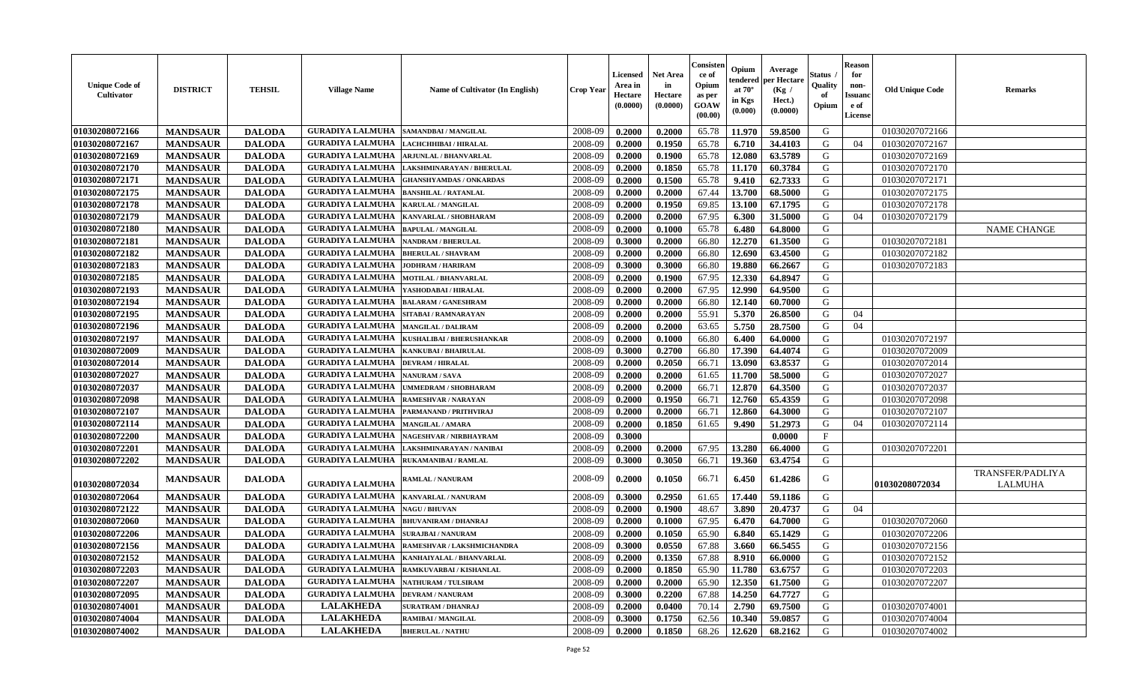| <b>Unique Code of</b><br>Cultivator | <b>DISTRICT</b> | <b>TEHSIL</b> | <b>Village Name</b>                          | <b>Name of Cultivator (In English)</b>      | <b>Crop Year</b> | <b>Licensed</b><br>Area in<br>Hectare<br>(0.0000) | <b>Net Area</b><br>in<br>Hectare<br>(0.0000) | Consisten<br>ce of<br>Opium<br>as per<br>GOAW<br>(00.00) | Opium<br>tendered<br>at $70^\circ$<br>in Kgs<br>(0.000) | Average<br>per Hectare<br>(Kg)<br>Hect.)<br>(0.0000) | Status<br>Quality<br>of<br>Opium | <b>Reason</b><br>for<br>non-<br><b>Issuanc</b><br>e of<br><b>License</b> | <b>Old Unique Code</b> | <b>Remarks</b>                     |
|-------------------------------------|-----------------|---------------|----------------------------------------------|---------------------------------------------|------------------|---------------------------------------------------|----------------------------------------------|----------------------------------------------------------|---------------------------------------------------------|------------------------------------------------------|----------------------------------|--------------------------------------------------------------------------|------------------------|------------------------------------|
| 01030208072166                      | <b>MANDSAUR</b> | <b>DALODA</b> | <b>GURADIYA LALMUHA</b>                      | SAMANDBAI / MANGILAL                        | 2008-09          | 0.2000                                            | 0.2000                                       | 65.78                                                    | 11.970                                                  | 59.8500                                              | G                                |                                                                          | 01030207072166         |                                    |
| 01030208072167                      | <b>MANDSAUR</b> | <b>DALODA</b> | <b>GURADIYA LALMUHA</b>                      | LACHCHHIBAI / HIRALAL                       | 2008-09          | 0.2000                                            | 0.1950                                       | 65.78                                                    | 6.710                                                   | 34.4103                                              | G                                | 04                                                                       | 01030207072167         |                                    |
| 01030208072169                      | <b>MANDSAUR</b> | <b>DALODA</b> | <b>GURADIYA LALMUHA</b>                      | ARJUNLAL / BHANVARLAL                       | 2008-09          | 0.2000                                            | 0.1900                                       | 65.78                                                    | 12.080                                                  | 63.5789                                              | G                                |                                                                          | 01030207072169         |                                    |
| 01030208072170                      | <b>MANDSAUR</b> | <b>DALODA</b> | <b>GURADIYA LALMUHA</b>                      | LAKSHMINARAYAN / BHERULAL                   | 2008-09          | 0.2000                                            | 0.1850                                       | 65.78                                                    | 11.170                                                  | 60.3784                                              | G                                |                                                                          | 01030207072170         |                                    |
| 01030208072171                      | <b>MANDSAUR</b> | <b>DALODA</b> | <b>GURADIYA LALMUHA</b>                      | <b>GHANSHYAMDAS / ONKARDAS</b>              | 2008-09          | 0.2000                                            | 0.1500                                       | 65.78                                                    | 9.410                                                   | 62.7333                                              | G                                |                                                                          | 01030207072171         |                                    |
| 01030208072175                      | <b>MANDSAUR</b> | <b>DALODA</b> | <b>GURADIYA LALMUHA</b>                      | <b>BANSHILAL / RATANLAL</b>                 | 2008-09          | 0.2000                                            | 0.2000                                       | 67.44                                                    | 13.700                                                  | 68.5000                                              | G                                |                                                                          | 01030207072175         |                                    |
| 01030208072178                      | <b>MANDSAUR</b> | <b>DALODA</b> | <b>GURADIYA LALMUHA</b>                      | <b>KARULAL / MANGILAL</b>                   | 2008-09          | 0.2000                                            | 0.1950                                       | 69.85                                                    | 13.100                                                  | 67.1795                                              | G                                |                                                                          | 01030207072178         |                                    |
| 01030208072179                      | <b>MANDSAUR</b> | <b>DALODA</b> | <b>GURADIYA LALMUHA</b>                      | KANVARLAL / SHOBHARAM                       | 2008-09          | 0.2000                                            | 0.2000                                       | 67.95                                                    | 6.300                                                   | 31.5000                                              | G                                | 04                                                                       | 01030207072179         |                                    |
| 01030208072180                      | <b>MANDSAUR</b> | <b>DALODA</b> | <b>GURADIYA LALMUHA</b>                      | <b>BAPULAL / MANGILAL</b>                   | 2008-09          | 0.2000                                            | 0.1000                                       | 65.78                                                    | 6.480                                                   | 64.8000                                              | G                                |                                                                          |                        | <b>NAME CHANGE</b>                 |
| 01030208072181                      | <b>MANDSAUR</b> | <b>DALODA</b> | <b>GURADIYA LALMUHA</b>                      | <b>NANDRAM / BHERULAL</b>                   | 2008-09          | 0.3000                                            | 0.2000                                       | 66.80                                                    | 12.270                                                  | 61.3500                                              | G                                |                                                                          | 01030207072181         |                                    |
| 01030208072182                      | <b>MANDSAUR</b> | <b>DALODA</b> | <b>GURADIYA LALMUHA</b>                      | <b>BHERULAL / SHAVRAM</b>                   | 2008-09          | 0.2000                                            | 0.2000                                       | 66.80                                                    | 12.690                                                  | 63.4500                                              | G                                |                                                                          | 01030207072182         |                                    |
| 01030208072183                      | <b>MANDSAUR</b> | <b>DALODA</b> | <b>GURADIYA LALMUHA</b>                      | <b>JODHRAM / HARIRAM</b>                    | 2008-09          | 0.3000                                            | 0.3000                                       | 66.80                                                    | 19.880                                                  | 66.2667                                              | G                                |                                                                          | 01030207072183         |                                    |
| 01030208072185                      | <b>MANDSAUR</b> | <b>DALODA</b> | <b>GURADIYA LALMUHA</b>                      | MOTILAL / BHANVARLAL                        | 2008-09          | 0.2000                                            | 0.1900                                       | 67.95                                                    | 12.330                                                  | 64.8947                                              | G                                |                                                                          |                        |                                    |
| 01030208072193                      | <b>MANDSAUR</b> | <b>DALODA</b> | <b>GURADIYA LALMUHA</b>                      | YASHODABAI / HIRALAL                        | 2008-09          | 0.2000                                            | 0.2000                                       | 67.95                                                    | 12.990                                                  | 64.9500                                              | G                                |                                                                          |                        |                                    |
| 01030208072194                      | <b>MANDSAUR</b> | <b>DALODA</b> | <b>GURADIYA LALMUHA</b>                      | <b>BALARAM / GANESHRAM</b>                  | 2008-09          | 0.2000                                            | 0.2000                                       | 66.80                                                    | 12.140                                                  | 60.7000                                              | G                                |                                                                          |                        |                                    |
| 01030208072195                      | <b>MANDSAUR</b> | <b>DALODA</b> | <b>GURADIYA LALMUHA</b>                      | SITABAI / RAMNARAYAN                        | 2008-09          | 0.2000                                            | 0.2000                                       | 55.91                                                    | 5.370                                                   | 26.8500                                              | G                                | 04                                                                       |                        |                                    |
| 01030208072196                      | <b>MANDSAUR</b> | <b>DALODA</b> | <b>GURADIYA LALMUHA</b>                      | <b>MANGILAL / DALIRAM</b>                   | 2008-09          | 0.2000                                            | 0.2000                                       | 63.65                                                    | 5.750                                                   | 28.7500                                              | G                                | 04                                                                       |                        |                                    |
| 01030208072197                      | <b>MANDSAUR</b> | <b>DALODA</b> | <b>GURADIYA LALMUHA</b>                      | <b>KUSHALIBAI / BHERUSHANKAR</b>            | 2008-09          | 0.2000                                            | 0.1000                                       | 66.80                                                    | 6.400                                                   | 64.0000                                              | G                                |                                                                          | 01030207072197         |                                    |
| 01030208072009                      | <b>MANDSAUR</b> | <b>DALODA</b> | <b>GURADIYA LALMUHA</b>                      | <b>KANKUBAI / BHAIRULAL</b>                 | 2008-09          | 0.3000                                            | 0.2700                                       | 66.80                                                    | 17.390                                                  | 64.4074                                              | G                                |                                                                          | 01030207072009         |                                    |
| 01030208072014                      | <b>MANDSAUR</b> | <b>DALODA</b> | <b>GURADIYA LALMUHA</b>                      | <b>DEVRAM / HIRALAL</b>                     | 2008-09          | 0.2000                                            | 0.2050                                       | 66.71                                                    | 13.090                                                  | 63.8537                                              | G                                |                                                                          | 01030207072014         |                                    |
| 01030208072027                      | <b>MANDSAUR</b> | <b>DALODA</b> | <b>GURADIYA LALMUHA</b>                      | <b>NANURAM / SAVA</b>                       | 2008-09          | 0.2000                                            | 0.2000                                       | 61.65                                                    | 11.700                                                  | 58.5000                                              | G                                |                                                                          | 01030207072027         |                                    |
| 01030208072037                      | <b>MANDSAUR</b> | <b>DALODA</b> | <b>GURADIYA LALMUHA</b>                      | <b>UMMEDRAM / SHOBHARAM</b>                 | 2008-09          | 0.2000                                            | 0.2000                                       | 66.71                                                    | 12.870                                                  | 64.3500                                              | G                                |                                                                          | 01030207072037         |                                    |
| 01030208072098                      | <b>MANDSAUR</b> | <b>DALODA</b> | <b>GURADIYA LALMUHA</b>                      | <b>RAMESHVAR / NARAYAN</b>                  | 2008-09          | 0.2000                                            | 0.1950                                       | 66.71                                                    | 12.760                                                  | 65.4359                                              | G                                |                                                                          | 01030207072098         |                                    |
| 01030208072107                      | <b>MANDSAUR</b> | <b>DALODA</b> | <b>GURADIYA LALMUHA</b>                      | <b>PARMANAND / PRITHVIRAJ</b>               | 2008-09          | 0.2000                                            | 0.2000                                       | 66.71                                                    | 12.860                                                  | 64.3000                                              | G                                |                                                                          | 01030207072107         |                                    |
| 01030208072114                      | <b>MANDSAUR</b> | <b>DALODA</b> | <b>GURADIYA LALMUHA</b>                      | <b>MANGILAL / AMARA</b>                     | 2008-09          | 0.2000                                            | 0.1850                                       | 61.65                                                    | 9.490                                                   | 51,2973                                              | G                                | 04                                                                       | 01030207072114         |                                    |
| 01030208072200                      | <b>MANDSAUR</b> | <b>DALODA</b> | <b>GURADIYA LALMUHA</b>                      | NAGESHVAR / NIRBHAYRAM                      | 2008-09          | 0.3000                                            |                                              |                                                          |                                                         | 0.0000                                               | $_{\rm F}$                       |                                                                          |                        |                                    |
| 01030208072201                      | <b>MANDSAUR</b> | <b>DALODA</b> | <b>GURADIYA LALMUHA</b>                      | LAKSHMINARAYAN / NANIBAI                    | 2008-09          | 0.2000                                            | 0.2000                                       | 67.95                                                    | 13.280                                                  | 66.4000                                              | G                                |                                                                          | 01030207072201         |                                    |
| 01030208072202                      | <b>MANDSAUR</b> | <b>DALODA</b> | <b>GURADIYA LALMUHA</b>                      | <b>RUKAMANIBAI / RAMLAL</b>                 | 2008-09          | 0.3000                                            | 0.3050                                       | 66.71                                                    | 19.360                                                  | 63.4754                                              | G                                |                                                                          |                        |                                    |
| 01030208072034                      | <b>MANDSAUR</b> | <b>DALODA</b> | <b>GURADIYA LALMUHA</b>                      | <b>RAMLAL / NANURAM</b>                     | 2008-09          | 0.2000                                            | 0.1050                                       | 66.71                                                    | 6.450                                                   | 61.4286                                              | G                                |                                                                          | 01030208072034         | TRANSFER/PADLIYA<br><b>LALMUHA</b> |
| 01030208072064                      | <b>MANDSAUR</b> | <b>DALODA</b> | <b>GURADIYA LALMUHA</b>                      | <b>KANVARLAL / NANURAM</b>                  | 2008-09          | 0.3000                                            | 0.2950                                       | 61.65                                                    | 17.440                                                  | 59.1186                                              | G                                |                                                                          |                        |                                    |
| 01030208072122                      | <b>MANDSAUR</b> | <b>DALODA</b> | <b>GURADIYA LALMUHA</b>                      | <b>NAGU / BHUVAN</b>                        | 2008-09          | 0.2000                                            | 0.1900                                       | 48.67                                                    | 3.890                                                   | 20.4737                                              | G                                | 04                                                                       |                        |                                    |
| 01030208072060                      | <b>MANDSAUR</b> | <b>DALODA</b> | <b>GURADIYA LALMUHA</b>                      | <b>BHUVANIRAM / DHANRAJ</b>                 | 2008-09          | 0.2000                                            | 0.1000                                       | 67.95                                                    | 6.470                                                   | 64.7000                                              | G                                |                                                                          | 01030207072060         |                                    |
| 01030208072206                      | <b>MANDSAUR</b> | <b>DALODA</b> | <b>GURADIYA LALMUHA</b>                      | <b>SURAJBAI/NANURAM</b>                     | 2008-09          | 0.2000                                            | 0.1050                                       | 65.90                                                    | 6.840                                                   | 65.1429                                              | G                                |                                                                          | 01030207072206         |                                    |
| 01030208072156                      | <b>MANDSAUR</b> | <b>DALODA</b> | <b>GURADIYA LALMUHA</b>                      | RAMESHVAR / LAKSHMICHANDRA                  | 2008-09          | 0.3000                                            | 0.0550                                       | 67.88                                                    | 3.660                                                   | 66.5455                                              | G                                |                                                                          | 01030207072156         |                                    |
| 01030208072152                      | <b>MANDSAUR</b> | <b>DALODA</b> |                                              | GURADIYA LALMUHA   KANHAIYALAL / BHANVARLAL | $2008 - 09$      | 0.2000                                            | 0.1350                                       | 67.88                                                    | 8.910                                                   | 66.0000                                              | G                                |                                                                          | 01030207072152         |                                    |
| 01030208072203                      | <b>MANDSAUR</b> | <b>DALODA</b> | <b>GURADIYA LALMUHA</b>                      | RAMKUVARBAI / KISHANLAL                     | 2008-09          | 0.2000                                            | 0.1850                                       | 65.90                                                    | 11.780                                                  | 63.6757                                              | G                                |                                                                          | 01030207072203         |                                    |
| 01030208072207                      | <b>MANDSAUR</b> | <b>DALODA</b> | <b>GURADIYA LALMUHA  NATHURAM / TULSIRAM</b> |                                             | 2008-09          | 0.2000                                            | 0.2000                                       | 65.90                                                    | 12.350                                                  | 61.7500                                              | G                                |                                                                          | 01030207072207         |                                    |
| 01030208072095                      | <b>MANDSAUR</b> | <b>DALODA</b> | <b>GURADIYA LALMUHA</b>                      | <b>DEVRAM / NANURAM</b>                     | 2008-09          | 0.3000                                            | 0.2200                                       | 67.88                                                    | 14.250                                                  | 64.7727                                              | G                                |                                                                          |                        |                                    |
| 01030208074001                      | <b>MANDSAUR</b> | <b>DALODA</b> | <b>LALAKHEDA</b>                             | <b>SURATRAM / DHANRAJ</b>                   | 2008-09          | 0.2000                                            | 0.0400                                       | 70.14                                                    | 2.790                                                   | 69.7500                                              | G                                |                                                                          | 01030207074001         |                                    |
| 01030208074004                      | <b>MANDSAUR</b> | <b>DALODA</b> | <b>LALAKHEDA</b>                             | <b>RAMIBAI / MANGILAL</b>                   | 2008-09          | 0.3000                                            | 0.1750                                       | 62.56                                                    | 10.340                                                  | 59.0857                                              | G                                |                                                                          | 01030207074004         |                                    |
| 01030208074002                      | <b>MANDSAUR</b> | <b>DALODA</b> | <b>LALAKHEDA</b>                             | <b>BHERULAL / NATHU</b>                     | 2008-09          | 0.2000                                            | 0.1850                                       | 68.26                                                    | 12.620                                                  | 68.2162                                              | G                                |                                                                          | 01030207074002         |                                    |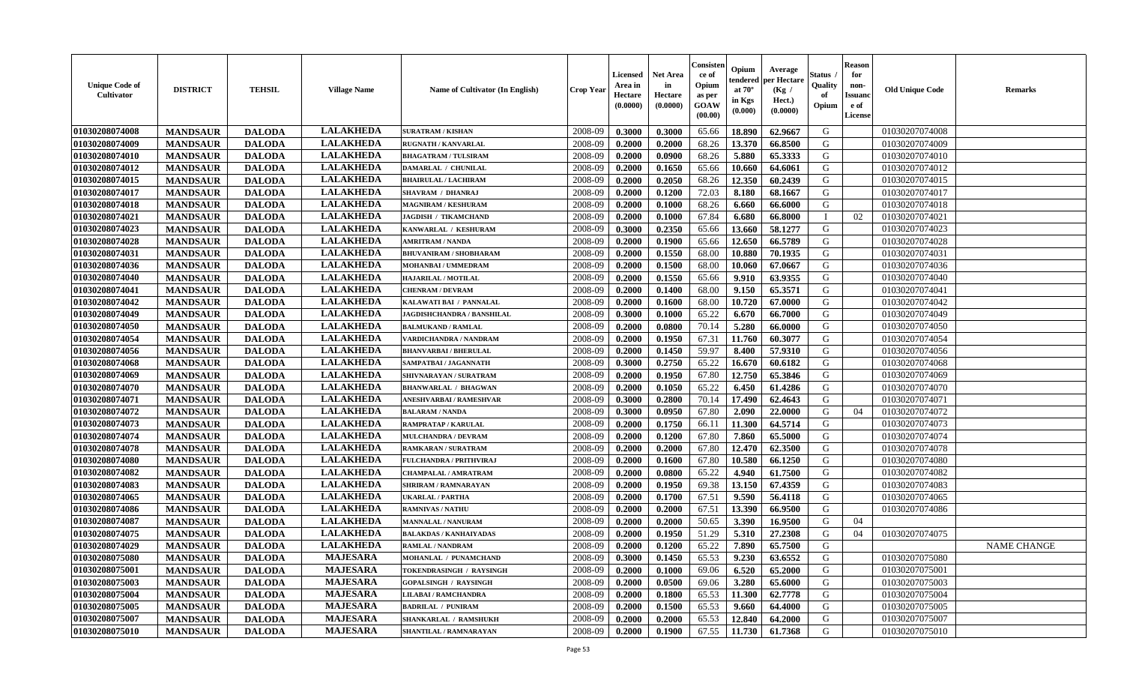| <b>Unique Code of</b><br><b>Cultivator</b> | <b>DISTRICT</b> | <b>TEHSIL</b> | <b>Village Name</b> | Name of Cultivator (In English) | <b>Crop Year</b> | <b>Licensed</b><br>Area in<br>Hectare<br>(0.0000) | <b>Net Area</b><br>in<br>Hectare<br>(0.0000) | Consister<br>ce of<br>Opium<br>as per<br><b>GOAW</b><br>(00.00) | Opium<br>endered<br>at $70^\circ$<br>in Kgs<br>$(\mathbf{0.000})$ | Average<br>per Hectare<br>(Kg)<br>Hect.)<br>(0.0000) | Status<br>Quality<br>of<br>Opium | <b>Reason</b><br>for<br>non-<br><b>Issuano</b><br>e of<br>License | <b>Old Unique Code</b> | <b>Remarks</b>     |
|--------------------------------------------|-----------------|---------------|---------------------|---------------------------------|------------------|---------------------------------------------------|----------------------------------------------|-----------------------------------------------------------------|-------------------------------------------------------------------|------------------------------------------------------|----------------------------------|-------------------------------------------------------------------|------------------------|--------------------|
| 01030208074008                             | <b>MANDSAUR</b> | <b>DALODA</b> | <b>LALAKHEDA</b>    | <b>SURATRAM / KISHAN</b>        | 2008-09          | 0.3000                                            | 0.3000                                       | 65.66                                                           | 18.890                                                            | 62.9667                                              | G                                |                                                                   | 01030207074008         |                    |
| 01030208074009                             | <b>MANDSAUR</b> | <b>DALODA</b> | <b>LALAKHEDA</b>    | <b>RUGNATH / KANVARLAL</b>      | 2008-09          | 0.2000                                            | 0.2000                                       | 68.26                                                           | 13.370                                                            | 66.8500                                              | G                                |                                                                   | 01030207074009         |                    |
| 01030208074010                             | <b>MANDSAUR</b> | <b>DALODA</b> | <b>LALAKHEDA</b>    | <b>BHAGATRAM / TULSIRAM</b>     | 2008-09          | 0.2000                                            | 0.0900                                       | 68.26                                                           | 5.880                                                             | 65.3333                                              | G                                |                                                                   | 01030207074010         |                    |
| 01030208074012                             | <b>MANDSAUR</b> | <b>DALODA</b> | <b>LALAKHEDA</b>    | DAMARLAL / CHUNILAL             | 2008-09          | 0.2000                                            | 0.1650                                       | 65.66                                                           | 10.660                                                            | 64.6061                                              | G                                |                                                                   | 01030207074012         |                    |
| 01030208074015                             | <b>MANDSAUR</b> | <b>DALODA</b> | <b>LALAKHEDA</b>    | <b>BHAIRULAL / LACHIRAM</b>     | 2008-09          | 0.2000                                            | 0.2050                                       | 68.26                                                           | 12.350                                                            | 60.2439                                              | G                                |                                                                   | 01030207074015         |                    |
| 01030208074017                             | <b>MANDSAUR</b> | <b>DALODA</b> | <b>LALAKHEDA</b>    | <b>SHAVRAM / DHANRAJ</b>        | 2008-09          | 0.2000                                            | 0.1200                                       | 72.03                                                           | 8.180                                                             | 68.1667                                              | G                                |                                                                   | 01030207074017         |                    |
| 01030208074018                             | <b>MANDSAUR</b> | <b>DALODA</b> | <b>LALAKHEDA</b>    | <b>MAGNIRAM / KESHURAM</b>      | 2008-09          | 0.2000                                            | 0.1000                                       | 68.26                                                           | 6.660                                                             | 66.6000                                              | G                                |                                                                   | 01030207074018         |                    |
| 01030208074021                             | <b>MANDSAUR</b> | <b>DALODA</b> | <b>LALAKHEDA</b>    | <b>JAGDISH / TIKAMCHAND</b>     | 2008-09          | 0.2000                                            | 0.1000                                       | 67.84                                                           | 6.680                                                             | 66.8000                                              | - 1                              | 02                                                                | 01030207074021         |                    |
| 01030208074023                             | <b>MANDSAUR</b> | <b>DALODA</b> | <b>LALAKHEDA</b>    | KANWARLAL / KESHURAM            | 2008-09          | 0.3000                                            | 0.2350                                       | 65.66                                                           | 13.660                                                            | 58.1277                                              | G                                |                                                                   | 01030207074023         |                    |
| 01030208074028                             | <b>MANDSAUR</b> | <b>DALODA</b> | <b>LALAKHEDA</b>    | <b>AMRITRAM / NANDA</b>         | 2008-09          | 0.2000                                            | 0.1900                                       | 65.66                                                           | 12.650                                                            | 66.5789                                              | G                                |                                                                   | 01030207074028         |                    |
| 01030208074031                             | <b>MANDSAUR</b> | <b>DALODA</b> | <b>LALAKHEDA</b>    | <b>BHUVANIRAM / SHOBHARAM</b>   | 2008-09          | 0.2000                                            | 0.1550                                       | 68.00                                                           | 10.880                                                            | 70.1935                                              | G                                |                                                                   | 01030207074031         |                    |
| 01030208074036                             | <b>MANDSAUR</b> | <b>DALODA</b> | <b>LALAKHEDA</b>    | MOHANBAI / UMMEDRAM             | 2008-09          | 0.2000                                            | 0.1500                                       | 68.00                                                           | 10.060                                                            | 67.0667                                              | G                                |                                                                   | 01030207074036         |                    |
| 01030208074040                             | <b>MANDSAUR</b> | <b>DALODA</b> | <b>LALAKHEDA</b>    | <b>HAJARILAL / MOTILAL</b>      | 2008-09          | 0.2000                                            | 0.1550                                       | 65.66                                                           | 9.910                                                             | 63.9355                                              | G                                |                                                                   | 01030207074040         |                    |
| 01030208074041                             | <b>MANDSAUR</b> | <b>DALODA</b> | <b>LALAKHEDA</b>    | <b>CHENRAM / DEVRAM</b>         | 2008-09          | 0.2000                                            | 0.1400                                       | 68.00                                                           | 9.150                                                             | 65.3571                                              | G                                |                                                                   | 01030207074041         |                    |
| 01030208074042                             | <b>MANDSAUR</b> | <b>DALODA</b> | <b>LALAKHEDA</b>    | KALAWATI BAI / PANNALAL         | 2008-09          | 0.2000                                            | 0.1600                                       | 68.00                                                           | 10.720                                                            | 67.0000                                              | G                                |                                                                   | 01030207074042         |                    |
| 01030208074049                             | <b>MANDSAUR</b> | <b>DALODA</b> | <b>LALAKHEDA</b>    | JAGDISHCHANDRA / BANSHILAL      | 2008-09          | 0.3000                                            | 0.1000                                       | 65.22                                                           | 6.670                                                             | 66.7000                                              | G                                |                                                                   | 01030207074049         |                    |
| 01030208074050                             | <b>MANDSAUR</b> | <b>DALODA</b> | <b>LALAKHEDA</b>    | <b>BALMUKAND / RAMLAL</b>       | 2008-09          | 0.2000                                            | 0.0800                                       | 70.14                                                           | 5.280                                                             | 66.0000                                              | G                                |                                                                   | 01030207074050         |                    |
| 01030208074054                             | <b>MANDSAUR</b> | <b>DALODA</b> | <b>LALAKHEDA</b>    | VARDICHANDRA / NANDRAM          | 2008-09          | 0.2000                                            | 0.1950                                       | 67.31                                                           | 11.760                                                            | 60.3077                                              | G                                |                                                                   | 01030207074054         |                    |
| 01030208074056                             | <b>MANDSAUR</b> | <b>DALODA</b> | <b>LALAKHEDA</b>    | <b>BHANVARBAI/BHERULAL</b>      | 2008-09          | 0.2000                                            | 0.1450                                       | 59.97                                                           | 8.400                                                             | 57.9310                                              | G                                |                                                                   | 01030207074056         |                    |
| 01030208074068                             | <b>MANDSAUR</b> | <b>DALODA</b> | <b>LALAKHEDA</b>    | SAMPATBAI / JAGANNATH           | 2008-09          | 0.3000                                            | 0.2750                                       | 65.22                                                           | 16.670                                                            | 60.6182                                              | G                                |                                                                   | 01030207074068         |                    |
| 01030208074069                             | <b>MANDSAUR</b> | <b>DALODA</b> | <b>LALAKHEDA</b>    | SHIVNARAYAN / SURATRAM          | 2008-09          | 0.2000                                            | 0.1950                                       | 67.80                                                           | 12.750                                                            | 65.3846                                              | G                                |                                                                   | 01030207074069         |                    |
| 01030208074070                             | <b>MANDSAUR</b> | <b>DALODA</b> | <b>LALAKHEDA</b>    | <b>BHANWARLAL / BHAGWAN</b>     | 2008-09          | 0.2000                                            | 0.1050                                       | 65.22                                                           | 6.450                                                             | 61.4286                                              | G                                |                                                                   | 01030207074070         |                    |
| 01030208074071                             | <b>MANDSAUR</b> | <b>DALODA</b> | <b>LALAKHEDA</b>    | ANESHVARBAI / RAMESHVAR         | 2008-09          | 0.3000                                            | 0.2800                                       | 70.14                                                           | 17.490                                                            | 62.4643                                              | G                                |                                                                   | 01030207074071         |                    |
| 01030208074072                             | <b>MANDSAUR</b> | <b>DALODA</b> | <b>LALAKHEDA</b>    | <b>BALARAM / NANDA</b>          | 2008-09          | 0.3000                                            | 0.0950                                       | 67.80                                                           | 2.090                                                             | 22.0000                                              | G                                | 04                                                                | 01030207074072         |                    |
| 01030208074073                             | <b>MANDSAUR</b> | <b>DALODA</b> | <b>LALAKHEDA</b>    | <b>RAMPRATAP / KARULAL</b>      | 2008-09          | 0.2000                                            | 0.1750                                       | 66.11                                                           | 11.300                                                            | 64.5714                                              | G                                |                                                                   | 01030207074073         |                    |
| 01030208074074                             | <b>MANDSAUR</b> | <b>DALODA</b> | <b>LALAKHEDA</b>    | <b>MULCHANDRA / DEVRAM</b>      | 2008-09          | 0.2000                                            | 0.1200                                       | 67.80                                                           | 7.860                                                             | 65.5000                                              | G                                |                                                                   | 01030207074074         |                    |
| 01030208074078                             | <b>MANDSAUR</b> | <b>DALODA</b> | <b>LALAKHEDA</b>    | <b>RAMKARAN / SURATRAM</b>      | 2008-09          | 0.2000                                            | 0.2000                                       | 67.80                                                           | 12.470                                                            | 62.3500                                              | G                                |                                                                   | 01030207074078         |                    |
| 01030208074080                             | <b>MANDSAUR</b> | <b>DALODA</b> | <b>LALAKHEDA</b>    | <b>FULCHANDRA / PRITHVIRAJ</b>  | 2008-09          | 0.2000                                            | 0.1600                                       | 67.80                                                           | 10.580                                                            | 66.1250                                              | G                                |                                                                   | 01030207074080         |                    |
| 01030208074082                             | <b>MANDSAUR</b> | <b>DALODA</b> | <b>LALAKHEDA</b>    | CHAMPALAL / AMRATRAM            | 2008-09          | 0.2000                                            | 0.0800                                       | 65.22                                                           | 4.940                                                             | 61.7500                                              | G                                |                                                                   | 01030207074082         |                    |
| 01030208074083                             | <b>MANDSAUR</b> | <b>DALODA</b> | <b>LALAKHEDA</b>    | SHRIRAM / RAMNARAYAN            | 2008-09          | 0.2000                                            | 0.1950                                       | 69.38                                                           | 13.150                                                            | 67.4359                                              | G                                |                                                                   | 01030207074083         |                    |
| 01030208074065                             | <b>MANDSAUR</b> | <b>DALODA</b> | <b>LALAKHEDA</b>    | <b>UKARLAL / PARTHA</b>         | 2008-09          | 0.2000                                            | 0.1700                                       | 67.51                                                           | 9.590                                                             | 56.4118                                              | G                                |                                                                   | 01030207074065         |                    |
| 01030208074086                             | <b>MANDSAUR</b> | <b>DALODA</b> | <b>LALAKHEDA</b>    | <b>RAMNIVAS / NATHU</b>         | 2008-09          | 0.2000                                            | 0.2000                                       | 67.51                                                           | 13.390                                                            | 66.9500                                              | G                                |                                                                   | 01030207074086         |                    |
| 01030208074087                             | <b>MANDSAUR</b> | <b>DALODA</b> | <b>LALAKHEDA</b>    | MANNALAL / NANURAM              | 2008-09          | 0.2000                                            | 0.2000                                       | 50.65                                                           | 3.390                                                             | 16.9500                                              | G                                | 04                                                                |                        |                    |
| 01030208074075                             | <b>MANDSAUR</b> | <b>DALODA</b> | <b>LALAKHEDA</b>    | <b>BALAKDAS / KANHAIYADAS</b>   | 2008-09          | 0.2000                                            | 0.1950                                       | 51.29                                                           | 5.310                                                             | 27.2308                                              | G                                | 04                                                                | 01030207074075         |                    |
| 01030208074029                             | <b>MANDSAUR</b> | <b>DALODA</b> | <b>LALAKHEDA</b>    | <b>RAMLAL / NANDRAM</b>         | 2008-09          | 0.2000                                            | 0.1200                                       | 65.22                                                           | 7.890                                                             | 65.7500                                              | G                                |                                                                   |                        | <b>NAME CHANGE</b> |
| 01030208075080                             | <b>MANDSAUR</b> | <b>DALODA</b> | <b>MAJESARA</b>     | MOHANLAL / PUNAMCHAND           | 2008-09          | 0.3000                                            | 0.1450                                       | 65.53                                                           | 9.230                                                             | 63.6552                                              | G                                |                                                                   | 01030207075080         |                    |
| 01030208075001                             | <b>MANDSAUR</b> | <b>DALODA</b> | <b>MAJESARA</b>     | TOKENDRASINGH / RAYSINGH        | 2008-09          | 0.2000                                            | 0.1000                                       | 69.06                                                           | 6.520                                                             | 65.2000                                              | G                                |                                                                   | 01030207075001         |                    |
| 01030208075003                             | <b>MANDSAUR</b> | <b>DALODA</b> | <b>MAJESARA</b>     | <b>GOPALSINGH / RAYSINGH</b>    | 2008-09          | 0.2000                                            | 0.0500                                       | 69.06                                                           | 3.280                                                             | 65.6000                                              | G                                |                                                                   | 01030207075003         |                    |
| 01030208075004                             | <b>MANDSAUR</b> | <b>DALODA</b> | <b>MAJESARA</b>     | LILABAI / RAMCHANDRA            | 2008-09          | 0.2000                                            | 0.1800                                       | 65.53                                                           | 11.300                                                            | 62.7778                                              | G                                |                                                                   | 01030207075004         |                    |
| 01030208075005                             | <b>MANDSAUR</b> | <b>DALODA</b> | <b>MAJESARA</b>     | <b>BADRILAL / PUNIRAM</b>       | 2008-09          | 0.2000                                            | 0.1500                                       | 65.53                                                           | 9.660                                                             | 64.4000                                              | G                                |                                                                   | 01030207075005         |                    |
| 01030208075007                             | <b>MANDSAUR</b> | <b>DALODA</b> | <b>MAJESARA</b>     | <b>SHANKARLAL / RAMSHUKH</b>    | 2008-09          | 0.2000                                            | 0.2000                                       | 65.53                                                           | 12.840                                                            | 64.2000                                              | G                                |                                                                   | 01030207075007         |                    |
| 01030208075010                             | <b>MANDSAUR</b> | <b>DALODA</b> | <b>MAJESARA</b>     | SHANTILAL / RAMNARAYAN          | 2008-09          | 0.2000                                            | 0.1900                                       | 67.55                                                           |                                                                   | 11.730 61.7368                                       | G                                |                                                                   | 01030207075010         |                    |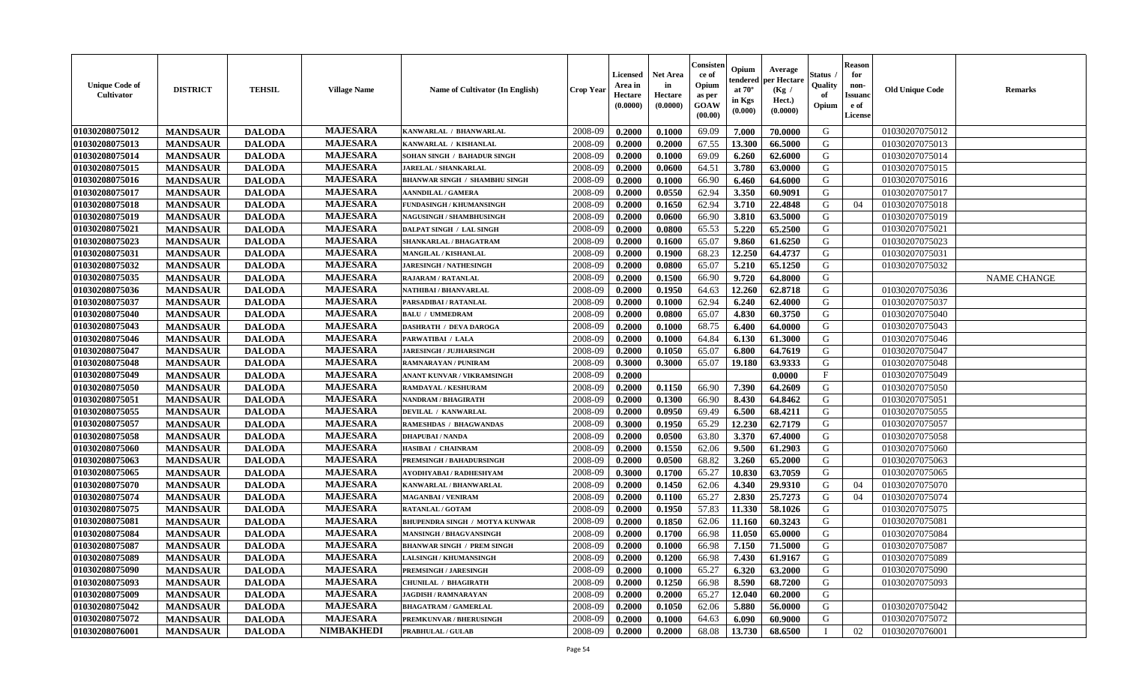| <b>Unique Code of</b><br>Cultivator | <b>DISTRICT</b> | <b>TEHSIL</b> | <b>Village Name</b> | <b>Name of Cultivator (In English)</b> | <b>Crop Year</b> | <b>Licensed</b><br>Area in<br>Hectare<br>(0.0000) | <b>Net Area</b><br>in<br>Hectare<br>(0.0000) | Consisteı<br>ce of<br>Opium<br>as per<br>GOAW<br>(00.00) | Opium<br>endered<br>at $70^{\circ}$<br>in Kgs<br>(0.000) | Average<br>er Hectare<br>(Kg /<br>Hect.)<br>(0.0000) | Status<br>Quality<br>of<br>Opium | <b>Reason</b><br>for<br>non-<br><b>Issuand</b><br>e of<br>License | <b>Old Unique Code</b> | Remarks            |
|-------------------------------------|-----------------|---------------|---------------------|----------------------------------------|------------------|---------------------------------------------------|----------------------------------------------|----------------------------------------------------------|----------------------------------------------------------|------------------------------------------------------|----------------------------------|-------------------------------------------------------------------|------------------------|--------------------|
| 01030208075012                      | <b>MANDSAUR</b> | <b>DALODA</b> | <b>MAJESARA</b>     | KANWARLAL / BHANWARLAL                 | 2008-09          | 0.2000                                            | 0.1000                                       | 69.09                                                    | 7.000                                                    | 70.0000                                              | G                                |                                                                   | 01030207075012         |                    |
| 01030208075013                      | <b>MANDSAUR</b> | <b>DALODA</b> | <b>MAJESARA</b>     | KANWARLAL / KISHANLAL                  | 2008-09          | 0.2000                                            | 0.2000                                       | 67.55                                                    | 13.300                                                   | 66.5000                                              | G                                |                                                                   | 01030207075013         |                    |
| 01030208075014                      | <b>MANDSAUR</b> | <b>DALODA</b> | <b>MAJESARA</b>     | SOHAN SINGH / BAHADUR SINGH            | 2008-09          | 0.2000                                            | 0.1000                                       | 69.09                                                    | 6.260                                                    | 62.6000                                              | G                                |                                                                   | 01030207075014         |                    |
| 01030208075015                      | <b>MANDSAUR</b> | <b>DALODA</b> | <b>MAJESARA</b>     | JARELAL / SHANKARLAL                   | 2008-09          | 0.2000                                            | 0.0600                                       | 64.51                                                    | 3.780                                                    | 63.0000                                              | G                                |                                                                   | 01030207075015         |                    |
| 01030208075016                      | <b>MANDSAUR</b> | <b>DALODA</b> | <b>MAJESARA</b>     | <b>BHANWAR SINGH / SHAMBHU SINGH</b>   | 2008-09          | 0.2000                                            | 0.1000                                       | 66.90                                                    | 6.460                                                    | 64.6000                                              | G                                |                                                                   | 01030207075016         |                    |
| 01030208075017                      | <b>MANDSAUR</b> | <b>DALODA</b> | <b>MAJESARA</b>     | <b>AANNDILAL / GAMERA</b>              | 2008-09          | 0.2000                                            | 0.0550                                       | 62.94                                                    | 3.350                                                    | 60.9091                                              | G                                |                                                                   | 01030207075017         |                    |
| 01030208075018                      | <b>MANDSAUR</b> | <b>DALODA</b> | <b>MAJESARA</b>     | <b>FUNDASINGH / KHUMANSINGH</b>        | 2008-09          | 0.2000                                            | 0.1650                                       | 62.94                                                    | 3.710                                                    | 22.4848                                              | G                                | 04                                                                | 01030207075018         |                    |
| 01030208075019                      | <b>MANDSAUR</b> | <b>DALODA</b> | <b>MAJESARA</b>     | <b>NAGUSINGH / SHAMBHUSINGH</b>        | 2008-09          | 0.2000                                            | 0.0600                                       | 66.90                                                    | 3.810                                                    | 63.5000                                              | G                                |                                                                   | 01030207075019         |                    |
| 01030208075021                      | <b>MANDSAUR</b> | <b>DALODA</b> | <b>MAJESARA</b>     | DALPAT SINGH / LAL SINGH               | 2008-09          | 0.2000                                            | 0.0800                                       | 65.53                                                    | 5.220                                                    | 65.2500                                              | G                                |                                                                   | 01030207075021         |                    |
| 01030208075023                      | <b>MANDSAUR</b> | <b>DALODA</b> | <b>MAJESARA</b>     | SHANKARLAL / BHAGATRAM                 | 2008-09          | 0.2000                                            | 0.1600                                       | 65.07                                                    | 9.860                                                    | 61.6250                                              | G                                |                                                                   | 01030207075023         |                    |
| 01030208075031                      | <b>MANDSAUR</b> | <b>DALODA</b> | <b>MAJESARA</b>     | MANGILAL / KISHANLAL                   | 2008-09          | 0.2000                                            | 0.1900                                       | 68.23                                                    | 12.250                                                   | 64.4737                                              | G                                |                                                                   | 01030207075031         |                    |
| 01030208075032                      | <b>MANDSAUR</b> | <b>DALODA</b> | <b>MAJESARA</b>     | <b>JARESINGH / NATHESINGH</b>          | 2008-09          | 0.2000                                            | 0.0800                                       | 65.07                                                    | 5.210                                                    | 65.1250                                              | G                                |                                                                   | 01030207075032         |                    |
| 01030208075035                      | <b>MANDSAUR</b> | <b>DALODA</b> | <b>MAJESARA</b>     | RAJARAM / RATANLAL                     | 2008-09          | 0.2000                                            | 0.1500                                       | 66.90                                                    | 9.720                                                    | 64.8000                                              | G                                |                                                                   |                        | <b>NAME CHANGE</b> |
| 01030208075036                      | <b>MANDSAUR</b> | <b>DALODA</b> | <b>MAJESARA</b>     | NATHIBAI / BHANVARLAL                  | 2008-09          | 0.2000                                            | 0.1950                                       | 64.63                                                    | 12.260                                                   | 62.8718                                              | G                                |                                                                   | 01030207075036         |                    |
| 01030208075037                      | <b>MANDSAUR</b> | <b>DALODA</b> | <b>MAJESARA</b>     | PARSADIBAI / RATANLAL                  | 2008-09          | 0.2000                                            | 0.1000                                       | 62.94                                                    | 6.240                                                    | 62.4000                                              | ${\bf G}$                        |                                                                   | 01030207075037         |                    |
| 01030208075040                      | <b>MANDSAUR</b> | <b>DALODA</b> | <b>MAJESARA</b>     | <b>BALU / UMMEDRAM</b>                 | 2008-09          | 0.2000                                            | 0.0800                                       | 65.07                                                    | 4.830                                                    | 60.3750                                              | G                                |                                                                   | 01030207075040         |                    |
| 01030208075043                      | <b>MANDSAUR</b> | <b>DALODA</b> | <b>MAJESARA</b>     | <b>DASHRATH / DEVA DAROGA</b>          | 2008-09          | 0.2000                                            | 0.1000                                       | 68.75                                                    | 6.400                                                    | 64.0000                                              | G                                |                                                                   | 01030207075043         |                    |
| 01030208075046                      | <b>MANDSAUR</b> | <b>DALODA</b> | <b>MAJESARA</b>     | PARWATIBAI / LALA                      | 2008-09          | 0.2000                                            | 0.1000                                       | 64.84                                                    | 6.130                                                    | 61.3000                                              | G                                |                                                                   | 01030207075046         |                    |
| 01030208075047                      | <b>MANDSAUR</b> | <b>DALODA</b> | <b>MAJESARA</b>     | <b>JARESINGH / JUJHARSINGH</b>         | 2008-09          | 0.2000                                            | 0.1050                                       | 65.07                                                    | 6.800                                                    | 64.7619                                              | G                                |                                                                   | 01030207075047         |                    |
| 01030208075048                      | <b>MANDSAUR</b> | <b>DALODA</b> | <b>MAJESARA</b>     | RAMNARAYAN / PUNIRAM                   | 2008-09          | 0.3000                                            | 0.3000                                       | 65.07                                                    | 19.180                                                   | 63.9333                                              | G                                |                                                                   | 01030207075048         |                    |
| 01030208075049                      | <b>MANDSAUR</b> | <b>DALODA</b> | <b>MAJESARA</b>     | ANANT KUNVAR / VIKRAMSINGH             | 2008-09          | 0.2000                                            |                                              |                                                          |                                                          | 0.0000                                               | $\mathbf{F}$                     |                                                                   | 01030207075049         |                    |
| 01030208075050                      | <b>MANDSAUR</b> | <b>DALODA</b> | <b>MAJESARA</b>     | RAMDAYAL / KESHURAM                    | 2008-09          | 0.2000                                            | 0.1150                                       | 66.90                                                    | 7.390                                                    | 64.2609                                              | G                                |                                                                   | 01030207075050         |                    |
| 01030208075051                      | <b>MANDSAUR</b> | <b>DALODA</b> | <b>MAJESARA</b>     | NANDRAM / BHAGIRATH                    | 2008-09          | 0.2000                                            | 0.1300                                       | 66.90                                                    | 8.430                                                    | 64.8462                                              | G                                |                                                                   | 01030207075051         |                    |
| 01030208075055                      | <b>MANDSAUR</b> | <b>DALODA</b> | <b>MAJESARA</b>     | DEVILAL / KANWARLAL                    | 2008-09          | 0.2000                                            | 0.0950                                       | 69.49                                                    | 6.500                                                    | 68.4211                                              | G                                |                                                                   | 01030207075055         |                    |
| 01030208075057                      | <b>MANDSAUR</b> | <b>DALODA</b> | <b>MAJESARA</b>     | RAMESHDAS / BHAGWANDAS                 | 2008-09          | 0.3000                                            | 0.1950                                       | 65.29                                                    | 12.230                                                   | 62.7179                                              | G                                |                                                                   | 01030207075057         |                    |
| 01030208075058                      | <b>MANDSAUR</b> | <b>DALODA</b> | <b>MAJESARA</b>     | <b>DHAPUBAI/NANDA</b>                  | 2008-09          | 0.2000                                            | 0.0500                                       | 63.80                                                    | 3.370                                                    | 67.4000                                              | G                                |                                                                   | 01030207075058         |                    |
| 01030208075060                      | <b>MANDSAUR</b> | <b>DALODA</b> | <b>MAJESARA</b>     | <b>HASIBAI / CHAINRAM</b>              | 2008-09          | 0.2000                                            | 0.1550                                       | 62.06                                                    | 9.500                                                    | 61.2903                                              | G                                |                                                                   | 01030207075060         |                    |
| 01030208075063                      | <b>MANDSAUR</b> | <b>DALODA</b> | <b>MAJESARA</b>     | PREMSINGH / BAHADURSINGH               | 2008-09          | 0.2000                                            | 0.0500                                       | 68.82                                                    | 3.260                                                    | 65.2000                                              | G                                |                                                                   | 01030207075063         |                    |
| 01030208075065                      | <b>MANDSAUR</b> | <b>DALODA</b> | <b>MAJESARA</b>     | AYODHYABAI / RADHESHYAM                | 2008-09          | 0.3000                                            | 0.1700                                       | 65.27                                                    | 10.830                                                   | 63.7059                                              | G                                |                                                                   | 01030207075065         |                    |
| 01030208075070                      | <b>MANDSAUR</b> | <b>DALODA</b> | <b>MAJESARA</b>     | KANWARLAL / BHANWARLAL                 | 2008-09          | 0.2000                                            | 0.1450                                       | 62.06                                                    | 4.340                                                    | 29.9310                                              | G                                | 04                                                                | 01030207075070         |                    |
| 01030208075074                      | <b>MANDSAUR</b> | <b>DALODA</b> | <b>MAJESARA</b>     | <b>MAGANBAI/VENIRAM</b>                | 2008-09          | 0.2000                                            | 0.1100                                       | 65.27                                                    | 2.830                                                    | 25.7273                                              | G                                | 04                                                                | 01030207075074         |                    |
| 01030208075075                      | <b>MANDSAUR</b> | <b>DALODA</b> | <b>MAJESARA</b>     | RATANLAL / GOTAM                       | 2008-09          | 0.2000                                            | 0.1950                                       | 57.83                                                    | 11.330                                                   | 58.1026                                              | G                                |                                                                   | 01030207075075         |                    |
| 01030208075081                      | <b>MANDSAUR</b> | <b>DALODA</b> | <b>MAJESARA</b>     | <b>BHUPENDRA SINGH / MOTYA KUNWAR</b>  | 2008-09          | 0.2000                                            | 0.1850                                       | 62.06                                                    | 11.160                                                   | 60.3243                                              | G                                |                                                                   | 01030207075081         |                    |
| 01030208075084                      | <b>MANDSAUR</b> | <b>DALODA</b> | <b>MAJESARA</b>     | MANSINGH / BHAGVANSINGH                | 2008-09          | 0.2000                                            | 0.1700                                       | 66.98                                                    | 11.050                                                   | 65.0000                                              | G                                |                                                                   | 01030207075084         |                    |
| 01030208075087                      | <b>MANDSAUR</b> | <b>DALODA</b> | <b>MAJESARA</b>     | <b>BHANWAR SINGH / PREM SINGH</b>      | 2008-09          | 0.2000                                            | 0.1000                                       | 66.98                                                    | 7.150                                                    | 71.5000                                              | G                                |                                                                   | 01030207075087         |                    |
| 01030208075089                      | <b>MANDSAUR</b> | <b>DALODA</b> | <b>MAJESARA</b>     | <b>LALSINGH / KHUMANSINGH</b>          | 2008-09          | 0.2000                                            | 0.1200                                       | 66.98                                                    | 7.430                                                    | 61.9167                                              | G                                |                                                                   | 01030207075089         |                    |
| 01030208075090                      | <b>MANDSAUR</b> | <b>DALODA</b> | <b>MAJESARA</b>     | <b>PREMSINGH / JARESINGH</b>           | 2008-09          | 0.2000                                            | 0.1000                                       | 65.27                                                    | 6.320                                                    | 63.2000                                              | G                                |                                                                   | 01030207075090         |                    |
| 01030208075093                      | <b>MANDSAUR</b> | <b>DALODA</b> | <b>MAJESARA</b>     | CHUNILAL / BHAGIRATH                   | 2008-09          | 0.2000                                            | 0.1250                                       | 66.98                                                    | 8.590                                                    | 68.7200                                              | G                                |                                                                   | 01030207075093         |                    |
| 01030208075009                      | <b>MANDSAUR</b> | <b>DALODA</b> | <b>MAJESARA</b>     | <b>JAGDISH / RAMNARAYAN</b>            | 2008-09          | 0.2000                                            | 0.2000                                       | 65.27                                                    | 12.040                                                   | 60.2000                                              | G                                |                                                                   |                        |                    |
| 01030208075042                      | <b>MANDSAUR</b> | <b>DALODA</b> | <b>MAJESARA</b>     | <b>BHAGATRAM / GAMERLAL</b>            | 2008-09          | 0.2000                                            | 0.1050                                       | 62.06                                                    | 5.880                                                    | 56.0000                                              | $\mathbf G$                      |                                                                   | 01030207075042         |                    |
| 01030208075072                      | <b>MANDSAUR</b> | <b>DALODA</b> | <b>MAJESARA</b>     | PREMKUNVAR / BHERUSINGH                | 2008-09          | 0.2000                                            | 0.1000                                       | 64.63                                                    | 6.090                                                    | 60.9000                                              | G                                |                                                                   | 01030207075072         |                    |
| 01030208076001                      | <b>MANDSAUR</b> | <b>DALODA</b> | <b>NIMBAKHEDI</b>   | PRABHULAL / GULAB                      | 2008-09          | 0.2000                                            | 0.2000                                       | 68.08                                                    | 13.730                                                   | 68.6500                                              |                                  | 02                                                                | 01030207076001         |                    |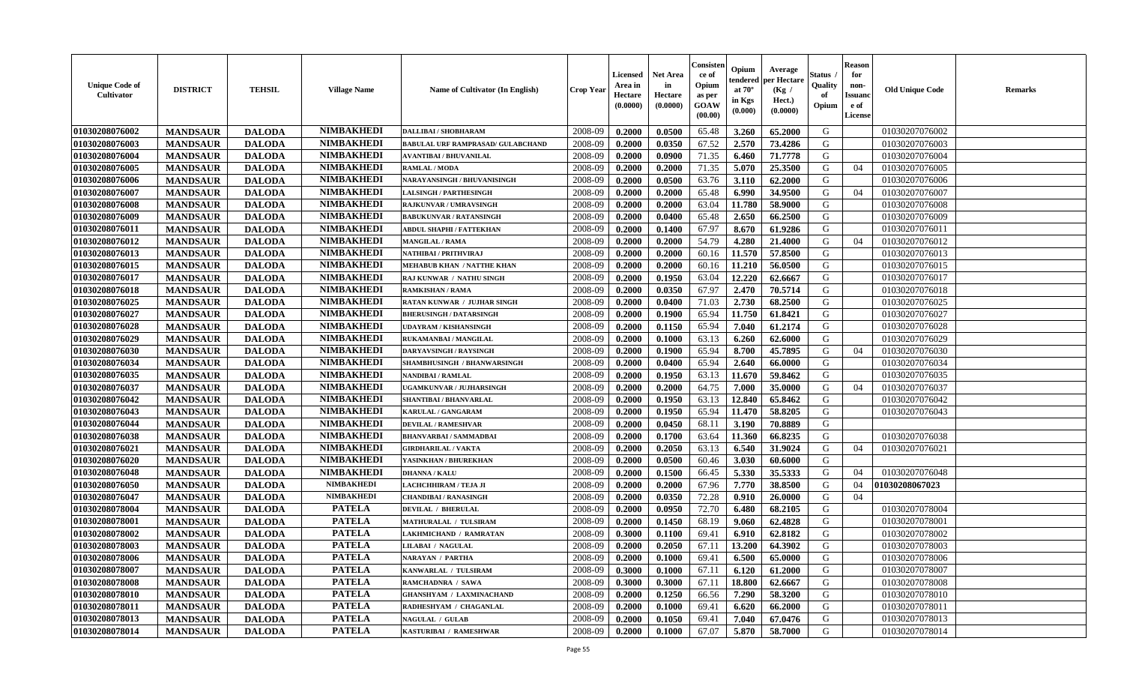| <b>Unique Code of</b><br><b>Cultivator</b> | <b>DISTRICT</b> | <b>TEHSIL</b> | <b>Village Name</b> | Name of Cultivator (In English)          | <b>Crop Year</b> | <b>Licensed</b><br>Area in<br>Hectare<br>(0.0000) | <b>Net Area</b><br>in<br>Hectare<br>(0.0000) | Consister<br>ce of<br>Opium<br>as per<br><b>GOAW</b><br>(00.00) | Opium<br>endered<br>at $70^\circ$<br>in Kgs<br>$(\mathbf{0.000})$ | Average<br>per Hectare<br>(Kg)<br>Hect.)<br>(0.0000) | Status<br>Quality<br>of<br>Opium | <b>Reason</b><br>for<br>non-<br><b>Issuano</b><br>e of<br>License | <b>Old Unique Code</b> | <b>Remarks</b> |
|--------------------------------------------|-----------------|---------------|---------------------|------------------------------------------|------------------|---------------------------------------------------|----------------------------------------------|-----------------------------------------------------------------|-------------------------------------------------------------------|------------------------------------------------------|----------------------------------|-------------------------------------------------------------------|------------------------|----------------|
| 01030208076002                             | <b>MANDSAUR</b> | <b>DALODA</b> | <b>NIMBAKHEDI</b>   | <b>DALLIBAI / SHOBHARAM</b>              | 2008-09          | 0.2000                                            | 0.0500                                       | 65.48                                                           | 3.260                                                             | 65.2000                                              | G                                |                                                                   | 01030207076002         |                |
| 01030208076003                             | <b>MANDSAUR</b> | <b>DALODA</b> | <b>NIMBAKHEDI</b>   | <b>BABULAL URF RAMPRASAD/ GULABCHAND</b> | 2008-09          | 0.2000                                            | 0.0350                                       | 67.52                                                           | 2.570                                                             | 73.4286                                              | G                                |                                                                   | 01030207076003         |                |
| 01030208076004                             | <b>MANDSAUR</b> | <b>DALODA</b> | <b>NIMBAKHEDI</b>   | <b>AVANTIBAI / BHUVANILAL</b>            | 2008-09          | 0.2000                                            | 0.0900                                       | 71.35                                                           | 6.460                                                             | 71.7778                                              | G                                |                                                                   | 01030207076004         |                |
| 01030208076005                             | <b>MANDSAUR</b> | <b>DALODA</b> | <b>NIMBAKHEDI</b>   | <b>RAMLAL / MODA</b>                     | 2008-09          | 0.2000                                            | 0.2000                                       | 71.35                                                           | 5.070                                                             | 25.3500                                              | G                                | 04                                                                | 01030207076005         |                |
| 01030208076006                             | <b>MANDSAUR</b> | <b>DALODA</b> | <b>NIMBAKHEDI</b>   | NARAYANSINGH / BHUVANISINGH              | 2008-09          | 0.2000                                            | 0.0500                                       | 63.76                                                           | 3.110                                                             | 62.2000                                              | G                                |                                                                   | 01030207076006         |                |
| 01030208076007                             | <b>MANDSAUR</b> | <b>DALODA</b> | <b>NIMBAKHEDI</b>   | <b>LALSINGH / PARTHESINGH</b>            | 2008-09          | 0.2000                                            | 0.2000                                       | 65.48                                                           | 6.990                                                             | 34.9500                                              | G                                | 04                                                                | 01030207076007         |                |
| 01030208076008                             | <b>MANDSAUR</b> | <b>DALODA</b> | <b>NIMBAKHEDI</b>   | <b>RAJKUNVAR / UMRAVSINGH</b>            | 2008-09          | 0.2000                                            | 0.2000                                       | 63.04                                                           | 11.780                                                            | 58.9000                                              | G                                |                                                                   | 01030207076008         |                |
| 01030208076009                             | <b>MANDSAUR</b> | <b>DALODA</b> | <b>NIMBAKHEDI</b>   | <b>BABUKUNVAR / RATANSINGH</b>           | 2008-09          | 0.2000                                            | 0.0400                                       | 65.48                                                           | 2.650                                                             | 66.2500                                              | G                                |                                                                   | 01030207076009         |                |
| 01030208076011                             | <b>MANDSAUR</b> | <b>DALODA</b> | <b>NIMBAKHEDI</b>   | ABDUL SHAPHI / FATTEKHAN                 | 2008-09          | 0.2000                                            | 0.1400                                       | 67.97                                                           | 8.670                                                             | 61.9286                                              | G                                |                                                                   | 01030207076011         |                |
| 01030208076012                             | <b>MANDSAUR</b> | <b>DALODA</b> | <b>NIMBAKHEDI</b>   | <b>MANGILAL / RAMA</b>                   | 2008-09          | 0.2000                                            | 0.2000                                       | 54.79                                                           | 4.280                                                             | 21.4000                                              | G                                | 04                                                                | 01030207076012         |                |
| 01030208076013                             | <b>MANDSAUR</b> | <b>DALODA</b> | <b>NIMBAKHEDI</b>   | NATHIBAI / PRITHVIRAJ                    | 2008-09          | 0.2000                                            | 0.2000                                       | 60.16                                                           | 11.570                                                            | 57.8500                                              | G                                |                                                                   | 01030207076013         |                |
| 01030208076015                             | <b>MANDSAUR</b> | <b>DALODA</b> | <b>NIMBAKHEDI</b>   | MEHABUB KHAN / NATTHE KHAN               | 2008-09          | 0.2000                                            | 0.2000                                       | 60.16                                                           | 11.210                                                            | 56.0500                                              | G                                |                                                                   | 01030207076015         |                |
| 01030208076017                             | <b>MANDSAUR</b> | <b>DALODA</b> | <b>NIMBAKHEDI</b>   | RAJ KUNWAR / NATHU SINGH                 | 2008-09          | 0.2000                                            | 0.1950                                       | 63.04                                                           | 12.220                                                            | 62.6667                                              | G                                |                                                                   | 01030207076017         |                |
| 01030208076018                             | <b>MANDSAUR</b> | <b>DALODA</b> | <b>NIMBAKHEDI</b>   | <b>RAMKISHAN / RAMA</b>                  | 2008-09          | 0.2000                                            | 0.0350                                       | 67.97                                                           | 2.470                                                             | 70.5714                                              | G                                |                                                                   | 01030207076018         |                |
| 01030208076025                             | <b>MANDSAUR</b> | <b>DALODA</b> | <b>NIMBAKHEDI</b>   | RATAN KUNWAR / JUJHAR SINGH              | 2008-09          | 0.2000                                            | 0.0400                                       | 71.03                                                           | 2.730                                                             | 68.2500                                              | G                                |                                                                   | 01030207076025         |                |
| 01030208076027                             | <b>MANDSAUR</b> | <b>DALODA</b> | <b>NIMBAKHEDI</b>   | <b>BHERUSINGH / DATARSINGH</b>           | 2008-09          | 0.2000                                            | 0.1900                                       | 65.94                                                           | 11.750                                                            | 61.8421                                              | G                                |                                                                   | 01030207076027         |                |
| 01030208076028                             | <b>MANDSAUR</b> | <b>DALODA</b> | <b>NIMBAKHEDI</b>   | <b>UDAYRAM / KISHANSINGH</b>             | 2008-09          | 0.2000                                            | 0.1150                                       | 65.94                                                           | 7.040                                                             | 61.2174                                              | G                                |                                                                   | 01030207076028         |                |
| 01030208076029                             | <b>MANDSAUR</b> | <b>DALODA</b> | <b>NIMBAKHEDI</b>   | RUKAMANBAI / MANGILAL                    | 2008-09          | 0.2000                                            | 0.1000                                       | 63.13                                                           | 6.260                                                             | 62.6000                                              | G                                |                                                                   | 01030207076029         |                |
| 01030208076030                             | <b>MANDSAUR</b> | <b>DALODA</b> | <b>NIMBAKHEDI</b>   | <b>DARYAVSINGH / RAYSINGH</b>            | 2008-09          | 0.2000                                            | 0.1900                                       | 65.94                                                           | 8.700                                                             | 45.7895                                              | G                                | 04                                                                | 01030207076030         |                |
| 01030208076034                             | <b>MANDSAUR</b> | <b>DALODA</b> | <b>NIMBAKHEDI</b>   | <b>SHAMBHUSINGH / BHANWARSINGH</b>       | 2008-09          | 0.2000                                            | 0.0400                                       | 65.94                                                           | 2.640                                                             | 66.0000                                              | G                                |                                                                   | 01030207076034         |                |
| 01030208076035                             | <b>MANDSAUR</b> | <b>DALODA</b> | <b>NIMBAKHEDI</b>   | NANDIBAI / RAMLAL                        | 2008-09          | 0.2000                                            | 0.1950                                       | 63.13                                                           | 11.670                                                            | 59.8462                                              | G                                |                                                                   | 01030207076035         |                |
| 01030208076037                             | <b>MANDSAUR</b> | <b>DALODA</b> | <b>NIMBAKHEDI</b>   | UGAMKUNVAR / JUJHARSINGH                 | 2008-09          | 0.2000                                            | 0.2000                                       | 64.75                                                           | 7.000                                                             | 35.0000                                              | G                                | 04                                                                | 01030207076037         |                |
| 01030208076042                             | <b>MANDSAUR</b> | <b>DALODA</b> | <b>NIMBAKHEDI</b>   | <b>SHANTIBAI / BHANVARLAL</b>            | 2008-09          | 0.2000                                            | 0.1950                                       | 63.13                                                           | 12.840                                                            | 65.8462                                              | G                                |                                                                   | 01030207076042         |                |
| 01030208076043                             | <b>MANDSAUR</b> | <b>DALODA</b> | <b>NIMBAKHEDI</b>   | KARULAL / GANGARAM                       | 2008-09          | 0.2000                                            | 0.1950                                       | 65.94                                                           | 11.470                                                            | 58.8205                                              | G                                |                                                                   | 01030207076043         |                |
| 01030208076044                             | <b>MANDSAUR</b> | <b>DALODA</b> | <b>NIMBAKHEDI</b>   | <b>DEVILAL / RAMESHVAR</b>               | 2008-09          | 0.2000                                            | 0.0450                                       | 68.11                                                           | 3.190                                                             | 70.8889                                              | G                                |                                                                   |                        |                |
| 01030208076038                             | <b>MANDSAUR</b> | <b>DALODA</b> | <b>NIMBAKHEDI</b>   | <b>BHANVARBAI/SAMMADBAI</b>              | 2008-09          | 0.2000                                            | 0.1700                                       | 63.64                                                           | 11.360                                                            | 66.8235                                              | G                                |                                                                   | 01030207076038         |                |
| 01030208076021                             | <b>MANDSAUR</b> | <b>DALODA</b> | <b>NIMBAKHEDI</b>   | <b>GIRDHARILAL / VAKTA</b>               | 2008-09          | 0.2000                                            | 0.2050                                       | 63.13                                                           | 6.540                                                             | 31.9024                                              | G                                | 04                                                                | 01030207076021         |                |
| 01030208076020                             | <b>MANDSAUR</b> | <b>DALODA</b> | <b>NIMBAKHEDI</b>   | YASINKHAN / BHUREKHAN                    | 2008-09          | 0.2000                                            | 0.0500                                       | 60.46                                                           | 3.030                                                             | 60.6000                                              | G                                |                                                                   |                        |                |
| 01030208076048                             | <b>MANDSAUR</b> | <b>DALODA</b> | <b>NIMBAKHEDI</b>   | <b>DHANNA / KALU</b>                     | 2008-09          | 0.2000                                            | 0.1500                                       | 66.45                                                           | 5.330                                                             | 35.5333                                              | G                                | 04                                                                | 01030207076048         |                |
| 01030208076050                             | <b>MANDSAUR</b> | <b>DALODA</b> | <b>NIMBAKHEDI</b>   | LACHCHHIRAM / TEJA JI                    | 2008-09          | 0.2000                                            | 0.2000                                       | 67.96                                                           | 7.770                                                             | 38.8500                                              | G                                | 04                                                                | 01030208067023         |                |
| 01030208076047                             | <b>MANDSAUR</b> | <b>DALODA</b> | <b>NIMBAKHEDI</b>   | <b>CHANDIBAI/RANASINGH</b>               | 2008-09          | 0.2000                                            | 0.0350                                       | 72.28                                                           | 0.910                                                             | 26.0000                                              | G                                | 04                                                                |                        |                |
| 01030208078004                             | <b>MANDSAUR</b> | <b>DALODA</b> | <b>PATELA</b>       | <b>DEVILAL / BHERULAL</b>                | 2008-09          | 0.2000                                            | 0.0950                                       | 72.70                                                           | 6.480                                                             | 68.2105                                              | G                                |                                                                   | 01030207078004         |                |
| 01030208078001                             | <b>MANDSAUR</b> | <b>DALODA</b> | <b>PATELA</b>       | MATHURALAL / TULSIRAM                    | 2008-09          | 0.2000                                            | 0.1450                                       | 68.19                                                           | 9.060                                                             | 62.4828                                              | G                                |                                                                   | 01030207078001         |                |
| 01030208078002                             | <b>MANDSAUR</b> | <b>DALODA</b> | <b>PATELA</b>       | LAKHMICHAND / RAMRATAN                   | 2008-09          | 0.3000                                            | 0.1100                                       | 69.41                                                           | 6.910                                                             | 62.8182                                              | G                                |                                                                   | 01030207078002         |                |
| 01030208078003                             | <b>MANDSAUR</b> | <b>DALODA</b> | <b>PATELA</b>       | LILABAI / NAGULAL                        | 2008-09          | 0.2000                                            | 0.2050                                       | 67.11                                                           | 13.200                                                            | 64.3902                                              | G                                |                                                                   | 01030207078003         |                |
| 01030208078006                             | <b>MANDSAUR</b> | <b>DALODA</b> | <b>PATELA</b>       | <b>NARAYAN / PARTHA</b>                  | 2008-09          | 0.2000                                            | 0.1000                                       | 69.41                                                           | 6.500                                                             | 65.0000                                              | G                                |                                                                   | 01030207078006         |                |
| 01030208078007                             | <b>MANDSAUR</b> | <b>DALODA</b> | <b>PATELA</b>       | KANWARLAL / TULSIRAM                     | 2008-09          | 0.3000                                            | 0.1000                                       | 67.11                                                           | 6.120                                                             | 61.2000                                              | G                                |                                                                   | 01030207078007         |                |
| 01030208078008                             | <b>MANDSAUR</b> | <b>DALODA</b> | <b>PATELA</b>       | RAMCHADNRA / SAWA                        | 2008-09          | 0.3000                                            | 0.3000                                       | 67.11                                                           | 18.800                                                            | 62.6667                                              | G                                |                                                                   | 01030207078008         |                |
| 01030208078010                             | <b>MANDSAUR</b> | <b>DALODA</b> | <b>PATELA</b>       | <b>GHANSHYAM / LAXMINACHAND</b>          | 2008-09          | 0.2000                                            | 0.1250                                       | 66.56                                                           | 7.290                                                             | 58.3200                                              | G                                |                                                                   | 01030207078010         |                |
| 01030208078011                             | <b>MANDSAUR</b> | <b>DALODA</b> | <b>PATELA</b>       | RADHESHYAM / CHAGANLAL                   | 2008-09          | 0.2000                                            | 0.1000                                       | 69.41                                                           | 6.620                                                             | 66.2000                                              | G                                |                                                                   | 01030207078011         |                |
| 01030208078013                             | <b>MANDSAUR</b> | <b>DALODA</b> | <b>PATELA</b>       | <b>NAGULAL / GULAB</b>                   | 2008-09          | 0.2000                                            | 0.1050                                       | 69.41                                                           | 7.040                                                             | 67.0476                                              | G                                |                                                                   | 01030207078013         |                |
| 01030208078014                             | <b>MANDSAUR</b> | <b>DALODA</b> | <b>PATELA</b>       | KASTURIBAI / RAMESHWAR                   | 2008-09          | 0.2000                                            | 0.1000                                       | 67.07                                                           | 5.870                                                             | 58.7000                                              | G                                |                                                                   | 01030207078014         |                |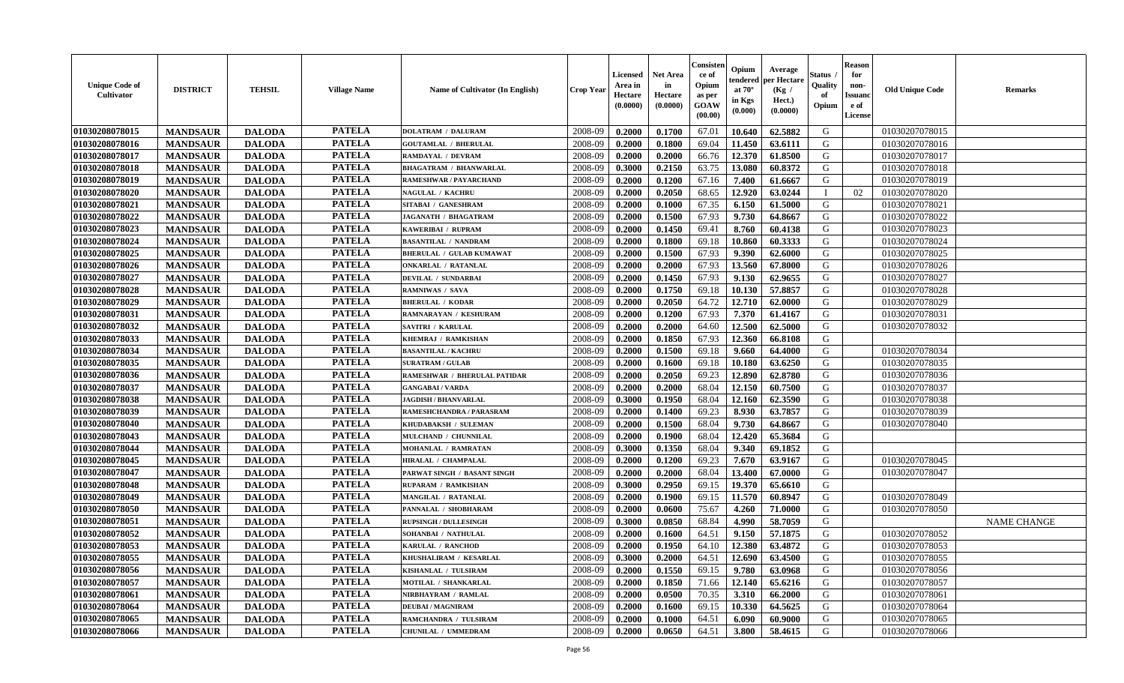| <b>Unique Code of</b><br><b>Cultivator</b> | <b>DISTRICT</b> | <b>TEHSIL</b> | <b>Village Name</b> | Name of Cultivator (In English) | <b>Crop Year</b> | <b>Licensed</b><br>Area in<br>Hectare<br>(0.0000) | <b>Net Area</b><br>in<br>Hectare<br>(0.0000) | Consister<br>ce of<br>Opium<br>as per<br><b>GOAW</b><br>(00.00) | Opium<br>endered<br>at $70^\circ$<br>in Kgs<br>(0.000) | Average<br>per Hectare<br>(Kg /<br>Hect.)<br>(0.0000) | Status<br>Quality<br>of<br>Opium | <b>Reason</b><br>for<br>non-<br><b>Issuand</b><br>e of<br><b>License</b> | <b>Old Unique Code</b> | <b>Remarks</b>     |
|--------------------------------------------|-----------------|---------------|---------------------|---------------------------------|------------------|---------------------------------------------------|----------------------------------------------|-----------------------------------------------------------------|--------------------------------------------------------|-------------------------------------------------------|----------------------------------|--------------------------------------------------------------------------|------------------------|--------------------|
| 01030208078015                             | <b>MANDSAUR</b> | <b>DALODA</b> | <b>PATELA</b>       | <b>DOLATRAM / DALURAM</b>       | 2008-09          | 0.2000                                            | 0.1700                                       | 67.01                                                           | 10.640                                                 | 62.5882                                               | G                                |                                                                          | 01030207078015         |                    |
| 01030208078016                             | <b>MANDSAUR</b> | <b>DALODA</b> | <b>PATELA</b>       | <b>GOUTAMLAL / BHERULAL</b>     | 2008-09          | 0.2000                                            | 0.1800                                       | 69.04                                                           | 11.450                                                 | 63.6111                                               | G                                |                                                                          | 01030207078016         |                    |
| 01030208078017                             | <b>MANDSAUR</b> | <b>DALODA</b> | <b>PATELA</b>       | <b>RAMDAYAL / DEVRAM</b>        | 2008-09          | 0.2000                                            | 0.2000                                       | 66.76                                                           | 12.370                                                 | 61.8500                                               | G                                |                                                                          | 01030207078017         |                    |
| 01030208078018                             | <b>MANDSAUR</b> | <b>DALODA</b> | <b>PATELA</b>       | <b>BHAGATRAM / BHANWARLAL</b>   | 2008-09          | 0.3000                                            | 0.2150                                       | 63.75                                                           | 13.080                                                 | 60.8372                                               | G                                |                                                                          | 01030207078018         |                    |
| 01030208078019                             | <b>MANDSAUR</b> | <b>DALODA</b> | <b>PATELA</b>       | RAMESHWAR / PAYARCHAND          | 2008-09          | 0.2000                                            | 0.1200                                       | 67.16                                                           | 7.400                                                  | 61.6667                                               | G                                |                                                                          | 01030207078019         |                    |
| 01030208078020                             | <b>MANDSAUR</b> | <b>DALODA</b> | <b>PATELA</b>       | <b>NAGULAL / KACHRU</b>         | 2008-09          | 0.2000                                            | 0.2050                                       | 68.65                                                           | 12.920                                                 | 63.0244                                               | $\mathbf I$                      | 02                                                                       | 01030207078020         |                    |
| 01030208078021                             | <b>MANDSAUR</b> | <b>DALODA</b> | <b>PATELA</b>       | SITABAI / GANESHRAM             | 2008-09          | 0.2000                                            | 0.1000                                       | 67.35                                                           | 6.150                                                  | 61.5000                                               | G                                |                                                                          | 01030207078021         |                    |
| 01030208078022                             | <b>MANDSAUR</b> | <b>DALODA</b> | <b>PATELA</b>       | JAGANATH / BHAGATRAM            | 2008-09          | 0.2000                                            | 0.1500                                       | 67.93                                                           | 9.730                                                  | 64.8667                                               | ${\bf G}$                        |                                                                          | 01030207078022         |                    |
| 01030208078023                             | <b>MANDSAUR</b> | <b>DALODA</b> | <b>PATELA</b>       | KAWERIBAI / RUPRAM              | 2008-09          | 0.2000                                            | 0.1450                                       | 69.41                                                           | 8.760                                                  | 60.4138                                               | G                                |                                                                          | 01030207078023         |                    |
| 01030208078024                             | <b>MANDSAUR</b> | <b>DALODA</b> | <b>PATELA</b>       | <b>BASANTILAL / NANDRAM</b>     | 2008-09          | 0.2000                                            | 0.1800                                       | 69.18                                                           | 10.860                                                 | 60.3333                                               | G                                |                                                                          | 01030207078024         |                    |
| 01030208078025                             | <b>MANDSAUR</b> | <b>DALODA</b> | <b>PATELA</b>       | <b>BHERULAL / GULAB KUMAWAT</b> | 2008-09          | 0.2000                                            | 0.1500                                       | 67.93                                                           | 9.390                                                  | 62.6000                                               | G                                |                                                                          | 01030207078025         |                    |
| 01030208078026                             | <b>MANDSAUR</b> | <b>DALODA</b> | <b>PATELA</b>       | <b>ONKARLAL / RATANLAL</b>      | 2008-09          | 0.2000                                            | 0.2000                                       | 67.93                                                           | 13.560                                                 | 67.8000                                               | G                                |                                                                          | 01030207078026         |                    |
| 01030208078027                             | <b>MANDSAUR</b> | <b>DALODA</b> | <b>PATELA</b>       | <b>DEVILAL / SUNDARBAI</b>      | 2008-09          | 0.2000                                            | 0.1450                                       | 67.93                                                           | 9.130                                                  | 62.9655                                               | G                                |                                                                          | 01030207078027         |                    |
| 01030208078028                             | <b>MANDSAUR</b> | <b>DALODA</b> | <b>PATELA</b>       | <b>RAMNIWAS / SAVA</b>          | 2008-09          | 0.2000                                            | 0.1750                                       | 69.18                                                           | 10.130                                                 | 57.8857                                               | G                                |                                                                          | 01030207078028         |                    |
| 01030208078029                             | <b>MANDSAUR</b> | <b>DALODA</b> | <b>PATELA</b>       | <b>BHERULAL / KODAR</b>         | 2008-09          | 0.2000                                            | 0.2050                                       | 64.72                                                           | 12.710                                                 | 62.0000                                               | G                                |                                                                          | 01030207078029         |                    |
| 01030208078031                             | <b>MANDSAUR</b> | <b>DALODA</b> | <b>PATELA</b>       | RAMNARAYAN / KESHURAM           | 2008-09          | 0.2000                                            | 0.1200                                       | 67.93                                                           | 7.370                                                  | 61.4167                                               | G                                |                                                                          | 01030207078031         |                    |
| 01030208078032                             | <b>MANDSAUR</b> | <b>DALODA</b> | <b>PATELA</b>       | SAVITRI / KARULAL               | 2008-09          | 0.2000                                            | 0.2000                                       | 64.60                                                           | 12.500                                                 | 62.5000                                               | G                                |                                                                          | 01030207078032         |                    |
| 01030208078033                             | <b>MANDSAUR</b> | <b>DALODA</b> | <b>PATELA</b>       | KHEMRAJ / RAMKISHAN             | 2008-09          | 0.2000                                            | 0.1850                                       | 67.93                                                           | 12.360                                                 | 66.8108                                               | G                                |                                                                          |                        |                    |
| 01030208078034                             | <b>MANDSAUR</b> | <b>DALODA</b> | <b>PATELA</b>       | <b>BASANTILAL / KACHRU</b>      | 2008-09          | 0.2000                                            | 0.1500                                       | 69.18                                                           | 9.660                                                  | 64.4000                                               | G                                |                                                                          | 01030207078034         |                    |
| 01030208078035                             | <b>MANDSAUR</b> | <b>DALODA</b> | <b>PATELA</b>       | <b>SURATRAM / GULAB</b>         | 2008-09          | 0.2000                                            | 0.1600                                       | 69.18                                                           | 10.180                                                 | 63.6250                                               | G                                |                                                                          | 01030207078035         |                    |
| 01030208078036                             | <b>MANDSAUR</b> | <b>DALODA</b> | <b>PATELA</b>       | RAMESHWAR / BHERULAL PATIDAR    | 2008-09          | 0.2000                                            | 0.2050                                       | 69.23                                                           | 12.890                                                 | 62.8780                                               | G                                |                                                                          | 01030207078036         |                    |
| 01030208078037                             | <b>MANDSAUR</b> | <b>DALODA</b> | <b>PATELA</b>       | <b>GANGABAI/VARDA</b>           | 2008-09          | 0.2000                                            | 0.2000                                       | 68.04                                                           | 12.150                                                 | 60.7500                                               | G                                |                                                                          | 01030207078037         |                    |
| 01030208078038                             | <b>MANDSAUR</b> | <b>DALODA</b> | <b>PATELA</b>       | <b>JAGDISH / BHANVARLAL</b>     | 2008-09          | 0.3000                                            | 0.1950                                       | 68.04                                                           | 12.160                                                 | 62.3590                                               | G                                |                                                                          | 01030207078038         |                    |
| 01030208078039                             | <b>MANDSAUR</b> | <b>DALODA</b> | <b>PATELA</b>       | RAMESHCHANDRA / PARASRAM        | 2008-09          | 0.2000                                            | 0.1400                                       | 69.23                                                           | 8.930                                                  | 63.7857                                               | G                                |                                                                          | 01030207078039         |                    |
| 01030208078040                             | <b>MANDSAUR</b> | <b>DALODA</b> | <b>PATELA</b>       | KHUDABAKSH / SULEMAN            | 2008-09          | 0.2000                                            | 0.1500                                       | 68.04                                                           | 9.730                                                  | 64.8667                                               | G                                |                                                                          | 01030207078040         |                    |
| 01030208078043                             | <b>MANDSAUR</b> | <b>DALODA</b> | <b>PATELA</b>       | MULCHAND / CHUNNILAL            | 2008-09          | 0.2000                                            | 0.1900                                       | 68.04                                                           | 12.420                                                 | 65.3684                                               | G                                |                                                                          |                        |                    |
| 01030208078044                             | <b>MANDSAUR</b> | <b>DALODA</b> | <b>PATELA</b>       | MOHANLAL / RAMRATAN             | 2008-09          | 0.3000                                            | 0.1350                                       | 68.04                                                           | 9.340                                                  | 69.1852                                               | G                                |                                                                          |                        |                    |
| 01030208078045                             | <b>MANDSAUR</b> | <b>DALODA</b> | <b>PATELA</b>       | HIRALAL / CHAMPALAL             | 2008-09          | 0.2000                                            | 0.1200                                       | 69.23                                                           | 7.670                                                  | 63.9167                                               | G                                |                                                                          | 01030207078045         |                    |
| 01030208078047                             | <b>MANDSAUR</b> | <b>DALODA</b> | <b>PATELA</b>       | PARWAT SINGH / BASANT SINGH     | 2008-09          | 0.2000                                            | 0.2000                                       | 68.04                                                           | 13.400                                                 | 67.0000                                               | G                                |                                                                          | 01030207078047         |                    |
| 01030208078048                             | <b>MANDSAUR</b> | <b>DALODA</b> | <b>PATELA</b>       | RUPARAM / RAMKISHAN             | 2008-09          | 0.3000                                            | 0.2950                                       | 69.15                                                           | 19.370                                                 | 65.6610                                               | G                                |                                                                          |                        |                    |
| 01030208078049                             | <b>MANDSAUR</b> | <b>DALODA</b> | <b>PATELA</b>       | MANGILAL / RATANLAL             | 2008-09          | 0.2000                                            | 0.1900                                       | 69.15                                                           | 11.570                                                 | 60.8947                                               | G                                |                                                                          | 01030207078049         |                    |
| 01030208078050                             | <b>MANDSAUR</b> | <b>DALODA</b> | <b>PATELA</b>       | PANNALAL / SHOBHARAM            | 2008-09          | 0.2000                                            | 0.0600                                       | 75.67                                                           | 4.260                                                  | 71.0000                                               | G                                |                                                                          | 01030207078050         |                    |
| 01030208078051                             | <b>MANDSAUR</b> | <b>DALODA</b> | <b>PATELA</b>       | <b>RUPSINGH / DULLESINGH</b>    | 2008-09          | 0.3000                                            | 0.0850                                       | 68.84                                                           | 4.990                                                  | 58.7059                                               | G                                |                                                                          |                        | <b>NAME CHANGE</b> |
| 01030208078052                             | <b>MANDSAUR</b> | <b>DALODA</b> | <b>PATELA</b>       | SOHANBAI / NATHULAL             | 2008-09          | 0.2000                                            | 0.1600                                       | 64.51                                                           | 9.150                                                  | 57.1875                                               | G                                |                                                                          | 01030207078052         |                    |
| 01030208078053                             | <b>MANDSAUR</b> | <b>DALODA</b> | <b>PATELA</b>       | KARULAL / RANCHOD               | 2008-09          | 0.2000                                            | 0.1950                                       | 64.10                                                           | 12.380                                                 | 63.4872                                               | G                                |                                                                          | 01030207078053         |                    |
| 01030208078055                             | <b>MANDSAUR</b> | <b>DALODA</b> | <b>PATELA</b>       | KHUSHALIRAM / KESARLAL          | 2008-09          | 0.3000                                            | 0.2000                                       | 64.51                                                           | 12.690                                                 | 63.4500                                               | G                                |                                                                          | 01030207078055         |                    |
| 01030208078056                             | <b>MANDSAUR</b> | <b>DALODA</b> | <b>PATELA</b>       | KISHANLAL / TULSIRAM            | 2008-09          | 0.2000                                            | 0.1550                                       | 69.15                                                           | 9.780                                                  | 63.0968                                               | G                                |                                                                          | 01030207078056         |                    |
| 01030208078057                             | <b>MANDSAUR</b> | <b>DALODA</b> | <b>PATELA</b>       | <b>MOTILAL / SHANKARLAL</b>     | 2008-09          | 0.2000                                            | 0.1850                                       | 71.66                                                           | 12.140                                                 | 65.6216                                               | G                                |                                                                          | 01030207078057         |                    |
| 01030208078061                             | <b>MANDSAUR</b> | <b>DALODA</b> | <b>PATELA</b>       | NIRBHAYRAM / RAMLAL             | 2008-09          | 0.2000                                            | 0.0500                                       | 70.35                                                           | 3.310                                                  | 66.2000                                               | G                                |                                                                          | 01030207078061         |                    |
| 01030208078064                             | <b>MANDSAUR</b> | <b>DALODA</b> | <b>PATELA</b>       | <b>DEUBAI/MAGNIRAM</b>          | 2008-09          | 0.2000                                            | 0.1600                                       | 69.15                                                           | 10.330                                                 | 64.5625                                               | G                                |                                                                          | 01030207078064         |                    |
| 01030208078065                             | <b>MANDSAUR</b> | <b>DALODA</b> | <b>PATELA</b>       | RAMCHANDRA / TULSIRAM           | 2008-09          | 0.2000                                            | 0.1000                                       | 64.51                                                           | 6.090                                                  | 60.9000                                               | G                                |                                                                          | 01030207078065         |                    |
| 01030208078066                             | <b>MANDSAUR</b> | <b>DALODA</b> | <b>PATELA</b>       | CHUNILAL / UMMEDRAM             | 2008-09          | 0.2000                                            | 0.0650                                       | 64.51                                                           | 3.800                                                  | 58.4615                                               | G                                |                                                                          | 01030207078066         |                    |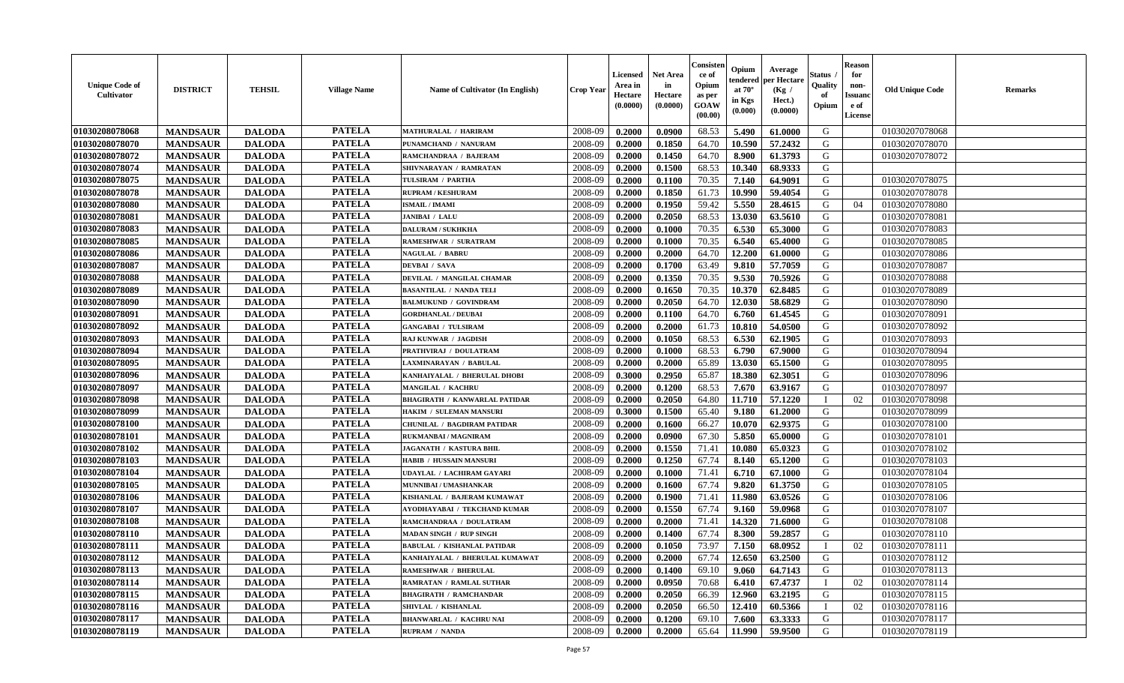| <b>Unique Code of</b><br>Cultivator | <b>DISTRICT</b> | <b>TEHSIL</b> | <b>Village Name</b> | <b>Name of Cultivator (In English)</b> | <b>Crop Year</b> | Licensed<br>Area in<br>Hectare<br>(0.0000) | Net Area<br>in<br>Hectare<br>(0.0000) | Consister<br>ce of<br>Opium<br>as per<br>GOAW<br>(00.00) | Opium<br>endered<br>at $70^{\circ}$<br>in Kgs<br>$(\mathbf{0.000})$ | Average<br>per Hectare<br>(Kg /<br>Hect.)<br>(0.0000) | Status<br>Quality<br>of<br>Opium | <b>Reason</b><br>for<br>non-<br><b>Issuano</b><br>e of<br>License | <b>Old Unique Code</b> | <b>Remarks</b> |
|-------------------------------------|-----------------|---------------|---------------------|----------------------------------------|------------------|--------------------------------------------|---------------------------------------|----------------------------------------------------------|---------------------------------------------------------------------|-------------------------------------------------------|----------------------------------|-------------------------------------------------------------------|------------------------|----------------|
| 01030208078068                      | <b>MANDSAUR</b> | <b>DALODA</b> | <b>PATELA</b>       | <b>MATHURALAL / HARIRAM</b>            | 2008-09          | 0.2000                                     | 0.0900                                | 68.53                                                    | 5.490                                                               | 61.0000                                               | G                                |                                                                   | 01030207078068         |                |
| 01030208078070                      | <b>MANDSAUR</b> | <b>DALODA</b> | <b>PATELA</b>       | PUNAMCHAND / NANURAM                   | 2008-09          | 0.2000                                     | 0.1850                                | 64.70                                                    | 10.590                                                              | 57.2432                                               | G                                |                                                                   | 01030207078070         |                |
| 01030208078072                      | <b>MANDSAUR</b> | <b>DALODA</b> | <b>PATELA</b>       | RAMCHANDRAA / BAJERAM                  | 2008-09          | 0.2000                                     | 0.1450                                | 64.70                                                    | 8.900                                                               | 61.3793                                               | G                                |                                                                   | 01030207078072         |                |
| 01030208078074                      | <b>MANDSAUR</b> | <b>DALODA</b> | <b>PATELA</b>       | SHIVNARAYAN / RAMRATAN                 | 2008-09          | 0.2000                                     | 0.1500                                | 68.53                                                    | 10.340                                                              | 68.9333                                               | G                                |                                                                   |                        |                |
| 01030208078075                      | <b>MANDSAUR</b> | <b>DALODA</b> | <b>PATELA</b>       | TULSIRAM / PARTHA                      | 2008-09          | 0.2000                                     | 0.1100                                | 70.35                                                    | 7.140                                                               | 64.9091                                               | G                                |                                                                   | 01030207078075         |                |
| 01030208078078                      | <b>MANDSAUR</b> | <b>DALODA</b> | <b>PATELA</b>       | <b>RUPRAM / KESHURAM</b>               | 2008-09          | 0.2000                                     | 0.1850                                | 61.73                                                    | 10.990                                                              | 59.4054                                               | G                                |                                                                   | 01030207078078         |                |
| 01030208078080                      | <b>MANDSAUR</b> | <b>DALODA</b> | <b>PATELA</b>       | <b>ISMAIL / IMAMI</b>                  | 2008-09          | 0.2000                                     | 0.1950                                | 59.42                                                    | 5.550                                                               | 28.4615                                               | G                                | 04                                                                | 01030207078080         |                |
| 01030208078081                      | <b>MANDSAUR</b> | <b>DALODA</b> | <b>PATELA</b>       | <b>JANIBAI / LALU</b>                  | 2008-09          | 0.2000                                     | 0.2050                                | 68.53                                                    | 13.030                                                              | 63.5610                                               | G                                |                                                                   | 01030207078081         |                |
| 01030208078083                      | <b>MANDSAUR</b> | <b>DALODA</b> | <b>PATELA</b>       | <b>DALURAM / SUKHKHA</b>               | 2008-09          | 0.2000                                     | 0.1000                                | 70.35                                                    | 6.530                                                               | 65.3000                                               | G                                |                                                                   | 01030207078083         |                |
| 01030208078085                      | <b>MANDSAUR</b> | <b>DALODA</b> | <b>PATELA</b>       | RAMESHWAR / SURATRAM                   | 2008-09          | 0.2000                                     | 0.1000                                | 70.35                                                    | 6.540                                                               | 65.4000                                               | G                                |                                                                   | 01030207078085         |                |
| 01030208078086                      | <b>MANDSAUR</b> | <b>DALODA</b> | <b>PATELA</b>       | <b>NAGULAL / BABRU</b>                 | 2008-09          | 0.2000                                     | 0.2000                                | 64.70                                                    | 12.200                                                              | 61.0000                                               | G                                |                                                                   | 01030207078086         |                |
| 01030208078087                      | <b>MANDSAUR</b> | <b>DALODA</b> | <b>PATELA</b>       | <b>DEVBAI</b> / SAVA                   | 2008-09          | 0.2000                                     | 0.1700                                | 63.49                                                    | 9.810                                                               | 57.7059                                               | G                                |                                                                   | 01030207078087         |                |
| 01030208078088                      | <b>MANDSAUR</b> | <b>DALODA</b> | <b>PATELA</b>       | DEVILAL / MANGILAL CHAMAR              | 2008-09          | 0.2000                                     | 0.1350                                | 70.35                                                    | 9.530                                                               | 70.5926                                               | G                                |                                                                   | 01030207078088         |                |
| 01030208078089                      | <b>MANDSAUR</b> | <b>DALODA</b> | <b>PATELA</b>       | <b>BASANTILAL / NANDA TELI</b>         | 2008-09          | 0.2000                                     | 0.1650                                | 70.35                                                    | 10.370                                                              | 62.8485                                               | G                                |                                                                   | 01030207078089         |                |
| 01030208078090                      | <b>MANDSAUR</b> | <b>DALODA</b> | <b>PATELA</b>       | <b>BALMUKUND / GOVINDRAM</b>           | 2008-09          | 0.2000                                     | 0.2050                                | 64.70                                                    | 12.030                                                              | 58.6829                                               | G                                |                                                                   | 01030207078090         |                |
| 01030208078091                      | <b>MANDSAUR</b> | <b>DALODA</b> | <b>PATELA</b>       | <b>GORDHANLAL / DEUBAI</b>             | 2008-09          | 0.2000                                     | 0.1100                                | 64.70                                                    | 6.760                                                               | 61.4545                                               | G                                |                                                                   | 01030207078091         |                |
| 01030208078092                      | <b>MANDSAUR</b> | <b>DALODA</b> | <b>PATELA</b>       | <b>GANGABAI / TULSIRAM</b>             | 2008-09          | 0.2000                                     | 0.2000                                | 61.73                                                    | 10.810                                                              | 54.0500                                               | G                                |                                                                   | 01030207078092         |                |
| 01030208078093                      | <b>MANDSAUR</b> | <b>DALODA</b> | <b>PATELA</b>       | <b>RAJ KUNWAR / JAGDISH</b>            | 2008-09          | 0.2000                                     | 0.1050                                | 68.53                                                    | 6.530                                                               | 62.1905                                               | G                                |                                                                   | 01030207078093         |                |
| 01030208078094                      | <b>MANDSAUR</b> | <b>DALODA</b> | <b>PATELA</b>       | PRATHVIRAJ / DOULATRAM                 | 2008-09          | 0.2000                                     | 0.1000                                | 68.53                                                    | 6.790                                                               | 67.9000                                               | G                                |                                                                   | 01030207078094         |                |
| 01030208078095                      | <b>MANDSAUR</b> | <b>DALODA</b> | <b>PATELA</b>       | LAXMINARAYAN / BABULAL                 | 2008-09          | 0.2000                                     | 0.2000                                | 65.89                                                    | 13.030                                                              | 65.1500                                               | G                                |                                                                   | 01030207078095         |                |
| 01030208078096                      | <b>MANDSAUR</b> | <b>DALODA</b> | <b>PATELA</b>       | KANHAIYALAL / BHERULAL DHOBI           | 2008-09          | 0.3000                                     | 0.2950                                | 65.87                                                    | 18.380                                                              | 62.3051                                               | G                                |                                                                   | 01030207078096         |                |
| 01030208078097                      | <b>MANDSAUR</b> | <b>DALODA</b> | <b>PATELA</b>       | <b>MANGILAL / KACHRU</b>               | 2008-09          | 0.2000                                     | 0.1200                                | 68.53                                                    | 7.670                                                               | 63.9167                                               | G                                |                                                                   | 01030207078097         |                |
| 01030208078098                      | <b>MANDSAUR</b> | <b>DALODA</b> | <b>PATELA</b>       | <b>BHAGIRATH / KANWARLAL PATIDAR</b>   | 2008-09          | 0.2000                                     | 0.2050                                | 64.80                                                    | 11.710                                                              | 57.1220                                               | - 1                              | 02                                                                | 01030207078098         |                |
| 01030208078099                      | <b>MANDSAUR</b> | <b>DALODA</b> | <b>PATELA</b>       | HAKIM / SULEMAN MANSURI                | 2008-09          | 0.3000                                     | 0.1500                                | 65.40                                                    | 9.180                                                               | 61.2000                                               | G                                |                                                                   | 01030207078099         |                |
| 01030208078100                      | <b>MANDSAUR</b> | <b>DALODA</b> | <b>PATELA</b>       | CHUNILAL / BAGDIRAM PATIDAR            | 2008-09          | 0.2000                                     | 0.1600                                | 66.27                                                    | 10.070                                                              | 62.9375                                               | G                                |                                                                   | 01030207078100         |                |
| 01030208078101                      | <b>MANDSAUR</b> | <b>DALODA</b> | <b>PATELA</b>       | <b>RUKMANBAI / MAGNIRAM</b>            | 2008-09          | 0.2000                                     | 0.0900                                | 67.30                                                    | 5.850                                                               | 65.0000                                               | G                                |                                                                   | 01030207078101         |                |
| 01030208078102                      | <b>MANDSAUR</b> | <b>DALODA</b> | <b>PATELA</b>       | JAGANATH / KASTURA BHIL                | 2008-09          | 0.2000                                     | 0.1550                                | 71.41                                                    | 10.080                                                              | 65.0323                                               | G                                |                                                                   | 01030207078102         |                |
| 01030208078103                      | <b>MANDSAUR</b> | <b>DALODA</b> | <b>PATELA</b>       | <b>HABIB / HUSSAIN MANSURI</b>         | 2008-09          | 0.2000                                     | 0.1250                                | 67.74                                                    | 8.140                                                               | 65.1200                                               | G                                |                                                                   | 01030207078103         |                |
| 01030208078104                      | <b>MANDSAUR</b> | <b>DALODA</b> | <b>PATELA</b>       | UDAYLAL / LACHIRAM GAYARI              | 2008-09          | 0.2000                                     | 0.1000                                | 71.41                                                    | 6.710                                                               | 67.1000                                               | G                                |                                                                   | 01030207078104         |                |
| 01030208078105                      | <b>MANDSAUR</b> | <b>DALODA</b> | <b>PATELA</b>       | <b>MUNNIBAI/UMASHANKAR</b>             | 2008-09          | 0.2000                                     | 0.1600                                | 67.74                                                    | 9.820                                                               | 61.3750                                               | G                                |                                                                   | 01030207078105         |                |
| 01030208078106                      | <b>MANDSAUR</b> | <b>DALODA</b> | <b>PATELA</b>       | KISHANLAL / BAJERAM KUMAWAT            | 2008-09          | 0.2000                                     | 0.1900                                | 71.41                                                    | 11.980                                                              | 63.0526                                               | G                                |                                                                   | 01030207078106         |                |
| 01030208078107                      | <b>MANDSAUR</b> | <b>DALODA</b> | <b>PATELA</b>       | AYODHAYABAI / TEKCHAND KUMAR           | 2008-09          | 0.2000                                     | 0.1550                                | 67.74                                                    | 9.160                                                               | 59.0968                                               | G                                |                                                                   | 01030207078107         |                |
| 01030208078108                      | <b>MANDSAUR</b> | <b>DALODA</b> | <b>PATELA</b>       | RAMCHANDRAA / DOULATRAM                | 2008-09          | 0.2000                                     | 0.2000                                | 71.41                                                    | 14.320                                                              | 71.6000                                               | G                                |                                                                   | 01030207078108         |                |
| 01030208078110                      | <b>MANDSAUR</b> | <b>DALODA</b> | <b>PATELA</b>       | <b>MADAN SINGH / RUP SINGH</b>         | 2008-09          | 0.2000                                     | 0.1400                                | 67.74                                                    | 8.300                                                               | 59.2857                                               | G                                |                                                                   | 01030207078110         |                |
| 01030208078111                      | <b>MANDSAUR</b> | <b>DALODA</b> | <b>PATELA</b>       | <b>BABULAL / KISHANLAL PATIDAR</b>     | 2008-09          | 0.2000                                     | 0.1050                                | 73.97                                                    | 7.150                                                               | 68.0952                                               |                                  | 02                                                                | 01030207078111         |                |
| 01030208078112                      | <b>MANDSAUR</b> | <b>DALODA</b> | <b>PATELA</b>       | KANHAIYALAL / BHERULAL KUMAWAT         | 2008-09          | 0.2000                                     | 0.2000                                | 67.74                                                    |                                                                     | $12.650 \mid 63.2500$                                 | G                                |                                                                   | 01030207078112         |                |
| 01030208078113                      | <b>MANDSAUR</b> | <b>DALODA</b> | <b>PATELA</b>       | <b>RAMESHWAR / BHERULAL</b>            | 2008-09          | 0.2000                                     | 0.1400                                | 69.10                                                    | 9.060                                                               | 64.7143                                               | G                                |                                                                   | 01030207078113         |                |
| 01030208078114                      | <b>MANDSAUR</b> | <b>DALODA</b> | <b>PATELA</b>       | <b>RAMRATAN / RAMLAL SUTHAR</b>        | 2008-09          | 0.2000                                     | 0.0950                                | 70.68                                                    | 6.410                                                               | 67.4737                                               |                                  | 02                                                                | 01030207078114         |                |
| 01030208078115                      | <b>MANDSAUR</b> | <b>DALODA</b> | <b>PATELA</b>       | <b>BHAGIRATH / RAMCHANDAR</b>          | 2008-09          | 0.2000                                     | 0.2050                                | 66.39                                                    | 12.960                                                              | 63.2195                                               | G                                |                                                                   | 01030207078115         |                |
| 01030208078116                      | <b>MANDSAUR</b> | <b>DALODA</b> | <b>PATELA</b>       | SHIVLAL / KISHANLAL                    | 2008-09          | 0.2000                                     | 0.2050                                | 66.50                                                    | 12.410                                                              | 60.5366                                               |                                  | 02                                                                | 01030207078116         |                |
| 01030208078117                      | <b>MANDSAUR</b> | <b>DALODA</b> | <b>PATELA</b>       | <b>BHANWARLAL / KACHRU NAI</b>         | 2008-09          | 0.2000                                     | 0.1200                                | 69.10                                                    | 7.600                                                               | 63.3333                                               | G                                |                                                                   | 01030207078117         |                |
| 01030208078119                      | <b>MANDSAUR</b> | <b>DALODA</b> | <b>PATELA</b>       | <b>RUPRAM / NANDA</b>                  | 2008-09          | 0.2000                                     | 0.2000                                | 65.64                                                    | 11.990                                                              | 59.9500                                               | G                                |                                                                   | 01030207078119         |                |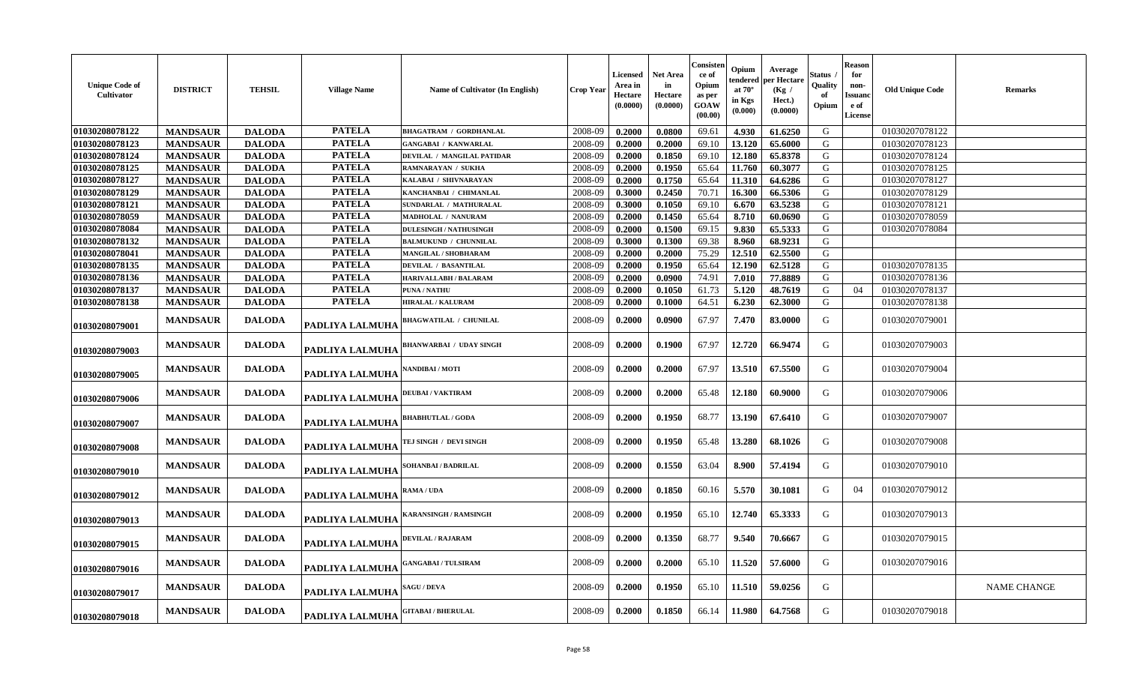| <b>Unique Code of</b><br>Cultivator | <b>DISTRICT</b> | <b>TEHSIL</b> | <b>Village Name</b>    | Name of Cultivator (In English) | <b>Crop Year</b> | <b>Licensed</b><br>Area in<br>Hectare<br>(0.0000) | <b>Net Area</b><br>in<br>Hectare<br>(0.0000) | Consister<br>ce of<br>Opium<br>as per<br><b>GOAW</b><br>(00.00) | Opium<br>endered<br>at $70^\circ$<br>in Kgs<br>(0.000) | Average<br>per Hectare<br>(Kg /<br>Hect.)<br>(0.0000) | Status<br>Quality<br>of<br>Opium | ${\bf Reason}$<br>for<br>non-<br><b>Issuanc</b><br>e of<br>License | <b>Old Unique Code</b> | Remarks            |
|-------------------------------------|-----------------|---------------|------------------------|---------------------------------|------------------|---------------------------------------------------|----------------------------------------------|-----------------------------------------------------------------|--------------------------------------------------------|-------------------------------------------------------|----------------------------------|--------------------------------------------------------------------|------------------------|--------------------|
| 01030208078122                      | <b>MANDSAUR</b> | <b>DALODA</b> | <b>PATELA</b>          | <b>BHAGATRAM / GORDHANLAL</b>   | 2008-09          | 0.2000                                            | 0.0800                                       | 69.61                                                           | 4.930                                                  | 61.6250                                               | G                                |                                                                    | 01030207078122         |                    |
| 01030208078123                      | <b>MANDSAUR</b> | <b>DALODA</b> | <b>PATELA</b>          | <b>GANGABAI / KANWARLAL</b>     | 2008-09          | 0.2000                                            | 0.2000                                       | 69.10                                                           | 13.120                                                 | 65.6000                                               | ${\bf G}$                        |                                                                    | 01030207078123         |                    |
| 01030208078124                      | <b>MANDSAUR</b> | <b>DALODA</b> | <b>PATELA</b>          | DEVILAL / MANGILAL PATIDAR      | 2008-09          | 0.2000                                            | 0.1850                                       | 69.10                                                           | 12.180                                                 | 65.8378                                               | G                                |                                                                    | 01030207078124         |                    |
| 01030208078125                      | <b>MANDSAUR</b> | <b>DALODA</b> | <b>PATELA</b>          | RAMNARAYAN / SUKHA              | 2008-09          | 0.2000                                            | 0.1950                                       | 65.64                                                           | 11.760                                                 | 60.3077                                               | G                                |                                                                    | 01030207078125         |                    |
| 01030208078127                      | <b>MANDSAUR</b> | <b>DALODA</b> | <b>PATELA</b>          | KALABAI / SHIVNARAYAN           | 2008-09          | 0.2000                                            | 0.1750                                       | 65.64                                                           | 11.310                                                 | 64.6286                                               | G                                |                                                                    | 01030207078127         |                    |
| 01030208078129                      | <b>MANDSAUR</b> | <b>DALODA</b> | <b>PATELA</b>          | KANCHANBAI / CHIMANLAL          | 2008-09          | 0.3000                                            | 0.2450                                       | 70.71                                                           | 16.300                                                 | 66.5306                                               | G                                |                                                                    | 01030207078129         |                    |
| 01030208078121                      | <b>MANDSAUR</b> | <b>DALODA</b> | <b>PATELA</b>          | SUNDARLAL / MATHURALAL          | 2008-09          | 0.3000                                            | 0.1050                                       | 69.10                                                           | 6.670                                                  | 63.5238                                               | ${\bf G}$                        |                                                                    | 01030207078121         |                    |
| 01030208078059                      | <b>MANDSAUR</b> | <b>DALODA</b> | <b>PATELA</b>          | MADHOLAL / NANURAM              | 2008-09          | 0.2000                                            | 0.1450                                       | 65.64                                                           | 8.710                                                  | 60.0690                                               | G                                |                                                                    | 01030207078059         |                    |
| 01030208078084                      | <b>MANDSAUR</b> | <b>DALODA</b> | <b>PATELA</b>          | <b>DULESINGH / NATHUSINGH</b>   | 2008-09          | 0.2000                                            | 0.1500                                       | 69.15                                                           | 9.830                                                  | 65.5333                                               | G                                |                                                                    | 01030207078084         |                    |
| 01030208078132                      | <b>MANDSAUR</b> | <b>DALODA</b> | <b>PATELA</b>          | <b>BALMUKUND / CHUNNILAL</b>    | 2008-09          | 0.3000                                            | 0.1300                                       | 69.38                                                           | 8.960                                                  | 68.9231                                               | G                                |                                                                    |                        |                    |
| 01030208078041                      | <b>MANDSAUR</b> | <b>DALODA</b> | <b>PATELA</b>          | MANGILAL / SHOBHARAM            | 2008-09          | 0.2000                                            | 0.2000                                       | 75.29                                                           | 12.510                                                 | 62.5500                                               | G                                |                                                                    |                        |                    |
| 01030208078135                      | <b>MANDSAUR</b> | <b>DALODA</b> | <b>PATELA</b>          | <b>DEVILAL / BASANTILAL</b>     | 2008-09          | 0.2000                                            | 0.1950                                       | 65.64                                                           | 12.190                                                 | 62.5128                                               | G                                |                                                                    | 01030207078135         |                    |
| 01030208078136                      | <b>MANDSAUR</b> | <b>DALODA</b> | <b>PATELA</b>          | <b>HARIVALLABH / BALARAM</b>    | 2008-09          | 0.2000                                            | 0.0900                                       | 74.91                                                           | 7.010                                                  | 77.8889                                               | G                                |                                                                    | 01030207078136         |                    |
| 01030208078137                      | <b>MANDSAUR</b> | <b>DALODA</b> | <b>PATELA</b>          | <b>PUNA / NATHU</b>             | 2008-09          | 0.2000                                            | 0.1050                                       | 61.73                                                           | 5.120                                                  | 48.7619                                               | G                                | 04                                                                 | 01030207078137         |                    |
| 01030208078138                      | <b>MANDSAUR</b> | <b>DALODA</b> | <b>PATELA</b>          | <b>HIRALAL / KALURAM</b>        | 2008-09          | 0.2000                                            | 0.1000                                       | 64.51                                                           | 6.230                                                  | 62.3000                                               | G                                |                                                                    | 01030207078138         |                    |
| 01030208079001                      | <b>MANDSAUR</b> | <b>DALODA</b> | PADLIYA LALMUHA        | <b>BHAGWATILAL / CHUNILAL</b>   | 2008-09          | 0.2000                                            | 0.0900                                       | 67.97                                                           | 7.470                                                  | 83.0000                                               | G                                |                                                                    | 01030207079001         |                    |
| 01030208079003                      | <b>MANDSAUR</b> | <b>DALODA</b> | PADLIYA LALMUHA        | <b>BHANWARBAI / UDAY SINGH</b>  | 2008-09          | 0.2000                                            | 0.1900                                       | 67.97                                                           | 12.720                                                 | 66.9474                                               | G                                |                                                                    | 01030207079003         |                    |
| 01030208079005                      | <b>MANDSAUR</b> | <b>DALODA</b> | PADLIYA LALMUHA        | <b>NANDIBAI / MOTI</b>          | 2008-09          | 0.2000                                            | 0.2000                                       | 67.97                                                           | 13.510                                                 | 67.5500                                               | G                                |                                                                    | 01030207079004         |                    |
| 01030208079006                      | <b>MANDSAUR</b> | <b>DALODA</b> | PADLIYA LALMUHA        | <b>DEUBAI/VAKTIRAM</b>          | 2008-09          | 0.2000                                            | 0.2000                                       | 65.48                                                           | 12.180                                                 | 60.9000                                               | G                                |                                                                    | 01030207079006         |                    |
| 01030208079007                      | <b>MANDSAUR</b> | <b>DALODA</b> | PADLIYA LALMUHA        | <b>BHABHUTLAL / GODA</b>        | 2008-09          | 0.2000                                            | 0.1950                                       | 68.77                                                           | 13.190                                                 | 67.6410                                               | G                                |                                                                    | 01030207079007         |                    |
| 01030208079008                      | <b>MANDSAUR</b> | <b>DALODA</b> | <b>PADLIYA LALMUHA</b> | TEJ SINGH / DEVI SINGH          | 2008-09          | 0.2000                                            | 0.1950                                       | 65.48                                                           | 13.280                                                 | 68.1026                                               | G                                |                                                                    | 01030207079008         |                    |
| 01030208079010                      | <b>MANDSAUR</b> | <b>DALODA</b> | PADLIYA LALMUHA        | SOHANBAI / BADRILAL             | 2008-09          | 0.2000                                            | 0.1550                                       | 63.04                                                           | 8.900                                                  | 57.4194                                               | G                                |                                                                    | 01030207079010         |                    |
| 01030208079012                      | <b>MANDSAUR</b> | <b>DALODA</b> | PADLIYA LALMUHA        | RAMA / UDA                      | 2008-09          | 0.2000                                            | 0.1850                                       | 60.16                                                           | 5.570                                                  | 30.1081                                               | G                                | 04                                                                 | 01030207079012         |                    |
| 01030208079013                      | <b>MANDSAUR</b> | <b>DALODA</b> | PADLIYA LALMUHA        | <b>KARANSINGH / RAMSINGH</b>    | 2008-09          | 0.2000                                            | 0.1950                                       | 65.10                                                           | 12.740                                                 | 65.3333                                               | G                                |                                                                    | 01030207079013         |                    |
| 01030208079015                      | <b>MANDSAUR</b> | <b>DALODA</b> | PADLIYA LALMUHA        | <b>DEVILAL / RAJARAM</b>        | 2008-09          | 0.2000                                            | 0.1350                                       | 68.77                                                           | 9.540                                                  | 70.6667                                               | G                                |                                                                    | 01030207079015         |                    |
| 01030208079016                      | <b>MANDSAUR</b> | <b>DALODA</b> | <b>PADLIYA LALMUHA</b> | <b>GANGABAI / TULSIRAM</b>      | 2008-09          | 0.2000                                            | 0.2000                                       | 65.10                                                           | 11.520                                                 | 57.6000                                               | G                                |                                                                    | 01030207079016         |                    |
| 01030208079017                      | <b>MANDSAUR</b> | <b>DALODA</b> | PADLIYA LALMUHA        | <b>SAGU / DEVA</b>              | 2008-09          | 0.2000                                            | 0.1950                                       | 65.10                                                           | 11.510                                                 | 59.0256                                               | G                                |                                                                    |                        | <b>NAME CHANGE</b> |
| 01030208079018                      | <b>MANDSAUR</b> | <b>DALODA</b> | PADLIYA LALMUHA        | <b>GITABAI/BHERULAL</b>         | 2008-09          | 0.2000                                            | 0.1850                                       | 66.14                                                           | 11.980                                                 | 64.7568                                               | G                                |                                                                    | 01030207079018         |                    |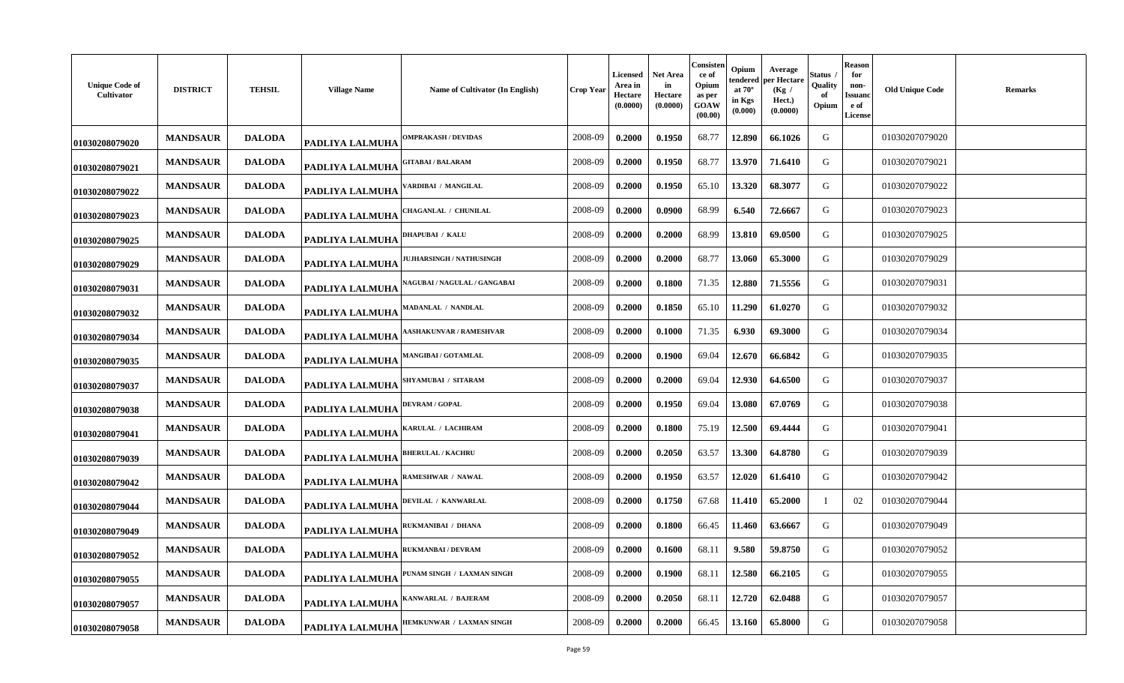| <b>Unique Code of</b><br><b>Cultivator</b> | <b>DISTRICT</b> | <b>TEHSIL</b> | <b>Village Name</b>    | Name of Cultivator (In English) | <b>Crop Year</b> | <b>Licensed</b><br>Area in<br>Hectare<br>(0.0000) | <b>Net Area</b><br>in<br>Hectare<br>(0.0000) | Consister<br>ce of<br>Opium<br>as per<br><b>GOAW</b><br>(00.00) | Opium<br>endered<br>at $70^\circ$<br>in Kgs<br>(0.000) | Average<br>oer Hectare<br>(Kg /<br>Hect.)<br>(0.0000) | Status<br>Quality<br>of<br>Opium | <b>Reason</b><br>for<br>non-<br>Issuano<br>e of<br>License | <b>Old Unique Code</b> | Remarks |
|--------------------------------------------|-----------------|---------------|------------------------|---------------------------------|------------------|---------------------------------------------------|----------------------------------------------|-----------------------------------------------------------------|--------------------------------------------------------|-------------------------------------------------------|----------------------------------|------------------------------------------------------------|------------------------|---------|
| 01030208079020                             | <b>MANDSAUR</b> | <b>DALODA</b> | <b>PADLIYA LALMUHA</b> | <b>OMPRAKASH / DEVIDAS</b>      | 2008-09          | 0.2000                                            | 0.1950                                       | 68.77                                                           | 12.890                                                 | 66.1026                                               | G                                |                                                            | 01030207079020         |         |
| 01030208079021                             | <b>MANDSAUR</b> | <b>DALODA</b> | <b>PADLIYA LALMUHA</b> | <b>GITABAI/BALARAM</b>          | 2008-09          | 0.2000                                            | 0.1950                                       | 68.77                                                           | 13.970                                                 | 71.6410                                               | G                                |                                                            | 01030207079021         |         |
| 01030208079022                             | <b>MANDSAUR</b> | <b>DALODA</b> | PADLIYA LALMUHA        | VARDIBAI / MANGILAL             | 2008-09          | 0.2000                                            | 0.1950                                       | 65.10                                                           | 13.320                                                 | 68.3077                                               | G                                |                                                            | 01030207079022         |         |
| 01030208079023                             | <b>MANDSAUR</b> | <b>DALODA</b> | PADLIYA LALMUHA        | <b>CHAGANLAL / CHUNILAL</b>     | 2008-09          | 0.2000                                            | 0.0900                                       | 68.99                                                           | 6.540                                                  | 72.6667                                               | G                                |                                                            | 01030207079023         |         |
| 01030208079025                             | <b>MANDSAUR</b> | <b>DALODA</b> | PADLIYA LALMUHA        | <b>DHAPUBAI / KALU</b>          | 2008-09          | 0.2000                                            | 0.2000                                       | 68.99                                                           | 13.810                                                 | 69.0500                                               | G                                |                                                            | 01030207079025         |         |
| 01030208079029                             | <b>MANDSAUR</b> | <b>DALODA</b> | PADLIYA LALMUHA        | <b>IUJHARSINGH / NATHUSINGH</b> | 2008-09          | 0.2000                                            | 0.2000                                       | 68.77                                                           | 13.060                                                 | 65.3000                                               | G                                |                                                            | 01030207079029         |         |
| 01030208079031                             | <b>MANDSAUR</b> | <b>DALODA</b> | PADLIYA LALMUHA        | NAGUBAI / NAGULAL / GANGABAI    | 2008-09          | 0.2000                                            | 0.1800                                       | 71.35                                                           | 12.880                                                 | 71.5556                                               | G                                |                                                            | 01030207079031         |         |
| 01030208079032                             | <b>MANDSAUR</b> | <b>DALODA</b> | PADLIYA LALMUHA        | <b>MADANLAL / NANDLAL</b>       | 2008-09          | 0.2000                                            | 0.1850                                       | 65.10                                                           | 11.290                                                 | 61.0270                                               | G                                |                                                            | 01030207079032         |         |
| 01030208079034                             | <b>MANDSAUR</b> | <b>DALODA</b> | PADLIYA LALMUHA        | <b>AASHAKUNVAR / RAMESHVAR</b>  | 2008-09          | 0.2000                                            | 0.1000                                       | 71.35                                                           | 6.930                                                  | 69.3000                                               | G                                |                                                            | 01030207079034         |         |
| 01030208079035                             | <b>MANDSAUR</b> | <b>DALODA</b> | <b>PADLIYA LALMUHA</b> | <b>MANGIBAI / GOTAMLAL</b>      | 2008-09          | 0.2000                                            | 0.1900                                       | 69.04                                                           | 12.670                                                 | 66.6842                                               | G                                |                                                            | 01030207079035         |         |
| 01030208079037                             | <b>MANDSAUR</b> | <b>DALODA</b> | PADLIYA LALMUHA        | SHYAMUBAI / SITARAM             | 2008-09          | 0.2000                                            | 0.2000                                       | 69.04                                                           | 12.930                                                 | 64.6500                                               | G                                |                                                            | 01030207079037         |         |
| 01030208079038                             | <b>MANDSAUR</b> | <b>DALODA</b> | <b>PADLIYA LALMUHA</b> | <b>DEVRAM / GOPAL</b>           | 2008-09          | 0.2000                                            | 0.1950                                       | 69.04                                                           | 13.080                                                 | 67.0769                                               | G                                |                                                            | 01030207079038         |         |
| 01030208079041                             | <b>MANDSAUR</b> | <b>DALODA</b> | PADLIYA LALMUHA        | KARULAL / LACHIRAM              | 2008-09          | 0.2000                                            | 0.1800                                       | 75.19                                                           | 12.500                                                 | 69.4444                                               | G                                |                                                            | 01030207079041         |         |
| 01030208079039                             | <b>MANDSAUR</b> | <b>DALODA</b> | PADLIYA LALMUHA        | <b>BHERULAL / KACHRU</b>        | 2008-09          | 0.2000                                            | 0.2050                                       | 63.57                                                           | 13.300                                                 | 64.8780                                               | G                                |                                                            | 01030207079039         |         |
| 01030208079042                             | <b>MANDSAUR</b> | <b>DALODA</b> | PADLIYA LALMUHA        | RAMESHWAR / NAWAL               | 2008-09          | 0.2000                                            | 0.1950                                       | 63.57                                                           | 12.020                                                 | 61.6410                                               | G                                |                                                            | 01030207079042         |         |
| 01030208079044                             | <b>MANDSAUR</b> | <b>DALODA</b> | PADLIYA LALMUHA        | DEVILAL / KANWARLAL             | 2008-09          | 0.2000                                            | 0.1750                                       | 67.68                                                           | 11.410                                                 | 65.2000                                               | -1                               | 02                                                         | 01030207079044         |         |
| 01030208079049                             | <b>MANDSAUR</b> | <b>DALODA</b> | PADLIYA LALMUHA        | RUKMANIBAI / DHANA              | 2008-09          | 0.2000                                            | 0.1800                                       | 66.45                                                           | 11.460                                                 | 63.6667                                               | G                                |                                                            | 01030207079049         |         |
| 01030208079052                             | <b>MANDSAUR</b> | <b>DALODA</b> | PADLIYA LALMUHA        | <b>RUKMANBAI / DEVRAM</b>       | 2008-09          | 0.2000                                            | 0.1600                                       | 68.11                                                           | 9.580                                                  | 59.8750                                               | G                                |                                                            | 01030207079052         |         |
| 01030208079055                             | <b>MANDSAUR</b> | <b>DALODA</b> | <b>PADLIYA LALMUHA</b> | PUNAM SINGH / LAXMAN SINGH      | 2008-09          | 0.2000                                            | 0.1900                                       | 68.11                                                           | 12.580                                                 | 66.2105                                               | G                                |                                                            | 01030207079055         |         |
| 01030208079057                             | <b>MANDSAUR</b> | <b>DALODA</b> | PADLIYA LALMUHA        | KANWARLAL / BAJERAM             | 2008-09          | 0.2000                                            | 0.2050                                       | 68.11                                                           | 12.720                                                 | 62.0488                                               | G                                |                                                            | 01030207079057         |         |
| 01030208079058                             | <b>MANDSAUR</b> | <b>DALODA</b> | PADLIYA LALMUHA        | HEMKUNWAR / LAXMAN SINGH        | 2008-09          | 0.2000                                            | 0.2000                                       | 66.45                                                           | 13.160                                                 | 65.8000                                               | G                                |                                                            | 01030207079058         |         |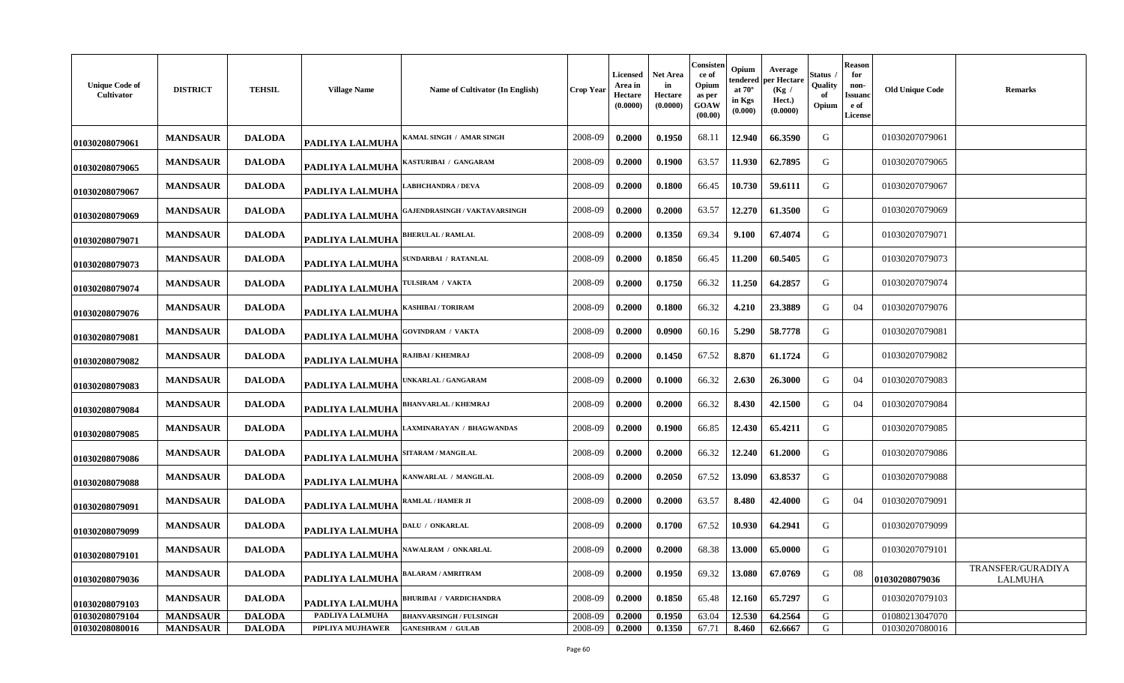| <b>Unique Code of</b><br><b>Cultivator</b> | <b>DISTRICT</b>                    | <b>TEHSIL</b>                  | <b>Village Name</b>                 | Name of Cultivator (In English)                            | <b>Crop Year</b>   | <b>Licensed</b><br>Area in<br>Hectare<br>(0.0000) | <b>Net Area</b><br>in<br>Hectare<br>(0.0000) | Consister<br>ce of<br>Opium<br>as per<br><b>GOAW</b><br>(00.00) | Opium<br>endered<br>at $70^\circ$<br>in Kgs<br>(0.000) | Average<br>oer Hectare<br>(Kg /<br>Hect.)<br>(0.0000) | Status<br>Quality<br>of<br>Opium | <b>Reason</b><br>for<br>non-<br>Issuano<br>e of<br><b>License</b> | <b>Old Unique Code</b>           | Remarks                             |
|--------------------------------------------|------------------------------------|--------------------------------|-------------------------------------|------------------------------------------------------------|--------------------|---------------------------------------------------|----------------------------------------------|-----------------------------------------------------------------|--------------------------------------------------------|-------------------------------------------------------|----------------------------------|-------------------------------------------------------------------|----------------------------------|-------------------------------------|
| 01030208079061                             | <b>MANDSAUR</b>                    | <b>DALODA</b>                  | <b>PADLIYA LALMUHA</b>              | KAMAL SINGH / AMAR SINGH                                   | 2008-09            | 0.2000                                            | 0.1950                                       | 68.11                                                           | 12.940                                                 | 66.3590                                               | G                                |                                                                   | 01030207079061                   |                                     |
| 01030208079065                             | <b>MANDSAUR</b>                    | <b>DALODA</b>                  | <b>PADLIYA LALMUHA</b>              | KASTURIBAI / GANGARAM                                      | 2008-09            | 0.2000                                            | 0.1900                                       | 63.57                                                           | 11.930                                                 | 62.7895                                               | G                                |                                                                   | 01030207079065                   |                                     |
| 01030208079067                             | <b>MANDSAUR</b>                    | <b>DALODA</b>                  | PADLIYA LALMUHA                     | <b>ABHCHANDRA / DEVA</b>                                   | 2008-09            | 0.2000                                            | 0.1800                                       | 66.45                                                           | 10.730                                                 | 59.6111                                               | G                                |                                                                   | 01030207079067                   |                                     |
| 01030208079069                             | <b>MANDSAUR</b>                    | <b>DALODA</b>                  | PADLIYA LALMUHA                     | GAJENDRASINGH / VAKTAVARSINGH                              | 2008-09            | 0.2000                                            | 0.2000                                       | 63.57                                                           | 12.270                                                 | 61.3500                                               | G                                |                                                                   | 01030207079069                   |                                     |
| 01030208079071                             | <b>MANDSAUR</b>                    | <b>DALODA</b>                  | PADLIYA LALMUHA                     | <b>BHERULAL / RAMLAL</b>                                   | 2008-09            | 0.2000                                            | 0.1350                                       | 69.34                                                           | 9.100                                                  | 67.4074                                               | G                                |                                                                   | 01030207079071                   |                                     |
| 01030208079073                             | <b>MANDSAUR</b>                    | <b>DALODA</b>                  | PADLIYA LALMUHA                     | SUNDARBAI / RATANLAL                                       | 2008-09            | 0.2000                                            | 0.1850                                       | 66.45                                                           | 11.200                                                 | 60.5405                                               | G                                |                                                                   | 01030207079073                   |                                     |
| 01030208079074                             | <b>MANDSAUR</b>                    | <b>DALODA</b>                  | PADLIYA LALMUHA                     | TULSIRAM / VAKTA                                           | 2008-09            | 0.2000                                            | 0.1750                                       | 66.32                                                           | 11.250                                                 | 64.2857                                               | G                                |                                                                   | 01030207079074                   |                                     |
| 01030208079076                             | <b>MANDSAUR</b>                    | <b>DALODA</b>                  | PADLIYA LALMUHA                     | KASHIBAI / TORIRAM                                         | 2008-09            | 0.2000                                            | 0.1800                                       | 66.32                                                           | 4.210                                                  | 23.3889                                               | G                                | 04                                                                | 01030207079076                   |                                     |
| 01030208079081                             | <b>MANDSAUR</b>                    | <b>DALODA</b>                  | PADLIYA LALMUHA                     | <b>GOVINDRAM / VAKTA</b>                                   | 2008-09            | 0.2000                                            | 0.0900                                       | 60.16                                                           | 5.290                                                  | 58,7778                                               | G                                |                                                                   | 01030207079081                   |                                     |
| 01030208079082                             | <b>MANDSAUR</b>                    | <b>DALODA</b>                  | <b>PADLIYA LALMUHA</b>              | RAJIBAI / KHEMRAJ                                          | 2008-09            | 0.2000                                            | 0.1450                                       | 67.52                                                           | 8.870                                                  | 61.1724                                               | G                                |                                                                   | 01030207079082                   |                                     |
| 01030208079083                             | <b>MANDSAUR</b>                    | <b>DALODA</b>                  | PADLIYA LALMUHA                     | <b>JNKARLAL / GANGARAM</b>                                 | 2008-09            | 0.2000                                            | 0.1000                                       | 66.32                                                           | 2.630                                                  | 26.3000                                               | G                                | 04                                                                | 01030207079083                   |                                     |
| 01030208079084                             | <b>MANDSAUR</b>                    | <b>DALODA</b>                  | <b>PADLIYA LALMUHA</b>              | BHANVARLAL / KHEMRAJ                                       | 2008-09            | 0.2000                                            | 0.2000                                       | 66.32                                                           | 8.430                                                  | 42.1500                                               | G                                | 04                                                                | 01030207079084                   |                                     |
| 01030208079085                             | <b>MANDSAUR</b>                    | <b>DALODA</b>                  | PADLIYA LALMUHA                     | LAXMINARAYAN / BHAGWANDAS                                  | 2008-09            | 0.2000                                            | 0.1900                                       | 66.85                                                           | 12.430                                                 | 65.4211                                               | G                                |                                                                   | 01030207079085                   |                                     |
| 01030208079086                             | <b>MANDSAUR</b>                    | <b>DALODA</b>                  | PADLIYA LALMUHA                     | SITARAM / MANGILAL                                         | 2008-09            | 0.2000                                            | 0.2000                                       | 66.32                                                           | 12.240                                                 | 61.2000                                               | G                                |                                                                   | 01030207079086                   |                                     |
| 01030208079088                             | <b>MANDSAUR</b>                    | <b>DALODA</b>                  | PADLIYA LALMUHA                     | KANWARLAL / MANGILAL                                       | 2008-09            | 0.2000                                            | 0.2050                                       | 67.52                                                           | 13.090                                                 | 63.8537                                               | G                                |                                                                   | 01030207079088                   |                                     |
| 01030208079091                             | <b>MANDSAUR</b>                    | <b>DALODA</b>                  | PADLIYA LALMUHA                     | RAMLAL / HAMER JI                                          | 2008-09            | 0.2000                                            | 0.2000                                       | 63.57                                                           | 8.480                                                  | 42.4000                                               | G                                | 04                                                                | 01030207079091                   |                                     |
| 01030208079099                             | <b>MANDSAUR</b>                    | <b>DALODA</b>                  | <b>PADLIYA LALMUHA</b>              | DALU / ONKARLAL                                            | 2008-09            | 0.2000                                            | 0.1700                                       | 67.52                                                           | 10.930                                                 | 64.2941                                               | G                                |                                                                   | 01030207079099                   |                                     |
| 01030208079101                             | <b>MANDSAUR</b>                    | <b>DALODA</b>                  | PADLIYA LALMUHA                     | <b>NAWALRAM / ONKARLAL</b>                                 | 2008-09            | 0.2000                                            | 0.2000                                       | 68.38                                                           | 13.000                                                 | 65.0000                                               | G                                |                                                                   | 01030207079101                   |                                     |
| 01030208079036                             | <b>MANDSAUR</b>                    | <b>DALODA</b>                  | PADLIYA LALMUHA                     | BALARAM / AMRITRAM                                         | 2008-09            | 0.2000                                            | 0.1950                                       | 69.32                                                           | 13.080                                                 | 67.0769                                               | G                                | 08                                                                | 01030208079036                   | TRANSFER/GURADIYA<br><b>LALMUHA</b> |
| 01030208079103                             | <b>MANDSAUR</b>                    | <b>DALODA</b>                  | PADLIYA LALMUHA                     | <b>BHURIBAI / VARDICHANDRA</b>                             | 2008-09            | 0.2000                                            | 0.1850                                       | 65.48                                                           | 12.160                                                 | 65.7297                                               | G                                |                                                                   | 01030207079103                   |                                     |
| 01030208079104<br>01030208080016           | <b>MANDSAUR</b><br><b>MANDSAUR</b> | <b>DALODA</b><br><b>DALODA</b> | PADLIYA LALMUHA<br>PIPLIYA MUJHAWER | <b>BHANVARSINGH / FULSINGH</b><br><b>GANESHRAM / GULAB</b> | 2008-09<br>2008-09 | 0.2000<br>0.2000                                  | 0.1950<br>0.1350                             | 63.04<br>67.71                                                  | 12.530<br>8.460                                        | 64.2564<br>62.6667                                    | G<br>G                           |                                                                   | 01080213047070<br>01030207080016 |                                     |
|                                            |                                    |                                |                                     |                                                            |                    |                                                   |                                              |                                                                 |                                                        |                                                       |                                  |                                                                   |                                  |                                     |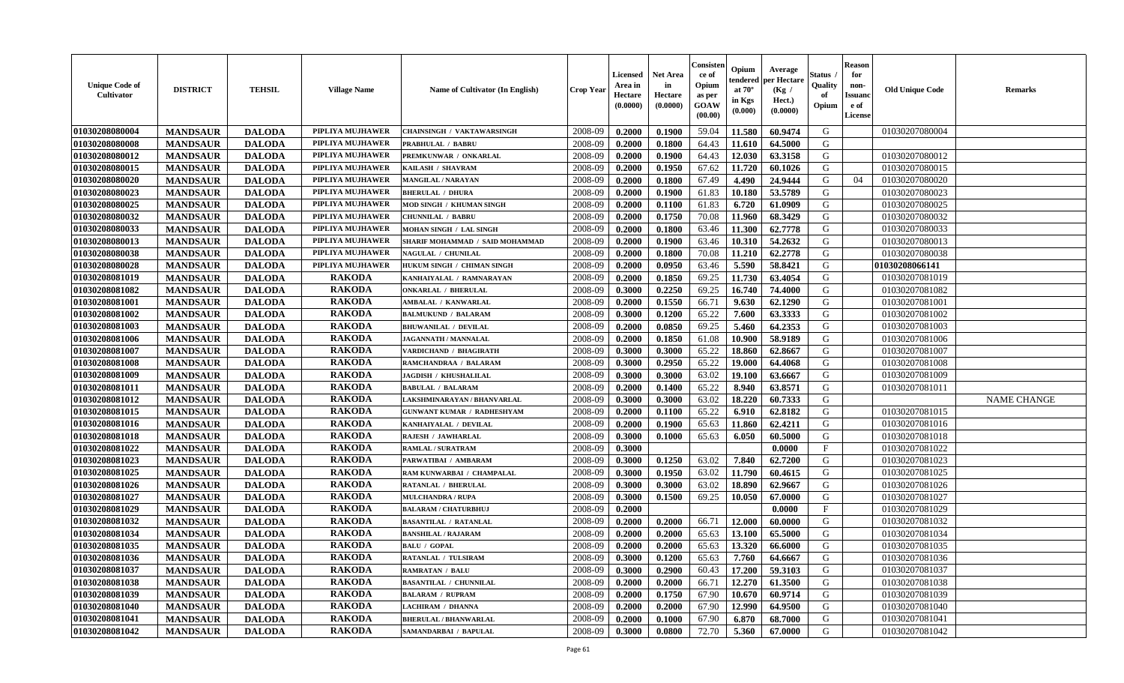| <b>Unique Code of</b><br><b>Cultivator</b> | <b>DISTRICT</b> | <b>TEHSIL</b> | <b>Village Name</b> | Name of Cultivator (In English)   | <b>Crop Year</b> | Licensed<br>Area in<br>Hectare<br>(0.0000) | Net Area<br>in<br>Hectare<br>(0.0000) | Consisteı<br>ce of<br>Opium<br>as per<br>GOAW<br>(00.00) | Opium<br>endered<br>at $70^\circ$<br>in Kgs<br>(0.000) | Average<br>per Hectare<br>(Kg /<br>Hect.)<br>(0.0000) | Status<br>Quality<br>of<br>Opium | <b>Reason</b><br>for<br>non-<br>Issuano<br>e of<br>License | <b>Old Unique Code</b> | Remarks            |
|--------------------------------------------|-----------------|---------------|---------------------|-----------------------------------|------------------|--------------------------------------------|---------------------------------------|----------------------------------------------------------|--------------------------------------------------------|-------------------------------------------------------|----------------------------------|------------------------------------------------------------|------------------------|--------------------|
| 01030208080004                             | <b>MANDSAUR</b> | <b>DALODA</b> | PIPLIYA MUJHAWER    | <b>CHAINSINGH / VAKTAWARSINGH</b> | 2008-09          | 0.2000                                     | 0.1900                                | 59.04                                                    | 11.580                                                 | 60.9474                                               | G                                |                                                            | 01030207080004         |                    |
| 01030208080008                             | <b>MANDSAUR</b> | <b>DALODA</b> | PIPLIYA MUJHAWER    | PRABHULAL / BABRU                 | 2008-09          | 0.2000                                     | 0.1800                                | 64.43                                                    | 11.610                                                 | 64.5000                                               | G                                |                                                            |                        |                    |
| 01030208080012                             | <b>MANDSAUR</b> | <b>DALODA</b> | PIPLIYA MUJHAWER    | PREMKUNWAR / ONKARLAL             | 2008-09          | 0.2000                                     | 0.1900                                | 64.43                                                    | 12.030                                                 | 63.3158                                               | G                                |                                                            | 01030207080012         |                    |
| 01030208080015                             | <b>MANDSAUR</b> | <b>DALODA</b> | PIPLIYA MUJHAWER    | KAILASH / SHAVRAM                 | 2008-09          | 0.2000                                     | 0.1950                                | 67.62                                                    | 11.720                                                 | 60.1026                                               | G                                |                                                            | 01030207080015         |                    |
| 01030208080020                             | <b>MANDSAUR</b> | <b>DALODA</b> | PIPLIYA MUJHAWER    | <b>MANGILAL / NARAYAN</b>         | 2008-09          | 0.2000                                     | 0.1800                                | 67.49                                                    | 4.490                                                  | 24.9444                                               | G                                | 04                                                         | 01030207080020         |                    |
| 01030208080023                             | <b>MANDSAUR</b> | <b>DALODA</b> | PIPLIYA MUJHAWER    | <b>BHERULAL / DHURA</b>           | 2008-09          | 0.2000                                     | 0.1900                                | 61.83                                                    | 10.180                                                 | 53.5789                                               | G                                |                                                            | 01030207080023         |                    |
| 01030208080025                             | <b>MANDSAUR</b> | <b>DALODA</b> | PIPLIYA MUJHAWER    | MOD SINGH / KHUMAN SINGH          | 2008-09          | 0.2000                                     | 0.1100                                | 61.83                                                    | 6.720                                                  | 61.0909                                               | G                                |                                                            | 01030207080025         |                    |
| 01030208080032                             | <b>MANDSAUR</b> | <b>DALODA</b> | PIPLIYA MUJHAWER    | <b>CHUNNILAL / BABRU</b>          | 2008-09          | 0.2000                                     | 0.1750                                | 70.08                                                    | 11.960                                                 | 68.3429                                               | G                                |                                                            | 01030207080032         |                    |
| 01030208080033                             | <b>MANDSAUR</b> | <b>DALODA</b> | PIPLIYA MUJHAWER    | MOHAN SINGH / LAL SINGH           | 2008-09          | 0.2000                                     | 0.1800                                | 63.46                                                    | 11.300                                                 | 62.7778                                               | G                                |                                                            | 01030207080033         |                    |
| 01030208080013                             | <b>MANDSAUR</b> | <b>DALODA</b> | PIPLIYA MUJHAWER    | SHARIF MOHAMMAD / SAID MOHAMMAD   | 2008-09          | 0.2000                                     | 0.1900                                | 63.46                                                    | 10.310                                                 | 54.2632                                               | G                                |                                                            | 01030207080013         |                    |
| 01030208080038                             | <b>MANDSAUR</b> | <b>DALODA</b> | PIPLIYA MUJHAWER    | <b>NAGULAL / CHUNILAL</b>         | 2008-09          | 0.2000                                     | 0.1800                                | 70.08                                                    | 11.210                                                 | 62.2778                                               | G                                |                                                            | 01030207080038         |                    |
| 01030208080028                             | <b>MANDSAUR</b> | <b>DALODA</b> | PIPLIYA MUJHAWER    | HUKUM SINGH / CHIMAN SINGH        | 2008-09          | 0.2000                                     | 0.0950                                | 63.46                                                    | 5.590                                                  | 58.8421                                               | G                                |                                                            | 01030208066141         |                    |
| 01030208081019                             | <b>MANDSAUR</b> | <b>DALODA</b> | <b>RAKODA</b>       | KANHAIYALAL / RAMNARAYAN          | 2008-09          | 0.2000                                     | 0.1850                                | 69.25                                                    | 11.730                                                 | 63.4054                                               | G                                |                                                            | 01030207081019         |                    |
| 01030208081082                             | <b>MANDSAUR</b> | <b>DALODA</b> | <b>RAKODA</b>       | <b>ONKARLAL / BHERULAL</b>        | 2008-09          | 0.3000                                     | 0.2250                                | 69.25                                                    | 16.740                                                 | 74.4000                                               | G                                |                                                            | 01030207081082         |                    |
| 01030208081001                             | <b>MANDSAUR</b> | <b>DALODA</b> | <b>RAKODA</b>       | AMBALAL / KANWARLAL               | 2008-09          | 0.2000                                     | 0.1550                                | 66.71                                                    | 9.630                                                  | 62.1290                                               | G                                |                                                            | 01030207081001         |                    |
| 01030208081002                             | <b>MANDSAUR</b> | <b>DALODA</b> | <b>RAKODA</b>       | <b>BALMUKUND / BALARAM</b>        | 2008-09          | 0.3000                                     | 0.1200                                | 65.22                                                    | 7.600                                                  | 63.3333                                               | G                                |                                                            | 01030207081002         |                    |
| 01030208081003                             | <b>MANDSAUR</b> | <b>DALODA</b> | <b>RAKODA</b>       | <b>BHUWANILAL / DEVILAL</b>       | 2008-09          | 0.2000                                     | 0.0850                                | 69.25                                                    | 5.460                                                  | 64.2353                                               | G                                |                                                            | 01030207081003         |                    |
| 01030208081006                             | <b>MANDSAUR</b> | <b>DALODA</b> | <b>RAKODA</b>       | <b>JAGANNATH / MANNALAL</b>       | 2008-09          | 0.2000                                     | 0.1850                                | 61.08                                                    | 10.900                                                 | 58.9189                                               | G                                |                                                            | 01030207081006         |                    |
| 01030208081007                             | <b>MANDSAUR</b> | <b>DALODA</b> | <b>RAKODA</b>       | VARDICHAND / BHAGIRATH            | 2008-09          | 0.3000                                     | 0.3000                                | 65.22                                                    | 18.860                                                 | 62.8667                                               | G                                |                                                            | 01030207081007         |                    |
| 01030208081008                             | <b>MANDSAUR</b> | <b>DALODA</b> | <b>RAKODA</b>       | RAMCHANDRAA / BALARAM             | 2008-09          | 0.3000                                     | 0.2950                                | 65.22                                                    | 19.000                                                 | 64.4068                                               | G                                |                                                            | 01030207081008         |                    |
| 01030208081009                             | <b>MANDSAUR</b> | <b>DALODA</b> | <b>RAKODA</b>       | <b>JAGDISH / KHUSHALILAL</b>      | 2008-09          | 0.3000                                     | 0.3000                                | 63.02                                                    | 19.100                                                 | 63.6667                                               | G                                |                                                            | 01030207081009         |                    |
| 01030208081011                             | <b>MANDSAUR</b> | <b>DALODA</b> | <b>RAKODA</b>       | <b>BABULAL / BALARAM</b>          | 2008-09          | 0.2000                                     | 0.1400                                | 65.22                                                    | 8.940                                                  | 63.8571                                               | G                                |                                                            | 01030207081011         |                    |
| 01030208081012                             | <b>MANDSAUR</b> | <b>DALODA</b> | <b>RAKODA</b>       | LAKSHMINARAYAN / BHANVARLAL       | 2008-09          | 0.3000                                     | 0.3000                                | 63.02                                                    | 18.220                                                 | 60.7333                                               | G                                |                                                            |                        | <b>NAME CHANGE</b> |
| 01030208081015                             | <b>MANDSAUR</b> | <b>DALODA</b> | <b>RAKODA</b>       | <b>GUNWANT KUMAR / RADHESHYAM</b> | 2008-09          | 0.2000                                     | 0.1100                                | 65.22                                                    | 6.910                                                  | 62.8182                                               | G                                |                                                            | 01030207081015         |                    |
| 01030208081016                             | <b>MANDSAUR</b> | <b>DALODA</b> | <b>RAKODA</b>       | KANHAIYALAL / DEVILAL             | 2008-09          | 0.2000                                     | 0.1900                                | 65.63                                                    | 11.860                                                 | 62.4211                                               | G                                |                                                            | 01030207081016         |                    |
| 01030208081018                             | <b>MANDSAUR</b> | <b>DALODA</b> | <b>RAKODA</b>       | RAJESH / JAWHARLAL                | 2008-09          | 0.3000                                     | 0.1000                                | 65.63                                                    | 6.050                                                  | 60.5000                                               | G                                |                                                            | 01030207081018         |                    |
| 01030208081022                             | <b>MANDSAUR</b> | <b>DALODA</b> | <b>RAKODA</b>       | <b>RAMLAL / SURATRAM</b>          | 2008-09          | 0.3000                                     |                                       |                                                          |                                                        | 0.0000                                                | F                                |                                                            | 01030207081022         |                    |
| 01030208081023                             | <b>MANDSAUR</b> | <b>DALODA</b> | <b>RAKODA</b>       | PARWATIBAI / AMBARAM              | 2008-09          | 0.3000                                     | 0.1250                                | 63.02                                                    | 7.840                                                  | 62.7200                                               | G                                |                                                            | 01030207081023         |                    |
| 01030208081025                             | <b>MANDSAUR</b> | <b>DALODA</b> | <b>RAKODA</b>       | RAM KUNWARBAI / CHAMPALAL         | 2008-09          | 0.3000                                     | 0.1950                                | 63.02                                                    | 11.790                                                 | 60.4615                                               | G                                |                                                            | 01030207081025         |                    |
| 01030208081026                             | <b>MANDSAUR</b> | <b>DALODA</b> | <b>RAKODA</b>       | RATANLAL / BHERULAL               | 2008-09          | 0.3000                                     | 0.3000                                | 63.02                                                    | 18.890                                                 | 62.9667                                               | G                                |                                                            | 01030207081026         |                    |
| 01030208081027                             | <b>MANDSAUR</b> | <b>DALODA</b> | <b>RAKODA</b>       | <b>MULCHANDRA / RUPA</b>          | 2008-09          | 0.3000                                     | 0.1500                                | 69.25                                                    | 10.050                                                 | 67.0000                                               | G                                |                                                            | 01030207081027         |                    |
| 01030208081029                             | <b>MANDSAUR</b> | <b>DALODA</b> | <b>RAKODA</b>       | <b>BALARAM / CHATURBHUJ</b>       | 2008-09          | 0.2000                                     |                                       |                                                          |                                                        | 0.0000                                                | $\mathbf{F}$                     |                                                            | 01030207081029         |                    |
| 01030208081032                             | <b>MANDSAUR</b> | <b>DALODA</b> | <b>RAKODA</b>       | <b>BASANTILAL / RATANLAL</b>      | 2008-09          | 0.2000                                     | 0.2000                                | 66.71                                                    | 12.000                                                 | 60.0000                                               | G                                |                                                            | 01030207081032         |                    |
| 01030208081034                             | <b>MANDSAUR</b> | <b>DALODA</b> | <b>RAKODA</b>       | <b>BANSHILAL / RAJARAM</b>        | 2008-09          | 0.2000                                     | 0.2000                                | 65.63                                                    | 13.100                                                 | 65.5000                                               | G                                |                                                            | 01030207081034         |                    |
| 01030208081035                             | <b>MANDSAUR</b> | <b>DALODA</b> | <b>RAKODA</b>       | <b>BALU / GOPAL</b>               | 2008-09          | 0.2000                                     | 0.2000                                | 65.63                                                    | 13.320                                                 | 66.6000                                               | G                                |                                                            | 01030207081035         |                    |
| 01030208081036                             | <b>MANDSAUR</b> | <b>DALODA</b> | <b>RAKODA</b>       | RATANLAL / TULSIRAM               | 2008-09          | 0.3000                                     | 0.1200                                | 65.63                                                    | 7.760                                                  | 64.6667                                               | G                                |                                                            | 01030207081036         |                    |
| 01030208081037                             | <b>MANDSAUR</b> | <b>DALODA</b> | <b>RAKODA</b>       | <b>RAMRATAN / BALU</b>            | 2008-09          | 0.3000                                     | 0.2900                                | 60.43                                                    | 17.200                                                 | 59.3103                                               | G                                |                                                            | 01030207081037         |                    |
| 01030208081038                             | <b>MANDSAUR</b> | <b>DALODA</b> | <b>RAKODA</b>       | <b>BASANTILAL / CHUNNILAL</b>     | 2008-09          | 0.2000                                     | 0.2000                                | 66.71                                                    | 12.270                                                 | 61.3500                                               | G                                |                                                            | 01030207081038         |                    |
| 01030208081039                             | <b>MANDSAUR</b> | <b>DALODA</b> | <b>RAKODA</b>       | <b>BALARAM / RUPRAM</b>           | 2008-09          | 0.2000                                     | 0.1750                                | 67.90                                                    | 10.670                                                 | 60.9714                                               | G                                |                                                            | 01030207081039         |                    |
| 01030208081040                             | <b>MANDSAUR</b> | <b>DALODA</b> | <b>RAKODA</b>       | LACHIRAM / DHANNA                 | 2008-09          | 0.2000                                     | 0.2000                                | 67.90                                                    | 12.990                                                 | 64.9500                                               | G                                |                                                            | 01030207081040         |                    |
| 01030208081041                             | <b>MANDSAUR</b> | <b>DALODA</b> | <b>RAKODA</b>       | <b>BHERULAL / BHANWARLAL</b>      | 2008-09          | 0.2000                                     | 0.1000                                | 67.90                                                    | 6.870                                                  | 68.7000                                               | G                                |                                                            | 01030207081041         |                    |
| 01030208081042                             | <b>MANDSAUR</b> | <b>DALODA</b> | <b>RAKODA</b>       | SAMANDARBAI / BAPULAL             | 2008-09          | 0.3000                                     | 0.0800                                | 72.70                                                    | 5.360                                                  | 67.0000                                               | G                                |                                                            | 01030207081042         |                    |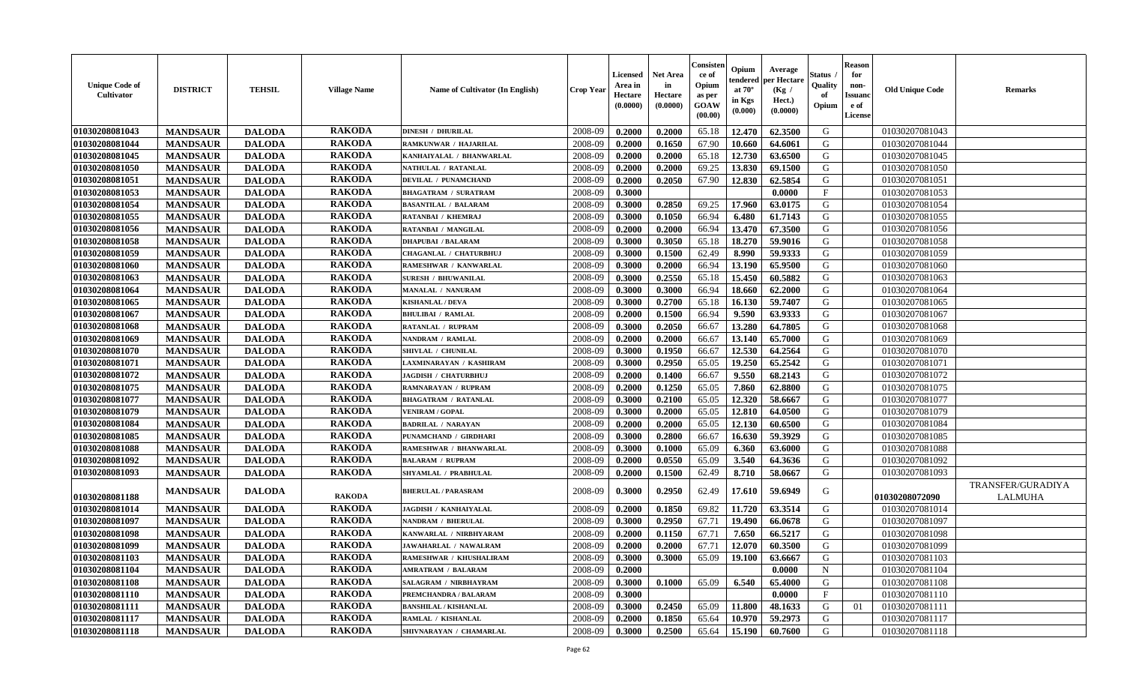| <b>Unique Code of</b><br><b>Cultivator</b> | <b>DISTRICT</b> | <b>TEHSIL</b> | <b>Village Name</b> | Name of Cultivator (In English) | <b>Crop Year</b> | <b>Licensed</b><br>Area in<br>Hectare<br>(0.0000) | <b>Net Area</b><br>in<br>Hectare<br>(0.0000) | Consisteı<br>ce of<br>Opium<br>as per<br><b>GOAW</b><br>(00.00) | Opium<br>endered<br>at $70^\circ$<br>in Kgs<br>$(\mathbf{0.000})$ | Average<br>per Hectare<br>(Kg /<br>Hect.)<br>(0.0000) | Status<br>Quality<br>of<br>Opium | <b>Reason</b><br>for<br>non-<br>Issuan<br>e of<br><b>License</b> | <b>Old Unique Code</b> | <b>Remarks</b>                      |
|--------------------------------------------|-----------------|---------------|---------------------|---------------------------------|------------------|---------------------------------------------------|----------------------------------------------|-----------------------------------------------------------------|-------------------------------------------------------------------|-------------------------------------------------------|----------------------------------|------------------------------------------------------------------|------------------------|-------------------------------------|
| 01030208081043                             | <b>MANDSAUR</b> | <b>DALODA</b> | <b>RAKODA</b>       | <b>DINESH / DHURILAL</b>        | 2008-09          | 0.2000                                            | 0.2000                                       | 65.18                                                           | 12.470                                                            | 62.3500                                               | G                                |                                                                  | 01030207081043         |                                     |
| 01030208081044                             | <b>MANDSAUR</b> | <b>DALODA</b> | <b>RAKODA</b>       | RAMKUNWAR / HAJARILAL           | 2008-09          | 0.2000                                            | 0.1650                                       | 67.90                                                           | 10.660                                                            | 64.6061                                               | G                                |                                                                  | 01030207081044         |                                     |
| 01030208081045                             | <b>MANDSAUR</b> | <b>DALODA</b> | <b>RAKODA</b>       | KANHAIYALAL / BHANWARLAL        | 2008-09          | 0.2000                                            | 0.2000                                       | 65.18                                                           | 12.730                                                            | 63.6500                                               | G                                |                                                                  | 01030207081045         |                                     |
| 01030208081050                             | <b>MANDSAUR</b> | <b>DALODA</b> | <b>RAKODA</b>       | NATHULAL / RATANLAL             | 2008-09          | 0.2000                                            | 0.2000                                       | 69.25                                                           | 13.830                                                            | 69.1500                                               | G                                |                                                                  | 01030207081050         |                                     |
| 01030208081051                             | <b>MANDSAUR</b> | <b>DALODA</b> | <b>RAKODA</b>       | <b>DEVILAL / PUNAMCHAND</b>     | 2008-09          | 0.2000                                            | 0.2050                                       | 67.90                                                           | 12.830                                                            | 62.5854                                               | G                                |                                                                  | 01030207081051         |                                     |
| 01030208081053                             | <b>MANDSAUR</b> | <b>DALODA</b> | <b>RAKODA</b>       | <b>BHAGATRAM / SURATRAM</b>     | 2008-09          | 0.3000                                            |                                              |                                                                 |                                                                   | 0.0000                                                | $\mathbf{F}$                     |                                                                  | 01030207081053         |                                     |
| 01030208081054                             | <b>MANDSAUR</b> | <b>DALODA</b> | <b>RAKODA</b>       | <b>BASANTILAL / BALARAM</b>     | 2008-09          | 0.3000                                            | 0.2850                                       | 69.25                                                           | 17.960                                                            | 63.0175                                               | G                                |                                                                  | 01030207081054         |                                     |
| 01030208081055                             | <b>MANDSAUR</b> | <b>DALODA</b> | <b>RAKODA</b>       | RATANBAI / KHEMRAJ              | 2008-09          | 0.3000                                            | 0.1050                                       | 66.94                                                           | 6.480                                                             | 61.7143                                               | G                                |                                                                  | 01030207081055         |                                     |
| 01030208081056                             | <b>MANDSAUR</b> | <b>DALODA</b> | <b>RAKODA</b>       | RATANBAI / MANGILAL             | 2008-09          | 0.2000                                            | 0.2000                                       | 66.94                                                           | 13.470                                                            | 67.3500                                               | G                                |                                                                  | 01030207081056         |                                     |
| 01030208081058                             | <b>MANDSAUR</b> | <b>DALODA</b> | <b>RAKODA</b>       | <b>DHAPUBAI / BALARAM</b>       | 2008-09          | 0.3000                                            | 0.3050                                       | 65.18                                                           | 18.270                                                            | 59.9016                                               | G                                |                                                                  | 01030207081058         |                                     |
| 01030208081059                             | <b>MANDSAUR</b> | <b>DALODA</b> | <b>RAKODA</b>       | <b>CHAGANLAL / CHATURBHUJ</b>   | 2008-09          | 0.3000                                            | 0.1500                                       | 62.49                                                           | 8.990                                                             | 59.9333                                               | G                                |                                                                  | 01030207081059         |                                     |
| 01030208081060                             | <b>MANDSAUR</b> | <b>DALODA</b> | <b>RAKODA</b>       | RAMESHWAR / KANWARLAL           | 2008-09          | 0.3000                                            | 0.2000                                       | 66.94                                                           | 13.190                                                            | 65.9500                                               | G                                |                                                                  | 01030207081060         |                                     |
| 01030208081063                             | <b>MANDSAUR</b> | <b>DALODA</b> | <b>RAKODA</b>       | <b>SURESH / BHUWANILAL</b>      | 2008-09          | 0.3000                                            | 0.2550                                       | 65.18                                                           | 15.450                                                            | 60.5882                                               | G                                |                                                                  | 01030207081063         |                                     |
| 01030208081064                             | <b>MANDSAUR</b> | <b>DALODA</b> | <b>RAKODA</b>       | <b>MANALAL / NANURAM</b>        | 2008-09          | 0.3000                                            | 0.3000                                       | 66.94                                                           | 18.660                                                            | 62.2000                                               | G                                |                                                                  | 01030207081064         |                                     |
| 01030208081065                             | <b>MANDSAUR</b> | <b>DALODA</b> | <b>RAKODA</b>       | <b>KISHANLAL / DEVA</b>         | 2008-09          | 0.3000                                            | 0.2700                                       | 65.18                                                           | 16.130                                                            | 59.7407                                               | G                                |                                                                  | 01030207081065         |                                     |
| 01030208081067                             | <b>MANDSAUR</b> | <b>DALODA</b> | <b>RAKODA</b>       | <b>BHULIBAI / RAMLAL</b>        | 2008-09          | 0.2000                                            | 0.1500                                       | 66.94                                                           | 9.590                                                             | 63.9333                                               | G                                |                                                                  | 01030207081067         |                                     |
| 01030208081068                             | <b>MANDSAUR</b> | <b>DALODA</b> | <b>RAKODA</b>       | <b>RATANLAL / RUPRAM</b>        | 2008-09          | 0.3000                                            | 0.2050                                       | 66.67                                                           | 13.280                                                            | 64.7805                                               | G                                |                                                                  | 01030207081068         |                                     |
| 01030208081069                             | <b>MANDSAUR</b> | <b>DALODA</b> | <b>RAKODA</b>       | <b>NANDRAM / RAMLAL</b>         | 2008-09          | 0.2000                                            | 0.2000                                       | 66.67                                                           | 13.140                                                            | 65.7000                                               | G                                |                                                                  | 01030207081069         |                                     |
| 01030208081070                             | <b>MANDSAUR</b> | <b>DALODA</b> | <b>RAKODA</b>       | SHIVLAL / CHUNILAL              | 2008-09          | 0.3000                                            | 0.1950                                       | 66.67                                                           | 12.530                                                            | 64.2564                                               | G                                |                                                                  | 01030207081070         |                                     |
| 01030208081071                             | <b>MANDSAUR</b> | <b>DALODA</b> | <b>RAKODA</b>       | LAXMINARAYAN / KASHIRAM         | 2008-09          | 0.3000                                            | 0.2950                                       | 65.05                                                           | 19.250                                                            | 65.2542                                               | G                                |                                                                  | 01030207081071         |                                     |
| 01030208081072                             | <b>MANDSAUR</b> | <b>DALODA</b> | <b>RAKODA</b>       | JAGDISH / CHATURBHUJ            | 2008-09          | 0.2000                                            | 0.1400                                       | 66.67                                                           | 9.550                                                             | 68.2143                                               | G                                |                                                                  | 01030207081072         |                                     |
| 01030208081075                             | <b>MANDSAUR</b> | <b>DALODA</b> | <b>RAKODA</b>       | RAMNARAYAN / RUPRAM             | 2008-09          | 0.2000                                            | 0.1250                                       | 65.05                                                           | 7.860                                                             | 62.8800                                               | G                                |                                                                  | 01030207081075         |                                     |
| 01030208081077                             | <b>MANDSAUR</b> | <b>DALODA</b> | <b>RAKODA</b>       | <b>BHAGATRAM / RATANLAL</b>     | 2008-09          | 0.3000                                            | 0.2100                                       | 65.05                                                           | 12.320                                                            | 58.6667                                               | G                                |                                                                  | 01030207081077         |                                     |
| 01030208081079                             | <b>MANDSAUR</b> | <b>DALODA</b> | <b>RAKODA</b>       | <b>VENIRAM / GOPAL</b>          | 2008-09          | 0.3000                                            | 0.2000                                       | 65.05                                                           | 12.810                                                            | 64.0500                                               | G                                |                                                                  | 01030207081079         |                                     |
| 01030208081084                             | <b>MANDSAUR</b> | <b>DALODA</b> | <b>RAKODA</b>       | <b>BADRILAL / NARAYAN</b>       | 2008-09          | 0.2000                                            | 0.2000                                       | 65.05                                                           | 12.130                                                            | 60.6500                                               | G                                |                                                                  | 01030207081084         |                                     |
| 01030208081085                             | <b>MANDSAUR</b> | <b>DALODA</b> | <b>RAKODA</b>       | PUNAMCHAND / GIRDHARI           | 2008-09          | 0.3000                                            | 0.2800                                       | 66.67                                                           | 16.630                                                            | 59.3929                                               | G                                |                                                                  | 01030207081085         |                                     |
| 01030208081088                             | <b>MANDSAUR</b> | <b>DALODA</b> | <b>RAKODA</b>       | RAMESHWAR / BHANWARLAL          | 2008-09          | 0.3000                                            | 0.1000                                       | 65.09                                                           | 6.360                                                             | 63.6000                                               | G                                |                                                                  | 01030207081088         |                                     |
| 01030208081092                             | <b>MANDSAUR</b> | <b>DALODA</b> | <b>RAKODA</b>       | <b>BALARAM / RUPRAM</b>         | 2008-09          | 0.2000                                            | 0.0550                                       | 65.09                                                           | 3.540                                                             | 64.3636                                               | G                                |                                                                  | 01030207081092         |                                     |
| 01030208081093                             | <b>MANDSAUR</b> | <b>DALODA</b> | <b>RAKODA</b>       | SHYAMLAL / PRABHULAL            | 2008-09          | 0.2000                                            | 0.1500                                       | 62.49                                                           | 8.710                                                             | 58.0667                                               | G                                |                                                                  | 01030207081093         |                                     |
| 01030208081188                             | <b>MANDSAUR</b> | <b>DALODA</b> | <b>RAKODA</b>       | <b>BHERULAL / PARASRAM</b>      | 2008-09          | 0.3000                                            | 0.2950                                       | 62.49                                                           | 17.610                                                            | 59.6949                                               | G                                |                                                                  | 01030208072090         | TRANSFER/GURADIYA<br><b>LALMUHA</b> |
| 01030208081014                             | <b>MANDSAUR</b> | <b>DALODA</b> | <b>RAKODA</b>       | JAGDISH / KANHAIYALAL           | 2008-09          | 0.2000                                            | 0.1850                                       | 69.82                                                           | 11.720                                                            | 63.3514                                               | G                                |                                                                  | 01030207081014         |                                     |
| 01030208081097                             | <b>MANDSAUR</b> | <b>DALODA</b> | <b>RAKODA</b>       | NANDRAM / BHERULAL              | 2008-09          | 0.3000                                            | 0.2950                                       | 67.71                                                           | 19.490                                                            | 66.0678                                               | G                                |                                                                  | 01030207081097         |                                     |
| 01030208081098                             | <b>MANDSAUR</b> | <b>DALODA</b> | <b>RAKODA</b>       | KANWARLAL / NIRBHYARAM          | 2008-09          | 0.2000                                            | 0.1150                                       | 67.71                                                           | 7.650                                                             | 66.5217                                               | G                                |                                                                  | 01030207081098         |                                     |
| 01030208081099                             | <b>MANDSAUR</b> | <b>DALODA</b> | <b>RAKODA</b>       | JAWAHARLAL / NAWALRAM           | 2008-09          | 0.2000                                            | 0.2000                                       | 67.71                                                           | 12.070                                                            | 60.3500                                               | G                                |                                                                  | 01030207081099         |                                     |
| 01030208081103                             | <b>MANDSAUR</b> | <b>DALODA</b> | <b>RAKODA</b>       | RAMESHWAR / KHUSHALIRAM         | 2008-09          | 0.3000                                            | 0.3000                                       | 65.09                                                           |                                                                   | $19.100 \times 63.6667$                               | G                                |                                                                  | 01030207081103         |                                     |
| 01030208081104                             | <b>MANDSAUR</b> | <b>DALODA</b> | <b>RAKODA</b>       | AMRATRAM / BALARAM              | 2008-09          | 0.2000                                            |                                              |                                                                 |                                                                   | 0.0000                                                | $\mathbf N$                      |                                                                  | 01030207081104         |                                     |
| 01030208081108                             | <b>MANDSAUR</b> | <b>DALODA</b> | <b>RAKODA</b>       | SALAGRAM / NIRBHAYRAM           | 2008-09          | 0.3000                                            | 0.1000                                       | 65.09                                                           | 6.540                                                             | 65.4000                                               | G                                |                                                                  | 01030207081108         |                                     |
| 01030208081110                             | <b>MANDSAUR</b> | <b>DALODA</b> | <b>RAKODA</b>       | PREMCHANDRA / BALARAM           | 2008-09          | 0.3000                                            |                                              |                                                                 |                                                                   | 0.0000                                                | $\mathbf F$                      |                                                                  | 01030207081110         |                                     |
| 01030208081111                             | <b>MANDSAUR</b> | <b>DALODA</b> | <b>RAKODA</b>       | <b>BANSHILAL / KISHANLAL</b>    | 2008-09          | 0.3000                                            | 0.2450                                       | 65.09                                                           | 11.800                                                            | 48.1633                                               | G                                | 01                                                               | 01030207081111         |                                     |
| 01030208081117                             | <b>MANDSAUR</b> | <b>DALODA</b> | <b>RAKODA</b>       | RAMLAL / KISHANLAL              | 2008-09          | 0.2000                                            | 0.1850                                       | 65.64                                                           | 10.970                                                            | 59.2973                                               | G                                |                                                                  | 01030207081117         |                                     |
| 01030208081118                             | <b>MANDSAUR</b> | <b>DALODA</b> | <b>RAKODA</b>       | SHIVNARAYAN / CHAMARLAL         | 2008-09          | 0.3000                                            | 0.2500                                       | 65.64                                                           | 15.190                                                            | 60.7600                                               | G                                |                                                                  | 01030207081118         |                                     |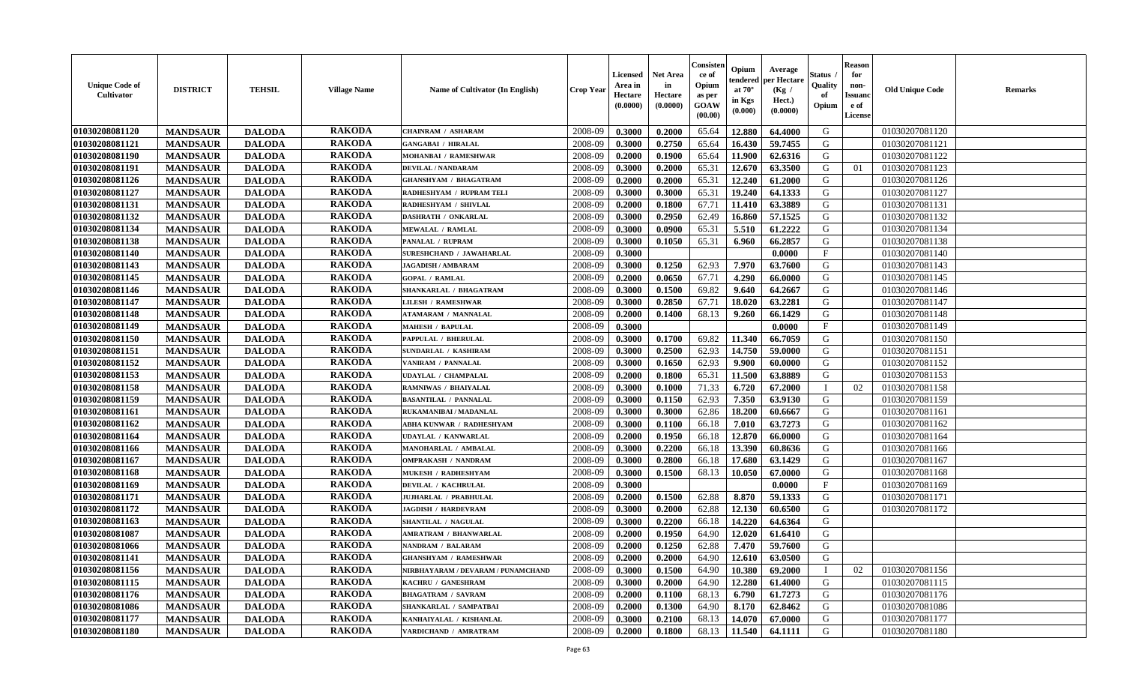| <b>Unique Code of</b><br><b>Cultivator</b> | <b>DISTRICT</b> | <b>TEHSIL</b> | <b>Village Name</b> | Name of Cultivator (In English)    | <b>Crop Year</b> | <b>Licensed</b><br>Area in<br>Hectare<br>(0.0000) | <b>Net Area</b><br>in<br>Hectare<br>(0.0000) | Consisteı<br>ce of<br>Opium<br>as per<br><b>GOAW</b><br>(00.00) | Opium<br>endered<br>at $70^\circ$<br>in Kgs<br>$(\mathbf{0.000})$ | Average<br>per Hectare<br>(Kg /<br>Hect.)<br>(0.0000) | Status<br>Quality<br>of<br>Opium | <b>Reason</b><br>for<br>non-<br>Issuan<br>e of<br><b>License</b> | <b>Old Unique Code</b> | <b>Remarks</b> |
|--------------------------------------------|-----------------|---------------|---------------------|------------------------------------|------------------|---------------------------------------------------|----------------------------------------------|-----------------------------------------------------------------|-------------------------------------------------------------------|-------------------------------------------------------|----------------------------------|------------------------------------------------------------------|------------------------|----------------|
| 01030208081120                             | <b>MANDSAUR</b> | <b>DALODA</b> | <b>RAKODA</b>       | <b>CHAINRAM / ASHARAM</b>          | 2008-09          | 0.3000                                            | 0.2000                                       | 65.64                                                           | 12.880                                                            | 64.4000                                               | G                                |                                                                  | 01030207081120         |                |
| 01030208081121                             | <b>MANDSAUR</b> | <b>DALODA</b> | <b>RAKODA</b>       | <b>GANGABAI / HIRALAL</b>          | 2008-09          | 0.3000                                            | 0.2750                                       | 65.64                                                           | 16.430                                                            | 59.7455                                               | G                                |                                                                  | 01030207081121         |                |
| 01030208081190                             | <b>MANDSAUR</b> | <b>DALODA</b> | <b>RAKODA</b>       | MOHANBAI / RAMESHWAR               | 2008-09          | 0.2000                                            | 0.1900                                       | 65.64                                                           | 11.900                                                            | 62.6316                                               | G                                |                                                                  | 01030207081122         |                |
| 01030208081191                             | <b>MANDSAUR</b> | <b>DALODA</b> | <b>RAKODA</b>       | DEVILAL / NANDARAM                 | 2008-09          | 0.3000                                            | 0.2000                                       | 65.31                                                           | 12.670                                                            | 63.3500                                               | G                                | 01                                                               | 01030207081123         |                |
| 01030208081126                             | <b>MANDSAUR</b> | <b>DALODA</b> | <b>RAKODA</b>       | <b>GHANSHYAM / BHAGATRAM</b>       | 2008-09          | 0.2000                                            | 0.2000                                       | 65.31                                                           | 12.240                                                            | 61.2000                                               | G                                |                                                                  | 01030207081126         |                |
| 01030208081127                             | <b>MANDSAUR</b> | <b>DALODA</b> | <b>RAKODA</b>       | RADHESHYAM / RUPRAM TELI           | 2008-09          | 0.3000                                            | 0.3000                                       | 65.31                                                           | 19.240                                                            | 64.1333                                               | G                                |                                                                  | 01030207081127         |                |
| 01030208081131                             | <b>MANDSAUR</b> | <b>DALODA</b> | <b>RAKODA</b>       | RADHESHYAM / SHIVLAL               | 2008-09          | 0.2000                                            | 0.1800                                       | 67.71                                                           | 11.410                                                            | 63.3889                                               | G                                |                                                                  | 01030207081131         |                |
| 01030208081132                             | <b>MANDSAUR</b> | <b>DALODA</b> | <b>RAKODA</b>       | <b>DASHRATH / ONKARLAL</b>         | 2008-09          | 0.3000                                            | 0.2950                                       | 62.49                                                           | 16.860                                                            | 57.1525                                               | G                                |                                                                  | 01030207081132         |                |
| 01030208081134                             | <b>MANDSAUR</b> | <b>DALODA</b> | <b>RAKODA</b>       | <b>MEWALAL / RAMLAL</b>            | 2008-09          | 0.3000                                            | 0.0900                                       | 65.31                                                           | 5.510                                                             | 61.2222                                               | G                                |                                                                  | 01030207081134         |                |
| 01030208081138                             | <b>MANDSAUR</b> | <b>DALODA</b> | <b>RAKODA</b>       | PANALAL / RUPRAM                   | 2008-09          | 0.3000                                            | 0.1050                                       | 65.31                                                           | 6.960                                                             | 66.2857                                               | G                                |                                                                  | 01030207081138         |                |
| 01030208081140                             | <b>MANDSAUR</b> | <b>DALODA</b> | <b>RAKODA</b>       | SURESHCHAND / JAWAHARLAL           | 2008-09          | 0.3000                                            |                                              |                                                                 |                                                                   | 0.0000                                                | $\mathbf{F}$                     |                                                                  | 01030207081140         |                |
| 01030208081143                             | <b>MANDSAUR</b> | <b>DALODA</b> | <b>RAKODA</b>       | <b>JAGADISH / AMBARAM</b>          | 2008-09          | 0.3000                                            | 0.1250                                       | 62.93                                                           | 7.970                                                             | 63.7600                                               | G                                |                                                                  | 01030207081143         |                |
| 01030208081145                             | <b>MANDSAUR</b> | <b>DALODA</b> | <b>RAKODA</b>       | <b>GOPAL / RAMLAL</b>              | 2008-09          | 0.2000                                            | 0.0650                                       | 67.71                                                           | 4.290                                                             | 66.0000                                               | G                                |                                                                  | 01030207081145         |                |
| 01030208081146                             | <b>MANDSAUR</b> | <b>DALODA</b> | <b>RAKODA</b>       | SHANKARLAL / BHAGATRAM             | 2008-09          | 0.3000                                            | 0.1500                                       | 69.82                                                           | 9.640                                                             | 64.2667                                               | G                                |                                                                  | 01030207081146         |                |
| 01030208081147                             | <b>MANDSAUR</b> | <b>DALODA</b> | <b>RAKODA</b>       | <b>LILESH / RAMESHWAR</b>          | 2008-09          | 0.3000                                            | 0.2850                                       | 67.71                                                           | 18.020                                                            | 63.2281                                               | G                                |                                                                  | 01030207081147         |                |
| 01030208081148                             | <b>MANDSAUR</b> | <b>DALODA</b> | <b>RAKODA</b>       | ATAMARAM / MANNALAL                | 2008-09          | 0.2000                                            | 0.1400                                       | 68.13                                                           | 9.260                                                             | 66.1429                                               | G                                |                                                                  | 01030207081148         |                |
| 01030208081149                             | <b>MANDSAUR</b> | <b>DALODA</b> | <b>RAKODA</b>       | <b>MAHESH / BAPULAL</b>            | 2008-09          | 0.3000                                            |                                              |                                                                 |                                                                   | 0.0000                                                | $\mathbf{F}$                     |                                                                  | 01030207081149         |                |
| 01030208081150                             | <b>MANDSAUR</b> | <b>DALODA</b> | <b>RAKODA</b>       | PAPPULAL / BHERULAL                | 2008-09          | 0.3000                                            | 0.1700                                       | 69.82                                                           | 11.340                                                            | 66.7059                                               | G                                |                                                                  | 01030207081150         |                |
| 01030208081151                             | <b>MANDSAUR</b> | <b>DALODA</b> | <b>RAKODA</b>       | SUNDARLAL / KASHIRAM               | 2008-09          | 0.3000                                            | 0.2500                                       | 62.93                                                           | 14.750                                                            | 59.0000                                               | G                                |                                                                  | 01030207081151         |                |
| 01030208081152                             | <b>MANDSAUR</b> | <b>DALODA</b> | <b>RAKODA</b>       | VANIRAM / PANNALAL                 | 2008-09          | 0.3000                                            | 0.1650                                       | 62.93                                                           | 9.900                                                             | 60.0000                                               | G                                |                                                                  | 01030207081152         |                |
| 01030208081153                             | <b>MANDSAUR</b> | <b>DALODA</b> | <b>RAKODA</b>       | UDAYLAL / CHAMPALAL                | 2008-09          | 0.2000                                            | 0.1800                                       | 65.31                                                           | 11.500                                                            | 63.8889                                               | G                                |                                                                  | 01030207081153         |                |
| 01030208081158                             | <b>MANDSAUR</b> | <b>DALODA</b> | <b>RAKODA</b>       | RAMNIWAS / BHAIYALAL               | 2008-09          | 0.3000                                            | 0.1000                                       | 71.33                                                           | 6.720                                                             | 67.2000                                               | - 1                              | 02                                                               | 01030207081158         |                |
| 01030208081159                             | <b>MANDSAUR</b> | <b>DALODA</b> | <b>RAKODA</b>       | <b>BASANTILAL / PANNALAL</b>       | 2008-09          | 0.3000                                            | 0.1150                                       | 62.93                                                           | 7.350                                                             | 63.9130                                               | G                                |                                                                  | 01030207081159         |                |
| 01030208081161                             | <b>MANDSAUR</b> | <b>DALODA</b> | <b>RAKODA</b>       | RUKAMANIBAI / MADANLAL             | 2008-09          | 0.3000                                            | 0.3000                                       | 62.86                                                           | 18.200                                                            | 60.6667                                               | G                                |                                                                  | 01030207081161         |                |
| 01030208081162                             | <b>MANDSAUR</b> | <b>DALODA</b> | <b>RAKODA</b>       | ABHA KUNWAR / RADHESHYAM           | 2008-09          | 0.3000                                            | 0.1100                                       | 66.18                                                           | 7.010                                                             | 63.7273                                               | G                                |                                                                  | 01030207081162         |                |
| 01030208081164                             | <b>MANDSAUR</b> | <b>DALODA</b> | <b>RAKODA</b>       | <b>UDAYLAL / KANWARLAL</b>         | 2008-09          | 0.2000                                            | 0.1950                                       | 66.18                                                           | 12.870                                                            | 66.0000                                               | G                                |                                                                  | 01030207081164         |                |
| 01030208081166                             | <b>MANDSAUR</b> | <b>DALODA</b> | <b>RAKODA</b>       | MANOHARLAL / AMBALAL               | 2008-09          | 0.3000                                            | 0.2200                                       | 66.18                                                           | 13.390                                                            | 60.8636                                               | G                                |                                                                  | 01030207081166         |                |
| 01030208081167                             | <b>MANDSAUR</b> | <b>DALODA</b> | <b>RAKODA</b>       | <b>OMPRAKASH / NANDRAM</b>         | 2008-09          | 0.3000                                            | 0.2800                                       | 66.18                                                           | 17.680                                                            | 63.1429                                               | G                                |                                                                  | 01030207081167         |                |
| 01030208081168                             | <b>MANDSAUR</b> | <b>DALODA</b> | <b>RAKODA</b>       | <b>MUKESH / RADHESHYAM</b>         | 2008-09          | 0.3000                                            | 0.1500                                       | 68.13                                                           | 10.050                                                            | 67.0000                                               | G                                |                                                                  | 01030207081168         |                |
| 01030208081169                             | <b>MANDSAUR</b> | <b>DALODA</b> | <b>RAKODA</b>       | DEVILAL / KACHRULAL                | 2008-09          | 0.3000                                            |                                              |                                                                 |                                                                   | 0.0000                                                | $\mathbf{F}$                     |                                                                  | 01030207081169         |                |
| 01030208081171                             | <b>MANDSAUR</b> | <b>DALODA</b> | <b>RAKODA</b>       | JUJHARLAL / PRABHULAL              | 2008-09          | 0.2000                                            | 0.1500                                       | 62.88                                                           | 8.870                                                             | 59.1333                                               | G                                |                                                                  | 01030207081171         |                |
| 01030208081172                             | <b>MANDSAUR</b> | <b>DALODA</b> | <b>RAKODA</b>       | <b>JAGDISH / HARDEVRAM</b>         | 2008-09          | 0.3000                                            | 0.2000                                       | 62.88                                                           | 12.130                                                            | 60.6500                                               | G                                |                                                                  | 01030207081172         |                |
| 01030208081163                             | <b>MANDSAUR</b> | <b>DALODA</b> | <b>RAKODA</b>       | SHANTILAL / NAGULAL                | 2008-09          | 0.3000                                            | 0.2200                                       | 66.18                                                           | 14.220                                                            | 64.6364                                               | G                                |                                                                  |                        |                |
| 01030208081087                             | <b>MANDSAUR</b> | <b>DALODA</b> | <b>RAKODA</b>       | <b>AMRATRAM / BHANWARLAL</b>       | 2008-09          | 0.2000                                            | 0.1950                                       | 64.90                                                           | 12.020                                                            | 61.6410                                               | G                                |                                                                  |                        |                |
| 01030208081066                             | <b>MANDSAUR</b> | <b>DALODA</b> | <b>RAKODA</b>       | <b>NANDRAM / BALARAM</b>           | 2008-09          | 0.2000                                            | 0.1250                                       | 62.88                                                           | 7.470                                                             | 59.7600                                               | G                                |                                                                  |                        |                |
| 01030208081141                             | <b>MANDSAUR</b> | <b>DALODA</b> | <b>RAKODA</b>       | <b>GHANSHYAM / RAMESHWAR</b>       | 2008-09          | 0.2000                                            | 0.2000                                       | 64.90                                                           | 12.610                                                            | 63.0500                                               | G                                |                                                                  |                        |                |
| 01030208081156                             | <b>MANDSAUR</b> | <b>DALODA</b> | <b>RAKODA</b>       | NIRBHAYARAM / DEVARAM / PUNAMCHAND | 2008-09          | 0.3000                                            | 0.1500                                       | 64.90                                                           | 10.380                                                            | 69.2000                                               |                                  | 02                                                               | 01030207081156         |                |
| 01030208081115                             | <b>MANDSAUR</b> | <b>DALODA</b> | <b>RAKODA</b>       | KACHRU / GANESHRAM                 | 2008-09          | 0.3000                                            | 0.2000                                       | 64.90                                                           | 12.280                                                            | 61.4000                                               | G                                |                                                                  | 01030207081115         |                |
| 01030208081176                             | <b>MANDSAUR</b> | <b>DALODA</b> | <b>RAKODA</b>       | <b>BHAGATRAM / SAVRAM</b>          | 2008-09          | 0.2000                                            | 0.1100                                       | 68.13                                                           | 6.790                                                             | 61.7273                                               | G                                |                                                                  | 01030207081176         |                |
| 01030208081086                             | <b>MANDSAUR</b> | <b>DALODA</b> | <b>RAKODA</b>       | SHANKARLAL / SAMPATBAI             | 2008-09          | 0.2000                                            | 0.1300                                       | 64.90                                                           | 8.170                                                             | 62.8462                                               | G                                |                                                                  | 01030207081086         |                |
| 01030208081177                             | <b>MANDSAUR</b> | <b>DALODA</b> | <b>RAKODA</b>       | KANHAIYALAL / KISHANLAL            | 2008-09          | 0.3000                                            | 0.2100                                       | 68.13                                                           | 14.070                                                            | 67.0000                                               | G                                |                                                                  | 01030207081177         |                |
| 01030208081180                             | <b>MANDSAUR</b> | <b>DALODA</b> | <b>RAKODA</b>       | VARDICHAND / AMRATRAM              | 2008-09          | 0.2000                                            | 0.1800                                       | 68.13                                                           | 11.540                                                            | 64.1111                                               | G                                |                                                                  | 01030207081180         |                |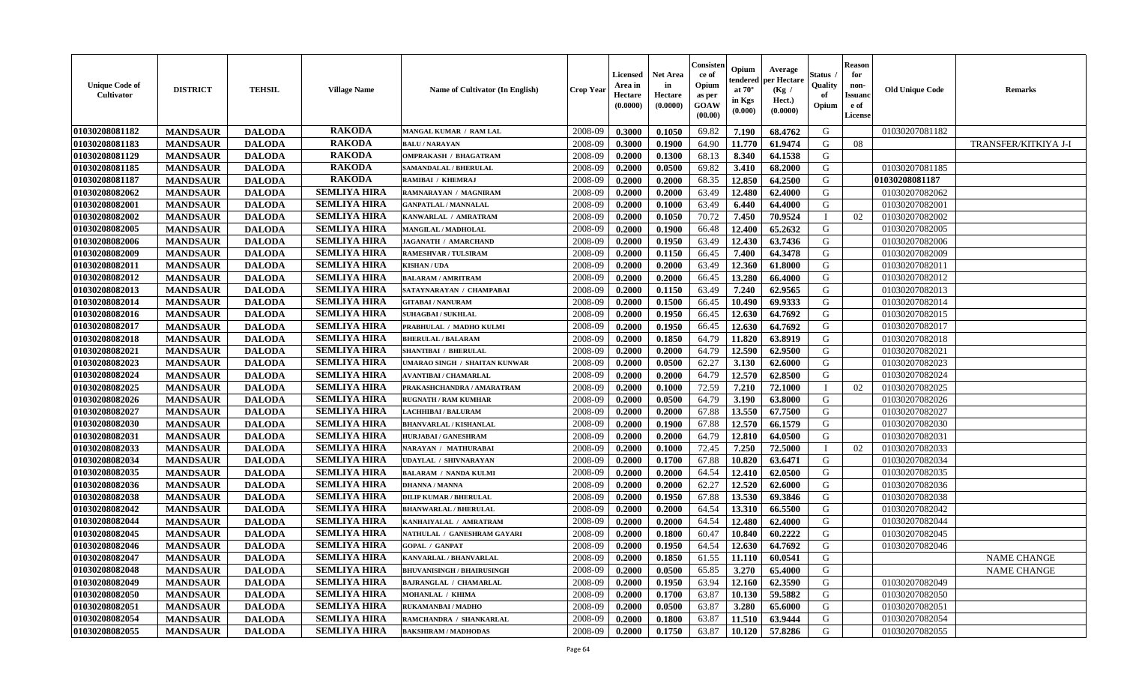| <b>Unique Code of</b><br>Cultivator | <b>DISTRICT</b> | <b>TEHSIL</b> | <b>Village Name</b> | <b>Name of Cultivator (In English)</b> | <b>Crop Year</b> | <b>Licensed</b><br>Area in<br>Hectare<br>(0.0000) | <b>Net Area</b><br>in<br>Hectare<br>(0.0000) | Consisten<br>ce of<br>Opium<br>as per<br>GOAW<br>(00.00) | Opium<br>tendered<br>at $70^\circ$<br>in Kgs<br>(0.000) | Average<br>per Hectare<br>(Kg)<br>Hect.)<br>(0.0000) | Status<br>Quality<br>of<br>Opium | <b>Reason</b><br>for<br>non-<br>Issuano<br>e of<br><b>License</b> | <b>Old Unique Code</b> | <b>Remarks</b>       |
|-------------------------------------|-----------------|---------------|---------------------|----------------------------------------|------------------|---------------------------------------------------|----------------------------------------------|----------------------------------------------------------|---------------------------------------------------------|------------------------------------------------------|----------------------------------|-------------------------------------------------------------------|------------------------|----------------------|
| 01030208081182                      | <b>MANDSAUR</b> | <b>DALODA</b> | <b>RAKODA</b>       | MANGAL KUMAR / RAM LAL                 | 2008-09          | 0.3000                                            | 0.1050                                       | 69.82                                                    | 7.190                                                   | 68.4762                                              | G                                |                                                                   | 01030207081182         |                      |
| 01030208081183                      | <b>MANDSAUR</b> | <b>DALODA</b> | <b>RAKODA</b>       | <b>BALU / NARAYAN</b>                  | 2008-09          | 0.3000                                            | 0.1900                                       | 64.90                                                    | 11.770                                                  | 61.9474                                              | G                                | 08                                                                |                        | TRANSFER/KITKIYA J-I |
| 01030208081129                      | <b>MANDSAUR</b> | <b>DALODA</b> | <b>RAKODA</b>       | <b>OMPRAKASH / BHAGATRAM</b>           | 2008-09          | 0.2000                                            | 0.1300                                       | 68.13                                                    | 8.340                                                   | 64.1538                                              | G                                |                                                                   |                        |                      |
| 01030208081185                      | <b>MANDSAUR</b> | <b>DALODA</b> | <b>RAKODA</b>       | SAMANDALAL / BHERULAL                  | 2008-09          | 0.2000                                            | 0.0500                                       | 69.82                                                    | 3.410                                                   | 68.2000                                              | G                                |                                                                   | 01030207081185         |                      |
| 01030208081187                      | <b>MANDSAUR</b> | <b>DALODA</b> | <b>RAKODA</b>       | RAMIBAI / KHEMRAJ                      | 2008-09          | 0.2000                                            | 0.2000                                       | 68.35                                                    | 12.850                                                  | 64.2500                                              | G                                |                                                                   | 01030208081187         |                      |
| 01030208082062                      | <b>MANDSAUR</b> | <b>DALODA</b> | <b>SEMLIYA HIRA</b> | RAMNARAYAN / MAGNIRAM                  | 2008-09          | 0.2000                                            | 0.2000                                       | 63.49                                                    | 12.480                                                  | 62.4000                                              | G                                |                                                                   | 01030207082062         |                      |
| 01030208082001                      | <b>MANDSAUR</b> | <b>DALODA</b> | <b>SEMLIYA HIRA</b> | <b>GANPATLAL / MANNALAL</b>            | 2008-09          | 0.2000                                            | 0.1000                                       | 63.49                                                    | 6.440                                                   | 64.4000                                              | G                                |                                                                   | 01030207082001         |                      |
| 01030208082002                      | <b>MANDSAUR</b> | <b>DALODA</b> | <b>SEMLIYA HIRA</b> | KANWARLAL / AMRATRAM                   | 2008-09          | 0.2000                                            | 0.1050                                       | 70.72                                                    | 7.450                                                   | 70.9524                                              |                                  | 02                                                                | 01030207082002         |                      |
| 01030208082005                      | <b>MANDSAUR</b> | <b>DALODA</b> | <b>SEMLIYA HIRA</b> | MANGILAL / MADHOLAL                    | 2008-09          | 0.2000                                            | 0.1900                                       | 66.48                                                    | 12.400                                                  | 65.2632                                              | G                                |                                                                   | 01030207082005         |                      |
| 01030208082006                      | <b>MANDSAUR</b> | <b>DALODA</b> | <b>SEMLIYA HIRA</b> | JAGANATH / AMARCHAND                   | 2008-09          | 0.2000                                            | 0.1950                                       | 63.49                                                    | 12.430                                                  | 63.7436                                              | G                                |                                                                   | 01030207082006         |                      |
| 01030208082009                      | <b>MANDSAUR</b> | <b>DALODA</b> | <b>SEMLIYA HIRA</b> | <b>RAMESHVAR / TULSIRAM</b>            | 2008-09          | 0.2000                                            | 0.1150                                       | 66.45                                                    | 7.400                                                   | 64.3478                                              | G                                |                                                                   | 01030207082009         |                      |
| 01030208082011                      | <b>MANDSAUR</b> | <b>DALODA</b> | <b>SEMLIYA HIRA</b> | <b>KISHAN/UDA</b>                      | 2008-09          | 0.2000                                            | 0.2000                                       | 63.49                                                    | 12.360                                                  | 61.8000                                              | G                                |                                                                   | 01030207082011         |                      |
| 01030208082012                      | <b>MANDSAUR</b> | <b>DALODA</b> | <b>SEMLIYA HIRA</b> | <b>BALARAM / AMRITRAM</b>              | 2008-09          | 0.2000                                            | 0.2000                                       | 66.45                                                    | 13.280                                                  | 66.4000                                              | G                                |                                                                   | 01030207082012         |                      |
| 01030208082013                      | <b>MANDSAUR</b> | <b>DALODA</b> | <b>SEMLIYA HIRA</b> | SATAYNARAYAN / CHAMPABAI               | 2008-09          | 0.2000                                            | 0.1150                                       | 63.49                                                    | 7.240                                                   | 62.9565                                              | G                                |                                                                   | 01030207082013         |                      |
| 01030208082014                      | <b>MANDSAUR</b> | <b>DALODA</b> | <b>SEMLIYA HIRA</b> | <b>GITABAI/NANURAM</b>                 | 2008-09          | 0.2000                                            | 0.1500                                       | 66.45                                                    | 10.490                                                  | 69.9333                                              | G                                |                                                                   | 01030207082014         |                      |
| 01030208082016                      | <b>MANDSAUR</b> | <b>DALODA</b> | <b>SEMLIYA HIRA</b> | <b>SUHAGBAI/SUKHLAL</b>                | 2008-09          | 0.2000                                            | 0.1950                                       | 66.45                                                    | 12.630                                                  | 64.7692                                              | G                                |                                                                   | 01030207082015         |                      |
| 01030208082017                      | <b>MANDSAUR</b> | <b>DALODA</b> | <b>SEMLIYA HIRA</b> | PRABHULAL / MADHO KULMI                | 2008-09          | 0.2000                                            | 0.1950                                       | 66.45                                                    | 12.630                                                  | 64.7692                                              | G                                |                                                                   | 01030207082017         |                      |
| 01030208082018                      | <b>MANDSAUR</b> | <b>DALODA</b> | <b>SEMLIYA HIRA</b> | <b>BHERULAL / BALARAM</b>              | 2008-09          | 0.2000                                            | 0.1850                                       | 64.79                                                    | 11.820                                                  | 63.8919                                              | G                                |                                                                   | 01030207082018         |                      |
| 01030208082021                      | <b>MANDSAUR</b> | <b>DALODA</b> | <b>SEMLIYA HIRA</b> | SHANTIBAI / BHERULAL                   | 2008-09          | 0.2000                                            | 0.2000                                       | 64.79                                                    | 12.590                                                  | 62.9500                                              | G                                |                                                                   | 01030207082021         |                      |
| 01030208082023                      | <b>MANDSAUR</b> | <b>DALODA</b> | <b>SEMLIYA HIRA</b> | <b>UMARAO SINGH / SHAITAN KUNWAR</b>   | 2008-09          | 0.2000                                            | 0.0500                                       | 62.27                                                    | 3.130                                                   | 62.6000                                              | G                                |                                                                   | 01030207082023         |                      |
| 01030208082024                      | <b>MANDSAUR</b> | <b>DALODA</b> | <b>SEMLIYA HIRA</b> | <b>AVANTIBAI / CHAMARLAL</b>           | 2008-09          | 0.2000                                            | 0.2000                                       | 64.79                                                    | 12.570                                                  | 62.8500                                              | G                                |                                                                   | 01030207082024         |                      |
| 01030208082025                      | <b>MANDSAUR</b> | <b>DALODA</b> | <b>SEMLIYA HIRA</b> | PRAKASHCHANDRA / AMARATRAM             | 2008-09          | 0.2000                                            | 0.1000                                       | 72.59                                                    | 7.210                                                   | 72.1000                                              |                                  | 02                                                                | 01030207082025         |                      |
| 01030208082026                      | <b>MANDSAUR</b> | <b>DALODA</b> | <b>SEMLIYA HIRA</b> | <b>RUGNATH / RAM KUMHAR</b>            | 2008-09          | 0.2000                                            | 0.0500                                       | 64.79                                                    | 3.190                                                   | 63.8000                                              | G                                |                                                                   | 01030207082026         |                      |
| 01030208082027                      | <b>MANDSAUR</b> | <b>DALODA</b> | <b>SEMLIYA HIRA</b> | <b>LACHHIBAI/BALURAM</b>               | 2008-09          | 0.2000                                            | 0.2000                                       | 67.88                                                    | 13.550                                                  | 67.7500                                              | G                                |                                                                   | 01030207082027         |                      |
| 01030208082030                      | <b>MANDSAUR</b> | <b>DALODA</b> | <b>SEMLIYA HIRA</b> | <b>BHANVARLAL / KISHANLAL</b>          | 2008-09          | 0.2000                                            | 0.1900                                       | 67.88                                                    | 12.570                                                  | 66.1579                                              | G                                |                                                                   | 01030207082030         |                      |
| 01030208082031                      | <b>MANDSAUR</b> | <b>DALODA</b> | <b>SEMLIYA HIRA</b> | <b>HURJABAI/GANESHRAM</b>              | 2008-09          | 0.2000                                            | 0.2000                                       | 64.79                                                    | 12.810                                                  | 64.0500                                              | G                                |                                                                   | 01030207082031         |                      |
| 01030208082033                      | <b>MANDSAUR</b> | <b>DALODA</b> | <b>SEMLIYA HIRA</b> | NARAYAN / MATHURABAI                   | 2008-09          | 0.2000                                            | 0.1000                                       | 72.45                                                    | 7.250                                                   | 72.5000                                              |                                  | 02                                                                | 01030207082033         |                      |
| 01030208082034                      | <b>MANDSAUR</b> | <b>DALODA</b> | <b>SEMLIYA HIRA</b> | <b>UDAYLAL / SHIVNARAYAN</b>           | 2008-09          | 0.2000                                            | 0.1700                                       | 67.88                                                    | 10.820                                                  | 63.6471                                              | G                                |                                                                   | 01030207082034         |                      |
| 01030208082035                      | <b>MANDSAUR</b> | <b>DALODA</b> | <b>SEMLIYA HIRA</b> | <b>BALARAM / NANDA KULMI</b>           | 2008-09          | 0.2000                                            | 0.2000                                       | 64.54                                                    | 12.410                                                  | 62.0500                                              | G                                |                                                                   | 01030207082035         |                      |
| 01030208082036                      | <b>MANDSAUR</b> | <b>DALODA</b> | <b>SEMLIYA HIRA</b> | <b>DHANNA / MANNA</b>                  | 2008-09          | 0.2000                                            | 0.2000                                       | 62.27                                                    | 12.520                                                  | 62.6000                                              | G                                |                                                                   | 01030207082036         |                      |
| 01030208082038                      | <b>MANDSAUR</b> | <b>DALODA</b> | <b>SEMLIYA HIRA</b> | <b>DILIP KUMAR / BHERULAL</b>          | 2008-09          | 0.2000                                            | 0.1950                                       | 67.88                                                    | 13.530                                                  | 69.3846                                              | G                                |                                                                   | 01030207082038         |                      |
| 01030208082042                      | <b>MANDSAUR</b> | <b>DALODA</b> | <b>SEMLIYA HIRA</b> | <b>BHANWARLAL / BHERULAL</b>           | 2008-09          | 0.2000                                            | 0.2000                                       | 64.54                                                    | 13.310                                                  | 66.5500                                              | G                                |                                                                   | 01030207082042         |                      |
| 01030208082044                      | <b>MANDSAUR</b> | <b>DALODA</b> | <b>SEMLIYA HIRA</b> | KANHAIYALAL / AMRATRAM                 | 2008-09          | 0.2000                                            | 0.2000                                       | 64.54                                                    | 12.480                                                  | 62.4000                                              | G                                |                                                                   | 01030207082044         |                      |
| 01030208082045                      | <b>MANDSAUR</b> | <b>DALODA</b> | <b>SEMLIYA HIRA</b> | NATHULAL / GANESHRAM GAYARI            | 2008-09          | 0.2000                                            | 0.1800                                       | 60.47                                                    | 10.840                                                  | 60.2222                                              | G                                |                                                                   | 01030207082045         |                      |
| 01030208082046                      | <b>MANDSAUR</b> | <b>DALODA</b> | <b>SEMLIYA HIRA</b> | <b>GOPAL / GANPAT</b>                  | 2008-09          | 0.2000                                            | 0.1950                                       | 64.54                                                    | 12.630                                                  | 64.7692                                              | G                                |                                                                   | 01030207082046         |                      |
| 01030208082047                      | <b>MANDSAUR</b> | <b>DALODA</b> | <b>SEMLIYA HIRA</b> | KANVARLAL / BHANVARLAL                 | 2008-09          | 0.2000                                            | 0.1850                                       | 61.55                                                    | 11.110                                                  | 60.0541                                              | G                                |                                                                   |                        | <b>NAME CHANGE</b>   |
| 01030208082048                      | <b>MANDSAUR</b> | <b>DALODA</b> | <b>SEMLIYA HIRA</b> | <b>BHUVANISINGH / BHAIRUSINGH</b>      | 2008-09          | 0.2000                                            | 0.0500                                       | 65.85                                                    | 3.270                                                   | 65.4000                                              | G                                |                                                                   |                        | NAME CHANGE          |
| 01030208082049                      | <b>MANDSAUR</b> | <b>DALODA</b> | <b>SEMLIYA HIRA</b> | <b>BAJRANGLAL / CHAMARLAL</b>          | 2008-09          | 0.2000                                            | 0.1950                                       | 63.94                                                    | 12.160                                                  | 62.3590                                              | G                                |                                                                   | 01030207082049         |                      |
| 01030208082050                      | <b>MANDSAUR</b> | <b>DALODA</b> | <b>SEMLIYA HIRA</b> | MOHANLAL / KHIMA                       | 2008-09          | 0.2000                                            | 0.1700                                       | 63.87                                                    | 10.130                                                  | 59.5882                                              | G                                |                                                                   | 01030207082050         |                      |
| 01030208082051                      | <b>MANDSAUR</b> | <b>DALODA</b> | <b>SEMLIYA HIRA</b> | RUKAMANBAI / MADHO                     | 2008-09          | 0.2000                                            | 0.0500                                       | 63.87                                                    | 3.280                                                   | 65.6000                                              | G                                |                                                                   | 01030207082051         |                      |
| 01030208082054                      | <b>MANDSAUR</b> | <b>DALODA</b> | <b>SEMLIYA HIRA</b> | RAMCHANDRA / SHANKARLAL                | 2008-09          | 0.2000                                            | 0.1800                                       | 63.87                                                    | 11.510                                                  | 63.9444                                              | G                                |                                                                   | 01030207082054         |                      |
| 01030208082055                      | <b>MANDSAUR</b> | <b>DALODA</b> | <b>SEMLIYA HIRA</b> | <b>BAKSHIRAM / MADHODAS</b>            | 2008-09          | 0.2000                                            | 0.1750                                       | 63.87                                                    | 10.120                                                  | 57.8286                                              | G                                |                                                                   | 01030207082055         |                      |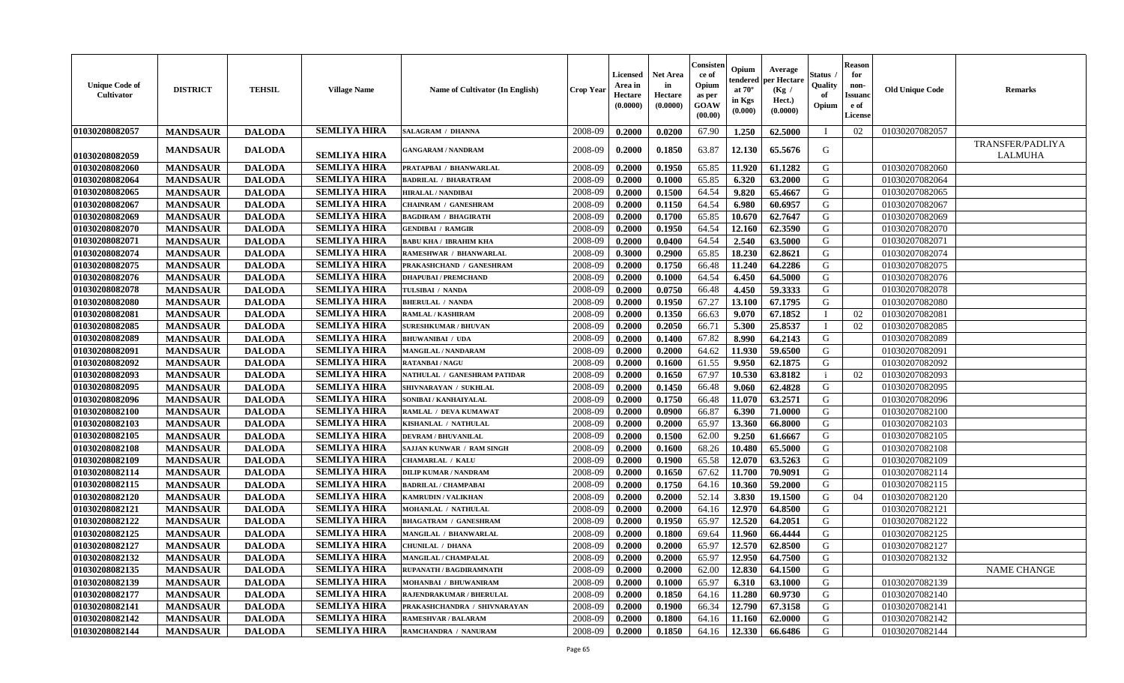| <b>Unique Code of</b><br>Cultivator | <b>DISTRICT</b> | <b>TEHSIL</b> | <b>Village Name</b> | <b>Name of Cultivator (In English)</b> | <b>Crop Year</b> | Licensed<br>Area in<br>Hectare<br>(0.0000) | <b>Net Area</b><br>in<br>Hectare<br>(0.0000) | Consister<br>ce of<br>Opium<br>as per<br><b>GOAW</b><br>(00.00) | Opium<br>tendered<br>at $70^{\circ}$<br>in Kgs<br>(0.000) | Average<br>per Hectare<br>(Kg /<br>Hect.)<br>(0.0000) | Status<br>Quality<br>of<br>Opium | <b>Reason</b><br>for<br>non-<br><b>Issuan</b><br>e of<br><b>License</b> | <b>Old Unique Code</b> | <b>Remarks</b>              |
|-------------------------------------|-----------------|---------------|---------------------|----------------------------------------|------------------|--------------------------------------------|----------------------------------------------|-----------------------------------------------------------------|-----------------------------------------------------------|-------------------------------------------------------|----------------------------------|-------------------------------------------------------------------------|------------------------|-----------------------------|
| 01030208082057                      | <b>MANDSAUR</b> | <b>DALODA</b> | <b>SEMLIYA HIRA</b> | <b>SALAGRAM / DHANNA</b>               | 2008-09          | 0.2000                                     | 0.0200                                       | 67.90                                                           | 1.250                                                     | 62.5000                                               |                                  | 02                                                                      | 01030207082057         |                             |
| 01030208082059                      | <b>MANDSAUR</b> | <b>DALODA</b> | <b>SEMLIYA HIRA</b> | <b>GANGARAM / NANDRAM</b>              | 2008-09          | 0.2000                                     | 0.1850                                       | 63.87                                                           | 12.130                                                    | 65.5676                                               | G                                |                                                                         |                        | TRANSFER/PADLIYA<br>LALMUHA |
| 01030208082060                      | <b>MANDSAUR</b> | <b>DALODA</b> | <b>SEMLIYA HIRA</b> | PRATAPBAI / BHANWARLAL                 | 2008-09          | 0.2000                                     | 0.1950                                       | 65.85                                                           | 11.920                                                    | 61.1282                                               | G                                |                                                                         | 01030207082060         |                             |
| 01030208082064                      | <b>MANDSAUR</b> | <b>DALODA</b> | <b>SEMLIYA HIRA</b> | <b>BADRILAL / BHARATRAM</b>            | 2008-09          | 0.2000                                     | 0.1000                                       | 65.85                                                           | 6.320                                                     | 63.2000                                               | G                                |                                                                         | 01030207082064         |                             |
| 01030208082065                      | <b>MANDSAUR</b> | <b>DALODA</b> | <b>SEMLIYA HIRA</b> | <b>HIRALAL / NANDIBAI</b>              | 2008-09          | 0.2000                                     | 0.1500                                       | 64.54                                                           | 9.820                                                     | 65.4667                                               | G                                |                                                                         | 01030207082065         |                             |
| 01030208082067                      | <b>MANDSAUR</b> | <b>DALODA</b> | <b>SEMLIYA HIRA</b> | <b>CHAINRAM / GANESHRAM</b>            | 2008-09          | 0.2000                                     | 0.1150                                       | 64.54                                                           | 6.980                                                     | 60.6957                                               | G                                |                                                                         | 01030207082067         |                             |
| 01030208082069                      | <b>MANDSAUR</b> | <b>DALODA</b> | <b>SEMLIYA HIRA</b> | <b>BAGDIRAM / BHAGIRATH</b>            | 2008-09          | 0.2000                                     | 0.1700                                       | 65.85                                                           | 10.670                                                    | 62.7647                                               | G                                |                                                                         | 01030207082069         |                             |
| 01030208082070                      | <b>MANDSAUR</b> | <b>DALODA</b> | <b>SEMLIYA HIRA</b> | <b>GENDIBAI / RAMGIR</b>               | 2008-09          | 0.2000                                     | 0.1950                                       | 64.54                                                           | 12.160                                                    | 62.3590                                               | G                                |                                                                         | 01030207082070         |                             |
| 01030208082071                      | <b>MANDSAUR</b> | <b>DALODA</b> | <b>SEMLIYA HIRA</b> | <b>BABU KHA / IBRAHIM KHA</b>          | 2008-09          | 0.2000                                     | 0.0400                                       | 64.54                                                           | 2.540                                                     | 63.5000                                               | G                                |                                                                         | 01030207082071         |                             |
| 01030208082074                      | <b>MANDSAUR</b> | <b>DALODA</b> | <b>SEMLIYA HIRA</b> | RAMESHWAR / BHANWARLAL                 | 2008-09          | 0.3000                                     | 0.2900                                       | 65.85                                                           | 18.230                                                    | 62.8621                                               | G                                |                                                                         | 01030207082074         |                             |
| 01030208082075                      | <b>MANDSAUR</b> | <b>DALODA</b> | <b>SEMLIYA HIRA</b> | PRAKASHCHAND / GANESHRAM               | 2008-09          | 0.2000                                     | 0.1750                                       | 66.48                                                           | 11.240                                                    | 64.2286                                               | G                                |                                                                         | 01030207082075         |                             |
| 01030208082076                      | <b>MANDSAUR</b> | <b>DALODA</b> | <b>SEMLIYA HIRA</b> | <b>DHAPUBAI/PREMCHAND</b>              | 2008-09          | 0.2000                                     | 0.1000                                       | 64.54                                                           | 6.450                                                     | 64.5000                                               | G                                |                                                                         | 01030207082076         |                             |
| 01030208082078                      | <b>MANDSAUR</b> | <b>DALODA</b> | <b>SEMLIYA HIRA</b> | TULSIBAI / NANDA                       | 2008-09          | 0.2000                                     | 0.0750                                       | 66.48                                                           | 4.450                                                     | 59.3333                                               | G                                |                                                                         | 01030207082078         |                             |
| 01030208082080                      | <b>MANDSAUR</b> | <b>DALODA</b> | <b>SEMLIYA HIRA</b> | <b>BHERULAL / NANDA</b>                | 2008-09          | 0.2000                                     | 0.1950                                       | 67.27                                                           | 13.100                                                    | 67.1795                                               | G                                |                                                                         | 01030207082080         |                             |
| 01030208082081                      | <b>MANDSAUR</b> | <b>DALODA</b> | <b>SEMLIYA HIRA</b> | <b>RAMLAL / KASHIRAM</b>               | 2008-09          | 0.2000                                     | 0.1350                                       | 66.63                                                           | 9.070                                                     | 67.1852                                               |                                  | 02                                                                      | 01030207082081         |                             |
| 01030208082085                      | <b>MANDSAUR</b> | <b>DALODA</b> | <b>SEMLIYA HIRA</b> | <b>SURESHKUMAR / BHUVAN</b>            | 2008-09          | 0.2000                                     | 0.2050                                       | 66.71                                                           | 5.300                                                     | 25.8537                                               | $\blacksquare$                   | 02                                                                      | 01030207082085         |                             |
| 01030208082089                      | <b>MANDSAUR</b> | <b>DALODA</b> | <b>SEMLIYA HIRA</b> | <b>BHUWANIBAI / UDA</b>                | 2008-09          | 0.2000                                     | 0.1400                                       | 67.82                                                           | 8.990                                                     | 64.2143                                               | G                                |                                                                         | 01030207082089         |                             |
| 01030208082091                      | <b>MANDSAUR</b> | <b>DALODA</b> | <b>SEMLIYA HIRA</b> | <b>MANGILAL / NANDARAM</b>             | 2008-09          | 0.2000                                     | 0.2000                                       | 64.62                                                           | 11.930                                                    | 59.6500                                               | G                                |                                                                         | 01030207082091         |                             |
| 01030208082092                      | <b>MANDSAUR</b> | <b>DALODA</b> | <b>SEMLIYA HIRA</b> | <b>RATANBAI/NAGU</b>                   | 2008-09          | 0.2000                                     | 0.1600                                       | 61.55                                                           | 9.950                                                     | 62.1875                                               | G                                |                                                                         | 01030207082092         |                             |
| 01030208082093                      | <b>MANDSAUR</b> | <b>DALODA</b> | <b>SEMLIYA HIRA</b> | NATHULAL / GANESHRAM PATIDAR           | 2008-09          | 0.2000                                     | 0.1650                                       | 67.97                                                           | 10.530                                                    | 63.8182                                               | -i                               | 02                                                                      | 01030207082093         |                             |
| 01030208082095                      | <b>MANDSAUR</b> | <b>DALODA</b> | <b>SEMLIYA HIRA</b> | SHIVNARAYAN / SUKHLAL                  | 2008-09          | 0.2000                                     | 0.1450                                       | 66.48                                                           | 9.060                                                     | 62.4828                                               | G                                |                                                                         | 01030207082095         |                             |
| 01030208082096                      | <b>MANDSAUR</b> | <b>DALODA</b> | <b>SEMLIYA HIRA</b> | SONIBAI / KANHAIYALAL                  | 2008-09          | 0.2000                                     | 0.1750                                       | 66.48                                                           | 11.070                                                    | 63.2571                                               | G                                |                                                                         | 01030207082096         |                             |
| 01030208082100                      | <b>MANDSAUR</b> | <b>DALODA</b> | <b>SEMLIYA HIRA</b> | RAMLAL / DEVA KUMAWAT                  | 2008-09          | 0.2000                                     | 0.0900                                       | 66.87                                                           | 6.390                                                     | 71.0000                                               | G                                |                                                                         | 01030207082100         |                             |
| 01030208082103                      | <b>MANDSAUR</b> | <b>DALODA</b> | <b>SEMLIYA HIRA</b> | KISHANLAL / NATHULAL                   | 2008-09          | 0.2000                                     | 0.2000                                       | 65.97                                                           | 13.360                                                    | 66.8000                                               | G                                |                                                                         | 01030207082103         |                             |
| 01030208082105                      | <b>MANDSAUR</b> | <b>DALODA</b> | <b>SEMLIYA HIRA</b> | <b>DEVRAM / BHUVANILAL</b>             | 2008-09          | 0.2000                                     | 0.1500                                       | 62.00                                                           | 9.250                                                     | 61.6667                                               | G                                |                                                                         | 01030207082105         |                             |
| 01030208082108                      | <b>MANDSAUR</b> | <b>DALODA</b> | <b>SEMLIYA HIRA</b> | <b>SAJJAN KUNWAR / RAM SINGH</b>       | 2008-09          | 0.2000                                     | 0.1600                                       | 68.26                                                           | 10.480                                                    | 65.5000                                               | G                                |                                                                         | 01030207082108         |                             |
| 01030208082109                      | <b>MANDSAUR</b> | <b>DALODA</b> | <b>SEMLIYA HIRA</b> | <b>CHAMARLAL / KALU</b>                | 2008-09          | 0.2000                                     | 0.1900                                       | 65.58                                                           | 12.070                                                    | 63.5263                                               | G                                |                                                                         | 01030207082109         |                             |
| 01030208082114                      | <b>MANDSAUR</b> | <b>DALODA</b> | <b>SEMLIYA HIRA</b> | <b>DILIP KUMAR / NANDRAM</b>           | 2008-09          | 0.2000                                     | 0.1650                                       | 67.62                                                           | 11.700                                                    | 70.9091                                               | G                                |                                                                         | 01030207082114         |                             |
| 01030208082115                      | <b>MANDSAUR</b> | <b>DALODA</b> | <b>SEMLIYA HIRA</b> | <b>BADRILAL / CHAMPABAI</b>            | 2008-09          | 0.2000                                     | 0.1750                                       | 64.16                                                           | 10.360                                                    | 59.2000                                               | G                                |                                                                         | 01030207082115         |                             |
| 01030208082120                      | <b>MANDSAUR</b> | <b>DALODA</b> | <b>SEMLIYA HIRA</b> | <b>KAMRUDIN / VALIKHAN</b>             | 2008-09          | 0.2000                                     | 0.2000                                       | 52.14                                                           | 3.830                                                     | 19.1500                                               | G                                | 04                                                                      | 01030207082120         |                             |
| 01030208082121                      | <b>MANDSAUR</b> | <b>DALODA</b> | <b>SEMLIYA HIRA</b> | MOHANLAL / NATHULAL                    | 2008-09          | 0.2000                                     | 0.2000                                       | 64.16                                                           | 12.970                                                    | 64.8500                                               | G                                |                                                                         | 01030207082121         |                             |
| 01030208082122                      | <b>MANDSAUR</b> | <b>DALODA</b> | <b>SEMLIYA HIRA</b> | <b>BHAGATRAM / GANESHRAM</b>           | 2008-09          | 0.2000                                     | 0.1950                                       | 65.97                                                           | 12.520                                                    | 64.2051                                               | G                                |                                                                         | 01030207082122         |                             |
| 01030208082125                      | <b>MANDSAUR</b> | <b>DALODA</b> | <b>SEMLIYA HIRA</b> | MANGILAL / BHANWARLAL                  | 2008-09          | 0.2000                                     | 0.1800                                       | 69.64                                                           | 11.960                                                    | 66.4444                                               | G                                |                                                                         | 01030207082125         |                             |
| 01030208082127                      | <b>MANDSAUR</b> | <b>DALODA</b> | <b>SEMLIYA HIRA</b> | <b>CHUNILAL / DHANA</b>                | 2008-09          | 0.2000                                     | 0.2000                                       | 65.97                                                           | 12.570                                                    | 62.8500                                               | G                                |                                                                         | 01030207082127         |                             |
| 01030208082132                      | <b>MANDSAUR</b> | <b>DALODA</b> | SEMLIYA HIRA        | <b>MANGILAL / CHAMPALAL</b>            | 2008-09          | 0.2000                                     | 0.2000                                       | 65.97                                                           |                                                           | $12.950 \mid 64.7500$                                 | G                                |                                                                         | 01030207082132         |                             |
| 01030208082135                      | <b>MANDSAUR</b> | <b>DALODA</b> | SEMLIYA HIRA        | RUPANATH / BAGDIRAMNATH                | 2008-09          | 0.2000                                     | 0.2000                                       | 62.00                                                           | 12.830                                                    | 64.1500                                               | G                                |                                                                         |                        | <b>NAME CHANGE</b>          |
| 01030208082139                      | <b>MANDSAUR</b> | <b>DALODA</b> | <b>SEMLIYA HIRA</b> | MOHANBAI / BHUWANIRAM                  | 2008-09          | 0.2000                                     | 0.1000                                       | 65.97                                                           | 6.310                                                     | 63.1000                                               | G                                |                                                                         | 01030207082139         |                             |
| 01030208082177                      | <b>MANDSAUR</b> | <b>DALODA</b> | <b>SEMLIYA HIRA</b> | RAJENDRAKUMAR / BHERULAL               | 2008-09          | 0.2000                                     | 0.1850                                       | 64.16                                                           | 11.280                                                    | 60.9730                                               | G                                |                                                                         | 01030207082140         |                             |
| 01030208082141                      | <b>MANDSAUR</b> | <b>DALODA</b> | <b>SEMLIYA HIRA</b> | PRAKASHCHANDRA / SHIVNARAYAN           | 2008-09          | 0.2000                                     | 0.1900                                       | 66.34                                                           | 12.790                                                    | 67.3158                                               | G                                |                                                                         | 01030207082141         |                             |
| 01030208082142                      | <b>MANDSAUR</b> | <b>DALODA</b> | <b>SEMLIYA HIRA</b> | <b>RAMESHVAR / BALARAM</b>             | 2008-09          | 0.2000                                     | 0.1800                                       | 64.16                                                           | 11.160                                                    | 62.0000                                               | G                                |                                                                         | 01030207082142         |                             |
| 01030208082144                      | <b>MANDSAUR</b> | <b>DALODA</b> | <b>SEMLIYA HIRA</b> | RAMCHANDRA / NANURAM                   | 2008-09          | 0.2000                                     | 0.1850                                       | 64.16                                                           | 12.330                                                    | 66.6486                                               | G                                |                                                                         | 01030207082144         |                             |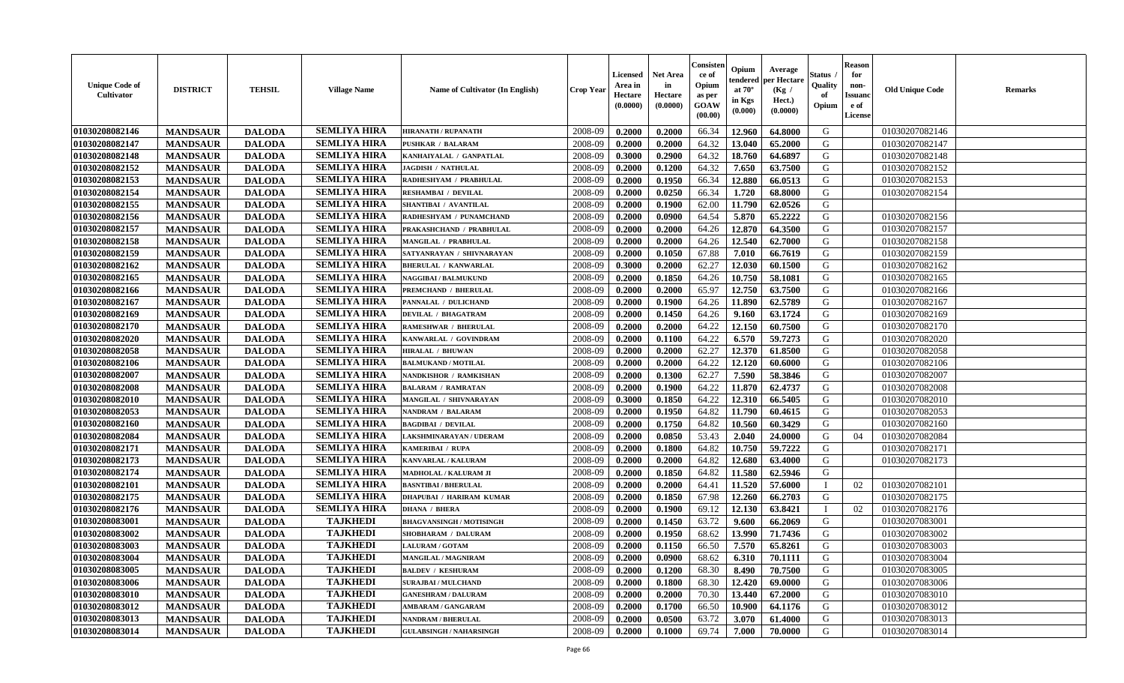| <b>Unique Code of</b><br><b>Cultivator</b> | <b>DISTRICT</b> | <b>TEHSIL</b> | <b>Village Name</b> | Name of Cultivator (In English) | <b>Crop Year</b> | Licensed<br>Area in<br>Hectare<br>(0.0000) | Net Area<br>in<br>Hectare<br>(0.0000) | Consisteı<br>ce of<br>Opium<br>as per<br>GOAW<br>(00.00) | Opium<br>endered<br>at $70^\circ$<br>in Kgs<br>(0.000) | Average<br>per Hectare<br>(Kg /<br>Hect.)<br>(0.0000) | Status<br>Quality<br>of<br>Opium | <b>Reason</b><br>for<br>non-<br>Issuanc<br>e of<br>License | <b>Old Unique Code</b> | Remarks |
|--------------------------------------------|-----------------|---------------|---------------------|---------------------------------|------------------|--------------------------------------------|---------------------------------------|----------------------------------------------------------|--------------------------------------------------------|-------------------------------------------------------|----------------------------------|------------------------------------------------------------|------------------------|---------|
| 01030208082146                             | <b>MANDSAUR</b> | <b>DALODA</b> | <b>SEMLIYA HIRA</b> | <b>HIRANATH / RUPANATH</b>      | 2008-09          | 0.2000                                     | 0.2000                                | 66.34                                                    | 12.960                                                 | 64.8000                                               | G                                |                                                            | 01030207082146         |         |
| 01030208082147                             | <b>MANDSAUR</b> | <b>DALODA</b> | <b>SEMLIYA HIRA</b> | <b>PUSHKAR / BALARAM</b>        | 2008-09          | 0.2000                                     | 0.2000                                | 64.32                                                    | 13.040                                                 | 65.2000                                               | G                                |                                                            | 01030207082147         |         |
| 01030208082148                             | <b>MANDSAUR</b> | <b>DALODA</b> | <b>SEMLIYA HIRA</b> | KANHAIYALAL / GANPATLAL         | 2008-09          | 0.3000                                     | 0.2900                                | 64.32                                                    | 18.760                                                 | 64.6897                                               | G                                |                                                            | 01030207082148         |         |
| 01030208082152                             | <b>MANDSAUR</b> | <b>DALODA</b> | <b>SEMLIYA HIRA</b> | <b>JAGDISH / NATHULAL</b>       | 2008-09          | 0.2000                                     | 0.1200                                | 64.32                                                    | 7.650                                                  | 63.7500                                               | G                                |                                                            | 01030207082152         |         |
| 01030208082153                             | <b>MANDSAUR</b> | <b>DALODA</b> | <b>SEMLIYA HIRA</b> | RADHESHYAM / PRABHULAL          | 2008-09          | 0.2000                                     | 0.1950                                | 66.34                                                    | 12.880                                                 | 66.0513                                               | G                                |                                                            | 01030207082153         |         |
| 01030208082154                             | <b>MANDSAUR</b> | <b>DALODA</b> | <b>SEMLIYA HIRA</b> | <b>RESHAMBAI / DEVILAL</b>      | 2008-09          | 0.2000                                     | 0.0250                                | 66.34                                                    | 1.720                                                  | 68.8000                                               | G                                |                                                            | 01030207082154         |         |
| 01030208082155                             | <b>MANDSAUR</b> | <b>DALODA</b> | <b>SEMLIYA HIRA</b> | SHANTIBAI / AVANTILAL           | 2008-09          | 0.2000                                     | 0.1900                                | 62.00                                                    | 11.790                                                 | 62.0526                                               | G                                |                                                            |                        |         |
| 01030208082156                             | <b>MANDSAUR</b> | <b>DALODA</b> | <b>SEMLIYA HIRA</b> | RADHESHYAM / PUNAMCHAND         | 2008-09          | 0.2000                                     | 0.0900                                | 64.54                                                    | 5.870                                                  | 65,2222                                               | G                                |                                                            | 01030207082156         |         |
| 01030208082157                             | <b>MANDSAUR</b> | <b>DALODA</b> | <b>SEMLIYA HIRA</b> | PRAKASHCHAND / PRABHULAL        | 2008-09          | 0.2000                                     | 0.2000                                | 64.26                                                    | 12.870                                                 | 64.3500                                               | G                                |                                                            | 01030207082157         |         |
| 01030208082158                             | <b>MANDSAUR</b> | <b>DALODA</b> | <b>SEMLIYA HIRA</b> | MANGILAL / PRABHULAL            | 2008-09          | 0.2000                                     | 0.2000                                | 64.26                                                    | 12.540                                                 | 62.7000                                               | G                                |                                                            | 01030207082158         |         |
| 01030208082159                             | <b>MANDSAUR</b> | <b>DALODA</b> | <b>SEMLIYA HIRA</b> | SATYANRAYAN / SHIVNARAYAN       | 2008-09          | 0.2000                                     | 0.1050                                | 67.88                                                    | 7.010                                                  | 66.7619                                               | G                                |                                                            | 01030207082159         |         |
| 01030208082162                             | <b>MANDSAUR</b> | <b>DALODA</b> | <b>SEMLIYA HIRA</b> | <b>BHERULAL / KANWARLAL</b>     | 2008-09          | 0.3000                                     | 0.2000                                | 62.27                                                    | 12.030                                                 | 60.1500                                               | G                                |                                                            | 01030207082162         |         |
| 01030208082165                             | <b>MANDSAUR</b> | <b>DALODA</b> | <b>SEMLIYA HIRA</b> | <b>NAGGIBAI / BALMUKUND</b>     | 2008-09          | 0.2000                                     | 0.1850                                | 64.26                                                    | 10.750                                                 | 58.1081                                               | G                                |                                                            | 01030207082165         |         |
| 01030208082166                             | <b>MANDSAUR</b> | <b>DALODA</b> | <b>SEMLIYA HIRA</b> | PREMCHAND / BHERULAL            | 2008-09          | 0.2000                                     | 0.2000                                | 65.97                                                    | 12.750                                                 | 63.7500                                               | G                                |                                                            | 01030207082166         |         |
| 01030208082167                             | <b>MANDSAUR</b> | <b>DALODA</b> | <b>SEMLIYA HIRA</b> | PANNALAL / DULICHAND            | 2008-09          | 0.2000                                     | 0.1900                                | 64.26                                                    | 11.890                                                 | 62.5789                                               | G                                |                                                            | 01030207082167         |         |
| 01030208082169                             | <b>MANDSAUR</b> | <b>DALODA</b> | <b>SEMLIYA HIRA</b> | <b>DEVILAL / BHAGATRAM</b>      | 2008-09          | 0.2000                                     | 0.1450                                | 64.26                                                    | 9.160                                                  | 63.1724                                               | G                                |                                                            | 01030207082169         |         |
| 01030208082170                             | <b>MANDSAUR</b> | <b>DALODA</b> | <b>SEMLIYA HIRA</b> | RAMESHWAR / BHERULAL            | 2008-09          | 0.2000                                     | 0.2000                                | 64.22                                                    | 12.150                                                 | 60.7500                                               | G                                |                                                            | 01030207082170         |         |
| 01030208082020                             | <b>MANDSAUR</b> | <b>DALODA</b> | <b>SEMLIYA HIRA</b> | KANWARLAL / GOVINDRAM           | 2008-09          | 0.2000                                     | 0.1100                                | 64.22                                                    | 6.570                                                  | 59.7273                                               | G                                |                                                            | 01030207082020         |         |
| 01030208082058                             | <b>MANDSAUR</b> | <b>DALODA</b> | <b>SEMLIYA HIRA</b> | <b>HIRALAL / BHUWAN</b>         | 2008-09          | 0.2000                                     | 0.2000                                | 62.27                                                    | 12.370                                                 | 61.8500                                               | G                                |                                                            | 01030207082058         |         |
| 01030208082106                             | <b>MANDSAUR</b> | <b>DALODA</b> | <b>SEMLIYA HIRA</b> | <b>BALMUKAND / MOTILAL</b>      | 2008-09          | 0.2000                                     | 0.2000                                | 64.22                                                    | 12.120                                                 | 60.6000                                               | G                                |                                                            | 01030207082106         |         |
| 01030208082007                             | <b>MANDSAUR</b> | <b>DALODA</b> | <b>SEMLIYA HIRA</b> | NANDKISHOR / RAMKISHAN          | 2008-09          | 0.2000                                     | 0.1300                                | 62.27                                                    | 7.590                                                  | 58.3846                                               | G                                |                                                            | 01030207082007         |         |
| 01030208082008                             | <b>MANDSAUR</b> | <b>DALODA</b> | <b>SEMLIYA HIRA</b> | <b>BALARAM / RAMRATAN</b>       | 2008-09          | 0.2000                                     | 0.1900                                | 64.22                                                    | 11.870                                                 | 62.4737                                               | G                                |                                                            | 01030207082008         |         |
| 01030208082010                             | <b>MANDSAUR</b> | <b>DALODA</b> | <b>SEMLIYA HIRA</b> | MANGILAL / SHIVNARAYAN          | 2008-09          | 0.3000                                     | 0.1850                                | 64.22                                                    | 12.310                                                 | 66.5405                                               | G                                |                                                            | 01030207082010         |         |
| 01030208082053                             | <b>MANDSAUR</b> | <b>DALODA</b> | <b>SEMLIYA HIRA</b> | NANDRAM / BALARAM               | 2008-09          | 0.2000                                     | 0.1950                                | 64.82                                                    | 11.790                                                 | 60.4615                                               | G                                |                                                            | 01030207082053         |         |
| 01030208082160                             | <b>MANDSAUR</b> | <b>DALODA</b> | <b>SEMLIYA HIRA</b> | <b>BAGDIBAI / DEVILAL</b>       | 2008-09          | 0.2000                                     | 0.1750                                | 64.82                                                    | 10.560                                                 | 60.3429                                               | G                                |                                                            | 01030207082160         |         |
| 01030208082084                             | <b>MANDSAUR</b> | <b>DALODA</b> | <b>SEMLIYA HIRA</b> | LAKSHMINARAYAN / UDERAM         | 2008-09          | 0.2000                                     | 0.0850                                | 53.43                                                    | 2.040                                                  | 24.0000                                               | G                                | 04                                                         | 01030207082084         |         |
| 01030208082171                             | <b>MANDSAUR</b> | <b>DALODA</b> | <b>SEMLIYA HIRA</b> | KAMERIBAI / RUPA                | 2008-09          | 0.2000                                     | 0.1800                                | 64.82                                                    | 10.750                                                 | 59.7222                                               | G                                |                                                            | 01030207082171         |         |
| 01030208082173                             | <b>MANDSAUR</b> | <b>DALODA</b> | <b>SEMLIYA HIRA</b> | KANVARLAL / KALURAM             | 2008-09          | 0.2000                                     | 0.2000                                | 64.82                                                    | 12.680                                                 | 63.4000                                               | G                                |                                                            | 01030207082173         |         |
| 01030208082174                             | <b>MANDSAUR</b> | <b>DALODA</b> | <b>SEMLIYA HIRA</b> | MADHOLAL / KALURAM JI           | 2008-09          | 0.2000                                     | 0.1850                                | 64.82                                                    | 11.580                                                 | 62.5946                                               | G                                |                                                            |                        |         |
| 01030208082101                             | <b>MANDSAUR</b> | <b>DALODA</b> | <b>SEMLIYA HIRA</b> | <b>BASNTIBAI / BHERULAL</b>     | 2008-09          | 0.2000                                     | 0.2000                                | 64.41                                                    | 11.520                                                 | 57.6000                                               | $\mathbf{I}$                     | 02                                                         | 01030207082101         |         |
| 01030208082175                             | <b>MANDSAUR</b> | <b>DALODA</b> | <b>SEMLIYA HIRA</b> | <b>DHAPUBAI / HARIRAM KUMAR</b> | 2008-09          | 0.2000                                     | 0.1850                                | 67.98                                                    | 12.260                                                 | 66.2703                                               | G                                |                                                            | 01030207082175         |         |
| 01030208082176                             | <b>MANDSAUR</b> | <b>DALODA</b> | <b>SEMLIYA HIRA</b> | <b>DHANA / BHERA</b>            | 2008-09          | 0.2000                                     | 0.1900                                | 69.12                                                    | 12.130                                                 | 63.8421                                               |                                  | 02                                                         | 01030207082176         |         |
| 01030208083001                             | <b>MANDSAUR</b> | <b>DALODA</b> | <b>TAJKHEDI</b>     | <b>BHAGVANSINGH / MOTISINGH</b> | 2008-09          | 0.2000                                     | 0.1450                                | 63.72                                                    | 9.600                                                  | 66.2069                                               | G                                |                                                            | 01030207083001         |         |
| 01030208083002                             | <b>MANDSAUR</b> | <b>DALODA</b> | <b>TAJKHEDI</b>     | SHOBHARAM / DALURAM             | 2008-09          | 0.2000                                     | 0.1950                                | 68.62                                                    | 13.990                                                 | 71.7436                                               | G                                |                                                            | 01030207083002         |         |
| 01030208083003                             | <b>MANDSAUR</b> | <b>DALODA</b> | <b>TAJKHEDI</b>     | <b>LALURAM / GOTAM</b>          | 2008-09          | 0.2000                                     | 0.1150                                | 66.50                                                    | 7.570                                                  | 65.8261                                               | G                                |                                                            | 01030207083003         |         |
| 01030208083004                             | <b>MANDSAUR</b> | <b>DALODA</b> | <b>TAJKHEDI</b>     | MANGILAL / MAGNIRAM             | 2008-09          | 0.2000                                     | 0.0900                                | 68.62                                                    | 6.310                                                  | 70.1111                                               | G                                |                                                            | 01030207083004         |         |
| 01030208083005                             | <b>MANDSAUR</b> | <b>DALODA</b> | <b>TAJKHEDI</b>     | <b>BALDEV / KESHURAM</b>        | 2008-09          | 0.2000                                     | 0.1200                                | 68.30                                                    | 8.490                                                  | 70.7500                                               | G                                |                                                            | 01030207083005         |         |
| 01030208083006                             | <b>MANDSAUR</b> | <b>DALODA</b> | <b>TAJKHEDI</b>     | <b>SURAJBAI / MULCHAND</b>      | 2008-09          | 0.2000                                     | 0.1800                                | 68.30                                                    | 12.420                                                 | 69.0000                                               | G                                |                                                            | 01030207083006         |         |
| 01030208083010                             | <b>MANDSAUR</b> | <b>DALODA</b> | <b>TAJKHEDI</b>     | <b>GANESHRAM / DALURAM</b>      | 2008-09          | 0.2000                                     | 0.2000                                | 70.30                                                    | 13.440                                                 | 67.2000                                               | G                                |                                                            | 01030207083010         |         |
| 01030208083012                             | <b>MANDSAUR</b> | <b>DALODA</b> | <b>TAJKHEDI</b>     | <b>AMBARAM / GANGARAM</b>       | 2008-09          | 0.2000                                     | 0.1700                                | 66.50                                                    | 10.900                                                 | 64.1176                                               | G                                |                                                            | 01030207083012         |         |
| 01030208083013                             | <b>MANDSAUR</b> | <b>DALODA</b> | <b>TAJKHEDI</b>     | <b>NANDRAM / BHERULAL</b>       | 2008-09          | 0.2000                                     | 0.0500                                | 63.72                                                    | 3.070                                                  | 61.4000                                               | G                                |                                                            | 01030207083013         |         |
| 01030208083014                             | <b>MANDSAUR</b> | <b>DALODA</b> | <b>TAJKHEDI</b>     | <b>GULABSINGH / NAHARSINGH</b>  | 2008-09          | 0.2000                                     | 0.1000                                | 69.74                                                    | 7.000                                                  | 70.0000                                               | G                                |                                                            | 01030207083014         |         |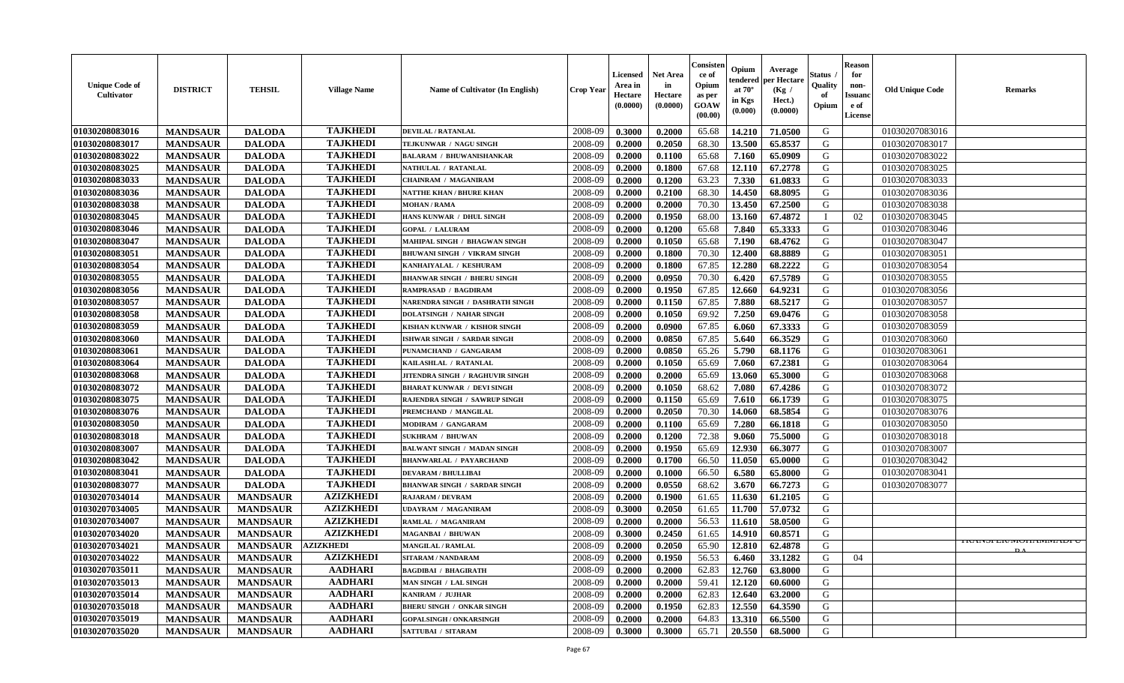| <b>Unique Code of</b><br>Cultivator | <b>DISTRICT</b> | <b>TEHSIL</b>   | <b>Village Name</b> | Name of Cultivator (In English)        | <b>Crop Year</b> | <b>Licensed</b><br>Area in<br>Hectare<br>(0.0000) | <b>Net Area</b><br>in<br>Hectare<br>(0.0000) | Consister<br>ce of<br>Opium<br>as per<br>GOAW<br>(00.00) | Opium<br>endered<br>at $70^{\circ}$<br>in Kgs<br>(0.000) | Average<br>per Hectare<br>(Kg /<br>Hect.)<br>(0.0000) | <b>Status</b><br>Quality<br>of<br>Opium | <b>Reason</b><br>for<br>non-<br><b>Issuand</b><br>e of<br>License | <b>Old Unique Code</b> | <b>Remarks</b>                    |
|-------------------------------------|-----------------|-----------------|---------------------|----------------------------------------|------------------|---------------------------------------------------|----------------------------------------------|----------------------------------------------------------|----------------------------------------------------------|-------------------------------------------------------|-----------------------------------------|-------------------------------------------------------------------|------------------------|-----------------------------------|
| 01030208083016                      | <b>MANDSAUR</b> | <b>DALODA</b>   | <b>TAJKHEDI</b>     | <b>DEVILAL / RATANLAL</b>              | 2008-09          | 0.3000                                            | 0.2000                                       | 65.68                                                    | 14.210                                                   | 71.0500                                               | G                                       |                                                                   | 01030207083016         |                                   |
| 01030208083017                      | <b>MANDSAUR</b> | <b>DALODA</b>   | <b>TAJKHEDI</b>     | TEJKUNWAR / NAGU SINGH                 | 2008-09          | 0.2000                                            | 0.2050                                       | 68.30                                                    | 13.500                                                   | 65.8537                                               | G                                       |                                                                   | 01030207083017         |                                   |
| 01030208083022                      | <b>MANDSAUR</b> | <b>DALODA</b>   | <b>TAJKHEDI</b>     | <b>BALARAM / BHUWANISHANKAR</b>        | 2008-09          | 0.2000                                            | 0.1100                                       | 65.68                                                    | 7.160                                                    | 65.0909                                               | G                                       |                                                                   | 01030207083022         |                                   |
| 01030208083025                      | <b>MANDSAUR</b> | <b>DALODA</b>   | <b>TAJKHEDI</b>     | NATHULAL / RATANLAL                    | 2008-09          | 0.2000                                            | 0.1800                                       | 67.68                                                    | 12.110                                                   | 67.2778                                               | G                                       |                                                                   | 01030207083025         |                                   |
| 01030208083033                      | <b>MANDSAUR</b> | <b>DALODA</b>   | <b>TAJKHEDI</b>     | <b>CHAINRAM / MAGANIRAM</b>            | 2008-09          | 0.2000                                            | 0.1200                                       | 63.23                                                    | 7.330                                                    | 61.0833                                               | G                                       |                                                                   | 01030207083033         |                                   |
| 01030208083036                      | <b>MANDSAUR</b> | <b>DALODA</b>   | <b>TAJKHEDI</b>     | NATTHE KHAN / BHURE KHAN               | 2008-09          | 0.2000                                            | 0.2100                                       | 68.30                                                    | 14.450                                                   | 68.8095                                               | G                                       |                                                                   | 01030207083036         |                                   |
| 01030208083038                      | <b>MANDSAUR</b> | <b>DALODA</b>   | <b>TAJKHEDI</b>     | <b>MOHAN / RAMA</b>                    | 2008-09          | 0.2000                                            | 0.2000                                       | 70.30                                                    | 13.450                                                   | 67.2500                                               | G                                       |                                                                   | 01030207083038         |                                   |
| 01030208083045                      | <b>MANDSAUR</b> | <b>DALODA</b>   | <b>TAJKHEDI</b>     | HANS KUNWAR / DHUL SINGH               | 2008-09          | 0.2000                                            | 0.1950                                       | 68.00                                                    | 13.160                                                   | 67.4872                                               | $\mathbf I$                             | 02                                                                | 01030207083045         |                                   |
| 01030208083046                      | <b>MANDSAUR</b> | <b>DALODA</b>   | <b>TAJKHEDI</b>     | <b>GOPAL / LALURAM</b>                 | 2008-09          | 0.2000                                            | 0.1200                                       | 65.68                                                    | 7.840                                                    | 65.3333                                               | G                                       |                                                                   | 01030207083046         |                                   |
| 01030208083047                      | <b>MANDSAUR</b> | <b>DALODA</b>   | <b>TAJKHEDI</b>     | MAHIPAL SINGH / BHAGWAN SINGH          | 2008-09          | 0.2000                                            | 0.1050                                       | 65.68                                                    | 7.190                                                    | 68.4762                                               | G                                       |                                                                   | 01030207083047         |                                   |
| 01030208083051                      | <b>MANDSAUR</b> | <b>DALODA</b>   | <b>TAJKHEDI</b>     | <b>BHUWANI SINGH / VIKRAM SINGH</b>    | 2008-09          | 0.2000                                            | 0.1800                                       | 70.30                                                    | 12.400                                                   | 68.8889                                               | G                                       |                                                                   | 01030207083051         |                                   |
| 01030208083054                      | <b>MANDSAUR</b> | <b>DALODA</b>   | <b>TAJKHEDI</b>     | KANHAIYALAL / KESHURAM                 | 2008-09          | 0.2000                                            | 0.1800                                       | 67.85                                                    | 12.280                                                   | 68.2222                                               | G                                       |                                                                   | 01030207083054         |                                   |
| 01030208083055                      | <b>MANDSAUR</b> | <b>DALODA</b>   | <b>TAJKHEDI</b>     | <b>BHANWAR SINGH / BHERU SINGH</b>     | 2008-09          | 0.2000                                            | 0.0950                                       | 70.30                                                    | 6.420                                                    | 67.5789                                               | G                                       |                                                                   | 01030207083055         |                                   |
| 01030208083056                      | <b>MANDSAUR</b> | <b>DALODA</b>   | <b>TAJKHEDI</b>     | <b>RAMPRASAD / BAGDIRAM</b>            | 2008-09          | 0.2000                                            | 0.1950                                       | 67.85                                                    | 12.660                                                   | 64.9231                                               | G                                       |                                                                   | 01030207083056         |                                   |
| 01030208083057                      | <b>MANDSAUR</b> | <b>DALODA</b>   | <b>TAJKHEDI</b>     | <b>NARENDRA SINGH / DASHRATH SINGH</b> | 2008-09          | 0.2000                                            | 0.1150                                       | 67.85                                                    | 7.880                                                    | 68.5217                                               | G                                       |                                                                   | 01030207083057         |                                   |
| 01030208083058                      | <b>MANDSAUR</b> | <b>DALODA</b>   | <b>TAJKHEDI</b>     | <b>DOLATSINGH / NAHAR SINGH</b>        | 2008-09          | 0.2000                                            | 0.1050                                       | 69.92                                                    | 7.250                                                    | 69.0476                                               | G                                       |                                                                   | 01030207083058         |                                   |
| 01030208083059                      | <b>MANDSAUR</b> | <b>DALODA</b>   | <b>TAJKHEDI</b>     | KISHAN KUNWAR / KISHOR SINGH           | 2008-09          | 0.2000                                            | 0.0900                                       | 67.85                                                    | 6.060                                                    | 67.3333                                               | G                                       |                                                                   | 01030207083059         |                                   |
| 01030208083060                      | <b>MANDSAUR</b> | <b>DALODA</b>   | <b>TAJKHEDI</b>     | ISHWAR SINGH / SARDAR SINGH            | 2008-09          | 0.2000                                            | 0.0850                                       | 67.85                                                    | 5.640                                                    | 66.3529                                               | G                                       |                                                                   | 01030207083060         |                                   |
| 01030208083061                      | <b>MANDSAUR</b> | <b>DALODA</b>   | <b>TAJKHEDI</b>     | PUNAMCHAND / GANGARAM                  | 2008-09          | 0.2000                                            | 0.0850                                       | 65.26                                                    | 5.790                                                    | 68.1176                                               | G                                       |                                                                   | 01030207083061         |                                   |
| 01030208083064                      | <b>MANDSAUR</b> | <b>DALODA</b>   | <b>TAJKHEDI</b>     | KAILASHLAL / RATANLAL                  | 2008-09          | 0.2000                                            | 0.1050                                       | 65.69                                                    | 7.060                                                    | 67.2381                                               | G                                       |                                                                   | 01030207083064         |                                   |
| 01030208083068                      | <b>MANDSAUR</b> | <b>DALODA</b>   | <b>TAJKHEDI</b>     | JITENDRA SINGH / RAGHUVIR SINGH        | 2008-09          | 0.2000                                            | 0.2000                                       | 65.69                                                    | 13.060                                                   | 65.3000                                               | G                                       |                                                                   | 01030207083068         |                                   |
| 01030208083072                      | <b>MANDSAUR</b> | <b>DALODA</b>   | <b>TAJKHEDI</b>     | <b>BHARAT KUNWAR / DEVI SINGH</b>      | 2008-09          | 0.2000                                            | 0.1050                                       | 68.62                                                    | 7.080                                                    | 67.4286                                               | G                                       |                                                                   | 01030207083072         |                                   |
| 01030208083075                      | <b>MANDSAUR</b> | <b>DALODA</b>   | <b>TAJKHEDI</b>     | RAJENDRA SINGH / SAWRUP SINGH          | 2008-09          | 0.2000                                            | 0.1150                                       | 65.69                                                    | 7.610                                                    | 66.1739                                               | G                                       |                                                                   | 01030207083075         |                                   |
| 01030208083076                      | <b>MANDSAUR</b> | <b>DALODA</b>   | <b>TAJKHEDI</b>     | PREMCHAND / MANGILAL                   | 2008-09          | 0.2000                                            | 0.2050                                       | 70.30                                                    | 14.060                                                   | 68.5854                                               | G                                       |                                                                   | 01030207083076         |                                   |
| 01030208083050                      | <b>MANDSAUR</b> | <b>DALODA</b>   | <b>TAJKHEDI</b>     | MODIRAM / GANGARAM                     | 2008-09          | 0.2000                                            | 0.1100                                       | 65.69                                                    | 7.280                                                    | 66.1818                                               | G                                       |                                                                   | 01030207083050         |                                   |
| 01030208083018                      | <b>MANDSAUR</b> | <b>DALODA</b>   | <b>TAJKHEDI</b>     | <b>SUKHRAM / BHUWAN</b>                | 2008-09          | 0.2000                                            | 0.1200                                       | 72.38                                                    | 9.060                                                    | 75.5000                                               | G                                       |                                                                   | 01030207083018         |                                   |
| 01030208083007                      | <b>MANDSAUR</b> | <b>DALODA</b>   | <b>TAJKHEDI</b>     | <b>BALWANT SINGH / MADAN SINGH</b>     | 2008-09          | 0.2000                                            | 0.1950                                       | 65.69                                                    | 12.930                                                   | 66.3077                                               | G                                       |                                                                   | 01030207083007         |                                   |
| 01030208083042                      | <b>MANDSAUR</b> | <b>DALODA</b>   | <b>TAJKHEDI</b>     | <b>BHANWARLAL / PAYARCHAND</b>         | 2008-09          | 0.2000                                            | 0.1700                                       | 66.50                                                    | 11.050                                                   | 65.0000                                               | G                                       |                                                                   | 01030207083042         |                                   |
| 01030208083041                      | <b>MANDSAUR</b> | <b>DALODA</b>   | <b>TAJKHEDI</b>     | <b>DEVARAM / BHULLIBAI</b>             | 2008-09          | 0.2000                                            | 0.1000                                       | 66.50                                                    | 6.580                                                    | 65.8000                                               | G                                       |                                                                   | 01030207083041         |                                   |
| 01030208083077                      | <b>MANDSAUR</b> | <b>DALODA</b>   | <b>TAJKHEDI</b>     | <b>BHANWAR SINGH / SARDAR SINGH</b>    | 2008-09          | 0.2000                                            | 0.0550                                       | 68.62                                                    | 3.670                                                    | 66.7273                                               | G                                       |                                                                   | 01030207083077         |                                   |
| 01030207034014                      | <b>MANDSAUR</b> | <b>MANDSAUR</b> | <b>AZIZKHEDI</b>    | RAJARAM / DEVRAM                       | 2008-09          | 0.2000                                            | 0.1900                                       | 61.65                                                    | 11.630                                                   | 61.2105                                               | ${\bf G}$                               |                                                                   |                        |                                   |
| 01030207034005                      | <b>MANDSAUR</b> | <b>MANDSAUR</b> | <b>AZIZKHEDI</b>    | <b>UDAYRAM / MAGANIRAM</b>             | 2008-09          | 0.3000                                            | 0.2050                                       | 61.65                                                    | 11.700                                                   | 57.0732                                               | G                                       |                                                                   |                        |                                   |
| 01030207034007                      | <b>MANDSAUR</b> | <b>MANDSAUR</b> | <b>AZIZKHEDI</b>    | RAMLAL / MAGANIRAM                     | 2008-09          | 0.2000                                            | 0.2000                                       | 56.53                                                    | 11.610                                                   | 58.0500                                               | G                                       |                                                                   |                        |                                   |
| 01030207034020                      | <b>MANDSAUR</b> | <b>MANDSAUR</b> | <b>AZIZKHEDI</b>    | MAGANBAI / BHUWAN                      | 2008-09          | 0.3000                                            | 0.2450                                       | 61.65                                                    | 14.910                                                   | 60.8571                                               | G                                       |                                                                   |                        |                                   |
| 01030207034021                      | <b>MANDSAUR</b> | <b>MANDSAUR</b> | <b>AZIZKHEDI</b>    | <b>MANGILAL / RAMLAL</b>               | 2008-09          | 0.2000                                            | 0.2050                                       | 65.90                                                    | 12.810                                                   | 62.4878                                               | G                                       |                                                                   |                        | <b>I KAINSFEIVINIUHAININIADPU</b> |
| 01030207034022                      | <b>MANDSAUR</b> | <b>MANDSAUR</b> | <b>AZIZKHEDI</b>    | <b>SITARAM / NANDARAM</b>              | 2008-09          | 0.2000                                            | 0.1950                                       | 56.53                                                    | 6.460                                                    | 33.1282                                               | G                                       | 04                                                                |                        |                                   |
| 01030207035011                      | <b>MANDSAUR</b> | <b>MANDSAUR</b> | <b>AADHARI</b>      | <b>BAGDIBAI / BHAGIRATH</b>            | 2008-09          | 0.2000                                            | 0.2000                                       | 62.83                                                    | 12.760                                                   | 63.8000                                               | G                                       |                                                                   |                        |                                   |
| 01030207035013                      | <b>MANDSAUR</b> | <b>MANDSAUR</b> | <b>AADHARI</b>      | MAN SINGH / LAL SINGH                  | 2008-09          | 0.2000                                            | 0.2000                                       | 59.41                                                    | 12.120                                                   | 60.6000                                               | G                                       |                                                                   |                        |                                   |
| 01030207035014                      | <b>MANDSAUR</b> | <b>MANDSAUR</b> | <b>AADHARI</b>      | KANIRAM / JUJHAR                       | 2008-09          | 0.2000                                            | 0.2000                                       | 62.83                                                    | 12.640                                                   | 63.2000                                               | G                                       |                                                                   |                        |                                   |
| 01030207035018                      | <b>MANDSAUR</b> | <b>MANDSAUR</b> | <b>AADHARI</b>      | <b>BHERU SINGH / ONKAR SINGH</b>       | 2008-09          | 0.2000                                            | 0.1950                                       | 62.83                                                    | 12.550                                                   | 64.3590                                               | G                                       |                                                                   |                        |                                   |
| 01030207035019                      | <b>MANDSAUR</b> | <b>MANDSAUR</b> | <b>AADHARI</b>      | <b>GOPALSINGH / ONKARSINGH</b>         | 2008-09          | 0.2000                                            | 0.2000                                       | 64.83                                                    | 13.310                                                   | 66.5500                                               | G                                       |                                                                   |                        |                                   |
| 01030207035020                      | <b>MANDSAUR</b> | <b>MANDSAUR</b> | <b>AADHARI</b>      | SATTUBAI / SITARAM                     | 2008-09          | 0.3000                                            | 0.3000                                       | 65.71                                                    | 20.550                                                   | 68.5000                                               | G                                       |                                                                   |                        |                                   |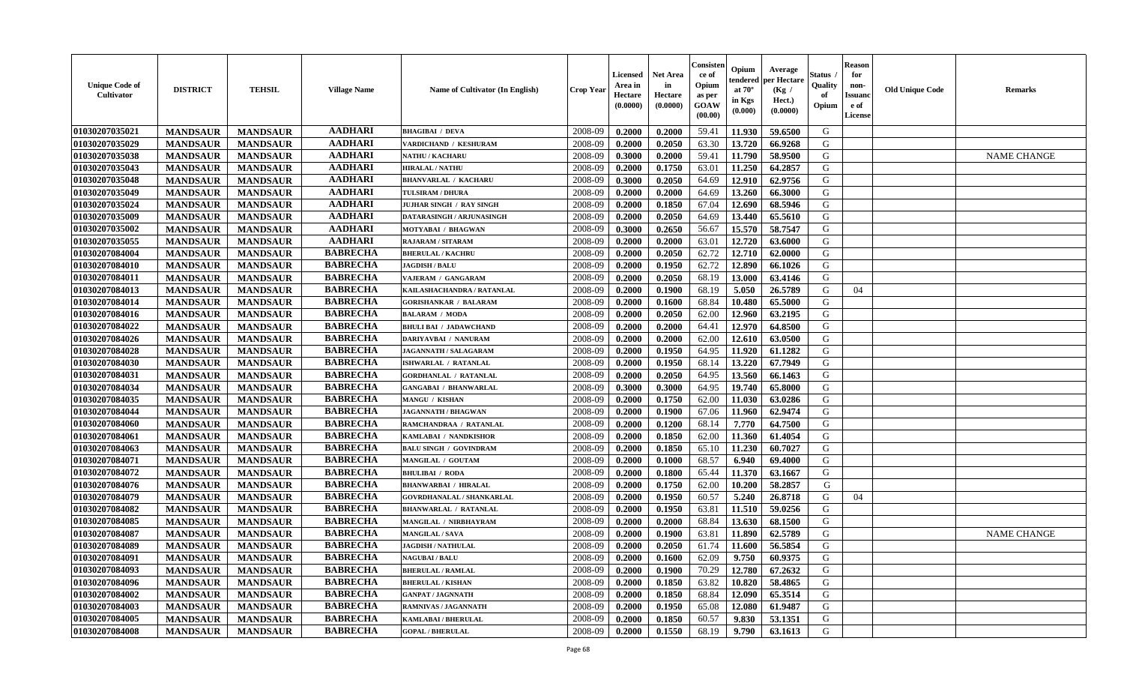| <b>Unique Code of</b><br>Cultivator | <b>DISTRICT</b> | <b>TEHSIL</b>   | <b>Village Name</b> | Name of Cultivator (In English)   | <b>Crop Year</b> | <b>Licensed</b><br>Area in<br>Hectare<br>(0.0000) | <b>Net Area</b><br>in<br>Hectare<br>(0.0000) | Consister<br>ce of<br>Opium<br>as per<br>GOAW<br>(00.00) | Opium<br>endered<br>at $70^\circ$<br>in Kgs<br>(0.000) | Average<br>per Hectare<br>(Kg /<br>Hect.)<br>(0.0000) | <b>Status</b><br>Quality<br>of<br>Opium | <b>Reason</b><br>for<br>non-<br><b>Issuanc</b><br>e of<br>License | <b>Old Unique Code</b> | <b>Remarks</b>     |
|-------------------------------------|-----------------|-----------------|---------------------|-----------------------------------|------------------|---------------------------------------------------|----------------------------------------------|----------------------------------------------------------|--------------------------------------------------------|-------------------------------------------------------|-----------------------------------------|-------------------------------------------------------------------|------------------------|--------------------|
| 01030207035021                      | <b>MANDSAUR</b> | <b>MANDSAUR</b> | <b>AADHARI</b>      | <b>BHAGIBAI / DEVA</b>            | 2008-09          | 0.2000                                            | 0.2000                                       | 59.41                                                    | 11.930                                                 | 59.6500                                               | G                                       |                                                                   |                        |                    |
| 01030207035029                      | <b>MANDSAUR</b> | <b>MANDSAUR</b> | <b>AADHARI</b>      | VARDICHAND / KESHURAM             | 2008-09          | 0.2000                                            | 0.2050                                       | 63.30                                                    | 13.720                                                 | 66.9268                                               | G                                       |                                                                   |                        |                    |
| 01030207035038                      | <b>MANDSAUR</b> | <b>MANDSAUR</b> | <b>AADHARI</b>      | <b>NATHU / KACHARU</b>            | 2008-09          | 0.3000                                            | 0.2000                                       | 59.41                                                    | 11.790                                                 | 58.9500                                               | G                                       |                                                                   |                        | <b>NAME CHANGE</b> |
| 01030207035043                      | <b>MANDSAUR</b> | <b>MANDSAUR</b> | <b>AADHARI</b>      | <b>HIRALAL / NATHU</b>            | 2008-09          | 0.2000                                            | 0.1750                                       | 63.01                                                    | 11.250                                                 | 64.2857                                               | G                                       |                                                                   |                        |                    |
| 01030207035048                      | <b>MANDSAUR</b> | <b>MANDSAUR</b> | <b>AADHARI</b>      | <b>BHANVARLAL / KACHARU</b>       | 2008-09          | 0.3000                                            | 0.2050                                       | 64.69                                                    | 12.910                                                 | 62.9756                                               | G                                       |                                                                   |                        |                    |
| 01030207035049                      | <b>MANDSAUR</b> | <b>MANDSAUR</b> | <b>AADHARI</b>      | <b>TULSIRAM / DHURA</b>           | 2008-09          | 0.2000                                            | 0.2000                                       | 64.69                                                    | 13.260                                                 | 66.3000                                               | G                                       |                                                                   |                        |                    |
| 01030207035024                      | <b>MANDSAUR</b> | <b>MANDSAUR</b> | <b>AADHARI</b>      | JUJHAR SINGH / RAY SINGH          | 2008-09          | 0.2000                                            | 0.1850                                       | 67.04                                                    | 12.690                                                 | 68.5946                                               | G                                       |                                                                   |                        |                    |
| 01030207035009                      | <b>MANDSAUR</b> | <b>MANDSAUR</b> | <b>AADHARI</b>      | DATARASINGH / ARJUNASINGH         | 2008-09          | 0.2000                                            | 0.2050                                       | 64.69                                                    | 13.440                                                 | 65.5610                                               | G                                       |                                                                   |                        |                    |
| 01030207035002                      | <b>MANDSAUR</b> | <b>MANDSAUR</b> | <b>AADHARI</b>      | MOTYABAI / BHAGWAN                | 2008-09          | 0.3000                                            | 0.2650                                       | 56.67                                                    | 15.570                                                 | 58.7547                                               | G                                       |                                                                   |                        |                    |
| 01030207035055                      | <b>MANDSAUR</b> | <b>MANDSAUR</b> | <b>AADHARI</b>      | RAJARAM / SITARAM                 | 2008-09          | 0.2000                                            | 0.2000                                       | 63.01                                                    | 12.720                                                 | 63.6000                                               | G                                       |                                                                   |                        |                    |
| 01030207084004                      | <b>MANDSAUR</b> | <b>MANDSAUR</b> | <b>BABRECHA</b>     | <b>BHERULAL / KACHRU</b>          | 2008-09          | 0.2000                                            | 0.2050                                       | 62.72                                                    | 12.710                                                 | 62.0000                                               | $\mathbf G$                             |                                                                   |                        |                    |
| 01030207084010                      | <b>MANDSAUR</b> | <b>MANDSAUR</b> | <b>BABRECHA</b>     | <b>JAGDISH / BALU</b>             | 2008-09          | 0.2000                                            | 0.1950                                       | 62.72                                                    | 12.890                                                 | 66.1026                                               | G                                       |                                                                   |                        |                    |
| 01030207084011                      | <b>MANDSAUR</b> | <b>MANDSAUR</b> | <b>BABRECHA</b>     | VAJERAM / GANGARAM                | 2008-09          | 0.2000                                            | 0.2050                                       | 68.19                                                    | 13.000                                                 | 63.4146                                               | G                                       |                                                                   |                        |                    |
| 01030207084013                      | <b>MANDSAUR</b> | <b>MANDSAUR</b> | <b>BABRECHA</b>     | <b>KAILASHACHANDRA / RATANLAL</b> | 2008-09          | 0.2000                                            | 0.1900                                       | 68.19                                                    | 5.050                                                  | 26.5789                                               | G                                       | 04                                                                |                        |                    |
| 01030207084014                      | <b>MANDSAUR</b> | <b>MANDSAUR</b> | <b>BABRECHA</b>     | <b>GORISHANKAR / BALARAM</b>      | 2008-09          | 0.2000                                            | 0.1600                                       | 68.84                                                    | 10.480                                                 | 65.5000                                               | G                                       |                                                                   |                        |                    |
| 01030207084016                      | <b>MANDSAUR</b> | <b>MANDSAUR</b> | <b>BABRECHA</b>     | <b>BALARAM / MODA</b>             | 2008-09          | 0.2000                                            | 0.2050                                       | 62.00                                                    | 12.960                                                 | 63.2195                                               | G                                       |                                                                   |                        |                    |
| 01030207084022                      | <b>MANDSAUR</b> | <b>MANDSAUR</b> | <b>BABRECHA</b>     | <b>BHULI BAI / JADAWCHAND</b>     | 2008-09          | 0.2000                                            | 0.2000                                       | 64.41                                                    | 12.970                                                 | 64.8500                                               | G                                       |                                                                   |                        |                    |
| 01030207084026                      | <b>MANDSAUR</b> | <b>MANDSAUR</b> | <b>BABRECHA</b>     | DARIYAVBAI / NANURAM              | 2008-09          | 0.2000                                            | 0.2000                                       | 62.00                                                    | 12.610                                                 | 63.0500                                               | G                                       |                                                                   |                        |                    |
| 01030207084028                      | <b>MANDSAUR</b> | <b>MANDSAUR</b> | <b>BABRECHA</b>     | <b>JAGANNATH / SALAGARAM</b>      | 2008-09          | 0.2000                                            | 0.1950                                       | 64.95                                                    | 11.920                                                 | 61.1282                                               | G                                       |                                                                   |                        |                    |
| 01030207084030                      | <b>MANDSAUR</b> | <b>MANDSAUR</b> | <b>BABRECHA</b>     | ISHWARLAL / RATANLAL              | 2008-09          | 0.2000                                            | 0.1950                                       | 68.14                                                    | 13.220                                                 | 67.7949                                               | G                                       |                                                                   |                        |                    |
| 01030207084031                      | <b>MANDSAUR</b> | <b>MANDSAUR</b> | <b>BABRECHA</b>     | <b>GORDHANLAL / RATANLAL</b>      | 2008-09          | 0.2000                                            | 0.2050                                       | 64.95                                                    | 13.560                                                 | 66.1463                                               | G                                       |                                                                   |                        |                    |
| 01030207084034                      | <b>MANDSAUR</b> | <b>MANDSAUR</b> | <b>BABRECHA</b>     | <b>GANGABAI / BHANWARLAL</b>      | 2008-09          | 0.3000                                            | 0.3000                                       | 64.95                                                    | 19.740                                                 | 65.8000                                               | G                                       |                                                                   |                        |                    |
| 01030207084035                      | <b>MANDSAUR</b> | <b>MANDSAUR</b> | <b>BABRECHA</b>     | <b>MANGU / KISHAN</b>             | 2008-09          | 0.2000                                            | 0.1750                                       | 62.00                                                    | 11.030                                                 | 63.0286                                               | ${\bf G}$                               |                                                                   |                        |                    |
| 01030207084044                      | <b>MANDSAUR</b> | <b>MANDSAUR</b> | <b>BABRECHA</b>     | <b>JAGANNATH / BHAGWAN</b>        | 2008-09          | 0.2000                                            | 0.1900                                       | 67.06                                                    | 11.960                                                 | 62.9474                                               | G                                       |                                                                   |                        |                    |
| 01030207084060                      | <b>MANDSAUR</b> | <b>MANDSAUR</b> | <b>BABRECHA</b>     | RAMCHANDRAA / RATANLAL            | 2008-09          | 0.2000                                            | 0.1200                                       | 68.14                                                    | 7.770                                                  | 64.7500                                               | G                                       |                                                                   |                        |                    |
| 01030207084061                      | <b>MANDSAUR</b> | <b>MANDSAUR</b> | <b>BABRECHA</b>     | KAMLABAI / NANDKISHOR             | 2008-09          | 0.2000                                            | 0.1850                                       | 62.00                                                    | 11.360                                                 | 61.4054                                               | G                                       |                                                                   |                        |                    |
| 01030207084063                      | <b>MANDSAUR</b> | <b>MANDSAUR</b> | <b>BABRECHA</b>     | <b>BALU SINGH / GOVINDRAM</b>     | 2008-09          | 0.2000                                            | 0.1850                                       | 65.10                                                    | 11.230                                                 | 60.7027                                               | G                                       |                                                                   |                        |                    |
| 01030207084071                      | <b>MANDSAUR</b> | <b>MANDSAUR</b> | <b>BABRECHA</b>     | MANGILAL / GOUTAM                 | 2008-09          | 0.2000                                            | 0.1000                                       | 68.57                                                    | 6.940                                                  | 69.4000                                               | G                                       |                                                                   |                        |                    |
| 01030207084072                      | <b>MANDSAUR</b> | <b>MANDSAUR</b> | <b>BABRECHA</b>     | <b>BHULIBAI / RODA</b>            | 2008-09          | 0.2000                                            | 0.1800                                       | 65.44                                                    | 11.370                                                 | 63.1667                                               | G                                       |                                                                   |                        |                    |
| 01030207084076                      | <b>MANDSAUR</b> | <b>MANDSAUR</b> | <b>BABRECHA</b>     | <b>BHANWARBAI / HIRALAL</b>       | 2008-09          | 0.2000                                            | 0.1750                                       | 62.00                                                    | 10.200                                                 | 58.2857                                               | G                                       |                                                                   |                        |                    |
| 01030207084079                      | <b>MANDSAUR</b> | <b>MANDSAUR</b> | <b>BABRECHA</b>     | GOVRDHANALAL / SHANKARLAL         | 2008-09          | 0.2000                                            | 0.1950                                       | 60.57                                                    | 5.240                                                  | 26.8718                                               | G                                       | 04                                                                |                        |                    |
| 01030207084082                      | <b>MANDSAUR</b> | <b>MANDSAUR</b> | <b>BABRECHA</b>     | <b>BHANWARLAL / RATANLAL</b>      | 2008-09          | 0.2000                                            | 0.1950                                       | 63.81                                                    | 11.510                                                 | 59.0256                                               | G                                       |                                                                   |                        |                    |
| 01030207084085                      | <b>MANDSAUR</b> | <b>MANDSAUR</b> | <b>BABRECHA</b>     | MANGILAL / NIRBHAYRAM             | 2008-09          | 0.2000                                            | 0.2000                                       | 68.84                                                    | 13.630                                                 | 68.1500                                               | G                                       |                                                                   |                        |                    |
| 01030207084087                      | <b>MANDSAUR</b> | <b>MANDSAUR</b> | <b>BABRECHA</b>     | MANGILAL / SAVA                   | 2008-09          | 0.2000                                            | 0.1900                                       | 63.81                                                    | 11.890                                                 | 62.5789                                               | G                                       |                                                                   |                        | <b>NAME CHANGE</b> |
| 01030207084089                      | <b>MANDSAUR</b> | <b>MANDSAUR</b> | <b>BABRECHA</b>     | <b>JAGDISH / NATHULAL</b>         | 2008-09          | 0.2000                                            | 0.2050                                       | 61.74                                                    | 11.600                                                 | 56.5854                                               | G                                       |                                                                   |                        |                    |
| 01030207084091                      | <b>MANDSAUR</b> | <b>MANDSAUR</b> | <b>BABRECHA</b>     | <b>NAGUBAI/BALU</b>               | 2008-09          | 0.2000                                            | 0.1600                                       | 62.09                                                    | 9.750                                                  | 60.9375                                               | G                                       |                                                                   |                        |                    |
| 01030207084093                      | <b>MANDSAUR</b> | <b>MANDSAUR</b> | <b>BABRECHA</b>     | <b>BHERULAL / RAMLAL</b>          | 2008-09          | 0.2000                                            | 0.1900                                       | 70.29                                                    | 12.780                                                 | 67.2632                                               | G                                       |                                                                   |                        |                    |
| 01030207084096                      | <b>MANDSAUR</b> | <b>MANDSAUR</b> | <b>BABRECHA</b>     | <b>BHERULAL / KISHAN</b>          | 2008-09          | 0.2000                                            | 0.1850                                       | 63.82                                                    | 10.820                                                 | 58.4865                                               | G                                       |                                                                   |                        |                    |
| 01030207084002                      | <b>MANDSAUR</b> | <b>MANDSAUR</b> | <b>BABRECHA</b>     | <b>GANPAT / JAGNNATH</b>          | 2008-09          | 0.2000                                            | 0.1850                                       | 68.84                                                    | 12.090                                                 | 65.3514                                               | ${\bf G}$                               |                                                                   |                        |                    |
| 01030207084003                      | <b>MANDSAUR</b> | <b>MANDSAUR</b> | <b>BABRECHA</b>     | RAMNIVAS / JAGANNATH              | 2008-09          | 0.2000                                            | 0.1950                                       | 65.08                                                    | 12.080                                                 | 61.9487                                               | G                                       |                                                                   |                        |                    |
| 01030207084005                      | <b>MANDSAUR</b> | <b>MANDSAUR</b> | <b>BABRECHA</b>     | <b>KAMLABAI/BHERULAL</b>          | 2008-09          | 0.2000                                            | 0.1850                                       | 60.57                                                    | 9.830                                                  | 53.1351                                               | G                                       |                                                                   |                        |                    |
| 01030207084008                      | <b>MANDSAUR</b> | <b>MANDSAUR</b> | <b>BABRECHA</b>     | <b>GOPAL / BHERULAL</b>           | 2008-09          | 0.2000                                            | 0.1550                                       | 68.19                                                    | 9.790                                                  | 63.1613                                               | G                                       |                                                                   |                        |                    |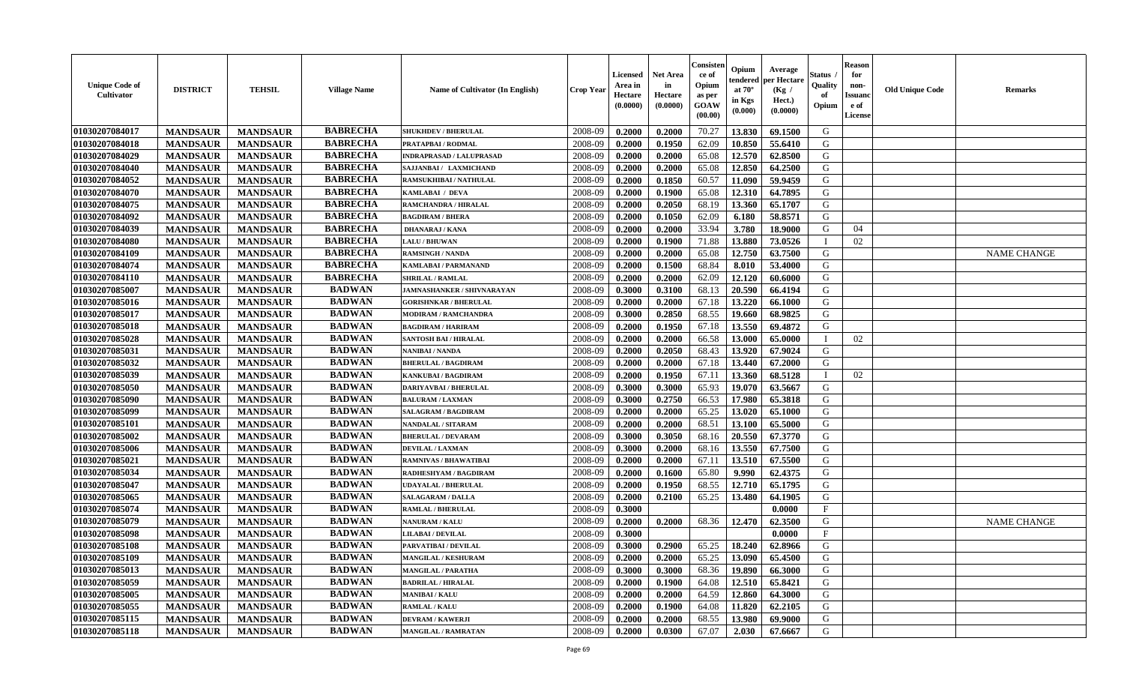| <b>Unique Code of</b><br><b>Cultivator</b> | <b>DISTRICT</b> | <b>TEHSIL</b>   | <b>Village Name</b> | Name of Cultivator (In English)   | <b>Crop Year</b> | <b>Licensed</b><br>Area in<br>Hectare<br>(0.0000) | <b>Net Area</b><br>in<br>Hectare<br>(0.0000) | Consisteı<br>ce of<br>Opium<br>as per<br>GOAW<br>(00.00) | Opium<br>endered<br>at $70^\circ$<br>in Kgs<br>(0.000) | Average<br>oer Hectare<br>(Kg /<br>Hect.)<br>(0.0000) | Status<br>Quality<br>of<br>Opium | <b>Reason</b><br>for<br>non-<br>Issuano<br>e of<br>License | <b>Old Unique Code</b> | <b>Remarks</b>     |
|--------------------------------------------|-----------------|-----------------|---------------------|-----------------------------------|------------------|---------------------------------------------------|----------------------------------------------|----------------------------------------------------------|--------------------------------------------------------|-------------------------------------------------------|----------------------------------|------------------------------------------------------------|------------------------|--------------------|
| 01030207084017                             | <b>MANDSAUR</b> | <b>MANDSAUR</b> | <b>BABRECHA</b>     | <b>SHUKHDEV / BHERULAL</b>        | 2008-09          | 0.2000                                            | 0.2000                                       | 70.27                                                    | 13.830                                                 | 69.1500                                               | G                                |                                                            |                        |                    |
| 01030207084018                             | <b>MANDSAUR</b> | <b>MANDSAUR</b> | <b>BABRECHA</b>     | PRATAPBAI / RODMAL                | 2008-09          | 0.2000                                            | 0.1950                                       | 62.09                                                    | 10.850                                                 | 55.6410                                               | G                                |                                                            |                        |                    |
| 01030207084029                             | <b>MANDSAUR</b> | <b>MANDSAUR</b> | <b>BABRECHA</b>     | <b>INDRAPRASAD / LALUPRASAD</b>   | 2008-09          | 0.2000                                            | 0.2000                                       | 65.08                                                    | 12.570                                                 | 62.8500                                               | G                                |                                                            |                        |                    |
| 01030207084040                             | <b>MANDSAUR</b> | <b>MANDSAUR</b> | <b>BABRECHA</b>     | SAJJANBAI / LAXMICHAND            | 2008-09          | 0.2000                                            | 0.2000                                       | 65.08                                                    | 12.850                                                 | 64.2500                                               | G                                |                                                            |                        |                    |
| 01030207084052                             | <b>MANDSAUR</b> | <b>MANDSAUR</b> | <b>BABRECHA</b>     | RAMSUKHIBAI / NATHULAL            | 2008-09          | 0.2000                                            | 0.1850                                       | 60.57                                                    | 11.090                                                 | 59.9459                                               | G                                |                                                            |                        |                    |
| 01030207084070                             | <b>MANDSAUR</b> | <b>MANDSAUR</b> | <b>BABRECHA</b>     | KAMLABAI / DEVA                   | 2008-09          | 0.2000                                            | 0.1900                                       | 65.08                                                    | 12.310                                                 | 64.7895                                               | G                                |                                                            |                        |                    |
| 01030207084075                             | <b>MANDSAUR</b> | <b>MANDSAUR</b> | <b>BABRECHA</b>     | RAMCHANDRA / HIRALAL              | 2008-09          | 0.2000                                            | 0.2050                                       | 68.19                                                    | 13.360                                                 | 65.1707                                               | G                                |                                                            |                        |                    |
| 01030207084092                             | <b>MANDSAUR</b> | <b>MANDSAUR</b> | <b>BABRECHA</b>     | <b>BAGDIRAM / BHERA</b>           | 2008-09          | 0.2000                                            | 0.1050                                       | 62.09                                                    | 6.180                                                  | 58.8571                                               | G                                |                                                            |                        |                    |
| 01030207084039                             | <b>MANDSAUR</b> | <b>MANDSAUR</b> | <b>BABRECHA</b>     | <b>DHANARAJ / KANA</b>            | 2008-09          | 0.2000                                            | 0.2000                                       | 33.94                                                    | 3.780                                                  | 18.9000                                               | G                                | 04                                                         |                        |                    |
| 01030207084080                             | <b>MANDSAUR</b> | <b>MANDSAUR</b> | <b>BABRECHA</b>     | <b>LALU/BHUWAN</b>                | 2008-09          | 0.2000                                            | 0.1900                                       | 71.88                                                    | 13.880                                                 | 73.0526                                               | $\mathbf{I}$                     | 02                                                         |                        |                    |
| 01030207084109                             | <b>MANDSAUR</b> | <b>MANDSAUR</b> | <b>BABRECHA</b>     | <b>RAMSINGH / NANDA</b>           | 2008-09          | 0.2000                                            | 0.2000                                       | 65.08                                                    | 12.750                                                 | 63.7500                                               | G                                |                                                            |                        | <b>NAME CHANGE</b> |
| 01030207084074                             | <b>MANDSAUR</b> | <b>MANDSAUR</b> | <b>BABRECHA</b>     | KAMLABAI / PARMANAND              | 2008-09          | 0.2000                                            | 0.1500                                       | 68.84                                                    | 8.010                                                  | 53.4000                                               | G                                |                                                            |                        |                    |
| 01030207084110                             | <b>MANDSAUR</b> | <b>MANDSAUR</b> | <b>BABRECHA</b>     | <b>SHRILAL / RAMLAL</b>           | 2008-09          | 0.2000                                            | 0.2000                                       | 62.09                                                    | 12.120                                                 | 60.6000                                               | G                                |                                                            |                        |                    |
| 01030207085007                             | <b>MANDSAUR</b> | <b>MANDSAUR</b> | <b>BADWAN</b>       | <b>JAMNASHANKER / SHIVNARAYAN</b> | 2008-09          | 0.3000                                            | 0.3100                                       | 68.13                                                    | 20.590                                                 | 66.4194                                               | G                                |                                                            |                        |                    |
| 01030207085016                             | <b>MANDSAUR</b> | <b>MANDSAUR</b> | <b>BADWAN</b>       | <b>GORISHNKAR / BHERULAL</b>      | 2008-09          | 0.2000                                            | 0.2000                                       | 67.18                                                    | 13.220                                                 | 66.1000                                               | G                                |                                                            |                        |                    |
| 01030207085017                             | <b>MANDSAUR</b> | <b>MANDSAUR</b> | <b>BADWAN</b>       | <b>MODIRAM / RAMCHANDRA</b>       | 2008-09          | 0.3000                                            | 0.2850                                       | 68.55                                                    | 19.660                                                 | 68.9825                                               | G                                |                                                            |                        |                    |
| 01030207085018                             | <b>MANDSAUR</b> | <b>MANDSAUR</b> | <b>BADWAN</b>       | <b>BAGDIRAM / HARIRAM</b>         | 2008-09          | 0.2000                                            | 0.1950                                       | 67.18                                                    | 13.550                                                 | 69.4872                                               | G                                |                                                            |                        |                    |
| 01030207085028                             | <b>MANDSAUR</b> | <b>MANDSAUR</b> | <b>BADWAN</b>       | <b>SANTOSH BAI / HIRALAL</b>      | 2008-09          | 0.2000                                            | 0.2000                                       | 66.58                                                    | 13.000                                                 | 65.0000                                               | $\mathbf{I}$                     | 02                                                         |                        |                    |
| 01030207085031                             | <b>MANDSAUR</b> | <b>MANDSAUR</b> | <b>BADWAN</b>       | NANIBAI / NANDA                   | 2008-09          | 0.2000                                            | 0.2050                                       | 68.43                                                    | 13.920                                                 | 67.9024                                               | G                                |                                                            |                        |                    |
| 01030207085032                             | <b>MANDSAUR</b> | <b>MANDSAUR</b> | <b>BADWAN</b>       | <b>BHERULAL / BAGDIRAM</b>        | 2008-09          | 0.2000                                            | 0.2000                                       | 67.18                                                    | 13.440                                                 | 67.2000                                               | G                                |                                                            |                        |                    |
| 01030207085039                             | <b>MANDSAUR</b> | <b>MANDSAUR</b> | <b>BADWAN</b>       | <b>KANKUBAI/BAGDIRAM</b>          | 2008-09          | 0.2000                                            | 0.1950                                       | 67.11                                                    | 13.360                                                 | 68.5128                                               | $\mathbf{I}$                     | 02                                                         |                        |                    |
| 01030207085050                             | <b>MANDSAUR</b> | <b>MANDSAUR</b> | <b>BADWAN</b>       | <b>DARIYAVBAI / BHERULAL</b>      | 2008-09          | 0.3000                                            | 0.3000                                       | 65.93                                                    | 19.070                                                 | 63.5667                                               | G                                |                                                            |                        |                    |
| 01030207085090                             | <b>MANDSAUR</b> | <b>MANDSAUR</b> | <b>BADWAN</b>       | <b>BALURAM / LAXMAN</b>           | 2008-09          | 0.3000                                            | 0.2750                                       | 66.53                                                    | 17.980                                                 | 65.3818                                               | G                                |                                                            |                        |                    |
| 01030207085099                             | <b>MANDSAUR</b> | <b>MANDSAUR</b> | <b>BADWAN</b>       | SALAGRAM / BAGDIRAM               | 2008-09          | 0.2000                                            | 0.2000                                       | 65.25                                                    | 13.020                                                 | 65.1000                                               | G                                |                                                            |                        |                    |
| 01030207085101                             | <b>MANDSAUR</b> | <b>MANDSAUR</b> | <b>BADWAN</b>       | <b>NANDALAL / SITARAM</b>         | 2008-09          | 0.2000                                            | 0.2000                                       | 68.51                                                    | 13.100                                                 | 65.5000                                               | G                                |                                                            |                        |                    |
| 01030207085002                             | <b>MANDSAUR</b> | <b>MANDSAUR</b> | <b>BADWAN</b>       | <b>BHERULAL / DEVARAM</b>         | 2008-09          | 0.3000                                            | 0.3050                                       | 68.16                                                    | 20.550                                                 | 67.3770                                               | G                                |                                                            |                        |                    |
| 01030207085006                             | <b>MANDSAUR</b> | <b>MANDSAUR</b> | <b>BADWAN</b>       | <b>DEVILAL / LAXMAN</b>           | 2008-09          | 0.3000                                            | 0.2000                                       | 68.16                                                    | 13.550                                                 | 67.7500                                               | G                                |                                                            |                        |                    |
| 01030207085021                             | <b>MANDSAUR</b> | <b>MANDSAUR</b> | <b>BADWAN</b>       | <b>RAMNIVAS / BHAWATIBAI</b>      | 2008-09          | 0.2000                                            | 0.2000                                       | 67.11                                                    | 13.510                                                 | 67.5500                                               | G                                |                                                            |                        |                    |
| 01030207085034                             | <b>MANDSAUR</b> | <b>MANDSAUR</b> | <b>BADWAN</b>       | RADHESHYAM / BAGDIRAM             | 2008-09          | 0.2000                                            | 0.1600                                       | 65.80                                                    | 9.990                                                  | 62.4375                                               | G                                |                                                            |                        |                    |
| 01030207085047                             | <b>MANDSAUR</b> | <b>MANDSAUR</b> | <b>BADWAN</b>       | <b>UDAYALAL / BHERULAL</b>        | 2008-09          | 0.2000                                            | 0.1950                                       | 68.55                                                    | 12.710                                                 | 65.1795                                               | G                                |                                                            |                        |                    |
| 01030207085065                             | <b>MANDSAUR</b> | <b>MANDSAUR</b> | <b>BADWAN</b>       | <b>SALAGARAM / DALLA</b>          | 2008-09          | 0.2000                                            | 0.2100                                       | 65.25                                                    | 13.480                                                 | 64.1905                                               | ${\bf G}$                        |                                                            |                        |                    |
| 01030207085074                             | <b>MANDSAUR</b> | <b>MANDSAUR</b> | <b>BADWAN</b>       | <b>RAMLAL / BHERULAL</b>          | 2008-09          | 0.3000                                            |                                              |                                                          |                                                        | 0.0000                                                | $_{\rm F}$                       |                                                            |                        |                    |
| 01030207085079                             | <b>MANDSAUR</b> | <b>MANDSAUR</b> | <b>BADWAN</b>       | <b>NANURAM / KALU</b>             | 2008-09          | 0.2000                                            | 0.2000                                       | 68.36                                                    | 12.470                                                 | 62.3500                                               | G                                |                                                            |                        | <b>NAME CHANGE</b> |
| 01030207085098                             | <b>MANDSAUR</b> | <b>MANDSAUR</b> | <b>BADWAN</b>       | <b>LILABAI/DEVILAL</b>            | 2008-09          | 0.3000                                            |                                              |                                                          |                                                        | 0.0000                                                | $\mathbf{F}$                     |                                                            |                        |                    |
| 01030207085108                             | <b>MANDSAUR</b> | <b>MANDSAUR</b> | <b>BADWAN</b>       | PARVATIBAI / DEVILAL              | 2008-09          | 0.3000                                            | 0.2900                                       | 65.25                                                    | 18.240                                                 | 62.8966                                               | G                                |                                                            |                        |                    |
| 01030207085109                             | <b>MANDSAUR</b> | <b>MANDSAUR</b> | <b>BADWAN</b>       | <b>MANGILAL / KESHURAM</b>        | 2008-09          | 0.2000                                            | 0.2000                                       | 65.25                                                    | 13.090                                                 | 65.4500                                               | G                                |                                                            |                        |                    |
| 01030207085013                             | <b>MANDSAUR</b> | <b>MANDSAUR</b> | <b>BADWAN</b>       | <b>MANGILAL / PARATHA</b>         | 2008-09          | 0.3000                                            | 0.3000                                       | 68.36                                                    | 19.890                                                 | 66.3000                                               | G                                |                                                            |                        |                    |
| 01030207085059                             | <b>MANDSAUR</b> | <b>MANDSAUR</b> | <b>BADWAN</b>       | <b>BADRILAL / HIRALAL</b>         | 2008-09          | 0.2000                                            | 0.1900                                       | 64.08                                                    | 12.510                                                 | 65.8421                                               | G                                |                                                            |                        |                    |
| 01030207085005                             | <b>MANDSAUR</b> | <b>MANDSAUR</b> | <b>BADWAN</b>       | <b>MANIBAI/KALU</b>               | 2008-09          | 0.2000                                            | 0.2000                                       | 64.59                                                    | 12.860                                                 | 64.3000                                               | G                                |                                                            |                        |                    |
| 01030207085055                             | <b>MANDSAUR</b> | <b>MANDSAUR</b> | <b>BADWAN</b>       | RAMLAL / KALU                     | 2008-09          | 0.2000                                            | 0.1900                                       | 64.08                                                    | 11.820                                                 | 62.2105                                               | G                                |                                                            |                        |                    |
| 01030207085115                             | <b>MANDSAUR</b> | <b>MANDSAUR</b> | <b>BADWAN</b>       | <b>DEVRAM / KAWERJI</b>           | 2008-09          | 0.2000                                            | 0.2000                                       | 68.55                                                    | 13.980                                                 | 69.9000                                               | G                                |                                                            |                        |                    |
| 01030207085118                             | <b>MANDSAUR</b> | <b>MANDSAUR</b> | <b>BADWAN</b>       | <b>MANGILAL / RAMRATAN</b>        | 2008-09          | 0.2000                                            | 0.0300                                       | 67.07                                                    | 2.030                                                  | 67.6667                                               | G                                |                                                            |                        |                    |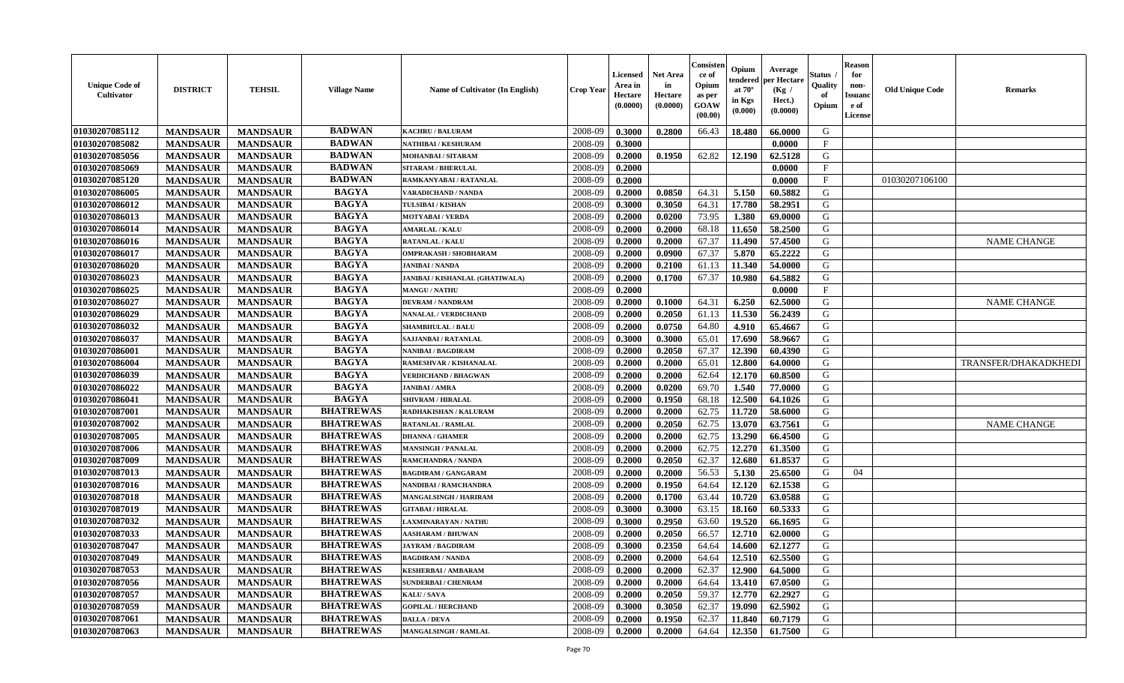| <b>Unique Code of</b><br>Cultivator | <b>DISTRICT</b> | <b>TEHSIL</b>   | <b>Village Name</b> | Name of Cultivator (In English)        | <b>Crop Year</b> | <b>Licensed</b><br>Area in<br>Hectare<br>(0.0000) | <b>Net Area</b><br>in<br>Hectare<br>(0.0000) | Consisteı<br>ce of<br>Opium<br>as per<br>GOAW<br>(00.00) | Opium<br>endered<br>at $70^{\circ}$<br>in Kgs<br>(0.000) | Average<br>er Hectare<br>(Kg /<br>Hect.)<br>(0.0000) | Status<br>Quality<br>of<br>Opium | <b>Reason</b><br>for<br>non-<br><b>Issuand</b><br>e of<br>License | <b>Old Unique Code</b> | Remarks                     |
|-------------------------------------|-----------------|-----------------|---------------------|----------------------------------------|------------------|---------------------------------------------------|----------------------------------------------|----------------------------------------------------------|----------------------------------------------------------|------------------------------------------------------|----------------------------------|-------------------------------------------------------------------|------------------------|-----------------------------|
| 01030207085112                      | <b>MANDSAUR</b> | <b>MANDSAUR</b> | <b>BADWAN</b>       | <b>KACHRU / BALURAM</b>                | 2008-09          | 0.3000                                            | 0.2800                                       | 66.43                                                    | 18.480                                                   | 66.0000                                              | G                                |                                                                   |                        |                             |
| 01030207085082                      | <b>MANDSAUR</b> | <b>MANDSAUR</b> | <b>BADWAN</b>       | NATHIBAI / KESHURAM                    | 2008-09          | 0.3000                                            |                                              |                                                          |                                                          | 0.0000                                               | $\mathbf{F}$                     |                                                                   |                        |                             |
| 01030207085056                      | <b>MANDSAUR</b> | <b>MANDSAUR</b> | <b>BADWAN</b>       | MOHANBAI / SITARAM                     | 2008-09          | 0.2000                                            | 0.1950                                       | 62.82                                                    | 12.190                                                   | 62.5128                                              | G                                |                                                                   |                        |                             |
| 01030207085069                      | <b>MANDSAUR</b> | <b>MANDSAUR</b> | <b>BADWAN</b>       | <b>SITARAM / BHERULAL</b>              | 2008-09          | 0.2000                                            |                                              |                                                          |                                                          | 0.0000                                               | $_{\rm F}$                       |                                                                   |                        |                             |
| 01030207085120                      | <b>MANDSAUR</b> | <b>MANDSAUR</b> | <b>BADWAN</b>       | RAMKANYABAI / RATANLAL                 | 2008-09          | 0.2000                                            |                                              |                                                          |                                                          | 0.0000                                               | F                                |                                                                   | 01030207106100         |                             |
| 01030207086005                      | <b>MANDSAUR</b> | <b>MANDSAUR</b> | <b>BAGYA</b>        | <b>VARADICHAND / NANDA</b>             | 2008-09          | 0.2000                                            | 0.0850                                       | 64.31                                                    | 5.150                                                    | 60.5882                                              | G                                |                                                                   |                        |                             |
| 01030207086012                      | <b>MANDSAUR</b> | <b>MANDSAUR</b> | <b>BAGYA</b>        | TULSIBAI / KISHAN                      | 2008-09          | 0.3000                                            | 0.3050                                       | 64.31                                                    | 17.780                                                   | 58.2951                                              | G                                |                                                                   |                        |                             |
| 01030207086013                      | <b>MANDSAUR</b> | <b>MANDSAUR</b> | <b>BAGYA</b>        | <b>MOTYABAI/VERDA</b>                  | 2008-09          | 0.2000                                            | 0.0200                                       | 73.95                                                    | 1.380                                                    | 69.0000                                              | G                                |                                                                   |                        |                             |
| 01030207086014                      | <b>MANDSAUR</b> | <b>MANDSAUR</b> | <b>BAGYA</b>        | <b>AMARLAL / KALU</b>                  | 2008-09          | 0.2000                                            | 0.2000                                       | 68.18                                                    | 11.650                                                   | 58.2500                                              | G                                |                                                                   |                        |                             |
| 01030207086016                      | <b>MANDSAUR</b> | <b>MANDSAUR</b> | <b>BAGYA</b>        | RATANLAL / KALU                        | 2008-09          | 0.2000                                            | 0.2000                                       | 67.37                                                    | 11.490                                                   | 57.4500                                              | G                                |                                                                   |                        | <b>NAME CHANGE</b>          |
| 01030207086017                      | <b>MANDSAUR</b> | <b>MANDSAUR</b> | <b>BAGYA</b>        | OMPRAKASH / SHOBHARAM                  | 2008-09          | 0.2000                                            | 0.0900                                       | 67.37                                                    | 5.870                                                    | 65.2222                                              | G                                |                                                                   |                        |                             |
| 01030207086020                      | <b>MANDSAUR</b> | <b>MANDSAUR</b> | <b>BAGYA</b>        | <b>JANIBAI / NANDA</b>                 | 2008-09          | 0.2000                                            | 0.2100                                       | 61.13                                                    | 11.340                                                   | 54.0000                                              | G                                |                                                                   |                        |                             |
| 01030207086023                      | <b>MANDSAUR</b> | <b>MANDSAUR</b> | <b>BAGYA</b>        | <b>JANIBAI / KISHANLAL (GHATIWALA)</b> | 2008-09          | 0.2000                                            | 0.1700                                       | 67.37                                                    | 10.980                                                   | 64.5882                                              | G                                |                                                                   |                        |                             |
| 01030207086025                      | <b>MANDSAUR</b> | <b>MANDSAUR</b> | <b>BAGYA</b>        | <b>MANGU / NATHU</b>                   | 2008-09          | 0.2000                                            |                                              |                                                          |                                                          | 0.0000                                               | $\mathbf{F}$                     |                                                                   |                        |                             |
| 01030207086027                      | <b>MANDSAUR</b> | <b>MANDSAUR</b> | <b>BAGYA</b>        | <b>DEVRAM / NANDRAM</b>                | 2008-09          | 0.2000                                            | 0.1000                                       | 64.31                                                    | 6.250                                                    | 62.5000                                              | $\mathbf G$                      |                                                                   |                        | <b>NAME CHANGE</b>          |
| 01030207086029                      | <b>MANDSAUR</b> | <b>MANDSAUR</b> | <b>BAGYA</b>        | <b>NANALAL / VERDICHAND</b>            | 2008-09          | 0.2000                                            | 0.2050                                       | 61.13                                                    | 11.530                                                   | 56.2439                                              | G                                |                                                                   |                        |                             |
| 01030207086032                      | <b>MANDSAUR</b> | <b>MANDSAUR</b> | <b>BAGYA</b>        | <b>SHAMBHULAL / BALU</b>               | 2008-09          | 0.2000                                            | 0.0750                                       | 64.80                                                    | 4.910                                                    | 65.4667                                              | G                                |                                                                   |                        |                             |
| 01030207086037                      | <b>MANDSAUR</b> | <b>MANDSAUR</b> | <b>BAGYA</b>        | <b>SAJJANBAI / RATANLAL</b>            | 2008-09          | 0.3000                                            | 0.3000                                       | 65.01                                                    | 17.690                                                   | 58.9667                                              | G                                |                                                                   |                        |                             |
| 01030207086001                      | <b>MANDSAUR</b> | <b>MANDSAUR</b> | <b>BAGYA</b>        | NANIBAI / BAGDIRAM                     | 2008-09          | 0.2000                                            | 0.2050                                       | 67.37                                                    | 12.390                                                   | 60.4390                                              | G                                |                                                                   |                        |                             |
| 01030207086004                      | <b>MANDSAUR</b> | <b>MANDSAUR</b> | <b>BAGYA</b>        | RAMESHVAR / KISHANALAL                 | 2008-09          | 0.2000                                            | 0.2000                                       | 65.01                                                    | 12.800                                                   | 64.0000                                              | G                                |                                                                   |                        | <b>TRANSFER/DHAKADKHEDI</b> |
| 01030207086039                      | <b>MANDSAUR</b> | <b>MANDSAUR</b> | <b>BAGYA</b>        | <b>VERDICHAND / BHAGWAN</b>            | 2008-09          | 0.2000                                            | 0.2000                                       | 62.64                                                    | 12.170                                                   | 60.8500                                              | G                                |                                                                   |                        |                             |
| 01030207086022                      | <b>MANDSAUR</b> | <b>MANDSAUR</b> | <b>BAGYA</b>        | <b>JANIBAI/AMRA</b>                    | 2008-09          | 0.2000                                            | 0.0200                                       | 69.70                                                    | 1.540                                                    | 77.0000                                              | G                                |                                                                   |                        |                             |
| 01030207086041                      | <b>MANDSAUR</b> | <b>MANDSAUR</b> | <b>BAGYA</b>        | <b>SHIVRAM / HIRALAL</b>               | 2008-09          | 0.2000                                            | 0.1950                                       | 68.18                                                    | 12.500                                                   | 64.1026                                              | G                                |                                                                   |                        |                             |
| 01030207087001                      | <b>MANDSAUR</b> | <b>MANDSAUR</b> | <b>BHATREWAS</b>    | RADHAKISHAN / KALURAM                  | 2008-09          | 0.2000                                            | 0.2000                                       | 62.75                                                    | 11.720                                                   | 58.6000                                              | G                                |                                                                   |                        |                             |
| 01030207087002                      | <b>MANDSAUR</b> | <b>MANDSAUR</b> | <b>BHATREWAS</b>    | RATANLAL / RAMLAL                      | 2008-09          | 0.2000                                            | 0.2050                                       | 62.75                                                    | 13.070                                                   | 63.7561                                              | G                                |                                                                   |                        | <b>NAME CHANGE</b>          |
| 01030207087005                      | <b>MANDSAUR</b> | <b>MANDSAUR</b> | <b>BHATREWAS</b>    | <b>DHANNA / GHAMER</b>                 | 2008-09          | 0.2000                                            | 0.2000                                       | 62.75                                                    | 13.290                                                   | 66.4500                                              | G                                |                                                                   |                        |                             |
| 01030207087006                      | <b>MANDSAUR</b> | <b>MANDSAUR</b> | <b>BHATREWAS</b>    | <b>MANSINGH / PANALAL</b>              | 2008-09          | 0.2000                                            | 0.2000                                       | 62.75                                                    | 12.270                                                   | 61.3500                                              | G                                |                                                                   |                        |                             |
| 01030207087009                      | <b>MANDSAUR</b> | <b>MANDSAUR</b> | <b>BHATREWAS</b>    | RAMCHANDRA / NANDA                     | 2008-09          | 0.2000                                            | 0.2050                                       | 62.37                                                    | 12.680                                                   | 61.8537                                              | G                                |                                                                   |                        |                             |
| 01030207087013                      | <b>MANDSAUR</b> | <b>MANDSAUR</b> | <b>BHATREWAS</b>    | <b>BAGDIRAM / GANGARAM</b>             | 2008-09          | 0.2000                                            | 0.2000                                       | 56.53                                                    | 5.130                                                    | 25.6500                                              | G                                | 04                                                                |                        |                             |
| 01030207087016                      | <b>MANDSAUR</b> | <b>MANDSAUR</b> | <b>BHATREWAS</b>    | NANDIBAI / RAMCHANDRA                  | 2008-09          | 0.2000                                            | 0.1950                                       | 64.64                                                    | 12.120                                                   | 62.1538                                              | G                                |                                                                   |                        |                             |
| 01030207087018                      | <b>MANDSAUR</b> | <b>MANDSAUR</b> | <b>BHATREWAS</b>    | <b>MANGALSINGH / HARIRAM</b>           | 2008-09          | 0.2000                                            | 0.1700                                       | 63.44                                                    | 10.720                                                   | 63.0588                                              | G                                |                                                                   |                        |                             |
| 01030207087019                      | <b>MANDSAUR</b> | <b>MANDSAUR</b> | <b>BHATREWAS</b>    | <b>GITABAI/HIRALAL</b>                 | 2008-09          | 0.3000                                            | 0.3000                                       | 63.15                                                    | 18.160                                                   | 60.5333                                              | G                                |                                                                   |                        |                             |
| 01030207087032                      | <b>MANDSAUR</b> | <b>MANDSAUR</b> | <b>BHATREWAS</b>    | AXMINARAYAN / NATHU                    | 2008-09          | 0.3000                                            | 0.2950                                       | 63.60                                                    | 19.520                                                   | 66.1695                                              | G                                |                                                                   |                        |                             |
| 01030207087033                      | <b>MANDSAUR</b> | <b>MANDSAUR</b> | <b>BHATREWAS</b>    | <b>AASHARAM / BHUWAN</b>               | 2008-09          | 0.2000                                            | 0.2050                                       | 66.57                                                    | 12.710                                                   | 62.0000                                              | G                                |                                                                   |                        |                             |
| 01030207087047                      | <b>MANDSAUR</b> | <b>MANDSAUR</b> | <b>BHATREWAS</b>    | <b>JAYRAM / BAGDIRAM</b>               | 2008-09          | 0.3000                                            | 0.2350                                       | 64.64                                                    | 14.600                                                   | 62.1277                                              | G                                |                                                                   |                        |                             |
| 01030207087049                      | <b>MANDSAUR</b> | <b>MANDSAUR</b> | <b>BHATREWAS</b>    | <b>BAGDIRAM / NANDA</b>                | 2008-09          | 0.2000                                            | 0.2000                                       | 64.64                                                    | 12.510                                                   | 62.5500                                              | G                                |                                                                   |                        |                             |
| 01030207087053                      | <b>MANDSAUR</b> | <b>MANDSAUR</b> | <b>BHATREWAS</b>    | <b>KESHERBAI/AMBARAM</b>               | 2008-09          | 0.2000                                            | 0.2000                                       | 62.37                                                    | 12.900                                                   | 64.5000                                              | G                                |                                                                   |                        |                             |
| 01030207087056                      | <b>MANDSAUR</b> | <b>MANDSAUR</b> | <b>BHATREWAS</b>    | <b>SUNDERBAI/ CHENRAM</b>              | 2008-09          | 0.2000                                            | 0.2000                                       | 64.64                                                    | 13.410                                                   | 67.0500                                              | G                                |                                                                   |                        |                             |
| 01030207087057                      | <b>MANDSAUR</b> | <b>MANDSAUR</b> | <b>BHATREWAS</b>    | KALU / SAVA                            | 2008-09          | 0.2000                                            | 0.2050                                       | 59.37                                                    | 12.770                                                   | 62.2927                                              | G                                |                                                                   |                        |                             |
| 01030207087059                      | <b>MANDSAUR</b> | <b>MANDSAUR</b> | <b>BHATREWAS</b>    | <b>GOPILAL / HERCHAND</b>              | 2008-09          | 0.3000                                            | 0.3050                                       | 62.37                                                    | 19.090                                                   | 62.5902                                              | ${\bf G}$                        |                                                                   |                        |                             |
| 01030207087061                      | <b>MANDSAUR</b> | <b>MANDSAUR</b> | <b>BHATREWAS</b>    | DALLA / DEVA                           | 2008-09          | 0.2000                                            | 0.1950                                       | 62.37                                                    | 11.840                                                   | 60.7179                                              | G                                |                                                                   |                        |                             |
| 01030207087063                      | <b>MANDSAUR</b> | <b>MANDSAUR</b> | <b>BHATREWAS</b>    | <b>MANGALSINGH / RAMLAL</b>            | 2008-09          | 0.2000                                            | 0.2000                                       | 64.64                                                    | 12.350                                                   | 61.7500                                              | G                                |                                                                   |                        |                             |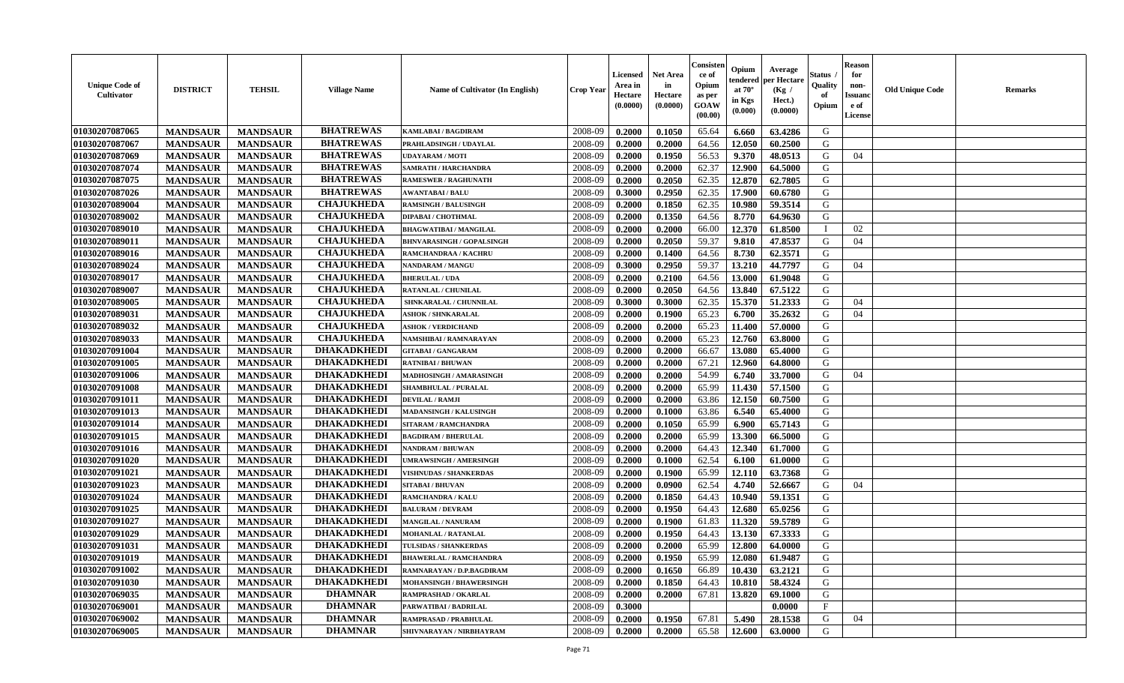| <b>BHATREWAS</b><br>2008-09<br><b>MANDSAUR</b><br>0.2000<br>0.1050<br>65.64<br>G<br><b>MANDSAUR</b><br><b>KAMLABAI/BAGDIRAM</b><br>6.660<br>63.4286<br>01030207087067<br><b>BHATREWAS</b><br>G<br>2008-09<br>64.56<br>12.050<br>60.2500<br><b>MANDSAUR</b><br><b>MANDSAUR</b><br>0.2000<br>0.2000<br>PRAHLADSINGH / UDAYLAL<br><b>BHATREWAS</b><br>01030207087069<br>9.370<br>G<br><b>MANDSAUR</b><br><b>MANDSAUR</b><br>2008-09<br>0.2000<br>0.1950<br>56.53<br>48.0513<br><b>UDAYARAM / MOTI</b><br>04<br><b>BHATREWAS</b><br>12.900<br>01030207087074<br><b>MANDSAUR</b><br><b>MANDSAUR</b><br>2008-09<br>0.2000<br>0.2000<br>62.37<br>64.5000<br>G<br><b>SAMRATH / HARCHANDRA</b><br><b>BHATREWAS</b><br>0.2050<br>62.35<br>12.870<br>62.7805<br>G<br>01030207087075<br><b>MANDSAUR</b><br><b>MANDSAUR</b><br>2008-09<br>0.2000<br><b>RAMESWER / RAGHUNATH</b><br><b>BHATREWAS</b><br>01030207087026<br><b>MANDSAUR</b><br><b>MANDSAUR</b><br>0.2950<br>62.35<br>17.900<br>60.6780<br>G<br><b>AWANTABAI/BALU</b><br>2008-09<br>0.3000<br><b>CHAJUKHEDA</b><br>01030207089004<br><b>MANDSAUR</b><br>2008-09<br>0.1850<br>62.35<br>10.980<br>59.3514<br>G<br><b>MANDSAUR</b><br><b>RAMSINGH / BALUSINGH</b><br>0.2000<br><b>CHAJUKHEDA</b><br>01030207089002<br>G<br>2008-09<br>0.1350<br>64.56<br>8.770<br><b>MANDSAUR</b><br><b>MANDSAUR</b><br>0.2000<br>64.9630<br>DIPABAI / CHOTHMAL<br>01030207089010<br><b>CHAJUKHEDA</b><br>2008-09<br><b>MANDSAUR</b><br><b>MANDSAUR</b><br>0.2000<br>0.2000<br>66.00<br>12.370<br>61.8500<br>02<br><b>BHAGWATIBAI / MANGILAL</b><br><b>CHAJUKHEDA</b><br>59.37<br>G<br>01030207089011<br>2008-09<br>0.2050<br>9.810<br>04<br><b>MANDSAUR</b><br><b>MANDSAUR</b><br>0.2000<br>47.8537<br><b>BHNVARASINGH / GOPALSINGH</b><br><b>CHAJUKHEDA</b><br>8.730<br>G<br>01030207089016<br><b>MANDSAUR</b><br><b>MANDSAUR</b><br>2008-09<br>0.2000<br>0.1400<br>64.56<br>62.3571<br>RAMCHANDRAA / KACHRU<br><b>CHAJUKHEDA</b><br>01030207089024<br><b>MANDSAUR</b><br><b>MANDSAUR</b><br>0.2950<br>59.37<br>13.210<br>44.7797<br>2008-09<br>0.3000<br>G<br>NANDARAM / MANGU<br>04<br><b>CHAJUKHEDA</b><br>01030207089017<br><b>MANDSAUR</b><br><b>MANDSAUR</b><br>2008-09<br>0.2100<br>64.56<br>13.000<br>61.9048<br>G<br>0.2000<br><b>BHERULAL / UDA</b><br><b>CHAJUKHEDA</b><br>01030207089007<br><b>MANDSAUR</b><br>0.2050<br>13.840<br>67.5122<br>G<br><b>MANDSAUR</b><br><b>RATANLAL / CHUNILAL</b><br>2008-09<br>0.2000<br>64.56<br><b>CHAJUKHEDA</b><br>15.370<br>51.2333<br>01030207089005<br><b>MANDSAUR</b><br><b>MANDSAUR</b><br>2008-09<br>0.3000<br>0.3000<br>62.35<br>G<br>SHNKARALAL / CHUNNILAL<br>04<br><b>CHAJUKHEDA</b><br>65.23<br>6.700<br>35.2632<br>01030207089031<br><b>MANDSAUR</b><br><b>MANDSAUR</b><br>2008-09<br>0.2000<br>0.1900<br>G<br>04<br><b>ASHOK / SHNKARALAL</b><br><b>CHAJUKHEDA</b><br>01030207089032<br>G<br><b>MANDSAUR</b><br><b>MANDSAUR</b><br>2008-09<br>65.23<br>57.0000<br>0.2000<br>0.2000<br>11.400<br><b>ASHOK / VERDICHAND</b><br><b>CHAJUKHEDA</b><br>01030207089033<br>65.23<br>12.760<br>G<br><b>MANDSAUR</b><br><b>MANDSAUR</b><br>2008-09<br>0.2000<br>63.8000<br><b>NAMSHIBAI / RAMNARAYAN</b><br>0.2000<br><b>DHAKADKHEDI</b><br>01030207091004<br><b>MANDSAUR</b><br>13.080<br><b>MANDSAUR</b><br>2008-09<br>0.2000<br>0.2000<br>66.67<br>65.4000<br>G<br><b>GITABAI/GANGARAM</b><br>01030207091005<br><b>DHAKADKHEDI</b><br><b>MANDSAUR</b><br><b>MANDSAUR</b><br>2008-09<br>0.2000<br>0.2000<br>67.21<br>12.960<br>64.8000<br>G<br><b>RATNIBAI / BHUWAN</b><br><b>DHAKADKHEDI</b><br>6.740<br>01030207091006<br><b>MANDSAUR</b><br><b>MANDSAUR</b><br>2008-09<br>0.2000<br>0.2000<br>54.99<br>33.7000<br>G<br>MADHOSINGH / AMARASINGH<br>04<br><b>DHAKADKHEDI</b><br>01030207091008<br><b>MANDSAUR</b><br><b>MANDSAUR</b><br>2008-09<br>0.2000<br>0.2000<br>65.99<br>11.430<br>57.1500<br>G<br>SHAMBHULAL / PURALAL<br><b>DHAKADKHEDI</b><br>01030207091011<br><b>MANDSAUR</b><br><b>MANDSAUR</b><br>0.2000<br>12.150<br>60.7500<br>G<br><b>DEVILAL / RAMJI</b><br>2008-09<br>0.2000<br>63.86<br><b>DHAKADKHEDI</b><br>01030207091013<br>G<br><b>MANDSAUR</b><br>2008-09<br>63.86<br>6.540<br>65.4000<br><b>MANDSAUR</b><br>0.2000<br>0.1000<br>MADANSINGH / KALUSINGH<br><b>DHAKADKHEDI</b><br>01030207091014<br>65.99<br>G<br><b>MANDSAUR</b><br>2008-09<br>6.900<br>65.7143<br><b>MANDSAUR</b><br>0.2000<br>0.1050<br>SITARAM / RAMCHANDRA<br><b>DHAKADKHEDI</b><br>01030207091015<br><b>MANDSAUR</b><br>2008-09<br>0.2000<br>0.2000<br>65.99<br>13.300<br>66.5000<br>G<br><b>MANDSAUR</b><br><b>BAGDIRAM / BHERULAL</b><br><b>DHAKADKHEDI</b><br>12.340<br>61.7000<br>G<br>01030207091016<br><b>MANDSAUR</b><br>2008-09<br>0.2000<br>0.2000<br>64.43<br><b>MANDSAUR</b><br>NANDRAM / BHUWAN<br><b>DHAKADKHEDI</b><br>G<br><b>MANDSAUR</b><br><b>MANDSAUR</b><br>62.54<br>6.100<br>01030207091020<br>2008-09<br>0.2000<br>0.1000<br>61.0000<br><b>JMRAWSINGH / AMERSINGH</b><br><b>DHAKADKHEDI</b><br>01030207091021<br><b>MANDSAUR</b><br><b>MANDSAUR</b><br>65.99<br>12.110<br>63.7368<br>G<br>2008-09<br>0.2000<br>0.1900<br><b>VISHNUDAS / SHANKERDAS</b><br><b>DHAKADKHEDI</b><br>01030207091023<br><b>MANDSAUR</b><br><b>MANDSAUR</b><br>62.54<br>4.740<br>52.6667<br>2008-09<br>0.2000<br>0.0900<br>G<br>04<br><b>SITABAI / BHUVAN</b><br>01030207091024<br><b>DHAKADKHEDI</b><br><b>MANDSAUR</b><br><b>MANDSAUR</b><br>59.1351<br>G<br><b>RAMCHANDRA / KALU</b><br>2008-09<br>0.2000<br>0.1850<br>64.43<br>10.940<br>01030207091025<br><b>DHAKADKHEDI</b><br>2008-09<br>G<br><b>MANDSAUR</b><br><b>MANDSAUR</b><br><b>BALURAM / DEVRAM</b><br>0.2000<br>0.1950<br>64.43<br>12.680<br>65.0256<br><b>DHAKADKHEDI</b><br>01030207091027<br>59.5789<br>G<br><b>MANDSAUR</b><br><b>MANDSAUR</b><br>2008-09<br>0.2000<br>0.1900<br>61.83<br>11.320<br>MANGILAL / NANURAM<br>01030207091029<br><b>DHAKADKHEDI</b><br>G<br><b>MANDSAUR</b><br><b>MANDSAUR</b><br>2008-09<br>0.1950<br>64.43<br>13.130<br>67.3333<br>0.2000<br>MOHANLAL / RATANLAL<br><b>DHAKADKHEDI</b><br>0.2000<br>G<br>01030207091031<br>2008-09<br>0.2000<br>65.99<br>12.800<br>64.0000<br><b>MANDSAUR</b><br><b>MANDSAUR</b><br><b>TULSIDAS / SHANKERDAS</b><br>01030207091019<br><b>DHAKADKHEDI</b><br><b>MANDSAUR</b><br><b>MANDSAUR</b><br>2008-09<br>0.2000<br>0.1950<br>65.99<br>12.080   61.9487<br>G<br><b>BHAWERLAL / RAMCHANDRA</b><br><b>DHAKADKHEDI</b><br>01030207091002<br>G<br><b>MANDSAUR</b><br><b>MANDSAUR</b><br>RAMNARAYAN / D.P.BAGDIRAM<br>2008-09<br>0.2000<br>0.1650<br>66.89<br>10.430<br>63.2121<br><b>DHAKADKHEDI</b><br>01030207091030<br><b>MANDSAUR</b><br><b>MANDSAUR</b><br>2008-09<br>0.1850<br>64.43<br>10.810<br>58.4324<br>G<br>MOHANSINGH / BHAWERSINGH<br>0.2000<br><b>DHAMNAR</b><br><b>MANDSAUR</b><br>G<br>01030207069035<br><b>MANDSAUR</b><br>2008-09<br>67.81<br>13.820<br>69.1000<br>RAMPRASHAD / OKARLAL<br>0.2000<br>0.2000<br>$\mathbf{F}$<br>01030207069001<br><b>DHAMNAR</b><br><b>MANDSAUR</b><br><b>MANDSAUR</b><br>2008-09<br>0.3000<br>0.0000<br>PARWATIBAI / BADRILAL<br><b>DHAMNAR</b><br>01030207069002<br>2008-09<br>0.1950<br>67.81<br>5.490<br>G<br>04<br><b>MANDSAUR</b><br><b>MANDSAUR</b><br>0.2000<br>28.1538<br>RAMPRASAD / PRABHULAL<br><b>DHAMNAR</b><br>G<br>01030207069005<br><b>MANDSAUR</b><br>0.2000<br>0.2000<br>65.58<br>12.600<br>63.0000<br><b>MANDSAUR</b><br>SHIVNARAYAN / NIRBHAYRAM<br>2008-09 | <b>Unique Code of</b><br><b>Cultivator</b> | <b>DISTRICT</b> | <b>TEHSIL</b> | <b>Village Name</b> | <b>Name of Cultivator (In English)</b> | <b>Crop Year</b> | <b>Licensed</b><br>Area in<br>Hectare<br>(0.0000) | <b>Net Area</b><br>in<br>Hectare<br>(0.0000) | Consister<br>ce of<br>Opium<br>as per<br><b>GOAW</b><br>(00.00) | Opium<br>endered<br>at $70^\circ$<br>in Kgs<br>$(\mathbf{0.000})$ | Average<br>per Hectare<br>(Kg)<br>Hect.)<br>(0.0000) | Status<br>Quality<br>of<br>Opium | <b>Reason</b><br>for<br>non-<br><b>Issuano</b><br>e of<br>License | <b>Old Unique Code</b> | <b>Remarks</b> |
|-------------------------------------------------------------------------------------------------------------------------------------------------------------------------------------------------------------------------------------------------------------------------------------------------------------------------------------------------------------------------------------------------------------------------------------------------------------------------------------------------------------------------------------------------------------------------------------------------------------------------------------------------------------------------------------------------------------------------------------------------------------------------------------------------------------------------------------------------------------------------------------------------------------------------------------------------------------------------------------------------------------------------------------------------------------------------------------------------------------------------------------------------------------------------------------------------------------------------------------------------------------------------------------------------------------------------------------------------------------------------------------------------------------------------------------------------------------------------------------------------------------------------------------------------------------------------------------------------------------------------------------------------------------------------------------------------------------------------------------------------------------------------------------------------------------------------------------------------------------------------------------------------------------------------------------------------------------------------------------------------------------------------------------------------------------------------------------------------------------------------------------------------------------------------------------------------------------------------------------------------------------------------------------------------------------------------------------------------------------------------------------------------------------------------------------------------------------------------------------------------------------------------------------------------------------------------------------------------------------------------------------------------------------------------------------------------------------------------------------------------------------------------------------------------------------------------------------------------------------------------------------------------------------------------------------------------------------------------------------------------------------------------------------------------------------------------------------------------------------------------------------------------------------------------------------------------------------------------------------------------------------------------------------------------------------------------------------------------------------------------------------------------------------------------------------------------------------------------------------------------------------------------------------------------------------------------------------------------------------------------------------------------------------------------------------------------------------------------------------------------------------------------------------------------------------------------------------------------------------------------------------------------------------------------------------------------------------------------------------------------------------------------------------------------------------------------------------------------------------------------------------------------------------------------------------------------------------------------------------------------------------------------------------------------------------------------------------------------------------------------------------------------------------------------------------------------------------------------------------------------------------------------------------------------------------------------------------------------------------------------------------------------------------------------------------------------------------------------------------------------------------------------------------------------------------------------------------------------------------------------------------------------------------------------------------------------------------------------------------------------------------------------------------------------------------------------------------------------------------------------------------------------------------------------------------------------------------------------------------------------------------------------------------------------------------------------------------------------------------------------------------------------------------------------------------------------------------------------------------------------------------------------------------------------------------------------------------------------------------------------------------------------------------------------------------------------------------------------------------------------------------------------------------------------------------------------------------------------------------------------------------------------------------------------------------------------------------------------------------------------------------------------------------------------------------------------------------------------------------------------------------------------------------------------------------------------------------------------------------------------------------------------------------------------------------------------------------------------------------------------------------------------------------------------------------------------------------------------------------------------------------------------------------------------------------------------------------------------------------------------------------------------------------------------------------------------------------------------------------------------------------------------------------------------------------------------------------------------------------------------------------------------------------------------------------------------------------------------------------------------------------------------------------------------------------------------------------------------------------------------------------------------------------------------------------------------------------------------------------------------------------------------------------------------------------------------------------------------------------------------------------------------------------------------------------------------------|--------------------------------------------|-----------------|---------------|---------------------|----------------------------------------|------------------|---------------------------------------------------|----------------------------------------------|-----------------------------------------------------------------|-------------------------------------------------------------------|------------------------------------------------------|----------------------------------|-------------------------------------------------------------------|------------------------|----------------|
|                                                                                                                                                                                                                                                                                                                                                                                                                                                                                                                                                                                                                                                                                                                                                                                                                                                                                                                                                                                                                                                                                                                                                                                                                                                                                                                                                                                                                                                                                                                                                                                                                                                                                                                                                                                                                                                                                                                                                                                                                                                                                                                                                                                                                                                                                                                                                                                                                                                                                                                                                                                                                                                                                                                                                                                                                                                                                                                                                                                                                                                                                                                                                                                                                                                                                                                                                                                                                                                                                                                                                                                                                                                                                                                                                                                                                                                                                                                                                                                                                                                                                                                                                                                                                                                                                                                                                                                                                                                                                                                                                                                                                                                                                                                                                                                                                                                                                                                                                                                                                                                                                                                                                                                                                                                                                                                                                                                                                                                                                                                                                                                                                                                                                                                                                                                                                                                                                                                                                                                                                                                                                                                                                                                                                                                                                                                                                                                                                                                                                                                                                                                                                                                                                                                                                                                                                                                                                                                                                                                                                                                                                                                                                                                                                                                                                                                                                                                                                                                       | 01030207087065                             |                 |               |                     |                                        |                  |                                                   |                                              |                                                                 |                                                                   |                                                      |                                  |                                                                   |                        |                |
|                                                                                                                                                                                                                                                                                                                                                                                                                                                                                                                                                                                                                                                                                                                                                                                                                                                                                                                                                                                                                                                                                                                                                                                                                                                                                                                                                                                                                                                                                                                                                                                                                                                                                                                                                                                                                                                                                                                                                                                                                                                                                                                                                                                                                                                                                                                                                                                                                                                                                                                                                                                                                                                                                                                                                                                                                                                                                                                                                                                                                                                                                                                                                                                                                                                                                                                                                                                                                                                                                                                                                                                                                                                                                                                                                                                                                                                                                                                                                                                                                                                                                                                                                                                                                                                                                                                                                                                                                                                                                                                                                                                                                                                                                                                                                                                                                                                                                                                                                                                                                                                                                                                                                                                                                                                                                                                                                                                                                                                                                                                                                                                                                                                                                                                                                                                                                                                                                                                                                                                                                                                                                                                                                                                                                                                                                                                                                                                                                                                                                                                                                                                                                                                                                                                                                                                                                                                                                                                                                                                                                                                                                                                                                                                                                                                                                                                                                                                                                                                       |                                            |                 |               |                     |                                        |                  |                                                   |                                              |                                                                 |                                                                   |                                                      |                                  |                                                                   |                        |                |
|                                                                                                                                                                                                                                                                                                                                                                                                                                                                                                                                                                                                                                                                                                                                                                                                                                                                                                                                                                                                                                                                                                                                                                                                                                                                                                                                                                                                                                                                                                                                                                                                                                                                                                                                                                                                                                                                                                                                                                                                                                                                                                                                                                                                                                                                                                                                                                                                                                                                                                                                                                                                                                                                                                                                                                                                                                                                                                                                                                                                                                                                                                                                                                                                                                                                                                                                                                                                                                                                                                                                                                                                                                                                                                                                                                                                                                                                                                                                                                                                                                                                                                                                                                                                                                                                                                                                                                                                                                                                                                                                                                                                                                                                                                                                                                                                                                                                                                                                                                                                                                                                                                                                                                                                                                                                                                                                                                                                                                                                                                                                                                                                                                                                                                                                                                                                                                                                                                                                                                                                                                                                                                                                                                                                                                                                                                                                                                                                                                                                                                                                                                                                                                                                                                                                                                                                                                                                                                                                                                                                                                                                                                                                                                                                                                                                                                                                                                                                                                                       |                                            |                 |               |                     |                                        |                  |                                                   |                                              |                                                                 |                                                                   |                                                      |                                  |                                                                   |                        |                |
|                                                                                                                                                                                                                                                                                                                                                                                                                                                                                                                                                                                                                                                                                                                                                                                                                                                                                                                                                                                                                                                                                                                                                                                                                                                                                                                                                                                                                                                                                                                                                                                                                                                                                                                                                                                                                                                                                                                                                                                                                                                                                                                                                                                                                                                                                                                                                                                                                                                                                                                                                                                                                                                                                                                                                                                                                                                                                                                                                                                                                                                                                                                                                                                                                                                                                                                                                                                                                                                                                                                                                                                                                                                                                                                                                                                                                                                                                                                                                                                                                                                                                                                                                                                                                                                                                                                                                                                                                                                                                                                                                                                                                                                                                                                                                                                                                                                                                                                                                                                                                                                                                                                                                                                                                                                                                                                                                                                                                                                                                                                                                                                                                                                                                                                                                                                                                                                                                                                                                                                                                                                                                                                                                                                                                                                                                                                                                                                                                                                                                                                                                                                                                                                                                                                                                                                                                                                                                                                                                                                                                                                                                                                                                                                                                                                                                                                                                                                                                                                       |                                            |                 |               |                     |                                        |                  |                                                   |                                              |                                                                 |                                                                   |                                                      |                                  |                                                                   |                        |                |
|                                                                                                                                                                                                                                                                                                                                                                                                                                                                                                                                                                                                                                                                                                                                                                                                                                                                                                                                                                                                                                                                                                                                                                                                                                                                                                                                                                                                                                                                                                                                                                                                                                                                                                                                                                                                                                                                                                                                                                                                                                                                                                                                                                                                                                                                                                                                                                                                                                                                                                                                                                                                                                                                                                                                                                                                                                                                                                                                                                                                                                                                                                                                                                                                                                                                                                                                                                                                                                                                                                                                                                                                                                                                                                                                                                                                                                                                                                                                                                                                                                                                                                                                                                                                                                                                                                                                                                                                                                                                                                                                                                                                                                                                                                                                                                                                                                                                                                                                                                                                                                                                                                                                                                                                                                                                                                                                                                                                                                                                                                                                                                                                                                                                                                                                                                                                                                                                                                                                                                                                                                                                                                                                                                                                                                                                                                                                                                                                                                                                                                                                                                                                                                                                                                                                                                                                                                                                                                                                                                                                                                                                                                                                                                                                                                                                                                                                                                                                                                                       |                                            |                 |               |                     |                                        |                  |                                                   |                                              |                                                                 |                                                                   |                                                      |                                  |                                                                   |                        |                |
|                                                                                                                                                                                                                                                                                                                                                                                                                                                                                                                                                                                                                                                                                                                                                                                                                                                                                                                                                                                                                                                                                                                                                                                                                                                                                                                                                                                                                                                                                                                                                                                                                                                                                                                                                                                                                                                                                                                                                                                                                                                                                                                                                                                                                                                                                                                                                                                                                                                                                                                                                                                                                                                                                                                                                                                                                                                                                                                                                                                                                                                                                                                                                                                                                                                                                                                                                                                                                                                                                                                                                                                                                                                                                                                                                                                                                                                                                                                                                                                                                                                                                                                                                                                                                                                                                                                                                                                                                                                                                                                                                                                                                                                                                                                                                                                                                                                                                                                                                                                                                                                                                                                                                                                                                                                                                                                                                                                                                                                                                                                                                                                                                                                                                                                                                                                                                                                                                                                                                                                                                                                                                                                                                                                                                                                                                                                                                                                                                                                                                                                                                                                                                                                                                                                                                                                                                                                                                                                                                                                                                                                                                                                                                                                                                                                                                                                                                                                                                                                       |                                            |                 |               |                     |                                        |                  |                                                   |                                              |                                                                 |                                                                   |                                                      |                                  |                                                                   |                        |                |
|                                                                                                                                                                                                                                                                                                                                                                                                                                                                                                                                                                                                                                                                                                                                                                                                                                                                                                                                                                                                                                                                                                                                                                                                                                                                                                                                                                                                                                                                                                                                                                                                                                                                                                                                                                                                                                                                                                                                                                                                                                                                                                                                                                                                                                                                                                                                                                                                                                                                                                                                                                                                                                                                                                                                                                                                                                                                                                                                                                                                                                                                                                                                                                                                                                                                                                                                                                                                                                                                                                                                                                                                                                                                                                                                                                                                                                                                                                                                                                                                                                                                                                                                                                                                                                                                                                                                                                                                                                                                                                                                                                                                                                                                                                                                                                                                                                                                                                                                                                                                                                                                                                                                                                                                                                                                                                                                                                                                                                                                                                                                                                                                                                                                                                                                                                                                                                                                                                                                                                                                                                                                                                                                                                                                                                                                                                                                                                                                                                                                                                                                                                                                                                                                                                                                                                                                                                                                                                                                                                                                                                                                                                                                                                                                                                                                                                                                                                                                                                                       |                                            |                 |               |                     |                                        |                  |                                                   |                                              |                                                                 |                                                                   |                                                      |                                  |                                                                   |                        |                |
|                                                                                                                                                                                                                                                                                                                                                                                                                                                                                                                                                                                                                                                                                                                                                                                                                                                                                                                                                                                                                                                                                                                                                                                                                                                                                                                                                                                                                                                                                                                                                                                                                                                                                                                                                                                                                                                                                                                                                                                                                                                                                                                                                                                                                                                                                                                                                                                                                                                                                                                                                                                                                                                                                                                                                                                                                                                                                                                                                                                                                                                                                                                                                                                                                                                                                                                                                                                                                                                                                                                                                                                                                                                                                                                                                                                                                                                                                                                                                                                                                                                                                                                                                                                                                                                                                                                                                                                                                                                                                                                                                                                                                                                                                                                                                                                                                                                                                                                                                                                                                                                                                                                                                                                                                                                                                                                                                                                                                                                                                                                                                                                                                                                                                                                                                                                                                                                                                                                                                                                                                                                                                                                                                                                                                                                                                                                                                                                                                                                                                                                                                                                                                                                                                                                                                                                                                                                                                                                                                                                                                                                                                                                                                                                                                                                                                                                                                                                                                                                       |                                            |                 |               |                     |                                        |                  |                                                   |                                              |                                                                 |                                                                   |                                                      |                                  |                                                                   |                        |                |
|                                                                                                                                                                                                                                                                                                                                                                                                                                                                                                                                                                                                                                                                                                                                                                                                                                                                                                                                                                                                                                                                                                                                                                                                                                                                                                                                                                                                                                                                                                                                                                                                                                                                                                                                                                                                                                                                                                                                                                                                                                                                                                                                                                                                                                                                                                                                                                                                                                                                                                                                                                                                                                                                                                                                                                                                                                                                                                                                                                                                                                                                                                                                                                                                                                                                                                                                                                                                                                                                                                                                                                                                                                                                                                                                                                                                                                                                                                                                                                                                                                                                                                                                                                                                                                                                                                                                                                                                                                                                                                                                                                                                                                                                                                                                                                                                                                                                                                                                                                                                                                                                                                                                                                                                                                                                                                                                                                                                                                                                                                                                                                                                                                                                                                                                                                                                                                                                                                                                                                                                                                                                                                                                                                                                                                                                                                                                                                                                                                                                                                                                                                                                                                                                                                                                                                                                                                                                                                                                                                                                                                                                                                                                                                                                                                                                                                                                                                                                                                                       |                                            |                 |               |                     |                                        |                  |                                                   |                                              |                                                                 |                                                                   |                                                      |                                  |                                                                   |                        |                |
|                                                                                                                                                                                                                                                                                                                                                                                                                                                                                                                                                                                                                                                                                                                                                                                                                                                                                                                                                                                                                                                                                                                                                                                                                                                                                                                                                                                                                                                                                                                                                                                                                                                                                                                                                                                                                                                                                                                                                                                                                                                                                                                                                                                                                                                                                                                                                                                                                                                                                                                                                                                                                                                                                                                                                                                                                                                                                                                                                                                                                                                                                                                                                                                                                                                                                                                                                                                                                                                                                                                                                                                                                                                                                                                                                                                                                                                                                                                                                                                                                                                                                                                                                                                                                                                                                                                                                                                                                                                                                                                                                                                                                                                                                                                                                                                                                                                                                                                                                                                                                                                                                                                                                                                                                                                                                                                                                                                                                                                                                                                                                                                                                                                                                                                                                                                                                                                                                                                                                                                                                                                                                                                                                                                                                                                                                                                                                                                                                                                                                                                                                                                                                                                                                                                                                                                                                                                                                                                                                                                                                                                                                                                                                                                                                                                                                                                                                                                                                                                       |                                            |                 |               |                     |                                        |                  |                                                   |                                              |                                                                 |                                                                   |                                                      |                                  |                                                                   |                        |                |
|                                                                                                                                                                                                                                                                                                                                                                                                                                                                                                                                                                                                                                                                                                                                                                                                                                                                                                                                                                                                                                                                                                                                                                                                                                                                                                                                                                                                                                                                                                                                                                                                                                                                                                                                                                                                                                                                                                                                                                                                                                                                                                                                                                                                                                                                                                                                                                                                                                                                                                                                                                                                                                                                                                                                                                                                                                                                                                                                                                                                                                                                                                                                                                                                                                                                                                                                                                                                                                                                                                                                                                                                                                                                                                                                                                                                                                                                                                                                                                                                                                                                                                                                                                                                                                                                                                                                                                                                                                                                                                                                                                                                                                                                                                                                                                                                                                                                                                                                                                                                                                                                                                                                                                                                                                                                                                                                                                                                                                                                                                                                                                                                                                                                                                                                                                                                                                                                                                                                                                                                                                                                                                                                                                                                                                                                                                                                                                                                                                                                                                                                                                                                                                                                                                                                                                                                                                                                                                                                                                                                                                                                                                                                                                                                                                                                                                                                                                                                                                                       |                                            |                 |               |                     |                                        |                  |                                                   |                                              |                                                                 |                                                                   |                                                      |                                  |                                                                   |                        |                |
|                                                                                                                                                                                                                                                                                                                                                                                                                                                                                                                                                                                                                                                                                                                                                                                                                                                                                                                                                                                                                                                                                                                                                                                                                                                                                                                                                                                                                                                                                                                                                                                                                                                                                                                                                                                                                                                                                                                                                                                                                                                                                                                                                                                                                                                                                                                                                                                                                                                                                                                                                                                                                                                                                                                                                                                                                                                                                                                                                                                                                                                                                                                                                                                                                                                                                                                                                                                                                                                                                                                                                                                                                                                                                                                                                                                                                                                                                                                                                                                                                                                                                                                                                                                                                                                                                                                                                                                                                                                                                                                                                                                                                                                                                                                                                                                                                                                                                                                                                                                                                                                                                                                                                                                                                                                                                                                                                                                                                                                                                                                                                                                                                                                                                                                                                                                                                                                                                                                                                                                                                                                                                                                                                                                                                                                                                                                                                                                                                                                                                                                                                                                                                                                                                                                                                                                                                                                                                                                                                                                                                                                                                                                                                                                                                                                                                                                                                                                                                                                       |                                            |                 |               |                     |                                        |                  |                                                   |                                              |                                                                 |                                                                   |                                                      |                                  |                                                                   |                        |                |
|                                                                                                                                                                                                                                                                                                                                                                                                                                                                                                                                                                                                                                                                                                                                                                                                                                                                                                                                                                                                                                                                                                                                                                                                                                                                                                                                                                                                                                                                                                                                                                                                                                                                                                                                                                                                                                                                                                                                                                                                                                                                                                                                                                                                                                                                                                                                                                                                                                                                                                                                                                                                                                                                                                                                                                                                                                                                                                                                                                                                                                                                                                                                                                                                                                                                                                                                                                                                                                                                                                                                                                                                                                                                                                                                                                                                                                                                                                                                                                                                                                                                                                                                                                                                                                                                                                                                                                                                                                                                                                                                                                                                                                                                                                                                                                                                                                                                                                                                                                                                                                                                                                                                                                                                                                                                                                                                                                                                                                                                                                                                                                                                                                                                                                                                                                                                                                                                                                                                                                                                                                                                                                                                                                                                                                                                                                                                                                                                                                                                                                                                                                                                                                                                                                                                                                                                                                                                                                                                                                                                                                                                                                                                                                                                                                                                                                                                                                                                                                                       |                                            |                 |               |                     |                                        |                  |                                                   |                                              |                                                                 |                                                                   |                                                      |                                  |                                                                   |                        |                |
|                                                                                                                                                                                                                                                                                                                                                                                                                                                                                                                                                                                                                                                                                                                                                                                                                                                                                                                                                                                                                                                                                                                                                                                                                                                                                                                                                                                                                                                                                                                                                                                                                                                                                                                                                                                                                                                                                                                                                                                                                                                                                                                                                                                                                                                                                                                                                                                                                                                                                                                                                                                                                                                                                                                                                                                                                                                                                                                                                                                                                                                                                                                                                                                                                                                                                                                                                                                                                                                                                                                                                                                                                                                                                                                                                                                                                                                                                                                                                                                                                                                                                                                                                                                                                                                                                                                                                                                                                                                                                                                                                                                                                                                                                                                                                                                                                                                                                                                                                                                                                                                                                                                                                                                                                                                                                                                                                                                                                                                                                                                                                                                                                                                                                                                                                                                                                                                                                                                                                                                                                                                                                                                                                                                                                                                                                                                                                                                                                                                                                                                                                                                                                                                                                                                                                                                                                                                                                                                                                                                                                                                                                                                                                                                                                                                                                                                                                                                                                                                       |                                            |                 |               |                     |                                        |                  |                                                   |                                              |                                                                 |                                                                   |                                                      |                                  |                                                                   |                        |                |
|                                                                                                                                                                                                                                                                                                                                                                                                                                                                                                                                                                                                                                                                                                                                                                                                                                                                                                                                                                                                                                                                                                                                                                                                                                                                                                                                                                                                                                                                                                                                                                                                                                                                                                                                                                                                                                                                                                                                                                                                                                                                                                                                                                                                                                                                                                                                                                                                                                                                                                                                                                                                                                                                                                                                                                                                                                                                                                                                                                                                                                                                                                                                                                                                                                                                                                                                                                                                                                                                                                                                                                                                                                                                                                                                                                                                                                                                                                                                                                                                                                                                                                                                                                                                                                                                                                                                                                                                                                                                                                                                                                                                                                                                                                                                                                                                                                                                                                                                                                                                                                                                                                                                                                                                                                                                                                                                                                                                                                                                                                                                                                                                                                                                                                                                                                                                                                                                                                                                                                                                                                                                                                                                                                                                                                                                                                                                                                                                                                                                                                                                                                                                                                                                                                                                                                                                                                                                                                                                                                                                                                                                                                                                                                                                                                                                                                                                                                                                                                                       |                                            |                 |               |                     |                                        |                  |                                                   |                                              |                                                                 |                                                                   |                                                      |                                  |                                                                   |                        |                |
|                                                                                                                                                                                                                                                                                                                                                                                                                                                                                                                                                                                                                                                                                                                                                                                                                                                                                                                                                                                                                                                                                                                                                                                                                                                                                                                                                                                                                                                                                                                                                                                                                                                                                                                                                                                                                                                                                                                                                                                                                                                                                                                                                                                                                                                                                                                                                                                                                                                                                                                                                                                                                                                                                                                                                                                                                                                                                                                                                                                                                                                                                                                                                                                                                                                                                                                                                                                                                                                                                                                                                                                                                                                                                                                                                                                                                                                                                                                                                                                                                                                                                                                                                                                                                                                                                                                                                                                                                                                                                                                                                                                                                                                                                                                                                                                                                                                                                                                                                                                                                                                                                                                                                                                                                                                                                                                                                                                                                                                                                                                                                                                                                                                                                                                                                                                                                                                                                                                                                                                                                                                                                                                                                                                                                                                                                                                                                                                                                                                                                                                                                                                                                                                                                                                                                                                                                                                                                                                                                                                                                                                                                                                                                                                                                                                                                                                                                                                                                                                       |                                            |                 |               |                     |                                        |                  |                                                   |                                              |                                                                 |                                                                   |                                                      |                                  |                                                                   |                        |                |
|                                                                                                                                                                                                                                                                                                                                                                                                                                                                                                                                                                                                                                                                                                                                                                                                                                                                                                                                                                                                                                                                                                                                                                                                                                                                                                                                                                                                                                                                                                                                                                                                                                                                                                                                                                                                                                                                                                                                                                                                                                                                                                                                                                                                                                                                                                                                                                                                                                                                                                                                                                                                                                                                                                                                                                                                                                                                                                                                                                                                                                                                                                                                                                                                                                                                                                                                                                                                                                                                                                                                                                                                                                                                                                                                                                                                                                                                                                                                                                                                                                                                                                                                                                                                                                                                                                                                                                                                                                                                                                                                                                                                                                                                                                                                                                                                                                                                                                                                                                                                                                                                                                                                                                                                                                                                                                                                                                                                                                                                                                                                                                                                                                                                                                                                                                                                                                                                                                                                                                                                                                                                                                                                                                                                                                                                                                                                                                                                                                                                                                                                                                                                                                                                                                                                                                                                                                                                                                                                                                                                                                                                                                                                                                                                                                                                                                                                                                                                                                                       |                                            |                 |               |                     |                                        |                  |                                                   |                                              |                                                                 |                                                                   |                                                      |                                  |                                                                   |                        |                |
|                                                                                                                                                                                                                                                                                                                                                                                                                                                                                                                                                                                                                                                                                                                                                                                                                                                                                                                                                                                                                                                                                                                                                                                                                                                                                                                                                                                                                                                                                                                                                                                                                                                                                                                                                                                                                                                                                                                                                                                                                                                                                                                                                                                                                                                                                                                                                                                                                                                                                                                                                                                                                                                                                                                                                                                                                                                                                                                                                                                                                                                                                                                                                                                                                                                                                                                                                                                                                                                                                                                                                                                                                                                                                                                                                                                                                                                                                                                                                                                                                                                                                                                                                                                                                                                                                                                                                                                                                                                                                                                                                                                                                                                                                                                                                                                                                                                                                                                                                                                                                                                                                                                                                                                                                                                                                                                                                                                                                                                                                                                                                                                                                                                                                                                                                                                                                                                                                                                                                                                                                                                                                                                                                                                                                                                                                                                                                                                                                                                                                                                                                                                                                                                                                                                                                                                                                                                                                                                                                                                                                                                                                                                                                                                                                                                                                                                                                                                                                                                       |                                            |                 |               |                     |                                        |                  |                                                   |                                              |                                                                 |                                                                   |                                                      |                                  |                                                                   |                        |                |
|                                                                                                                                                                                                                                                                                                                                                                                                                                                                                                                                                                                                                                                                                                                                                                                                                                                                                                                                                                                                                                                                                                                                                                                                                                                                                                                                                                                                                                                                                                                                                                                                                                                                                                                                                                                                                                                                                                                                                                                                                                                                                                                                                                                                                                                                                                                                                                                                                                                                                                                                                                                                                                                                                                                                                                                                                                                                                                                                                                                                                                                                                                                                                                                                                                                                                                                                                                                                                                                                                                                                                                                                                                                                                                                                                                                                                                                                                                                                                                                                                                                                                                                                                                                                                                                                                                                                                                                                                                                                                                                                                                                                                                                                                                                                                                                                                                                                                                                                                                                                                                                                                                                                                                                                                                                                                                                                                                                                                                                                                                                                                                                                                                                                                                                                                                                                                                                                                                                                                                                                                                                                                                                                                                                                                                                                                                                                                                                                                                                                                                                                                                                                                                                                                                                                                                                                                                                                                                                                                                                                                                                                                                                                                                                                                                                                                                                                                                                                                                                       |                                            |                 |               |                     |                                        |                  |                                                   |                                              |                                                                 |                                                                   |                                                      |                                  |                                                                   |                        |                |
|                                                                                                                                                                                                                                                                                                                                                                                                                                                                                                                                                                                                                                                                                                                                                                                                                                                                                                                                                                                                                                                                                                                                                                                                                                                                                                                                                                                                                                                                                                                                                                                                                                                                                                                                                                                                                                                                                                                                                                                                                                                                                                                                                                                                                                                                                                                                                                                                                                                                                                                                                                                                                                                                                                                                                                                                                                                                                                                                                                                                                                                                                                                                                                                                                                                                                                                                                                                                                                                                                                                                                                                                                                                                                                                                                                                                                                                                                                                                                                                                                                                                                                                                                                                                                                                                                                                                                                                                                                                                                                                                                                                                                                                                                                                                                                                                                                                                                                                                                                                                                                                                                                                                                                                                                                                                                                                                                                                                                                                                                                                                                                                                                                                                                                                                                                                                                                                                                                                                                                                                                                                                                                                                                                                                                                                                                                                                                                                                                                                                                                                                                                                                                                                                                                                                                                                                                                                                                                                                                                                                                                                                                                                                                                                                                                                                                                                                                                                                                                                       |                                            |                 |               |                     |                                        |                  |                                                   |                                              |                                                                 |                                                                   |                                                      |                                  |                                                                   |                        |                |
|                                                                                                                                                                                                                                                                                                                                                                                                                                                                                                                                                                                                                                                                                                                                                                                                                                                                                                                                                                                                                                                                                                                                                                                                                                                                                                                                                                                                                                                                                                                                                                                                                                                                                                                                                                                                                                                                                                                                                                                                                                                                                                                                                                                                                                                                                                                                                                                                                                                                                                                                                                                                                                                                                                                                                                                                                                                                                                                                                                                                                                                                                                                                                                                                                                                                                                                                                                                                                                                                                                                                                                                                                                                                                                                                                                                                                                                                                                                                                                                                                                                                                                                                                                                                                                                                                                                                                                                                                                                                                                                                                                                                                                                                                                                                                                                                                                                                                                                                                                                                                                                                                                                                                                                                                                                                                                                                                                                                                                                                                                                                                                                                                                                                                                                                                                                                                                                                                                                                                                                                                                                                                                                                                                                                                                                                                                                                                                                                                                                                                                                                                                                                                                                                                                                                                                                                                                                                                                                                                                                                                                                                                                                                                                                                                                                                                                                                                                                                                                                       |                                            |                 |               |                     |                                        |                  |                                                   |                                              |                                                                 |                                                                   |                                                      |                                  |                                                                   |                        |                |
|                                                                                                                                                                                                                                                                                                                                                                                                                                                                                                                                                                                                                                                                                                                                                                                                                                                                                                                                                                                                                                                                                                                                                                                                                                                                                                                                                                                                                                                                                                                                                                                                                                                                                                                                                                                                                                                                                                                                                                                                                                                                                                                                                                                                                                                                                                                                                                                                                                                                                                                                                                                                                                                                                                                                                                                                                                                                                                                                                                                                                                                                                                                                                                                                                                                                                                                                                                                                                                                                                                                                                                                                                                                                                                                                                                                                                                                                                                                                                                                                                                                                                                                                                                                                                                                                                                                                                                                                                                                                                                                                                                                                                                                                                                                                                                                                                                                                                                                                                                                                                                                                                                                                                                                                                                                                                                                                                                                                                                                                                                                                                                                                                                                                                                                                                                                                                                                                                                                                                                                                                                                                                                                                                                                                                                                                                                                                                                                                                                                                                                                                                                                                                                                                                                                                                                                                                                                                                                                                                                                                                                                                                                                                                                                                                                                                                                                                                                                                                                                       |                                            |                 |               |                     |                                        |                  |                                                   |                                              |                                                                 |                                                                   |                                                      |                                  |                                                                   |                        |                |
|                                                                                                                                                                                                                                                                                                                                                                                                                                                                                                                                                                                                                                                                                                                                                                                                                                                                                                                                                                                                                                                                                                                                                                                                                                                                                                                                                                                                                                                                                                                                                                                                                                                                                                                                                                                                                                                                                                                                                                                                                                                                                                                                                                                                                                                                                                                                                                                                                                                                                                                                                                                                                                                                                                                                                                                                                                                                                                                                                                                                                                                                                                                                                                                                                                                                                                                                                                                                                                                                                                                                                                                                                                                                                                                                                                                                                                                                                                                                                                                                                                                                                                                                                                                                                                                                                                                                                                                                                                                                                                                                                                                                                                                                                                                                                                                                                                                                                                                                                                                                                                                                                                                                                                                                                                                                                                                                                                                                                                                                                                                                                                                                                                                                                                                                                                                                                                                                                                                                                                                                                                                                                                                                                                                                                                                                                                                                                                                                                                                                                                                                                                                                                                                                                                                                                                                                                                                                                                                                                                                                                                                                                                                                                                                                                                                                                                                                                                                                                                                       |                                            |                 |               |                     |                                        |                  |                                                   |                                              |                                                                 |                                                                   |                                                      |                                  |                                                                   |                        |                |
|                                                                                                                                                                                                                                                                                                                                                                                                                                                                                                                                                                                                                                                                                                                                                                                                                                                                                                                                                                                                                                                                                                                                                                                                                                                                                                                                                                                                                                                                                                                                                                                                                                                                                                                                                                                                                                                                                                                                                                                                                                                                                                                                                                                                                                                                                                                                                                                                                                                                                                                                                                                                                                                                                                                                                                                                                                                                                                                                                                                                                                                                                                                                                                                                                                                                                                                                                                                                                                                                                                                                                                                                                                                                                                                                                                                                                                                                                                                                                                                                                                                                                                                                                                                                                                                                                                                                                                                                                                                                                                                                                                                                                                                                                                                                                                                                                                                                                                                                                                                                                                                                                                                                                                                                                                                                                                                                                                                                                                                                                                                                                                                                                                                                                                                                                                                                                                                                                                                                                                                                                                                                                                                                                                                                                                                                                                                                                                                                                                                                                                                                                                                                                                                                                                                                                                                                                                                                                                                                                                                                                                                                                                                                                                                                                                                                                                                                                                                                                                                       |                                            |                 |               |                     |                                        |                  |                                                   |                                              |                                                                 |                                                                   |                                                      |                                  |                                                                   |                        |                |
|                                                                                                                                                                                                                                                                                                                                                                                                                                                                                                                                                                                                                                                                                                                                                                                                                                                                                                                                                                                                                                                                                                                                                                                                                                                                                                                                                                                                                                                                                                                                                                                                                                                                                                                                                                                                                                                                                                                                                                                                                                                                                                                                                                                                                                                                                                                                                                                                                                                                                                                                                                                                                                                                                                                                                                                                                                                                                                                                                                                                                                                                                                                                                                                                                                                                                                                                                                                                                                                                                                                                                                                                                                                                                                                                                                                                                                                                                                                                                                                                                                                                                                                                                                                                                                                                                                                                                                                                                                                                                                                                                                                                                                                                                                                                                                                                                                                                                                                                                                                                                                                                                                                                                                                                                                                                                                                                                                                                                                                                                                                                                                                                                                                                                                                                                                                                                                                                                                                                                                                                                                                                                                                                                                                                                                                                                                                                                                                                                                                                                                                                                                                                                                                                                                                                                                                                                                                                                                                                                                                                                                                                                                                                                                                                                                                                                                                                                                                                                                                       |                                            |                 |               |                     |                                        |                  |                                                   |                                              |                                                                 |                                                                   |                                                      |                                  |                                                                   |                        |                |
|                                                                                                                                                                                                                                                                                                                                                                                                                                                                                                                                                                                                                                                                                                                                                                                                                                                                                                                                                                                                                                                                                                                                                                                                                                                                                                                                                                                                                                                                                                                                                                                                                                                                                                                                                                                                                                                                                                                                                                                                                                                                                                                                                                                                                                                                                                                                                                                                                                                                                                                                                                                                                                                                                                                                                                                                                                                                                                                                                                                                                                                                                                                                                                                                                                                                                                                                                                                                                                                                                                                                                                                                                                                                                                                                                                                                                                                                                                                                                                                                                                                                                                                                                                                                                                                                                                                                                                                                                                                                                                                                                                                                                                                                                                                                                                                                                                                                                                                                                                                                                                                                                                                                                                                                                                                                                                                                                                                                                                                                                                                                                                                                                                                                                                                                                                                                                                                                                                                                                                                                                                                                                                                                                                                                                                                                                                                                                                                                                                                                                                                                                                                                                                                                                                                                                                                                                                                                                                                                                                                                                                                                                                                                                                                                                                                                                                                                                                                                                                                       |                                            |                 |               |                     |                                        |                  |                                                   |                                              |                                                                 |                                                                   |                                                      |                                  |                                                                   |                        |                |
|                                                                                                                                                                                                                                                                                                                                                                                                                                                                                                                                                                                                                                                                                                                                                                                                                                                                                                                                                                                                                                                                                                                                                                                                                                                                                                                                                                                                                                                                                                                                                                                                                                                                                                                                                                                                                                                                                                                                                                                                                                                                                                                                                                                                                                                                                                                                                                                                                                                                                                                                                                                                                                                                                                                                                                                                                                                                                                                                                                                                                                                                                                                                                                                                                                                                                                                                                                                                                                                                                                                                                                                                                                                                                                                                                                                                                                                                                                                                                                                                                                                                                                                                                                                                                                                                                                                                                                                                                                                                                                                                                                                                                                                                                                                                                                                                                                                                                                                                                                                                                                                                                                                                                                                                                                                                                                                                                                                                                                                                                                                                                                                                                                                                                                                                                                                                                                                                                                                                                                                                                                                                                                                                                                                                                                                                                                                                                                                                                                                                                                                                                                                                                                                                                                                                                                                                                                                                                                                                                                                                                                                                                                                                                                                                                                                                                                                                                                                                                                                       |                                            |                 |               |                     |                                        |                  |                                                   |                                              |                                                                 |                                                                   |                                                      |                                  |                                                                   |                        |                |
|                                                                                                                                                                                                                                                                                                                                                                                                                                                                                                                                                                                                                                                                                                                                                                                                                                                                                                                                                                                                                                                                                                                                                                                                                                                                                                                                                                                                                                                                                                                                                                                                                                                                                                                                                                                                                                                                                                                                                                                                                                                                                                                                                                                                                                                                                                                                                                                                                                                                                                                                                                                                                                                                                                                                                                                                                                                                                                                                                                                                                                                                                                                                                                                                                                                                                                                                                                                                                                                                                                                                                                                                                                                                                                                                                                                                                                                                                                                                                                                                                                                                                                                                                                                                                                                                                                                                                                                                                                                                                                                                                                                                                                                                                                                                                                                                                                                                                                                                                                                                                                                                                                                                                                                                                                                                                                                                                                                                                                                                                                                                                                                                                                                                                                                                                                                                                                                                                                                                                                                                                                                                                                                                                                                                                                                                                                                                                                                                                                                                                                                                                                                                                                                                                                                                                                                                                                                                                                                                                                                                                                                                                                                                                                                                                                                                                                                                                                                                                                                       |                                            |                 |               |                     |                                        |                  |                                                   |                                              |                                                                 |                                                                   |                                                      |                                  |                                                                   |                        |                |
|                                                                                                                                                                                                                                                                                                                                                                                                                                                                                                                                                                                                                                                                                                                                                                                                                                                                                                                                                                                                                                                                                                                                                                                                                                                                                                                                                                                                                                                                                                                                                                                                                                                                                                                                                                                                                                                                                                                                                                                                                                                                                                                                                                                                                                                                                                                                                                                                                                                                                                                                                                                                                                                                                                                                                                                                                                                                                                                                                                                                                                                                                                                                                                                                                                                                                                                                                                                                                                                                                                                                                                                                                                                                                                                                                                                                                                                                                                                                                                                                                                                                                                                                                                                                                                                                                                                                                                                                                                                                                                                                                                                                                                                                                                                                                                                                                                                                                                                                                                                                                                                                                                                                                                                                                                                                                                                                                                                                                                                                                                                                                                                                                                                                                                                                                                                                                                                                                                                                                                                                                                                                                                                                                                                                                                                                                                                                                                                                                                                                                                                                                                                                                                                                                                                                                                                                                                                                                                                                                                                                                                                                                                                                                                                                                                                                                                                                                                                                                                                       |                                            |                 |               |                     |                                        |                  |                                                   |                                              |                                                                 |                                                                   |                                                      |                                  |                                                                   |                        |                |
|                                                                                                                                                                                                                                                                                                                                                                                                                                                                                                                                                                                                                                                                                                                                                                                                                                                                                                                                                                                                                                                                                                                                                                                                                                                                                                                                                                                                                                                                                                                                                                                                                                                                                                                                                                                                                                                                                                                                                                                                                                                                                                                                                                                                                                                                                                                                                                                                                                                                                                                                                                                                                                                                                                                                                                                                                                                                                                                                                                                                                                                                                                                                                                                                                                                                                                                                                                                                                                                                                                                                                                                                                                                                                                                                                                                                                                                                                                                                                                                                                                                                                                                                                                                                                                                                                                                                                                                                                                                                                                                                                                                                                                                                                                                                                                                                                                                                                                                                                                                                                                                                                                                                                                                                                                                                                                                                                                                                                                                                                                                                                                                                                                                                                                                                                                                                                                                                                                                                                                                                                                                                                                                                                                                                                                                                                                                                                                                                                                                                                                                                                                                                                                                                                                                                                                                                                                                                                                                                                                                                                                                                                                                                                                                                                                                                                                                                                                                                                                                       |                                            |                 |               |                     |                                        |                  |                                                   |                                              |                                                                 |                                                                   |                                                      |                                  |                                                                   |                        |                |
|                                                                                                                                                                                                                                                                                                                                                                                                                                                                                                                                                                                                                                                                                                                                                                                                                                                                                                                                                                                                                                                                                                                                                                                                                                                                                                                                                                                                                                                                                                                                                                                                                                                                                                                                                                                                                                                                                                                                                                                                                                                                                                                                                                                                                                                                                                                                                                                                                                                                                                                                                                                                                                                                                                                                                                                                                                                                                                                                                                                                                                                                                                                                                                                                                                                                                                                                                                                                                                                                                                                                                                                                                                                                                                                                                                                                                                                                                                                                                                                                                                                                                                                                                                                                                                                                                                                                                                                                                                                                                                                                                                                                                                                                                                                                                                                                                                                                                                                                                                                                                                                                                                                                                                                                                                                                                                                                                                                                                                                                                                                                                                                                                                                                                                                                                                                                                                                                                                                                                                                                                                                                                                                                                                                                                                                                                                                                                                                                                                                                                                                                                                                                                                                                                                                                                                                                                                                                                                                                                                                                                                                                                                                                                                                                                                                                                                                                                                                                                                                       |                                            |                 |               |                     |                                        |                  |                                                   |                                              |                                                                 |                                                                   |                                                      |                                  |                                                                   |                        |                |
|                                                                                                                                                                                                                                                                                                                                                                                                                                                                                                                                                                                                                                                                                                                                                                                                                                                                                                                                                                                                                                                                                                                                                                                                                                                                                                                                                                                                                                                                                                                                                                                                                                                                                                                                                                                                                                                                                                                                                                                                                                                                                                                                                                                                                                                                                                                                                                                                                                                                                                                                                                                                                                                                                                                                                                                                                                                                                                                                                                                                                                                                                                                                                                                                                                                                                                                                                                                                                                                                                                                                                                                                                                                                                                                                                                                                                                                                                                                                                                                                                                                                                                                                                                                                                                                                                                                                                                                                                                                                                                                                                                                                                                                                                                                                                                                                                                                                                                                                                                                                                                                                                                                                                                                                                                                                                                                                                                                                                                                                                                                                                                                                                                                                                                                                                                                                                                                                                                                                                                                                                                                                                                                                                                                                                                                                                                                                                                                                                                                                                                                                                                                                                                                                                                                                                                                                                                                                                                                                                                                                                                                                                                                                                                                                                                                                                                                                                                                                                                                       |                                            |                 |               |                     |                                        |                  |                                                   |                                              |                                                                 |                                                                   |                                                      |                                  |                                                                   |                        |                |
|                                                                                                                                                                                                                                                                                                                                                                                                                                                                                                                                                                                                                                                                                                                                                                                                                                                                                                                                                                                                                                                                                                                                                                                                                                                                                                                                                                                                                                                                                                                                                                                                                                                                                                                                                                                                                                                                                                                                                                                                                                                                                                                                                                                                                                                                                                                                                                                                                                                                                                                                                                                                                                                                                                                                                                                                                                                                                                                                                                                                                                                                                                                                                                                                                                                                                                                                                                                                                                                                                                                                                                                                                                                                                                                                                                                                                                                                                                                                                                                                                                                                                                                                                                                                                                                                                                                                                                                                                                                                                                                                                                                                                                                                                                                                                                                                                                                                                                                                                                                                                                                                                                                                                                                                                                                                                                                                                                                                                                                                                                                                                                                                                                                                                                                                                                                                                                                                                                                                                                                                                                                                                                                                                                                                                                                                                                                                                                                                                                                                                                                                                                                                                                                                                                                                                                                                                                                                                                                                                                                                                                                                                                                                                                                                                                                                                                                                                                                                                                                       |                                            |                 |               |                     |                                        |                  |                                                   |                                              |                                                                 |                                                                   |                                                      |                                  |                                                                   |                        |                |
|                                                                                                                                                                                                                                                                                                                                                                                                                                                                                                                                                                                                                                                                                                                                                                                                                                                                                                                                                                                                                                                                                                                                                                                                                                                                                                                                                                                                                                                                                                                                                                                                                                                                                                                                                                                                                                                                                                                                                                                                                                                                                                                                                                                                                                                                                                                                                                                                                                                                                                                                                                                                                                                                                                                                                                                                                                                                                                                                                                                                                                                                                                                                                                                                                                                                                                                                                                                                                                                                                                                                                                                                                                                                                                                                                                                                                                                                                                                                                                                                                                                                                                                                                                                                                                                                                                                                                                                                                                                                                                                                                                                                                                                                                                                                                                                                                                                                                                                                                                                                                                                                                                                                                                                                                                                                                                                                                                                                                                                                                                                                                                                                                                                                                                                                                                                                                                                                                                                                                                                                                                                                                                                                                                                                                                                                                                                                                                                                                                                                                                                                                                                                                                                                                                                                                                                                                                                                                                                                                                                                                                                                                                                                                                                                                                                                                                                                                                                                                                                       |                                            |                 |               |                     |                                        |                  |                                                   |                                              |                                                                 |                                                                   |                                                      |                                  |                                                                   |                        |                |
|                                                                                                                                                                                                                                                                                                                                                                                                                                                                                                                                                                                                                                                                                                                                                                                                                                                                                                                                                                                                                                                                                                                                                                                                                                                                                                                                                                                                                                                                                                                                                                                                                                                                                                                                                                                                                                                                                                                                                                                                                                                                                                                                                                                                                                                                                                                                                                                                                                                                                                                                                                                                                                                                                                                                                                                                                                                                                                                                                                                                                                                                                                                                                                                                                                                                                                                                                                                                                                                                                                                                                                                                                                                                                                                                                                                                                                                                                                                                                                                                                                                                                                                                                                                                                                                                                                                                                                                                                                                                                                                                                                                                                                                                                                                                                                                                                                                                                                                                                                                                                                                                                                                                                                                                                                                                                                                                                                                                                                                                                                                                                                                                                                                                                                                                                                                                                                                                                                                                                                                                                                                                                                                                                                                                                                                                                                                                                                                                                                                                                                                                                                                                                                                                                                                                                                                                                                                                                                                                                                                                                                                                                                                                                                                                                                                                                                                                                                                                                                                       |                                            |                 |               |                     |                                        |                  |                                                   |                                              |                                                                 |                                                                   |                                                      |                                  |                                                                   |                        |                |
|                                                                                                                                                                                                                                                                                                                                                                                                                                                                                                                                                                                                                                                                                                                                                                                                                                                                                                                                                                                                                                                                                                                                                                                                                                                                                                                                                                                                                                                                                                                                                                                                                                                                                                                                                                                                                                                                                                                                                                                                                                                                                                                                                                                                                                                                                                                                                                                                                                                                                                                                                                                                                                                                                                                                                                                                                                                                                                                                                                                                                                                                                                                                                                                                                                                                                                                                                                                                                                                                                                                                                                                                                                                                                                                                                                                                                                                                                                                                                                                                                                                                                                                                                                                                                                                                                                                                                                                                                                                                                                                                                                                                                                                                                                                                                                                                                                                                                                                                                                                                                                                                                                                                                                                                                                                                                                                                                                                                                                                                                                                                                                                                                                                                                                                                                                                                                                                                                                                                                                                                                                                                                                                                                                                                                                                                                                                                                                                                                                                                                                                                                                                                                                                                                                                                                                                                                                                                                                                                                                                                                                                                                                                                                                                                                                                                                                                                                                                                                                                       |                                            |                 |               |                     |                                        |                  |                                                   |                                              |                                                                 |                                                                   |                                                      |                                  |                                                                   |                        |                |
|                                                                                                                                                                                                                                                                                                                                                                                                                                                                                                                                                                                                                                                                                                                                                                                                                                                                                                                                                                                                                                                                                                                                                                                                                                                                                                                                                                                                                                                                                                                                                                                                                                                                                                                                                                                                                                                                                                                                                                                                                                                                                                                                                                                                                                                                                                                                                                                                                                                                                                                                                                                                                                                                                                                                                                                                                                                                                                                                                                                                                                                                                                                                                                                                                                                                                                                                                                                                                                                                                                                                                                                                                                                                                                                                                                                                                                                                                                                                                                                                                                                                                                                                                                                                                                                                                                                                                                                                                                                                                                                                                                                                                                                                                                                                                                                                                                                                                                                                                                                                                                                                                                                                                                                                                                                                                                                                                                                                                                                                                                                                                                                                                                                                                                                                                                                                                                                                                                                                                                                                                                                                                                                                                                                                                                                                                                                                                                                                                                                                                                                                                                                                                                                                                                                                                                                                                                                                                                                                                                                                                                                                                                                                                                                                                                                                                                                                                                                                                                                       |                                            |                 |               |                     |                                        |                  |                                                   |                                              |                                                                 |                                                                   |                                                      |                                  |                                                                   |                        |                |
|                                                                                                                                                                                                                                                                                                                                                                                                                                                                                                                                                                                                                                                                                                                                                                                                                                                                                                                                                                                                                                                                                                                                                                                                                                                                                                                                                                                                                                                                                                                                                                                                                                                                                                                                                                                                                                                                                                                                                                                                                                                                                                                                                                                                                                                                                                                                                                                                                                                                                                                                                                                                                                                                                                                                                                                                                                                                                                                                                                                                                                                                                                                                                                                                                                                                                                                                                                                                                                                                                                                                                                                                                                                                                                                                                                                                                                                                                                                                                                                                                                                                                                                                                                                                                                                                                                                                                                                                                                                                                                                                                                                                                                                                                                                                                                                                                                                                                                                                                                                                                                                                                                                                                                                                                                                                                                                                                                                                                                                                                                                                                                                                                                                                                                                                                                                                                                                                                                                                                                                                                                                                                                                                                                                                                                                                                                                                                                                                                                                                                                                                                                                                                                                                                                                                                                                                                                                                                                                                                                                                                                                                                                                                                                                                                                                                                                                                                                                                                                                       |                                            |                 |               |                     |                                        |                  |                                                   |                                              |                                                                 |                                                                   |                                                      |                                  |                                                                   |                        |                |
|                                                                                                                                                                                                                                                                                                                                                                                                                                                                                                                                                                                                                                                                                                                                                                                                                                                                                                                                                                                                                                                                                                                                                                                                                                                                                                                                                                                                                                                                                                                                                                                                                                                                                                                                                                                                                                                                                                                                                                                                                                                                                                                                                                                                                                                                                                                                                                                                                                                                                                                                                                                                                                                                                                                                                                                                                                                                                                                                                                                                                                                                                                                                                                                                                                                                                                                                                                                                                                                                                                                                                                                                                                                                                                                                                                                                                                                                                                                                                                                                                                                                                                                                                                                                                                                                                                                                                                                                                                                                                                                                                                                                                                                                                                                                                                                                                                                                                                                                                                                                                                                                                                                                                                                                                                                                                                                                                                                                                                                                                                                                                                                                                                                                                                                                                                                                                                                                                                                                                                                                                                                                                                                                                                                                                                                                                                                                                                                                                                                                                                                                                                                                                                                                                                                                                                                                                                                                                                                                                                                                                                                                                                                                                                                                                                                                                                                                                                                                                                                       |                                            |                 |               |                     |                                        |                  |                                                   |                                              |                                                                 |                                                                   |                                                      |                                  |                                                                   |                        |                |
|                                                                                                                                                                                                                                                                                                                                                                                                                                                                                                                                                                                                                                                                                                                                                                                                                                                                                                                                                                                                                                                                                                                                                                                                                                                                                                                                                                                                                                                                                                                                                                                                                                                                                                                                                                                                                                                                                                                                                                                                                                                                                                                                                                                                                                                                                                                                                                                                                                                                                                                                                                                                                                                                                                                                                                                                                                                                                                                                                                                                                                                                                                                                                                                                                                                                                                                                                                                                                                                                                                                                                                                                                                                                                                                                                                                                                                                                                                                                                                                                                                                                                                                                                                                                                                                                                                                                                                                                                                                                                                                                                                                                                                                                                                                                                                                                                                                                                                                                                                                                                                                                                                                                                                                                                                                                                                                                                                                                                                                                                                                                                                                                                                                                                                                                                                                                                                                                                                                                                                                                                                                                                                                                                                                                                                                                                                                                                                                                                                                                                                                                                                                                                                                                                                                                                                                                                                                                                                                                                                                                                                                                                                                                                                                                                                                                                                                                                                                                                                                       |                                            |                 |               |                     |                                        |                  |                                                   |                                              |                                                                 |                                                                   |                                                      |                                  |                                                                   |                        |                |
|                                                                                                                                                                                                                                                                                                                                                                                                                                                                                                                                                                                                                                                                                                                                                                                                                                                                                                                                                                                                                                                                                                                                                                                                                                                                                                                                                                                                                                                                                                                                                                                                                                                                                                                                                                                                                                                                                                                                                                                                                                                                                                                                                                                                                                                                                                                                                                                                                                                                                                                                                                                                                                                                                                                                                                                                                                                                                                                                                                                                                                                                                                                                                                                                                                                                                                                                                                                                                                                                                                                                                                                                                                                                                                                                                                                                                                                                                                                                                                                                                                                                                                                                                                                                                                                                                                                                                                                                                                                                                                                                                                                                                                                                                                                                                                                                                                                                                                                                                                                                                                                                                                                                                                                                                                                                                                                                                                                                                                                                                                                                                                                                                                                                                                                                                                                                                                                                                                                                                                                                                                                                                                                                                                                                                                                                                                                                                                                                                                                                                                                                                                                                                                                                                                                                                                                                                                                                                                                                                                                                                                                                                                                                                                                                                                                                                                                                                                                                                                                       |                                            |                 |               |                     |                                        |                  |                                                   |                                              |                                                                 |                                                                   |                                                      |                                  |                                                                   |                        |                |
|                                                                                                                                                                                                                                                                                                                                                                                                                                                                                                                                                                                                                                                                                                                                                                                                                                                                                                                                                                                                                                                                                                                                                                                                                                                                                                                                                                                                                                                                                                                                                                                                                                                                                                                                                                                                                                                                                                                                                                                                                                                                                                                                                                                                                                                                                                                                                                                                                                                                                                                                                                                                                                                                                                                                                                                                                                                                                                                                                                                                                                                                                                                                                                                                                                                                                                                                                                                                                                                                                                                                                                                                                                                                                                                                                                                                                                                                                                                                                                                                                                                                                                                                                                                                                                                                                                                                                                                                                                                                                                                                                                                                                                                                                                                                                                                                                                                                                                                                                                                                                                                                                                                                                                                                                                                                                                                                                                                                                                                                                                                                                                                                                                                                                                                                                                                                                                                                                                                                                                                                                                                                                                                                                                                                                                                                                                                                                                                                                                                                                                                                                                                                                                                                                                                                                                                                                                                                                                                                                                                                                                                                                                                                                                                                                                                                                                                                                                                                                                                       |                                            |                 |               |                     |                                        |                  |                                                   |                                              |                                                                 |                                                                   |                                                      |                                  |                                                                   |                        |                |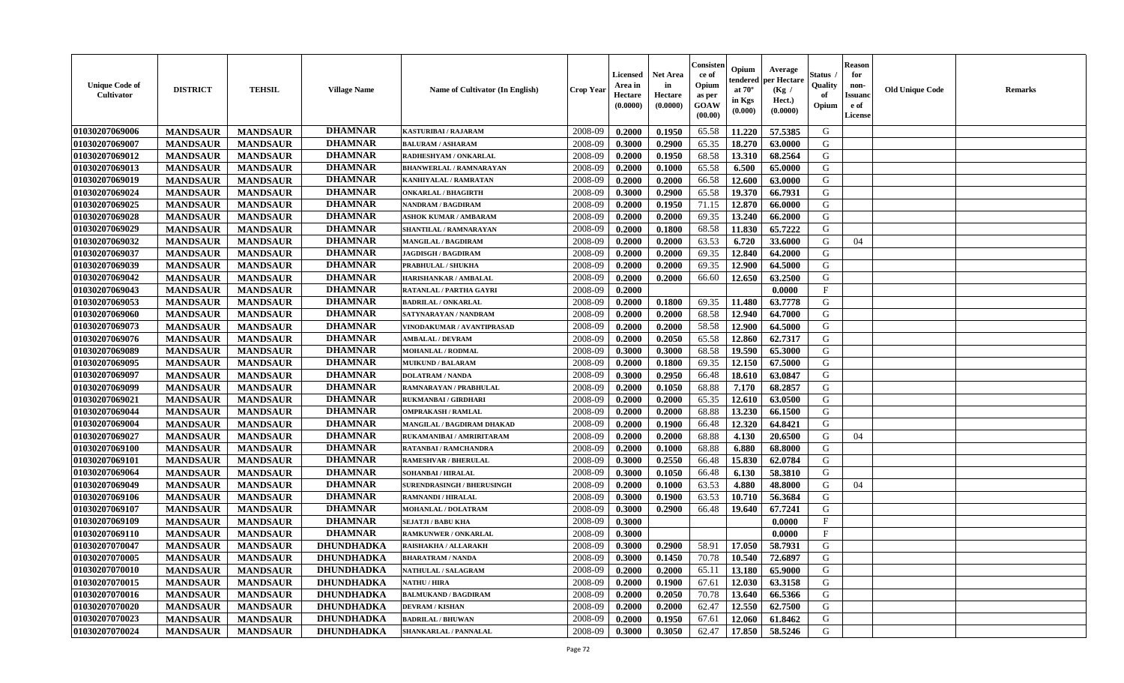| <b>DHAMNAR</b><br>01030207069006<br>2008-09<br>65.58<br>G<br>0.2000<br>0.1950<br>11.220<br>57.5385<br><b>MANDSAUR</b><br><b>MANDSAUR</b><br><b>KASTURIBAI / RAJARAM</b><br><b>DHAMNAR</b><br>01030207069007<br>2008-09<br>0.2900<br>65.35<br>18.270<br>G<br><b>MANDSAUR</b><br><b>MANDSAUR</b><br>0.3000<br>63.0000<br><b>BALURAM / ASHARAM</b><br><b>DHAMNAR</b><br>01030207069012<br><b>MANDSAUR</b><br><b>MANDSAUR</b><br>0.1950<br>13.310<br>68.2564<br>G<br>RADHESHYAM / ONKARLAL<br>2008-09<br>0.2000<br>68.58<br><b>DHAMNAR</b><br>G<br>01030207069013<br><b>MANDSAUR</b><br><b>MANDSAUR</b><br>2008-09<br>0.2000<br>0.1000<br>65.58<br>6.500<br>65.0000<br><b>BHANWERLAL / RAMNARAYAN</b><br><b>DHAMNAR</b><br>12.600<br>01030207069019<br><b>MANDSAUR</b><br><b>MANDSAUR</b><br>2008-09<br>0.2000<br>0.2000<br>66.58<br>63.0000<br>G<br>KANHIYALAL / RAMRATAN<br><b>DHAMNAR</b><br>01030207069024<br><b>MANDSAUR</b><br><b>MANDSAUR</b><br>0.2900<br>65.58<br>19.370<br>66.7931<br>G<br><b>ONKARLAL / BHAGIRTH</b><br>2008-09<br>0.3000<br><b>DHAMNAR</b><br>01030207069025<br><b>MANDSAUR</b><br><b>MANDSAUR</b><br>0.1950<br>71.15<br>12.870<br>G<br><b>NANDRAM / BAGDIRAM</b><br>2008-09<br>0.2000<br>66.0000<br><b>DHAMNAR</b><br>01030207069028<br>69.35<br>13.240<br>G<br><b>MANDSAUR</b><br><b>MANDSAUR</b><br>2008-09<br>0.2000<br>0.2000<br>66.2000<br><b>ASHOK KUMAR / AMBARAM</b><br><b>DHAMNAR</b><br>01030207069029<br><b>MANDSAUR</b><br>2008-09<br>68.58<br>11.830<br>65.7222<br>G<br><b>MANDSAUR</b><br>0.2000<br>0.1800<br>SHANTILAL / RAMNARAYAN<br><b>DHAMNAR</b><br>01030207069032<br>2008-09<br>63.53<br>6.720<br>G<br><b>MANDSAUR</b><br>0.2000<br>0.2000<br>33.6000<br>04<br><b>MANDSAUR</b><br>MANGILAL / BAGDIRAM<br><b>DHAMNAR</b><br><b>MANDSAUR</b><br><b>MANDSAUR</b><br>0.2000<br>69.35<br>12.840<br>64.2000<br>G<br>01030207069037<br>2008-09<br>0.2000<br><b>JAGDISGH / BAGDIRAM</b><br><b>DHAMNAR</b><br>01030207069039<br><b>MANDSAUR</b><br>12.900<br>64.5000<br>G<br><b>MANDSAUR</b><br>PRABHULAL / SHUKHA<br>2008-09<br>0.2000<br>0.2000<br>69.35<br><b>DHAMNAR</b><br>01030207069042<br>12.650<br>G<br><b>MANDSAUR</b><br><b>MANDSAUR</b><br>2008-09<br>0.2000<br>0.2000<br>66.60<br>63.2500<br>HARISHANKAR / AMBALAL<br><b>DHAMNAR</b><br>01030207069043<br><b>MANDSAUR</b><br><b>MANDSAUR</b><br>$\mathbf{F}$<br>RATANLAL / PARTHA GAYRI<br>2008-09<br>0.2000<br>0.0000<br><b>DHAMNAR</b><br><b>MANDSAUR</b><br>0.1800<br>69.35<br>11.480<br>63.7778<br>G<br>01030207069053<br><b>MANDSAUR</b><br>2008-09<br>0.2000<br><b>BADRILAL / ONKARLAL</b><br><b>DHAMNAR</b><br>12.940<br>64.7000<br>G<br>01030207069060<br><b>MANDSAUR</b><br><b>MANDSAUR</b><br>2008-09<br>0.2000<br>0.2000<br>68.58<br>SATYNARAYAN / NANDRAM<br><b>DHAMNAR</b><br>58.58<br>12.900<br>G<br>01030207069073<br><b>MANDSAUR</b><br><b>MANDSAUR</b><br>2008-09<br>0.2000<br>64.5000<br>VINODAKUMAR / AVANTIPRASAD<br>0.2000<br><b>DHAMNAR</b><br>01030207069076<br>2008-09<br>65.58<br>G<br><b>MANDSAUR</b><br><b>MANDSAUR</b><br>12.860<br>62.7317<br><b>AMBALAL / DEVRAM</b><br>0.2000<br>0.2050<br><b>DHAMNAR</b><br>01030207069089<br>0.3000<br>68.58<br>19.590<br>65.3000<br>G<br><b>MANDSAUR</b><br><b>MANDSAUR</b><br><b>MOHANLAL / RODMAL</b><br>2008-09<br>0.3000<br><b>DHAMNAR</b><br>01030207069095<br><b>MANDSAUR</b><br><b>MANDSAUR</b><br>12.150<br>67.5000<br><b>MUIKUND / BALARAM</b><br>2008-09<br>0.2000<br>0.1800<br>69.35<br>G<br><b>DHAMNAR</b><br>0.2950<br>G<br>01030207069097<br><b>MANDSAUR</b><br><b>MANDSAUR</b><br>2008-09<br>0.3000<br>66.48<br>18.610<br>63.0847<br><b>DOLATRAM / NANDA</b><br><b>DHAMNAR</b><br><b>MANDSAUR</b><br>0.1050<br>G<br>01030207069099<br><b>MANDSAUR</b><br>0.2000<br>68.88<br>7.170<br>68.2857<br>RAMNARAYAN / PRABHULAL<br>2008-09 | <b>Unique Code of</b><br><b>Cultivator</b> | <b>DISTRICT</b> | <b>TEHSIL</b>   | <b>Village Name</b> | Name of Cultivator (In English) | <b>Crop Year</b> | <b>Licensed</b><br>Area in<br>Hectare<br>(0.0000) | <b>Net Area</b><br>in<br>Hectare<br>(0.0000) | Consisteı<br>ce of<br>Opium<br>as per<br><b>GOAW</b><br>(00.00) | Opium<br>endered<br>at $70^\circ$<br>in Kgs<br>$(\mathbf{0.000})$ | Average<br>per Hectare<br>(Kg /<br>Hect.)<br>(0.0000) | Status<br>Quality<br>of<br>Opium | Reason<br>for<br>non-<br>Issuan<br>e of<br><b>License</b> | <b>Old Unique Code</b> | <b>Remarks</b> |
|----------------------------------------------------------------------------------------------------------------------------------------------------------------------------------------------------------------------------------------------------------------------------------------------------------------------------------------------------------------------------------------------------------------------------------------------------------------------------------------------------------------------------------------------------------------------------------------------------------------------------------------------------------------------------------------------------------------------------------------------------------------------------------------------------------------------------------------------------------------------------------------------------------------------------------------------------------------------------------------------------------------------------------------------------------------------------------------------------------------------------------------------------------------------------------------------------------------------------------------------------------------------------------------------------------------------------------------------------------------------------------------------------------------------------------------------------------------------------------------------------------------------------------------------------------------------------------------------------------------------------------------------------------------------------------------------------------------------------------------------------------------------------------------------------------------------------------------------------------------------------------------------------------------------------------------------------------------------------------------------------------------------------------------------------------------------------------------------------------------------------------------------------------------------------------------------------------------------------------------------------------------------------------------------------------------------------------------------------------------------------------------------------------------------------------------------------------------------------------------------------------------------------------------------------------------------------------------------------------------------------------------------------------------------------------------------------------------------------------------------------------------------------------------------------------------------------------------------------------------------------------------------------------------------------------------------------------------------------------------------------------------------------------------------------------------------------------------------------------------------------------------------------------------------------------------------------------------------------------------------------------------------------------------------------------------------------------------------------------------------------------------------------------------------------------------------------------------------------------------------------------------------------------------------------------------------------------------------------------------------------------------------------------------------------------------------------------------------------------------------------------------------------------------------------------------------|--------------------------------------------|-----------------|-----------------|---------------------|---------------------------------|------------------|---------------------------------------------------|----------------------------------------------|-----------------------------------------------------------------|-------------------------------------------------------------------|-------------------------------------------------------|----------------------------------|-----------------------------------------------------------|------------------------|----------------|
|                                                                                                                                                                                                                                                                                                                                                                                                                                                                                                                                                                                                                                                                                                                                                                                                                                                                                                                                                                                                                                                                                                                                                                                                                                                                                                                                                                                                                                                                                                                                                                                                                                                                                                                                                                                                                                                                                                                                                                                                                                                                                                                                                                                                                                                                                                                                                                                                                                                                                                                                                                                                                                                                                                                                                                                                                                                                                                                                                                                                                                                                                                                                                                                                                                                                                                                                                                                                                                                                                                                                                                                                                                                                                                                                                                                                                      |                                            |                 |                 |                     |                                 |                  |                                                   |                                              |                                                                 |                                                                   |                                                       |                                  |                                                           |                        |                |
|                                                                                                                                                                                                                                                                                                                                                                                                                                                                                                                                                                                                                                                                                                                                                                                                                                                                                                                                                                                                                                                                                                                                                                                                                                                                                                                                                                                                                                                                                                                                                                                                                                                                                                                                                                                                                                                                                                                                                                                                                                                                                                                                                                                                                                                                                                                                                                                                                                                                                                                                                                                                                                                                                                                                                                                                                                                                                                                                                                                                                                                                                                                                                                                                                                                                                                                                                                                                                                                                                                                                                                                                                                                                                                                                                                                                                      |                                            |                 |                 |                     |                                 |                  |                                                   |                                              |                                                                 |                                                                   |                                                       |                                  |                                                           |                        |                |
|                                                                                                                                                                                                                                                                                                                                                                                                                                                                                                                                                                                                                                                                                                                                                                                                                                                                                                                                                                                                                                                                                                                                                                                                                                                                                                                                                                                                                                                                                                                                                                                                                                                                                                                                                                                                                                                                                                                                                                                                                                                                                                                                                                                                                                                                                                                                                                                                                                                                                                                                                                                                                                                                                                                                                                                                                                                                                                                                                                                                                                                                                                                                                                                                                                                                                                                                                                                                                                                                                                                                                                                                                                                                                                                                                                                                                      |                                            |                 |                 |                     |                                 |                  |                                                   |                                              |                                                                 |                                                                   |                                                       |                                  |                                                           |                        |                |
|                                                                                                                                                                                                                                                                                                                                                                                                                                                                                                                                                                                                                                                                                                                                                                                                                                                                                                                                                                                                                                                                                                                                                                                                                                                                                                                                                                                                                                                                                                                                                                                                                                                                                                                                                                                                                                                                                                                                                                                                                                                                                                                                                                                                                                                                                                                                                                                                                                                                                                                                                                                                                                                                                                                                                                                                                                                                                                                                                                                                                                                                                                                                                                                                                                                                                                                                                                                                                                                                                                                                                                                                                                                                                                                                                                                                                      |                                            |                 |                 |                     |                                 |                  |                                                   |                                              |                                                                 |                                                                   |                                                       |                                  |                                                           |                        |                |
|                                                                                                                                                                                                                                                                                                                                                                                                                                                                                                                                                                                                                                                                                                                                                                                                                                                                                                                                                                                                                                                                                                                                                                                                                                                                                                                                                                                                                                                                                                                                                                                                                                                                                                                                                                                                                                                                                                                                                                                                                                                                                                                                                                                                                                                                                                                                                                                                                                                                                                                                                                                                                                                                                                                                                                                                                                                                                                                                                                                                                                                                                                                                                                                                                                                                                                                                                                                                                                                                                                                                                                                                                                                                                                                                                                                                                      |                                            |                 |                 |                     |                                 |                  |                                                   |                                              |                                                                 |                                                                   |                                                       |                                  |                                                           |                        |                |
|                                                                                                                                                                                                                                                                                                                                                                                                                                                                                                                                                                                                                                                                                                                                                                                                                                                                                                                                                                                                                                                                                                                                                                                                                                                                                                                                                                                                                                                                                                                                                                                                                                                                                                                                                                                                                                                                                                                                                                                                                                                                                                                                                                                                                                                                                                                                                                                                                                                                                                                                                                                                                                                                                                                                                                                                                                                                                                                                                                                                                                                                                                                                                                                                                                                                                                                                                                                                                                                                                                                                                                                                                                                                                                                                                                                                                      |                                            |                 |                 |                     |                                 |                  |                                                   |                                              |                                                                 |                                                                   |                                                       |                                  |                                                           |                        |                |
|                                                                                                                                                                                                                                                                                                                                                                                                                                                                                                                                                                                                                                                                                                                                                                                                                                                                                                                                                                                                                                                                                                                                                                                                                                                                                                                                                                                                                                                                                                                                                                                                                                                                                                                                                                                                                                                                                                                                                                                                                                                                                                                                                                                                                                                                                                                                                                                                                                                                                                                                                                                                                                                                                                                                                                                                                                                                                                                                                                                                                                                                                                                                                                                                                                                                                                                                                                                                                                                                                                                                                                                                                                                                                                                                                                                                                      |                                            |                 |                 |                     |                                 |                  |                                                   |                                              |                                                                 |                                                                   |                                                       |                                  |                                                           |                        |                |
|                                                                                                                                                                                                                                                                                                                                                                                                                                                                                                                                                                                                                                                                                                                                                                                                                                                                                                                                                                                                                                                                                                                                                                                                                                                                                                                                                                                                                                                                                                                                                                                                                                                                                                                                                                                                                                                                                                                                                                                                                                                                                                                                                                                                                                                                                                                                                                                                                                                                                                                                                                                                                                                                                                                                                                                                                                                                                                                                                                                                                                                                                                                                                                                                                                                                                                                                                                                                                                                                                                                                                                                                                                                                                                                                                                                                                      |                                            |                 |                 |                     |                                 |                  |                                                   |                                              |                                                                 |                                                                   |                                                       |                                  |                                                           |                        |                |
|                                                                                                                                                                                                                                                                                                                                                                                                                                                                                                                                                                                                                                                                                                                                                                                                                                                                                                                                                                                                                                                                                                                                                                                                                                                                                                                                                                                                                                                                                                                                                                                                                                                                                                                                                                                                                                                                                                                                                                                                                                                                                                                                                                                                                                                                                                                                                                                                                                                                                                                                                                                                                                                                                                                                                                                                                                                                                                                                                                                                                                                                                                                                                                                                                                                                                                                                                                                                                                                                                                                                                                                                                                                                                                                                                                                                                      |                                            |                 |                 |                     |                                 |                  |                                                   |                                              |                                                                 |                                                                   |                                                       |                                  |                                                           |                        |                |
|                                                                                                                                                                                                                                                                                                                                                                                                                                                                                                                                                                                                                                                                                                                                                                                                                                                                                                                                                                                                                                                                                                                                                                                                                                                                                                                                                                                                                                                                                                                                                                                                                                                                                                                                                                                                                                                                                                                                                                                                                                                                                                                                                                                                                                                                                                                                                                                                                                                                                                                                                                                                                                                                                                                                                                                                                                                                                                                                                                                                                                                                                                                                                                                                                                                                                                                                                                                                                                                                                                                                                                                                                                                                                                                                                                                                                      |                                            |                 |                 |                     |                                 |                  |                                                   |                                              |                                                                 |                                                                   |                                                       |                                  |                                                           |                        |                |
|                                                                                                                                                                                                                                                                                                                                                                                                                                                                                                                                                                                                                                                                                                                                                                                                                                                                                                                                                                                                                                                                                                                                                                                                                                                                                                                                                                                                                                                                                                                                                                                                                                                                                                                                                                                                                                                                                                                                                                                                                                                                                                                                                                                                                                                                                                                                                                                                                                                                                                                                                                                                                                                                                                                                                                                                                                                                                                                                                                                                                                                                                                                                                                                                                                                                                                                                                                                                                                                                                                                                                                                                                                                                                                                                                                                                                      |                                            |                 |                 |                     |                                 |                  |                                                   |                                              |                                                                 |                                                                   |                                                       |                                  |                                                           |                        |                |
|                                                                                                                                                                                                                                                                                                                                                                                                                                                                                                                                                                                                                                                                                                                                                                                                                                                                                                                                                                                                                                                                                                                                                                                                                                                                                                                                                                                                                                                                                                                                                                                                                                                                                                                                                                                                                                                                                                                                                                                                                                                                                                                                                                                                                                                                                                                                                                                                                                                                                                                                                                                                                                                                                                                                                                                                                                                                                                                                                                                                                                                                                                                                                                                                                                                                                                                                                                                                                                                                                                                                                                                                                                                                                                                                                                                                                      |                                            |                 |                 |                     |                                 |                  |                                                   |                                              |                                                                 |                                                                   |                                                       |                                  |                                                           |                        |                |
|                                                                                                                                                                                                                                                                                                                                                                                                                                                                                                                                                                                                                                                                                                                                                                                                                                                                                                                                                                                                                                                                                                                                                                                                                                                                                                                                                                                                                                                                                                                                                                                                                                                                                                                                                                                                                                                                                                                                                                                                                                                                                                                                                                                                                                                                                                                                                                                                                                                                                                                                                                                                                                                                                                                                                                                                                                                                                                                                                                                                                                                                                                                                                                                                                                                                                                                                                                                                                                                                                                                                                                                                                                                                                                                                                                                                                      |                                            |                 |                 |                     |                                 |                  |                                                   |                                              |                                                                 |                                                                   |                                                       |                                  |                                                           |                        |                |
|                                                                                                                                                                                                                                                                                                                                                                                                                                                                                                                                                                                                                                                                                                                                                                                                                                                                                                                                                                                                                                                                                                                                                                                                                                                                                                                                                                                                                                                                                                                                                                                                                                                                                                                                                                                                                                                                                                                                                                                                                                                                                                                                                                                                                                                                                                                                                                                                                                                                                                                                                                                                                                                                                                                                                                                                                                                                                                                                                                                                                                                                                                                                                                                                                                                                                                                                                                                                                                                                                                                                                                                                                                                                                                                                                                                                                      |                                            |                 |                 |                     |                                 |                  |                                                   |                                              |                                                                 |                                                                   |                                                       |                                  |                                                           |                        |                |
|                                                                                                                                                                                                                                                                                                                                                                                                                                                                                                                                                                                                                                                                                                                                                                                                                                                                                                                                                                                                                                                                                                                                                                                                                                                                                                                                                                                                                                                                                                                                                                                                                                                                                                                                                                                                                                                                                                                                                                                                                                                                                                                                                                                                                                                                                                                                                                                                                                                                                                                                                                                                                                                                                                                                                                                                                                                                                                                                                                                                                                                                                                                                                                                                                                                                                                                                                                                                                                                                                                                                                                                                                                                                                                                                                                                                                      |                                            |                 |                 |                     |                                 |                  |                                                   |                                              |                                                                 |                                                                   |                                                       |                                  |                                                           |                        |                |
|                                                                                                                                                                                                                                                                                                                                                                                                                                                                                                                                                                                                                                                                                                                                                                                                                                                                                                                                                                                                                                                                                                                                                                                                                                                                                                                                                                                                                                                                                                                                                                                                                                                                                                                                                                                                                                                                                                                                                                                                                                                                                                                                                                                                                                                                                                                                                                                                                                                                                                                                                                                                                                                                                                                                                                                                                                                                                                                                                                                                                                                                                                                                                                                                                                                                                                                                                                                                                                                                                                                                                                                                                                                                                                                                                                                                                      |                                            |                 |                 |                     |                                 |                  |                                                   |                                              |                                                                 |                                                                   |                                                       |                                  |                                                           |                        |                |
|                                                                                                                                                                                                                                                                                                                                                                                                                                                                                                                                                                                                                                                                                                                                                                                                                                                                                                                                                                                                                                                                                                                                                                                                                                                                                                                                                                                                                                                                                                                                                                                                                                                                                                                                                                                                                                                                                                                                                                                                                                                                                                                                                                                                                                                                                                                                                                                                                                                                                                                                                                                                                                                                                                                                                                                                                                                                                                                                                                                                                                                                                                                                                                                                                                                                                                                                                                                                                                                                                                                                                                                                                                                                                                                                                                                                                      |                                            |                 |                 |                     |                                 |                  |                                                   |                                              |                                                                 |                                                                   |                                                       |                                  |                                                           |                        |                |
|                                                                                                                                                                                                                                                                                                                                                                                                                                                                                                                                                                                                                                                                                                                                                                                                                                                                                                                                                                                                                                                                                                                                                                                                                                                                                                                                                                                                                                                                                                                                                                                                                                                                                                                                                                                                                                                                                                                                                                                                                                                                                                                                                                                                                                                                                                                                                                                                                                                                                                                                                                                                                                                                                                                                                                                                                                                                                                                                                                                                                                                                                                                                                                                                                                                                                                                                                                                                                                                                                                                                                                                                                                                                                                                                                                                                                      |                                            |                 |                 |                     |                                 |                  |                                                   |                                              |                                                                 |                                                                   |                                                       |                                  |                                                           |                        |                |
|                                                                                                                                                                                                                                                                                                                                                                                                                                                                                                                                                                                                                                                                                                                                                                                                                                                                                                                                                                                                                                                                                                                                                                                                                                                                                                                                                                                                                                                                                                                                                                                                                                                                                                                                                                                                                                                                                                                                                                                                                                                                                                                                                                                                                                                                                                                                                                                                                                                                                                                                                                                                                                                                                                                                                                                                                                                                                                                                                                                                                                                                                                                                                                                                                                                                                                                                                                                                                                                                                                                                                                                                                                                                                                                                                                                                                      |                                            |                 |                 |                     |                                 |                  |                                                   |                                              |                                                                 |                                                                   |                                                       |                                  |                                                           |                        |                |
|                                                                                                                                                                                                                                                                                                                                                                                                                                                                                                                                                                                                                                                                                                                                                                                                                                                                                                                                                                                                                                                                                                                                                                                                                                                                                                                                                                                                                                                                                                                                                                                                                                                                                                                                                                                                                                                                                                                                                                                                                                                                                                                                                                                                                                                                                                                                                                                                                                                                                                                                                                                                                                                                                                                                                                                                                                                                                                                                                                                                                                                                                                                                                                                                                                                                                                                                                                                                                                                                                                                                                                                                                                                                                                                                                                                                                      |                                            |                 |                 |                     |                                 |                  |                                                   |                                              |                                                                 |                                                                   |                                                       |                                  |                                                           |                        |                |
|                                                                                                                                                                                                                                                                                                                                                                                                                                                                                                                                                                                                                                                                                                                                                                                                                                                                                                                                                                                                                                                                                                                                                                                                                                                                                                                                                                                                                                                                                                                                                                                                                                                                                                                                                                                                                                                                                                                                                                                                                                                                                                                                                                                                                                                                                                                                                                                                                                                                                                                                                                                                                                                                                                                                                                                                                                                                                                                                                                                                                                                                                                                                                                                                                                                                                                                                                                                                                                                                                                                                                                                                                                                                                                                                                                                                                      |                                            |                 |                 |                     |                                 |                  |                                                   |                                              |                                                                 |                                                                   |                                                       |                                  |                                                           |                        |                |
|                                                                                                                                                                                                                                                                                                                                                                                                                                                                                                                                                                                                                                                                                                                                                                                                                                                                                                                                                                                                                                                                                                                                                                                                                                                                                                                                                                                                                                                                                                                                                                                                                                                                                                                                                                                                                                                                                                                                                                                                                                                                                                                                                                                                                                                                                                                                                                                                                                                                                                                                                                                                                                                                                                                                                                                                                                                                                                                                                                                                                                                                                                                                                                                                                                                                                                                                                                                                                                                                                                                                                                                                                                                                                                                                                                                                                      |                                            |                 |                 |                     |                                 |                  |                                                   |                                              |                                                                 |                                                                   |                                                       |                                  |                                                           |                        |                |
|                                                                                                                                                                                                                                                                                                                                                                                                                                                                                                                                                                                                                                                                                                                                                                                                                                                                                                                                                                                                                                                                                                                                                                                                                                                                                                                                                                                                                                                                                                                                                                                                                                                                                                                                                                                                                                                                                                                                                                                                                                                                                                                                                                                                                                                                                                                                                                                                                                                                                                                                                                                                                                                                                                                                                                                                                                                                                                                                                                                                                                                                                                                                                                                                                                                                                                                                                                                                                                                                                                                                                                                                                                                                                                                                                                                                                      | 01030207069021                             | <b>MANDSAUR</b> | <b>MANDSAUR</b> | <b>DHAMNAR</b>      | <b>RUKMANBAI/GIRDHARI</b>       | 2008-09          | 0.2000                                            | 0.2000                                       | 65.35                                                           | 12.610                                                            | 63.0500                                               | G                                |                                                           |                        |                |
| 01030207069044<br><b>DHAMNAR</b><br>68.88<br>13.230<br><b>MANDSAUR</b><br>2008-09<br>0.2000<br>G<br><b>MANDSAUR</b><br>0.2000<br>66.1500<br><b>OMPRAKASH / RAMLAL</b>                                                                                                                                                                                                                                                                                                                                                                                                                                                                                                                                                                                                                                                                                                                                                                                                                                                                                                                                                                                                                                                                                                                                                                                                                                                                                                                                                                                                                                                                                                                                                                                                                                                                                                                                                                                                                                                                                                                                                                                                                                                                                                                                                                                                                                                                                                                                                                                                                                                                                                                                                                                                                                                                                                                                                                                                                                                                                                                                                                                                                                                                                                                                                                                                                                                                                                                                                                                                                                                                                                                                                                                                                                                |                                            |                 |                 |                     |                                 |                  |                                                   |                                              |                                                                 |                                                                   |                                                       |                                  |                                                           |                        |                |
| <b>DHAMNAR</b><br>01030207069004<br>12.320<br>G<br><b>MANDSAUR</b><br><b>MANDSAUR</b><br>2008-09<br>0.2000<br>66.48<br>64.8421<br>0.1900<br>MANGILAL / BAGDIRAM DHAKAD                                                                                                                                                                                                                                                                                                                                                                                                                                                                                                                                                                                                                                                                                                                                                                                                                                                                                                                                                                                                                                                                                                                                                                                                                                                                                                                                                                                                                                                                                                                                                                                                                                                                                                                                                                                                                                                                                                                                                                                                                                                                                                                                                                                                                                                                                                                                                                                                                                                                                                                                                                                                                                                                                                                                                                                                                                                                                                                                                                                                                                                                                                                                                                                                                                                                                                                                                                                                                                                                                                                                                                                                                                               |                                            |                 |                 |                     |                                 |                  |                                                   |                                              |                                                                 |                                                                   |                                                       |                                  |                                                           |                        |                |
| <b>DHAMNAR</b><br>01030207069027<br><b>MANDSAUR</b><br>2008-09<br>0.2000<br>68.88<br>G<br><b>MANDSAUR</b><br>RUKAMANIBAI / AMRIRITARAM<br>0.2000<br>4.130<br>20.6500<br>04                                                                                                                                                                                                                                                                                                                                                                                                                                                                                                                                                                                                                                                                                                                                                                                                                                                                                                                                                                                                                                                                                                                                                                                                                                                                                                                                                                                                                                                                                                                                                                                                                                                                                                                                                                                                                                                                                                                                                                                                                                                                                                                                                                                                                                                                                                                                                                                                                                                                                                                                                                                                                                                                                                                                                                                                                                                                                                                                                                                                                                                                                                                                                                                                                                                                                                                                                                                                                                                                                                                                                                                                                                           |                                            |                 |                 |                     |                                 |                  |                                                   |                                              |                                                                 |                                                                   |                                                       |                                  |                                                           |                        |                |
| <b>DHAMNAR</b><br>01030207069100<br><b>MANDSAUR</b><br><b>MANDSAUR</b><br>2008-09<br>0.2000<br>0.1000<br>68.88<br>6.880<br>68.8000<br>G<br>RATANBAI / RAMCHANDRA                                                                                                                                                                                                                                                                                                                                                                                                                                                                                                                                                                                                                                                                                                                                                                                                                                                                                                                                                                                                                                                                                                                                                                                                                                                                                                                                                                                                                                                                                                                                                                                                                                                                                                                                                                                                                                                                                                                                                                                                                                                                                                                                                                                                                                                                                                                                                                                                                                                                                                                                                                                                                                                                                                                                                                                                                                                                                                                                                                                                                                                                                                                                                                                                                                                                                                                                                                                                                                                                                                                                                                                                                                                     |                                            |                 |                 |                     |                                 |                  |                                                   |                                              |                                                                 |                                                                   |                                                       |                                  |                                                           |                        |                |
| <b>DHAMNAR</b><br>01030207069101<br><b>MANDSAUR</b><br><b>MANDSAUR</b><br>0.2550<br>15.830<br>62.0784<br>G<br><b>RAMESHVAR / BHERULAL</b><br>2008-09<br>0.3000<br>66.48                                                                                                                                                                                                                                                                                                                                                                                                                                                                                                                                                                                                                                                                                                                                                                                                                                                                                                                                                                                                                                                                                                                                                                                                                                                                                                                                                                                                                                                                                                                                                                                                                                                                                                                                                                                                                                                                                                                                                                                                                                                                                                                                                                                                                                                                                                                                                                                                                                                                                                                                                                                                                                                                                                                                                                                                                                                                                                                                                                                                                                                                                                                                                                                                                                                                                                                                                                                                                                                                                                                                                                                                                                              |                                            |                 |                 |                     |                                 |                  |                                                   |                                              |                                                                 |                                                                   |                                                       |                                  |                                                           |                        |                |
| <b>DHAMNAR</b><br>01030207069064<br><b>MANDSAUR</b><br><b>MANDSAUR</b><br>2008-09<br>0.1050<br>58.3810<br>G<br>0.3000<br>66.48<br>6.130<br>SOHANBAI / HIRALAL                                                                                                                                                                                                                                                                                                                                                                                                                                                                                                                                                                                                                                                                                                                                                                                                                                                                                                                                                                                                                                                                                                                                                                                                                                                                                                                                                                                                                                                                                                                                                                                                                                                                                                                                                                                                                                                                                                                                                                                                                                                                                                                                                                                                                                                                                                                                                                                                                                                                                                                                                                                                                                                                                                                                                                                                                                                                                                                                                                                                                                                                                                                                                                                                                                                                                                                                                                                                                                                                                                                                                                                                                                                        |                                            |                 |                 |                     |                                 |                  |                                                   |                                              |                                                                 |                                                                   |                                                       |                                  |                                                           |                        |                |
| <b>DHAMNAR</b><br>01030207069049<br>63.53<br>4.880<br><b>MANDSAUR</b><br><b>MANDSAUR</b><br><b>SURENDRASINGH / BHERUSINGH</b><br>2008-09<br>0.2000<br>0.1000<br>48.8000<br>G<br>04                                                                                                                                                                                                                                                                                                                                                                                                                                                                                                                                                                                                                                                                                                                                                                                                                                                                                                                                                                                                                                                                                                                                                                                                                                                                                                                                                                                                                                                                                                                                                                                                                                                                                                                                                                                                                                                                                                                                                                                                                                                                                                                                                                                                                                                                                                                                                                                                                                                                                                                                                                                                                                                                                                                                                                                                                                                                                                                                                                                                                                                                                                                                                                                                                                                                                                                                                                                                                                                                                                                                                                                                                                   |                                            |                 |                 |                     |                                 |                  |                                                   |                                              |                                                                 |                                                                   |                                                       |                                  |                                                           |                        |                |
| <b>DHAMNAR</b><br>01030207069106<br><b>MANDSAUR</b><br><b>MANDSAUR</b><br><b>RAMNANDI / HIRALAL</b><br>2008-09<br>0.3000<br>0.1900<br>63.53<br>10.710<br>56.3684<br>G                                                                                                                                                                                                                                                                                                                                                                                                                                                                                                                                                                                                                                                                                                                                                                                                                                                                                                                                                                                                                                                                                                                                                                                                                                                                                                                                                                                                                                                                                                                                                                                                                                                                                                                                                                                                                                                                                                                                                                                                                                                                                                                                                                                                                                                                                                                                                                                                                                                                                                                                                                                                                                                                                                                                                                                                                                                                                                                                                                                                                                                                                                                                                                                                                                                                                                                                                                                                                                                                                                                                                                                                                                                |                                            |                 |                 |                     |                                 |                  |                                                   |                                              |                                                                 |                                                                   |                                                       |                                  |                                                           |                        |                |
| <b>DHAMNAR</b><br>G<br>01030207069107<br>2008-09<br>66.48<br><b>MANDSAUR</b><br><b>MANDSAUR</b><br>0.3000<br>0.2900<br>19.640<br>67.7241<br>MOHANLAL / DOLATRAM                                                                                                                                                                                                                                                                                                                                                                                                                                                                                                                                                                                                                                                                                                                                                                                                                                                                                                                                                                                                                                                                                                                                                                                                                                                                                                                                                                                                                                                                                                                                                                                                                                                                                                                                                                                                                                                                                                                                                                                                                                                                                                                                                                                                                                                                                                                                                                                                                                                                                                                                                                                                                                                                                                                                                                                                                                                                                                                                                                                                                                                                                                                                                                                                                                                                                                                                                                                                                                                                                                                                                                                                                                                      |                                            |                 |                 |                     |                                 |                  |                                                   |                                              |                                                                 |                                                                   |                                                       |                                  |                                                           |                        |                |
| <b>DHAMNAR</b><br>$\mathbf{F}$<br>01030207069109<br><b>MANDSAUR</b><br><b>MANDSAUR</b><br>2008-09<br>0.3000<br>0.0000<br><b>SEJATJI / BABU KHA</b>                                                                                                                                                                                                                                                                                                                                                                                                                                                                                                                                                                                                                                                                                                                                                                                                                                                                                                                                                                                                                                                                                                                                                                                                                                                                                                                                                                                                                                                                                                                                                                                                                                                                                                                                                                                                                                                                                                                                                                                                                                                                                                                                                                                                                                                                                                                                                                                                                                                                                                                                                                                                                                                                                                                                                                                                                                                                                                                                                                                                                                                                                                                                                                                                                                                                                                                                                                                                                                                                                                                                                                                                                                                                   |                                            |                 |                 |                     |                                 |                  |                                                   |                                              |                                                                 |                                                                   |                                                       |                                  |                                                           |                        |                |
| <b>DHAMNAR</b><br>01030207069110<br><b>MANDSAUR</b><br>2008-09<br>$_{\rm F}$<br><b>MANDSAUR</b><br>0.3000<br>0.0000<br><b>RAMKUNWER / ONKARLAL</b>                                                                                                                                                                                                                                                                                                                                                                                                                                                                                                                                                                                                                                                                                                                                                                                                                                                                                                                                                                                                                                                                                                                                                                                                                                                                                                                                                                                                                                                                                                                                                                                                                                                                                                                                                                                                                                                                                                                                                                                                                                                                                                                                                                                                                                                                                                                                                                                                                                                                                                                                                                                                                                                                                                                                                                                                                                                                                                                                                                                                                                                                                                                                                                                                                                                                                                                                                                                                                                                                                                                                                                                                                                                                   |                                            |                 |                 |                     |                                 |                  |                                                   |                                              |                                                                 |                                                                   |                                                       |                                  |                                                           |                        |                |
| 0.2900<br>17.050<br>58.7931<br>G<br>01030207070047<br><b>MANDSAUR</b><br><b>MANDSAUR</b><br>DHUNDHADKA<br>2008-09<br>0.3000<br>58.91<br>RAISHAKHA / ALLARAKH                                                                                                                                                                                                                                                                                                                                                                                                                                                                                                                                                                                                                                                                                                                                                                                                                                                                                                                                                                                                                                                                                                                                                                                                                                                                                                                                                                                                                                                                                                                                                                                                                                                                                                                                                                                                                                                                                                                                                                                                                                                                                                                                                                                                                                                                                                                                                                                                                                                                                                                                                                                                                                                                                                                                                                                                                                                                                                                                                                                                                                                                                                                                                                                                                                                                                                                                                                                                                                                                                                                                                                                                                                                         |                                            |                 |                 |                     |                                 |                  |                                                   |                                              |                                                                 |                                                                   |                                                       |                                  |                                                           |                        |                |
| 01030207070005<br><b>DHUNDHADKA</b><br>$10.540$ 72.6897<br><b>MANDSAUR</b><br>MANDSAUR<br><b>BHARATRAM / NANDA</b><br>2008-09<br>0.3000<br>0.1450<br>70.78<br>G                                                                                                                                                                                                                                                                                                                                                                                                                                                                                                                                                                                                                                                                                                                                                                                                                                                                                                                                                                                                                                                                                                                                                                                                                                                                                                                                                                                                                                                                                                                                                                                                                                                                                                                                                                                                                                                                                                                                                                                                                                                                                                                                                                                                                                                                                                                                                                                                                                                                                                                                                                                                                                                                                                                                                                                                                                                                                                                                                                                                                                                                                                                                                                                                                                                                                                                                                                                                                                                                                                                                                                                                                                                      |                                            |                 |                 |                     |                                 |                  |                                                   |                                              |                                                                 |                                                                   |                                                       |                                  |                                                           |                        |                |
| <b>01030207070010</b><br><b>MANDSAUR</b><br><b>DHUNDHADKA</b><br>2008-09<br>0.2000<br>65.11<br>13.180<br>65.9000<br>G<br><b>MANDSAUR</b><br>NATHULAL / SALAGRAM<br>0.2000                                                                                                                                                                                                                                                                                                                                                                                                                                                                                                                                                                                                                                                                                                                                                                                                                                                                                                                                                                                                                                                                                                                                                                                                                                                                                                                                                                                                                                                                                                                                                                                                                                                                                                                                                                                                                                                                                                                                                                                                                                                                                                                                                                                                                                                                                                                                                                                                                                                                                                                                                                                                                                                                                                                                                                                                                                                                                                                                                                                                                                                                                                                                                                                                                                                                                                                                                                                                                                                                                                                                                                                                                                            |                                            |                 |                 |                     |                                 |                  |                                                   |                                              |                                                                 |                                                                   |                                                       |                                  |                                                           |                        |                |
| 01030207070015<br><b>MANDSAUR</b><br><b>MANDSAUR</b><br><b>DHUNDHADKA</b><br>2008-09<br>0.2000<br>0.1900<br>67.61<br>12.030<br>63.3158<br>G<br><b>NATHU / HIRA</b>                                                                                                                                                                                                                                                                                                                                                                                                                                                                                                                                                                                                                                                                                                                                                                                                                                                                                                                                                                                                                                                                                                                                                                                                                                                                                                                                                                                                                                                                                                                                                                                                                                                                                                                                                                                                                                                                                                                                                                                                                                                                                                                                                                                                                                                                                                                                                                                                                                                                                                                                                                                                                                                                                                                                                                                                                                                                                                                                                                                                                                                                                                                                                                                                                                                                                                                                                                                                                                                                                                                                                                                                                                                   |                                            |                 |                 |                     |                                 |                  |                                                   |                                              |                                                                 |                                                                   |                                                       |                                  |                                                           |                        |                |
| 01030207070016<br><b>MANDSAUR</b><br><b>MANDSAUR</b><br><b>DHUNDHADKA</b><br>66.5366<br>G<br>2008-09<br>0.2050<br>70.78<br>13.640<br><b>BALMUKAND / BAGDIRAM</b><br>0.2000                                                                                                                                                                                                                                                                                                                                                                                                                                                                                                                                                                                                                                                                                                                                                                                                                                                                                                                                                                                                                                                                                                                                                                                                                                                                                                                                                                                                                                                                                                                                                                                                                                                                                                                                                                                                                                                                                                                                                                                                                                                                                                                                                                                                                                                                                                                                                                                                                                                                                                                                                                                                                                                                                                                                                                                                                                                                                                                                                                                                                                                                                                                                                                                                                                                                                                                                                                                                                                                                                                                                                                                                                                           |                                            |                 |                 |                     |                                 |                  |                                                   |                                              |                                                                 |                                                                   |                                                       |                                  |                                                           |                        |                |
| 01030207070020<br>62.7500<br>G<br><b>MANDSAUR</b><br><b>MANDSAUR</b><br>DHUNDHADKA<br>2008-09<br>0.2000<br>62.47<br>12.550<br><b>DEVRAM / KISHAN</b><br>0.2000                                                                                                                                                                                                                                                                                                                                                                                                                                                                                                                                                                                                                                                                                                                                                                                                                                                                                                                                                                                                                                                                                                                                                                                                                                                                                                                                                                                                                                                                                                                                                                                                                                                                                                                                                                                                                                                                                                                                                                                                                                                                                                                                                                                                                                                                                                                                                                                                                                                                                                                                                                                                                                                                                                                                                                                                                                                                                                                                                                                                                                                                                                                                                                                                                                                                                                                                                                                                                                                                                                                                                                                                                                                       |                                            |                 |                 |                     |                                 |                  |                                                   |                                              |                                                                 |                                                                   |                                                       |                                  |                                                           |                        |                |
| 01030207070023<br><b>DHUNDHADKA</b><br>2008-09<br>G<br><b>MANDSAUR</b><br><b>MANDSAUR</b><br><b>BADRILAL / BHUWAN</b><br>0.2000<br>67.61<br>12.060<br>61.8462<br>0.1950                                                                                                                                                                                                                                                                                                                                                                                                                                                                                                                                                                                                                                                                                                                                                                                                                                                                                                                                                                                                                                                                                                                                                                                                                                                                                                                                                                                                                                                                                                                                                                                                                                                                                                                                                                                                                                                                                                                                                                                                                                                                                                                                                                                                                                                                                                                                                                                                                                                                                                                                                                                                                                                                                                                                                                                                                                                                                                                                                                                                                                                                                                                                                                                                                                                                                                                                                                                                                                                                                                                                                                                                                                              |                                            |                 |                 |                     |                                 |                  |                                                   |                                              |                                                                 |                                                                   |                                                       |                                  |                                                           |                        |                |
| 01030207070024<br>G<br><b>MANDSAUR</b><br><b>DHUNDHADKA</b><br>2008-09<br>62.47<br>17.850<br>58.5246<br><b>MANDSAUR</b><br>SHANKARLAL / PANNALAL<br>0.3000<br>0.3050                                                                                                                                                                                                                                                                                                                                                                                                                                                                                                                                                                                                                                                                                                                                                                                                                                                                                                                                                                                                                                                                                                                                                                                                                                                                                                                                                                                                                                                                                                                                                                                                                                                                                                                                                                                                                                                                                                                                                                                                                                                                                                                                                                                                                                                                                                                                                                                                                                                                                                                                                                                                                                                                                                                                                                                                                                                                                                                                                                                                                                                                                                                                                                                                                                                                                                                                                                                                                                                                                                                                                                                                                                                 |                                            |                 |                 |                     |                                 |                  |                                                   |                                              |                                                                 |                                                                   |                                                       |                                  |                                                           |                        |                |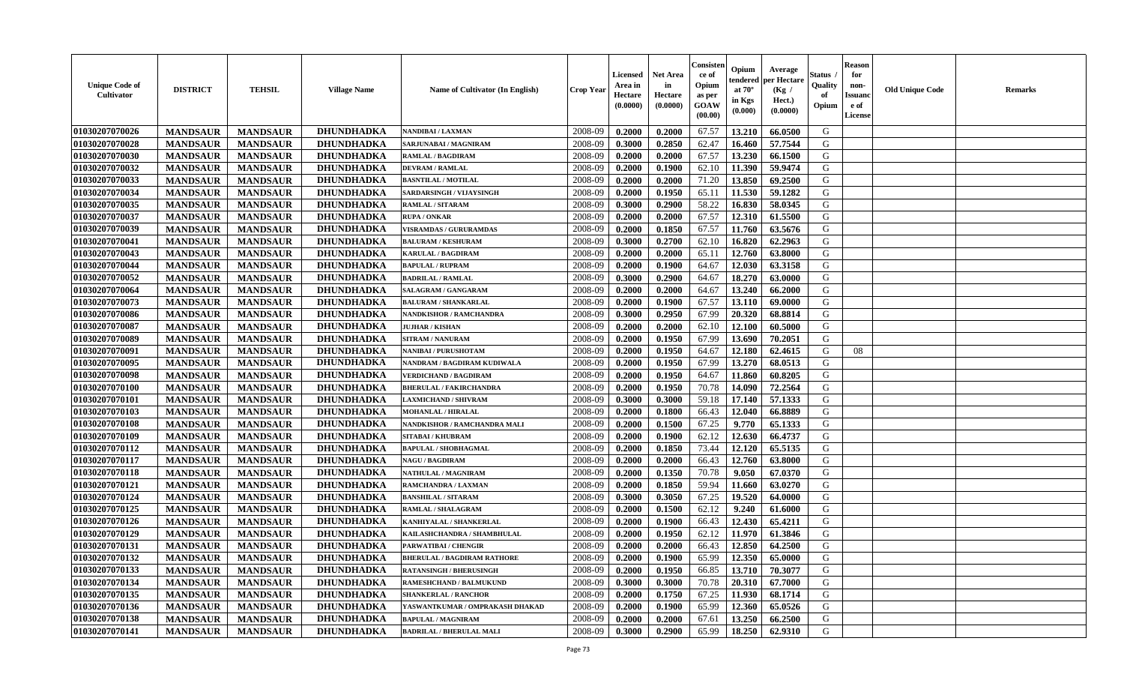| <b>Unique Code of</b><br><b>Cultivator</b> | <b>DISTRICT</b> | <b>TEHSIL</b>   | <b>Village Name</b> | <b>Name of Cultivator (In English)</b> | <b>Crop Year</b> | <b>Licensed</b><br>Area in<br>Hectare<br>(0.0000) | <b>Net Area</b><br>in<br>Hectare<br>(0.0000) | Consister<br>ce of<br>Opium<br>as per<br><b>GOAW</b><br>(00.00) | Opium<br>endered<br>at $70^{\circ}$<br>in Kgs<br>$(\mathbf{0.000})$ | Average<br>per Hectare<br>(Kg)<br>Hect.)<br>(0.0000) | Status<br>Quality<br>of<br>Opium | <b>Reason</b><br>for<br>non-<br><b>Issuano</b><br>e of<br>License | <b>Old Unique Code</b> | <b>Remarks</b> |
|--------------------------------------------|-----------------|-----------------|---------------------|----------------------------------------|------------------|---------------------------------------------------|----------------------------------------------|-----------------------------------------------------------------|---------------------------------------------------------------------|------------------------------------------------------|----------------------------------|-------------------------------------------------------------------|------------------------|----------------|
| 01030207070026                             | <b>MANDSAUR</b> | <b>MANDSAUR</b> | <b>DHUNDHADKA</b>   | NANDIBAI / LAXMAN                      | 2008-09          | 0.2000                                            | 0.2000                                       | 67.57                                                           | 13.210                                                              | 66.0500                                              | G                                |                                                                   |                        |                |
| 01030207070028                             | <b>MANDSAUR</b> | <b>MANDSAUR</b> | DHUNDHADKA          | SARJUNABAI / MAGNIRAM                  | 2008-09          | 0.3000                                            | 0.2850                                       | 62.47                                                           | 16.460                                                              | 57.7544                                              | G                                |                                                                   |                        |                |
| 01030207070030                             | <b>MANDSAUR</b> | <b>MANDSAUR</b> | DHUNDHADKA          | <b>RAMLAL / BAGDIRAM</b>               | 2008-09          | 0.2000                                            | 0.2000                                       | 67.57                                                           | 13.230                                                              | 66.1500                                              | G                                |                                                                   |                        |                |
| 01030207070032                             | <b>MANDSAUR</b> | <b>MANDSAUR</b> | DHUNDHADKA          | <b>DEVRAM / RAMLAL</b>                 | 2008-09          | 0.2000                                            | 0.1900                                       | 62.10                                                           | 11.390                                                              | 59.9474                                              | G                                |                                                                   |                        |                |
| 01030207070033                             | <b>MANDSAUR</b> | <b>MANDSAUR</b> | <b>DHUNDHADKA</b>   | <b>BASNTILAL / MOTILAL</b>             | 2008-09          | 0.2000                                            | 0.2000                                       | 71.20                                                           | 13.850                                                              | 69.2500                                              | G                                |                                                                   |                        |                |
| 01030207070034                             | <b>MANDSAUR</b> | <b>MANDSAUR</b> | <b>DHUNDHADKA</b>   | SARDARSINGH / VIJAYSINGH               | 2008-09          | 0.2000                                            | 0.1950                                       | 65.11                                                           | 11.530                                                              | 59.1282                                              | G                                |                                                                   |                        |                |
| 01030207070035                             | <b>MANDSAUR</b> | <b>MANDSAUR</b> | <b>DHUNDHADKA</b>   | <b>RAMLAL / SITARAM</b>                | 2008-09          | 0.3000                                            | 0.2900                                       | 58.22                                                           | 16.830                                                              | 58.0345                                              | G                                |                                                                   |                        |                |
| 01030207070037                             | <b>MANDSAUR</b> | <b>MANDSAUR</b> | <b>DHUNDHADKA</b>   | <b>RUPA / ONKAR</b>                    | 2008-09          | 0.2000                                            | 0.2000                                       | 67.57                                                           | 12.310                                                              | 61.5500                                              | G                                |                                                                   |                        |                |
| 01030207070039                             | <b>MANDSAUR</b> | <b>MANDSAUR</b> | <b>DHUNDHADKA</b>   | <b>VISRAMDAS / GURURAMDAS</b>          | 2008-09          | 0.2000                                            | 0.1850                                       | 67.57                                                           | 11.760                                                              | 63.5676                                              | G                                |                                                                   |                        |                |
| 01030207070041                             | <b>MANDSAUR</b> | <b>MANDSAUR</b> | <b>DHUNDHADKA</b>   | <b>BALURAM / KESHURAM</b>              | 2008-09          | 0.3000                                            | 0.2700                                       | 62.10                                                           | 16.820                                                              | 62.2963                                              | G                                |                                                                   |                        |                |
| 01030207070043                             | <b>MANDSAUR</b> | <b>MANDSAUR</b> | DHUNDHADKA          | <b>KARULAL / BAGDIRAM</b>              | 2008-09          | 0.2000                                            | 0.2000                                       | 65.11                                                           | 12.760                                                              | 63.8000                                              | G                                |                                                                   |                        |                |
| 01030207070044                             | <b>MANDSAUR</b> | <b>MANDSAUR</b> | <b>DHUNDHADKA</b>   | <b>BAPULAL / RUPRAM</b>                | 2008-09          | 0.2000                                            | 0.1900                                       | 64.67                                                           | 12.030                                                              | 63.3158                                              | G                                |                                                                   |                        |                |
| 01030207070052                             | <b>MANDSAUR</b> | <b>MANDSAUR</b> | <b>DHUNDHADKA</b>   | <b>BADRILAL / RAMLAL</b>               | 2008-09          | 0.3000                                            | 0.2900                                       | 64.67                                                           | 18.270                                                              | 63.0000                                              | G                                |                                                                   |                        |                |
| 01030207070064                             | <b>MANDSAUR</b> | <b>MANDSAUR</b> | <b>DHUNDHADKA</b>   | SALAGRAM / GANGARAM                    | 2008-09          | 0.2000                                            | 0.2000                                       | 64.67                                                           | 13.240                                                              | 66.2000                                              | G                                |                                                                   |                        |                |
| 01030207070073                             | <b>MANDSAUR</b> | <b>MANDSAUR</b> | <b>DHUNDHADKA</b>   | <b>BALURAM / SHANKARLAL</b>            | 2008-09          | 0.2000                                            | 0.1900                                       | 67.57                                                           | 13.110                                                              | 69.0000                                              | G                                |                                                                   |                        |                |
| 01030207070086                             | <b>MANDSAUR</b> | <b>MANDSAUR</b> | <b>DHUNDHADKA</b>   | NANDKISHOR / RAMCHANDRA                | 2008-09          | 0.3000                                            | 0.2950                                       | 67.99                                                           | 20.320                                                              | 68.8814                                              | G                                |                                                                   |                        |                |
| 01030207070087                             | <b>MANDSAUR</b> | <b>MANDSAUR</b> | <b>DHUNDHADKA</b>   | <b>JUJHAR / KISHAN</b>                 | 2008-09          | 0.2000                                            | 0.2000                                       | 62.10                                                           | 12.100                                                              | 60.5000                                              | G                                |                                                                   |                        |                |
| 01030207070089                             | <b>MANDSAUR</b> | <b>MANDSAUR</b> | <b>DHUNDHADKA</b>   | <b>SITRAM / NANURAM</b>                | 2008-09          | 0.2000                                            | 0.1950                                       | 67.99                                                           | 13.690                                                              | 70.2051                                              | G                                |                                                                   |                        |                |
| 01030207070091                             | <b>MANDSAUR</b> | <b>MANDSAUR</b> | <b>DHUNDHADKA</b>   | NANIBAI / PURUSHOTAM                   | 2008-09          | 0.2000                                            | 0.1950                                       | 64.67                                                           | 12.180                                                              | 62.4615                                              | G                                | 08                                                                |                        |                |
| 01030207070095                             | <b>MANDSAUR</b> | <b>MANDSAUR</b> | DHUNDHADKA          | NANDRAM / BAGDIRAM KUDIWALA            | 2008-09          | 0.2000                                            | 0.1950                                       | 67.99                                                           | 13.270                                                              | 68.0513                                              | G                                |                                                                   |                        |                |
| 01030207070098                             | <b>MANDSAUR</b> | <b>MANDSAUR</b> | <b>DHUNDHADKA</b>   | <b>VERDICHAND / BAGDIRAM</b>           | 2008-09          | 0.2000                                            | 0.1950                                       | 64.67                                                           | 11.860                                                              | 60.8205                                              | G                                |                                                                   |                        |                |
| 01030207070100                             | <b>MANDSAUR</b> | <b>MANDSAUR</b> | DHUNDHADKA          | <b>BHERULAL / FAKIRCHANDRA</b>         | 2008-09          | 0.2000                                            | 0.1950                                       | 70.78                                                           | 14.090                                                              | 72.2564                                              | G                                |                                                                   |                        |                |
| 01030207070101                             | <b>MANDSAUR</b> | <b>MANDSAUR</b> | <b>DHUNDHADKA</b>   | <b>LAXMICHAND / SHIVRAM</b>            | 2008-09          | 0.3000                                            | 0.3000                                       | 59.18                                                           | 17.140                                                              | 57.1333                                              | G                                |                                                                   |                        |                |
| 01030207070103                             | <b>MANDSAUR</b> | <b>MANDSAUR</b> | <b>DHUNDHADKA</b>   | <b>MOHANLAL / HIRALAL</b>              | 2008-09          | 0.2000                                            | 0.1800                                       | 66.43                                                           | 12.040                                                              | 66.8889                                              | G                                |                                                                   |                        |                |
| 01030207070108                             | <b>MANDSAUR</b> | <b>MANDSAUR</b> | <b>DHUNDHADKA</b>   | NANDKISHOR / RAMCHANDRA MALI           | 2008-09          | 0.2000                                            | 0.1500                                       | 67.25                                                           | 9.770                                                               | 65.1333                                              | G                                |                                                                   |                        |                |
| 01030207070109                             | <b>MANDSAUR</b> | <b>MANDSAUR</b> | DHUNDHADKA          | <b>SITABAI/KHUBRAM</b>                 | 2008-09          | 0.2000                                            | 0.1900                                       | 62.12                                                           | 12.630                                                              | 66.4737                                              | G                                |                                                                   |                        |                |
| 01030207070112                             | <b>MANDSAUR</b> | <b>MANDSAUR</b> | <b>DHUNDHADKA</b>   | <b>BAPULAL / SHOBHAGMAL</b>            | 2008-09          | 0.2000                                            | 0.1850                                       | 73.44                                                           | 12.120                                                              | 65.5135                                              | G                                |                                                                   |                        |                |
| 01030207070117                             | <b>MANDSAUR</b> | <b>MANDSAUR</b> | <b>DHUNDHADKA</b>   | <b>NAGU / BAGDIRAM</b>                 | 2008-09          | 0.2000                                            | 0.2000                                       | 66.43                                                           | 12.760                                                              | 63.8000                                              | G                                |                                                                   |                        |                |
| 01030207070118                             | <b>MANDSAUR</b> | <b>MANDSAUR</b> | <b>DHUNDHADKA</b>   | NATHULAL / MAGNIRAM                    | 2008-09          | 0.2000                                            | 0.1350                                       | 70.78                                                           | 9.050                                                               | 67.0370                                              | G                                |                                                                   |                        |                |
| 01030207070121                             | <b>MANDSAUR</b> | <b>MANDSAUR</b> | <b>DHUNDHADKA</b>   | RAMCHANDRA / LAXMAN                    | 2008-09          | 0.2000                                            | 0.1850                                       | 59.94                                                           | 11.660                                                              | 63.0270                                              | G                                |                                                                   |                        |                |
| 01030207070124                             | <b>MANDSAUR</b> | <b>MANDSAUR</b> | <b>DHUNDHADKA</b>   | <b>BANSHILAL / SITARAM</b>             | 2008-09          | 0.3000                                            | 0.3050                                       | 67.25                                                           | 19.520                                                              | 64.0000                                              | G                                |                                                                   |                        |                |
| 01030207070125                             | <b>MANDSAUR</b> | <b>MANDSAUR</b> | <b>DHUNDHADKA</b>   | RAMLAL / SHALAGRAM                     | 2008-09          | 0.2000                                            | 0.1500                                       | 62.12                                                           | 9.240                                                               | 61.6000                                              | G                                |                                                                   |                        |                |
| 01030207070126                             | <b>MANDSAUR</b> | <b>MANDSAUR</b> | <b>DHUNDHADKA</b>   | KANHIYALAL / SHANKERLAL                | 2008-09          | 0.2000                                            | 0.1900                                       | 66.43                                                           | 12.430                                                              | 65.4211                                              | G                                |                                                                   |                        |                |
| 01030207070129                             | <b>MANDSAUR</b> | <b>MANDSAUR</b> | DHUNDHADKA          | KAILASHCHANDRA / SHAMBHULAL            | 2008-09          | 0.2000                                            | 0.1950                                       | 62.12                                                           | 11.970                                                              | 61.3846                                              | G                                |                                                                   |                        |                |
| 01030207070131                             | <b>MANDSAUR</b> | <b>MANDSAUR</b> | <b>DHUNDHADKA</b>   | PARWATIBAI / CHENGIR                   | 2008-09          | 0.2000                                            | 0.2000                                       | 66.43                                                           | 12.850                                                              | 64.2500                                              | G                                |                                                                   |                        |                |
| 01030207070132                             | <b>MANDSAUR</b> | <b>MANDSAUR</b> | <b>DHUNDHADKA</b>   | <b>BHERULAL / BAGDIRAM RATHORE</b>     | 2008-09          | 0.2000                                            | 0.1900                                       | 65.99                                                           |                                                                     | $12.350 \mid 65.0000$                                | G                                |                                                                   |                        |                |
| 01030207070133                             | <b>MANDSAUR</b> | <b>MANDSAUR</b> | <b>DHUNDHADKA</b>   | <b>RATANSINGH / BHERUSINGH</b>         | 2008-09          | 0.2000                                            | 0.1950                                       | 66.85                                                           | 13.710                                                              | 70.3077                                              | G                                |                                                                   |                        |                |
| 01030207070134                             | <b>MANDSAUR</b> | <b>MANDSAUR</b> | DHUNDHADKA          | <b>RAMESHCHAND / BALMUKUND</b>         | 2008-09          | 0.3000                                            | 0.3000                                       | 70.78                                                           | 20.310                                                              | 67.7000                                              | G                                |                                                                   |                        |                |
| 01030207070135                             | <b>MANDSAUR</b> | <b>MANDSAUR</b> | <b>DHUNDHADKA</b>   | <b>SHANKERLAL / RANCHOR</b>            | 2008-09          | 0.2000                                            | 0.1750                                       | 67.25                                                           | 11.930                                                              | 68.1714                                              | G                                |                                                                   |                        |                |
| 01030207070136                             | <b>MANDSAUR</b> | <b>MANDSAUR</b> | <b>DHUNDHADKA</b>   | YASWANTKUMAR / OMPRAKASH DHAKAD        | 2008-09          | 0.2000                                            | 0.1900                                       | 65.99                                                           | 12.360                                                              | 65.0526                                              | G                                |                                                                   |                        |                |
| 01030207070138                             | <b>MANDSAUR</b> | <b>MANDSAUR</b> | <b>DHUNDHADKA</b>   | <b>BAPULAL / MAGNIRAM</b>              | 2008-09          | 0.2000                                            | 0.2000                                       | 67.61                                                           | 13.250                                                              | 66.2500                                              | G                                |                                                                   |                        |                |
| 01030207070141                             | <b>MANDSAUR</b> | <b>MANDSAUR</b> | <b>DHUNDHADKA</b>   | <b>BADRILAL / BHERULAL MALI</b>        | 2008-09          | 0.3000                                            | 0.2900                                       | 65.99                                                           | 18.250                                                              | 62.9310                                              | G                                |                                                                   |                        |                |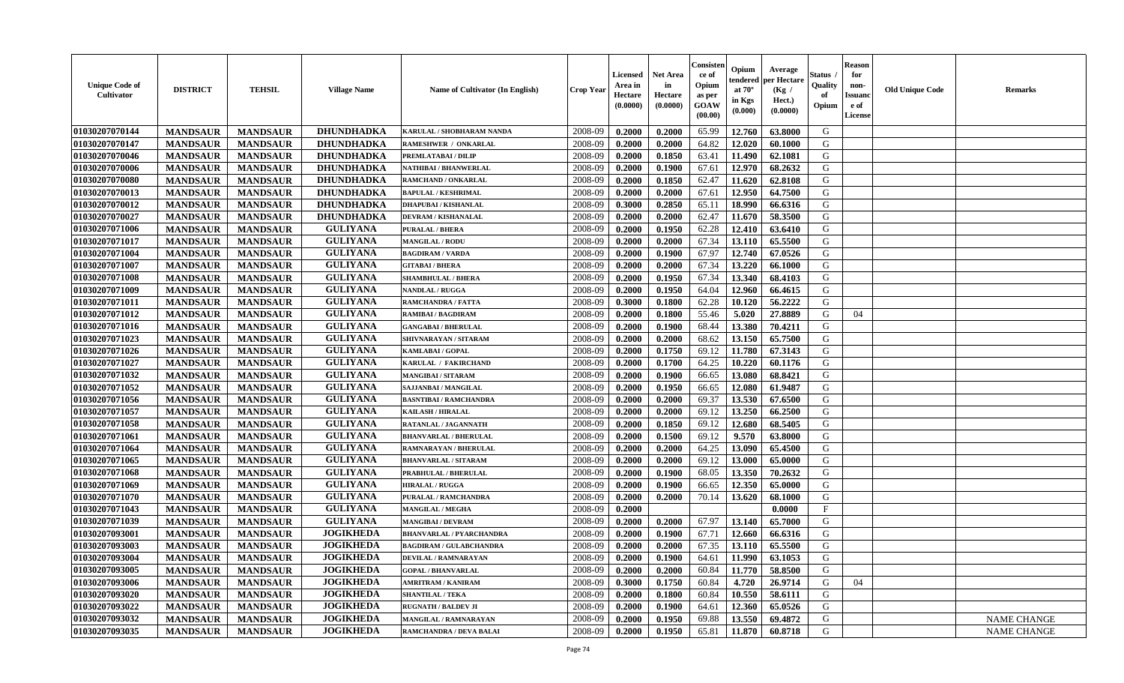| <b>Unique Code of</b><br><b>Cultivator</b> | <b>DISTRICT</b> | <b>TEHSIL</b>   | <b>Village Name</b> | Name of Cultivator (In English) | <b>Crop Year</b> | <b>Licensed</b><br>Area in<br>Hectare<br>(0.0000) | <b>Net Area</b><br>in<br>Hectare<br>(0.0000) | Consisteı<br>ce of<br>Opium<br>as per<br><b>GOAW</b><br>(00.00) | Opium<br>endered<br>at $70^\circ$<br>in Kgs<br>$(\mathbf{0.000})$ | Average<br>per Hectare<br>(Kg /<br>Hect.)<br>(0.0000) | Status<br>Quality<br>of<br>Opium | Reason<br>for<br>non-<br>Issuan<br>e of<br><b>License</b> | <b>Old Unique Code</b> | <b>Remarks</b>     |
|--------------------------------------------|-----------------|-----------------|---------------------|---------------------------------|------------------|---------------------------------------------------|----------------------------------------------|-----------------------------------------------------------------|-------------------------------------------------------------------|-------------------------------------------------------|----------------------------------|-----------------------------------------------------------|------------------------|--------------------|
| 01030207070144                             | <b>MANDSAUR</b> | <b>MANDSAUR</b> | DHUNDHADKA          | KARULAL / SHOBHARAM NANDA       | 2008-09          | 0.2000                                            | 0.2000                                       | 65.99                                                           | 12.760                                                            | 63.8000                                               | G                                |                                                           |                        |                    |
| 01030207070147                             | <b>MANDSAUR</b> | <b>MANDSAUR</b> | DHUNDHADKA          | RAMESHWER / ONKARLAL            | 2008-09          | 0.2000                                            | 0.2000                                       | 64.82                                                           | 12.020                                                            | 60.1000                                               | G                                |                                                           |                        |                    |
| 01030207070046                             | <b>MANDSAUR</b> | <b>MANDSAUR</b> | <b>DHUNDHADKA</b>   | PREMLATABAI / DILIP             | 2008-09          | 0.2000                                            | 0.1850                                       | 63.41                                                           | 11.490                                                            | 62.1081                                               | G                                |                                                           |                        |                    |
| 01030207070006                             | <b>MANDSAUR</b> | <b>MANDSAUR</b> | <b>DHUNDHADKA</b>   | NATHIBAI / BHANWERLAL           | 2008-09          | 0.2000                                            | 0.1900                                       | 67.61                                                           | 12.970                                                            | 68.2632                                               | G                                |                                                           |                        |                    |
| 01030207070080                             | <b>MANDSAUR</b> | <b>MANDSAUR</b> | <b>DHUNDHADKA</b>   | RAMCHAND / ONKARLAL             | 2008-09          | 0.2000                                            | 0.1850                                       | 62.47                                                           | 11.620                                                            | 62.8108                                               | G                                |                                                           |                        |                    |
| 01030207070013                             | <b>MANDSAUR</b> | <b>MANDSAUR</b> | <b>DHUNDHADKA</b>   | <b>BAPULAL / KESHRIMAL</b>      | 2008-09          | 0.2000                                            | 0.2000                                       | 67.61                                                           | 12.950                                                            | 64.7500                                               | G                                |                                                           |                        |                    |
| 01030207070012                             | <b>MANDSAUR</b> | <b>MANDSAUR</b> | <b>DHUNDHADKA</b>   | <b>DHAPUBAI/KISHANLAL</b>       | 2008-09          | 0.3000                                            | 0.2850                                       | 65.11                                                           | 18.990                                                            | 66.6316                                               | G                                |                                                           |                        |                    |
| 01030207070027                             | <b>MANDSAUR</b> | <b>MANDSAUR</b> | <b>DHUNDHADKA</b>   | <b>DEVRAM / KISHANALAL</b>      | 2008-09          | 0.2000                                            | 0.2000                                       | 62.47                                                           | 11.670                                                            | 58.3500                                               | G                                |                                                           |                        |                    |
| 01030207071006                             | <b>MANDSAUR</b> | <b>MANDSAUR</b> | <b>GULIYANA</b>     | PURALAL / BHERA                 | 2008-09          | 0.2000                                            | 0.1950                                       | 62.28                                                           | 12.410                                                            | 63.6410                                               | G                                |                                                           |                        |                    |
| 01030207071017                             | <b>MANDSAUR</b> | <b>MANDSAUR</b> | <b>GULIYANA</b>     | <b>MANGILAL / RODU</b>          | 2008-09          | 0.2000                                            | 0.2000                                       | 67.34                                                           | 13.110                                                            | 65.5500                                               | G                                |                                                           |                        |                    |
| 01030207071004                             | <b>MANDSAUR</b> | <b>MANDSAUR</b> | <b>GULIYANA</b>     | <b>BAGDIRAM / VARDA</b>         | 2008-09          | 0.2000                                            | 0.1900                                       | 67.97                                                           | 12.740                                                            | 67.0526                                               | G                                |                                                           |                        |                    |
| 01030207071007                             | <b>MANDSAUR</b> | <b>MANDSAUR</b> | <b>GULIYANA</b>     | <b>GITABAI/BHERA</b>            | 2008-09          | 0.2000                                            | 0.2000                                       | 67.34                                                           | 13.220                                                            | 66.1000                                               | G                                |                                                           |                        |                    |
| 01030207071008                             | <b>MANDSAUR</b> | <b>MANDSAUR</b> | <b>GULIYANA</b>     | <b>SHAMBHULAL / BHERA</b>       | 2008-09          | 0.2000                                            | 0.1950                                       | 67.34                                                           | 13.340                                                            | 68.4103                                               | G                                |                                                           |                        |                    |
| 01030207071009                             | <b>MANDSAUR</b> | <b>MANDSAUR</b> | <b>GULIYANA</b>     | NANDLAL / RUGGA                 | 2008-09          | 0.2000                                            | 0.1950                                       | 64.04                                                           | 12.960                                                            | 66.4615                                               | G                                |                                                           |                        |                    |
| 01030207071011                             | <b>MANDSAUR</b> | <b>MANDSAUR</b> | <b>GULIYANA</b>     | <b>RAMCHANDRA / FATTA</b>       | 2008-09          | 0.3000                                            | 0.1800                                       | 62.28                                                           | 10.120                                                            | 56.2222                                               | G                                |                                                           |                        |                    |
| 01030207071012                             | <b>MANDSAUR</b> | <b>MANDSAUR</b> | <b>GULIYANA</b>     | RAMIBAI / BAGDIRAM              | 2008-09          | 0.2000                                            | 0.1800                                       | 55.46                                                           | 5.020                                                             | 27.8889                                               | G                                | 04                                                        |                        |                    |
| 01030207071016                             | <b>MANDSAUR</b> | <b>MANDSAUR</b> | <b>GULIYANA</b>     | <b>GANGABAI / BHERULAL</b>      | 2008-09          | 0.2000                                            | 0.1900                                       | 68.44                                                           | 13.380                                                            | 70.4211                                               | G                                |                                                           |                        |                    |
| 01030207071023                             | <b>MANDSAUR</b> | <b>MANDSAUR</b> | <b>GULIYANA</b>     | SHIVNARAYAN / SITARAM           | 2008-09          | 0.2000                                            | 0.2000                                       | 68.62                                                           | 13.150                                                            | 65.7500                                               | G                                |                                                           |                        |                    |
| 01030207071026                             | <b>MANDSAUR</b> | <b>MANDSAUR</b> | <b>GULIYANA</b>     | KAMLABAI / GOPAL                | 2008-09          | 0.2000                                            | 0.1750                                       | 69.12                                                           | 11.780                                                            | 67.3143                                               | G                                |                                                           |                        |                    |
| 01030207071027                             | <b>MANDSAUR</b> | <b>MANDSAUR</b> | <b>GULIYANA</b>     | <b>KARULAL / FAKIRCHAND</b>     | 2008-09          | 0.2000                                            | 0.1700                                       | 64.25                                                           | 10.220                                                            | 60.1176                                               | G                                |                                                           |                        |                    |
| 01030207071032                             | <b>MANDSAUR</b> | <b>MANDSAUR</b> | <b>GULIYANA</b>     | <b>MANGIBAI/SITARAM</b>         | 2008-09          | 0.2000                                            | 0.1900                                       | 66.65                                                           | 13.080                                                            | 68.8421                                               | G                                |                                                           |                        |                    |
| 01030207071052                             | <b>MANDSAUR</b> | <b>MANDSAUR</b> | <b>GULIYANA</b>     | SAJJANBAI / MANGILAL            | 2008-09          | 0.2000                                            | 0.1950                                       | 66.65                                                           | 12.080                                                            | 61.9487                                               | G                                |                                                           |                        |                    |
| 01030207071056                             | <b>MANDSAUR</b> | <b>MANDSAUR</b> | <b>GULIYANA</b>     | <b>BASNTIBAI / RAMCHANDRA</b>   | 2008-09          | 0.2000                                            | 0.2000                                       | 69.37                                                           | 13.530                                                            | 67.6500                                               | G                                |                                                           |                        |                    |
| 01030207071057                             | <b>MANDSAUR</b> | <b>MANDSAUR</b> | <b>GULIYANA</b>     | <b>KAILASH / HIRALAL</b>        | 2008-09          | 0.2000                                            | 0.2000                                       | 69.12                                                           | 13.250                                                            | 66.2500                                               | G                                |                                                           |                        |                    |
| 01030207071058                             | <b>MANDSAUR</b> | <b>MANDSAUR</b> | <b>GULIYANA</b>     | RATANLAL / JAGANNATH            | 2008-09          | 0.2000                                            | 0.1850                                       | 69.12                                                           | 12.680                                                            | 68.5405                                               | G                                |                                                           |                        |                    |
| 01030207071061                             | <b>MANDSAUR</b> | <b>MANDSAUR</b> | <b>GULIYANA</b>     | <b>BHANVARLAL / BHERULAL</b>    | 2008-09          | 0.2000                                            | 0.1500                                       | 69.12                                                           | 9.570                                                             | 63.8000                                               | G                                |                                                           |                        |                    |
| 01030207071064                             | <b>MANDSAUR</b> | <b>MANDSAUR</b> | <b>GULIYANA</b>     | RAMNARAYAN / BHERULAL           | 2008-09          | 0.2000                                            | 0.2000                                       | 64.25                                                           | 13.090                                                            | 65.4500                                               | G                                |                                                           |                        |                    |
| 01030207071065                             | <b>MANDSAUR</b> | <b>MANDSAUR</b> | <b>GULIYANA</b>     | <b>BHANVARLAL / SITARAM</b>     | 2008-09          | 0.2000                                            | 0.2000                                       | 69.12                                                           | 13.000                                                            | 65.0000                                               | G                                |                                                           |                        |                    |
| 01030207071068                             | <b>MANDSAUR</b> | <b>MANDSAUR</b> | <b>GULIYANA</b>     | PRABHULAL / BHERULAL            | 2008-09          | 0.2000                                            | 0.1900                                       | 68.05                                                           | 13.350                                                            | 70.2632                                               | G                                |                                                           |                        |                    |
| 01030207071069                             | <b>MANDSAUR</b> | <b>MANDSAUR</b> | <b>GULIYANA</b>     | <b>HIRALAL / RUGGA</b>          | 2008-09          | 0.2000                                            | 0.1900                                       | 66.65                                                           | 12.350                                                            | 65.0000                                               | G                                |                                                           |                        |                    |
| 01030207071070                             | <b>MANDSAUR</b> | <b>MANDSAUR</b> | <b>GULIYANA</b>     | PURALAL / RAMCHANDRA            | 2008-09          | 0.2000                                            | 0.2000                                       | 70.14                                                           | 13.620                                                            | 68.1000                                               | G                                |                                                           |                        |                    |
| 01030207071043                             | <b>MANDSAUR</b> | <b>MANDSAUR</b> | <b>GULIYANA</b>     | <b>MANGILAL / MEGHA</b>         | 2008-09          | 0.2000                                            |                                              |                                                                 |                                                                   | 0.0000                                                | $\mathbf{F}$                     |                                                           |                        |                    |
| 01030207071039                             | <b>MANDSAUR</b> | <b>MANDSAUR</b> | <b>GULIYANA</b>     | <b>MANGIBAI/DEVRAM</b>          | 2008-09          | 0.2000                                            | 0.2000                                       | 67.97                                                           | 13.140                                                            | 65.7000                                               | G                                |                                                           |                        |                    |
| 01030207093001                             | <b>MANDSAUR</b> | <b>MANDSAUR</b> | <b>JOGIKHEDA</b>    | <b>BHANVARLAL / PYARCHANDRA</b> | 2008-09          | 0.2000                                            | 0.1900                                       | 67.71                                                           | 12.660                                                            | 66.6316                                               | G                                |                                                           |                        |                    |
| 01030207093003                             | <b>MANDSAUR</b> | <b>MANDSAUR</b> | <b>JOGIKHEDA</b>    | <b>BAGDIRAM / GULABCHANDRA</b>  | 2008-09          | 0.2000                                            | 0.2000                                       | 67.35                                                           | 13.110                                                            | 65.5500                                               | G                                |                                                           |                        |                    |
| 01030207093004                             | <b>MANDSAUR</b> | <b>MANDSAUR</b> | JOGIKHEDA           | DEVILAL / RAMNARAYAN            | 2008-09          | 0.2000                                            | 0.1900                                       | 64.61                                                           |                                                                   | $ 11.990 $ 63.1053                                    | G                                |                                                           |                        |                    |
| 01030207093005                             | <b>MANDSAUR</b> | <b>MANDSAUR</b> | <b>JOGIKHEDA</b>    | <b>GOPAL / BHANVARLAL</b>       | 2008-09          | 0.2000                                            | 0.2000                                       | 60.84                                                           | 11.770                                                            | 58.8500                                               | G                                |                                                           |                        |                    |
| 01030207093006                             | <b>MANDSAUR</b> | <b>MANDSAUR</b> | <b>JOGIKHEDA</b>    | <b>AMRITRAM / KANIRAM</b>       | 2008-09          | 0.3000                                            | 0.1750                                       | 60.84                                                           | 4.720                                                             | 26.9714                                               | G                                | 04                                                        |                        |                    |
| 01030207093020                             | <b>MANDSAUR</b> | <b>MANDSAUR</b> | <b>JOGIKHEDA</b>    | <b>SHANTILAL / TEKA</b>         | 2008-09          | 0.2000                                            | 0.1800                                       | 60.84                                                           | 10.550                                                            | 58.6111                                               | G                                |                                                           |                        |                    |
| 01030207093022                             | <b>MANDSAUR</b> | <b>MANDSAUR</b> | <b>JOGIKHEDA</b>    | <b>RUGNATH / BALDEV JI</b>      | 2008-09          | 0.2000                                            | 0.1900                                       | 64.61                                                           | 12.360                                                            | 65.0526                                               | G                                |                                                           |                        |                    |
| 01030207093032                             | <b>MANDSAUR</b> | <b>MANDSAUR</b> | <b>JOGIKHEDA</b>    | <b>MANGILAL / RAMNARAYAN</b>    | 2008-09          | 0.2000                                            | 0.1950                                       | 69.88                                                           | 13.550                                                            | 69.4872                                               | G                                |                                                           |                        | <b>NAME CHANGE</b> |
| 01030207093035                             | <b>MANDSAUR</b> | <b>MANDSAUR</b> | <b>JOGIKHEDA</b>    | RAMCHANDRA / DEVA BALAI         | 2008-09          | 0.2000                                            | 0.1950                                       | 65.81                                                           | 11.870                                                            | 60.8718                                               | G                                |                                                           |                        | NAME CHANGE        |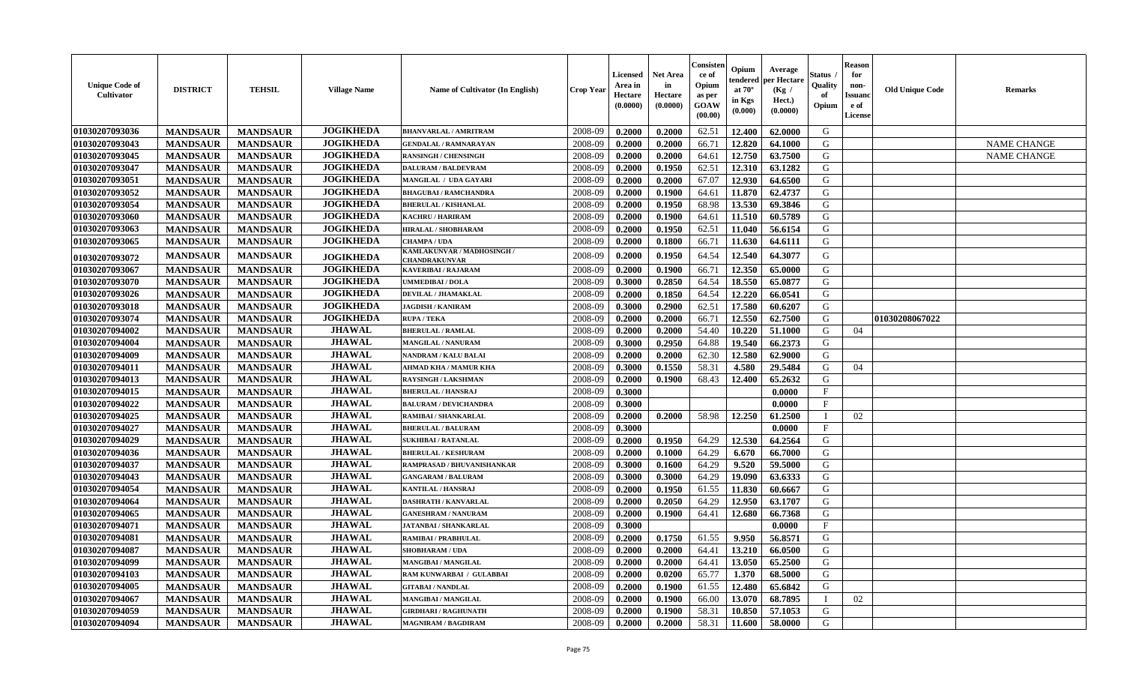| <b>Unique Code of</b><br>Cultivator | <b>DISTRICT</b> | <b>TEHSIL</b>   | <b>Village Name</b> | Name of Cultivator (In English)             | Crop Yeaı | Licensed<br>Area in<br>Hectare<br>(0.0000) | <b>Net Area</b><br>in<br>Hectare<br>(0.0000) | Consister<br>ce of<br>Opium<br>as per<br><b>GOAW</b><br>(00.00) | Opium<br>endered<br>at $70^\circ$<br>in Kgs<br>(0.000) | Average<br>per Hectare<br>(Kg /<br>Hect.)<br>(0.0000) | Status<br>Quality<br>of<br>Opium | <b>Reason</b><br>for<br>non-<br><b>Issuanc</b><br>e of<br><b>License</b> | <b>Old Unique Code</b> | Remarks            |
|-------------------------------------|-----------------|-----------------|---------------------|---------------------------------------------|-----------|--------------------------------------------|----------------------------------------------|-----------------------------------------------------------------|--------------------------------------------------------|-------------------------------------------------------|----------------------------------|--------------------------------------------------------------------------|------------------------|--------------------|
| 01030207093036                      | <b>MANDSAUR</b> | <b>MANDSAUR</b> | <b>JOGIKHEDA</b>    | <b>BHANVARLAL / AMRITRAM</b>                | 2008-09   | 0.2000                                     | 0.2000                                       | 62.51                                                           | 12.400                                                 | 62.0000                                               | G                                |                                                                          |                        |                    |
| 01030207093043                      | <b>MANDSAUR</b> | <b>MANDSAUR</b> | <b>JOGIKHEDA</b>    | <b>GENDALAL / RAMNARAYAN</b>                | 2008-09   | 0.2000                                     | 0.2000                                       | 66.71                                                           | 12.820                                                 | 64.1000                                               | G                                |                                                                          |                        | <b>NAME CHANGE</b> |
| 01030207093045                      | <b>MANDSAUR</b> | <b>MANDSAUR</b> | <b>JOGIKHEDA</b>    | <b>RANSINGH / CHENSINGH</b>                 | 2008-09   | 0.2000                                     | 0.2000                                       | 64.61                                                           | 12.750                                                 | 63.7500                                               | G                                |                                                                          |                        | <b>NAME CHANGE</b> |
| 01030207093047                      | <b>MANDSAUR</b> | <b>MANDSAUR</b> | <b>JOGIKHEDA</b>    | <b>DALURAM / BALDEVRAM</b>                  | 2008-09   | 0.2000                                     | 0.1950                                       | 62.51                                                           | 12.310                                                 | 63.1282                                               | G                                |                                                                          |                        |                    |
| 01030207093051                      | <b>MANDSAUR</b> | <b>MANDSAUR</b> | <b>JOGIKHEDA</b>    | MANGILAL / UDA GAYARI                       | 2008-09   | 0.2000                                     | 0.2000                                       | 67.07                                                           | 12.930                                                 | 64.6500                                               | G                                |                                                                          |                        |                    |
| 01030207093052                      | <b>MANDSAUR</b> | <b>MANDSAUR</b> | <b>JOGIKHEDA</b>    | <b>BHAGUBAI / RAMCHANDRA</b>                | 2008-09   | 0.2000                                     | 0.1900                                       | 64.61                                                           | 11.870                                                 | 62.4737                                               | G                                |                                                                          |                        |                    |
| 01030207093054                      | <b>MANDSAUR</b> | <b>MANDSAUR</b> | <b>JOGIKHEDA</b>    | <b>BHERULAL / KISHANLAL</b>                 | 2008-09   | 0.2000                                     | 0.1950                                       | 68.98                                                           | 13.530                                                 | 69.3846                                               | G                                |                                                                          |                        |                    |
| 01030207093060                      | <b>MANDSAUR</b> | <b>MANDSAUR</b> | <b>JOGIKHEDA</b>    | <b>KACHRU / HARIRAM</b>                     | 2008-09   | 0.2000                                     | 0.1900                                       | 64.61                                                           | 11.510                                                 | 60.5789                                               | G                                |                                                                          |                        |                    |
| 01030207093063                      | <b>MANDSAUR</b> | <b>MANDSAUR</b> | <b>JOGIKHEDA</b>    | <b>HIRALAL / SHOBHARAM</b>                  | 2008-09   | 0.2000                                     | 0.1950                                       | 62.51                                                           | 11.040                                                 | 56.6154                                               | G                                |                                                                          |                        |                    |
| 01030207093065                      | <b>MANDSAUR</b> | <b>MANDSAUR</b> | <b>JOGIKHEDA</b>    | CHAMPA / UDA                                | 2008-09   | 0.2000                                     | 0.1800                                       | 66.71                                                           | 11.630                                                 | 64.6111                                               | G                                |                                                                          |                        |                    |
| 01030207093072                      | <b>MANDSAUR</b> | <b>MANDSAUR</b> | <b>JOGIKHEDA</b>    | KAMLAKUNVAR / MADHOSINGH /<br>CHANDRAKUNVAR | 2008-09   | 0.2000                                     | 0.1950                                       | 64.54                                                           | 12.540                                                 | 64.3077                                               | G                                |                                                                          |                        |                    |
| 01030207093067                      | <b>MANDSAUR</b> | <b>MANDSAUR</b> | <b>JOGIKHEDA</b>    | <b>KAVERIBAI/RAJARAM</b>                    | 2008-09   | 0.2000                                     | 0.1900                                       | 66.71                                                           | 12.350                                                 | 65.0000                                               | G                                |                                                                          |                        |                    |
| 01030207093070                      | <b>MANDSAUR</b> | <b>MANDSAUR</b> | <b>JOGIKHEDA</b>    | <b>UMMEDIBAI / DOLA</b>                     | 2008-09   | 0.3000                                     | 0.2850                                       | 64.54                                                           | 18.550                                                 | 65.0877                                               | G                                |                                                                          |                        |                    |
| 01030207093026                      | <b>MANDSAUR</b> | <b>MANDSAUR</b> | <b>JOGIKHEDA</b>    | DEVILAL / JHAMAKLAL                         | 2008-09   | 0.2000                                     | 0.1850                                       | 64.54                                                           | 12.220                                                 | 66.0541                                               | G                                |                                                                          |                        |                    |
| 01030207093018                      | <b>MANDSAUR</b> | <b>MANDSAUR</b> | <b>JOGIKHEDA</b>    | <b>JAGDISH / KANIRAM</b>                    | 2008-09   | 0.3000                                     | 0.2900                                       | 62.51                                                           | 17.580                                                 | 60.6207                                               | G                                |                                                                          |                        |                    |
| 01030207093074                      | <b>MANDSAUR</b> | <b>MANDSAUR</b> | <b>JOGIKHEDA</b>    | <b>RUPA / TEKA</b>                          | 2008-09   | 0.2000                                     | 0.2000                                       | 66.71                                                           | 12.550                                                 | 62.7500                                               | G                                |                                                                          | 01030208067022         |                    |
| 01030207094002                      | <b>MANDSAUR</b> | <b>MANDSAUR</b> | <b>JHAWAL</b>       | <b>BHERULAL / RAMLAL</b>                    | 2008-09   | 0.2000                                     | 0.2000                                       | 54.40                                                           | 10.220                                                 | 51.1000                                               | G                                | 04                                                                       |                        |                    |
| 01030207094004                      | <b>MANDSAUR</b> | <b>MANDSAUR</b> | <b>JHAWAL</b>       | <b>MANGILAL / NANURAM</b>                   | 2008-09   | 0.3000                                     | 0.2950                                       | 64.88                                                           | 19.540                                                 | 66.2373                                               | G                                |                                                                          |                        |                    |
| 01030207094009                      | <b>MANDSAUR</b> | <b>MANDSAUR</b> | <b>JHAWAL</b>       | <b>NANDRAM / KALU BALAI</b>                 | 2008-09   | 0.2000                                     | 0.2000                                       | 62.30                                                           | 12.580                                                 | 62.9000                                               | G                                |                                                                          |                        |                    |
| 01030207094011                      | <b>MANDSAUR</b> | <b>MANDSAUR</b> | <b>JHAWAL</b>       | <b>AHMAD KHA / MAMUR KHA</b>                | 2008-09   | 0.3000                                     | 0.1550                                       | 58.31                                                           | 4.580                                                  | 29.5484                                               | G                                | 04                                                                       |                        |                    |
| 01030207094013                      | <b>MANDSAUR</b> | <b>MANDSAUR</b> | <b>JHAWAL</b>       | <b>RAYSINGH / LAKSHMAN</b>                  | 2008-09   | 0.2000                                     | 0.1900                                       | 68.43                                                           | 12.400                                                 | 65.2632                                               | G                                |                                                                          |                        |                    |
| 01030207094015                      | <b>MANDSAUR</b> | <b>MANDSAUR</b> | <b>JHAWAL</b>       | <b>BHERULAL / HANSRAJ</b>                   | 2008-09   | 0.3000                                     |                                              |                                                                 |                                                        | 0.0000                                                | $\mathbf{F}$                     |                                                                          |                        |                    |
| 01030207094022                      | <b>MANDSAUR</b> | <b>MANDSAUR</b> | <b>JHAWAL</b>       | <b>BALURAM / DEVICHANDRA</b>                | 2008-09   | 0.3000                                     |                                              |                                                                 |                                                        | 0.0000                                                | $\mathbf{F}$                     |                                                                          |                        |                    |
| 01030207094025                      | <b>MANDSAUR</b> | <b>MANDSAUR</b> | <b>JHAWAL</b>       | RAMIBAI / SHANKARLAL                        | 2008-09   | 0.2000                                     | 0.2000                                       | 58.98                                                           | 12.250                                                 | 61.2500                                               | $\mathbf I$                      | 02                                                                       |                        |                    |
| 01030207094027                      | <b>MANDSAUR</b> | <b>MANDSAUR</b> | <b>JHAWAL</b>       | <b>BHERULAL / BALURAM</b>                   | 2008-09   | 0.3000                                     |                                              |                                                                 |                                                        | 0.0000                                                | $\mathbf{F}$                     |                                                                          |                        |                    |
| 01030207094029                      | <b>MANDSAUR</b> | <b>MANDSAUR</b> | <b>JHAWAL</b>       | <b>SUKHIBAI / RATANLAL</b>                  | 2008-09   | 0.2000                                     | 0.1950                                       | 64.29                                                           | 12.530                                                 | 64.2564                                               | G                                |                                                                          |                        |                    |
| 01030207094036                      | <b>MANDSAUR</b> | <b>MANDSAUR</b> | <b>JHAWAL</b>       | <b>BHERULAL / KESHURAM</b>                  | 2008-09   | 0.2000                                     | 0.1000                                       | 64.29                                                           | 6.670                                                  | 66.7000                                               | G                                |                                                                          |                        |                    |
| 01030207094037                      | <b>MANDSAUR</b> | <b>MANDSAUR</b> | <b>JHAWAL</b>       | RAMPRASAD / BHUVANISHANKAR                  | 2008-09   | 0.3000                                     | 0.1600                                       | 64.29                                                           | 9.520                                                  | 59.5000                                               | G                                |                                                                          |                        |                    |
| 01030207094043                      | <b>MANDSAUR</b> | <b>MANDSAUR</b> | <b>JHAWAL</b>       | <b>GANGARAM / BALURAM</b>                   | 2008-09   | 0.3000                                     | 0.3000                                       | 64.29                                                           | 19.090                                                 | 63.6333                                               | G                                |                                                                          |                        |                    |
| 01030207094054                      | <b>MANDSAUR</b> | <b>MANDSAUR</b> | <b>JHAWAL</b>       | <b>KANTILAL / HANSRAJ</b>                   | 2008-09   | 0.2000                                     | 0.1950                                       | 61.55                                                           | 11.830                                                 | 60.6667                                               | G                                |                                                                          |                        |                    |
| 01030207094064                      | <b>MANDSAUR</b> | <b>MANDSAUR</b> | <b>JHAWAL</b>       | DASHRATH / KANVARLAL                        | 2008-09   | 0.2000                                     | 0.2050                                       | 64.29                                                           | 12.950                                                 | 63.1707                                               | G                                |                                                                          |                        |                    |
| 01030207094065                      | <b>MANDSAUR</b> | <b>MANDSAUR</b> | <b>JHAWAL</b>       | <b>GANESHRAM / NANURAM</b>                  | 2008-09   | 0.2000                                     | 0.1900                                       | 64.41                                                           | 12.680                                                 | 66.7368                                               | G                                |                                                                          |                        |                    |
| 01030207094071                      | <b>MANDSAUR</b> | <b>MANDSAUR</b> | <b>JHAWAL</b>       | <b>JATANBAI / SHANKARLAL</b>                | 2008-09   | 0.3000                                     |                                              |                                                                 |                                                        | 0.0000                                                | $\mathbf{F}$                     |                                                                          |                        |                    |
| 01030207094081                      | <b>MANDSAUR</b> | <b>MANDSAUR</b> | <b>JHAWAL</b>       | <b>RAMIBAI / PRABHULAL</b>                  | 2008-09   | 0.2000                                     | 0.1750                                       | 61.55                                                           | 9.950                                                  | 56.8571                                               | G                                |                                                                          |                        |                    |
| 01030207094087                      | <b>MANDSAUR</b> | <b>MANDSAUR</b> | <b>JHAWAL</b>       | <b>SHOBHARAM / UDA</b>                      | 2008-09   | 0.2000                                     | 0.2000                                       | 64.41                                                           | 13.210                                                 | 66.0500                                               | ${\bf G}$                        |                                                                          |                        |                    |
| 01030207094099                      | <b>MANDSAUR</b> | <b>MANDSAUR</b> | <b>JHAWAL</b>       | <b>MANGIBAI/MANGILAL</b>                    | 2008-09   | 0.2000                                     | 0.2000                                       | 64.41                                                           | 13.050                                                 | 65.2500                                               | G                                |                                                                          |                        |                    |
| 01030207094103                      | <b>MANDSAUR</b> | <b>MANDSAUR</b> | <b>JHAWAL</b>       | RAM KUNWARBAI / GULABBAI                    | 2008-09   | 0.2000                                     | 0.0200                                       | 65.77                                                           | 1.370                                                  | 68.5000                                               | G                                |                                                                          |                        |                    |
| 01030207094005                      | <b>MANDSAUR</b> | <b>MANDSAUR</b> | <b>JHAWAL</b>       | <b>GITABAI/NANDLAL</b>                      | 2008-09   | 0.2000                                     | 0.1900                                       | 61.55                                                           | 12.480                                                 | 65.6842                                               | G                                |                                                                          |                        |                    |
| 01030207094067                      | <b>MANDSAUR</b> | <b>MANDSAUR</b> | <b>JHAWAL</b>       | <b>MANGIBAI/MANGILAL</b>                    | 2008-09   | 0.2000                                     | 0.1900                                       | 66.00                                                           | 13.070                                                 | 68.7895                                               | $\mathbf I$                      | 02                                                                       |                        |                    |
| 01030207094059                      | <b>MANDSAUR</b> | <b>MANDSAUR</b> | <b>JHAWAL</b>       | <b>GIRDHARI / RAGHUNATH</b>                 | 2008-09   | 0.2000                                     | 0.1900                                       | 58.31                                                           | 10.850                                                 | 57.1053                                               | G                                |                                                                          |                        |                    |
| 01030207094094                      | <b>MANDSAUR</b> | <b>MANDSAUR</b> | <b>JHAWAL</b>       | <b>MAGNIRAM / BAGDIRAM</b>                  | 2008-09   | 0.2000                                     | 0.2000                                       | 58.31                                                           | 11.600                                                 | 58.0000                                               | G                                |                                                                          |                        |                    |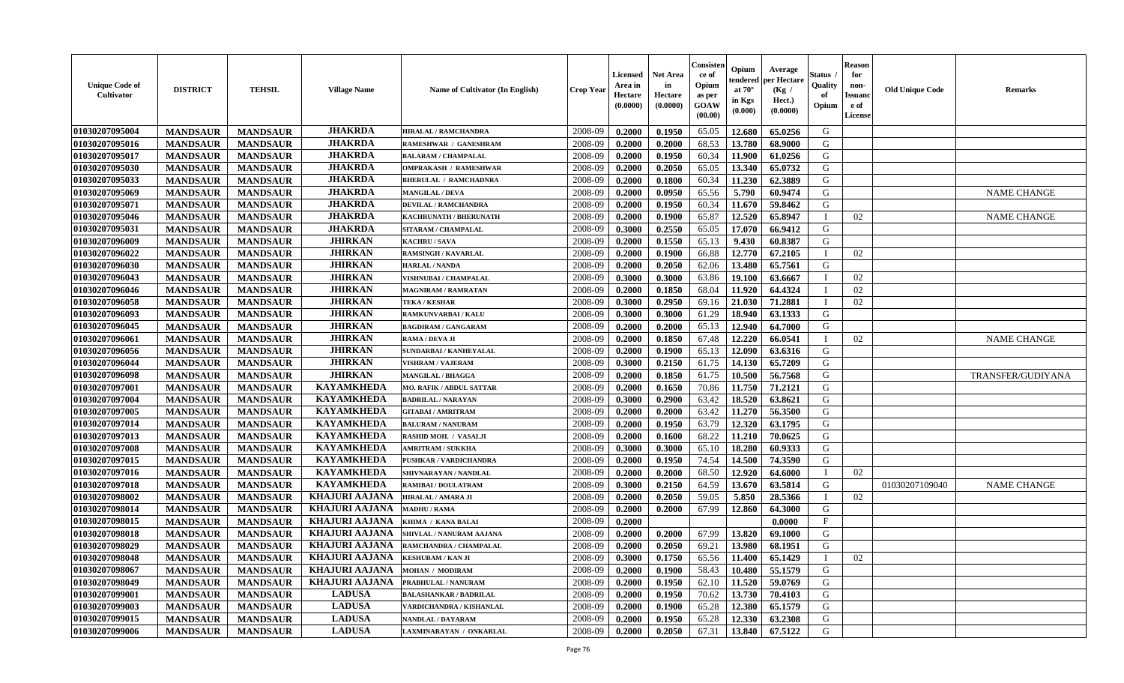| Unique Code of<br>Cultivator | <b>DISTRICT</b> | <b>TEHSIL</b>   | <b>Village Name</b>   | <b>Name of Cultivator (In English)</b> | <b>Crop Year</b> | <b>Licensed</b><br>Area in<br>Hectare<br>(0.0000) | <b>Net Area</b><br>in<br>Hectare<br>(0.0000) | Consisten<br>ce of<br>Opium<br>as per<br>GOAW<br>(00.00) | Opium<br>tendered<br>at $70^\circ$<br>in Kgs<br>(0.000) | Average<br>per Hectare<br>(Kg)<br>Hect.)<br>(0.0000) | Status<br>Quality<br>of<br>Opium | <b>Reason</b><br>for<br>non-<br>Issuano<br>e of<br>License | <b>Old Unique Code</b> | <b>Remarks</b>     |
|------------------------------|-----------------|-----------------|-----------------------|----------------------------------------|------------------|---------------------------------------------------|----------------------------------------------|----------------------------------------------------------|---------------------------------------------------------|------------------------------------------------------|----------------------------------|------------------------------------------------------------|------------------------|--------------------|
| 01030207095004               | <b>MANDSAUR</b> | <b>MANDSAUR</b> | <b>JHAKRDA</b>        | <b>HIRALAL / RAMCHANDRA</b>            | 2008-09          | 0.2000                                            | 0.1950                                       | 65.05                                                    | 12.680                                                  | 65.0256                                              | G                                |                                                            |                        |                    |
| 01030207095016               | <b>MANDSAUR</b> | <b>MANDSAUR</b> | <b>JHAKRDA</b>        | RAMESHWAR / GANESHRAM                  | 2008-09          | 0.2000                                            | 0.2000                                       | 68.53                                                    | 13.780                                                  | 68.9000                                              | G                                |                                                            |                        |                    |
| 01030207095017               | <b>MANDSAUR</b> | <b>MANDSAUR</b> | <b>JHAKRDA</b>        | <b>BALARAM / CHAMPALAL</b>             | 2008-09          | 0.2000                                            | 0.1950                                       | 60.34                                                    | 11.900                                                  | 61.0256                                              | G                                |                                                            |                        |                    |
| 01030207095030               | <b>MANDSAUR</b> | <b>MANDSAUR</b> | <b>JHAKRDA</b>        | <b>OMPRAKASH / RAMESHWAR</b>           | 2008-09          | 0.2000                                            | 0.2050                                       | 65.05                                                    | 13.340                                                  | 65.0732                                              | G                                |                                                            |                        |                    |
| 01030207095033               | <b>MANDSAUR</b> | <b>MANDSAUR</b> | <b>JHAKRDA</b>        | <b>BHERULAL / RAMCHADNRA</b>           | 2008-09          | 0.2000                                            | 0.1800                                       | 60.34                                                    | 11.230                                                  | 62.3889                                              | G                                |                                                            |                        |                    |
| 01030207095069               | <b>MANDSAUR</b> | <b>MANDSAUR</b> | <b>JHAKRDA</b>        | <b>MANGILAL / DEVA</b>                 | 2008-09          | 0.2000                                            | 0.0950                                       | 65.56                                                    | 5.790                                                   | 60.9474                                              | G                                |                                                            |                        | <b>NAME CHANGE</b> |
| 01030207095071               | <b>MANDSAUR</b> | <b>MANDSAUR</b> | <b>JHAKRDA</b>        | <b>DEVILAL / RAMCHANDRA</b>            | 2008-09          | 0.2000                                            | 0.1950                                       | 60.34                                                    | 11.670                                                  | 59.8462                                              | G                                |                                                            |                        |                    |
| 01030207095046               | <b>MANDSAUR</b> | <b>MANDSAUR</b> | <b>JHAKRDA</b>        | KACHRUNATH / BHERUNATH                 | 2008-09          | 0.2000                                            | 0.1900                                       | 65.87                                                    | 12.520                                                  | 65.8947                                              |                                  | 02                                                         |                        | <b>NAME CHANGE</b> |
| 01030207095031               | <b>MANDSAUR</b> | <b>MANDSAUR</b> | <b>JHAKRDA</b>        | SITARAM / CHAMPALAL                    | 2008-09          | 0.3000                                            | 0.2550                                       | 65.05                                                    | 17.070                                                  | 66.9412                                              | G                                |                                                            |                        |                    |
| 01030207096009               | <b>MANDSAUR</b> | <b>MANDSAUR</b> | <b>JHIRKAN</b>        | <b>KACHRU / SAVA</b>                   | 2008-09          | 0.2000                                            | 0.1550                                       | 65.13                                                    | 9.430                                                   | 60.8387                                              | G                                |                                                            |                        |                    |
| 01030207096022               | <b>MANDSAUR</b> | <b>MANDSAUR</b> | <b>JHIRKAN</b>        | <b>RAMSINGH / KAVARLAL</b>             | 2008-09          | 0.2000                                            | 0.1900                                       | 66.88                                                    | 12.770                                                  | 67.2105                                              |                                  | 02                                                         |                        |                    |
| 01030207096030               | <b>MANDSAUR</b> | <b>MANDSAUR</b> | <b>JHIRKAN</b>        | <b>HARLAL / NANDA</b>                  | 2008-09          | 0.2000                                            | 0.2050                                       | 62.06                                                    | 13.480                                                  | 65.7561                                              | G                                |                                                            |                        |                    |
| 01030207096043               | <b>MANDSAUR</b> | <b>MANDSAUR</b> | <b>JHIRKAN</b>        | <b>VISHNUBAI / CHAMPALAL</b>           | 2008-09          | 0.3000                                            | 0.3000                                       | 63.86                                                    | 19.100                                                  | 63.6667                                              |                                  | 02                                                         |                        |                    |
| 01030207096046               | <b>MANDSAUR</b> | <b>MANDSAUR</b> | <b>JHIRKAN</b>        | <b>MAGNIRAM / RAMRATAN</b>             | 2008-09          | 0.2000                                            | 0.1850                                       | 68.04                                                    | 11.920                                                  | 64.4324                                              |                                  | 02                                                         |                        |                    |
| 01030207096058               | <b>MANDSAUR</b> | <b>MANDSAUR</b> | <b>JHIRKAN</b>        | <b>TEKA / KESHAR</b>                   | 2008-09          | 0.3000                                            | 0.2950                                       | 69.16                                                    | 21.030                                                  | 71.2881                                              |                                  | 02                                                         |                        |                    |
| 01030207096093               | <b>MANDSAUR</b> | <b>MANDSAUR</b> | <b>JHIRKAN</b>        | RAMKUNVARBAI / KALU                    | 2008-09          | 0.3000                                            | 0.3000                                       | 61.29                                                    | 18.940                                                  | 63.1333                                              | G                                |                                                            |                        |                    |
| 01030207096045               | <b>MANDSAUR</b> | <b>MANDSAUR</b> | <b>JHIRKAN</b>        | <b>BAGDIRAM / GANGARAM</b>             | 2008-09          | 0.2000                                            | 0.2000                                       | 65.13                                                    | 12.940                                                  | 64.7000                                              | G                                |                                                            |                        |                    |
| 01030207096061               | <b>MANDSAUR</b> | <b>MANDSAUR</b> | <b>JHIRKAN</b>        | RAMA / DEVA JI                         | 2008-09          | 0.2000                                            | 0.1850                                       | 67.48                                                    | 12.220                                                  | 66.0541                                              |                                  | 02                                                         |                        | <b>NAME CHANGE</b> |
| 01030207096056               | <b>MANDSAUR</b> | <b>MANDSAUR</b> | <b>JHIRKAN</b>        | SUNDARBAI / KANHEYALAL                 | 2008-09          | 0.2000                                            | 0.1900                                       | 65.13                                                    | 12.090                                                  | 63.6316                                              | G                                |                                                            |                        |                    |
| 01030207096044               | <b>MANDSAUR</b> | <b>MANDSAUR</b> | <b>JHIRKAN</b>        | <b>VISHRAM / VAJERAM</b>               | 2008-09          | 0.3000                                            | 0.2150                                       | 61.75                                                    | 14.130                                                  | 65.7209                                              | G                                |                                                            |                        |                    |
| 01030207096098               | <b>MANDSAUR</b> | <b>MANDSAUR</b> | <b>JHIRKAN</b>        | <b>MANGILAL / BHAGGA</b>               | 2008-09          | 0.2000                                            | 0.1850                                       | 61.75                                                    | 10.500                                                  | 56.7568                                              | G                                |                                                            |                        | TRANSFER/GUDIYANA  |
| 01030207097001               | <b>MANDSAUR</b> | <b>MANDSAUR</b> | <b>KAYAMKHEDA</b>     | <b>MO. RAFIK / ABDUL SATTAR</b>        | 2008-09          | 0.2000                                            | 0.1650                                       | 70.86                                                    | 11.750                                                  | 71.2121                                              | G                                |                                                            |                        |                    |
| 01030207097004               | <b>MANDSAUR</b> | <b>MANDSAUR</b> | <b>KAYAMKHEDA</b>     | <b>BADRILAL / NARAYAN</b>              | 2008-09          | 0.3000                                            | 0.2900                                       | 63.42                                                    | 18.520                                                  | 63.8621                                              | G                                |                                                            |                        |                    |
| 01030207097005               | <b>MANDSAUR</b> | <b>MANDSAUR</b> | <b>KAYAMKHEDA</b>     | <b>GITABAI/ AMRITRAM</b>               | 2008-09          | 0.2000                                            | 0.2000                                       | 63.42                                                    | 11.270                                                  | 56.3500                                              | G                                |                                                            |                        |                    |
| 01030207097014               | <b>MANDSAUR</b> | <b>MANDSAUR</b> | <b>KAYAMKHEDA</b>     | <b>BALURAM / NANURAM</b>               | 2008-09          | 0.2000                                            | 0.1950                                       | 63.79                                                    | 12.320                                                  | 63.1795                                              | G                                |                                                            |                        |                    |
| 01030207097013               | <b>MANDSAUR</b> | <b>MANDSAUR</b> | <b>KAYAMKHEDA</b>     | RASHID MOH. / VASALJI                  | 2008-09          | 0.2000                                            | 0.1600                                       | 68.22                                                    | 11.210                                                  | 70.0625                                              | G                                |                                                            |                        |                    |
| 01030207097008               | <b>MANDSAUR</b> | <b>MANDSAUR</b> | <b>KAYAMKHEDA</b>     | <b>AMRITRAM / SUKKHA</b>               | 2008-09          | 0.3000                                            | 0.3000                                       | 65.10                                                    | 18.280                                                  | 60.9333                                              | G                                |                                                            |                        |                    |
| 01030207097015               | <b>MANDSAUR</b> | <b>MANDSAUR</b> | <b>KAYAMKHEDA</b>     | PUSHKAR / VARDICHANDRA                 | 2008-09          | 0.2000                                            | 0.1950                                       | 74.54                                                    | 14.500                                                  | 74.3590                                              | G                                |                                                            |                        |                    |
| 01030207097016               | <b>MANDSAUR</b> | <b>MANDSAUR</b> | <b>KAYAMKHEDA</b>     | SHIVNARAYAN / NANDLAL                  | 2008-09          | 0.2000                                            | 0.2000                                       | 68.50                                                    | 12.920                                                  | 64.6000                                              |                                  | 02                                                         |                        |                    |
| 01030207097018               | <b>MANDSAUR</b> | <b>MANDSAUR</b> | <b>KAYAMKHEDA</b>     | RAMIBAI / DOULATRAM                    | 2008-09          | 0.3000                                            | 0.2150                                       | 64.59                                                    | 13.670                                                  | 63.5814                                              | G                                |                                                            | 01030207109040         | <b>NAME CHANGE</b> |
| 01030207098002               | <b>MANDSAUR</b> | <b>MANDSAUR</b> | <b>KHAJURI AAJANA</b> | <b>HIRALAL / AMARA JI</b>              | 2008-09          | 0.2000                                            | 0.2050                                       | 59.05                                                    | 5.850                                                   | 28.5366                                              |                                  | 02                                                         |                        |                    |
| 01030207098014               | <b>MANDSAUR</b> | <b>MANDSAUR</b> | <b>KHAJURI AAJANA</b> | <b>MADHU / RAMA</b>                    | 2008-09          | 0.2000                                            | 0.2000                                       | 67.99                                                    | 12.860                                                  | 64.3000                                              | G                                |                                                            |                        |                    |
| 01030207098015               | <b>MANDSAUR</b> | <b>MANDSAUR</b> | <b>KHAJURI AAJANA</b> | KHIMA / KANA BALAI                     | 2008-09          | 0.2000                                            |                                              |                                                          |                                                         | 0.0000                                               | $_{\rm F}$                       |                                                            |                        |                    |
| 01030207098018               | <b>MANDSAUR</b> | <b>MANDSAUR</b> | <b>KHAJURI AAJANA</b> | SHIVLAL / NANURAM AAJANA               | 2008-09          | 0.2000                                            | 0.2000                                       | 67.99                                                    | 13.820                                                  | 69.1000                                              | G                                |                                                            |                        |                    |
| 01030207098029               | <b>MANDSAUR</b> | <b>MANDSAUR</b> | <b>KHAJURI AAJANA</b> | RAMCHANDRA / CHAMPALAL                 | 2008-09          | 0.2000                                            | 0.2050                                       | 69.21                                                    | 13.980                                                  | 68.1951                                              | G                                |                                                            |                        |                    |
| 01030207098048               | <b>MANDSAUR</b> | <b>MANDSAUR</b> | KHAJURI AAJANA        | <b>KESHURAM / KAN JI</b>               | 2008-09          | 0.3000                                            | 0.1750                                       | 65.56                                                    | 11.400                                                  | 65.1429                                              |                                  | 02                                                         |                        |                    |
| 01030207098067               | <b>MANDSAUR</b> | <b>MANDSAUR</b> | KHAJURI AAJANA        | <b>MOHAN / MODIRAM</b>                 | 2008-09          | 0.2000                                            | 0.1900                                       | 58.43                                                    | 10.480                                                  | 55.1579                                              | G                                |                                                            |                        |                    |
| 01030207098049               | <b>MANDSAUR</b> | <b>MANDSAUR</b> | KHAJURI AAJANA        | PRABHULAL / NANURAM                    | 2008-09          | 0.2000                                            | 0.1950                                       | 62.10                                                    | 11.520                                                  | 59.0769                                              | G                                |                                                            |                        |                    |
| 01030207099001               | <b>MANDSAUR</b> | <b>MANDSAUR</b> | <b>LADUSA</b>         | <b>BALASHANKAR / BADRILAL</b>          | 2008-09          | 0.2000                                            | 0.1950                                       | 70.62                                                    | 13.730                                                  | 70.4103                                              | G                                |                                                            |                        |                    |
| 01030207099003               | <b>MANDSAUR</b> | <b>MANDSAUR</b> | <b>LADUSA</b>         | VARDICHANDRA / KISHANLAL               | 2008-09          | 0.2000                                            | 0.1900                                       | 65.28                                                    | 12.380                                                  | 65.1579                                              | G                                |                                                            |                        |                    |
| 01030207099015               | <b>MANDSAUR</b> | <b>MANDSAUR</b> | <b>LADUSA</b>         | NANDLAL / DAYARAM                      | 2008-09          | 0.2000                                            | 0.1950                                       | 65.28                                                    | 12.330                                                  | 63.2308                                              | G                                |                                                            |                        |                    |
| 01030207099006               | <b>MANDSAUR</b> | <b>MANDSAUR</b> | <b>LADUSA</b>         | LAXMINARAYAN / ONKARLAL                | 2008-09          | 0.2000                                            | 0.2050                                       | 67.31                                                    | 13.840                                                  | 67.5122                                              | G                                |                                                            |                        |                    |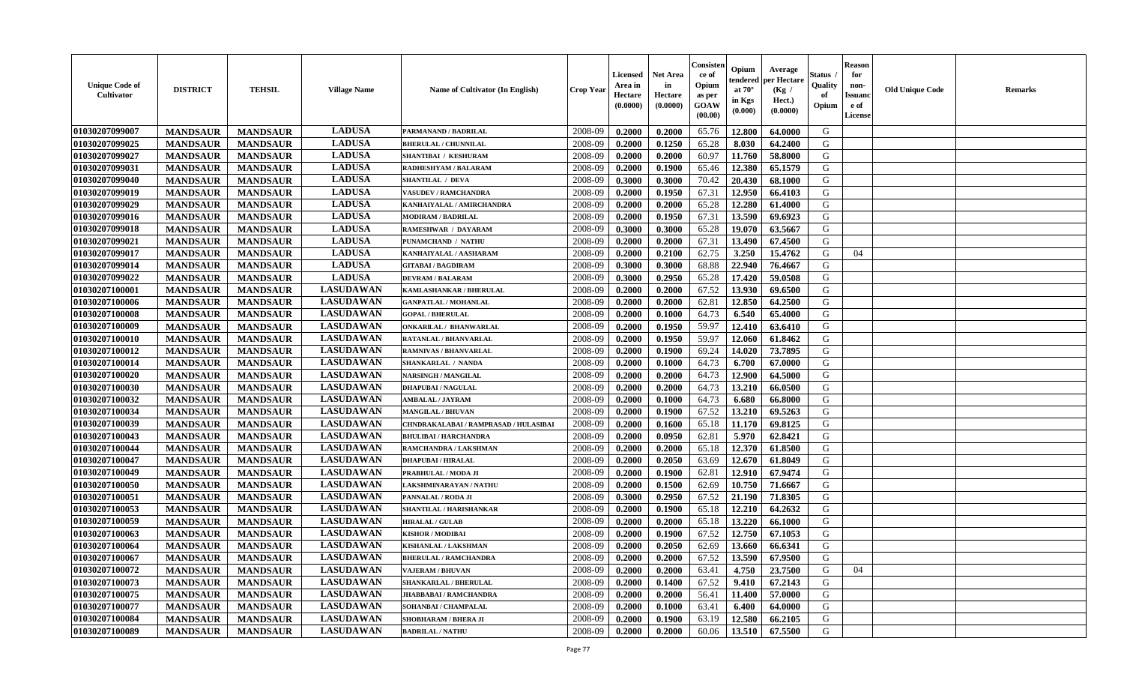| <b>Unique Code of</b><br><b>Cultivator</b> | <b>DISTRICT</b> | <b>TEHSIL</b>   | <b>Village Name</b> | <b>Name of Cultivator (In English)</b> | <b>Crop Year</b> | <b>Licensed</b><br>Area in<br>Hectare<br>(0.0000) | Net Area<br>in<br>Hectare<br>(0.0000) | Consisteı<br>ce of<br>Opium<br>as per<br>GOAW<br>(00.00) | Opium<br>endered<br>at $70^\circ$<br>in Kgs<br>(0.000) | Average<br>per Hectare<br>(Kg /<br>Hect.)<br>(0.0000) | Status<br>Quality<br>of<br>Opium | <b>Reason</b><br>for<br>non-<br><b>Issuand</b><br>e of<br>License | <b>Old Unique Code</b> | Remarks |
|--------------------------------------------|-----------------|-----------------|---------------------|----------------------------------------|------------------|---------------------------------------------------|---------------------------------------|----------------------------------------------------------|--------------------------------------------------------|-------------------------------------------------------|----------------------------------|-------------------------------------------------------------------|------------------------|---------|
| 01030207099007                             | <b>MANDSAUR</b> | <b>MANDSAUR</b> | <b>LADUSA</b>       | PARMANAND / BADRILAL                   | 2008-09          | 0.2000                                            | 0.2000                                | 65.76                                                    | 12.800                                                 | 64.0000                                               | G                                |                                                                   |                        |         |
| 01030207099025                             | <b>MANDSAUR</b> | <b>MANDSAUR</b> | <b>LADUSA</b>       | <b>BHERULAL / CHUNNILAL</b>            | 2008-09          | 0.2000                                            | 0.1250                                | 65.28                                                    | 8.030                                                  | 64.2400                                               | G                                |                                                                   |                        |         |
| 01030207099027                             | <b>MANDSAUR</b> | <b>MANDSAUR</b> | <b>LADUSA</b>       | SHANTIBAI / KESHURAM                   | 2008-09          | 0.2000                                            | 0.2000                                | 60.97                                                    | 11.760                                                 | 58.8000                                               | G                                |                                                                   |                        |         |
| 01030207099031                             | <b>MANDSAUR</b> | <b>MANDSAUR</b> | <b>LADUSA</b>       | <b>RADHESHYAM / BALARAM</b>            | 2008-09          | 0.2000                                            | 0.1900                                | 65.46                                                    | 12.380                                                 | 65.1579                                               | G                                |                                                                   |                        |         |
| 01030207099040                             | <b>MANDSAUR</b> | <b>MANDSAUR</b> | <b>LADUSA</b>       | <b>SHANTILAL / DEVA</b>                | 2008-09          | 0.3000                                            | 0.3000                                | 70.42                                                    | 20.430                                                 | 68.1000                                               | G                                |                                                                   |                        |         |
| 01030207099019                             | <b>MANDSAUR</b> | <b>MANDSAUR</b> | <b>LADUSA</b>       | <b>VASUDEV / RAMCHANDRA</b>            | 2008-09          | 0.2000                                            | 0.1950                                | 67.31                                                    | 12.950                                                 | 66.4103                                               | G                                |                                                                   |                        |         |
| 01030207099029                             | <b>MANDSAUR</b> | <b>MANDSAUR</b> | <b>LADUSA</b>       | KANHAIYALAL / AMIRCHANDRA              | 2008-09          | 0.2000                                            | 0.2000                                | 65.28                                                    | 12.280                                                 | 61.4000                                               | G                                |                                                                   |                        |         |
| 01030207099016                             | <b>MANDSAUR</b> | <b>MANDSAUR</b> | <b>LADUSA</b>       | <b>MODIRAM / BADRILAL</b>              | 2008-09          | 0.2000                                            | 0.1950                                | 67.31                                                    | 13.590                                                 | 69.6923                                               | G                                |                                                                   |                        |         |
| 01030207099018                             | <b>MANDSAUR</b> | <b>MANDSAUR</b> | <b>LADUSA</b>       | <b>RAMESHWAR / DAYARAM</b>             | 2008-09          | 0.3000                                            | 0.3000                                | 65.28                                                    | 19.070                                                 | 63.5667                                               | G                                |                                                                   |                        |         |
| 01030207099021                             | <b>MANDSAUR</b> | <b>MANDSAUR</b> | <b>LADUSA</b>       | PUNAMCHAND / NATHU                     | 2008-09          | 0.2000                                            | 0.2000                                | 67.31                                                    | 13.490                                                 | 67.4500                                               | G                                |                                                                   |                        |         |
| 01030207099017                             | <b>MANDSAUR</b> | <b>MANDSAUR</b> | <b>LADUSA</b>       | KANHAIYALAL / AASHARAM                 | 2008-09          | 0.2000                                            | 0.2100                                | 62.75                                                    | 3.250                                                  | 15.4762                                               | G                                | 04                                                                |                        |         |
| 01030207099014                             | <b>MANDSAUR</b> | <b>MANDSAUR</b> | <b>LADUSA</b>       | <b>GITABAI/BAGDIRAM</b>                | 2008-09          | 0.3000                                            | 0.3000                                | 68.88                                                    | 22.940                                                 | 76.4667                                               | G                                |                                                                   |                        |         |
| 01030207099022                             | <b>MANDSAUR</b> | <b>MANDSAUR</b> | <b>LADUSA</b>       | <b>DEVRAM / BALARAM</b>                | 2008-09          | 0.3000                                            | 0.2950                                | 65.28                                                    | 17.420                                                 | 59.0508                                               | G                                |                                                                   |                        |         |
| 01030207100001                             | <b>MANDSAUR</b> | <b>MANDSAUR</b> | <b>LASUDAWAN</b>    | KAMLASHANKAR / BHERULAL                | 2008-09          | 0.2000                                            | 0.2000                                | 67.52                                                    | 13.930                                                 | 69.6500                                               | G                                |                                                                   |                        |         |
| 01030207100006                             | <b>MANDSAUR</b> | <b>MANDSAUR</b> | <b>LASUDAWAN</b>    | <b>GANPATLAL / MOHANLAL</b>            | 2008-09          | 0.2000                                            | 0.2000                                | 62.81                                                    | 12.850                                                 | 64.2500                                               | G                                |                                                                   |                        |         |
| 01030207100008                             | <b>MANDSAUR</b> | <b>MANDSAUR</b> | <b>LASUDAWAN</b>    | <b>GOPAL / BHERULAL</b>                | 2008-09          | 0.2000                                            | 0.1000                                | 64.73                                                    | 6.540                                                  | 65.4000                                               | G                                |                                                                   |                        |         |
| 01030207100009                             | <b>MANDSAUR</b> | <b>MANDSAUR</b> | <b>LASUDAWAN</b>    | ONKARILAL / BHANWARLAL                 | 2008-09          | 0.2000                                            | 0.1950                                | 59.97                                                    | 12.410                                                 | 63.6410                                               | G                                |                                                                   |                        |         |
| 01030207100010                             | <b>MANDSAUR</b> | <b>MANDSAUR</b> | <b>LASUDAWAN</b>    | RATANLAL / BHANVARLAL                  | 2008-09          | 0.2000                                            | 0.1950                                | 59.97                                                    | 12.060                                                 | 61.8462                                               | G                                |                                                                   |                        |         |
| 01030207100012                             | <b>MANDSAUR</b> | <b>MANDSAUR</b> | <b>LASUDAWAN</b>    | <b>RAMNIVAS / BHANVARLAL</b>           | 2008-09          | 0.2000                                            | 0.1900                                | 69.24                                                    | 14.020                                                 | 73.7895                                               | G                                |                                                                   |                        |         |
| 01030207100014                             | <b>MANDSAUR</b> | <b>MANDSAUR</b> | <b>LASUDAWAN</b>    | <b>SHANKARLAL / NANDA</b>              | 2008-09          | 0.2000                                            | 0.1000                                | 64.73                                                    | 6.700                                                  | 67.0000                                               | G                                |                                                                   |                        |         |
| 01030207100020                             | <b>MANDSAUR</b> | <b>MANDSAUR</b> | <b>LASUDAWAN</b>    | <b>NARSINGH / MANGILAL</b>             | 2008-09          | 0.2000                                            | 0.2000                                | 64.73                                                    | 12.900                                                 | 64.5000                                               | G                                |                                                                   |                        |         |
| 01030207100030                             | <b>MANDSAUR</b> | <b>MANDSAUR</b> | <b>LASUDAWAN</b>    | <b>DHAPUBAI/NAGULAL</b>                | 2008-09          | 0.2000                                            | 0.2000                                | 64.73                                                    | 13.210                                                 | 66.0500                                               | G                                |                                                                   |                        |         |
| 01030207100032                             | <b>MANDSAUR</b> | <b>MANDSAUR</b> | <b>LASUDAWAN</b>    | <b>AMBALAL / JAYRAM</b>                | 2008-09          | 0.2000                                            | 0.1000                                | 64.73                                                    | 6.680                                                  | 66.8000                                               | G                                |                                                                   |                        |         |
| 01030207100034                             | <b>MANDSAUR</b> | <b>MANDSAUR</b> | <b>LASUDAWAN</b>    | <b>MANGILAL / BHUVAN</b>               | 2008-09          | 0.2000                                            | 0.1900                                | 67.52                                                    | 13.210                                                 | 69.5263                                               | G                                |                                                                   |                        |         |
| 01030207100039                             | <b>MANDSAUR</b> | <b>MANDSAUR</b> | <b>LASUDAWAN</b>    | CHNDRAKALABAI / RAMPRASAD / HULASIBAI  | 2008-09          | 0.2000                                            | 0.1600                                | 65.18                                                    | 11.170                                                 | 69.8125                                               | G                                |                                                                   |                        |         |
| 01030207100043                             | <b>MANDSAUR</b> | <b>MANDSAUR</b> | <b>LASUDAWAN</b>    | <b>BHULIBAI / HARCHANDRA</b>           | 2008-09          | 0.2000                                            | 0.0950                                | 62.81                                                    | 5.970                                                  | 62.8421                                               | G                                |                                                                   |                        |         |
| 01030207100044                             | <b>MANDSAUR</b> | <b>MANDSAUR</b> | <b>LASUDAWAN</b>    | RAMCHANDRA / LAKSHMAN                  | 2008-09          | 0.2000                                            | 0.2000                                | 65.18                                                    | 12.370                                                 | 61.8500                                               | G                                |                                                                   |                        |         |
| 01030207100047                             | <b>MANDSAUR</b> | <b>MANDSAUR</b> | <b>LASUDAWAN</b>    | <b>DHAPUBAI/HIRALAL</b>                | 2008-09          | 0.2000                                            | 0.2050                                | 63.69                                                    | 12.670                                                 | 61.8049                                               | G                                |                                                                   |                        |         |
| 01030207100049                             | <b>MANDSAUR</b> | <b>MANDSAUR</b> | <b>LASUDAWAN</b>    | PRABHULAL / MODA JI                    | 2008-09          | 0.2000                                            | 0.1900                                | 62.81                                                    | 12.910                                                 | 67.9474                                               | G                                |                                                                   |                        |         |
| 01030207100050                             | <b>MANDSAUR</b> | <b>MANDSAUR</b> | <b>LASUDAWAN</b>    | LAKSHMINARAYAN / NATHU                 | 2008-09          | 0.2000                                            | 0.1500                                | 62.69                                                    | 10.750                                                 | 71.6667                                               | G                                |                                                                   |                        |         |
| 01030207100051                             | <b>MANDSAUR</b> | <b>MANDSAUR</b> | <b>LASUDAWAN</b>    | PANNALAL / RODA JI                     | 2008-09          | 0.3000                                            | 0.2950                                | 67.52                                                    | 21.190                                                 | 71.8305                                               | G                                |                                                                   |                        |         |
| 01030207100053                             | <b>MANDSAUR</b> | <b>MANDSAUR</b> | <b>LASUDAWAN</b>    | SHANTILAL / HARISHANKAR                | 2008-09          | 0.2000                                            | 0.1900                                | 65.18                                                    | 12.210                                                 | 64.2632                                               | G                                |                                                                   |                        |         |
| 01030207100059                             | <b>MANDSAUR</b> | <b>MANDSAUR</b> | <b>LASUDAWAN</b>    | <b>HIRALAL / GULAB</b>                 | 2008-09          | 0.2000                                            | 0.2000                                | 65.18                                                    | 13.220                                                 | 66.1000                                               | G                                |                                                                   |                        |         |
| 01030207100063                             | <b>MANDSAUR</b> | <b>MANDSAUR</b> | <b>LASUDAWAN</b>    | <b>KISHOR / MODIBAI</b>                | 2008-09          | 0.2000                                            | 0.1900                                | 67.52                                                    | 12.750                                                 | 67.1053                                               | G                                |                                                                   |                        |         |
| 01030207100064                             | <b>MANDSAUR</b> | <b>MANDSAUR</b> | <b>LASUDAWAN</b>    | KISHANLAL / LAKSHMAN                   | 2008-09          | 0.2000                                            | 0.2050                                | 62.69                                                    | 13.660                                                 | 66.6341                                               | G                                |                                                                   |                        |         |
| 01030207100067                             | <b>MANDSAUR</b> | <b>MANDSAUR</b> | <b>LASUDAWAN</b>    | <b>BHERULAL / RAMCHANDRA</b>           | 2008-09          | 0.2000                                            | 0.2000                                | 67.52                                                    | 13.590                                                 | 67.9500                                               | G                                |                                                                   |                        |         |
| 01030207100072                             | <b>MANDSAUR</b> | <b>MANDSAUR</b> | <b>LASUDAWAN</b>    | <b>VAJERAM / BHUVAN</b>                | 2008-09          | 0.2000                                            | 0.2000                                | 63.41                                                    | 4.750                                                  | 23.7500                                               | G                                | 04                                                                |                        |         |
| 01030207100073                             | <b>MANDSAUR</b> | <b>MANDSAUR</b> | <b>LASUDAWAN</b>    | <b>SHANKARLAL / BHERULAL</b>           | 2008-09          | 0.2000                                            | 0.1400                                | 67.52                                                    | 9.410                                                  | 67.2143                                               | G                                |                                                                   |                        |         |
| 01030207100075                             | <b>MANDSAUR</b> | <b>MANDSAUR</b> | <b>LASUDAWAN</b>    | <b>JHABBABAI/RAMCHANDRA</b>            | 2008-09          | 0.2000                                            | 0.2000                                | 56.41                                                    | 11.400                                                 | 57.0000                                               | G                                |                                                                   |                        |         |
| 01030207100077                             | <b>MANDSAUR</b> | <b>MANDSAUR</b> | <b>LASUDAWAN</b>    | SOHANBAI / CHAMPALAL                   | 2008-09          | 0.2000                                            | 0.1000                                | 63.41                                                    | 6.400                                                  | 64.0000                                               | ${\bf G}$                        |                                                                   |                        |         |
| 01030207100084                             | <b>MANDSAUR</b> | <b>MANDSAUR</b> | <b>LASUDAWAN</b>    | <b>SHOBHARAM / BHERA JI</b>            | 2008-09          | 0.2000                                            | 0.1900                                | 63.19                                                    | 12.580                                                 | 66.2105                                               | G                                |                                                                   |                        |         |
| 01030207100089                             | <b>MANDSAUR</b> | <b>MANDSAUR</b> | <b>LASUDAWAN</b>    | <b>BADRILAL / NATHU</b>                | 2008-09          | 0.2000                                            | 0.2000                                | 60.06                                                    | 13.510                                                 | 67.5500                                               | G                                |                                                                   |                        |         |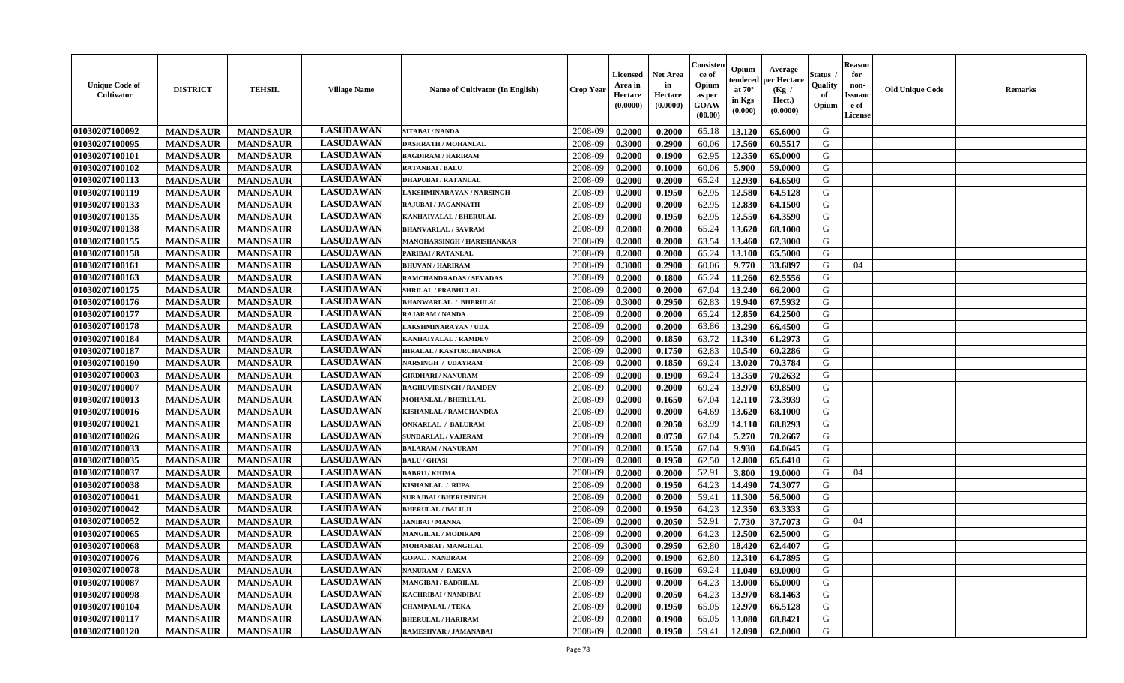| <b>Unique Code of</b><br><b>Cultivator</b> | <b>DISTRICT</b> | <b>TEHSIL</b>   | <b>Village Name</b> | <b>Name of Cultivator (In English)</b> | <b>Crop Year</b> | <b>Licensed</b><br>Area in<br>Hectare<br>(0.0000) | Net Area<br>in<br>Hectare<br>(0.0000) | Consisteı<br>ce of<br>Opium<br>as per<br>GOAW<br>(00.00) | Opium<br>endered<br>at $70^\circ$<br>in Kgs<br>(0.000) | Average<br>per Hectare<br>(Kg /<br>Hect.)<br>(0.0000) | Status<br>Quality<br>of<br>Opium | <b>Reason</b><br>for<br>non-<br>Issuano<br>e of<br>License | <b>Old Unique Code</b> | Remarks |
|--------------------------------------------|-----------------|-----------------|---------------------|----------------------------------------|------------------|---------------------------------------------------|---------------------------------------|----------------------------------------------------------|--------------------------------------------------------|-------------------------------------------------------|----------------------------------|------------------------------------------------------------|------------------------|---------|
| 01030207100092                             | <b>MANDSAUR</b> | <b>MANDSAUR</b> | <b>LASUDAWAN</b>    | SITABAI / NANDA                        | 2008-09          | 0.2000                                            | 0.2000                                | 65.18                                                    | 13.120                                                 | 65.6000                                               | G                                |                                                            |                        |         |
| 01030207100095                             | <b>MANDSAUR</b> | <b>MANDSAUR</b> | <b>LASUDAWAN</b>    | <b>DASHRATH / MOHANLAL</b>             | 2008-09          | 0.3000                                            | 0.2900                                | 60.06                                                    | 17.560                                                 | 60.5517                                               | G                                |                                                            |                        |         |
| 01030207100101                             | <b>MANDSAUR</b> | <b>MANDSAUR</b> | <b>LASUDAWAN</b>    | <b>BAGDIRAM / HARIRAM</b>              | 2008-09          | 0.2000                                            | 0.1900                                | 62.95                                                    | 12.350                                                 | 65.0000                                               | G                                |                                                            |                        |         |
| 01030207100102                             | <b>MANDSAUR</b> | <b>MANDSAUR</b> | <b>LASUDAWAN</b>    | <b>RATANBAI/BALU</b>                   | 2008-09          | 0.2000                                            | 0.1000                                | 60.06                                                    | 5.900                                                  | 59.0000                                               | G                                |                                                            |                        |         |
| 01030207100113                             | <b>MANDSAUR</b> | <b>MANDSAUR</b> | <b>LASUDAWAN</b>    | <b>DHAPUBAI/RATANLAL</b>               | 2008-09          | 0.2000                                            | 0.2000                                | 65.24                                                    | 12.930                                                 | 64.6500                                               | G                                |                                                            |                        |         |
| 01030207100119                             | <b>MANDSAUR</b> | <b>MANDSAUR</b> | <b>LASUDAWAN</b>    | LAKSHMINARAYAN / NARSINGH              | 2008-09          | 0.2000                                            | 0.1950                                | 62.95                                                    | 12.580                                                 | 64.5128                                               | G                                |                                                            |                        |         |
| 01030207100133                             | <b>MANDSAUR</b> | <b>MANDSAUR</b> | <b>LASUDAWAN</b>    | RAJUBAI / JAGANNATH                    | 2008-09          | 0.2000                                            | 0.2000                                | 62.95                                                    | 12.830                                                 | 64.1500                                               | G                                |                                                            |                        |         |
| 01030207100135                             | <b>MANDSAUR</b> | <b>MANDSAUR</b> | <b>LASUDAWAN</b>    | KANHAIYALAL / BHERULAL                 | 2008-09          | 0.2000                                            | 0.1950                                | 62.95                                                    | 12.550                                                 | 64.3590                                               | G                                |                                                            |                        |         |
| 01030207100138                             | <b>MANDSAUR</b> | <b>MANDSAUR</b> | <b>LASUDAWAN</b>    | <b>BHANVARLAL / SAVRAM</b>             | 2008-09          | 0.2000                                            | 0.2000                                | 65.24                                                    | 13.620                                                 | 68.1000                                               | G                                |                                                            |                        |         |
| 01030207100155                             | <b>MANDSAUR</b> | <b>MANDSAUR</b> | <b>LASUDAWAN</b>    | MANOHARSINGH / HARISHANKAR             | 2008-09          | 0.2000                                            | 0.2000                                | 63.54                                                    | 13.460                                                 | 67.3000                                               | G                                |                                                            |                        |         |
| 01030207100158                             | <b>MANDSAUR</b> | <b>MANDSAUR</b> | <b>LASUDAWAN</b>    | PARIBAI / RATANLAL                     | 2008-09          | 0.2000                                            | 0.2000                                | 65.24                                                    | 13.100                                                 | 65.5000                                               | G                                |                                                            |                        |         |
| 01030207100161                             | <b>MANDSAUR</b> | <b>MANDSAUR</b> | <b>LASUDAWAN</b>    | <b>BHUVAN / HARIRAM</b>                | 2008-09          | 0.3000                                            | 0.2900                                | 60.06                                                    | 9.770                                                  | 33.6897                                               | G                                | 04                                                         |                        |         |
| 01030207100163                             | <b>MANDSAUR</b> | <b>MANDSAUR</b> | <b>LASUDAWAN</b>    | RAMCHANDRADAS / SEVADAS                | 2008-09          | 0.2000                                            | 0.1800                                | 65.24                                                    | 11.260                                                 | 62.5556                                               | G                                |                                                            |                        |         |
| 01030207100175                             | <b>MANDSAUR</b> | <b>MANDSAUR</b> | <b>LASUDAWAN</b>    | <b>SHRILAL / PRABHULAL</b>             | 2008-09          | 0.2000                                            | 0.2000                                | 67.04                                                    | 13.240                                                 | 66.2000                                               | G                                |                                                            |                        |         |
| 01030207100176                             | <b>MANDSAUR</b> | <b>MANDSAUR</b> | <b>LASUDAWAN</b>    | <b>BHANWARLAL / BHERULAL</b>           | 2008-09          | 0.3000                                            | 0.2950                                | 62.83                                                    | 19.940                                                 | 67.5932                                               | G                                |                                                            |                        |         |
| 01030207100177                             | <b>MANDSAUR</b> | <b>MANDSAUR</b> | <b>LASUDAWAN</b>    | <b>RAJARAM / NANDA</b>                 | 2008-09          | 0.2000                                            | 0.2000                                | 65.24                                                    | 12.850                                                 | 64.2500                                               | G                                |                                                            |                        |         |
| 01030207100178                             | <b>MANDSAUR</b> | <b>MANDSAUR</b> | <b>LASUDAWAN</b>    | LAKSHMINARAYAN / UDA                   | 2008-09          | 0.2000                                            | 0.2000                                | 63.86                                                    | 13.290                                                 | 66.4500                                               | G                                |                                                            |                        |         |
| 01030207100184                             | <b>MANDSAUR</b> | <b>MANDSAUR</b> | <b>LASUDAWAN</b>    | KANHAIYALAL / RAMDEV                   | 2008-09          | 0.2000                                            | 0.1850                                | 63.72                                                    | 11.340                                                 | 61.2973                                               | G                                |                                                            |                        |         |
| 01030207100187                             | <b>MANDSAUR</b> | <b>MANDSAUR</b> | <b>LASUDAWAN</b>    | HIRALAL / KASTURCHANDRA                | 2008-09          | 0.2000                                            | 0.1750                                | 62.83                                                    | 10.540                                                 | 60.2286                                               | G                                |                                                            |                        |         |
| 01030207100190                             | <b>MANDSAUR</b> | <b>MANDSAUR</b> | <b>LASUDAWAN</b>    | <b>NARSINGH / UDAYRAM</b>              | 2008-09          | 0.2000                                            | 0.1850                                | 69.24                                                    | 13.020                                                 | 70.3784                                               | G                                |                                                            |                        |         |
| 01030207100003                             | <b>MANDSAUR</b> | <b>MANDSAUR</b> | <b>LASUDAWAN</b>    | <b>GIRDHARI / NANURAM</b>              | 2008-09          | 0.2000                                            | 0.1900                                | 69.24                                                    | 13.350                                                 | 70.2632                                               | G                                |                                                            |                        |         |
| 01030207100007                             | <b>MANDSAUR</b> | <b>MANDSAUR</b> | <b>LASUDAWAN</b>    | <b>RAGHUVIRSINGH / RAMDEV</b>          | 2008-09          | 0.2000                                            |                                       | 69.24                                                    | 13.970                                                 | 69.8500                                               | G                                |                                                            |                        |         |
|                                            |                 |                 | <b>LASUDAWAN</b>    |                                        |                  |                                                   | 0.2000                                |                                                          |                                                        |                                                       | G                                |                                                            |                        |         |
| 01030207100013                             | <b>MANDSAUR</b> | <b>MANDSAUR</b> |                     | <b>MOHANLAL / BHERULAL</b>             | 2008-09          | 0.2000                                            | 0.1650                                | 67.04                                                    | 12.110                                                 | 73.3939                                               |                                  |                                                            |                        |         |
| 01030207100016                             | <b>MANDSAUR</b> | <b>MANDSAUR</b> | <b>LASUDAWAN</b>    | <b>KISHANLAL / RAMCHANDRA</b>          | 2008-09          | 0.2000                                            | 0.2000                                | 64.69                                                    | 13.620                                                 | 68.1000                                               | G                                |                                                            |                        |         |
| 01030207100021                             | <b>MANDSAUR</b> | <b>MANDSAUR</b> | <b>LASUDAWAN</b>    | <b>ONKARLAL / BALURAM</b>              | 2008-09          | 0.2000                                            | 0.2050                                | 63.99                                                    | 14.110                                                 | 68.8293                                               | G                                |                                                            |                        |         |
| 01030207100026                             | <b>MANDSAUR</b> | <b>MANDSAUR</b> | <b>LASUDAWAN</b>    | <b>SUNDARLAL / VAJERAM</b>             | 2008-09          | 0.2000                                            | 0.0750                                | 67.04                                                    | 5.270                                                  | 70.2667                                               | G                                |                                                            |                        |         |
| 01030207100033                             | <b>MANDSAUR</b> | <b>MANDSAUR</b> | <b>LASUDAWAN</b>    | <b>BALARAM / NANURAM</b>               | 2008-09          | 0.2000                                            | 0.1550                                | 67.04                                                    | 9.930                                                  | 64.0645                                               | G                                |                                                            |                        |         |
| 01030207100035                             | <b>MANDSAUR</b> | <b>MANDSAUR</b> | <b>LASUDAWAN</b>    | <b>BALU / GHASI</b>                    | 2008-09          | 0.2000                                            | 0.1950                                | 62.50                                                    | 12.800                                                 | 65.6410                                               | G                                |                                                            |                        |         |
| 01030207100037                             | <b>MANDSAUR</b> | <b>MANDSAUR</b> | <b>LASUDAWAN</b>    | <b>BABRU / KHIMA</b>                   | 2008-09          | 0.2000                                            | 0.2000                                | 52.91                                                    | 3.800                                                  | 19.0000                                               | G                                | 04                                                         |                        |         |
| 01030207100038                             | <b>MANDSAUR</b> | <b>MANDSAUR</b> | <b>LASUDAWAN</b>    | <b>KISHANLAL / RUPA</b>                | 2008-09          | 0.2000                                            | 0.1950                                | 64.23                                                    | 14.490                                                 | 74.3077                                               | G                                |                                                            |                        |         |
| 01030207100041                             | <b>MANDSAUR</b> | <b>MANDSAUR</b> | <b>LASUDAWAN</b>    | <b>SURAJBAI / BHERUSINGH</b>           | 2008-09          | 0.2000                                            | 0.2000                                | 59.41                                                    | 11.300                                                 | 56.5000                                               | G                                |                                                            |                        |         |
| 01030207100042                             | <b>MANDSAUR</b> | <b>MANDSAUR</b> | <b>LASUDAWAN</b>    | <b>BHERULAL / BALU JI</b>              | 2008-09          | 0.2000                                            | 0.1950                                | 64.23                                                    | 12.350                                                 | 63.3333                                               | G                                |                                                            |                        |         |
| 01030207100052                             | <b>MANDSAUR</b> | <b>MANDSAUR</b> | <b>LASUDAWAN</b>    | <b>JANIBAI / MANNA</b>                 | 2008-09          | 0.2000                                            | 0.2050                                | 52.91                                                    | 7.730                                                  | 37.7073                                               | G                                | 04                                                         |                        |         |
| 01030207100065                             | <b>MANDSAUR</b> | <b>MANDSAUR</b> | <b>LASUDAWAN</b>    | <b>MANGILAL / MODIRAM</b>              | 2008-09          | 0.2000                                            | 0.2000                                | 64.23                                                    | 12.500                                                 | 62.5000                                               | G                                |                                                            |                        |         |
| 01030207100068                             | <b>MANDSAUR</b> | <b>MANDSAUR</b> | <b>LASUDAWAN</b>    | MOHANBAI / MANGILAL                    | 2008-09          | 0.3000                                            | 0.2950                                | 62.80                                                    | 18.420                                                 | 62.4407                                               | G                                |                                                            |                        |         |
| 01030207100076                             | <b>MANDSAUR</b> | <b>MANDSAUR</b> | <b>LASUDAWAN</b>    | <b>GOPAL / NANDRAM</b>                 | 2008-09          | 0.2000                                            | 0.1900                                | 62.80                                                    | 12.310                                                 | 64.7895                                               | G                                |                                                            |                        |         |
| 01030207100078                             | <b>MANDSAUR</b> | <b>MANDSAUR</b> | <b>LASUDAWAN</b>    | NANURAM / RAKVA                        | 2008-09          | 0.2000                                            | 0.1600                                | 69.24                                                    | 11.040                                                 | 69.0000                                               | G                                |                                                            |                        |         |
| 01030207100087                             | <b>MANDSAUR</b> | <b>MANDSAUR</b> | <b>LASUDAWAN</b>    | <b>MANGIBAI/BADRILAL</b>               | 2008-09          | 0.2000                                            | 0.2000                                | 64.23                                                    | 13.000                                                 | 65.0000                                               | G                                |                                                            |                        |         |
| 01030207100098                             | <b>MANDSAUR</b> | <b>MANDSAUR</b> | <b>LASUDAWAN</b>    | <b>KACHRIBAI/NANDIBAI</b>              | 2008-09          | 0.2000                                            | 0.2050                                | 64.23                                                    | 13.970                                                 | 68.1463                                               | G                                |                                                            |                        |         |
| 01030207100104                             | <b>MANDSAUR</b> | <b>MANDSAUR</b> | <b>LASUDAWAN</b>    | <b>CHAMPALAL / TEKA</b>                | 2008-09          | 0.2000                                            | 0.1950                                | 65.05                                                    | 12.970                                                 | 66.5128                                               | ${\bf G}$                        |                                                            |                        |         |
| 01030207100117                             | <b>MANDSAUR</b> | <b>MANDSAUR</b> | <b>LASUDAWAN</b>    | <b>BHERULAL / HARIRAM</b>              | 2008-09          | 0.2000                                            | 0.1900                                | 65.05                                                    | 13.080                                                 | 68.8421                                               | G                                |                                                            |                        |         |
| 01030207100120                             | <b>MANDSAUR</b> | <b>MANDSAUR</b> | <b>LASUDAWAN</b>    | RAMESHVAR / JAMANABAI                  | 2008-09          | 0.2000                                            | 0.1950                                | 59.41                                                    | 12.090                                                 | 62.0000                                               | G                                |                                                            |                        |         |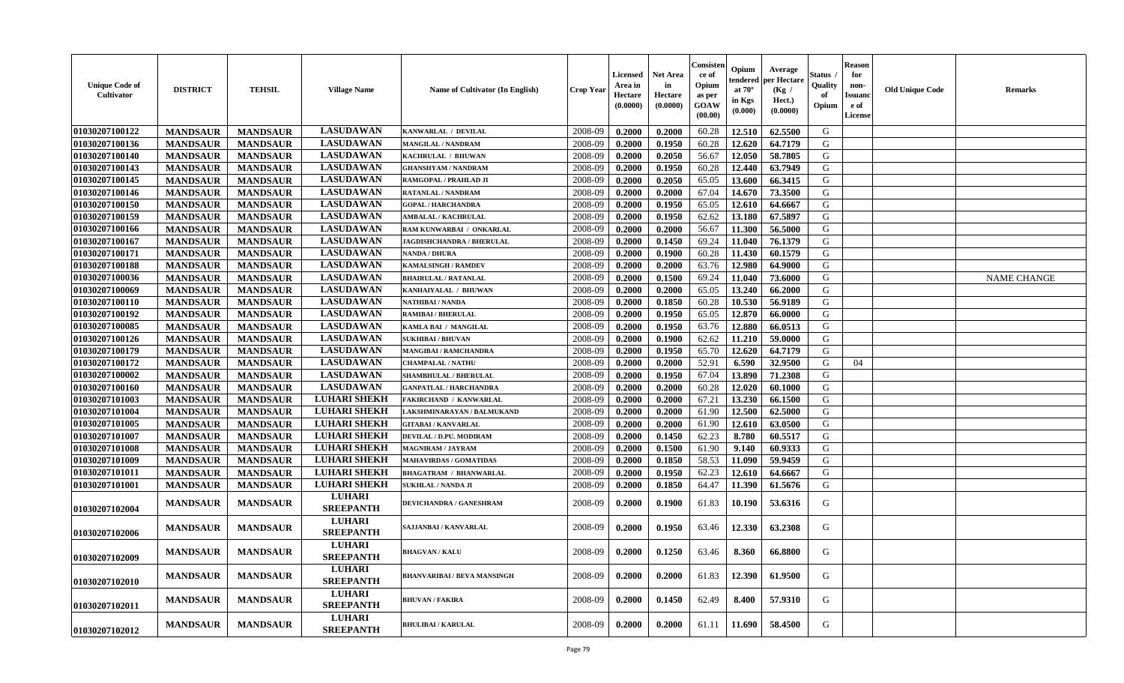| <b>Unique Code of</b><br>Cultivator | <b>DISTRICT</b> | <b>TEHSIL</b>   | <b>Village Name</b>               | Name of Cultivator (In English)    | Crop Year | <b>Licensed</b><br>Area in<br>Hectare<br>(0.0000) | Net Area<br>in<br>Hectare<br>(0.0000) | C <b>onsiste</b> ı<br>ce of<br>Opium<br>as per<br><b>GOAW</b><br>(00.00) | Opium<br>endered<br>at $70^\circ$<br>in Kgs<br>(0.000) | Average<br>er Hectare<br>(Kg /<br>Hect.)<br>(0.0000) | Status<br>Quality<br>of<br>Opium | <b>Reason</b><br>for<br>non-<br><b>Issuano</b><br>e of<br>License | <b>Old Unique Code</b> | Remarks            |
|-------------------------------------|-----------------|-----------------|-----------------------------------|------------------------------------|-----------|---------------------------------------------------|---------------------------------------|--------------------------------------------------------------------------|--------------------------------------------------------|------------------------------------------------------|----------------------------------|-------------------------------------------------------------------|------------------------|--------------------|
| 01030207100122                      | <b>MANDSAUR</b> | <b>MANDSAUR</b> | <b>LASUDAWAN</b>                  | KANWARLAL / DEVILAL                | 2008-09   | 0.2000                                            | 0.2000                                | 60.28                                                                    | 12.510                                                 | 62.5500                                              | G                                |                                                                   |                        |                    |
| 01030207100136                      | <b>MANDSAUR</b> | <b>MANDSAUR</b> | <b>LASUDAWAN</b>                  | MANGILAL / NANDRAM                 | 2008-09   | 0.2000                                            | 0.1950                                | 60.28                                                                    | 12.620                                                 | 64.7179                                              | G                                |                                                                   |                        |                    |
| 01030207100140                      | <b>MANDSAUR</b> | <b>MANDSAUR</b> | <b>LASUDAWAN</b>                  | KACHRULAL / BHUWAN                 | 2008-09   | 0.2000                                            | 0.2050                                | 56.67                                                                    | 12.050                                                 | 58.7805                                              | G                                |                                                                   |                        |                    |
| 01030207100143                      | <b>MANDSAUR</b> | <b>MANDSAUR</b> | <b>LASUDAWAN</b>                  | <b>GHANSHYAM / NANDRAM</b>         | 2008-09   | 0.2000                                            | 0.1950                                | 60.28                                                                    | 12.440                                                 | 63.7949                                              | G                                |                                                                   |                        |                    |
| 01030207100145                      | <b>MANDSAUR</b> | <b>MANDSAUR</b> | <b>LASUDAWAN</b>                  | RAMGOPAL / PRAHLAD JI              | 2008-09   | 0.2000                                            | 0.2050                                | 65.05                                                                    | 13.600                                                 | 66.3415                                              | G                                |                                                                   |                        |                    |
| 01030207100146                      | <b>MANDSAUR</b> | <b>MANDSAUR</b> | <b>LASUDAWAN</b>                  | RATANLAL / NANDRAM                 | 2008-09   | 0.2000                                            | 0.2000                                | 67.04                                                                    | 14.670                                                 | 73.3500                                              | G                                |                                                                   |                        |                    |
| 01030207100150                      | <b>MANDSAUR</b> | <b>MANDSAUR</b> | <b>LASUDAWAN</b>                  | <b>GOPAL / HARCHANDRA</b>          | 2008-09   | 0.2000                                            | 0.1950                                | 65.05                                                                    | 12.610                                                 | 64.6667                                              | G                                |                                                                   |                        |                    |
| 01030207100159                      | <b>MANDSAUR</b> | <b>MANDSAUR</b> | <b>LASUDAWAN</b>                  | <b>AMBALAL / KACHRULAL</b>         | 2008-09   | 0.2000                                            | 0.1950                                | 62.62                                                                    | 13.180                                                 | 67.5897                                              | G                                |                                                                   |                        |                    |
| 01030207100166                      | <b>MANDSAUR</b> | <b>MANDSAUR</b> | <b>LASUDAWAN</b>                  | RAM KUNWARBAI / ONKARLAL           | 2008-09   | 0.2000                                            | 0.2000                                | 56.67                                                                    | 11.300                                                 | 56.5000                                              | G                                |                                                                   |                        |                    |
| 01030207100167                      | <b>MANDSAUR</b> | <b>MANDSAUR</b> | <b>LASUDAWAN</b>                  | JAGDISHCHANDRA / BHERULAL          | 2008-09   | 0.2000                                            | 0.1450                                | 69.24                                                                    | 11.040                                                 | 76.1379                                              | G                                |                                                                   |                        |                    |
| 01030207100171                      | <b>MANDSAUR</b> | <b>MANDSAUR</b> | <b>LASUDAWAN</b>                  | <b>NANDA / DHURA</b>               | 2008-09   | 0.2000                                            | 0.1900                                | 60.28                                                                    | 11.430                                                 | 60.1579                                              | G                                |                                                                   |                        |                    |
| 01030207100188                      | <b>MANDSAUR</b> | <b>MANDSAUR</b> | <b>LASUDAWAN</b>                  | <b>KAMALSINGH / RAMDEV</b>         | 2008-09   | 0.2000                                            | 0.2000                                | 63.76                                                                    | 12.980                                                 | 64.9000                                              | G                                |                                                                   |                        |                    |
| 01030207100036                      | <b>MANDSAUR</b> | <b>MANDSAUR</b> | <b>LASUDAWAN</b>                  | <b>BHAIRULAL / RATANLAL</b>        | 2008-09   | 0.2000                                            | 0.1500                                | 69.24                                                                    | 11.040                                                 | 73.6000                                              | G                                |                                                                   |                        | <b>NAME CHANGE</b> |
| 01030207100069                      | <b>MANDSAUR</b> | <b>MANDSAUR</b> | <b>LASUDAWAN</b>                  | KANHAIYALAL / BHUWAN               | 2008-09   | 0.2000                                            | 0.2000                                | 65.05                                                                    | 13.240                                                 | 66.2000                                              | G                                |                                                                   |                        |                    |
| 01030207100110                      | <b>MANDSAUR</b> | <b>MANDSAUR</b> | <b>LASUDAWAN</b>                  | <b>NATHIBAI / NANDA</b>            | 2008-09   | 0.2000                                            | 0.1850                                | 60.28                                                                    | 10.530                                                 | 56.9189                                              | G                                |                                                                   |                        |                    |
| 01030207100192                      | <b>MANDSAUR</b> | <b>MANDSAUR</b> | <b>LASUDAWAN</b>                  | <b>RAMIBAI / BHERULAL</b>          | 2008-09   | 0.2000                                            | 0.1950                                | 65.05                                                                    | 12.870                                                 | 66.0000                                              | G                                |                                                                   |                        |                    |
| 01030207100085                      | <b>MANDSAUR</b> | <b>MANDSAUR</b> | <b>LASUDAWAN</b>                  | KAMLA BAI / MANGILAL               | 2008-09   | 0.2000                                            | 0.1950                                | 63.76                                                                    | 12.880                                                 | 66.0513                                              | G                                |                                                                   |                        |                    |
| 01030207100126                      | <b>MANDSAUR</b> | <b>MANDSAUR</b> | <b>LASUDAWAN</b>                  | <b>SUKHIBAI / BHUVAN</b>           | 2008-09   | 0.2000                                            | 0.1900                                | 62.62                                                                    | 11.210                                                 | 59.0000                                              | G                                |                                                                   |                        |                    |
| 01030207100179                      | <b>MANDSAUR</b> | <b>MANDSAUR</b> | <b>LASUDAWAN</b>                  | <b>MANGIBAI/RAMCHANDRA</b>         | 2008-09   | 0.2000                                            | 0.1950                                | 65.70                                                                    | 12.620                                                 | 64.7179                                              | G                                |                                                                   |                        |                    |
| 01030207100172                      | <b>MANDSAUR</b> | <b>MANDSAUR</b> | <b>LASUDAWAN</b>                  | <b>CHAMPALAL / NATHU</b>           | 2008-09   | 0.2000                                            | 0.2000                                | 52.91                                                                    | 6.590                                                  | 32.9500                                              | G                                | 04                                                                |                        |                    |
| 01030207100002                      | <b>MANDSAUR</b> | <b>MANDSAUR</b> | <b>LASUDAWAN</b>                  | <b>SHAMBHULAL / BHERULAL</b>       | 2008-09   | 0.2000                                            | 0.1950                                | 67.04                                                                    | 13.890                                                 | 71.2308                                              | G                                |                                                                   |                        |                    |
| 01030207100160                      | <b>MANDSAUR</b> | <b>MANDSAUR</b> | <b>LASUDAWAN</b>                  | <b>GANPATLAL / HARCHANDRA</b>      | 2008-09   | 0.2000                                            | 0.2000                                | 60.28                                                                    | 12.020                                                 | 60.1000                                              | G                                |                                                                   |                        |                    |
| 01030207101003                      | <b>MANDSAUR</b> | <b>MANDSAUR</b> | <b>LUHARI SHEKH</b>               | FAKIRCHAND / KANWARLAL             | 2008-09   | 0.2000                                            | 0.2000                                | 67.21                                                                    | 13.230                                                 | 66.1500                                              | G                                |                                                                   |                        |                    |
| 01030207101004                      | <b>MANDSAUR</b> | <b>MANDSAUR</b> | <b>LUHARI SHEKH</b>               | LAKSHMINARAYAN / BALMUKAND         | 2008-09   | 0.2000                                            | 0.2000                                | 61.90                                                                    | 12.500                                                 | 62.5000                                              | G                                |                                                                   |                        |                    |
| 01030207101005                      | <b>MANDSAUR</b> | <b>MANDSAUR</b> | <b>LUHARI SHEKH</b>               | <b>GITABAI/KANVARLAL</b>           | 2008-09   | 0.2000                                            | 0.2000                                | 61.90                                                                    | 12.610                                                 | 63.0500                                              | G                                |                                                                   |                        |                    |
| 01030207101007                      | <b>MANDSAUR</b> | <b>MANDSAUR</b> | <b>LUHARI SHEKH</b>               | DEVILAL / D.PU. MODIRAM            | 2008-09   | 0.2000                                            | 0.1450                                | 62.23                                                                    | 8.780                                                  | 60.5517                                              | G                                |                                                                   |                        |                    |
| 01030207101008                      | <b>MANDSAUR</b> | <b>MANDSAUR</b> | <b>LUHARI SHEKH</b>               | <b>MAGNIRAM / JAYRAM</b>           | 2008-09   | 0.2000                                            | 0.1500                                | 61.90                                                                    | 9.140                                                  | 60.9333                                              | G                                |                                                                   |                        |                    |
| 01030207101009                      | <b>MANDSAUR</b> | <b>MANDSAUR</b> | <b>LUHARI SHEKH</b>               | <b>MAHAVIRDAS / GOMATIDAS</b>      | 2008-09   | 0.2000                                            | 0.1850                                | 58.53                                                                    | 11.090                                                 | 59.9459                                              | G                                |                                                                   |                        |                    |
| 01030207101011                      | <b>MANDSAUR</b> | <b>MANDSAUR</b> | <b>LUHARI SHEKH</b>               | <b>BHAGATRAM / BHANWARLAL</b>      | 2008-09   | 0.2000                                            | 0.1950                                | 62.23                                                                    | 12.610                                                 | 64.6667                                              | G                                |                                                                   |                        |                    |
| 01030207101001                      | <b>MANDSAUR</b> | <b>MANDSAUR</b> | <b>LUHARI SHEKH</b>               | <b>SUKHLAL / NANDA JI</b>          | 2008-09   | 0.2000                                            | 0.1850                                | 64.47                                                                    | 11.390                                                 | 61.5676                                              | G                                |                                                                   |                        |                    |
| 01030207102004                      | <b>MANDSAUR</b> | <b>MANDSAUR</b> | <b>LUHARI</b><br><b>SREEPANTH</b> | DEVICHANDRA / GANESHRAM            | 2008-09   | 0.2000                                            | 0.1900                                | 61.83                                                                    | 10.190                                                 | 53.6316                                              | G                                |                                                                   |                        |                    |
| <b>01030207102006</b>               | <b>MANDSAUR</b> | <b>MANDSAUR</b> | <b>LUHARI</b><br><b>SREEPANTH</b> | SAJJANBAI / KANVARLAL              | 2008-09   | 0.2000                                            | 0.1950                                | 63.46                                                                    | 12.330                                                 | 63.2308                                              | G                                |                                                                   |                        |                    |
| 01030207102009                      | <b>MANDSAUR</b> | <b>MANDSAUR</b> | <b>LUHARI</b><br><b>SREEPANTH</b> | <b>BHAGVAN / KALU</b>              | 2008-09   | 0.2000                                            | 0.1250                                | 63.46                                                                    | 8.360                                                  | 66.8800                                              | G                                |                                                                   |                        |                    |
| <b>01030207102010</b>               | <b>MANDSAUR</b> | <b>MANDSAUR</b> | <b>LUHARI</b><br><b>SREEPANTH</b> | <b>BHANVARIBAI / BEVA MANSINGH</b> | 2008-09   | 0.2000                                            | 0.2000                                | 61.83                                                                    | 12.390                                                 | 61.9500                                              | G                                |                                                                   |                        |                    |
| 01030207102011                      | <b>MANDSAUR</b> | <b>MANDSAUR</b> | <b>LUHARI</b><br><b>SREEPANTH</b> | <b>BHUVAN / FAKIRA</b>             | 2008-09   | 0.2000                                            | 0.1450                                | 62.49                                                                    | 8.400                                                  | 57.9310                                              | G                                |                                                                   |                        |                    |
| 01030207102012                      | <b>MANDSAUR</b> | <b>MANDSAUR</b> | <b>LUHARI</b><br><b>SREEPANTH</b> | <b>BHULIBAI / KARULAL</b>          | 2008-09   | 0.2000                                            | 0.2000                                | 61.11                                                                    | 11.690                                                 | 58.4500                                              | G                                |                                                                   |                        |                    |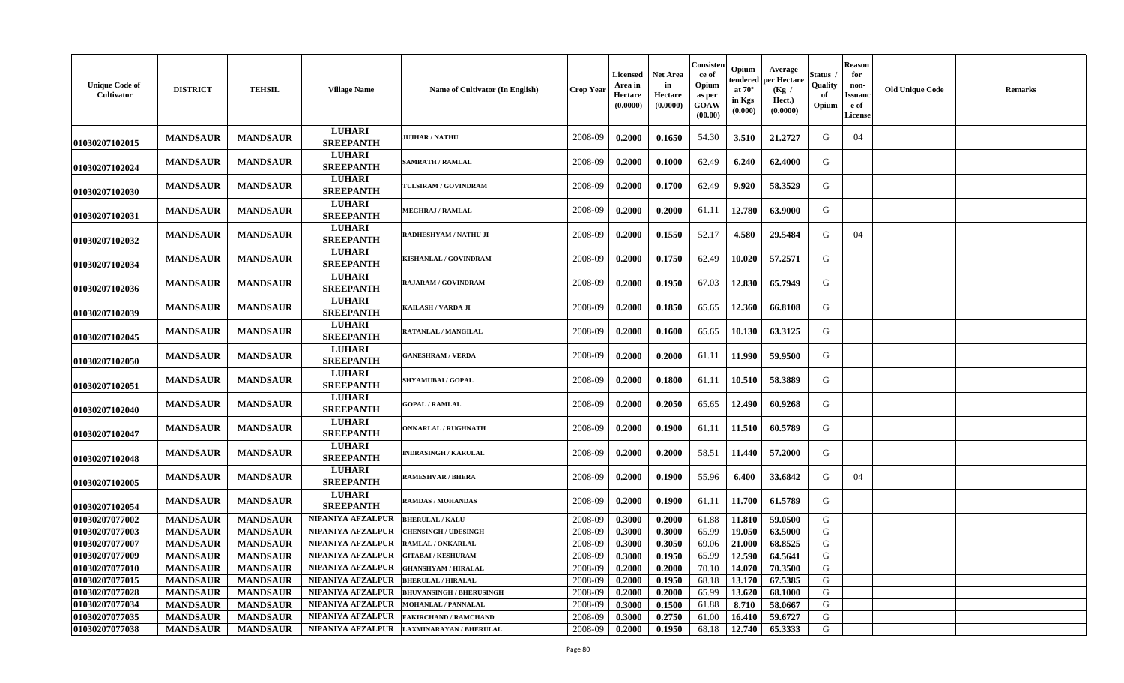| <b>Unique Code of</b><br>Cultivator | <b>DISTRICT</b> | <b>TEHSIL</b>   | <b>Village Name</b>               | Name of Cultivator (In English) | Crop Year | Licensed<br>Area in<br>Hectare<br>(0.0000) | Net Area<br>in<br>Hectare<br>(0.0000) | Consister<br>ce of<br>Opium<br>as per<br><b>GOAW</b><br>(00.00) | Opium<br>endered<br>at $70^\circ$<br>in Kgs<br>(0.000) | Average<br>per Hectaro<br>(Kg /<br>Hect.)<br>(0.0000) | Status<br>Quality<br>of<br>Opium | <b>Reason</b><br>for<br>non-<br><b>Issuanc</b><br>e of<br><b>License</b> | <b>Old Unique Code</b> | <b>Remarks</b> |
|-------------------------------------|-----------------|-----------------|-----------------------------------|---------------------------------|-----------|--------------------------------------------|---------------------------------------|-----------------------------------------------------------------|--------------------------------------------------------|-------------------------------------------------------|----------------------------------|--------------------------------------------------------------------------|------------------------|----------------|
| 01030207102015                      | <b>MANDSAUR</b> | <b>MANDSAUR</b> | <b>LUHARI</b><br><b>SREEPANTH</b> | <b>JUJHAR / NATHU</b>           | 2008-09   | 0.2000                                     | 0.1650                                | 54.30                                                           | 3.510                                                  | 21,2727                                               | G                                | 04                                                                       |                        |                |
| 01030207102024                      | <b>MANDSAUR</b> | <b>MANDSAUR</b> | <b>LUHARI</b><br><b>SREEPANTH</b> | <b>SAMRATH / RAMLAL</b>         | 2008-09   | 0.2000                                     | 0.1000                                | 62.49                                                           | 6.240                                                  | 62.4000                                               | G                                |                                                                          |                        |                |
| 01030207102030                      | <b>MANDSAUR</b> | <b>MANDSAUR</b> | <b>LUHARI</b><br><b>SREEPANTH</b> | TULSIRAM / GOVINDRAM            | 2008-09   | 0.2000                                     | 0.1700                                | 62.49                                                           | 9.920                                                  | 58.3529                                               | G                                |                                                                          |                        |                |
| 01030207102031                      | <b>MANDSAUR</b> | <b>MANDSAUR</b> | <b>LUHARI</b><br><b>SREEPANTH</b> | <b>MEGHRAJ / RAMLAL</b>         | 2008-09   | 0.2000                                     | 0.2000                                | 61.11                                                           | 12.780                                                 | 63.9000                                               | G                                |                                                                          |                        |                |
| 01030207102032                      | <b>MANDSAUR</b> | <b>MANDSAUR</b> | <b>LUHARI</b><br><b>SREEPANTH</b> | RADHESHYAM / NATHU JI           | 2008-09   | 0.2000                                     | 0.1550                                | 52.17                                                           | 4.580                                                  | 29.5484                                               | G                                | 04                                                                       |                        |                |
| 01030207102034                      | <b>MANDSAUR</b> | <b>MANDSAUR</b> | <b>LUHARI</b><br><b>SREEPANTH</b> | KISHANLAL / GOVINDRAM           | 2008-09   | 0.2000                                     | 0.1750                                | 62.49                                                           | 10.020                                                 | 57.2571                                               | G                                |                                                                          |                        |                |
| 01030207102036                      | <b>MANDSAUR</b> | <b>MANDSAUR</b> | <b>LUHARI</b><br><b>SREEPANTH</b> | RAJARAM / GOVINDRAM             | 2008-09   | 0.2000                                     | 0.1950                                | 67.03                                                           | 12.830                                                 | 65.7949                                               | G                                |                                                                          |                        |                |
| 01030207102039                      | <b>MANDSAUR</b> | <b>MANDSAUR</b> | <b>LUHARI</b><br><b>SREEPANTH</b> | KAILASH / VARDA JI              | 2008-09   | 0.2000                                     | 0.1850                                | 65.65                                                           | 12.360                                                 | 66.8108                                               | G                                |                                                                          |                        |                |
| 01030207102045                      | <b>MANDSAUR</b> | <b>MANDSAUR</b> | <b>LUHARI</b><br><b>SREEPANTH</b> | RATANLAL / MANGILAL             | 2008-09   | 0.2000                                     | 0.1600                                | 65.65                                                           | 10.130                                                 | 63.3125                                               | G                                |                                                                          |                        |                |
| 01030207102050                      | <b>MANDSAUR</b> | <b>MANDSAUR</b> | <b>LUHARI</b><br><b>SREEPANTH</b> | <b>GANESHRAM / VERDA</b>        | 2008-09   | 0.2000                                     | 0.2000                                | 61.11                                                           | 11.990                                                 | 59.9500                                               | G                                |                                                                          |                        |                |
| 01030207102051                      | <b>MANDSAUR</b> | <b>MANDSAUR</b> | <b>LUHARI</b><br><b>SREEPANTH</b> | <b>SHYAMUBAI/GOPAL</b>          | 2008-09   | 0.2000                                     | 0.1800                                | 61.11                                                           | 10.510                                                 | 58.3889                                               | G                                |                                                                          |                        |                |
| 01030207102040                      | <b>MANDSAUR</b> | <b>MANDSAUR</b> | <b>LUHARI</b><br><b>SREEPANTH</b> | <b>GOPAL / RAMLAL</b>           | 2008-09   | 0.2000                                     | 0.2050                                | 65.65                                                           | 12.490                                                 | 60.9268                                               | G                                |                                                                          |                        |                |
| 01030207102047                      | <b>MANDSAUR</b> | <b>MANDSAUR</b> | <b>LUHARI</b><br><b>SREEPANTH</b> | <b>ONKARLAL / RUGHNATH</b>      | 2008-09   | 0.2000                                     | 0.1900                                | 61.11                                                           | 11.510                                                 | 60.5789                                               | G                                |                                                                          |                        |                |
| 01030207102048                      | <b>MANDSAUR</b> | <b>MANDSAUR</b> | <b>LUHARI</b><br><b>SREEPANTH</b> | <b>INDRASINGH / KARULAL</b>     | 2008-09   | 0.2000                                     | 0.2000                                | 58.51                                                           | 11.440                                                 | 57.2000                                               | G                                |                                                                          |                        |                |
| 01030207102005                      | <b>MANDSAUR</b> | <b>MANDSAUR</b> | <b>LUHARI</b><br><b>SREEPANTH</b> | RAMESHVAR / BHERA               | 2008-09   | 0.2000                                     | 0.1900                                | 55.96                                                           | 6.400                                                  | 33.6842                                               | G                                | 04                                                                       |                        |                |
| 01030207102054                      | <b>MANDSAUR</b> | <b>MANDSAUR</b> | <b>LUHARI</b><br><b>SREEPANTH</b> | <b>RAMDAS / MOHANDAS</b>        | 2008-09   | 0.2000                                     | 0.1900                                | 61.11                                                           | 11.700                                                 | 61.5789                                               | G                                |                                                                          |                        |                |
| 01030207077002                      | <b>MANDSAUR</b> | <b>MANDSAUR</b> | NIPANIYA AFZALPUR                 | <b>BHERULAL / KALU</b>          | 2008-09   | 0.3000                                     | 0.2000                                | 61.88                                                           | 11.810                                                 | 59.0500                                               | G                                |                                                                          |                        |                |
| 01030207077003                      | <b>MANDSAUR</b> | <b>MANDSAUR</b> | NIPANIYA AFZALPUR                 | <b>CHENSINGH / UDESINGH</b>     | 2008-09   | 0.3000                                     | 0.3000                                | 65.99                                                           | 19.050                                                 | 63.5000                                               | G                                |                                                                          |                        |                |
| 01030207077007                      | <b>MANDSAUR</b> | <b>MANDSAUR</b> | NIPANIYA AFZALPUR                 | RAMLAL / ONKARLAL               | 2008-09   | 0.3000                                     | 0.3050                                | 69.06                                                           | 21.000                                                 | 68.8525                                               | G                                |                                                                          |                        |                |
| 01030207077009                      | <b>MANDSAUR</b> | <b>MANDSAUR</b> | NIPANIYA AFZALPUR                 | <b>GITABAI/KESHURAM</b>         | 2008-09   | 0.3000                                     | 0.1950                                | 65.99                                                           | 12.590                                                 | 64.5641                                               | ${\bf G}$                        |                                                                          |                        |                |
| 01030207077010                      | <b>MANDSAUR</b> | <b>MANDSAUR</b> | NIPANIYA AFZALPUR                 | <b>GHANSHYAM / HIRALAL</b>      | 2008-09   | 0.2000                                     | 0.2000                                | 70.10                                                           | 14.070                                                 | 70.3500                                               | G                                |                                                                          |                        |                |
| 01030207077015                      | <b>MANDSAUR</b> | <b>MANDSAUR</b> | NIPANIYA AFZALPUR                 | <b>BHERULAL / HIRALAL</b>       | 2008-09   | 0.2000                                     | 0.1950                                | 68.18                                                           | 13.170                                                 | 67.5385                                               | G                                |                                                                          |                        |                |
| 01030207077028                      | <b>MANDSAUR</b> | <b>MANDSAUR</b> | NIPANIYA AFZALPUR                 | <b>BHUVANSINGH / BHERUSINGH</b> | 2008-09   | 0.2000                                     | 0.2000                                | 65.99                                                           | 13.620                                                 | 68.1000                                               | G                                |                                                                          |                        |                |
| 01030207077034                      | <b>MANDSAUR</b> | <b>MANDSAUR</b> | NIPANIYA AFZALPUR                 | <b>MOHANLAL / PANNALAL</b>      | 2008-09   | 0.3000                                     | 0.1500                                | 61.88                                                           | 8.710                                                  | 58.0667                                               | G                                |                                                                          |                        |                |
| 01030207077035                      | <b>MANDSAUR</b> | <b>MANDSAUR</b> | NIPANIYA AFZALPUR                 | <b>FAKIRCHAND / RAMCHAND</b>    | 2008-09   | 0.3000                                     | 0.2750                                | 61.00                                                           | 16.410                                                 | 59.6727                                               | G                                |                                                                          |                        |                |
| 01030207077038                      | <b>MANDSAUR</b> | <b>MANDSAUR</b> | NIPANIYA AFZALPUR                 | LAXMINARAYAN / BHERULAL         | 2008-09   | 0.2000                                     | 0.1950                                | 68.18                                                           | 12.740                                                 | 65.3333                                               | G                                |                                                                          |                        |                |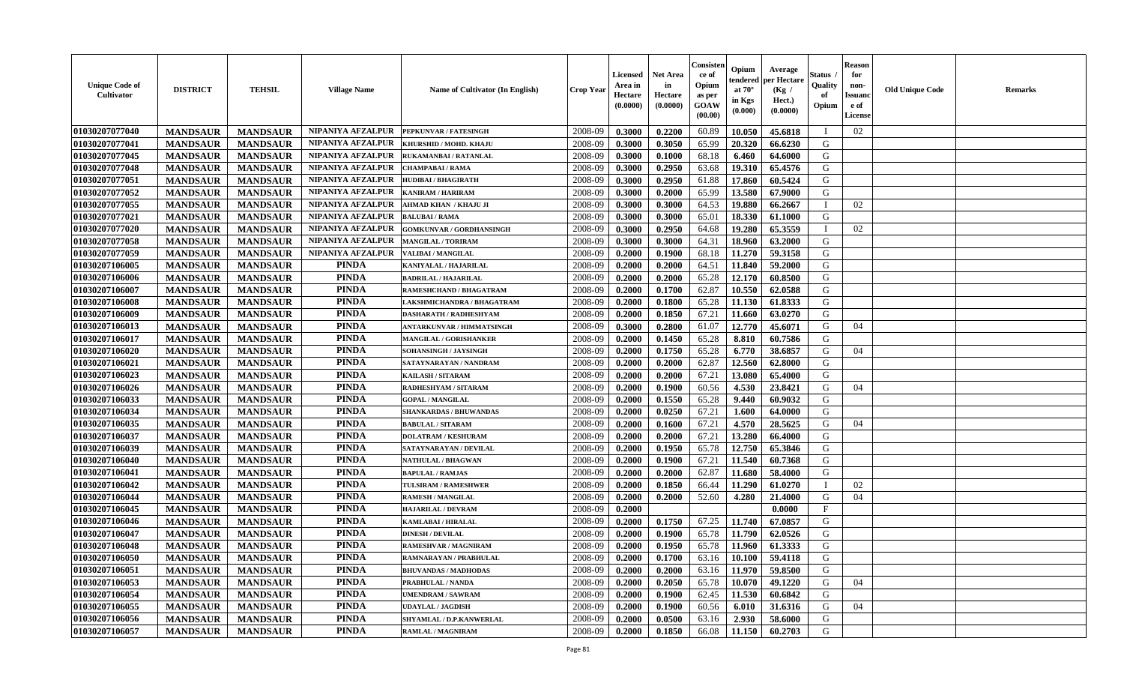| <b>Unique Code of</b><br><b>Cultivator</b> | <b>DISTRICT</b> | <b>TEHSIL</b>   | <b>Village Name</b> | Name of Cultivator (In English) | <b>Crop Year</b> | <b>Licensed</b><br>Area in<br>Hectare<br>(0.0000) | Net Area<br>in<br>Hectare<br>(0.0000) | Consisteı<br>ce of<br>Opium<br>as per<br>GOAW<br>(00.00) | Opium<br>endered<br>at $70^\circ$<br>in Kgs<br>(0.000) | Average<br>per Hectare<br>(Kg /<br>Hect.)<br>(0.0000) | Status<br>Quality<br>of<br>Opium | <b>Reason</b><br>for<br>non-<br><b>Issuand</b><br>e of<br>License | <b>Old Unique Code</b> | Remarks |
|--------------------------------------------|-----------------|-----------------|---------------------|---------------------------------|------------------|---------------------------------------------------|---------------------------------------|----------------------------------------------------------|--------------------------------------------------------|-------------------------------------------------------|----------------------------------|-------------------------------------------------------------------|------------------------|---------|
| 01030207077040                             | <b>MANDSAUR</b> | <b>MANDSAUR</b> | NIPANIYA AFZALPUR   | PEPKUNVAR / FATESINGH           | 2008-09          | 0.3000                                            | 0.2200                                | 60.89                                                    | 10.050                                                 | 45.6818                                               | П                                | 02                                                                |                        |         |
| 01030207077041                             | <b>MANDSAUR</b> | <b>MANDSAUR</b> | NIPANIYA AFZALPUR   | KHURSHID / MOHD. KHAJU          | 2008-09          | 0.3000                                            | 0.3050                                | 65.99                                                    | 20.320                                                 | 66.6230                                               | G                                |                                                                   |                        |         |
| 01030207077045                             | <b>MANDSAUR</b> | <b>MANDSAUR</b> | NIPANIYA AFZALPUR   | <b>RUKAMANBAI/RATANLAL</b>      | 2008-09          | 0.3000                                            | 0.1000                                | 68.18                                                    | 6.460                                                  | 64.6000                                               | G                                |                                                                   |                        |         |
| 01030207077048                             | <b>MANDSAUR</b> | <b>MANDSAUR</b> | NIPANIYA AFZALPUR   | <b>CHAMPABAI/RAMA</b>           | 2008-09          | 0.3000                                            | 0.2950                                | 63.68                                                    | 19.310                                                 | 65.4576                                               | G                                |                                                                   |                        |         |
| 01030207077051                             | <b>MANDSAUR</b> | <b>MANDSAUR</b> | NIPANIYA AFZALPUR   | <b>HUDIBAI/BHAGIRATH</b>        | 2008-09          | 0.3000                                            | 0.2950                                | 61.88                                                    | 17.860                                                 | 60.5424                                               | G                                |                                                                   |                        |         |
| 01030207077052                             | <b>MANDSAUR</b> | <b>MANDSAUR</b> | NIPANIYA AFZALPUR   | KANIRAM / HARIRAM               | 2008-09          | 0.3000                                            | 0.2000                                | 65.99                                                    | 13.580                                                 | 67.9000                                               | G                                |                                                                   |                        |         |
| 01030207077055                             | <b>MANDSAUR</b> | <b>MANDSAUR</b> | NIPANIYA AFZALPUR   | AHMAD KHAN / KHAJU JI           | 2008-09          | 0.3000                                            | 0.3000                                | 64.53                                                    | 19.880                                                 | 66.2667                                               |                                  | 02                                                                |                        |         |
| 01030207077021                             | <b>MANDSAUR</b> | <b>MANDSAUR</b> | NIPANIYA AFZALPUR   | <b>BALUBAI/RAMA</b>             | 2008-09          | 0.3000                                            | 0.3000                                | 65.01                                                    | 18.330                                                 | 61.1000                                               | G                                |                                                                   |                        |         |
| 01030207077020                             | <b>MANDSAUR</b> | <b>MANDSAUR</b> | NIPANIYA AFZALPUR   | <b>GOMKUNVAR / GORDHANSINGH</b> | 2008-09          | 0.3000                                            | 0.2950                                | 64.68                                                    | 19.280                                                 | 65.3559                                               | T                                | 02                                                                |                        |         |
| 01030207077058                             | <b>MANDSAUR</b> | <b>MANDSAUR</b> | NIPANIYA AFZALPUR   | <b>MANGILAL / TORIRAM</b>       | 2008-09          | 0.3000                                            | 0.3000                                | 64.31                                                    | 18.960                                                 | 63.2000                                               | G                                |                                                                   |                        |         |
| 01030207077059                             | <b>MANDSAUR</b> | <b>MANDSAUR</b> | NIPANIYA AFZALPUR   | <b>VALIBAI/MANGILAL</b>         | 2008-09          | 0.2000                                            | 0.1900                                | 68.18                                                    | 11.270                                                 | 59.3158                                               | G                                |                                                                   |                        |         |
| 01030207106005                             | <b>MANDSAUR</b> | <b>MANDSAUR</b> | <b>PINDA</b>        | KANIYALAL / HAJARILAL           | 2008-09          | 0.2000                                            | 0.2000                                | 64.51                                                    | 11.840                                                 | 59.2000                                               | G                                |                                                                   |                        |         |
| 01030207106006                             | <b>MANDSAUR</b> | <b>MANDSAUR</b> | <b>PINDA</b>        | <b>BADRILAL / HAJARILAL</b>     | 2008-09          | 0.2000                                            | 0.2000                                | 65.28                                                    | 12.170                                                 | 60.8500                                               | G                                |                                                                   |                        |         |
| 01030207106007                             | <b>MANDSAUR</b> | <b>MANDSAUR</b> | <b>PINDA</b>        | RAMESHCHAND / BHAGATRAM         | 2008-09          | 0.2000                                            | 0.1700                                | 62.87                                                    | 10.550                                                 | 62.0588                                               | G                                |                                                                   |                        |         |
| 01030207106008                             | <b>MANDSAUR</b> | <b>MANDSAUR</b> | <b>PINDA</b>        | LAKSHMICHANDRA / BHAGATRAM      | 2008-09          | 0.2000                                            | 0.1800                                | 65.28                                                    | 11.130                                                 | 61.8333                                               | $\mathbf G$                      |                                                                   |                        |         |
| 01030207106009                             | <b>MANDSAUR</b> | <b>MANDSAUR</b> | <b>PINDA</b>        | <b>DASHARATH / RADHESHYAM</b>   | 2008-09          | 0.2000                                            | 0.1850                                | 67.21                                                    | 11.660                                                 | 63.0270                                               | G                                |                                                                   |                        |         |
| 01030207106013                             | <b>MANDSAUR</b> | <b>MANDSAUR</b> | <b>PINDA</b>        | ANTARKUNVAR / HIMMATSINGH       | 2008-09          | 0.3000                                            | 0.2800                                | 61.07                                                    | 12.770                                                 | 45.6071                                               | G                                | 04                                                                |                        |         |
| 01030207106017                             | <b>MANDSAUR</b> | <b>MANDSAUR</b> | <b>PINDA</b>        | <b>MANGILAL / GORISHANKER</b>   | 2008-09          | 0.2000                                            | 0.1450                                | 65.28                                                    | 8.810                                                  | 60.7586                                               | G                                |                                                                   |                        |         |
| 01030207106020                             | <b>MANDSAUR</b> | <b>MANDSAUR</b> | <b>PINDA</b>        | SOHANSINGH / JAYSINGH           | 2008-09          | 0.2000                                            | 0.1750                                | 65.28                                                    | 6.770                                                  | 38.6857                                               | G                                | 04                                                                |                        |         |
|                                            |                 |                 | <b>PINDA</b>        | SATAYNARAYAN / NANDRAM          | 2008-09          |                                                   |                                       |                                                          | 12.560                                                 | 62.8000                                               |                                  |                                                                   |                        |         |
| 01030207106021                             | <b>MANDSAUR</b> | <b>MANDSAUR</b> | <b>PINDA</b>        |                                 |                  | 0.2000                                            | 0.2000                                | 62.87                                                    |                                                        |                                                       | G                                |                                                                   |                        |         |
| 01030207106023                             | <b>MANDSAUR</b> | <b>MANDSAUR</b> | <b>PINDA</b>        | <b>KAILASH / SITARAM</b>        | 2008-09          | 0.2000                                            | 0.2000                                | 67.21                                                    | 13.080                                                 | 65.4000                                               | G                                |                                                                   |                        |         |
| 01030207106026                             | <b>MANDSAUR</b> | <b>MANDSAUR</b> |                     | RADHESHYAM / SITARAM            | 2008-09          | 0.2000                                            | 0.1900                                | 60.56                                                    | 4.530                                                  | 23.8421                                               | G                                | 04                                                                |                        |         |
| 01030207106033                             | <b>MANDSAUR</b> | <b>MANDSAUR</b> | <b>PINDA</b>        | <b>GOPAL / MANGILAL</b>         | 2008-09          | 0.2000                                            | 0.1550                                | 65.28                                                    | 9.440                                                  | 60.9032                                               | G                                |                                                                   |                        |         |
| 01030207106034                             | <b>MANDSAUR</b> | <b>MANDSAUR</b> | <b>PINDA</b>        | <b>SHANKARDAS / BHUWANDAS</b>   | 2008-09          | 0.2000                                            | 0.0250                                | 67.21                                                    | 1.600                                                  | 64.0000                                               | G                                |                                                                   |                        |         |
| 01030207106035                             | <b>MANDSAUR</b> | <b>MANDSAUR</b> | <b>PINDA</b>        | <b>BABULAL / SITARAM</b>        | 2008-09          | 0.2000                                            | 0.1600                                | 67.21                                                    | 4.570                                                  | 28.5625                                               | G                                | 04                                                                |                        |         |
| 01030207106037                             | <b>MANDSAUR</b> | <b>MANDSAUR</b> | <b>PINDA</b>        | <b>DOLATRAM / KESHURAM</b>      | 2008-09          | 0.2000                                            | 0.2000                                | 67.21                                                    | 13.280                                                 | 66.4000                                               | G                                |                                                                   |                        |         |
| 01030207106039                             | <b>MANDSAUR</b> | <b>MANDSAUR</b> | <b>PINDA</b>        | SATAYNARAYAN / DEVILAL          | 2008-09          | 0.2000                                            | 0.1950                                | 65.78                                                    | 12.750                                                 | 65.3846                                               | G                                |                                                                   |                        |         |
| 01030207106040                             | <b>MANDSAUR</b> | <b>MANDSAUR</b> | <b>PINDA</b>        | <b>NATHULAL / BHAGWAN</b>       | 2008-09          | 0.2000                                            | 0.1900                                | 67.21                                                    | 11.540                                                 | 60.7368                                               | G                                |                                                                   |                        |         |
| 01030207106041                             | <b>MANDSAUR</b> | <b>MANDSAUR</b> | <b>PINDA</b>        | <b>BAPULAL / RAMJAS</b>         | 2008-09          | 0.2000                                            | 0.2000                                | 62.87                                                    | 11.680                                                 | 58.4000                                               | G                                |                                                                   |                        |         |
| 01030207106042                             | <b>MANDSAUR</b> | <b>MANDSAUR</b> | <b>PINDA</b>        | <b>TULSIRAM / RAMESHWER</b>     | 2008-09          | 0.2000                                            | 0.1850                                | 66.44                                                    | 11.290                                                 | 61.0270                                               | T                                | 02                                                                |                        |         |
| 01030207106044                             | <b>MANDSAUR</b> | <b>MANDSAUR</b> | <b>PINDA</b>        | <b>RAMESH / MANGILAL</b>        | 2008-09          | 0.2000                                            | 0.2000                                | 52.60                                                    | 4.280                                                  | 21.4000                                               | G                                | 04                                                                |                        |         |
| 01030207106045                             | <b>MANDSAUR</b> | <b>MANDSAUR</b> | <b>PINDA</b>        | HAJARILAL / DEVRAM              | 2008-09          | 0.2000                                            |                                       |                                                          |                                                        | 0.0000                                                | $\mathbf{F}$                     |                                                                   |                        |         |
| 01030207106046                             | <b>MANDSAUR</b> | <b>MANDSAUR</b> | <b>PINDA</b>        | KAMLABAI / HIRALAL              | 2008-09          | 0.2000                                            | 0.1750                                | 67.25                                                    | 11.740                                                 | 67.0857                                               | G                                |                                                                   |                        |         |
| 01030207106047                             | <b>MANDSAUR</b> | <b>MANDSAUR</b> | <b>PINDA</b>        | <b>DINESH / DEVILAL</b>         | 2008-09          | 0.2000                                            | 0.1900                                | 65.78                                                    | 11.790                                                 | 62.0526                                               | G                                |                                                                   |                        |         |
| 01030207106048                             | <b>MANDSAUR</b> | <b>MANDSAUR</b> | <b>PINDA</b>        | <b>RAMESHVAR / MAGNIRAM</b>     | 2008-09          | 0.2000                                            | 0.1950                                | 65.78                                                    | 11.960                                                 | 61.3333                                               | G                                |                                                                   |                        |         |
| 01030207106050                             | <b>MANDSAUR</b> | <b>MANDSAUR</b> | <b>PINDA</b>        | RAMNARAYAN / PRABHULAL          | 2008-09          | 0.2000                                            | 0.1700                                | 63.16                                                    | 10.100                                                 | 59.4118                                               | G                                |                                                                   |                        |         |
| 01030207106051                             | <b>MANDSAUR</b> | <b>MANDSAUR</b> | <b>PINDA</b>        | <b>BHUVANDAS / MADHODAS</b>     | 2008-09          | 0.2000                                            | 0.2000                                | 63.16                                                    | 11.970                                                 | 59.8500                                               | G                                |                                                                   |                        |         |
| 01030207106053                             | <b>MANDSAUR</b> | <b>MANDSAUR</b> | <b>PINDA</b>        | PRABHULAL / NANDA               | 2008-09          | 0.2000                                            | 0.2050                                | 65.78                                                    | 10.070                                                 | 49.1220                                               | G                                | 04                                                                |                        |         |
| 01030207106054                             | <b>MANDSAUR</b> | <b>MANDSAUR</b> | <b>PINDA</b>        | <b>UMENDRAM / SAWRAM</b>        | 2008-09          | 0.2000                                            | 0.1900                                | 62.45                                                    | 11.530                                                 | 60.6842                                               | G                                |                                                                   |                        |         |
| 01030207106055                             | <b>MANDSAUR</b> | <b>MANDSAUR</b> | <b>PINDA</b>        | <b>UDAYLAL / JAGDISH</b>        | 2008-09          | 0.2000                                            | 0.1900                                | 60.56                                                    | 6.010                                                  | 31.6316                                               | G                                | 04                                                                |                        |         |
| 01030207106056                             | <b>MANDSAUR</b> | <b>MANDSAUR</b> | <b>PINDA</b>        | SHYAMLAL / D.P.KANWERLAL        | 2008-09          | 0.2000                                            | 0.0500                                | 63.16                                                    | 2.930                                                  | 58.6000                                               | G                                |                                                                   |                        |         |
| 01030207106057                             | <b>MANDSAUR</b> | <b>MANDSAUR</b> | <b>PINDA</b>        | <b>RAMLAL / MAGNIRAM</b>        | 2008-09          | 0.2000                                            | 0.1850                                | 66.08                                                    | 11.150                                                 | 60.2703                                               | G                                |                                                                   |                        |         |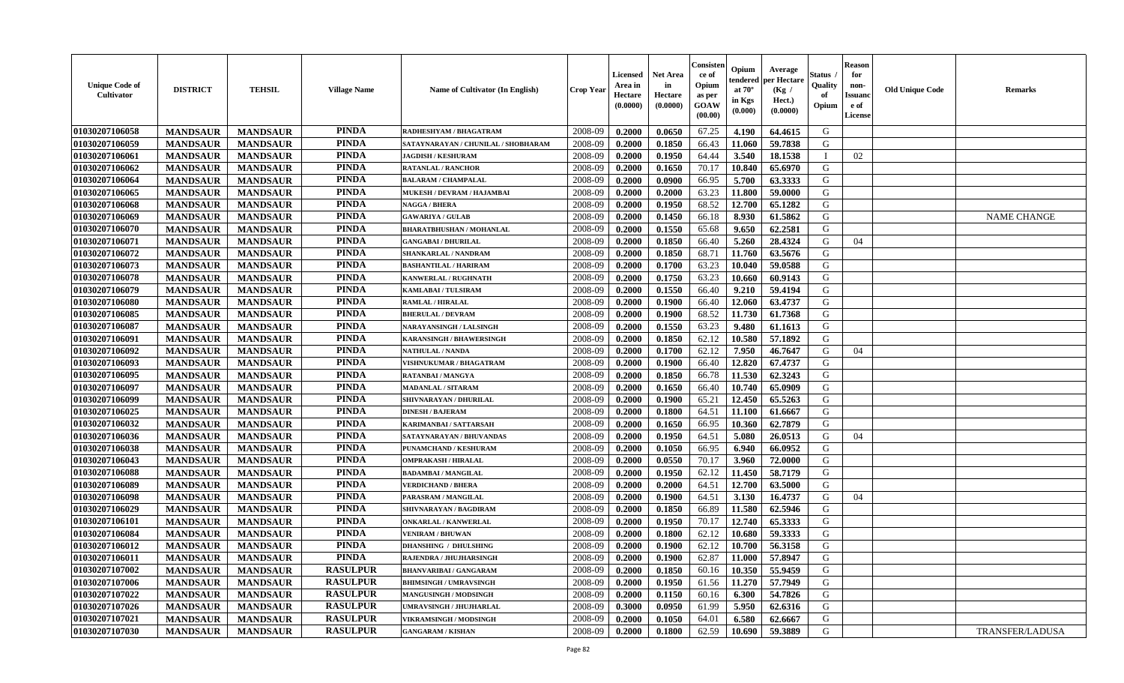| <b>Unique Code of</b><br><b>Cultivator</b> | <b>DISTRICT</b> | <b>TEHSIL</b>   | <b>Village Name</b> | Name of Cultivator (In English)     | <b>Crop Year</b> | Licensed<br>Area in<br>Hectare<br>(0.0000) | Net Area<br>in<br>Hectare<br>(0.0000) | Consisten<br>ce of<br>Opium<br>as per<br>GOAW<br>(00.00) | Opium<br>tendered<br>at $70^\circ$<br>in Kgs<br>(0.000) | Average<br>per Hectare<br>(Kg /<br>Hect.)<br>(0.0000) | Status<br><b>Quality</b><br>of<br>Opium | <b>Reason</b><br>for<br>non-<br>Issuanc<br>e of<br>License | <b>Old Unique Code</b> | <b>Remarks</b>         |
|--------------------------------------------|-----------------|-----------------|---------------------|-------------------------------------|------------------|--------------------------------------------|---------------------------------------|----------------------------------------------------------|---------------------------------------------------------|-------------------------------------------------------|-----------------------------------------|------------------------------------------------------------|------------------------|------------------------|
| 01030207106058                             | <b>MANDSAUR</b> | <b>MANDSAUR</b> | <b>PINDA</b>        | RADHESHYAM / BHAGATRAM              | 2008-09          | 0.2000                                     | 0.0650                                | 67.25                                                    | 4.190                                                   | 64.4615                                               | G                                       |                                                            |                        |                        |
| 01030207106059                             | <b>MANDSAUR</b> | <b>MANDSAUR</b> | <b>PINDA</b>        | SATAYNARAYAN / CHUNILAL / SHOBHARAM | 2008-09          | 0.2000                                     | 0.1850                                | 66.43                                                    | 11.060                                                  | 59.7838                                               | G                                       |                                                            |                        |                        |
| 01030207106061                             | <b>MANDSAUR</b> | <b>MANDSAUR</b> | <b>PINDA</b>        | <b>JAGDISH / KESHURAM</b>           | 2008-09          | 0.2000                                     | 0.1950                                | 64.44                                                    | 3.540                                                   | 18.1538                                               | $\mathbf I$                             | 02                                                         |                        |                        |
| 01030207106062                             | <b>MANDSAUR</b> | <b>MANDSAUR</b> | <b>PINDA</b>        | <b>RATANLAL / RANCHOR</b>           | 2008-09          | 0.2000                                     | 0.1650                                | 70.17                                                    | 10.840                                                  | 65.6970                                               | G                                       |                                                            |                        |                        |
| 01030207106064                             | <b>MANDSAUR</b> | <b>MANDSAUR</b> | <b>PINDA</b>        | <b>BALARAM / CHAMPALAL</b>          | 2008-09          | 0.2000                                     | 0.0900                                | 66.95                                                    | 5.700                                                   | 63.3333                                               | G                                       |                                                            |                        |                        |
| 01030207106065                             | <b>MANDSAUR</b> | <b>MANDSAUR</b> | <b>PINDA</b>        | MUKESH / DEVRAM / HAJAMBAI          | 2008-09          | 0.2000                                     | 0.2000                                | 63.23                                                    | 11.800                                                  | 59.0000                                               | G                                       |                                                            |                        |                        |
| 01030207106068                             | <b>MANDSAUR</b> | <b>MANDSAUR</b> | <b>PINDA</b>        | NAGGA / BHERA                       | 2008-09          | 0.2000                                     | 0.1950                                | 68.52                                                    | 12.700                                                  | 65.1282                                               | G                                       |                                                            |                        |                        |
| 01030207106069                             | <b>MANDSAUR</b> | <b>MANDSAUR</b> | <b>PINDA</b>        | <b>GAWARIYA / GULAB</b>             | 2008-09          | 0.2000                                     | 0.1450                                | 66.18                                                    | 8.930                                                   | 61.5862                                               | G                                       |                                                            |                        | <b>NAME CHANGE</b>     |
| 01030207106070                             | <b>MANDSAUR</b> | <b>MANDSAUR</b> | <b>PINDA</b>        | <b>BHARATBHUSHAN / MOHANLAL</b>     | 2008-09          | 0.2000                                     | 0.1550                                | 65.68                                                    | 9.650                                                   | 62.2581                                               | G                                       |                                                            |                        |                        |
| 01030207106071                             | <b>MANDSAUR</b> | <b>MANDSAUR</b> | <b>PINDA</b>        | <b>GANGABAI / DHURILAL</b>          | 2008-09          | 0.2000                                     | 0.1850                                | 66.40                                                    | 5.260                                                   | 28.4324                                               | G                                       | 04                                                         |                        |                        |
| 01030207106072                             | <b>MANDSAUR</b> | <b>MANDSAUR</b> | <b>PINDA</b>        | SHANKARLAL / NANDRAM                | 2008-09          | 0.2000                                     | 0.1850                                | 68.71                                                    | 11.760                                                  | 63.5676                                               | G                                       |                                                            |                        |                        |
| 01030207106073                             | <b>MANDSAUR</b> | <b>MANDSAUR</b> | <b>PINDA</b>        | <b>BASHANTILAL / HARIRAM</b>        | 2008-09          | 0.2000                                     | 0.1700                                | 63.23                                                    | 10.040                                                  | 59.0588                                               | G                                       |                                                            |                        |                        |
| 01030207106078                             | <b>MANDSAUR</b> | <b>MANDSAUR</b> | <b>PINDA</b>        | KANWERLAL / RUGHNATH                | 2008-09          | 0.2000                                     | 0.1750                                | 63.23                                                    | 10.660                                                  | 60.9143                                               | G                                       |                                                            |                        |                        |
| 01030207106079                             | <b>MANDSAUR</b> | <b>MANDSAUR</b> | <b>PINDA</b>        | <b>KAMLABAI/TULSIRAM</b>            | 2008-09          | 0.2000                                     | 0.1550                                | 66.40                                                    | 9.210                                                   | 59.4194                                               | G                                       |                                                            |                        |                        |
| 01030207106080                             | <b>MANDSAUR</b> | <b>MANDSAUR</b> | <b>PINDA</b>        | <b>RAMLAL / HIRALAL</b>             | 2008-09          | 0.2000                                     | 0.1900                                | 66.40                                                    | 12.060                                                  | 63.4737                                               | G                                       |                                                            |                        |                        |
| 01030207106085                             | <b>MANDSAUR</b> | <b>MANDSAUR</b> | <b>PINDA</b>        | <b>BHERULAL / DEVRAM</b>            | 2008-09          | 0.2000                                     | 0.1900                                | 68.52                                                    | 11.730                                                  | 61.7368                                               | G                                       |                                                            |                        |                        |
| 01030207106087                             | <b>MANDSAUR</b> | <b>MANDSAUR</b> | <b>PINDA</b>        | <b>NARAYANSINGH / LALSINGH</b>      | 2008-09          | 0.2000                                     | 0.1550                                | 63.23                                                    | 9.480                                                   | 61.1613                                               | G                                       |                                                            |                        |                        |
| 01030207106091                             | <b>MANDSAUR</b> | <b>MANDSAUR</b> | <b>PINDA</b>        | <b>KARANSINGH / BHAWERSINGH</b>     | 2008-09          | 0.2000                                     | 0.1850                                | 62.12                                                    | 10.580                                                  | 57.1892                                               | G                                       |                                                            |                        |                        |
| 01030207106092                             | <b>MANDSAUR</b> | <b>MANDSAUR</b> | <b>PINDA</b>        | <b>NATHULAL / NANDA</b>             | 2008-09          | 0.2000                                     | 0.1700                                | 62.12                                                    | 7.950                                                   | 46.7647                                               | G                                       | 04                                                         |                        |                        |
| 01030207106093                             | <b>MANDSAUR</b> | <b>MANDSAUR</b> | <b>PINDA</b>        | VISHNUKUMAR / BHAGATRAM             | 2008-09          | 0.2000                                     | 0.1900                                | 66.40                                                    | 12.820                                                  | 67.4737                                               | G                                       |                                                            |                        |                        |
| 01030207106095                             | <b>MANDSAUR</b> | <b>MANDSAUR</b> | <b>PINDA</b>        | <b>RATANBAI/MANGYA</b>              | 2008-09          | 0.2000                                     | 0.1850                                | 66.78                                                    | 11.530                                                  | 62.3243                                               | G                                       |                                                            |                        |                        |
| 01030207106097                             | <b>MANDSAUR</b> | <b>MANDSAUR</b> | <b>PINDA</b>        | <b>MADANLAL / SITARAM</b>           | 2008-09          | 0.2000                                     | 0.1650                                | 66.40                                                    | 10.740                                                  | 65.0909                                               | G                                       |                                                            |                        |                        |
| 01030207106099                             | <b>MANDSAUR</b> | <b>MANDSAUR</b> | <b>PINDA</b>        | SHIVNARAYAN / DHURILAL              | 2008-09          | 0.2000                                     | 0.1900                                | 65.21                                                    | 12.450                                                  | 65.5263                                               | G                                       |                                                            |                        |                        |
| 01030207106025                             | <b>MANDSAUR</b> | <b>MANDSAUR</b> | <b>PINDA</b>        | <b>DINESH / BAJERAM</b>             | 2008-09          | 0.2000                                     | 0.1800                                | 64.51                                                    | 11.100                                                  | 61.6667                                               | G                                       |                                                            |                        |                        |
| 01030207106032                             | <b>MANDSAUR</b> | <b>MANDSAUR</b> | <b>PINDA</b>        | KARIMANBAI / SATTARSAH              | 2008-09          | 0.2000                                     | 0.1650                                | 66.95                                                    | 10.360                                                  | 62.7879                                               | G                                       |                                                            |                        |                        |
| 01030207106036                             | <b>MANDSAUR</b> | <b>MANDSAUR</b> | <b>PINDA</b>        | SATAYNARAYAN / BHUVANDAS            | 2008-09          | 0.2000                                     | 0.1950                                | 64.51                                                    | 5.080                                                   | 26.0513                                               | G                                       | 04                                                         |                        |                        |
| 01030207106038                             | <b>MANDSAUR</b> | <b>MANDSAUR</b> | <b>PINDA</b>        | PUNAMCHAND / KESHURAM               | 2008-09          | 0.2000                                     | 0.1050                                | 66.95                                                    | 6.940                                                   | 66.0952                                               | G                                       |                                                            |                        |                        |
| 01030207106043                             | <b>MANDSAUR</b> | <b>MANDSAUR</b> | <b>PINDA</b>        | <b>OMPRAKASH / HIRALAL</b>          | 2008-09          | 0.2000                                     | 0.0550                                | 70.17                                                    | 3.960                                                   | 72.0000                                               | G                                       |                                                            |                        |                        |
| 01030207106088                             | <b>MANDSAUR</b> | <b>MANDSAUR</b> | <b>PINDA</b>        | <b>BADAMBAI/MANGILAL</b>            | 2008-09          | 0.2000                                     | 0.1950                                | 62.12                                                    | 11.450                                                  | 58.7179                                               | G                                       |                                                            |                        |                        |
| 01030207106089                             | <b>MANDSAUR</b> | <b>MANDSAUR</b> | <b>PINDA</b>        | <b>VERDICHAND / BHERA</b>           | 2008-09          | 0.2000                                     | 0.2000                                | 64.51                                                    | 12.700                                                  | 63.5000                                               | G                                       |                                                            |                        |                        |
| 01030207106098                             | <b>MANDSAUR</b> | <b>MANDSAUR</b> | <b>PINDA</b>        | PARASRAM / MANGILAL                 | 2008-09          | 0.2000                                     | 0.1900                                | 64.51                                                    | 3.130                                                   | 16.4737                                               | G                                       | 04                                                         |                        |                        |
| 01030207106029                             | <b>MANDSAUR</b> | <b>MANDSAUR</b> | <b>PINDA</b>        | SHIVNARAYAN / BAGDIRAM              | 2008-09          | 0.2000                                     | 0.1850                                | 66.89                                                    | 11.580                                                  | 62.5946                                               | G                                       |                                                            |                        |                        |
| 01030207106101                             | <b>MANDSAUR</b> | <b>MANDSAUR</b> | <b>PINDA</b>        | <b>ONKARLAL / KANWERLAL</b>         | 2008-09          | 0.2000                                     | 0.1950                                | 70.17                                                    | 12.740                                                  | 65.3333                                               | G                                       |                                                            |                        |                        |
| 01030207106084                             | <b>MANDSAUR</b> | <b>MANDSAUR</b> | <b>PINDA</b>        | <b>VENIRAM / BHUWAN</b>             | 2008-09          | 0.2000                                     | 0.1800                                | 62.12                                                    | 10.680                                                  | 59.3333                                               | G                                       |                                                            |                        |                        |
| 01030207106012                             | <b>MANDSAUR</b> | <b>MANDSAUR</b> | <b>PINDA</b>        | <b>DHANSHING / DHULSHING</b>        | 2008-09          | 0.2000                                     | 0.1900                                | 62.12                                                    | 10.700                                                  | 56.3158                                               | G                                       |                                                            |                        |                        |
| 01030207106011                             | <b>MANDSAUR</b> | <b>MANDSAUR</b> | <b>PINDA</b>        | RAJENDRA / JHUJHARSINGH             | 2008-09          | 0.2000                                     | 0.1900                                | 62.87                                                    | 11.000                                                  | 57.8947                                               | G                                       |                                                            |                        |                        |
| 01030207107002                             | <b>MANDSAUR</b> | <b>MANDSAUR</b> | <b>RASULPUR</b>     | <b>BHANVARIBAI/GANGARAM</b>         | 2008-09          | 0.2000                                     | 0.1850                                | 60.16                                                    | 10.350                                                  | 55.9459                                               | G                                       |                                                            |                        |                        |
| 01030207107006                             | <b>MANDSAUR</b> | <b>MANDSAUR</b> | <b>RASULPUR</b>     | <b>BHIMSINGH / UMRAVSINGH</b>       | 2008-09          | 0.2000                                     | 0.1950                                | 61.56                                                    | 11.270                                                  | 57.7949                                               | G                                       |                                                            |                        |                        |
| 01030207107022                             | <b>MANDSAUR</b> | <b>MANDSAUR</b> | <b>RASULPUR</b>     | <b>MANGUSINGH / MODSINGH</b>        | 2008-09          | 0.2000                                     | 0.1150                                | 60.16                                                    | 6.300                                                   | 54.7826                                               | G                                       |                                                            |                        |                        |
| 01030207107026                             | <b>MANDSAUR</b> | <b>MANDSAUR</b> | <b>RASULPUR</b>     | <b>UMRAVSINGH / JHUJHARLAL</b>      | 2008-09          | 0.3000                                     | 0.0950                                | 61.99                                                    | 5.950                                                   | 62.6316                                               | G                                       |                                                            |                        |                        |
| 01030207107021                             | <b>MANDSAUR</b> | <b>MANDSAUR</b> | <b>RASULPUR</b>     | VIKRAMSINGH / MODSINGH              | 2008-09          | 0.2000                                     | 0.1050                                | 64.01                                                    | 6.580                                                   | 62.6667                                               | G                                       |                                                            |                        |                        |
| 01030207107030                             | <b>MANDSAUR</b> | <b>MANDSAUR</b> | <b>RASULPUR</b>     | <b>GANGARAM / KISHAN</b>            | 2008-09          | 0.2000                                     | 0.1800                                | 62.59                                                    | 10.690                                                  | 59.3889                                               | G                                       |                                                            |                        | <b>TRANSFER/LADUSA</b> |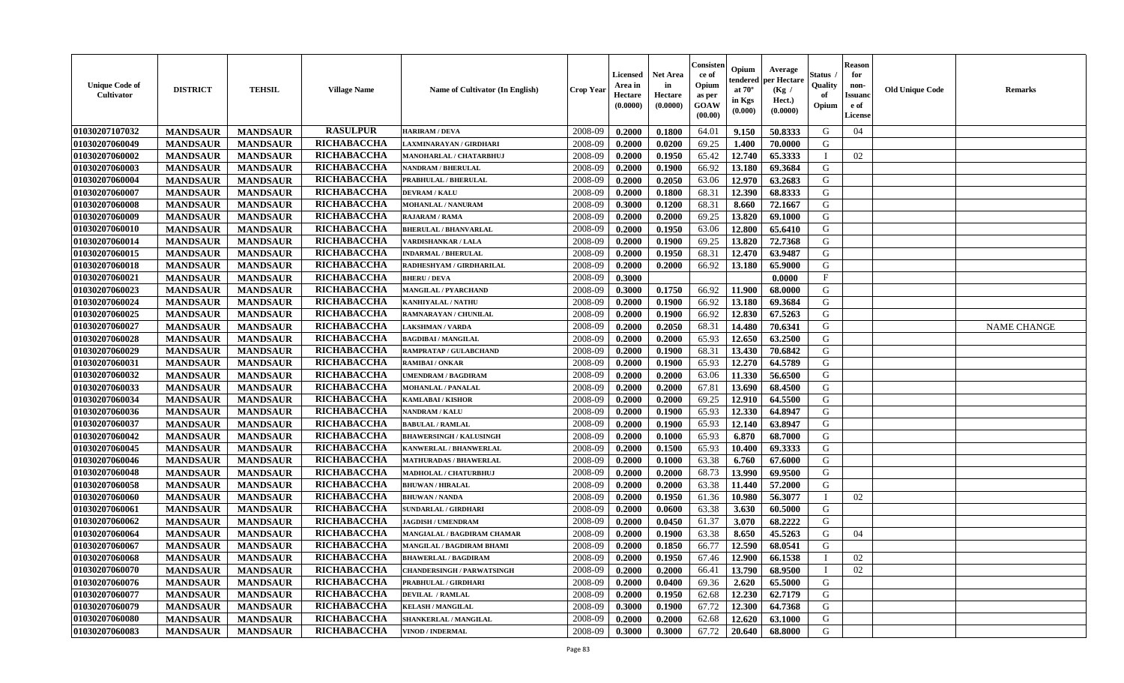| <b>Unique Code of</b><br><b>Cultivator</b> | <b>DISTRICT</b> | <b>TEHSIL</b>   | <b>Village Name</b> | Name of Cultivator (In English)   | <b>Crop Year</b> | <b>Licensed</b><br>Area in<br>Hectare<br>(0.0000) | Net Area<br>in<br>Hectare<br>(0.0000) | Consisteı<br>ce of<br>Opium<br>as per<br>GOAW<br>(00.00) | Opium<br>endered<br>at $70^\circ$<br>in Kgs<br>(0.000) | Average<br>oer Hectare<br>(Kg /<br>Hect.)<br>(0.0000) | Status<br>Quality<br>of<br>Opium | <b>Reason</b><br>for<br>non-<br>Issuano<br>e of<br>License | <b>Old Unique Code</b> | Remarks            |
|--------------------------------------------|-----------------|-----------------|---------------------|-----------------------------------|------------------|---------------------------------------------------|---------------------------------------|----------------------------------------------------------|--------------------------------------------------------|-------------------------------------------------------|----------------------------------|------------------------------------------------------------|------------------------|--------------------|
| 01030207107032                             | <b>MANDSAUR</b> | <b>MANDSAUR</b> | <b>RASULPUR</b>     | <b>HARIRAM / DEVA</b>             | 2008-09          | 0.2000                                            | 0.1800                                | 64.01                                                    | 9.150                                                  | 50.8333                                               | G                                | 04                                                         |                        |                    |
| 01030207060049                             | <b>MANDSAUR</b> | <b>MANDSAUR</b> | RICHABACCHA         | LAXMINARAYAN / GIRDHARI           | 2008-09          | 0.2000                                            | 0.0200                                | 69.25                                                    | 1.400                                                  | 70.0000                                               | G                                |                                                            |                        |                    |
| 01030207060002                             | <b>MANDSAUR</b> | <b>MANDSAUR</b> | RICHABACCHA         | <b>MANOHARLAL / CHATARBHUJ</b>    | 2008-09          | 0.2000                                            | 0.1950                                | 65.42                                                    | 12.740                                                 | 65.3333                                               | $\mathbf{I}$                     | 02                                                         |                        |                    |
| 01030207060003                             | <b>MANDSAUR</b> | <b>MANDSAUR</b> | RICHABACCHA         | NANDRAM / BHERULAL                | 2008-09          | 0.2000                                            | 0.1900                                | 66.92                                                    | 13.180                                                 | 69.3684                                               | G                                |                                                            |                        |                    |
| 01030207060004                             | <b>MANDSAUR</b> | <b>MANDSAUR</b> | RICHABACCHA         | PRABHULAL / BHERULAL              | 2008-09          | 0.2000                                            | 0.2050                                | 63.06                                                    | 12.970                                                 | 63.2683                                               | G                                |                                                            |                        |                    |
| 01030207060007                             | <b>MANDSAUR</b> | <b>MANDSAUR</b> | RICHABACCHA         | <b>DEVRAM / KALU</b>              | 2008-09          | 0.2000                                            | 0.1800                                | 68.31                                                    | 12.390                                                 | 68.8333                                               | G                                |                                                            |                        |                    |
| 01030207060008                             | <b>MANDSAUR</b> | <b>MANDSAUR</b> | RICHABACCHA         | <b>MOHANLAL / NANURAM</b>         | 2008-09          | 0.3000                                            | 0.1200                                | 68.31                                                    | 8.660                                                  | 72.1667                                               | G                                |                                                            |                        |                    |
| 01030207060009                             | <b>MANDSAUR</b> | <b>MANDSAUR</b> | RICHABACCHA         | RAJARAM / RAMA                    | 2008-09          | 0.2000                                            | 0.2000                                | 69.25                                                    | 13.820                                                 | 69.1000                                               | G                                |                                                            |                        |                    |
| 01030207060010                             | <b>MANDSAUR</b> | <b>MANDSAUR</b> | RICHABACCHA         | <b>BHERULAL / BHANVARLAL</b>      | 2008-09          | 0.2000                                            | 0.1950                                | 63.06                                                    | 12.800                                                 | 65.6410                                               | G                                |                                                            |                        |                    |
| 01030207060014                             | <b>MANDSAUR</b> | <b>MANDSAUR</b> | RICHABACCHA         | <b>VARDISHANKAR / LALA</b>        | 2008-09          | 0.2000                                            | 0.1900                                | 69.25                                                    | 13.820                                                 | 72.7368                                               | G                                |                                                            |                        |                    |
| 01030207060015                             | <b>MANDSAUR</b> | <b>MANDSAUR</b> | <b>RICHABACCHA</b>  | <b>INDARMAL / BHERULAL</b>        | 2008-09          | 0.2000                                            | 0.1950                                | 68.31                                                    | 12.470                                                 | 63.9487                                               | G                                |                                                            |                        |                    |
| 01030207060018                             | <b>MANDSAUR</b> | <b>MANDSAUR</b> | RICHABACCHA         | RADHESHYAM / GIRDHARILAL          | 2008-09          | 0.2000                                            | 0.2000                                | 66.92                                                    | 13.180                                                 | 65.9000                                               | G                                |                                                            |                        |                    |
| 01030207060021                             | <b>MANDSAUR</b> | <b>MANDSAUR</b> | RICHABACCHA         | <b>BHERU / DEVA</b>               | 2008-09          | 0.3000                                            |                                       |                                                          |                                                        | 0.0000                                                | $\mathbf{F}$                     |                                                            |                        |                    |
| 01030207060023                             | <b>MANDSAUR</b> | <b>MANDSAUR</b> | RICHABACCHA         | <b>MANGILAL / PYARCHAND</b>       | 2008-09          | 0.3000                                            | 0.1750                                | 66.92                                                    | 11.900                                                 | 68.0000                                               | G                                |                                                            |                        |                    |
| 01030207060024                             | <b>MANDSAUR</b> | <b>MANDSAUR</b> | RICHABACCHA         | KANHIYALAL / NATHU                | 2008-09          | 0.2000                                            | 0.1900                                | 66.92                                                    | 13.180                                                 | 69.3684                                               | $\mathbf G$                      |                                                            |                        |                    |
| 01030207060025                             | <b>MANDSAUR</b> | <b>MANDSAUR</b> | RICHABACCHA         | RAMNARAYAN / CHUNILAL             | 2008-09          | 0.2000                                            | 0.1900                                | 66.92                                                    | 12.830                                                 | 67.5263                                               | G                                |                                                            |                        |                    |
| 01030207060027                             | <b>MANDSAUR</b> | <b>MANDSAUR</b> | RICHABACCHA         | <b>LAKSHMAN / VARDA</b>           | 2008-09          | 0.2000                                            | 0.2050                                | 68.31                                                    | 14.480                                                 | 70.6341                                               | G                                |                                                            |                        | <b>NAME CHANGE</b> |
| 01030207060028                             | <b>MANDSAUR</b> | <b>MANDSAUR</b> | RICHABACCHA         | <b>BAGDIBAI / MANGILAL</b>        | 2008-09          | 0.2000                                            | 0.2000                                | 65.93                                                    | 12.650                                                 | 63.2500                                               | G                                |                                                            |                        |                    |
| 01030207060029                             | <b>MANDSAUR</b> | <b>MANDSAUR</b> | RICHABACCHA         | RAMPRATAP / GULABCHAND            | 2008-09          | 0.2000                                            | 0.1900                                | 68.31                                                    | 13.430                                                 | 70.6842                                               | G                                |                                                            |                        |                    |
| 01030207060031                             | <b>MANDSAUR</b> | <b>MANDSAUR</b> | <b>RICHABACCHA</b>  | <b>RAMIBAI/ONKAR</b>              | 2008-09          | 0.2000                                            | 0.1900                                | 65.93                                                    | 12.270                                                 | 64.5789                                               | G                                |                                                            |                        |                    |
| 01030207060032                             | <b>MANDSAUR</b> | <b>MANDSAUR</b> | RICHABACCHA         | <b>UMENDRAM / BAGDIRAM</b>        | 2008-09          | 0.2000                                            | 0.2000                                | 63.06                                                    | 11.330                                                 | 56.6500                                               | G                                |                                                            |                        |                    |
| 01030207060033                             | <b>MANDSAUR</b> | <b>MANDSAUR</b> | RICHABACCHA         | <b>MOHANLAL / PANALAI</b>         | 2008-09          | 0.2000                                            | 0.2000                                | 67.81                                                    | 13.690                                                 | 68.4500                                               | G                                |                                                            |                        |                    |
| 01030207060034                             | <b>MANDSAUR</b> | <b>MANDSAUR</b> | <b>RICHABACCHA</b>  | KAMLABAI / KISHOR                 | 2008-09          | 0.2000                                            | 0.2000                                | 69.25                                                    | 12.910                                                 | 64.5500                                               | G                                |                                                            |                        |                    |
| 01030207060036                             | <b>MANDSAUR</b> | <b>MANDSAUR</b> | RICHABACCHA         | NANDRAM / KALU                    | 2008-09          | 0.2000                                            | 0.1900                                | 65.93                                                    | 12.330                                                 | 64.8947                                               | G                                |                                                            |                        |                    |
| 01030207060037                             | <b>MANDSAUR</b> | <b>MANDSAUR</b> | RICHABACCHA         | <b>BABULAL / RAMLAL</b>           | 2008-09          | 0.2000                                            | 0.1900                                | 65.93                                                    | 12.140                                                 | 63.8947                                               | G                                |                                                            |                        |                    |
| 01030207060042                             | <b>MANDSAUR</b> | <b>MANDSAUR</b> | RICHABACCHA         | <b>BHAWERSINGH / KALUSINGH</b>    | 2008-09          | 0.2000                                            | 0.1000                                | 65.93                                                    | 6.870                                                  | 68.7000                                               | G                                |                                                            |                        |                    |
| 01030207060045                             | <b>MANDSAUR</b> | <b>MANDSAUR</b> | RICHABACCHA         | KANWERLAL / BHANWERLAL            | 2008-09          | 0.2000                                            | 0.1500                                | 65.93                                                    | 10.400                                                 | 69.3333                                               | G                                |                                                            |                        |                    |
| 01030207060046                             | <b>MANDSAUR</b> | <b>MANDSAUR</b> | RICHABACCHA         | <b>MATHURADAS / BHAWERLAL</b>     | 2008-09          | 0.2000                                            | 0.1000                                | 63.38                                                    | 6.760                                                  | 67.6000                                               | G                                |                                                            |                        |                    |
| 01030207060048                             | <b>MANDSAUR</b> | <b>MANDSAUR</b> | RICHABACCHA         | MADHOLAL / CHATURBHUJ             | 2008-09          | 0.2000                                            | 0.2000                                | 68.73                                                    | 13.990                                                 | 69.9500                                               | G                                |                                                            |                        |                    |
| 01030207060058                             | <b>MANDSAUR</b> | <b>MANDSAUR</b> | RICHABACCHA         | <b>BHUWAN / HIRALAL</b>           | 2008-09          | 0.2000                                            | 0.2000                                | 63.38                                                    | 11.440                                                 | 57.2000                                               | G                                |                                                            |                        |                    |
| 01030207060060                             | <b>MANDSAUR</b> | <b>MANDSAUR</b> | RICHABACCHA         | <b>BHUWAN / NANDA</b>             | 2008-09          | 0.2000                                            | 0.1950                                | 61.36                                                    | 10.980                                                 | 56.3077                                               | $\mathbf{I}$                     | 02                                                         |                        |                    |
| 01030207060061                             | <b>MANDSAUR</b> | <b>MANDSAUR</b> | RICHABACCHA         | SUNDARLAL / GIRDHARI              | 2008-09          | 0.2000                                            | 0.0600                                | 63.38                                                    | 3.630                                                  | 60.5000                                               | G                                |                                                            |                        |                    |
| 01030207060062                             | <b>MANDSAUR</b> | <b>MANDSAUR</b> | RICHABACCHA         | <b>JAGDISH / UMENDRAM</b>         | 2008-09          | 0.2000                                            | 0.0450                                | 61.37                                                    | 3.070                                                  | 68.2222                                               | G                                |                                                            |                        |                    |
| 01030207060064                             | <b>MANDSAUR</b> | <b>MANDSAUR</b> | RICHABACCHA         | MANGIALAL / BAGDIRAM CHAMAR       | 2008-09          | 0.2000                                            | 0.1900                                | 63.38                                                    | 8.650                                                  | 45.5263                                               | G                                | 04                                                         |                        |                    |
| 01030207060067                             | <b>MANDSAUR</b> | <b>MANDSAUR</b> | RICHABACCHA         | MANGILAL / BAGDIRAM BHAMI         | 2008-09          | 0.2000                                            | 0.1850                                | 66.77                                                    | 12.590                                                 | 68.0541                                               | G                                |                                                            |                        |                    |
| 01030207060068                             | <b>MANDSAUR</b> | <b>MANDSAUR</b> | <b>RICHABACCHA</b>  | <b>BHAWERLAL / BAGDIRAM</b>       | 2008-09          | 0.2000                                            | 0.1950                                | 67.46                                                    | 12.900                                                 | 66.1538                                               | T                                | 02                                                         |                        |                    |
| 01030207060070                             | <b>MANDSAUR</b> | <b>MANDSAUR</b> | RICHABACCHA         | <b>CHANDERSINGH / PARWATSINGH</b> | 2008-09          | 0.2000                                            | 0.2000                                | 66.41                                                    | 13.790                                                 | 68.9500                                               | $\mathbf{I}$                     | 02                                                         |                        |                    |
| 01030207060076                             | <b>MANDSAUR</b> | <b>MANDSAUR</b> | RICHABACCHA         | PRABHULAL / GIRDHARI              | 2008-09          | 0.2000                                            | 0.0400                                | 69.36                                                    | 2.620                                                  | 65.5000                                               | G                                |                                                            |                        |                    |
| 01030207060077                             | <b>MANDSAUR</b> | <b>MANDSAUR</b> | RICHABACCHA         | <b>DEVILAL / RAMLAL</b>           | 2008-09          | 0.2000                                            | 0.1950                                | 62.68                                                    | 12.230                                                 | 62.7179                                               | G                                |                                                            |                        |                    |
| 01030207060079                             | <b>MANDSAUR</b> | <b>MANDSAUR</b> | RICHABACCHA         | <b>KELASH / MANGILAL</b>          | 2008-09          | 0.3000                                            | 0.1900                                | 67.72                                                    | 12.300                                                 | 64.7368                                               | ${\bf G}$                        |                                                            |                        |                    |
| 01030207060080                             | <b>MANDSAUR</b> | <b>MANDSAUR</b> | RICHABACCHA         | SHANKERLAL / MANGILAL             | 2008-09          | 0.2000                                            | 0.2000                                | 62.68                                                    | 12.620                                                 | 63.1000                                               | G                                |                                                            |                        |                    |
| 01030207060083                             | <b>MANDSAUR</b> | <b>MANDSAUR</b> | <b>RICHABACCHA</b>  | VINOD / INDERMAL                  | 2008-09          | 0.3000                                            | 0.3000                                | 67.72                                                    | 20.640                                                 | 68.8000                                               | G                                |                                                            |                        |                    |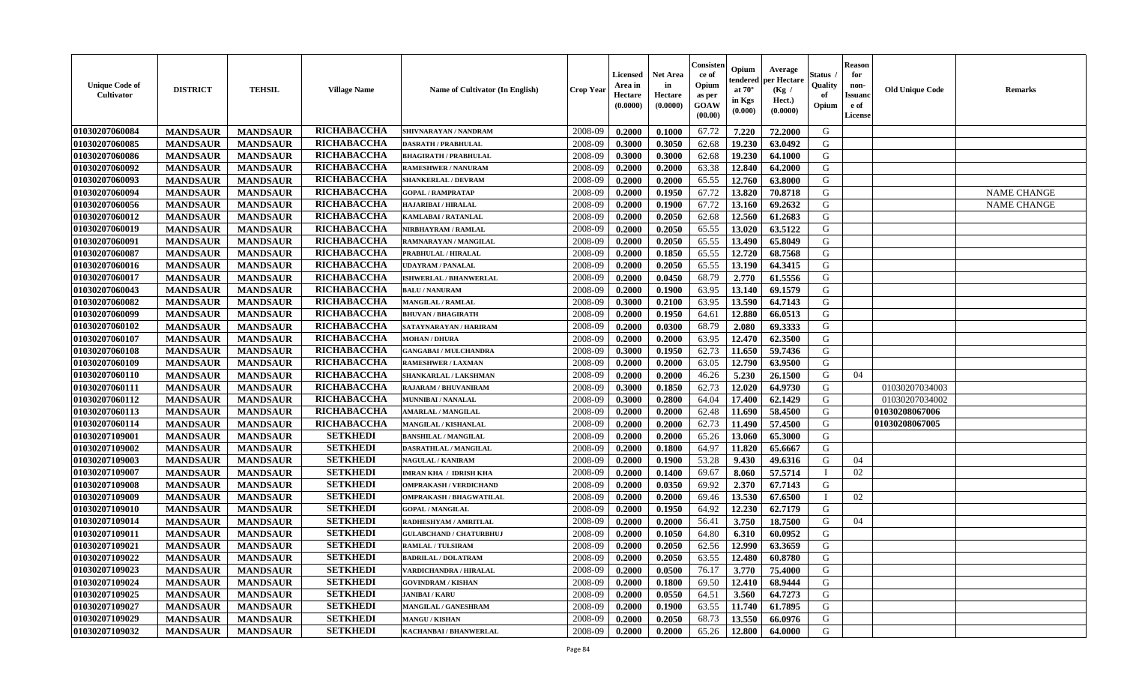| <b>Unique Code of</b><br>Cultivator | <b>DISTRICT</b> | <b>TEHSIL</b>   | <b>Village Name</b> | <b>Name of Cultivator (In English)</b> | <b>Crop Year</b> | <b>Licensed</b><br>Area in<br>Hectare<br>(0.0000) | <b>Net Area</b><br>in<br>Hectare<br>(0.0000) | Consisteı<br>ce of<br>Opium<br>as per<br>GOAW<br>(00.00) | Opium<br>endered<br>at $70^{\circ}$<br>in Kgs<br>(0.000) | Average<br>er Hectare<br>(Kg /<br>Hect.)<br>(0.0000) | Status<br>Quality<br>of<br>Opium | <b>Reason</b><br>for<br>non-<br><b>Issuand</b><br>e of<br>License | <b>Old Unique Code</b> | Remarks            |
|-------------------------------------|-----------------|-----------------|---------------------|----------------------------------------|------------------|---------------------------------------------------|----------------------------------------------|----------------------------------------------------------|----------------------------------------------------------|------------------------------------------------------|----------------------------------|-------------------------------------------------------------------|------------------------|--------------------|
| 01030207060084                      | <b>MANDSAUR</b> | <b>MANDSAUR</b> | RICHABACCHA         | SHIVNARAYAN / NANDRAM                  | 2008-09          | 0.2000                                            | 0.1000                                       | 67.72                                                    | 7.220                                                    | 72.2000                                              | G                                |                                                                   |                        |                    |
| 01030207060085                      | <b>MANDSAUR</b> | <b>MANDSAUR</b> | RICHABACCHA         | <b>DASRATH / PRABHULAL</b>             | 2008-09          | 0.3000                                            | 0.3050                                       | 62.68                                                    | 19.230                                                   | 63.0492                                              | G                                |                                                                   |                        |                    |
| 01030207060086                      | <b>MANDSAUR</b> | <b>MANDSAUR</b> | RICHABACCHA         | <b>BHAGIRATH / PRABHULAL</b>           | 2008-09          | 0.3000                                            | 0.3000                                       | 62.68                                                    | 19.230                                                   | 64.1000                                              | G                                |                                                                   |                        |                    |
| 01030207060092                      | <b>MANDSAUR</b> | <b>MANDSAUR</b> | RICHABACCHA         | <b>RAMESHWER / NANURAM</b>             | 2008-09          | 0.2000                                            | 0.2000                                       | 63.38                                                    | 12.840                                                   | 64.2000                                              | G                                |                                                                   |                        |                    |
| 01030207060093                      | <b>MANDSAUR</b> | <b>MANDSAUR</b> | <b>RICHABACCHA</b>  | <b>SHANKERLAL / DEVRAM</b>             | 2008-09          | 0.2000                                            | 0.2000                                       | 65.55                                                    | 12.760                                                   | 63.8000                                              | G                                |                                                                   |                        |                    |
| 01030207060094                      | <b>MANDSAUR</b> | <b>MANDSAUR</b> | RICHABACCHA         | <b>GOPAL / RAMPRATAP</b>               | 2008-09          | 0.2000                                            | 0.1950                                       | 67.72                                                    | 13.820                                                   | 70.8718                                              | G                                |                                                                   |                        | <b>NAME CHANGE</b> |
| 01030207060056                      | <b>MANDSAUR</b> | <b>MANDSAUR</b> | RICHABACCHA         | HAJARIBAI / HIRALAL                    | 2008-09          | 0.2000                                            | 0.1900                                       | 67.72                                                    | 13.160                                                   | 69.2632                                              | G                                |                                                                   |                        | <b>NAME CHANGE</b> |
| 01030207060012                      | <b>MANDSAUR</b> | <b>MANDSAUR</b> | RICHABACCHA         | <b>KAMLABAI/RATANLAL</b>               | 2008-09          | 0.2000                                            | 0.2050                                       | 62.68                                                    | 12.560                                                   | 61.2683                                              | G                                |                                                                   |                        |                    |
| 01030207060019                      | <b>MANDSAUR</b> | <b>MANDSAUR</b> | RICHABACCHA         | NIRBHAYRAM / RAMLAL                    | 2008-09          | 0.2000                                            | 0.2050                                       | 65.55                                                    | 13.020                                                   | 63.5122                                              | G                                |                                                                   |                        |                    |
| 01030207060091                      | <b>MANDSAUR</b> | <b>MANDSAUR</b> | RICHABACCHA         | RAMNARAYAN / MANGILAL                  | 2008-09          | 0.2000                                            | 0.2050                                       | 65.55                                                    | 13.490                                                   | 65.8049                                              | G                                |                                                                   |                        |                    |
| 01030207060087                      | <b>MANDSAUR</b> | <b>MANDSAUR</b> | RICHABACCHA         | PRABHULAL / HIRALAL                    | 2008-09          | 0.2000                                            | 0.1850                                       | 65.55                                                    | 12.720                                                   | 68.7568                                              | G                                |                                                                   |                        |                    |
| 01030207060016                      | <b>MANDSAUR</b> | <b>MANDSAUR</b> | RICHABACCHA         | <b>UDAYRAM / PANALAL</b>               | 2008-09          | 0.2000                                            | 0.2050                                       | 65.55                                                    | 13.190                                                   | 64.3415                                              | G                                |                                                                   |                        |                    |
| 01030207060017                      | <b>MANDSAUR</b> | <b>MANDSAUR</b> | RICHABACCHA         | ISHWERLAL / BHANWERLAL                 | 2008-09          | 0.2000                                            | 0.0450                                       | 68.79                                                    | 2.770                                                    | 61.5556                                              | G                                |                                                                   |                        |                    |
| 01030207060043                      | <b>MANDSAUR</b> | <b>MANDSAUR</b> | RICHABACCHA         | <b>BALU / NANURAM</b>                  | 2008-09          | 0.2000                                            | 0.1900                                       | 63.95                                                    | 13.140                                                   | 69.1579                                              | G                                |                                                                   |                        |                    |
| 01030207060082                      | <b>MANDSAUR</b> | <b>MANDSAUR</b> | <b>RICHABACCHA</b>  | <b>MANGILAL / RAMLAL</b>               | 2008-09          | 0.3000                                            | 0.2100                                       | 63.95                                                    | 13.590                                                   | 64.7143                                              | $\mathbf G$                      |                                                                   |                        |                    |
| 01030207060099                      | <b>MANDSAUR</b> | <b>MANDSAUR</b> | RICHABACCHA         | <b>BHUVAN / BHAGIRATH</b>              | 2008-09          | 0.2000                                            | 0.1950                                       | 64.61                                                    | 12.880                                                   | 66.0513                                              | G                                |                                                                   |                        |                    |
| 01030207060102                      | <b>MANDSAUR</b> | <b>MANDSAUR</b> | RICHABACCHA         | SATAYNARAYAN / HARIRAM                 | 2008-09          | 0.2000                                            | 0.0300                                       | 68.79                                                    | 2.080                                                    | 69.3333                                              | G                                |                                                                   |                        |                    |
| 01030207060107                      | <b>MANDSAUR</b> | <b>MANDSAUR</b> | RICHABACCHA         | <b>MOHAN/DHURA</b>                     | 2008-09          | 0.2000                                            | 0.2000                                       | 63.95                                                    | 12.470                                                   | 62.3500                                              | G                                |                                                                   |                        |                    |
| 01030207060108                      | <b>MANDSAUR</b> | <b>MANDSAUR</b> | RICHABACCHA         | <b>GANGABAI / MULCHANDRA</b>           | 2008-09          | 0.3000                                            | 0.1950                                       | 62.73                                                    | 11.650                                                   | 59.7436                                              | G                                |                                                                   |                        |                    |
| 01030207060109                      | <b>MANDSAUR</b> | <b>MANDSAUR</b> | RICHABACCHA         | <b>RAMESHWER / LAXMAN</b>              | 2008-09          | 0.2000                                            | 0.2000                                       | 63.05                                                    | 12.790                                                   | 63.9500                                              | G                                |                                                                   |                        |                    |
| 01030207060110                      | <b>MANDSAUR</b> | <b>MANDSAUR</b> | RICHABACCHA         | SHANKARLAL / LAKSHMAN                  | 2008-09          | 0.2000                                            | 0.2000                                       | 46.26                                                    | 5.230                                                    | 26.1500                                              | G                                | 04                                                                |                        |                    |
| 01030207060111                      | <b>MANDSAUR</b> | <b>MANDSAUR</b> | RICHABACCHA         | <b>RAJARAM / BHUVANIRAM</b>            | 2008-09          | 0.3000                                            | 0.1850                                       | 62.73                                                    | 12.020                                                   | 64.9730                                              | G                                |                                                                   | 01030207034003         |                    |
| 01030207060112                      | <b>MANDSAUR</b> | <b>MANDSAUR</b> | RICHABACCHA         | <b>MUNNIBAI/NANALAL</b>                | 2008-09          | 0.3000                                            | 0.2800                                       | 64.04                                                    | 17.400                                                   | 62.1429                                              | G                                |                                                                   | 01030207034002         |                    |
| 01030207060113                      | <b>MANDSAUR</b> | <b>MANDSAUR</b> | RICHABACCHA         | <b>MARLAL / MANGILAL</b>               | 2008-09          | 0.2000                                            | 0.2000                                       | 62.48                                                    | 11.690                                                   | 58.4500                                              | G                                |                                                                   | 01030208067006         |                    |
| 01030207060114                      | <b>MANDSAUR</b> | <b>MANDSAUR</b> | <b>RICHABACCHA</b>  | MANGILAL / KISHANLAL                   | 2008-09          | 0.2000                                            | 0.2000                                       | 62.73                                                    | 11.490                                                   | 57.4500                                              | G                                |                                                                   | 01030208067005         |                    |
| 01030207109001                      | <b>MANDSAUR</b> | <b>MANDSAUR</b> | <b>SETKHEDI</b>     | <b>BANSHILAL / MANGILAL</b>            | 2008-09          | 0.2000                                            | 0.2000                                       | 65.26                                                    | 13.060                                                   | 65.3000                                              | G                                |                                                                   |                        |                    |
| 01030207109002                      | <b>MANDSAUR</b> | <b>MANDSAUR</b> | <b>SETKHEDI</b>     | DASRATHLAL / MANGILAL                  | 2008-09          | 0.2000                                            | 0.1800                                       | 64.97                                                    | 11.820                                                   | 65.6667                                              | ${\bf G}$                        |                                                                   |                        |                    |
| 01030207109003                      | <b>MANDSAUR</b> | <b>MANDSAUR</b> | <b>SETKHEDI</b>     | <b>NAGULAL / KANIRAM</b>               | 2008-09          | 0.2000                                            | 0.1900                                       | 53.28                                                    | 9.430                                                    | 49.6316                                              | G                                | 04                                                                |                        |                    |
| 01030207109007                      | <b>MANDSAUR</b> | <b>MANDSAUR</b> | <b>SETKHEDI</b>     | <b>IMRAN KHA / IDRISH KHA</b>          | 2008-09          | 0.2000                                            | 0.1400                                       | 69.67                                                    | 8.060                                                    | 57.5714                                              | $\mathbf{I}$                     | 02                                                                |                        |                    |
| 01030207109008                      | <b>MANDSAUR</b> | <b>MANDSAUR</b> | <b>SETKHEDI</b>     | <b>OMPRAKASH / VERDICHAND</b>          | 2008-09          | 0.2000                                            | 0.0350                                       | 69.92                                                    | 2.370                                                    | 67.7143                                              | G                                |                                                                   |                        |                    |
| 01030207109009                      | <b>MANDSAUR</b> | <b>MANDSAUR</b> | <b>SETKHEDI</b>     | <b>OMPRAKASH / BHAGWATILAL</b>         | 2008-09          | 0.2000                                            | 0.2000                                       | 69.46                                                    | 13.530                                                   | 67.6500                                              | $\mathbf{I}$                     | 02                                                                |                        |                    |
| 01030207109010                      | <b>MANDSAUR</b> | <b>MANDSAUR</b> | <b>SETKHEDI</b>     | <b>GOPAL / MANGILAL</b>                | 2008-09          | 0.2000                                            | 0.1950                                       | 64.92                                                    | 12.230                                                   | 62.7179                                              | G                                |                                                                   |                        |                    |
| 01030207109014                      | <b>MANDSAUR</b> | <b>MANDSAUR</b> | <b>SETKHEDI</b>     | RADHESHYAM / AMRITLAL                  | 2008-09          | 0.2000                                            | 0.2000                                       | 56.41                                                    | 3.750                                                    | 18.7500                                              | G                                | 04                                                                |                        |                    |
| 01030207109011                      | <b>MANDSAUR</b> |                 | <b>SETKHEDI</b>     | <b>GULABCHAND / CHATURBHUJ</b>         | 2008-09          | 0.2000                                            | 0.1050                                       | 64.80                                                    | 6.310                                                    | 60.0952                                              | G                                |                                                                   |                        |                    |
|                                     |                 | <b>MANDSAUR</b> | <b>SETKHEDI</b>     |                                        |                  |                                                   |                                              |                                                          |                                                          |                                                      | G                                |                                                                   |                        |                    |
| 01030207109021                      | <b>MANDSAUR</b> | <b>MANDSAUR</b> | <b>SETKHEDI</b>     | RAMLAL / TULSIRAM                      | 2008-09          | 0.2000                                            | 0.2050                                       | 62.56                                                    | 12.990                                                   | 63.3659                                              |                                  |                                                                   |                        |                    |
| 01030207109022                      | <b>MANDSAUR</b> | <b>MANDSAUR</b> | <b>SETKHEDI</b>     | <b>BADRILAL / DOLATRAM</b>             | 2008-09          | 0.2000                                            | 0.2050                                       | 63.55                                                    | 12.480                                                   | 60.8780                                              | G                                |                                                                   |                        |                    |
| 01030207109023                      | <b>MANDSAUR</b> | <b>MANDSAUR</b> |                     | VARDICHANDRA / HIRALAL                 | 2008-09          | 0.2000                                            | 0.0500                                       | 76.17                                                    | 3.770                                                    | 75.4000                                              | G                                |                                                                   |                        |                    |
| 01030207109024                      | <b>MANDSAUR</b> | <b>MANDSAUR</b> | <b>SETKHEDI</b>     | <b>GOVINDRAM / KISHAN</b>              | 2008-09          | 0.2000                                            | 0.1800                                       | 69.50                                                    | 12.410                                                   | 68.9444                                              | G                                |                                                                   |                        |                    |
| 01030207109025                      | <b>MANDSAUR</b> | <b>MANDSAUR</b> | <b>SETKHEDI</b>     | <b>JANIBAI / KARU</b>                  | 2008-09          | 0.2000                                            | 0.0550                                       | 64.51                                                    | 3.560                                                    | 64.7273                                              | G                                |                                                                   |                        |                    |
| 01030207109027                      | <b>MANDSAUR</b> | <b>MANDSAUR</b> | <b>SETKHEDI</b>     | <b>MANGILAL / GANESHRAM</b>            | 2008-09          | 0.2000                                            | 0.1900                                       | 63.55                                                    | 11.740                                                   | 61.7895                                              | ${\bf G}$                        |                                                                   |                        |                    |
| 01030207109029                      | <b>MANDSAUR</b> | <b>MANDSAUR</b> | <b>SETKHEDI</b>     | <b>MANGU / KISHAN</b>                  | 2008-09          | 0.2000                                            | 0.2050                                       | 68.73                                                    | 13.550                                                   | 66.0976                                              | G                                |                                                                   |                        |                    |
| 01030207109032                      | <b>MANDSAUR</b> | <b>MANDSAUR</b> | <b>SETKHEDI</b>     | KACHANBAI / BHANWERLAL                 | 2008-09          | 0.2000                                            | 0.2000                                       | 65.26                                                    | 12.800                                                   | 64.0000                                              | G                                |                                                                   |                        |                    |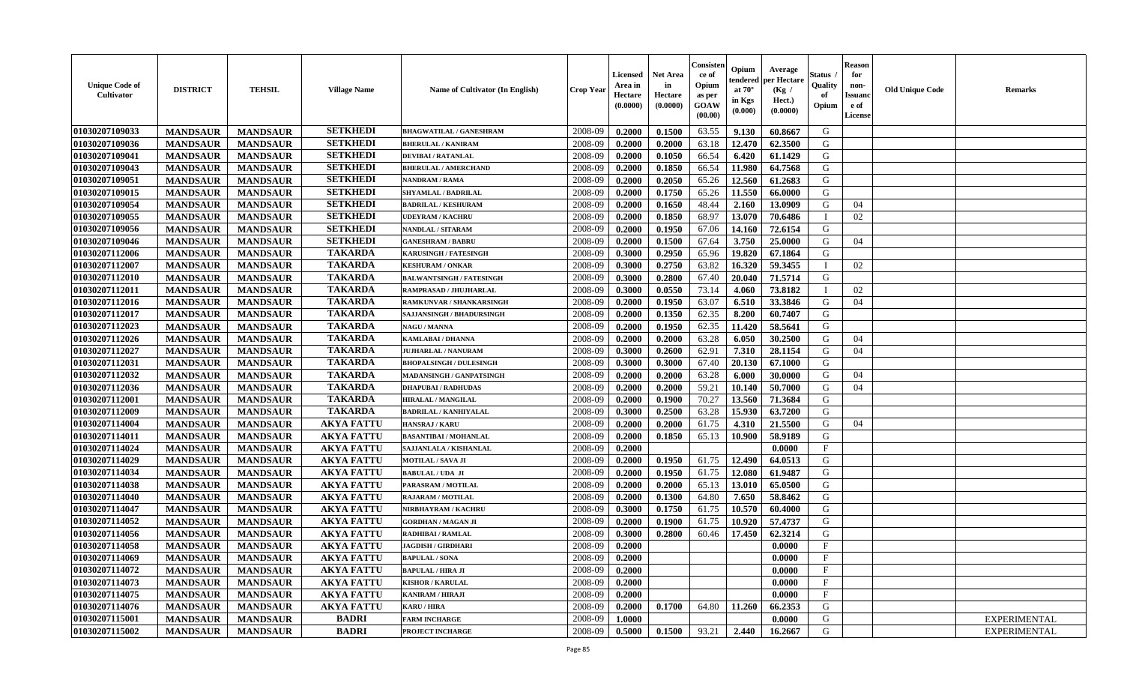| <b>Unique Code of</b><br><b>Cultivator</b> | <b>DISTRICT</b> | <b>TEHSIL</b>   | <b>Village Name</b> | Name of Cultivator (In English)  | <b>Crop Year</b> | <b>Licensed</b><br>Area in<br>Hectare<br>(0.0000) | <b>Net Area</b><br>in<br>Hectare<br>(0.0000) | Consister<br>ce of<br>Opium<br>as per<br><b>GOAW</b><br>(00.00) | Opium<br>endered<br>at $70^\circ$<br>in Kgs<br>$(\mathbf{0.000})$ | Average<br>per Hectare<br>(Kg /<br>Hect.)<br>(0.0000) | Status<br>Quality<br>of<br>Opium | Reason<br>for<br>non-<br>Issuan<br>e of<br>License | <b>Old Unique Code</b> | <b>Remarks</b>      |
|--------------------------------------------|-----------------|-----------------|---------------------|----------------------------------|------------------|---------------------------------------------------|----------------------------------------------|-----------------------------------------------------------------|-------------------------------------------------------------------|-------------------------------------------------------|----------------------------------|----------------------------------------------------|------------------------|---------------------|
| 01030207109033                             | <b>MANDSAUR</b> | <b>MANDSAUR</b> | <b>SETKHEDI</b>     | <b>BHAGWATILAL / GANESHRAM</b>   | 2008-09          | 0.2000                                            | 0.1500                                       | 63.55                                                           | 9.130                                                             | 60.8667                                               | G                                |                                                    |                        |                     |
| 01030207109036                             | <b>MANDSAUR</b> | <b>MANDSAUR</b> | <b>SETKHEDI</b>     | <b>BHERULAL / KANIRAM</b>        | 2008-09          | 0.2000                                            | 0.2000                                       | 63.18                                                           | 12.470                                                            | 62.3500                                               | G                                |                                                    |                        |                     |
| 01030207109041                             | <b>MANDSAUR</b> | <b>MANDSAUR</b> | <b>SETKHEDI</b>     | <b>DEVIBAI/RATANLAL</b>          | 2008-09          | 0.2000                                            | 0.1050                                       | 66.54                                                           | 6.420                                                             | 61.1429                                               | G                                |                                                    |                        |                     |
| 01030207109043                             | <b>MANDSAUR</b> | <b>MANDSAUR</b> | <b>SETKHEDI</b>     | <b>BHERULAL / AMERCHAND</b>      | 2008-09          | 0.2000                                            | 0.1850                                       | 66.54                                                           | 11.980                                                            | 64.7568                                               | G                                |                                                    |                        |                     |
| 01030207109051                             | <b>MANDSAUR</b> | <b>MANDSAUR</b> | <b>SETKHEDI</b>     | <b>NANDRAM / RAMA</b>            | 2008-09          | 0.2000                                            | 0.2050                                       | 65.26                                                           | 12.560                                                            | 61.2683                                               | G                                |                                                    |                        |                     |
| 01030207109015                             | <b>MANDSAUR</b> | <b>MANDSAUR</b> | <b>SETKHEDI</b>     | <b>SHYAMLAL / BADRILAL</b>       | 2008-09          | 0.2000                                            | 0.1750                                       | 65.26                                                           | 11.550                                                            | 66.0000                                               | G                                |                                                    |                        |                     |
| 01030207109054                             | <b>MANDSAUR</b> | <b>MANDSAUR</b> | <b>SETKHEDI</b>     | <b>BADRILAL / KESHURAM</b>       | 2008-09          | 0.2000                                            | 0.1650                                       | 48.44                                                           | 2.160                                                             | 13.0909                                               | G                                | 04                                                 |                        |                     |
| 01030207109055                             | <b>MANDSAUR</b> | <b>MANDSAUR</b> | <b>SETKHEDI</b>     | <b>UDEYRAM / KACHRU</b>          | 2008-09          | 0.2000                                            | 0.1850                                       | 68.97                                                           | 13.070                                                            | 70.6486                                               |                                  | 02                                                 |                        |                     |
| 01030207109056                             | <b>MANDSAUR</b> | <b>MANDSAUR</b> | <b>SETKHEDI</b>     | NANDLAL / SITARAM                | 2008-09          | 0.2000                                            | 0.1950                                       | 67.06                                                           | 14.160                                                            | 72.6154                                               | G                                |                                                    |                        |                     |
| 01030207109046                             | <b>MANDSAUR</b> | <b>MANDSAUR</b> | <b>SETKHEDI</b>     | <b>GANESHRAM / BABRU</b>         | 2008-09          | 0.2000                                            | 0.1500                                       | 67.64                                                           | 3.750                                                             | 25.0000                                               | G                                | 04                                                 |                        |                     |
| 01030207112006                             | <b>MANDSAUR</b> | <b>MANDSAUR</b> | <b>TAKARDA</b>      | <b>KARUSINGH / FATESINGH</b>     | 2008-09          | 0.3000                                            | 0.2950                                       | 65.96                                                           | 19.820                                                            | 67.1864                                               | G                                |                                                    |                        |                     |
| 01030207112007                             | <b>MANDSAUR</b> | <b>MANDSAUR</b> | <b>TAKARDA</b>      | <b>KESHURAM / ONKAR</b>          | 2008-09          | 0.3000                                            | 0.2750                                       | 63.82                                                           | 16.320                                                            | 59.3455                                               | $\mathbf I$                      | 02                                                 |                        |                     |
| 01030207112010                             | <b>MANDSAUR</b> | <b>MANDSAUR</b> | <b>TAKARDA</b>      | <b>BALWANTSINGH / FATESINGH</b>  | 2008-09          | 0.3000                                            | 0.2800                                       | 67.40                                                           | 20.040                                                            | 71.5714                                               | G                                |                                                    |                        |                     |
| 01030207112011                             | <b>MANDSAUR</b> | <b>MANDSAUR</b> | <b>TAKARDA</b>      | RAMPRASAD / JHUJHARLAL           | 2008-09          | 0.3000                                            | 0.0550                                       | 73.14                                                           | 4.060                                                             | 73.8182                                               |                                  | 02                                                 |                        |                     |
| 01030207112016                             | <b>MANDSAUR</b> | <b>MANDSAUR</b> | <b>TAKARDA</b>      | RAMKUNVAR / SHANKARSINGH         | 2008-09          | 0.2000                                            | 0.1950                                       | 63.07                                                           | 6.510                                                             | 33.3846                                               | G                                | 04                                                 |                        |                     |
| 01030207112017                             | <b>MANDSAUR</b> | <b>MANDSAUR</b> | <b>TAKARDA</b>      | <b>SAJJANSINGH / BHADURSINGH</b> | 2008-09          | 0.2000                                            | 0.1350                                       | 62.35                                                           | 8.200                                                             | 60.7407                                               | G                                |                                                    |                        |                     |
| 01030207112023                             | <b>MANDSAUR</b> | <b>MANDSAUR</b> | <b>TAKARDA</b>      | <b>NAGU / MANNA</b>              | 2008-09          | 0.2000                                            | 0.1950                                       | 62.35                                                           | 11.420                                                            | 58.5641                                               | G                                |                                                    |                        |                     |
| 01030207112026                             | <b>MANDSAUR</b> | <b>MANDSAUR</b> | <b>TAKARDA</b>      | <b>KAMLABAI/DHANNA</b>           | 2008-09          | 0.2000                                            | 0.2000                                       | 63.28                                                           | 6.050                                                             | 30.2500                                               | G                                | 04                                                 |                        |                     |
| 01030207112027                             | <b>MANDSAUR</b> | <b>MANDSAUR</b> | <b>TAKARDA</b>      | <b>JUJHARLAL / NANURAM</b>       | 2008-09          | 0.3000                                            | 0.2600                                       | 62.91                                                           | 7.310                                                             | 28.1154                                               | G                                | 04                                                 |                        |                     |
| 01030207112031                             | <b>MANDSAUR</b> | <b>MANDSAUR</b> | <b>TAKARDA</b>      | <b>BHOPALSINGH / DULESINGH</b>   | 2008-09          | 0.3000                                            | 0.3000                                       | 67.40                                                           | 20.130                                                            | 67.1000                                               | G                                |                                                    |                        |                     |
| 01030207112032                             | <b>MANDSAUR</b> | <b>MANDSAUR</b> | <b>TAKARDA</b>      | MADANSINGH / GANPATSINGH         | 2008-09          | 0.2000                                            | 0.2000                                       | 63.28                                                           | 6.000                                                             | 30.0000                                               | G                                | 04                                                 |                        |                     |
| 01030207112036                             | <b>MANDSAUR</b> | <b>MANDSAUR</b> | <b>TAKARDA</b>      | <b>DHAPUBAI/RADHUDAS</b>         | 2008-09          | 0.2000                                            | 0.2000                                       | 59.21                                                           | 10.140                                                            | 50.7000                                               | G                                | 04                                                 |                        |                     |
| 01030207112001                             | <b>MANDSAUR</b> | <b>MANDSAUR</b> | <b>TAKARDA</b>      | <b>HIRALAL / MANGILAL</b>        | 2008-09          | 0.2000                                            | 0.1900                                       | 70.27                                                           | 13.560                                                            | 71.3684                                               | G                                |                                                    |                        |                     |
| 01030207112009                             | <b>MANDSAUR</b> | <b>MANDSAUR</b> | <b>TAKARDA</b>      | <b>BADRILAL / KANHIYALAL</b>     | 2008-09          | 0.3000                                            | 0.2500                                       | 63.28                                                           | 15.930                                                            | 63.7200                                               | G                                |                                                    |                        |                     |
| 01030207114004                             | <b>MANDSAUR</b> | <b>MANDSAUR</b> | <b>AKYA FATTU</b>   | <b>HANSRAJ / KARU</b>            | 2008-09          | 0.2000                                            | 0.2000                                       | 61.75                                                           | 4.310                                                             | 21.5500                                               | G                                | 04                                                 |                        |                     |
| 01030207114011                             | <b>MANDSAUR</b> | <b>MANDSAUR</b> | <b>AKYA FATTU</b>   | <b>BASANTIBAI / MOHANLAL</b>     | 2008-09          | 0.2000                                            | 0.1850                                       | 65.13                                                           | 10.900                                                            | 58.9189                                               | G                                |                                                    |                        |                     |
| 01030207114024                             | <b>MANDSAUR</b> | <b>MANDSAUR</b> | <b>AKYA FATTU</b>   | SAJJANLALA / KISHANLAL           | 2008-09          | 0.2000                                            |                                              |                                                                 |                                                                   | 0.0000                                                | $_{\rm F}$                       |                                                    |                        |                     |
| 01030207114029                             | <b>MANDSAUR</b> | <b>MANDSAUR</b> | <b>AKYA FATTU</b>   | <b>MOTILAL / SAVA JI</b>         | 2008-09          | 0.2000                                            | 0.1950                                       | 61.75                                                           | 12.490                                                            | 64.0513                                               | G                                |                                                    |                        |                     |
| 01030207114034                             | <b>MANDSAUR</b> | <b>MANDSAUR</b> | <b>AKYA FATTU</b>   | <b>BABULAL / UDA JI</b>          | 2008-09          | 0.2000                                            | 0.1950                                       | 61.75                                                           | 12.080                                                            | 61.9487                                               | G                                |                                                    |                        |                     |
| 01030207114038                             | <b>MANDSAUR</b> | <b>MANDSAUR</b> | <b>AKYA FATTU</b>   | PARASRAM / MOTILAL               | 2008-09          | 0.2000                                            | 0.2000                                       | 65.13                                                           | 13.010                                                            | 65.0500                                               | G                                |                                                    |                        |                     |
| 01030207114040                             | <b>MANDSAUR</b> | <b>MANDSAUR</b> | <b>AKYA FATTU</b>   | <b>RAJARAM / MOTILAL</b>         | 2008-09          | 0.2000                                            | 0.1300                                       | 64.80                                                           | 7.650                                                             | 58.8462                                               | G                                |                                                    |                        |                     |
| 01030207114047                             | <b>MANDSAUR</b> | <b>MANDSAUR</b> | <b>AKYA FATTU</b>   | NIRBHAYRAM / KACHRU              | 2008-09          | 0.3000                                            | 0.1750                                       | 61.75                                                           | 10.570                                                            | 60.4000                                               | G                                |                                                    |                        |                     |
| 01030207114052                             | <b>MANDSAUR</b> | <b>MANDSAUR</b> | <b>AKYA FATTU</b>   | <b>GORDHAN / MAGAN JI</b>        | 2008-09          | 0.2000                                            | 0.1900                                       | 61.75                                                           | 10.920                                                            | 57.4737                                               | G                                |                                                    |                        |                     |
| 01030207114056                             | <b>MANDSAUR</b> | <b>MANDSAUR</b> | <b>AKYA FATTU</b>   | RADHIBAI / RAMLAL                | 2008-09          | 0.3000                                            | 0.2800                                       | 60.46                                                           | 17.450                                                            | 62.3214                                               | G                                |                                                    |                        |                     |
| 01030207114058                             | <b>MANDSAUR</b> | <b>MANDSAUR</b> | <b>AKYA FATTU</b>   | <b>JAGDISH / GIRDHARI</b>        | 2008-09          | 0.2000                                            |                                              |                                                                 |                                                                   | 0.0000                                                | $\mathbf{F}$                     |                                                    |                        |                     |
| 01030207114069                             | <b>MANDSAUR</b> | <b>MANDSAUR</b> | <b>AKYA FATTU</b>   | <b>BAPULAL / SONA</b>            | 2008-09          | 0.2000                                            |                                              |                                                                 |                                                                   | 0.0000                                                | F                                |                                                    |                        |                     |
| 01030207114072                             | <b>MANDSAUR</b> | <b>MANDSAUR</b> | <b>AKYA FATTU</b>   | <b>BAPULAL / HIRA JI</b>         | 2008-09          | 0.2000                                            |                                              |                                                                 |                                                                   | 0.0000                                                | $\mathbf{F}$                     |                                                    |                        |                     |
| 01030207114073                             | <b>MANDSAUR</b> | <b>MANDSAUR</b> | <b>AKYA FATTU</b>   | <b>KISHOR / KARULAL</b>          | 2008-09          | 0.2000                                            |                                              |                                                                 |                                                                   | 0.0000                                                | $\mathbf{F}$                     |                                                    |                        |                     |
| 01030207114075                             | <b>MANDSAUR</b> | <b>MANDSAUR</b> | <b>AKYA FATTU</b>   | <b>KANIRAM / HIRAJI</b>          | 2008-09          | 0.2000                                            |                                              |                                                                 |                                                                   | 0.0000                                                | $\mathbf{F}$                     |                                                    |                        |                     |
| 01030207114076                             | <b>MANDSAUR</b> | <b>MANDSAUR</b> | <b>AKYA FATTU</b>   | <b>KARU / HIRA</b>               | 2008-09          | 0.2000                                            | 0.1700                                       | 64.80                                                           | 11.260                                                            | 66.2353                                               | G                                |                                                    |                        |                     |
| 01030207115001                             | <b>MANDSAUR</b> | <b>MANDSAUR</b> | <b>BADRI</b>        | <b>FARM INCHARGE</b>             | 2008-09          | 1.0000                                            |                                              |                                                                 |                                                                   | 0.0000                                                | G                                |                                                    |                        | <b>EXPERIMENTAL</b> |
| 01030207115002                             | <b>MANDSAUR</b> | <b>MANDSAUR</b> | <b>BADRI</b>        | PROJECT INCHARGE                 | 2008-09          | 0.5000                                            | 0.1500                                       | 93.21                                                           | 2.440                                                             | 16.2667                                               | G                                |                                                    |                        | <b>EXPERIMENTAL</b> |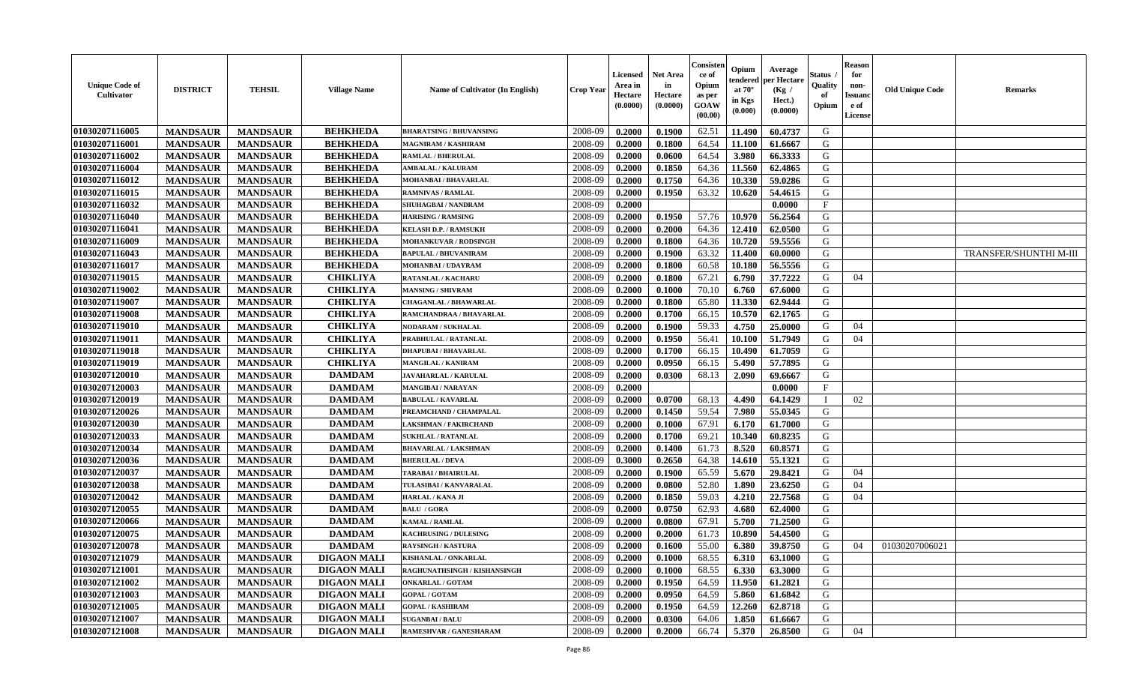| <b>Unique Code of</b><br><b>Cultivator</b> | <b>DISTRICT</b> | <b>TEHSIL</b>   | <b>Village Name</b> | Name of Cultivator (In English) | <b>Crop Year</b> | <b>Licensed</b><br>Area in<br>Hectare<br>(0.0000) | <b>Net Area</b><br>in<br>Hectare<br>(0.0000) | Consister<br>ce of<br>Opium<br>as per<br><b>GOAW</b><br>(00.00) | Opium<br>endered<br>at $70^\circ$<br>in Kgs<br>$(\mathbf{0.000})$ | Average<br>per Hectare<br>(Kg /<br>Hect.)<br>(0.0000) | Status<br>Quality<br>of<br>Opium | Reason<br>for<br>non-<br>Issuan<br>e of<br>License | <b>Old Unique Code</b> | <b>Remarks</b>                |
|--------------------------------------------|-----------------|-----------------|---------------------|---------------------------------|------------------|---------------------------------------------------|----------------------------------------------|-----------------------------------------------------------------|-------------------------------------------------------------------|-------------------------------------------------------|----------------------------------|----------------------------------------------------|------------------------|-------------------------------|
| 01030207116005                             | <b>MANDSAUR</b> | <b>MANDSAUR</b> | <b>BEHKHEDA</b>     | <b>BHARATSING / BHUVANSING</b>  | 2008-09          | 0.2000                                            | 0.1900                                       | 62.51                                                           | 11.490                                                            | 60.4737                                               | G                                |                                                    |                        |                               |
| 01030207116001                             | <b>MANDSAUR</b> | <b>MANDSAUR</b> | <b>BEHKHEDA</b>     | MAGNIRAM / KASHIRAM             | 2008-09          | 0.2000                                            | 0.1800                                       | 64.54                                                           | 11.100                                                            | 61.6667                                               | G                                |                                                    |                        |                               |
| 01030207116002                             | <b>MANDSAUR</b> | <b>MANDSAUR</b> | <b>BEHKHEDA</b>     | <b>RAMLAL / BHERULAL</b>        | 2008-09          | 0.2000                                            | 0.0600                                       | 64.54                                                           | 3.980                                                             | 66.3333                                               | G                                |                                                    |                        |                               |
| 01030207116004                             | <b>MANDSAUR</b> | <b>MANDSAUR</b> | <b>BEHKHEDA</b>     | <b>AMBALAL / KALURAM</b>        | 2008-09          | 0.2000                                            | 0.1850                                       | 64.36                                                           | 11.560                                                            | 62.4865                                               | G                                |                                                    |                        |                               |
| 01030207116012                             | <b>MANDSAUR</b> | <b>MANDSAUR</b> | <b>BEHKHEDA</b>     | MOHANBAI / BHAVARLAL            | 2008-09          | 0.2000                                            | 0.1750                                       | 64.36                                                           | 10.330                                                            | 59.0286                                               | G                                |                                                    |                        |                               |
| 01030207116015                             | <b>MANDSAUR</b> | <b>MANDSAUR</b> | <b>BEHKHEDA</b>     | <b>RAMNIVAS / RAMLAL</b>        | 2008-09          | 0.2000                                            | 0.1950                                       | 63.32                                                           | 10.620                                                            | 54.4615                                               | G                                |                                                    |                        |                               |
| 01030207116032                             | <b>MANDSAUR</b> | <b>MANDSAUR</b> | <b>BEHKHEDA</b>     | <b>SHUHAGBAI / NANDRAM</b>      | 2008-09          | 0.2000                                            |                                              |                                                                 |                                                                   | 0.0000                                                | $\mathbf{F}$                     |                                                    |                        |                               |
| 01030207116040                             | <b>MANDSAUR</b> | <b>MANDSAUR</b> | <b>BEHKHEDA</b>     | <b>HARISING / RAMSING</b>       | 2008-09          | 0.2000                                            | 0.1950                                       | 57.76                                                           | 10.970                                                            | 56.2564                                               | G                                |                                                    |                        |                               |
| 01030207116041                             | <b>MANDSAUR</b> | <b>MANDSAUR</b> | <b>BEHKHEDA</b>     | <b>KELASH D.P. / RAMSUKH</b>    | 2008-09          | 0.2000                                            | 0.2000                                       | 64.36                                                           | 12.410                                                            | 62.0500                                               | G                                |                                                    |                        |                               |
| 01030207116009                             | <b>MANDSAUR</b> | <b>MANDSAUR</b> | <b>BEHKHEDA</b>     | MOHANKUVAR / RODSINGH           | 2008-09          | 0.2000                                            | 0.1800                                       | 64.36                                                           | 10.720                                                            | 59.5556                                               | G                                |                                                    |                        |                               |
| 01030207116043                             | <b>MANDSAUR</b> | <b>MANDSAUR</b> | <b>BEHKHEDA</b>     | <b>BAPULAL / BHUVANIRAM</b>     | 2008-09          | 0.2000                                            | 0.1900                                       | 63.32                                                           | 11.400                                                            | 60.0000                                               | G                                |                                                    |                        | <b>TRANSFER/SHUNTHI M-III</b> |
| 01030207116017                             | <b>MANDSAUR</b> | <b>MANDSAUR</b> | <b>BEHKHEDA</b>     | <b>MOHANBAI/UDAYRAM</b>         | 2008-09          | 0.2000                                            | 0.1800                                       | 60.58                                                           | 10.180                                                            | 56.5556                                               | G                                |                                                    |                        |                               |
| 01030207119015                             | <b>MANDSAUR</b> | <b>MANDSAUR</b> | <b>CHIKLIYA</b>     | <b>RATANLAL / KACHARU</b>       | 2008-09          | 0.2000                                            | 0.1800                                       | 67.21                                                           | 6.790                                                             | 37.7222                                               | G                                | 04                                                 |                        |                               |
| 01030207119002                             | <b>MANDSAUR</b> | <b>MANDSAUR</b> | <b>CHIKLIYA</b>     | <b>MANSING / SHIVRAM</b>        | 2008-09          | 0.2000                                            | 0.1000                                       | 70.10                                                           | 6.760                                                             | 67.6000                                               | G                                |                                                    |                        |                               |
| 01030207119007                             | <b>MANDSAUR</b> | <b>MANDSAUR</b> | <b>CHIKLIYA</b>     | <b>CHAGANLAL / BHAWARLAL</b>    | 2008-09          | 0.2000                                            | 0.1800                                       | 65.80                                                           | 11.330                                                            | 62.9444                                               | G                                |                                                    |                        |                               |
| 01030207119008                             | <b>MANDSAUR</b> | <b>MANDSAUR</b> | <b>CHIKLIYA</b>     | RAMCHANDRAA / BHAVARLAL         | 2008-09          | 0.2000                                            | 0.1700                                       | 66.15                                                           | 10.570                                                            | 62.1765                                               | G                                |                                                    |                        |                               |
| 01030207119010                             | <b>MANDSAUR</b> | <b>MANDSAUR</b> | <b>CHIKLIYA</b>     | <b>NODARAM / SUKHALAL</b>       | 2008-09          | 0.2000                                            | 0.1900                                       | 59.33                                                           | 4.750                                                             | 25.0000                                               | G                                | 04                                                 |                        |                               |
| 01030207119011                             | <b>MANDSAUR</b> | <b>MANDSAUR</b> | <b>CHIKLIYA</b>     | PRABHULAL / RATANLAL            | 2008-09          | 0.2000                                            | 0.1950                                       | 56.41                                                           | 10.100                                                            | 51.7949                                               | G                                | 04                                                 |                        |                               |
| 01030207119018                             | <b>MANDSAUR</b> | <b>MANDSAUR</b> | <b>CHIKLIYA</b>     | <b>DHAPUBAI/BHAVARLAL</b>       | 2008-09          | 0.2000                                            | 0.1700                                       | 66.15                                                           | 10.490                                                            | 61.7059                                               | G                                |                                                    |                        |                               |
| 01030207119019                             | <b>MANDSAUR</b> | <b>MANDSAUR</b> | <b>CHIKLIYA</b>     | <b>MANGILAL / KANIRAM</b>       | 2008-09          | 0.2000                                            | 0.0950                                       | 66.15                                                           | 5.490                                                             | 57.7895                                               | G                                |                                                    |                        |                               |
| 01030207120010                             | <b>MANDSAUR</b> | <b>MANDSAUR</b> | <b>DAMDAM</b>       | JAVAHARLAL / KARULAL            | 2008-09          | 0.2000                                            | 0.0300                                       | 68.13                                                           | 2.090                                                             | 69.6667                                               | G                                |                                                    |                        |                               |
| 01030207120003                             | <b>MANDSAUR</b> | <b>MANDSAUR</b> | <b>DAMDAM</b>       | <b>MANGIBAI/NARAYAN</b>         | 2008-09          | 0.2000                                            |                                              |                                                                 |                                                                   | 0.0000                                                | $\mathbf{F}$                     |                                                    |                        |                               |
| 01030207120019                             | <b>MANDSAUR</b> | <b>MANDSAUR</b> | <b>DAMDAM</b>       | <b>BABULAL / KAVARLAL</b>       | 2008-09          | 0.2000                                            | 0.0700                                       | 68.13                                                           | 4.490                                                             | 64.1429                                               | $\mathbf I$                      | 02                                                 |                        |                               |
| 01030207120026                             | <b>MANDSAUR</b> | <b>MANDSAUR</b> | <b>DAMDAM</b>       | PREAMCHAND / CHAMPALAL          | 2008-09          | 0.2000                                            | 0.1450                                       | 59.54                                                           | 7.980                                                             | 55.0345                                               | G                                |                                                    |                        |                               |
| 01030207120030                             | <b>MANDSAUR</b> | <b>MANDSAUR</b> | <b>DAMDAM</b>       | <b>LAKSHMAN / FAKIRCHAND</b>    | 2008-09          | 0.2000                                            | 0.1000                                       | 67.91                                                           | 6.170                                                             | 61.7000                                               | G                                |                                                    |                        |                               |
| 01030207120033                             | <b>MANDSAUR</b> | <b>MANDSAUR</b> | <b>DAMDAM</b>       | <b>SUKHLAL / RATANLAL</b>       | 2008-09          | 0.2000                                            | 0.1700                                       | 69.21                                                           | 10.340                                                            | 60.8235                                               | G                                |                                                    |                        |                               |
| 01030207120034                             | <b>MANDSAUR</b> | <b>MANDSAUR</b> | <b>DAMDAM</b>       | <b>BHAVARLAL / LAKSHMAN</b>     | 2008-09          | 0.2000                                            | 0.1400                                       | 61.73                                                           | 8.520                                                             | 60.8571                                               | G                                |                                                    |                        |                               |
| 01030207120036                             | <b>MANDSAUR</b> | <b>MANDSAUR</b> | <b>DAMDAM</b>       | <b>BHERULAL / DEVA</b>          | 2008-09          | 0.3000                                            | 0.2650                                       | 64.38                                                           | 14.610                                                            | 55.1321                                               | G                                |                                                    |                        |                               |
| 01030207120037                             | <b>MANDSAUR</b> | <b>MANDSAUR</b> | <b>DAMDAM</b>       | <b>TARABAI / BHAIRULAL</b>      | 2008-09          | 0.2000                                            | 0.1900                                       | 65.59                                                           | 5.670                                                             | 29.8421                                               | G                                | 04                                                 |                        |                               |
| 01030207120038                             | <b>MANDSAUR</b> | <b>MANDSAUR</b> | <b>DAMDAM</b>       | TULASIBAI / KANVARALAL          | 2008-09          | 0.2000                                            | 0.0800                                       | 52.80                                                           | 1.890                                                             | 23.6250                                               | G                                | 04                                                 |                        |                               |
| 01030207120042                             | <b>MANDSAUR</b> | <b>MANDSAUR</b> | <b>DAMDAM</b>       | HARLAL / KANA JI                | 2008-09          | 0.2000                                            | 0.1850                                       | 59.03                                                           | 4.210                                                             | 22.7568                                               | G                                | 04                                                 |                        |                               |
| 01030207120055                             | <b>MANDSAUR</b> | <b>MANDSAUR</b> | <b>DAMDAM</b>       | <b>BALU / GORA</b>              | 2008-09          | 0.2000                                            | 0.0750                                       | 62.93                                                           | 4.680                                                             | 62.4000                                               | G                                |                                                    |                        |                               |
| 01030207120066                             | <b>MANDSAUR</b> | <b>MANDSAUR</b> | <b>DAMDAM</b>       | <b>KAMAL / RAMLAL</b>           | 2008-09          | 0.2000                                            | 0.0800                                       | 67.91                                                           | 5.700                                                             | 71.2500                                               | G                                |                                                    |                        |                               |
| 01030207120075                             | <b>MANDSAUR</b> | <b>MANDSAUR</b> | <b>DAMDAM</b>       | <b>KACHRUSING / DULESING</b>    | 2008-09          | 0.2000                                            | 0.2000                                       | 61.73                                                           | 10.890                                                            | 54.4500                                               | G                                |                                                    |                        |                               |
| 01030207120078                             | <b>MANDSAUR</b> | <b>MANDSAUR</b> | <b>DAMDAM</b>       | <b>RAYSINGH / KASTURA</b>       | 2008-09          | 0.2000                                            | 0.1600                                       | 55.00                                                           | 6.380                                                             | 39.8750                                               | G                                | 04                                                 | 01030207006021         |                               |
| <b>01030207121079</b>                      | <b>MANDSAUR</b> | MANDSAUR        | <b>DIGAON MALI</b>  | <b>KISHANLAL / ONKARLAL</b>     | 2008-09          | 0.2000                                            | 0.1000                                       | 68.55                                                           | 6.310                                                             | 63.1000                                               | G                                |                                                    |                        |                               |
| <b>01030207121001</b>                      | <b>MANDSAUR</b> | <b>MANDSAUR</b> | <b>DIGAON MALI</b>  | RAGHUNATHSINGH / KISHANSINGH    | 2008-09          | 0.2000                                            | 0.1000                                       | 68.55                                                           | 6.330                                                             | 63.3000                                               | G                                |                                                    |                        |                               |
| 01030207121002                             | <b>MANDSAUR</b> | <b>MANDSAUR</b> | <b>DIGAON MALI</b>  | <b>ONKARLAL / GOTAM</b>         | 2008-09          | 0.2000                                            | 0.1950                                       | 64.59                                                           | 11.950                                                            | 61.2821                                               | G                                |                                                    |                        |                               |
| 01030207121003                             | <b>MANDSAUR</b> | <b>MANDSAUR</b> | <b>DIGAON MALI</b>  | <b>GOPAL / GOTAM</b>            | 2008-09          | 0.2000                                            | 0.0950                                       | 64.59                                                           | 5.860                                                             | 61.6842                                               | G                                |                                                    |                        |                               |
| 01030207121005                             | <b>MANDSAUR</b> | <b>MANDSAUR</b> | <b>DIGAON MALI</b>  | <b>GOPAL / KASHIRAM</b>         | 2008-09          | 0.2000                                            | 0.1950                                       | 64.59                                                           | 12.260                                                            | 62.8718                                               | G                                |                                                    |                        |                               |
| 01030207121007                             | <b>MANDSAUR</b> | <b>MANDSAUR</b> | <b>DIGAON MALI</b>  | <b>SUGANBAI/BALU</b>            | 2008-09          | 0.2000                                            | 0.0300                                       | 64.06                                                           | 1.850                                                             | 61.6667                                               | G                                |                                                    |                        |                               |
| 01030207121008                             | <b>MANDSAUR</b> | <b>MANDSAUR</b> | <b>DIGAON MALI</b>  | RAMESHVAR / GANESHARAM          | 2008-09          | 0.2000                                            | 0.2000                                       | 66.74                                                           | 5.370                                                             | 26.8500                                               | G                                | 04                                                 |                        |                               |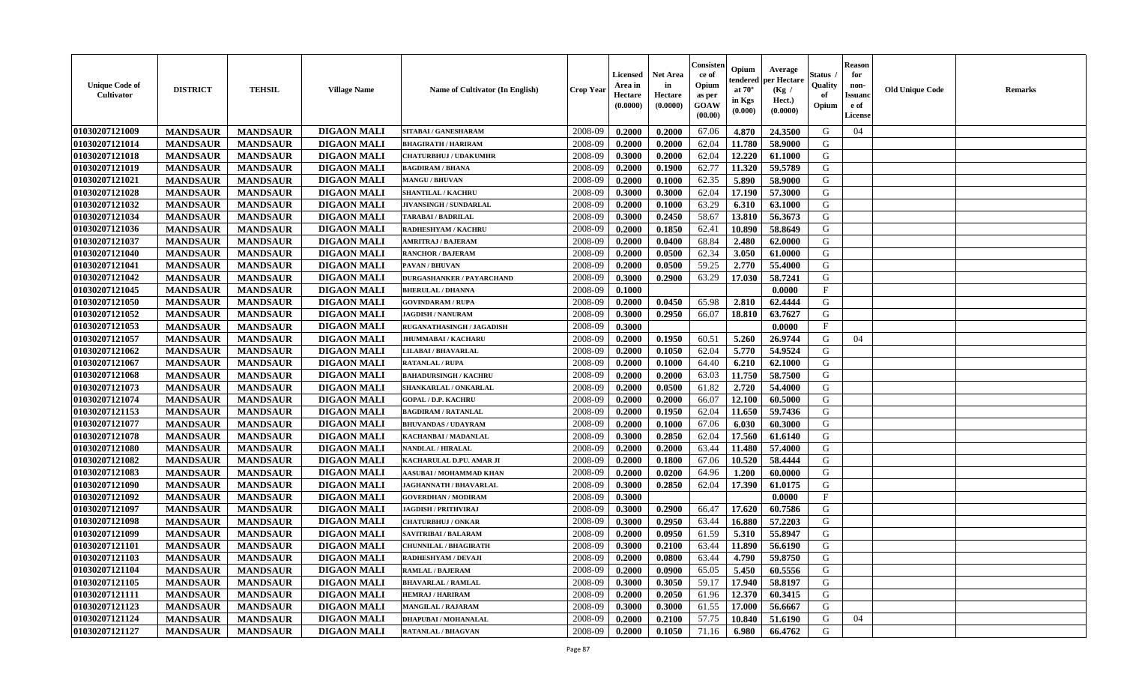| <b>Unique Code of</b><br><b>Cultivator</b> | <b>DISTRICT</b> | <b>TEHSIL</b>   | <b>Village Name</b> | <b>Name of Cultivator (In English)</b> | <b>Crop Year</b> | <b>Licensed</b><br>Area in<br>Hectare<br>(0.0000) | Net Area<br>in<br>Hectare<br>(0.0000) | Consisteı<br>ce of<br>Opium<br>as per<br>GOAW<br>(00.00) | Opium<br>endered<br>at $70^\circ$<br>in Kgs<br>(0.000) | Average<br>per Hectare<br>(Kg /<br>Hect.)<br>(0.0000) | Status<br>Quality<br>of<br>Opium | <b>Reason</b><br>for<br>non-<br>Issuano<br>e of<br>License | <b>Old Unique Code</b> | Remarks |
|--------------------------------------------|-----------------|-----------------|---------------------|----------------------------------------|------------------|---------------------------------------------------|---------------------------------------|----------------------------------------------------------|--------------------------------------------------------|-------------------------------------------------------|----------------------------------|------------------------------------------------------------|------------------------|---------|
| 01030207121009                             | <b>MANDSAUR</b> | <b>MANDSAUR</b> | <b>DIGAON MALI</b>  | SITABAI / GANESHARAM                   | 2008-09          | 0.2000                                            | 0.2000                                | 67.06                                                    | 4.870                                                  | 24.3500                                               | G                                | 04                                                         |                        |         |
| 01030207121014                             | <b>MANDSAUR</b> | <b>MANDSAUR</b> | <b>DIGAON MALI</b>  | <b>BHAGIRATH / HARIRAM</b>             | 2008-09          | 0.2000                                            | 0.2000                                | 62.04                                                    | 11.780                                                 | 58.9000                                               | G                                |                                                            |                        |         |
| 01030207121018                             | <b>MANDSAUR</b> | <b>MANDSAUR</b> | <b>DIGAON MALI</b>  | <b>CHATURBHUJ / UDAKUMHR</b>           | 2008-09          | 0.3000                                            | 0.2000                                | 62.04                                                    | 12.220                                                 | 61.1000                                               | G                                |                                                            |                        |         |
| 01030207121019                             | <b>MANDSAUR</b> | <b>MANDSAUR</b> | <b>DIGAON MALI</b>  | <b>BAGDIRAM / BHANA</b>                | 2008-09          | 0.2000                                            | 0.1900                                | 62.77                                                    | 11.320                                                 | 59.5789                                               | G                                |                                                            |                        |         |
| 01030207121021                             | <b>MANDSAUR</b> | <b>MANDSAUR</b> | <b>DIGAON MALI</b>  | <b>MANGU / BHUVAN</b>                  | 2008-09          | 0.2000                                            | 0.1000                                | 62.35                                                    | 5.890                                                  | 58.9000                                               | G                                |                                                            |                        |         |
| 01030207121028                             | <b>MANDSAUR</b> | <b>MANDSAUR</b> | <b>DIGAON MALI</b>  | <b>SHANTILAL / KACHRU</b>              | 2008-09          | 0.3000                                            | 0.3000                                | 62.04                                                    | 17.190                                                 | 57.3000                                               | G                                |                                                            |                        |         |
| 01030207121032                             | <b>MANDSAUR</b> | <b>MANDSAUR</b> | <b>DIGAON MALI</b>  | JIVANSINGH / SUNDARLAL                 | 2008-09          | 0.2000                                            | 0.1000                                | 63.29                                                    | 6.310                                                  | 63.1000                                               | G                                |                                                            |                        |         |
| 01030207121034                             | <b>MANDSAUR</b> | <b>MANDSAUR</b> | <b>DIGAON MALI</b>  | <b>TARABAI / BADRILAL</b>              | 2008-09          | 0.3000                                            | 0.2450                                | 58.67                                                    | 13.810                                                 | 56.3673                                               | G                                |                                                            |                        |         |
| 01030207121036                             | <b>MANDSAUR</b> | <b>MANDSAUR</b> | <b>DIGAON MALI</b>  | <b>RADHESHYAM / KACHRU</b>             | 2008-09          | 0.2000                                            | 0.1850                                | 62.41                                                    | 10.890                                                 | 58.8649                                               | G                                |                                                            |                        |         |
| 01030207121037                             | <b>MANDSAUR</b> | <b>MANDSAUR</b> | <b>DIGAON MALI</b>  | <b>AMRITRAJ / BAJERAM</b>              | 2008-09          | 0.2000                                            | 0.0400                                | 68.84                                                    | 2.480                                                  | 62.0000                                               | G                                |                                                            |                        |         |
| 01030207121040                             | <b>MANDSAUR</b> | <b>MANDSAUR</b> | <b>DIGAON MALI</b>  | <b>RANCHOR / BAJERAM</b>               | 2008-09          | 0.2000                                            | 0.0500                                | 62.34                                                    | 3.050                                                  | 61.0000                                               | G                                |                                                            |                        |         |
| 01030207121041                             | <b>MANDSAUR</b> | <b>MANDSAUR</b> | <b>DIGAON MALI</b>  | PAVAN / BHUVAN                         | 2008-09          | 0.2000                                            | 0.0500                                | 59.25                                                    | 2.770                                                  | 55.4000                                               | G                                |                                                            |                        |         |
| 01030207121042                             | <b>MANDSAUR</b> | <b>MANDSAUR</b> | <b>DIGAON MALI</b>  | <b>DURGASHANKER / PAYARCHAND</b>       | 2008-09          | 0.3000                                            | 0.2900                                | 63.29                                                    | 17.030                                                 | 58.7241                                               | G                                |                                                            |                        |         |
| 01030207121045                             | <b>MANDSAUR</b> | <b>MANDSAUR</b> | <b>DIGAON MALI</b>  | <b>BHERULAL / DHANNA</b>               | 2008-09          | 0.1000                                            |                                       |                                                          |                                                        | 0.0000                                                | $\mathbf{F}$                     |                                                            |                        |         |
| 01030207121050                             | <b>MANDSAUR</b> | <b>MANDSAUR</b> | <b>DIGAON MALI</b>  | <b>GOVINDARAM / RUPA</b>               | 2008-09          | 0.2000                                            | 0.0450                                | 65.98                                                    | 2.810                                                  | 62.4444                                               | $\mathbf G$                      |                                                            |                        |         |
| 01030207121052                             | <b>MANDSAUR</b> | <b>MANDSAUR</b> | <b>DIGAON MALI</b>  | <b>JAGDISH / NANURAM</b>               | 2008-09          | 0.3000                                            | 0.2950                                | 66.07                                                    | 18.810                                                 | 63.7627                                               | G                                |                                                            |                        |         |
| 01030207121053                             | <b>MANDSAUR</b> | <b>MANDSAUR</b> | <b>DIGAON MALI</b>  | RUGANATHASINGH / JAGADISH              | 2008-09          | 0.3000                                            |                                       |                                                          |                                                        | 0.0000                                                | $\mathbf{F}$                     |                                                            |                        |         |
| 01030207121057                             | <b>MANDSAUR</b> | <b>MANDSAUR</b> | <b>DIGAON MALI</b>  | <b>JHUMMABAI / KACHARU</b>             | 2008-09          | 0.2000                                            | 0.1950                                | 60.51                                                    | 5.260                                                  | 26.9744                                               | G                                | 04                                                         |                        |         |
| 01030207121062                             | <b>MANDSAUR</b> | <b>MANDSAUR</b> | <b>DIGAON MALI</b>  | LILABAI / BHAVARLAL                    | 2008-09          | 0.2000                                            | 0.1050                                | 62.04                                                    | 5.770                                                  | 54.9524                                               | G                                |                                                            |                        |         |
| 01030207121067                             |                 |                 |                     | <b>RATANLAL / RUPA</b>                 | 2008-09          |                                                   |                                       | 64.40                                                    |                                                        | 62.1000                                               | G                                |                                                            |                        |         |
|                                            | <b>MANDSAUR</b> | <b>MANDSAUR</b> | <b>DIGAON MALI</b>  |                                        |                  | 0.2000                                            | 0.1000                                |                                                          | 6.210                                                  |                                                       |                                  |                                                            |                        |         |
| 01030207121068                             | <b>MANDSAUR</b> | <b>MANDSAUR</b> | <b>DIGAON MALI</b>  | <b>BAHADURSINGH / KACHRU</b>           | 2008-09          | 0.2000                                            | 0.2000                                | 63.03                                                    | 11.750                                                 | 58.7500                                               | G                                |                                                            |                        |         |
| 01030207121073                             | <b>MANDSAUR</b> | <b>MANDSAUR</b> | <b>DIGAON MALI</b>  | SHANKARLAL / ONKARLAL                  | 2008-09          | 0.2000                                            | 0.0500                                | 61.82                                                    | 2.720                                                  | 54.4000                                               | G                                |                                                            |                        |         |
| 01030207121074                             | <b>MANDSAUR</b> | <b>MANDSAUR</b> | <b>DIGAON MALI</b>  | <b>GOPAL / D.P. KACHRU</b>             | 2008-09          | 0.2000                                            | 0.2000                                | 66.07                                                    | 12.100                                                 | 60.5000                                               | G                                |                                                            |                        |         |
| 01030207121153                             | <b>MANDSAUR</b> | <b>MANDSAUR</b> | <b>DIGAON MALI</b>  | <b>BAGDIRAM / RATANLAL</b>             | 2008-09          | 0.2000                                            | 0.1950                                | 62.04                                                    | 11.650                                                 | 59.7436                                               | G                                |                                                            |                        |         |
| 01030207121077                             | <b>MANDSAUR</b> | <b>MANDSAUR</b> | <b>DIGAON MALI</b>  | <b>BHUVANDAS / UDAYRAM</b>             | 2008-09          | 0.2000                                            | 0.1000                                | 67.06                                                    | 6.030                                                  | 60.3000                                               | G                                |                                                            |                        |         |
| 01030207121078                             | <b>MANDSAUR</b> | <b>MANDSAUR</b> | <b>DIGAON MALI</b>  | KACHANBAI / MADANLAL                   | 2008-09          | 0.3000                                            | 0.2850                                | 62.04                                                    | 17.560                                                 | 61.6140                                               | G                                |                                                            |                        |         |
| 01030207121080                             | <b>MANDSAUR</b> | <b>MANDSAUR</b> | <b>DIGAON MALI</b>  | <b>NANDLAL / HIRALAL</b>               | 2008-09          | 0.2000                                            | 0.2000                                | 63.44                                                    | 11.480                                                 | 57.4000                                               | G                                |                                                            |                        |         |
| 01030207121082                             | <b>MANDSAUR</b> | <b>MANDSAUR</b> | <b>DIGAON MALI</b>  | KACHARULAL D.PU. AMAR JI               | 2008-09          | 0.2000                                            | 0.1800                                | 67.06                                                    | 10.520                                                 | 58.4444                                               | G                                |                                                            |                        |         |
| 01030207121083                             | <b>MANDSAUR</b> | <b>MANDSAUR</b> | <b>DIGAON MALI</b>  | AASUBAI / MOHAMMAD KHAN                | 2008-09          | 0.2000                                            | 0.0200                                | 64.96                                                    | 1.200                                                  | 60.0000                                               | G                                |                                                            |                        |         |
| 01030207121090                             | <b>MANDSAUR</b> | <b>MANDSAUR</b> | <b>DIGAON MALI</b>  | <b>JAGHANNATH / BHAVARLAL</b>          | 2008-09          | 0.3000                                            | 0.2850                                | 62.04                                                    | 17.390                                                 | 61.0175                                               | G                                |                                                            |                        |         |
| 01030207121092                             | <b>MANDSAUR</b> | <b>MANDSAUR</b> | <b>DIGAON MALI</b>  | <b>GOVERDHAN / MODIRAM</b>             | 2008-09          | 0.3000                                            |                                       |                                                          |                                                        | 0.0000                                                | $\mathbf{F}$                     |                                                            |                        |         |
| 01030207121097                             | <b>MANDSAUR</b> | <b>MANDSAUR</b> | <b>DIGAON MALI</b>  | <b>JAGDISH / PRITHVIRAJ</b>            | 2008-09          | 0.3000                                            | 0.2900                                | 66.47                                                    | 17.620                                                 | 60.7586                                               | G                                |                                                            |                        |         |
| 01030207121098                             | <b>MANDSAUR</b> | <b>MANDSAUR</b> | <b>DIGAON MALI</b>  | <b>CHATURBHUJ / ONKAR</b>              | 2008-09          | 0.3000                                            | 0.2950                                | 63.44                                                    | 16.880                                                 | 57.2203                                               | G                                |                                                            |                        |         |
| 01030207121099                             | <b>MANDSAUR</b> | <b>MANDSAUR</b> | <b>DIGAON MALI</b>  | SAVITRIBAI / BALARAM                   | 2008-09          | 0.2000                                            | 0.0950                                | 61.59                                                    | 5.310                                                  | 55.8947                                               | G                                |                                                            |                        |         |
| 01030207121101                             | <b>MANDSAUR</b> | <b>MANDSAUR</b> | <b>DIGAON MALI</b>  | <b>CHUNNILAL / BHAGIRATH</b>           | 2008-09          | 0.3000                                            | 0.2100                                | 63.44                                                    | 11.890                                                 | 56.6190                                               | G                                |                                                            |                        |         |
| 01030207121103                             | <b>MANDSAUR</b> | <b>MANDSAUR</b> | <b>DIGAON MALI</b>  | RADHESHYAM / DEVAJI                    | 2008-09          | 0.2000                                            | 0.0800                                | 63.44                                                    | 4.790                                                  | 59.8750                                               | G                                |                                                            |                        |         |
| 01030207121104                             | <b>MANDSAUR</b> | <b>MANDSAUR</b> | <b>DIGAON MALI</b>  | <b>RAMLAL / BAJERAM</b>                | 2008-09          | 0.2000                                            | 0.0900                                | 65.05                                                    | 5.450                                                  | 60.5556                                               | G                                |                                                            |                        |         |
| 01030207121105                             | <b>MANDSAUR</b> | <b>MANDSAUR</b> | <b>DIGAON MALI</b>  | <b>BHAVARLAL / RAMLAL</b>              | 2008-09          | 0.3000                                            | 0.3050                                | 59.17                                                    | 17.940                                                 | 58.8197                                               | G                                |                                                            |                        |         |
| 01030207121111                             | <b>MANDSAUR</b> | <b>MANDSAUR</b> | <b>DIGAON MALI</b>  | <b>HEMRAJ / HARIRAM</b>                | 2008-09          | 0.2000                                            | 0.2050                                | 61.96                                                    | 12.370                                                 | 60.3415                                               | G                                |                                                            |                        |         |
| 01030207121123                             | <b>MANDSAUR</b> | <b>MANDSAUR</b> | <b>DIGAON MALI</b>  | <b>MANGILAL / RAJARAM</b>              | 2008-09          | 0.3000                                            | 0.3000                                | 61.55                                                    | 17.000                                                 | 56.6667                                               | G                                |                                                            |                        |         |
| 01030207121124                             | <b>MANDSAUR</b> | <b>MANDSAUR</b> | <b>DIGAON MALI</b>  | DHAPUBAI / MOHANALAL                   | 2008-09          | 0.2000                                            | 0.2100                                | 57.75                                                    | 10.840                                                 | 51.6190                                               | G                                | 04                                                         |                        |         |
| 01030207121127                             | <b>MANDSAUR</b> | <b>MANDSAUR</b> | <b>DIGAON MALI</b>  | <b>RATANLAL / BHAGVAN</b>              | 2008-09          | 0.2000                                            | 0.1050                                | 71.16                                                    | 6.980                                                  | 66.4762                                               | G                                |                                                            |                        |         |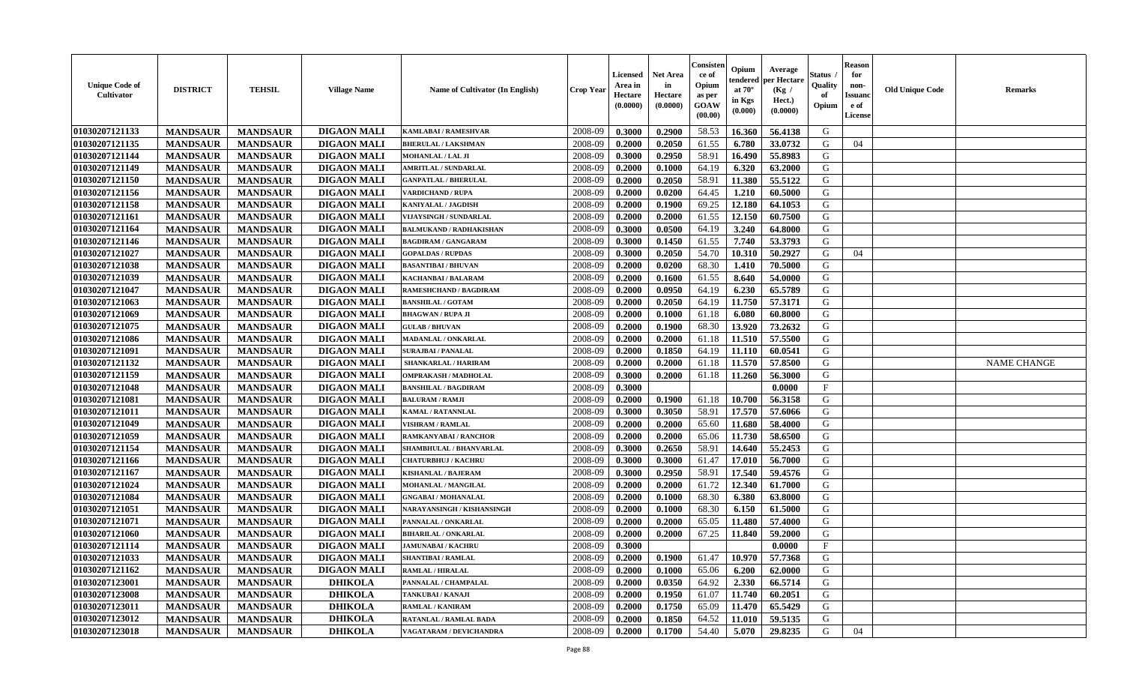| <b>Unique Code of</b><br><b>Cultivator</b> | <b>DISTRICT</b> | <b>TEHSIL</b>   | <b>Village Name</b> | <b>Name of Cultivator (In English)</b> | <b>Crop Year</b> | Licensed<br>Area in<br>Hectare<br>(0.0000) | Net Area<br>in<br>Hectare<br>(0.0000) | Consisteı<br>ce of<br>Opium<br>as per<br>GOAW<br>(00.00) | Opium<br>endered<br>at $70^\circ$<br>in Kgs<br>(0.000) | Average<br>per Hectare<br>(Kg /<br>Hect.)<br>(0.0000) | Status<br>Quality<br>of<br>Opium | <b>Reason</b><br>for<br>non-<br>Issuano<br>e of<br>License | <b>Old Unique Code</b> | Remarks            |
|--------------------------------------------|-----------------|-----------------|---------------------|----------------------------------------|------------------|--------------------------------------------|---------------------------------------|----------------------------------------------------------|--------------------------------------------------------|-------------------------------------------------------|----------------------------------|------------------------------------------------------------|------------------------|--------------------|
| 01030207121133                             | <b>MANDSAUR</b> | <b>MANDSAUR</b> | <b>DIGAON MALI</b>  | KAMLABAI / RAMESHVAR                   | 2008-09          | 0.3000                                     | 0.2900                                | 58.53                                                    | 16.360                                                 | 56.4138                                               | G                                |                                                            |                        |                    |
| 01030207121135                             | <b>MANDSAUR</b> | <b>MANDSAUR</b> | <b>DIGAON MALI</b>  | <b>BHERULAL / LAKSHMAN</b>             | 2008-09          | 0.2000                                     | 0.2050                                | 61.55                                                    | 6.780                                                  | 33.0732                                               | G                                | 04                                                         |                        |                    |
| 01030207121144                             | <b>MANDSAUR</b> | <b>MANDSAUR</b> | <b>DIGAON MALI</b>  | <b>MOHANLAL / LAL JI</b>               | 2008-09          | 0.3000                                     | 0.2950                                | 58.91                                                    | 16.490                                                 | 55.8983                                               | G                                |                                                            |                        |                    |
| 01030207121149                             | <b>MANDSAUR</b> | <b>MANDSAUR</b> | <b>DIGAON MALI</b>  | <b>AMRITLAL / SUNDARLAL</b>            | 2008-09          | 0.2000                                     | 0.1000                                | 64.19                                                    | 6.320                                                  | 63.2000                                               | G                                |                                                            |                        |                    |
| 01030207121150                             | <b>MANDSAUR</b> | <b>MANDSAUR</b> | <b>DIGAON MALI</b>  | <b>GANPATLAL / BHERULAL</b>            | 2008-09          | 0.2000                                     | 0.2050                                | 58.91                                                    | 11.380                                                 | 55.5122                                               | G                                |                                                            |                        |                    |
| 01030207121156                             | <b>MANDSAUR</b> | <b>MANDSAUR</b> | <b>DIGAON MALI</b>  | <b>VARDICHAND / RUPA</b>               | 2008-09          | 0.2000                                     | 0.0200                                | 64.45                                                    | 1.210                                                  | 60.5000                                               | G                                |                                                            |                        |                    |
| 01030207121158                             | <b>MANDSAUR</b> | <b>MANDSAUR</b> | <b>DIGAON MALI</b>  | KANIYALAL / JAGDISH                    | 2008-09          | 0.2000                                     | 0.1900                                | 69.25                                                    | 12.180                                                 | 64.1053                                               | G                                |                                                            |                        |                    |
| 01030207121161                             | <b>MANDSAUR</b> | <b>MANDSAUR</b> | <b>DIGAON MALI</b>  | VIJAYSINGH / SUNDARLAL                 | 2008-09          | 0.2000                                     | 0.2000                                | 61.55                                                    | 12.150                                                 | 60.7500                                               | G                                |                                                            |                        |                    |
| 01030207121164                             | <b>MANDSAUR</b> | <b>MANDSAUR</b> | <b>DIGAON MALI</b>  | <b>BALMUKAND / RADHAKISHAN</b>         | 2008-09          | 0.3000                                     | 0.0500                                | 64.19                                                    | 3.240                                                  | 64.8000                                               | G                                |                                                            |                        |                    |
| 01030207121146                             | <b>MANDSAUR</b> | <b>MANDSAUR</b> | <b>DIGAON MALI</b>  | <b>BAGDIRAM / GANGARAM</b>             | 2008-09          | 0.3000                                     | 0.1450                                | 61.55                                                    | 7.740                                                  | 53.3793                                               | G                                |                                                            |                        |                    |
| 01030207121027                             | <b>MANDSAUR</b> | <b>MANDSAUR</b> | <b>DIGAON MALI</b>  | <b>GOPALDAS / RUPDAS</b>               | 2008-09          | 0.3000                                     | 0.2050                                | 54.70                                                    | 10.310                                                 | 50.2927                                               | G                                | 04                                                         |                        |                    |
| 01030207121038                             | <b>MANDSAUR</b> | <b>MANDSAUR</b> | <b>DIGAON MALI</b>  | <b>BASANTIBAI/BHUVAN</b>               | 2008-09          | 0.2000                                     | 0.0200                                | 68.30                                                    | 1.410                                                  | 70.5000                                               | G                                |                                                            |                        |                    |
| 01030207121039                             | <b>MANDSAUR</b> | <b>MANDSAUR</b> | <b>DIGAON MALI</b>  | <b>KACHANBAI/BALARAM</b>               | 2008-09          | 0.2000                                     | 0.1600                                | 61.55                                                    | 8.640                                                  | 54.0000                                               | G                                |                                                            |                        |                    |
| 01030207121047                             | <b>MANDSAUR</b> | <b>MANDSAUR</b> | <b>DIGAON MALI</b>  | RAMESHCHAND / BAGDIRAM                 | 2008-09          | 0.2000                                     | 0.0950                                | 64.19                                                    | 6.230                                                  | 65.5789                                               | G                                |                                                            |                        |                    |
| 01030207121063                             | <b>MANDSAUR</b> | <b>MANDSAUR</b> | <b>DIGAON MALI</b>  | <b>BANSHILAL / GOTAM</b>               | 2008-09          | 0.2000                                     | 0.2050                                | 64.19                                                    | 11.750                                                 | 57.3171                                               | $\mathbf G$                      |                                                            |                        |                    |
| 01030207121069                             | <b>MANDSAUR</b> | <b>MANDSAUR</b> | <b>DIGAON MALI</b>  | <b>BHAGWAN / RUPA JI</b>               | 2008-09          | 0.2000                                     | 0.1000                                | 61.18                                                    | 6.080                                                  | 60.8000                                               | G                                |                                                            |                        |                    |
| 01030207121075                             | <b>MANDSAUR</b> | <b>MANDSAUR</b> | <b>DIGAON MALI</b>  | <b>GULAB / BHUVAN</b>                  | 2008-09          | 0.2000                                     | 0.1900                                | 68.30                                                    | 13.920                                                 | 73.2632                                               | G                                |                                                            |                        |                    |
| 01030207121086                             | <b>MANDSAUR</b> | <b>MANDSAUR</b> | <b>DIGAON MALI</b>  | MADANLAL / ONKARLAL                    | 2008-09          | 0.2000                                     | 0.2000                                | 61.18                                                    | 11.510                                                 | 57.5500                                               | G                                |                                                            |                        |                    |
| 01030207121091                             | <b>MANDSAUR</b> | <b>MANDSAUR</b> | <b>DIGAON MALI</b>  | <b>SURAJBAI / PANALAL</b>              | 2008-09          | 0.2000                                     | 0.1850                                | 64.19                                                    | 11.110                                                 | 60.0541                                               | G                                |                                                            |                        |                    |
| 01030207121132                             | <b>MANDSAUR</b> | <b>MANDSAUR</b> | <b>DIGAON MALI</b>  | SHANKARLAL / HARIRAM                   | 2008-09          | 0.2000                                     | 0.2000                                | 61.18                                                    | 11.570                                                 | 57.8500                                               | G                                |                                                            |                        | <b>NAME CHANGE</b> |
| 01030207121159                             | <b>MANDSAUR</b> | <b>MANDSAUR</b> | <b>DIGAON MALI</b>  | <b>OMPRAKASH / MADHOLAL</b>            | 2008-09          | 0.3000                                     | 0.2000                                | 61.18                                                    | 11.260                                                 | 56.3000                                               | G                                |                                                            |                        |                    |
| 01030207121048                             | <b>MANDSAUR</b> | <b>MANDSAUR</b> | <b>DIGAON MALI</b>  | <b>BANSHILAL / BAGDIRAM</b>            | 2008-09          | 0.3000                                     |                                       |                                                          |                                                        | 0.0000                                                | $_{\rm F}$                       |                                                            |                        |                    |
| 01030207121081                             | <b>MANDSAUR</b> | <b>MANDSAUR</b> | <b>DIGAON MALI</b>  | <b>BALURAM / RAMJI</b>                 | 2008-09          | 0.2000                                     | 0.1900                                | 61.18                                                    | 10.700                                                 | 56.3158                                               | G                                |                                                            |                        |                    |
| 01030207121011                             | <b>MANDSAUR</b> | <b>MANDSAUR</b> | <b>DIGAON MALI</b>  | KAMAL / RATANNLAL                      | 2008-09          | 0.3000                                     | 0.3050                                | 58.91                                                    | 17.570                                                 | 57.6066                                               | G                                |                                                            |                        |                    |
| 01030207121049                             | <b>MANDSAUR</b> | <b>MANDSAUR</b> | <b>DIGAON MALI</b>  | <b>VISHRAM / RAMLAL</b>                | 2008-09          | 0.2000                                     | 0.2000                                | 65.60                                                    | 11.680                                                 | 58.4000                                               | G                                |                                                            |                        |                    |
| 01030207121059                             | <b>MANDSAUR</b> | <b>MANDSAUR</b> | <b>DIGAON MALI</b>  | RAMKANYABAI / RANCHOR                  | 2008-09          | 0.2000                                     | 0.2000                                | 65.06                                                    | 11.730                                                 | 58.6500                                               | G                                |                                                            |                        |                    |
| 01030207121154                             | <b>MANDSAUR</b> | <b>MANDSAUR</b> | <b>DIGAON MALI</b>  | SHAMBHULAL / BHANVARLAL                | 2008-09          | 0.3000                                     | 0.2650                                | 58.91                                                    | 14.640                                                 | 55.2453                                               | G                                |                                                            |                        |                    |
| 01030207121166                             | <b>MANDSAUR</b> | <b>MANDSAUR</b> | <b>DIGAON MALI</b>  | <b>CHATURBHUJ / KACHRU</b>             | 2008-09          | 0.3000                                     | 0.3000                                | 61.47                                                    | 17.010                                                 | 56.7000                                               | G                                |                                                            |                        |                    |
| 01030207121167                             | <b>MANDSAUR</b> | <b>MANDSAUR</b> | <b>DIGAON MALI</b>  | <b>KISHANLAL / BAJERAM</b>             | 2008-09          | 0.3000                                     | 0.2950                                | 58.91                                                    | 17.540                                                 | 59.4576                                               | G                                |                                                            |                        |                    |
| 01030207121024                             | <b>MANDSAUR</b> | <b>MANDSAUR</b> | <b>DIGAON MALI</b>  | MOHANLAL / MANGILAL                    | 2008-09          | 0.2000                                     | 0.2000                                | 61.72                                                    | 12.340                                                 | 61.7000                                               | G                                |                                                            |                        |                    |
| 01030207121084                             | <b>MANDSAUR</b> | <b>MANDSAUR</b> | <b>DIGAON MALI</b>  | <b>GNGABAI/MOHANALAL</b>               | 2008-09          | 0.2000                                     | 0.1000                                | 68.30                                                    | 6.380                                                  | 63.8000                                               | G                                |                                                            |                        |                    |
| 01030207121051                             | <b>MANDSAUR</b> | <b>MANDSAUR</b> | <b>DIGAON MALI</b>  | NARAYANSINGH / KISHANSINGH             | 2008-09          | 0.2000                                     | 0.1000                                | 68.30                                                    | 6.150                                                  | 61.5000                                               | G                                |                                                            |                        |                    |
| 01030207121071                             | <b>MANDSAUR</b> | <b>MANDSAUR</b> | <b>DIGAON MALI</b>  | PANNALAL / ONKARLAL                    | 2008-09          | 0.2000                                     | 0.2000                                | 65.05                                                    | 11.480                                                 | 57.4000                                               | G                                |                                                            |                        |                    |
| 01030207121060                             | <b>MANDSAUR</b> | <b>MANDSAUR</b> | <b>DIGAON MALI</b>  | <b>BIHARILAL / ONKARLAL</b>            | 2008-09          | 0.2000                                     | 0.2000                                | 67.25                                                    | 11.840                                                 | 59.2000                                               | G                                |                                                            |                        |                    |
| 01030207121114                             | <b>MANDSAUR</b> | <b>MANDSAUR</b> | <b>DIGAON MALI</b>  | <b>JAMUNABAI / KACHRU</b>              | 2008-09          | 0.3000                                     |                                       |                                                          |                                                        | 0.0000                                                | F                                |                                                            |                        |                    |
| 01030207121033                             | <b>MANDSAUR</b> | <b>MANDSAUR</b> | <b>DIGAON MALI</b>  | <b>SHANTIBAI / RAMLAL</b>              | 2008-09          | 0.2000                                     | 0.1900                                | 61.47                                                    | 10.970                                                 | 57.7368                                               | G                                |                                                            |                        |                    |
| 01030207121162                             | <b>MANDSAUR</b> | <b>MANDSAUR</b> | <b>DIGAON MALI</b>  | <b>RAMLAL / HIRALAL</b>                | 2008-09          | 0.2000                                     | 0.1000                                | 65.06                                                    | 6.200                                                  | 62.0000                                               | G                                |                                                            |                        |                    |
| 01030207123001                             | <b>MANDSAUR</b> | <b>MANDSAUR</b> | <b>DHIKOLA</b>      | PANNALAL / CHAMPALAL                   | 2008-09          | 0.2000                                     | 0.0350                                | 64.92                                                    | 2.330                                                  | 66.5714                                               | G                                |                                                            |                        |                    |
| 01030207123008                             | <b>MANDSAUR</b> | <b>MANDSAUR</b> | <b>DHIKOLA</b>      | TANKUBAI / KANAJI                      | 2008-09          | 0.2000                                     | 0.1950                                | 61.07                                                    | 11.740                                                 | 60.2051                                               | G                                |                                                            |                        |                    |
| 01030207123011                             | <b>MANDSAUR</b> | <b>MANDSAUR</b> | <b>DHIKOLA</b>      | <b>RAMLAL / KANIRAM</b>                | 2008-09          | 0.2000                                     | 0.1750                                | 65.09                                                    | 11.470                                                 | 65.5429                                               | ${\bf G}$                        |                                                            |                        |                    |
| 01030207123012                             | <b>MANDSAUR</b> | <b>MANDSAUR</b> | <b>DHIKOLA</b>      | RATANLAL / RAMLAL BADA                 | 2008-09          | 0.2000                                     | 0.1850                                | 64.52                                                    | 11.010                                                 | 59.5135                                               | G                                |                                                            |                        |                    |
| 01030207123018                             | <b>MANDSAUR</b> | <b>MANDSAUR</b> | <b>DHIKOLA</b>      | VAGATARAM / DEVICHANDRA                | 2008-09          | 0.2000                                     | 0.1700                                | 54.40                                                    | 5.070                                                  | 29.8235                                               | G                                | 04                                                         |                        |                    |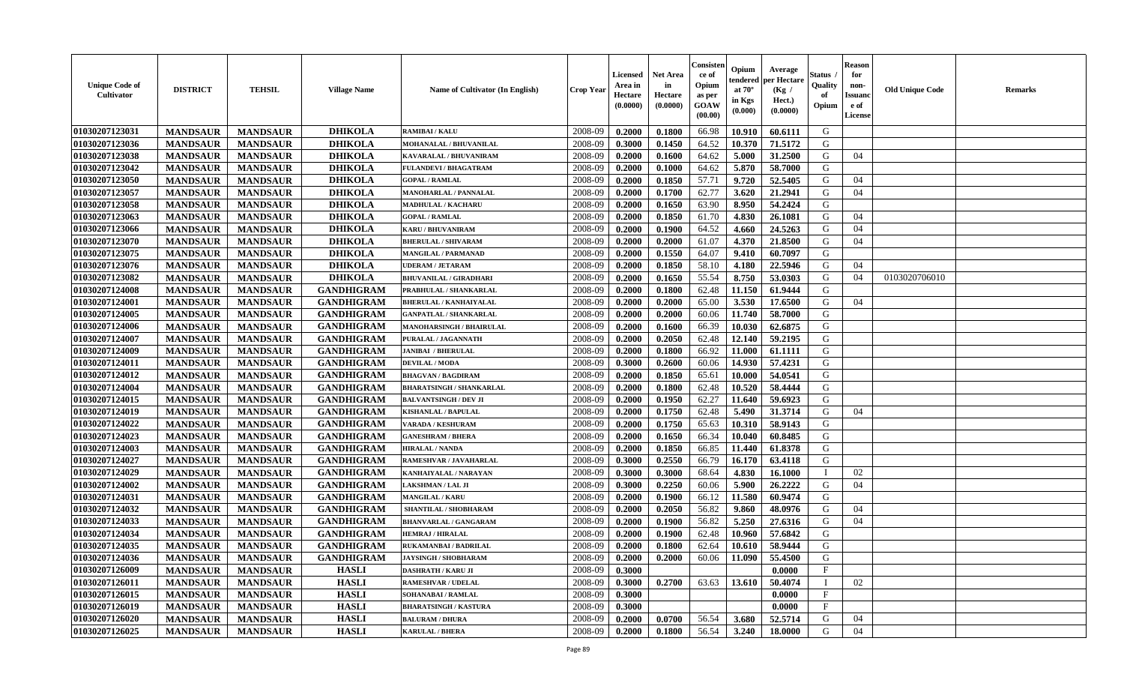| <b>Unique Code of</b><br><b>Cultivator</b> | <b>DISTRICT</b> | <b>TEHSIL</b>   | <b>Village Name</b> | <b>Name of Cultivator (In English)</b> | <b>Crop Year</b> | Licensed<br>Area in<br>Hectare<br>(0.0000) | Net Area<br>in<br>Hectare<br>(0.0000) | Consisteı<br>ce of<br>Opium<br>as per<br>GOAW<br>(00.00) | Opium<br>endered<br>at $70^\circ$<br>in Kgs<br>(0.000) | Average<br>per Hectare<br>(Kg /<br>Hect.)<br>(0.0000) | Status<br>Quality<br>of<br>Opium | <b>Reason</b><br>for<br>non-<br>Issuano<br>e of<br>License | <b>Old Unique Code</b> | Remarks |
|--------------------------------------------|-----------------|-----------------|---------------------|----------------------------------------|------------------|--------------------------------------------|---------------------------------------|----------------------------------------------------------|--------------------------------------------------------|-------------------------------------------------------|----------------------------------|------------------------------------------------------------|------------------------|---------|
| 01030207123031                             | <b>MANDSAUR</b> | <b>MANDSAUR</b> | <b>DHIKOLA</b>      | <b>RAMIBAI/KALU</b>                    | 2008-09          | 0.2000                                     | 0.1800                                | 66.98                                                    | 10.910                                                 | 60.6111                                               | G                                |                                                            |                        |         |
| 01030207123036                             | <b>MANDSAUR</b> | <b>MANDSAUR</b> | <b>DHIKOLA</b>      | MOHANALAL / BHUVANILAL                 | 2008-09          | 0.3000                                     | 0.1450                                | 64.52                                                    | 10.370                                                 | 71.5172                                               | G                                |                                                            |                        |         |
| 01030207123038                             | <b>MANDSAUR</b> | <b>MANDSAUR</b> | <b>DHIKOLA</b>      | KAVARALAL / BHUVANIRAM                 | 2008-09          | 0.2000                                     | 0.1600                                | 64.62                                                    | 5.000                                                  | 31.2500                                               | G                                | 04                                                         |                        |         |
| 01030207123042                             | <b>MANDSAUR</b> | <b>MANDSAUR</b> | <b>DHIKOLA</b>      | <b>FULANDEVI / BHAGATRAM</b>           | 2008-09          | 0.2000                                     | 0.1000                                | 64.62                                                    | 5.870                                                  | 58.7000                                               | G                                |                                                            |                        |         |
| 01030207123050                             | <b>MANDSAUR</b> | <b>MANDSAUR</b> | <b>DHIKOLA</b>      | <b>GOPAL / RAMLAL</b>                  | 2008-09          | 0.2000                                     | 0.1850                                | 57.71                                                    | 9.720                                                  | 52.5405                                               | G                                | 04                                                         |                        |         |
| 01030207123057                             | <b>MANDSAUR</b> | <b>MANDSAUR</b> | <b>DHIKOLA</b>      | MANOHARLAL / PANNALAL                  | 2008-09          | 0.2000                                     | 0.1700                                | 62.77                                                    | 3.620                                                  | 21.2941                                               | G                                | 04                                                         |                        |         |
| 01030207123058                             | <b>MANDSAUR</b> | <b>MANDSAUR</b> | <b>DHIKOLA</b>      | MADHULAL / KACHARU                     | 2008-09          | 0.2000                                     | 0.1650                                | 63.90                                                    | 8.950                                                  | 54.2424                                               | G                                |                                                            |                        |         |
| 01030207123063                             | <b>MANDSAUR</b> | <b>MANDSAUR</b> | <b>DHIKOLA</b>      | <b>GOPAL / RAMLAL</b>                  | 2008-09          | 0.2000                                     | 0.1850                                | 61.70                                                    | 4.830                                                  | 26.1081                                               | G                                | 04                                                         |                        |         |
| 01030207123066                             | <b>MANDSAUR</b> | <b>MANDSAUR</b> | <b>DHIKOLA</b>      | KARU / BHUVANIRAM                      | 2008-09          | 0.2000                                     | 0.1900                                | 64.52                                                    | 4.660                                                  | 24.5263                                               | G                                | 04                                                         |                        |         |
| 01030207123070                             | <b>MANDSAUR</b> | <b>MANDSAUR</b> | <b>DHIKOLA</b>      | <b>BHERULAL / SHIVARAM</b>             | 2008-09          | 0.2000                                     | 0.2000                                | 61.07                                                    | 4.370                                                  | 21.8500                                               | G                                | 04                                                         |                        |         |
| 01030207123075                             | <b>MANDSAUR</b> | <b>MANDSAUR</b> | <b>DHIKOLA</b>      | <b>MANGILAL / PARMANAD</b>             | 2008-09          | 0.2000                                     | 0.1550                                | 64.07                                                    | 9.410                                                  | 60.7097                                               | G                                |                                                            |                        |         |
| 01030207123076                             | <b>MANDSAUR</b> | <b>MANDSAUR</b> | <b>DHIKOLA</b>      | <b>UDERAM / JETARAM</b>                | 2008-09          | 0.2000                                     | 0.1850                                | 58.10                                                    | 4.180                                                  | 22.5946                                               | G                                | 04                                                         |                        |         |
| 01030207123082                             | <b>MANDSAUR</b> | <b>MANDSAUR</b> | <b>DHIKOLA</b>      | <b>BHUVANILAL / GIRADHARI</b>          | 2008-09          | 0.2000                                     | 0.1650                                | 55.54                                                    | 8.750                                                  | 53.0303                                               | G                                | 04                                                         | 0103020706010          |         |
| 01030207124008                             | <b>MANDSAUR</b> | <b>MANDSAUR</b> | <b>GANDHIGRAM</b>   | PRABHULAL / SHANKARLAL                 | 2008-09          | 0.2000                                     | 0.1800                                | 62.48                                                    | 11.150                                                 | 61.9444                                               | G                                |                                                            |                        |         |
| 01030207124001                             | <b>MANDSAUR</b> | <b>MANDSAUR</b> | <b>GANDHIGRAM</b>   | <b>BHERULAL / KANHAIYALAL</b>          | 2008-09          | 0.2000                                     | 0.2000                                | 65.00                                                    | 3.530                                                  | 17.6500                                               | $\mathbf G$                      | 04                                                         |                        |         |
| 01030207124005                             | <b>MANDSAUR</b> | <b>MANDSAUR</b> | <b>GANDHIGRAM</b>   | <b>GANPATLAL / SHANKARLAL</b>          | 2008-09          | 0.2000                                     | 0.2000                                | 60.06                                                    | 11.740                                                 | 58.7000                                               | G                                |                                                            |                        |         |
| 01030207124006                             | <b>MANDSAUR</b> | <b>MANDSAUR</b> | <b>GANDHIGRAM</b>   | MANOHARSINGH / BHAIRULAL               | 2008-09          | 0.2000                                     | 0.1600                                | 66.39                                                    | 10.030                                                 | 62.6875                                               | G                                |                                                            |                        |         |
| 01030207124007                             | <b>MANDSAUR</b> | <b>MANDSAUR</b> | <b>GANDHIGRAM</b>   | PURALAL / JAGANNATH                    | 2008-09          | 0.2000                                     | 0.2050                                | 62.48                                                    | 12.140                                                 | 59.2195                                               | G                                |                                                            |                        |         |
| 01030207124009                             | <b>MANDSAUR</b> | <b>MANDSAUR</b> | <b>GANDHIGRAM</b>   | <b>JANIBAI / BHERULAL</b>              | 2008-09          | 0.2000                                     | 0.1800                                | 66.92                                                    | 11.000                                                 | 61.1111                                               | G                                |                                                            |                        |         |
| 01030207124011                             | <b>MANDSAUR</b> | <b>MANDSAUR</b> | <b>GANDHIGRAM</b>   | <b>DEVILAL / MODA</b>                  | 2008-09          | 0.3000                                     | 0.2600                                | 60.06                                                    | 14.930                                                 | 57.4231                                               | G                                |                                                            |                        |         |
| 01030207124012                             | <b>MANDSAUR</b> | <b>MANDSAUR</b> | <b>GANDHIGRAM</b>   | <b>BHAGVAN / BAGDIRAM</b>              | 2008-09          | 0.2000                                     | 0.1850                                | 65.61                                                    | 10.000                                                 | 54.0541                                               | G                                |                                                            |                        |         |
| 01030207124004                             | <b>MANDSAUR</b> | <b>MANDSAUR</b> | <b>GANDHIGRAM</b>   | <b>BHARATSINGH / SHANKARLAL</b>        | 2008-09          | 0.2000                                     | 0.1800                                | 62.48                                                    | 10.520                                                 | 58.4444                                               | G                                |                                                            |                        |         |
| 01030207124015                             | <b>MANDSAUR</b> | <b>MANDSAUR</b> | <b>GANDHIGRAM</b>   | <b>BALVANTSINGH / DEV JI</b>           | 2008-09          | 0.2000                                     | 0.1950                                | 62.27                                                    | 11.640                                                 | 59.6923                                               | G                                |                                                            |                        |         |
| 01030207124019                             | <b>MANDSAUR</b> | <b>MANDSAUR</b> | <b>GANDHIGRAM</b>   | <b>KISHANLAL / BAPULAL</b>             | 2008-09          | 0.2000                                     | 0.1750                                | 62.48                                                    | 5.490                                                  | 31.3714                                               | G                                | 04                                                         |                        |         |
| 01030207124022                             | <b>MANDSAUR</b> | <b>MANDSAUR</b> | <b>GANDHIGRAM</b>   | <b>VARADA / KESHURAM</b>               | 2008-09          | 0.2000                                     | 0.1750                                | 65.63                                                    | 10.310                                                 | 58.9143                                               | G                                |                                                            |                        |         |
| 01030207124023                             | <b>MANDSAUR</b> | <b>MANDSAUR</b> | <b>GANDHIGRAM</b>   | <b>GANESHRAM / BHERA</b>               | 2008-09          | 0.2000                                     | 0.1650                                | 66.34                                                    | 10.040                                                 | 60.8485                                               | G                                |                                                            |                        |         |
| 01030207124003                             | <b>MANDSAUR</b> | <b>MANDSAUR</b> | <b>GANDHIGRAM</b>   | <b>HIRALAL / NANDA</b>                 | 2008-09          | 0.2000                                     | 0.1850                                | 66.85                                                    | 11.440                                                 | 61.8378                                               | G                                |                                                            |                        |         |
| 01030207124027                             | <b>MANDSAUR</b> | <b>MANDSAUR</b> | <b>GANDHIGRAM</b>   | RAMESHVAR / JAVAHARLAL                 | 2008-09          | 0.3000                                     | 0.2550                                | 66.79                                                    | 16.170                                                 | 63.4118                                               | G                                |                                                            |                        |         |
| 01030207124029                             | <b>MANDSAUR</b> | <b>MANDSAUR</b> | <b>GANDHIGRAM</b>   | KANHAIYALAL / NARAYAN                  | 2008-09          | 0.3000                                     | 0.3000                                | 68.64                                                    | 4.830                                                  | 16.1000                                               | $\mathbf{I}$                     | 02                                                         |                        |         |
| 01030207124002                             | <b>MANDSAUR</b> | <b>MANDSAUR</b> | <b>GANDHIGRAM</b>   | LAKSHMAN / LAL JI                      | 2008-09          | 0.3000                                     | 0.2250                                | 60.06                                                    | 5.900                                                  | 26.2222                                               | G                                | 04                                                         |                        |         |
| 01030207124031                             | <b>MANDSAUR</b> | <b>MANDSAUR</b> | <b>GANDHIGRAM</b>   | <b>MANGILAL / KARU</b>                 | 2008-09          | 0.2000                                     | 0.1900                                | 66.12                                                    | 11.580                                                 | 60.9474                                               | G                                |                                                            |                        |         |
| 01030207124032                             | <b>MANDSAUR</b> | <b>MANDSAUR</b> | <b>GANDHIGRAM</b>   | SHANTILAL / SHOBHARAM                  | 2008-09          | 0.2000                                     | 0.2050                                | 56.82                                                    | 9.860                                                  | 48.0976                                               | G                                | 04                                                         |                        |         |
| 01030207124033                             | <b>MANDSAUR</b> | <b>MANDSAUR</b> | <b>GANDHIGRAM</b>   | <b>BHANVARLAL / GANGARAM</b>           | 2008-09          | 0.2000                                     | 0.1900                                | 56.82                                                    | 5.250                                                  | 27.6316                                               | G                                | 04                                                         |                        |         |
| 01030207124034                             | <b>MANDSAUR</b> | <b>MANDSAUR</b> | <b>GANDHIGRAM</b>   | <b>HEMRAJ / HIRALAL</b>                | 2008-09          | 0.2000                                     | 0.1900                                | 62.48                                                    | 10.960                                                 | 57.6842                                               | G                                |                                                            |                        |         |
| 01030207124035                             | <b>MANDSAUR</b> | <b>MANDSAUR</b> | <b>GANDHIGRAM</b>   | RUKAMANBAI / BADRILAL                  | 2008-09          | 0.2000                                     | 0.1800                                | 62.64                                                    | 10.610                                                 | 58.9444                                               | G                                |                                                            |                        |         |
| 01030207124036                             | <b>MANDSAUR</b> | <b>MANDSAUR</b> | <b>GANDHIGRAM</b>   | <b>JAYSINGH / SHOBHARAM</b>            | 2008-09          | 0.2000                                     | 0.2000                                | 60.06                                                    | 11.090                                                 | 55.4500                                               | G                                |                                                            |                        |         |
| 01030207126009                             | <b>MANDSAUR</b> | <b>MANDSAUR</b> | <b>HASLI</b>        | <b>DASHRATH / KARU JI</b>              | 2008-09          | 0.3000                                     |                                       |                                                          |                                                        | 0.0000                                                | $\rm F$                          |                                                            |                        |         |
| 01030207126011                             | <b>MANDSAUR</b> | <b>MANDSAUR</b> | <b>HASLI</b>        | <b>RAMESHVAR / UDELAL</b>              | 2008-09          | 0.3000                                     | 0.2700                                | 63.63                                                    | 13.610                                                 | 50.4074                                               | $\mathbf{I}$                     | 02                                                         |                        |         |
| 01030207126015                             | <b>MANDSAUR</b> | <b>MANDSAUR</b> | <b>HASLI</b>        | <b>SOHANABAI / RAMLAL</b>              | 2008-09          | 0.3000                                     |                                       |                                                          |                                                        | 0.0000                                                | $_{\rm F}$                       |                                                            |                        |         |
| 01030207126019                             | <b>MANDSAUR</b> | <b>MANDSAUR</b> | <b>HASLI</b>        | <b>BHARATSINGH / KASTURA</b>           | 2008-09          | 0.3000                                     |                                       |                                                          |                                                        | 0.0000                                                | F                                |                                                            |                        |         |
| 01030207126020                             | <b>MANDSAUR</b> | <b>MANDSAUR</b> | <b>HASLI</b>        | <b>BALURAM / DHURA</b>                 | 2008-09          | 0.2000                                     | 0.0700                                | 56.54                                                    | 3.680                                                  | 52.5714                                               | G                                | 04                                                         |                        |         |
| 01030207126025                             | <b>MANDSAUR</b> | <b>MANDSAUR</b> | <b>HASLI</b>        | <b>KARULAL / BHERA</b>                 | 2008-09          | 0.2000                                     | 0.1800                                | 56.54                                                    | 3.240                                                  | 18.0000                                               | G                                | 04                                                         |                        |         |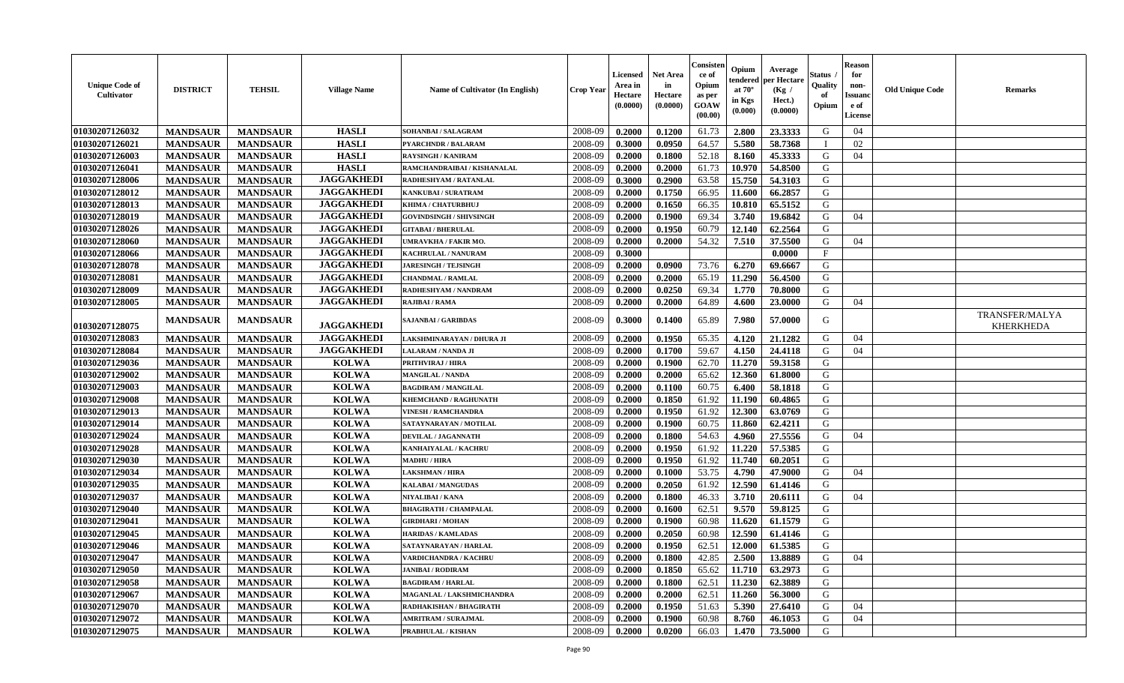| <b>Unique Code of</b><br><b>Cultivator</b> | <b>DISTRICT</b> | <b>TEHSIL</b>   | <b>Village Name</b> | Name of Cultivator (In English) | <b>Crop Year</b> | <b>Licensed</b><br>Area in<br>Hectare<br>(0.0000) | <b>Net Area</b><br>in<br>Hectare<br>(0.0000) | Consister<br>ce of<br>Opium<br>as per<br><b>GOAW</b><br>(00.00) | Opium<br>endered<br>at $70^\circ$<br>in Kgs<br>(0.000) | Average<br>per Hectare<br>(Kg /<br>Hect.)<br>(0.0000) | Status<br>Quality<br>of<br>Opium | <b>Reason</b><br>for<br>non-<br><b>Issuand</b><br>e of<br><b>License</b> | <b>Old Unique Code</b> | <b>Remarks</b>                     |
|--------------------------------------------|-----------------|-----------------|---------------------|---------------------------------|------------------|---------------------------------------------------|----------------------------------------------|-----------------------------------------------------------------|--------------------------------------------------------|-------------------------------------------------------|----------------------------------|--------------------------------------------------------------------------|------------------------|------------------------------------|
| 01030207126032                             | <b>MANDSAUR</b> | <b>MANDSAUR</b> | <b>HASLI</b>        | SOHANBAI / SALAGRAM             | 2008-09          | 0.2000                                            | 0.1200                                       | 61.73                                                           | 2.800                                                  | 23.3333                                               | G                                | 04                                                                       |                        |                                    |
| 01030207126021                             | <b>MANDSAUR</b> | <b>MANDSAUR</b> | <b>HASLI</b>        | <b>PYARCHNDR / BALARAM</b>      | 2008-09          | 0.3000                                            | 0.0950                                       | 64.57                                                           | 5.580                                                  | 58.7368                                               | - T                              | 02                                                                       |                        |                                    |
| 01030207126003                             | <b>MANDSAUR</b> | <b>MANDSAUR</b> | <b>HASLI</b>        | <b>RAYSINGH / KANIRAM</b>       | 2008-09          | 0.2000                                            | 0.1800                                       | 52.18                                                           | 8.160                                                  | 45.3333                                               | G                                | 04                                                                       |                        |                                    |
| 01030207126041                             | <b>MANDSAUR</b> | <b>MANDSAUR</b> | <b>HASLI</b>        | RAMCHANDRAIBAI / KISHANALAL     | 2008-09          | 0.2000                                            | 0.2000                                       | 61.73                                                           | 10.970                                                 | 54.8500                                               | G                                |                                                                          |                        |                                    |
| 01030207128006                             | <b>MANDSAUR</b> | <b>MANDSAUR</b> | <b>JAGGAKHEDI</b>   | RADHESHYAM / RATANLAL           | 2008-09          | 0.3000                                            | 0.2900                                       | 63.58                                                           | 15.750                                                 | 54.3103                                               | G                                |                                                                          |                        |                                    |
| 01030207128012                             | <b>MANDSAUR</b> | <b>MANDSAUR</b> | <b>JAGGAKHEDI</b>   | KANKUBAI / SURATRAM             | 2008-09          | 0.2000                                            | 0.1750                                       | 66.95                                                           | 11.600                                                 | 66.2857                                               | G                                |                                                                          |                        |                                    |
| 01030207128013                             | <b>MANDSAUR</b> | <b>MANDSAUR</b> | <b>JAGGAKHEDI</b>   | KHIMA / CHATURBHUJ              | 2008-09          | 0.2000                                            | 0.1650                                       | 66.35                                                           | 10.810                                                 | 65.5152                                               | G                                |                                                                          |                        |                                    |
| 01030207128019                             | <b>MANDSAUR</b> | <b>MANDSAUR</b> | <b>JAGGAKHEDI</b>   | <b>GOVINDSINGH / SHIVSINGH</b>  | 2008-09          | 0.2000                                            | 0.1900                                       | 69.34                                                           | 3.740                                                  | 19.6842                                               | G                                | 04                                                                       |                        |                                    |
| 01030207128026                             | <b>MANDSAUR</b> | <b>MANDSAUR</b> | <b>JAGGAKHEDI</b>   | <b>GITABAI/BHERULAL</b>         | 2008-09          | 0.2000                                            | 0.1950                                       | 60.79                                                           | 12.140                                                 | 62.2564                                               | G                                |                                                                          |                        |                                    |
| 01030207128060                             | <b>MANDSAUR</b> | <b>MANDSAUR</b> | <b>JAGGAKHEDI</b>   | UMRAVKHA / FAKIR MO.            | 2008-09          | 0.2000                                            | 0.2000                                       | 54.32                                                           | 7.510                                                  | 37.5500                                               | G                                | 04                                                                       |                        |                                    |
| 01030207128066                             | <b>MANDSAUR</b> | <b>MANDSAUR</b> | <b>JAGGAKHEDI</b>   | <b>KACHRULAL / NANURAM</b>      | 2008-09          | 0.3000                                            |                                              |                                                                 |                                                        | 0.0000                                                | $\mathbf{F}$                     |                                                                          |                        |                                    |
| 01030207128078                             | <b>MANDSAUR</b> | <b>MANDSAUR</b> | <b>JAGGAKHEDI</b>   | <b>JARESINGH / TEJSINGH</b>     | 2008-09          | 0.2000                                            | 0.0900                                       | 73.76                                                           | 6.270                                                  | 69.6667                                               | G                                |                                                                          |                        |                                    |
| 01030207128081                             | <b>MANDSAUR</b> | <b>MANDSAUR</b> | <b>JAGGAKHEDI</b>   | <b>CHANDMAL / RAMLAL</b>        | 2008-09          | 0.2000                                            | 0.2000                                       | 65.19                                                           | 11.290                                                 | 56.4500                                               | G                                |                                                                          |                        |                                    |
| 01030207128009                             | <b>MANDSAUR</b> | <b>MANDSAUR</b> | <b>JAGGAKHEDI</b>   | RADHESHYAM / NANDRAM            | 2008-09          | 0.2000                                            | 0.0250                                       | 69.34                                                           | 1.770                                                  | 70.8000                                               | G                                |                                                                          |                        |                                    |
| 01030207128005                             | <b>MANDSAUR</b> | <b>MANDSAUR</b> | <b>JAGGAKHEDI</b>   | RAJIBAI / RAMA                  | 2008-09          | 0.2000                                            | 0.2000                                       | 64.89                                                           | 4.600                                                  | 23.0000                                               | G                                | 04                                                                       |                        |                                    |
| 01030207128075                             | <b>MANDSAUR</b> | <b>MANDSAUR</b> | <b>JAGGAKHEDI</b>   | SAJANBAI / GARIBDAS             | 2008-09          | 0.3000                                            | 0.1400                                       | 65.89                                                           | 7.980                                                  | 57.0000                                               | G                                |                                                                          |                        | TRANSFER/MALYA<br><b>KHERKHEDA</b> |
| 01030207128083                             | <b>MANDSAUR</b> | <b>MANDSAUR</b> | <b>JAGGAKHEDI</b>   | LAKSHMINARAYAN / DHURA JI       | 2008-09          | 0.2000                                            | 0.1950                                       | 65.35                                                           | 4.120                                                  | 21.1282                                               | G                                | 04                                                                       |                        |                                    |
| 01030207128084                             | <b>MANDSAUR</b> | <b>MANDSAUR</b> | <b>JAGGAKHEDI</b>   | LALARAM / NANDA JI              | 2008-09          | 0.2000                                            | 0.1700                                       | 59.67                                                           | 4.150                                                  | 24.4118                                               | G                                | 04                                                                       |                        |                                    |
| 01030207129036                             | <b>MANDSAUR</b> | <b>MANDSAUR</b> | <b>KOLWA</b>        | PRITHVIRAJ / HIRA               | 2008-09          | 0.2000                                            | 0.1900                                       | 62.70                                                           | 11.270                                                 | 59.3158                                               | G                                |                                                                          |                        |                                    |
| 01030207129002                             | <b>MANDSAUR</b> | <b>MANDSAUR</b> | <b>KOLWA</b>        | <b>MANGILAL / NANDA</b>         | 2008-09          | 0.2000                                            | 0.2000                                       | 65.62                                                           | 12.360                                                 | 61.8000                                               | G                                |                                                                          |                        |                                    |
| 01030207129003                             | <b>MANDSAUR</b> | <b>MANDSAUR</b> | <b>KOLWA</b>        | <b>BAGDIRAM / MANGILAL</b>      | 2008-09          | 0.2000                                            | 0.1100                                       | 60.75                                                           | 6.400                                                  | 58.1818                                               | G                                |                                                                          |                        |                                    |
| 01030207129008                             | <b>MANDSAUR</b> | <b>MANDSAUR</b> | <b>KOLWA</b>        | <b>KHEMCHAND / RAGHUNATH</b>    | 2008-09          | 0.2000                                            | 0.1850                                       | 61.92                                                           | 11.190                                                 | 60.4865                                               | G                                |                                                                          |                        |                                    |
| 01030207129013                             | <b>MANDSAUR</b> | <b>MANDSAUR</b> | <b>KOLWA</b>        | <b>VINESH / RAMCHANDRA</b>      | 2008-09          | 0.2000                                            | 0.1950                                       | 61.92                                                           | 12.300                                                 | 63.0769                                               | G                                |                                                                          |                        |                                    |
| 01030207129014                             | <b>MANDSAUR</b> | <b>MANDSAUR</b> | <b>KOLWA</b>        | SATAYNARAYAN / MOTILAL          | 2008-09          | 0.2000                                            | 0.1900                                       | 60.75                                                           | 11.860                                                 | 62.4211                                               | G                                |                                                                          |                        |                                    |
| 01030207129024                             | <b>MANDSAUR</b> | <b>MANDSAUR</b> | <b>KOLWA</b>        | DEVILAL / JAGANNATH             | 2008-09          | 0.2000                                            | 0.1800                                       | 54.63                                                           | 4.960                                                  | 27.5556                                               | G                                | 04                                                                       |                        |                                    |
| 01030207129028                             | <b>MANDSAUR</b> | <b>MANDSAUR</b> | <b>KOLWA</b>        | KANHAIYALAL / KACHRU            | 2008-09          | 0.2000                                            | 0.1950                                       | 61.92                                                           | 11.220                                                 | 57.5385                                               | G                                |                                                                          |                        |                                    |
| 01030207129030                             | <b>MANDSAUR</b> | <b>MANDSAUR</b> | <b>KOLWA</b>        | <b>MADHU / HIRA</b>             | 2008-09          | 0.2000                                            | 0.1950                                       | 61.92                                                           | 11.740                                                 | 60.2051                                               | G                                |                                                                          |                        |                                    |
| 01030207129034                             | <b>MANDSAUR</b> | <b>MANDSAUR</b> | <b>KOLWA</b>        | <b>LAKSHMAN / HIRA</b>          | 2008-09          | 0.2000                                            | 0.1000                                       | 53.75                                                           | 4.790                                                  | 47.9000                                               | G                                | 04                                                                       |                        |                                    |
| 01030207129035                             | <b>MANDSAUR</b> | <b>MANDSAUR</b> | <b>KOLWA</b>        | <b>KALABAI/MANGUDAS</b>         | 2008-09          | 0.2000                                            | 0.2050                                       | 61.92                                                           | 12.590                                                 | 61.4146                                               | G                                |                                                                          |                        |                                    |
| 01030207129037                             | <b>MANDSAUR</b> | <b>MANDSAUR</b> | <b>KOLWA</b>        | NIYALIBAI / KANA                | 2008-09          | 0.2000                                            | 0.1800                                       | 46.33                                                           | 3.710                                                  | 20.6111                                               | G                                | 04                                                                       |                        |                                    |
| 01030207129040                             | <b>MANDSAUR</b> | <b>MANDSAUR</b> | <b>KOLWA</b>        | <b>BHAGIRATH / CHAMPALAL</b>    | 2008-09          | 0.2000                                            | 0.1600                                       | 62.51                                                           | 9.570                                                  | 59.8125                                               | ${\bf G}$                        |                                                                          |                        |                                    |
| 01030207129041                             | <b>MANDSAUR</b> | <b>MANDSAUR</b> | <b>KOLWA</b>        | <b>GIRDHARI / MOHAN</b>         | 2008-09          | 0.2000                                            | 0.1900                                       | 60.98                                                           | 11.620                                                 | 61.1579                                               | G                                |                                                                          |                        |                                    |
| 01030207129045                             | <b>MANDSAUR</b> | <b>MANDSAUR</b> | <b>KOLWA</b>        | <b>HARIDAS / KAMLADAS</b>       | 2008-09          | 0.2000                                            | 0.2050                                       | 60.98                                                           | 12.590                                                 | 61.4146                                               | G                                |                                                                          |                        |                                    |
| 01030207129046                             | <b>MANDSAUR</b> | <b>MANDSAUR</b> | <b>KOLWA</b>        | SATAYNARAYAN / HARLAL           | 2008-09          | 0.2000                                            | 0.1950                                       | 62.51                                                           | 12.000                                                 | 61.5385                                               | G                                |                                                                          |                        |                                    |
| 01030207129047                             | <b>MANDSAUR</b> | <b>MANDSAUR</b> | <b>KOLWA</b>        | <b>VARDICHANDRA / KACHRU</b>    | 2008-09          | 0.2000                                            | 0.1800                                       | 42.85                                                           | 2.500                                                  | 13.8889                                               | G                                | 04                                                                       |                        |                                    |
| 01030207129050                             | <b>MANDSAUR</b> | <b>MANDSAUR</b> | <b>KOLWA</b>        | <b>JANIBAI / RODIRAM</b>        | 2008-09          | 0.2000                                            | 0.1850                                       | 65.62                                                           | 11.710                                                 | 63.2973                                               | G                                |                                                                          |                        |                                    |
| 01030207129058                             | <b>MANDSAUR</b> | <b>MANDSAUR</b> | <b>KOLWA</b>        | <b>BAGDIRAM / HARLAL</b>        | 2008-09          | 0.2000                                            | 0.1800                                       | 62.51                                                           | 11.230                                                 | 62.3889                                               | G                                |                                                                          |                        |                                    |
| 01030207129067                             | <b>MANDSAUR</b> | <b>MANDSAUR</b> | <b>KOLWA</b>        | MAGANLAL / LAKSHMICHANDRA       | 2008-09          | 0.2000                                            | 0.2000                                       | 62.51                                                           | 11.260                                                 | 56.3000                                               | G                                |                                                                          |                        |                                    |
| 01030207129070                             | <b>MANDSAUR</b> | <b>MANDSAUR</b> | <b>KOLWA</b>        | RADHAKISHAN / BHAGIRATH         | 2008-09          | 0.2000                                            | 0.1950                                       | 51.63                                                           | 5.390                                                  | 27.6410                                               | G                                | 04                                                                       |                        |                                    |
| 01030207129072                             | <b>MANDSAUR</b> | <b>MANDSAUR</b> | <b>KOLWA</b>        | <b>AMRITRAM / SURAJMAL</b>      | 2008-09          | 0.2000                                            | 0.1900                                       | 60.98                                                           | 8.760                                                  | 46.1053                                               | G                                | 04                                                                       |                        |                                    |
| 01030207129075                             | <b>MANDSAUR</b> | <b>MANDSAUR</b> | <b>KOLWA</b>        | <b>PRABHULAL / KISHAN</b>       | 2008-09          | 0.2000                                            | 0.0200                                       | 66.03                                                           | 1.470                                                  | 73.5000                                               | G                                |                                                                          |                        |                                    |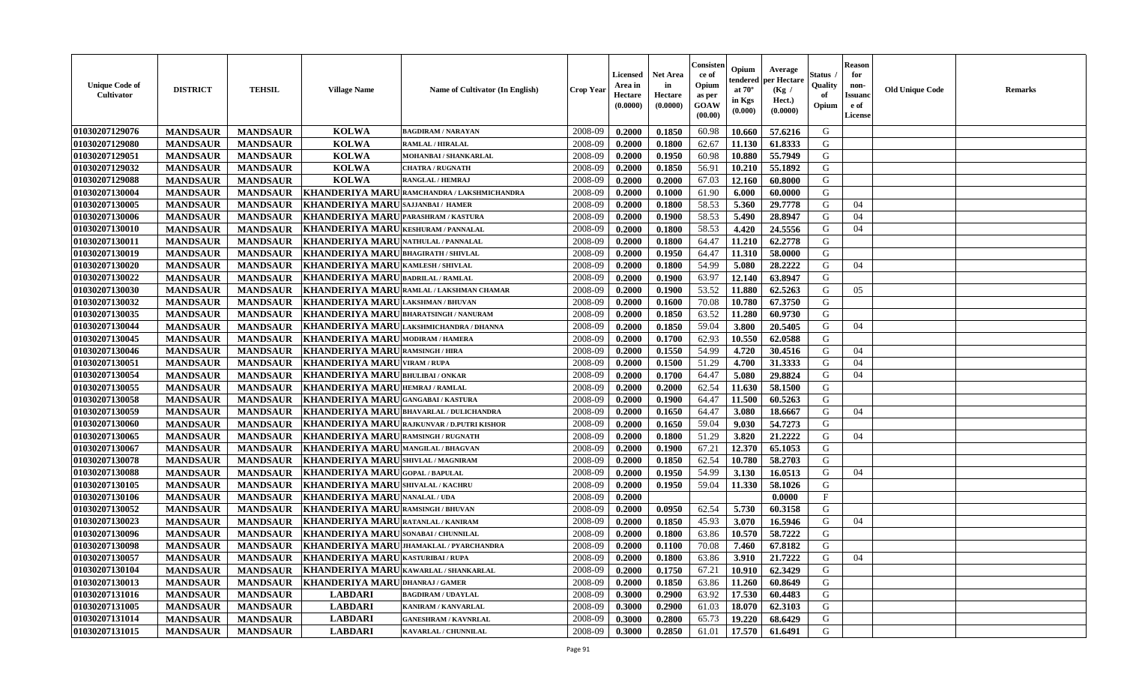| <b>Unique Code of</b><br><b>Cultivator</b> | <b>DISTRICT</b> | <b>TEHSIL</b>   | <b>Village Name</b>                          | Name of Cultivator (In English)            | <b>Crop Year</b> | Licensed<br>Area in<br>Hectare<br>(0.0000) | <b>Net Area</b><br>in<br>Hectare<br>(0.0000) | Consister<br>ce of<br>Opium<br>as per<br><b>GOAW</b><br>(00.00) | Opium<br>tendered<br>at $70^\circ$<br>in Kgs<br>$(\mathbf{0.000})$ | Average<br>per Hectare<br>(Kg)<br>Hect.)<br>(0.0000) | <b>Status</b><br>Quality<br>of<br>Opium | <b>Reason</b><br>for<br>non-<br><b>Issuand</b><br>e of<br>License | <b>Old Unique Code</b><br><b>Remarks</b> |  |
|--------------------------------------------|-----------------|-----------------|----------------------------------------------|--------------------------------------------|------------------|--------------------------------------------|----------------------------------------------|-----------------------------------------------------------------|--------------------------------------------------------------------|------------------------------------------------------|-----------------------------------------|-------------------------------------------------------------------|------------------------------------------|--|
| 01030207129076                             | <b>MANDSAUR</b> | <b>MANDSAUR</b> | <b>KOLWA</b>                                 | <b>BAGDIRAM / NARAYAN</b>                  | 2008-09          | 0.2000                                     | 0.1850                                       | 60.98                                                           | 10.660                                                             | 57.6216                                              | G                                       |                                                                   |                                          |  |
| 01030207129080                             | <b>MANDSAUR</b> | <b>MANDSAUR</b> | <b>KOLWA</b>                                 | <b>RAMLAL / HIRALAL</b>                    | 2008-09          | 0.2000                                     | 0.1800                                       | 62.67                                                           | 11.130                                                             | 61.8333                                              | G                                       |                                                                   |                                          |  |
| 01030207129051                             | <b>MANDSAUR</b> | <b>MANDSAUR</b> | <b>KOLWA</b>                                 | MOHANBAI / SHANKARLAL                      | 2008-09          | 0.2000                                     | 0.1950                                       | 60.98                                                           | 10.880                                                             | 55.7949                                              | G                                       |                                                                   |                                          |  |
| 01030207129032                             | <b>MANDSAUR</b> | <b>MANDSAUR</b> | <b>KOLWA</b>                                 | <b>CHATRA / RUGNATH</b>                    | 2008-09          | 0.2000                                     | 0.1850                                       | 56.91                                                           | 10.210                                                             | 55.1892                                              | G                                       |                                                                   |                                          |  |
| 01030207129088                             | <b>MANDSAUR</b> | <b>MANDSAUR</b> | <b>KOLWA</b>                                 | <b>RANGLAL / HEMRAJ</b>                    | 2008-09          | 0.2000                                     | 0.2000                                       | 67.03                                                           | 12.160                                                             | 60.8000                                              | G                                       |                                                                   |                                          |  |
| 01030207130004                             | <b>MANDSAUR</b> | <b>MANDSAUR</b> |                                              | KHANDERIYA MARURAMCHANDRA / LAKSHMICHANDRA | 2008-09          | 0.2000                                     | 0.1000                                       | 61.90                                                           | 6.000                                                              | 60.0000                                              | G                                       |                                                                   |                                          |  |
| 01030207130005                             | <b>MANDSAUR</b> | <b>MANDSAUR</b> | <b>KHANDERIYA MARU</b>                       | SAJJANBAI / HAMER                          | 2008-09          | 0.2000                                     | 0.1800                                       | 58.53                                                           | 5.360                                                              | 29.7778                                              | G                                       | 04                                                                |                                          |  |
| 01030207130006                             | <b>MANDSAUR</b> | <b>MANDSAUR</b> | <b>KHANDERIYA MARU PARASHRAM / KASTURA</b>   |                                            | 2008-09          | 0.2000                                     | 0.1900                                       | 58.53                                                           | 5.490                                                              | 28.8947                                              | G                                       | 04                                                                |                                          |  |
| 01030207130010                             | <b>MANDSAUR</b> | <b>MANDSAUR</b> | <b>KHANDERIYA MARU</b>                       | <b>KESHURAM / PANNALAL</b>                 | 2008-09          | 0.2000                                     | 0.1800                                       | 58.53                                                           | 4.420                                                              | 24.5556                                              | G                                       | 04                                                                |                                          |  |
| 01030207130011                             | <b>MANDSAUR</b> | <b>MANDSAUR</b> | <b>KHANDERIYA MARU</b>                       | NATHULAL / PANNALAL                        | 2008-09          | 0.2000                                     | 0.1800                                       | 64.47                                                           | 11.210                                                             | 62.2778                                              | G                                       |                                                                   |                                          |  |
| 01030207130019                             | <b>MANDSAUR</b> | <b>MANDSAUR</b> | <b>KHANDERIYA MARU BHAGIRATH / SHIVLAL</b>   |                                            | 2008-09          | 0.2000                                     | 0.1950                                       | 64.47                                                           | 11.310                                                             | 58.0000                                              | G                                       |                                                                   |                                          |  |
| 01030207130020                             | <b>MANDSAUR</b> | <b>MANDSAUR</b> | <b>KHANDERIYA MARU KAMLESH / SHIVLAL</b>     |                                            | 2008-09          | 0.2000                                     | 0.1800                                       | 54.99                                                           | 5.080                                                              | 28,2222                                              | G                                       | 04                                                                |                                          |  |
| 01030207130022                             | <b>MANDSAUR</b> | <b>MANDSAUR</b> | KHANDERIYA MARUBADRILAL / RAMLAL             |                                            | 2008-09          | 0.2000                                     | 0.1900                                       | 63.97                                                           | 12.140                                                             | 63.8947                                              | G                                       |                                                                   |                                          |  |
| 01030207130030                             | <b>MANDSAUR</b> | <b>MANDSAUR</b> |                                              | KHANDERIYA MARURAMLAL / LAKSHMAN CHAMAR    | 2008-09          | 0.2000                                     | 0.1900                                       | 53.52                                                           | 11.880                                                             | 62.5263                                              | G                                       | 05                                                                |                                          |  |
| 01030207130032                             | <b>MANDSAUR</b> | <b>MANDSAUR</b> | KHANDERIYA MARU                              | <b>LAKSHMAN / BHUVAN</b>                   | 2008-09          | 0.2000                                     | 0.1600                                       | 70.08                                                           | 10.780                                                             | 67.3750                                              | G                                       |                                                                   |                                          |  |
| 01030207130035                             | <b>MANDSAUR</b> | <b>MANDSAUR</b> | KHANDERIYA MARU BHARATSINGH / NANURAM        |                                            | 2008-09          | 0.2000                                     | 0.1850                                       | 63.52                                                           | 11.280                                                             | 60.9730                                              | G                                       |                                                                   |                                          |  |
| 01030207130044                             | <b>MANDSAUR</b> | <b>MANDSAUR</b> |                                              | KHANDERIYA MARU LAKSHMICHANDRA / DHANNA    | 2008-09          | 0.2000                                     | 0.1850                                       | 59.04                                                           | 3.800                                                              | 20.5405                                              | G                                       | 04                                                                |                                          |  |
| 01030207130045                             | <b>MANDSAUR</b> | <b>MANDSAUR</b> | KHANDERIYA MARU MODIRAM / HAMERA             |                                            | 2008-09          | 0.2000                                     | 0.1700                                       | 62.93                                                           | 10.550                                                             | 62.0588                                              | G                                       |                                                                   |                                          |  |
| 01030207130046                             | <b>MANDSAUR</b> | <b>MANDSAUR</b> | <b>KHANDERIYA MARU RAMSINGH / HIRA</b>       |                                            | 2008-09          | 0.2000                                     | 0.1550                                       | 54.99                                                           | 4.720                                                              | 30.4516                                              | G                                       | 04                                                                |                                          |  |
| 01030207130051                             | <b>MANDSAUR</b> | <b>MANDSAUR</b> | <b>KHANDERIYA MARI</b>                       | <b>VIRAM / RUPA</b>                        | 2008-09          | 0.2000                                     | 0.1500                                       | 51.29                                                           | 4.700                                                              | 31.3333                                              | G                                       | 04                                                                |                                          |  |
| 01030207130054                             | <b>MANDSAUR</b> | <b>MANDSAUR</b> | <b>KHANDERIYA MARI</b>                       | <b>BHULIBAI / ONKAR</b>                    | 2008-09          | 0.2000                                     | 0.1700                                       | 64.47                                                           | 5.080                                                              | 29.8824                                              | G                                       | 04                                                                |                                          |  |
| 01030207130055                             | <b>MANDSAUR</b> | <b>MANDSAUR</b> | KHANDERIYA MARU HEMRAJ / RAMLAL              |                                            | 2008-09          | 0.2000                                     | 0.2000                                       | 62.54                                                           | 11.630                                                             | 58.1500                                              | G                                       |                                                                   |                                          |  |
| 01030207130058                             | <b>MANDSAUR</b> | <b>MANDSAUR</b> | <b>KHANDERIYA MARU</b> GANGABAI / KASTURA    |                                            | 2008-09          | 0.2000                                     | 0.1900                                       | 64.47                                                           | 11.500                                                             | 60.5263                                              | G                                       |                                                                   |                                          |  |
| 01030207130059                             | <b>MANDSAUR</b> | <b>MANDSAUR</b> |                                              | KHANDERIYA MARU BHAVARLAL / DULICHANDRA    | 2008-09          | 0.2000                                     | 0.1650                                       | 64.47                                                           | 3.080                                                              | 18.6667                                              | G                                       | 04                                                                |                                          |  |
| 01030207130060                             | <b>MANDSAUR</b> | <b>MANDSAUR</b> |                                              | KHANDERIYA MARU RAJKUNVAR / D.PUTRI KISHOR | 2008-09          | 0.2000                                     | 0.1650                                       | 59.04                                                           | 9.030                                                              | 54.7273                                              | G                                       |                                                                   |                                          |  |
| 01030207130065                             | <b>MANDSAUR</b> | <b>MANDSAUR</b> | <b>KHANDERIYA MARU</b>                       | <b>RAMSINGH / RUGNATH</b>                  | 2008-09          | 0.2000                                     | 0.1800                                       | 51.29                                                           | 3.820                                                              | 21.2222                                              | G                                       | 04                                                                |                                          |  |
| 01030207130067                             | <b>MANDSAUR</b> | <b>MANDSAUR</b> | KHANDERIYA MARU MANGILAL / BHAGVAN           |                                            | 2008-09          | 0.2000                                     | 0.1900                                       | 67.21                                                           | 12.370                                                             | 65.1053                                              | G                                       |                                                                   |                                          |  |
| 01030207130078                             | <b>MANDSAUR</b> | <b>MANDSAUR</b> | <b>KHANDERIYA MARU SHIVLAL / MAGNIRAM</b>    |                                            | 2008-09          | 0.2000                                     | 0.1850                                       | 62.54                                                           | 10.780                                                             | 58.2703                                              | G                                       |                                                                   |                                          |  |
| 01030207130088                             | <b>MANDSAUR</b> | <b>MANDSAUR</b> | <b>KHANDERIYA MARI</b>                       | <b>GOPAL / BAPULAL</b>                     | 2008-09          | 0.2000                                     | 0.1950                                       | 54.99                                                           | 3.130                                                              | 16.0513                                              | G                                       | 04                                                                |                                          |  |
| 01030207130105                             | <b>MANDSAUR</b> | <b>MANDSAUR</b> | <b>KHANDERIYA MARU</b>                       | <b>SHIVALAL / KACHRU</b>                   | 2008-09          | 0.2000                                     | 0.1950                                       | 59.04                                                           | 11.330                                                             | 58.1026                                              | G                                       |                                                                   |                                          |  |
| 01030207130106                             | <b>MANDSAUR</b> | <b>MANDSAUR</b> | <b>KHANDERIYA MARU</b>                       | <b>NANALAL / UDA</b>                       | 2008-09          | 0.2000                                     |                                              |                                                                 |                                                                    | 0.0000                                               | F                                       |                                                                   |                                          |  |
| 01030207130052                             | <b>MANDSAUR</b> | <b>MANDSAUR</b> | <b>KHANDERIYA MARI</b>                       | <b>RAMSINGH / BHUVAN</b>                   | 2008-09          | 0.2000                                     | 0.0950                                       | 62.54                                                           | 5.730                                                              | 60.3158                                              | G                                       |                                                                   |                                          |  |
| 01030207130023                             | <b>MANDSAUR</b> | <b>MANDSAUR</b> | KHANDERIYA MARU RATANLAL / KANIRAM           |                                            | 2008-09          | 0.2000                                     | 0.1850                                       | 45.93                                                           | 3.070                                                              | 16.5946                                              | G                                       | 04                                                                |                                          |  |
| 01030207130096                             | <b>MANDSAUR</b> | <b>MANDSAUR</b> | <b>KHANDERIYA MARU</b> SONABAI / CHUNNILAL   |                                            | 2008-09          | 0.2000                                     | 0.1800                                       | 63.86                                                           | 10.570                                                             | 58.7222                                              | G                                       |                                                                   |                                          |  |
| 01030207130098                             | <b>MANDSAUR</b> | <b>MANDSAUR</b> |                                              | KHANDERIYA MARU JHAMAKLAL / PYARCHANDRA    | 2008-09          | 0.2000                                     | 0.1100                                       | 70.08                                                           | 7.460                                                              | 67.8182                                              | G                                       |                                                                   |                                          |  |
| <b>01030207130057</b>                      | <b>MANDSAUR</b> |                 | MANDSAUR   KHANDERIYA MARU KASTURIBAI / RUPA |                                            | 2008-09          | 0.2000                                     | 0.1800                                       | 63.86                                                           |                                                                    | $3.910$   21.7222                                    | G                                       | 04                                                                |                                          |  |
| 01030207130104                             | <b>MANDSAUR</b> | <b>MANDSAUR</b> | KHANDERIYA MARU KAWARLAL / SHANKARLAL        |                                            | 2008-09          | 0.2000                                     | 0.1750                                       | 67.21                                                           | 10.910                                                             | 62.3429                                              | G                                       |                                                                   |                                          |  |
| 01030207130013                             | <b>MANDSAUR</b> | <b>MANDSAUR</b> | KHANDERIYA MARUDHANRAJ/GAMER                 |                                            | 2008-09          | 0.2000                                     | 0.1850                                       | 63.86                                                           | 11.260                                                             | 60.8649                                              | G                                       |                                                                   |                                          |  |
| 01030207131016                             | <b>MANDSAUR</b> | <b>MANDSAUR</b> | <b>LABDARI</b>                               | <b>BAGDIRAM / UDAYLAL</b>                  | 2008-09          | 0.3000                                     | 0.2900                                       | 63.92                                                           | 17.530                                                             | 60.4483                                              | G                                       |                                                                   |                                          |  |
| 01030207131005                             | <b>MANDSAUR</b> | <b>MANDSAUR</b> | <b>LABDARI</b>                               | <b>KANIRAM / KANVARLAL</b>                 | 2008-09          | 0.3000                                     | 0.2900                                       | 61.03                                                           | 18.070                                                             | 62.3103                                              | G                                       |                                                                   |                                          |  |
| 01030207131014                             | <b>MANDSAUR</b> | <b>MANDSAUR</b> | <b>LABDARI</b>                               | <b>GANESHRAM / KAVNRLAL</b>                | 2008-09          | 0.3000                                     | 0.2800                                       | 65.73                                                           | 19.220                                                             | 68.6429                                              | G                                       |                                                                   |                                          |  |
| 01030207131015                             | <b>MANDSAUR</b> | <b>MANDSAUR</b> | <b>LABDARI</b>                               | KAVARLAL / CHUNNILAL                       | 2008-09          | 0.3000                                     | 0.2850                                       | 61.01                                                           | 17.570                                                             | 61.6491                                              | G                                       |                                                                   |                                          |  |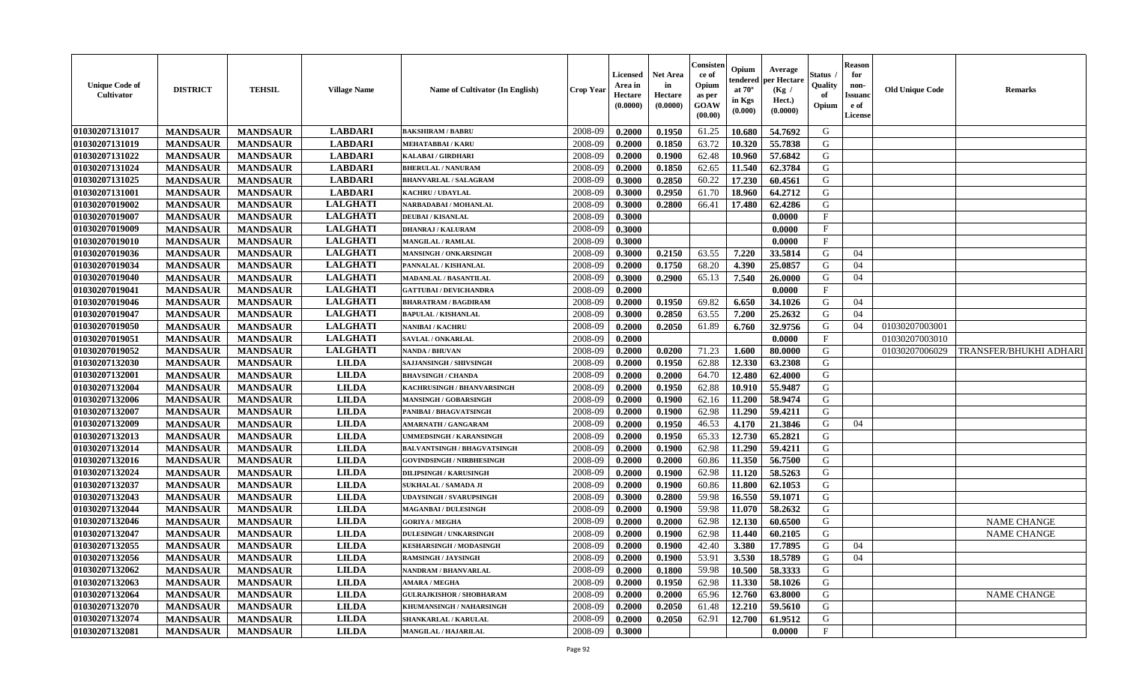| <b>Unique Code of</b><br><b>Cultivator</b> | <b>DISTRICT</b> | <b>TEHSIL</b>   | <b>Village Name</b> | Name of Cultivator (In English)    | <b>Crop Year</b> | <b>Licensed</b><br>Area in<br>Hectare<br>(0.0000) | <b>Net Area</b><br>in<br>Hectare<br>(0.0000) | Consister<br>ce of<br>Opium<br>as per<br>GOAW<br>(00.00) | Opium<br>endered<br>at $70^\circ$<br>in Kgs<br>$(\mathbf{0.000})$ | Average<br>oer Hectare<br>(Kg /<br>Hect.)<br>(0.0000) | Status<br>Quality<br>of<br>Opium | Reason<br>for<br>non-<br>Issuan<br>e of<br>License | <b>Old Unique Code</b> | <b>Remarks</b>         |
|--------------------------------------------|-----------------|-----------------|---------------------|------------------------------------|------------------|---------------------------------------------------|----------------------------------------------|----------------------------------------------------------|-------------------------------------------------------------------|-------------------------------------------------------|----------------------------------|----------------------------------------------------|------------------------|------------------------|
| 01030207131017                             | <b>MANDSAUR</b> | <b>MANDSAUR</b> | <b>LABDARI</b>      | <b>BAKSHIRAM / BABRU</b>           | 2008-09          | 0.2000                                            | 0.1950                                       | 61.25                                                    | 10.680                                                            | 54.7692                                               | G                                |                                                    |                        |                        |
| 01030207131019                             | <b>MANDSAUR</b> | <b>MANDSAUR</b> | <b>LABDARI</b>      | <b>MEHATABBAI/KARU</b>             | 2008-09          | 0.2000                                            | 0.1850                                       | 63.72                                                    | 10.320                                                            | 55.7838                                               | G                                |                                                    |                        |                        |
| 01030207131022                             | <b>MANDSAUR</b> | <b>MANDSAUR</b> | <b>LABDARI</b>      | KALABAI / GIRDHARI                 | 2008-09          | 0.2000                                            | 0.1900                                       | 62.48                                                    | 10.960                                                            | 57.6842                                               | G                                |                                                    |                        |                        |
| 01030207131024                             | <b>MANDSAUR</b> | <b>MANDSAUR</b> | <b>LABDARI</b>      | <b>BHERULAL / NANURAM</b>          | 2008-09          | 0.2000                                            | 0.1850                                       | 62.65                                                    | 11.540                                                            | 62.3784                                               | G                                |                                                    |                        |                        |
| 01030207131025                             | <b>MANDSAUR</b> | <b>MANDSAUR</b> | <b>LABDARI</b>      | <b>BHANVARLAL / SALAGRAM</b>       | 2008-09          | 0.3000                                            | 0.2850                                       | 60.22                                                    | 17.230                                                            | 60.4561                                               | G                                |                                                    |                        |                        |
| 01030207131001                             | <b>MANDSAUR</b> | <b>MANDSAUR</b> | <b>LABDARI</b>      | <b>KACHRU / UDAYLAL</b>            | 2008-09          | 0.3000                                            | 0.2950                                       | 61.70                                                    | 18.960                                                            | 64.2712                                               | G                                |                                                    |                        |                        |
| 01030207019002                             | <b>MANDSAUR</b> | <b>MANDSAUR</b> | <b>LALGHATI</b>     | NARBADABAI / MOHANLAL              | 2008-09          | 0.3000                                            | 0.2800                                       | 66.41                                                    | 17.480                                                            | 62.4286                                               | G                                |                                                    |                        |                        |
| 01030207019007                             | <b>MANDSAUR</b> | <b>MANDSAUR</b> | <b>LALGHATI</b>     | <b>DEUBAI/KISANLAL</b>             | 2008-09          | 0.3000                                            |                                              |                                                          |                                                                   | 0.0000                                                | $_{\rm F}$                       |                                                    |                        |                        |
| 01030207019009                             | <b>MANDSAUR</b> | <b>MANDSAUR</b> | <b>LALGHATI</b>     | <b>DHANRAJ / KALURAM</b>           | 2008-09          | 0.3000                                            |                                              |                                                          |                                                                   | 0.0000                                                | F                                |                                                    |                        |                        |
| 01030207019010                             | <b>MANDSAUR</b> | <b>MANDSAUR</b> | <b>LALGHATI</b>     | <b>MANGILAL / RAMLAL</b>           | 2008-09          | 0.3000                                            |                                              |                                                          |                                                                   | 0.0000                                                | $\mathbf F$                      |                                                    |                        |                        |
| 01030207019036                             | <b>MANDSAUR</b> | <b>MANDSAUR</b> | <b>LALGHATI</b>     | <b>MANSINGH / ONKARSINGH</b>       | 2008-09          | 0.3000                                            | 0.2150                                       | 63.55                                                    | 7.220                                                             | 33.5814                                               | G                                | 04                                                 |                        |                        |
| 01030207019034                             | <b>MANDSAUR</b> | <b>MANDSAUR</b> | <b>LALGHATI</b>     | PANNALAL / KISHANLAL               | 2008-09          | 0.2000                                            | 0.1750                                       | 68.20                                                    | 4.390                                                             | 25.0857                                               | G                                | 04                                                 |                        |                        |
| 01030207019040                             | <b>MANDSAUR</b> | <b>MANDSAUR</b> | <b>LALGHATI</b>     | <b>MADANLAL / BASANTILAL</b>       | 2008-09          | 0.3000                                            | 0.2900                                       | 65.13                                                    | 7.540                                                             | 26.0000                                               | G                                | 04                                                 |                        |                        |
| 01030207019041                             | <b>MANDSAUR</b> | <b>MANDSAUR</b> | <b>LALGHATI</b>     | <b>GATTUBAI/DEVICHANDRA</b>        | 2008-09          | 0.2000                                            |                                              |                                                          |                                                                   | 0.0000                                                | $\mathbf{F}$                     |                                                    |                        |                        |
| 01030207019046                             | <b>MANDSAUR</b> | <b>MANDSAUR</b> | <b>LALGHATI</b>     | <b>BHARATRAM / BAGDIRAM</b>        | 2008-09          | 0.2000                                            | 0.1950                                       | 69.82                                                    | 6.650                                                             | 34.1026                                               | G                                | 04                                                 |                        |                        |
| 01030207019047                             | <b>MANDSAUR</b> | <b>MANDSAUR</b> | <b>LALGHATI</b>     | <b>BAPULAL / KISHANLAL</b>         | 2008-09          | 0.3000                                            | 0.2850                                       | 63.55                                                    | 7.200                                                             | 25.2632                                               | G                                | 04                                                 |                        |                        |
| 01030207019050                             | <b>MANDSAUR</b> | <b>MANDSAUR</b> | <b>LALGHATI</b>     | NANIBAI / KACHRU                   | 2008-09          | 0.2000                                            | 0.2050                                       | 61.89                                                    | 6.760                                                             | 32.9756                                               | G                                | 04                                                 | 01030207003001         |                        |
| 01030207019051                             | <b>MANDSAUR</b> | <b>MANDSAUR</b> | <b>LALGHATI</b>     | <b>SAVLAL / ONKARLAL</b>           | 2008-09          | 0.2000                                            |                                              |                                                          |                                                                   | 0.0000                                                | $\mathbf F$                      |                                                    | 01030207003010         |                        |
| 01030207019052                             | <b>MANDSAUR</b> | <b>MANDSAUR</b> | <b>LALGHATI</b>     | <b>NANDA / BHUVAN</b>              | 2008-09          | 0.2000                                            | 0.0200                                       | 71.23                                                    | 1.600                                                             | 80.0000                                               | G                                |                                                    | 01030207006029         | TRANSFER/BHUKHI ADHARI |
| 01030207132030                             | <b>MANDSAUR</b> | <b>MANDSAUR</b> | <b>LILDA</b>        | <b>SAJJANSINGH / SHIVSINGH</b>     | 2008-09          | 0.2000                                            | 0.1950                                       | 62.88                                                    | 12.330                                                            | 63.2308                                               | G                                |                                                    |                        |                        |
| 01030207132001                             | <b>MANDSAUR</b> | <b>MANDSAUR</b> | <b>LILDA</b>        | <b>BHAVSINGH / CHANDA</b>          | 2008-09          | 0.2000                                            | 0.2000                                       | 64.70                                                    | 12.480                                                            | 62.4000                                               | G                                |                                                    |                        |                        |
| 01030207132004                             | <b>MANDSAUR</b> | <b>MANDSAUR</b> | <b>LILDA</b>        | KACHRUSINGH / BHANVARSINGH         | 2008-09          | 0.2000                                            | 0.1950                                       | 62.88                                                    | 10.910                                                            | 55,9487                                               | G                                |                                                    |                        |                        |
| 01030207132006                             | <b>MANDSAUR</b> | <b>MANDSAUR</b> | <b>LILDA</b>        | <b>MANSINGH / GOBARSINGH</b>       | 2008-09          | 0.2000                                            | 0.1900                                       | 62.16                                                    | 11.200                                                            | 58.9474                                               | G                                |                                                    |                        |                        |
| 01030207132007                             | <b>MANDSAUR</b> | <b>MANDSAUR</b> | <b>LILDA</b>        | PANIBAI / BHAGVATSINGH             | 2008-09          | 0.2000                                            | 0.1900                                       | 62.98                                                    | 11.290                                                            | 59.4211                                               | G                                |                                                    |                        |                        |
| 01030207132009                             | <b>MANDSAUR</b> | <b>MANDSAUR</b> | <b>LILDA</b>        | <b>AMARNATH / GANGARAM</b>         | 2008-09          | 0.2000                                            | 0.1950                                       | 46.53                                                    | 4.170                                                             | 21.3846                                               | G                                | 04                                                 |                        |                        |
| 01030207132013                             | <b>MANDSAUR</b> | <b>MANDSAUR</b> | <b>LILDA</b>        | UMMEDSINGH / KARANSINGH            | 2008-09          | 0.2000                                            | 0.1950                                       | 65.33                                                    | 12.730                                                            | 65.2821                                               | G                                |                                                    |                        |                        |
| 01030207132014                             | <b>MANDSAUR</b> | <b>MANDSAUR</b> | <b>LILDA</b>        | <b>BALVANTSINGH / BHAGVATSINGH</b> | 2008-09          | 0.2000                                            | 0.1900                                       | 62.98                                                    | 11.290                                                            | 59.4211                                               | G                                |                                                    |                        |                        |
| 01030207132016                             | <b>MANDSAUR</b> | <b>MANDSAUR</b> | <b>LILDA</b>        | <b>GOVINDSINGH / NIRBHESINGH</b>   | 2008-09          | 0.2000                                            | 0.2000                                       | 60.86                                                    | 11.350                                                            | 56.7500                                               | G                                |                                                    |                        |                        |
| 01030207132024                             | <b>MANDSAUR</b> | <b>MANDSAUR</b> | <b>LILDA</b>        | <b>DILIPSINGH / KARUSINGH</b>      | 2008-09          | 0.2000                                            | 0.1900                                       | 62.98                                                    | 11.120                                                            | 58.5263                                               | G                                |                                                    |                        |                        |
| 01030207132037                             | <b>MANDSAUR</b> | <b>MANDSAUR</b> | <b>LILDA</b>        | SUKHALAL / SAMADA JI               | 2008-09          | 0.2000                                            | 0.1900                                       | 60.86                                                    | 11.800                                                            | 62.1053                                               | G                                |                                                    |                        |                        |
| 01030207132043                             | <b>MANDSAUR</b> | <b>MANDSAUR</b> | <b>LILDA</b>        | <b>UDAYSINGH / SVARUPSINGH</b>     | 2008-09          | 0.3000                                            | 0.2800                                       | 59.98                                                    | 16.550                                                            | 59.1071                                               | G                                |                                                    |                        |                        |
| 01030207132044                             | <b>MANDSAUR</b> | <b>MANDSAUR</b> | <b>LILDA</b>        | <b>MAGANBAI / DULESINGH</b>        | 2008-09          | 0.2000                                            | 0.1900                                       | 59.98                                                    | 11.070                                                            | 58.2632                                               | G                                |                                                    |                        |                        |
| 01030207132046                             | <b>MANDSAUR</b> | <b>MANDSAUR</b> | <b>LILDA</b>        | <b>GORIYA / MEGHA</b>              | 2008-09          | 0.2000                                            | 0.2000                                       | 62.98                                                    | 12.130                                                            | 60.6500                                               | G                                |                                                    |                        | <b>NAME CHANGE</b>     |
| 01030207132047                             | <b>MANDSAUR</b> | <b>MANDSAUR</b> | <b>LILDA</b>        | <b>DULESINGH / UNKARSINGH</b>      | 2008-09          | 0.2000                                            | 0.1900                                       | 62.98                                                    | 11.440                                                            | 60.2105                                               | G                                |                                                    |                        | <b>NAME CHANGE</b>     |
| 01030207132055                             | <b>MANDSAUR</b> | <b>MANDSAUR</b> | <b>LILDA</b>        | <b>KESHARSINGH / MODASINGH</b>     | 2008-09          | 0.2000                                            | 0.1900                                       | 42.40                                                    | 3.380                                                             | 17.7895                                               | G                                | 04                                                 |                        |                        |
| 01030207132056                             | <b>MANDSAUR</b> | MANDSAUR        | <b>LILDA</b>        | <b>RAMSINGH / JAYSINGH</b>         | 2008-09          | 0.2000                                            | 0.1900                                       | 53.91                                                    | 3.530                                                             | 18.5789                                               | G                                | 04                                                 |                        |                        |
| 01030207132062                             | <b>MANDSAUR</b> | <b>MANDSAUR</b> | <b>LILDA</b>        | <b>NANDRAM / BHANVARLAL</b>        | 2008-09          | 0.2000                                            | 0.1800                                       | 59.98                                                    | 10.500                                                            | 58.3333                                               | G                                |                                                    |                        |                        |
| 01030207132063                             | <b>MANDSAUR</b> | <b>MANDSAUR</b> | <b>LILDA</b>        | AMARA / MEGHA                      | 2008-09          | 0.2000                                            | 0.1950                                       | 62.98                                                    | 11.330                                                            | 58.1026                                               | G                                |                                                    |                        |                        |
| 01030207132064                             | <b>MANDSAUR</b> | <b>MANDSAUR</b> | <b>LILDA</b>        | <b>GULRAJKISHOR / SHOBHARAM</b>    | 2008-09          | 0.2000                                            | 0.2000                                       | 65.96                                                    | 12.760                                                            | 63.8000                                               | G                                |                                                    |                        | <b>NAME CHANGE</b>     |
| 01030207132070                             | <b>MANDSAUR</b> | <b>MANDSAUR</b> | <b>LILDA</b>        | KHUMANSINGH / NAHARSINGH           | 2008-09          | 0.2000                                            | 0.2050                                       | 61.48                                                    | 12.210                                                            | 59.5610                                               | G                                |                                                    |                        |                        |
| 01030207132074                             | <b>MANDSAUR</b> | <b>MANDSAUR</b> | <b>LILDA</b>        | SHANKARLAL / KARULAL               | 2008-09          | 0.2000                                            | 0.2050                                       | 62.91                                                    | 12.700                                                            | 61.9512                                               | G                                |                                                    |                        |                        |
| 01030207132081                             | <b>MANDSAUR</b> | <b>MANDSAUR</b> | <b>LILDA</b>        | MANGILAL / HAJARILAL               | 2008-09          | 0.3000                                            |                                              |                                                          |                                                                   | 0.0000                                                | $\mathbf F$                      |                                                    |                        |                        |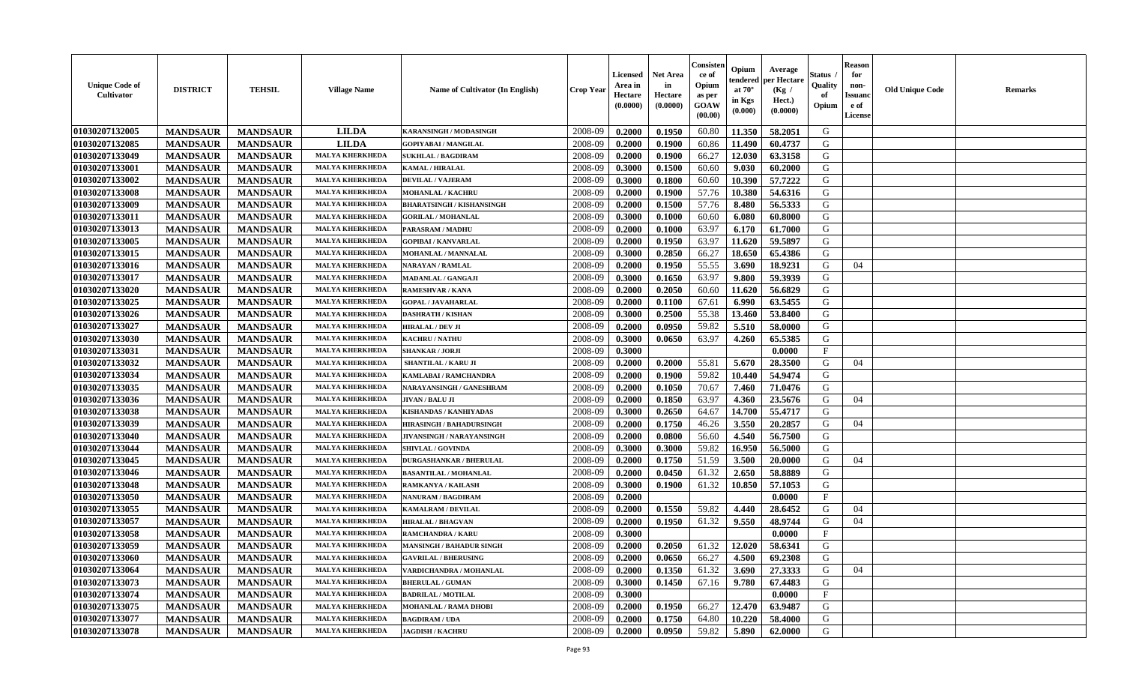| 01030207132005<br>2008-09<br>G<br><b>LILDA</b><br>0.2000<br>0.1950<br>60.80<br>11.350<br><b>MANDSAUR</b><br><b>MANDSAUR</b><br>58.2051<br>KARANSINGH / MODASINGH<br>01030207132085<br><b>LILDA</b><br>2008-09<br>60.86<br>11.490<br>60.4737<br>G<br><b>MANDSAUR</b><br><b>MANDSAUR</b><br>0.2000<br>0.1900<br><b>GOPIYABAI / MANGILAL</b><br>01030207133049<br><b>MANDSAUR</b><br>12.030<br>G<br><b>MANDSAUR</b><br><b>MALYA KHERKHEDA</b><br>2008-09<br>0.2000<br>0.1900<br>66.27<br>63.3158<br><b>SUKHLAL / BAGDIRAM</b><br>G<br>01030207133001<br><b>MANDSAUR</b><br><b>MANDSAUR</b><br>2008-09<br>0.3000<br>0.1500<br>60.60<br>9.030<br>60.2000<br><b>MALYA KHERKHEDA</b><br><b>KAMAL / HIRALAL</b><br>57.7222<br>01030207133002<br><b>MANDSAUR</b><br><b>MANDSAUR</b><br>2008-09<br>0.3000<br>0.1800<br>60.60<br>10.390<br>G<br><b>MALYA KHERKHEDA</b><br><b>DEVILAL / VAJERAM</b><br>01030207133008<br><b>MANDSAUR</b><br><b>MANDSAUR</b><br>0.1900<br>57.76<br>10.380<br>54.6316<br>G<br><b>MALYA KHERKHEDA</b><br>2008-09<br>0.2000<br><b>MOHANLAL / KACHRU</b><br>01030207133009<br><b>MANDSAUR</b><br><b>MANDSAUR</b><br>0.1500<br>57.76<br>8.480<br>56.5333<br>G<br><b>MALYA KHERKHEDA</b><br>2008-09<br>0.2000<br><b>BHARATSINGH / KISHANSINGH</b><br>01030207133011<br>G<br><b>MANDSAUR</b><br><b>MANDSAUR</b><br><b>MALYA KHERKHEDA</b><br>2008-09<br>0.3000<br>60.60<br>60.8000<br>0.1000<br>6.080<br><b>GORILAL / MOHANLAL</b><br>01030207133013<br><b>MANDSAUR</b><br>2008-09<br>63.97<br>G<br><b>MANDSAUR</b><br><b>MALYA KHERKHEDA</b><br>0.2000<br>0.1000<br>6.170<br>61.7000<br>PARASRAM / MADHU<br>01030207133005<br>2008-09<br>63.97<br>G<br><b>MANDSAUR</b><br>0.2000<br>0.1950<br>11.620<br>59.5897<br><b>MANDSAUR</b><br><b>MALYA KHERKHEDA</b><br><b>GOPIBAI/KANVARLAL</b><br>0.2850<br>18.650<br>65.4386<br>G<br>01030207133015<br><b>MANDSAUR</b><br><b>MANDSAUR</b><br>2008-09<br>0.3000<br>66.27<br><b>MALYA KHERKHEDA</b><br>MOHANLAL / MANNALAL<br>01030207133016<br><b>MANDSAUR</b><br>0.1950<br>55.55<br>18.9231<br><b>MANDSAUR</b><br><b>MALYA KHERKHEDA</b><br>2008-09<br>0.2000<br>3.690<br>G<br><b>NARAYAN / RAMLAL</b><br>04<br>01030207133017<br>63.97<br>9.800<br>59.3939<br><b>MANDSAUR</b><br><b>MANDSAUR</b><br><b>MALYA KHERKHEDA</b><br>2008-09<br>0.3000<br>0.1650<br>G<br>MADANLAL / GANGAJI<br>01030207133020<br><b>MANDSAUR</b><br><b>MANDSAUR</b><br>11.620<br>56.6829<br>G<br><b>MALYA KHERKHEDA</b><br>2008-09<br>0.2000<br>0.2050<br>60.60<br><b>RAMESHVAR / KANA</b><br>01030207133025<br>63.5455<br>G<br><b>MANDSAUR</b><br><b>MANDSAUR</b><br>2008-09<br>0.2000<br>0.1100<br>67.61<br>6.990<br><b>MALYA KHERKHEDA</b><br><b>GOPAL / JAVAHARLAL</b><br>13.460<br>G<br>01030207133026<br><b>MANDSAUR</b><br><b>MANDSAUR</b><br>2008-09<br>0.3000<br>0.2500<br>55.38<br>53.8400<br><b>MALYA KHERKHEDA</b><br><b>DASHRATH / KISHAN</b><br>5.510<br>G<br>01030207133027<br><b>MANDSAUR</b><br><b>MANDSAUR</b><br><b>MALYA KHERKHEDA</b><br>2008-09<br>0.0950<br>59.82<br>58.0000<br>0.2000<br><b>HIRALAL / DEV JI</b><br>01030207133030<br>G<br><b>MANDSAUR</b><br>2008-09<br>63.97<br><b>MANDSAUR</b><br><b>MALYA KHERKHEDA</b><br>0.3000<br>0.0650<br>4.260<br>65.5385<br><b>KACHRU / NATHU</b><br>01030207133031<br>F<br><b>MANDSAUR</b><br><b>MANDSAUR</b><br><b>MALYA KHERKHEDA</b><br>2008-09<br>0.3000<br>0.0000<br><b>SHANKAR / JORJI</b><br>01030207133032<br><b>MANDSAUR</b><br>0.2000<br>55.81<br>5.670<br>28.3500<br><b>MANDSAUR</b><br><b>MALYA KHERKHED</b><br>2008-09<br>0.2000<br>G<br>SHANTILAL / KARU JI<br>04<br>59.82<br>54.9474<br>G<br>01030207133034<br><b>MANDSAUR</b><br>2008-09<br>0.2000<br>0.1900<br>10.440<br><b>MANDSAUR</b><br><b>MALYA KHERKHEDA</b><br>KAMLABAI / RAMCHANDRA<br>G<br>01030207133035<br><b>MANDSAUR</b><br><b>MANDSAUR</b><br><b>MALYA KHERKHEDA</b><br>0.2000<br>0.1050<br>70.67<br>7.460<br>71.0476<br>NARAYANSINGH / GANESHRAM<br>2008-09<br>01030207133036<br>23.5676<br><b>MANDSAUR</b><br><b>MANDSAUR</b><br><b>MALYA KHERKHEDA</b><br>2008-09<br>0.2000<br>0.1850<br>63.97<br>4.360<br>G<br>JIVAN / BALU JI<br>04<br>01030207133038<br><b>MANDSAUR</b><br><b>MALYA KHERKHEDA</b><br>2008-09<br>0.2650<br>64.67<br>14.700<br>55.4717<br>G<br><b>MANDSAUR</b><br>0.3000<br>KISHANDAS / KANHIYADAS<br>01030207133039<br><b>MANDSAUR</b><br><b>MALYA KHERKHEDA</b><br>2008-09<br>0.1750<br>46.26<br>3.550<br>20.2857<br>G<br><b>MANDSAUR</b><br>0.2000<br>04<br><b>HIRASINGH / BAHADURSINGH</b><br>01030207133040<br>2008-09<br>56.60<br>4.540<br>G<br><b>MANDSAUR</b><br><b>MANDSAUR</b><br><b>MALYA KHERKHEDA</b><br>0.2000<br>0.0800<br>56.7500<br>JIVANSINGH / NARAYANSINGH<br>59.82<br>01030207133044<br><b>MANDSAUR</b><br><b>MANDSAUR</b><br>2008-09<br>0.3000<br>0.3000<br>16.950<br>56.5000<br>G<br><b>MALYA KHERKHEDA</b><br><b>SHIVLAL / GOVINDA</b><br>01030207133045<br><b>MANDSAUR</b><br><b>MANDSAUR</b><br>0.1750<br>51.59<br>3.500<br>G<br><b>MALYA KHERKHEDA</b><br>2008-09<br>0.2000<br>20.0000<br>04<br><b>DURGASHANKAR / BHERULAL</b><br>01030207133046<br><b>MANDSAUR</b><br><b>MANDSAUR</b><br>0.0450<br>61.32<br>2.650<br>G<br><b>MALYA KHERKHEDA</b><br>2008-09<br>0.2000<br>58.8889<br><b>BASANTILAL / MOHANLAL</b><br>01030207133048<br><b>MANDSAUR</b><br><b>MANDSAUR</b><br><b>MALYA KHERKHEDA</b><br>2008-09<br>0.3000<br>0.1900<br>61.32<br>10.850<br>57.1053<br>G<br>RAMKANYA / KAILASH<br>01030207133050<br><b>MANDSAUR</b><br><b>MANDSAUR</b><br><b>MALYA KHERKHED</b><br>2008-09<br>0.2000<br>0.0000<br>$_{\rm F}$<br><b>NANURAM / BAGDIRAM</b><br>59.82<br>01030207133055<br>2008-09<br>4.440<br>G<br><b>MANDSAUR</b><br><b>MALYA KHERKHEDA</b><br>0.2000<br>0.1550<br>28.6452<br>04<br><b>MANDSAUR</b><br>KAMALRAM / DEVILAL<br>G<br>01030207133057<br>61.32<br><b>MANDSAUR</b><br><b>MANDSAUR</b><br><b>MALYA KHERKHEDA</b><br>2008-09<br>0.2000<br>0.1950<br>9.550<br>48.9744<br>04<br><b>HIRALAL / BHAGVAN</b><br>01030207133058<br>$_{\rm F}$<br><b>MANDSAUR</b><br><b>MANDSAUR</b><br>2008-09<br>0.3000<br>0.0000<br><b>MALYA KHERKHEDA</b><br><b>RAMCHANDRA / KARU</b><br>0.2050<br>61.32<br>12.020<br>G<br>01030207133059<br><b>MANDSAUR</b><br>2008-09<br>0.2000<br>58.6341<br><b>MANDSAUR</b><br><b>MALYA KHERKHEDA</b><br><b>MANSINGH / BAHADUR SINGH</b><br> 01030207133060<br><b>MALYA KHERKHEDA</b><br><b>MANDSAUR</b><br><b>MANDSAUR</b><br><b>GAVRILAL / BHERUSING</b><br>2008-09<br>0.2000<br>0.0650<br>66.27<br>4.500<br>69.2308<br>G<br>01030207133064<br>2008-09<br>0.1350<br>61.32<br>3.690<br>27.3333<br><b>MANDSAUR</b><br><b>MANDSAUR</b><br><b>MALYA KHERKHEDA</b><br>VARDICHANDRA / MOHANLAL<br>0.2000<br>G<br>04<br>01030207133073<br><b>MANDSAUR</b><br><b>MANDSAUR</b><br><b>MALYA KHERKHEDA</b><br>2008-09<br>0.3000<br>0.1450<br>67.16<br>9.780<br>67.4483<br>G<br><b>BHERULAL / GUMAN</b><br>01030207133074<br><b>MANDSAUR</b><br><b>MANDSAUR</b><br>$\mathbf{F}$<br><b>MALYA KHERKHEDA</b><br>2008-09<br>0.3000<br>0.0000<br><b>BADRILAL / MOTILAL</b><br>01030207133075<br>G<br><b>MANDSAUR</b><br><b>MANDSAUR</b><br><b>MALYA KHERKHEDA</b><br>2008-09<br>0.1950<br>66.27<br>12.470<br>63.9487<br>0.2000<br>MOHANLAL / RAMA DHOBI<br>01030207133077<br><b>MALYA KHERKHEDA</b><br>2008-09<br><b>MANDSAUR</b><br><b>MANDSAUR</b><br>0.1750<br>64.80<br>10.220<br>58.4000<br>G<br><b>BAGDIRAM / UDA</b><br>0.2000 | <b>Unique Code of</b><br><b>Cultivator</b> | <b>DISTRICT</b> | <b>TEHSIL</b>   | <b>Village Name</b>    | <b>Name of Cultivator (In English)</b> | <b>Crop Year</b> | <b>Licensed</b><br>Area in<br>Hectare<br>(0.0000) | <b>Net Area</b><br>in<br>Hectare<br>(0.0000) | Consisteı<br>ce of<br>Opium<br>as per<br><b>GOAW</b><br>(00.00) | Opium<br>endered<br>at $70^\circ$<br>in Kgs<br>$(\mathbf{0.000})$ | Average<br>per Hectare<br>(Kg)<br>Hect.)<br>(0.0000) | Status<br>Quality<br>of<br>Opium | Reason<br>for<br>non-<br>Issuan<br>e of<br><b>License</b> | <b>Old Unique Code</b> | <b>Remarks</b> |
|-----------------------------------------------------------------------------------------------------------------------------------------------------------------------------------------------------------------------------------------------------------------------------------------------------------------------------------------------------------------------------------------------------------------------------------------------------------------------------------------------------------------------------------------------------------------------------------------------------------------------------------------------------------------------------------------------------------------------------------------------------------------------------------------------------------------------------------------------------------------------------------------------------------------------------------------------------------------------------------------------------------------------------------------------------------------------------------------------------------------------------------------------------------------------------------------------------------------------------------------------------------------------------------------------------------------------------------------------------------------------------------------------------------------------------------------------------------------------------------------------------------------------------------------------------------------------------------------------------------------------------------------------------------------------------------------------------------------------------------------------------------------------------------------------------------------------------------------------------------------------------------------------------------------------------------------------------------------------------------------------------------------------------------------------------------------------------------------------------------------------------------------------------------------------------------------------------------------------------------------------------------------------------------------------------------------------------------------------------------------------------------------------------------------------------------------------------------------------------------------------------------------------------------------------------------------------------------------------------------------------------------------------------------------------------------------------------------------------------------------------------------------------------------------------------------------------------------------------------------------------------------------------------------------------------------------------------------------------------------------------------------------------------------------------------------------------------------------------------------------------------------------------------------------------------------------------------------------------------------------------------------------------------------------------------------------------------------------------------------------------------------------------------------------------------------------------------------------------------------------------------------------------------------------------------------------------------------------------------------------------------------------------------------------------------------------------------------------------------------------------------------------------------------------------------------------------------------------------------------------------------------------------------------------------------------------------------------------------------------------------------------------------------------------------------------------------------------------------------------------------------------------------------------------------------------------------------------------------------------------------------------------------------------------------------------------------------------------------------------------------------------------------------------------------------------------------------------------------------------------------------------------------------------------------------------------------------------------------------------------------------------------------------------------------------------------------------------------------------------------------------------------------------------------------------------------------------------------------------------------------------------------------------------------------------------------------------------------------------------------------------------------------------------------------------------------------------------------------------------------------------------------------------------------------------------------------------------------------------------------------------------------------------------------------------------------------------------------------------------------------------------------------------------------------------------------------------------------------------------------------------------------------------------------------------------------------------------------------------------------------------------------------------------------------------------------------------------------------------------------------------------------------------------------------------------------------------------------------------------------------------------------------------------------------------------------------------------------------------------------------------------------------------------------------------------------------------------------------------------------------------------------------------------------------------------------------------------------------------------------------------------------------------------------------------------------------------------------------------------------------------------------------------------------------------------------------------------------------------------------------------------------------------------------------------------------------------------------------------------------------------------------------------------------------------------------------------------------------------------------------------------------------------------------------------------------------------------------------------------------------------------------------------------------------------------------------------------------------------------------------------------------------------------------------------------------------------------------------------------------------------------------------------------------------------------------------------------------------------------------------------------------------------------------------------------------------------------------------------------------------------------------------|--------------------------------------------|-----------------|-----------------|------------------------|----------------------------------------|------------------|---------------------------------------------------|----------------------------------------------|-----------------------------------------------------------------|-------------------------------------------------------------------|------------------------------------------------------|----------------------------------|-----------------------------------------------------------|------------------------|----------------|
|                                                                                                                                                                                                                                                                                                                                                                                                                                                                                                                                                                                                                                                                                                                                                                                                                                                                                                                                                                                                                                                                                                                                                                                                                                                                                                                                                                                                                                                                                                                                                                                                                                                                                                                                                                                                                                                                                                                                                                                                                                                                                                                                                                                                                                                                                                                                                                                                                                                                                                                                                                                                                                                                                                                                                                                                                                                                                                                                                                                                                                                                                                                                                                                                                                                                                                                                                                                                                                                                                                                                                                                                                                                                                                                                                                                                                                                                                                                                                                                                                                                                                                                                                                                                                                                                                                                                                                                                                                                                                                                                                                                                                                                                                                                                                                                                                                                                                                                                                                                                                                                                                                                                                                                                                                                                                                                                                                                                                                                                                                                                                                                                                                                                                                                                                                                                                                                                                                                                                                                                                                                                                                                                                                                                                                                                                                                                                                                                                                                                                                                                                                                                                                                                                                                                                                                                                                                                                                                                                                                                                                                                                                                                                                                                                                                                                                                                                                                               |                                            |                 |                 |                        |                                        |                  |                                                   |                                              |                                                                 |                                                                   |                                                      |                                  |                                                           |                        |                |
|                                                                                                                                                                                                                                                                                                                                                                                                                                                                                                                                                                                                                                                                                                                                                                                                                                                                                                                                                                                                                                                                                                                                                                                                                                                                                                                                                                                                                                                                                                                                                                                                                                                                                                                                                                                                                                                                                                                                                                                                                                                                                                                                                                                                                                                                                                                                                                                                                                                                                                                                                                                                                                                                                                                                                                                                                                                                                                                                                                                                                                                                                                                                                                                                                                                                                                                                                                                                                                                                                                                                                                                                                                                                                                                                                                                                                                                                                                                                                                                                                                                                                                                                                                                                                                                                                                                                                                                                                                                                                                                                                                                                                                                                                                                                                                                                                                                                                                                                                                                                                                                                                                                                                                                                                                                                                                                                                                                                                                                                                                                                                                                                                                                                                                                                                                                                                                                                                                                                                                                                                                                                                                                                                                                                                                                                                                                                                                                                                                                                                                                                                                                                                                                                                                                                                                                                                                                                                                                                                                                                                                                                                                                                                                                                                                                                                                                                                                                               |                                            |                 |                 |                        |                                        |                  |                                                   |                                              |                                                                 |                                                                   |                                                      |                                  |                                                           |                        |                |
|                                                                                                                                                                                                                                                                                                                                                                                                                                                                                                                                                                                                                                                                                                                                                                                                                                                                                                                                                                                                                                                                                                                                                                                                                                                                                                                                                                                                                                                                                                                                                                                                                                                                                                                                                                                                                                                                                                                                                                                                                                                                                                                                                                                                                                                                                                                                                                                                                                                                                                                                                                                                                                                                                                                                                                                                                                                                                                                                                                                                                                                                                                                                                                                                                                                                                                                                                                                                                                                                                                                                                                                                                                                                                                                                                                                                                                                                                                                                                                                                                                                                                                                                                                                                                                                                                                                                                                                                                                                                                                                                                                                                                                                                                                                                                                                                                                                                                                                                                                                                                                                                                                                                                                                                                                                                                                                                                                                                                                                                                                                                                                                                                                                                                                                                                                                                                                                                                                                                                                                                                                                                                                                                                                                                                                                                                                                                                                                                                                                                                                                                                                                                                                                                                                                                                                                                                                                                                                                                                                                                                                                                                                                                                                                                                                                                                                                                                                                               |                                            |                 |                 |                        |                                        |                  |                                                   |                                              |                                                                 |                                                                   |                                                      |                                  |                                                           |                        |                |
|                                                                                                                                                                                                                                                                                                                                                                                                                                                                                                                                                                                                                                                                                                                                                                                                                                                                                                                                                                                                                                                                                                                                                                                                                                                                                                                                                                                                                                                                                                                                                                                                                                                                                                                                                                                                                                                                                                                                                                                                                                                                                                                                                                                                                                                                                                                                                                                                                                                                                                                                                                                                                                                                                                                                                                                                                                                                                                                                                                                                                                                                                                                                                                                                                                                                                                                                                                                                                                                                                                                                                                                                                                                                                                                                                                                                                                                                                                                                                                                                                                                                                                                                                                                                                                                                                                                                                                                                                                                                                                                                                                                                                                                                                                                                                                                                                                                                                                                                                                                                                                                                                                                                                                                                                                                                                                                                                                                                                                                                                                                                                                                                                                                                                                                                                                                                                                                                                                                                                                                                                                                                                                                                                                                                                                                                                                                                                                                                                                                                                                                                                                                                                                                                                                                                                                                                                                                                                                                                                                                                                                                                                                                                                                                                                                                                                                                                                                                               |                                            |                 |                 |                        |                                        |                  |                                                   |                                              |                                                                 |                                                                   |                                                      |                                  |                                                           |                        |                |
|                                                                                                                                                                                                                                                                                                                                                                                                                                                                                                                                                                                                                                                                                                                                                                                                                                                                                                                                                                                                                                                                                                                                                                                                                                                                                                                                                                                                                                                                                                                                                                                                                                                                                                                                                                                                                                                                                                                                                                                                                                                                                                                                                                                                                                                                                                                                                                                                                                                                                                                                                                                                                                                                                                                                                                                                                                                                                                                                                                                                                                                                                                                                                                                                                                                                                                                                                                                                                                                                                                                                                                                                                                                                                                                                                                                                                                                                                                                                                                                                                                                                                                                                                                                                                                                                                                                                                                                                                                                                                                                                                                                                                                                                                                                                                                                                                                                                                                                                                                                                                                                                                                                                                                                                                                                                                                                                                                                                                                                                                                                                                                                                                                                                                                                                                                                                                                                                                                                                                                                                                                                                                                                                                                                                                                                                                                                                                                                                                                                                                                                                                                                                                                                                                                                                                                                                                                                                                                                                                                                                                                                                                                                                                                                                                                                                                                                                                                                               |                                            |                 |                 |                        |                                        |                  |                                                   |                                              |                                                                 |                                                                   |                                                      |                                  |                                                           |                        |                |
|                                                                                                                                                                                                                                                                                                                                                                                                                                                                                                                                                                                                                                                                                                                                                                                                                                                                                                                                                                                                                                                                                                                                                                                                                                                                                                                                                                                                                                                                                                                                                                                                                                                                                                                                                                                                                                                                                                                                                                                                                                                                                                                                                                                                                                                                                                                                                                                                                                                                                                                                                                                                                                                                                                                                                                                                                                                                                                                                                                                                                                                                                                                                                                                                                                                                                                                                                                                                                                                                                                                                                                                                                                                                                                                                                                                                                                                                                                                                                                                                                                                                                                                                                                                                                                                                                                                                                                                                                                                                                                                                                                                                                                                                                                                                                                                                                                                                                                                                                                                                                                                                                                                                                                                                                                                                                                                                                                                                                                                                                                                                                                                                                                                                                                                                                                                                                                                                                                                                                                                                                                                                                                                                                                                                                                                                                                                                                                                                                                                                                                                                                                                                                                                                                                                                                                                                                                                                                                                                                                                                                                                                                                                                                                                                                                                                                                                                                                                               |                                            |                 |                 |                        |                                        |                  |                                                   |                                              |                                                                 |                                                                   |                                                      |                                  |                                                           |                        |                |
|                                                                                                                                                                                                                                                                                                                                                                                                                                                                                                                                                                                                                                                                                                                                                                                                                                                                                                                                                                                                                                                                                                                                                                                                                                                                                                                                                                                                                                                                                                                                                                                                                                                                                                                                                                                                                                                                                                                                                                                                                                                                                                                                                                                                                                                                                                                                                                                                                                                                                                                                                                                                                                                                                                                                                                                                                                                                                                                                                                                                                                                                                                                                                                                                                                                                                                                                                                                                                                                                                                                                                                                                                                                                                                                                                                                                                                                                                                                                                                                                                                                                                                                                                                                                                                                                                                                                                                                                                                                                                                                                                                                                                                                                                                                                                                                                                                                                                                                                                                                                                                                                                                                                                                                                                                                                                                                                                                                                                                                                                                                                                                                                                                                                                                                                                                                                                                                                                                                                                                                                                                                                                                                                                                                                                                                                                                                                                                                                                                                                                                                                                                                                                                                                                                                                                                                                                                                                                                                                                                                                                                                                                                                                                                                                                                                                                                                                                                                               |                                            |                 |                 |                        |                                        |                  |                                                   |                                              |                                                                 |                                                                   |                                                      |                                  |                                                           |                        |                |
|                                                                                                                                                                                                                                                                                                                                                                                                                                                                                                                                                                                                                                                                                                                                                                                                                                                                                                                                                                                                                                                                                                                                                                                                                                                                                                                                                                                                                                                                                                                                                                                                                                                                                                                                                                                                                                                                                                                                                                                                                                                                                                                                                                                                                                                                                                                                                                                                                                                                                                                                                                                                                                                                                                                                                                                                                                                                                                                                                                                                                                                                                                                                                                                                                                                                                                                                                                                                                                                                                                                                                                                                                                                                                                                                                                                                                                                                                                                                                                                                                                                                                                                                                                                                                                                                                                                                                                                                                                                                                                                                                                                                                                                                                                                                                                                                                                                                                                                                                                                                                                                                                                                                                                                                                                                                                                                                                                                                                                                                                                                                                                                                                                                                                                                                                                                                                                                                                                                                                                                                                                                                                                                                                                                                                                                                                                                                                                                                                                                                                                                                                                                                                                                                                                                                                                                                                                                                                                                                                                                                                                                                                                                                                                                                                                                                                                                                                                                               |                                            |                 |                 |                        |                                        |                  |                                                   |                                              |                                                                 |                                                                   |                                                      |                                  |                                                           |                        |                |
|                                                                                                                                                                                                                                                                                                                                                                                                                                                                                                                                                                                                                                                                                                                                                                                                                                                                                                                                                                                                                                                                                                                                                                                                                                                                                                                                                                                                                                                                                                                                                                                                                                                                                                                                                                                                                                                                                                                                                                                                                                                                                                                                                                                                                                                                                                                                                                                                                                                                                                                                                                                                                                                                                                                                                                                                                                                                                                                                                                                                                                                                                                                                                                                                                                                                                                                                                                                                                                                                                                                                                                                                                                                                                                                                                                                                                                                                                                                                                                                                                                                                                                                                                                                                                                                                                                                                                                                                                                                                                                                                                                                                                                                                                                                                                                                                                                                                                                                                                                                                                                                                                                                                                                                                                                                                                                                                                                                                                                                                                                                                                                                                                                                                                                                                                                                                                                                                                                                                                                                                                                                                                                                                                                                                                                                                                                                                                                                                                                                                                                                                                                                                                                                                                                                                                                                                                                                                                                                                                                                                                                                                                                                                                                                                                                                                                                                                                                                               |                                            |                 |                 |                        |                                        |                  |                                                   |                                              |                                                                 |                                                                   |                                                      |                                  |                                                           |                        |                |
|                                                                                                                                                                                                                                                                                                                                                                                                                                                                                                                                                                                                                                                                                                                                                                                                                                                                                                                                                                                                                                                                                                                                                                                                                                                                                                                                                                                                                                                                                                                                                                                                                                                                                                                                                                                                                                                                                                                                                                                                                                                                                                                                                                                                                                                                                                                                                                                                                                                                                                                                                                                                                                                                                                                                                                                                                                                                                                                                                                                                                                                                                                                                                                                                                                                                                                                                                                                                                                                                                                                                                                                                                                                                                                                                                                                                                                                                                                                                                                                                                                                                                                                                                                                                                                                                                                                                                                                                                                                                                                                                                                                                                                                                                                                                                                                                                                                                                                                                                                                                                                                                                                                                                                                                                                                                                                                                                                                                                                                                                                                                                                                                                                                                                                                                                                                                                                                                                                                                                                                                                                                                                                                                                                                                                                                                                                                                                                                                                                                                                                                                                                                                                                                                                                                                                                                                                                                                                                                                                                                                                                                                                                                                                                                                                                                                                                                                                                                               |                                            |                 |                 |                        |                                        |                  |                                                   |                                              |                                                                 |                                                                   |                                                      |                                  |                                                           |                        |                |
|                                                                                                                                                                                                                                                                                                                                                                                                                                                                                                                                                                                                                                                                                                                                                                                                                                                                                                                                                                                                                                                                                                                                                                                                                                                                                                                                                                                                                                                                                                                                                                                                                                                                                                                                                                                                                                                                                                                                                                                                                                                                                                                                                                                                                                                                                                                                                                                                                                                                                                                                                                                                                                                                                                                                                                                                                                                                                                                                                                                                                                                                                                                                                                                                                                                                                                                                                                                                                                                                                                                                                                                                                                                                                                                                                                                                                                                                                                                                                                                                                                                                                                                                                                                                                                                                                                                                                                                                                                                                                                                                                                                                                                                                                                                                                                                                                                                                                                                                                                                                                                                                                                                                                                                                                                                                                                                                                                                                                                                                                                                                                                                                                                                                                                                                                                                                                                                                                                                                                                                                                                                                                                                                                                                                                                                                                                                                                                                                                                                                                                                                                                                                                                                                                                                                                                                                                                                                                                                                                                                                                                                                                                                                                                                                                                                                                                                                                                                               |                                            |                 |                 |                        |                                        |                  |                                                   |                                              |                                                                 |                                                                   |                                                      |                                  |                                                           |                        |                |
|                                                                                                                                                                                                                                                                                                                                                                                                                                                                                                                                                                                                                                                                                                                                                                                                                                                                                                                                                                                                                                                                                                                                                                                                                                                                                                                                                                                                                                                                                                                                                                                                                                                                                                                                                                                                                                                                                                                                                                                                                                                                                                                                                                                                                                                                                                                                                                                                                                                                                                                                                                                                                                                                                                                                                                                                                                                                                                                                                                                                                                                                                                                                                                                                                                                                                                                                                                                                                                                                                                                                                                                                                                                                                                                                                                                                                                                                                                                                                                                                                                                                                                                                                                                                                                                                                                                                                                                                                                                                                                                                                                                                                                                                                                                                                                                                                                                                                                                                                                                                                                                                                                                                                                                                                                                                                                                                                                                                                                                                                                                                                                                                                                                                                                                                                                                                                                                                                                                                                                                                                                                                                                                                                                                                                                                                                                                                                                                                                                                                                                                                                                                                                                                                                                                                                                                                                                                                                                                                                                                                                                                                                                                                                                                                                                                                                                                                                                                               |                                            |                 |                 |                        |                                        |                  |                                                   |                                              |                                                                 |                                                                   |                                                      |                                  |                                                           |                        |                |
|                                                                                                                                                                                                                                                                                                                                                                                                                                                                                                                                                                                                                                                                                                                                                                                                                                                                                                                                                                                                                                                                                                                                                                                                                                                                                                                                                                                                                                                                                                                                                                                                                                                                                                                                                                                                                                                                                                                                                                                                                                                                                                                                                                                                                                                                                                                                                                                                                                                                                                                                                                                                                                                                                                                                                                                                                                                                                                                                                                                                                                                                                                                                                                                                                                                                                                                                                                                                                                                                                                                                                                                                                                                                                                                                                                                                                                                                                                                                                                                                                                                                                                                                                                                                                                                                                                                                                                                                                                                                                                                                                                                                                                                                                                                                                                                                                                                                                                                                                                                                                                                                                                                                                                                                                                                                                                                                                                                                                                                                                                                                                                                                                                                                                                                                                                                                                                                                                                                                                                                                                                                                                                                                                                                                                                                                                                                                                                                                                                                                                                                                                                                                                                                                                                                                                                                                                                                                                                                                                                                                                                                                                                                                                                                                                                                                                                                                                                                               |                                            |                 |                 |                        |                                        |                  |                                                   |                                              |                                                                 |                                                                   |                                                      |                                  |                                                           |                        |                |
|                                                                                                                                                                                                                                                                                                                                                                                                                                                                                                                                                                                                                                                                                                                                                                                                                                                                                                                                                                                                                                                                                                                                                                                                                                                                                                                                                                                                                                                                                                                                                                                                                                                                                                                                                                                                                                                                                                                                                                                                                                                                                                                                                                                                                                                                                                                                                                                                                                                                                                                                                                                                                                                                                                                                                                                                                                                                                                                                                                                                                                                                                                                                                                                                                                                                                                                                                                                                                                                                                                                                                                                                                                                                                                                                                                                                                                                                                                                                                                                                                                                                                                                                                                                                                                                                                                                                                                                                                                                                                                                                                                                                                                                                                                                                                                                                                                                                                                                                                                                                                                                                                                                                                                                                                                                                                                                                                                                                                                                                                                                                                                                                                                                                                                                                                                                                                                                                                                                                                                                                                                                                                                                                                                                                                                                                                                                                                                                                                                                                                                                                                                                                                                                                                                                                                                                                                                                                                                                                                                                                                                                                                                                                                                                                                                                                                                                                                                                               |                                            |                 |                 |                        |                                        |                  |                                                   |                                              |                                                                 |                                                                   |                                                      |                                  |                                                           |                        |                |
|                                                                                                                                                                                                                                                                                                                                                                                                                                                                                                                                                                                                                                                                                                                                                                                                                                                                                                                                                                                                                                                                                                                                                                                                                                                                                                                                                                                                                                                                                                                                                                                                                                                                                                                                                                                                                                                                                                                                                                                                                                                                                                                                                                                                                                                                                                                                                                                                                                                                                                                                                                                                                                                                                                                                                                                                                                                                                                                                                                                                                                                                                                                                                                                                                                                                                                                                                                                                                                                                                                                                                                                                                                                                                                                                                                                                                                                                                                                                                                                                                                                                                                                                                                                                                                                                                                                                                                                                                                                                                                                                                                                                                                                                                                                                                                                                                                                                                                                                                                                                                                                                                                                                                                                                                                                                                                                                                                                                                                                                                                                                                                                                                                                                                                                                                                                                                                                                                                                                                                                                                                                                                                                                                                                                                                                                                                                                                                                                                                                                                                                                                                                                                                                                                                                                                                                                                                                                                                                                                                                                                                                                                                                                                                                                                                                                                                                                                                                               |                                            |                 |                 |                        |                                        |                  |                                                   |                                              |                                                                 |                                                                   |                                                      |                                  |                                                           |                        |                |
|                                                                                                                                                                                                                                                                                                                                                                                                                                                                                                                                                                                                                                                                                                                                                                                                                                                                                                                                                                                                                                                                                                                                                                                                                                                                                                                                                                                                                                                                                                                                                                                                                                                                                                                                                                                                                                                                                                                                                                                                                                                                                                                                                                                                                                                                                                                                                                                                                                                                                                                                                                                                                                                                                                                                                                                                                                                                                                                                                                                                                                                                                                                                                                                                                                                                                                                                                                                                                                                                                                                                                                                                                                                                                                                                                                                                                                                                                                                                                                                                                                                                                                                                                                                                                                                                                                                                                                                                                                                                                                                                                                                                                                                                                                                                                                                                                                                                                                                                                                                                                                                                                                                                                                                                                                                                                                                                                                                                                                                                                                                                                                                                                                                                                                                                                                                                                                                                                                                                                                                                                                                                                                                                                                                                                                                                                                                                                                                                                                                                                                                                                                                                                                                                                                                                                                                                                                                                                                                                                                                                                                                                                                                                                                                                                                                                                                                                                                                               |                                            |                 |                 |                        |                                        |                  |                                                   |                                              |                                                                 |                                                                   |                                                      |                                  |                                                           |                        |                |
|                                                                                                                                                                                                                                                                                                                                                                                                                                                                                                                                                                                                                                                                                                                                                                                                                                                                                                                                                                                                                                                                                                                                                                                                                                                                                                                                                                                                                                                                                                                                                                                                                                                                                                                                                                                                                                                                                                                                                                                                                                                                                                                                                                                                                                                                                                                                                                                                                                                                                                                                                                                                                                                                                                                                                                                                                                                                                                                                                                                                                                                                                                                                                                                                                                                                                                                                                                                                                                                                                                                                                                                                                                                                                                                                                                                                                                                                                                                                                                                                                                                                                                                                                                                                                                                                                                                                                                                                                                                                                                                                                                                                                                                                                                                                                                                                                                                                                                                                                                                                                                                                                                                                                                                                                                                                                                                                                                                                                                                                                                                                                                                                                                                                                                                                                                                                                                                                                                                                                                                                                                                                                                                                                                                                                                                                                                                                                                                                                                                                                                                                                                                                                                                                                                                                                                                                                                                                                                                                                                                                                                                                                                                                                                                                                                                                                                                                                                                               |                                            |                 |                 |                        |                                        |                  |                                                   |                                              |                                                                 |                                                                   |                                                      |                                  |                                                           |                        |                |
|                                                                                                                                                                                                                                                                                                                                                                                                                                                                                                                                                                                                                                                                                                                                                                                                                                                                                                                                                                                                                                                                                                                                                                                                                                                                                                                                                                                                                                                                                                                                                                                                                                                                                                                                                                                                                                                                                                                                                                                                                                                                                                                                                                                                                                                                                                                                                                                                                                                                                                                                                                                                                                                                                                                                                                                                                                                                                                                                                                                                                                                                                                                                                                                                                                                                                                                                                                                                                                                                                                                                                                                                                                                                                                                                                                                                                                                                                                                                                                                                                                                                                                                                                                                                                                                                                                                                                                                                                                                                                                                                                                                                                                                                                                                                                                                                                                                                                                                                                                                                                                                                                                                                                                                                                                                                                                                                                                                                                                                                                                                                                                                                                                                                                                                                                                                                                                                                                                                                                                                                                                                                                                                                                                                                                                                                                                                                                                                                                                                                                                                                                                                                                                                                                                                                                                                                                                                                                                                                                                                                                                                                                                                                                                                                                                                                                                                                                                                               |                                            |                 |                 |                        |                                        |                  |                                                   |                                              |                                                                 |                                                                   |                                                      |                                  |                                                           |                        |                |
|                                                                                                                                                                                                                                                                                                                                                                                                                                                                                                                                                                                                                                                                                                                                                                                                                                                                                                                                                                                                                                                                                                                                                                                                                                                                                                                                                                                                                                                                                                                                                                                                                                                                                                                                                                                                                                                                                                                                                                                                                                                                                                                                                                                                                                                                                                                                                                                                                                                                                                                                                                                                                                                                                                                                                                                                                                                                                                                                                                                                                                                                                                                                                                                                                                                                                                                                                                                                                                                                                                                                                                                                                                                                                                                                                                                                                                                                                                                                                                                                                                                                                                                                                                                                                                                                                                                                                                                                                                                                                                                                                                                                                                                                                                                                                                                                                                                                                                                                                                                                                                                                                                                                                                                                                                                                                                                                                                                                                                                                                                                                                                                                                                                                                                                                                                                                                                                                                                                                                                                                                                                                                                                                                                                                                                                                                                                                                                                                                                                                                                                                                                                                                                                                                                                                                                                                                                                                                                                                                                                                                                                                                                                                                                                                                                                                                                                                                                                               |                                            |                 |                 |                        |                                        |                  |                                                   |                                              |                                                                 |                                                                   |                                                      |                                  |                                                           |                        |                |
|                                                                                                                                                                                                                                                                                                                                                                                                                                                                                                                                                                                                                                                                                                                                                                                                                                                                                                                                                                                                                                                                                                                                                                                                                                                                                                                                                                                                                                                                                                                                                                                                                                                                                                                                                                                                                                                                                                                                                                                                                                                                                                                                                                                                                                                                                                                                                                                                                                                                                                                                                                                                                                                                                                                                                                                                                                                                                                                                                                                                                                                                                                                                                                                                                                                                                                                                                                                                                                                                                                                                                                                                                                                                                                                                                                                                                                                                                                                                                                                                                                                                                                                                                                                                                                                                                                                                                                                                                                                                                                                                                                                                                                                                                                                                                                                                                                                                                                                                                                                                                                                                                                                                                                                                                                                                                                                                                                                                                                                                                                                                                                                                                                                                                                                                                                                                                                                                                                                                                                                                                                                                                                                                                                                                                                                                                                                                                                                                                                                                                                                                                                                                                                                                                                                                                                                                                                                                                                                                                                                                                                                                                                                                                                                                                                                                                                                                                                                               |                                            |                 |                 |                        |                                        |                  |                                                   |                                              |                                                                 |                                                                   |                                                      |                                  |                                                           |                        |                |
|                                                                                                                                                                                                                                                                                                                                                                                                                                                                                                                                                                                                                                                                                                                                                                                                                                                                                                                                                                                                                                                                                                                                                                                                                                                                                                                                                                                                                                                                                                                                                                                                                                                                                                                                                                                                                                                                                                                                                                                                                                                                                                                                                                                                                                                                                                                                                                                                                                                                                                                                                                                                                                                                                                                                                                                                                                                                                                                                                                                                                                                                                                                                                                                                                                                                                                                                                                                                                                                                                                                                                                                                                                                                                                                                                                                                                                                                                                                                                                                                                                                                                                                                                                                                                                                                                                                                                                                                                                                                                                                                                                                                                                                                                                                                                                                                                                                                                                                                                                                                                                                                                                                                                                                                                                                                                                                                                                                                                                                                                                                                                                                                                                                                                                                                                                                                                                                                                                                                                                                                                                                                                                                                                                                                                                                                                                                                                                                                                                                                                                                                                                                                                                                                                                                                                                                                                                                                                                                                                                                                                                                                                                                                                                                                                                                                                                                                                                                               |                                            |                 |                 |                        |                                        |                  |                                                   |                                              |                                                                 |                                                                   |                                                      |                                  |                                                           |                        |                |
|                                                                                                                                                                                                                                                                                                                                                                                                                                                                                                                                                                                                                                                                                                                                                                                                                                                                                                                                                                                                                                                                                                                                                                                                                                                                                                                                                                                                                                                                                                                                                                                                                                                                                                                                                                                                                                                                                                                                                                                                                                                                                                                                                                                                                                                                                                                                                                                                                                                                                                                                                                                                                                                                                                                                                                                                                                                                                                                                                                                                                                                                                                                                                                                                                                                                                                                                                                                                                                                                                                                                                                                                                                                                                                                                                                                                                                                                                                                                                                                                                                                                                                                                                                                                                                                                                                                                                                                                                                                                                                                                                                                                                                                                                                                                                                                                                                                                                                                                                                                                                                                                                                                                                                                                                                                                                                                                                                                                                                                                                                                                                                                                                                                                                                                                                                                                                                                                                                                                                                                                                                                                                                                                                                                                                                                                                                                                                                                                                                                                                                                                                                                                                                                                                                                                                                                                                                                                                                                                                                                                                                                                                                                                                                                                                                                                                                                                                                                               |                                            |                 |                 |                        |                                        |                  |                                                   |                                              |                                                                 |                                                                   |                                                      |                                  |                                                           |                        |                |
|                                                                                                                                                                                                                                                                                                                                                                                                                                                                                                                                                                                                                                                                                                                                                                                                                                                                                                                                                                                                                                                                                                                                                                                                                                                                                                                                                                                                                                                                                                                                                                                                                                                                                                                                                                                                                                                                                                                                                                                                                                                                                                                                                                                                                                                                                                                                                                                                                                                                                                                                                                                                                                                                                                                                                                                                                                                                                                                                                                                                                                                                                                                                                                                                                                                                                                                                                                                                                                                                                                                                                                                                                                                                                                                                                                                                                                                                                                                                                                                                                                                                                                                                                                                                                                                                                                                                                                                                                                                                                                                                                                                                                                                                                                                                                                                                                                                                                                                                                                                                                                                                                                                                                                                                                                                                                                                                                                                                                                                                                                                                                                                                                                                                                                                                                                                                                                                                                                                                                                                                                                                                                                                                                                                                                                                                                                                                                                                                                                                                                                                                                                                                                                                                                                                                                                                                                                                                                                                                                                                                                                                                                                                                                                                                                                                                                                                                                                                               |                                            |                 |                 |                        |                                        |                  |                                                   |                                              |                                                                 |                                                                   |                                                      |                                  |                                                           |                        |                |
|                                                                                                                                                                                                                                                                                                                                                                                                                                                                                                                                                                                                                                                                                                                                                                                                                                                                                                                                                                                                                                                                                                                                                                                                                                                                                                                                                                                                                                                                                                                                                                                                                                                                                                                                                                                                                                                                                                                                                                                                                                                                                                                                                                                                                                                                                                                                                                                                                                                                                                                                                                                                                                                                                                                                                                                                                                                                                                                                                                                                                                                                                                                                                                                                                                                                                                                                                                                                                                                                                                                                                                                                                                                                                                                                                                                                                                                                                                                                                                                                                                                                                                                                                                                                                                                                                                                                                                                                                                                                                                                                                                                                                                                                                                                                                                                                                                                                                                                                                                                                                                                                                                                                                                                                                                                                                                                                                                                                                                                                                                                                                                                                                                                                                                                                                                                                                                                                                                                                                                                                                                                                                                                                                                                                                                                                                                                                                                                                                                                                                                                                                                                                                                                                                                                                                                                                                                                                                                                                                                                                                                                                                                                                                                                                                                                                                                                                                                                               |                                            |                 |                 |                        |                                        |                  |                                                   |                                              |                                                                 |                                                                   |                                                      |                                  |                                                           |                        |                |
|                                                                                                                                                                                                                                                                                                                                                                                                                                                                                                                                                                                                                                                                                                                                                                                                                                                                                                                                                                                                                                                                                                                                                                                                                                                                                                                                                                                                                                                                                                                                                                                                                                                                                                                                                                                                                                                                                                                                                                                                                                                                                                                                                                                                                                                                                                                                                                                                                                                                                                                                                                                                                                                                                                                                                                                                                                                                                                                                                                                                                                                                                                                                                                                                                                                                                                                                                                                                                                                                                                                                                                                                                                                                                                                                                                                                                                                                                                                                                                                                                                                                                                                                                                                                                                                                                                                                                                                                                                                                                                                                                                                                                                                                                                                                                                                                                                                                                                                                                                                                                                                                                                                                                                                                                                                                                                                                                                                                                                                                                                                                                                                                                                                                                                                                                                                                                                                                                                                                                                                                                                                                                                                                                                                                                                                                                                                                                                                                                                                                                                                                                                                                                                                                                                                                                                                                                                                                                                                                                                                                                                                                                                                                                                                                                                                                                                                                                                                               |                                            |                 |                 |                        |                                        |                  |                                                   |                                              |                                                                 |                                                                   |                                                      |                                  |                                                           |                        |                |
|                                                                                                                                                                                                                                                                                                                                                                                                                                                                                                                                                                                                                                                                                                                                                                                                                                                                                                                                                                                                                                                                                                                                                                                                                                                                                                                                                                                                                                                                                                                                                                                                                                                                                                                                                                                                                                                                                                                                                                                                                                                                                                                                                                                                                                                                                                                                                                                                                                                                                                                                                                                                                                                                                                                                                                                                                                                                                                                                                                                                                                                                                                                                                                                                                                                                                                                                                                                                                                                                                                                                                                                                                                                                                                                                                                                                                                                                                                                                                                                                                                                                                                                                                                                                                                                                                                                                                                                                                                                                                                                                                                                                                                                                                                                                                                                                                                                                                                                                                                                                                                                                                                                                                                                                                                                                                                                                                                                                                                                                                                                                                                                                                                                                                                                                                                                                                                                                                                                                                                                                                                                                                                                                                                                                                                                                                                                                                                                                                                                                                                                                                                                                                                                                                                                                                                                                                                                                                                                                                                                                                                                                                                                                                                                                                                                                                                                                                                                               |                                            |                 |                 |                        |                                        |                  |                                                   |                                              |                                                                 |                                                                   |                                                      |                                  |                                                           |                        |                |
|                                                                                                                                                                                                                                                                                                                                                                                                                                                                                                                                                                                                                                                                                                                                                                                                                                                                                                                                                                                                                                                                                                                                                                                                                                                                                                                                                                                                                                                                                                                                                                                                                                                                                                                                                                                                                                                                                                                                                                                                                                                                                                                                                                                                                                                                                                                                                                                                                                                                                                                                                                                                                                                                                                                                                                                                                                                                                                                                                                                                                                                                                                                                                                                                                                                                                                                                                                                                                                                                                                                                                                                                                                                                                                                                                                                                                                                                                                                                                                                                                                                                                                                                                                                                                                                                                                                                                                                                                                                                                                                                                                                                                                                                                                                                                                                                                                                                                                                                                                                                                                                                                                                                                                                                                                                                                                                                                                                                                                                                                                                                                                                                                                                                                                                                                                                                                                                                                                                                                                                                                                                                                                                                                                                                                                                                                                                                                                                                                                                                                                                                                                                                                                                                                                                                                                                                                                                                                                                                                                                                                                                                                                                                                                                                                                                                                                                                                                                               |                                            |                 |                 |                        |                                        |                  |                                                   |                                              |                                                                 |                                                                   |                                                      |                                  |                                                           |                        |                |
|                                                                                                                                                                                                                                                                                                                                                                                                                                                                                                                                                                                                                                                                                                                                                                                                                                                                                                                                                                                                                                                                                                                                                                                                                                                                                                                                                                                                                                                                                                                                                                                                                                                                                                                                                                                                                                                                                                                                                                                                                                                                                                                                                                                                                                                                                                                                                                                                                                                                                                                                                                                                                                                                                                                                                                                                                                                                                                                                                                                                                                                                                                                                                                                                                                                                                                                                                                                                                                                                                                                                                                                                                                                                                                                                                                                                                                                                                                                                                                                                                                                                                                                                                                                                                                                                                                                                                                                                                                                                                                                                                                                                                                                                                                                                                                                                                                                                                                                                                                                                                                                                                                                                                                                                                                                                                                                                                                                                                                                                                                                                                                                                                                                                                                                                                                                                                                                                                                                                                                                                                                                                                                                                                                                                                                                                                                                                                                                                                                                                                                                                                                                                                                                                                                                                                                                                                                                                                                                                                                                                                                                                                                                                                                                                                                                                                                                                                                                               |                                            |                 |                 |                        |                                        |                  |                                                   |                                              |                                                                 |                                                                   |                                                      |                                  |                                                           |                        |                |
|                                                                                                                                                                                                                                                                                                                                                                                                                                                                                                                                                                                                                                                                                                                                                                                                                                                                                                                                                                                                                                                                                                                                                                                                                                                                                                                                                                                                                                                                                                                                                                                                                                                                                                                                                                                                                                                                                                                                                                                                                                                                                                                                                                                                                                                                                                                                                                                                                                                                                                                                                                                                                                                                                                                                                                                                                                                                                                                                                                                                                                                                                                                                                                                                                                                                                                                                                                                                                                                                                                                                                                                                                                                                                                                                                                                                                                                                                                                                                                                                                                                                                                                                                                                                                                                                                                                                                                                                                                                                                                                                                                                                                                                                                                                                                                                                                                                                                                                                                                                                                                                                                                                                                                                                                                                                                                                                                                                                                                                                                                                                                                                                                                                                                                                                                                                                                                                                                                                                                                                                                                                                                                                                                                                                                                                                                                                                                                                                                                                                                                                                                                                                                                                                                                                                                                                                                                                                                                                                                                                                                                                                                                                                                                                                                                                                                                                                                                                               |                                            |                 |                 |                        |                                        |                  |                                                   |                                              |                                                                 |                                                                   |                                                      |                                  |                                                           |                        |                |
|                                                                                                                                                                                                                                                                                                                                                                                                                                                                                                                                                                                                                                                                                                                                                                                                                                                                                                                                                                                                                                                                                                                                                                                                                                                                                                                                                                                                                                                                                                                                                                                                                                                                                                                                                                                                                                                                                                                                                                                                                                                                                                                                                                                                                                                                                                                                                                                                                                                                                                                                                                                                                                                                                                                                                                                                                                                                                                                                                                                                                                                                                                                                                                                                                                                                                                                                                                                                                                                                                                                                                                                                                                                                                                                                                                                                                                                                                                                                                                                                                                                                                                                                                                                                                                                                                                                                                                                                                                                                                                                                                                                                                                                                                                                                                                                                                                                                                                                                                                                                                                                                                                                                                                                                                                                                                                                                                                                                                                                                                                                                                                                                                                                                                                                                                                                                                                                                                                                                                                                                                                                                                                                                                                                                                                                                                                                                                                                                                                                                                                                                                                                                                                                                                                                                                                                                                                                                                                                                                                                                                                                                                                                                                                                                                                                                                                                                                                                               |                                            |                 |                 |                        |                                        |                  |                                                   |                                              |                                                                 |                                                                   |                                                      |                                  |                                                           |                        |                |
|                                                                                                                                                                                                                                                                                                                                                                                                                                                                                                                                                                                                                                                                                                                                                                                                                                                                                                                                                                                                                                                                                                                                                                                                                                                                                                                                                                                                                                                                                                                                                                                                                                                                                                                                                                                                                                                                                                                                                                                                                                                                                                                                                                                                                                                                                                                                                                                                                                                                                                                                                                                                                                                                                                                                                                                                                                                                                                                                                                                                                                                                                                                                                                                                                                                                                                                                                                                                                                                                                                                                                                                                                                                                                                                                                                                                                                                                                                                                                                                                                                                                                                                                                                                                                                                                                                                                                                                                                                                                                                                                                                                                                                                                                                                                                                                                                                                                                                                                                                                                                                                                                                                                                                                                                                                                                                                                                                                                                                                                                                                                                                                                                                                                                                                                                                                                                                                                                                                                                                                                                                                                                                                                                                                                                                                                                                                                                                                                                                                                                                                                                                                                                                                                                                                                                                                                                                                                                                                                                                                                                                                                                                                                                                                                                                                                                                                                                                                               |                                            |                 |                 |                        |                                        |                  |                                                   |                                              |                                                                 |                                                                   |                                                      |                                  |                                                           |                        |                |
|                                                                                                                                                                                                                                                                                                                                                                                                                                                                                                                                                                                                                                                                                                                                                                                                                                                                                                                                                                                                                                                                                                                                                                                                                                                                                                                                                                                                                                                                                                                                                                                                                                                                                                                                                                                                                                                                                                                                                                                                                                                                                                                                                                                                                                                                                                                                                                                                                                                                                                                                                                                                                                                                                                                                                                                                                                                                                                                                                                                                                                                                                                                                                                                                                                                                                                                                                                                                                                                                                                                                                                                                                                                                                                                                                                                                                                                                                                                                                                                                                                                                                                                                                                                                                                                                                                                                                                                                                                                                                                                                                                                                                                                                                                                                                                                                                                                                                                                                                                                                                                                                                                                                                                                                                                                                                                                                                                                                                                                                                                                                                                                                                                                                                                                                                                                                                                                                                                                                                                                                                                                                                                                                                                                                                                                                                                                                                                                                                                                                                                                                                                                                                                                                                                                                                                                                                                                                                                                                                                                                                                                                                                                                                                                                                                                                                                                                                                                               |                                            |                 |                 |                        |                                        |                  |                                                   |                                              |                                                                 |                                                                   |                                                      |                                  |                                                           |                        |                |
|                                                                                                                                                                                                                                                                                                                                                                                                                                                                                                                                                                                                                                                                                                                                                                                                                                                                                                                                                                                                                                                                                                                                                                                                                                                                                                                                                                                                                                                                                                                                                                                                                                                                                                                                                                                                                                                                                                                                                                                                                                                                                                                                                                                                                                                                                                                                                                                                                                                                                                                                                                                                                                                                                                                                                                                                                                                                                                                                                                                                                                                                                                                                                                                                                                                                                                                                                                                                                                                                                                                                                                                                                                                                                                                                                                                                                                                                                                                                                                                                                                                                                                                                                                                                                                                                                                                                                                                                                                                                                                                                                                                                                                                                                                                                                                                                                                                                                                                                                                                                                                                                                                                                                                                                                                                                                                                                                                                                                                                                                                                                                                                                                                                                                                                                                                                                                                                                                                                                                                                                                                                                                                                                                                                                                                                                                                                                                                                                                                                                                                                                                                                                                                                                                                                                                                                                                                                                                                                                                                                                                                                                                                                                                                                                                                                                                                                                                                                               |                                            |                 |                 |                        |                                        |                  |                                                   |                                              |                                                                 |                                                                   |                                                      |                                  |                                                           |                        |                |
|                                                                                                                                                                                                                                                                                                                                                                                                                                                                                                                                                                                                                                                                                                                                                                                                                                                                                                                                                                                                                                                                                                                                                                                                                                                                                                                                                                                                                                                                                                                                                                                                                                                                                                                                                                                                                                                                                                                                                                                                                                                                                                                                                                                                                                                                                                                                                                                                                                                                                                                                                                                                                                                                                                                                                                                                                                                                                                                                                                                                                                                                                                                                                                                                                                                                                                                                                                                                                                                                                                                                                                                                                                                                                                                                                                                                                                                                                                                                                                                                                                                                                                                                                                                                                                                                                                                                                                                                                                                                                                                                                                                                                                                                                                                                                                                                                                                                                                                                                                                                                                                                                                                                                                                                                                                                                                                                                                                                                                                                                                                                                                                                                                                                                                                                                                                                                                                                                                                                                                                                                                                                                                                                                                                                                                                                                                                                                                                                                                                                                                                                                                                                                                                                                                                                                                                                                                                                                                                                                                                                                                                                                                                                                                                                                                                                                                                                                                                               |                                            |                 |                 |                        |                                        |                  |                                                   |                                              |                                                                 |                                                                   |                                                      |                                  |                                                           |                        |                |
|                                                                                                                                                                                                                                                                                                                                                                                                                                                                                                                                                                                                                                                                                                                                                                                                                                                                                                                                                                                                                                                                                                                                                                                                                                                                                                                                                                                                                                                                                                                                                                                                                                                                                                                                                                                                                                                                                                                                                                                                                                                                                                                                                                                                                                                                                                                                                                                                                                                                                                                                                                                                                                                                                                                                                                                                                                                                                                                                                                                                                                                                                                                                                                                                                                                                                                                                                                                                                                                                                                                                                                                                                                                                                                                                                                                                                                                                                                                                                                                                                                                                                                                                                                                                                                                                                                                                                                                                                                                                                                                                                                                                                                                                                                                                                                                                                                                                                                                                                                                                                                                                                                                                                                                                                                                                                                                                                                                                                                                                                                                                                                                                                                                                                                                                                                                                                                                                                                                                                                                                                                                                                                                                                                                                                                                                                                                                                                                                                                                                                                                                                                                                                                                                                                                                                                                                                                                                                                                                                                                                                                                                                                                                                                                                                                                                                                                                                                                               |                                            |                 |                 |                        |                                        |                  |                                                   |                                              |                                                                 |                                                                   |                                                      |                                  |                                                           |                        |                |
|                                                                                                                                                                                                                                                                                                                                                                                                                                                                                                                                                                                                                                                                                                                                                                                                                                                                                                                                                                                                                                                                                                                                                                                                                                                                                                                                                                                                                                                                                                                                                                                                                                                                                                                                                                                                                                                                                                                                                                                                                                                                                                                                                                                                                                                                                                                                                                                                                                                                                                                                                                                                                                                                                                                                                                                                                                                                                                                                                                                                                                                                                                                                                                                                                                                                                                                                                                                                                                                                                                                                                                                                                                                                                                                                                                                                                                                                                                                                                                                                                                                                                                                                                                                                                                                                                                                                                                                                                                                                                                                                                                                                                                                                                                                                                                                                                                                                                                                                                                                                                                                                                                                                                                                                                                                                                                                                                                                                                                                                                                                                                                                                                                                                                                                                                                                                                                                                                                                                                                                                                                                                                                                                                                                                                                                                                                                                                                                                                                                                                                                                                                                                                                                                                                                                                                                                                                                                                                                                                                                                                                                                                                                                                                                                                                                                                                                                                                                               |                                            |                 |                 |                        |                                        |                  |                                                   |                                              |                                                                 |                                                                   |                                                      |                                  |                                                           |                        |                |
|                                                                                                                                                                                                                                                                                                                                                                                                                                                                                                                                                                                                                                                                                                                                                                                                                                                                                                                                                                                                                                                                                                                                                                                                                                                                                                                                                                                                                                                                                                                                                                                                                                                                                                                                                                                                                                                                                                                                                                                                                                                                                                                                                                                                                                                                                                                                                                                                                                                                                                                                                                                                                                                                                                                                                                                                                                                                                                                                                                                                                                                                                                                                                                                                                                                                                                                                                                                                                                                                                                                                                                                                                                                                                                                                                                                                                                                                                                                                                                                                                                                                                                                                                                                                                                                                                                                                                                                                                                                                                                                                                                                                                                                                                                                                                                                                                                                                                                                                                                                                                                                                                                                                                                                                                                                                                                                                                                                                                                                                                                                                                                                                                                                                                                                                                                                                                                                                                                                                                                                                                                                                                                                                                                                                                                                                                                                                                                                                                                                                                                                                                                                                                                                                                                                                                                                                                                                                                                                                                                                                                                                                                                                                                                                                                                                                                                                                                                                               |                                            |                 |                 |                        |                                        |                  |                                                   |                                              |                                                                 |                                                                   |                                                      |                                  |                                                           |                        |                |
|                                                                                                                                                                                                                                                                                                                                                                                                                                                                                                                                                                                                                                                                                                                                                                                                                                                                                                                                                                                                                                                                                                                                                                                                                                                                                                                                                                                                                                                                                                                                                                                                                                                                                                                                                                                                                                                                                                                                                                                                                                                                                                                                                                                                                                                                                                                                                                                                                                                                                                                                                                                                                                                                                                                                                                                                                                                                                                                                                                                                                                                                                                                                                                                                                                                                                                                                                                                                                                                                                                                                                                                                                                                                                                                                                                                                                                                                                                                                                                                                                                                                                                                                                                                                                                                                                                                                                                                                                                                                                                                                                                                                                                                                                                                                                                                                                                                                                                                                                                                                                                                                                                                                                                                                                                                                                                                                                                                                                                                                                                                                                                                                                                                                                                                                                                                                                                                                                                                                                                                                                                                                                                                                                                                                                                                                                                                                                                                                                                                                                                                                                                                                                                                                                                                                                                                                                                                                                                                                                                                                                                                                                                                                                                                                                                                                                                                                                                                               |                                            |                 |                 |                        |                                        |                  |                                                   |                                              |                                                                 |                                                                   |                                                      |                                  |                                                           |                        |                |
|                                                                                                                                                                                                                                                                                                                                                                                                                                                                                                                                                                                                                                                                                                                                                                                                                                                                                                                                                                                                                                                                                                                                                                                                                                                                                                                                                                                                                                                                                                                                                                                                                                                                                                                                                                                                                                                                                                                                                                                                                                                                                                                                                                                                                                                                                                                                                                                                                                                                                                                                                                                                                                                                                                                                                                                                                                                                                                                                                                                                                                                                                                                                                                                                                                                                                                                                                                                                                                                                                                                                                                                                                                                                                                                                                                                                                                                                                                                                                                                                                                                                                                                                                                                                                                                                                                                                                                                                                                                                                                                                                                                                                                                                                                                                                                                                                                                                                                                                                                                                                                                                                                                                                                                                                                                                                                                                                                                                                                                                                                                                                                                                                                                                                                                                                                                                                                                                                                                                                                                                                                                                                                                                                                                                                                                                                                                                                                                                                                                                                                                                                                                                                                                                                                                                                                                                                                                                                                                                                                                                                                                                                                                                                                                                                                                                                                                                                                                               |                                            |                 |                 |                        |                                        |                  |                                                   |                                              |                                                                 |                                                                   |                                                      |                                  |                                                           |                        |                |
|                                                                                                                                                                                                                                                                                                                                                                                                                                                                                                                                                                                                                                                                                                                                                                                                                                                                                                                                                                                                                                                                                                                                                                                                                                                                                                                                                                                                                                                                                                                                                                                                                                                                                                                                                                                                                                                                                                                                                                                                                                                                                                                                                                                                                                                                                                                                                                                                                                                                                                                                                                                                                                                                                                                                                                                                                                                                                                                                                                                                                                                                                                                                                                                                                                                                                                                                                                                                                                                                                                                                                                                                                                                                                                                                                                                                                                                                                                                                                                                                                                                                                                                                                                                                                                                                                                                                                                                                                                                                                                                                                                                                                                                                                                                                                                                                                                                                                                                                                                                                                                                                                                                                                                                                                                                                                                                                                                                                                                                                                                                                                                                                                                                                                                                                                                                                                                                                                                                                                                                                                                                                                                                                                                                                                                                                                                                                                                                                                                                                                                                                                                                                                                                                                                                                                                                                                                                                                                                                                                                                                                                                                                                                                                                                                                                                                                                                                                                               |                                            |                 |                 |                        |                                        |                  |                                                   |                                              |                                                                 |                                                                   |                                                      |                                  |                                                           |                        |                |
|                                                                                                                                                                                                                                                                                                                                                                                                                                                                                                                                                                                                                                                                                                                                                                                                                                                                                                                                                                                                                                                                                                                                                                                                                                                                                                                                                                                                                                                                                                                                                                                                                                                                                                                                                                                                                                                                                                                                                                                                                                                                                                                                                                                                                                                                                                                                                                                                                                                                                                                                                                                                                                                                                                                                                                                                                                                                                                                                                                                                                                                                                                                                                                                                                                                                                                                                                                                                                                                                                                                                                                                                                                                                                                                                                                                                                                                                                                                                                                                                                                                                                                                                                                                                                                                                                                                                                                                                                                                                                                                                                                                                                                                                                                                                                                                                                                                                                                                                                                                                                                                                                                                                                                                                                                                                                                                                                                                                                                                                                                                                                                                                                                                                                                                                                                                                                                                                                                                                                                                                                                                                                                                                                                                                                                                                                                                                                                                                                                                                                                                                                                                                                                                                                                                                                                                                                                                                                                                                                                                                                                                                                                                                                                                                                                                                                                                                                                                               |                                            |                 |                 |                        |                                        |                  |                                                   |                                              |                                                                 |                                                                   |                                                      |                                  |                                                           |                        |                |
|                                                                                                                                                                                                                                                                                                                                                                                                                                                                                                                                                                                                                                                                                                                                                                                                                                                                                                                                                                                                                                                                                                                                                                                                                                                                                                                                                                                                                                                                                                                                                                                                                                                                                                                                                                                                                                                                                                                                                                                                                                                                                                                                                                                                                                                                                                                                                                                                                                                                                                                                                                                                                                                                                                                                                                                                                                                                                                                                                                                                                                                                                                                                                                                                                                                                                                                                                                                                                                                                                                                                                                                                                                                                                                                                                                                                                                                                                                                                                                                                                                                                                                                                                                                                                                                                                                                                                                                                                                                                                                                                                                                                                                                                                                                                                                                                                                                                                                                                                                                                                                                                                                                                                                                                                                                                                                                                                                                                                                                                                                                                                                                                                                                                                                                                                                                                                                                                                                                                                                                                                                                                                                                                                                                                                                                                                                                                                                                                                                                                                                                                                                                                                                                                                                                                                                                                                                                                                                                                                                                                                                                                                                                                                                                                                                                                                                                                                                                               | 01030207133078                             | <b>MANDSAUR</b> | <b>MANDSAUR</b> | <b>MALYA KHERKHEDA</b> | <b>JAGDISH / KACHRU</b>                | 2008-09          | 0.2000                                            | 0.0950                                       | 59.82                                                           | 5.890                                                             | 62.0000                                              | G                                |                                                           |                        |                |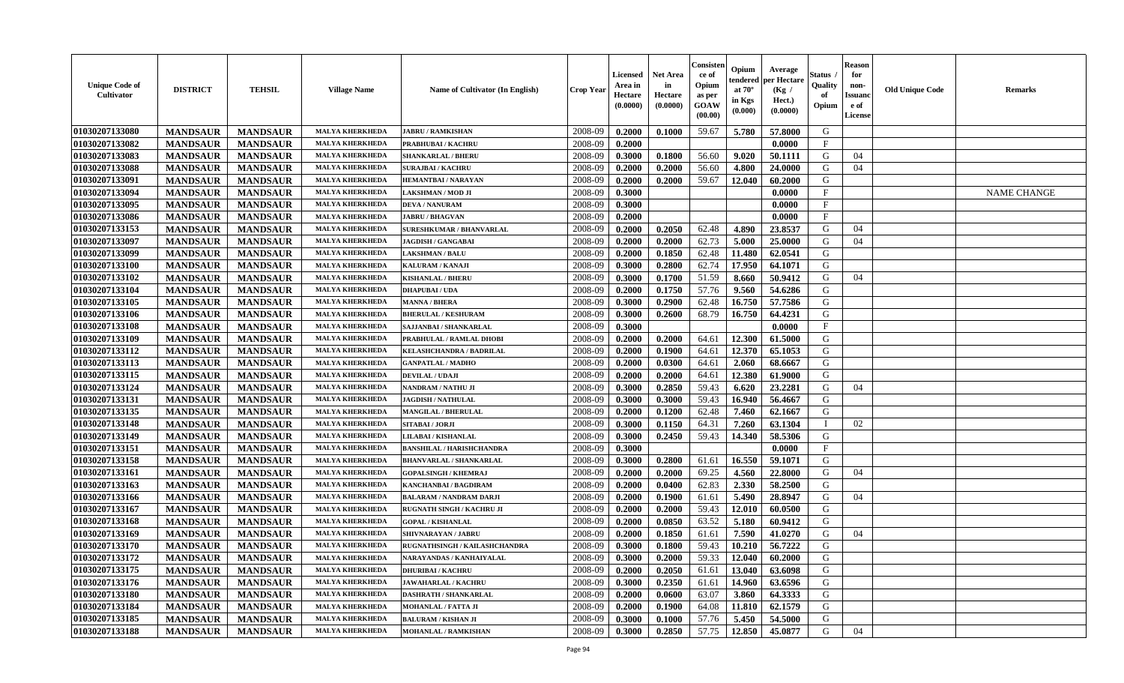| <b>Unique Code of</b><br>Cultivator | <b>DISTRICT</b> | <b>TEHSIL</b>   | <b>Village Name</b>    | Name of Cultivator (In English)  | Crop Year | <b>Licensed</b><br>Area in<br>Hectare<br>(0.0000) | <b>Net Area</b><br>in<br>Hectare<br>(0.0000) | Consister<br>ce of<br>Opium<br>as per<br><b>GOAW</b><br>(00.00) | Opium<br>endered<br>at $70^\circ$<br>in Kgs<br>(0.000) | Average<br>per Hectare<br>(Kg)<br>Hect.)<br>(0.0000) | Status<br>Quality<br>of<br>Opium | <b>Reason</b><br>for<br>non-<br><b>Issuanc</b><br>e of<br><b>License</b> | <b>Old Unique Code</b> | <b>Remarks</b>     |
|-------------------------------------|-----------------|-----------------|------------------------|----------------------------------|-----------|---------------------------------------------------|----------------------------------------------|-----------------------------------------------------------------|--------------------------------------------------------|------------------------------------------------------|----------------------------------|--------------------------------------------------------------------------|------------------------|--------------------|
| 01030207133080                      | <b>MANDSAUR</b> | <b>MANDSAUR</b> | <b>MALYA KHERKHEDA</b> | <b>JABRU / RAMKISHAN</b>         | 2008-09   | 0.2000                                            | 0.1000                                       | 59.67                                                           | 5.780                                                  | 57.8000                                              | G                                |                                                                          |                        |                    |
| 01030207133082                      | <b>MANDSAUR</b> | <b>MANDSAUR</b> | <b>MALYA KHERKHEDA</b> | PRABHUBAI / KACHRU               | 2008-09   | 0.2000                                            |                                              |                                                                 |                                                        | 0.0000                                               | $\mathbf{F}$                     |                                                                          |                        |                    |
| 01030207133083                      | <b>MANDSAUR</b> | <b>MANDSAUR</b> | <b>MALYA KHERKHEDA</b> | <b>SHANKARLAL / BHERU</b>        | 2008-09   | 0.3000                                            | 0.1800                                       | 56.60                                                           | 9.020                                                  | 50.1111                                              | G                                | 04                                                                       |                        |                    |
| <b>01030207133088</b>               | <b>MANDSAUR</b> | <b>MANDSAUR</b> | <b>MALYA KHERKHEDA</b> | <b>SURAJBAI / KACHRU</b>         | 2008-09   | 0.2000                                            | 0.2000                                       | 56.60                                                           | 4.800                                                  | 24.0000                                              | G                                | 04                                                                       |                        |                    |
| 01030207133091                      | <b>MANDSAUR</b> | <b>MANDSAUR</b> | <b>MALYA KHERKHEDA</b> | <b>HEMANTBAI/NARAYAN</b>         | 2008-09   | 0.2000                                            | 0.2000                                       | 59.67                                                           | 12.040                                                 | 60.2000                                              | G                                |                                                                          |                        |                    |
| 01030207133094                      | <b>MANDSAUR</b> | <b>MANDSAUR</b> | <b>MALYA KHERKHED</b>  | LAKSHMAN / MOD JI                | 2008-09   | 0.3000                                            |                                              |                                                                 |                                                        | 0.0000                                               | F                                |                                                                          |                        | <b>NAME CHANGE</b> |
| 01030207133095                      | <b>MANDSAUR</b> | <b>MANDSAUR</b> | <b>MALYA KHERKHED</b>  | <b>DEVA / NANURAM</b>            | 2008-09   | 0.3000                                            |                                              |                                                                 |                                                        | 0.0000                                               | $\mathbf{F}$                     |                                                                          |                        |                    |
| 01030207133086                      | <b>MANDSAUR</b> | <b>MANDSAUR</b> | <b>MALYA KHERKHEDA</b> | <b>JABRU / BHAGVAN</b>           | 2008-09   | 0.2000                                            |                                              |                                                                 |                                                        | 0.0000                                               | $\mathbf{F}$                     |                                                                          |                        |                    |
| 01030207133153                      | <b>MANDSAUR</b> | <b>MANDSAUR</b> | <b>MALYA KHERKHEDA</b> | <b>SURESHKUMAR / BHANVARLAL</b>  | 2008-09   | 0.2000                                            | 0.2050                                       | 62.48                                                           | 4.890                                                  | 23.8537                                              | G                                | 04                                                                       |                        |                    |
| 01030207133097                      | <b>MANDSAUR</b> | <b>MANDSAUR</b> | <b>MALYA KHERKHEDA</b> | <b>JAGDISH / GANGABAI</b>        | 2008-09   | 0.2000                                            | 0.2000                                       | 62.73                                                           | 5.000                                                  | 25.0000                                              | G                                | 04                                                                       |                        |                    |
| 01030207133099                      | <b>MANDSAUR</b> | <b>MANDSAUR</b> | <b>MALYA KHERKHEDA</b> | <b>LAKSHMAN / BALU</b>           | 2008-09   | 0.2000                                            | 0.1850                                       | 62.48                                                           | 11.480                                                 | 62.0541                                              | G                                |                                                                          |                        |                    |
| 01030207133100                      | <b>MANDSAUR</b> | <b>MANDSAUR</b> | <b>MALYA KHERKHEDA</b> | <b>KALURAM / KANAJI</b>          | 2008-09   | 0.3000                                            | 0.2800                                       | 62.74                                                           | 17.950                                                 | 64.1071                                              | G                                |                                                                          |                        |                    |
| 01030207133102                      | <b>MANDSAUR</b> | <b>MANDSAUR</b> | <b>MALYA KHERKHEDA</b> | <b>KISHANLAL / BHERU</b>         | 2008-09   | 0.3000                                            | 0.1700                                       | 51.59                                                           | 8.660                                                  | 50.9412                                              | G                                | 04                                                                       |                        |                    |
| 01030207133104                      | <b>MANDSAUR</b> | <b>MANDSAUR</b> | <b>MALYA KHERKHED</b>  | <b>DHAPUBAI/UDA</b>              | 2008-09   | 0.2000                                            | 0.1750                                       | 57.76                                                           | 9.560                                                  | 54.6286                                              | G                                |                                                                          |                        |                    |
| 01030207133105                      | <b>MANDSAUR</b> | <b>MANDSAUR</b> | <b>MALYA KHERKHED</b>  | <b>MANNA / BHERA</b>             | 2008-09   | 0.3000                                            | 0.2900                                       | 62.48                                                           | 16.750                                                 | 57.7586                                              | G                                |                                                                          |                        |                    |
| 01030207133106                      | <b>MANDSAUR</b> | <b>MANDSAUR</b> | MALYA KHERKHEDA        | <b>BHERULAL / KESHURAM</b>       | 2008-09   | 0.3000                                            | 0.2600                                       | 68.79                                                           | 16.750                                                 | 64.4231                                              | G                                |                                                                          |                        |                    |
| 01030207133108                      | <b>MANDSAUR</b> | <b>MANDSAUR</b> | <b>MALYA KHERKHEDA</b> | SAJJANBAI / SHANKARLAL           | 2008-09   | 0.3000                                            |                                              |                                                                 |                                                        | 0.0000                                               | $\mathbf F$                      |                                                                          |                        |                    |
| 01030207133109                      | <b>MANDSAUR</b> | <b>MANDSAUR</b> | <b>MALYA KHERKHEDA</b> | PRABHULAL / RAMLAL DHOBI         | 2008-09   | 0.2000                                            | 0.2000                                       | 64.61                                                           | 12.300                                                 | 61.5000                                              | G                                |                                                                          |                        |                    |
| 01030207133112                      | <b>MANDSAUR</b> | <b>MANDSAUR</b> | <b>MALYA KHERKHEDA</b> | <b>KELASHCHANDRA / BADRILAL</b>  | 2008-09   | 0.2000                                            | 0.1900                                       | 64.61                                                           | 12.370                                                 | 65.1053                                              | G                                |                                                                          |                        |                    |
| 01030207133113                      | <b>MANDSAUR</b> | <b>MANDSAUR</b> | <b>MALYA KHERKHEDA</b> | <b>GANPATLAL / MADHO</b>         | 2008-09   | 0.2000                                            | 0.0300                                       | 64.61                                                           | 2.060                                                  | 68.6667                                              | G                                |                                                                          |                        |                    |
| 01030207133115                      | <b>MANDSAUR</b> | <b>MANDSAUR</b> | <b>MALYA KHERKHEDA</b> | <b>DEVILAL / UDAJI</b>           | 2008-09   | 0.2000                                            | 0.2000                                       | 64.61                                                           | 12.380                                                 | 61.9000                                              | G                                |                                                                          |                        |                    |
| 01030207133124                      | <b>MANDSAUR</b> | <b>MANDSAUR</b> | <b>MALYA KHERKHED</b>  | <b>NANDRAM / NATHU JI</b>        | 2008-09   | 0.3000                                            | 0.2850                                       | 59.43                                                           | 6.620                                                  | 23.2281                                              | G                                | 04                                                                       |                        |                    |
| 01030207133131                      | <b>MANDSAUR</b> | <b>MANDSAUR</b> | <b>MALYA KHERKHED.</b> | <b>JAGDISH / NATHULAL</b>        | 2008-09   | 0.3000                                            | 0.3000                                       | 59.43                                                           | 16.940                                                 | 56.4667                                              | G                                |                                                                          |                        |                    |
| 01030207133135                      | <b>MANDSAUR</b> | <b>MANDSAUR</b> | <b>MALYA KHERKHEDA</b> | <b>MANGILAL / BHERULAL</b>       | 2008-09   | 0.2000                                            | 0.1200                                       | 62.48                                                           | 7.460                                                  | 62.1667                                              | G                                |                                                                          |                        |                    |
| 01030207133148                      | <b>MANDSAUR</b> | <b>MANDSAUR</b> | MALYA KHERKHEDA        | SITABAI / JORJI                  | 2008-09   | 0.3000                                            | 0.1150                                       | 64.31                                                           | 7.260                                                  | 63.1304                                              | - I                              | 02                                                                       |                        |                    |
| 01030207133149                      | <b>MANDSAUR</b> | <b>MANDSAUR</b> | <b>MALYA KHERKHEDA</b> | LILABAI / KISHANLAL              | 2008-09   | 0.3000                                            | 0.2450                                       | 59.43                                                           | 14.340                                                 | 58.5306                                              | G                                |                                                                          |                        |                    |
| 01030207133151                      | <b>MANDSAUR</b> | <b>MANDSAUR</b> | <b>MALYA KHERKHEDA</b> | <b>BANSHILAL / HARISHCHANDRA</b> | 2008-09   | 0.3000                                            |                                              |                                                                 |                                                        | 0.0000                                               | $\mathbf{F}$                     |                                                                          |                        |                    |
| 01030207133158                      | <b>MANDSAUR</b> | <b>MANDSAUR</b> | <b>MALYA KHERKHEDA</b> | <b>BHANVARLAL / SHANKARLAL</b>   | 2008-09   | 0.3000                                            | 0.2800                                       | 61.61                                                           | 16.550                                                 | 59.1071                                              | G                                |                                                                          |                        |                    |
| 01030207133161                      | <b>MANDSAUR</b> | <b>MANDSAUR</b> | <b>MALYA KHERKHEDA</b> | <b>GOPALSINGH / KHEMRAJ</b>      | 2008-09   | 0.2000                                            | 0.2000                                       | 69.25                                                           | 4.560                                                  | 22.8000                                              | G                                | 04                                                                       |                        |                    |
| 01030207133163                      | <b>MANDSAUR</b> | <b>MANDSAUR</b> | <b>MALYA KHERKHED</b>  | <b>KANCHANBAI / BAGDIRAM</b>     | 2008-09   | 0.2000                                            | 0.0400                                       | 62.83                                                           | 2.330                                                  | 58.2500                                              | G                                |                                                                          |                        |                    |
| 01030207133166                      | <b>MANDSAUR</b> | <b>MANDSAUR</b> | <b>MALYA KHERKHED.</b> | <b>BALARAM / NANDRAM DARJI</b>   | 2008-09   | 0.2000                                            | 0.1900                                       | 61.61                                                           | 5.490                                                  | 28.8947                                              | G                                | 04                                                                       |                        |                    |
| 01030207133167                      | <b>MANDSAUR</b> | <b>MANDSAUR</b> | <b>MALYA KHERKHED</b>  | <b>RUGNATH SINGH / KACHRU JI</b> | 2008-09   | 0.2000                                            | 0.2000                                       | 59.43                                                           | 12.010                                                 | 60.0500                                              | G                                |                                                                          |                        |                    |
| 01030207133168                      | <b>MANDSAUR</b> | <b>MANDSAUR</b> | <b>MALYA KHERKHEDA</b> | <b>GOPAL / KISHANLAL</b>         | 2008-09   | 0.2000                                            | 0.0850                                       | 63.52                                                           | 5.180                                                  | 60.9412                                              | G                                |                                                                          |                        |                    |
| 01030207133169                      | <b>MANDSAUR</b> | <b>MANDSAUR</b> | <b>MALYA KHERKHEDA</b> | <b>SHIVNARAYAN / JABRU</b>       | 2008-09   | 0.2000                                            | 0.1850                                       | 61.61                                                           | 7.590                                                  | 41.0270                                              | G                                | 04                                                                       |                        |                    |
| 01030207133170                      | <b>MANDSAUR</b> | <b>MANDSAUR</b> | <b>MALYA KHERKHEDA</b> | RUGNATHSINGH / KAILASHCHANDRA    | 2008-09   | 0.3000                                            | 0.1800                                       | 59.43                                                           | 10.210                                                 | 56.7222                                              | G                                |                                                                          |                        |                    |
| 01030207133172                      | <b>MANDSAUR</b> | <b>MANDSAUR</b> | <b>MALYA KHERKHEDA</b> | NARAYANDAS / KANHAIYALAL         | 2008-09   | 0.3000                                            | 0.2000                                       | 59.33                                                           | 12.040                                                 | 60.2000                                              | G                                |                                                                          |                        |                    |
| 01030207133175                      | <b>MANDSAUR</b> | <b>MANDSAUR</b> | <b>MALYA KHERKHEDA</b> | <b>DHURIBAI / KACHRU</b>         | 2008-09   | 0.2000                                            | 0.2050                                       | 61.61                                                           | 13.040                                                 | 63.6098                                              | G                                |                                                                          |                        |                    |
| 01030207133176                      | <b>MANDSAUR</b> | <b>MANDSAUR</b> | <b>MALYA KHERKHEDA</b> | <b>JAWAHARLAL / KACHRU</b>       | 2008-09   | 0.3000                                            | 0.2350                                       | 61.61                                                           | 14.960                                                 | 63.6596                                              | G                                |                                                                          |                        |                    |
| 01030207133180                      | <b>MANDSAUR</b> | <b>MANDSAUR</b> | <b>MALYA KHERKHED.</b> | DASHRATH / SHANKARLAI            | 2008-09   | 0.2000                                            | 0.0600                                       | 63.07                                                           | 3.860                                                  | 64.3333                                              | G                                |                                                                          |                        |                    |
| 01030207133184                      | <b>MANDSAUR</b> | <b>MANDSAUR</b> | <b>MALYA KHERKHED.</b> | MOHANLAL / FATTA JI              | 2008-09   | 0.2000                                            | 0.1900                                       | 64.08                                                           | 11.810                                                 | 62.1579                                              | G                                |                                                                          |                        |                    |
| 01030207133185                      | <b>MANDSAUR</b> | <b>MANDSAUR</b> | <b>MALYA KHERKHEDA</b> | <b>BALURAM / KISHAN JI</b>       | 2008-09   | 0.3000                                            | 0.1000                                       | 57.76                                                           | 5.450                                                  | 54.5000                                              | G                                |                                                                          |                        |                    |
| 01030207133188                      | <b>MANDSAUR</b> | <b>MANDSAUR</b> | <b>MALYA KHERKHEDA</b> | <b>MOHANLAL / RAMKISHAN</b>      | 2008-09   | 0.3000                                            | 0.2850                                       | 57.75                                                           | 12.850                                                 | 45.0877                                              | G                                | 04                                                                       |                        |                    |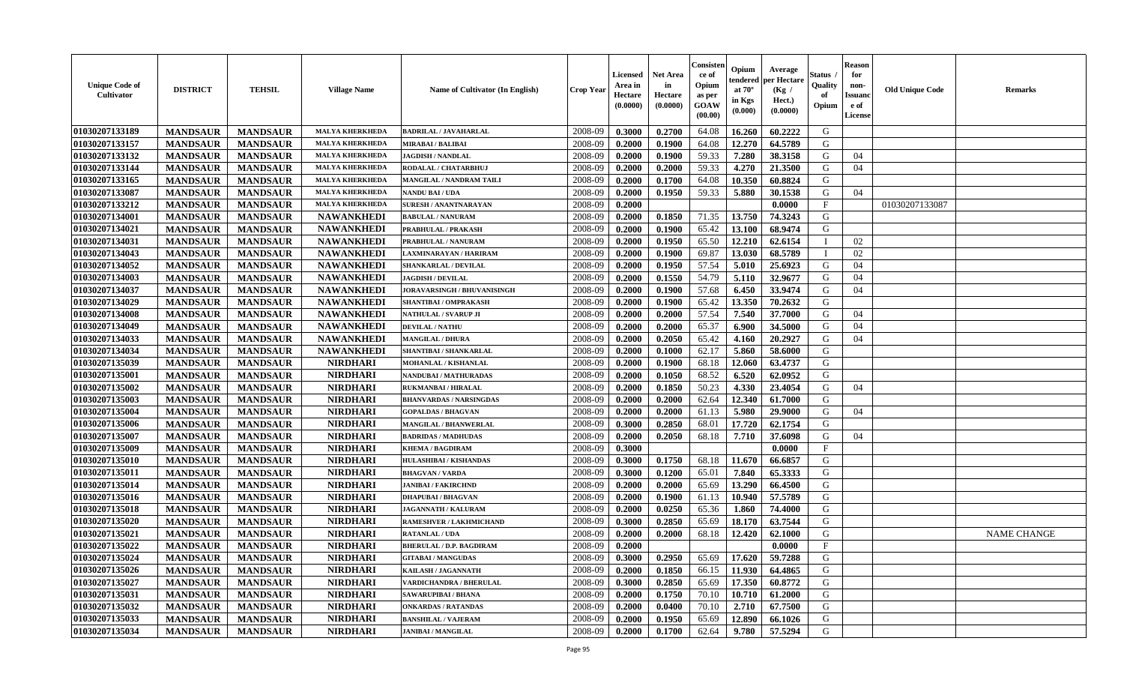| 01030207133189<br><b>MALYA KHERKHEDA</b><br>2008-09<br>0.3000<br>0.2700<br>64.08<br>16.260<br>60.2222<br>G<br><b>MANDSAUR</b><br><b>MANDSAUR</b><br><b>BADRILAL / JAVAHARLAL</b><br>01030207133157<br>2008-09<br>12.270<br>G<br><b>MANDSAUR</b><br>0.1900<br>64.08<br>64.5789<br><b>MANDSAUR</b><br><b>MALYA KHERKHEDA</b><br>0.2000<br><b>MIRABAI / BALIBAI</b><br>01030207133132<br>2008-09<br>0.1900<br>59.33<br>7.280<br><b>MANDSAUR</b><br><b>MANDSAUR</b><br><b>MALYA KHERKHEDA</b><br><b>JAGDISH / NANDLAL</b><br>0.2000<br>38.3158<br>G<br>04<br>01030207133144<br><b>MANDSAUR</b><br><b>MANDSAUR</b><br><b>MALYA KHERKHEDA</b><br>0.2000<br>59.33<br>4.270<br>21.3500<br>04<br>RODALAL / CHATARBHUJ<br>2008-09<br>0.2000<br>G<br>01030207133165<br><b>MANDSAUR</b><br><b>MANDSAUR</b><br><b>MALYA KHERKHEDA</b><br>2008-09<br>64.08<br>10.350<br>60.8824<br>G<br>MANGILAL / NANDRAM TAILI<br>0.2000<br>0.1700<br>01030207133087<br><b>MANDSAUR</b><br><b>MANDSAUR</b><br>0.1950<br>59.33<br>5.880<br>30.1538<br>G<br><b>MALYA KHERKHEDA</b><br>2008-09<br>0.2000<br>04<br>NANDU BAI / UDA<br>01030207133212<br><b>MANDSAUR</b><br><b>MANDSAUR</b><br><b>MALYA KHERKHEDA</b><br>2008-09<br>0.0000<br>$_{\rm F}$<br>01030207133087<br>SURESH / ANANTNARAYAN<br>0.2000<br>01030207134001<br>71.35<br><b>MANDSAUR</b><br><b>MANDSAUR</b><br><b>NAWANKHEDI</b><br>2008-09<br>0.2000<br>0.1850<br>13.750<br>74.3243<br>G<br><b>BABULAL / NANURAM</b><br>01030207134021<br><b>NAWANKHEDI</b><br>65.42<br><b>MANDSAUR</b><br><b>MANDSAUR</b><br>2008-09<br>0.2000<br>0.1900<br>13.100<br>68.9474<br>G<br>PRABHULAL / PRAKASH<br>01030207134031<br>65.50<br>12.210<br><b>MANDSAUR</b><br><b>NAWANKHEDI</b><br>2008-09<br>0.2000<br>0.1950<br>62.6154<br>02<br><b>MANDSAUR</b><br>PRABHULAL / NANURAM<br>T<br>13.030<br>01030207134043<br><b>MANDSAUR</b><br><b>NAWANKHEDI</b><br>2008-09<br>0.1900<br>69.87<br>68.5789<br>02<br><b>MANDSAUR</b><br>LAXMINARAYAN / HARIRAM<br>0.2000<br>$\mathbf{I}$<br>01030207134052<br><b>MANDSAUR</b><br><b>MANDSAUR</b><br><b>NAWANKHEDI</b><br>2008-09<br>0.1950<br>57.54<br>5.010<br>25.6923<br><b>SHANKARLAL / DEVILAL</b><br>0.2000<br>G<br>04<br>01030207134003<br><b>NAWANKHEDI</b><br>32.9677<br><b>MANDSAUR</b><br><b>MANDSAUR</b><br>2008-09<br>0.2000<br>0.1550<br>54.79<br>5.110<br>G<br>04<br><b>JAGDISH / DEVILAL</b><br>01030207134037<br><b>MANDSAUR</b><br><b>NAWANKHEDI</b><br>57.68<br>6.450<br>33.9474<br>G<br><b>MANDSAUR</b><br>2008-09<br>0.2000<br>0.1900<br>04<br><b>JORAVARSINGH / BHUVANISINGH</b><br>01030207134029<br><b>MANDSAUR</b><br><b>NAWANKHEDI</b><br>65.42<br>13.350<br>70.2632<br>G<br><b>MANDSAUR</b><br>2008-09<br>0.2000<br>0.1900<br>SHANTIBAI / OMPRAKASH<br>01030207134008<br>57.54<br>7.540<br>37.7000<br><b>MANDSAUR</b><br><b>MANDSAUR</b><br><b>NAWANKHEDI</b><br>2008-09<br>0.2000<br>0.2000<br>G<br>04<br>NATHULAL / SVARUP JI<br>01030207134049<br><b>NAWANKHEDI</b><br>65.37<br><b>MANDSAUR</b><br><b>MANDSAUR</b><br>2008-09<br>0.2000<br>0.2000<br>6.900<br>34.5000<br>G<br>04<br><b>DEVILAL / NATHU</b><br>01030207134033<br><b>NAWANKHEDI</b><br>2008-09<br>65.42<br>G<br>04<br><b>MANDSAUR</b><br><b>MANDSAUR</b><br>0.2050<br>20.2927<br>0.2000<br>4.160<br><b>MANGILAL / DHURA</b><br>01030207134034<br><b>MANDSAUR</b><br><b>MANDSAUR</b><br><b>NAWANKHEDI</b><br>2008-09<br>0.2000<br>0.1000<br>62.17<br>5.860<br>58.6000<br>G<br>SHANTIBAI / SHANKARLAL<br>01030207135039<br><b>MANDSAUR</b><br><b>MANDSAUR</b><br><b>NIRDHARI</b><br>2008-09<br>0.2000<br>0.1900<br>68.18<br>12.060<br>63.4737<br>G<br>MOHANLAL / KISHANLAL<br>01030207135001<br><b>NIRDHARI</b><br>6.520<br>62.0952<br><b>MANDSAUR</b><br><b>MANDSAUR</b><br>2008-09<br>0.2000<br>0.1050<br>68.52<br>G<br><b>NANDUBAI/MATHURADAS</b><br><b>MANDSAUR</b> | <b>Unique Code of</b><br><b>Cultivator</b> | <b>DISTRICT</b> | <b>TEHSIL</b> | <b>Village Name</b> | Name of Cultivator (In English) | <b>Crop Year</b> | <b>Licensed</b><br>Area in<br>Hectare<br>(0.0000) | <b>Net Area</b><br>in<br>Hectare<br>(0.0000) | Consister<br>ce of<br>Opium<br>as per<br>GOAW<br>(00.00) | Opium<br>endered<br>at $70^{\circ}$<br>in Kgs<br>(0.000) | Average<br>per Hectare<br>(Kg /<br>Hect.)<br>(0.0000) | <b>Status</b><br>Quality<br>of<br>Opium | <b>Reason</b><br>for<br>non-<br><b>Issuand</b><br>e of<br>License | <b>Old Unique Code</b> | <b>Remarks</b> |
|-----------------------------------------------------------------------------------------------------------------------------------------------------------------------------------------------------------------------------------------------------------------------------------------------------------------------------------------------------------------------------------------------------------------------------------------------------------------------------------------------------------------------------------------------------------------------------------------------------------------------------------------------------------------------------------------------------------------------------------------------------------------------------------------------------------------------------------------------------------------------------------------------------------------------------------------------------------------------------------------------------------------------------------------------------------------------------------------------------------------------------------------------------------------------------------------------------------------------------------------------------------------------------------------------------------------------------------------------------------------------------------------------------------------------------------------------------------------------------------------------------------------------------------------------------------------------------------------------------------------------------------------------------------------------------------------------------------------------------------------------------------------------------------------------------------------------------------------------------------------------------------------------------------------------------------------------------------------------------------------------------------------------------------------------------------------------------------------------------------------------------------------------------------------------------------------------------------------------------------------------------------------------------------------------------------------------------------------------------------------------------------------------------------------------------------------------------------------------------------------------------------------------------------------------------------------------------------------------------------------------------------------------------------------------------------------------------------------------------------------------------------------------------------------------------------------------------------------------------------------------------------------------------------------------------------------------------------------------------------------------------------------------------------------------------------------------------------------------------------------------------------------------------------------------------------------------------------------------------------------------------------------------------------------------------------------------------------------------------------------------------------------------------------------------------------------------------------------------------------------------------------------------------------------------------------------------------------------------------------------------------------------------------------------------------------------------------------------------------------------------------------------------------------------------------------------------------|--------------------------------------------|-----------------|---------------|---------------------|---------------------------------|------------------|---------------------------------------------------|----------------------------------------------|----------------------------------------------------------|----------------------------------------------------------|-------------------------------------------------------|-----------------------------------------|-------------------------------------------------------------------|------------------------|----------------|
|                                                                                                                                                                                                                                                                                                                                                                                                                                                                                                                                                                                                                                                                                                                                                                                                                                                                                                                                                                                                                                                                                                                                                                                                                                                                                                                                                                                                                                                                                                                                                                                                                                                                                                                                                                                                                                                                                                                                                                                                                                                                                                                                                                                                                                                                                                                                                                                                                                                                                                                                                                                                                                                                                                                                                                                                                                                                                                                                                                                                                                                                                                                                                                                                                                                                                                                                                                                                                                                                                                                                                                                                                                                                                                                                                                                                                             |                                            |                 |               |                     |                                 |                  |                                                   |                                              |                                                          |                                                          |                                                       |                                         |                                                                   |                        |                |
|                                                                                                                                                                                                                                                                                                                                                                                                                                                                                                                                                                                                                                                                                                                                                                                                                                                                                                                                                                                                                                                                                                                                                                                                                                                                                                                                                                                                                                                                                                                                                                                                                                                                                                                                                                                                                                                                                                                                                                                                                                                                                                                                                                                                                                                                                                                                                                                                                                                                                                                                                                                                                                                                                                                                                                                                                                                                                                                                                                                                                                                                                                                                                                                                                                                                                                                                                                                                                                                                                                                                                                                                                                                                                                                                                                                                                             |                                            |                 |               |                     |                                 |                  |                                                   |                                              |                                                          |                                                          |                                                       |                                         |                                                                   |                        |                |
|                                                                                                                                                                                                                                                                                                                                                                                                                                                                                                                                                                                                                                                                                                                                                                                                                                                                                                                                                                                                                                                                                                                                                                                                                                                                                                                                                                                                                                                                                                                                                                                                                                                                                                                                                                                                                                                                                                                                                                                                                                                                                                                                                                                                                                                                                                                                                                                                                                                                                                                                                                                                                                                                                                                                                                                                                                                                                                                                                                                                                                                                                                                                                                                                                                                                                                                                                                                                                                                                                                                                                                                                                                                                                                                                                                                                                             |                                            |                 |               |                     |                                 |                  |                                                   |                                              |                                                          |                                                          |                                                       |                                         |                                                                   |                        |                |
|                                                                                                                                                                                                                                                                                                                                                                                                                                                                                                                                                                                                                                                                                                                                                                                                                                                                                                                                                                                                                                                                                                                                                                                                                                                                                                                                                                                                                                                                                                                                                                                                                                                                                                                                                                                                                                                                                                                                                                                                                                                                                                                                                                                                                                                                                                                                                                                                                                                                                                                                                                                                                                                                                                                                                                                                                                                                                                                                                                                                                                                                                                                                                                                                                                                                                                                                                                                                                                                                                                                                                                                                                                                                                                                                                                                                                             |                                            |                 |               |                     |                                 |                  |                                                   |                                              |                                                          |                                                          |                                                       |                                         |                                                                   |                        |                |
|                                                                                                                                                                                                                                                                                                                                                                                                                                                                                                                                                                                                                                                                                                                                                                                                                                                                                                                                                                                                                                                                                                                                                                                                                                                                                                                                                                                                                                                                                                                                                                                                                                                                                                                                                                                                                                                                                                                                                                                                                                                                                                                                                                                                                                                                                                                                                                                                                                                                                                                                                                                                                                                                                                                                                                                                                                                                                                                                                                                                                                                                                                                                                                                                                                                                                                                                                                                                                                                                                                                                                                                                                                                                                                                                                                                                                             |                                            |                 |               |                     |                                 |                  |                                                   |                                              |                                                          |                                                          |                                                       |                                         |                                                                   |                        |                |
|                                                                                                                                                                                                                                                                                                                                                                                                                                                                                                                                                                                                                                                                                                                                                                                                                                                                                                                                                                                                                                                                                                                                                                                                                                                                                                                                                                                                                                                                                                                                                                                                                                                                                                                                                                                                                                                                                                                                                                                                                                                                                                                                                                                                                                                                                                                                                                                                                                                                                                                                                                                                                                                                                                                                                                                                                                                                                                                                                                                                                                                                                                                                                                                                                                                                                                                                                                                                                                                                                                                                                                                                                                                                                                                                                                                                                             |                                            |                 |               |                     |                                 |                  |                                                   |                                              |                                                          |                                                          |                                                       |                                         |                                                                   |                        |                |
|                                                                                                                                                                                                                                                                                                                                                                                                                                                                                                                                                                                                                                                                                                                                                                                                                                                                                                                                                                                                                                                                                                                                                                                                                                                                                                                                                                                                                                                                                                                                                                                                                                                                                                                                                                                                                                                                                                                                                                                                                                                                                                                                                                                                                                                                                                                                                                                                                                                                                                                                                                                                                                                                                                                                                                                                                                                                                                                                                                                                                                                                                                                                                                                                                                                                                                                                                                                                                                                                                                                                                                                                                                                                                                                                                                                                                             |                                            |                 |               |                     |                                 |                  |                                                   |                                              |                                                          |                                                          |                                                       |                                         |                                                                   |                        |                |
|                                                                                                                                                                                                                                                                                                                                                                                                                                                                                                                                                                                                                                                                                                                                                                                                                                                                                                                                                                                                                                                                                                                                                                                                                                                                                                                                                                                                                                                                                                                                                                                                                                                                                                                                                                                                                                                                                                                                                                                                                                                                                                                                                                                                                                                                                                                                                                                                                                                                                                                                                                                                                                                                                                                                                                                                                                                                                                                                                                                                                                                                                                                                                                                                                                                                                                                                                                                                                                                                                                                                                                                                                                                                                                                                                                                                                             |                                            |                 |               |                     |                                 |                  |                                                   |                                              |                                                          |                                                          |                                                       |                                         |                                                                   |                        |                |
|                                                                                                                                                                                                                                                                                                                                                                                                                                                                                                                                                                                                                                                                                                                                                                                                                                                                                                                                                                                                                                                                                                                                                                                                                                                                                                                                                                                                                                                                                                                                                                                                                                                                                                                                                                                                                                                                                                                                                                                                                                                                                                                                                                                                                                                                                                                                                                                                                                                                                                                                                                                                                                                                                                                                                                                                                                                                                                                                                                                                                                                                                                                                                                                                                                                                                                                                                                                                                                                                                                                                                                                                                                                                                                                                                                                                                             |                                            |                 |               |                     |                                 |                  |                                                   |                                              |                                                          |                                                          |                                                       |                                         |                                                                   |                        |                |
|                                                                                                                                                                                                                                                                                                                                                                                                                                                                                                                                                                                                                                                                                                                                                                                                                                                                                                                                                                                                                                                                                                                                                                                                                                                                                                                                                                                                                                                                                                                                                                                                                                                                                                                                                                                                                                                                                                                                                                                                                                                                                                                                                                                                                                                                                                                                                                                                                                                                                                                                                                                                                                                                                                                                                                                                                                                                                                                                                                                                                                                                                                                                                                                                                                                                                                                                                                                                                                                                                                                                                                                                                                                                                                                                                                                                                             |                                            |                 |               |                     |                                 |                  |                                                   |                                              |                                                          |                                                          |                                                       |                                         |                                                                   |                        |                |
|                                                                                                                                                                                                                                                                                                                                                                                                                                                                                                                                                                                                                                                                                                                                                                                                                                                                                                                                                                                                                                                                                                                                                                                                                                                                                                                                                                                                                                                                                                                                                                                                                                                                                                                                                                                                                                                                                                                                                                                                                                                                                                                                                                                                                                                                                                                                                                                                                                                                                                                                                                                                                                                                                                                                                                                                                                                                                                                                                                                                                                                                                                                                                                                                                                                                                                                                                                                                                                                                                                                                                                                                                                                                                                                                                                                                                             |                                            |                 |               |                     |                                 |                  |                                                   |                                              |                                                          |                                                          |                                                       |                                         |                                                                   |                        |                |
|                                                                                                                                                                                                                                                                                                                                                                                                                                                                                                                                                                                                                                                                                                                                                                                                                                                                                                                                                                                                                                                                                                                                                                                                                                                                                                                                                                                                                                                                                                                                                                                                                                                                                                                                                                                                                                                                                                                                                                                                                                                                                                                                                                                                                                                                                                                                                                                                                                                                                                                                                                                                                                                                                                                                                                                                                                                                                                                                                                                                                                                                                                                                                                                                                                                                                                                                                                                                                                                                                                                                                                                                                                                                                                                                                                                                                             |                                            |                 |               |                     |                                 |                  |                                                   |                                              |                                                          |                                                          |                                                       |                                         |                                                                   |                        |                |
|                                                                                                                                                                                                                                                                                                                                                                                                                                                                                                                                                                                                                                                                                                                                                                                                                                                                                                                                                                                                                                                                                                                                                                                                                                                                                                                                                                                                                                                                                                                                                                                                                                                                                                                                                                                                                                                                                                                                                                                                                                                                                                                                                                                                                                                                                                                                                                                                                                                                                                                                                                                                                                                                                                                                                                                                                                                                                                                                                                                                                                                                                                                                                                                                                                                                                                                                                                                                                                                                                                                                                                                                                                                                                                                                                                                                                             |                                            |                 |               |                     |                                 |                  |                                                   |                                              |                                                          |                                                          |                                                       |                                         |                                                                   |                        |                |
|                                                                                                                                                                                                                                                                                                                                                                                                                                                                                                                                                                                                                                                                                                                                                                                                                                                                                                                                                                                                                                                                                                                                                                                                                                                                                                                                                                                                                                                                                                                                                                                                                                                                                                                                                                                                                                                                                                                                                                                                                                                                                                                                                                                                                                                                                                                                                                                                                                                                                                                                                                                                                                                                                                                                                                                                                                                                                                                                                                                                                                                                                                                                                                                                                                                                                                                                                                                                                                                                                                                                                                                                                                                                                                                                                                                                                             |                                            |                 |               |                     |                                 |                  |                                                   |                                              |                                                          |                                                          |                                                       |                                         |                                                                   |                        |                |
|                                                                                                                                                                                                                                                                                                                                                                                                                                                                                                                                                                                                                                                                                                                                                                                                                                                                                                                                                                                                                                                                                                                                                                                                                                                                                                                                                                                                                                                                                                                                                                                                                                                                                                                                                                                                                                                                                                                                                                                                                                                                                                                                                                                                                                                                                                                                                                                                                                                                                                                                                                                                                                                                                                                                                                                                                                                                                                                                                                                                                                                                                                                                                                                                                                                                                                                                                                                                                                                                                                                                                                                                                                                                                                                                                                                                                             |                                            |                 |               |                     |                                 |                  |                                                   |                                              |                                                          |                                                          |                                                       |                                         |                                                                   |                        |                |
|                                                                                                                                                                                                                                                                                                                                                                                                                                                                                                                                                                                                                                                                                                                                                                                                                                                                                                                                                                                                                                                                                                                                                                                                                                                                                                                                                                                                                                                                                                                                                                                                                                                                                                                                                                                                                                                                                                                                                                                                                                                                                                                                                                                                                                                                                                                                                                                                                                                                                                                                                                                                                                                                                                                                                                                                                                                                                                                                                                                                                                                                                                                                                                                                                                                                                                                                                                                                                                                                                                                                                                                                                                                                                                                                                                                                                             |                                            |                 |               |                     |                                 |                  |                                                   |                                              |                                                          |                                                          |                                                       |                                         |                                                                   |                        |                |
|                                                                                                                                                                                                                                                                                                                                                                                                                                                                                                                                                                                                                                                                                                                                                                                                                                                                                                                                                                                                                                                                                                                                                                                                                                                                                                                                                                                                                                                                                                                                                                                                                                                                                                                                                                                                                                                                                                                                                                                                                                                                                                                                                                                                                                                                                                                                                                                                                                                                                                                                                                                                                                                                                                                                                                                                                                                                                                                                                                                                                                                                                                                                                                                                                                                                                                                                                                                                                                                                                                                                                                                                                                                                                                                                                                                                                             |                                            |                 |               |                     |                                 |                  |                                                   |                                              |                                                          |                                                          |                                                       |                                         |                                                                   |                        |                |
|                                                                                                                                                                                                                                                                                                                                                                                                                                                                                                                                                                                                                                                                                                                                                                                                                                                                                                                                                                                                                                                                                                                                                                                                                                                                                                                                                                                                                                                                                                                                                                                                                                                                                                                                                                                                                                                                                                                                                                                                                                                                                                                                                                                                                                                                                                                                                                                                                                                                                                                                                                                                                                                                                                                                                                                                                                                                                                                                                                                                                                                                                                                                                                                                                                                                                                                                                                                                                                                                                                                                                                                                                                                                                                                                                                                                                             |                                            |                 |               |                     |                                 |                  |                                                   |                                              |                                                          |                                                          |                                                       |                                         |                                                                   |                        |                |
|                                                                                                                                                                                                                                                                                                                                                                                                                                                                                                                                                                                                                                                                                                                                                                                                                                                                                                                                                                                                                                                                                                                                                                                                                                                                                                                                                                                                                                                                                                                                                                                                                                                                                                                                                                                                                                                                                                                                                                                                                                                                                                                                                                                                                                                                                                                                                                                                                                                                                                                                                                                                                                                                                                                                                                                                                                                                                                                                                                                                                                                                                                                                                                                                                                                                                                                                                                                                                                                                                                                                                                                                                                                                                                                                                                                                                             |                                            |                 |               |                     |                                 |                  |                                                   |                                              |                                                          |                                                          |                                                       |                                         |                                                                   |                        |                |
|                                                                                                                                                                                                                                                                                                                                                                                                                                                                                                                                                                                                                                                                                                                                                                                                                                                                                                                                                                                                                                                                                                                                                                                                                                                                                                                                                                                                                                                                                                                                                                                                                                                                                                                                                                                                                                                                                                                                                                                                                                                                                                                                                                                                                                                                                                                                                                                                                                                                                                                                                                                                                                                                                                                                                                                                                                                                                                                                                                                                                                                                                                                                                                                                                                                                                                                                                                                                                                                                                                                                                                                                                                                                                                                                                                                                                             |                                            |                 |               |                     |                                 |                  |                                                   |                                              |                                                          |                                                          |                                                       |                                         |                                                                   |                        |                |
|                                                                                                                                                                                                                                                                                                                                                                                                                                                                                                                                                                                                                                                                                                                                                                                                                                                                                                                                                                                                                                                                                                                                                                                                                                                                                                                                                                                                                                                                                                                                                                                                                                                                                                                                                                                                                                                                                                                                                                                                                                                                                                                                                                                                                                                                                                                                                                                                                                                                                                                                                                                                                                                                                                                                                                                                                                                                                                                                                                                                                                                                                                                                                                                                                                                                                                                                                                                                                                                                                                                                                                                                                                                                                                                                                                                                                             |                                            |                 |               |                     |                                 |                  |                                                   |                                              |                                                          |                                                          |                                                       |                                         |                                                                   |                        |                |
|                                                                                                                                                                                                                                                                                                                                                                                                                                                                                                                                                                                                                                                                                                                                                                                                                                                                                                                                                                                                                                                                                                                                                                                                                                                                                                                                                                                                                                                                                                                                                                                                                                                                                                                                                                                                                                                                                                                                                                                                                                                                                                                                                                                                                                                                                                                                                                                                                                                                                                                                                                                                                                                                                                                                                                                                                                                                                                                                                                                                                                                                                                                                                                                                                                                                                                                                                                                                                                                                                                                                                                                                                                                                                                                                                                                                                             | 01030207135002                             | <b>MANDSAUR</b> |               | <b>NIRDHARI</b>     | <b>RUKMANBAI / HIRALAL</b>      | 2008-09          | 0.2000                                            | 0.1850                                       | 50.23                                                    | 4.330                                                    | 23.4054                                               | G                                       | 04                                                                |                        |                |
| 01030207135003<br><b>MANDSAUR</b><br><b>MANDSAUR</b><br><b>NIRDHARI</b><br>12.340<br>61.7000<br>G<br>2008-09<br>0.2000<br>0.2000<br>62.64<br><b>BHANVARDAS / NARSINGDAS</b>                                                                                                                                                                                                                                                                                                                                                                                                                                                                                                                                                                                                                                                                                                                                                                                                                                                                                                                                                                                                                                                                                                                                                                                                                                                                                                                                                                                                                                                                                                                                                                                                                                                                                                                                                                                                                                                                                                                                                                                                                                                                                                                                                                                                                                                                                                                                                                                                                                                                                                                                                                                                                                                                                                                                                                                                                                                                                                                                                                                                                                                                                                                                                                                                                                                                                                                                                                                                                                                                                                                                                                                                                                                 |                                            |                 |               |                     |                                 |                  |                                                   |                                              |                                                          |                                                          |                                                       |                                         |                                                                   |                        |                |
| 01030207135004<br><b>NIRDHARI</b><br><b>MANDSAUR</b><br><b>MANDSAUR</b><br>2008-09<br>0.2000<br>61.13<br>5.980<br>29.9000<br>G<br>04<br>0.2000<br><b>GOPALDAS / BHAGVAN</b>                                                                                                                                                                                                                                                                                                                                                                                                                                                                                                                                                                                                                                                                                                                                                                                                                                                                                                                                                                                                                                                                                                                                                                                                                                                                                                                                                                                                                                                                                                                                                                                                                                                                                                                                                                                                                                                                                                                                                                                                                                                                                                                                                                                                                                                                                                                                                                                                                                                                                                                                                                                                                                                                                                                                                                                                                                                                                                                                                                                                                                                                                                                                                                                                                                                                                                                                                                                                                                                                                                                                                                                                                                                 |                                            |                 |               |                     |                                 |                  |                                                   |                                              |                                                          |                                                          |                                                       |                                         |                                                                   |                        |                |
| 01030207135006<br><b>MANDSAUR</b><br><b>NIRDHARI</b><br>2008-09<br>68.01<br>17.720<br>G<br><b>MANDSAUR</b><br>0.3000<br>0.2850<br>62.1754<br>MANGILAL / BHANWERLAL                                                                                                                                                                                                                                                                                                                                                                                                                                                                                                                                                                                                                                                                                                                                                                                                                                                                                                                                                                                                                                                                                                                                                                                                                                                                                                                                                                                                                                                                                                                                                                                                                                                                                                                                                                                                                                                                                                                                                                                                                                                                                                                                                                                                                                                                                                                                                                                                                                                                                                                                                                                                                                                                                                                                                                                                                                                                                                                                                                                                                                                                                                                                                                                                                                                                                                                                                                                                                                                                                                                                                                                                                                                          |                                            |                 |               |                     |                                 |                  |                                                   |                                              |                                                          |                                                          |                                                       |                                         |                                                                   |                        |                |
| 01030207135007<br><b>NIRDHARI</b><br>68.18<br>7.710<br>G<br>04<br><b>MANDSAUR</b><br>2008-09<br>0.2000<br>0.2050<br>37.6098<br><b>MANDSAUR</b><br><b>BADRIDAS / MADHUDAS</b>                                                                                                                                                                                                                                                                                                                                                                                                                                                                                                                                                                                                                                                                                                                                                                                                                                                                                                                                                                                                                                                                                                                                                                                                                                                                                                                                                                                                                                                                                                                                                                                                                                                                                                                                                                                                                                                                                                                                                                                                                                                                                                                                                                                                                                                                                                                                                                                                                                                                                                                                                                                                                                                                                                                                                                                                                                                                                                                                                                                                                                                                                                                                                                                                                                                                                                                                                                                                                                                                                                                                                                                                                                                |                                            |                 |               |                     |                                 |                  |                                                   |                                              |                                                          |                                                          |                                                       |                                         |                                                                   |                        |                |
| 01030207135009<br>$\mathbf{F}$<br><b>MANDSAUR</b><br><b>MANDSAUR</b><br><b>NIRDHARI</b><br>2008-09<br>0.3000<br>0.0000<br><b>KHEMA / BAGDIRAM</b>                                                                                                                                                                                                                                                                                                                                                                                                                                                                                                                                                                                                                                                                                                                                                                                                                                                                                                                                                                                                                                                                                                                                                                                                                                                                                                                                                                                                                                                                                                                                                                                                                                                                                                                                                                                                                                                                                                                                                                                                                                                                                                                                                                                                                                                                                                                                                                                                                                                                                                                                                                                                                                                                                                                                                                                                                                                                                                                                                                                                                                                                                                                                                                                                                                                                                                                                                                                                                                                                                                                                                                                                                                                                           |                                            |                 |               |                     |                                 |                  |                                                   |                                              |                                                          |                                                          |                                                       |                                         |                                                                   |                        |                |
| 01030207135010<br><b>MANDSAUR</b><br><b>MANDSAUR</b><br><b>NIRDHARI</b><br>2008-09<br>0.3000<br>0.1750<br>68.18<br>11.670<br>66.6857<br>HULASHIBAI / KISHANDAS<br>G                                                                                                                                                                                                                                                                                                                                                                                                                                                                                                                                                                                                                                                                                                                                                                                                                                                                                                                                                                                                                                                                                                                                                                                                                                                                                                                                                                                                                                                                                                                                                                                                                                                                                                                                                                                                                                                                                                                                                                                                                                                                                                                                                                                                                                                                                                                                                                                                                                                                                                                                                                                                                                                                                                                                                                                                                                                                                                                                                                                                                                                                                                                                                                                                                                                                                                                                                                                                                                                                                                                                                                                                                                                         |                                            |                 |               |                     |                                 |                  |                                                   |                                              |                                                          |                                                          |                                                       |                                         |                                                                   |                        |                |
| 01030207135011<br><b>MANDSAUR</b><br><b>MANDSAUR</b><br><b>NIRDHARI</b><br>7.840<br>65.3333<br><b>BHAGVAN / VARDA</b><br>2008-09<br>0.3000<br>0.1200<br>65.01<br>G                                                                                                                                                                                                                                                                                                                                                                                                                                                                                                                                                                                                                                                                                                                                                                                                                                                                                                                                                                                                                                                                                                                                                                                                                                                                                                                                                                                                                                                                                                                                                                                                                                                                                                                                                                                                                                                                                                                                                                                                                                                                                                                                                                                                                                                                                                                                                                                                                                                                                                                                                                                                                                                                                                                                                                                                                                                                                                                                                                                                                                                                                                                                                                                                                                                                                                                                                                                                                                                                                                                                                                                                                                                          |                                            |                 |               |                     |                                 |                  |                                                   |                                              |                                                          |                                                          |                                                       |                                         |                                                                   |                        |                |
| 01030207135014<br><b>MANDSAUR</b><br><b>MANDSAUR</b><br><b>NIRDHARI</b><br>13.290<br>66.4500<br>G<br>2008-09<br>0.2000<br>0.2000<br>65.69<br><b>JANIBAI / FAKIRCHND</b>                                                                                                                                                                                                                                                                                                                                                                                                                                                                                                                                                                                                                                                                                                                                                                                                                                                                                                                                                                                                                                                                                                                                                                                                                                                                                                                                                                                                                                                                                                                                                                                                                                                                                                                                                                                                                                                                                                                                                                                                                                                                                                                                                                                                                                                                                                                                                                                                                                                                                                                                                                                                                                                                                                                                                                                                                                                                                                                                                                                                                                                                                                                                                                                                                                                                                                                                                                                                                                                                                                                                                                                                                                                     |                                            |                 |               |                     |                                 |                  |                                                   |                                              |                                                          |                                                          |                                                       |                                         |                                                                   |                        |                |
| ${\bf G}$<br>01030207135016<br><b>MANDSAUR</b><br><b>MANDSAUR</b><br><b>NIRDHARI</b><br>61.13<br>10.940<br>57.5789<br>2008-09<br>0.2000<br>0.1900<br><b>DHAPUBAI/BHAGVAN</b>                                                                                                                                                                                                                                                                                                                                                                                                                                                                                                                                                                                                                                                                                                                                                                                                                                                                                                                                                                                                                                                                                                                                                                                                                                                                                                                                                                                                                                                                                                                                                                                                                                                                                                                                                                                                                                                                                                                                                                                                                                                                                                                                                                                                                                                                                                                                                                                                                                                                                                                                                                                                                                                                                                                                                                                                                                                                                                                                                                                                                                                                                                                                                                                                                                                                                                                                                                                                                                                                                                                                                                                                                                                |                                            |                 |               |                     |                                 |                  |                                                   |                                              |                                                          |                                                          |                                                       |                                         |                                                                   |                        |                |
| 01030207135018<br>65.36<br>G<br><b>MANDSAUR</b><br><b>MANDSAUR</b><br><b>NIRDHARI</b><br>2008-09<br>0.2000<br>0.0250<br>1.860<br>74.4000<br><b>JAGANNATH / KALURAM</b>                                                                                                                                                                                                                                                                                                                                                                                                                                                                                                                                                                                                                                                                                                                                                                                                                                                                                                                                                                                                                                                                                                                                                                                                                                                                                                                                                                                                                                                                                                                                                                                                                                                                                                                                                                                                                                                                                                                                                                                                                                                                                                                                                                                                                                                                                                                                                                                                                                                                                                                                                                                                                                                                                                                                                                                                                                                                                                                                                                                                                                                                                                                                                                                                                                                                                                                                                                                                                                                                                                                                                                                                                                                      |                                            |                 |               |                     |                                 |                  |                                                   |                                              |                                                          |                                                          |                                                       |                                         |                                                                   |                        |                |
| 01030207135020<br><b>NIRDHARI</b><br>G<br><b>MANDSAUR</b><br><b>MANDSAUR</b><br>2008-09<br>0.3000<br>0.2850<br>65.69<br>18.170<br>63.7544<br>RAMESHVER / LAKHMICHAND                                                                                                                                                                                                                                                                                                                                                                                                                                                                                                                                                                                                                                                                                                                                                                                                                                                                                                                                                                                                                                                                                                                                                                                                                                                                                                                                                                                                                                                                                                                                                                                                                                                                                                                                                                                                                                                                                                                                                                                                                                                                                                                                                                                                                                                                                                                                                                                                                                                                                                                                                                                                                                                                                                                                                                                                                                                                                                                                                                                                                                                                                                                                                                                                                                                                                                                                                                                                                                                                                                                                                                                                                                                        |                                            |                 |               |                     |                                 |                  |                                                   |                                              |                                                          |                                                          |                                                       |                                         |                                                                   |                        |                |
| 01030207135021<br><b>NIRDHARI</b><br>2008-09<br>0.2000<br>68.18<br>12.420<br>62.1000<br>G<br><b>MANDSAUR</b><br><b>MANDSAUR</b><br>0.2000<br><b>NAME CHANGE</b><br><b>RATANLAL / UDA</b>                                                                                                                                                                                                                                                                                                                                                                                                                                                                                                                                                                                                                                                                                                                                                                                                                                                                                                                                                                                                                                                                                                                                                                                                                                                                                                                                                                                                                                                                                                                                                                                                                                                                                                                                                                                                                                                                                                                                                                                                                                                                                                                                                                                                                                                                                                                                                                                                                                                                                                                                                                                                                                                                                                                                                                                                                                                                                                                                                                                                                                                                                                                                                                                                                                                                                                                                                                                                                                                                                                                                                                                                                                    |                                            |                 |               |                     |                                 |                  |                                                   |                                              |                                                          |                                                          |                                                       |                                         |                                                                   |                        |                |
| 01030207135022<br>F<br><b>MANDSAUR</b><br><b>MANDSAUR</b><br><b>NIRDHARI</b><br>2008-09<br>0.2000<br>0.0000<br><b>BHERULAL / D.P. BAGDIRAM</b>                                                                                                                                                                                                                                                                                                                                                                                                                                                                                                                                                                                                                                                                                                                                                                                                                                                                                                                                                                                                                                                                                                                                                                                                                                                                                                                                                                                                                                                                                                                                                                                                                                                                                                                                                                                                                                                                                                                                                                                                                                                                                                                                                                                                                                                                                                                                                                                                                                                                                                                                                                                                                                                                                                                                                                                                                                                                                                                                                                                                                                                                                                                                                                                                                                                                                                                                                                                                                                                                                                                                                                                                                                                                              |                                            |                 |               |                     |                                 |                  |                                                   |                                              |                                                          |                                                          |                                                       |                                         |                                                                   |                        |                |
| 17.620<br>01030207135024<br><b>MANDSAUR</b><br><b>MANDSAUR</b><br><b>NIRDHARI</b><br><b>GITABAI/MANGUDAS</b><br>2008-09<br>0.3000<br>0.2950<br>65.69<br>59.7288<br>G                                                                                                                                                                                                                                                                                                                                                                                                                                                                                                                                                                                                                                                                                                                                                                                                                                                                                                                                                                                                                                                                                                                                                                                                                                                                                                                                                                                                                                                                                                                                                                                                                                                                                                                                                                                                                                                                                                                                                                                                                                                                                                                                                                                                                                                                                                                                                                                                                                                                                                                                                                                                                                                                                                                                                                                                                                                                                                                                                                                                                                                                                                                                                                                                                                                                                                                                                                                                                                                                                                                                                                                                                                                        |                                            |                 |               |                     |                                 |                  |                                                   |                                              |                                                          |                                                          |                                                       |                                         |                                                                   |                        |                |
| 01030207135026<br><b>MANDSAUR</b><br><b>NIRDHARI</b><br>0.1850<br>11.930<br>64.4865<br><b>MANDSAUR</b><br><b>KAILASH / JAGANNATH</b><br>2008-09<br>0.2000<br>66.15<br>G                                                                                                                                                                                                                                                                                                                                                                                                                                                                                                                                                                                                                                                                                                                                                                                                                                                                                                                                                                                                                                                                                                                                                                                                                                                                                                                                                                                                                                                                                                                                                                                                                                                                                                                                                                                                                                                                                                                                                                                                                                                                                                                                                                                                                                                                                                                                                                                                                                                                                                                                                                                                                                                                                                                                                                                                                                                                                                                                                                                                                                                                                                                                                                                                                                                                                                                                                                                                                                                                                                                                                                                                                                                     |                                            |                 |               |                     |                                 |                  |                                                   |                                              |                                                          |                                                          |                                                       |                                         |                                                                   |                        |                |
| 01030207135027<br><b>MANDSAUR</b><br><b>MANDSAUR</b><br><b>NIRDHARI</b><br>0.3000<br>0.2850<br>65.69<br>17.350<br>60.8772<br>G<br><b>VARDICHANDRA / BHERULAL</b><br>2008-09                                                                                                                                                                                                                                                                                                                                                                                                                                                                                                                                                                                                                                                                                                                                                                                                                                                                                                                                                                                                                                                                                                                                                                                                                                                                                                                                                                                                                                                                                                                                                                                                                                                                                                                                                                                                                                                                                                                                                                                                                                                                                                                                                                                                                                                                                                                                                                                                                                                                                                                                                                                                                                                                                                                                                                                                                                                                                                                                                                                                                                                                                                                                                                                                                                                                                                                                                                                                                                                                                                                                                                                                                                                 |                                            |                 |               |                     |                                 |                  |                                                   |                                              |                                                          |                                                          |                                                       |                                         |                                                                   |                        |                |
| 01030207135031<br>${\bf G}$<br><b>MANDSAUR</b><br><b>MANDSAUR</b><br><b>NIRDHARI</b><br>0.1750<br>70.10<br>10.710<br>61.2000<br>2008-09<br>0.2000<br>SAWARUPIBAI / BHANA                                                                                                                                                                                                                                                                                                                                                                                                                                                                                                                                                                                                                                                                                                                                                                                                                                                                                                                                                                                                                                                                                                                                                                                                                                                                                                                                                                                                                                                                                                                                                                                                                                                                                                                                                                                                                                                                                                                                                                                                                                                                                                                                                                                                                                                                                                                                                                                                                                                                                                                                                                                                                                                                                                                                                                                                                                                                                                                                                                                                                                                                                                                                                                                                                                                                                                                                                                                                                                                                                                                                                                                                                                                    |                                            |                 |               |                     |                                 |                  |                                                   |                                              |                                                          |                                                          |                                                       |                                         |                                                                   |                        |                |
| 01030207135032<br><b>NIRDHARI</b><br>70.10<br>2.710<br>67.7500<br>G<br><b>MANDSAUR</b><br><b>MANDSAUR</b><br>2008-09<br>0.2000<br>0.0400<br><b>ONKARDAS / RATANDAS</b>                                                                                                                                                                                                                                                                                                                                                                                                                                                                                                                                                                                                                                                                                                                                                                                                                                                                                                                                                                                                                                                                                                                                                                                                                                                                                                                                                                                                                                                                                                                                                                                                                                                                                                                                                                                                                                                                                                                                                                                                                                                                                                                                                                                                                                                                                                                                                                                                                                                                                                                                                                                                                                                                                                                                                                                                                                                                                                                                                                                                                                                                                                                                                                                                                                                                                                                                                                                                                                                                                                                                                                                                                                                      |                                            |                 |               |                     |                                 |                  |                                                   |                                              |                                                          |                                                          |                                                       |                                         |                                                                   |                        |                |
| 01030207135033<br><b>NIRDHARI</b><br>12.890<br>G<br><b>MANDSAUR</b><br><b>MANDSAUR</b><br>2008-09<br>0.2000<br>0.1950<br>65.69<br>66.1026<br><b>BANSHILAL / VAJERAM</b>                                                                                                                                                                                                                                                                                                                                                                                                                                                                                                                                                                                                                                                                                                                                                                                                                                                                                                                                                                                                                                                                                                                                                                                                                                                                                                                                                                                                                                                                                                                                                                                                                                                                                                                                                                                                                                                                                                                                                                                                                                                                                                                                                                                                                                                                                                                                                                                                                                                                                                                                                                                                                                                                                                                                                                                                                                                                                                                                                                                                                                                                                                                                                                                                                                                                                                                                                                                                                                                                                                                                                                                                                                                     |                                            |                 |               |                     |                                 |                  |                                                   |                                              |                                                          |                                                          |                                                       |                                         |                                                                   |                        |                |
| G<br>01030207135034<br><b>NIRDHARI</b><br>2008-09<br>0.2000<br>0.1700<br>62.64<br>9.780<br>57.5294<br><b>MANDSAUR</b><br><b>MANDSAUR</b><br><b>JANIBAI / MANGILAL</b>                                                                                                                                                                                                                                                                                                                                                                                                                                                                                                                                                                                                                                                                                                                                                                                                                                                                                                                                                                                                                                                                                                                                                                                                                                                                                                                                                                                                                                                                                                                                                                                                                                                                                                                                                                                                                                                                                                                                                                                                                                                                                                                                                                                                                                                                                                                                                                                                                                                                                                                                                                                                                                                                                                                                                                                                                                                                                                                                                                                                                                                                                                                                                                                                                                                                                                                                                                                                                                                                                                                                                                                                                                                       |                                            |                 |               |                     |                                 |                  |                                                   |                                              |                                                          |                                                          |                                                       |                                         |                                                                   |                        |                |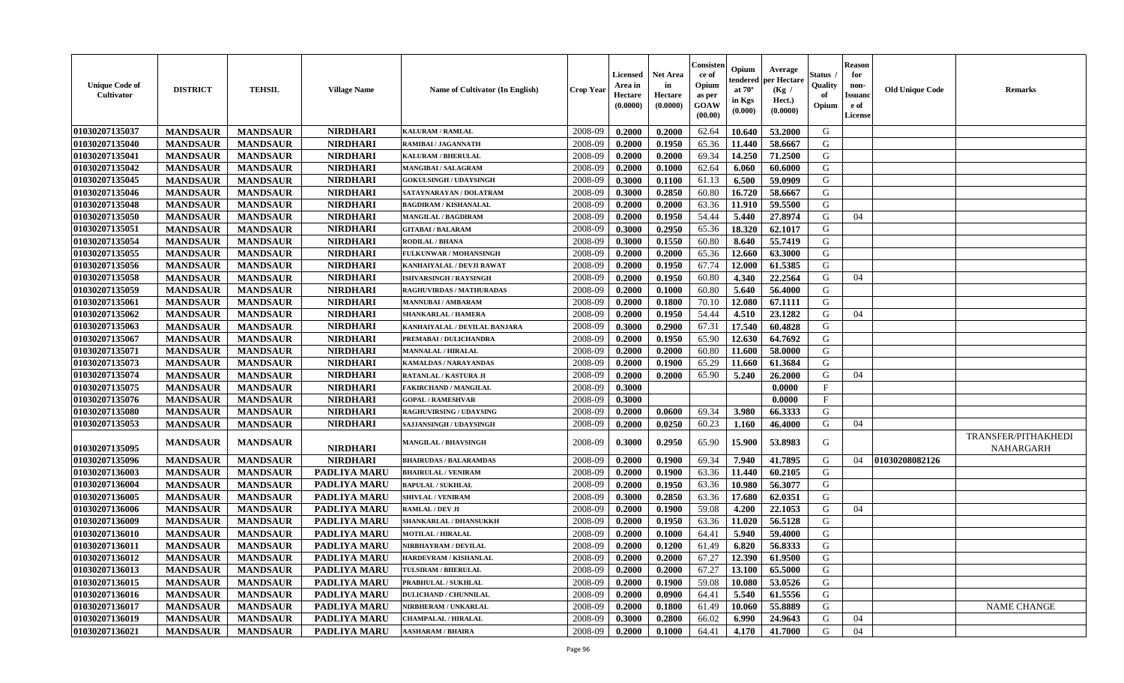| <b>Unique Code of</b><br>Cultivator | <b>DISTRICT</b> | <b>TEHSIL</b>   | <b>Village Name</b> | <b>Name of Cultivator (In English)</b> | <b>Crop Year</b> | <b>Licensed</b><br>Area in<br>Hectare<br>(0.0000) | <b>Net Area</b><br>in<br>Hectare<br>(0.0000) | Consister<br>ce of<br>Opium<br>as per<br><b>GOAW</b><br>(00.00) | Opium<br>tendered<br>at $70^\circ$<br>in Kgs<br>$(\mathbf{0.000})$ | Average<br>per Hectare<br>(Kg /<br>Hect.)<br>(0.0000) | Status .<br>Quality<br>of<br>Opium | <b>Reason</b><br>for<br>non-<br><b>Issuanc</b><br>e of<br>License | <b>Old Unique Code</b> | <b>Remarks</b>      |
|-------------------------------------|-----------------|-----------------|---------------------|----------------------------------------|------------------|---------------------------------------------------|----------------------------------------------|-----------------------------------------------------------------|--------------------------------------------------------------------|-------------------------------------------------------|------------------------------------|-------------------------------------------------------------------|------------------------|---------------------|
| 01030207135037                      | <b>MANDSAUR</b> | <b>MANDSAUR</b> | <b>NIRDHARI</b>     | <b>KALURAM / RAMLAL</b>                | 2008-09          | 0.2000                                            | 0.2000                                       | 62.64                                                           | 10.640                                                             | 53.2000                                               | G                                  |                                                                   |                        |                     |
| 01030207135040                      | <b>MANDSAUR</b> | <b>MANDSAUR</b> | <b>NIRDHARI</b>     | RAMIBAI / JAGANNATH                    | 2008-09          | 0.2000                                            | 0.1950                                       | 65.36                                                           | 11.440                                                             | 58.6667                                               | G                                  |                                                                   |                        |                     |
| 01030207135041                      | <b>MANDSAUR</b> | <b>MANDSAUR</b> | <b>NIRDHARI</b>     | KALURAM / BHERULAL                     | 2008-09          | 0.2000                                            | 0.2000                                       | 69.34                                                           | 14.250                                                             | 71.2500                                               | G                                  |                                                                   |                        |                     |
| 01030207135042                      | <b>MANDSAUR</b> | <b>MANDSAUR</b> | <b>NIRDHARI</b>     | MANGIBAI / SALAGRAM                    | 2008-09          | 0.2000                                            | 0.1000                                       | 62.64                                                           | 6.060                                                              | 60.6000                                               | G                                  |                                                                   |                        |                     |
| 01030207135045                      | <b>MANDSAUR</b> | <b>MANDSAUR</b> | <b>NIRDHARI</b>     | <b>GOKULSINGH / UDAYSINGH</b>          | 2008-09          | 0.3000                                            | 0.1100                                       | 61.13                                                           | 6.500                                                              | 59.0909                                               | G                                  |                                                                   |                        |                     |
| 01030207135046                      | <b>MANDSAUR</b> | <b>MANDSAUR</b> | <b>NIRDHARI</b>     | SATAYNARAYAN / DOLATRAM                | 2008-09          | 0.3000                                            | 0.2850                                       | 60.80                                                           | 16.720                                                             | 58.6667                                               | G                                  |                                                                   |                        |                     |
| 01030207135048                      | <b>MANDSAUR</b> | <b>MANDSAUR</b> | <b>NIRDHARI</b>     | <b>BAGDIRAM / KISHANALAL</b>           | 2008-09          | 0.2000                                            | 0.2000                                       | 63.36                                                           | 11.910                                                             | 59.5500                                               | G                                  |                                                                   |                        |                     |
| 01030207135050                      | <b>MANDSAUR</b> | <b>MANDSAUR</b> | <b>NIRDHARI</b>     | MANGILAL / BAGDIRAM                    | 2008-09          | 0.2000                                            | 0.1950                                       | 54.44                                                           | 5.440                                                              | 27.8974                                               | G                                  | 04                                                                |                        |                     |
| 01030207135051                      | <b>MANDSAUR</b> | <b>MANDSAUR</b> | <b>NIRDHARI</b>     | <b>GITABAI/BALARAM</b>                 | 2008-09          | 0.3000                                            | 0.2950                                       | 65.36                                                           | 18.320                                                             | 62.1017                                               | G                                  |                                                                   |                        |                     |
| 01030207135054                      | <b>MANDSAUR</b> | <b>MANDSAUR</b> | <b>NIRDHARI</b>     | RODILAL / BHANA                        | 2008-09          | 0.3000                                            | 0.1550                                       | 60.80                                                           | 8.640                                                              | 55.7419                                               | G                                  |                                                                   |                        |                     |
| 01030207135055                      | <b>MANDSAUR</b> | <b>MANDSAUR</b> | <b>NIRDHARI</b>     | FULKUNWAR / MOHANSINGH                 | 2008-09          | 0.2000                                            | 0.2000                                       | 65.36                                                           | 12.660                                                             | 63.3000                                               | G                                  |                                                                   |                        |                     |
| 01030207135056                      | <b>MANDSAUR</b> | <b>MANDSAUR</b> | <b>NIRDHARI</b>     | KANHAIYALAL / DEVJI RAWAT              | 2008-09          | 0.2000                                            | 0.1950                                       | 67.74                                                           | 12.000                                                             | 61.5385                                               | G                                  |                                                                   |                        |                     |
| 01030207135058                      | <b>MANDSAUR</b> | <b>MANDSAUR</b> | <b>NIRDHARI</b>     | <b>ISHVARSINGH / RAYSINGH</b>          | 2008-09          | 0.2000                                            | 0.1950                                       | 60.80                                                           | 4.340                                                              | 22,2564                                               | G                                  | 04                                                                |                        |                     |
| 01030207135059                      | <b>MANDSAUR</b> | <b>MANDSAUR</b> | <b>NIRDHARI</b>     | RAGHUVIRDAS / MATHURADAS               | 2008-09          | 0.2000                                            | 0.1000                                       | 60.80                                                           | 5.640                                                              | 56.4000                                               | G                                  |                                                                   |                        |                     |
| 01030207135061                      | <b>MANDSAUR</b> | <b>MANDSAUR</b> | <b>NIRDHARI</b>     | <b>MANNUBAI/AMBARAM</b>                | 2008-09          | 0.2000                                            | 0.1800                                       | 70.10                                                           | 12.080                                                             | 67.1111                                               | G                                  |                                                                   |                        |                     |
| 01030207135062                      | <b>MANDSAUR</b> | <b>MANDSAUR</b> | <b>NIRDHARI</b>     | <b>SHANKARLAL / HAMERA</b>             | 2008-09          | 0.2000                                            | 0.1950                                       | 54.44                                                           | 4.510                                                              | 23.1282                                               | G                                  | 04                                                                |                        |                     |
| 01030207135063                      | <b>MANDSAUR</b> | <b>MANDSAUR</b> | <b>NIRDHARI</b>     | KANHAIYALAL / DEVILAL BANJARA          | 2008-09          | 0.3000                                            | 0.2900                                       | 67.31                                                           | 17.540                                                             | 60.4828                                               | G                                  |                                                                   |                        |                     |
| 01030207135067                      | <b>MANDSAUR</b> | <b>MANDSAUR</b> | <b>NIRDHARI</b>     | PREMABAI / DULICHANDRA                 | 2008-09          | 0.2000                                            | 0.1950                                       | 65.90                                                           | 12.630                                                             | 64.7692                                               | G                                  |                                                                   |                        |                     |
| 01030207135071                      | <b>MANDSAUR</b> | <b>MANDSAUR</b> | <b>NIRDHARI</b>     | <b>MANNALAL / HIRALAL</b>              | 2008-09          | 0.2000                                            | 0.2000                                       | 60.80                                                           | 11.600                                                             | 58.0000                                               | G                                  |                                                                   |                        |                     |
| 01030207135073                      | <b>MANDSAUR</b> | <b>MANDSAUR</b> | <b>NIRDHARI</b>     | <b>KAMALDAS / NARAYANDAS</b>           | 2008-09          | 0.2000                                            | 0.1900                                       | 65.29                                                           | 11.660                                                             | 61.3684                                               | G                                  |                                                                   |                        |                     |
| 01030207135074                      | <b>MANDSAUR</b> | <b>MANDSAUR</b> | <b>NIRDHARI</b>     | RATANLAL / KASTURA JI                  | 2008-09          | 0.2000                                            | 0.2000                                       | 65.90                                                           | 5.240                                                              | 26.2000                                               | G                                  | 04                                                                |                        |                     |
| 01030207135075                      | <b>MANDSAUR</b> | <b>MANDSAUR</b> | <b>NIRDHARI</b>     | <b>FAKIRCHAND / MANGILAL</b>           | 2008-09          | 0.3000                                            |                                              |                                                                 |                                                                    | 0.0000                                                | $\mathbf F$                        |                                                                   |                        |                     |
| 01030207135076                      | <b>MANDSAUR</b> | <b>MANDSAUR</b> | <b>NIRDHARI</b>     | <b>GOPAL / RAMESHVAR</b>               | 2008-09          | 0.3000                                            |                                              |                                                                 |                                                                    | 0.0000                                                | $\mathbf{F}$                       |                                                                   |                        |                     |
| 01030207135080                      | <b>MANDSAUR</b> | <b>MANDSAUR</b> | <b>NIRDHARI</b>     | <b>RAGHUVIRSING / UDAYSING</b>         | 2008-09          | 0.2000                                            | 0.0600                                       | 69.34                                                           | 3.980                                                              | 66.3333                                               | G                                  |                                                                   |                        |                     |
| 01030207135053                      | <b>MANDSAUR</b> | <b>MANDSAUR</b> | <b>NIRDHARI</b>     | SAJJANSINGH / UDAYSINGH                | 2008-09          | 0.2000                                            | 0.0250                                       | 60.23                                                           | 1.160                                                              | 46.4000                                               | G                                  | 04                                                                |                        |                     |
|                                     |                 |                 |                     |                                        |                  |                                                   |                                              |                                                                 |                                                                    |                                                       |                                    |                                                                   |                        | TRANSFER/PITHAKHEDI |
| 01030207135095                      | <b>MANDSAUR</b> | <b>MANDSAUR</b> | <b>NIRDHARI</b>     | MANGILAL / BHAVSINGH                   | 2008-09          | 0.3000                                            | 0.2950                                       | 65.90                                                           | 15.900                                                             | 53.8983                                               | G                                  |                                                                   |                        | NAHARGARH           |
| 01030207135096                      | <b>MANDSAUR</b> | <b>MANDSAUR</b> | <b>NIRDHARI</b>     | <b>BHAIRUDAS / BALARAMDAS</b>          | 2008-09          | 0.2000                                            | 0.1900                                       | 69.34                                                           | 7.940                                                              | 41.7895                                               | G                                  | 04                                                                | 01030208082126         |                     |
| 01030207136003                      | <b>MANDSAUR</b> | <b>MANDSAUR</b> | PADLIYA MARU        | <b>BHAIRULAL / VENIRAM</b>             | 2008-09          | 0.2000                                            | 0.1900                                       | 63.36                                                           | 11.440                                                             | 60.2105                                               | G                                  |                                                                   |                        |                     |
| 01030207136004                      | <b>MANDSAUR</b> | <b>MANDSAUR</b> | <b>PADLIYA MARU</b> | <b>BAPULAL / SUKHLAL</b>               | 2008-09          | 0.2000                                            | 0.1950                                       | 63.36                                                           | 10.980                                                             | 56.3077                                               | G                                  |                                                                   |                        |                     |
| 01030207136005                      | <b>MANDSAUR</b> | <b>MANDSAUR</b> | <b>PADLIYA MARU</b> | <b>SHIVLAL / VENIRAM</b>               | 2008-09          | 0.3000                                            | 0.2850                                       | 63.36                                                           | 17.680                                                             | 62.0351                                               | G                                  |                                                                   |                        |                     |
| 01030207136006                      | <b>MANDSAUR</b> | <b>MANDSAUR</b> | <b>PADLIYA MARU</b> | RAMLAL / DEV JI                        | 2008-09          | 0.2000                                            | 0.1900                                       | 59.08                                                           | 4.200                                                              | 22.1053                                               | G                                  | 04                                                                |                        |                     |
| 01030207136009                      | <b>MANDSAUR</b> | <b>MANDSAUR</b> | <b>PADLIYA MARU</b> | SHANKARLAL / DHANSUKKH                 | 2008-09          | 0.2000                                            | 0.1950                                       | 63.36                                                           | 11.020                                                             | 56.5128                                               | G                                  |                                                                   |                        |                     |
| 01030207136010                      | <b>MANDSAUR</b> | <b>MANDSAUR</b> | <b>PADLIYA MARU</b> | <b>MOTILAL / HIRALAL</b>               | 2008-09          | 0.2000                                            | 0.1000                                       | 64.41                                                           | 5.940                                                              | 59.4000                                               | G                                  |                                                                   |                        |                     |
| 01030207136011                      | <b>MANDSAUR</b> | <b>MANDSAUR</b> | <b>PADLIYA MARU</b> | NIRBHAYRAM / DEVILAL                   | 2008-09          | 0.2000                                            | 0.1200                                       | 61.49                                                           | 6.820                                                              | 56.8333                                               | G                                  |                                                                   |                        |                     |
| 01030207136012                      | <b>MANDSAUR</b> | <b>MANDSAUR</b> | PADLIYA MARU        | <b>HARDEVRAM / KISHANLAL</b>           | 2008-09          | 0.2000                                            | 0.2000                                       | 67.27                                                           |                                                                    | $12.390 \mid 61.9500$                                 | G                                  |                                                                   |                        |                     |
| 01030207136013                      | <b>MANDSAUR</b> | <b>MANDSAUR</b> | <b>PADLIYA MARU</b> | <b>TULSIRAM / BHERULAL</b>             | 2008-09          | 0.2000                                            | 0.2000                                       | 67.27                                                           | 13.100                                                             | 65.5000                                               | G                                  |                                                                   |                        |                     |
| 01030207136015                      | <b>MANDSAUR</b> | <b>MANDSAUR</b> | <b>PADLIYA MARU</b> | PRABHULAL / SUKHLAL                    | 2008-09          | 0.2000                                            | 0.1900                                       | 59.08                                                           | 10.080                                                             | 53.0526                                               | G                                  |                                                                   |                        |                     |
| 01030207136016                      | <b>MANDSAUR</b> | <b>MANDSAUR</b> | <b>PADLIYA MARU</b> | <b>DULICHAND / CHUNNILAL</b>           | 2008-09          | 0.2000                                            | 0.0900                                       | 64.41                                                           | 5.540                                                              | 61.5556                                               | G                                  |                                                                   |                        |                     |
| 01030207136017                      | <b>MANDSAUR</b> | <b>MANDSAUR</b> | PADLIYA MARU        | NIRBHERAM / UNKARLAL                   | 2008-09          | 0.2000                                            | 0.1800                                       | 61.49                                                           | 10.060                                                             | 55.8889                                               | G                                  |                                                                   |                        | <b>NAME CHANGE</b>  |
| 01030207136019                      | <b>MANDSAUR</b> | <b>MANDSAUR</b> | PADLIYA MARU        | <b>CHAMPALAL / HIRALAL</b>             | 2008-09          | 0.3000                                            | 0.2800                                       | 66.02                                                           | 6.990                                                              | 24.9643                                               | G                                  | 04                                                                |                        |                     |
| 01030207136021                      | <b>MANDSAUR</b> | <b>MANDSAUR</b> | <b>PADLIYA MARU</b> | <b>AASHARAM / BHAIRA</b>               | 2008-09          | 0.2000                                            | 0.1000                                       | 64.41                                                           | 4.170                                                              | 41.7000                                               | G                                  | 04                                                                |                        |                     |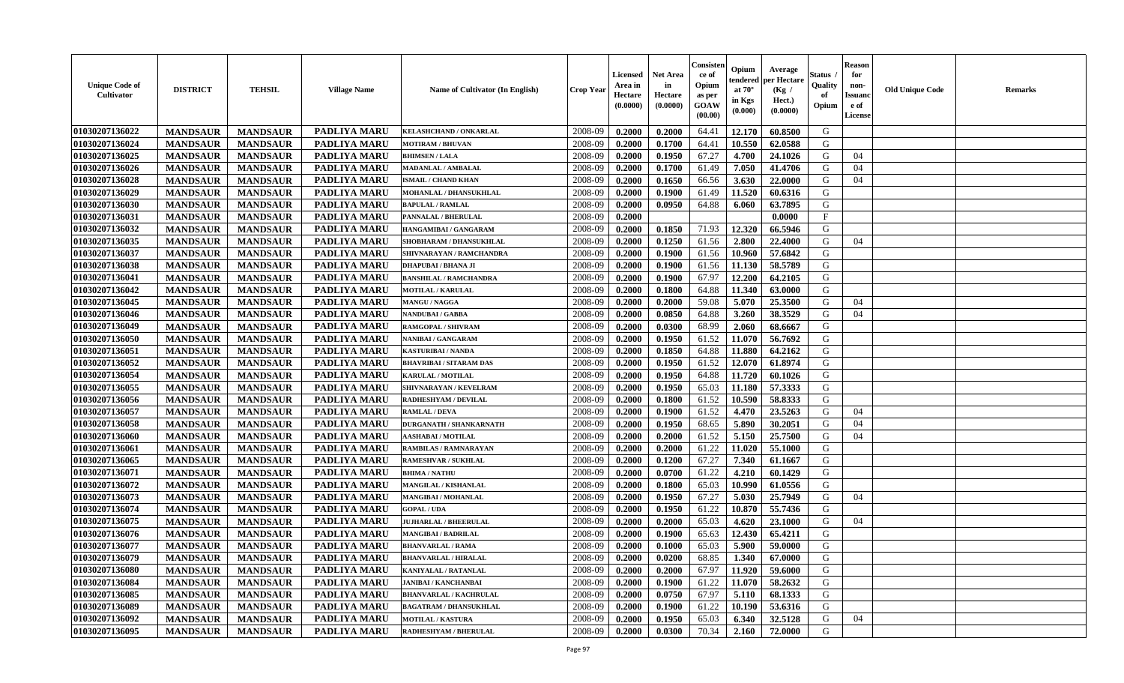| <b>Unique Code of</b><br><b>Cultivator</b> | <b>DISTRICT</b> | <b>TEHSIL</b>   | <b>Village Name</b> | Name of Cultivator (In English) | <b>Crop Year</b> | <b>Licensed</b><br>Area in<br>Hectare<br>(0.0000) | <b>Net Area</b><br>in<br>Hectare<br>(0.0000) | Consisteı<br>ce of<br>Opium<br>as per<br>GOAW<br>(00.00) | Opium<br>endered<br>at $70^\circ$<br>in Kgs<br>(0.000) | Average<br>per Hectare<br>(Kg /<br>Hect.)<br>(0.0000) | Status<br>Quality<br>of<br>Opium | <b>Reason</b><br>for<br>non-<br><b>Issuand</b><br>e of<br><b>License</b> | <b>Old Unique Code</b> | <b>Remarks</b> |
|--------------------------------------------|-----------------|-----------------|---------------------|---------------------------------|------------------|---------------------------------------------------|----------------------------------------------|----------------------------------------------------------|--------------------------------------------------------|-------------------------------------------------------|----------------------------------|--------------------------------------------------------------------------|------------------------|----------------|
| 01030207136022                             | <b>MANDSAUR</b> | <b>MANDSAUR</b> | <b>PADLIYA MARU</b> | KELASHCHAND / ONKARLAL          | 2008-09          | 0.2000                                            | 0.2000                                       | 64.41                                                    | 12.170                                                 | 60.8500                                               | G                                |                                                                          |                        |                |
| 01030207136024                             | <b>MANDSAUR</b> | <b>MANDSAUR</b> | <b>PADLIYA MARU</b> | <b>MOTIRAM / BHUVAN</b>         | 2008-09          | 0.2000                                            | 0.1700                                       | 64.41                                                    | 10.550                                                 | 62.0588                                               | G                                |                                                                          |                        |                |
| 01030207136025                             | <b>MANDSAUR</b> | <b>MANDSAUR</b> | PADLIYA MARU        | <b>BHIMSEN / LALA</b>           | 2008-09          | 0.2000                                            | 0.1950                                       | 67.27                                                    | 4.700                                                  | 24.1026                                               | G                                | 04                                                                       |                        |                |
| 01030207136026                             | <b>MANDSAUR</b> | <b>MANDSAUR</b> | <b>PADLIYA MARU</b> | <b>MADANLAL / AMBALAL</b>       | 2008-09          | 0.2000                                            | 0.1700                                       | 61.49                                                    | 7.050                                                  | 41.4706                                               | G                                | 04                                                                       |                        |                |
| 01030207136028                             | <b>MANDSAUR</b> | <b>MANDSAUR</b> | <b>PADLIYA MARU</b> | <b>ISMAIL / CHAND KHAN</b>      | 2008-09          | 0.2000                                            | 0.1650                                       | 66.56                                                    | 3.630                                                  | 22.0000                                               | G                                | 04                                                                       |                        |                |
| 01030207136029                             | <b>MANDSAUR</b> | <b>MANDSAUR</b> | PADLIYA MARU        | MOHANLAL / DHANSUKHLAL          | 2008-09          | 0.2000                                            | 0.1900                                       | 61.49                                                    | 11.520                                                 | 60.6316                                               | G                                |                                                                          |                        |                |
| 01030207136030                             | <b>MANDSAUR</b> | <b>MANDSAUR</b> | PADLIYA MARU        | <b>BAPULAL / RAMLAL</b>         | 2008-09          | 0.2000                                            | 0.0950                                       | 64.88                                                    | 6.060                                                  | 63.7895                                               | G                                |                                                                          |                        |                |
| 01030207136031                             | <b>MANDSAUR</b> | <b>MANDSAUR</b> | <b>PADLIYA MARU</b> | PANNALAL / BHERULAL             | 2008-09          | 0.2000                                            |                                              |                                                          |                                                        | 0.0000                                                | $_{\rm F}$                       |                                                                          |                        |                |
| 01030207136032                             | <b>MANDSAUR</b> | <b>MANDSAUR</b> | PADLIYA MARU        | HANGAMIBAI / GANGARAM           | 2008-09          | 0.2000                                            | 0.1850                                       | 71.93                                                    | 12.320                                                 | 66.5946                                               | G                                |                                                                          |                        |                |
| 01030207136035                             | <b>MANDSAUR</b> | <b>MANDSAUR</b> | <b>PADLIYA MARU</b> | SHOBHARAM / DHANSUKHLAL         | 2008-09          | 0.2000                                            | 0.1250                                       | 61.56                                                    | 2.800                                                  | 22.4000                                               | G                                | 04                                                                       |                        |                |
| 01030207136037                             | <b>MANDSAUR</b> | <b>MANDSAUR</b> | <b>PADLIYA MARU</b> | SHIVNARAYAN / RAMCHANDRA        | 2008-09          | 0.2000                                            | 0.1900                                       | 61.56                                                    | 10.960                                                 | 57.6842                                               | G                                |                                                                          |                        |                |
| 01030207136038                             | <b>MANDSAUR</b> | <b>MANDSAUR</b> | PADLIYA MARU        | <b>DHAPUBAI/BHANA JI</b>        | 2008-09          | 0.2000                                            | 0.1900                                       | 61.56                                                    | 11.130                                                 | 58.5789                                               | G                                |                                                                          |                        |                |
| 01030207136041                             | <b>MANDSAUR</b> | <b>MANDSAUR</b> | PADLIYA MARU        | <b>BANSHILAL / RAMCHANDRA</b>   | 2008-09          | 0.2000                                            | 0.1900                                       | 67.97                                                    | 12.200                                                 | 64.2105                                               | G                                |                                                                          |                        |                |
| 01030207136042                             | <b>MANDSAUR</b> | <b>MANDSAUR</b> | PADLIYA MARU        | <b>MOTILAL / KARULAL</b>        | 2008-09          | 0.2000                                            | 0.1800                                       | 64.88                                                    | 11.340                                                 | 63.0000                                               | G                                |                                                                          |                        |                |
| 01030207136045                             | <b>MANDSAUR</b> | <b>MANDSAUR</b> | PADLIYA MARU        | MANGU / NAGGA                   | 2008-09          | 0.2000                                            | 0.2000                                       | 59.08                                                    | 5.070                                                  | 25.3500                                               | G                                | 04                                                                       |                        |                |
| 01030207136046                             | <b>MANDSAUR</b> | <b>MANDSAUR</b> | PADLIYA MARU        | <b>NANDUBAI/GABBA</b>           | 2008-09          | 0.2000                                            | 0.0850                                       | 64.88                                                    | 3.260                                                  | 38.3529                                               | G                                | 04                                                                       |                        |                |
| 01030207136049                             | <b>MANDSAUR</b> | <b>MANDSAUR</b> | PADLIYA MARU        | RAMGOPAL / SHIVRAM              | 2008-09          | 0.2000                                            | 0.0300                                       | 68.99                                                    | 2.060                                                  | 68.6667                                               | G                                |                                                                          |                        |                |
| 01030207136050                             | <b>MANDSAUR</b> | <b>MANDSAUR</b> | <b>PADLIYA MARU</b> | NANIBAI / GANGARAM              | 2008-09          | 0.2000                                            | 0.1950                                       | 61.52                                                    | 11.070                                                 | 56.7692                                               | G                                |                                                                          |                        |                |
| 01030207136051                             | <b>MANDSAUR</b> | <b>MANDSAUR</b> | PADLIYA MARU        | <b>KASTURIBAI / NANDA</b>       | 2008-09          | 0.2000                                            | 0.1850                                       | 64.88                                                    | 11.880                                                 | 64.2162                                               | G                                |                                                                          |                        |                |
| 01030207136052                             | <b>MANDSAUR</b> | <b>MANDSAUR</b> | <b>PADLIYA MARU</b> | <b>BHAVRIBAI/SITARAM DAS</b>    | 2008-09          | 0.2000                                            | 0.1950                                       | 61.52                                                    | 12.070                                                 | 61.8974                                               | G                                |                                                                          |                        |                |
| 01030207136054                             | <b>MANDSAUR</b> | <b>MANDSAUR</b> | PADLIYA MARU        | KARULAL / MOTILAL               | 2008-09          | 0.2000                                            | 0.1950                                       | 64.88                                                    | 11.720                                                 | 60.1026                                               | G                                |                                                                          |                        |                |
| 01030207136055                             | <b>MANDSAUR</b> | <b>MANDSAUR</b> | PADLIYA MARU        | SHIVNARAYAN / KEVELRAM          | 2008-09          | 0.2000                                            | 0.1950                                       | 65.03                                                    | 11.180                                                 | 57.3333                                               | G                                |                                                                          |                        |                |
| 01030207136056                             | <b>MANDSAUR</b> | <b>MANDSAUR</b> | PADLIYA MARU        | RADHESHYAM / DEVILAL            | 2008-09          | 0.2000                                            | 0.1800                                       | 61.52                                                    | 10.590                                                 | 58.8333                                               | G                                |                                                                          |                        |                |
| 01030207136057                             | <b>MANDSAUR</b> | <b>MANDSAUR</b> | PADLIYA MARU        | <b>RAMLAL / DEVA</b>            | 2008-09          | 0.2000                                            | 0.1900                                       | 61.52                                                    | 4.470                                                  | 23.5263                                               | G                                | 04                                                                       |                        |                |
| 01030207136058                             | <b>MANDSAUR</b> | <b>MANDSAUR</b> | <b>PADLIYA MARU</b> | <b>DURGANATH / SHANKARNATH</b>  | 2008-09          | 0.2000                                            | 0.1950                                       | 68.65                                                    | 5.890                                                  | 30.2051                                               | G                                | 04                                                                       |                        |                |
| 01030207136060                             | <b>MANDSAUR</b> | <b>MANDSAUR</b> | PADLIYA MARU        | <b>AASHABAI/MOTILAL</b>         | 2008-09          | 0.2000                                            | 0.2000                                       | 61.52                                                    | 5.150                                                  | 25.7500                                               | G                                | 04                                                                       |                        |                |
| 01030207136061                             | <b>MANDSAUR</b> | <b>MANDSAUR</b> | PADLIYA MARU        | <b>RAMBILAS / RAMNARAYAN</b>    | 2008-09          | 0.2000                                            | 0.2000                                       | 61.22                                                    | 11.020                                                 | 55.1000                                               | G                                |                                                                          |                        |                |
| 01030207136065                             | <b>MANDSAUR</b> | <b>MANDSAUR</b> | <b>PADLIYA MARU</b> | RAMESHVAR / SUKHLAL             | 2008-09          | 0.2000                                            | 0.1200                                       | 67.27                                                    | 7.340                                                  | 61.1667                                               | G                                |                                                                          |                        |                |
| 01030207136071                             | <b>MANDSAUR</b> | <b>MANDSAUR</b> | PADLIYA MARU        | <b>BHIMA / NATHU</b>            | 2008-09          | 0.2000                                            | 0.0700                                       | 61.22                                                    | 4.210                                                  | 60.1429                                               | G                                |                                                                          |                        |                |
| 01030207136072                             | <b>MANDSAUR</b> | <b>MANDSAUR</b> | PADLIYA MARU        | MANGILAL / KISHANLAL            | 2008-09          | 0.2000                                            | 0.1800                                       | 65.03                                                    | 10.990                                                 | 61.0556                                               | G                                |                                                                          |                        |                |
| 01030207136073                             | <b>MANDSAUR</b> | <b>MANDSAUR</b> | PADLIYA MARU        | MANGIBAI / MOHANLAL             | 2008-09          | 0.2000                                            | 0.1950                                       | 67.27                                                    | 5.030                                                  | 25.7949                                               | G                                | 04                                                                       |                        |                |
| 01030207136074                             | <b>MANDSAUR</b> | <b>MANDSAUR</b> | <b>PADLIYA MARU</b> | <b>GOPAL / UDA</b>              | 2008-09          | 0.2000                                            | 0.1950                                       | 61.22                                                    | 10.870                                                 | 55.7436                                               | G                                |                                                                          |                        |                |
| 01030207136075                             | <b>MANDSAUR</b> | <b>MANDSAUR</b> | PADLIYA MARU        | <b>JUJHARLAL / BHEERULAL</b>    | 2008-09          | 0.2000                                            | 0.2000                                       | 65.03                                                    | 4.620                                                  | 23.1000                                               | G                                | 04                                                                       |                        |                |
| 01030207136076                             | <b>MANDSAUR</b> | <b>MANDSAUR</b> | PADLIYA MARU        | <b>MANGIBAI/BADRILAL</b>        | 2008-09          | 0.2000                                            | 0.1900                                       | 65.63                                                    | 12.430                                                 | 65.4211                                               | G                                |                                                                          |                        |                |
| 01030207136077                             | <b>MANDSAUR</b> | <b>MANDSAUR</b> | <b>PADLIYA MARU</b> | <b>BHANVARLAL / RAMA</b>        | 2008-09          | 0.2000                                            | 0.1000                                       | 65.03                                                    | 5.900                                                  | 59.0000                                               | G                                |                                                                          |                        |                |
| 01030207136079                             | <b>MANDSAUR</b> | <b>MANDSAUR</b> | <b>PADLIYA MARU</b> | <b>BHANVARLAL / HIRALAL</b>     | 2008-09          | 0.2000                                            | 0.0200                                       | 68.85                                                    | 1.340                                                  | 67.0000                                               | G                                |                                                                          |                        |                |
| 01030207136080                             | <b>MANDSAUR</b> | <b>MANDSAUR</b> | PADLIYA MARU        | KANIYALAL / RATANLAL            | 2008-09          | 0.2000                                            | 0.2000                                       | 67.97                                                    | 11.920                                                 | 59.6000                                               | G                                |                                                                          |                        |                |
| 01030207136084                             | <b>MANDSAUR</b> | <b>MANDSAUR</b> | PADLIYA MARU        | <b>JANIBAI / KANCHANBAI</b>     | 2008-09          | 0.2000                                            | 0.1900                                       | 61.22                                                    | 11.070                                                 | 58.2632                                               | G                                |                                                                          |                        |                |
| 01030207136085                             | <b>MANDSAUR</b> | <b>MANDSAUR</b> | PADLIYA MARU        | <b>BHANVARLAL / KACHRULAL</b>   | 2008-09          | 0.2000                                            | 0.0750                                       | 67.97                                                    | 5.110                                                  | 68.1333                                               | ${\bf G}$                        |                                                                          |                        |                |
| 01030207136089                             | <b>MANDSAUR</b> | <b>MANDSAUR</b> | PADLIYA MARU        | <b>BAGATRAM / DHANSUKHLAL</b>   | 2008-09          | 0.2000                                            | 0.1900                                       | 61.22                                                    | 10.190                                                 | 53.6316                                               | G                                |                                                                          |                        |                |
| 01030207136092                             | <b>MANDSAUR</b> | <b>MANDSAUR</b> | PADLIYA MARU        | <b>MOTILAL / KASTURA</b>        | 2008-09          | 0.2000                                            | 0.1950                                       | 65.03                                                    | 6.340                                                  | 32.5128                                               | G                                | 04                                                                       |                        |                |
| 01030207136095                             | <b>MANDSAUR</b> | <b>MANDSAUR</b> | PADLIYA MARU        | RADHESHYAM / BHERULAL           | 2008-09          | 0.2000                                            | 0.0300                                       | 70.34                                                    | 2.160                                                  | 72.0000                                               | G                                |                                                                          |                        |                |
|                                            |                 |                 |                     |                                 |                  |                                                   |                                              |                                                          |                                                        |                                                       |                                  |                                                                          |                        |                |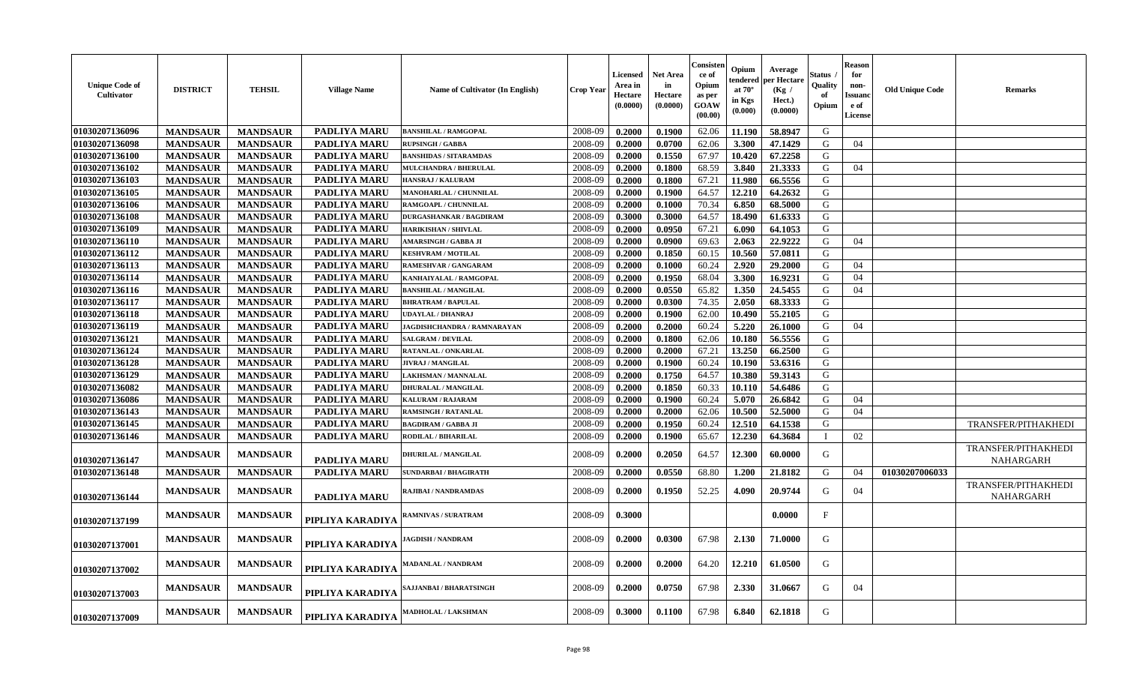| <b>Unique Code of</b><br>Cultivator | <b>DISTRICT</b> | <b>TEHSIL</b>   | <b>Village Name</b> | Name of Cultivator (In English)    | <b>Crop Year</b> | Licensed<br>Area in<br>Hectare<br>(0.0000) | <b>Net Area</b><br>in<br>Hectare<br>(0.0000) | Consister<br>-ce of<br>Opium<br>as per<br><b>GOAW</b><br>(00.00) | Opium<br>endered<br>at $70^\circ$<br>in Kgs<br>(0.000) | Average<br>er Hectare<br>(Kg /<br>Hect.)<br>(0.0000) | Status<br>Quality<br>of<br>Opium | <b>Reason</b><br>for<br>non-<br>Issuanc<br>e of<br>License | <b>Old Unique Code</b> | Remarks                                 |
|-------------------------------------|-----------------|-----------------|---------------------|------------------------------------|------------------|--------------------------------------------|----------------------------------------------|------------------------------------------------------------------|--------------------------------------------------------|------------------------------------------------------|----------------------------------|------------------------------------------------------------|------------------------|-----------------------------------------|
| 01030207136096                      | <b>MANDSAUR</b> | <b>MANDSAUR</b> | <b>PADLIYA MARU</b> | <b>BANSHILAL / RAMGOPAL</b>        | 2008-09          | 0.2000                                     | 0.1900                                       | 62.06                                                            | 11.190                                                 | 58.8947                                              | G                                |                                                            |                        |                                         |
| 01030207136098                      | <b>MANDSAUR</b> | <b>MANDSAUR</b> | PADLIYA MARU        | <b>RUPSINGH / GABBA</b>            | 2008-09          | 0.2000                                     | 0.0700                                       | 62.06                                                            | 3.300                                                  | 47.1429                                              | G                                | 04                                                         |                        |                                         |
| 01030207136100                      | <b>MANDSAUR</b> | <b>MANDSAUR</b> | PADLIYA MARU        | <b>BANSHIDAS / SITARAMDAS</b>      | 2008-09          | 0.2000                                     | 0.1550                                       | 67.97                                                            | 10.420                                                 | 67.2258                                              | G                                |                                                            |                        |                                         |
| 01030207136102                      | <b>MANDSAUR</b> | <b>MANDSAUR</b> | <b>PADLIYA MARU</b> | MULCHANDRA / BHERULAL              | 2008-09          | 0.2000                                     | 0.1800                                       | 68.59                                                            | 3.840                                                  | 21.3333                                              | G                                | 04                                                         |                        |                                         |
| 01030207136103                      | <b>MANDSAUR</b> | <b>MANDSAUR</b> | PADLIYA MARU        | HANSRAJ / KALURAM                  | 2008-09          | 0.2000                                     | 0.1800                                       | 67.21                                                            | 11.980                                                 | 66.5556                                              | G                                |                                                            |                        |                                         |
| 01030207136105                      | <b>MANDSAUR</b> | <b>MANDSAUR</b> | <b>PADLIYA MARU</b> | MANOHARLAL / CHUNNILAL             | 2008-09          | 0.2000                                     | 0.1900                                       | 64.57                                                            | 12.210                                                 | 64.2632                                              | G                                |                                                            |                        |                                         |
| 01030207136106                      | <b>MANDSAUR</b> | <b>MANDSAUR</b> | <b>PADLIYA MARU</b> | RAMGOAPL / CHUNNILAL               | 2008-09          | 0.2000                                     | 0.1000                                       | 70.34                                                            | 6.850                                                  | 68.5000                                              | G                                |                                                            |                        |                                         |
| 01030207136108                      | <b>MANDSAUR</b> | <b>MANDSAUR</b> | PADLIYA MARU        | <b>DURGASHANKAR / BAGDIRAM</b>     | 2008-09          | 0.3000                                     | 0.3000                                       | 64.57                                                            | 18.490                                                 | 61.6333                                              | ${\bf G}$                        |                                                            |                        |                                         |
| 01030207136109                      | <b>MANDSAUR</b> | <b>MANDSAUR</b> | <b>PADLIYA MARU</b> | <b>HARIKISHAN / SHIVLAL</b>        | 2008-09          | 0.2000                                     | 0.0950                                       | 67.21                                                            | 6.090                                                  | 64.1053                                              | G                                |                                                            |                        |                                         |
| 01030207136110                      | <b>MANDSAUR</b> | <b>MANDSAUR</b> | <b>PADLIYA MARU</b> | <b>AMARSINGH / GABBA JI</b>        | 2008-09          | 0.2000                                     | 0.0900                                       | 69.63                                                            | 2.063                                                  | 22.9222                                              | G                                | 04                                                         |                        |                                         |
| 01030207136112                      | <b>MANDSAUR</b> | <b>MANDSAUR</b> | PADLIYA MARU        | <b>KESHVRAM / MOTILAL</b>          | 2008-09          | 0.2000                                     | 0.1850                                       | 60.15                                                            | 10.560                                                 | 57.0811                                              | G                                |                                                            |                        |                                         |
| 01030207136113                      | <b>MANDSAUR</b> | <b>MANDSAUR</b> | <b>PADLIYA MARU</b> | RAMESHVAR / GANGARAM               | 2008-09          | 0.2000                                     | 0.1000                                       | 60.24                                                            | 2.920                                                  | 29.2000                                              | G                                | 04                                                         |                        |                                         |
| 01030207136114                      | <b>MANDSAUR</b> | <b>MANDSAUR</b> | PADLIYA MARU        | KANHAIYALAL / RAMGOPAL             | 2008-09          | 0.2000                                     | 0.1950                                       | 68.04                                                            | 3.300                                                  | 16.9231                                              | G                                | 04                                                         |                        |                                         |
| 01030207136116                      | <b>MANDSAUR</b> | <b>MANDSAUR</b> | <b>PADLIYA MARU</b> | <b>BANSHILAL / MANGILAL</b>        | 2008-09          | 0.2000                                     | 0.0550                                       | 65.82                                                            | 1.350                                                  | 24.5455                                              | G                                | 04                                                         |                        |                                         |
| 01030207136117                      | <b>MANDSAUR</b> | <b>MANDSAUR</b> | <b>PADLIYA MARU</b> | <b>BHRATRAM / BAPULAL</b>          | 2008-09          | 0.2000                                     | 0.0300                                       | 74.35                                                            | 2.050                                                  | 68.3333                                              | G                                |                                                            |                        |                                         |
| 01030207136118                      | <b>MANDSAUR</b> | <b>MANDSAUR</b> | PADLIYA MARU        | <b>UDAYLAL / DHANRAJ</b>           | 2008-09          | 0.2000                                     | 0.1900                                       | 62.00                                                            | 10.490                                                 | 55.2105                                              | G                                |                                                            |                        |                                         |
| 01030207136119                      | <b>MANDSAUR</b> | <b>MANDSAUR</b> | <b>PADLIYA MARU</b> | <b>JAGDISHCHANDRA / RAMNARAYAN</b> | 2008-09          | 0.2000                                     | 0.2000                                       | 60.24                                                            | 5.220                                                  | 26.1000                                              | G                                | 04                                                         |                        |                                         |
| 01030207136121                      | <b>MANDSAUR</b> | <b>MANDSAUR</b> | PADLIYA MARU        | <b>SALGRAM / DEVILAL</b>           | 2008-09          | 0.2000                                     | 0.1800                                       | 62.06                                                            | 10.180                                                 | 56.5556                                              | G                                |                                                            |                        |                                         |
| 01030207136124                      | <b>MANDSAUR</b> | <b>MANDSAUR</b> | <b>PADLIYA MARU</b> | RATANLAL / ONKARLAL                | 2008-09          | 0.2000                                     | 0.2000                                       | 67.21                                                            | 13.250                                                 | 66.2500                                              | G                                |                                                            |                        |                                         |
| 01030207136128                      | <b>MANDSAUR</b> | <b>MANDSAUR</b> | PADLIYA MARU        | <b>JIVRAJ / MANGILAL</b>           | 2008-09          | 0.2000                                     | 0.1900                                       | 60.24                                                            | 10.190                                                 | 53.6316                                              | G                                |                                                            |                        |                                         |
| 01030207136129                      | <b>MANDSAUR</b> | <b>MANDSAUR</b> | PADLIYA MARU        | LAKHSMAN / MANNALAL                | 2008-09          | 0.2000                                     | 0.1750                                       | 64.57                                                            | 10.380                                                 | 59.3143                                              | G                                |                                                            |                        |                                         |
| 01030207136082                      | <b>MANDSAUR</b> | <b>MANDSAUR</b> | <b>PADLIYA MARU</b> | <b>DHURALAL / MANGILAL</b>         | 2008-09          | 0.2000                                     | 0.1850                                       | 60.33                                                            | 10.110                                                 | 54.6486                                              | G                                |                                                            |                        |                                         |
| 01030207136086                      | <b>MANDSAUR</b> | <b>MANDSAUR</b> | PADLIYA MARU        | KALURAM / RAJARAM                  | 2008-09          | 0.2000                                     | 0.1900                                       | 60.24                                                            | 5.070                                                  | 26.6842                                              | G                                | 04                                                         |                        |                                         |
| 01030207136143                      | <b>MANDSAUR</b> | <b>MANDSAUR</b> | <b>PADLIYA MARU</b> | <b>RAMSINGH / RATANLAL</b>         | 2008-09          | 0.2000                                     | 0.2000                                       | 62.06                                                            | 10.500                                                 | 52.5000                                              | G                                | 04                                                         |                        |                                         |
| 01030207136145                      | <b>MANDSAUR</b> | <b>MANDSAUR</b> | <b>PADLIYA MARU</b> | <b>BAGDIRAM / GABBA JI</b>         | 2008-09          | 0.2000                                     | 0.1950                                       | 60.24                                                            | 12.510                                                 | 64.1538                                              | G                                |                                                            |                        | TRANSFER/PITHAKHEDI                     |
| 01030207136146                      | <b>MANDSAUR</b> | <b>MANDSAUR</b> | PADLIYA MARU        | RODILAL / BIHARILAL                | 2008-09          | 0.2000                                     | 0.1900                                       | 65.67                                                            | 12.230                                                 | 64.3684                                              | $\mathbf I$                      | 02                                                         |                        |                                         |
| 01030207136147                      | <b>MANDSAUR</b> | <b>MANDSAUR</b> | PADLIYA MARU        | DHURILAL / MANGILAL                | 2008-09          | 0.2000                                     | 0.2050                                       | 64.57                                                            | 12.300                                                 | 60.0000                                              | G                                |                                                            |                        | TRANSFER/PITHAKHEDI<br><b>NAHARGARH</b> |
| 01030207136148                      | <b>MANDSAUR</b> | <b>MANDSAUR</b> | PADLIYA MARU        | <b>SUNDARBAI / BHAGIRATH</b>       | 2008-09          | 0.2000                                     | 0.0550                                       | 68.80                                                            | 1.200                                                  | 21.8182                                              | G                                | 04                                                         | 01030207006033         |                                         |
| 01030207136144                      | <b>MANDSAUR</b> | <b>MANDSAUR</b> | PADLIYA MARU        | RAJIBAI / NANDRAMDAS               | 2008-09          | 0.2000                                     | 0.1950                                       | 52.25                                                            | 4.090                                                  | 20.9744                                              | G                                | 04                                                         |                        | TRANSFER/PITHAKHEDI<br><b>NAHARGARH</b> |
| 01030207137199                      | <b>MANDSAUR</b> | <b>MANDSAUR</b> | PIPLIYA KARADIYA    | RAMNIVAS / SURATRAM                | 2008-09          | 0.3000                                     |                                              |                                                                  |                                                        | 0.0000                                               | F                                |                                                            |                        |                                         |
| 01030207137001                      | <b>MANDSAUR</b> | <b>MANDSAUR</b> | PIPLIYA KARADIYA    | <b>JAGDISH / NANDRAM</b>           | 2008-09          | 0.2000                                     | 0.0300                                       | 67.98                                                            | 2.130                                                  | 71.0000                                              | G                                |                                                            |                        |                                         |
| 01030207137002                      | <b>MANDSAUR</b> | <b>MANDSAUR</b> | PIPLIYA KARADIYA    | <b>MADANLAL / NANDRAM</b>          | 2008-09          | 0.2000                                     | 0.2000                                       | 64.20                                                            | 12.210                                                 | 61.0500                                              | G                                |                                                            |                        |                                         |
| 01030207137003                      | <b>MANDSAUR</b> | <b>MANDSAUR</b> | PIPLIYA KARADIYA    | AJJANBAI / BHARATSINGH             | 2008-09          | 0.2000                                     | 0.0750                                       | 67.98                                                            | 2.330                                                  | 31.0667                                              | G                                | 04                                                         |                        |                                         |
| 01030207137009                      | <b>MANDSAUR</b> | <b>MANDSAUR</b> | PIPLIYA KARADIYA    | <b>MADHOLAL / LAKSHMAN</b>         | 2008-09          | 0.3000                                     | 0.1100                                       | 67.98                                                            | 6.840                                                  | 62.1818                                              | G                                |                                                            |                        |                                         |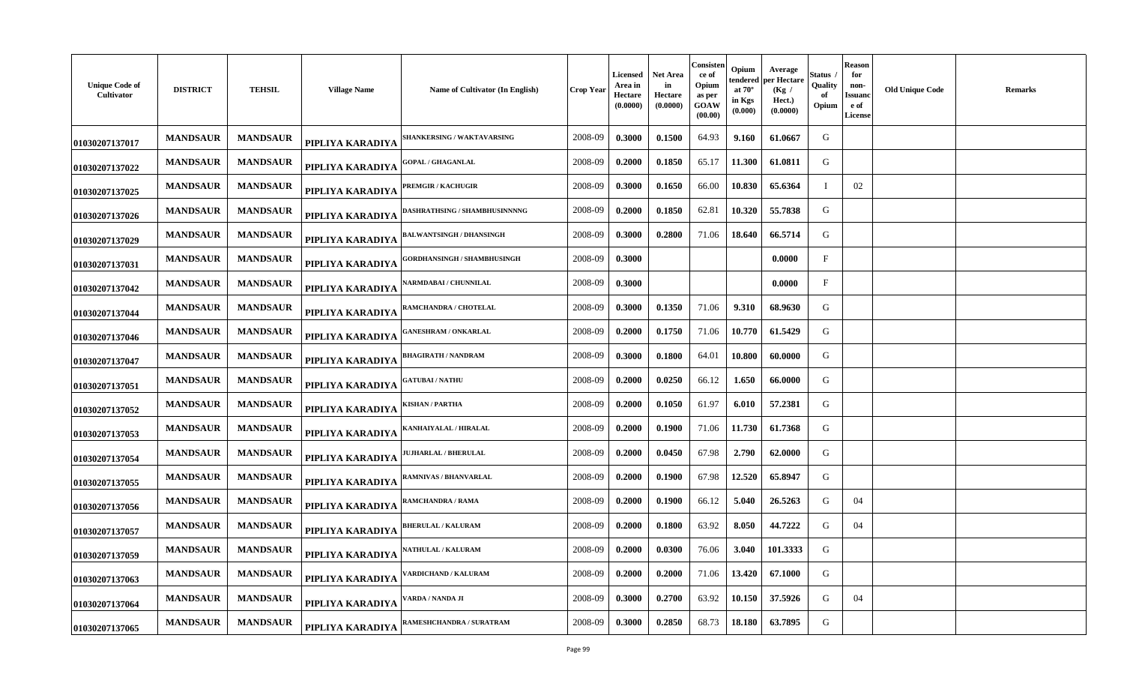| <b>Unique Code of</b><br>Cultivator | <b>DISTRICT</b> | <b>TEHSIL</b>   | <b>Village Name</b> | Name of Cultivator (In English)    | Crop Year | Licensed<br>Area in<br>Hectare<br>(0.0000) | Net Area<br>in<br>Hectare<br>(0.0000) | Consisten<br>ce of<br>Opium<br>as per<br>GOAW<br>(00.00) | Opium<br>tendered<br>at $70^\circ$<br>in Kgs<br>(0.000) | Average<br>oer Hectare<br>(Kg)<br>Hect.)<br>(0.0000) | Status<br>Quality<br>-of<br>Opium | <b>Reason</b><br>for<br>non-<br>Issuano<br>e of<br><b>License</b> | <b>Old Unique Code</b> | <b>Remarks</b> |
|-------------------------------------|-----------------|-----------------|---------------------|------------------------------------|-----------|--------------------------------------------|---------------------------------------|----------------------------------------------------------|---------------------------------------------------------|------------------------------------------------------|-----------------------------------|-------------------------------------------------------------------|------------------------|----------------|
| 01030207137017                      | <b>MANDSAUR</b> | <b>MANDSAUR</b> | PIPLIYA KARADIYA    | <b>SHANKERSING / WAKTAVARSING</b>  | 2008-09   | 0.3000                                     | 0.1500                                | 64.93                                                    | 9.160                                                   | 61.0667                                              | G                                 |                                                                   |                        |                |
| 01030207137022                      | <b>MANDSAUR</b> | <b>MANDSAUR</b> | PIPLIYA KARADIYA    | <b>GOPAL / GHAGANLAL</b>           | 2008-09   | 0.2000                                     | 0.1850                                | 65.17                                                    | 11.300                                                  | 61.0811                                              | G                                 |                                                                   |                        |                |
| 01030207137025                      | <b>MANDSAUR</b> | <b>MANDSAUR</b> | PIPLIYA KARADIYA    | <b>PREMGIR / KACHUGIR</b>          | 2008-09   | 0.3000                                     | 0.1650                                | 66.00                                                    | 10.830                                                  | 65.6364                                              |                                   | 02                                                                |                        |                |
| 01030207137026                      | <b>MANDSAUR</b> | <b>MANDSAUR</b> | PIPLIYA KARADIYA    | ASHRATHSING / SHAMBHUSINNNNG       | 2008-09   | 0.2000                                     | 0.1850                                | 62.81                                                    | 10.320                                                  | 55.7838                                              | G                                 |                                                                   |                        |                |
| 01030207137029                      | <b>MANDSAUR</b> | <b>MANDSAUR</b> | PIPLIYA KARADIYA    | <b>ALWANTSINGH / DHANSINGH</b>     | 2008-09   | 0.3000                                     | 0.2800                                | 71.06                                                    | 18.640                                                  | 66.5714                                              | G                                 |                                                                   |                        |                |
| 01030207137031                      | <b>MANDSAUR</b> | <b>MANDSAUR</b> | PIPLIYA KARADIYA    | <b>GORDHANSINGH / SHAMBHUSINGH</b> | 2008-09   | 0.3000                                     |                                       |                                                          |                                                         | 0.0000                                               | $_{\rm F}$                        |                                                                   |                        |                |
| 01030207137042                      | <b>MANDSAUR</b> | <b>MANDSAUR</b> | PIPLIYA KARADIYA    | <b>ARMDABAI/CHUNNILAL</b>          | 2008-09   | 0.3000                                     |                                       |                                                          |                                                         | 0.0000                                               | $\mathbf{F}$                      |                                                                   |                        |                |
| 01030207137044                      | <b>MANDSAUR</b> | <b>MANDSAUR</b> | PIPLIYA KARADIYA    | RAMCHANDRA / CHOTELAL              | 2008-09   | 0.3000                                     | 0.1350                                | 71.06                                                    | 9.310                                                   | 68.9630                                              | G                                 |                                                                   |                        |                |
| 01030207137046                      | <b>MANDSAUR</b> | <b>MANDSAUR</b> | PIPLIYA KARADIYA    | <b>ANESHRAM / ONKARLAL</b>         | 2008-09   | 0.2000                                     | 0.1750                                | 71.06                                                    | 10.770                                                  | 61.5429                                              | G                                 |                                                                   |                        |                |
| 01030207137047                      | <b>MANDSAUR</b> | <b>MANDSAUR</b> | PIPLIYA KARADIYA    | BHAGIRATH / NANDRAM                | 2008-09   | 0.3000                                     | 0.1800                                | 64.01                                                    | 10.800                                                  | 60.0000                                              | G                                 |                                                                   |                        |                |
| 01030207137051                      | <b>MANDSAUR</b> | <b>MANDSAUR</b> | PIPLIYA KARADIYA    | <b>ATUBAI / NATHU</b>              | 2008-09   | 0.2000                                     | 0.0250                                | 66.12                                                    | 1.650                                                   | 66.0000                                              | G                                 |                                                                   |                        |                |
| 01030207137052                      | <b>MANDSAUR</b> | <b>MANDSAUR</b> | PIPLIYA KARADIYA    | KISHAN / PARTHA                    | 2008-09   | 0.2000                                     | 0.1050                                | 61.97                                                    | 6.010                                                   | 57.2381                                              | G                                 |                                                                   |                        |                |
| 01030207137053                      | <b>MANDSAUR</b> | <b>MANDSAUR</b> | PIPLIYA KARADIYA    | <b>ANHAIYALAL / HIRALAL</b>        | 2008-09   | 0.2000                                     | 0.1900                                | 71.06                                                    | 11.730                                                  | 61.7368                                              | G                                 |                                                                   |                        |                |
| 01030207137054                      | <b>MANDSAUR</b> | <b>MANDSAUR</b> | PIPLIYA KARADIYA    | <b>UJHARLAL / BHERULAL</b>         | 2008-09   | 0.2000                                     | 0.0450                                | 67.98                                                    | 2.790                                                   | 62.0000                                              | G                                 |                                                                   |                        |                |
| 01030207137055                      | <b>MANDSAUR</b> | <b>MANDSAUR</b> | PIPLIYA KARADIYA    | RAMNIVAS / BHANVARLAL              | 2008-09   | 0.2000                                     | 0.1900                                | 67.98                                                    | 12.520                                                  | 65.8947                                              | G                                 |                                                                   |                        |                |
| 01030207137056                      | <b>MANDSAUR</b> | <b>MANDSAUR</b> | PIPLIYA KARADIYA    | RAMCHANDRA / RAMA                  | 2008-09   | 0.2000                                     | 0.1900                                | 66.12                                                    | 5.040                                                   | 26.5263                                              | G                                 | 04                                                                |                        |                |
| 01030207137057                      | <b>MANDSAUR</b> | <b>MANDSAUR</b> | PIPLIYA KARADIYA    | <b>BHERULAL / KALURAM</b>          | 2008-09   | 0.2000                                     | 0.1800                                | 63.92                                                    | 8.050                                                   | 44.7222                                              | G                                 | 04                                                                |                        |                |
| 01030207137059                      | <b>MANDSAUR</b> | <b>MANDSAUR</b> | PIPLIYA KARADIYA    | <b>ATHULAL / KALURAM</b>           | 2008-09   | 0.2000                                     | 0.0300                                | 76.06                                                    | 3.040                                                   | 101.3333                                             | G                                 |                                                                   |                        |                |
| 01030207137063                      | <b>MANDSAUR</b> | <b>MANDSAUR</b> | PIPLIYA KARADIYA    | ARDICHAND / KALURAM                | 2008-09   | 0.2000                                     | 0.2000                                | 71.06                                                    | 13.420                                                  | 67.1000                                              | G                                 |                                                                   |                        |                |
| 01030207137064                      | <b>MANDSAUR</b> | <b>MANDSAUR</b> | PIPLIYA KARADIYA    | /ARDA / NANDA JI                   | 2008-09   | 0.3000                                     | 0.2700                                | 63.92                                                    | 10.150                                                  | 37.5926                                              | G                                 | 04                                                                |                        |                |
| 01030207137065                      | <b>MANDSAUR</b> | <b>MANDSAUR</b> | PIPLIYA KARADIYA    | RAMESHCHANDRA / SURATRAM           | 2008-09   | 0.3000                                     | 0.2850                                | 68.73                                                    | 18.180                                                  | 63.7895                                              | G                                 |                                                                   |                        |                |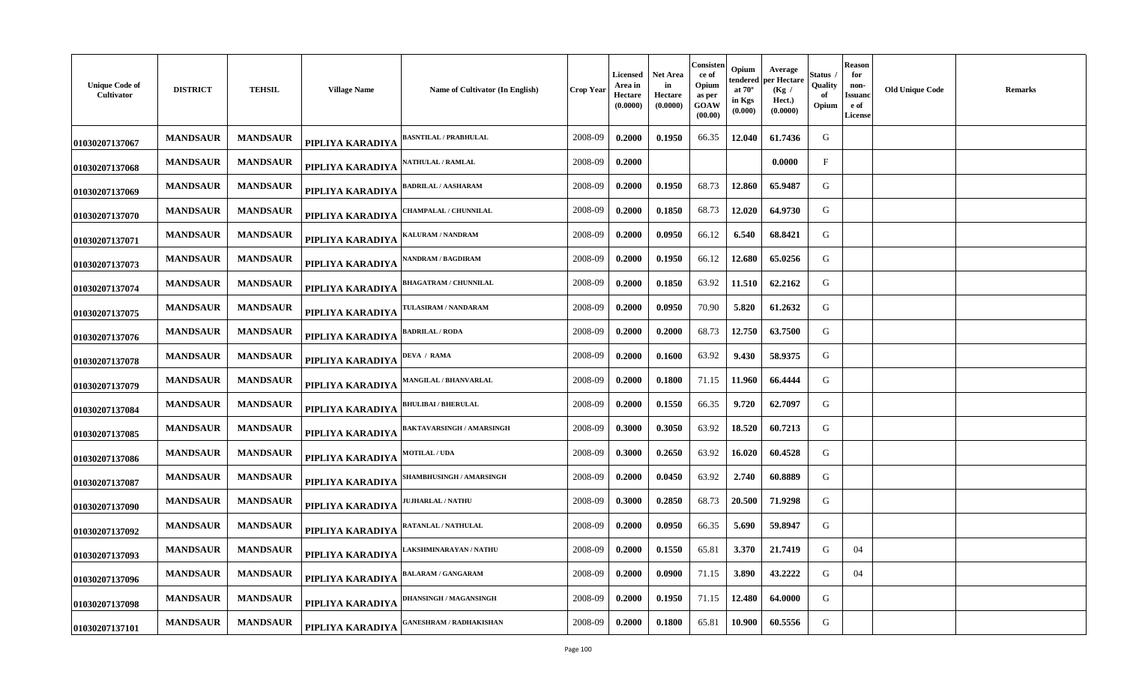| <b>Unique Code of</b><br>Cultivator | <b>DISTRICT</b> | <b>TEHSIL</b>   | <b>Village Name</b> | Name of Cultivator (In English)  | <b>Crop Year</b> | Licensed<br>Area in<br>Hectare<br>(0.0000) | Net Area<br>in<br>Hectare<br>(0.0000) | Consisten<br>ce of<br>Opium<br>as per<br>GOAW<br>(00.00) | Opium<br>tendered<br>at $70^\circ$<br>in Kgs<br>(0.000) | Average<br>per Hectare<br>(Kg)<br>Hect.)<br>(0.0000) | Status<br>Quality<br>of<br>Opium | <b>Reason</b><br>for<br>non-<br>Issuanc<br>e of<br><b>License</b> | <b>Old Unique Code</b> | <b>Remarks</b> |
|-------------------------------------|-----------------|-----------------|---------------------|----------------------------------|------------------|--------------------------------------------|---------------------------------------|----------------------------------------------------------|---------------------------------------------------------|------------------------------------------------------|----------------------------------|-------------------------------------------------------------------|------------------------|----------------|
| 01030207137067                      | <b>MANDSAUR</b> | <b>MANDSAUR</b> | PIPLIYA KARADIYA    | <b>ASNTILAL / PRABHULAL</b>      | 2008-09          | 0.2000                                     | 0.1950                                | 66.35                                                    | 12.040                                                  | 61.7436                                              | G                                |                                                                   |                        |                |
| 01030207137068                      | <b>MANDSAUR</b> | <b>MANDSAUR</b> | PIPLIYA KARADIYA    | <b>ATHULAL / RAMLAL</b>          | 2008-09          | 0.2000                                     |                                       |                                                          |                                                         | 0.0000                                               | $_{\rm F}$                       |                                                                   |                        |                |
| 01030207137069                      | <b>MANDSAUR</b> | <b>MANDSAUR</b> | PIPLIYA KARADIYA    | BADRILAL / AASHARAM              | 2008-09          | 0.2000                                     | 0.1950                                | 68.73                                                    | 12.860                                                  | 65.9487                                              | G                                |                                                                   |                        |                |
| 01030207137070                      | <b>MANDSAUR</b> | <b>MANDSAUR</b> | PIPLIYA KARADIYA    | <b>CHAMPALAL / CHUNNILAL</b>     | 2008-09          | 0.2000                                     | 0.1850                                | 68.73                                                    | 12.020                                                  | 64.9730                                              | G                                |                                                                   |                        |                |
| 01030207137071                      | <b>MANDSAUR</b> | <b>MANDSAUR</b> | PIPLIYA KARADIYA    | ALURAM / NANDRAM                 | 2008-09          | 0.2000                                     | 0.0950                                | 66.12                                                    | 6.540                                                   | 68.8421                                              | G                                |                                                                   |                        |                |
| 01030207137073                      | <b>MANDSAUR</b> | <b>MANDSAUR</b> | PIPLIYA KARADIYA    | <b>ANDRAM / BAGDIRAM</b>         | 2008-09          | 0.2000                                     | 0.1950                                | 66.12                                                    | 12.680                                                  | 65.0256                                              | G                                |                                                                   |                        |                |
| 01030207137074                      | <b>MANDSAUR</b> | <b>MANDSAUR</b> | PIPLIYA KARADIYA    | <b>BHAGATRAM / CHUNNILAL</b>     | 2008-09          | 0.2000                                     | 0.1850                                | 63.92                                                    | 11.510                                                  | 62.2162                                              | G                                |                                                                   |                        |                |
| 01030207137075                      | <b>MANDSAUR</b> | <b>MANDSAUR</b> | PIPLIYA KARADIYA    | <b>TULASIRAM / NANDARAM</b>      | 2008-09          | 0.2000                                     | 0.0950                                | 70.90                                                    | 5.820                                                   | 61.2632                                              | G                                |                                                                   |                        |                |
| 01030207137076                      | <b>MANDSAUR</b> | <b>MANDSAUR</b> | PIPLIYA KARADIYA    | ADRILAL / RODA                   | 2008-09          | 0.2000                                     | 0.2000                                | 68.73                                                    | 12.750                                                  | 63.7500                                              | G                                |                                                                   |                        |                |
| 01030207137078                      | <b>MANDSAUR</b> | <b>MANDSAUR</b> | PIPLIYA KARADIYA    | <b>DEVA / RAMA</b>               | 2008-09          | 0.2000                                     | 0.1600                                | 63.92                                                    | 9.430                                                   | 58.9375                                              | G                                |                                                                   |                        |                |
| 01030207137079                      | <b>MANDSAUR</b> | <b>MANDSAUR</b> | PIPLIYA KARADIYA    | MANGILAL / BHANVARLAL            | 2008-09          | 0.2000                                     | 0.1800                                | 71.15                                                    | 11.960                                                  | 66.4444                                              | G                                |                                                                   |                        |                |
| 01030207137084                      | <b>MANDSAUR</b> | <b>MANDSAUR</b> | PIPLIYA KARADIYA    | <b>BHULIBAI / BHERULAL</b>       | 2008-09          | 0.2000                                     | 0.1550                                | 66.35                                                    | 9.720                                                   | 62.7097                                              | G                                |                                                                   |                        |                |
| 01030207137085                      | <b>MANDSAUR</b> | <b>MANDSAUR</b> | PIPLIYA KARADIYA    | <b>BAKTAVARSINGH / AMARSINGH</b> | 2008-09          | 0.3000                                     | 0.3050                                | 63.92                                                    | 18.520                                                  | 60.7213                                              | G                                |                                                                   |                        |                |
| 01030207137086                      | <b>MANDSAUR</b> | <b>MANDSAUR</b> | PIPLIYA KARADIYA    | <b>MOTILAL / UDA</b>             | 2008-09          | 0.3000                                     | 0.2650                                | 63.92                                                    | 16.020                                                  | 60.4528                                              | G                                |                                                                   |                        |                |
| 01030207137087                      | <b>MANDSAUR</b> | <b>MANDSAUR</b> | PIPLIYA KARADIYA    | <b>SHAMBHUSINGH / AMARSINGH</b>  | 2008-09          | 0.2000                                     | 0.0450                                | 63.92                                                    | 2.740                                                   | 60.8889                                              | G                                |                                                                   |                        |                |
| 01030207137090                      | <b>MANDSAUR</b> | <b>MANDSAUR</b> | PIPLIYA KARADIYA    | <b>UJHARLAL / NATHU</b>          | 2008-09          | 0.3000                                     | 0.2850                                | 68.73                                                    | 20.500                                                  | 71.9298                                              | G                                |                                                                   |                        |                |
| 01030207137092                      | <b>MANDSAUR</b> | <b>MANDSAUR</b> | PIPLIYA KARADIYA    | RATANLAL / NATHULAL              | 2008-09          | 0.2000                                     | 0.0950                                | 66.35                                                    | 5.690                                                   | 59.8947                                              | G                                |                                                                   |                        |                |
| 01030207137093                      | <b>MANDSAUR</b> | <b>MANDSAUR</b> | PIPLIYA KARADIYA    | AKSHMINARAYAN / NATHU            | 2008-09          | 0.2000                                     | 0.1550                                | 65.81                                                    | 3.370                                                   | 21.7419                                              | G                                | 04                                                                |                        |                |
| 01030207137096                      | <b>MANDSAUR</b> | <b>MANDSAUR</b> | PIPLIYA KARADIYA    | ALARAM / GANGARAM                | 2008-09          | 0.2000                                     | 0.0900                                | 71.15                                                    | 3.890                                                   | 43.2222                                              | G                                | 04                                                                |                        |                |
| 01030207137098                      | <b>MANDSAUR</b> | <b>MANDSAUR</b> | PIPLIYA KARADIYA    | <b>DHANSINGH / MAGANSINGH</b>    | 2008-09          | 0.2000                                     | 0.1950                                | 71.15                                                    | 12.480                                                  | 64.0000                                              | G                                |                                                                   |                        |                |
| 01030207137101                      | <b>MANDSAUR</b> | <b>MANDSAUR</b> | PIPLIYA KARADIYA    | ANESHRAM / RADHAKISHAN           | 2008-09          | 0.2000                                     | 0.1800                                | 65.81                                                    | 10.900                                                  | 60.5556                                              | G                                |                                                                   |                        |                |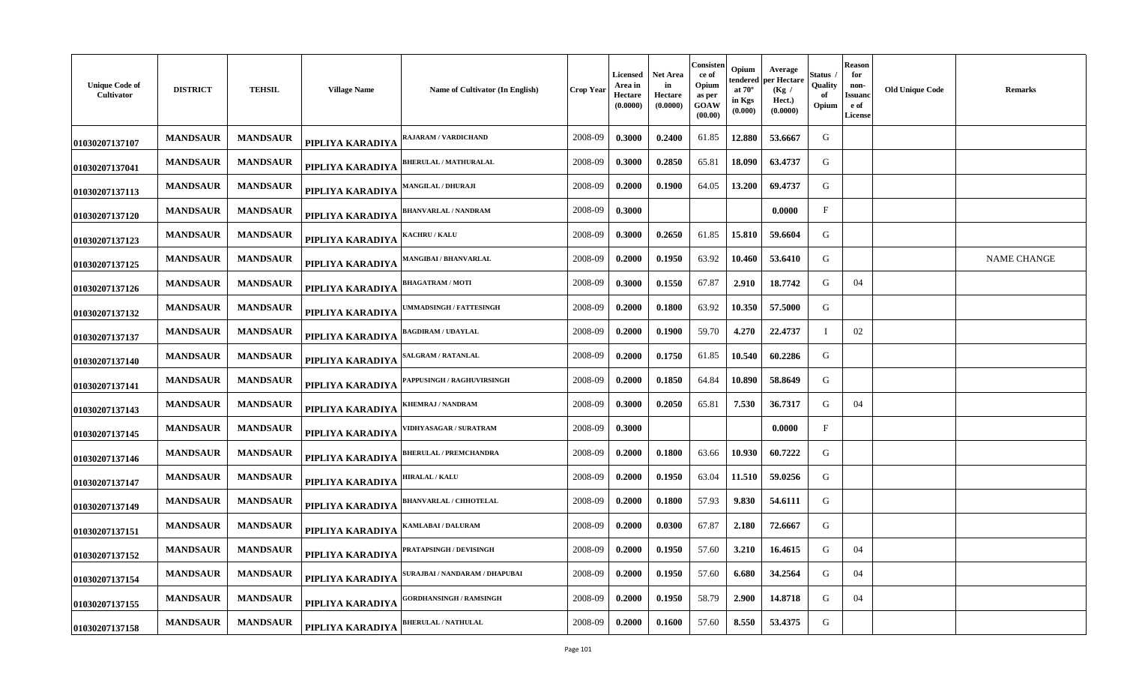| <b>Unique Code of</b><br>Cultivator | <b>DISTRICT</b> | <b>TEHSIL</b>   | <b>Village Name</b> | Name of Cultivator (In English) | <b>Crop Year</b> | <b>Licensed</b><br>Area in<br>Hectare<br>(0.0000) | <b>Net Area</b><br>in<br>Hectare<br>(0.0000) | Consisten<br>ce of<br>Opium<br>as per<br>GOAW<br>(00.00) | Opium<br>endered<br>at $70^{\circ}$<br>in Kgs<br>(0.000) | Average<br>per Hectare<br>(Kg /<br>Hect.)<br>(0.0000) | Status<br>Quality<br>of<br>Opium | Reason<br>for<br>non-<br><b>Issuanc</b><br>e of<br>License | <b>Old Unique Code</b> | <b>Remarks</b>     |
|-------------------------------------|-----------------|-----------------|---------------------|---------------------------------|------------------|---------------------------------------------------|----------------------------------------------|----------------------------------------------------------|----------------------------------------------------------|-------------------------------------------------------|----------------------------------|------------------------------------------------------------|------------------------|--------------------|
| 01030207137107                      | <b>MANDSAUR</b> | <b>MANDSAUR</b> | PIPLIYA KARADIYA    | RAJARAM / VARDICHAND            | 2008-09          | 0.3000                                            | 0.2400                                       | 61.85                                                    | 12.880                                                   | 53.6667                                               | G                                |                                                            |                        |                    |
| 01030207137041                      | <b>MANDSAUR</b> | <b>MANDSAUR</b> | PIPLIYA KARADIYA    | <b>BHERULAL / MATHURALAL</b>    | 2008-09          | 0.3000                                            | 0.2850                                       | 65.81                                                    | 18.090                                                   | 63.4737                                               | G                                |                                                            |                        |                    |
| 01030207137113                      | <b>MANDSAUR</b> | <b>MANDSAUR</b> | PIPLIYA KARADIYA    | <b>MANGILAL / DHURAJI</b>       | 2008-09          | 0.2000                                            | 0.1900                                       | 64.05                                                    | 13.200                                                   | 69.4737                                               | G                                |                                                            |                        |                    |
| 01030207137120                      | <b>MANDSAUR</b> | <b>MANDSAUR</b> | PIPLIYA KARADIYA    | BHANVARLAL / NANDRAM            | 2008-09          | 0.3000                                            |                                              |                                                          |                                                          | 0.0000                                                | $_{\rm F}$                       |                                                            |                        |                    |
| 01030207137123                      | <b>MANDSAUR</b> | <b>MANDSAUR</b> | PIPLIYA KARADIYA    | <b>KACHRU / KALU</b>            | 2008-09          | 0.3000                                            | 0.2650                                       | 61.85                                                    | 15.810                                                   | 59.6604                                               | G                                |                                                            |                        |                    |
| 01030207137125                      | <b>MANDSAUR</b> | <b>MANDSAUR</b> | PIPLIYA KARADIYA    | <b>MANGIBAI / BHANVARLAL</b>    | 2008-09          | 0.2000                                            | 0.1950                                       | 63.92                                                    | 10.460                                                   | 53.6410                                               | G                                |                                                            |                        | <b>NAME CHANGE</b> |
| 01030207137126                      | <b>MANDSAUR</b> | <b>MANDSAUR</b> | PIPLIYA KARADIYA    | <b>BHAGATRAM / MOTI</b>         | 2008-09          | 0.3000                                            | 0.1550                                       | 67.87                                                    | 2.910                                                    | 18.7742                                               | G                                | 04                                                         |                        |                    |
| 01030207137132                      | <b>MANDSAUR</b> | <b>MANDSAUR</b> | PIPLIYA KARADIYA    | UMMADSINGH / FATTESINGH         | 2008-09          | 0.2000                                            | 0.1800                                       | 63.92                                                    | 10.350                                                   | 57.5000                                               | G                                |                                                            |                        |                    |
| 01030207137137                      | <b>MANDSAUR</b> | <b>MANDSAUR</b> | PIPLIYA KARADIYA    | <b>BAGDIRAM / UDAYLAL</b>       | 2008-09          | 0.2000                                            | 0.1900                                       | 59.70                                                    | 4.270                                                    | 22.4737                                               | $\mathbf I$                      | 02                                                         |                        |                    |
| 01030207137140                      | <b>MANDSAUR</b> | <b>MANDSAUR</b> | PIPLIYA KARADIYA    | SALGRAM / RATANLAL              | 2008-09          | 0.2000                                            | 0.1750                                       | 61.85                                                    | 10.540                                                   | 60.2286                                               | G                                |                                                            |                        |                    |
| 01030207137141                      | <b>MANDSAUR</b> | <b>MANDSAUR</b> | PIPLIYA KARADIYA    | PAPPUSINGH / RAGHUVIRSINGH      | 2008-09          | 0.2000                                            | 0.1850                                       | 64.84                                                    | 10.890                                                   | 58.8649                                               | G                                |                                                            |                        |                    |
| 01030207137143                      | <b>MANDSAUR</b> | <b>MANDSAUR</b> | PIPLIYA KARADIYA    | KHEMRAJ / NANDRAM               | 2008-09          | 0.3000                                            | 0.2050                                       | 65.81                                                    | 7.530                                                    | 36.7317                                               | G                                | 04                                                         |                        |                    |
| 01030207137145                      | <b>MANDSAUR</b> | <b>MANDSAUR</b> | PIPLIYA KARADIYA    | <b>VIDHYASAGAR / SURATRAM</b>   | 2008-09          | 0.3000                                            |                                              |                                                          |                                                          | 0.0000                                                | $\mathbf{F}$                     |                                                            |                        |                    |
| 01030207137146                      | <b>MANDSAUR</b> | <b>MANDSAUR</b> | PIPLIYA KARADIYA    | <b>BHERULAL / PREMCHANDRA</b>   | 2008-09          | 0.2000                                            | 0.1800                                       | 63.66                                                    | 10.930                                                   | 60.7222                                               | G                                |                                                            |                        |                    |
| 01030207137147                      | <b>MANDSAUR</b> | <b>MANDSAUR</b> | PIPLIYA KARADIYA    | <b>HIRALAL / KALU</b>           | 2008-09          | 0.2000                                            | 0.1950                                       | 63.04                                                    | 11.510                                                   | 59.0256                                               | G                                |                                                            |                        |                    |
| 01030207137149                      | <b>MANDSAUR</b> | <b>MANDSAUR</b> | PIPLIYA KARADIYA    | <b>BHANVARLAL / CHHOTELAL</b>   | 2008-09          | 0.2000                                            | 0.1800                                       | 57.93                                                    | 9.830                                                    | 54.6111                                               | G                                |                                                            |                        |                    |
| 01030207137151                      | <b>MANDSAUR</b> | <b>MANDSAUR</b> | PIPLIYA KARADIYA    | KAMLABAI / DALURAM              | 2008-09          | 0.2000                                            | 0.0300                                       | 67.87                                                    | 2.180                                                    | 72.6667                                               | G                                |                                                            |                        |                    |
| 01030207137152                      | <b>MANDSAUR</b> | <b>MANDSAUR</b> | PIPLIYA KARADIYA    | PRATAPSINGH / DEVISINGH         | 2008-09          | 0.2000                                            | 0.1950                                       | 57.60                                                    | 3.210                                                    | 16.4615                                               | G                                | 04                                                         |                        |                    |
| 01030207137154                      | <b>MANDSAUR</b> | <b>MANDSAUR</b> | PIPLIYA KARADIYA    | SURAJBAI / NANDARAM / DHAPUBAI  | 2008-09          | 0.2000                                            | 0.1950                                       | 57.60                                                    | 6.680                                                    | 34.2564                                               | G                                | 04                                                         |                        |                    |
| 01030207137155                      | <b>MANDSAUR</b> | <b>MANDSAUR</b> | PIPLIYA KARADIYA    | <b>GORDHANSINGH / RAMSINGH</b>  | 2008-09          | 0.2000                                            | 0.1950                                       | 58.79                                                    | 2.900                                                    | 14.8718                                               | G                                | 04                                                         |                        |                    |
| 01030207137158                      | <b>MANDSAUR</b> | <b>MANDSAUR</b> | PIPLIYA KARADIYA    | <b>BHERULAL / NATHULAL</b>      | 2008-09          | 0.2000                                            | 0.1600                                       | 57.60                                                    | 8.550                                                    | 53.4375                                               | G                                |                                                            |                        |                    |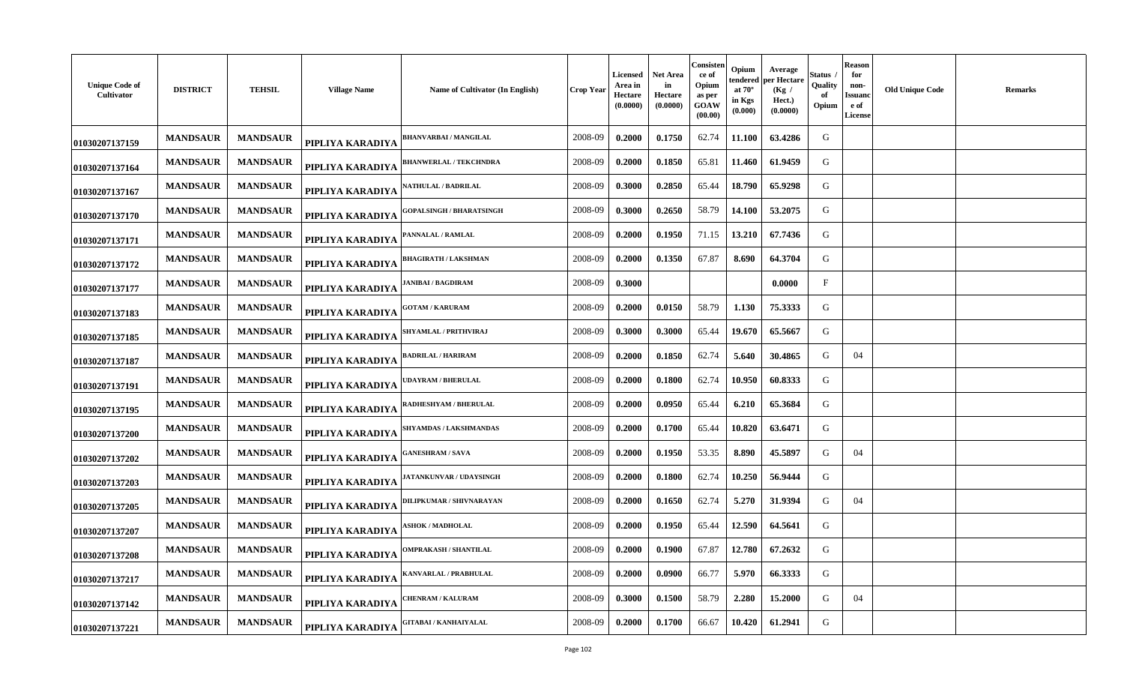| <b>Unique Code of</b><br>Cultivator | <b>DISTRICT</b> | <b>TEHSIL</b>   | <b>Village Name</b> | Name of Cultivator (In English) | <b>Crop Year</b> | Licensed<br>Area in<br>Hectare<br>(0.0000) | <b>Net Area</b><br>in<br>Hectare<br>(0.0000) | Consisten<br>ce of<br>Opium<br>as per<br>GOAW<br>(00.00) | Opium<br>tendered<br>at $70^\circ$<br>in Kgs<br>(0.000) | Average<br>per Hectare<br>(Kg)<br>Hect.)<br>(0.0000) | Status<br>Quality<br>of<br>Opium | <b>Reason</b><br>for<br>non-<br>Issuanc<br>e of<br><b>License</b> | <b>Old Unique Code</b> | <b>Remarks</b> |
|-------------------------------------|-----------------|-----------------|---------------------|---------------------------------|------------------|--------------------------------------------|----------------------------------------------|----------------------------------------------------------|---------------------------------------------------------|------------------------------------------------------|----------------------------------|-------------------------------------------------------------------|------------------------|----------------|
| 01030207137159                      | <b>MANDSAUR</b> | <b>MANDSAUR</b> | PIPLIYA KARADIYA    | <b>BHANVARBAI/MANGILAL</b>      | 2008-09          | 0.2000                                     | 0.1750                                       | 62.74                                                    | 11.100                                                  | 63.4286                                              | G                                |                                                                   |                        |                |
| 01030207137164                      | <b>MANDSAUR</b> | <b>MANDSAUR</b> | PIPLIYA KARADIYA    | <b>BHANWERLAL / TEKCHNDRA</b>   | 2008-09          | 0.2000                                     | 0.1850                                       | 65.81                                                    | 11.460                                                  | 61.9459                                              | G                                |                                                                   |                        |                |
| 01030207137167                      | <b>MANDSAUR</b> | <b>MANDSAUR</b> | PIPLIYA KARADIYA    | <b>\ATHULAL / BADRILAL</b>      | 2008-09          | 0.3000                                     | 0.2850                                       | 65.44                                                    | 18.790                                                  | 65.9298                                              | G                                |                                                                   |                        |                |
| 01030207137170                      | <b>MANDSAUR</b> | <b>MANDSAUR</b> | PIPLIYA KARADIYA    | <b>GOPALSINGH / BHARATSINGH</b> | 2008-09          | 0.3000                                     | 0.2650                                       | 58.79                                                    | 14.100                                                  | 53.2075                                              | G                                |                                                                   |                        |                |
| 01030207137171                      | <b>MANDSAUR</b> | <b>MANDSAUR</b> | PIPLIYA KARADIYA    | <b>ANNALAL / RAMLAL</b>         | 2008-09          | 0.2000                                     | 0.1950                                       | 71.15                                                    | 13.210                                                  | 67.7436                                              | G                                |                                                                   |                        |                |
| 01030207137172                      | <b>MANDSAUR</b> | <b>MANDSAUR</b> | PIPLIYA KARADIYA    | <b>BHAGIRATH / LAKSHMAN</b>     | 2008-09          | 0.2000                                     | 0.1350                                       | 67.87                                                    | 8.690                                                   | 64.3704                                              | G                                |                                                                   |                        |                |
| 01030207137177                      | <b>MANDSAUR</b> | <b>MANDSAUR</b> | PIPLIYA KARADIYA    | ANIBAI / BAGDIRAM               | 2008-09          | 0.3000                                     |                                              |                                                          |                                                         | 0.0000                                               | $_{\rm F}$                       |                                                                   |                        |                |
| 01030207137183                      | <b>MANDSAUR</b> | <b>MANDSAUR</b> | PIPLIYA KARADIYA    | <b>GOTAM / KARURAM</b>          | 2008-09          | 0.2000                                     | 0.0150                                       | 58.79                                                    | 1.130                                                   | 75.3333                                              | G                                |                                                                   |                        |                |
| 01030207137185                      | <b>MANDSAUR</b> | <b>MANDSAUR</b> | PIPLIYA KARADIYA    | SHYAMLAL / PRITHVIRAJ           | 2008-09          | 0.3000                                     | 0.3000                                       | 65.44                                                    | 19.670                                                  | 65.5667                                              | G                                |                                                                   |                        |                |
| 01030207137187                      | <b>MANDSAUR</b> | <b>MANDSAUR</b> | PIPLIYA KARADIYA    | <b>BADRILAL / HARIRAM</b>       | 2008-09          | 0.2000                                     | 0.1850                                       | 62.74                                                    | 5.640                                                   | 30.4865                                              | G                                | 04                                                                |                        |                |
| 01030207137191                      | <b>MANDSAUR</b> | <b>MANDSAUR</b> | PIPLIYA KARADIYA    | <b>JDAYRAM / BHERULAL</b>       | 2008-09          | 0.2000                                     | 0.1800                                       | 62.74                                                    | 10.950                                                  | 60.8333                                              | G                                |                                                                   |                        |                |
| 01030207137195                      | <b>MANDSAUR</b> | <b>MANDSAUR</b> | PIPLIYA KARADIYA    | <b>ADHESHYAM / BHERULAL</b>     | 2008-09          | 0.2000                                     | 0.0950                                       | 65.44                                                    | 6.210                                                   | 65.3684                                              | G                                |                                                                   |                        |                |
| 01030207137200                      | <b>MANDSAUR</b> | <b>MANDSAUR</b> | PIPLIYA KARADIYA    | <b>SHYAMDAS / LAKSHMANDAS</b>   | 2008-09          | 0.2000                                     | 0.1700                                       | 65.44                                                    | 10.820                                                  | 63.6471                                              | G                                |                                                                   |                        |                |
| 01030207137202                      | <b>MANDSAUR</b> | <b>MANDSAUR</b> | PIPLIYA KARADIYA    | <b>ANESHRAM / SAVA</b>          | 2008-09          | 0.2000                                     | 0.1950                                       | 53.35                                                    | 8.890                                                   | 45.5897                                              | G                                | 04                                                                |                        |                |
| 01030207137203                      | <b>MANDSAUR</b> | <b>MANDSAUR</b> | PIPLIYA KARADIYA    | <b>IATANKUNVAR / UDAYSINGH</b>  | 2008-09          | 0.2000                                     | 0.1800                                       | 62.74                                                    | 10.250                                                  | 56.9444                                              | G                                |                                                                   |                        |                |
| 01030207137205                      | <b>MANDSAUR</b> | <b>MANDSAUR</b> | PIPLIYA KARADIYA    | <b>ILIPKUMAR / SHIVNARAYAN</b>  | 2008-09          | 0.2000                                     | 0.1650                                       | 62.74                                                    | 5.270                                                   | 31.9394                                              | G                                | 04                                                                |                        |                |
| 01030207137207                      | <b>MANDSAUR</b> | <b>MANDSAUR</b> | PIPLIYA KARADIYA    | <b>SHOK / MADHOLAL</b>          | 2008-09          | 0.2000                                     | 0.1950                                       | 65.44                                                    | 12.590                                                  | 64.5641                                              | G                                |                                                                   |                        |                |
| 01030207137208                      | <b>MANDSAUR</b> | <b>MANDSAUR</b> | PIPLIYA KARADIYA    | <b>OMPRAKASH / SHANTILAL</b>    | 2008-09          | 0.2000                                     | 0.1900                                       | 67.87                                                    | 12.780                                                  | 67.2632                                              | G                                |                                                                   |                        |                |
| 01030207137217                      | <b>MANDSAUR</b> | <b>MANDSAUR</b> | PIPLIYA KARADIYA    | ANVARLAL / PRABHULAL            | 2008-09          | 0.2000                                     | 0.0900                                       | 66.77                                                    | 5.970                                                   | 66.3333                                              | G                                |                                                                   |                        |                |
| 01030207137142                      | <b>MANDSAUR</b> | <b>MANDSAUR</b> | PIPLIYA KARADIYA    | <b>HENRAM / KALURAM</b>         | 2008-09          | 0.3000                                     | 0.1500                                       | 58.79                                                    | 2.280                                                   | 15.2000                                              | G                                | 04                                                                |                        |                |
| 01030207137221                      | <b>MANDSAUR</b> | <b>MANDSAUR</b> | PIPLIYA KARADIYA    | <b>GITABAI / KANHAIYALAL</b>    | 2008-09          | 0.2000                                     | 0.1700                                       | 66.67                                                    | 10.420                                                  | 61.2941                                              | G                                |                                                                   |                        |                |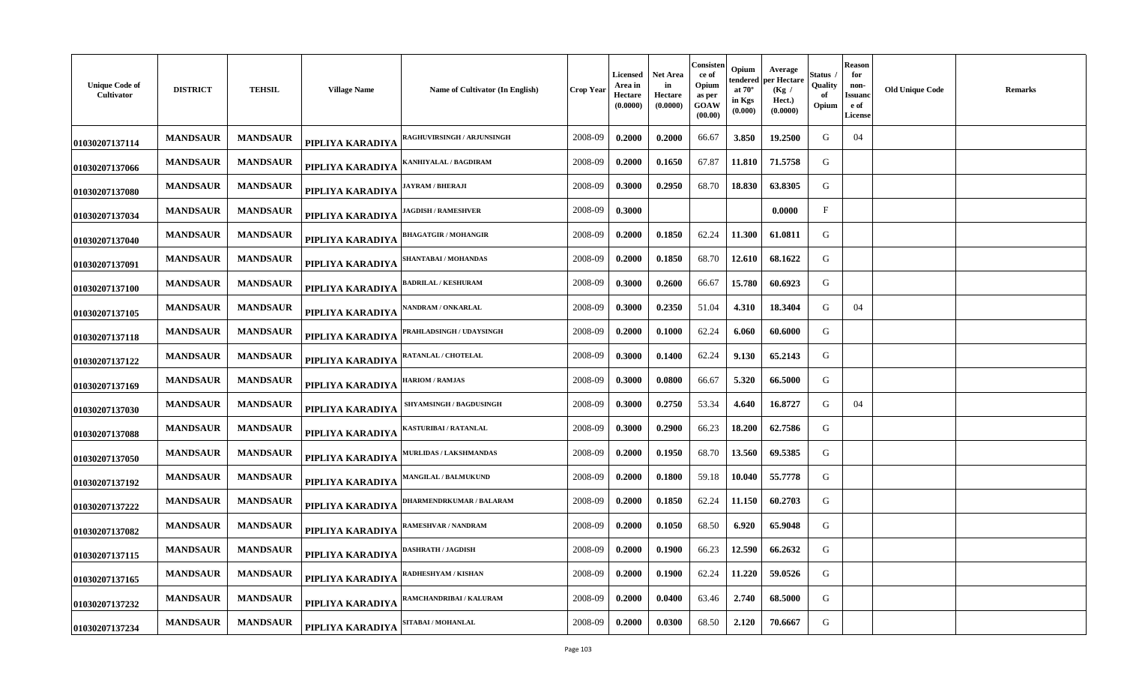| <b>Unique Code of</b><br>Cultivator | <b>DISTRICT</b> | <b>TEHSIL</b>   | <b>Village Name</b> | <b>Name of Cultivator (In English)</b> | Crop Year | <b>Licensed</b><br>Area in<br>Hectare<br>(0.0000) | Net Area<br>in<br><b>Hectare</b><br>(0.0000) | Consisten<br>ce of<br>Opium<br>as per<br>GOAW<br>(00.00) | Opium<br>tendered<br>at $70^\circ$<br>in Kgs<br>(0.000) | Average<br>oer Hectare<br>(Kg)<br>Hect.)<br>(0.0000) | Status<br>Quality<br>оf<br>Opium | <b>Reason</b><br>for<br>non-<br>Issuano<br>e of<br><b>License</b> | <b>Old Unique Code</b> | <b>Remarks</b> |
|-------------------------------------|-----------------|-----------------|---------------------|----------------------------------------|-----------|---------------------------------------------------|----------------------------------------------|----------------------------------------------------------|---------------------------------------------------------|------------------------------------------------------|----------------------------------|-------------------------------------------------------------------|------------------------|----------------|
| 01030207137114                      | <b>MANDSAUR</b> | <b>MANDSAUR</b> | PIPLIYA KARADIYA    | <b>RAGHUVIRSINGH / ARJUNSINGH</b>      | 2008-09   | 0.2000                                            | 0.2000                                       | 66.67                                                    | 3.850                                                   | 19.2500                                              | G                                | 04                                                                |                        |                |
| 01030207137066                      | <b>MANDSAUR</b> | <b>MANDSAUR</b> | PIPLIYA KARADIYA    | <b>(ANHIYALAL / BAGDIRAM</b>           | 2008-09   | 0.2000                                            | 0.1650                                       | 67.87                                                    | 11.810                                                  | 71.5758                                              | G                                |                                                                   |                        |                |
| 01030207137080                      | <b>MANDSAUR</b> | <b>MANDSAUR</b> | PIPLIYA KARADIYA    | <b>IAYRAM / BHERAJI</b>                | 2008-09   | 0.3000                                            | 0.2950                                       | 68.70                                                    | 18.830                                                  | 63.8305                                              | G                                |                                                                   |                        |                |
| 01030207137034                      | <b>MANDSAUR</b> | <b>MANDSAUR</b> | PIPLIYA KARADIYA    | <b>AGDISH / RAMESHVER</b>              | 2008-09   | 0.3000                                            |                                              |                                                          |                                                         | 0.0000                                               | $\mathbf{F}$                     |                                                                   |                        |                |
| 01030207137040                      | <b>MANDSAUR</b> | <b>MANDSAUR</b> | PIPLIYA KARADIYA    | <b>HAGATGIR / MOHANGIR</b>             | 2008-09   | 0.2000                                            | 0.1850                                       | 62.24                                                    | 11.300                                                  | 61.0811                                              | G                                |                                                                   |                        |                |
| 01030207137091                      | <b>MANDSAUR</b> | <b>MANDSAUR</b> | PIPLIYA KARADIYA    | <b>SHANTABAI / MOHANDAS</b>            | 2008-09   | 0.2000                                            | 0.1850                                       | 68.70                                                    | 12.610                                                  | 68.1622                                              | G                                |                                                                   |                        |                |
| 01030207137100                      | <b>MANDSAUR</b> | <b>MANDSAUR</b> | PIPLIYA KARADIYA    | <b>ADRILAL / KESHURAM</b>              | 2008-09   | 0.3000                                            | 0.2600                                       | 66.67                                                    | 15.780                                                  | 60.6923                                              | G                                |                                                                   |                        |                |
| 01030207137105                      | <b>MANDSAUR</b> | <b>MANDSAUR</b> | PIPLIYA KARADIYA    | <b>NANDRAM / ONKARLAL</b>              | 2008-09   | 0.3000                                            | 0.2350                                       | 51.04                                                    | 4.310                                                   | 18.3404                                              | G                                | 04                                                                |                        |                |
| 01030207137118                      | <b>MANDSAUR</b> | <b>MANDSAUR</b> | PIPLIYA KARADIYA    | <b>PRAHLADSINGH / UDAYSINGH</b>        | 2008-09   | 0.2000                                            | 0.1000                                       | 62.24                                                    | 6.060                                                   | 60.6000                                              | G                                |                                                                   |                        |                |
| 01030207137122                      | <b>MANDSAUR</b> | <b>MANDSAUR</b> | PIPLIYA KARADIYA    | <b>RATANLAL / CHOTELAL</b>             | 2008-09   | 0.3000                                            | 0.1400                                       | 62.24                                                    | 9.130                                                   | 65.2143                                              | G                                |                                                                   |                        |                |
| 01030207137169                      | <b>MANDSAUR</b> | <b>MANDSAUR</b> | PIPLIYA KARADIYA    | <b>HARIOM / RAMJAS</b>                 | 2008-09   | 0.3000                                            | 0.0800                                       | 66.67                                                    | 5.320                                                   | 66.5000                                              | G                                |                                                                   |                        |                |
| 01030207137030                      | <b>MANDSAUR</b> | <b>MANDSAUR</b> | PIPLIYA KARADIYA    | <b>SHYAMSINGH / BAGDUSINGH</b>         | 2008-09   | 0.3000                                            | 0.2750                                       | 53.34                                                    | 4.640                                                   | 16.8727                                              | G                                | 04                                                                |                        |                |
| 01030207137088                      | <b>MANDSAUR</b> | <b>MANDSAUR</b> | PIPLIYA KARADIYA    | <b>KASTURIBAI / RATANLAL</b>           | 2008-09   | 0.3000                                            | 0.2900                                       | 66.23                                                    | 18.200                                                  | 62.7586                                              | G                                |                                                                   |                        |                |
| 01030207137050                      | <b>MANDSAUR</b> | <b>MANDSAUR</b> | PIPLIYA KARADIYA    | <b>AURLIDAS / LAKSHMANDAS</b>          | 2008-09   | 0.2000                                            | 0.1950                                       | 68.70                                                    | 13.560                                                  | 69.5385                                              | G                                |                                                                   |                        |                |
| 01030207137192                      | <b>MANDSAUR</b> | <b>MANDSAUR</b> | PIPLIYA KARADIYA    | <b>MANGILAL / BALMUKUND</b>            | 2008-09   | 0.2000                                            | 0.1800                                       | 59.18                                                    | 10.040                                                  | 55.7778                                              | G                                |                                                                   |                        |                |
| 01030207137222                      | <b>MANDSAUR</b> | <b>MANDSAUR</b> | PIPLIYA KARADIYA    | <b>DHARMENDRKUMAR / BALARAM</b>        | 2008-09   | 0.2000                                            | 0.1850                                       | 62.24                                                    | 11.150                                                  | 60.2703                                              | G                                |                                                                   |                        |                |
| 01030207137082                      | <b>MANDSAUR</b> | <b>MANDSAUR</b> | PIPLIYA KARADIYA    | RAMESHVAR / NANDRAM                    | 2008-09   | 0.2000                                            | 0.1050                                       | 68.50                                                    | 6.920                                                   | 65.9048                                              | G                                |                                                                   |                        |                |
| 01030207137115                      | <b>MANDSAUR</b> | <b>MANDSAUR</b> | PIPLIYA KARADIYA    | <b>DASHRATH / JAGDISH</b>              | 2008-09   | 0.2000                                            | 0.1900                                       | 66.23                                                    | 12.590                                                  | 66.2632                                              | G                                |                                                                   |                        |                |
| 01030207137165                      | <b>MANDSAUR</b> | <b>MANDSAUR</b> | PIPLIYA KARADIYA    | ADHESHYAM / KISHAN                     | 2008-09   | 0.2000                                            | 0.1900                                       | 62.24                                                    | 11.220                                                  | 59.0526                                              | G                                |                                                                   |                        |                |
| 01030207137232                      | <b>MANDSAUR</b> | <b>MANDSAUR</b> | PIPLIYA KARADIYA    | <b>RAMCHANDRIBAI / KALURAM</b>         | 2008-09   | 0.2000                                            | 0.0400                                       | 63.46                                                    | 2.740                                                   | 68.5000                                              | G                                |                                                                   |                        |                |
| 01030207137234                      | <b>MANDSAUR</b> | <b>MANDSAUR</b> | PIPLIYA KARADIYA    | <b>SITABAI / MOHANLAL</b>              | 2008-09   | 0.2000                                            | 0.0300                                       | 68.50                                                    | 2.120                                                   | 70.6667                                              | G                                |                                                                   |                        |                |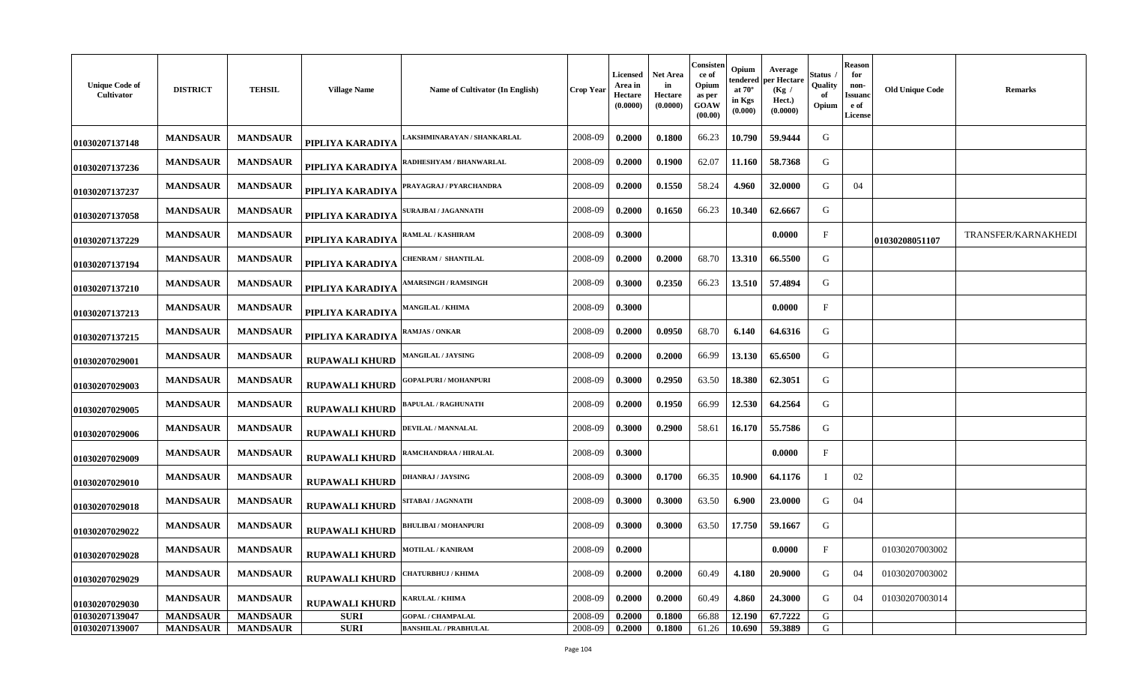| <b>Unique Code of</b><br>Cultivator | <b>DISTRICT</b> | <b>TEHSIL</b>   | <b>Village Name</b>   | Name of Cultivator (In English) | Crop Year | Licensed<br>Area in<br>Hectare<br>(0.0000) | Net Area<br>in<br>Hectare<br>(0.0000) | Consisten<br>ce of<br>Opium<br>as per<br>GOAW<br>(00.00) | Opium<br>tendered<br>at $70^\circ$<br>in Kgs<br>(0.000) | Average<br>per Hectare<br>(Kg)<br>Hect.)<br>(0.0000) | Status<br>Quality<br>-of<br>Opium | <b>Reason</b><br>for<br>non-<br>Issuano<br>e of<br><b>License</b> | <b>Old Unique Code</b> | <b>Remarks</b>      |
|-------------------------------------|-----------------|-----------------|-----------------------|---------------------------------|-----------|--------------------------------------------|---------------------------------------|----------------------------------------------------------|---------------------------------------------------------|------------------------------------------------------|-----------------------------------|-------------------------------------------------------------------|------------------------|---------------------|
| 01030207137148                      | <b>MANDSAUR</b> | <b>MANDSAUR</b> | PIPLIYA KARADIYA      | AKSHMINARAYAN / SHANKARLAL      | 2008-09   | 0.2000                                     | 0.1800                                | 66.23                                                    | 10.790                                                  | 59.9444                                              | G                                 |                                                                   |                        |                     |
| 01030207137236                      | <b>MANDSAUR</b> | <b>MANDSAUR</b> | PIPLIYA KARADIYA      | RADHESHYAM / BHANWARLAL         | 2008-09   | 0.2000                                     | 0.1900                                | 62.07                                                    | 11.160                                                  | 58.7368                                              | G                                 |                                                                   |                        |                     |
| 01030207137237                      | <b>MANDSAUR</b> | <b>MANDSAUR</b> | PIPLIYA KARADIYA      | PRAYAGRAJ / PYARCHANDRA         | 2008-09   | 0.2000                                     | 0.1550                                | 58.24                                                    | 4.960                                                   | 32.0000                                              | G                                 | 04                                                                |                        |                     |
| 01030207137058                      | <b>MANDSAUR</b> | <b>MANDSAUR</b> | PIPLIYA KARADIYA      | <b>SURAJBAI / JAGANNATH</b>     | 2008-09   | 0.2000                                     | 0.1650                                | 66.23                                                    | 10.340                                                  | 62.6667                                              | G                                 |                                                                   |                        |                     |
| 01030207137229                      | <b>MANDSAUR</b> | <b>MANDSAUR</b> | PIPLIYA KARADIYA      | <b>RAMLAL / KASHIRAM</b>        | 2008-09   | 0.3000                                     |                                       |                                                          |                                                         | 0.0000                                               | $\mathbf{F}$                      |                                                                   | 01030208051107         | TRANSFER/KARNAKHEDI |
| 01030207137194                      | <b>MANDSAUR</b> | <b>MANDSAUR</b> | PIPLIYA KARADIYA      | <b>HENRAM / SHANTILAL</b>       | 2008-09   | 0.2000                                     | 0.2000                                | 68.70                                                    | 13.310                                                  | 66.5500                                              | G                                 |                                                                   |                        |                     |
| 01030207137210                      | <b>MANDSAUR</b> | <b>MANDSAUR</b> | PIPLIYA KARADIYA      | <b>AMARSINGH / RAMSINGH</b>     | 2008-09   | 0.3000                                     | 0.2350                                | 66.23                                                    | 13.510                                                  | 57.4894                                              | G                                 |                                                                   |                        |                     |
| 01030207137213                      | <b>MANDSAUR</b> | <b>MANDSAUR</b> | PIPLIYA KARADIYA      | <b>MANGILAL / KHIMA</b>         | 2008-09   | 0.3000                                     |                                       |                                                          |                                                         | 0.0000                                               | $\mathbf{F}$                      |                                                                   |                        |                     |
| 01030207137215                      | <b>MANDSAUR</b> | <b>MANDSAUR</b> | PIPLIYA KARADIYA      | <b>AMJAS / ONKAR</b>            | 2008-09   | 0.2000                                     | 0.0950                                | 68.70                                                    | 6.140                                                   | 64.6316                                              | G                                 |                                                                   |                        |                     |
| 01030207029001                      | <b>MANDSAUR</b> | <b>MANDSAUR</b> | <b>RUPAWALI KHURD</b> | <b>MANGILAL / JAYSING</b>       | 2008-09   | 0.2000                                     | 0.2000                                | 66.99                                                    | 13.130                                                  | 65.6500                                              | G                                 |                                                                   |                        |                     |
| 01030207029003                      | <b>MANDSAUR</b> | <b>MANDSAUR</b> | <b>RUPAWALI KHURD</b> | <b>GOPALPURI / MOHANPURI</b>    | 2008-09   | 0.3000                                     | 0.2950                                | 63.50                                                    | 18.380                                                  | 62.3051                                              | G                                 |                                                                   |                        |                     |
| 01030207029005                      | <b>MANDSAUR</b> | <b>MANDSAUR</b> | <b>RUPAWALI KHURD</b> | <b>BAPULAL / RAGHUNATH</b>      | 2008-09   | 0.2000                                     | 0.1950                                | 66.99                                                    | 12.530                                                  | 64.2564                                              | G                                 |                                                                   |                        |                     |
| 01030207029006                      | <b>MANDSAUR</b> | <b>MANDSAUR</b> | <b>RUPAWALI KHURD</b> | <b>DEVILAL / MANNALAL</b>       | 2008-09   | 0.3000                                     | 0.2900                                | 58.61                                                    | 16.170                                                  | 55.7586                                              | G                                 |                                                                   |                        |                     |
| 01030207029009                      | <b>MANDSAUR</b> | <b>MANDSAUR</b> | <b>RUPAWALI KHURD</b> | AMCHANDRAA / HIRALAL            | 2008-09   | 0.3000                                     |                                       |                                                          |                                                         | 0.0000                                               | $_{\rm F}$                        |                                                                   |                        |                     |
| 01030207029010                      | <b>MANDSAUR</b> | <b>MANDSAUR</b> | <b>RUPAWALI KHURD</b> | <b>DHANRAJ / JAYSING</b>        | 2008-09   | 0.3000                                     | 0.1700                                | 66.35                                                    | 10.900                                                  | 64.1176                                              | П                                 | 02                                                                |                        |                     |
| 01030207029018                      | <b>MANDSAUR</b> | <b>MANDSAUR</b> | <b>RUPAWALI KHURD</b> | SITABAI / JAGNNATH              | 2008-09   | 0.3000                                     | 0.3000                                | 63.50                                                    | 6.900                                                   | 23.0000                                              | G                                 | 04                                                                |                        |                     |
| 01030207029022                      | <b>MANDSAUR</b> | <b>MANDSAUR</b> | <b>RUPAWALI KHURD</b> | <b>BHULIBAI / MOHANPURI</b>     | 2008-09   | 0.3000                                     | 0.3000                                | 63.50                                                    | 17.750                                                  | 59.1667                                              | G                                 |                                                                   |                        |                     |
| 01030207029028                      | <b>MANDSAUR</b> | <b>MANDSAUR</b> | <b>RUPAWALI KHURD</b> | <b>MOTILAL / KANIRAM</b>        | 2008-09   | 0.2000                                     |                                       |                                                          |                                                         | 0.0000                                               | $\mathbf{F}$                      |                                                                   | 01030207003002         |                     |
| 01030207029029                      | <b>MANDSAUR</b> | <b>MANDSAUR</b> | <b>RUPAWALI KHURD</b> | <b>:HATURBHUJ / KHIMA</b>       | 2008-09   | 0.2000                                     | 0.2000                                | 60.49                                                    | 4.180                                                   | 20.9000                                              | G                                 | 04                                                                | 01030207003002         |                     |
| 01030207029030                      | <b>MANDSAUR</b> | <b>MANDSAUR</b> | <b>RUPAWALI KHURD</b> | ARULAL / KHIMA                  | 2008-09   | 0.2000                                     | 0.2000                                | 60.49                                                    | 4.860                                                   | 24.3000                                              | G                                 | 04                                                                | 01030207003014         |                     |
| 01030207139047                      | <b>MANDSAUR</b> | <b>MANDSAUR</b> | <b>SURI</b>           | <b>GOPAL / CHAMPALAL</b>        | 2008-09   | 0.2000                                     | 0.1800                                | 66.88                                                    | 12.190                                                  | 67.7222                                              | G                                 |                                                                   |                        |                     |
| 01030207139007                      | <b>MANDSAUR</b> | <b>MANDSAUR</b> | <b>SURI</b>           | <b>BANSHILAL / PRABHULAL</b>    | 2008-09   | 0.2000                                     | 0.1800                                | 61.26                                                    | 10.690                                                  | 59.3889                                              | G                                 |                                                                   |                        |                     |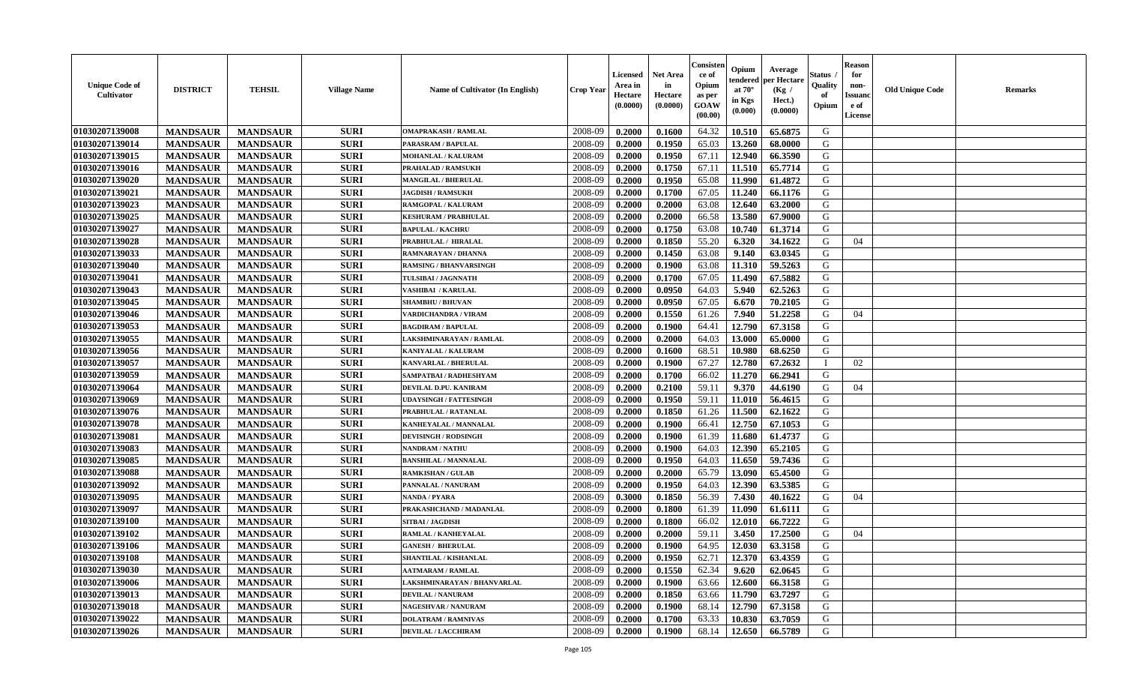| <b>Unique Code of</b><br><b>Cultivator</b> | <b>DISTRICT</b> | <b>TEHSIL</b>   | <b>Village Name</b> | Name of Cultivator (In English) | <b>Crop Year</b> | Licensed<br>Area in<br>Hectare<br>(0.0000) | <b>Net Area</b><br>in<br>Hectare<br>(0.0000) | Consisteı<br>ce of<br>Opium<br>as per<br>GOAW<br>(00.00) | Opium<br>endered<br>at $70^\circ$<br>in Kgs<br>(0.000) | Average<br>per Hectare<br>(Kg /<br>Hect.)<br>(0.0000) | Status<br>Quality<br>of<br>Opium | <b>Reason</b><br>for<br>non-<br><b>Issuand</b><br>e of<br><b>License</b> | <b>Old Unique Code</b> | <b>Remarks</b> |
|--------------------------------------------|-----------------|-----------------|---------------------|---------------------------------|------------------|--------------------------------------------|----------------------------------------------|----------------------------------------------------------|--------------------------------------------------------|-------------------------------------------------------|----------------------------------|--------------------------------------------------------------------------|------------------------|----------------|
| 01030207139008                             | <b>MANDSAUR</b> | <b>MANDSAUR</b> | <b>SURI</b>         | <b>OMAPRAKASH / RAMLAL</b>      | 2008-09          | 0.2000                                     | 0.1600                                       | 64.32                                                    | 10.510                                                 | 65.6875                                               | G                                |                                                                          |                        |                |
| 01030207139014                             | <b>MANDSAUR</b> | <b>MANDSAUR</b> | <b>SURI</b>         | PARASRAM / BAPULAL              | 2008-09          | 0.2000                                     | 0.1950                                       | 65.03                                                    | 13.260                                                 | 68.0000                                               | G                                |                                                                          |                        |                |
| 01030207139015                             | <b>MANDSAUR</b> | <b>MANDSAUR</b> | <b>SURI</b>         | <b>MOHANLAL / KALURAM</b>       | 2008-09          | 0.2000                                     | 0.1950                                       | 67.11                                                    | 12.940                                                 | 66.3590                                               | G                                |                                                                          |                        |                |
| 01030207139016                             | <b>MANDSAUR</b> | <b>MANDSAUR</b> | <b>SURI</b>         | <b>PRAHALAD / RAMSUKH</b>       | 2008-09          | 0.2000                                     | 0.1750                                       | 67.11                                                    | 11.510                                                 | 65.7714                                               | G                                |                                                                          |                        |                |
| 01030207139020                             | <b>MANDSAUR</b> | <b>MANDSAUR</b> | <b>SURI</b>         | <b>MANGILAL / BHERULAL</b>      | 2008-09          | 0.2000                                     | 0.1950                                       | 65.08                                                    | 11.990                                                 | 61.4872                                               | G                                |                                                                          |                        |                |
| 01030207139021                             | <b>MANDSAUR</b> | <b>MANDSAUR</b> | <b>SURI</b>         | <b>JAGDISH / RAMSUKH</b>        | 2008-09          | 0.2000                                     | 0.1700                                       | 67.05                                                    | 11.240                                                 | 66.1176                                               | G                                |                                                                          |                        |                |
| 01030207139023                             | <b>MANDSAUR</b> | <b>MANDSAUR</b> | <b>SURI</b>         | RAMGOPAL / KALURAM              | 2008-09          | 0.2000                                     | 0.2000                                       | 63.08                                                    | 12.640                                                 | 63.2000                                               | G                                |                                                                          |                        |                |
| 01030207139025                             | <b>MANDSAUR</b> | <b>MANDSAUR</b> | <b>SURI</b>         | <b>KESHURAM / PRABHULAL</b>     | 2008-09          | 0.2000                                     | 0.2000                                       | 66.58                                                    | 13.580                                                 | 67.9000                                               | G                                |                                                                          |                        |                |
| 01030207139027                             | <b>MANDSAUR</b> | <b>MANDSAUR</b> | <b>SURI</b>         | <b>BAPULAL / KACHRU</b>         | 2008-09          | 0.2000                                     | 0.1750                                       | 63.08                                                    | 10.740                                                 | 61.3714                                               | G                                |                                                                          |                        |                |
| 01030207139028                             | <b>MANDSAUR</b> | <b>MANDSAUR</b> | <b>SURI</b>         | PRABHULAL / HIRALAL             | 2008-09          | 0.2000                                     | 0.1850                                       | 55.20                                                    | 6.320                                                  | 34.1622                                               | G                                | 04                                                                       |                        |                |
| 01030207139033                             | <b>MANDSAUR</b> | <b>MANDSAUR</b> | <b>SURI</b>         | RAMNARAYAN / DHANNA             | 2008-09          | 0.2000                                     | 0.1450                                       | 63.08                                                    | 9.140                                                  | 63.0345                                               | G                                |                                                                          |                        |                |
| 01030207139040                             | <b>MANDSAUR</b> | <b>MANDSAUR</b> | <b>SURI</b>         | <b>RAMSING / BHANVARSINGH</b>   | 2008-09          | 0.2000                                     | 0.1900                                       | 63.08                                                    | 11.310                                                 | 59.5263                                               | G                                |                                                                          |                        |                |
| 01030207139041                             | <b>MANDSAUR</b> | <b>MANDSAUR</b> | <b>SURI</b>         | TULSIBAI / JAGNNATH             | 2008-09          | 0.2000                                     | 0.1700                                       | 67.05                                                    | 11.490                                                 | 67.5882                                               | G                                |                                                                          |                        |                |
| 01030207139043                             | <b>MANDSAUR</b> | <b>MANDSAUR</b> | <b>SURI</b>         | VASHIBAI / KARULAL              | 2008-09          | 0.2000                                     | 0.0950                                       | 64.03                                                    | 5.940                                                  | 62.5263                                               | G                                |                                                                          |                        |                |
| 01030207139045                             | <b>MANDSAUR</b> | <b>MANDSAUR</b> | <b>SURI</b>         | <b>SHAMBHU / BHUVAN</b>         | 2008-09          | 0.2000                                     | 0.0950                                       | 67.05                                                    | 6.670                                                  | 70.2105                                               | G                                |                                                                          |                        |                |
| 01030207139046                             | <b>MANDSAUR</b> | <b>MANDSAUR</b> | <b>SURI</b>         | <b>VARDICHANDRA / VIRAM</b>     | 2008-09          | 0.2000                                     | 0.1550                                       | 61.26                                                    | 7.940                                                  | 51.2258                                               | G                                | 04                                                                       |                        |                |
| 01030207139053                             | <b>MANDSAUR</b> | <b>MANDSAUR</b> | <b>SURI</b>         | <b>BAGDIRAM / BAPULAL</b>       | 2008-09          | 0.2000                                     | 0.1900                                       | 64.41                                                    | 12.790                                                 | 67.3158                                               | G                                |                                                                          |                        |                |
| 01030207139055                             | <b>MANDSAUR</b> | <b>MANDSAUR</b> | <b>SURI</b>         | LAKSHMINARAYAN / RAMLAL         | 2008-09          | 0.2000                                     | 0.2000                                       | 64.03                                                    | 13.000                                                 | 65.0000                                               | G                                |                                                                          |                        |                |
| 01030207139056                             | <b>MANDSAUR</b> | <b>MANDSAUR</b> | <b>SURI</b>         | KANIYALAL / KALURAM             | 2008-09          | 0.2000                                     | 0.1600                                       | 68.51                                                    | 10.980                                                 | 68.6250                                               | G                                |                                                                          |                        |                |
| 01030207139057                             | <b>MANDSAUR</b> | <b>MANDSAUR</b> | <b>SURI</b>         | <b>KANVARLAL / BHERULAL</b>     | 2008-09          | 0.2000                                     | 0.1900                                       | 67.27                                                    | 12.780                                                 | 67.2632                                               | $\mathbf{I}$                     | 02                                                                       |                        |                |
| 01030207139059                             | <b>MANDSAUR</b> | <b>MANDSAUR</b> | <b>SURI</b>         | SAMPATBAI / RADHESHYAM          | 2008-09          | 0.2000                                     | 0.1700                                       | 66.02                                                    | 11.270                                                 | 66.2941                                               | G                                |                                                                          |                        |                |
| 01030207139064                             | <b>MANDSAUR</b> | <b>MANDSAUR</b> | <b>SURI</b>         | DEVILAL D.PU. KANIRAM           | 2008-09          | 0.2000                                     | 0.2100                                       | 59.11                                                    | 9.370                                                  | 44.6190                                               | G                                | 04                                                                       |                        |                |
| 01030207139069                             | <b>MANDSAUR</b> | <b>MANDSAUR</b> | <b>SURI</b>         | <b>UDAYSINGH / FATTESINGH</b>   | 2008-09          | 0.2000                                     | 0.1950                                       | 59.11                                                    | 11.010                                                 | 56.4615                                               | G                                |                                                                          |                        |                |
| 01030207139076                             | <b>MANDSAUR</b> | <b>MANDSAUR</b> | <b>SURI</b>         | PRABHULAL / RATANLAL            | 2008-09          | 0.2000                                     | 0.1850                                       | 61.26                                                    | 11.500                                                 | 62.1622                                               | G                                |                                                                          |                        |                |
| 01030207139078                             | <b>MANDSAUR</b> | <b>MANDSAUR</b> | <b>SURI</b>         | KANHEYALAL / MANNALAL           | 2008-09          | 0.2000                                     | 0.1900                                       | 66.41                                                    | 12.750                                                 | 67.1053                                               | G                                |                                                                          |                        |                |
| 01030207139081                             | <b>MANDSAUR</b> | <b>MANDSAUR</b> | <b>SURI</b>         | <b>DEVISINGH / RODSINGH</b>     | 2008-09          | 0.2000                                     | 0.1900                                       | 61.39                                                    | 11.680                                                 | 61.4737                                               | G                                |                                                                          |                        |                |
| 01030207139083                             | <b>MANDSAUR</b> | <b>MANDSAUR</b> | <b>SURI</b>         | <b>NANDRAM / NATHU</b>          | 2008-09          | 0.2000                                     | 0.1900                                       | 64.03                                                    | 12.390                                                 | 65.2105                                               | G                                |                                                                          |                        |                |
| 01030207139085                             | <b>MANDSAUR</b> | <b>MANDSAUR</b> | <b>SURI</b>         | <b>BANSHILAL / MANNALAL</b>     | 2008-09          | 0.2000                                     | 0.1950                                       | 64.03                                                    | 11.650                                                 | 59.7436                                               | G                                |                                                                          |                        |                |
| 01030207139088                             | <b>MANDSAUR</b> | <b>MANDSAUR</b> | <b>SURI</b>         | <b>RAMKISHAN / GULAB</b>        | 2008-09          | 0.2000                                     | 0.2000                                       | 65.79                                                    | 13.090                                                 | 65.4500                                               | G                                |                                                                          |                        |                |
| 01030207139092                             | <b>MANDSAUR</b> | <b>MANDSAUR</b> | <b>SURI</b>         | PANNALAL / NANURAM              | 2008-09          | 0.2000                                     | 0.1950                                       | 64.03                                                    | 12.390                                                 | 63.5385                                               | G                                |                                                                          |                        |                |
| 01030207139095                             | <b>MANDSAUR</b> | <b>MANDSAUR</b> | <b>SURI</b>         | NANDA / PYARA                   | 2008-09          | 0.3000                                     | 0.1850                                       | 56.39                                                    | 7.430                                                  | 40.1622                                               | G                                | 04                                                                       |                        |                |
| 01030207139097                             | <b>MANDSAUR</b> | <b>MANDSAUR</b> | <b>SURI</b>         | PRAKASHCHAND / MADANLAL         | 2008-09          | 0.2000                                     | 0.1800                                       | 61.39                                                    | 11.090                                                 | 61.6111                                               | G                                |                                                                          |                        |                |
| 01030207139100                             | <b>MANDSAUR</b> | <b>MANDSAUR</b> | <b>SURI</b>         | SITBAI / JAGDISH                | 2008-09          | 0.2000                                     | 0.1800                                       | 66.02                                                    | 12.010                                                 | 66.7222                                               | G                                |                                                                          |                        |                |
| 01030207139102                             | <b>MANDSAUR</b> | <b>MANDSAUR</b> | <b>SURI</b>         | RAMLAL / KANHEYALAL             | 2008-09          | 0.2000                                     | 0.2000                                       | 59.11                                                    | 3.450                                                  | 17.2500                                               | G                                | 04                                                                       |                        |                |
| 01030207139106                             | <b>MANDSAUR</b> | <b>MANDSAUR</b> | <b>SURI</b>         | <b>GANESH / BHERULAL</b>        | 2008-09          | 0.2000                                     | 0.1900                                       | 64.95                                                    | 12.030                                                 | 63.3158                                               | G                                |                                                                          |                        |                |
| 01030207139108                             | <b>MANDSAUR</b> | <b>MANDSAUR</b> | <b>SURI</b>         | SHANTILAL / KISHANLAL           | 2008-09          | 0.2000                                     | 0.1950                                       | 62.71                                                    | 12.370                                                 | 63.4359                                               | G                                |                                                                          |                        |                |
| 01030207139030                             | <b>MANDSAUR</b> | <b>MANDSAUR</b> | <b>SURI</b>         | <b>AATMARAM / RAMLAL</b>        | 2008-09          | 0.2000                                     | 0.1550                                       | 62.34                                                    | 9.620                                                  | 62.0645                                               | G                                |                                                                          |                        |                |
| 01030207139006                             | <b>MANDSAUR</b> | <b>MANDSAUR</b> | <b>SURI</b>         | LAKSHMINARAYAN / BHANVARLAL     | 2008-09          | 0.2000                                     | 0.1900                                       | 63.66                                                    | 12.600                                                 | 66.3158                                               | G                                |                                                                          |                        |                |
| 01030207139013                             | <b>MANDSAUR</b> | <b>MANDSAUR</b> | <b>SURI</b>         | <b>DEVILAL / NANURAM</b>        | 2008-09          | 0.2000                                     | 0.1850                                       | 63.66                                                    | 11.790                                                 | 63.7297                                               | G                                |                                                                          |                        |                |
| 01030207139018                             | <b>MANDSAUR</b> | <b>MANDSAUR</b> | <b>SURI</b>         | <b>NAGESHVAR / NANURAM</b>      | 2008-09          | 0.2000                                     | 0.1900                                       | 68.14                                                    | 12.790                                                 | 67.3158                                               | G                                |                                                                          |                        |                |
| 01030207139022                             | <b>MANDSAUR</b> | <b>MANDSAUR</b> | <b>SURI</b>         | <b>DOLATRAM / RAMNIVAS</b>      | 2008-09          | 0.2000                                     | 0.1700                                       | 63.33                                                    | 10.830                                                 | 63.7059                                               | G                                |                                                                          |                        |                |
| 01030207139026                             | <b>MANDSAUR</b> | <b>MANDSAUR</b> | <b>SURI</b>         | <b>DEVILAL / LACCHIRAM</b>      | 2008-09          | 0.2000                                     | 0.1900                                       | 68.14                                                    | 12.650                                                 | 66.5789                                               | G                                |                                                                          |                        |                |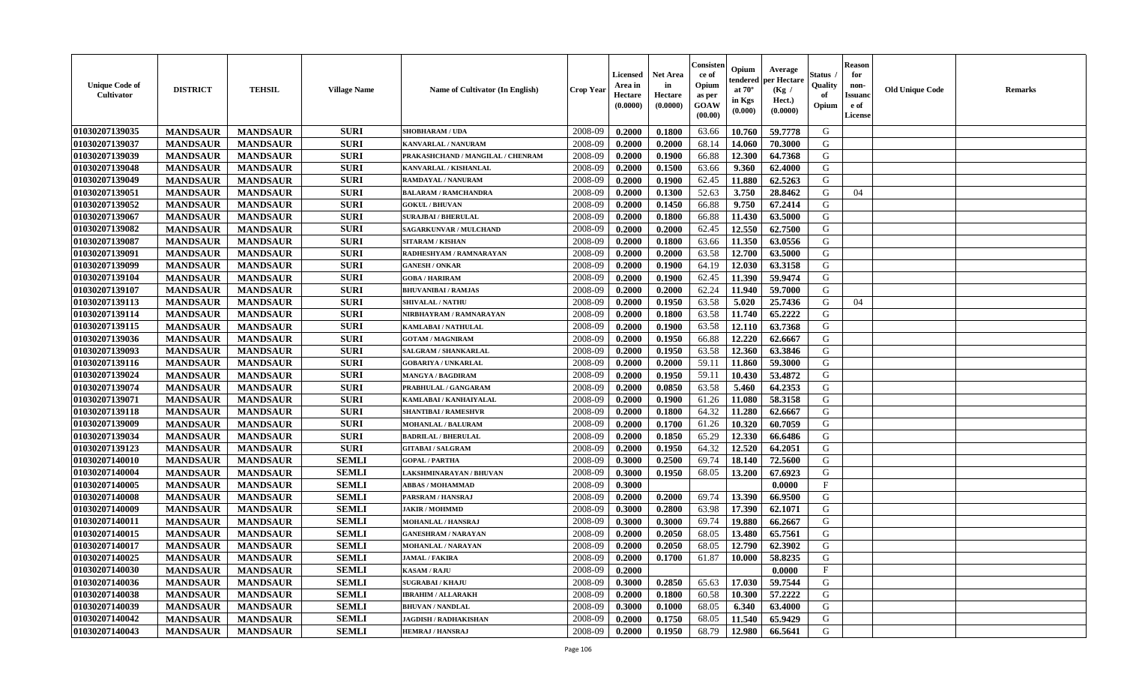| <b>Unique Code of</b><br><b>Cultivator</b> | <b>DISTRICT</b> | <b>TEHSIL</b>   | <b>Village Name</b> | Name of Cultivator (In English)   | <b>Crop Year</b> | <b>Licensed</b><br>Area in<br>Hectare<br>(0.0000) | <b>Net Area</b><br>in<br>Hectare<br>(0.0000) | Consisteı<br>ce of<br>Opium<br>as per<br><b>GOAW</b><br>(00.00) | Opium<br>endered<br>at $70^\circ$<br>in Kgs<br>$(\mathbf{0.000})$ | Average<br>per Hectare<br>(Kg /<br>Hect.)<br>(0.0000) | Status<br>Quality<br>of<br>Opium | Reason<br>for<br>non-<br>Issuan<br>e of<br><b>License</b> | <b>Old Unique Code</b> | <b>Remarks</b> |
|--------------------------------------------|-----------------|-----------------|---------------------|-----------------------------------|------------------|---------------------------------------------------|----------------------------------------------|-----------------------------------------------------------------|-------------------------------------------------------------------|-------------------------------------------------------|----------------------------------|-----------------------------------------------------------|------------------------|----------------|
| 01030207139035                             | <b>MANDSAUR</b> | <b>MANDSAUR</b> | <b>SURI</b>         | <b>SHOBHARAM / UDA</b>            | 2008-09          | 0.2000                                            | 0.1800                                       | 63.66                                                           | 10.760                                                            | 59.7778                                               | G                                |                                                           |                        |                |
| 01030207139037                             | <b>MANDSAUR</b> | <b>MANDSAUR</b> | <b>SURI</b>         | KANVARLAL / NANURAM               | 2008-09          | 0.2000                                            | 0.2000                                       | 68.14                                                           | 14.060                                                            | 70.3000                                               | G                                |                                                           |                        |                |
| 01030207139039                             | <b>MANDSAUR</b> | <b>MANDSAUR</b> | <b>SURI</b>         | PRAKASHCHAND / MANGILAL / CHENRAM | 2008-09          | 0.2000                                            | 0.1900                                       | 66.88                                                           | 12.300                                                            | 64.7368                                               | G                                |                                                           |                        |                |
| 01030207139048                             | <b>MANDSAUR</b> | <b>MANDSAUR</b> | <b>SURI</b>         | KANVARLAL / KISHANLAL             | 2008-09          | 0.2000                                            | 0.1500                                       | 63.66                                                           | 9.360                                                             | 62.4000                                               | G                                |                                                           |                        |                |
| 01030207139049                             | <b>MANDSAUR</b> | <b>MANDSAUR</b> | <b>SURI</b>         | <b>RAMDAYAL / NANURAM</b>         | 2008-09          | 0.2000                                            | 0.1900                                       | 62.45                                                           | 11.880                                                            | 62.5263                                               | G                                |                                                           |                        |                |
| 01030207139051                             | <b>MANDSAUR</b> | <b>MANDSAUR</b> | <b>SURI</b>         | <b>BALARAM / RAMCHANDRA</b>       | 2008-09          | 0.2000                                            | 0.1300                                       | 52.63                                                           | 3.750                                                             | 28.8462                                               | G                                | 04                                                        |                        |                |
| 01030207139052                             | <b>MANDSAUR</b> | <b>MANDSAUR</b> | <b>SURI</b>         | <b>GOKUL / BHUVAN</b>             | 2008-09          | 0.2000                                            | 0.1450                                       | 66.88                                                           | 9.750                                                             | 67.2414                                               | G                                |                                                           |                        |                |
| 01030207139067                             | <b>MANDSAUR</b> | <b>MANDSAUR</b> | <b>SURI</b>         | <b>SURAJBAI / BHERULAL</b>        | 2008-09          | 0.2000                                            | 0.1800                                       | 66.88                                                           | 11.430                                                            | 63.5000                                               | G                                |                                                           |                        |                |
| 01030207139082                             | <b>MANDSAUR</b> | <b>MANDSAUR</b> | <b>SURI</b>         | SAGARKUNVAR / MULCHAND            | 2008-09          | 0.2000                                            | 0.2000                                       | 62.45                                                           | 12.550                                                            | 62.7500                                               | G                                |                                                           |                        |                |
| 01030207139087                             | <b>MANDSAUR</b> | <b>MANDSAUR</b> | <b>SURI</b>         | <b>SITARAM / KISHAN</b>           | 2008-09          | 0.2000                                            | 0.1800                                       | 63.66                                                           | 11.350                                                            | 63.0556                                               | G                                |                                                           |                        |                |
| 01030207139091                             | <b>MANDSAUR</b> | <b>MANDSAUR</b> | <b>SURI</b>         | RADHESHYAM / RAMNARAYAN           | 2008-09          | 0.2000                                            | 0.2000                                       | 63.58                                                           | 12.700                                                            | 63.5000                                               | G                                |                                                           |                        |                |
| 01030207139099                             | <b>MANDSAUR</b> | <b>MANDSAUR</b> | <b>SURI</b>         | <b>GANESH / ONKAR</b>             | 2008-09          | 0.2000                                            | 0.1900                                       | 64.19                                                           | 12.030                                                            | 63.3158                                               | G                                |                                                           |                        |                |
| 01030207139104                             | <b>MANDSAUR</b> | <b>MANDSAUR</b> | <b>SURI</b>         | <b>GOBA / HARIRAM</b>             | 2008-09          | 0.2000                                            | 0.1900                                       | 62.45                                                           | 11.390                                                            | 59.9474                                               | G                                |                                                           |                        |                |
| 01030207139107                             | <b>MANDSAUR</b> | <b>MANDSAUR</b> | <b>SURI</b>         | <b>BHUVANIBAI / RAMJAS</b>        | 2008-09          | 0.2000                                            | 0.2000                                       | 62.24                                                           | 11.940                                                            | 59.7000                                               | G                                |                                                           |                        |                |
| 01030207139113                             | <b>MANDSAUR</b> | <b>MANDSAUR</b> | <b>SURI</b>         | <b>SHIVALAL / NATHU</b>           | 2008-09          | 0.2000                                            | 0.1950                                       | 63.58                                                           | 5.020                                                             | 25.7436                                               | G                                | 04                                                        |                        |                |
| 01030207139114                             | <b>MANDSAUR</b> | <b>MANDSAUR</b> | <b>SURI</b>         | NIRBHAYRAM / RAMNARAYAN           | 2008-09          | 0.2000                                            | 0.1800                                       | 63.58                                                           | 11.740                                                            | 65,2222                                               | G                                |                                                           |                        |                |
| 01030207139115                             | <b>MANDSAUR</b> | <b>MANDSAUR</b> | <b>SURI</b>         | <b>KAMLABAI/NATHULAL</b>          | 2008-09          | 0.2000                                            | 0.1900                                       | 63.58                                                           | 12.110                                                            | 63.7368                                               | G                                |                                                           |                        |                |
| 01030207139036                             | <b>MANDSAUR</b> | <b>MANDSAUR</b> | <b>SURI</b>         | <b>GOTAM / MAGNIRAM</b>           | 2008-09          | 0.2000                                            | 0.1950                                       | 66.88                                                           | 12.220                                                            | 62.6667                                               | G                                |                                                           |                        |                |
| 01030207139093                             | <b>MANDSAUR</b> | <b>MANDSAUR</b> | <b>SURI</b>         | SALGRAM / SHANKARLAL              | 2008-09          | 0.2000                                            | 0.1950                                       | 63.58                                                           | 12.360                                                            | 63.3846                                               | G                                |                                                           |                        |                |
| 01030207139116                             | <b>MANDSAUR</b> | <b>MANDSAUR</b> | <b>SURI</b>         | <b>GOBARIYA / UNKARLAL</b>        | 2008-09          | 0.2000                                            | 0.2000                                       | 59.11                                                           | 11.860                                                            | 59.3000                                               | G                                |                                                           |                        |                |
| 01030207139024                             | <b>MANDSAUR</b> | <b>MANDSAUR</b> | <b>SURI</b>         | <b>MANGYA / BAGDIRAM</b>          | 2008-09          | 0.2000                                            | 0.1950                                       | 59.11                                                           | 10.430                                                            | 53.4872                                               | G                                |                                                           |                        |                |
| 01030207139074                             | <b>MANDSAUR</b> | <b>MANDSAUR</b> | <b>SURI</b>         | PRABHULAL / GANGARAM              | 2008-09          | 0.2000                                            | 0.0850                                       | 63.58                                                           | 5.460                                                             | 64.2353                                               | G                                |                                                           |                        |                |
| 01030207139071                             | <b>MANDSAUR</b> | <b>MANDSAUR</b> | <b>SURI</b>         | KAMLABAI / KANHAIYALAL            | 2008-09          | 0.2000                                            | 0.1900                                       | 61.26                                                           | 11.080                                                            | 58.3158                                               | G                                |                                                           |                        |                |
| 01030207139118                             | <b>MANDSAUR</b> | <b>MANDSAUR</b> | <b>SURI</b>         | <b>SHANTIBAI / RAMESHVR</b>       | 2008-09          | 0.2000                                            | 0.1800                                       | 64.32                                                           | 11.280                                                            | 62.6667                                               | G                                |                                                           |                        |                |
| 01030207139009                             | <b>MANDSAUR</b> | <b>MANDSAUR</b> | <b>SURI</b>         | MOHANLAL / BALURAM                | 2008-09          | 0.2000                                            | 0.1700                                       | 61.26                                                           | 10.320                                                            | 60.7059                                               | G                                |                                                           |                        |                |
| 01030207139034                             | <b>MANDSAUR</b> | <b>MANDSAUR</b> | <b>SURI</b>         | <b>BADRILAL / BHERULAL</b>        | 2008-09          | 0.2000                                            | 0.1850                                       | 65.29                                                           | 12.330                                                            | 66.6486                                               | G                                |                                                           |                        |                |
| 01030207139123                             | <b>MANDSAUR</b> | <b>MANDSAUR</b> | <b>SURI</b>         | <b>GITABAI/SALGRAM</b>            | 2008-09          | 0.2000                                            | 0.1950                                       | 64.32                                                           | 12.520                                                            | 64.2051                                               | G                                |                                                           |                        |                |
| 01030207140010                             | <b>MANDSAUR</b> | <b>MANDSAUR</b> | <b>SEMLI</b>        | <b>GOPAL / PARTHA</b>             | 2008-09          | 0.3000                                            | 0.2500                                       | 69.74                                                           | 18.140                                                            | 72.5600                                               | G                                |                                                           |                        |                |
| 01030207140004                             | <b>MANDSAUR</b> | <b>MANDSAUR</b> | <b>SEMLI</b>        | LAKSHMINARAYAN / BHUVAN           | 2008-09          | 0.3000                                            | 0.1950                                       | 68.05                                                           | 13.200                                                            | 67.6923                                               | G                                |                                                           |                        |                |
| 01030207140005                             | <b>MANDSAUR</b> | <b>MANDSAUR</b> | <b>SEMLI</b>        | <b>ABBAS / MOHAMMAD</b>           | 2008-09          | 0.3000                                            |                                              |                                                                 |                                                                   | 0.0000                                                | $\mathbf{F}$                     |                                                           |                        |                |
| 01030207140008                             | <b>MANDSAUR</b> | <b>MANDSAUR</b> | <b>SEMLI</b>        | PARSRAM / HANSRAJ                 | 2008-09          | 0.2000                                            | 0.2000                                       | 69.74                                                           | 13.390                                                            | 66.9500                                               | G                                |                                                           |                        |                |
| 01030207140009                             | <b>MANDSAUR</b> | <b>MANDSAUR</b> | <b>SEMLI</b>        | <b>JAKIR / MOHMMD</b>             | 2008-09          | 0.3000                                            | 0.2800                                       | 63.98                                                           | 17.390                                                            | 62.1071                                               | G                                |                                                           |                        |                |
| 01030207140011                             | <b>MANDSAUR</b> | <b>MANDSAUR</b> | <b>SEMLI</b>        | <b>MOHANLAL / HANSRAJ</b>         | 2008-09          | 0.3000                                            | 0.3000                                       | 69.74                                                           | 19.880                                                            | 66.2667                                               | G                                |                                                           |                        |                |
| 01030207140015                             | <b>MANDSAUR</b> | <b>MANDSAUR</b> | <b>SEMLI</b>        | <b>GANESHRAM / NARAYAN</b>        | 2008-09          | 0.2000                                            | 0.2050                                       | 68.05                                                           | 13.480                                                            | 65.7561                                               | G                                |                                                           |                        |                |
| 01030207140017                             | <b>MANDSAUR</b> | <b>MANDSAUR</b> | <b>SEMLI</b>        | MOHANLAL / NARAYAN                | 2008-09          | 0.2000                                            | 0.2050                                       | 68.05                                                           | 12.790                                                            | 62.3902                                               | G                                |                                                           |                        |                |
| <b>01030207140025</b>                      | <b>MANDSAUR</b> | <b>MANDSAUR</b> | <b>SEMLI</b>        | <b>JAMAL / FAKIRA</b>             | 2008-09          | 0.2000                                            | 0.1700                                       | 61.87                                                           |                                                                   | $10.000$ 58.8235                                      | G                                |                                                           |                        |                |
| 01030207140030                             | <b>MANDSAUR</b> | <b>MANDSAUR</b> | <b>SEMLI</b>        | <b>KASAM / RAJU</b>               | 2008-09          | 0.2000                                            |                                              |                                                                 |                                                                   | 0.0000                                                | $\mathbf{F}$                     |                                                           |                        |                |
| 01030207140036                             | <b>MANDSAUR</b> | <b>MANDSAUR</b> | <b>SEMLI</b>        | <b>SUGRABAI/KHAJU</b>             | 2008-09          | 0.3000                                            | 0.2850                                       | 65.63                                                           | 17.030                                                            | 59.7544                                               | G                                |                                                           |                        |                |
| 01030207140038                             | <b>MANDSAUR</b> | <b>MANDSAUR</b> | <b>SEMLI</b>        | <b>IBRAHIM / ALLARAKH</b>         | 2008-09          | 0.2000                                            | 0.1800                                       | 60.58                                                           | 10.300                                                            | 57,2222                                               | G                                |                                                           |                        |                |
| 01030207140039                             | <b>MANDSAUR</b> | <b>MANDSAUR</b> | <b>SEMLI</b>        | <b>BHUVAN / NANDLAL</b>           | 2008-09          | 0.3000                                            | 0.1000                                       | 68.05                                                           | 6.340                                                             | 63.4000                                               | G                                |                                                           |                        |                |
| 01030207140042                             | <b>MANDSAUR</b> | <b>MANDSAUR</b> | <b>SEMLI</b>        | <b>JAGDISH / RADHAKISHAN</b>      | 2008-09          | 0.2000                                            | 0.1750                                       | 68.05                                                           | 11.540                                                            | 65.9429                                               | G                                |                                                           |                        |                |
| 01030207140043                             | <b>MANDSAUR</b> | <b>MANDSAUR</b> | <b>SEMLI</b>        | <b>HEMRAJ / HANSRAJ</b>           | 2008-09          | 0.2000                                            | 0.1950                                       | 68.79                                                           | 12.980                                                            | 66.5641                                               | G                                |                                                           |                        |                |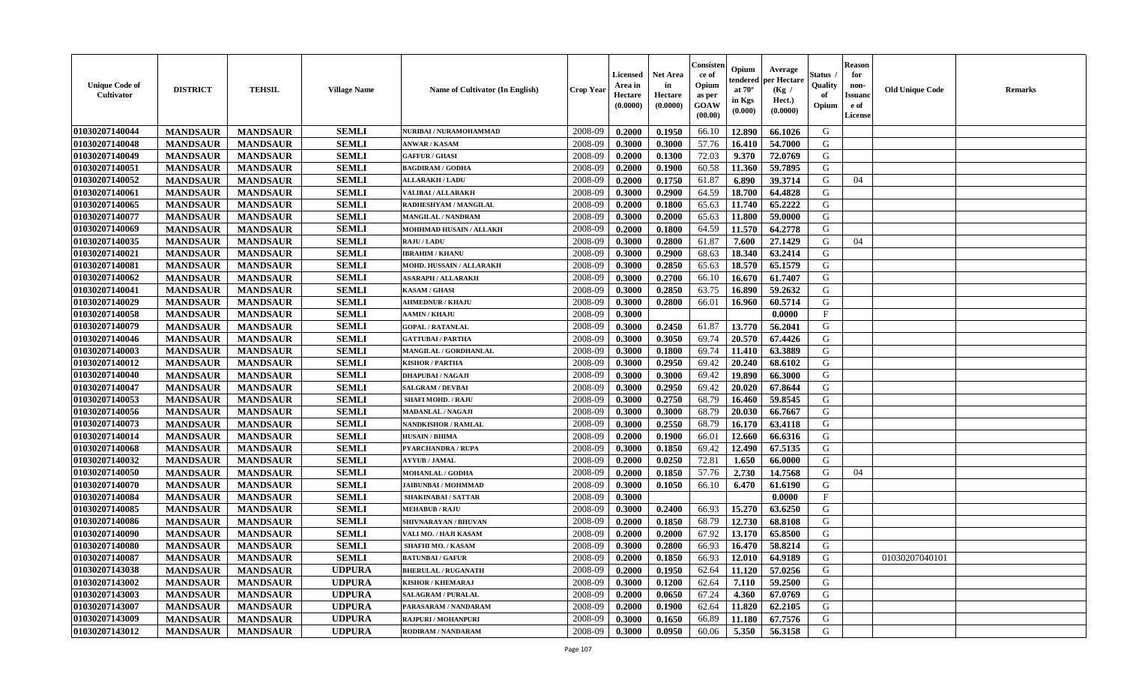| <b>Unique Code of</b><br><b>Cultivator</b> | <b>DISTRICT</b> | <b>TEHSIL</b>   | <b>Village Name</b> | Name of Cultivator (In English) | <b>Crop Year</b> | <b>Licensed</b><br>Area in<br>Hectare<br>(0.0000) | <b>Net Area</b><br>in<br>Hectare<br>(0.0000) | Consister<br>ce of<br>Opium<br>as per<br><b>GOAW</b><br>(00.00) | Opium<br>endered<br>at $70^\circ$<br>in Kgs<br>(0.000) | Average<br>per Hectare<br>(Kg)<br>Hect.)<br>(0.0000) | Status<br>Quality<br>of<br>Opium | <b>Reason</b><br>for<br>non-<br><b>Issuand</b><br>e of<br><b>License</b> | <b>Old Unique Code</b> | <b>Remarks</b> |
|--------------------------------------------|-----------------|-----------------|---------------------|---------------------------------|------------------|---------------------------------------------------|----------------------------------------------|-----------------------------------------------------------------|--------------------------------------------------------|------------------------------------------------------|----------------------------------|--------------------------------------------------------------------------|------------------------|----------------|
| 01030207140044                             | <b>MANDSAUR</b> | <b>MANDSAUR</b> | <b>SEMLI</b>        | NURIBAI / NURAMOHAMMAD          | 2008-09          | 0.2000                                            | 0.1950                                       | 66.10                                                           | 12.890                                                 | 66.1026                                              | G                                |                                                                          |                        |                |
| 01030207140048                             | <b>MANDSAUR</b> | <b>MANDSAUR</b> | <b>SEMLI</b>        | <b>ANWAR / KASAM</b>            | 2008-09          | 0.3000                                            | 0.3000                                       | 57.76                                                           | 16.410                                                 | 54.7000                                              | G                                |                                                                          |                        |                |
| 01030207140049                             | <b>MANDSAUR</b> | <b>MANDSAUR</b> | <b>SEMLI</b>        | <b>GAFFUR / GHASI</b>           | 2008-09          | 0.2000                                            | 0.1300                                       | 72.03                                                           | 9.370                                                  | 72.0769                                              | G                                |                                                                          |                        |                |
| 01030207140051                             | <b>MANDSAUR</b> | <b>MANDSAUR</b> | <b>SEMLI</b>        | <b>BAGDIRAM / GODHA</b>         | 2008-09          | 0.2000                                            | 0.1900                                       | 60.58                                                           | 11.360                                                 | 59.7895                                              | G                                |                                                                          |                        |                |
| 01030207140052                             | <b>MANDSAUR</b> | <b>MANDSAUR</b> | <b>SEMLI</b>        | <b>ALLARAKH / LADU</b>          | 2008-09          | 0.2000                                            | 0.1750                                       | 61.87                                                           | 6.890                                                  | 39.3714                                              | G                                | 04                                                                       |                        |                |
| 01030207140061                             | <b>MANDSAUR</b> | <b>MANDSAUR</b> | <b>SEMLI</b>        | VALIBAI / ALLARAKH              | 2008-09          | 0.3000                                            | 0.2900                                       | 64.59                                                           | 18.700                                                 | 64.4828                                              | G                                |                                                                          |                        |                |
| 01030207140065                             | <b>MANDSAUR</b> | <b>MANDSAUR</b> | <b>SEMLI</b>        | RADHESHYAM / MANGILAL           | 2008-09          | 0.2000                                            | 0.1800                                       | 65.63                                                           | 11.740                                                 | 65.2222                                              | G                                |                                                                          |                        |                |
| 01030207140077                             | <b>MANDSAUR</b> | <b>MANDSAUR</b> | <b>SEMLI</b>        | <b>MANGILAL / NANDRAM</b>       | 2008-09          | 0.3000                                            | 0.2000                                       | 65.63                                                           | 11.800                                                 | 59.0000                                              | G                                |                                                                          |                        |                |
| 01030207140069                             | <b>MANDSAUR</b> | <b>MANDSAUR</b> | <b>SEMLI</b>        | <b>MOHHMAD HUSAIN / ALLAKH</b>  | 2008-09          | 0.2000                                            | 0.1800                                       | 64.59                                                           | 11.570                                                 | 64.2778                                              | G                                |                                                                          |                        |                |
| 01030207140035                             | <b>MANDSAUR</b> | <b>MANDSAUR</b> | <b>SEMLI</b>        | <b>RAJU / LADU</b>              | 2008-09          | 0.3000                                            | 0.2800                                       | 61.87                                                           | 7.600                                                  | 27.1429                                              | G                                | 04                                                                       |                        |                |
| 01030207140021                             | <b>MANDSAUR</b> | <b>MANDSAUR</b> | <b>SEMLI</b>        | <b>IBRAHIM / KHANU</b>          | 2008-09          | 0.3000                                            | 0.2900                                       | 68.63                                                           | 18.340                                                 | 63.2414                                              | G                                |                                                                          |                        |                |
| 01030207140081                             | <b>MANDSAUR</b> | <b>MANDSAUR</b> | <b>SEMLI</b>        | MOHD. HUSSAIN / ALLARAKH        | 2008-09          | 0.3000                                            | 0.2850                                       | 65.63                                                           | 18.570                                                 | 65.1579                                              | G                                |                                                                          |                        |                |
| 01030207140062                             | <b>MANDSAUR</b> | <b>MANDSAUR</b> | <b>SEMLI</b>        | <b>ASARAPH / ALLARAKH</b>       | 2008-09          | 0.3000                                            | 0.2700                                       | 66.10                                                           | 16.670                                                 | 61.7407                                              | G                                |                                                                          |                        |                |
| 01030207140041                             | <b>MANDSAUR</b> | <b>MANDSAUR</b> | <b>SEMLI</b>        | <b>KASAM / GHASI</b>            | 2008-09          | 0.3000                                            | 0.2850                                       | 63.75                                                           | 16.890                                                 | 59.2632                                              | G                                |                                                                          |                        |                |
| 01030207140029                             | <b>MANDSAUR</b> | <b>MANDSAUR</b> | <b>SEMLI</b>        | <b>AHMEDNUR / KHAJU</b>         | 2008-09          | 0.3000                                            | 0.2800                                       | 66.01                                                           | 16.960                                                 | 60.5714                                              | G                                |                                                                          |                        |                |
| 01030207140058                             | <b>MANDSAUR</b> | <b>MANDSAUR</b> | <b>SEMLI</b>        | <b>AAMIN / KHAJU</b>            | 2008-09          | 0.3000                                            |                                              |                                                                 |                                                        | 0.0000                                               | $\rm F$                          |                                                                          |                        |                |
| 01030207140079                             | <b>MANDSAUR</b> | <b>MANDSAUR</b> | <b>SEMLI</b>        | <b>GOPAL / RATANLAL</b>         | 2008-09          | 0.3000                                            | 0.2450                                       | 61.87                                                           | 13.770                                                 | 56.2041                                              | G                                |                                                                          |                        |                |
| 01030207140046                             | <b>MANDSAUR</b> | <b>MANDSAUR</b> | <b>SEMLI</b>        | <b>GATTUBAI/PARTHA</b>          | 2008-09          | 0.3000                                            | 0.3050                                       | 69.74                                                           | 20.570                                                 | 67.4426                                              | G                                |                                                                          |                        |                |
| 01030207140003                             | <b>MANDSAUR</b> | <b>MANDSAUR</b> | <b>SEMLI</b>        | MANGILAL / GORDHANLAL           | 2008-09          | 0.3000                                            | 0.1800                                       | 69.74                                                           | 11.410                                                 | 63.3889                                              | G                                |                                                                          |                        |                |
| 01030207140012                             | <b>MANDSAUR</b> | <b>MANDSAUR</b> | <b>SEMLI</b>        | <b>KISHOR / PARTHA</b>          | 2008-09          | 0.3000                                            | 0.2950                                       | 69.42                                                           | 20.240                                                 | 68.6102                                              | G                                |                                                                          |                        |                |
| 01030207140040                             | <b>MANDSAUR</b> | <b>MANDSAUR</b> | <b>SEMLI</b>        | <b>DHAPUBAI/NAGAJI</b>          | 2008-09          | 0.3000                                            | 0.3000                                       | 69.42                                                           | 19.890                                                 | 66.3000                                              | G                                |                                                                          |                        |                |
| 01030207140047                             | <b>MANDSAUR</b> | <b>MANDSAUR</b> | <b>SEMLI</b>        | <b>SALGRAM / DEVBAI</b>         | 2008-09          | 0.3000                                            | 0.2950                                       | 69.42                                                           | 20.020                                                 | 67.8644                                              | G                                |                                                                          |                        |                |
| 01030207140053                             | <b>MANDSAUR</b> | <b>MANDSAUR</b> | <b>SEMLI</b>        | <b>SHAFI MOHD. / RAJU</b>       | 2008-09          | 0.3000                                            | 0.2750                                       | 68.79                                                           | 16.460                                                 | 59.8545                                              | G                                |                                                                          |                        |                |
| 01030207140056                             | <b>MANDSAUR</b> | <b>MANDSAUR</b> | <b>SEMLI</b>        | MADANLAL / NAGAJI               | 2008-09          | 0.3000                                            | 0.3000                                       | 68.79                                                           | 20.030                                                 | 66.7667                                              | G                                |                                                                          |                        |                |
| 01030207140073                             | <b>MANDSAUR</b> | <b>MANDSAUR</b> | <b>SEMLI</b>        | <b>NANDKISHOR / RAMLAL</b>      | 2008-09          | 0.3000                                            | 0.2550                                       | 68.79                                                           | 16.170                                                 | 63.4118                                              | G                                |                                                                          |                        |                |
| 01030207140014                             | <b>MANDSAUR</b> | <b>MANDSAUR</b> | <b>SEMLI</b>        | <b>HUSAIN / BHIMA</b>           | 2008-09          | 0.2000                                            | 0.1900                                       | 66.01                                                           | 12.660                                                 | 66.6316                                              | G                                |                                                                          |                        |                |
| 01030207140068                             | <b>MANDSAUR</b> | <b>MANDSAUR</b> | <b>SEMLI</b>        | <b>PYARCHANDRA / RUPA</b>       | 2008-09          | 0.3000                                            | 0.1850                                       | 69.42                                                           | 12.490                                                 | 67.5135                                              | G                                |                                                                          |                        |                |
| 01030207140032                             | <b>MANDSAUR</b> | <b>MANDSAUR</b> | <b>SEMLI</b>        | <b>AYYUB / JAMAL</b>            | 2008-09          | 0.2000                                            | 0.0250                                       | 72.81                                                           | 1.650                                                  | 66.0000                                              | G                                |                                                                          |                        |                |
| 01030207140050                             | <b>MANDSAUR</b> | <b>MANDSAUR</b> | <b>SEMLI</b>        | <b>MOHANLAL / GODHA</b>         | 2008-09          | 0.2000                                            | 0.1850                                       | 57.76                                                           | 2.730                                                  | 14.7568                                              | G                                | 04                                                                       |                        |                |
| 01030207140070                             | <b>MANDSAUR</b> | <b>MANDSAUR</b> | <b>SEMLI</b>        | <b>JAIBUNBAI/MOHMMAD</b>        | 2008-09          | 0.3000                                            | 0.1050                                       | 66.10                                                           | 6.470                                                  | 61.6190                                              | G                                |                                                                          |                        |                |
| 01030207140084                             | <b>MANDSAUR</b> | <b>MANDSAUR</b> | <b>SEMLI</b>        | <b>SHAKINABAI/SATTAR</b>        | 2008-09          | 0.3000                                            |                                              |                                                                 |                                                        | 0.0000                                               | F                                |                                                                          |                        |                |
| 01030207140085                             | <b>MANDSAUR</b> | <b>MANDSAUR</b> | <b>SEMLI</b>        | <b>MEHABUB / RAJU</b>           | 2008-09          | 0.3000                                            | 0.2400                                       | 66.93                                                           | 15.270                                                 | 63.6250                                              | G                                |                                                                          |                        |                |
| 01030207140086                             | <b>MANDSAUR</b> | <b>MANDSAUR</b> | <b>SEMLI</b>        | SHIVNARAYAN / BHUVAN            | 2008-09          | 0.2000                                            | 0.1850                                       | 68.79                                                           | 12.730                                                 | 68.8108                                              | G                                |                                                                          |                        |                |
| 01030207140090                             | <b>MANDSAUR</b> | <b>MANDSAUR</b> | <b>SEMLI</b>        | VALI MO. / HAJI KASAM           | 2008-09          | 0.2000                                            | 0.2000                                       | 67.92                                                           | 13.170                                                 | 65.8500                                              | G                                |                                                                          |                        |                |
| 01030207140080                             | <b>MANDSAUR</b> | <b>MANDSAUR</b> | <b>SEMLI</b>        | <b>SHAFHI MO. / KASAM</b>       | 2008-09          | 0.3000                                            | 0.2800                                       | 66.93                                                           | 16.470                                                 | 58.8214                                              | G                                |                                                                          |                        |                |
| 01030207140087                             | <b>MANDSAUR</b> | <b>MANDSAUR</b> | <b>SEMLI</b>        | <b>BATUNBAI/GAFUR</b>           | 2008-09          | 0.2000                                            | 0.1850                                       | 66.93                                                           | 12.010                                                 | 64.9189                                              | G                                |                                                                          | 01030207040101         |                |
| 01030207143038                             | <b>MANDSAUR</b> | <b>MANDSAUR</b> | <b>UDPURA</b>       | <b>BHERULAL / RUGANATH</b>      | 2008-09          | 0.2000                                            | 0.1950                                       | 62.64                                                           | 11.120                                                 | 57.0256                                              | G                                |                                                                          |                        |                |
| 01030207143002                             | <b>MANDSAUR</b> | <b>MANDSAUR</b> | <b>UDPURA</b>       | <b>KISHOR / KHEMARAJ</b>        | 2008-09          | 0.3000                                            | 0.1200                                       | 62.64                                                           | 7.110                                                  | 59.2500                                              | G                                |                                                                          |                        |                |
| 01030207143003                             | <b>MANDSAUR</b> | <b>MANDSAUR</b> | <b>UDPURA</b>       | <b>SALAGRAM / PURALAL</b>       | 2008-09          | 0.2000                                            | 0.0650                                       | 67.24                                                           | 4.360                                                  | 67.0769                                              | G                                |                                                                          |                        |                |
| 01030207143007                             | <b>MANDSAUR</b> | <b>MANDSAUR</b> | <b>UDPURA</b>       | PARASARAM / NANDARAM            | 2008-09          | 0.2000                                            | 0.1900                                       | 62.64                                                           | 11.820                                                 | 62.2105                                              | G                                |                                                                          |                        |                |
| 01030207143009                             | <b>MANDSAUR</b> | <b>MANDSAUR</b> | <b>UDPURA</b>       | RAJPURI / MOHANPURI             | 2008-09          | 0.3000                                            | 0.1650                                       | 66.89                                                           | 11.180                                                 | 67.7576                                              | G                                |                                                                          |                        |                |
| 01030207143012                             | <b>MANDSAUR</b> | <b>MANDSAUR</b> | <b>UDPURA</b>       | RODIRAM / NANDARAM              | 2008-09          | 0.3000                                            | 0.0950                                       | 60.06                                                           | 5.350                                                  | 56.3158                                              | G                                |                                                                          |                        |                |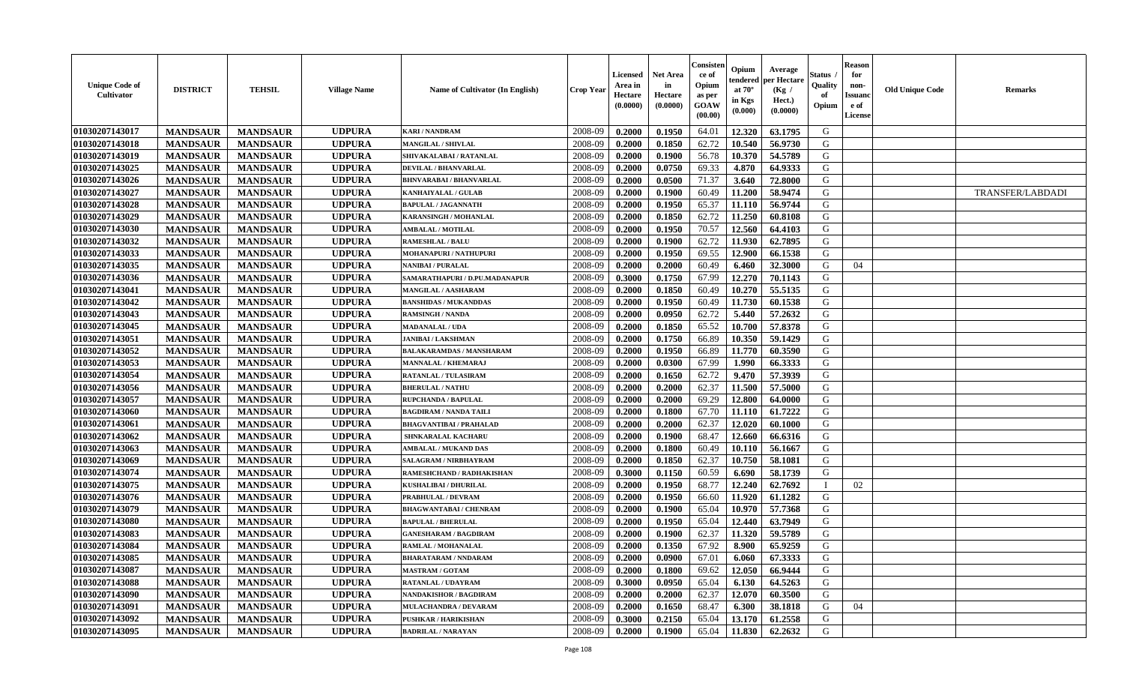| <b>Unique Code of</b><br>Cultivator | <b>DISTRICT</b> | <b>TEHSIL</b>   | <b>Village Name</b> | Name of Cultivator (In English)  | Crop Year | <b>Licensed</b><br>Area in<br>Hectare<br>(0.0000) | <b>Net Area</b><br>in<br>Hectare<br>(0.0000) | Consister<br>ce of<br>Opium<br>as per<br>GOAW<br>(00.00) | Opium<br>endered<br>at $70^\circ$<br>in Kgs<br>$(\mathbf{0.000})$ | Average<br>per Hectare<br>(Kg /<br>Hect.)<br>(0.0000) | Status<br>Quality<br>of<br>Opium | <b>Reason</b><br>for<br>non-<br><b>Issuanc</b><br>e of<br><b>License</b> | <b>Old Unique Code</b> | <b>Remarks</b>   |
|-------------------------------------|-----------------|-----------------|---------------------|----------------------------------|-----------|---------------------------------------------------|----------------------------------------------|----------------------------------------------------------|-------------------------------------------------------------------|-------------------------------------------------------|----------------------------------|--------------------------------------------------------------------------|------------------------|------------------|
| 01030207143017                      | <b>MANDSAUR</b> | <b>MANDSAUR</b> | <b>UDPURA</b>       | <b>KARI / NANDRAM</b>            | 2008-09   | 0.2000                                            | 0.1950                                       | 64.01                                                    | 12.320                                                            | 63.1795                                               | G                                |                                                                          |                        |                  |
| 01030207143018                      | <b>MANDSAUR</b> | <b>MANDSAUR</b> | <b>UDPURA</b>       | <b>MANGILAL / SHIVLAL</b>        | 2008-09   | 0.2000                                            | 0.1850                                       | 62.72                                                    | 10.540                                                            | 56.9730                                               | G                                |                                                                          |                        |                  |
| 01030207143019                      | <b>MANDSAUR</b> | <b>MANDSAUR</b> | <b>UDPURA</b>       | SHIVAKALABAI / RATANLAL          | 2008-09   | 0.2000                                            | 0.1900                                       | 56.78                                                    | 10.370                                                            | 54.5789                                               | G                                |                                                                          |                        |                  |
| 01030207143025                      | <b>MANDSAUR</b> | <b>MANDSAUR</b> | <b>UDPURA</b>       | <b>DEVILAL / BHANVARLAL</b>      | 2008-09   | 0.2000                                            | 0.0750                                       | 69.33                                                    | 4.870                                                             | 64.9333                                               | G                                |                                                                          |                        |                  |
| 01030207143026                      | <b>MANDSAUR</b> | <b>MANDSAUR</b> | <b>UDPURA</b>       | <b>BHNVARABAI/BHANVARLAL</b>     | 2008-09   | 0.2000                                            | 0.0500                                       | 71.37                                                    | 3.640                                                             | 72.8000                                               | G                                |                                                                          |                        |                  |
| 01030207143027                      | <b>MANDSAUR</b> | <b>MANDSAUR</b> | <b>UDPURA</b>       | KANHAIYALAL / GULAB              | 2008-09   | 0.2000                                            | 0.1900                                       | 60.49                                                    | 11.200                                                            | 58.9474                                               | G                                |                                                                          |                        | TRANSFER/LABDADI |
| 01030207143028                      | <b>MANDSAUR</b> | <b>MANDSAUR</b> | <b>UDPURA</b>       | <b>BAPULAL / JAGANNATH</b>       | 2008-09   | 0.2000                                            | 0.1950                                       | 65.37                                                    | 11.110                                                            | 56.9744                                               | G                                |                                                                          |                        |                  |
| 01030207143029                      | <b>MANDSAUR</b> | <b>MANDSAUR</b> | <b>UDPURA</b>       | KARANSINGH / MOHANLAL            | 2008-09   | 0.2000                                            | 0.1850                                       | 62.72                                                    | 11.250                                                            | 60.8108                                               | G                                |                                                                          |                        |                  |
| 01030207143030                      | <b>MANDSAUR</b> | <b>MANDSAUR</b> | <b>UDPURA</b>       | <b>AMBALAL / MOTILAL</b>         | 2008-09   | 0.2000                                            | 0.1950                                       | 70.57                                                    | 12.560                                                            | 64.4103                                               | G                                |                                                                          |                        |                  |
| 01030207143032                      | <b>MANDSAUR</b> | <b>MANDSAUR</b> | <b>UDPURA</b>       | <b>RAMESHLAL / BALU</b>          | 2008-09   | 0.2000                                            | 0.1900                                       | 62.72                                                    | 11.930                                                            | 62.7895                                               | G                                |                                                                          |                        |                  |
| 01030207143033                      | <b>MANDSAUR</b> | <b>MANDSAUR</b> | <b>UDPURA</b>       | MOHANAPURI / NATHUPURI           | 2008-09   | 0.2000                                            | 0.1950                                       | 69.55                                                    | 12.900                                                            | 66.1538                                               | G                                |                                                                          |                        |                  |
| 01030207143035                      | <b>MANDSAUR</b> | <b>MANDSAUR</b> | <b>UDPURA</b>       | <b>NANIBAI / PURALAL</b>         | 2008-09   | 0.2000                                            | 0.2000                                       | 60.49                                                    | 6.460                                                             | 32.3000                                               | G                                | 04                                                                       |                        |                  |
| 01030207143036                      | <b>MANDSAUR</b> | <b>MANDSAUR</b> | <b>UDPURA</b>       | SAMARATHAPURI / D.PU.MADANAPUR   | 2008-09   | 0.3000                                            | 0.1750                                       | 67.99                                                    | 12.270                                                            | 70.1143                                               | G                                |                                                                          |                        |                  |
| 01030207143041                      | <b>MANDSAUR</b> | <b>MANDSAUR</b> | <b>UDPURA</b>       | MANGILAL / AASHARAM              | 2008-09   | 0.2000                                            | 0.1850                                       | 60.49                                                    | 10.270                                                            | 55.5135                                               | G                                |                                                                          |                        |                  |
| 01030207143042                      | <b>MANDSAUR</b> | <b>MANDSAUR</b> | <b>UDPURA</b>       | <b>BANSHIDAS / MUKANDDAS</b>     | 2008-09   | 0.2000                                            | 0.1950                                       | 60.49                                                    | 11.730                                                            | 60.1538                                               | G                                |                                                                          |                        |                  |
| 01030207143043                      | <b>MANDSAUR</b> | <b>MANDSAUR</b> | <b>UDPURA</b>       | <b>RAMSINGH / NANDA</b>          | 2008-09   | 0.2000                                            | 0.0950                                       | 62.72                                                    | 5.440                                                             | 57.2632                                               | G                                |                                                                          |                        |                  |
| 01030207143045                      | <b>MANDSAUR</b> | <b>MANDSAUR</b> | <b>UDPURA</b>       | <b>MADANALAL / UDA</b>           | 2008-09   | 0.2000                                            | 0.1850                                       | 65.52                                                    | 10.700                                                            | 57.8378                                               | G                                |                                                                          |                        |                  |
| 01030207143051                      | <b>MANDSAUR</b> | <b>MANDSAUR</b> | <b>UDPURA</b>       | <b>JANIBAI / LAKSHMAN</b>        | 2008-09   | 0.2000                                            | 0.1750                                       | 66.89                                                    | 10.350                                                            | 59.1429                                               | G                                |                                                                          |                        |                  |
| 01030207143052                      | <b>MANDSAUR</b> | <b>MANDSAUR</b> | <b>UDPURA</b>       | <b>BALAKARAMDAS / MANSHARAM</b>  | 2008-09   | 0.2000                                            | 0.1950                                       | 66.89                                                    | 11.770                                                            | 60.3590                                               | G                                |                                                                          |                        |                  |
| 01030207143053                      | <b>MANDSAUR</b> | <b>MANDSAUR</b> | <b>UDPURA</b>       | <b>MANNALAL / KHEMARAJ</b>       | 2008-09   | 0.2000                                            | 0.0300                                       | 67.99                                                    | 1.990                                                             | 66.3333                                               | G                                |                                                                          |                        |                  |
| 01030207143054                      | <b>MANDSAUR</b> | <b>MANDSAUR</b> | <b>UDPURA</b>       | <b>RATANLAL / TULASIRAM</b>      | 2008-09   | 0.2000                                            | 0.1650                                       | 62.72                                                    | 9.470                                                             | 57.3939                                               | G                                |                                                                          |                        |                  |
| 01030207143056                      | <b>MANDSAUR</b> | <b>MANDSAUR</b> | <b>UDPURA</b>       | <b>BHERULAL / NATHU</b>          | 2008-09   | 0.2000                                            | 0.2000                                       | 62.37                                                    | 11.500                                                            | 57.5000                                               | G                                |                                                                          |                        |                  |
| 01030207143057                      | <b>MANDSAUR</b> | <b>MANDSAUR</b> | <b>UDPURA</b>       | RUPCHANDA / BAPULAL              | 2008-09   | 0.2000                                            | 0.2000                                       | 69.29                                                    | 12.800                                                            | 64.0000                                               | G                                |                                                                          |                        |                  |
| 01030207143060                      | <b>MANDSAUR</b> | <b>MANDSAUR</b> | <b>UDPURA</b>       | <b>BAGDIRAM / NANDA TAILI</b>    | 2008-09   | 0.2000                                            | 0.1800                                       | 67.70                                                    | 11.110                                                            | 61.7222                                               | G                                |                                                                          |                        |                  |
| 01030207143061                      | <b>MANDSAUR</b> | <b>MANDSAUR</b> | <b>UDPURA</b>       | <b>BHAGVANTIBAI / PRAHALAD</b>   | 2008-09   | 0.2000                                            | 0.2000                                       | 62.37                                                    | 12.020                                                            | 60.1000                                               | G                                |                                                                          |                        |                  |
| 01030207143062                      | <b>MANDSAUR</b> | <b>MANDSAUR</b> | <b>UDPURA</b>       | SHNKARALAL KACHARU               | 2008-09   | 0.2000                                            | 0.1900                                       | 68.47                                                    | 12.660                                                            | 66.6316                                               | G                                |                                                                          |                        |                  |
| 01030207143063                      | <b>MANDSAUR</b> | <b>MANDSAUR</b> | <b>UDPURA</b>       | <b>AMBALAL / MUKAND DAS</b>      | 2008-09   | 0.2000                                            | 0.1800                                       | 60.49                                                    | 10.110                                                            | 56.1667                                               | G                                |                                                                          |                        |                  |
| 01030207143069                      | <b>MANDSAUR</b> | <b>MANDSAUR</b> | <b>UDPURA</b>       | <b>SALAGRAM / NIRBHAYRAM</b>     | 2008-09   | 0.2000                                            | 0.1850                                       | 62.37                                                    | 10.750                                                            | 58.1081                                               | G                                |                                                                          |                        |                  |
| 01030207143074                      | <b>MANDSAUR</b> | <b>MANDSAUR</b> | <b>UDPURA</b>       | <b>RAMESHCHAND / RADHAKISHAN</b> | 2008-09   | 0.3000                                            | 0.1150                                       | 60.59                                                    | 6.690                                                             | 58.1739                                               | G                                |                                                                          |                        |                  |
| 01030207143075                      | <b>MANDSAUR</b> | <b>MANDSAUR</b> | <b>UDPURA</b>       | <b>KUSHALIBAI / DHURILAI</b>     | 2008-09   | 0.2000                                            | 0.1950                                       | 68.77                                                    | 12.240                                                            | 62.7692                                               |                                  | 02                                                                       |                        |                  |
| 01030207143076                      | <b>MANDSAUR</b> | <b>MANDSAUR</b> | <b>UDPURA</b>       | PRABHULAL / DEVRAM               | 2008-09   | 0.2000                                            | 0.1950                                       | 66.60                                                    | 11.920                                                            | 61.1282                                               | G                                |                                                                          |                        |                  |
| 01030207143079                      | <b>MANDSAUR</b> | <b>MANDSAUR</b> | <b>UDPURA</b>       | <b>BHAGWANTABAI / CHENRAM</b>    | 2008-09   | 0.2000                                            | 0.1900                                       | 65.04                                                    | 10.970                                                            | 57.7368                                               | G                                |                                                                          |                        |                  |
| 01030207143080                      | <b>MANDSAUR</b> | <b>MANDSAUR</b> | <b>UDPURA</b>       | <b>BAPULAL / BHERULAL</b>        | 2008-09   | 0.2000                                            | 0.1950                                       | 65.04                                                    | 12.440                                                            | 63.7949                                               | G                                |                                                                          |                        |                  |
| 01030207143083                      | <b>MANDSAUR</b> | <b>MANDSAUR</b> | <b>UDPURA</b>       | <b>GANESHARAM / BAGDIRAM</b>     | 2008-09   | 0.2000                                            | 0.1900                                       | 62.37                                                    | 11.320                                                            | 59.5789                                               | G                                |                                                                          |                        |                  |
| 01030207143084                      | <b>MANDSAUR</b> | <b>MANDSAUR</b> | <b>UDPURA</b>       | <b>RAMLAL / MOHANALAL</b>        | 2008-09   | 0.2000                                            | 0.1350                                       | 67.92                                                    | 8.900                                                             | 65.9259                                               | G                                |                                                                          |                        |                  |
| 01030207143085                      | <b>MANDSAUR</b> | <b>MANDSAUR</b> | <b>UDPURA</b>       | <b>BHARATARAM / NNDARAM</b>      | 2008-09   | 0.2000                                            | 0.0900                                       | 67.01                                                    | 6.060                                                             | 67.3333                                               | G                                |                                                                          |                        |                  |
| 01030207143087                      | <b>MANDSAUR</b> | <b>MANDSAUR</b> | <b>UDPURA</b>       | <b>MASTRAM / GOTAM</b>           | 2008-09   | 0.2000                                            | 0.1800                                       | 69.62                                                    | 12.050                                                            | 66.9444                                               | G                                |                                                                          |                        |                  |
| 01030207143088                      | <b>MANDSAUR</b> | <b>MANDSAUR</b> | <b>UDPURA</b>       | RATANLAL / UDAYRAM               | 2008-09   | 0.3000                                            | 0.0950                                       | 65.04                                                    | 6.130                                                             | 64.5263                                               | G                                |                                                                          |                        |                  |
| 01030207143090                      | <b>MANDSAUR</b> | <b>MANDSAUR</b> | <b>UDPURA</b>       | <b>NANDAKISHOR / BAGDIRAM</b>    | 2008-09   | 0.2000                                            | 0.2000                                       | 62.37                                                    | 12.070                                                            | 60.3500                                               | G                                |                                                                          |                        |                  |
| 01030207143091                      | <b>MANDSAUR</b> | <b>MANDSAUR</b> | <b>UDPURA</b>       | MULACHANDRA / DEVARAM            | 2008-09   | 0.2000                                            | 0.1650                                       | 68.47                                                    | 6.300                                                             | 38.1818                                               | G                                | 04                                                                       |                        |                  |
| 01030207143092                      | <b>MANDSAUR</b> | <b>MANDSAUR</b> | <b>UDPURA</b>       | <b>PUSHKAR / HARIKISHAN</b>      | 2008-09   | 0.3000                                            | 0.2150                                       | 65.04                                                    | 13.170                                                            | 61.2558                                               | G                                |                                                                          |                        |                  |
| 01030207143095                      | <b>MANDSAUR</b> | <b>MANDSAUR</b> | <b>UDPURA</b>       | <b>BADRILAL / NARAYAN</b>        | 2008-09   | 0.2000                                            | 0.1900                                       | 65.04                                                    | 11.830                                                            | 62.2632                                               | G                                |                                                                          |                        |                  |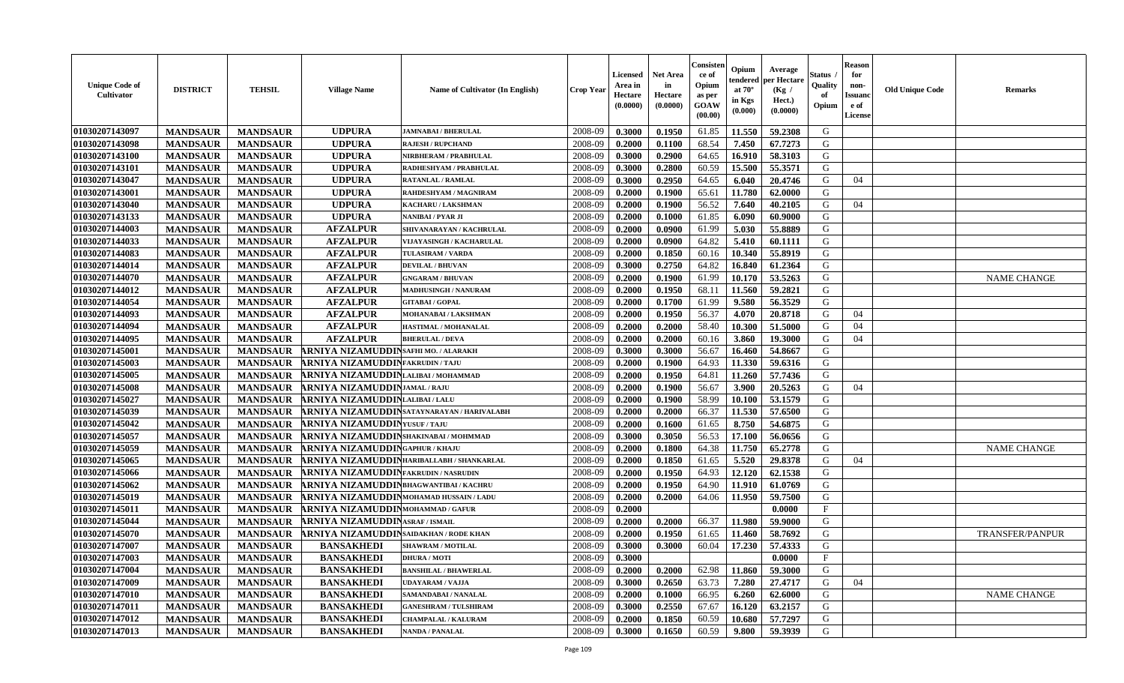| <b>Unique Code of</b><br><b>Cultivator</b> | <b>DISTRICT</b> | <b>TEHSIL</b>   | <b>Village Name</b>                          | <b>Name of Cultivator (In English)</b>    | <b>Crop Year</b> | <b>Licensed</b><br>Area in<br>Hectare<br>(0.0000) | Net Area<br>in<br>Hectare<br>(0.0000) | Consisteı<br>ce of<br>Opium<br>as per<br><b>GOAW</b><br>(00.00) | Opium<br>endered<br>at $70^\circ$<br>in Kgs<br>(0.000) | Average<br><b>per Hectare</b><br>(Kg /<br>Hect.)<br>(0.0000) | Status<br>Quality<br>of<br>Opium | <b>Reason</b><br>for<br>non-<br>Issuano<br>e of<br><b>License</b> | <b>Old Unique Code</b> | Remarks            |
|--------------------------------------------|-----------------|-----------------|----------------------------------------------|-------------------------------------------|------------------|---------------------------------------------------|---------------------------------------|-----------------------------------------------------------------|--------------------------------------------------------|--------------------------------------------------------------|----------------------------------|-------------------------------------------------------------------|------------------------|--------------------|
| 01030207143097                             | <b>MANDSAUR</b> | <b>MANDSAUR</b> | <b>UDPURA</b>                                | <b>JAMNABAI / BHERULAL</b>                | 2008-09          | 0.3000                                            | 0.1950                                | 61.85                                                           | 11.550                                                 | 59.2308                                                      | G                                |                                                                   |                        |                    |
| 01030207143098                             | <b>MANDSAUR</b> | <b>MANDSAUR</b> | <b>UDPURA</b>                                | <b>RAJESH / RUPCHAND</b>                  | 2008-09          | 0.2000                                            | 0.1100                                | 68.54                                                           | 7.450                                                  | 67.7273                                                      | G                                |                                                                   |                        |                    |
| 01030207143100                             | <b>MANDSAUR</b> | <b>MANDSAUR</b> | <b>UDPURA</b>                                | NIRBHERAM / PRABHULAL                     | 2008-09          | 0.3000                                            | 0.2900                                | 64.65                                                           | 16.910                                                 | 58.3103                                                      | G                                |                                                                   |                        |                    |
| 01030207143101                             | <b>MANDSAUR</b> | <b>MANDSAUR</b> | <b>UDPURA</b>                                | RADHESHYAM / PRABHULAL                    | 2008-09          | 0.3000                                            | 0.2800                                | 60.59                                                           | 15.500                                                 | 55.3571                                                      | G                                |                                                                   |                        |                    |
| 01030207143047                             | <b>MANDSAUR</b> | <b>MANDSAUR</b> | <b>UDPURA</b>                                | <b>RATANLAL / RAMLAL</b>                  | 2008-09          | 0.3000                                            | 0.2950                                | 64.65                                                           | 6.040                                                  | 20.4746                                                      | G                                | 04                                                                |                        |                    |
| 01030207143001                             | <b>MANDSAUR</b> | <b>MANDSAUR</b> | <b>UDPURA</b>                                | RAHDESHYAM / MAGNIRAM                     | 2008-09          | 0.2000                                            | 0.1900                                | 65.61                                                           | 11.780                                                 | 62.0000                                                      | G                                |                                                                   |                        |                    |
| 01030207143040                             | <b>MANDSAUR</b> | <b>MANDSAUR</b> | <b>UDPURA</b>                                | KACHARU / LAKSHMAN                        | 2008-09          | 0.2000                                            | 0.1900                                | 56.52                                                           | 7.640                                                  | 40.2105                                                      | G                                | 04                                                                |                        |                    |
| 01030207143133                             | <b>MANDSAUR</b> | <b>MANDSAUR</b> | <b>UDPURA</b>                                | NANIBAI / PYAR JI                         | 2008-09          | 0.2000                                            | 0.1000                                | 61.85                                                           | 6.090                                                  | 60.9000                                                      | G                                |                                                                   |                        |                    |
| 01030207144003                             | <b>MANDSAUR</b> | <b>MANDSAUR</b> | <b>AFZALPUR</b>                              | SHIVANARAYAN / KACHRULAL                  | 2008-09          | 0.2000                                            | 0.0900                                | 61.99                                                           | 5.030                                                  | 55.8889                                                      | G                                |                                                                   |                        |                    |
| 01030207144033                             | <b>MANDSAUR</b> | <b>MANDSAUR</b> | <b>AFZALPUR</b>                              | VIJAYASINGH / KACHARULAL                  | 2008-09          | 0.2000                                            | 0.0900                                | 64.82                                                           | 5.410                                                  | 60.1111                                                      | G                                |                                                                   |                        |                    |
| 01030207144083                             | <b>MANDSAUR</b> | <b>MANDSAUR</b> | <b>AFZALPUR</b>                              | <b>TULASIRAM / VARDA</b>                  | 2008-09          | 0.2000                                            | 0.1850                                | 60.16                                                           | 10.340                                                 | 55.8919                                                      | G                                |                                                                   |                        |                    |
| 01030207144014                             | <b>MANDSAUR</b> | <b>MANDSAUR</b> | <b>AFZALPUR</b>                              | <b>DEVILAL / BHUVAN</b>                   | 2008-09          | 0.3000                                            | 0.2750                                | 64.82                                                           | 16.840                                                 | 61.2364                                                      | G                                |                                                                   |                        |                    |
| 01030207144070                             | <b>MANDSAUR</b> | <b>MANDSAUR</b> | <b>AFZALPUR</b>                              | <b>GNGARAM / BHUVAN</b>                   | 2008-09          | 0.2000                                            | 0.1900                                | 61.99                                                           | 10.170                                                 | 53.5263                                                      | G                                |                                                                   |                        | <b>NAME CHANGE</b> |
| 01030207144012                             | <b>MANDSAUR</b> | <b>MANDSAUR</b> | <b>AFZALPUR</b>                              | <b>MADHUSINGH / NANURAM</b>               | 2008-09          | 0.2000                                            | 0.1950                                | 68.11                                                           | 11.560                                                 | 59.2821                                                      | ${\bf G}$                        |                                                                   |                        |                    |
| 01030207144054                             | <b>MANDSAUR</b> | <b>MANDSAUR</b> | <b>AFZALPUR</b>                              | <b>GITABAI/GOPAL</b>                      | 2008-09          | 0.2000                                            | 0.1700                                | 61.99                                                           | 9.580                                                  | 56.3529                                                      | G                                |                                                                   |                        |                    |
| 01030207144093                             | <b>MANDSAUR</b> | <b>MANDSAUR</b> | <b>AFZALPUR</b>                              | MOHANABAI / LAKSHMAN                      | 2008-09          | 0.2000                                            | 0.1950                                | 56.37                                                           | 4.070                                                  | 20.8718                                                      | G                                | 04                                                                |                        |                    |
| 01030207144094                             | <b>MANDSAUR</b> | <b>MANDSAUR</b> | <b>AFZALPUR</b>                              | HASTIMAL / MOHANALAL                      | 2008-09          | 0.2000                                            | 0.2000                                | 58.40                                                           | 10.300                                                 | 51.5000                                                      | G                                | 04                                                                |                        |                    |
| 01030207144095                             | <b>MANDSAUR</b> | <b>MANDSAUR</b> | <b>AFZALPUR</b>                              | <b>BHERULAL / DEVA</b>                    | 2008-09          | 0.2000                                            | 0.2000                                | 60.16                                                           | 3.860                                                  | 19.3000                                                      | G                                | 04                                                                |                        |                    |
| 01030207145001                             | <b>MANDSAUR</b> | <b>MANDSAUR</b> | RNIYA NIZAMUDDINSAFHI MO. / ALARAKH          |                                           | 2008-09          | 0.3000                                            | 0.3000                                | 56.67                                                           | 16.460                                                 | 54.8667                                                      | G                                |                                                                   |                        |                    |
| 01030207145003                             | <b>MANDSAUR</b> | <b>MANDSAUR</b> | RNIYA NIZAMUDDINFAKRUDIN/TAJU                |                                           | 2008-09          | 0.2000                                            | 0.1900                                | 64.93                                                           | 11.330                                                 | 59.6316                                                      | G                                |                                                                   |                        |                    |
| 01030207145005                             | <b>MANDSAUR</b> | <b>MANDSAUR</b> | <b>RNIYA NIZAMUDDIN</b> LALIBAI/MOHAMMAD     |                                           | 2008-09          | 0.2000                                            | 0.1950                                | 64.81                                                           | 11.260                                                 | 57.7436                                                      | G                                |                                                                   |                        |                    |
| 01030207145008                             | <b>MANDSAUR</b> | <b>MANDSAUR</b> | <b>RNIYA NIZAMUDDINJAMAL/RAJU</b>            |                                           | 2008-09          | 0.2000                                            | 0.1900                                | 56.67                                                           | 3.900                                                  | 20.5263                                                      | G                                | 04                                                                |                        |                    |
| 01030207145027                             | <b>MANDSAUR</b> | <b>MANDSAUR</b> | <b>RNIYA NIZAMUDDINLALIBAI/LALU</b>          |                                           | 2008-09          | 0.2000                                            | 0.1900                                | 58.99                                                           | 10.100                                                 | 53.1579                                                      | G                                |                                                                   |                        |                    |
| 01030207145039                             | <b>MANDSAUR</b> | <b>MANDSAUR</b> |                                              | RNIYA NIZAMUDDINSATAYNARAYAN / HARIVALABH | 2008-09          | 0.2000                                            | 0.2000                                | 66.37                                                           | 11.530                                                 | 57.6500                                                      | G                                |                                                                   |                        |                    |
| 01030207145042                             | <b>MANDSAUR</b> | <b>MANDSAUR</b> | <b>RNIYA NIZAMUDDIN</b> YUSUF/TAJU           |                                           | 2008-09          | 0.2000                                            | 0.1600                                | 61.65                                                           | 8.750                                                  | 54.6875                                                      | G                                |                                                                   |                        |                    |
| 01030207145057                             | <b>MANDSAUR</b> | <b>MANDSAUR</b> | <b>RNIYA NIZAMUDDIN</b> SHAKINABAI / MOHMMAD |                                           | 2008-09          | 0.3000                                            | 0.3050                                | 56.53                                                           | 17.100                                                 | 56.0656                                                      | G                                |                                                                   |                        |                    |
| 01030207145059                             | <b>MANDSAUR</b> | <b>MANDSAUR</b> | <b>RNIYA NIZAMUDDIN</b> GAPHUR / KHAJU       |                                           | 2008-09          | 0.2000                                            | 0.1800                                | 64.38                                                           | 11.750                                                 | 65,2778                                                      | G                                |                                                                   |                        | <b>NAME CHANGE</b> |
| 01030207145065                             | <b>MANDSAUR</b> | <b>MANDSAUR</b> |                                              | RNIYA NIZAMUDDINHARIBALLABH / SHANKARLAL  | 2008-09          | 0.2000                                            | 0.1850                                | 61.65                                                           | 5.520                                                  | 29.8378                                                      | G                                | 04                                                                |                        |                    |
| 01030207145066                             | <b>MANDSAUR</b> | <b>MANDSAUR</b> | <b>RNIYA NIZAMUDDIN</b> FAKRUDIN / NASRUDIN  |                                           | 2008-09          | 0.2000                                            | 0.1950                                | 64.93                                                           | 12.120                                                 | 62.1538                                                      | G                                |                                                                   |                        |                    |
| 01030207145062                             | <b>MANDSAUR</b> | <b>MANDSAUR</b> | ARNIYA NIZAMUDDINBHAGWANTIBAI / KACHRU       |                                           | 2008-09          | 0.2000                                            | 0.1950                                | 64.90                                                           | 11.910                                                 | 61.0769                                                      | G                                |                                                                   |                        |                    |
| 01030207145019                             | <b>MANDSAUR</b> | <b>MANDSAUR</b> | RNIYA NIZAMUDDINMOHAMAD HUSSAIN / LADU       |                                           | 2008-09          | 0.2000                                            | 0.2000                                | 64.06                                                           | 11.950                                                 | 59.7500                                                      | G                                |                                                                   |                        |                    |
| 01030207145011                             | <b>MANDSAUR</b> | <b>MANDSAUR</b> | RNIYA NIZAMUDDINMOHAMMAD/GAFUR               |                                           | 2008-09          | 0.2000                                            |                                       |                                                                 |                                                        | 0.0000                                                       | $_{\rm F}$                       |                                                                   |                        |                    |
| 01030207145044                             | <b>MANDSAUR</b> | <b>MANDSAUR</b> | RNIYA NIZAMUDDINASRAF / ISMAIL               |                                           | 2008-09          | 0.2000                                            | 0.2000                                | 66.37                                                           | 11.980                                                 | 59.9000                                                      | G                                |                                                                   |                        |                    |
| 01030207145070                             | <b>MANDSAUR</b> | <b>MANDSAUR</b> | RNIYA NIZAMUDDIN SAIDAKHAN / RODE KHAN       |                                           | 2008-09          | 0.2000                                            | 0.1950                                | 61.65                                                           | 11.460                                                 | 58.7692                                                      | G                                |                                                                   |                        | TRANSFER/PANPUR    |
| 01030207147007                             | <b>MANDSAUR</b> | <b>MANDSAUR</b> | <b>BANSAKHEDI</b>                            | <b>SHAWRAM / MOTILAL</b>                  | 2008-09          | 0.3000                                            | 0.3000                                | 60.04                                                           | 17.230                                                 | 57.4333                                                      | G                                |                                                                   |                        |                    |
| 01030207147003                             | <b>MANDSAUR</b> | <b>MANDSAUR</b> | <b>BANSAKHEDI</b>                            | <b>DHURA / MOTI</b>                       | 2008-09          | 0.3000                                            |                                       |                                                                 |                                                        | 0.0000                                                       | $_{\rm F}$                       |                                                                   |                        |                    |
| 01030207147004                             | <b>MANDSAUR</b> | <b>MANDSAUR</b> | <b>BANSAKHEDI</b>                            | <b>BANSHILAL / BHAWERLAL</b>              | 2008-09          | 0.2000                                            | 0.2000                                | 62.98                                                           | 11.860                                                 | 59.3000                                                      | G                                |                                                                   |                        |                    |
| 01030207147009                             | <b>MANDSAUR</b> | <b>MANDSAUR</b> | <b>BANSAKHEDI</b>                            | UDAYARAM / VAJJA                          | 2008-09          | 0.3000                                            | 0.2650                                | 63.73                                                           | 7.280                                                  | 27.4717                                                      | G                                | 04                                                                |                        |                    |
| 01030207147010                             | <b>MANDSAUR</b> | <b>MANDSAUR</b> | <b>BANSAKHEDI</b>                            | SAMANDABAI / NANALAL                      | 2008-09          | 0.2000                                            | 0.1000                                | 66.95                                                           | 6.260                                                  | 62.6000                                                      | G                                |                                                                   |                        | <b>NAME CHANGE</b> |
| 01030207147011                             | <b>MANDSAUR</b> | <b>MANDSAUR</b> | <b>BANSAKHEDI</b>                            | <b>GANESHRAM / TULSHIRAM</b>              | 2008-09          | 0.3000                                            | 0.2550                                | 67.67                                                           | 16.120                                                 | 63.2157                                                      | G                                |                                                                   |                        |                    |
| 01030207147012                             | <b>MANDSAUR</b> | <b>MANDSAUR</b> | <b>BANSAKHEDI</b>                            | <b>CHAMPALAL / KALURAM</b>                | 2008-09          | 0.2000                                            | 0.1850                                | 60.59                                                           | 10.680                                                 | 57.7297                                                      | G                                |                                                                   |                        |                    |
| 01030207147013                             | <b>MANDSAUR</b> | <b>MANDSAUR</b> | <b>BANSAKHEDI</b>                            | <b>NANDA / PANALAL</b>                    | 2008-09          | 0.3000                                            | 0.1650                                | 60.59                                                           | 9.800                                                  | 59.3939                                                      | G                                |                                                                   |                        |                    |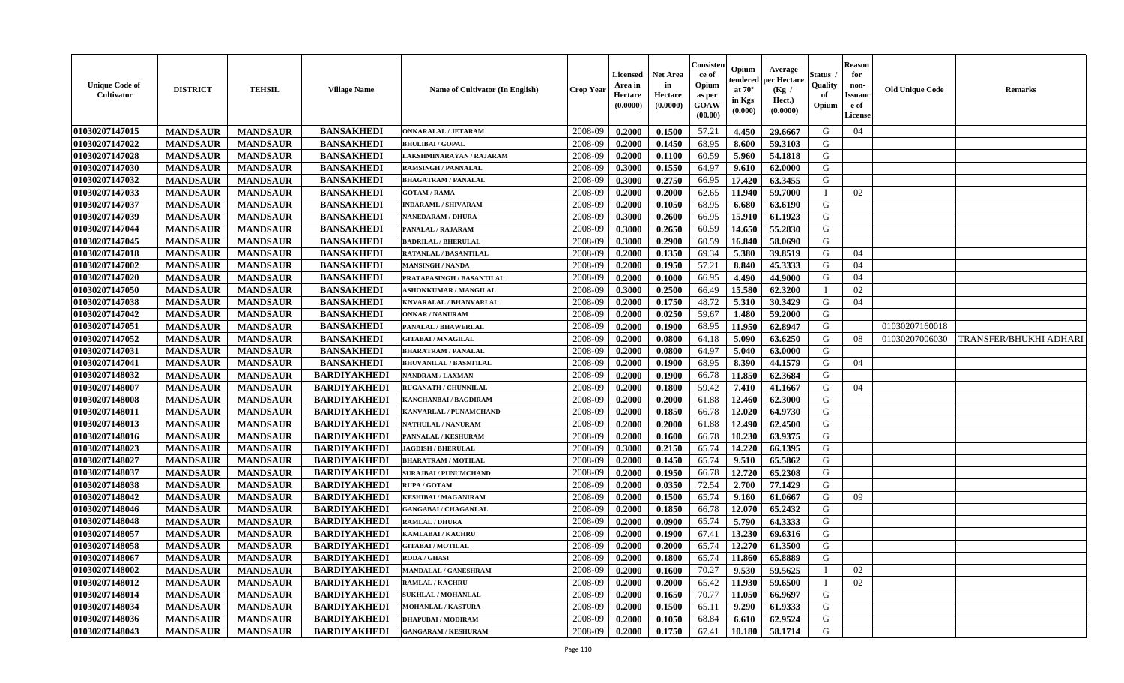| Consisten<br><b>Reason</b><br>Opium<br>Average<br><b>Net Area</b><br>Status<br>for<br>Licensed<br>ce of<br>per Hectare<br>tendered<br><b>Unique Code of</b><br>Opium<br>Quality<br>in<br>Area in<br>non-<br><b>DISTRICT</b><br><b>TEHSIL</b><br><b>Old Unique Code</b><br><b>Village Name</b><br>Name of Cultivator (In English)<br><b>Crop Year</b><br>at $70^\circ$<br>(Kg /<br><b>Cultivator</b><br>Hectare<br>Hectare<br>of<br><b>Issuand</b><br>as per<br>in Kgs<br>Hect.)<br>(0.0000)<br><b>GOAW</b><br>(0.0000)<br>Opium<br>e of<br>(0.0000)<br>$(\mathbf{0.000})$<br>(00.00)<br>License | <b>Remarks</b>         |
|-------------------------------------------------------------------------------------------------------------------------------------------------------------------------------------------------------------------------------------------------------------------------------------------------------------------------------------------------------------------------------------------------------------------------------------------------------------------------------------------------------------------------------------------------------------------------------------------------|------------------------|
| <b>BANSAKHEDI</b><br>2008-09<br>57.21<br>01030207147015<br><b>MANDSAUR</b><br>0.2000<br>0.1500<br>4.450<br>G<br><b>MANDSAUR</b><br><b>ONKARALAL / JETARAM</b><br>29.6667<br>04                                                                                                                                                                                                                                                                                                                                                                                                                  |                        |
| 01030207147022<br>68.95<br><b>BANSAKHEDI</b><br>2008-09<br>0.1450<br>59.3103<br>G<br><b>MANDSAUR</b><br><b>MANDSAUR</b><br>0.2000<br>8.600<br><b>BHULIBAI/GOPAL</b>                                                                                                                                                                                                                                                                                                                                                                                                                             |                        |
| 01030207147028<br><b>BANSAKHEDI</b><br>60.59<br>5.960<br>G<br><b>MANDSAUR</b><br><b>MANDSAUR</b><br>2008-09<br>0.2000<br>0.1100<br>54.1818<br>LAKSHMINARAYAN / RAJARAM                                                                                                                                                                                                                                                                                                                                                                                                                          |                        |
| 64.97<br>G<br>01030207147030<br><b>MANDSAUR</b><br><b>MANDSAUR</b><br><b>BANSAKHEDI</b><br>2008-09<br>0.3000<br>0.1550<br>9.610<br>62.0000<br><b>RAMSINGH / PANNALAL</b>                                                                                                                                                                                                                                                                                                                                                                                                                        |                        |
| 0.2750<br>66.95<br>17.420<br>G<br>01030207147032<br><b>MANDSAUR</b><br><b>MANDSAUR</b><br><b>BANSAKHEDI</b><br>2008-09<br>0.3000<br>63.3455<br><b>BHAGATRAM / PANALAL</b>                                                                                                                                                                                                                                                                                                                                                                                                                       |                        |
| <b>MANDSAUR</b><br><b>MANDSAUR</b><br><b>BANSAKHEDI</b><br>0.2000<br>62.65<br>11.940<br>59.7000<br>01030207147033<br>2008-09<br>0.2000<br>02<br><b>GOTAM / RAMA</b>                                                                                                                                                                                                                                                                                                                                                                                                                             |                        |
| 01030207147037<br><b>MANDSAUR</b><br><b>MANDSAUR</b><br><b>BANSAKHEDI</b><br>2008-09<br>68.95<br>6.680<br>63.6190<br>G<br>0.2000<br>0.1050<br><b>INDARAML / SHIVARAM</b>                                                                                                                                                                                                                                                                                                                                                                                                                        |                        |
| 01030207147039<br><b>BANSAKHEDI</b><br>G<br>2008-09<br>0.2600<br>66.95<br>15.910<br><b>MANDSAUR</b><br><b>MANDSAUR</b><br>0.3000<br>61.1923<br><b>NANEDARAM / DHURA</b>                                                                                                                                                                                                                                                                                                                                                                                                                         |                        |
| 01030207147044<br><b>BANSAKHEDI</b><br>2008-09<br>60.59<br>G<br><b>MANDSAUR</b><br><b>MANDSAUR</b><br>0.3000<br>0.2650<br>14.650<br>55,2830<br>PANALAL / RAJARAM                                                                                                                                                                                                                                                                                                                                                                                                                                |                        |
| 60.59<br>G<br>01030207147045<br><b>BANSAKHEDI</b><br>2008-09<br>0.2900<br>16.840<br><b>MANDSAUR</b><br><b>MANDSAUR</b><br>0.3000<br>58.0690<br><b>BADRILAL / BHERULAL</b>                                                                                                                                                                                                                                                                                                                                                                                                                       |                        |
| <b>BANSAKHEDI</b><br>0.1350<br>69.34<br>5.380<br>G<br>01030207147018<br><b>MANDSAUR</b><br><b>MANDSAUR</b><br>2008-09<br>0.2000<br>39.8519<br><b>RATANLAL / BASANTILAL</b><br>04                                                                                                                                                                                                                                                                                                                                                                                                                |                        |
| 01030207147002<br><b>MANDSAUR</b><br><b>MANDSAUR</b><br><b>BANSAKHEDI</b><br>2008-09<br>0.1950<br>57.21<br>8.840<br>45.3333<br>0.2000<br>G<br>04<br><b>MANSINGH / NANDA</b>                                                                                                                                                                                                                                                                                                                                                                                                                     |                        |
| 01030207147020<br><b>MANDSAUR</b><br><b>MANDSAUR</b><br><b>BANSAKHEDI</b><br>2008-09<br>0.2000<br>0.1000<br>66.95<br>4.490<br>44.9000<br>G<br>04<br>PRATAPASINGH / BASANTILAL                                                                                                                                                                                                                                                                                                                                                                                                                   |                        |
| 01030207147050<br><b>MANDSAUR</b><br><b>BANSAKHEDI</b><br>0.2500<br>66.49<br>15.580<br>62.3200<br><b>MANDSAUR</b><br>2008-09<br>0.3000<br>02<br>ASHOKKUMAR / MANGILAL                                                                                                                                                                                                                                                                                                                                                                                                                           |                        |
| 01030207147038<br>0.1750<br>5.310<br>30.3429<br><b>MANDSAUR</b><br><b>MANDSAUR</b><br><b>BANSAKHEDI</b><br>2008-09<br>0.2000<br>48.72<br>G<br>KNVARALAL / BHANVARLAL<br>04                                                                                                                                                                                                                                                                                                                                                                                                                      |                        |
| 0.0250<br>59.67<br>59.2000<br>01030207147042<br><b>MANDSAUR</b><br><b>MANDSAUR</b><br><b>BANSAKHEDI</b><br>2008-09<br>0.2000<br>1.480<br>G<br><b>ONKAR / NANURAM</b>                                                                                                                                                                                                                                                                                                                                                                                                                            |                        |
| <b>BANSAKHEDI</b><br>G<br>01030207147051<br><b>MANDSAUR</b><br>2008-09<br>68.95<br>11.950<br>62.8947<br>01030207160018<br><b>MANDSAUR</b><br>0.2000<br>0.1900<br>PANALAL / BHAWERLAL                                                                                                                                                                                                                                                                                                                                                                                                            |                        |
| 01030207147052<br><b>BANSAKHEDI</b><br>2008-09<br>G<br><b>MANDSAUR</b><br><b>MANDSAUR</b><br>0.2000<br>0.0800<br>64.18<br>5.090<br>63.6250<br>01030207006030<br><b>GITABAI/MNAGILAL</b><br>08                                                                                                                                                                                                                                                                                                                                                                                                   | TRANSFER/BHUKHI ADHARI |
| 01030207147031<br><b>MANDSAUR</b><br><b>MANDSAUR</b><br>2008-09<br>64.97<br>5.040<br>63.0000<br><b>BANSAKHEDI</b><br>0.2000<br>0.0800<br>G<br><b>BHARATRAM / PANALAL</b>                                                                                                                                                                                                                                                                                                                                                                                                                        |                        |
| 01030207147041<br><b>MANDSAUR</b><br><b>MANDSAUR</b><br><b>BANSAKHEDI</b><br>2008-09<br>0.2000<br>0.1900<br>68.95<br>8.390<br>G<br><b>BHUVANILAL / BASNTILAL</b><br>44.1579<br>04                                                                                                                                                                                                                                                                                                                                                                                                               |                        |
| 62.3684<br>G<br>01030207148032<br><b>MANDSAUR</b><br><b>MANDSAUR</b><br><b>BARDIYAKHEDI</b><br>2008-09<br>0.2000<br>0.1900<br>66.78<br>11.850<br>NANDRAM / LAXMAN                                                                                                                                                                                                                                                                                                                                                                                                                               |                        |
| 59.42<br>7.410<br>01030207148007<br><b>MANDSAUR</b><br><b>MANDSAUR</b><br><b>BARDIYAKHEDI</b><br>2008-09<br>0.2000<br>0.1800<br>41.1667<br>G<br><b>RUGANATH / CHUNNILAL</b><br>04                                                                                                                                                                                                                                                                                                                                                                                                               |                        |
| 01030207148008<br><b>MANDSAUR</b><br><b>MANDSAUR</b><br><b>BARDIYAKHEDI</b><br>0.2000<br>61.88<br>12.460<br>62.3000<br>G<br><b>KANCHANBAI / BAGDIRAM</b><br>2008-09<br>0.2000                                                                                                                                                                                                                                                                                                                                                                                                                   |                        |
| 01030207148011<br>2008-09<br>12.020<br>G<br><b>BARDIYAKHEDI</b><br>0.1850<br>66.78<br>64.9730<br><b>MANDSAUR</b><br><b>MANDSAUR</b><br>0.2000<br>KANVARLAL / PUNAMCHAND                                                                                                                                                                                                                                                                                                                                                                                                                         |                        |
| 01030207148013<br>12.490<br>G<br><b>MANDSAUR</b><br><b>MANDSAUR</b><br><b>BARDIYAKHEDI</b><br>2008-09<br>0.2000<br>0.2000<br>61.88<br>62.4500<br>NATHULAL / NANURAM                                                                                                                                                                                                                                                                                                                                                                                                                             |                        |
| 2008-09<br>01030207148016<br><b>MANDSAUR</b><br><b>MANDSAUR</b><br><b>BARDIYAKHEDI</b><br>0.2000<br>0.1600<br>66.78<br>10.230<br>63.9375<br>G<br>PANNALAL / KESHURAM                                                                                                                                                                                                                                                                                                                                                                                                                            |                        |
| 65.74<br>14.220<br>66.1395<br>G<br>01030207148023<br><b>MANDSAUR</b><br><b>MANDSAUR</b><br><b>BARDIYAKHEDI</b><br>2008-09<br>0.3000<br>0.2150<br><b>JAGDISH / BHERULAL</b>                                                                                                                                                                                                                                                                                                                                                                                                                      |                        |
| G<br><b>MANDSAUR</b><br><b>MANDSAUR</b><br><b>BARDIYAKHEDI</b><br>0.1450<br>65.74<br>9.510<br>65.5862<br>01030207148027<br>2008-09<br>0.2000<br><b>BHARATRAM / MOTILAL</b>                                                                                                                                                                                                                                                                                                                                                                                                                      |                        |
| 01030207148037<br><b>MANDSAUR</b><br><b>MANDSAUR</b><br><b>BARDIYAKHEDI</b><br>2008-09<br>0.1950<br>12.720<br>65.2308<br>G<br>0.2000<br>66.78<br><b>SURAJBAI / PUNUMCHAND</b>                                                                                                                                                                                                                                                                                                                                                                                                                   |                        |
| 01030207148038<br><b>MANDSAUR</b><br>2008-09<br>0.0350<br>72.54<br>2.700<br>G<br><b>MANDSAUR</b><br><b>BARDIYAKHEDI</b><br>0.2000<br>77.1429<br>RUPA / GOTAM                                                                                                                                                                                                                                                                                                                                                                                                                                    |                        |
| 01030207148042<br><b>MANDSAUR</b><br><b>MANDSAUR</b><br><b>BARDIYAKHEDI</b><br>2008-09<br>0.1500<br>65.74<br>G<br>0.2000<br>9.160<br>61.0667<br>09<br>KESHIBAI / MAGANIRAM                                                                                                                                                                                                                                                                                                                                                                                                                      |                        |
| G<br>01030207148046<br><b>BARDIYAKHEDI</b><br>2008-09<br>66.78<br>12.070<br>65.2432<br><b>MANDSAUR</b><br><b>MANDSAUR</b><br><b>GANGABAI/CHAGANLAL</b><br>0.2000<br>0.1850                                                                                                                                                                                                                                                                                                                                                                                                                      |                        |
| 01030207148048<br><b>BARDIYAKHEDI</b><br>2008-09<br>65.74<br>5.790<br>64.3333<br>G<br><b>MANDSAUR</b><br><b>MANDSAUR</b><br>0.2000<br>0.0900<br><b>RAMLAL / DHURA</b>                                                                                                                                                                                                                                                                                                                                                                                                                           |                        |
| 13.230<br>G<br>01030207148057<br><b>MANDSAUR</b><br><b>BARDIYAKHEDI</b><br>2008-09<br>67.41<br>69.6316<br><b>MANDSAUR</b><br>0.2000<br>0.1900<br>KAMLABAI / KACHRU                                                                                                                                                                                                                                                                                                                                                                                                                              |                        |
| 12.270<br>61.3500<br>G<br>2008-09<br>0.2000<br>0.2000<br>65.74<br>01030207148058<br><b>MANDSAUR</b><br><b>MANDSAUR</b><br><b>BARDIYAKHEDI</b><br><b>GITABAI/MOTILAL</b>                                                                                                                                                                                                                                                                                                                                                                                                                         |                        |
| 01030207148067<br><b>MANDSAUR</b><br><b>MANDSAUR</b><br><b>BARDIYAKHEDI</b><br><b>RODA / GHASI</b><br>2008-09<br>0.2000<br>0.1800<br>65.74<br>11.860<br>65.8889<br>G                                                                                                                                                                                                                                                                                                                                                                                                                            |                        |
| 01030207148002<br>70.27<br>9.530<br><b>MANDSAUR</b><br><b>MANDSAUR</b><br><b>BARDIYAKHEDI</b><br><b>MANDALAL / GANESHRAM</b><br>2008-09<br>0.2000<br>0.1600<br>59.5625<br>02                                                                                                                                                                                                                                                                                                                                                                                                                    |                        |
| 01030207148012<br><b>MANDSAUR</b><br>2008-09<br>0.2000<br>0.2000<br>65.42<br>11.930<br>59.6500<br>02<br><b>MANDSAUR</b><br><b>BARDIYAKHEDI</b><br><b>RAMLAL / KACHRU</b>                                                                                                                                                                                                                                                                                                                                                                                                                        |                        |
| <b>MANDSAUR</b><br><b>BARDIYAKHEDI</b><br>G<br>01030207148014<br><b>MANDSAUR</b><br>0.2000<br>0.1650<br>70.77<br>11.050<br>66.9697<br><b>SUKHLAL / MOHANLAL</b><br>2008-09                                                                                                                                                                                                                                                                                                                                                                                                                      |                        |
| G<br>01030207148034<br><b>MANDSAUR</b><br><b>MANDSAUR</b><br><b>BARDIYAKHEDI</b><br>2008-09<br>0.2000<br>0.1500<br>65.11<br>9.290<br>61.9333<br><b>MOHANLAL / KASTURA</b>                                                                                                                                                                                                                                                                                                                                                                                                                       |                        |
| 01030207148036<br><b>BARDIYAKHEDI</b><br>G<br>2008-09<br>68.84<br>62.9524<br><b>MANDSAUR</b><br><b>MANDSAUR</b><br><b>DHAPUBAI/MODIRAM</b><br>0.2000<br>0.1050<br>6.610                                                                                                                                                                                                                                                                                                                                                                                                                         |                        |
| G<br>01030207148043<br><b>BARDIYAKHEDI</b><br>2008-09<br>0.2000<br>0.1750<br>67.41<br>10.180 58.1714<br><b>MANDSAUR</b><br><b>MANDSAUR</b><br><b>GANGARAM / KESHURAM</b>                                                                                                                                                                                                                                                                                                                                                                                                                        |                        |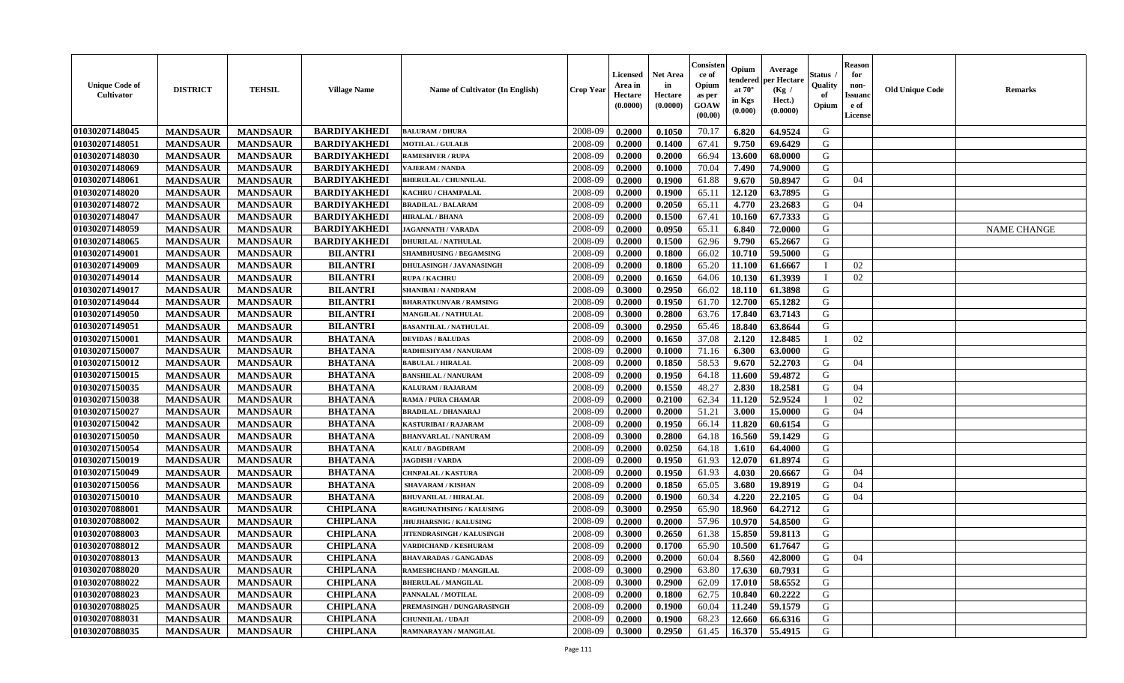| <b>Unique Code of</b><br><b>Cultivator</b> | <b>DISTRICT</b> | <b>TEHSIL</b>   | <b>Village Name</b> | Name of Cultivator (In English) | <b>Crop Year</b> | Licensed<br>Area in<br>Hectare<br>(0.0000) | <b>Net Area</b><br>in<br>Hectare<br>(0.0000) | Consisteı<br>ce of<br>Opium<br>as per<br>GOAW<br>(00.00) | Opium<br>endered<br>at $70^\circ$<br>in Kgs<br>(0.000) | Average<br>oer Hectare<br>(Kg /<br>Hect.)<br>(0.0000) | Status<br>Quality<br>of<br>Opium | <b>Reason</b><br>for<br>non-<br><b>Issuand</b><br>e of<br>License | <b>Old Unique Code</b> | <b>Remarks</b>     |
|--------------------------------------------|-----------------|-----------------|---------------------|---------------------------------|------------------|--------------------------------------------|----------------------------------------------|----------------------------------------------------------|--------------------------------------------------------|-------------------------------------------------------|----------------------------------|-------------------------------------------------------------------|------------------------|--------------------|
| 01030207148045                             | <b>MANDSAUR</b> | <b>MANDSAUR</b> | <b>BARDIYAKHEDI</b> | <b>BALURAM / DHURA</b>          | 2008-09          | 0.2000                                     | 0.1050                                       | 70.17                                                    | 6.820                                                  | 64.9524                                               | G                                |                                                                   |                        |                    |
| 01030207148051                             | <b>MANDSAUR</b> | <b>MANDSAUR</b> | <b>BARDIYAKHEDI</b> | <b>MOTILAL / GULALB</b>         | 2008-09          | 0.2000                                     | 0.1400                                       | 67.41                                                    | 9.750                                                  | 69.6429                                               | G                                |                                                                   |                        |                    |
| 01030207148030                             | <b>MANDSAUR</b> | <b>MANDSAUR</b> | <b>BARDIYAKHEDI</b> | <b>RAMESHVER / RUPA</b>         | 2008-09          | 0.2000                                     | 0.2000                                       | 66.94                                                    | 13.600                                                 | 68.0000                                               | G                                |                                                                   |                        |                    |
| 01030207148069                             | <b>MANDSAUR</b> | <b>MANDSAUR</b> | <b>BARDIYAKHEDI</b> | <b>VAJERAM / NANDA</b>          | 2008-09          | 0.2000                                     | 0.1000                                       | 70.04                                                    | 7.490                                                  | 74.9000                                               | G                                |                                                                   |                        |                    |
| 01030207148061                             | <b>MANDSAUR</b> | <b>MANDSAUR</b> | <b>BARDIYAKHEDI</b> | <b>BHERULAL / CHUNNILAL</b>     | 2008-09          | 0.2000                                     | 0.1900                                       | 61.88                                                    | 9.670                                                  | 50.8947                                               | G                                | 04                                                                |                        |                    |
| 01030207148020                             | <b>MANDSAUR</b> | <b>MANDSAUR</b> | <b>BARDIYAKHEDI</b> | KACHRU / CHAMPALAL              | 2008-09          | 0.2000                                     | 0.1900                                       | 65.11                                                    | 12.120                                                 | 63.7895                                               | G                                |                                                                   |                        |                    |
| 01030207148072                             | <b>MANDSAUR</b> | <b>MANDSAUR</b> | <b>BARDIYAKHEDI</b> | <b>BRADILAL / BALARAM</b>       | 2008-09          | 0.2000                                     | 0.2050                                       | 65.11                                                    | 4.770                                                  | 23.2683                                               | G                                | 04                                                                |                        |                    |
| 01030207148047                             | <b>MANDSAUR</b> | <b>MANDSAUR</b> | <b>BARDIYAKHEDI</b> | <b>HIRALAL / BHANA</b>          | 2008-09          | 0.2000                                     | 0.1500                                       | 67.41                                                    | 10.160                                                 | 67.7333                                               | G                                |                                                                   |                        |                    |
| 01030207148059                             | <b>MANDSAUR</b> | <b>MANDSAUR</b> | <b>BARDIYAKHEDI</b> | <b>JAGANNATH / VARADA</b>       | 2008-09          | 0.2000                                     | 0.0950                                       | 65.11                                                    | 6.840                                                  | 72.0000                                               | G                                |                                                                   |                        | <b>NAME CHANGE</b> |
| 01030207148065                             | <b>MANDSAUR</b> | <b>MANDSAUR</b> | <b>BARDIYAKHEDI</b> | <b>DHURILAL / NATHULAL</b>      | 2008-09          | 0.2000                                     | 0.1500                                       | 62.96                                                    | 9.790                                                  | 65.2667                                               | G                                |                                                                   |                        |                    |
| 01030207149001                             | <b>MANDSAUR</b> | <b>MANDSAUR</b> | <b>BILANTRI</b>     | <b>SHAMBHUSING / BEGAMSING</b>  | 2008-09          | 0.2000                                     | 0.1800                                       | 66.02                                                    | 10.710                                                 | 59.5000                                               | $\mathbf G$                      |                                                                   |                        |                    |
| 01030207149009                             | <b>MANDSAUR</b> | <b>MANDSAUR</b> | <b>BILANTRI</b>     | DHULASINGH / JAVANASINGH        | 2008-09          | 0.2000                                     | 0.1800                                       | 65.20                                                    | 11.100                                                 | 61.6667                                               | $\mathbf{I}$                     | 02                                                                |                        |                    |
| 01030207149014                             | <b>MANDSAUR</b> | <b>MANDSAUR</b> | <b>BILANTRI</b>     | <b>RUPA / KACHRU</b>            | 2008-09          | 0.2000                                     | 0.1650                                       | 64.06                                                    | 10.130                                                 | 61.3939                                               | $\mathbf I$                      | 02                                                                |                        |                    |
| 01030207149017                             | <b>MANDSAUR</b> | <b>MANDSAUR</b> | <b>BILANTRI</b>     | <b>SHANIBAI / NANDRAM</b>       | 2008-09          | 0.3000                                     | 0.2950                                       | 66.02                                                    | 18.110                                                 | 61.3898                                               | G                                |                                                                   |                        |                    |
| 01030207149044                             | <b>MANDSAUR</b> | <b>MANDSAUR</b> | <b>BILANTRI</b>     | <b>BHARATKUNVAR / RAMSING</b>   | 2008-09          | 0.2000                                     | 0.1950                                       | 61.70                                                    | 12.700                                                 | 65.1282                                               | G                                |                                                                   |                        |                    |
| 01030207149050                             | <b>MANDSAUR</b> | <b>MANDSAUR</b> | <b>BILANTRI</b>     | MANGILAL / NATHULAL             | 2008-09          | 0.3000                                     | 0.2800                                       | 63.76                                                    | 17.840                                                 | 63.7143                                               | G                                |                                                                   |                        |                    |
| 01030207149051                             | <b>MANDSAUR</b> | <b>MANDSAUR</b> | <b>BILANTRI</b>     | <b>BASANTILAL / NATHULAL</b>    | 2008-09          | 0.3000                                     | 0.2950                                       | 65.46                                                    | 18.840                                                 | 63.8644                                               | G                                |                                                                   |                        |                    |
| 01030207150001                             | <b>MANDSAUR</b> | <b>MANDSAUR</b> | <b>BHATANA</b>      | <b>DEVIDAS / BALUDAS</b>        | 2008-09          | 0.2000                                     | 0.1650                                       | 37.08                                                    | 2.120                                                  | 12.8485                                               | $\mathbf{I}$                     | 02                                                                |                        |                    |
| 01030207150007                             | <b>MANDSAUR</b> | <b>MANDSAUR</b> | <b>BHATANA</b>      | RADHESHYAM / NANURAM            | 2008-09          | 0.2000                                     | 0.1000                                       | 71.16                                                    | 6.300                                                  | 63.0000                                               | G                                |                                                                   |                        |                    |
| 01030207150012                             | <b>MANDSAUR</b> | <b>MANDSAUR</b> | <b>BHATANA</b>      | <b>BABULAL / HIRALAL</b>        | 2008-09          | 0.2000                                     | 0.1850                                       | 58.53                                                    | 9.670                                                  | 52.2703                                               | G                                | 04                                                                |                        |                    |
| 01030207150015                             | <b>MANDSAUR</b> | <b>MANDSAUR</b> | <b>BHATANA</b>      | <b>BANSHILAL / NANURAM</b>      | 2008-09          | 0.2000                                     | 0.1950                                       | 64.18                                                    | 11.600                                                 | 59.4872                                               | G                                |                                                                   |                        |                    |
| 01030207150035                             | <b>MANDSAUR</b> | <b>MANDSAUR</b> | <b>BHATANA</b>      | <b>KALURAM / RAJARAM</b>        | 2008-09          | 0.2000                                     | 0.1550                                       | 48.27                                                    | 2.830                                                  | 18.2581                                               | G                                | 04                                                                |                        |                    |
| 01030207150038                             | <b>MANDSAUR</b> | <b>MANDSAUR</b> | <b>BHATANA</b>      | <b>RAMA / PURA CHAMAR</b>       | 2008-09          | 0.2000                                     | 0.2100                                       | 62.34                                                    | 11.120                                                 | 52.9524                                               |                                  | 02                                                                |                        |                    |
| 01030207150027                             | <b>MANDSAUR</b> | <b>MANDSAUR</b> | <b>BHATANA</b>      | <b>BRADILAL / DHANARAJ</b>      | 2008-09          | 0.2000                                     | 0.2000                                       | 51.21                                                    | 3.000                                                  | 15.0000                                               | G                                | 04                                                                |                        |                    |
| 01030207150042                             | <b>MANDSAUR</b> | <b>MANDSAUR</b> | <b>BHATANA</b>      | <b>KASTURIBAI/RAJARAM</b>       | 2008-09          | 0.2000                                     | 0.1950                                       | 66.14                                                    | 11.820                                                 | 60.6154                                               | G                                |                                                                   |                        |                    |
| 01030207150050                             | <b>MANDSAUR</b> | <b>MANDSAUR</b> | <b>BHATANA</b>      | <b>BHANVARLAL / NANURAM</b>     | 2008-09          | 0.3000                                     | 0.2800                                       | 64.18                                                    | 16.560                                                 | 59.1429                                               | G                                |                                                                   |                        |                    |
| 01030207150054                             | <b>MANDSAUR</b> | <b>MANDSAUR</b> | <b>BHATANA</b>      | <b>KALU / BAGDIRAM</b>          | 2008-09          | 0.2000                                     | 0.0250                                       | 64.18                                                    | 1.610                                                  | 64.4000                                               | G                                |                                                                   |                        |                    |
| 01030207150019                             | <b>MANDSAUR</b> | <b>MANDSAUR</b> | <b>BHATANA</b>      | <b>JAGDISH / VARDA</b>          | 2008-09          | 0.2000                                     | 0.1950                                       | 61.93                                                    | 12.070                                                 | 61.8974                                               | G                                |                                                                   |                        |                    |
| 01030207150049                             | <b>MANDSAUR</b> | <b>MANDSAUR</b> | <b>BHATANA</b>      | <b>CHNPALAL / KASTURA</b>       | 2008-09          | 0.2000                                     | 0.1950                                       | 61.93                                                    | 4.030                                                  | 20.6667                                               | G                                | 04                                                                |                        |                    |
| 01030207150056                             | <b>MANDSAUR</b> | <b>MANDSAUR</b> | <b>BHATANA</b>      | <b>SHAVARAM / KISHAN</b>        | 2008-09          | 0.2000                                     | 0.1850                                       | 65.05                                                    | 3.680                                                  | 19.8919                                               | G                                | 04                                                                |                        |                    |
| 01030207150010                             | <b>MANDSAUR</b> | <b>MANDSAUR</b> | <b>BHATANA</b>      | <b>BHUVANILAL / HIRALAL</b>     | 2008-09          | 0.2000                                     | 0.1900                                       | 60.34                                                    | 4.220                                                  | 22.2105                                               | G                                | 04                                                                |                        |                    |
| 01030207088001                             | <b>MANDSAUR</b> | <b>MANDSAUR</b> | <b>CHIPLANA</b>     | RAGHUNATHSING / KALUSING        | 2008-09          | 0.3000                                     | 0.2950                                       | 65.90                                                    | 18.960                                                 | 64.2712                                               | G                                |                                                                   |                        |                    |
| 01030207088002                             | <b>MANDSAUR</b> | <b>MANDSAUR</b> | <b>CHIPLANA</b>     | <b>JHUJHARSNIG / KALUSING</b>   | 2008-09          | 0.2000                                     | 0.2000                                       | 57.96                                                    | 10.970                                                 | 54.8500                                               | G                                |                                                                   |                        |                    |
| 01030207088003                             | <b>MANDSAUR</b> | <b>MANDSAUR</b> | <b>CHIPLANA</b>     | JITENDRASINGH / KALUSINGH       | 2008-09          | 0.3000                                     | 0.2650                                       | 61.38                                                    | 15.850                                                 | 59.8113                                               | G                                |                                                                   |                        |                    |
| 01030207088012                             | <b>MANDSAUR</b> | <b>MANDSAUR</b> | <b>CHIPLANA</b>     | VARDICHAND / KESHURAM           | 2008-09          | 0.2000                                     | 0.1700                                       | 65.90                                                    | 10.500                                                 | 61.7647                                               | G                                |                                                                   |                        |                    |
| 01030207088013                             | <b>MANDSAUR</b> | <b>MANDSAUR</b> | <b>CHIPLANA</b>     | <b>BHAVARADAS / GANGADAS</b>    | 2008-09          | 0.2000                                     | 0.2000                                       | 60.04                                                    | 8.560                                                  | 42.8000                                               | G                                | 04                                                                |                        |                    |
| 01030207088020                             | <b>MANDSAUR</b> | <b>MANDSAUR</b> | <b>CHIPLANA</b>     | RAMESHCHAND / MANGILAL          | 2008-09          | 0.3000                                     | 0.2900                                       | 63.80                                                    | 17.630                                                 | 60.7931                                               | G                                |                                                                   |                        |                    |
| 01030207088022                             | <b>MANDSAUR</b> | <b>MANDSAUR</b> | <b>CHIPLANA</b>     | <b>BHERULAL / MANGILAI</b>      | 2008-09          | 0.3000                                     | 0.2900                                       | 62.09                                                    | 17.010                                                 | 58.6552                                               | G                                |                                                                   |                        |                    |
| 01030207088023                             | <b>MANDSAUR</b> | <b>MANDSAUR</b> | <b>CHIPLANA</b>     | PANNALAL / MOTILAL              | 2008-09          | 0.2000                                     | 0.1800                                       | 62.75                                                    | 10.840                                                 | 60.2222                                               | G                                |                                                                   |                        |                    |
| 01030207088025                             | <b>MANDSAUR</b> | <b>MANDSAUR</b> | <b>CHIPLANA</b>     | PREMASINGH / DUNGARASINGH       | 2008-09          | 0.2000                                     | 0.1900                                       | 60.04                                                    | 11.240                                                 | 59.1579                                               | G                                |                                                                   |                        |                    |
| 01030207088031                             | <b>MANDSAUR</b> | <b>MANDSAUR</b> | <b>CHIPLANA</b>     | <b>CHUNNILAL / UDAJI</b>        | 2008-09          | 0.2000                                     | 0.1900                                       | 68.23                                                    | 12.660                                                 | 66.6316                                               | G                                |                                                                   |                        |                    |
| 01030207088035                             | <b>MANDSAUR</b> | <b>MANDSAUR</b> | <b>CHIPLANA</b>     | RAMNARAYAN / MANGILAL           | 2008-09          | 0.3000                                     | 0.2950                                       | 61.45                                                    | 16.370                                                 | 55.4915                                               | G                                |                                                                   |                        |                    |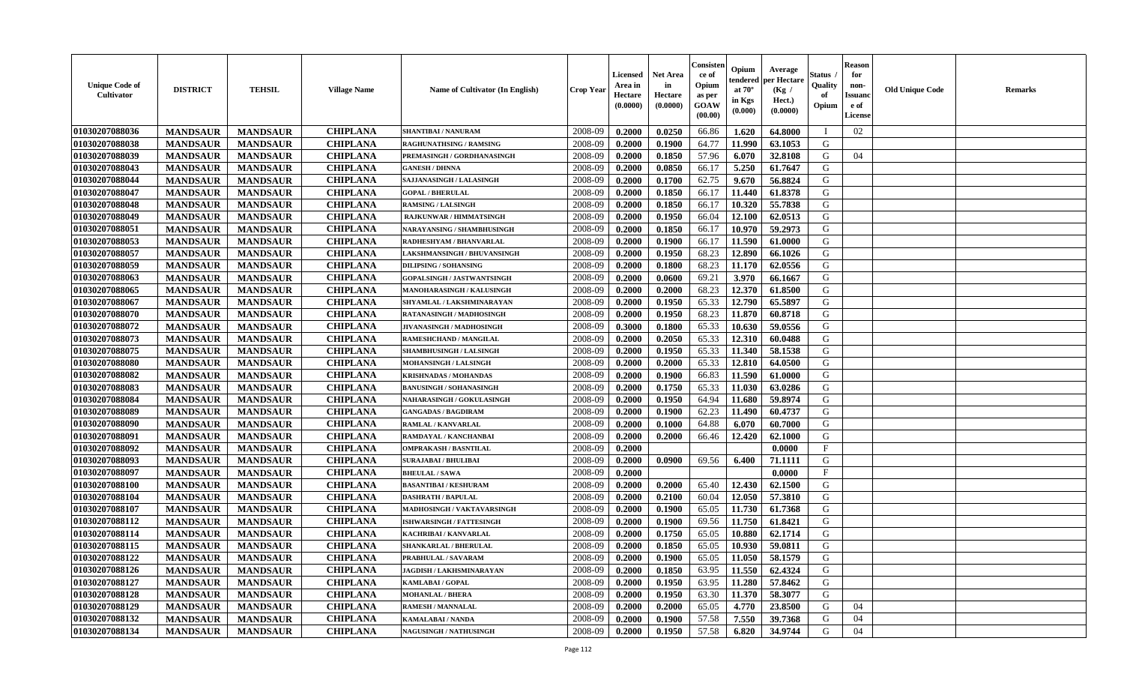| <b>Unique Code of</b><br><b>Cultivator</b> | <b>DISTRICT</b> | <b>TEHSIL</b>   | <b>Village Name</b> | Name of Cultivator (In English)   | <b>Crop Year</b> | <b>Licensed</b><br>Area in<br>Hectare<br>(0.0000) | <b>Net Area</b><br>in<br>Hectare<br>(0.0000) | Consister<br>ce of<br>Opium<br>as per<br>GOAW<br>(00.00) | Opium<br>endered<br>at $70^{\circ}$<br>in Kgs<br>(0.000) | Average<br>per Hectare<br>(Kg /<br>Hect.)<br>(0.0000) | Status<br>Quality<br>of<br>Opium | <b>Reason</b><br>for<br>non-<br><b>Issuand</b><br>e of<br>License | <b>Old Unique Code</b> | <b>Remarks</b> |
|--------------------------------------------|-----------------|-----------------|---------------------|-----------------------------------|------------------|---------------------------------------------------|----------------------------------------------|----------------------------------------------------------|----------------------------------------------------------|-------------------------------------------------------|----------------------------------|-------------------------------------------------------------------|------------------------|----------------|
| 01030207088036                             | <b>MANDSAUR</b> | <b>MANDSAUR</b> | <b>CHIPLANA</b>     | <b>SHANTIBAI / NANURAM</b>        | 2008-09          | 0.2000                                            | 0.0250                                       | 66.86                                                    | 1.620                                                    | 64.8000                                               | - 1                              | 02                                                                |                        |                |
| 01030207088038                             | <b>MANDSAUR</b> | <b>MANDSAUR</b> | <b>CHIPLANA</b>     | RAGHUNATHSING / RAMSING           | 2008-09          | 0.2000                                            | 0.1900                                       | 64.77                                                    | 11.990                                                   | 63.1053                                               | G                                |                                                                   |                        |                |
| 01030207088039                             | <b>MANDSAUR</b> | <b>MANDSAUR</b> | <b>CHIPLANA</b>     | PREMASINGH / GORDHANASINGH        | 2008-09          | 0.2000                                            | 0.1850                                       | 57.96                                                    | 6.070                                                    | 32.8108                                               | G                                | 04                                                                |                        |                |
| 01030207088043                             | <b>MANDSAUR</b> | <b>MANDSAUR</b> | <b>CHIPLANA</b>     | <b>GANESH / DHNNA</b>             | 2008-09          | 0.2000                                            | 0.0850                                       | 66.17                                                    | 5.250                                                    | 61.7647                                               | G                                |                                                                   |                        |                |
| 01030207088044                             | <b>MANDSAUR</b> | <b>MANDSAUR</b> | <b>CHIPLANA</b>     | SAJJANASINGH / LALASINGH          | 2008-09          | 0.2000                                            | 0.1700                                       | 62.75                                                    | 9.670                                                    | 56.8824                                               | G                                |                                                                   |                        |                |
| 01030207088047                             | <b>MANDSAUR</b> | <b>MANDSAUR</b> | <b>CHIPLANA</b>     | <b>GOPAL / BHERULAL</b>           | 2008-09          | 0.2000                                            | 0.1850                                       | 66.17                                                    | 11.440                                                   | 61.8378                                               | G                                |                                                                   |                        |                |
| 01030207088048                             | <b>MANDSAUR</b> | <b>MANDSAUR</b> | <b>CHIPLANA</b>     | <b>RAMSING / LALSINGH</b>         | 2008-09          | 0.2000                                            | 0.1850                                       | 66.17                                                    | 10.320                                                   | 55.7838                                               | ${\bf G}$                        |                                                                   |                        |                |
| 01030207088049                             | <b>MANDSAUR</b> | <b>MANDSAUR</b> | <b>CHIPLANA</b>     | RAJKUNWAR / HIMMATSINGH           | 2008-09          | 0.2000                                            | 0.1950                                       | 66.04                                                    | 12.100                                                   | 62.0513                                               | G                                |                                                                   |                        |                |
| 01030207088051                             | <b>MANDSAUR</b> | <b>MANDSAUR</b> | <b>CHIPLANA</b>     | NARAYANSING / SHAMBHUSINGH        | 2008-09          | 0.2000                                            | 0.1850                                       | 66.17                                                    | 10.970                                                   | 59.2973                                               | G                                |                                                                   |                        |                |
| 01030207088053                             | <b>MANDSAUR</b> | <b>MANDSAUR</b> | <b>CHIPLANA</b>     | RADHESHYAM / BHANVARLAL           | 2008-09          | 0.2000                                            | 0.1900                                       | 66.17                                                    | 11.590                                                   | 61.0000                                               | G                                |                                                                   |                        |                |
| 01030207088057                             | <b>MANDSAUR</b> | <b>MANDSAUR</b> | <b>CHIPLANA</b>     | LAKSHMANSINGH / BHUVANSINGH       | 2008-09          | 0.2000                                            | 0.1950                                       | 68.23                                                    | 12.890                                                   | 66.1026                                               | G                                |                                                                   |                        |                |
| 01030207088059                             | <b>MANDSAUR</b> | <b>MANDSAUR</b> | <b>CHIPLANA</b>     | <b>DILIPSING / SOHANSING</b>      | 2008-09          | 0.2000                                            | 0.1800                                       | 68.23                                                    | 11.170                                                   | 62.0556                                               | G                                |                                                                   |                        |                |
| 01030207088063                             | <b>MANDSAUR</b> | <b>MANDSAUR</b> | <b>CHIPLANA</b>     | <b>GOPALSINGH / JASTWANTSINGH</b> | 2008-09          | 0.2000                                            | 0.0600                                       | 69.21                                                    | 3.970                                                    | 66.1667                                               | G                                |                                                                   |                        |                |
| 01030207088065                             | <b>MANDSAUR</b> | <b>MANDSAUR</b> | <b>CHIPLANA</b>     | <b>MANOHARASINGH / KALUSINGH</b>  | 2008-09          | 0.2000                                            | 0.2000                                       | 68.23                                                    | 12.370                                                   | 61.8500                                               | G                                |                                                                   |                        |                |
| 01030207088067                             | <b>MANDSAUR</b> | <b>MANDSAUR</b> | <b>CHIPLANA</b>     | SHYAMLAL / LAKSHMINARAYAN         | 2008-09          | 0.2000                                            | 0.1950                                       | 65.33                                                    | 12.790                                                   | 65.5897                                               | G                                |                                                                   |                        |                |
| 01030207088070                             | <b>MANDSAUR</b> | <b>MANDSAUR</b> | <b>CHIPLANA</b>     | RATANASINGH / MADHOSINGH          | 2008-09          | 0.2000                                            | 0.1950                                       | 68.23                                                    | 11.870                                                   | 60.8718                                               | G                                |                                                                   |                        |                |
| 01030207088072                             | <b>MANDSAUR</b> | <b>MANDSAUR</b> | <b>CHIPLANA</b>     | JIVANASINGH / MADHOSINGH          | 2008-09          | 0.3000                                            | 0.1800                                       | 65.33                                                    | 10.630                                                   | 59.0556                                               | G                                |                                                                   |                        |                |
| 01030207088073                             | <b>MANDSAUR</b> | <b>MANDSAUR</b> | <b>CHIPLANA</b>     | RAMESHCHAND / MANGILAL            | 2008-09          | 0.2000                                            | 0.2050                                       | 65.33                                                    | 12.310                                                   | 60.0488                                               | G                                |                                                                   |                        |                |
| 01030207088075                             | <b>MANDSAUR</b> | <b>MANDSAUR</b> | <b>CHIPLANA</b>     | <b>SHAMBHUSINGH / LALSINGH</b>    | 2008-09          | 0.2000                                            | 0.1950                                       | 65.33                                                    | 11.340                                                   | 58.1538                                               | G                                |                                                                   |                        |                |
| 01030207088080                             | <b>MANDSAUR</b> | <b>MANDSAUR</b> | <b>CHIPLANA</b>     | MOHANSINGH / LALSINGH             | 2008-09          | 0.2000                                            | 0.2000                                       | 65.33                                                    | 12.810                                                   | 64.0500                                               | G                                |                                                                   |                        |                |
| 01030207088082                             | <b>MANDSAUR</b> | <b>MANDSAUR</b> | <b>CHIPLANA</b>     | <b>KRISHNADAS / MOHANDAS</b>      | 2008-09          | 0.2000                                            | 0.1900                                       | 66.83                                                    | 11.590                                                   | 61.0000                                               | G                                |                                                                   |                        |                |
| 01030207088083                             | <b>MANDSAUR</b> | <b>MANDSAUR</b> | <b>CHIPLANA</b>     | <b>BANUSINGH / SOHANASINGH</b>    | 2008-09          | 0.2000                                            | 0.1750                                       | 65.33                                                    | 11.030                                                   | 63.0286                                               | G                                |                                                                   |                        |                |
| 01030207088084                             | <b>MANDSAUR</b> | <b>MANDSAUR</b> | <b>CHIPLANA</b>     | <b>NAHARASINGH / GOKULASINGH</b>  | 2008-09          | 0.2000                                            | 0.1950                                       | 64.94                                                    | 11.680                                                   | 59.8974                                               | G                                |                                                                   |                        |                |
| 01030207088089                             | <b>MANDSAUR</b> | <b>MANDSAUR</b> | <b>CHIPLANA</b>     | <b>GANGADAS / BAGDIRAM</b>        | 2008-09          | 0.2000                                            | 0.1900                                       | 62.23                                                    | 11.490                                                   | 60.4737                                               | G                                |                                                                   |                        |                |
| 01030207088090                             | <b>MANDSAUR</b> | <b>MANDSAUR</b> | <b>CHIPLANA</b>     | RAMLAL / KANVARLAL                | 2008-09          | 0.2000                                            | 0.1000                                       | 64.88                                                    | 6.070                                                    | 60.7000                                               | G                                |                                                                   |                        |                |
| 01030207088091                             | <b>MANDSAUR</b> | <b>MANDSAUR</b> | <b>CHIPLANA</b>     | RAMDAYAL / KANCHANBAI             | 2008-09          | 0.2000                                            | 0.2000                                       | 66.46                                                    | 12.420                                                   | 62.1000                                               | G                                |                                                                   |                        |                |
| 01030207088092                             | <b>MANDSAUR</b> | <b>MANDSAUR</b> | <b>CHIPLANA</b>     | <b>OMPRAKASH / BASNTILAL</b>      | 2008-09          | 0.2000                                            |                                              |                                                          |                                                          | 0.0000                                                | $\mathbf{F}$                     |                                                                   |                        |                |
| 01030207088093                             | <b>MANDSAUR</b> | <b>MANDSAUR</b> | <b>CHIPLANA</b>     | <b>SURAJABAI / BHULIBAI</b>       | 2008-09          | 0.2000                                            | 0.0900                                       | 69.56                                                    | 6.400                                                    | 71.1111                                               | G                                |                                                                   |                        |                |
| 01030207088097                             | <b>MANDSAUR</b> | <b>MANDSAUR</b> | <b>CHIPLANA</b>     | <b>BHEULAL / SAWA</b>             | 2008-09          | 0.2000                                            |                                              |                                                          |                                                          | 0.0000                                                | $\mathbf{F}$                     |                                                                   |                        |                |
| 01030207088100                             | <b>MANDSAUR</b> | <b>MANDSAUR</b> | <b>CHIPLANA</b>     | <b>BASANTIBAI / KESHURAM</b>      | 2008-09          | 0.2000                                            | 0.2000                                       | 65.40                                                    | 12.430                                                   | 62.1500                                               | G                                |                                                                   |                        |                |
| 01030207088104                             | <b>MANDSAUR</b> | <b>MANDSAUR</b> | <b>CHIPLANA</b>     | <b>DASHRATH / BAPULAL</b>         | 2008-09          | 0.2000                                            | 0.2100                                       | 60.04                                                    | 12.050                                                   | 57.3810                                               | ${\bf G}$                        |                                                                   |                        |                |
| 01030207088107                             | <b>MANDSAUR</b> | <b>MANDSAUR</b> | <b>CHIPLANA</b>     | MADHOSINGH / VAKTAVARSINGH        | 2008-09          | 0.2000                                            | 0.1900                                       | 65.05                                                    | 11.730                                                   | 61.7368                                               | G                                |                                                                   |                        |                |
| 01030207088112                             | <b>MANDSAUR</b> | <b>MANDSAUR</b> | <b>CHIPLANA</b>     | <b>ISHWARSINGH / FATTESINGH</b>   | 2008-09          | 0.2000                                            | 0.1900                                       | 69.56                                                    | 11.750                                                   | 61.8421                                               | G                                |                                                                   |                        |                |
| 01030207088114                             | <b>MANDSAUR</b> | <b>MANDSAUR</b> | <b>CHIPLANA</b>     | KACHRIBAI / KANVARLAL             | 2008-09          | 0.2000                                            | 0.1750                                       | 65.05                                                    | 10.880                                                   | 62.1714                                               | G                                |                                                                   |                        |                |
| 01030207088115                             | <b>MANDSAUR</b> | <b>MANDSAUR</b> | <b>CHIPLANA</b>     | SHANKARLAL / BHERULAL             | 2008-09          | 0.2000                                            | 0.1850                                       | 65.05                                                    | 10.930                                                   | 59.0811                                               | G                                |                                                                   |                        |                |
| 01030207088122                             | <b>MANDSAUR</b> | <b>MANDSAUR</b> | <b>CHIPLANA</b>     | PRABHULAL / SAVARAM               | 2008-09          | 0.2000                                            | 0.1900                                       | 65.05                                                    | 11.050                                                   | 58.1579                                               | G                                |                                                                   |                        |                |
| 01030207088126                             | <b>MANDSAUR</b> | <b>MANDSAUR</b> | <b>CHIPLANA</b>     | <b>JAGDISH / LAKHSMINARAYAN</b>   | 2008-09          | 0.2000                                            | 0.1850                                       | 63.95                                                    | 11.550                                                   | 62.4324                                               | G                                |                                                                   |                        |                |
| 01030207088127                             | <b>MANDSAUR</b> | <b>MANDSAUR</b> | <b>CHIPLANA</b>     | KAMLABAI / GOPAL                  | 2008-09          | 0.2000                                            | 0.1950                                       | 63.95                                                    | 11.280                                                   | 57.8462                                               | G                                |                                                                   |                        |                |
| 01030207088128                             | <b>MANDSAUR</b> | <b>MANDSAUR</b> | <b>CHIPLANA</b>     | <b>MOHANLAL / BHERA</b>           | 2008-09          | 0.2000                                            | 0.1950                                       | 63.30                                                    | 11.370                                                   | 58.3077                                               | ${\bf G}$                        |                                                                   |                        |                |
| 01030207088129                             | <b>MANDSAUR</b> | <b>MANDSAUR</b> | <b>CHIPLANA</b>     | <b>RAMESH / MANNALAL</b>          | 2008-09          | 0.2000                                            | 0.2000                                       | 65.05                                                    | 4.770                                                    | 23.8500                                               | G                                | 04                                                                |                        |                |
| 01030207088132                             | <b>MANDSAUR</b> | <b>MANDSAUR</b> | <b>CHIPLANA</b>     | <b>KAMALABAI/NANDA</b>            | 2008-09          | 0.2000                                            | 0.1900                                       | 57.58                                                    | 7.550                                                    | 39.7368                                               | G                                | 04                                                                |                        |                |
| 01030207088134                             | <b>MANDSAUR</b> | <b>MANDSAUR</b> | <b>CHIPLANA</b>     | <b>NAGUSINGH / NATHUSINGH</b>     | 2008-09          | 0.2000                                            | 0.1950                                       | 57.58                                                    | 6.820                                                    | 34.9744                                               | G                                | 04                                                                |                        |                |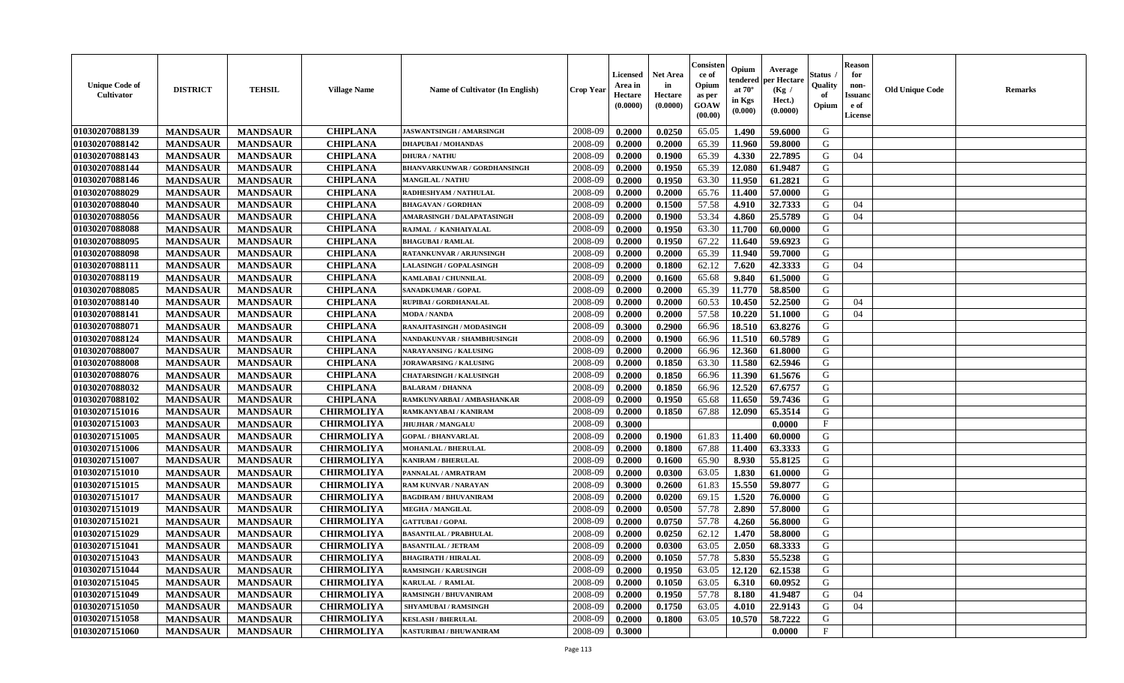| <b>Unique Code of</b><br><b>Cultivator</b> | <b>DISTRICT</b> | <b>TEHSIL</b>   | <b>Village Name</b> | <b>Name of Cultivator (In English)</b> | <b>Crop Year</b> | <b>Licensed</b><br>Area in<br>Hectare<br>(0.0000) | <b>Net Area</b><br>in<br>Hectare<br>(0.0000) | Consister<br>ce of<br>Opium<br>as per<br><b>GOAW</b><br>(00.00) | Opium<br>endered<br>at $70^\circ$<br>in Kgs<br>$(\mathbf{0.000})$ | Average<br>per Hectare<br>(Kg)<br>Hect.)<br>(0.0000) | Status<br>Quality<br>of<br>Opium | Reason<br>for<br>non-<br>Issuan<br>e of<br><b>License</b> | <b>Old Unique Code</b> | <b>Remarks</b> |
|--------------------------------------------|-----------------|-----------------|---------------------|----------------------------------------|------------------|---------------------------------------------------|----------------------------------------------|-----------------------------------------------------------------|-------------------------------------------------------------------|------------------------------------------------------|----------------------------------|-----------------------------------------------------------|------------------------|----------------|
| 01030207088139                             | <b>MANDSAUR</b> | <b>MANDSAUR</b> | <b>CHIPLANA</b>     | JASWANTSINGH / AMARSINGH               | 2008-09          | 0.2000                                            | 0.0250                                       | 65.05                                                           | 1.490                                                             | 59.6000                                              | G                                |                                                           |                        |                |
| 01030207088142                             | <b>MANDSAUR</b> | <b>MANDSAUR</b> | <b>CHIPLANA</b>     | <b>DHAPUBAI/MOHANDAS</b>               | 2008-09          | 0.2000                                            | 0.2000                                       | 65.39                                                           | 11.960                                                            | 59.8000                                              | G                                |                                                           |                        |                |
| 01030207088143                             | <b>MANDSAUR</b> | <b>MANDSAUR</b> | <b>CHIPLANA</b>     | <b>DHURA / NATHU</b>                   | 2008-09          | 0.2000                                            | 0.1900                                       | 65.39                                                           | 4.330                                                             | 22.7895                                              | G                                | 04                                                        |                        |                |
| 01030207088144                             | <b>MANDSAUR</b> | <b>MANDSAUR</b> | <b>CHIPLANA</b>     | <b>BHANVARKUNWAR / GORDHANSINGH</b>    | 2008-09          | 0.2000                                            | 0.1950                                       | 65.39                                                           | 12.080                                                            | 61.9487                                              | G                                |                                                           |                        |                |
| 01030207088146                             | <b>MANDSAUR</b> | <b>MANDSAUR</b> | <b>CHIPLANA</b>     | <b>MANGILAL / NATHU</b>                | 2008-09          | 0.2000                                            | 0.1950                                       | 63.30                                                           | 11.950                                                            | 61.2821                                              | G                                |                                                           |                        |                |
| 01030207088029                             | <b>MANDSAUR</b> | <b>MANDSAUR</b> | <b>CHIPLANA</b>     | RADHESHYAM / NATHULAL                  | 2008-09          | 0.2000                                            | 0.2000                                       | 65.76                                                           | 11.400                                                            | 57.0000                                              | G                                |                                                           |                        |                |
| 01030207088040                             | <b>MANDSAUR</b> | <b>MANDSAUR</b> | <b>CHIPLANA</b>     | <b>BHAGAVAN / GORDHAN</b>              | 2008-09          | 0.2000                                            | 0.1500                                       | 57.58                                                           | 4.910                                                             | 32.7333                                              | G                                | 04                                                        |                        |                |
| 01030207088056                             | <b>MANDSAUR</b> | <b>MANDSAUR</b> | <b>CHIPLANA</b>     | AMARASINGH / DALAPATASINGH             | 2008-09          | 0.2000                                            | 0.1900                                       | 53.34                                                           | 4.860                                                             | 25.5789                                              | G                                | 04                                                        |                        |                |
| 01030207088088                             | <b>MANDSAUR</b> | <b>MANDSAUR</b> | <b>CHIPLANA</b>     | RAJMAL / KANHAIYALAL                   | 2008-09          | 0.2000                                            | 0.1950                                       | 63.30                                                           | 11.700                                                            | 60.0000                                              | G                                |                                                           |                        |                |
| 01030207088095                             | <b>MANDSAUR</b> | <b>MANDSAUR</b> | <b>CHIPLANA</b>     | <b>BHAGUBAI/RAMLAL</b>                 | 2008-09          | 0.2000                                            | 0.1950                                       | 67.22                                                           | 11.640                                                            | 59.6923                                              | G                                |                                                           |                        |                |
| 01030207088098                             | <b>MANDSAUR</b> | <b>MANDSAUR</b> | <b>CHIPLANA</b>     | RATANKUNVAR / ARJUNSINGH               | 2008-09          | 0.2000                                            | 0.2000                                       | 65.39                                                           | 11.940                                                            | 59.7000                                              | G                                |                                                           |                        |                |
| 01030207088111                             | <b>MANDSAUR</b> | <b>MANDSAUR</b> | <b>CHIPLANA</b>     | <b>LALASINGH / GOPALASINGH</b>         | 2008-09          | 0.2000                                            | 0.1800                                       | 62.12                                                           | 7.620                                                             | 42.3333                                              | G                                | 04                                                        |                        |                |
| 01030207088119                             | <b>MANDSAUR</b> | <b>MANDSAUR</b> | <b>CHIPLANA</b>     | KAMLABAI / CHUNNILAL                   | 2008-09          | 0.2000                                            | 0.1600                                       | 65.68                                                           | 9.840                                                             | 61.5000                                              | G                                |                                                           |                        |                |
| 01030207088085                             | <b>MANDSAUR</b> | <b>MANDSAUR</b> | <b>CHIPLANA</b>     | SANADKUMAR / GOPAL                     | 2008-09          | 0.2000                                            | 0.2000                                       | 65.39                                                           | 11.770                                                            | 58.8500                                              | G                                |                                                           |                        |                |
| 01030207088140                             | <b>MANDSAUR</b> | <b>MANDSAUR</b> | <b>CHIPLANA</b>     | RUPIBAI / GORDHANALAL                  | 2008-09          | 0.2000                                            | 0.2000                                       | 60.53                                                           | 10.450                                                            | 52.2500                                              | G                                | 04                                                        |                        |                |
| 01030207088141                             | <b>MANDSAUR</b> | <b>MANDSAUR</b> | <b>CHIPLANA</b>     | <b>MODA / NANDA</b>                    | 2008-09          | 0.2000                                            | 0.2000                                       | 57.58                                                           | 10.220                                                            | 51.1000                                              | G                                | 04                                                        |                        |                |
| 01030207088071                             | <b>MANDSAUR</b> | <b>MANDSAUR</b> | <b>CHIPLANA</b>     | RANAJITASINGH / MODASINGH              | 2008-09          | 0.3000                                            | 0.2900                                       | 66.96                                                           | 18.510                                                            | 63.8276                                              | G                                |                                                           |                        |                |
| 01030207088124                             | <b>MANDSAUR</b> | <b>MANDSAUR</b> | <b>CHIPLANA</b>     | NANDAKUNVAR / SHAMBHUSINGH             | 2008-09          | 0.2000                                            | 0.1900                                       | 66.96                                                           | 11.510                                                            | 60.5789                                              | G                                |                                                           |                        |                |
| 01030207088007                             | <b>MANDSAUR</b> | <b>MANDSAUR</b> | <b>CHIPLANA</b>     | <b>NARAYANSING / KALUSING</b>          | 2008-09          | 0.2000                                            | 0.2000                                       | 66.96                                                           | 12.360                                                            | 61.8000                                              | G                                |                                                           |                        |                |
| 01030207088008                             | <b>MANDSAUR</b> | <b>MANDSAUR</b> | <b>CHIPLANA</b>     | <b>JORAWARSING / KALUSING</b>          | 2008-09          | 0.2000                                            | 0.1850                                       | 63.30                                                           | 11.580                                                            | 62.5946                                              | G                                |                                                           |                        |                |
| 01030207088076                             | <b>MANDSAUR</b> | <b>MANDSAUR</b> | <b>CHIPLANA</b>     | <b>CHATARSINGH / KALUSINGH</b>         | 2008-09          | 0.2000                                            | 0.1850                                       | 66.96                                                           | 11.390                                                            | 61.5676                                              | G                                |                                                           |                        |                |
| 01030207088032                             | <b>MANDSAUR</b> | <b>MANDSAUR</b> | <b>CHIPLANA</b>     | <b>BALARAM / DHANNA</b>                | 2008-09          | 0.2000                                            | 0.1850                                       | 66.96                                                           | 12.520                                                            | 67.6757                                              | G                                |                                                           |                        |                |
| 01030207088102                             | <b>MANDSAUR</b> | <b>MANDSAUR</b> | <b>CHIPLANA</b>     | RAMKUNVARBAI / AMBASHANKAR             | 2008-09          | 0.2000                                            | 0.1950                                       | 65.68                                                           | 11.650                                                            | 59.7436                                              | G                                |                                                           |                        |                |
| 01030207151016                             | <b>MANDSAUR</b> | <b>MANDSAUR</b> | <b>CHIRMOLIYA</b>   | RAMKANYABAI / KANIRAM                  | 2008-09          | 0.2000                                            | 0.1850                                       | 67.88                                                           | 12.090                                                            | 65.3514                                              | G                                |                                                           |                        |                |
| 01030207151003                             | <b>MANDSAUR</b> | <b>MANDSAUR</b> | <b>CHIRMOLIYA</b>   | <b>JHUJHAR / MANGALU</b>               | 2008-09          | 0.3000                                            |                                              |                                                                 |                                                                   | 0.0000                                               | $\mathbf{F}$                     |                                                           |                        |                |
| 01030207151005                             | <b>MANDSAUR</b> | <b>MANDSAUR</b> | <b>CHIRMOLIYA</b>   | <b>GOPAL / BHANVARLAL</b>              | 2008-09          | 0.2000                                            | 0.1900                                       | 61.83                                                           | 11.400                                                            | 60.0000                                              | G                                |                                                           |                        |                |
| 01030207151006                             | <b>MANDSAUR</b> | <b>MANDSAUR</b> | <b>CHIRMOLIYA</b>   | <b>MOHANLAL / BHERULAL</b>             | 2008-09          | 0.2000                                            | 0.1800                                       | 67.88                                                           | 11.400                                                            | 63.3333                                              | G                                |                                                           |                        |                |
| 01030207151007                             | <b>MANDSAUR</b> | <b>MANDSAUR</b> | <b>CHIRMOLIYA</b>   | <b>KANIRAM / BHERULAL</b>              | 2008-09          | 0.2000                                            | 0.1600                                       | 65.90                                                           | 8.930                                                             | 55.8125                                              | G                                |                                                           |                        |                |
| 01030207151010                             | <b>MANDSAUR</b> | <b>MANDSAUR</b> | <b>CHIRMOLIYA</b>   | PANNALAL / AMRATRAM                    | 2008-09          | 0.2000                                            | 0.0300                                       | 63.05                                                           | 1.830                                                             | 61.0000                                              | G                                |                                                           |                        |                |
| 01030207151015                             | <b>MANDSAUR</b> | <b>MANDSAUR</b> | <b>CHIRMOLIYA</b>   | RAM KUNVAR / NARAYAN                   | 2008-09          | 0.3000                                            | 0.2600                                       | 61.83                                                           | 15.550                                                            | 59.8077                                              | G                                |                                                           |                        |                |
| 01030207151017                             | <b>MANDSAUR</b> | <b>MANDSAUR</b> | <b>CHIRMOLIYA</b>   | <b>BAGDIRAM / BHUVANIRAM</b>           | 2008-09          | 0.2000                                            | 0.0200                                       | 69.15                                                           | 1.520                                                             | 76.0000                                              | G                                |                                                           |                        |                |
| 01030207151019                             | <b>MANDSAUR</b> | <b>MANDSAUR</b> | <b>CHIRMOLIYA</b>   | <b>MEGHA / MANGILAL</b>                | 2008-09          | 0.2000                                            | 0.0500                                       | 57.78                                                           | 2.890                                                             | 57.8000                                              | G                                |                                                           |                        |                |
| 01030207151021                             | <b>MANDSAUR</b> | <b>MANDSAUR</b> | <b>CHIRMOLIYA</b>   | <b>GATTUBAI/GOPAL</b>                  | 2008-09          | 0.2000                                            | 0.0750                                       | 57.78                                                           | 4.260                                                             | 56.8000                                              | G                                |                                                           |                        |                |
| 01030207151029                             | <b>MANDSAUR</b> | <b>MANDSAUR</b> | <b>CHIRMOLIYA</b>   | <b>BASANTILAL / PRABHULAL</b>          | 2008-09          | 0.2000                                            | 0.0250                                       | 62.12                                                           | 1.470                                                             | 58.8000                                              | G                                |                                                           |                        |                |
| 01030207151041                             | <b>MANDSAUR</b> | <b>MANDSAUR</b> | <b>CHIRMOLIYA</b>   | <b>BASANTILAL / JETRAM</b>             | 2008-09          | 0.2000                                            | 0.0300                                       | 63.05                                                           | 2.050                                                             | 68.3333                                              | G                                |                                                           |                        |                |
| 01030207151043                             | <b>MANDSAUR</b> | MANDSAUR        | <b>CHIRMOLIYA</b>   | <b>BHAGIRATH / HIRALAL</b>             | 2008-09          | 0.2000                                            | 0.1050                                       | 57.78                                                           |                                                                   | 5.830 55.5238                                        | G                                |                                                           |                        |                |
| 01030207151044                             | <b>MANDSAUR</b> | <b>MANDSAUR</b> | <b>CHIRMOLIYA</b>   | <b>RAMSINGH / KARUSINGH</b>            | 2008-09          | 0.2000                                            | 0.1950                                       | 63.05                                                           | 12.120                                                            | 62.1538                                              | G                                |                                                           |                        |                |
| 01030207151045                             | <b>MANDSAUR</b> | <b>MANDSAUR</b> | <b>CHIRMOLIYA</b>   | KARULAL / RAMLAL                       | 2008-09          | 0.2000                                            | 0.1050                                       | 63.05                                                           | 6.310                                                             | 60.0952                                              | G                                |                                                           |                        |                |
| 01030207151049                             | <b>MANDSAUR</b> | <b>MANDSAUR</b> | <b>CHIRMOLIYA</b>   | <b>RAMSINGH / BHUVANIRAM</b>           | 2008-09          | 0.2000                                            | 0.1950                                       | 57.78                                                           | 8.180                                                             | 41.9487                                              | G                                | 04                                                        |                        |                |
| 01030207151050                             | <b>MANDSAUR</b> | <b>MANDSAUR</b> | <b>CHIRMOLIYA</b>   | <b>SHYAMUBAI / RAMSINGH</b>            | 2008-09          | 0.2000                                            | 0.1750                                       | 63.05                                                           | 4.010                                                             | 22.9143                                              | G                                | 04                                                        |                        |                |
| 01030207151058                             | <b>MANDSAUR</b> | <b>MANDSAUR</b> | <b>CHIRMOLIYA</b>   | <b>KESLASH / BHERULAL</b>              | 2008-09          | 0.2000                                            | 0.1800                                       | 63.05                                                           | 10.570                                                            | 58.7222                                              | G                                |                                                           |                        |                |
| 01030207151060                             | <b>MANDSAUR</b> | <b>MANDSAUR</b> | <b>CHIRMOLIYA</b>   | KASTURIBAI / BHUWANIRAM                | 2008-09          | 0.3000                                            |                                              |                                                                 |                                                                   | 0.0000                                               | $\mathbf{F}$                     |                                                           |                        |                |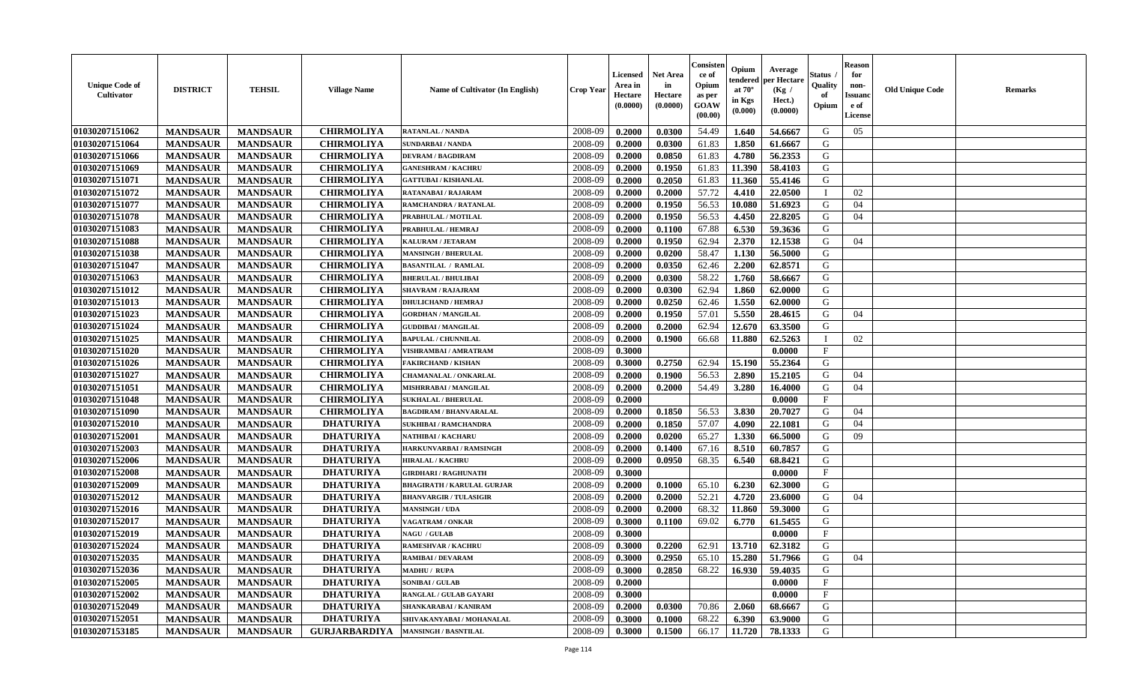| <b>Unique Code of</b><br><b>Cultivator</b> | <b>DISTRICT</b> | <b>TEHSIL</b>   | <b>Village Name</b>  | <b>Name of Cultivator (In English)</b> | <b>Crop Year</b> | <b>Licensed</b><br>Area in<br>Hectare<br>(0.0000) | <b>Net Area</b><br>in<br>Hectare<br>(0.0000) | Consisteı<br>ce of<br>Opium<br>as per<br><b>GOAW</b><br>(00.00) | Opium<br>endered<br>at $70^\circ$<br>in Kgs<br>$(\mathbf{0.000})$ | Average<br>per Hectare<br>(Kg /<br>Hect.)<br>(0.0000) | Status<br>Quality<br>of<br>Opium | Reason<br>for<br>non-<br>Issuan<br>e of<br>License | <b>Old Unique Code</b> | <b>Remarks</b> |
|--------------------------------------------|-----------------|-----------------|----------------------|----------------------------------------|------------------|---------------------------------------------------|----------------------------------------------|-----------------------------------------------------------------|-------------------------------------------------------------------|-------------------------------------------------------|----------------------------------|----------------------------------------------------|------------------------|----------------|
| 01030207151062                             | <b>MANDSAUR</b> | <b>MANDSAUR</b> | <b>CHIRMOLIYA</b>    | <b>RATANLAL / NANDA</b>                | 2008-09          | 0.2000                                            | 0.0300                                       | 54.49                                                           | 1.640                                                             | 54.6667                                               | G                                | 05                                                 |                        |                |
| 01030207151064                             | <b>MANDSAUR</b> | <b>MANDSAUR</b> | <b>CHIRMOLIYA</b>    | <b>SUNDARBAI/NANDA</b>                 | 2008-09          | 0.2000                                            | 0.0300                                       | 61.83                                                           | 1.850                                                             | 61.6667                                               | G                                |                                                    |                        |                |
| 01030207151066                             | <b>MANDSAUR</b> | <b>MANDSAUR</b> | <b>CHIRMOLIYA</b>    | <b>DEVRAM / BAGDIRAM</b>               | 2008-09          | 0.2000                                            | 0.0850                                       | 61.83                                                           | 4.780                                                             | 56.2353                                               | G                                |                                                    |                        |                |
| 01030207151069                             | <b>MANDSAUR</b> | <b>MANDSAUR</b> | <b>CHIRMOLIYA</b>    | <b>GANESHRAM / KACHRU</b>              | 2008-09          | 0.2000                                            | 0.1950                                       | 61.83                                                           | 11.390                                                            | 58.4103                                               | G                                |                                                    |                        |                |
| 01030207151071                             | <b>MANDSAUR</b> | <b>MANDSAUR</b> | <b>CHIRMOLIYA</b>    | <b>GATTUBAI / KISHANLAL</b>            | 2008-09          | 0.2000                                            | 0.2050                                       | 61.83                                                           | 11.360                                                            | 55.4146                                               | G                                |                                                    |                        |                |
| 01030207151072                             | <b>MANDSAUR</b> | <b>MANDSAUR</b> | <b>CHIRMOLIYA</b>    | RATANABAI / RAJARAM                    | 2008-09          | 0.2000                                            | 0.2000                                       | 57.72                                                           | 4.410                                                             | 22.0500                                               | $\blacksquare$                   | 02                                                 |                        |                |
| 01030207151077                             | <b>MANDSAUR</b> | <b>MANDSAUR</b> | <b>CHIRMOLIYA</b>    | RAMCHANDRA / RATANLAL                  | 2008-09          | 0.2000                                            | 0.1950                                       | 56.53                                                           | 10.080                                                            | 51.6923                                               | G                                | 04                                                 |                        |                |
| 01030207151078                             | <b>MANDSAUR</b> | <b>MANDSAUR</b> | <b>CHIRMOLIYA</b>    | PRABHULAL / MOTILAL                    | 2008-09          | 0.2000                                            | 0.1950                                       | 56.53                                                           | 4.450                                                             | 22.8205                                               | G                                | 04                                                 |                        |                |
| 01030207151083                             | <b>MANDSAUR</b> | <b>MANDSAUR</b> | <b>CHIRMOLIYA</b>    | PRABHULAL / HEMRAJ                     | 2008-09          | 0.2000                                            | 0.1100                                       | 67.88                                                           | 6.530                                                             | 59.3636                                               | G                                |                                                    |                        |                |
| 01030207151088                             | <b>MANDSAUR</b> | <b>MANDSAUR</b> | <b>CHIRMOLIYA</b>    | KALURAM / JETARAM                      | 2008-09          | 0.2000                                            | 0.1950                                       | 62.94                                                           | 2.370                                                             | 12.1538                                               | G                                | 04                                                 |                        |                |
| 01030207151038                             | <b>MANDSAUR</b> | <b>MANDSAUR</b> | <b>CHIRMOLIYA</b>    | <b>MANSINGH / BHERULAL</b>             | 2008-09          | 0.2000                                            | 0.0200                                       | 58.47                                                           | 1.130                                                             | 56.5000                                               | G                                |                                                    |                        |                |
| 01030207151047                             | <b>MANDSAUR</b> | <b>MANDSAUR</b> | <b>CHIRMOLIYA</b>    | <b>BASANTILAL / RAMLAL</b>             | 2008-09          | 0.2000                                            | 0.0350                                       | 62.46                                                           | 2.200                                                             | 62.8571                                               | G                                |                                                    |                        |                |
| 01030207151063                             | <b>MANDSAUR</b> | <b>MANDSAUR</b> | <b>CHIRMOLIYA</b>    | <b>BHERULAL / BHULIBAI</b>             | 2008-09          | 0.2000                                            | 0.0300                                       | 58.22                                                           | 1.760                                                             | 58.6667                                               | G                                |                                                    |                        |                |
| 01030207151012                             | <b>MANDSAUR</b> | <b>MANDSAUR</b> | <b>CHIRMOLIYA</b>    | <b>SHAVRAM / RAJAJRAM</b>              | 2008-09          | 0.2000                                            | 0.0300                                       | 62.94                                                           | 1.860                                                             | 62.0000                                               | G                                |                                                    |                        |                |
| 01030207151013                             | <b>MANDSAUR</b> | <b>MANDSAUR</b> | <b>CHIRMOLIYA</b>    | <b>DHULICHAND / HEMRAJ</b>             | 2008-09          | 0.2000                                            | 0.0250                                       | 62.46                                                           | 1.550                                                             | 62.0000                                               | G                                |                                                    |                        |                |
| 01030207151023                             | <b>MANDSAUR</b> | <b>MANDSAUR</b> | <b>CHIRMOLIYA</b>    | <b>GORDHAN / MANGILAL</b>              | 2008-09          | 0.2000                                            | 0.1950                                       | 57.01                                                           | 5.550                                                             | 28.4615                                               | G                                | 04                                                 |                        |                |
| 01030207151024                             | <b>MANDSAUR</b> | <b>MANDSAUR</b> | <b>CHIRMOLIYA</b>    | <b>GUDDIBAI / MANGILAL</b>             | 2008-09          | 0.2000                                            | 0.2000                                       | 62.94                                                           | 12.670                                                            | 63.3500                                               | G                                |                                                    |                        |                |
| 01030207151025                             | <b>MANDSAUR</b> | <b>MANDSAUR</b> | <b>CHIRMOLIYA</b>    | <b>BAPULAL / CHUNNILAL</b>             | 2008-09          | 0.2000                                            | 0.1900                                       | 66.68                                                           | 11.880                                                            | 62.5263                                               | П                                | 02                                                 |                        |                |
| 01030207151020                             | <b>MANDSAUR</b> | <b>MANDSAUR</b> | <b>CHIRMOLIYA</b>    | VISHRAMBAI / AMRATRAM                  | 2008-09          | 0.3000                                            |                                              |                                                                 |                                                                   | 0.0000                                                | $\mathbf{F}$                     |                                                    |                        |                |
| 01030207151026                             | <b>MANDSAUR</b> | <b>MANDSAUR</b> | <b>CHIRMOLIYA</b>    | <b>FAKIRCHAND / KISHAN</b>             | 2008-09          | 0.3000                                            | 0.2750                                       | 62.94                                                           | 15.190                                                            | 55.2364                                               | G                                |                                                    |                        |                |
| 01030207151027                             | <b>MANDSAUR</b> | <b>MANDSAUR</b> | <b>CHIRMOLIYA</b>    | CHAMANALAL / ONKARLAL                  | 2008-09          | 0.2000                                            | 0.1900                                       | 56.53                                                           | 2.890                                                             | 15.2105                                               | G                                | 04                                                 |                        |                |
| 01030207151051                             | <b>MANDSAUR</b> | <b>MANDSAUR</b> | <b>CHIRMOLIYA</b>    | MISHRRABAI / MANGILAL                  | 2008-09          | 0.2000                                            | 0.2000                                       | 54.49                                                           | 3.280                                                             | 16.4000                                               | G                                | 04                                                 |                        |                |
| 01030207151048                             | <b>MANDSAUR</b> | <b>MANDSAUR</b> | <b>CHIRMOLIYA</b>    | <b>SUKHALAL / BHERULAL</b>             | 2008-09          | 0.2000                                            |                                              |                                                                 |                                                                   | 0.0000                                                | $\mathbf{F}$                     |                                                    |                        |                |
| 01030207151090                             | <b>MANDSAUR</b> | <b>MANDSAUR</b> | <b>CHIRMOLIYA</b>    | <b>BAGDIRAM / BHANVARALAL</b>          | 2008-09          | 0.2000                                            | 0.1850                                       | 56.53                                                           | 3.830                                                             | 20.7027                                               | G                                | 04                                                 |                        |                |
| 01030207152010                             | <b>MANDSAUR</b> | <b>MANDSAUR</b> | <b>DHATURIYA</b>     | <b>SUKHIBAI / RAMCHANDRA</b>           | 2008-09          | 0.2000                                            | 0.1850                                       | 57.07                                                           | 4.090                                                             | 22.1081                                               | G                                | 04                                                 |                        |                |
| 01030207152001                             | <b>MANDSAUR</b> | <b>MANDSAUR</b> | <b>DHATURIYA</b>     | NATHIBAI / KACHARU                     | 2008-09          | 0.2000                                            | 0.0200                                       | 65.27                                                           | 1.330                                                             | 66.5000                                               | G                                | 09                                                 |                        |                |
| 01030207152003                             | <b>MANDSAUR</b> | <b>MANDSAUR</b> | <b>DHATURIYA</b>     | HARKUNVARBAI / RAMSINGH                | 2008-09          | 0.2000                                            | 0.1400                                       | 67.16                                                           | 8.510                                                             | 60.7857                                               | G                                |                                                    |                        |                |
| 01030207152006                             | <b>MANDSAUR</b> | <b>MANDSAUR</b> | <b>DHATURIYA</b>     | <b>HIRALAL / KACHRU</b>                | 2008-09          | 0.2000                                            | 0.0950                                       | 68.35                                                           | 6.540                                                             | 68.8421                                               | G                                |                                                    |                        |                |
| 01030207152008                             | <b>MANDSAUR</b> | <b>MANDSAUR</b> | <b>DHATURIYA</b>     | <b>GIRDHARI / RAGHUNATH</b>            | 2008-09          | 0.3000                                            |                                              |                                                                 |                                                                   | 0.0000                                                | $\mathbf{F}$                     |                                                    |                        |                |
| 01030207152009                             | <b>MANDSAUR</b> | <b>MANDSAUR</b> | <b>DHATURIYA</b>     | <b>BHAGIRATH / KARULAL GURJAR</b>      | 2008-09          | 0.2000                                            | 0.1000                                       | 65.10                                                           | 6.230                                                             | 62.3000                                               | G                                |                                                    |                        |                |
| 01030207152012                             | <b>MANDSAUR</b> | <b>MANDSAUR</b> | <b>DHATURIYA</b>     | <b>BHANVARGIR / TULASIGIR</b>          | 2008-09          | 0.2000                                            | 0.2000                                       | 52.21                                                           | 4.720                                                             | 23.6000                                               | G                                | 04                                                 |                        |                |
| 01030207152016                             | <b>MANDSAUR</b> | <b>MANDSAUR</b> | <b>DHATURIYA</b>     | <b>MANSINGH / UDA</b>                  | 2008-09          | 0.2000                                            | 0.2000                                       | 68.32                                                           | 11.860                                                            | 59.3000                                               | G                                |                                                    |                        |                |
| 01030207152017                             | <b>MANDSAUR</b> | <b>MANDSAUR</b> | <b>DHATURIYA</b>     | <b>VAGATRAM / ONKAR</b>                | 2008-09          | 0.3000                                            | 0.1100                                       | 69.02                                                           | 6.770                                                             | 61.5455                                               | G                                |                                                    |                        |                |
| 01030207152019                             | <b>MANDSAUR</b> | <b>MANDSAUR</b> | <b>DHATURIYA</b>     | <b>NAGU / GULAB</b>                    | 2008-09          | 0.3000                                            |                                              |                                                                 |                                                                   | 0.0000                                                | $\mathbf{F}$                     |                                                    |                        |                |
| 01030207152024                             | <b>MANDSAUR</b> | <b>MANDSAUR</b> | <b>DHATURIYA</b>     | <b>RAMESHVAR / KACHRU</b>              | 2008-09          | 0.3000                                            | 0.2200                                       | 62.91                                                           | 13.710                                                            | 62.3182                                               | G                                |                                                    |                        |                |
| <b>01030207152035</b>                      | <b>MANDSAUR</b> | <b>MANDSAUR</b> | <b>DHATURIYA</b>     | <b>RAMIBAI / DEVARAM</b>               | 2008-09          | 0.3000                                            | 0.2950                                       | 65.10                                                           |                                                                   | $15.280$ 51.7966                                      | G                                | 04                                                 |                        |                |
| 01030207152036                             | <b>MANDSAUR</b> | <b>MANDSAUR</b> | <b>DHATURIYA</b>     | MADHU / RUPA                           | 2008-09          | 0.3000                                            | 0.2850                                       | 68.22                                                           | 16.930                                                            | 59.4035                                               | G                                |                                                    |                        |                |
| 01030207152005                             | <b>MANDSAUR</b> | <b>MANDSAUR</b> | <b>DHATURIYA</b>     | <b>SONIBAI/GULAB</b>                   | 2008-09          | 0.2000                                            |                                              |                                                                 |                                                                   | 0.0000                                                | $_{\rm F}$                       |                                                    |                        |                |
| 01030207152002                             | <b>MANDSAUR</b> | <b>MANDSAUR</b> | <b>DHATURIYA</b>     | RANGLAL / GULAB GAYARI                 | 2008-09          | 0.3000                                            |                                              |                                                                 |                                                                   | 0.0000                                                | $\mathbf{F}$                     |                                                    |                        |                |
| 01030207152049                             | <b>MANDSAUR</b> | <b>MANDSAUR</b> | <b>DHATURIYA</b>     | SHANKARABAI / KANIRAM                  | 2008-09          | 0.2000                                            | 0.0300                                       | 70.86                                                           | 2.060                                                             | 68.6667                                               | G                                |                                                    |                        |                |
| 01030207152051                             | <b>MANDSAUR</b> | <b>MANDSAUR</b> | <b>DHATURIYA</b>     | SHIVAKANYABAI / MOHANALAL              | 2008-09          | 0.3000                                            | 0.1000                                       | 68.22                                                           | 6.390                                                             | 63.9000                                               | G                                |                                                    |                        |                |
| 01030207153185                             | <b>MANDSAUR</b> | <b>MANDSAUR</b> | <b>GURJARBARDIYA</b> | <b>MANSINGH / BASNTILAL</b>            | 2008-09          | 0.3000                                            | 0.1500                                       | 66.17                                                           | 11.720                                                            | 78.1333                                               | G                                |                                                    |                        |                |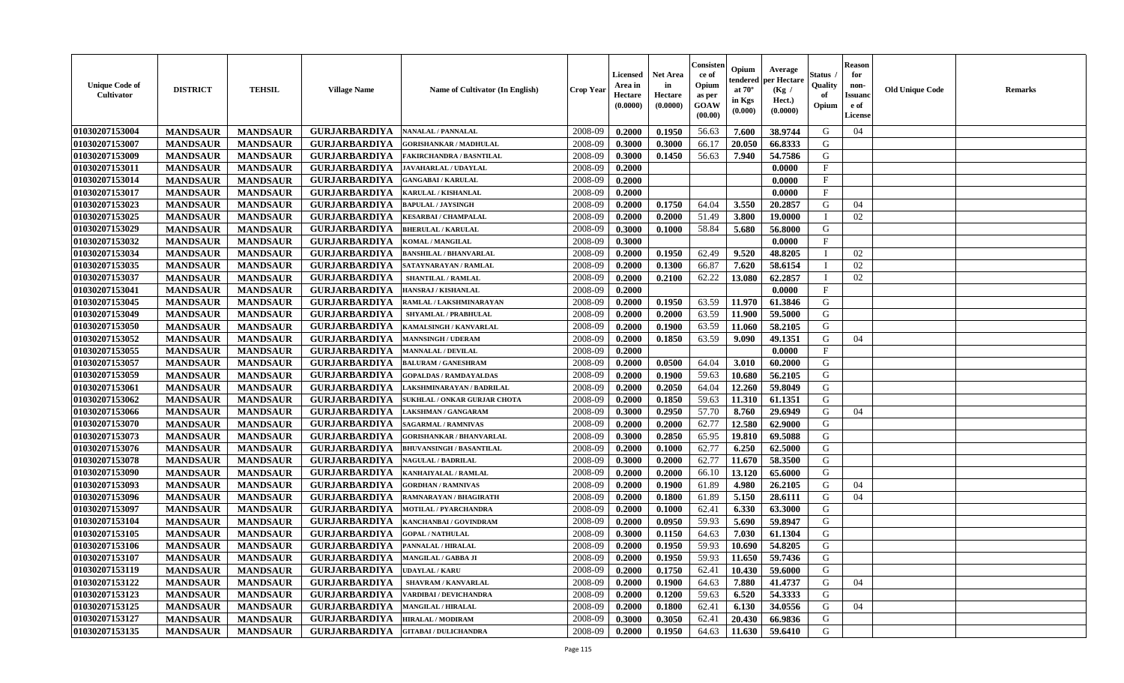| <b>Unique Code of</b><br><b>Cultivator</b> | <b>DISTRICT</b> | <b>TEHSIL</b>   | <b>Village Name</b>  | Name of Cultivator (In English)     | <b>Crop Year</b> | Licensed<br>Area in<br>Hectare<br>(0.0000) | <b>Net Area</b><br>in<br>Hectare<br>(0.0000) | Consister<br>ce of<br>Opium<br>as per<br><b>GOAW</b><br>(00.00) | Opium<br>tendered<br>at $70^\circ$<br>in Kgs<br>(0.000) | Average<br>per Hectare<br>(Kg)<br>Hect.)<br>(0.0000) | Status /<br>Quality<br>of<br>Opium | <b>Reason</b><br>for<br>non-<br><b>Issuand</b><br>e of<br>License | <b>Old Unique Code</b> | <b>Remarks</b> |
|--------------------------------------------|-----------------|-----------------|----------------------|-------------------------------------|------------------|--------------------------------------------|----------------------------------------------|-----------------------------------------------------------------|---------------------------------------------------------|------------------------------------------------------|------------------------------------|-------------------------------------------------------------------|------------------------|----------------|
| 01030207153004                             | <b>MANDSAUR</b> | <b>MANDSAUR</b> | <b>GURJARBARDIYA</b> | <b>NANALAL / PANNALAL</b>           | 2008-09          | 0.2000                                     | 0.1950                                       | 56.63                                                           | 7.600                                                   | 38.9744                                              | G                                  | 04                                                                |                        |                |
| 01030207153007                             | <b>MANDSAUR</b> | <b>MANDSAUR</b> | <b>GURJARBARDIYA</b> | <b>GORISHANKAR / MADHULAL</b>       | 2008-09          | 0.3000                                     | 0.3000                                       | 66.17                                                           | 20.050                                                  | 66.8333                                              | G                                  |                                                                   |                        |                |
| 01030207153009                             | <b>MANDSAUR</b> | <b>MANDSAUR</b> | <b>GURJARBARDIYA</b> | <b>FAKIRCHANDRA / BASNTILAL</b>     | 2008-09          | 0.3000                                     | 0.1450                                       | 56.63                                                           | 7.940                                                   | 54.7586                                              | G                                  |                                                                   |                        |                |
| 01030207153011                             | <b>MANDSAUR</b> | <b>MANDSAUR</b> | <b>GURJARBARDIYA</b> | <b>JAVAHARLAL / UDAYLAL</b>         | 2008-09          | 0.2000                                     |                                              |                                                                 |                                                         | 0.0000                                               | F                                  |                                                                   |                        |                |
| 01030207153014                             | <b>MANDSAUR</b> | <b>MANDSAUR</b> | <b>GURJARBARDIYA</b> | <b>GANGABAI/KARULAL</b>             | 2008-09          | 0.2000                                     |                                              |                                                                 |                                                         | 0.0000                                               | $\mathbf F$                        |                                                                   |                        |                |
| 01030207153017                             | <b>MANDSAUR</b> | <b>MANDSAUR</b> | <b>GURJARBARDIYA</b> | <b>KARULAL / KISHANLAL</b>          | 2008-09          | 0.2000                                     |                                              |                                                                 |                                                         | 0.0000                                               | $\mathbf{F}$                       |                                                                   |                        |                |
| 01030207153023                             | <b>MANDSAUR</b> | <b>MANDSAUR</b> | <b>GURJARBARDIYA</b> | <b>BAPULAL / JAYSINGH</b>           | 2008-09          | 0.2000                                     | 0.1750                                       | 64.04                                                           | 3.550                                                   | 20.2857                                              | G                                  | 04                                                                |                        |                |
| 01030207153025                             | <b>MANDSAUR</b> | <b>MANDSAUR</b> | <b>GURJARBARDIYA</b> | <b>KESARBAI/ CHAMPALAL</b>          | 2008-09          | 0.2000                                     | 0.2000                                       | 51.49                                                           | 3.800                                                   | 19.0000                                              |                                    | 02                                                                |                        |                |
| 01030207153029                             | <b>MANDSAUR</b> | <b>MANDSAUR</b> | <b>GURJARBARDIYA</b> | <b>BHERULAL / KARULAL</b>           | 2008-09          | 0.3000                                     | 0.1000                                       | 58.84                                                           | 5.680                                                   | 56.8000                                              | G                                  |                                                                   |                        |                |
| 01030207153032                             | <b>MANDSAUR</b> | <b>MANDSAUR</b> | <b>GURJARBARDIYA</b> | <b>KOMAL / MANGILAL</b>             | 2008-09          | 0.3000                                     |                                              |                                                                 |                                                         | 0.0000                                               | F                                  |                                                                   |                        |                |
| 01030207153034                             | <b>MANDSAUR</b> | <b>MANDSAUR</b> | <b>GURJARBARDIYA</b> | <b>BANSHILAL / BHANVARLAL</b>       | 2008-09          | 0.2000                                     | 0.1950                                       | 62.49                                                           | 9.520                                                   | 48.8205                                              | -1                                 | 02                                                                |                        |                |
| 01030207153035                             | <b>MANDSAUR</b> | <b>MANDSAUR</b> | <b>GURJARBARDIYA</b> | SATAYNARAYAN / RAMLAL               | 2008-09          | 0.2000                                     | 0.1300                                       | 66.87                                                           | 7.620                                                   | 58.6154                                              |                                    | 02                                                                |                        |                |
| 01030207153037                             | <b>MANDSAUR</b> | <b>MANDSAUR</b> | <b>GURJARBARDIYA</b> | <b>SHANTILAL / RAMLAL</b>           | 2008-09          | 0.2000                                     | 0.2100                                       | 62.22                                                           | 13.080                                                  | 62,2857                                              |                                    | 02                                                                |                        |                |
| 01030207153041                             | <b>MANDSAUR</b> | <b>MANDSAUR</b> | <b>GURJARBARDIYA</b> | HANSRAJ / KISHANLAL                 | 2008-09          | 0.2000                                     |                                              |                                                                 |                                                         | 0.0000                                               | F                                  |                                                                   |                        |                |
| 01030207153045                             | <b>MANDSAUR</b> | <b>MANDSAUR</b> | <b>GURJARBARDIYA</b> | RAMLAL / LAKSHMINARAYAN             | 2008-09          | 0.2000                                     | 0.1950                                       | 63.59                                                           | 11.970                                                  | 61.3846                                              | G                                  |                                                                   |                        |                |
| 01030207153049                             | <b>MANDSAUR</b> | <b>MANDSAUR</b> | <b>GURJARBARDIYA</b> | SHYAMLAL / PRABHULAL                | 2008-09          | 0.2000                                     | 0.2000                                       | 63.59                                                           | 11.900                                                  | 59.5000                                              | G                                  |                                                                   |                        |                |
| 01030207153050                             | <b>MANDSAUR</b> | <b>MANDSAUR</b> | <b>GURJARBARDIYA</b> | <b>KAMALSINGH / KANVARLAL</b>       | 2008-09          | 0.2000                                     | 0.1900                                       | 63.59                                                           | 11.060                                                  | 58.2105                                              | G                                  |                                                                   |                        |                |
| 01030207153052                             | <b>MANDSAUR</b> | <b>MANDSAUR</b> | <b>GURJARBARDIYA</b> | <b>MANNSINGH / UDERAM</b>           | 2008-09          | 0.2000                                     | 0.1850                                       | 63.59                                                           | 9.090                                                   | 49.1351                                              | G                                  | 04                                                                |                        |                |
| 01030207153055                             | <b>MANDSAUR</b> | <b>MANDSAUR</b> | <b>GURJARBARDIYA</b> | <b>MANNALAL / DEVILAL</b>           | 2008-09          | 0.2000                                     |                                              |                                                                 |                                                         | 0.0000                                               | F                                  |                                                                   |                        |                |
| 01030207153057                             | <b>MANDSAUR</b> | <b>MANDSAUR</b> | <b>GURJARBARDIYA</b> | <b>BALURAM / GANESHRAM</b>          | 2008-09          | 0.2000                                     | 0.0500                                       | 64.04                                                           | 3.010                                                   | 60.2000                                              | G                                  |                                                                   |                        |                |
| 01030207153059                             | <b>MANDSAUR</b> | <b>MANDSAUR</b> | <b>GURJARBARDIYA</b> | <b>GOPALDAS / RAMDAYALDAS</b>       | 2008-09          | 0.2000                                     | 0.1900                                       | 59.63                                                           | 10.680                                                  | 56.2105                                              | G                                  |                                                                   |                        |                |
| 01030207153061                             | <b>MANDSAUR</b> | <b>MANDSAUR</b> | <b>GURJARBARDIYA</b> | LAKSHMINARAYAN / BADRILAL           | 2008-09          | 0.2000                                     | 0.2050                                       | 64.04                                                           | 12.260                                                  | 59.8049                                              | G                                  |                                                                   |                        |                |
| 01030207153062                             | <b>MANDSAUR</b> | <b>MANDSAUR</b> | <b>GURJARBARDIYA</b> | <b>SUKHLAL / ONKAR GURJAR CHOTA</b> | 2008-09          | 0.2000                                     | 0.1850                                       | 59.63                                                           | 11.310                                                  | 61.1351                                              | G                                  |                                                                   |                        |                |
| 01030207153066                             | <b>MANDSAUR</b> | <b>MANDSAUR</b> | <b>GURJARBARDIYA</b> | LAKSHMAN / GANGARAM                 | 2008-09          | 0.3000                                     | 0.2950                                       | 57.70                                                           | 8.760                                                   | 29.6949                                              | G                                  | 04                                                                |                        |                |
| 01030207153070                             | <b>MANDSAUR</b> | <b>MANDSAUR</b> | <b>GURJARBARDIYA</b> | <b>SAGARMAL / RAMNIVAS</b>          | 2008-09          | 0.2000                                     | 0.2000                                       | 62.77                                                           | 12.580                                                  | 62.9000                                              | G                                  |                                                                   |                        |                |
| 01030207153073                             | <b>MANDSAUR</b> | <b>MANDSAUR</b> | <b>GURJARBARDIYA</b> | <b>GORISHANKAR / BHANVARLAL</b>     | 2008-09          | 0.3000                                     | 0.2850                                       | 65.95                                                           | 19.810                                                  | 69.5088                                              | G                                  |                                                                   |                        |                |
| 01030207153076                             | <b>MANDSAUR</b> | <b>MANDSAUR</b> | <b>GURJARBARDIYA</b> | <b>BHUVANSINGH / BASANTILAL</b>     | 2008-09          | 0.2000                                     | 0.1000                                       | 62.77                                                           | 6.250                                                   | 62.5000                                              | G                                  |                                                                   |                        |                |
| 01030207153078                             | <b>MANDSAUR</b> | <b>MANDSAUR</b> | <b>GURJARBARDIYA</b> | <b>NAGULAL / BADRILAL</b>           | 2008-09          | 0.3000                                     | 0.2000                                       | 62.77                                                           | 11.670                                                  | 58.3500                                              | G                                  |                                                                   |                        |                |
| 01030207153090                             | <b>MANDSAUR</b> | <b>MANDSAUR</b> | <b>GURJARBARDIYA</b> | <b>KANHAIYALAL / RAMLAL</b>         | 2008-09          | 0.2000                                     | 0.2000                                       | 66.10                                                           | 13.120                                                  | 65.6000                                              | G                                  |                                                                   |                        |                |
| 01030207153093                             | <b>MANDSAUR</b> | <b>MANDSAUR</b> | <b>GURJARBARDIYA</b> | <b>GORDHAN / RAMNIVAS</b>           | 2008-09          | 0.2000                                     | 0.1900                                       | 61.89                                                           | 4.980                                                   | 26.2105                                              | G                                  | 04                                                                |                        |                |
| 01030207153096                             | <b>MANDSAUR</b> | <b>MANDSAUR</b> | <b>GURJARBARDIYA</b> | RAMNARAYAN / BHAGIRATH              | 2008-09          | 0.2000                                     | 0.1800                                       | 61.89                                                           | 5.150                                                   | 28.6111                                              | G                                  | 04                                                                |                        |                |
| 01030207153097                             | <b>MANDSAUR</b> | <b>MANDSAUR</b> | <b>GURJARBARDIYA</b> | <b>MOTILAL / PYARCHANDRA</b>        | 2008-09          | 0.2000                                     | 0.1000                                       | 62.41                                                           | 6.330                                                   | 63.3000                                              | G                                  |                                                                   |                        |                |
| 01030207153104                             | <b>MANDSAUR</b> | <b>MANDSAUR</b> | <b>GURJARBARDIYA</b> | KANCHANBAI / GOVINDRAM              | 2008-09          | 0.2000                                     | 0.0950                                       | 59.93                                                           | 5.690                                                   | 59.8947                                              | G                                  |                                                                   |                        |                |
| 01030207153105                             | <b>MANDSAUR</b> | <b>MANDSAUR</b> | <b>GURJARBARDIYA</b> | <b>GOPAL/NATHULAL</b>               | 2008-09          | 0.3000                                     | 0.1150                                       | 64.63                                                           | 7.030                                                   | 61.1304                                              | G                                  |                                                                   |                        |                |
| 01030207153106                             | <b>MANDSAUR</b> | <b>MANDSAUR</b> | <b>GURJARBARDIYA</b> | PANNALAL / HIRALAL                  | 2008-09          | 0.2000                                     | 0.1950                                       | 59.93                                                           | 10.690                                                  | 54.8205                                              | G                                  |                                                                   |                        |                |
| 01030207153107                             | <b>MANDSAUR</b> | <b>MANDSAUR</b> | <b>GURJARBARDIYA</b> | <b>MANGILAL / GABBA JI</b>          | 2008-09          | 0.2000                                     | 0.1950                                       | 59.93                                                           | 11.650                                                  | 59.7436                                              | G                                  |                                                                   |                        |                |
| 01030207153119                             | <b>MANDSAUR</b> | <b>MANDSAUR</b> | <b>GURJARBARDIYA</b> | <b>UDAYLAL / KARU</b>               | 2008-09          | 0.2000                                     | 0.1750                                       | 62.41                                                           | 10.430                                                  | 59.6000                                              | G                                  |                                                                   |                        |                |
| 01030207153122                             | <b>MANDSAUR</b> | <b>MANDSAUR</b> | <b>GURJARBARDIYA</b> | <b>SHAVRAM / KANVARLAL</b>          | 2008-09          | 0.2000                                     | 0.1900                                       | 64.63                                                           | 7.880                                                   | 41.4737                                              | G                                  | 04                                                                |                        |                |
| 01030207153123                             | <b>MANDSAUR</b> | <b>MANDSAUR</b> | <b>GURJARBARDIYA</b> | <b>VARDIBAI / DEVICHANDRA</b>       | 2008-09          | 0.2000                                     | 0.1200                                       | 59.63                                                           | 6.520                                                   | 54.3333                                              | G                                  |                                                                   |                        |                |
| 01030207153125                             | <b>MANDSAUR</b> | <b>MANDSAUR</b> | <b>GURJARBARDIYA</b> | <b>MANGILAL / HIRALAL</b>           | 2008-09          | 0.2000                                     | 0.1800                                       | 62.41                                                           | 6.130                                                   | 34.0556                                              | G                                  | 04                                                                |                        |                |
| 01030207153127                             | <b>MANDSAUR</b> | <b>MANDSAUR</b> | <b>GURJARBARDIYA</b> | <b>HIRALAL / MODIRAM</b>            | 2008-09          | 0.3000                                     | 0.3050                                       | 62.41                                                           | 20.430                                                  | 66.9836                                              | G                                  |                                                                   |                        |                |
| 01030207153135                             | <b>MANDSAUR</b> | <b>MANDSAUR</b> | <b>GURJARBARDIYA</b> | <b>GITABAI/DULICHANDRA</b>          | 2008-09          | 0.2000                                     | 0.1950                                       | 64.63                                                           | 11.630                                                  | 59.6410                                              | G                                  |                                                                   |                        |                |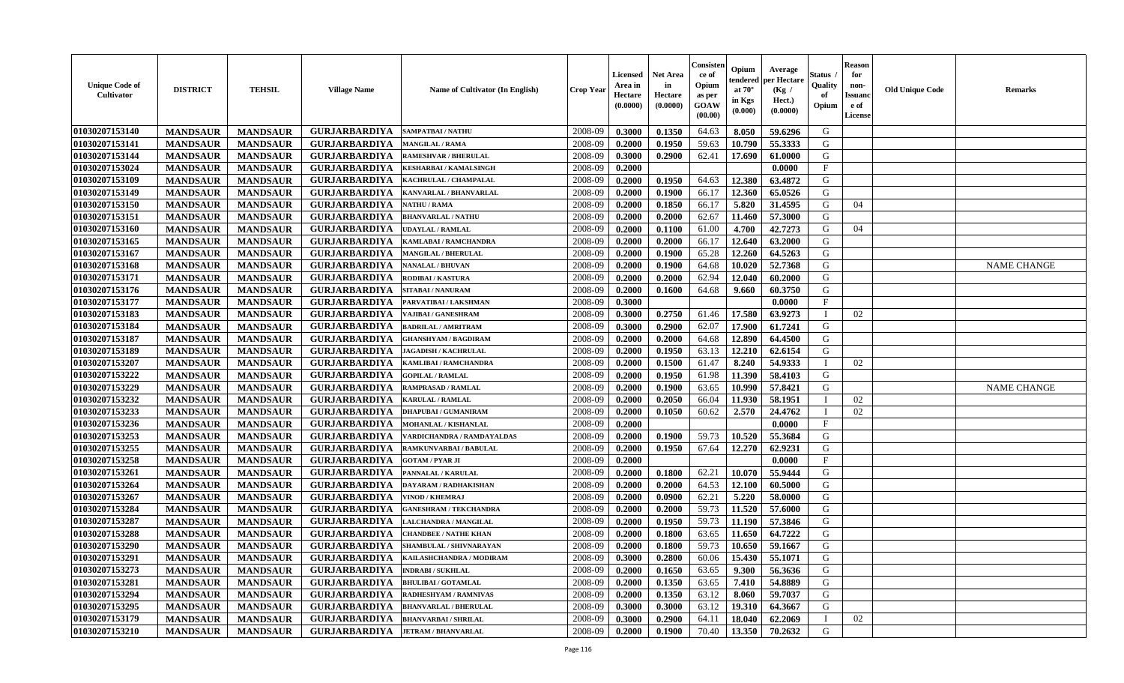| <b>Unique Code of</b><br>Cultivator | <b>DISTRICT</b> | <b>TEHSIL</b>   | <b>Village Name</b>  | Name of Cultivator (In English) | Crop Year | Licensed<br>Area in<br>Hectare<br>(0.0000) | <b>Net Area</b><br>in<br>Hectare<br>(0.0000) | Consisten<br>ce of<br>Opium<br>as per<br>GOAW<br>(00.00) | Opium<br>tendered<br>at $70^{\circ}$<br>in Kgs<br>(0.000) | Average<br>per Hectare<br>(Kg /<br>Hect.)<br>(0.0000) | Status<br>Quality<br>of<br>Opium | <b>Reason</b><br>for<br>non-<br><b>Issuand</b><br>e of<br>License | <b>Old Unique Code</b> | <b>Remarks</b>     |
|-------------------------------------|-----------------|-----------------|----------------------|---------------------------------|-----------|--------------------------------------------|----------------------------------------------|----------------------------------------------------------|-----------------------------------------------------------|-------------------------------------------------------|----------------------------------|-------------------------------------------------------------------|------------------------|--------------------|
| 01030207153140                      | <b>MANDSAUR</b> | <b>MANDSAUR</b> | <b>GURJARBARDIYA</b> | <b>SAMPATBAI/NATHU</b>          | 2008-09   | 0.3000                                     | 0.1350                                       | 64.63                                                    | 8.050                                                     | 59.6296                                               | G                                |                                                                   |                        |                    |
| 01030207153141                      | <b>MANDSAUR</b> | <b>MANDSAUR</b> | <b>GURJARBARDIYA</b> | <b>MANGILAL / RAMA</b>          | 2008-09   | 0.2000                                     | 0.1950                                       | 59.63                                                    | 10.790                                                    | 55.3333                                               | G                                |                                                                   |                        |                    |
| 01030207153144                      | <b>MANDSAUR</b> | <b>MANDSAUR</b> | <b>GURJARBARDIYA</b> | <b>RAMESHVAR / BHERULAL</b>     | 2008-09   | 0.3000                                     | 0.2900                                       | 62.41                                                    | 17.690                                                    | 61.0000                                               | G                                |                                                                   |                        |                    |
| 01030207153024                      | <b>MANDSAUR</b> | <b>MANDSAUR</b> | <b>GURJARBARDIYA</b> | <b>KESHARBAI / KAMALSINGH</b>   | 2008-09   | 0.2000                                     |                                              |                                                          |                                                           | 0.0000                                                | F                                |                                                                   |                        |                    |
| 01030207153109                      | <b>MANDSAUR</b> | <b>MANDSAUR</b> | <b>GURJARBARDIYA</b> | KACHRULAL / CHAMPALAL           | 2008-09   | 0.2000                                     | 0.1950                                       | 64.63                                                    | 12.380                                                    | 63.4872                                               | G                                |                                                                   |                        |                    |
| 01030207153149                      | <b>MANDSAUR</b> | <b>MANDSAUR</b> | <b>GURJARBARDIYA</b> | KANVARLAL / BHANVARLAL          | 2008-09   | 0.2000                                     | 0.1900                                       | 66.17                                                    | 12.360                                                    | 65.0526                                               | G                                |                                                                   |                        |                    |
| 01030207153150                      | <b>MANDSAUR</b> | <b>MANDSAUR</b> | <b>GURJARBARDIYA</b> | <b>NATHU / RAMA</b>             | 2008-09   | 0.2000                                     | 0.1850                                       | 66.17                                                    | 5.820                                                     | 31.4595                                               | G                                | 04                                                                |                        |                    |
| 01030207153151                      | <b>MANDSAUR</b> | <b>MANDSAUR</b> | <b>GURJARBARDIYA</b> | <b>BHANVARLAL / NATHU</b>       | 2008-09   | 0.2000                                     | 0.2000                                       | 62.67                                                    | 11.460                                                    | 57.3000                                               | G                                |                                                                   |                        |                    |
| 01030207153160                      | <b>MANDSAUR</b> | <b>MANDSAUR</b> | <b>GURJARBARDIYA</b> | <b>UDAYLAL / RAMLAL</b>         | 2008-09   | 0.2000                                     | 0.1100                                       | 61.00                                                    | 4.700                                                     | 42.7273                                               | G                                | 04                                                                |                        |                    |
| 01030207153165                      | <b>MANDSAUR</b> | <b>MANDSAUR</b> | <b>GURJARBARDIYA</b> | KAMLABAI / RAMCHANDRA           | 2008-09   | 0.2000                                     | 0.2000                                       | 66.17                                                    | 12.640                                                    | 63.2000                                               | G                                |                                                                   |                        |                    |
| 01030207153167                      | <b>MANDSAUR</b> | <b>MANDSAUR</b> | <b>GURJARBARDIYA</b> | <b>MANGILAL / BHERULAL</b>      | 2008-09   | 0.2000                                     | 0.1900                                       | 65.28                                                    | 12.260                                                    | 64.5263                                               | G                                |                                                                   |                        |                    |
| 01030207153168                      | <b>MANDSAUR</b> | <b>MANDSAUR</b> | <b>GURJARBARDIYA</b> | <b>NANALAL / BHUVAN</b>         | 2008-09   | 0.2000                                     | 0.1900                                       | 64.68                                                    | 10.020                                                    | 52.7368                                               | G                                |                                                                   |                        | <b>NAME CHANGE</b> |
| 01030207153171                      | <b>MANDSAUR</b> | <b>MANDSAUR</b> | <b>GURJARBARDIYA</b> | RODIBAI / KASTURA               | 2008-09   | 0.2000                                     | 0.2000                                       | 62.94                                                    | 12.040                                                    | 60.2000                                               | G                                |                                                                   |                        |                    |
| 01030207153176                      | <b>MANDSAUR</b> | <b>MANDSAUR</b> | <b>GURJARBARDIYA</b> | <b>SITABAI/NANURAM</b>          | 2008-09   | 0.2000                                     | 0.1600                                       | 64.68                                                    | 9.660                                                     | 60.3750                                               | G                                |                                                                   |                        |                    |
| 01030207153177                      | <b>MANDSAUR</b> | <b>MANDSAUR</b> | <b>GURJARBARDIYA</b> | PARVATIBAI / LAKSHMAN           | 2008-09   | 0.3000                                     |                                              |                                                          |                                                           | 0.0000                                                | F                                |                                                                   |                        |                    |
| 01030207153183                      | <b>MANDSAUR</b> | <b>MANDSAUR</b> | <b>GURJARBARDIYA</b> | VAJIBAI / GANESHRAM             | 2008-09   | 0.3000                                     | 0.2750                                       | 61.46                                                    | 17.580                                                    | 63.9273                                               | - I                              | 02                                                                |                        |                    |
| 01030207153184                      | <b>MANDSAUR</b> | <b>MANDSAUR</b> | <b>GURJARBARDIYA</b> | <b>BADRILAL / AMRITRAM</b>      | 2008-09   | 0.3000                                     | 0.2900                                       | 62.07                                                    | 17.900                                                    | 61.7241                                               | G                                |                                                                   |                        |                    |
| 01030207153187                      | <b>MANDSAUR</b> | <b>MANDSAUR</b> | <b>GURJARBARDIYA</b> | <b>GHANSHYAM / BAGDIRAM</b>     | 2008-09   | 0.2000                                     | 0.2000                                       | 64.68                                                    | 12.890                                                    | 64.4500                                               | G                                |                                                                   |                        |                    |
| 01030207153189                      | <b>MANDSAUR</b> | <b>MANDSAUR</b> | <b>GURJARBARDIYA</b> | <b>JAGADISH / KACHRULAL</b>     | 2008-09   | 0.2000                                     | 0.1950                                       | 63.13                                                    | 12.210                                                    | 62.6154                                               | G                                |                                                                   |                        |                    |
| 01030207153207                      | <b>MANDSAUR</b> | <b>MANDSAUR</b> | <b>GURJARBARDIYA</b> | KAMLIBAI / RAMCHANDRA           | 2008-09   | 0.2000                                     | 0.1500                                       | 61.47                                                    | 8.240                                                     | 54.9333                                               |                                  | 02                                                                |                        |                    |
| 01030207153222                      | <b>MANDSAUR</b> | <b>MANDSAUR</b> | <b>GURJARBARDIYA</b> | <b>GOPILAL / RAMLAL</b>         | 2008-09   | 0.2000                                     | 0.1950                                       | 61.98                                                    | 11.390                                                    | 58.4103                                               | G                                |                                                                   |                        |                    |
| 01030207153229                      | <b>MANDSAUR</b> | <b>MANDSAUR</b> | <b>GURJARBARDIYA</b> | RAMPRASAD / RAMLAL              | 2008-09   | 0.2000                                     | 0.1900                                       | 63.65                                                    | 10.990                                                    | 57.8421                                               | G                                |                                                                   |                        | <b>NAME CHANGE</b> |
| 01030207153232                      | <b>MANDSAUR</b> | <b>MANDSAUR</b> | <b>GURJARBARDIYA</b> | <b>KARULAL / RAMLAL</b>         | 2008-09   | 0.2000                                     | 0.2050                                       | 66.04                                                    | 11.930                                                    | 58.1951                                               |                                  | 02                                                                |                        |                    |
| 01030207153233                      | <b>MANDSAUR</b> | <b>MANDSAUR</b> | <b>GURJARBARDIYA</b> | <b>DHAPUBAI/GUMANIRAM</b>       | 2008-09   | 0.2000                                     | 0.1050                                       | 60.62                                                    | 2.570                                                     | 24.4762                                               | - 1                              | 02                                                                |                        |                    |
| 01030207153236                      | <b>MANDSAUR</b> | <b>MANDSAUR</b> | <b>GURJARBARDIYA</b> | MOHANLAL / KISHANLAL            | 2008-09   | 0.2000                                     |                                              |                                                          |                                                           | 0.0000                                                | $\mathbf{F}$                     |                                                                   |                        |                    |
| 01030207153253                      | <b>MANDSAUR</b> | <b>MANDSAUR</b> | <b>GURJARBARDIYA</b> | VARDICHANDRA / RAMDAYALDAS      | 2008-09   | 0.2000                                     | 0.1900                                       | 59.73                                                    | 10.520                                                    | 55.3684                                               | G                                |                                                                   |                        |                    |
| 01030207153255                      | <b>MANDSAUR</b> | <b>MANDSAUR</b> | <b>GURJARBARDIYA</b> | <b>RAMKUNVARBAI / BABULAL</b>   | 2008-09   | 0.2000                                     | 0.1950                                       | 67.64                                                    | 12.270                                                    | 62.9231                                               | G                                |                                                                   |                        |                    |
| 01030207153258                      | <b>MANDSAUR</b> | <b>MANDSAUR</b> | <b>GURJARBARDIYA</b> | <b>GOTAM / PYAR JI</b>          | 2008-09   | 0.2000                                     |                                              |                                                          |                                                           | 0.0000                                                | $\mathbf{F}$                     |                                                                   |                        |                    |
| 01030207153261                      | <b>MANDSAUR</b> | <b>MANDSAUR</b> | <b>GURJARBARDIYA</b> | PANNALAL / KARULAL              | 2008-09   | 0.2000                                     | 0.1800                                       | 62.21                                                    | 10.070                                                    | 55.9444                                               | G                                |                                                                   |                        |                    |
| 01030207153264                      | <b>MANDSAUR</b> | <b>MANDSAUR</b> | <b>GURJARBARDIYA</b> | DAYARAM / RADHAKISHAN           | 2008-09   | 0.2000                                     | 0.2000                                       | 64.53                                                    | 12.100                                                    | 60.5000                                               | G                                |                                                                   |                        |                    |
| 01030207153267                      | <b>MANDSAUR</b> | <b>MANDSAUR</b> | <b>GURJARBARDIYA</b> | <b>VINOD / KHEMRAJ</b>          | 2008-09   | 0.2000                                     | 0.0900                                       | 62.21                                                    | 5.220                                                     | 58.0000                                               | G                                |                                                                   |                        |                    |
| 01030207153284                      | <b>MANDSAUR</b> | <b>MANDSAUR</b> | <b>GURJARBARDIYA</b> | <b>GANESHRAM / TEKCHANDRA</b>   | 2008-09   | 0.2000                                     | 0.2000                                       | 59.73                                                    | 11.520                                                    | 57.6000                                               | G                                |                                                                   |                        |                    |
| 01030207153287                      | <b>MANDSAUR</b> | <b>MANDSAUR</b> | <b>GURJARBARDIYA</b> | <b>LALCHANDRA / MANGILAL</b>    | 2008-09   | 0.2000                                     | 0.1950                                       | 59.73                                                    | 11.190                                                    | 57.3846                                               | G                                |                                                                   |                        |                    |
| 01030207153288                      | <b>MANDSAUR</b> | <b>MANDSAUR</b> | <b>GURJARBARDIYA</b> | <b>CHANDBEE / NATHE KHAN</b>    | 2008-09   | 0.2000                                     | 0.1800                                       | 63.65                                                    | 11.650                                                    | 64.7222                                               | G                                |                                                                   |                        |                    |
| 01030207153290                      | <b>MANDSAUR</b> | <b>MANDSAUR</b> | <b>GURJARBARDIYA</b> | SHAMBULAL / SHIVNARAYAN         | 2008-09   | 0.2000                                     | 0.1800                                       | 59.73                                                    | 10.650                                                    | 59.1667                                               | G                                |                                                                   |                        |                    |
| 01030207153291                      | <b>MANDSAUR</b> | <b>MANDSAUR</b> | <b>GURJARBARDIYA</b> | KAILASHCHANDRA / MODIRAM        | 2008-09   | 0.3000                                     | 0.2800                                       | 60.06                                                    |                                                           | 15.430 55.1071                                        | G                                |                                                                   |                        |                    |
| 01030207153273                      | <b>MANDSAUR</b> | <b>MANDSAUR</b> | <b>GURJARBARDIYA</b> | <b>INDRABI/SUKHLAL</b>          | 2008-09   | 0.2000                                     | 0.1650                                       | 63.65                                                    | 9.300                                                     | 56.3636                                               | G                                |                                                                   |                        |                    |
| 01030207153281                      | <b>MANDSAUR</b> | <b>MANDSAUR</b> | <b>GURJARBARDIYA</b> | <b>BHULIBAI / GOTAMLAL</b>      | 2008-09   | 0.2000                                     | 0.1350                                       | 63.65                                                    | 7.410                                                     | 54.8889                                               | G                                |                                                                   |                        |                    |
| 01030207153294                      | <b>MANDSAUR</b> | <b>MANDSAUR</b> | <b>GURJARBARDIYA</b> | RADHESHYAM / RAMNIVAS           | 2008-09   | 0.2000                                     | 0.1350                                       | 63.12                                                    | 8.060                                                     | 59.7037                                               | G                                |                                                                   |                        |                    |
| 01030207153295                      | <b>MANDSAUR</b> | <b>MANDSAUR</b> | <b>GURJARBARDIYA</b> | <b>BHANVARLAL / BHERULAL</b>    | 2008-09   | 0.3000                                     | 0.3000                                       | 63.12                                                    | 19.310                                                    | 64.3667                                               | G                                |                                                                   |                        |                    |
| 01030207153179                      | <b>MANDSAUR</b> | <b>MANDSAUR</b> | <b>GURJARBARDIYA</b> | <b>BHANVARBAI/SHRILAL</b>       | 2008-09   | 0.3000                                     | 0.2900                                       | 64.11                                                    | 18.040                                                    | 62.2069                                               | - I                              | 02                                                                |                        |                    |
| 01030207153210                      | <b>MANDSAUR</b> | <b>MANDSAUR</b> | <b>GURJARBARDIYA</b> | <b>JETRAM / BHANVARLAL</b>      | 2008-09   | 0.2000                                     | 0.1900                                       | 70.40                                                    | 13.350                                                    | 70.2632                                               | G                                |                                                                   |                        |                    |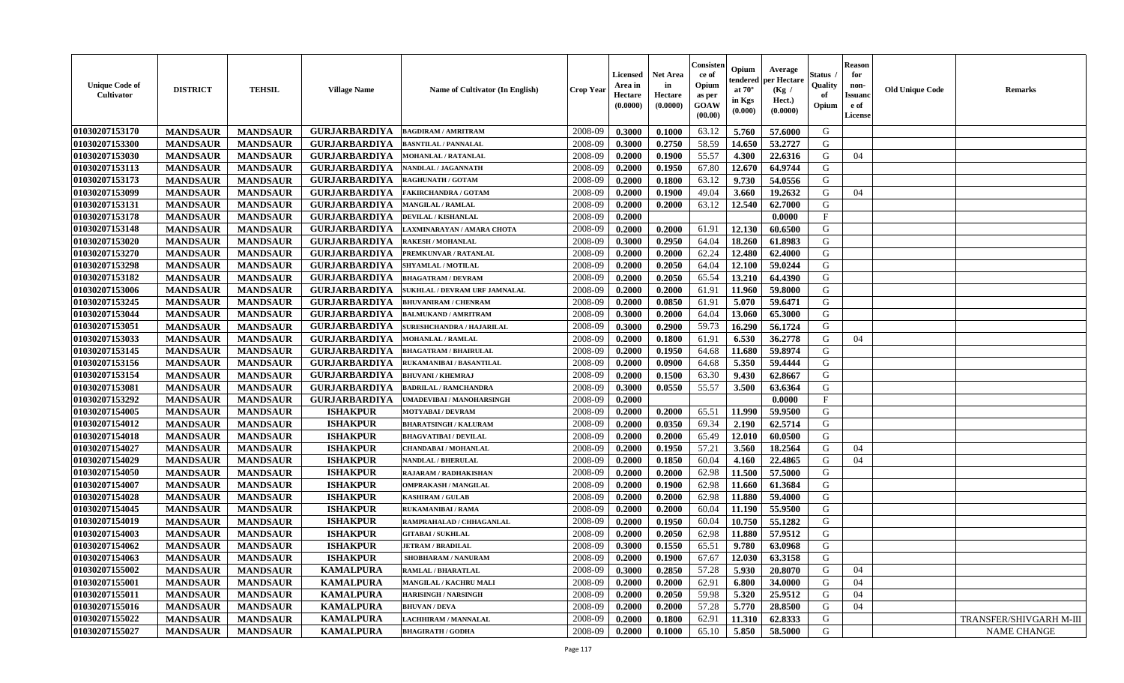| <b>Unique Code of</b><br><b>Cultivator</b> | <b>DISTRICT</b> | <b>TEHSIL</b>   | <b>Village Name</b>  | <b>Name of Cultivator (In English)</b> | <b>Crop Year</b> | <b>Licensed</b><br>Area in<br>Hectare<br>(0.0000) | <b>Net Area</b><br>in<br>Hectare<br>(0.0000) | Consister<br>ce of<br>Opium<br>as per<br><b>GOAW</b><br>(00.00) | Opium<br>endered<br>at $70^\circ$<br>in Kgs<br>$(\mathbf{0.000})$ | Average<br>per Hectare<br>(Kg /<br>Hect.)<br>(0.0000) | Status<br>Quality<br>of<br>Opium | Reason<br>for<br>non-<br>Issuan<br>e of<br><b>License</b> | <b>Old Unique Code</b> | <b>Remarks</b>          |
|--------------------------------------------|-----------------|-----------------|----------------------|----------------------------------------|------------------|---------------------------------------------------|----------------------------------------------|-----------------------------------------------------------------|-------------------------------------------------------------------|-------------------------------------------------------|----------------------------------|-----------------------------------------------------------|------------------------|-------------------------|
| 01030207153170                             | <b>MANDSAUR</b> | <b>MANDSAUR</b> | <b>GURJARBARDIYA</b> | <b>BAGDIRAM / AMRITRAM</b>             | 2008-09          | 0.3000                                            | 0.1000                                       | 63.12                                                           | 5.760                                                             | 57.6000                                               | G                                |                                                           |                        |                         |
| 01030207153300                             | <b>MANDSAUR</b> | <b>MANDSAUR</b> | <b>GURJARBARDIYA</b> | <b>BASNTILAL / PANNALAL</b>            | 2008-09          | 0.3000                                            | 0.2750                                       | 58.59                                                           | 14.650                                                            | 53,2727                                               | G                                |                                                           |                        |                         |
| 01030207153030                             | <b>MANDSAUR</b> | <b>MANDSAUR</b> | <b>GURJARBARDIYA</b> | <b>MOHANLAL / RATANLAL</b>             | 2008-09          | 0.2000                                            | 0.1900                                       | 55.57                                                           | 4.300                                                             | 22.6316                                               | G                                | 04                                                        |                        |                         |
| 01030207153113                             | <b>MANDSAUR</b> | <b>MANDSAUR</b> | <b>GURJARBARDIYA</b> | NANDLAL / JAGANNATH                    | 2008-09          | 0.2000                                            | 0.1950                                       | 67.80                                                           | 12.670                                                            | 64.9744                                               | G                                |                                                           |                        |                         |
| 01030207153173                             | <b>MANDSAUR</b> | <b>MANDSAUR</b> | <b>GURJARBARDIYA</b> | RAGHUNATH / GOTAM                      | 2008-09          | 0.2000                                            | 0.1800                                       | 63.12                                                           | 9.730                                                             | 54.0556                                               | G                                |                                                           |                        |                         |
| 01030207153099                             | <b>MANDSAUR</b> | <b>MANDSAUR</b> | <b>GURJARBARDIYA</b> | <b>FAKIRCHANDRA / GOTAM</b>            | 2008-09          | 0.2000                                            | 0.1900                                       | 49.04                                                           | 3.660                                                             | 19.2632                                               | G                                | 04                                                        |                        |                         |
| 01030207153131                             | <b>MANDSAUR</b> | <b>MANDSAUR</b> | <b>GURJARBARDIYA</b> | MANGILAL / RAMLAL                      | 2008-09          | 0.2000                                            | 0.2000                                       | 63.12                                                           | 12.540                                                            | 62.7000                                               | G                                |                                                           |                        |                         |
| 01030207153178                             | <b>MANDSAUR</b> | <b>MANDSAUR</b> | <b>GURJARBARDIYA</b> | DEVILAL / KISHANLAL                    | 2008-09          | 0.2000                                            |                                              |                                                                 |                                                                   | 0.0000                                                | $\mathbf{F}$                     |                                                           |                        |                         |
| 01030207153148                             | <b>MANDSAUR</b> | <b>MANDSAUR</b> | <b>GURJARBARDIYA</b> | LAXMINARAYAN / AMARA CHOTA             | 2008-09          | 0.2000                                            | 0.2000                                       | 61.91                                                           | 12.130                                                            | 60.6500                                               | G                                |                                                           |                        |                         |
| 01030207153020                             | <b>MANDSAUR</b> | <b>MANDSAUR</b> | <b>GURJARBARDIYA</b> | <b>RAKESH / MOHANLAL</b>               | 2008-09          | 0.3000                                            | 0.2950                                       | 64.04                                                           | 18.260                                                            | 61.8983                                               | G                                |                                                           |                        |                         |
| 01030207153270                             | <b>MANDSAUR</b> | <b>MANDSAUR</b> | <b>GURJARBARDIYA</b> | PREMKUNVAR / RATANLAL                  | 2008-09          | 0.2000                                            | 0.2000                                       | 62.24                                                           | 12.480                                                            | 62.4000                                               | G                                |                                                           |                        |                         |
| 01030207153298                             | <b>MANDSAUR</b> | <b>MANDSAUR</b> | <b>GURJARBARDIYA</b> | SHYAMLAL / MOTILAL                     | 2008-09          | 0.2000                                            | 0.2050                                       | 64.04                                                           | 12.100                                                            | 59.0244                                               | G                                |                                                           |                        |                         |
| 01030207153182                             | <b>MANDSAUR</b> | <b>MANDSAUR</b> | <b>GURJARBARDIYA</b> | <b>BHAGATRAM / DEVRAM</b>              | 2008-09          | 0.2000                                            | 0.2050                                       | 65.54                                                           | 13.210                                                            | 64.4390                                               | G                                |                                                           |                        |                         |
| 01030207153006                             | <b>MANDSAUR</b> | <b>MANDSAUR</b> | <b>GURJARBARDIYA</b> | SUKHLAL / DEVRAM URF JAMNALAL          | 2008-09          | 0.2000                                            | 0.2000                                       | 61.91                                                           | 11.960                                                            | 59.8000                                               | G                                |                                                           |                        |                         |
| 01030207153245                             | <b>MANDSAUR</b> | <b>MANDSAUR</b> | <b>GURJARBARDIYA</b> | <b>BHUVANIRAM / CHENRAM</b>            | 2008-09          | 0.2000                                            | 0.0850                                       | 61.91                                                           | 5.070                                                             | 59.6471                                               | G                                |                                                           |                        |                         |
| 01030207153044                             | <b>MANDSAUR</b> | <b>MANDSAUR</b> | <b>GURJARBARDIYA</b> | <b>BALMUKAND / AMRITRAM</b>            | 2008-09          | 0.3000                                            | 0.2000                                       | 64.04                                                           | 13.060                                                            | 65.3000                                               | G                                |                                                           |                        |                         |
| 01030207153051                             | <b>MANDSAUR</b> | <b>MANDSAUR</b> | <b>GURJARBARDIYA</b> | <b>SURESHCHANDRA / HAJARILAL</b>       | 2008-09          | 0.3000                                            | 0.2900                                       | 59.73                                                           | 16.290                                                            | 56.1724                                               | G                                |                                                           |                        |                         |
| 01030207153033                             | <b>MANDSAUR</b> | <b>MANDSAUR</b> | <b>GURJARBARDIYA</b> | <b>MOHANLAL / RAMLAL</b>               | 2008-09          | 0.2000                                            | 0.1800                                       | 61.91                                                           | 6.530                                                             | 36.2778                                               | G                                | 04                                                        |                        |                         |
| 01030207153145                             | <b>MANDSAUR</b> | <b>MANDSAUR</b> | <b>GURJARBARDIYA</b> | <b>BHAGATRAM / BHAIRULAL</b>           | 2008-09          | 0.2000                                            | 0.1950                                       | 64.68                                                           | 11.680                                                            | 59.8974                                               | G                                |                                                           |                        |                         |
| 01030207153156                             | <b>MANDSAUR</b> | <b>MANDSAUR</b> | <b>GURJARBARDIYA</b> | RUKAMANIBAI / BASANTILAL               | 2008-09          | 0.2000                                            | 0.0900                                       | 64.68                                                           | 5.350                                                             | 59.4444                                               | G                                |                                                           |                        |                         |
| 01030207153154                             | <b>MANDSAUR</b> | <b>MANDSAUR</b> | <b>GURJARBARDIYA</b> | <b>BHUVANI / KHEMRAJ</b>               | 2008-09          | 0.2000                                            | 0.1500                                       | 63.30                                                           | 9.430                                                             | 62.8667                                               | G                                |                                                           |                        |                         |
| 01030207153081                             | <b>MANDSAUR</b> | <b>MANDSAUR</b> | <b>GURJARBARDIYA</b> | <b>BADRILAL / RAMCHANDRA</b>           | 2008-09          | 0.3000                                            | 0.0550                                       | 55.57                                                           | 3.500                                                             | 63.6364                                               | G                                |                                                           |                        |                         |
| 01030207153292                             | <b>MANDSAUR</b> | <b>MANDSAUR</b> | <b>GURJARBARDIYA</b> | UMADEVIBAI / MANOHARSINGH              | 2008-09          | 0.2000                                            |                                              |                                                                 |                                                                   | 0.0000                                                | $\mathbf{F}$                     |                                                           |                        |                         |
| 01030207154005                             | <b>MANDSAUR</b> | <b>MANDSAUR</b> | <b>ISHAKPUR</b>      | <b>MOTYABAI/DEVRAM</b>                 | 2008-09          | 0.2000                                            | 0.2000                                       | 65.51                                                           | 11.990                                                            | 59.9500                                               | G                                |                                                           |                        |                         |
| 01030207154012                             | <b>MANDSAUR</b> | <b>MANDSAUR</b> | <b>ISHAKPUR</b>      | <b>BHARATSINGH / KALURAM</b>           | 2008-09          | 0.2000                                            | 0.0350                                       | 69.34                                                           | 2.190                                                             | 62.5714                                               | G                                |                                                           |                        |                         |
| 01030207154018                             | <b>MANDSAUR</b> | <b>MANDSAUR</b> | <b>ISHAKPUR</b>      | <b>BHAGVATIBAI/DEVILAL</b>             | 2008-09          | 0.2000                                            | 0.2000                                       | 65.49                                                           | 12.010                                                            | 60.0500                                               | G                                |                                                           |                        |                         |
| 01030207154027                             | <b>MANDSAUR</b> | <b>MANDSAUR</b> | <b>ISHAKPUR</b>      | <b>CHANDABAI / MOHANLAL</b>            | 2008-09          | 0.2000                                            | 0.1950                                       | 57.21                                                           | 3.560                                                             | 18.2564                                               | G                                | 04                                                        |                        |                         |
| 01030207154029                             | <b>MANDSAUR</b> | <b>MANDSAUR</b> | <b>ISHAKPUR</b>      | NANDLAL / BHERULAL                     | 2008-09          | 0.2000                                            | 0.1850                                       | 60.04                                                           | 4.160                                                             | 22.4865                                               | G                                | 04                                                        |                        |                         |
| 01030207154050                             | <b>MANDSAUR</b> | <b>MANDSAUR</b> | <b>ISHAKPUR</b>      | <b>RAJARAM / RADHAKISHAN</b>           | 2008-09          | 0.2000                                            | 0.2000                                       | 62.98                                                           | 11.500                                                            | 57.5000                                               | G                                |                                                           |                        |                         |
| 01030207154007                             | <b>MANDSAUR</b> | <b>MANDSAUR</b> | <b>ISHAKPUR</b>      | <b>OMPRAKASH / MANGILAL</b>            | 2008-09          | 0.2000                                            | 0.1900                                       | 62.98                                                           | 11.660                                                            | 61.3684                                               | G                                |                                                           |                        |                         |
| 01030207154028                             | <b>MANDSAUR</b> | <b>MANDSAUR</b> | <b>ISHAKPUR</b>      | <b>KASHIRAM / GULAB</b>                | 2008-09          | 0.2000                                            | 0.2000                                       | 62.98                                                           | 11.880                                                            | 59.4000                                               | G                                |                                                           |                        |                         |
| 01030207154045                             | <b>MANDSAUR</b> | <b>MANDSAUR</b> | <b>ISHAKPUR</b>      | <b>RUKAMANIBAI / RAMA</b>              | 2008-09          | 0.2000                                            | 0.2000                                       | 60.04                                                           | 11.190                                                            | 55.9500                                               | G                                |                                                           |                        |                         |
| 01030207154019                             | <b>MANDSAUR</b> | <b>MANDSAUR</b> | <b>ISHAKPUR</b>      | RAMPRAHALAD / CHHAGANLAL               | 2008-09          | 0.2000                                            | 0.1950                                       | 60.04                                                           | 10.750                                                            | 55.1282                                               | G                                |                                                           |                        |                         |
| 01030207154003                             | <b>MANDSAUR</b> | <b>MANDSAUR</b> | <b>ISHAKPUR</b>      | <b>GITABAI/SUKHLAL</b>                 | 2008-09          | 0.2000                                            | 0.2050                                       | 62.98                                                           | 11.880                                                            | 57.9512                                               | G                                |                                                           |                        |                         |
| 01030207154062                             | <b>MANDSAUR</b> | <b>MANDSAUR</b> | <b>ISHAKPUR</b>      | <b>JETRAM / BRADILAL</b>               | 2008-09          | 0.3000                                            | 0.1550                                       | 65.51                                                           | 9.780                                                             | 63.0968                                               | G                                |                                                           |                        |                         |
| 01030207154063                             | <b>MANDSAUR</b> | <b>MANDSAUR</b> | <b>ISHAKPUR</b>      | <b>SHOBHARAM / NANURAM</b>             | 2008-09          | 0.2000                                            | 0.1900                                       | 67.67                                                           | 12.030                                                            | 63.3158                                               | G                                |                                                           |                        |                         |
| 01030207155002                             | <b>MANDSAUR</b> | <b>MANDSAUR</b> | <b>KAMALPURA</b>     | <b>RAMLAL / BHARATLAL</b>              | 2008-09          | 0.3000                                            | 0.2850                                       | 57.28                                                           | 5.930                                                             | 20.8070                                               | G                                | 04                                                        |                        |                         |
| 01030207155001                             | <b>MANDSAUR</b> | <b>MANDSAUR</b> | <b>KAMALPURA</b>     | MANGILAL / KACHRU MALI                 | 2008-09          | 0.2000                                            | 0.2000                                       | 62.91                                                           | 6.800                                                             | 34.0000                                               | G                                | 04                                                        |                        |                         |
| 01030207155011                             | <b>MANDSAUR</b> | <b>MANDSAUR</b> | <b>KAMALPURA</b>     | <b>HARISINGH / NARSINGH</b>            | 2008-09          | 0.2000                                            | 0.2050                                       | 59.98                                                           | 5.320                                                             | 25.9512                                               | G                                | 04                                                        |                        |                         |
| 01030207155016                             | <b>MANDSAUR</b> | <b>MANDSAUR</b> | <b>KAMALPURA</b>     | <b>BHUVAN / DEVA</b>                   | 2008-09          | 0.2000                                            | 0.2000                                       | 57.28                                                           | 5.770                                                             | 28.8500                                               | G                                | 04                                                        |                        |                         |
| 01030207155022                             | <b>MANDSAUR</b> | <b>MANDSAUR</b> | <b>KAMALPURA</b>     | LACHHIRAM / MANNALAL                   | 2008-09          | 0.2000                                            | 0.1800                                       | 62.91                                                           | 11.310                                                            | 62.8333                                               | G                                |                                                           |                        | TRANSFER/SHIVGARH M-III |
| 01030207155027                             | <b>MANDSAUR</b> | <b>MANDSAUR</b> | <b>KAMALPURA</b>     | <b>BHAGIRATH / GODHA</b>               | 2008-09          | 0.2000                                            | 0.1000                                       | 65.10                                                           | 5.850                                                             | 58.5000                                               | G                                |                                                           |                        | NAME CHANGE             |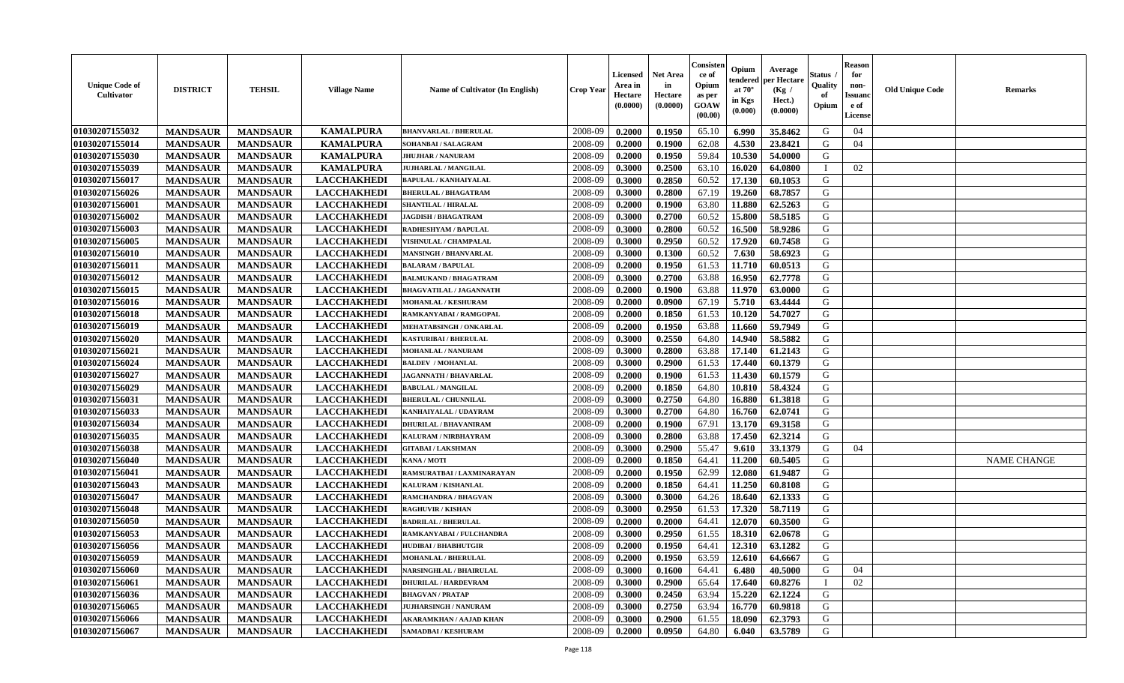| <b>Unique Code of</b><br><b>Cultivator</b> | <b>DISTRICT</b> | <b>TEHSIL</b>   | <b>Village Name</b> | Name of Cultivator (In English) | <b>Crop Year</b> | Licensed<br>Area in<br>Hectare<br>(0.0000) | <b>Net Area</b><br>in<br>Hectare<br>(0.0000) | Consister<br>ce of<br>Opium<br>as per<br>GOAW<br>(00.00) | Opium<br>endered<br>at $70^\circ$<br>in Kgs<br>$(\mathbf{0.000})$ | Average<br>per Hectare<br>(Kg /<br>Hect.)<br>(0.0000) | Status<br>Quality<br>of<br>Opium | <b>Reason</b><br>for<br>non-<br><b>Issuanc</b><br>e of<br>License | <b>Old Unique Code</b> | <b>Remarks</b>     |
|--------------------------------------------|-----------------|-----------------|---------------------|---------------------------------|------------------|--------------------------------------------|----------------------------------------------|----------------------------------------------------------|-------------------------------------------------------------------|-------------------------------------------------------|----------------------------------|-------------------------------------------------------------------|------------------------|--------------------|
| 01030207155032                             | <b>MANDSAUR</b> | <b>MANDSAUR</b> | <b>KAMALPURA</b>    | <b>BHANVARLAL / BHERULAL</b>    | 2008-09          | 0.2000                                     | 0.1950                                       | 65.10                                                    | 6.990                                                             | 35.8462                                               | G                                | 04                                                                |                        |                    |
| 01030207155014                             | <b>MANDSAUR</b> | <b>MANDSAUR</b> | <b>KAMALPURA</b>    | SOHANBAI / SALAGRAM             | 2008-09          | 0.2000                                     | 0.1900                                       | 62.08                                                    | 4.530                                                             | 23.8421                                               | G                                | 04                                                                |                        |                    |
| 01030207155030                             | <b>MANDSAUR</b> | <b>MANDSAUR</b> | <b>KAMALPURA</b>    | <b>JHUJHAR / NANURAM</b>        | 2008-09          | 0.2000                                     | 0.1950                                       | 59.84                                                    | 10.530                                                            | 54.0000                                               | G                                |                                                                   |                        |                    |
| 01030207155039                             | <b>MANDSAUR</b> | <b>MANDSAUR</b> | <b>KAMALPURA</b>    | <b>JUJHARLAL / MANGILAL</b>     | 2008-09          | 0.3000                                     | 0.2500                                       | 63.10                                                    | 16.020                                                            | 64.0800                                               | $\mathbf I$                      | 02                                                                |                        |                    |
| 01030207156017                             | <b>MANDSAUR</b> | <b>MANDSAUR</b> | <b>LACCHAKHEDI</b>  | <b>BAPULAL / KANHAIYALAL</b>    | 2008-09          | 0.3000                                     | 0.2850                                       | 60.52                                                    | 17.130                                                            | 60.1053                                               | G                                |                                                                   |                        |                    |
| 01030207156026                             | <b>MANDSAUR</b> | <b>MANDSAUR</b> | <b>LACCHAKHEDI</b>  | <b>BHERULAL / BHAGATRAM</b>     | 2008-09          | 0.3000                                     | 0.2800                                       | 67.19                                                    | 19.260                                                            | 68.7857                                               | G                                |                                                                   |                        |                    |
| 01030207156001                             | <b>MANDSAUR</b> | <b>MANDSAUR</b> | <b>LACCHAKHEDI</b>  | <b>SHANTILAL / HIRALAL</b>      | 2008-09          | 0.2000                                     | 0.1900                                       | 63.80                                                    | 11.880                                                            | 62.5263                                               | G                                |                                                                   |                        |                    |
| 01030207156002                             | <b>MANDSAUR</b> | <b>MANDSAUR</b> | <b>LACCHAKHEDI</b>  | <b>JAGDISH / BHAGATRAM</b>      | 2008-09          | 0.3000                                     | 0.2700                                       | 60.52                                                    | 15.800                                                            | 58.5185                                               | G                                |                                                                   |                        |                    |
| 01030207156003                             | <b>MANDSAUR</b> | <b>MANDSAUR</b> | <b>LACCHAKHEDI</b>  | RADHESHYAM / BAPULAL            | 2008-09          | 0.3000                                     | 0.2800                                       | 60.52                                                    | 16.500                                                            | 58.9286                                               | G                                |                                                                   |                        |                    |
| 01030207156005                             | <b>MANDSAUR</b> | <b>MANDSAUR</b> | <b>LACCHAKHEDI</b>  | <b>VISHNULAL / CHAMPALAL</b>    | 2008-09          | 0.3000                                     | 0.2950                                       | 60.52                                                    | 17.920                                                            | 60.7458                                               | G                                |                                                                   |                        |                    |
| 01030207156010                             | <b>MANDSAUR</b> | <b>MANDSAUR</b> | <b>LACCHAKHEDI</b>  | <b>MANSINGH / BHANVARLAL</b>    | 2008-09          | 0.3000                                     | 0.1300                                       | 60.52                                                    | 7.630                                                             | 58.6923                                               | G                                |                                                                   |                        |                    |
| 01030207156011                             | <b>MANDSAUR</b> | <b>MANDSAUR</b> | <b>LACCHAKHEDI</b>  | <b>BALARAM / BAPULAL</b>        | 2008-09          | 0.2000                                     | 0.1950                                       | 61.53                                                    | 11.710                                                            | 60.0513                                               | G                                |                                                                   |                        |                    |
| 01030207156012                             | <b>MANDSAUR</b> | <b>MANDSAUR</b> | <b>LACCHAKHEDI</b>  | <b>BALMUKAND / BHAGATRAM</b>    | 2008-09          | 0.3000                                     | 0.2700                                       | 63.88                                                    | 16.950                                                            | 62.7778                                               | G                                |                                                                   |                        |                    |
| 01030207156015                             | <b>MANDSAUR</b> | <b>MANDSAUR</b> | <b>LACCHAKHEDI</b>  | <b>BHAGVATILAL / JAGANNATH</b>  | 2008-09          | 0.2000                                     | 0.1900                                       | 63.88                                                    | 11.970                                                            | 63.0000                                               | G                                |                                                                   |                        |                    |
| 01030207156016                             | <b>MANDSAUR</b> | <b>MANDSAUR</b> | <b>LACCHAKHEDI</b>  | <b>MOHANLAL / KESHURAM</b>      | 2008-09          | 0.2000                                     | 0.0900                                       | 67.19                                                    | 5.710                                                             | 63.4444                                               | ${\bf G}$                        |                                                                   |                        |                    |
| 01030207156018                             | <b>MANDSAUR</b> | <b>MANDSAUR</b> | <b>LACCHAKHEDI</b>  | RAMKANYABAI/RAMGOPAL            | 2008-09          | 0.2000                                     | 0.1850                                       | 61.53                                                    | 10.120                                                            | 54.7027                                               | G                                |                                                                   |                        |                    |
| 01030207156019                             | <b>MANDSAUR</b> | <b>MANDSAUR</b> | <b>LACCHAKHEDI</b>  | <b>MEHATABSINGH / ONKARLAL</b>  | 2008-09          | 0.2000                                     | 0.1950                                       | 63.88                                                    | 11.660                                                            | 59.7949                                               | ${\bf G}$                        |                                                                   |                        |                    |
| 01030207156020                             | <b>MANDSAUR</b> | <b>MANDSAUR</b> | <b>LACCHAKHEDI</b>  | <b>KASTURIBAI / BHERULAL</b>    | 2008-09          | 0.3000                                     | 0.2550                                       | 64.80                                                    | 14.940                                                            | 58.5882                                               | G                                |                                                                   |                        |                    |
| 01030207156021                             | <b>MANDSAUR</b> | <b>MANDSAUR</b> | <b>LACCHAKHEDI</b>  | <b>MOHANLAL / NANURAM</b>       | 2008-09          | 0.3000                                     | 0.2800                                       | 63.88                                                    | 17.140                                                            | 61.2143                                               | G                                |                                                                   |                        |                    |
| 01030207156024                             | <b>MANDSAUR</b> | <b>MANDSAUR</b> | <b>LACCHAKHEDI</b>  | <b>BALDEV / MOHANLAL</b>        | 2008-09          | 0.3000                                     | 0.2900                                       | 61.53                                                    | 17.440                                                            | 60.1379                                               | G                                |                                                                   |                        |                    |
| 01030207156027                             | <b>MANDSAUR</b> | <b>MANDSAUR</b> | <b>LACCHAKHEDI</b>  | <b>JAGANNATH / BHAVARLAL</b>    | 2008-09          | 0.2000                                     | 0.1900                                       | 61.53                                                    | 11.430                                                            | 60.1579                                               | G                                |                                                                   |                        |                    |
| 01030207156029                             | <b>MANDSAUR</b> | <b>MANDSAUR</b> | <b>LACCHAKHEDI</b>  | <b>BABULAL / MANGILAL</b>       | 2008-09          | 0.2000                                     | 0.1850                                       | 64.80                                                    | 10.810                                                            | 58.4324                                               | G                                |                                                                   |                        |                    |
| 01030207156031                             | <b>MANDSAUR</b> | <b>MANDSAUR</b> | <b>LACCHAKHEDI</b>  | <b>BHERULAL / CHUNNILAL</b>     | 2008-09          | 0.3000                                     | 0.2750                                       | 64.80                                                    | 16.880                                                            | 61.3818                                               | ${\bf G}$                        |                                                                   |                        |                    |
| 01030207156033                             | <b>MANDSAUR</b> | <b>MANDSAUR</b> | <b>LACCHAKHEDI</b>  | KANHAIYALAL / UDAYRAM           | 2008-09          | 0.3000                                     | 0.2700                                       | 64.80                                                    | 16.760                                                            | 62.0741                                               | ${\bf G}$                        |                                                                   |                        |                    |
| 01030207156034                             | <b>MANDSAUR</b> | <b>MANDSAUR</b> | <b>LACCHAKHEDI</b>  | <b>DHURILAL / BHAVANIRAM</b>    | 2008-09          | 0.2000                                     | 0.1900                                       | 67.91                                                    | 13.170                                                            | 69.3158                                               | G                                |                                                                   |                        |                    |
| 01030207156035                             | <b>MANDSAUR</b> | <b>MANDSAUR</b> | <b>LACCHAKHEDI</b>  | KALURAM / NIRBHAYRAM            | 2008-09          | 0.3000                                     | 0.2800                                       | 63.88                                                    | 17.450                                                            | 62.3214                                               | G                                |                                                                   |                        |                    |
| 01030207156038                             | <b>MANDSAUR</b> | <b>MANDSAUR</b> | <b>LACCHAKHEDI</b>  | <b>GITABAI/LAKSHMAN</b>         | 2008-09          | 0.3000                                     | 0.2900                                       | 55.47                                                    | 9.610                                                             | 33.1379                                               | G                                | 04                                                                |                        |                    |
| 01030207156040                             | <b>MANDSAUR</b> | <b>MANDSAUR</b> | <b>LACCHAKHEDI</b>  | KANA / MOTI                     | 2008-09          | 0.2000                                     | 0.1850                                       | 64.41                                                    | 11.200                                                            | 60.5405                                               | G                                |                                                                   |                        | <b>NAME CHANGE</b> |
| 01030207156041                             | <b>MANDSAUR</b> | <b>MANDSAUR</b> | <b>LACCHAKHEDI</b>  | RAMSURATBAI / LAXMINARAYAN      | 2008-09          | 0.2000                                     | 0.1950                                       | 62.99                                                    | 12.080                                                            | 61.9487                                               | G                                |                                                                   |                        |                    |
| 01030207156043                             | <b>MANDSAUR</b> | <b>MANDSAUR</b> | <b>LACCHAKHEDI</b>  | KALURAM / KISHANLAL             | 2008-09          | 0.2000                                     | 0.1850                                       | 64.41                                                    | 11.250                                                            | 60.8108                                               | G                                |                                                                   |                        |                    |
| 01030207156047                             | <b>MANDSAUR</b> | <b>MANDSAUR</b> | <b>LACCHAKHEDI</b>  | <b>RAMCHANDRA / BHAGVAN</b>     | 2008-09          | 0.3000                                     | 0.3000                                       | 64.26                                                    | 18.640                                                            | 62.1333                                               | G                                |                                                                   |                        |                    |
| 01030207156048                             | <b>MANDSAUR</b> | <b>MANDSAUR</b> | <b>LACCHAKHEDI</b>  | <b>RAGHUVIR / KISHAN</b>        | 2008-09          | 0.3000                                     | 0.2950                                       | 61.53                                                    | 17.320                                                            | 58.7119                                               | G                                |                                                                   |                        |                    |
| 01030207156050                             | <b>MANDSAUR</b> | <b>MANDSAUR</b> | <b>LACCHAKHEDI</b>  | <b>BADRILAL / BHERULAL</b>      | 2008-09          | 0.2000                                     | 0.2000                                       | 64.41                                                    | 12.070                                                            | 60.3500                                               | G                                |                                                                   |                        |                    |
| 01030207156053                             | <b>MANDSAUR</b> | <b>MANDSAUR</b> | <b>LACCHAKHEDI</b>  | RAMKANYABAI / FULCHANDRA        | 2008-09          | 0.3000                                     | 0.2950                                       | 61.55                                                    | 18.310                                                            | 62.0678                                               | G                                |                                                                   |                        |                    |
| 01030207156056                             | <b>MANDSAUR</b> | <b>MANDSAUR</b> | <b>LACCHAKHEDI</b>  | <b>HUDIBAI/BHABHUTGIR</b>       | 2008-09          | 0.2000                                     | 0.1950                                       | 64.41                                                    | 12.310                                                            | 63.1282                                               | ${\bf G}$                        |                                                                   |                        |                    |
| 01030207156059                             | <b>MANDSAUR</b> | <b>MANDSAUR</b> | <b>LACCHAKHEDI</b>  | <b>MOHANLAL / BHERULAL</b>      | 2008-09          | 0.2000                                     | 0.1950                                       | 63.59                                                    | 12.610                                                            | 64.6667                                               | G                                |                                                                   |                        |                    |
| 01030207156060                             | <b>MANDSAUR</b> | <b>MANDSAUR</b> | <b>LACCHAKHEDI</b>  | <b>NARSINGHLAL / BHAIRULAL</b>  | 2008-09          | 0.3000                                     | 0.1600                                       | 64.41                                                    | 6.480                                                             | 40.5000                                               | G                                | 04                                                                |                        |                    |
| 01030207156061                             | <b>MANDSAUR</b> | <b>MANDSAUR</b> | <b>LACCHAKHEDI</b>  | DHURILAL / HARDEVRAM            | 2008-09          | 0.3000                                     | 0.2900                                       | 65.64                                                    | 17.640                                                            | 60.8276                                               | $\mathbf I$                      | 02                                                                |                        |                    |
| 01030207156036                             | <b>MANDSAUR</b> | <b>MANDSAUR</b> | <b>LACCHAKHEDI</b>  | <b>BHAGVAN / PRATAP</b>         | 2008-09          | 0.3000                                     | 0.2450                                       | 63.94                                                    | 15.220                                                            | 62.1224                                               | G                                |                                                                   |                        |                    |
| 01030207156065                             | <b>MANDSAUR</b> | <b>MANDSAUR</b> | <b>LACCHAKHEDI</b>  | <b>IUJHARSINGH / NANURAM</b>    | 2008-09          | 0.3000                                     | 0.2750                                       | 63.94                                                    | 16.770                                                            | 60.9818                                               | ${\bf G}$                        |                                                                   |                        |                    |
| 01030207156066                             | <b>MANDSAUR</b> | <b>MANDSAUR</b> | <b>LACCHAKHEDI</b>  | AKARAMKHAN / AAJAD KHAN         | 2008-09          | 0.3000                                     | 0.2900                                       | 61.55                                                    | 18.090                                                            | 62.3793                                               | G                                |                                                                   |                        |                    |
| 01030207156067                             | <b>MANDSAUR</b> | <b>MANDSAUR</b> | <b>LACCHAKHEDI</b>  | SAMADBAI / KESHURAM             | 2008-09          | 0.2000                                     | 0.0950                                       | 64.80                                                    | 6.040                                                             | 63.5789                                               | G                                |                                                                   |                        |                    |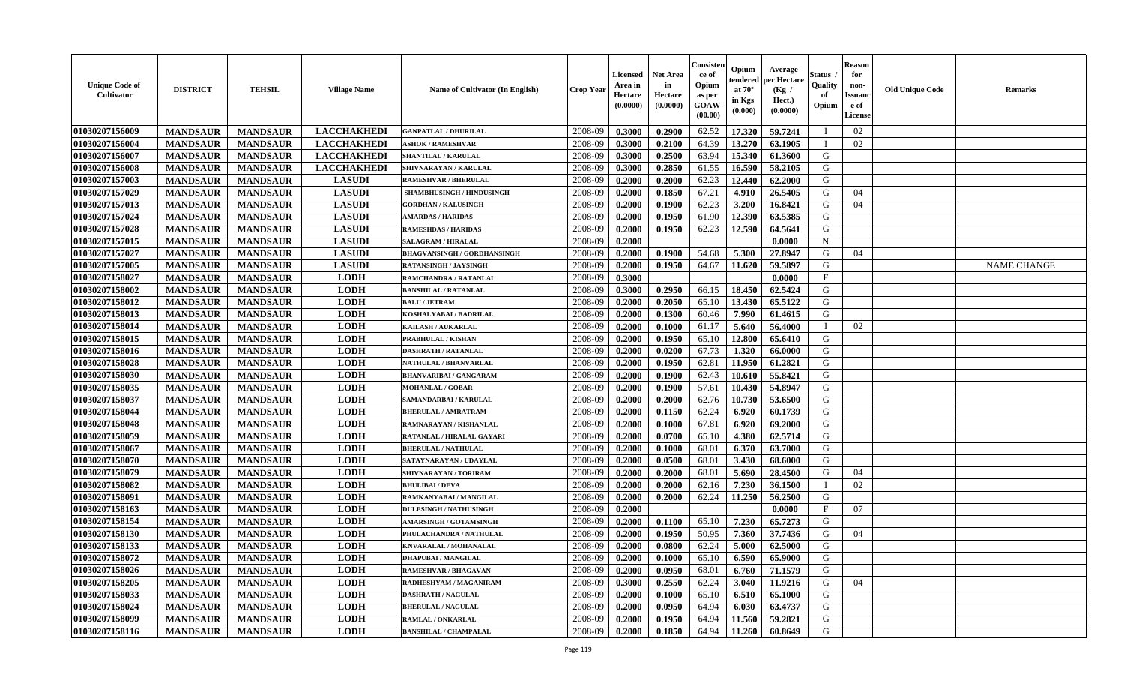| <b>Unique Code of</b><br><b>Cultivator</b> | <b>DISTRICT</b> | <b>TEHSIL</b>   | <b>Village Name</b> | Name of Cultivator (In English)    | <b>Crop Year</b> | Licensed<br>Area in<br>Hectare<br>(0.0000) | <b>Net Area</b><br>in<br>Hectare<br>(0.0000) | Consisteı<br>ce of<br>Opium<br>as per<br>GOAW<br>(00.00) | Opium<br>endered<br>at $70^\circ$<br>in Kgs<br>(0.000) | Average<br>per Hectare<br>(Kg /<br>Hect.)<br>(0.0000) | Status<br>Quality<br>of<br>Opium | <b>Reason</b><br>for<br>non-<br>Issuano<br>e of<br>License | <b>Old Unique Code</b> | Remarks            |
|--------------------------------------------|-----------------|-----------------|---------------------|------------------------------------|------------------|--------------------------------------------|----------------------------------------------|----------------------------------------------------------|--------------------------------------------------------|-------------------------------------------------------|----------------------------------|------------------------------------------------------------|------------------------|--------------------|
| 01030207156009                             | <b>MANDSAUR</b> | <b>MANDSAUR</b> | <b>LACCHAKHEDI</b>  | <b>GANPATLAL / DHURILAL</b>        | 2008-09          | 0.3000                                     | 0.2900                                       | 62.52                                                    | 17.320                                                 | 59.7241                                               | П                                | 02                                                         |                        |                    |
| 01030207156004                             | <b>MANDSAUR</b> | <b>MANDSAUR</b> | <b>LACCHAKHEDI</b>  | <b>ASHOK / RAMESHVAR</b>           | 2008-09          | 0.3000                                     | 0.2100                                       | 64.39                                                    | 13.270                                                 | 63.1905                                               | П                                | 02                                                         |                        |                    |
| 01030207156007                             | <b>MANDSAUR</b> | <b>MANDSAUR</b> | <b>LACCHAKHEDI</b>  | SHANTILAL / KARULAL                | 2008-09          | 0.3000                                     | 0.2500                                       | 63.94                                                    | 15.340                                                 | 61.3600                                               | G                                |                                                            |                        |                    |
| 01030207156008                             | <b>MANDSAUR</b> | <b>MANDSAUR</b> | <b>LACCHAKHEDI</b>  | SHIVNARAYAN / KARULAL              | 2008-09          | 0.3000                                     | 0.2850                                       | 61.55                                                    | 16.590                                                 | 58.2105                                               | G                                |                                                            |                        |                    |
| 01030207157003                             | <b>MANDSAUR</b> | <b>MANDSAUR</b> | <b>LASUDI</b>       | <b>RAMESHVAR / BHERULAL</b>        | 2008-09          | 0.2000                                     | 0.2000                                       | 62.23                                                    | 12.440                                                 | 62.2000                                               | G                                |                                                            |                        |                    |
| 01030207157029                             | <b>MANDSAUR</b> | <b>MANDSAUR</b> | <b>LASUDI</b>       | SHAMBHUSINGH / HINDUSINGH          | 2008-09          | 0.2000                                     | 0.1850                                       | 67.21                                                    | 4.910                                                  | 26.5405                                               | G                                | 04                                                         |                        |                    |
| 01030207157013                             | <b>MANDSAUR</b> | <b>MANDSAUR</b> | <b>LASUDI</b>       | <b>GORDHAN / KALUSINGH</b>         | 2008-09          | 0.2000                                     | 0.1900                                       | 62.23                                                    | 3.200                                                  | 16.8421                                               | G                                | 04                                                         |                        |                    |
| 01030207157024                             | <b>MANDSAUR</b> | <b>MANDSAUR</b> | <b>LASUDI</b>       | <b>AMARDAS / HARIDAS</b>           | 2008-09          | 0.2000                                     | 0.1950                                       | 61.90                                                    | 12.390                                                 | 63.5385                                               | G                                |                                                            |                        |                    |
| 01030207157028                             | <b>MANDSAUR</b> | <b>MANDSAUR</b> | <b>LASUDI</b>       | <b>RAMESHDAS / HARIDAS</b>         | 2008-09          | 0.2000                                     | 0.1950                                       | 62.23                                                    | 12.590                                                 | 64.5641                                               | G                                |                                                            |                        |                    |
| 01030207157015                             | <b>MANDSAUR</b> | <b>MANDSAUR</b> | <b>LASUDI</b>       | <b>SALAGRAM / HIRALAL</b>          | 2008-09          | 0.2000                                     |                                              |                                                          |                                                        | 0.0000                                                | $\mathbf N$                      |                                                            |                        |                    |
| 01030207157027                             | <b>MANDSAUR</b> | <b>MANDSAUR</b> | <b>LASUDI</b>       | <b>BHAGVANSINGH / GORDHANSINGH</b> | 2008-09          | 0.2000                                     | 0.1900                                       | 54.68                                                    | 5.300                                                  | 27.8947                                               | G                                | 04                                                         |                        |                    |
| 01030207157005                             | <b>MANDSAUR</b> | <b>MANDSAUR</b> | <b>LASUDI</b>       | <b>RATANSINGH / JAYSINGH</b>       | 2008-09          | 0.2000                                     | 0.1950                                       | 64.67                                                    | 11.620                                                 | 59.5897                                               | G                                |                                                            |                        | <b>NAME CHANGE</b> |
| 01030207158027                             | <b>MANDSAUR</b> | <b>MANDSAUR</b> | <b>LODH</b>         | RAMCHANDRA / RATANLAL              | 2008-09          | 0.3000                                     |                                              |                                                          |                                                        | 0.0000                                                | $\mathbf{F}$                     |                                                            |                        |                    |
| 01030207158002                             | <b>MANDSAUR</b> | <b>MANDSAUR</b> | <b>LODH</b>         | <b>BANSHILAL / RATANLAL</b>        | 2008-09          | 0.3000                                     | 0.2950                                       | 66.15                                                    | 18.450                                                 | 62.5424                                               | G                                |                                                            |                        |                    |
| 01030207158012                             | <b>MANDSAUR</b> | <b>MANDSAUR</b> | <b>LODH</b>         | <b>BALU / JETRAM</b>               | 2008-09          | 0.2000                                     | 0.2050                                       | 65.10                                                    | 13.430                                                 | 65.5122                                               | $\mathbf G$                      |                                                            |                        |                    |
| 01030207158013                             | <b>MANDSAUR</b> | <b>MANDSAUR</b> | <b>LODH</b>         | KOSHALYABAI / BADRILAL             | 2008-09          | 0.2000                                     | 0.1300                                       | 60.46                                                    | 7.990                                                  | 61.4615                                               | G                                |                                                            |                        |                    |
| 01030207158014                             | <b>MANDSAUR</b> | <b>MANDSAUR</b> | <b>LODH</b>         | KAILASH / AUKARLAL                 | 2008-09          | 0.2000                                     | 0.1000                                       | 61.17                                                    | 5.640                                                  | 56.4000                                               | T                                | 02                                                         |                        |                    |
| 01030207158015                             | <b>MANDSAUR</b> | <b>MANDSAUR</b> | <b>LODH</b>         | PRABHULAL / KISHAN                 | 2008-09          | 0.2000                                     | 0.1950                                       | 65.10                                                    | 12.800                                                 | 65.6410                                               | G                                |                                                            |                        |                    |
| 01030207158016                             | <b>MANDSAUR</b> | <b>MANDSAUR</b> | <b>LODH</b>         | <b>DASHRATH / RATANLAL</b>         | 2008-09          | 0.2000                                     | 0.0200                                       | 67.73                                                    | 1.320                                                  | 66.0000                                               | G                                |                                                            |                        |                    |
| 01030207158028                             | <b>MANDSAUR</b> | <b>MANDSAUR</b> | <b>LODH</b>         | NATHULAL / BHANVARLAL              | 2008-09          | 0.2000                                     | 0.1950                                       | 62.81                                                    | 11.950                                                 | 61.2821                                               | G                                |                                                            |                        |                    |
| 01030207158030                             | <b>MANDSAUR</b> | <b>MANDSAUR</b> | <b>LODH</b>         | <b>BHANVARIBAI / GANGARAM</b>      | 2008-09          | 0.2000                                     | 0.1900                                       | 62.43                                                    | 10.610                                                 | 55.8421                                               | G                                |                                                            |                        |                    |
| 01030207158035                             | <b>MANDSAUR</b> | <b>MANDSAUR</b> | <b>LODH</b>         | <b>MOHANLAL / GOBAR</b>            | 2008-09          | 0.2000                                     | 0.1900                                       | 57.61                                                    | 10.430                                                 | 54.8947                                               | G                                |                                                            |                        |                    |
| 01030207158037                             | <b>MANDSAUR</b> | <b>MANDSAUR</b> | <b>LODH</b>         | SAMANDARBAI / KARULAL              | 2008-09          | 0.2000                                     | 0.2000                                       | 62.76                                                    | 10.730                                                 | 53.6500                                               | G                                |                                                            |                        |                    |
| 01030207158044                             | <b>MANDSAUR</b> | <b>MANDSAUR</b> | <b>LODH</b>         | <b>BHERULAL / AMRATRAM</b>         | 2008-09          | 0.2000                                     | 0.1150                                       | 62.24                                                    | 6.920                                                  | 60.1739                                               | G                                |                                                            |                        |                    |
| 01030207158048                             | <b>MANDSAUR</b> | <b>MANDSAUR</b> | <b>LODH</b>         | RAMNARAYAN / KISHANLAL             | 2008-09          | 0.2000                                     | 0.1000                                       | 67.81                                                    | 6.920                                                  | 69.2000                                               | G                                |                                                            |                        |                    |
| 01030207158059                             | <b>MANDSAUR</b> | <b>MANDSAUR</b> | <b>LODH</b>         | RATANLAL / HIRALAL GAYARI          | 2008-09          | 0.2000                                     | 0.0700                                       | 65.10                                                    | 4.380                                                  | 62.5714                                               | G                                |                                                            |                        |                    |
| 01030207158067                             | <b>MANDSAUR</b> | <b>MANDSAUR</b> | <b>LODH</b>         | <b>BHERULAL / NATHULAL</b>         | 2008-09          | 0.2000                                     | 0.1000                                       | 68.01                                                    | 6.370                                                  | 63.7000                                               | G                                |                                                            |                        |                    |
| 01030207158070                             | <b>MANDSAUR</b> | <b>MANDSAUR</b> | <b>LODH</b>         | SATAYNARAYAN / UDAYLAL             | 2008-09          | 0.2000                                     | 0.0500                                       | 68.01                                                    | 3.430                                                  | 68.6000                                               | G                                |                                                            |                        |                    |
| 01030207158079                             | <b>MANDSAUR</b> | <b>MANDSAUR</b> | <b>LODH</b>         | SHIVNARAYAN / TORIRAM              | 2008-09          | 0.2000                                     | 0.2000                                       | 68.01                                                    | 5.690                                                  | 28.4500                                               | G                                | 04                                                         |                        |                    |
| 01030207158082                             | <b>MANDSAUR</b> | <b>MANDSAUR</b> | <b>LODH</b>         | <b>BHULIBAI/DEVA</b>               | 2008-09          | 0.2000                                     | 0.2000                                       | 62.16                                                    | 7.230                                                  | 36.1500                                               | T                                | 02                                                         |                        |                    |
| 01030207158091                             | <b>MANDSAUR</b> | <b>MANDSAUR</b> | <b>LODH</b>         | RAMKANYABAI / MANGILAL             | 2008-09          | 0.2000                                     | 0.2000                                       | 62.24                                                    | 11.250                                                 | 56.2500                                               | G                                |                                                            |                        |                    |
| 01030207158163                             | <b>MANDSAUR</b> | <b>MANDSAUR</b> | <b>LODH</b>         | <b>DULESINGH / NATHUSINGH</b>      | 2008-09          | 0.2000                                     |                                              |                                                          |                                                        | 0.0000                                                | $\mathbf{F}$                     | 07                                                         |                        |                    |
| 01030207158154                             | <b>MANDSAUR</b> | <b>MANDSAUR</b> | <b>LODH</b>         | <b>AMARSINGH / GOTAMSINGH</b>      | 2008-09          | 0.2000                                     | 0.1100                                       | 65.10                                                    | 7.230                                                  | 65.7273                                               | G                                |                                                            |                        |                    |
| 01030207158130                             | <b>MANDSAUR</b> | <b>MANDSAUR</b> | <b>LODH</b>         | PHULACHANDRA / NATHULAL            | 2008-09          | 0.2000                                     | 0.1950                                       | 50.95                                                    | 7.360                                                  | 37.7436                                               | G                                | 04                                                         |                        |                    |
| 01030207158133                             | <b>MANDSAUR</b> | <b>MANDSAUR</b> | <b>LODH</b>         | KNVARALAL / MOHANALAL              | 2008-09          | 0.2000                                     | 0.0800                                       | 62.24                                                    | 5.000                                                  | 62.5000                                               | G                                |                                                            |                        |                    |
| 01030207158072                             | <b>MANDSAUR</b> | <b>MANDSAUR</b> | <b>LODH</b>         | <b>DHAPUBAI/MANGILAL</b>           | 2008-09          | 0.2000                                     | 0.1000                                       | 65.10                                                    | 6.590                                                  | 65.9000                                               | G                                |                                                            |                        |                    |
| 01030207158026                             | <b>MANDSAUR</b> | <b>MANDSAUR</b> | <b>LODH</b>         | <b>RAMESHVAR / BHAGAVAN</b>        | 2008-09          | 0.2000                                     | 0.0950                                       | 68.01                                                    | 6.760                                                  | 71.1579                                               | G                                |                                                            |                        |                    |
| 01030207158205                             | <b>MANDSAUR</b> | <b>MANDSAUR</b> | <b>LODH</b>         | RADHESHYAM / MAGANIRAM             | 2008-09          | 0.3000                                     | 0.2550                                       | 62.24                                                    | 3.040                                                  | 11.9216                                               | G                                | 04                                                         |                        |                    |
| 01030207158033                             | <b>MANDSAUR</b> | <b>MANDSAUR</b> | <b>LODH</b>         | <b>DASHRATH / NAGULAL</b>          | 2008-09          | 0.2000                                     | 0.1000                                       | 65.10                                                    | 6.510                                                  | 65.1000                                               | G                                |                                                            |                        |                    |
| 01030207158024                             | <b>MANDSAUR</b> | <b>MANDSAUR</b> | <b>LODH</b>         | <b>BHERULAL / NAGULAL</b>          | 2008-09          | 0.2000                                     | 0.0950                                       | 64.94                                                    | 6.030                                                  | 63.4737                                               | G                                |                                                            |                        |                    |
| 01030207158099                             | <b>MANDSAUR</b> | <b>MANDSAUR</b> | <b>LODH</b>         | RAMLAL / ONKARLAL                  | 2008-09          | 0.2000                                     | 0.1950                                       | 64.94                                                    | 11.560                                                 | 59.2821                                               | G                                |                                                            |                        |                    |
| 01030207158116                             | <b>MANDSAUR</b> |                 | <b>LODH</b>         | <b>BANSHILAL / CHAMPALAL</b>       | 2008-09          | 0.2000                                     | 0.1850                                       | 64.94                                                    | 11.260                                                 | 60.8649                                               | G                                |                                                            |                        |                    |
|                                            |                 | <b>MANDSAUR</b> |                     |                                    |                  |                                            |                                              |                                                          |                                                        |                                                       |                                  |                                                            |                        |                    |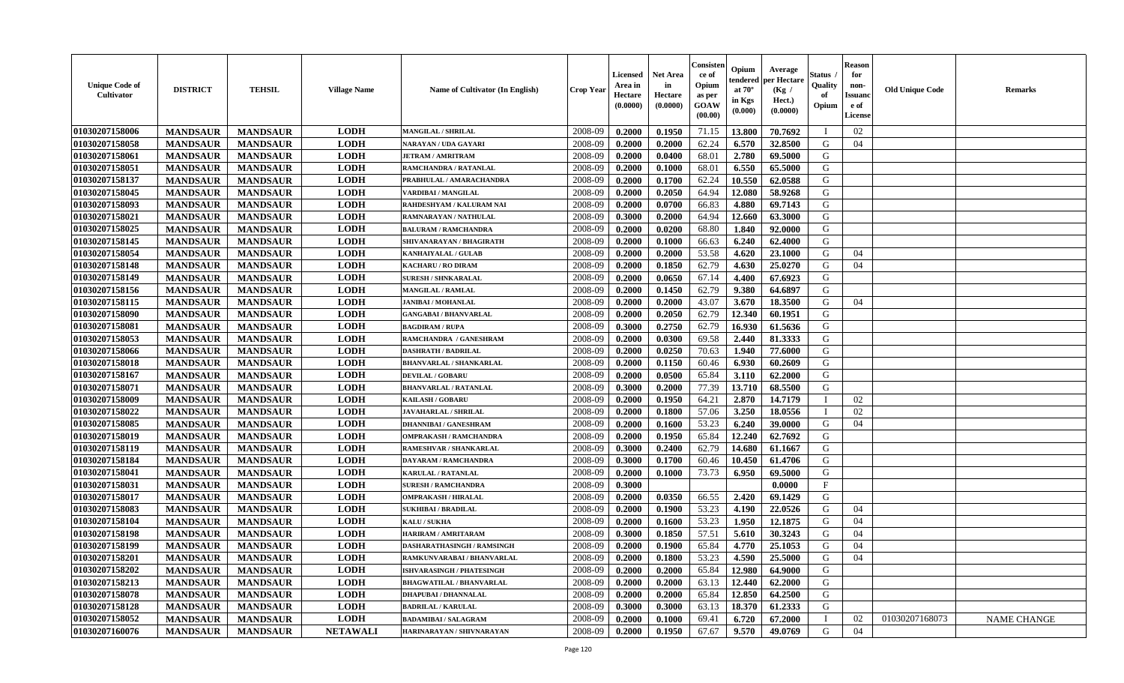| <b>Unique Code of</b><br><b>Cultivator</b> | <b>DISTRICT</b> | <b>TEHSIL</b>   | <b>Village Name</b> | <b>Name of Cultivator (In English)</b> | <b>Crop Year</b> | Licensed<br>Area in<br>Hectare<br>(0.0000) | <b>Net Area</b><br>in<br>Hectare<br>(0.0000) | Consisteı<br>ce of<br>Opium<br>as per<br>GOAW<br>(00.00) | Opium<br>endered<br>at $70^\circ$<br>in Kgs<br>(0.000) | Average<br>per Hectare<br>(Kg /<br>Hect.)<br>(0.0000) | Status<br>Quality<br>of<br>Opium | <b>Reason</b><br>for<br>non-<br><b>Issuand</b><br>e of<br><b>License</b> | <b>Old Unique Code</b> | <b>Remarks</b>     |
|--------------------------------------------|-----------------|-----------------|---------------------|----------------------------------------|------------------|--------------------------------------------|----------------------------------------------|----------------------------------------------------------|--------------------------------------------------------|-------------------------------------------------------|----------------------------------|--------------------------------------------------------------------------|------------------------|--------------------|
| 01030207158006                             | <b>MANDSAUR</b> | <b>MANDSAUR</b> | <b>LODH</b>         | <b>MANGILAL / SHRILAL</b>              | 2008-09          | 0.2000                                     | 0.1950                                       | 71.15                                                    | 13.800                                                 | 70.7692                                               | П                                | 02                                                                       |                        |                    |
| 01030207158058                             | <b>MANDSAUR</b> | <b>MANDSAUR</b> | <b>LODH</b>         | NARAYAN / UDA GAYARI                   | 2008-09          | 0.2000                                     | 0.2000                                       | 62.24                                                    | 6.570                                                  | 32.8500                                               | G                                | 04                                                                       |                        |                    |
| 01030207158061                             | <b>MANDSAUR</b> | <b>MANDSAUR</b> | <b>LODH</b>         | <b>JETRAM / AMRITRAM</b>               | 2008-09          | 0.2000                                     | 0.0400                                       | 68.01                                                    | 2.780                                                  | 69.5000                                               | G                                |                                                                          |                        |                    |
| 01030207158051                             | <b>MANDSAUR</b> | <b>MANDSAUR</b> | <b>LODH</b>         | RAMCHANDRA / RATANLAL                  | 2008-09          | 0.2000                                     | 0.1000                                       | 68.01                                                    | 6.550                                                  | 65.5000                                               | G                                |                                                                          |                        |                    |
| 01030207158137                             | <b>MANDSAUR</b> | <b>MANDSAUR</b> | <b>LODH</b>         | PRABHULAL / AMARACHANDRA               | 2008-09          | 0.2000                                     | 0.1700                                       | 62.24                                                    | 10.550                                                 | 62.0588                                               | G                                |                                                                          |                        |                    |
| 01030207158045                             | <b>MANDSAUR</b> | <b>MANDSAUR</b> | <b>LODH</b>         | VARDIBAI / MANGILAL                    | 2008-09          | 0.2000                                     | 0.2050                                       | 64.94                                                    | 12.080                                                 | 58.9268                                               | G                                |                                                                          |                        |                    |
| 01030207158093                             | <b>MANDSAUR</b> | <b>MANDSAUR</b> | <b>LODH</b>         | RAHDESHYAM / KALURAM NAI               | 2008-09          | 0.2000                                     | 0.0700                                       | 66.83                                                    | 4.880                                                  | 69.7143                                               | G                                |                                                                          |                        |                    |
| 01030207158021                             | <b>MANDSAUR</b> | <b>MANDSAUR</b> | <b>LODH</b>         | RAMNARAYAN / NATHULAL                  | 2008-09          | 0.3000                                     | 0.2000                                       | 64.94                                                    | 12.660                                                 | 63.3000                                               | G                                |                                                                          |                        |                    |
| 01030207158025                             | <b>MANDSAUR</b> | <b>MANDSAUR</b> | <b>LODH</b>         | <b>BALURAM / RAMCHANDRA</b>            | 2008-09          | 0.2000                                     | 0.0200                                       | 68.80                                                    | 1.840                                                  | 92.0000                                               | G                                |                                                                          |                        |                    |
| 01030207158145                             | <b>MANDSAUR</b> | <b>MANDSAUR</b> | <b>LODH</b>         | SHIVANARAYAN / BHAGIRATH               | 2008-09          | 0.2000                                     | 0.1000                                       | 66.63                                                    | 6.240                                                  | 62.4000                                               | G                                |                                                                          |                        |                    |
| 01030207158054                             | <b>MANDSAUR</b> | <b>MANDSAUR</b> | <b>LODH</b>         | <b>KANHAIYALAL / GULAB</b>             | 2008-09          | 0.2000                                     | 0.2000                                       | 53.58                                                    | 4.620                                                  | 23.1000                                               | G                                | 04                                                                       |                        |                    |
| 01030207158148                             | <b>MANDSAUR</b> | <b>MANDSAUR</b> | <b>LODH</b>         | <b>KACHARU / RO DIRAM</b>              | 2008-09          | 0.2000                                     | 0.1850                                       | 62.79                                                    | 4.630                                                  | 25.0270                                               | G                                | 04                                                                       |                        |                    |
| 01030207158149                             | <b>MANDSAUR</b> | <b>MANDSAUR</b> | <b>LODH</b>         | <b>SURESH / SHNKARALAL</b>             | 2008-09          | 0.2000                                     | 0.0650                                       | 67.14                                                    | 4.400                                                  | 67.6923                                               | G                                |                                                                          |                        |                    |
| 01030207158156                             | <b>MANDSAUR</b> | <b>MANDSAUR</b> | <b>LODH</b>         | <b>MANGILAL / RAMLAL</b>               | 2008-09          | 0.2000                                     | 0.1450                                       | 62.79                                                    | 9.380                                                  | 64.6897                                               | G                                |                                                                          |                        |                    |
| 01030207158115                             | <b>MANDSAUR</b> | <b>MANDSAUR</b> | <b>LODH</b>         | <b>JANIBAI / MOHANLAL</b>              | 2008-09          | 0.2000                                     | 0.2000                                       | 43.07                                                    | 3.670                                                  | 18.3500                                               | G                                | 04                                                                       |                        |                    |
| 01030207158090                             | <b>MANDSAUR</b> | <b>MANDSAUR</b> | <b>LODH</b>         | <b>GANGABAI / BHANVARLAL</b>           | 2008-09          | 0.2000                                     | 0.2050                                       | 62.79                                                    | 12.340                                                 | 60.1951                                               | G                                |                                                                          |                        |                    |
| 01030207158081                             | <b>MANDSAUR</b> | <b>MANDSAUR</b> | <b>LODH</b>         | <b>BAGDIRAM / RUPA</b>                 | 2008-09          | 0.3000                                     | 0.2750                                       | 62.79                                                    | 16.930                                                 | 61.5636                                               | G                                |                                                                          |                        |                    |
| 01030207158053                             | <b>MANDSAUR</b> | <b>MANDSAUR</b> | <b>LODH</b>         | RAMCHANDRA / GANESHRAM                 | 2008-09          | 0.2000                                     | 0.0300                                       | 69.58                                                    | 2.440                                                  | 81.3333                                               | G                                |                                                                          |                        |                    |
| 01030207158066                             | <b>MANDSAUR</b> | <b>MANDSAUR</b> | <b>LODH</b>         | <b>DASHRATH / BADRILAL</b>             | 2008-09          | 0.2000                                     | 0.0250                                       | 70.63                                                    | 1.940                                                  | 77.6000                                               | G                                |                                                                          |                        |                    |
| 01030207158018                             | <b>MANDSAUR</b> | <b>MANDSAUR</b> | <b>LODH</b>         | <b>BHANVARLAL / SHANKARLAL</b>         | 2008-09          | 0.2000                                     | 0.1150                                       | 60.46                                                    | 6.930                                                  | 60.2609                                               | G                                |                                                                          |                        |                    |
| 01030207158167                             | <b>MANDSAUR</b> | <b>MANDSAUR</b> | <b>LODH</b>         | <b>DEVILAL / GOBARU</b>                | 2008-09          | 0.2000                                     | 0.0500                                       | 65.84                                                    | 3.110                                                  | 62.2000                                               | G                                |                                                                          |                        |                    |
| 01030207158071                             | <b>MANDSAUR</b> | <b>MANDSAUR</b> | <b>LODH</b>         | <b>BHANVARLAL / RATANLAL</b>           | 2008-09          | 0.3000                                     | 0.2000                                       | 77.39                                                    | 13.710                                                 | 68.5500                                               | G                                |                                                                          |                        |                    |
| 01030207158009                             | <b>MANDSAUR</b> | <b>MANDSAUR</b> | <b>LODH</b>         | <b>KAILASH / GOBARU</b>                | 2008-09          | 0.2000                                     | 0.1950                                       | 64.21                                                    | 2.870                                                  | 14.7179                                               |                                  | 02                                                                       |                        |                    |
| 01030207158022                             | <b>MANDSAUR</b> | <b>MANDSAUR</b> | <b>LODH</b>         | <b>JAVAHARLAL / SHRILAL</b>            | 2008-09          | 0.2000                                     | 0.1800                                       | 57.06                                                    | 3.250                                                  | 18.0556                                               | $\mathbf{I}$                     | 02                                                                       |                        |                    |
| 01030207158085                             | <b>MANDSAUR</b> | <b>MANDSAUR</b> | <b>LODH</b>         | <b>DHANNIBAI / GANESHRAM</b>           | 2008-09          | 0.2000                                     | 0.1600                                       | 53.23                                                    | 6.240                                                  | 39.0000                                               | G                                | 04                                                                       |                        |                    |
| 01030207158019                             | <b>MANDSAUR</b> | <b>MANDSAUR</b> | <b>LODH</b>         | <b>OMPRAKASH / RAMCHANDRA</b>          | 2008-09          | 0.2000                                     | 0.1950                                       | 65.84                                                    | 12.240                                                 | 62.7692                                               | G                                |                                                                          |                        |                    |
| 01030207158119                             | <b>MANDSAUR</b> | <b>MANDSAUR</b> | <b>LODH</b>         | RAMESHVAR / SHANKARLAI                 | 2008-09          | 0.3000                                     | 0.2400                                       | 62.79                                                    | 14.680                                                 | 61.1667                                               | G                                |                                                                          |                        |                    |
| 01030207158184                             | <b>MANDSAUR</b> | <b>MANDSAUR</b> | <b>LODH</b>         | DAYARAM / RAMCHANDRA                   | 2008-09          | 0.3000                                     | 0.1700                                       | 60.46                                                    | 10.450                                                 | 61.4706                                               | G                                |                                                                          |                        |                    |
| 01030207158041                             | <b>MANDSAUR</b> | <b>MANDSAUR</b> | <b>LODH</b>         | <b>KARULAL / RATANLAL</b>              | 2008-09          | 0.2000                                     | 0.1000                                       | 73.73                                                    | 6.950                                                  | 69.5000                                               | G                                |                                                                          |                        |                    |
| 01030207158031                             | <b>MANDSAUR</b> | <b>MANDSAUR</b> | <b>LODH</b>         | <b>SURESH / RAMCHANDRA</b>             | 2008-09          | 0.3000                                     |                                              |                                                          |                                                        | 0.0000                                                | $\mathbf{F}$                     |                                                                          |                        |                    |
| 01030207158017                             | <b>MANDSAUR</b> | <b>MANDSAUR</b> | <b>LODH</b>         | <b>OMPRAKASH / HIRALAL</b>             | 2008-09          | 0.2000                                     | 0.0350                                       | 66.55                                                    | 2.420                                                  | 69.1429                                               | G                                |                                                                          |                        |                    |
| 01030207158083                             | <b>MANDSAUR</b> | <b>MANDSAUR</b> | <b>LODH</b>         | <b>SUKHIBAI / BRADILAL</b>             | 2008-09          | 0.2000                                     | 0.1900                                       | 53.23                                                    | 4.190                                                  | 22.0526                                               | G                                | 04                                                                       |                        |                    |
| 01030207158104                             | <b>MANDSAUR</b> | <b>MANDSAUR</b> | <b>LODH</b>         | KALU / SUKHA                           | 2008-09          | 0.2000                                     | 0.1600                                       | 53.23                                                    | 1.950                                                  | 12.1875                                               | G                                | 04                                                                       |                        |                    |
| 01030207158198                             | <b>MANDSAUR</b> | <b>MANDSAUR</b> | <b>LODH</b>         | <b>HARIRAM / AMRITARAM</b>             | 2008-09          | 0.3000                                     | 0.1850                                       | 57.51                                                    | 5.610                                                  | 30.3243                                               | G                                | 04                                                                       |                        |                    |
| 01030207158199                             | <b>MANDSAUR</b> | <b>MANDSAUR</b> | <b>LODH</b>         | DASHARATHASINGH / RAMSINGH             | 2008-09          | 0.2000                                     | 0.1900                                       | 65.84                                                    | 4.770                                                  | 25.1053                                               | G                                | 04                                                                       |                        |                    |
| 01030207158201                             | <b>MANDSAUR</b> | <b>MANDSAUR</b> | <b>LODH</b>         | RAMKUNVARABAI / BHANVARLAL             | 2008-09          | 0.2000                                     | 0.1800                                       | 53.23                                                    | 4.590                                                  | 25.5000                                               | G                                | 04                                                                       |                        |                    |
| 01030207158202                             | <b>MANDSAUR</b> | <b>MANDSAUR</b> | <b>LODH</b>         | <b>ISHVARASINGH / PHATESINGH</b>       | 2008-09          | 0.2000                                     | 0.2000                                       | 65.84                                                    | 12.980                                                 | 64.9000                                               | G                                |                                                                          |                        |                    |
| 01030207158213                             | <b>MANDSAUR</b> | <b>MANDSAUR</b> | <b>LODH</b>         | <b>BHAGWATILAL / BHANVARLAL</b>        | 2008-09          | 0.2000                                     | 0.2000                                       | 63.13                                                    | 12.440                                                 | 62.2000                                               | G                                |                                                                          |                        |                    |
| 01030207158078                             | <b>MANDSAUR</b> | <b>MANDSAUR</b> | <b>LODH</b>         | <b>DHAPUBAI / DHANNALAL</b>            | 2008-09          | 0.2000                                     | 0.2000                                       | 65.84                                                    | 12.850                                                 | 64.2500                                               | G                                |                                                                          |                        |                    |
| 01030207158128                             | <b>MANDSAUR</b> | <b>MANDSAUR</b> | <b>LODH</b>         | <b>BADRILAL / KARULAL</b>              | 2008-09          | 0.3000                                     | 0.3000                                       | 63.13                                                    | 18.370                                                 | 61.2333                                               | G                                |                                                                          |                        |                    |
| 01030207158052                             | <b>MANDSAUR</b> | <b>MANDSAUR</b> | <b>LODH</b>         | <b>BADAMIBAI / SALAGRAM</b>            | 2008-09          | 0.2000                                     | 0.1000                                       | 69.41                                                    | 6.720                                                  | 67.2000                                               |                                  | 02                                                                       | 01030207168073         | <b>NAME CHANGE</b> |
| 01030207160076                             | <b>MANDSAUR</b> | <b>MANDSAUR</b> | <b>NETAWALI</b>     | HARINARAYAN / SHIVNARAYAN              | 2008-09          | 0.2000                                     | 0.1950                                       | 67.67                                                    | 9.570                                                  | 49.0769                                               | G                                | 04                                                                       |                        |                    |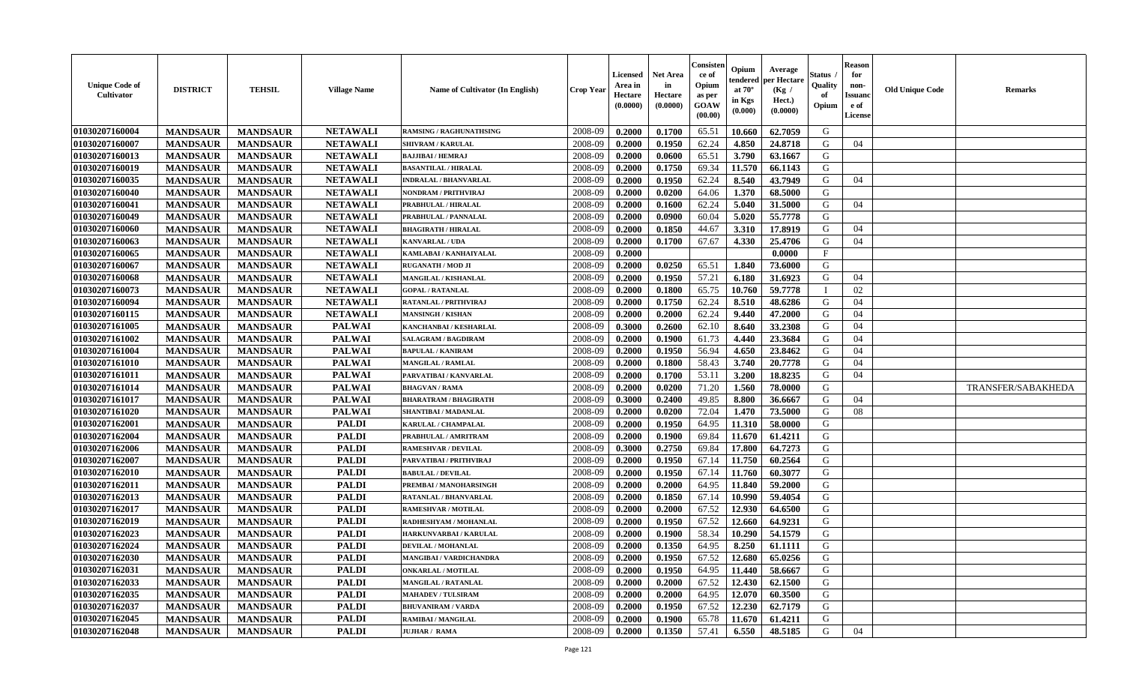| <b>Unique Code of</b><br><b>Cultivator</b> | <b>DISTRICT</b> | <b>TEHSIL</b>   | <b>Village Name</b> | <b>Name of Cultivator (In English)</b> | <b>Crop Year</b> | Licensed<br>Area in<br>Hectare<br>(0.0000) | <b>Net Area</b><br>in<br>Hectare<br>(0.0000) | Consisteı<br>ce of<br>Opium<br>as per<br>GOAW<br>(00.00) | Opium<br>endered<br>at $70^\circ$<br>in Kgs<br>(0.000) | Average<br>per Hectare<br>(Kg /<br>Hect.)<br>(0.0000) | Status<br>Quality<br>of<br>Opium | <b>Reason</b><br>for<br>non-<br>Issuano<br>e of<br><b>License</b> | <b>Old Unique Code</b> | <b>Remarks</b>     |
|--------------------------------------------|-----------------|-----------------|---------------------|----------------------------------------|------------------|--------------------------------------------|----------------------------------------------|----------------------------------------------------------|--------------------------------------------------------|-------------------------------------------------------|----------------------------------|-------------------------------------------------------------------|------------------------|--------------------|
| 01030207160004                             | <b>MANDSAUR</b> | <b>MANDSAUR</b> | <b>NETAWALI</b>     | <b>RAMSING / RAGHUNATHSING</b>         | 2008-09          | 0.2000                                     | 0.1700                                       | 65.51                                                    | 10.660                                                 | 62.7059                                               | G                                |                                                                   |                        |                    |
| 01030207160007                             | <b>MANDSAUR</b> | <b>MANDSAUR</b> | <b>NETAWALI</b>     | <b>SHIVRAM / KARULAL</b>               | 2008-09          | 0.2000                                     | 0.1950                                       | 62.24                                                    | 4.850                                                  | 24.8718                                               | G                                | 04                                                                |                        |                    |
| 01030207160013                             | <b>MANDSAUR</b> | <b>MANDSAUR</b> | <b>NETAWALI</b>     | <b>BAJJIBAI / HEMRAJ</b>               | 2008-09          | 0.2000                                     | 0.0600                                       | 65.51                                                    | 3.790                                                  | 63.1667                                               | G                                |                                                                   |                        |                    |
| 01030207160019                             | <b>MANDSAUR</b> | <b>MANDSAUR</b> | <b>NETAWALI</b>     | <b>BASANTILAL / HIRALAL</b>            | 2008-09          | 0.2000                                     | 0.1750                                       | 69.34                                                    | 11.570                                                 | 66.1143                                               | G                                |                                                                   |                        |                    |
| 01030207160035                             | <b>MANDSAUR</b> | <b>MANDSAUR</b> | <b>NETAWALI</b>     | <b>INDRALAL / BHANVARLAL</b>           | 2008-09          | 0.2000                                     | 0.1950                                       | 62.24                                                    | 8.540                                                  | 43.7949                                               | G                                | 04                                                                |                        |                    |
| 01030207160040                             | <b>MANDSAUR</b> | <b>MANDSAUR</b> | <b>NETAWALI</b>     | NONDRAM / PRITHVIRAJ                   | 2008-09          | 0.2000                                     | 0.0200                                       | 64.06                                                    | 1.370                                                  | 68.5000                                               | G                                |                                                                   |                        |                    |
| 01030207160041                             | <b>MANDSAUR</b> | <b>MANDSAUR</b> | <b>NETAWALI</b>     | PRABHULAL / HIRALAL                    | 2008-09          | 0.2000                                     | 0.1600                                       | 62.24                                                    | 5.040                                                  | 31.5000                                               | G                                | 04                                                                |                        |                    |
| 01030207160049                             | <b>MANDSAUR</b> | <b>MANDSAUR</b> | <b>NETAWALI</b>     | PRABHULAL / PANNALAL                   | 2008-09          | 0.2000                                     | 0.0900                                       | 60.04                                                    | 5.020                                                  | 55,7778                                               | G                                |                                                                   |                        |                    |
| 01030207160060                             | <b>MANDSAUR</b> | <b>MANDSAUR</b> | <b>NETAWALI</b>     | <b>BHAGIRATH / HIRALAL</b>             | 2008-09          | 0.2000                                     | 0.1850                                       | 44.67                                                    | 3.310                                                  | 17.8919                                               | G                                | 04                                                                |                        |                    |
| 01030207160063                             | <b>MANDSAUR</b> | <b>MANDSAUR</b> | <b>NETAWALI</b>     | KANVARLAL / UDA                        | 2008-09          | 0.2000                                     | 0.1700                                       | 67.67                                                    | 4.330                                                  | 25,4706                                               | G                                | 04                                                                |                        |                    |
| 01030207160065                             | <b>MANDSAUR</b> | <b>MANDSAUR</b> | <b>NETAWALI</b>     | KAMLABAI / KANHAIYALAL                 | 2008-09          | 0.2000                                     |                                              |                                                          |                                                        | 0.0000                                                | F                                |                                                                   |                        |                    |
| 01030207160067                             | <b>MANDSAUR</b> | <b>MANDSAUR</b> | <b>NETAWALI</b>     | <b>RUGANATH / MOD JI</b>               | 2008-09          | 0.2000                                     | 0.0250                                       | 65.51                                                    | 1.840                                                  | 73.6000                                               | G                                |                                                                   |                        |                    |
| 01030207160068                             | <b>MANDSAUR</b> | <b>MANDSAUR</b> | <b>NETAWALI</b>     | <b>MANGILAL / KISHANLAL</b>            | 2008-09          | 0.2000                                     | 0.1950                                       | 57.21                                                    | 6.180                                                  | 31.6923                                               | G                                | 04                                                                |                        |                    |
| 01030207160073                             | <b>MANDSAUR</b> | <b>MANDSAUR</b> | <b>NETAWALI</b>     | <b>GOPAL / RATANLAL</b>                | 2008-09          | 0.2000                                     | 0.1800                                       | 65.75                                                    | 10.760                                                 | 59.7778                                               | $\mathbf I$                      | 02                                                                |                        |                    |
| 01030207160094                             | <b>MANDSAUR</b> | <b>MANDSAUR</b> | <b>NETAWALI</b>     | RATANLAL / PRITHVIRAJ                  | 2008-09          | 0.2000                                     | 0.1750                                       | 62.24                                                    | 8.510                                                  | 48.6286                                               | G                                | 04                                                                |                        |                    |
| 01030207160115                             | <b>MANDSAUR</b> | <b>MANDSAUR</b> | <b>NETAWALI</b>     | <b>MANSINGH / KISHAN</b>               | 2008-09          | 0.2000                                     | 0.2000                                       | 62.24                                                    | 9.440                                                  | 47.2000                                               | G                                | 04                                                                |                        |                    |
| 01030207161005                             | <b>MANDSAUR</b> | <b>MANDSAUR</b> | <b>PALWAI</b>       | KANCHANBAI / KESHARLAL                 | 2008-09          | 0.3000                                     | 0.2600                                       | 62.10                                                    | 8.640                                                  | 33.2308                                               | G                                | 04                                                                |                        |                    |
| 01030207161002                             | <b>MANDSAUR</b> | <b>MANDSAUR</b> | <b>PALWAI</b>       | <b>SALAGRAM / BAGDIRAM</b>             | 2008-09          | 0.2000                                     | 0.1900                                       | 61.73                                                    | 4.440                                                  | 23.3684                                               | G                                | 04                                                                |                        |                    |
| 01030207161004                             | <b>MANDSAUR</b> | <b>MANDSAUR</b> | <b>PALWAI</b>       | <b>BAPULAL / KANIRAM</b>               | 2008-09          | 0.2000                                     | 0.1950                                       | 56.94                                                    | 4.650                                                  | 23.8462                                               | G                                | 04                                                                |                        |                    |
| 01030207161010                             | <b>MANDSAUR</b> | <b>MANDSAUR</b> | <b>PALWAI</b>       | <b>MANGILAL / RAMLAL</b>               | 2008-09          | 0.2000                                     | 0.1800                                       | 58.43                                                    | 3.740                                                  | 20.7778                                               | G                                | 04                                                                |                        |                    |
| 01030207161011                             | <b>MANDSAUR</b> | <b>MANDSAUR</b> | <b>PALWAI</b>       | PARVATIBAI / KANVARLAL                 | 2008-09          | 0.2000                                     | 0.1700                                       | 53.11                                                    | 3.200                                                  | 18.8235                                               | G                                | 04                                                                |                        |                    |
| 01030207161014                             | <b>MANDSAUR</b> | <b>MANDSAUR</b> | <b>PALWAI</b>       | <b>BHAGVAN / RAMA</b>                  | 2008-09          | 0.2000                                     | 0.0200                                       | 71.20                                                    | 1.560                                                  | 78.0000                                               | G                                |                                                                   |                        | TRANSFER/SABAKHEDA |
| 01030207161017                             | <b>MANDSAUR</b> | <b>MANDSAUR</b> | <b>PALWAI</b>       | <b>BHARATRAM / BHAGIRATH</b>           | 2008-09          | 0.3000                                     | 0.2400                                       | 49.85                                                    | 8.800                                                  | 36.6667                                               | G                                | 04                                                                |                        |                    |
| 01030207161020                             | <b>MANDSAUR</b> | <b>MANDSAUR</b> | <b>PALWAI</b>       | SHANTIBAI / MADANLAL                   | 2008-09          | 0.2000                                     | 0.0200                                       | 72.04                                                    | 1.470                                                  | 73.5000                                               | G                                | 08                                                                |                        |                    |
| 01030207162001                             | <b>MANDSAUR</b> | <b>MANDSAUR</b> | <b>PALDI</b>        | <b>KARULAL / CHAMPALAL</b>             | 2008-09          | 0.2000                                     | 0.1950                                       | 64.95                                                    | 11.310                                                 | 58.0000                                               | G                                |                                                                   |                        |                    |
| 01030207162004                             | <b>MANDSAUR</b> | <b>MANDSAUR</b> | <b>PALDI</b>        | PRABHULAL / AMRITRAM                   | 2008-09          | 0.2000                                     | 0.1900                                       | 69.84                                                    | 11.670                                                 | 61.4211                                               | G                                |                                                                   |                        |                    |
| 01030207162006                             | <b>MANDSAUR</b> | <b>MANDSAUR</b> | <b>PALDI</b>        | <b>RAMESHVAR / DEVILAL</b>             | 2008-09          | 0.3000                                     | 0.2750                                       | 69.84                                                    | 17.800                                                 | 64.7273                                               | G                                |                                                                   |                        |                    |
| 01030207162007                             | <b>MANDSAUR</b> | <b>MANDSAUR</b> | <b>PALDI</b>        | PARVATIBAI / PRITHVIRAJ                | 2008-09          | 0.2000                                     | 0.1950                                       | 67.14                                                    | 11.750                                                 | 60.2564                                               | G                                |                                                                   |                        |                    |
| 01030207162010                             | <b>MANDSAUR</b> | <b>MANDSAUR</b> | <b>PALDI</b>        | <b>BABULAL / DEVILAL</b>               | 2008-09          | 0.2000                                     | 0.1950                                       | 67.14                                                    | 11.760                                                 | 60.3077                                               | G                                |                                                                   |                        |                    |
| 01030207162011                             | <b>MANDSAUR</b> | <b>MANDSAUR</b> | <b>PALDI</b>        | PREMBAI / MANOHARSINGH                 | 2008-09          | 0.2000                                     | 0.2000                                       | 64.95                                                    | 11.840                                                 | 59.2000                                               | G                                |                                                                   |                        |                    |
| 01030207162013                             | <b>MANDSAUR</b> | <b>MANDSAUR</b> | <b>PALDI</b>        | RATANLAL / BHANVARLAL                  | 2008-09          | 0.2000                                     | 0.1850                                       | 67.14                                                    | 10.990                                                 | 59.4054                                               | ${\bf G}$                        |                                                                   |                        |                    |
| 01030207162017                             | <b>MANDSAUR</b> | <b>MANDSAUR</b> | <b>PALDI</b>        | <b>RAMESHVAR / MOTILAL</b>             | 2008-09          | 0.2000                                     | 0.2000                                       | 67.52                                                    | 12.930                                                 | 64.6500                                               | G                                |                                                                   |                        |                    |
| 01030207162019                             | <b>MANDSAUR</b> | <b>MANDSAUR</b> | <b>PALDI</b>        | RADHESHYAM / MOHANLAL                  | 2008-09          | 0.2000                                     | 0.1950                                       | 67.52                                                    | 12.660                                                 | 64.9231                                               | G                                |                                                                   |                        |                    |
| 01030207162023                             | <b>MANDSAUR</b> | <b>MANDSAUR</b> | <b>PALDI</b>        | HARKUNVARBAI / KARULAL                 | 2008-09          | 0.2000                                     | 0.1900                                       | 58.34                                                    | 10.290                                                 | 54.1579                                               | G                                |                                                                   |                        |                    |
| 01030207162024                             | <b>MANDSAUR</b> | <b>MANDSAUR</b> | <b>PALDI</b>        | <b>DEVILAL / MOHANLAL</b>              | 2008-09          | 0.2000                                     | 0.1350                                       | 64.95                                                    | 8.250                                                  | 61.1111                                               | G                                |                                                                   |                        |                    |
| 01030207162030                             | <b>MANDSAUR</b> | <b>MANDSAUR</b> | <b>PALDI</b>        | <b>MANGIBAI/VARDICHANDRA</b>           | 2008-09          | 0.2000                                     | 0.1950                                       | 67.52                                                    | 12.680                                                 | 65.0256                                               | G                                |                                                                   |                        |                    |
| 01030207162031                             | <b>MANDSAUR</b> | <b>MANDSAUR</b> | <b>PALDI</b>        | <b>ONKARLAL / MOTILAL</b>              | 2008-09          | 0.2000                                     | 0.1950                                       | 64.95                                                    | 11.440                                                 | 58.6667                                               | G                                |                                                                   |                        |                    |
| 01030207162033                             | <b>MANDSAUR</b> | <b>MANDSAUR</b> | <b>PALDI</b>        | <b>MANGILAL / RATANLAL</b>             | 2008-09          | 0.2000                                     | 0.2000                                       | 67.52                                                    | 12.430                                                 | 62.1500                                               | G                                |                                                                   |                        |                    |
| 01030207162035                             | <b>MANDSAUR</b> | <b>MANDSAUR</b> | <b>PALDI</b>        | <b>MAHADEV / TULSIRAM</b>              | 2008-09          | 0.2000                                     | 0.2000                                       | 64.95                                                    | 12.070                                                 | 60.3500                                               | G                                |                                                                   |                        |                    |
| 01030207162037                             | <b>MANDSAUR</b> | <b>MANDSAUR</b> | <b>PALDI</b>        | <b>BHUVANIRAM / VARDA</b>              | 2008-09          | 0.2000                                     | 0.1950                                       | 67.52                                                    | 12.230                                                 | 62.7179                                               | G                                |                                                                   |                        |                    |
| 01030207162045                             | <b>MANDSAUR</b> | <b>MANDSAUR</b> | <b>PALDI</b>        | <b>RAMIBAI / MANGILAL</b>              | 2008-09          | 0.2000                                     | 0.1900                                       | 65.78                                                    | 11.670                                                 | 61.4211                                               | G                                |                                                                   |                        |                    |
| 01030207162048                             | <b>MANDSAUR</b> | <b>MANDSAUR</b> | <b>PALDI</b>        | <b>JUJHAR / RAMA</b>                   | 2008-09          | 0.2000                                     | 0.1350                                       | 57.41                                                    | 6.550                                                  | 48.5185                                               | G                                | 04                                                                |                        |                    |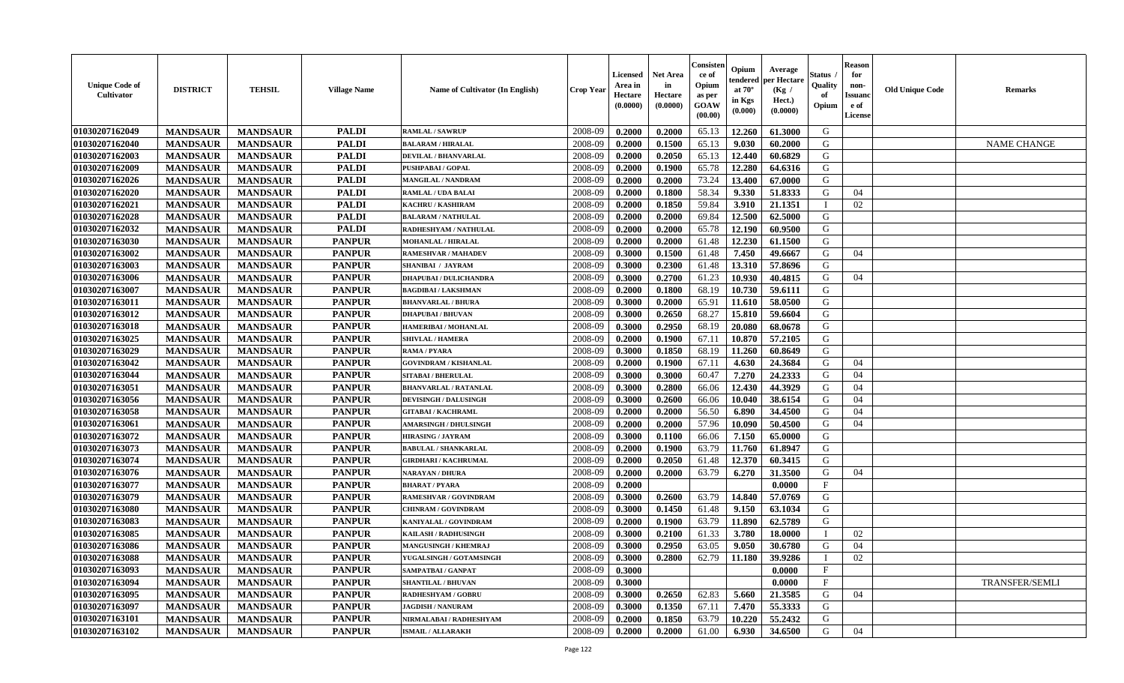| <b>Unique Code of</b><br><b>Cultivator</b> | <b>DISTRICT</b> | <b>TEHSIL</b>   | <b>Village Name</b> | Name of Cultivator (In English) | <b>Crop Year</b> | <b>Licensed</b><br>Area in<br>Hectare<br>(0.0000) | <b>Net Area</b><br>in<br>Hectare<br>(0.0000) | Consisteı<br>ce of<br>Opium<br>as per<br>GOAW<br>(00.00) | Opium<br>endered<br>at $70^\circ$<br>in Kgs<br>(0.000) | Average<br>per Hectare<br>(Kg /<br>Hect.)<br>(0.0000) | Status<br>Quality<br>of<br>Opium | <b>Reason</b><br>for<br>non-<br>Issuano<br>e of<br>License | <b>Old Unique Code</b> | Remarks               |
|--------------------------------------------|-----------------|-----------------|---------------------|---------------------------------|------------------|---------------------------------------------------|----------------------------------------------|----------------------------------------------------------|--------------------------------------------------------|-------------------------------------------------------|----------------------------------|------------------------------------------------------------|------------------------|-----------------------|
| 01030207162049                             | <b>MANDSAUR</b> | <b>MANDSAUR</b> | <b>PALDI</b>        | <b>RAMLAL / SAWRUP</b>          | 2008-09          | 0.2000                                            | 0.2000                                       | 65.13                                                    | 12.260                                                 | 61.3000                                               | G                                |                                                            |                        |                       |
| 01030207162040                             | <b>MANDSAUR</b> | <b>MANDSAUR</b> | <b>PALDI</b>        | <b>BALARAM / HIRALAL</b>        | 2008-09          | 0.2000                                            | 0.1500                                       | 65.13                                                    | 9.030                                                  | 60.2000                                               | G                                |                                                            |                        | <b>NAME CHANGE</b>    |
| 01030207162003                             | <b>MANDSAUR</b> | <b>MANDSAUR</b> | <b>PALDI</b>        | DEVILAL / BHANVARLAL            | 2008-09          | 0.2000                                            | 0.2050                                       | 65.13                                                    | 12.440                                                 | 60.6829                                               | G                                |                                                            |                        |                       |
| 01030207162009                             | <b>MANDSAUR</b> | <b>MANDSAUR</b> | <b>PALDI</b>        | PUSHPABAI / GOPAL               | 2008-09          | 0.2000                                            | 0.1900                                       | 65.78                                                    | 12.280                                                 | 64.6316                                               | G                                |                                                            |                        |                       |
| 01030207162026                             | <b>MANDSAUR</b> | <b>MANDSAUR</b> | <b>PALDI</b>        | <b>MANGILAL / NANDRAM</b>       | 2008-09          | 0.2000                                            | 0.2000                                       | 73.24                                                    | 13.400                                                 | 67.0000                                               | G                                |                                                            |                        |                       |
| 01030207162020                             | <b>MANDSAUR</b> | <b>MANDSAUR</b> | <b>PALDI</b>        | <b>RAMLAL / UDA BALAI</b>       | 2008-09          | 0.2000                                            | 0.1800                                       | 58.34                                                    | 9.330                                                  | 51.8333                                               | G                                | 04                                                         |                        |                       |
| 01030207162021                             | <b>MANDSAUR</b> | <b>MANDSAUR</b> | <b>PALDI</b>        | KACHRU / KASHIRAM               | 2008-09          | 0.2000                                            | 0.1850                                       | 59.84                                                    | 3.910                                                  | 21.1351                                               |                                  | 02                                                         |                        |                       |
| 01030207162028                             | <b>MANDSAUR</b> | <b>MANDSAUR</b> | <b>PALDI</b>        | <b>BALARAM / NATHULAL</b>       | 2008-09          | 0.2000                                            | 0.2000                                       | 69.84                                                    | 12.500                                                 | 62.5000                                               | G                                |                                                            |                        |                       |
| 01030207162032                             | <b>MANDSAUR</b> | <b>MANDSAUR</b> | <b>PALDI</b>        | RADHESHYAM / NATHULAL           | 2008-09          | 0.2000                                            | 0.2000                                       | 65.78                                                    | 12.190                                                 | 60.9500                                               | G                                |                                                            |                        |                       |
| 01030207163030                             | <b>MANDSAUR</b> | <b>MANDSAUR</b> | <b>PANPUR</b>       | <b>MOHANLAL / HIRALAL</b>       | 2008-09          | 0.2000                                            | 0.2000                                       | 61.48                                                    | 12.230                                                 | 61.1500                                               | G                                |                                                            |                        |                       |
| 01030207163002                             | <b>MANDSAUR</b> | <b>MANDSAUR</b> | <b>PANPUR</b>       | <b>RAMESHVAR / MAHADEV</b>      | 2008-09          | 0.3000                                            | 0.1500                                       | 61.48                                                    | 7.450                                                  | 49.6667                                               | G                                | 04                                                         |                        |                       |
| 01030207163003                             | <b>MANDSAUR</b> | <b>MANDSAUR</b> | <b>PANPUR</b>       | <b>SHANIBAI / JAYRAM</b>        | 2008-09          | 0.3000                                            | 0.2300                                       | 61.48                                                    | 13.310                                                 | 57.8696                                               | G                                |                                                            |                        |                       |
| 01030207163006                             | <b>MANDSAUR</b> | <b>MANDSAUR</b> | <b>PANPUR</b>       | <b>DHAPUBAI/DULICHANDRA</b>     | 2008-09          | 0.3000                                            | 0.2700                                       | 61.23                                                    | 10.930                                                 | 40.4815                                               | G                                | 04                                                         |                        |                       |
| 01030207163007                             | <b>MANDSAUR</b> | <b>MANDSAUR</b> | <b>PANPUR</b>       | <b>BAGDIBAI/LAKSHMAN</b>        | 2008-09          | 0.2000                                            | 0.1800                                       | 68.19                                                    | 10.730                                                 | 59.6111                                               | G                                |                                                            |                        |                       |
| 01030207163011                             | <b>MANDSAUR</b> | <b>MANDSAUR</b> | <b>PANPUR</b>       | <b>BHANVARLAL / BHURA</b>       | 2008-09          | 0.3000                                            | 0.2000                                       | 65.91                                                    | 11.610                                                 | 58.0500                                               | $\mathbf G$                      |                                                            |                        |                       |
| 01030207163012                             | <b>MANDSAUR</b> | <b>MANDSAUR</b> | <b>PANPUR</b>       | <b>DHAPUBAI/BHUVAN</b>          | 2008-09          | 0.3000                                            | 0.2650                                       | 68.27                                                    | 15.810                                                 | 59.6604                                               | G                                |                                                            |                        |                       |
| 01030207163018                             | <b>MANDSAUR</b> | <b>MANDSAUR</b> | <b>PANPUR</b>       | HAMERIBAI / MOHANLAL            | 2008-09          | 0.3000                                            | 0.2950                                       | 68.19                                                    | 20.080                                                 | 68.0678                                               | G                                |                                                            |                        |                       |
| 01030207163025                             | <b>MANDSAUR</b> | <b>MANDSAUR</b> | <b>PANPUR</b>       | <b>SHIVLAL / HAMERA</b>         | 2008-09          | 0.2000                                            | 0.1900                                       | 67.11                                                    | 10.870                                                 | 57.2105                                               | G                                |                                                            |                        |                       |
| 01030207163029                             | <b>MANDSAUR</b> | <b>MANDSAUR</b> | <b>PANPUR</b>       | <b>RAMA / PYARA</b>             | 2008-09          | 0.3000                                            | 0.1850                                       | 68.19                                                    | 11.260                                                 | 60.8649                                               | G                                |                                                            |                        |                       |
| 01030207163042                             | <b>MANDSAUR</b> | <b>MANDSAUR</b> | <b>PANPUR</b>       | <b>GOVINDRAM / KISHANLAL</b>    | 2008-09          | 0.2000                                            | 0.1900                                       | 67.11                                                    | 4.630                                                  | 24.3684                                               | G                                | 04                                                         |                        |                       |
| 01030207163044                             | <b>MANDSAUR</b> | <b>MANDSAUR</b> | <b>PANPUR</b>       | <b>SITABAI / BHERULAL</b>       | 2008-09          | 0.3000                                            | 0.3000                                       | 60.47                                                    | 7.270                                                  | 24.2333                                               | G                                | 04                                                         |                        |                       |
| 01030207163051                             | <b>MANDSAUR</b> | <b>MANDSAUR</b> | <b>PANPUR</b>       | <b>BHANVARLAL / RATANLAL</b>    | 2008-09          | 0.3000                                            | 0.2800                                       | 66.06                                                    | 12.430                                                 | 44.3929                                               | G                                | 04                                                         |                        |                       |
| 01030207163056                             | <b>MANDSAUR</b> | <b>MANDSAUR</b> | <b>PANPUR</b>       | <b>DEVISINGH / DALUSINGH</b>    | 2008-09          | 0.3000                                            | 0.2600                                       | 66.06                                                    | 10.040                                                 | 38.6154                                               | G                                | 04                                                         |                        |                       |
| 01030207163058                             | <b>MANDSAUR</b> | <b>MANDSAUR</b> | <b>PANPUR</b>       | <b>GITABAI/KACHRAML</b>         | 2008-09          | 0.2000                                            | 0.2000                                       | 56.50                                                    | 6.890                                                  | 34.4500                                               | G                                | 04                                                         |                        |                       |
| 01030207163061                             | <b>MANDSAUR</b> | <b>MANDSAUR</b> | <b>PANPUR</b>       | <b>AMARSINGH / DHULSINGH</b>    | 2008-09          | 0.2000                                            | 0.2000                                       | 57.96                                                    | 10.090                                                 | 50.4500                                               | G                                | 04                                                         |                        |                       |
| 01030207163072                             | <b>MANDSAUR</b> | <b>MANDSAUR</b> | <b>PANPUR</b>       | <b>HIRASING / JAYRAM</b>        | 2008-09          | 0.3000                                            | 0.1100                                       | 66.06                                                    | 7.150                                                  | 65.0000                                               | G                                |                                                            |                        |                       |
| 01030207163073                             | <b>MANDSAUR</b> | <b>MANDSAUR</b> | <b>PANPUR</b>       | <b>BABULAL / SHANKARLAL</b>     | 2008-09          | 0.2000                                            | 0.1900                                       | 63.79                                                    | 11.760                                                 | 61.8947                                               | G                                |                                                            |                        |                       |
| 01030207163074                             | <b>MANDSAUR</b> | <b>MANDSAUR</b> | <b>PANPUR</b>       | <b>GIRDHARI / KACHRUMAL</b>     | 2008-09          | 0.2000                                            | 0.2050                                       | 61.48                                                    | 12.370                                                 | 60.3415                                               | G                                |                                                            |                        |                       |
| 01030207163076                             | <b>MANDSAUR</b> | <b>MANDSAUR</b> | <b>PANPUR</b>       | <b>NARAYAN / DHURA</b>          | 2008-09          | 0.2000                                            | 0.2000                                       | 63.79                                                    | 6.270                                                  | 31.3500                                               | G                                | 04                                                         |                        |                       |
| 01030207163077                             | <b>MANDSAUR</b> | <b>MANDSAUR</b> | <b>PANPUR</b>       | <b>BHARAT / PYARA</b>           | 2008-09          | 0.2000                                            |                                              |                                                          |                                                        | 0.0000                                                | $_{\rm F}$                       |                                                            |                        |                       |
| 01030207163079                             | <b>MANDSAUR</b> | <b>MANDSAUR</b> | <b>PANPUR</b>       | RAMESHVAR / GOVINDRAM           | 2008-09          | 0.3000                                            | 0.2600                                       | 63.79                                                    | 14.840                                                 | 57.0769                                               | G                                |                                                            |                        |                       |
| 01030207163080                             | <b>MANDSAUR</b> | <b>MANDSAUR</b> | <b>PANPUR</b>       | <b>CHINRAM / GOVINDRAM</b>      | 2008-09          | 0.3000                                            | 0.1450                                       | 61.48                                                    | 9.150                                                  | 63.1034                                               | G                                |                                                            |                        |                       |
| 01030207163083                             | <b>MANDSAUR</b> | <b>MANDSAUR</b> | <b>PANPUR</b>       | KANIYALAL / GOVINDRAM           | 2008-09          | 0.2000                                            | 0.1900                                       | 63.79                                                    | 11.890                                                 | 62.5789                                               | G                                |                                                            |                        |                       |
| 01030207163085                             | <b>MANDSAUR</b> | <b>MANDSAUR</b> | <b>PANPUR</b>       | <b>KAILASH / RADHUSINGH</b>     | 2008-09          | 0.3000                                            | 0.2100                                       | 61.33                                                    | 3.780                                                  | 18.0000                                               | T                                | 02                                                         |                        |                       |
| 01030207163086                             | <b>MANDSAUR</b> | <b>MANDSAUR</b> | <b>PANPUR</b>       | <b>MANGUSINGH / KHEMRAJ</b>     | 2008-09          | 0.3000                                            | 0.2950                                       | 63.05                                                    | 9.050                                                  | 30.6780                                               | G                                | 04                                                         |                        |                       |
| 01030207163088                             | <b>MANDSAUR</b> | <b>MANDSAUR</b> | <b>PANPUR</b>       | YUGALSINGH / GOTAMSINGH         | 2008-09          | 0.3000                                            | 0.2800                                       | 62.79                                                    | 11.180                                                 | 39.9286                                               | $\mathbf I$                      | 02                                                         |                        |                       |
| 01030207163093                             | <b>MANDSAUR</b> | <b>MANDSAUR</b> | <b>PANPUR</b>       | SAMPATBAI / GANPAT              | 2008-09          | 0.3000                                            |                                              |                                                          |                                                        | 0.0000                                                | $\mathbf{F}$                     |                                                            |                        |                       |
| 01030207163094                             | <b>MANDSAUR</b> | <b>MANDSAUR</b> | <b>PANPUR</b>       | <b>SHANTILAL / BHUVAN</b>       | 2008-09          | 0.3000                                            |                                              |                                                          |                                                        | 0.0000                                                | $\mathbf{F}$                     |                                                            |                        | <b>TRANSFER/SEMLI</b> |
| 01030207163095                             | <b>MANDSAUR</b> | <b>MANDSAUR</b> | <b>PANPUR</b>       | <b>RADHESHYAM / GOBRU</b>       | 2008-09          | 0.3000                                            | 0.2650                                       | 62.83                                                    | 5.660                                                  | 21.3585                                               | G                                | 04                                                         |                        |                       |
| 01030207163097                             | <b>MANDSAUR</b> | <b>MANDSAUR</b> | <b>PANPUR</b>       | <b>JAGDISH / NANURAM</b>        | 2008-09          | 0.3000                                            | 0.1350                                       | 67.11                                                    | 7.470                                                  | 55.3333                                               | G                                |                                                            |                        |                       |
| 01030207163101                             | <b>MANDSAUR</b> | <b>MANDSAUR</b> | <b>PANPUR</b>       | NIRMALABAI / RADHESHYAM         | 2008-09          | 0.2000                                            | 0.1850                                       | 63.79                                                    | 10.220                                                 | 55.2432                                               | G                                |                                                            |                        |                       |
| 01030207163102                             | <b>MANDSAUR</b> | <b>MANDSAUR</b> | <b>PANPUR</b>       | <b>ISMAIL / ALLARAKH</b>        | 2008-09          | 0.2000                                            | 0.2000                                       | 61.00                                                    | 6.930                                                  | 34.6500                                               | G                                | 04                                                         |                        |                       |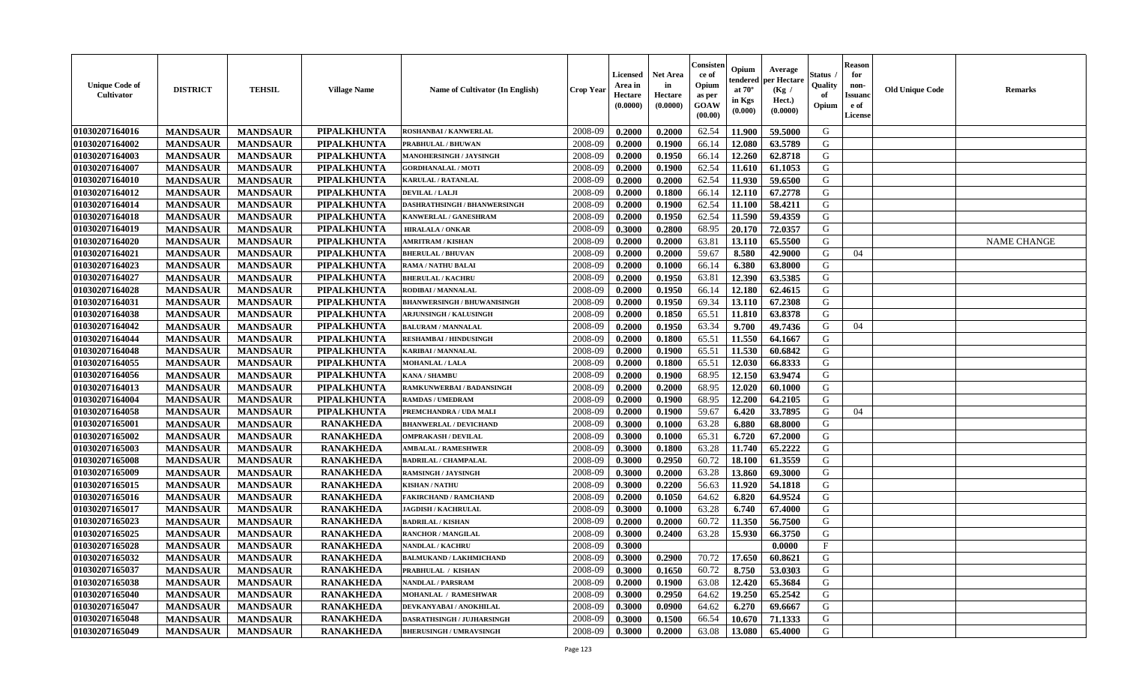| <b>Unique Code of</b><br><b>Cultivator</b> | <b>DISTRICT</b> | <b>TEHSIL</b>   | <b>Village Name</b> | <b>Name of Cultivator (In English)</b> | <b>Crop Year</b> | <b>Licensed</b><br>Area in<br>Hectare<br>(0.0000) | <b>Net Area</b><br>in<br>Hectare<br>(0.0000) | Consisteı<br>ce of<br>Opium<br>as per<br><b>GOAW</b><br>(00.00) | Opium<br>endered<br>at $70^\circ$<br>in Kgs<br>$(\mathbf{0.000})$ | Average<br>per Hectare<br>(Kg)<br>Hect.)<br>(0.0000) | Status<br>Quality<br>of<br>Opium | Reason<br>for<br>non-<br>Issuan<br>e of<br>License | <b>Old Unique Code</b> | <b>Remarks</b>     |
|--------------------------------------------|-----------------|-----------------|---------------------|----------------------------------------|------------------|---------------------------------------------------|----------------------------------------------|-----------------------------------------------------------------|-------------------------------------------------------------------|------------------------------------------------------|----------------------------------|----------------------------------------------------|------------------------|--------------------|
| 01030207164016                             | <b>MANDSAUR</b> | <b>MANDSAUR</b> | PIPALKHUNTA         | <b>ROSHANBAI/KANWERLAL</b>             | 2008-09          | 0.2000                                            | 0.2000                                       | 62.54                                                           | 11.900                                                            | 59.5000                                              | G                                |                                                    |                        |                    |
| 01030207164002                             | <b>MANDSAUR</b> | <b>MANDSAUR</b> | <b>PIPALKHUNTA</b>  | PRABHULAL / BHUWAN                     | 2008-09          | 0.2000                                            | 0.1900                                       | 66.14                                                           | 12.080                                                            | 63.5789                                              | G                                |                                                    |                        |                    |
| 01030207164003                             | <b>MANDSAUR</b> | <b>MANDSAUR</b> | <b>PIPALKHUNTA</b>  | MANOHERSINGH / JAYSINGH                | 2008-09          | 0.2000                                            | 0.1950                                       | 66.14                                                           | 12.260                                                            | 62.8718                                              | G                                |                                                    |                        |                    |
| 01030207164007                             | <b>MANDSAUR</b> | <b>MANDSAUR</b> | PIPALKHUNTA         | <b>GORDHANALAL / MOTI</b>              | 2008-09          | 0.2000                                            | 0.1900                                       | 62.54                                                           | 11.610                                                            | 61.1053                                              | G                                |                                                    |                        |                    |
| 01030207164010                             | <b>MANDSAUR</b> | <b>MANDSAUR</b> | PIPALKHUNTA         | KARULAL / RATANLAL                     | 2008-09          | 0.2000                                            | 0.2000                                       | 62.54                                                           | 11.930                                                            | 59.6500                                              | G                                |                                                    |                        |                    |
| 01030207164012                             | <b>MANDSAUR</b> | <b>MANDSAUR</b> | PIPALKHUNTA         | <b>DEVILAL / LALJI</b>                 | 2008-09          | 0.2000                                            | 0.1800                                       | 66.14                                                           | 12.110                                                            | 67.2778                                              | G                                |                                                    |                        |                    |
| 01030207164014                             | <b>MANDSAUR</b> | <b>MANDSAUR</b> | PIPALKHUNTA         | <b>DASHRATHSINGH / BHANWERSINGH</b>    | 2008-09          | 0.2000                                            | 0.1900                                       | 62.54                                                           | 11.100                                                            | 58.4211                                              | G                                |                                                    |                        |                    |
| 01030207164018                             | <b>MANDSAUR</b> | <b>MANDSAUR</b> | <b>PIPALKHUNTA</b>  | KANWERLAL / GANESHRAM                  | 2008-09          | 0.2000                                            | 0.1950                                       | 62.54                                                           | 11.590                                                            | 59.4359                                              | G                                |                                                    |                        |                    |
| 01030207164019                             | <b>MANDSAUR</b> | <b>MANDSAUR</b> | PIPALKHUNTA         | <b>HIRALALA / ONKAR</b>                | 2008-09          | 0.3000                                            | 0.2800                                       | 68.95                                                           | 20.170                                                            | 72.0357                                              | G                                |                                                    |                        |                    |
| 01030207164020                             | <b>MANDSAUR</b> | <b>MANDSAUR</b> | PIPALKHUNTA         | AMRITRAM / KISHAN                      | 2008-09          | 0.2000                                            | 0.2000                                       | 63.81                                                           | 13.110                                                            | 65.5500                                              | G                                |                                                    |                        | <b>NAME CHANGE</b> |
| 01030207164021                             | <b>MANDSAUR</b> | <b>MANDSAUR</b> | <b>PIPALKHUNTA</b>  | <b>BHERULAL / BHUVAN</b>               | 2008-09          | 0.2000                                            | 0.2000                                       | 59.67                                                           | 8.580                                                             | 42.9000                                              | G                                | 04                                                 |                        |                    |
| 01030207164023                             | <b>MANDSAUR</b> | <b>MANDSAUR</b> | PIPALKHUNTA         | <b>RAMA / NATHU BALAI</b>              | 2008-09          | 0.2000                                            | 0.1000                                       | 66.14                                                           | 6.380                                                             | 63.8000                                              | G                                |                                                    |                        |                    |
| 01030207164027                             | <b>MANDSAUR</b> | <b>MANDSAUR</b> | <b>PIPALKHUNTA</b>  | <b>BHERULAL / KACHRU</b>               | 2008-09          | 0.2000                                            | 0.1950                                       | 63.81                                                           | 12.390                                                            | 63.5385                                              | G                                |                                                    |                        |                    |
| 01030207164028                             | <b>MANDSAUR</b> | <b>MANDSAUR</b> | <b>PIPALKHUNTA</b>  | RODIBAI / MANNALAL                     | 2008-09          | 0.2000                                            | 0.1950                                       | 66.14                                                           | 12.180                                                            | 62.4615                                              | G                                |                                                    |                        |                    |
| 01030207164031                             | <b>MANDSAUR</b> | <b>MANDSAUR</b> | <b>PIPALKHUNTA</b>  | <b>BHANWERSINGH / BHUWANISINGH</b>     | 2008-09          | 0.2000                                            | 0.1950                                       | 69.34                                                           | 13.110                                                            | 67.2308                                              | G                                |                                                    |                        |                    |
| 01030207164038                             | <b>MANDSAUR</b> | <b>MANDSAUR</b> | PIPALKHUNTA         | <b>ARJUNSINGH / KALUSINGH</b>          | 2008-09          | 0.2000                                            | 0.1850                                       | 65.51                                                           | 11.810                                                            | 63.8378                                              | G                                |                                                    |                        |                    |
| 01030207164042                             | <b>MANDSAUR</b> | <b>MANDSAUR</b> | PIPALKHUNTA         | <b>BALURAM / MANNALAL</b>              | 2008-09          | 0.2000                                            | 0.1950                                       | 63.34                                                           | 9.700                                                             | 49.7436                                              | G                                | 04                                                 |                        |                    |
| 01030207164044                             | <b>MANDSAUR</b> | <b>MANDSAUR</b> | PIPALKHUNTA         | <b>RESHAMBAI / HINDUSINGH</b>          | 2008-09          | 0.2000                                            | 0.1800                                       | 65.51                                                           | 11.550                                                            | 64.1667                                              | G                                |                                                    |                        |                    |
| 01030207164048                             | <b>MANDSAUR</b> | <b>MANDSAUR</b> | <b>PIPALKHUNTA</b>  | <b>KARIBAI/MANNALAL</b>                | 2008-09          | 0.2000                                            | 0.1900                                       | 65.51                                                           | 11.530                                                            | 60.6842                                              | G                                |                                                    |                        |                    |
| 01030207164055                             | <b>MANDSAUR</b> | <b>MANDSAUR</b> | PIPALKHUNTA         | <b>MOHANLAL / LALA</b>                 | 2008-09          | 0.2000                                            | 0.1800                                       | 65.51                                                           | 12.030                                                            | 66.8333                                              | G                                |                                                    |                        |                    |
| 01030207164056                             | <b>MANDSAUR</b> | <b>MANDSAUR</b> | PIPALKHUNTA         | <b>KANA / SHAMBU</b>                   | 2008-09          | 0.2000                                            | 0.1900                                       | 68.95                                                           | 12.150                                                            | 63.9474                                              | G                                |                                                    |                        |                    |
| 01030207164013                             | <b>MANDSAUR</b> | <b>MANDSAUR</b> | <b>PIPALKHUNTA</b>  | RAMKUNWERBAI / BADANSINGH              | 2008-09          | 0.2000                                            | 0.2000                                       | 68.95                                                           | 12.020                                                            | 60.1000                                              | G                                |                                                    |                        |                    |
| 01030207164004                             | <b>MANDSAUR</b> | <b>MANDSAUR</b> | PIPALKHUNTA         | <b>RAMDAS / UMEDRAM</b>                | 2008-09          | 0.2000                                            | 0.1900                                       | 68.95                                                           | 12.200                                                            | 64.2105                                              | G                                |                                                    |                        |                    |
| 01030207164058                             | <b>MANDSAUR</b> | <b>MANDSAUR</b> | PIPALKHUNTA         | PREMCHANDRA / UDA MALI                 | 2008-09          | 0.2000                                            | 0.1900                                       | 59.67                                                           | 6.420                                                             | 33.7895                                              | G                                | 04                                                 |                        |                    |
| 01030207165001                             | <b>MANDSAUR</b> | <b>MANDSAUR</b> | <b>RANAKHEDA</b>    | <b>BHANWERLAL / DEVICHAND</b>          | 2008-09          | 0.3000                                            | 0.1000                                       | 63.28                                                           | 6.880                                                             | 68.8000                                              | G                                |                                                    |                        |                    |
| 01030207165002                             | <b>MANDSAUR</b> | <b>MANDSAUR</b> | <b>RANAKHEDA</b>    | <b>OMPRAKASH / DEVILAL</b>             | 2008-09          | 0.3000                                            | 0.1000                                       | 65.31                                                           | 6.720                                                             | 67.2000                                              | G                                |                                                    |                        |                    |
| 01030207165003                             | <b>MANDSAUR</b> | <b>MANDSAUR</b> | <b>RANAKHEDA</b>    | <b>AMBALAL / RAMESHWER</b>             | 2008-09          | 0.3000                                            | 0.1800                                       | 63.28                                                           | 11.740                                                            | 65.2222                                              | G                                |                                                    |                        |                    |
| 01030207165008                             | <b>MANDSAUR</b> | <b>MANDSAUR</b> | <b>RANAKHEDA</b>    | <b>BADRILAL / CHAMPALAL</b>            | 2008-09          | 0.3000                                            | 0.2950                                       | 60.72                                                           | 18.100                                                            | 61.3559                                              | G                                |                                                    |                        |                    |
| 01030207165009                             | <b>MANDSAUR</b> | <b>MANDSAUR</b> | <b>RANAKHEDA</b>    | <b>RAMSINGH / JAYSINGH</b>             | 2008-09          | 0.3000                                            | 0.2000                                       | 63.28                                                           | 13.860                                                            | 69.3000                                              | G                                |                                                    |                        |                    |
| 01030207165015                             | <b>MANDSAUR</b> | <b>MANDSAUR</b> | <b>RANAKHEDA</b>    | <b>KISHAN / NATHU</b>                  | 2008-09          | 0.3000                                            | 0.2200                                       | 56.63                                                           | 11.920                                                            | 54.1818                                              | G                                |                                                    |                        |                    |
| 01030207165016                             | <b>MANDSAUR</b> | <b>MANDSAUR</b> | <b>RANAKHEDA</b>    | <b>FAKIRCHAND / RAMCHAND</b>           | 2008-09          | 0.2000                                            | 0.1050                                       | 64.62                                                           | 6.820                                                             | 64.9524                                              | G                                |                                                    |                        |                    |
| 01030207165017                             | <b>MANDSAUR</b> | <b>MANDSAUR</b> | <b>RANAKHEDA</b>    | <b>JAGDISH / KACHRULAL</b>             | 2008-09          | 0.3000                                            | 0.1000                                       | 63.28                                                           | 6.740                                                             | 67.4000                                              | G                                |                                                    |                        |                    |
| 01030207165023                             | <b>MANDSAUR</b> | <b>MANDSAUR</b> | <b>RANAKHEDA</b>    | <b>BADRILAL / KISHAN</b>               | 2008-09          | 0.2000                                            | 0.2000                                       | 60.72                                                           | 11.350                                                            | 56.7500                                              | G                                |                                                    |                        |                    |
| 01030207165025                             | <b>MANDSAUR</b> | <b>MANDSAUR</b> | <b>RANAKHEDA</b>    | <b>RANCHOR / MANGILAL</b>              | 2008-09          | 0.3000                                            | 0.2400                                       | 63.28                                                           | 15.930                                                            | 66.3750                                              | G                                |                                                    |                        |                    |
| 01030207165028                             | <b>MANDSAUR</b> | <b>MANDSAUR</b> | <b>RANAKHEDA</b>    | <b>NANDLAL / KACHRU</b>                | 2008-09          | 0.3000                                            |                                              |                                                                 |                                                                   | 0.0000                                               | $\mathbf{F}$                     |                                                    |                        |                    |
| 01030207165032                             | <b>MANDSAUR</b> | <b>MANDSAUR</b> | <b>RANAKHEDA</b>    | <b>BALMUKAND / LAKHMICHAND</b>         | 2008-09          | 0.3000                                            | 0.2900                                       | 70.72                                                           |                                                                   | $ 17.650 $ 60.8621                                   | G                                |                                                    |                        |                    |
| 01030207165037                             | <b>MANDSAUR</b> | <b>MANDSAUR</b> | <b>RANAKHEDA</b>    | PRABHULAL / KISHAN                     | 2008-09          | 0.3000                                            | 0.1650                                       | 60.72                                                           | 8.750                                                             | 53.0303                                              | G                                |                                                    |                        |                    |
| 01030207165038                             | <b>MANDSAUR</b> | <b>MANDSAUR</b> | <b>RANAKHEDA</b>    | <b>NANDLAL / PARSRAM</b>               | 2008-09          | 0.2000                                            | 0.1900                                       | 63.08                                                           | 12.420                                                            | 65.3684                                              | G                                |                                                    |                        |                    |
| 01030207165040                             | <b>MANDSAUR</b> | <b>MANDSAUR</b> | <b>RANAKHEDA</b>    | MOHANLAL / RAMESHWAR                   | 2008-09          | 0.3000                                            | 0.2950                                       | 64.62                                                           | 19.250                                                            | 65.2542                                              | G                                |                                                    |                        |                    |
| 01030207165047                             | <b>MANDSAUR</b> | <b>MANDSAUR</b> | <b>RANAKHEDA</b>    | DEVKANYABAI / ANOKHILAL                | 2008-09          | 0.3000                                            | 0.0900                                       | 64.62                                                           | 6.270                                                             | 69.6667                                              | G                                |                                                    |                        |                    |
| 01030207165048                             | <b>MANDSAUR</b> | <b>MANDSAUR</b> | <b>RANAKHEDA</b>    | DASRATHSINGH / JUJHARSINGH             | 2008-09          | 0.3000                                            | 0.1500                                       | 66.54                                                           | 10.670                                                            | 71.1333                                              | G                                |                                                    |                        |                    |
| 01030207165049                             | <b>MANDSAUR</b> | <b>MANDSAUR</b> | <b>RANAKHEDA</b>    | <b>BHERUSINGH / UMRAVSINGH</b>         | 2008-09          | 0.3000                                            | 0.2000                                       | 63.08                                                           | 13.080                                                            | 65.4000                                              | G                                |                                                    |                        |                    |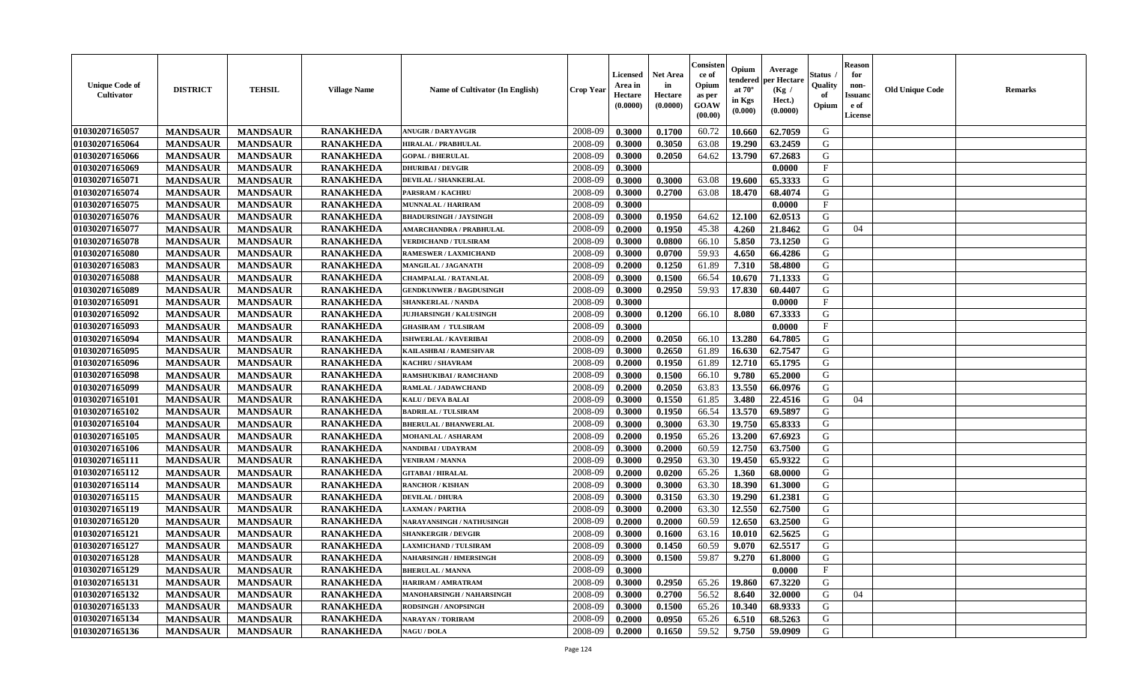| <b>Unique Code of</b><br><b>Cultivator</b> | <b>DISTRICT</b> | <b>TEHSIL</b>   | <b>Village Name</b> | Name of Cultivator (In English) | <b>Crop Year</b> | <b>Licensed</b><br>Area in<br>Hectare<br>(0.0000) | Net Area<br>in<br>Hectare<br>(0.0000) | Consisteı<br>ce of<br>Opium<br>as per<br>GOAW<br>(00.00) | Opium<br>endered<br>at $70^\circ$<br>in Kgs<br>(0.000) | Average<br>per Hectare<br>(Kg /<br>Hect.)<br>(0.0000) | Status<br>Quality<br>of<br>Opium | <b>Reason</b><br>for<br>non-<br>Issuano<br>e of<br>License | <b>Old Unique Code</b> | Remarks |
|--------------------------------------------|-----------------|-----------------|---------------------|---------------------------------|------------------|---------------------------------------------------|---------------------------------------|----------------------------------------------------------|--------------------------------------------------------|-------------------------------------------------------|----------------------------------|------------------------------------------------------------|------------------------|---------|
| 01030207165057                             | <b>MANDSAUR</b> | <b>MANDSAUR</b> | <b>RANAKHEDA</b>    | <b>ANUGIR / DARYAVGIR</b>       | 2008-09          | 0.3000                                            | 0.1700                                | 60.72                                                    | 10.660                                                 | 62.7059                                               | G                                |                                                            |                        |         |
| 01030207165064                             | <b>MANDSAUR</b> | <b>MANDSAUR</b> | <b>RANAKHEDA</b>    | <b>HIRALAL / PRABHULAL</b>      | 2008-09          | 0.3000                                            | 0.3050                                | 63.08                                                    | 19.290                                                 | 63.2459                                               | G                                |                                                            |                        |         |
| 01030207165066                             | <b>MANDSAUR</b> | <b>MANDSAUR</b> | <b>RANAKHEDA</b>    | <b>GOPAL / BHERULAL</b>         | 2008-09          | 0.3000                                            | 0.2050                                | 64.62                                                    | 13.790                                                 | 67.2683                                               | G                                |                                                            |                        |         |
| 01030207165069                             | <b>MANDSAUR</b> | <b>MANDSAUR</b> | <b>RANAKHEDA</b>    | <b>DHURIBAI / DEVGIR</b>        | 2008-09          | 0.3000                                            |                                       |                                                          |                                                        | 0.0000                                                | $\mathbf{F}$                     |                                                            |                        |         |
| 01030207165071                             | <b>MANDSAUR</b> | <b>MANDSAUR</b> | <b>RANAKHEDA</b>    | <b>DEVILAL / SHANKERLAL</b>     | 2008-09          | 0.3000                                            | 0.3000                                | 63.08                                                    | 19.600                                                 | 65.3333                                               | G                                |                                                            |                        |         |
| 01030207165074                             | <b>MANDSAUR</b> | <b>MANDSAUR</b> | <b>RANAKHEDA</b>    | PARSRAM / KACHRU                | 2008-09          | 0.3000                                            | 0.2700                                | 63.08                                                    | 18.470                                                 | 68.4074                                               | G                                |                                                            |                        |         |
| 01030207165075                             | <b>MANDSAUR</b> | <b>MANDSAUR</b> | <b>RANAKHEDA</b>    | MUNNALAL / HARIRAM              | 2008-09          | 0.3000                                            |                                       |                                                          |                                                        | 0.0000                                                | $\mathbf{F}$                     |                                                            |                        |         |
| 01030207165076                             | <b>MANDSAUR</b> | <b>MANDSAUR</b> | <b>RANAKHEDA</b>    | <b>BHADURSINGH / JAYSINGH</b>   | 2008-09          | 0.3000                                            | 0.1950                                | 64.62                                                    | 12.100                                                 | 62.0513                                               | G                                |                                                            |                        |         |
| 01030207165077                             | <b>MANDSAUR</b> | <b>MANDSAUR</b> | <b>RANAKHEDA</b>    | <b>AMARCHANDRA / PRABHULAL</b>  | 2008-09          | 0.2000                                            | 0.1950                                | 45.38                                                    | 4.260                                                  | 21.8462                                               | G                                | 04                                                         |                        |         |
| 01030207165078                             | <b>MANDSAUR</b> | <b>MANDSAUR</b> | <b>RANAKHEDA</b>    | <b>VERDICHAND / TULSIRAM</b>    | 2008-09          | 0.3000                                            | 0.0800                                | 66.10                                                    | 5.850                                                  | 73.1250                                               | G                                |                                                            |                        |         |
| 01030207165080                             | <b>MANDSAUR</b> | <b>MANDSAUR</b> | <b>RANAKHEDA</b>    | <b>RAMESWER / LAXMICHAND</b>    | 2008-09          | 0.3000                                            | 0.0700                                | 59.93                                                    | 4.650                                                  | 66.4286                                               | G                                |                                                            |                        |         |
| 01030207165083                             | <b>MANDSAUR</b> | <b>MANDSAUR</b> | <b>RANAKHEDA</b>    | MANGILAL / JAGANATH             | 2008-09          | 0.2000                                            | 0.1250                                | 61.89                                                    | 7.310                                                  | 58.4800                                               | G                                |                                                            |                        |         |
| 01030207165088                             | <b>MANDSAUR</b> | <b>MANDSAUR</b> | <b>RANAKHEDA</b>    | <b>CHAMPALAL / RATANLAL</b>     | 2008-09          | 0.3000                                            | 0.1500                                | 66.54                                                    | 10.670                                                 | 71.1333                                               | G                                |                                                            |                        |         |
| 01030207165089                             | <b>MANDSAUR</b> | <b>MANDSAUR</b> | <b>RANAKHEDA</b>    | <b>GENDKUNWER / BAGDUSINGH</b>  | 2008-09          | 0.3000                                            | 0.2950                                | 59.93                                                    | 17.830                                                 | 60.4407                                               | G                                |                                                            |                        |         |
| 01030207165091                             | <b>MANDSAUR</b> | <b>MANDSAUR</b> | <b>RANAKHEDA</b>    | <b>SHANKERLAL / NANDA</b>       | 2008-09          | 0.3000                                            |                                       |                                                          |                                                        | 0.0000                                                | F                                |                                                            |                        |         |
| 01030207165092                             | <b>MANDSAUR</b> | <b>MANDSAUR</b> | <b>RANAKHEDA</b>    | <b>JUJHARSINGH / KALUSINGH</b>  | 2008-09          | 0.3000                                            | 0.1200                                | 66.10                                                    | 8.080                                                  | 67.3333                                               | G                                |                                                            |                        |         |
| 01030207165093                             | <b>MANDSAUR</b> | <b>MANDSAUR</b> | <b>RANAKHEDA</b>    | <b>GHASIRAM / TULSIRAM</b>      | 2008-09          | 0.3000                                            |                                       |                                                          |                                                        | 0.0000                                                | $\mathbf{F}$                     |                                                            |                        |         |
| 01030207165094                             | <b>MANDSAUR</b> | <b>MANDSAUR</b> | <b>RANAKHEDA</b>    | <b>ISHWERLAL / KAVERIBAI</b>    | 2008-09          | 0.2000                                            | 0.2050                                | 66.10                                                    | 13.280                                                 | 64.7805                                               | G                                |                                                            |                        |         |
| 01030207165095                             | <b>MANDSAUR</b> | <b>MANDSAUR</b> | <b>RANAKHEDA</b>    | <b>KAILASHBAI / RAMESHVAR</b>   | 2008-09          | 0.3000                                            | 0.2650                                | 61.89                                                    | 16.630                                                 | 62.7547                                               | G                                |                                                            |                        |         |
| 01030207165096                             | <b>MANDSAUR</b> | <b>MANDSAUR</b> | <b>RANAKHEDA</b>    | <b>KACHRU / SHAVRAM</b>         | 2008-09          | 0.2000                                            | 0.1950                                | 61.89                                                    | 12.710                                                 | 65.1795                                               | G                                |                                                            |                        |         |
| 01030207165098                             | <b>MANDSAUR</b> | <b>MANDSAUR</b> | <b>RANAKHEDA</b>    | <b>RAMSHUKIBAI / RAMCHAND</b>   | 2008-09          | 0.3000                                            | 0.1500                                | 66.10                                                    | 9.780                                                  | 65.2000                                               | G                                |                                                            |                        |         |
| 01030207165099                             | <b>MANDSAUR</b> | <b>MANDSAUR</b> | <b>RANAKHEDA</b>    | RAMLAL / JADAWCHAND             | 2008-09          | 0.2000                                            | 0.2050                                | 63.83                                                    | 13.550                                                 | 66.0976                                               | G                                |                                                            |                        |         |
| 01030207165101                             | <b>MANDSAUR</b> | <b>MANDSAUR</b> | <b>RANAKHEDA</b>    | KALU / DEVA BALAI               | 2008-09          | 0.3000                                            | 0.1550                                | 61.85                                                    | 3.480                                                  | 22.4516                                               | G                                | 04                                                         |                        |         |
| 01030207165102                             | <b>MANDSAUR</b> | <b>MANDSAUR</b> | <b>RANAKHEDA</b>    | <b>BADRILAL / TULSIRAM</b>      | 2008-09          | 0.3000                                            | 0.1950                                | 66.54                                                    | 13.570                                                 | 69.5897                                               | G                                |                                                            |                        |         |
| 01030207165104                             | <b>MANDSAUR</b> | <b>MANDSAUR</b> | <b>RANAKHEDA</b>    | <b>BHERULAL / BHANWERLAL</b>    | 2008-09          | 0.3000                                            | 0.3000                                | 63.30                                                    | 19.750                                                 | 65.8333                                               | G                                |                                                            |                        |         |
| 01030207165105                             | <b>MANDSAUR</b> | <b>MANDSAUR</b> | <b>RANAKHEDA</b>    | MOHANLAL / ASHARAM              | 2008-09          | 0.2000                                            | 0.1950                                | 65.26                                                    | 13.200                                                 | 67.6923                                               | G                                |                                                            |                        |         |
| 01030207165106                             | <b>MANDSAUR</b> | <b>MANDSAUR</b> | <b>RANAKHEDA</b>    | NANDIBAI / UDAYRAM              | 2008-09          | 0.3000                                            | 0.2000                                | 60.59                                                    | 12.750                                                 | 63.7500                                               | G                                |                                                            |                        |         |
| 01030207165111                             | <b>MANDSAUR</b> | <b>MANDSAUR</b> | <b>RANAKHEDA</b>    | <b>VENIRAM / MANNA</b>          | 2008-09          | 0.3000                                            | 0.2950                                | 63.30                                                    | 19.450                                                 | 65.9322                                               | G                                |                                                            |                        |         |
| 01030207165112                             | <b>MANDSAUR</b> | <b>MANDSAUR</b> | <b>RANAKHEDA</b>    | <b>GITABAI/HIRALAL</b>          | 2008-09          | 0.2000                                            | 0.0200                                | 65.26                                                    | 1.360                                                  | 68.0000                                               | G                                |                                                            |                        |         |
| 01030207165114                             | <b>MANDSAUR</b> | <b>MANDSAUR</b> | <b>RANAKHEDA</b>    | <b>RANCHOR / KISHAN</b>         | 2008-09          | 0.3000                                            | 0.3000                                | 63.30                                                    | 18.390                                                 | 61.3000                                               | G                                |                                                            |                        |         |
| 01030207165115                             | <b>MANDSAUR</b> | <b>MANDSAUR</b> | <b>RANAKHEDA</b>    | <b>DEVILAL / DHURA</b>          | 2008-09          | 0.3000                                            | 0.3150                                | 63.30                                                    | 19.290                                                 | 61.2381                                               | G                                |                                                            |                        |         |
| 01030207165119                             | <b>MANDSAUR</b> | <b>MANDSAUR</b> | <b>RANAKHEDA</b>    | <b>LAXMAN / PARTHA</b>          | 2008-09          | 0.3000                                            | 0.2000                                | 63.30                                                    | 12.550                                                 | 62.7500                                               | G                                |                                                            |                        |         |
| 01030207165120                             | <b>MANDSAUR</b> | <b>MANDSAUR</b> | <b>RANAKHEDA</b>    | NARAYANSINGH / NATHUSINGH       | 2008-09          | 0.2000                                            | 0.2000                                | 60.59                                                    | 12.650                                                 | 63.2500                                               | G                                |                                                            |                        |         |
| 01030207165121                             | <b>MANDSAUR</b> | <b>MANDSAUR</b> | <b>RANAKHEDA</b>    | <b>SHANKERGIR / DEVGIR</b>      | 2008-09          | 0.3000                                            | 0.1600                                | 63.16                                                    | 10.010                                                 | 62.5625                                               | G                                |                                                            |                        |         |
| 01030207165127                             | <b>MANDSAUR</b> | <b>MANDSAUR</b> | <b>RANAKHEDA</b>    | <b>LAXMICHAND / TULSIRAM</b>    | 2008-09          | 0.3000                                            | 0.1450                                | 60.59                                                    | 9.070                                                  | 62.5517                                               | G                                |                                                            |                        |         |
| 01030207165128                             | <b>MANDSAUR</b> | <b>MANDSAUR</b> | <b>RANAKHEDA</b>    | <b>NAHARSINGH / HMERSINGH</b>   | 2008-09          | 0.3000                                            | 0.1500                                | 59.87                                                    | 9.270                                                  | 61.8000                                               | G                                |                                                            |                        |         |
| 01030207165129                             | <b>MANDSAUR</b> | <b>MANDSAUR</b> | <b>RANAKHEDA</b>    | <b>BHERULAL / MANNA</b>         | 2008-09          | 0.3000                                            |                                       |                                                          |                                                        | 0.0000                                                | $\rm F$                          |                                                            |                        |         |
| 01030207165131                             | <b>MANDSAUR</b> | <b>MANDSAUR</b> | <b>RANAKHEDA</b>    | HARIRAM / AMRATRAM              | 2008-09          | 0.3000                                            | 0.2950                                | 65.26                                                    | 19.860                                                 | 67.3220                                               | G                                |                                                            |                        |         |
| 01030207165132                             | <b>MANDSAUR</b> | <b>MANDSAUR</b> | <b>RANAKHEDA</b>    | MANOHARSINGH / NAHARSINGH       | 2008-09          | 0.3000                                            | 0.2700                                | 56.52                                                    | 8.640                                                  | 32.0000                                               | G                                | 04                                                         |                        |         |
| 01030207165133                             | <b>MANDSAUR</b> | <b>MANDSAUR</b> | <b>RANAKHEDA</b>    | <b>RODSINGH / ANOPSINGH</b>     | 2008-09          | 0.3000                                            | 0.1500                                | 65.26                                                    | 10.340                                                 | 68.9333                                               | ${\bf G}$                        |                                                            |                        |         |
| 01030207165134                             | <b>MANDSAUR</b> | <b>MANDSAUR</b> | <b>RANAKHEDA</b>    | <b>NARAYAN / TORIRAM</b>        | 2008-09          | 0.2000                                            | 0.0950                                | 65.26                                                    | 6.510                                                  | 68.5263                                               | G                                |                                                            |                        |         |
| 01030207165136                             | <b>MANDSAUR</b> | <b>MANDSAUR</b> | <b>RANAKHEDA</b>    | <b>NAGU / DOLA</b>              | 2008-09          | 0.2000                                            | 0.1650                                | 59.52                                                    | 9.750                                                  | 59.0909                                               | G                                |                                                            |                        |         |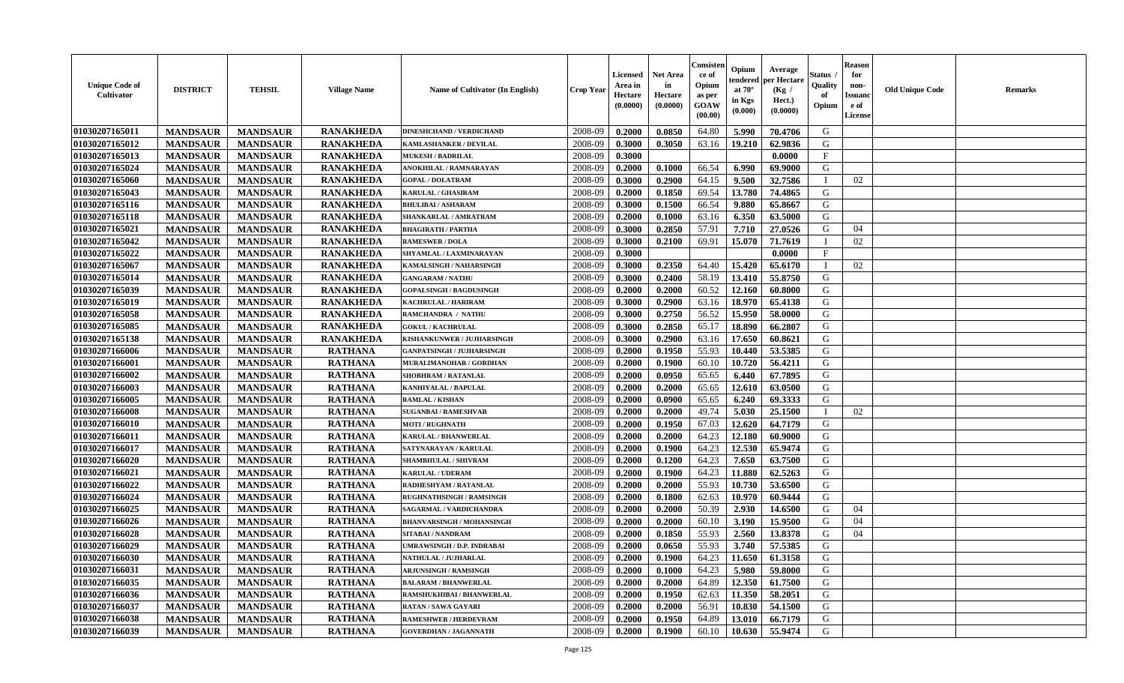| <b>Unique Code of</b><br><b>Cultivator</b> | <b>DISTRICT</b> | <b>TEHSIL</b>   | <b>Village Name</b> | <b>Name of Cultivator (In English)</b> | <b>Crop Year</b> | <b>Licensed</b><br>Area in<br>Hectare<br>(0.0000) | <b>Net Area</b><br>in<br>Hectare<br>(0.0000) | Consisteı<br>ce of<br>Opium<br>as per<br>GOAW<br>(00.00) | Opium<br>endered<br>at $70^\circ$<br>in Kgs<br>(0.000) | Average<br>per Hectare<br>(Kg /<br>Hect.)<br>(0.0000) | Status<br>Quality<br>of<br>Opium | <b>Reason</b><br>for<br>non-<br><b>Issuand</b><br>e of<br><b>License</b> | <b>Old Unique Code</b> | <b>Remarks</b> |
|--------------------------------------------|-----------------|-----------------|---------------------|----------------------------------------|------------------|---------------------------------------------------|----------------------------------------------|----------------------------------------------------------|--------------------------------------------------------|-------------------------------------------------------|----------------------------------|--------------------------------------------------------------------------|------------------------|----------------|
| 01030207165011                             | <b>MANDSAUR</b> | <b>MANDSAUR</b> | <b>RANAKHEDA</b>    | <b>DINESHCHAND / VERDICHAND</b>        | 2008-09          | 0.2000                                            | 0.0850                                       | 64.80                                                    | 5.990                                                  | 70.4706                                               | G                                |                                                                          |                        |                |
| 01030207165012                             | <b>MANDSAUR</b> | <b>MANDSAUR</b> | <b>RANAKHEDA</b>    | <b>KAMLASHANKER / DEVILAL</b>          | 2008-09          | 0.3000                                            | 0.3050                                       | 63.16                                                    | 19.210                                                 | 62.9836                                               | G                                |                                                                          |                        |                |
| 01030207165013                             | <b>MANDSAUR</b> | <b>MANDSAUR</b> | <b>RANAKHEDA</b>    | <b>MUKESH / BADRILAL</b>               | 2008-09          | 0.3000                                            |                                              |                                                          |                                                        | 0.0000                                                | $\mathbf{F}$                     |                                                                          |                        |                |
| 01030207165024                             | <b>MANDSAUR</b> | <b>MANDSAUR</b> | <b>RANAKHEDA</b>    | ANOKHILAL / RAMNARAYAN                 | 2008-09          | 0.2000                                            | 0.1000                                       | 66.54                                                    | 6.990                                                  | 69.9000                                               | G                                |                                                                          |                        |                |
| 01030207165060                             | <b>MANDSAUR</b> | <b>MANDSAUR</b> | <b>RANAKHEDA</b>    | <b>GOPAL / DOLATRAM</b>                | 2008-09          | 0.3000                                            | 0.2900                                       | 64.15                                                    | 9.500                                                  | 32.7586                                               | T                                | 02                                                                       |                        |                |
| 01030207165043                             | <b>MANDSAUR</b> | <b>MANDSAUR</b> | <b>RANAKHEDA</b>    | KARULAL / GHASIRAM                     | 2008-09          | 0.2000                                            | 0.1850                                       | 69.54                                                    | 13.780                                                 | 74.4865                                               | G                                |                                                                          |                        |                |
| 01030207165116                             | <b>MANDSAUR</b> | <b>MANDSAUR</b> | <b>RANAKHEDA</b>    | <b>BHULIBAI/ASHARAM</b>                | 2008-09          | 0.3000                                            | 0.1500                                       | 66.54                                                    | 9.880                                                  | 65.8667                                               | G                                |                                                                          |                        |                |
| 01030207165118                             | <b>MANDSAUR</b> | <b>MANDSAUR</b> | <b>RANAKHEDA</b>    | SHANKARLAL / AMRATRAM                  | 2008-09          | 0.2000                                            | 0.1000                                       | 63.16                                                    | 6.350                                                  | 63.5000                                               | G                                |                                                                          |                        |                |
| 01030207165021                             | <b>MANDSAUR</b> | <b>MANDSAUR</b> | <b>RANAKHEDA</b>    | <b>BHAGIRATH / PARTHA</b>              | 2008-09          | 0.3000                                            | 0.2850                                       | 57.91                                                    | 7.710                                                  | 27.0526                                               | G                                | 04                                                                       |                        |                |
| 01030207165042                             | <b>MANDSAUR</b> | <b>MANDSAUR</b> | <b>RANAKHEDA</b>    | <b>RAMESWER / DOLA</b>                 | 2008-09          | 0.3000                                            | 0.2100                                       | 69.91                                                    | 15.070                                                 | 71.7619                                               | $\mathbf{I}$                     | 02                                                                       |                        |                |
| 01030207165022                             | <b>MANDSAUR</b> | <b>MANDSAUR</b> | <b>RANAKHEDA</b>    | SHYAMLAL / LAXMINARAYAN                | 2008-09          | 0.3000                                            |                                              |                                                          |                                                        | 0.0000                                                | $\mathbf F$                      |                                                                          |                        |                |
| 01030207165067                             | <b>MANDSAUR</b> | <b>MANDSAUR</b> | <b>RANAKHEDA</b>    | KAMALSINGH / NAHARSINGH                | 2008-09          | 0.3000                                            | 0.2350                                       | 64.40                                                    | 15.420                                                 | 65.6170                                               | $\mathbf{I}$                     | 02                                                                       |                        |                |
| 01030207165014                             | <b>MANDSAUR</b> | <b>MANDSAUR</b> | <b>RANAKHEDA</b>    | <b>GANGARAM / NATHU</b>                | 2008-09          | 0.3000                                            | 0.2400                                       | 58.19                                                    | 13.410                                                 | 55.8750                                               | G                                |                                                                          |                        |                |
| 01030207165039                             | <b>MANDSAUR</b> | <b>MANDSAUR</b> | <b>RANAKHEDA</b>    | <b>GOPALSINGH / BAGDUSINGH</b>         | 2008-09          | 0.2000                                            | 0.2000                                       | 60.52                                                    | 12.160                                                 | 60.8000                                               | G                                |                                                                          |                        |                |
| 01030207165019                             | <b>MANDSAUR</b> | <b>MANDSAUR</b> | <b>RANAKHEDA</b>    | <b>KACHRULAL / HARIRAM</b>             | 2008-09          | 0.3000                                            | 0.2900                                       | 63.16                                                    | 18.970                                                 | 65.4138                                               | G                                |                                                                          |                        |                |
| 01030207165058                             | <b>MANDSAUR</b> | <b>MANDSAUR</b> | <b>RANAKHEDA</b>    | RAMCHANDRA / NATHU                     | 2008-09          | 0.3000                                            | 0.2750                                       | 56.52                                                    | 15.950                                                 | 58.0000                                               | G                                |                                                                          |                        |                |
| 01030207165085                             | <b>MANDSAUR</b> | <b>MANDSAUR</b> | <b>RANAKHEDA</b>    | <b>GOKUL / KACHRULAL</b>               | 2008-09          | 0.3000                                            | 0.2850                                       | 65.17                                                    | 18.890                                                 | 66.2807                                               | G                                |                                                                          |                        |                |
| 01030207165138                             | <b>MANDSAUR</b> | <b>MANDSAUR</b> | <b>RANAKHEDA</b>    | KISHANKUNWER / JUJHARSINGH             | 2008-09          | 0.3000                                            | 0.2900                                       | 63.16                                                    | 17.650                                                 | 60.8621                                               | G                                |                                                                          |                        |                |
| 01030207166006                             | <b>MANDSAUR</b> | <b>MANDSAUR</b> | <b>RATHANA</b>      | <b>GANPATSINGH / JUJHARSINGH</b>       | 2008-09          | 0.2000                                            | 0.1950                                       | 55.93                                                    | 10.440                                                 | 53.5385                                               | G                                |                                                                          |                        |                |
| 01030207166001                             | <b>MANDSAUR</b> | <b>MANDSAUR</b> | <b>RATHANA</b>      | MURALIMANOHAR / GORDHAN                | 2008-09          | 0.2000                                            | 0.1900                                       | 60.10                                                    | 10.720                                                 | 56.4211                                               | G                                |                                                                          |                        |                |
| 01030207166002                             | <b>MANDSAUR</b> | <b>MANDSAUR</b> | <b>RATHANA</b>      | <b>SHOBHRAM / RATANLAL</b>             | 2008-09          | 0.2000                                            | 0.0950                                       | 65.65                                                    | 6.440                                                  | 67.7895                                               | G                                |                                                                          |                        |                |
| 01030207166003                             | <b>MANDSAUR</b> | <b>MANDSAUR</b> | <b>RATHANA</b>      | KANHIYALAL / BAPULAL                   | 2008-09          | 0.2000                                            | 0.2000                                       | 65.65                                                    | 12.610                                                 | 63.0500                                               | G                                |                                                                          |                        |                |
| 01030207166005                             | <b>MANDSAUR</b> | <b>MANDSAUR</b> | <b>RATHANA</b>      | <b>RAMLAL / KISHAN</b>                 | 2008-09          | 0.2000                                            | 0.0900                                       | 65.65                                                    | 6.240                                                  | 69.3333                                               | G                                |                                                                          |                        |                |
| 01030207166008                             | <b>MANDSAUR</b> | <b>MANDSAUR</b> | <b>RATHANA</b>      | <b>SUGANBAI/RAMESHVAR</b>              | 2008-09          | 0.2000                                            | 0.2000                                       | 49.74                                                    | 5.030                                                  | 25.1500                                               | <sup>1</sup>                     | 02                                                                       |                        |                |
| 01030207166010                             | <b>MANDSAUR</b> | <b>MANDSAUR</b> | <b>RATHANA</b>      | <b>MOTI / RUGHNATH</b>                 | 2008-09          | 0.2000                                            | 0.1950                                       | 67.03                                                    | 12.620                                                 | 64.7179                                               | G                                |                                                                          |                        |                |
| 01030207166011                             | <b>MANDSAUR</b> | <b>MANDSAUR</b> | <b>RATHANA</b>      | <b>KARULAL / BHANWERLAL</b>            | 2008-09          | 0.2000                                            | 0.2000                                       | 64.23                                                    | 12.180                                                 | 60.9000                                               | G                                |                                                                          |                        |                |
| 01030207166017                             | <b>MANDSAUR</b> | <b>MANDSAUR</b> | <b>RATHANA</b>      | SATYNARAYAN / KARULAL                  | 2008-09          | 0.2000                                            | 0.1900                                       | 64.23                                                    | 12.530                                                 | 65.9474                                               | G                                |                                                                          |                        |                |
| 01030207166020                             | <b>MANDSAUR</b> | <b>MANDSAUR</b> | <b>RATHANA</b>      | SHAMBHULAL / SHIVRAM                   | 2008-09          | 0.2000                                            | 0.1200                                       | 64.23                                                    | 7.650                                                  | 63.7500                                               | G                                |                                                                          |                        |                |
| 01030207166021                             | <b>MANDSAUR</b> | <b>MANDSAUR</b> | <b>RATHANA</b>      | <b>KARULAL / UDERAM</b>                | 2008-09          | 0.2000                                            | 0.1900                                       | 64.23                                                    | 11.880                                                 | 62.5263                                               | G                                |                                                                          |                        |                |
| 01030207166022                             | <b>MANDSAUR</b> | <b>MANDSAUR</b> | <b>RATHANA</b>      | RADHESHYAM / RATANLAL                  | 2008-09          | 0.2000                                            | 0.2000                                       | 55.93                                                    | 10.730                                                 | 53.6500                                               | G                                |                                                                          |                        |                |
| 01030207166024                             | <b>MANDSAUR</b> | <b>MANDSAUR</b> | <b>RATHANA</b>      | <b>RUGHNATHSINGH / RAMSINGH</b>        | 2008-09          | 0.2000                                            | 0.1800                                       | 62.63                                                    | 10.970                                                 | 60.9444                                               | ${\bf G}$                        |                                                                          |                        |                |
| 01030207166025                             | <b>MANDSAUR</b> | <b>MANDSAUR</b> | <b>RATHANA</b>      | SAGARMAL / VARDICHANDRA                | 2008-09          | 0.2000                                            | 0.2000                                       | 50.39                                                    | 2.930                                                  | 14.6500                                               | G                                | 04                                                                       |                        |                |
| 01030207166026                             | <b>MANDSAUR</b> | <b>MANDSAUR</b> | <b>RATHANA</b>      | <b>BHANVARSINGH / MOHANSINGH</b>       | 2008-09          | 0.2000                                            | 0.2000                                       | 60.10                                                    | 3.190                                                  | 15.9500                                               | G                                | 04                                                                       |                        |                |
| 01030207166028                             | <b>MANDSAUR</b> | <b>MANDSAUR</b> | <b>RATHANA</b>      | <b>SITABAI/NANDRAM</b>                 | 2008-09          | 0.2000                                            | 0.1850                                       | 55.93                                                    | 2.560                                                  | 13.8378                                               | G                                | 04                                                                       |                        |                |
| 01030207166029                             | <b>MANDSAUR</b> | <b>MANDSAUR</b> | <b>RATHANA</b>      | UMRAWSINGH / D.P. INDRABAI             | 2008-09          | 0.2000                                            | 0.0650                                       | 55.93                                                    | 3.740                                                  | 57.5385                                               | G                                |                                                                          |                        |                |
| 01030207166030                             | <b>MANDSAUR</b> | <b>MANDSAUR</b> | <b>RATHANA</b>      | NATHULAL / JUJHARLAL                   | 2008-09          | 0.2000                                            | 0.1900                                       | 64.23                                                    | 11.650                                                 | 61.3158                                               | G                                |                                                                          |                        |                |
| 01030207166031                             | <b>MANDSAUR</b> | <b>MANDSAUR</b> | <b>RATHANA</b>      | <b>ARJUNSINGH / RAMSINGH</b>           | 2008-09          | 0.2000                                            | 0.1000                                       | 64.23                                                    | 5.980                                                  | 59.8000                                               | G                                |                                                                          |                        |                |
| 01030207166035                             | <b>MANDSAUR</b> | <b>MANDSAUR</b> | <b>RATHANA</b>      | <b>BALARAM / BHANWERLAL</b>            | 2008-09          | 0.2000                                            | 0.2000                                       | 64.89                                                    | 12.350                                                 | 61.7500                                               | G                                |                                                                          |                        |                |
| 01030207166036                             | <b>MANDSAUR</b> | <b>MANDSAUR</b> | <b>RATHANA</b>      | RAMSHUKHIBAI / BHANWERLAL              | 2008-09          | 0.2000                                            | 0.1950                                       | 62.63                                                    | 11.350                                                 | 58.2051                                               | ${\bf G}$                        |                                                                          |                        |                |
| 01030207166037                             | <b>MANDSAUR</b> | <b>MANDSAUR</b> | <b>RATHANA</b>      | <b>RATAN / SAWA GAYARI</b>             | 2008-09          | 0.2000                                            | 0.2000                                       | 56.91                                                    | 10.830                                                 | 54.1500                                               | G                                |                                                                          |                        |                |
| 01030207166038                             | <b>MANDSAUR</b> | <b>MANDSAUR</b> | <b>RATHANA</b>      | <b>RAMESHWER / HERDEVRAM</b>           | 2008-09          | 0.2000                                            | 0.1950                                       | 64.89                                                    | 13.010                                                 | 66.7179                                               | G                                |                                                                          |                        |                |
| 01030207166039                             | <b>MANDSAUR</b> | <b>MANDSAUR</b> | <b>RATHANA</b>      | <b>GOVERDHAN / JAGANNATH</b>           | 2008-09          | 0.2000                                            | 0.1900                                       | 60.10                                                    | 10.630                                                 | 55.9474                                               | G                                |                                                                          |                        |                |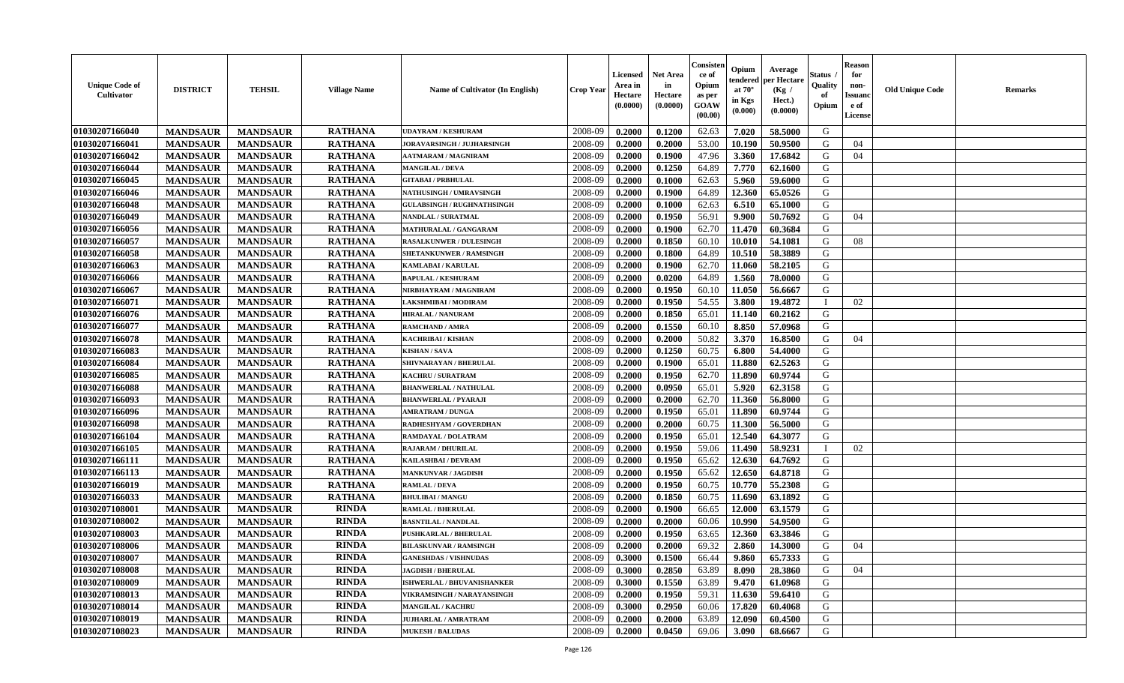| <b>Unique Code of</b><br>Cultivator | <b>DISTRICT</b> | <b>TEHSIL</b>   | <b>Village Name</b> | Name of Cultivator (In English)   | <b>Crop Year</b> | <b>Licensed</b><br>Area in<br>Hectare<br>(0.0000) | Net Area<br>in<br>Hectare<br>(0.0000) | Consisteı<br>ce of<br>Opium<br>as per<br><b>GOAW</b><br>(00.00) | Opium<br>endered<br>at $70^\circ$<br>in Kgs<br>(0.000) | Average<br><b>per Hectare</b><br>(Kg /<br>Hect.)<br>(0.0000) | Status<br>Quality<br>of<br>Opium | <b>Reason</b><br>for<br>non-<br><b>Issuanc</b><br>e of<br><b>License</b> | <b>Old Unique Code</b> | Remarks |
|-------------------------------------|-----------------|-----------------|---------------------|-----------------------------------|------------------|---------------------------------------------------|---------------------------------------|-----------------------------------------------------------------|--------------------------------------------------------|--------------------------------------------------------------|----------------------------------|--------------------------------------------------------------------------|------------------------|---------|
| 01030207166040                      | <b>MANDSAUR</b> | <b>MANDSAUR</b> | <b>RATHANA</b>      | <b>UDAYRAM / KESHURAM</b>         | 2008-09          | 0.2000                                            | 0.1200                                | 62.63                                                           | 7.020                                                  | 58.5000                                                      | G                                |                                                                          |                        |         |
| 01030207166041                      | <b>MANDSAUR</b> | <b>MANDSAUR</b> | <b>RATHANA</b>      | JORAVARSINGH / JUJHARSINGH        | 2008-09          | 0.2000                                            | 0.2000                                | 53.00                                                           | 10.190                                                 | 50.9500                                                      | G                                | 04                                                                       |                        |         |
| 01030207166042                      | <b>MANDSAUR</b> | <b>MANDSAUR</b> | <b>RATHANA</b>      | <b>AATMARAM / MAGNIRAM</b>        | 2008-09          | 0.2000                                            | 0.1900                                | 47.96                                                           | 3.360                                                  | 17.6842                                                      | G                                | 04                                                                       |                        |         |
| 01030207166044                      | <b>MANDSAUR</b> | <b>MANDSAUR</b> | <b>RATHANA</b>      | <b>MANGILAL / DEVA</b>            | 2008-09          | 0.2000                                            | 0.1250                                | 64.89                                                           | 7.770                                                  | 62.1600                                                      | G                                |                                                                          |                        |         |
| 01030207166045                      | <b>MANDSAUR</b> | <b>MANDSAUR</b> | <b>RATHANA</b>      | <b>GITABAI/PRBHULAL</b>           | 2008-09          | 0.2000                                            | 0.1000                                | 62.63                                                           | 5.960                                                  | 59.6000                                                      | G                                |                                                                          |                        |         |
| 01030207166046                      | <b>MANDSAUR</b> | <b>MANDSAUR</b> | <b>RATHANA</b>      | <b>NATHUSINGH / UMRAVSINGH</b>    | 2008-09          | 0.2000                                            | 0.1900                                | 64.89                                                           | 12.360                                                 | 65.0526                                                      | G                                |                                                                          |                        |         |
| 01030207166048                      | <b>MANDSAUR</b> | <b>MANDSAUR</b> | <b>RATHANA</b>      | <b>GULABSINGH / RUGHNATHSINGH</b> | 2008-09          | 0.2000                                            | 0.1000                                | 62.63                                                           | 6.510                                                  | 65.1000                                                      | G                                |                                                                          |                        |         |
| 01030207166049                      | <b>MANDSAUR</b> | <b>MANDSAUR</b> | <b>RATHANA</b>      | NANDLAL / SURATMAL                | 2008-09          | 0.2000                                            | 0.1950                                | 56.91                                                           | 9.900                                                  | 50.7692                                                      | G                                | 04                                                                       |                        |         |
| 01030207166056                      | <b>MANDSAUR</b> | <b>MANDSAUR</b> | <b>RATHANA</b>      | <b>MATHURALAL / GANGARAM</b>      | 2008-09          | 0.2000                                            | 0.1900                                | 62.70                                                           | 11.470                                                 | 60.3684                                                      | G                                |                                                                          |                        |         |
| 01030207166057                      | <b>MANDSAUR</b> | <b>MANDSAUR</b> | <b>RATHANA</b>      | <b>RASALKUNWER / DULESINGH</b>    | 2008-09          | 0.2000                                            | 0.1850                                | 60.10                                                           | 10.010                                                 | 54.1081                                                      | G                                | 08                                                                       |                        |         |
| 01030207166058                      | <b>MANDSAUR</b> | <b>MANDSAUR</b> | <b>RATHANA</b>      | SHETANKUNWER / RAMSINGH           | 2008-09          | 0.2000                                            | 0.1800                                | 64.89                                                           | 10.510                                                 | 58.3889                                                      | G                                |                                                                          |                        |         |
| 01030207166063                      | <b>MANDSAUR</b> | <b>MANDSAUR</b> | <b>RATHANA</b>      | <b>KAMLABAI/KARULAL</b>           | 2008-09          | 0.2000                                            | 0.1900                                | 62.70                                                           | 11.060                                                 | 58.2105                                                      | G                                |                                                                          |                        |         |
| 01030207166066                      | <b>MANDSAUR</b> | <b>MANDSAUR</b> | <b>RATHANA</b>      | <b>BAPULAL / KESHURAM</b>         | 2008-09          | 0.2000                                            | 0.0200                                | 64.89                                                           | 1.560                                                  | 78.0000                                                      | G                                |                                                                          |                        |         |
| 01030207166067                      | <b>MANDSAUR</b> | <b>MANDSAUR</b> | <b>RATHANA</b>      | NIRBHAYRAM / MAGNIRAM             | 2008-09          | 0.2000                                            | 0.1950                                | 60.10                                                           | 11.050                                                 | 56.6667                                                      | G                                |                                                                          |                        |         |
| 01030207166071                      | <b>MANDSAUR</b> | <b>MANDSAUR</b> | <b>RATHANA</b>      | LAKSHMIBAI / MODIRAM              | 2008-09          | 0.2000                                            | 0.1950                                | 54.55                                                           | 3.800                                                  | 19.4872                                                      | - 1                              | 02                                                                       |                        |         |
| 01030207166076                      | <b>MANDSAUR</b> | <b>MANDSAUR</b> | <b>RATHANA</b>      | <b>HIRALAL / NANURAM</b>          | 2008-09          | 0.2000                                            | 0.1850                                | 65.01                                                           | 11.140                                                 | 60.2162                                                      | G                                |                                                                          |                        |         |
| 01030207166077                      | <b>MANDSAUR</b> | <b>MANDSAUR</b> | <b>RATHANA</b>      | <b>RAMCHAND / AMRA</b>            | 2008-09          | 0.2000                                            | 0.1550                                | 60.10                                                           | 8.850                                                  | 57.0968                                                      | G                                |                                                                          |                        |         |
| 01030207166078                      | <b>MANDSAUR</b> | <b>MANDSAUR</b> | <b>RATHANA</b>      | <b>KACHRIBAI / KISHAN</b>         | 2008-09          | 0.2000                                            | 0.2000                                | 50.82                                                           | 3.370                                                  | 16.8500                                                      | G                                | 04                                                                       |                        |         |
| 01030207166083                      | <b>MANDSAUR</b> | <b>MANDSAUR</b> | <b>RATHANA</b>      | <b>KISHAN/SAVA</b>                | 2008-09          | 0.2000                                            | 0.1250                                | 60.75                                                           | 6.800                                                  | 54.4000                                                      | G                                |                                                                          |                        |         |
| 01030207166084                      | <b>MANDSAUR</b> | <b>MANDSAUR</b> | <b>RATHANA</b>      | SHIVNARAYAN / BHERULAL            | 2008-09          | 0.2000                                            | 0.1900                                | 65.01                                                           | 11.880                                                 | 62.5263                                                      | G                                |                                                                          |                        |         |
| 01030207166085                      | <b>MANDSAUR</b> | <b>MANDSAUR</b> | <b>RATHANA</b>      | <b>KACHRU / SURATRAM</b>          | 2008-09          | 0.2000                                            | 0.1950                                | 62.70                                                           | 11.890                                                 | 60.9744                                                      | G                                |                                                                          |                        |         |
| 01030207166088                      | <b>MANDSAUR</b> | <b>MANDSAUR</b> | <b>RATHANA</b>      | <b>BHANWERLAL / NATHULAL</b>      | 2008-09          | 0.2000                                            | 0.0950                                | 65.01                                                           | 5.920                                                  | 62.3158                                                      | G                                |                                                                          |                        |         |
| 01030207166093                      | <b>MANDSAUR</b> | <b>MANDSAUR</b> | <b>RATHANA</b>      | <b>BHANWERLAL / PYARAJI</b>       | 2008-09          | 0.2000                                            | 0.2000                                | 62.70                                                           | 11.360                                                 | 56.8000                                                      | G                                |                                                                          |                        |         |
| 01030207166096                      | <b>MANDSAUR</b> | <b>MANDSAUR</b> | <b>RATHANA</b>      | <b>AMRATRAM / DUNGA</b>           | 2008-09          | 0.2000                                            | 0.1950                                | 65.01                                                           | 11.890                                                 | 60.9744                                                      | G                                |                                                                          |                        |         |
| 01030207166098                      | <b>MANDSAUR</b> | <b>MANDSAUR</b> | <b>RATHANA</b>      | RADHESHYAM / GOVERDHAN            | 2008-09          | 0.2000                                            | 0.2000                                | 60.75                                                           | 11.300                                                 | 56.5000                                                      | G                                |                                                                          |                        |         |
| 01030207166104                      | <b>MANDSAUR</b> | <b>MANDSAUR</b> | <b>RATHANA</b>      | RAMDAYAL / DOLATRAM               | 2008-09          | 0.2000                                            | 0.1950                                | 65.01                                                           | 12.540                                                 | 64.3077                                                      | G                                |                                                                          |                        |         |
| 01030207166105                      | <b>MANDSAUR</b> | <b>MANDSAUR</b> | <b>RATHANA</b>      | <b>RAJARAM / DHURILAL</b>         | 2008-09          | 0.2000                                            | 0.1950                                | 59.06                                                           | 11.490                                                 | 58.9231                                                      | $\mathbf{I}$                     | 02                                                                       |                        |         |
| 01030207166111                      | <b>MANDSAUR</b> | <b>MANDSAUR</b> | <b>RATHANA</b>      | KAILASHBAI / DEVRAM               | 2008-09          | 0.2000                                            | 0.1950                                | 65.62                                                           | 12.630                                                 | 64.7692                                                      | G                                |                                                                          |                        |         |
| 01030207166113                      | <b>MANDSAUR</b> | <b>MANDSAUR</b> | <b>RATHANA</b>      | <b>MANKUNVAR / JAGDISH</b>        | 2008-09          | 0.2000                                            | 0.1950                                | 65.62                                                           | 12.650                                                 | 64.8718                                                      | G                                |                                                                          |                        |         |
| 01030207166019                      | <b>MANDSAUR</b> | <b>MANDSAUR</b> | <b>RATHANA</b>      | <b>RAMLAL / DEVA</b>              | 2008-09          | 0.2000                                            | 0.1950                                | 60.75                                                           | 10.770                                                 | 55.2308                                                      | G                                |                                                                          |                        |         |
| 01030207166033                      | <b>MANDSAUR</b> | <b>MANDSAUR</b> | <b>RATHANA</b>      | <b>BHULIBAI / MANGU</b>           | 2008-09          | 0.2000                                            | 0.1850                                | 60.75                                                           | 11.690                                                 | 63.1892                                                      | G                                |                                                                          |                        |         |
| 01030207108001                      | <b>MANDSAUR</b> | <b>MANDSAUR</b> | <b>RINDA</b>        | <b>RAMLAL / BHERULAL</b>          | 2008-09          | 0.2000                                            | 0.1900                                | 66.65                                                           | 12.000                                                 | 63.1579                                                      | G                                |                                                                          |                        |         |
| 01030207108002                      | <b>MANDSAUR</b> | <b>MANDSAUR</b> | <b>RINDA</b>        | <b>BASNTILAL / NANDLAL</b>        | 2008-09          | 0.2000                                            | 0.2000                                | 60.06                                                           | 10.990                                                 | 54.9500                                                      | G                                |                                                                          |                        |         |
| 01030207108003                      | <b>MANDSAUR</b> | <b>MANDSAUR</b> | <b>RINDA</b>        | <b>PUSHKARLAL / BHERULAL</b>      | 2008-09          | 0.2000                                            | 0.1950                                | 63.65                                                           | 12.360                                                 | 63.3846                                                      | G                                |                                                                          |                        |         |
| 01030207108006                      | <b>MANDSAUR</b> | <b>MANDSAUR</b> | <b>RINDA</b>        | <b>BILASKUNVAR / RAMSINGH</b>     | 2008-09          | 0.2000                                            | 0.2000                                | 69.32                                                           | 2.860                                                  | 14.3000                                                      | G                                | 04                                                                       |                        |         |
| 01030207108007                      | <b>MANDSAUR</b> | <b>MANDSAUR</b> | <b>RINDA</b>        | <b>GANESHDAS / VISHNUDAS</b>      | 2008-09          | 0.3000                                            | 0.1500                                | 66.44                                                           | 9.860                                                  | 65.7333                                                      | G                                |                                                                          |                        |         |
| 01030207108008                      | <b>MANDSAUR</b> | <b>MANDSAUR</b> | <b>RINDA</b>        | <b>JAGDISH / BHERULAL</b>         | 2008-09          | 0.3000                                            | 0.2850                                | 63.89                                                           | 8.090                                                  | 28.3860                                                      | G                                | 04                                                                       |                        |         |
| 01030207108009                      | <b>MANDSAUR</b> | <b>MANDSAUR</b> | <b>RINDA</b>        | ISHWERLAL / BHUVANISHANKER        | 2008-09          | 0.3000                                            | 0.1550                                | 63.89                                                           | 9.470                                                  | 61.0968                                                      | G                                |                                                                          |                        |         |
| 01030207108013                      | <b>MANDSAUR</b> | <b>MANDSAUR</b> | <b>RINDA</b>        | VIKRAMSINGH / NARAYANSINGH        | 2008-09          | 0.2000                                            | 0.1950                                | 59.31                                                           | 11.630                                                 | 59.6410                                                      | G                                |                                                                          |                        |         |
| 01030207108014                      | <b>MANDSAUR</b> | <b>MANDSAUR</b> | <b>RINDA</b>        | MANGILAL / KACHRU                 | 2008-09          | 0.3000                                            | 0.2950                                | 60.06                                                           | 17.820                                                 | 60.4068                                                      | G                                |                                                                          |                        |         |
| 01030207108019                      | <b>MANDSAUR</b> | <b>MANDSAUR</b> | <b>RINDA</b>        | <b>JUJHARLAL / AMRATRAM</b>       | 2008-09          | 0.2000                                            | 0.2000                                | 63.89                                                           | 12.090                                                 | 60.4500                                                      | G                                |                                                                          |                        |         |
| 01030207108023                      | <b>MANDSAUR</b> | <b>MANDSAUR</b> | <b>RINDA</b>        | <b>MUKESH / BALUDAS</b>           | 2008-09          | 0.2000                                            | 0.0450                                | 69.06                                                           | 3.090                                                  | 68.6667                                                      | G                                |                                                                          |                        |         |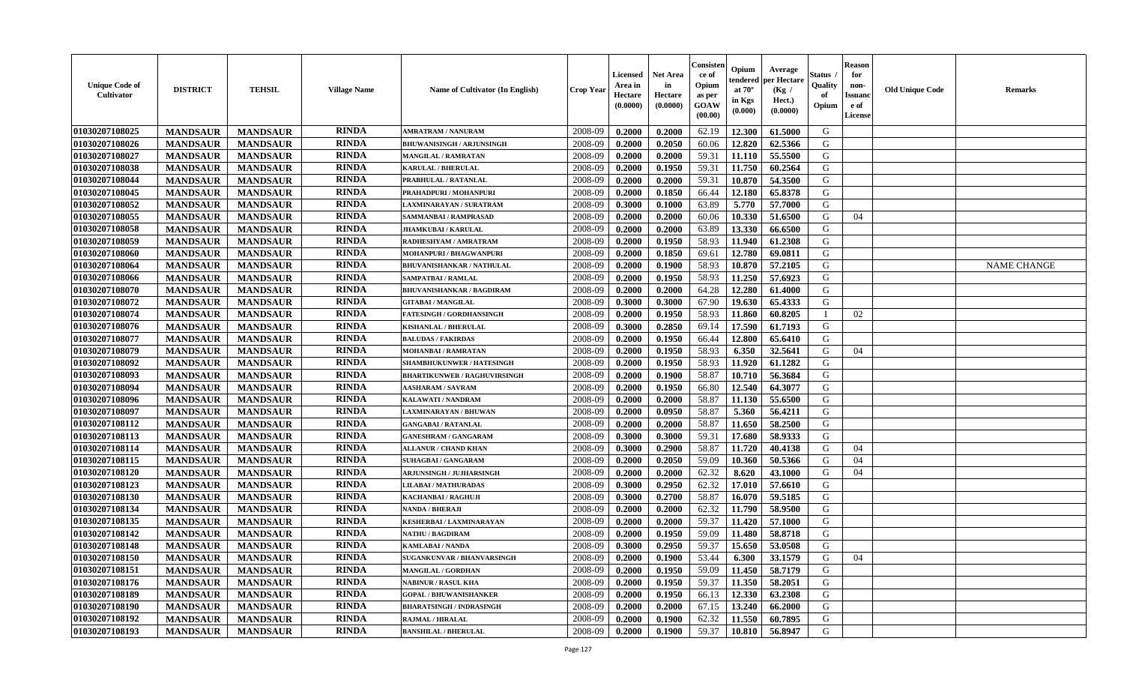| <b>Unique Code of</b><br><b>Cultivator</b> | <b>DISTRICT</b> | <b>TEHSIL</b>   | <b>Village Name</b> | <b>Name of Cultivator (In English)</b> | <b>Crop Year</b> | Licensed<br>Area in<br>Hectare<br>(0.0000) | Net Area<br>in<br>Hectare<br>(0.0000) | Consisteı<br>ce of<br>Opium<br>as per<br>GOAW<br>(00.00) | Opium<br>endered<br>at $70^{\circ}$<br>in Kgs<br>(0.000) | Average<br>oer Hectare<br>(Kg /<br>Hect.)<br>(0.0000) | Status<br>Quality<br>of<br>Opium | <b>Reason</b><br>for<br>non-<br>Issuano<br>e of<br>License | <b>Old Unique Code</b> | Remarks            |
|--------------------------------------------|-----------------|-----------------|---------------------|----------------------------------------|------------------|--------------------------------------------|---------------------------------------|----------------------------------------------------------|----------------------------------------------------------|-------------------------------------------------------|----------------------------------|------------------------------------------------------------|------------------------|--------------------|
| 01030207108025                             | <b>MANDSAUR</b> | <b>MANDSAUR</b> | <b>RINDA</b>        | <b>AMRATRAM / NANURAM</b>              | 2008-09          | 0.2000                                     | 0.2000                                | 62.19                                                    | 12.300                                                   | 61.5000                                               | G                                |                                                            |                        |                    |
| 01030207108026                             | <b>MANDSAUR</b> | <b>MANDSAUR</b> | <b>RINDA</b>        | <b>BHUWANISINGH / ARJUNSINGH</b>       | 2008-09          | 0.2000                                     | 0.2050                                | 60.06                                                    | 12.820                                                   | 62.5366                                               | G                                |                                                            |                        |                    |
| 01030207108027                             | <b>MANDSAUR</b> | <b>MANDSAUR</b> | <b>RINDA</b>        | <b>MANGILAL / RAMRATAN</b>             | 2008-09          | 0.2000                                     | 0.2000                                | 59.31                                                    | 11.110                                                   | 55.5500                                               | G                                |                                                            |                        |                    |
| 01030207108038                             | <b>MANDSAUR</b> | <b>MANDSAUR</b> | <b>RINDA</b>        | <b>KARULAL / BHERULAL</b>              | 2008-09          | 0.2000                                     | 0.1950                                | 59.31                                                    | 11.750                                                   | 60.2564                                               | G                                |                                                            |                        |                    |
| 01030207108044                             | <b>MANDSAUR</b> | <b>MANDSAUR</b> | <b>RINDA</b>        | PRABHULAL / RATANLAL                   | 2008-09          | 0.2000                                     | 0.2000                                | 59.31                                                    | 10.870                                                   | 54.3500                                               | G                                |                                                            |                        |                    |
| 01030207108045                             | <b>MANDSAUR</b> | <b>MANDSAUR</b> | <b>RINDA</b>        | PRAHADPURI / MOHANPURI                 | 2008-09          | 0.2000                                     | 0.1850                                | 66.44                                                    | 12.180                                                   | 65.8378                                               | G                                |                                                            |                        |                    |
| 01030207108052                             | <b>MANDSAUR</b> | <b>MANDSAUR</b> | <b>RINDA</b>        | LAXMINARAYAN / SURATRAM                | 2008-09          | 0.3000                                     | 0.1000                                | 63.89                                                    | 5.770                                                    | 57.7000                                               | G                                |                                                            |                        |                    |
| 01030207108055                             | <b>MANDSAUR</b> | <b>MANDSAUR</b> | <b>RINDA</b>        | SAMMANBAI / RAMPRASAD                  | 2008-09          | 0.2000                                     | 0.2000                                | 60.06                                                    | 10.330                                                   | 51.6500                                               | G                                | 04                                                         |                        |                    |
| 01030207108058                             | <b>MANDSAUR</b> | <b>MANDSAUR</b> | <b>RINDA</b>        | <b>JHAMKUBAI/KARULAL</b>               | 2008-09          | 0.2000                                     | 0.2000                                | 63.89                                                    | 13.330                                                   | 66.6500                                               | G                                |                                                            |                        |                    |
| 01030207108059                             | <b>MANDSAUR</b> | <b>MANDSAUR</b> | <b>RINDA</b>        | RADHESHYAM / AMRATRAM                  | 2008-09          | 0.2000                                     | 0.1950                                | 58.93                                                    | 11.940                                                   | 61.2308                                               | G                                |                                                            |                        |                    |
| 01030207108060                             | <b>MANDSAUR</b> | <b>MANDSAUR</b> | <b>RINDA</b>        | <b>MOHANPURI / BHAGWANPURI</b>         | 2008-09          | 0.2000                                     | 0.1850                                | 69.61                                                    | 12.780                                                   | 69.0811                                               | G                                |                                                            |                        |                    |
| 01030207108064                             | <b>MANDSAUR</b> | <b>MANDSAUR</b> | <b>RINDA</b>        | <b>BHUVANISHANKAR / NATHULAL</b>       | 2008-09          | 0.2000                                     | 0.1900                                | 58.93                                                    | 10.870                                                   | 57.2105                                               | G                                |                                                            |                        | <b>NAME CHANGE</b> |
| 01030207108066                             | <b>MANDSAUR</b> | <b>MANDSAUR</b> | <b>RINDA</b>        | <b>SAMPATBAI/RAMLAL</b>                | 2008-09          | 0.2000                                     | 0.1950                                | 58.93                                                    | 11.250                                                   | 57.6923                                               | G                                |                                                            |                        |                    |
| 01030207108070                             | <b>MANDSAUR</b> | <b>MANDSAUR</b> | <b>RINDA</b>        | <b>BHUVANISHANKAR / BAGDIRAM</b>       | 2008-09          | 0.2000                                     | 0.2000                                | 64.28                                                    | 12.280                                                   | 61.4000                                               | G                                |                                                            |                        |                    |
| 01030207108072                             | <b>MANDSAUR</b> | <b>MANDSAUR</b> | <b>RINDA</b>        | <b>GITABAI/MANGILAL</b>                | 2008-09          | 0.3000                                     | 0.3000                                | 67.90                                                    | 19.630                                                   | 65.4333                                               | G                                |                                                            |                        |                    |
| 01030207108074                             | <b>MANDSAUR</b> | <b>MANDSAUR</b> | <b>RINDA</b>        | <b>FATESINGH / GORDHANSINGH</b>        | 2008-09          | 0.2000                                     | 0.1950                                | 58.93                                                    | 11.860                                                   | 60.8205                                               |                                  | 02                                                         |                        |                    |
| 01030207108076                             | <b>MANDSAUR</b> | <b>MANDSAUR</b> | <b>RINDA</b>        | KISHANLAL / BHERULAL                   | 2008-09          | 0.3000                                     | 0.2850                                | 69.14                                                    | 17.590                                                   | 61.7193                                               | G                                |                                                            |                        |                    |
| 01030207108077                             | <b>MANDSAUR</b> | <b>MANDSAUR</b> | <b>RINDA</b>        | <b>BALUDAS / FAKIRDAS</b>              | 2008-09          | 0.2000                                     | 0.1950                                | 66.44                                                    | 12.800                                                   | 65.6410                                               | G                                |                                                            |                        |                    |
| 01030207108079                             | <b>MANDSAUR</b> | <b>MANDSAUR</b> | <b>RINDA</b>        | MOHANBAI / RAMRATAN                    | 2008-09          | 0.2000                                     | 0.1950                                | 58.93                                                    | 6.350                                                    | 32.5641                                               | G                                | 04                                                         |                        |                    |
| 01030207108092                             | <b>MANDSAUR</b> | <b>MANDSAUR</b> | <b>RINDA</b>        | SHAMBHUKUNWER / HATESINGH              | 2008-09          | 0.2000                                     | 0.1950                                | 58.93                                                    | 11.920                                                   | 61.1282                                               | G                                |                                                            |                        |                    |
| 01030207108093                             | <b>MANDSAUR</b> | <b>MANDSAUR</b> | <b>RINDA</b>        | <b>BHARTIKUNWER / RAGHUVIRSINGH</b>    | 2008-09          | 0.2000                                     | 0.1900                                | 58.87                                                    | 10.710                                                   | 56.3684                                               | G                                |                                                            |                        |                    |
| 01030207108094                             | <b>MANDSAUR</b> | <b>MANDSAUR</b> | <b>RINDA</b>        | <b>AASHARAM / SAVRAM</b>               | 2008-09          | 0.2000                                     | 0.1950                                | 66.80                                                    | 12.540                                                   | 64.3077                                               | G                                |                                                            |                        |                    |
| 01030207108096                             | <b>MANDSAUR</b> | <b>MANDSAUR</b> | <b>RINDA</b>        | KALAWATI / NANDRAM                     | 2008-09          | 0.2000                                     | 0.2000                                | 58.87                                                    | 11.130                                                   | 55.6500                                               | G                                |                                                            |                        |                    |
| 01030207108097                             | <b>MANDSAUR</b> | <b>MANDSAUR</b> | <b>RINDA</b>        | LAXMINARAYAN / BHUWAN                  | 2008-09          | 0.2000                                     | 0.0950                                | 58.87                                                    | 5.360                                                    | 56.4211                                               | G                                |                                                            |                        |                    |
| 01030207108112                             | <b>MANDSAUR</b> | <b>MANDSAUR</b> | <b>RINDA</b>        | <b>GANGABAI/RATANLAL</b>               | 2008-09          | 0.2000                                     | 0.2000                                | 58.87                                                    | 11.650                                                   | 58.2500                                               | G                                |                                                            |                        |                    |
| 01030207108113                             | <b>MANDSAUR</b> | <b>MANDSAUR</b> | <b>RINDA</b>        | <b>GANESHRAM / GANGARAM</b>            | 2008-09          | 0.3000                                     | 0.3000                                | 59.31                                                    | 17.680                                                   | 58.9333                                               | G                                |                                                            |                        |                    |
| 01030207108114                             | <b>MANDSAUR</b> | <b>MANDSAUR</b> | <b>RINDA</b>        | <b>ALLANUR / CHAND KHAN</b>            | 2008-09          | 0.3000                                     | 0.2900                                | 58.87                                                    | 11.720                                                   | 40.4138                                               | G                                | 04                                                         |                        |                    |
| 01030207108115                             | <b>MANDSAUR</b> | <b>MANDSAUR</b> | <b>RINDA</b>        | <b>SUHAGBAI/GANGARAM</b>               | 2008-09          | 0.2000                                     | 0.2050                                | 59.09                                                    | 10.360                                                   | 50.5366                                               | G                                | 04                                                         |                        |                    |
| 01030207108120                             | <b>MANDSAUR</b> | <b>MANDSAUR</b> | <b>RINDA</b>        | <b>ARJUNSINGH / JUJHARSINGH</b>        | 2008-09          | 0.2000                                     | 0.2000                                | 62.32                                                    | 8.620                                                    | 43.1000                                               | G                                | 04                                                         |                        |                    |
| 01030207108123                             | <b>MANDSAUR</b> | <b>MANDSAUR</b> | <b>RINDA</b>        | <b>LILABAI/MATHURADAS</b>              | 2008-09          | 0.3000                                     | 0.2950                                | 62.32                                                    | 17.010                                                   | 57.6610                                               | G                                |                                                            |                        |                    |
| 01030207108130                             | <b>MANDSAUR</b> | <b>MANDSAUR</b> | <b>RINDA</b>        | KACHANBAI / RAGHUJI                    | 2008-09          | 0.3000                                     | 0.2700                                | 58.87                                                    | 16.070                                                   | 59.5185                                               | G                                |                                                            |                        |                    |
| 01030207108134                             | <b>MANDSAUR</b> | <b>MANDSAUR</b> | <b>RINDA</b>        | NANDA / BHERAJI                        | 2008-09          | 0.2000                                     | 0.2000                                | 62.32                                                    | 11.790                                                   | 58.9500                                               | G                                |                                                            |                        |                    |
| 01030207108135                             | <b>MANDSAUR</b> | <b>MANDSAUR</b> | <b>RINDA</b>        | KESHERBAI / LAXMINARAYAN               | 2008-09          | 0.2000                                     | 0.2000                                | 59.37                                                    | 11.420                                                   | 57.1000                                               | G                                |                                                            |                        |                    |
| 01030207108142                             | <b>MANDSAUR</b> | <b>MANDSAUR</b> | <b>RINDA</b>        | <b>NATHU / BAGDIRAM</b>                | 2008-09          | 0.2000                                     | 0.1950                                | 59.09                                                    | 11.480                                                   | 58.8718                                               | G                                |                                                            |                        |                    |
| 01030207108148                             | <b>MANDSAUR</b> | <b>MANDSAUR</b> | <b>RINDA</b>        | KAMLABAI / NANDA                       | 2008-09          | 0.3000                                     | 0.2950                                | 59.37                                                    | 15.650                                                   | 53.0508                                               | G                                |                                                            |                        |                    |
| 01030207108150                             | <b>MANDSAUR</b> | <b>MANDSAUR</b> | <b>RINDA</b>        | SUGANKUNVAR / BHANVARSINGH             | 2008-09          | 0.2000                                     | 0.1900                                | 53.44                                                    | 6.300                                                    | 33.1579                                               | G                                | 04                                                         |                        |                    |
| 01030207108151                             | <b>MANDSAUR</b> | <b>MANDSAUR</b> | <b>RINDA</b>        | <b>MANGILAL / GORDHAN</b>              | 2008-09          | 0.2000                                     | 0.1950                                | 59.09                                                    | 11.450                                                   | 58.7179                                               | G                                |                                                            |                        |                    |
| 01030207108176                             | <b>MANDSAUR</b> | <b>MANDSAUR</b> | <b>RINDA</b>        | <b>NABINUR / RASUL KHA</b>             | 2008-09          | 0.2000                                     | 0.1950                                | 59.37                                                    | 11.350                                                   | 58.2051                                               | G                                |                                                            |                        |                    |
| 01030207108189                             | <b>MANDSAUR</b> | <b>MANDSAUR</b> | <b>RINDA</b>        | <b>GOPAL / BHUWANISHANKER</b>          | 2008-09          | 0.2000                                     | 0.1950                                | 66.13                                                    | 12.330                                                   | 63.2308                                               | G                                |                                                            |                        |                    |
| 01030207108190                             | <b>MANDSAUR</b> | <b>MANDSAUR</b> | <b>RINDA</b>        | <b>BHARATSINGH / INDRASINGH</b>        | 2008-09          | 0.2000                                     | 0.2000                                | 67.15                                                    | 13.240                                                   | 66.2000                                               | G                                |                                                            |                        |                    |
| 01030207108192                             | <b>MANDSAUR</b> | <b>MANDSAUR</b> | RINDA               | <b>RAJMAL / HIRALAL</b>                | 2008-09          | 0.2000                                     | 0.1900                                | 62.32                                                    | 11.550                                                   | 60.7895                                               | G                                |                                                            |                        |                    |
| 01030207108193                             | <b>MANDSAUR</b> | <b>MANDSAUR</b> | RINDA               | <b>BANSHILAL / BHERULAL</b>            | 2008-09          | 0.2000                                     | 0.1900                                | 59.37                                                    | 10.810                                                   | 56.8947                                               | G                                |                                                            |                        |                    |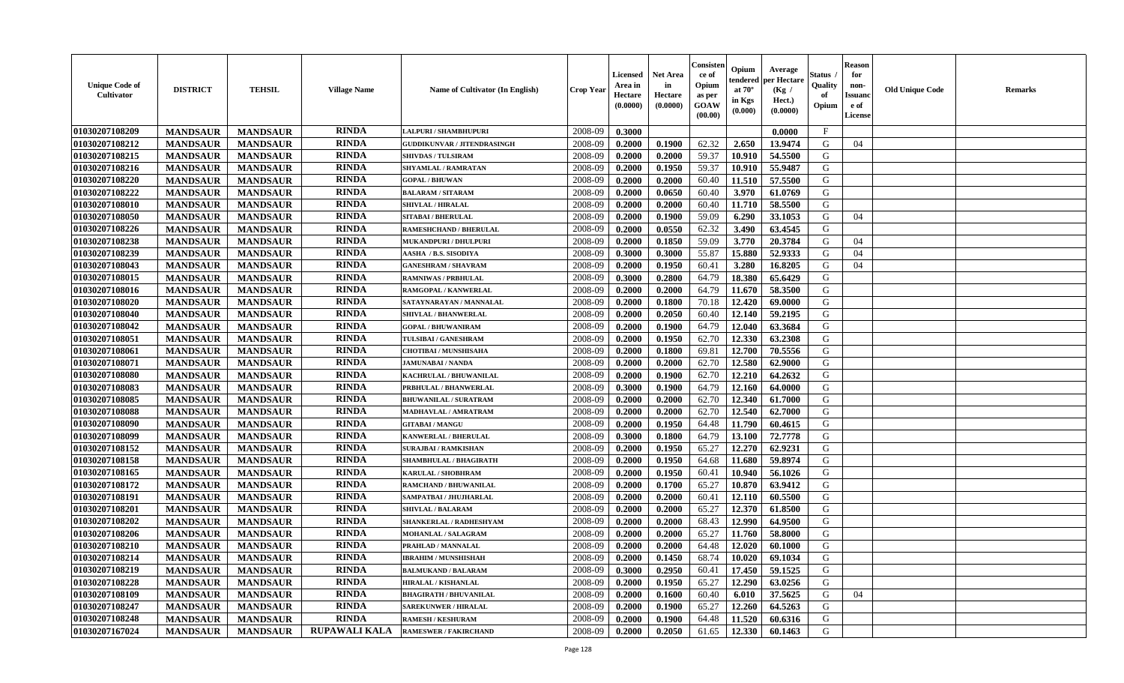| <b>RINDA</b><br>2008-09<br>$\mathbf{F}$<br>0.3000<br><b>MANDSAUR</b><br><b>MANDSAUR</b><br>0.0000<br><b>LALPURI / SHAMBHUPURI</b><br><b>RINDA</b><br>62.32<br>2008-09<br>2.650<br>G<br><b>MANDSAUR</b><br><b>MANDSAUR</b><br>0.2000<br>0.1900<br>13.9474<br>04<br><b>GUDDIKUNVAR / JITENDRASINGH</b><br><b>RINDA</b><br><b>MANDSAUR</b><br>0.2000<br>59.37<br>10.910<br>54.5500<br>G<br><b>MANDSAUR</b><br>2008-09<br>0.2000<br><b>SHIVDAS / TULSIRAM</b><br><b>RINDA</b><br>G<br><b>MANDSAUR</b><br><b>MANDSAUR</b><br>2008-09<br>0.2000<br>0.1950<br>59.37<br>10.910<br>55.9487<br>SHYAMLAL / RAMRATAN<br><b>RINDA</b><br>57.5500<br><b>MANDSAUR</b><br><b>MANDSAUR</b><br>2008-09<br>0.2000<br>0.2000<br>60.40<br>11.510<br>G<br><b>GOPAL / BHUWAN</b><br><b>RINDA</b><br><b>MANDSAUR</b><br><b>MANDSAUR</b><br>3.970<br>61.0769<br>G<br><b>BALARAM / SITARAM</b><br>2008-09<br>0.2000<br>0.0650<br>60.40<br><b>RINDA</b><br><b>MANDSAUR</b><br><b>MANDSAUR</b><br>11.710<br>58.5500<br>G<br>2008-09<br>0.2000<br>0.2000<br>60.40<br><b>SHIVLAL / HIRALAL</b><br><b>RINDA</b><br>59.09<br><b>MANDSAUR</b><br><b>MANDSAUR</b><br>2008-09<br>6.290<br>33.1053<br>G<br><b>SITABAI / BHERULAL</b><br>0.2000<br>0.1900<br>04<br><b>MANDSAUR</b><br><b>RINDA</b><br>2008-09<br>0.0550<br>62.32<br>G<br><b>MANDSAUR</b><br>RAMESHCHAND / BHERULAL<br>0.2000<br>3.490<br>63.4545<br><b>RINDA</b><br>2008-09<br>0.1850<br>59.09<br>3.770<br>G<br><b>MANDSAUR</b><br>0.2000<br>20.3784<br>04<br><b>MANDSAUR</b><br>MUKANDPURI / DHULPURI<br><b>RINDA</b><br><b>MANDSAUR</b><br><b>MANDSAUR</b><br>55.87<br>15.880<br>52.9333<br>G<br>2008-09<br>0.3000<br>0.3000<br>04<br>AASHA / B.S. SISODIYA<br><b>RINDA</b><br><b>MANDSAUR</b><br>0.1950<br><b>MANDSAUR</b><br><b>GANESHRAM / SHAVRAM</b><br>2008-09<br>0.2000<br>60.41<br>3.280<br>16.8205<br>G<br>04<br><b>RINDA</b><br>0.2800<br>64.79<br>18.380<br>65.6429<br><b>MANDSAUR</b><br><b>MANDSAUR</b><br>2008-09<br>0.3000<br>G<br><b>RAMNIWAS / PRBHULAL</b><br><b>RINDA</b><br><b>MANDSAUR</b><br><b>MANDSAUR</b><br>11.670<br>58.3500<br>G<br>2008-09<br>0.2000<br>0.2000<br>64.79<br>RAMGOPAL / KANWERLAL<br><b>RINDA</b><br>G<br><b>MANDSAUR</b><br><b>MANDSAUR</b><br>2008-09<br>0.2000<br>0.1800<br>70.18<br>12.420<br>69.0000<br>SATAYNARAYAN / MANNALAL<br><b>RINDA</b><br>12.140<br>G<br><b>MANDSAUR</b><br><b>MANDSAUR</b><br>2008-09<br>0.2000<br>0.2050<br>60.40<br>59.2195<br>SHIVLAL / BHANWERLAL<br><b>RINDA</b><br>G<br><b>MANDSAUR</b><br><b>MANDSAUR</b><br>2008-09<br>0.1900<br>64.79<br>12.040<br>63.3684<br>0.2000<br><b>GOPAL / BHUWANIRAM</b><br>01030207108051<br><b>RINDA</b><br>G<br><b>MANDSAUR</b><br>2008-09<br>62.70<br>12.330<br>63.2308<br><b>MANDSAUR</b><br>0.2000<br>0.1950<br>TULSIBAI / GANESHRAM<br><b>RINDA</b><br>12.700<br>69.81<br>70.5556<br>G<br><b>MANDSAUR</b><br><b>MANDSAUR</b><br>2008-09<br>0.2000<br>0.1800<br><b>CHOTIBAI / MUNSHISAHA</b><br><b>RINDA</b><br>01030207108071<br><b>MANDSAUR</b><br>0.2000<br>62.70<br>12.580<br>62.9000<br><b>MANDSAUR</b><br>2008-09<br>0.2000<br>G<br><b>JAMUNABAI / NANDA</b><br><b>RINDA</b><br>12.210<br>64.2632<br>G<br>01030207108080<br><b>MANDSAUR</b><br>2008-09<br>0.2000<br>0.1900<br>62.70<br><b>MANDSAUR</b><br>KACHRULAL / BHUWANILAL<br><b>RINDA</b><br><b>MANDSAUR</b><br>12.160<br>G<br>01030207108083<br><b>MANDSAUR</b><br>0.3000<br>0.1900<br>64.79<br>64.0000<br>PRBHULAL / BHANWERLAL<br>2008-09<br><b>RINDA</b><br>01030207108085<br><b>MANDSAUR</b><br>12.340<br><b>MANDSAUR</b><br>2008-09<br>0.2000<br>0.2000<br>62.70<br>61.7000<br>G<br><b>BHUWANILAL / SURATRAM</b><br>01030207108088<br><b>RINDA</b><br>62.70<br>12.540<br><b>MANDSAUR</b><br>2008-09<br>62.7000<br>G<br><b>MANDSAUR</b><br>0.2000<br>0.2000<br>MADHAVLAL / AMRATRAM<br>01030207108090<br>RINDA<br>G<br><b>MANDSAUR</b><br><b>MANDSAUR</b><br>2008-09<br>0.1950<br>64.48<br>11.790<br>0.2000<br>60.4615<br><b>GITABAI/MANGU</b><br><b>RINDA</b><br>01030207108099<br>2008-09<br>72.7778<br>G<br><b>MANDSAUR</b><br><b>MANDSAUR</b><br><b>KANWERLAL / BHERULAL</b><br>0.3000<br>0.1800<br>64.79<br>13.100<br><b>RINDA</b><br>12.270<br>62.9231<br>01030207108152<br><b>MANDSAUR</b><br><b>MANDSAUR</b><br>2008-09<br>0.2000<br>0.1950<br>65.27<br>G<br><b>SURAJBAI / RAMKISHAN</b><br><b>RINDA</b><br>01030207108158<br><b>MANDSAUR</b><br><b>MANDSAUR</b><br>0.1950<br>64.68<br>11.680<br>59.8974<br>G<br>2008-09<br>0.2000<br>SHAMBHULAL / BHAGIRATH<br><b>RINDA</b><br>01030207108165<br><b>MANDSAUR</b><br><b>MANDSAUR</b><br>0.1950<br>10.940<br>56.1026<br>G<br>2008-09<br>0.2000<br>60.41<br>KARULAL / SHOBHRAM<br><b>RINDA</b><br>65.27<br>10.870<br>63.9412<br>01030207108172<br><b>MANDSAUR</b><br><b>MANDSAUR</b><br>2008-09<br>0.2000<br>0.1700<br>G<br>RAMCHAND / BHUWANILAL<br>01030207108191<br><b>MANDSAUR</b><br><b>RINDA</b><br>12.110<br>60.5500<br><b>MANDSAUR</b><br>SAMPATBAI / JHUJHARLAL<br>2008-09<br>0.2000<br>0.2000<br>60.41<br>G<br><b>RINDA</b><br>01030207108201<br>2008-09<br>65.27<br>12.370<br>G<br><b>MANDSAUR</b><br><b>MANDSAUR</b><br>0.2000<br>0.2000<br>61.8500<br><b>SHIVLAL / BALARAM</b><br><b>RINDA</b><br>G<br>01030207108202<br>12.990<br><b>MANDSAUR</b><br><b>MANDSAUR</b><br>2008-09<br>0.2000<br>0.2000<br>68.43<br>64.9500<br>SHANKERLAL / RADHESHYAM<br><b>RINDA</b><br>01030207108206<br>2008-09<br>58.8000<br>G<br><b>MANDSAUR</b><br><b>MANDSAUR</b><br>0.2000<br>0.2000<br>65.27<br>11.760<br>MOHANLAL / SALAGRAM<br>RINDA<br>0.2000<br>12.020<br>G<br>01030207108210<br><b>MANDSAUR</b><br>2008-09<br>0.2000<br>64.48<br>60.1000<br><b>MANDSAUR</b><br>PRAHLAD / MANNALAL<br><b>01030207108214</b><br><b>RINDA</b><br>$10.020$ 69.1034<br><b>MANDSAUR</b><br><b>MANDSAUR</b><br><b>IBRAHIM / MUNSHISHAH</b><br>2008-09<br>0.2000<br>0.1450<br>68.74<br>G<br><b>RINDA</b><br><b>01030207108219</b><br><b>MANDSAUR</b><br>2008-09<br>0.3000<br>0.2950<br>17.450<br>59.1525<br>G<br><b>MANDSAUR</b><br><b>BALMUKAND / BALARAM</b><br>60.41<br><b>RINDA</b><br>12.290<br>01030207108228<br><b>MANDSAUR</b><br><b>MANDSAUR</b><br><b>HIRALAL / KISHANLAL</b><br>2008-09<br>0.2000<br>0.1950<br>65.27<br>63.0256<br>G<br><b>RINDA</b><br>01030207108109<br><b>MANDSAUR</b><br><b>MANDSAUR</b><br>37.5625<br>G<br><b>BHAGIRATH / BHUVANILAL</b><br>2008-09<br>0.2000<br>0.1600<br>60.40<br>6.010<br>04<br>01030207108247<br><b>RINDA</b><br>G<br><b>MANDSAUR</b><br><b>MANDSAUR</b><br>2008-09<br>0.1900<br>65.27<br>12.260<br>64.5263<br><b>SAREKUNWER / HIRALAL</b><br>0.2000<br>01030207108248<br><b>RINDA</b><br>2008-09<br>G<br><b>MANDSAUR</b><br><b>MANDSAUR</b><br><b>RAMESH / KESHURAM</b><br>0.2000<br>0.1900<br>64.48<br>11.520<br>60.6316<br>01030207167024<br><b>RUPAWALI KALA</b><br>G<br><b>MANDSAUR</b><br><b>RAMESWER / FAKIRCHAND</b><br>2008-09<br>0.2000<br>0.2050<br>61.65<br>12.330<br><b>MANDSAUR</b><br>60.1463 | <b>Unique Code of</b><br><b>Cultivator</b> | <b>DISTRICT</b> | <b>TEHSIL</b> | <b>Village Name</b> | <b>Name of Cultivator (In English)</b> | <b>Crop Year</b> | <b>Licensed</b><br>Area in<br>Hectare<br>(0.0000) | <b>Net Area</b><br>in<br>Hectare<br>(0.0000) | Consisteı<br>ce of<br>Opium<br>as per<br><b>GOAW</b><br>(00.00) | Opium<br>endered<br>at $70^\circ$<br>in Kgs<br>$(\mathbf{0.000})$ | Average<br>per Hectare<br>(Kg)<br>Hect.)<br>(0.0000) | Status<br>Quality<br>of<br>Opium | Reason<br>for<br>non-<br>Issuan<br>e of<br><b>License</b> | <b>Old Unique Code</b> | <b>Remarks</b> |
|--------------------------------------------------------------------------------------------------------------------------------------------------------------------------------------------------------------------------------------------------------------------------------------------------------------------------------------------------------------------------------------------------------------------------------------------------------------------------------------------------------------------------------------------------------------------------------------------------------------------------------------------------------------------------------------------------------------------------------------------------------------------------------------------------------------------------------------------------------------------------------------------------------------------------------------------------------------------------------------------------------------------------------------------------------------------------------------------------------------------------------------------------------------------------------------------------------------------------------------------------------------------------------------------------------------------------------------------------------------------------------------------------------------------------------------------------------------------------------------------------------------------------------------------------------------------------------------------------------------------------------------------------------------------------------------------------------------------------------------------------------------------------------------------------------------------------------------------------------------------------------------------------------------------------------------------------------------------------------------------------------------------------------------------------------------------------------------------------------------------------------------------------------------------------------------------------------------------------------------------------------------------------------------------------------------------------------------------------------------------------------------------------------------------------------------------------------------------------------------------------------------------------------------------------------------------------------------------------------------------------------------------------------------------------------------------------------------------------------------------------------------------------------------------------------------------------------------------------------------------------------------------------------------------------------------------------------------------------------------------------------------------------------------------------------------------------------------------------------------------------------------------------------------------------------------------------------------------------------------------------------------------------------------------------------------------------------------------------------------------------------------------------------------------------------------------------------------------------------------------------------------------------------------------------------------------------------------------------------------------------------------------------------------------------------------------------------------------------------------------------------------------------------------------------------------------------------------------------------------------------------------------------------------------------------------------------------------------------------------------------------------------------------------------------------------------------------------------------------------------------------------------------------------------------------------------------------------------------------------------------------------------------------------------------------------------------------------------------------------------------------------------------------------------------------------------------------------------------------------------------------------------------------------------------------------------------------------------------------------------------------------------------------------------------------------------------------------------------------------------------------------------------------------------------------------------------------------------------------------------------------------------------------------------------------------------------------------------------------------------------------------------------------------------------------------------------------------------------------------------------------------------------------------------------------------------------------------------------------------------------------------------------------------------------------------------------------------------------------------------------------------------------------------------------------------------------------------------------------------------------------------------------------------------------------------------------------------------------------------------------------------------------------------------------------------------------------------------------------------------------------------------------------------------------------------------------------------------------------------------------------------------------------------------------------------------------------------------------------------------------------------------------------------------------------------------------------------------------------------------------------------------------------------------------------------------------------------------------------------------------------------------------------------------------------------------------------------------------------------------------------------------------------------------------------------------------------------------------------------------------------------------------------------------------------------------------------------------------------------------------------------------------------------------------------------------------------------------------------------------------------------------------------------------------------------------------------------------------------------------------------------------------------------------------|--------------------------------------------|-----------------|---------------|---------------------|----------------------------------------|------------------|---------------------------------------------------|----------------------------------------------|-----------------------------------------------------------------|-------------------------------------------------------------------|------------------------------------------------------|----------------------------------|-----------------------------------------------------------|------------------------|----------------|
|                                                                                                                                                                                                                                                                                                                                                                                                                                                                                                                                                                                                                                                                                                                                                                                                                                                                                                                                                                                                                                                                                                                                                                                                                                                                                                                                                                                                                                                                                                                                                                                                                                                                                                                                                                                                                                                                                                                                                                                                                                                                                                                                                                                                                                                                                                                                                                                                                                                                                                                                                                                                                                                                                                                                                                                                                                                                                                                                                                                                                                                                                                                                                                                                                                                                                                                                                                                                                                                                                                                                                                                                                                                                                                                                                                                                                                                                                                                                                                                                                                                                                                                                                                                                                                                                                                                                                                                                                                                                                                                                                                                                                                                                                                                                                                                                                                                                                                                                                                                                                                                                                                                                                                                                                                                                                                                                                                                                                                                                                                                                                                                                                                                                                                                                                                                                                                                                                                                                                                                                                                                                                                                                                                                                                                                                                                                                                                                                                                                                                                                                                                                                                                                                                                                                                                                                                                                                                                                          | 01030207108209                             |                 |               |                     |                                        |                  |                                                   |                                              |                                                                 |                                                                   |                                                      |                                  |                                                           |                        |                |
|                                                                                                                                                                                                                                                                                                                                                                                                                                                                                                                                                                                                                                                                                                                                                                                                                                                                                                                                                                                                                                                                                                                                                                                                                                                                                                                                                                                                                                                                                                                                                                                                                                                                                                                                                                                                                                                                                                                                                                                                                                                                                                                                                                                                                                                                                                                                                                                                                                                                                                                                                                                                                                                                                                                                                                                                                                                                                                                                                                                                                                                                                                                                                                                                                                                                                                                                                                                                                                                                                                                                                                                                                                                                                                                                                                                                                                                                                                                                                                                                                                                                                                                                                                                                                                                                                                                                                                                                                                                                                                                                                                                                                                                                                                                                                                                                                                                                                                                                                                                                                                                                                                                                                                                                                                                                                                                                                                                                                                                                                                                                                                                                                                                                                                                                                                                                                                                                                                                                                                                                                                                                                                                                                                                                                                                                                                                                                                                                                                                                                                                                                                                                                                                                                                                                                                                                                                                                                                                          | 01030207108212                             |                 |               |                     |                                        |                  |                                                   |                                              |                                                                 |                                                                   |                                                      |                                  |                                                           |                        |                |
|                                                                                                                                                                                                                                                                                                                                                                                                                                                                                                                                                                                                                                                                                                                                                                                                                                                                                                                                                                                                                                                                                                                                                                                                                                                                                                                                                                                                                                                                                                                                                                                                                                                                                                                                                                                                                                                                                                                                                                                                                                                                                                                                                                                                                                                                                                                                                                                                                                                                                                                                                                                                                                                                                                                                                                                                                                                                                                                                                                                                                                                                                                                                                                                                                                                                                                                                                                                                                                                                                                                                                                                                                                                                                                                                                                                                                                                                                                                                                                                                                                                                                                                                                                                                                                                                                                                                                                                                                                                                                                                                                                                                                                                                                                                                                                                                                                                                                                                                                                                                                                                                                                                                                                                                                                                                                                                                                                                                                                                                                                                                                                                                                                                                                                                                                                                                                                                                                                                                                                                                                                                                                                                                                                                                                                                                                                                                                                                                                                                                                                                                                                                                                                                                                                                                                                                                                                                                                                                          | 01030207108215                             |                 |               |                     |                                        |                  |                                                   |                                              |                                                                 |                                                                   |                                                      |                                  |                                                           |                        |                |
|                                                                                                                                                                                                                                                                                                                                                                                                                                                                                                                                                                                                                                                                                                                                                                                                                                                                                                                                                                                                                                                                                                                                                                                                                                                                                                                                                                                                                                                                                                                                                                                                                                                                                                                                                                                                                                                                                                                                                                                                                                                                                                                                                                                                                                                                                                                                                                                                                                                                                                                                                                                                                                                                                                                                                                                                                                                                                                                                                                                                                                                                                                                                                                                                                                                                                                                                                                                                                                                                                                                                                                                                                                                                                                                                                                                                                                                                                                                                                                                                                                                                                                                                                                                                                                                                                                                                                                                                                                                                                                                                                                                                                                                                                                                                                                                                                                                                                                                                                                                                                                                                                                                                                                                                                                                                                                                                                                                                                                                                                                                                                                                                                                                                                                                                                                                                                                                                                                                                                                                                                                                                                                                                                                                                                                                                                                                                                                                                                                                                                                                                                                                                                                                                                                                                                                                                                                                                                                                          | 01030207108216                             |                 |               |                     |                                        |                  |                                                   |                                              |                                                                 |                                                                   |                                                      |                                  |                                                           |                        |                |
|                                                                                                                                                                                                                                                                                                                                                                                                                                                                                                                                                                                                                                                                                                                                                                                                                                                                                                                                                                                                                                                                                                                                                                                                                                                                                                                                                                                                                                                                                                                                                                                                                                                                                                                                                                                                                                                                                                                                                                                                                                                                                                                                                                                                                                                                                                                                                                                                                                                                                                                                                                                                                                                                                                                                                                                                                                                                                                                                                                                                                                                                                                                                                                                                                                                                                                                                                                                                                                                                                                                                                                                                                                                                                                                                                                                                                                                                                                                                                                                                                                                                                                                                                                                                                                                                                                                                                                                                                                                                                                                                                                                                                                                                                                                                                                                                                                                                                                                                                                                                                                                                                                                                                                                                                                                                                                                                                                                                                                                                                                                                                                                                                                                                                                                                                                                                                                                                                                                                                                                                                                                                                                                                                                                                                                                                                                                                                                                                                                                                                                                                                                                                                                                                                                                                                                                                                                                                                                                          | 01030207108220                             |                 |               |                     |                                        |                  |                                                   |                                              |                                                                 |                                                                   |                                                      |                                  |                                                           |                        |                |
|                                                                                                                                                                                                                                                                                                                                                                                                                                                                                                                                                                                                                                                                                                                                                                                                                                                                                                                                                                                                                                                                                                                                                                                                                                                                                                                                                                                                                                                                                                                                                                                                                                                                                                                                                                                                                                                                                                                                                                                                                                                                                                                                                                                                                                                                                                                                                                                                                                                                                                                                                                                                                                                                                                                                                                                                                                                                                                                                                                                                                                                                                                                                                                                                                                                                                                                                                                                                                                                                                                                                                                                                                                                                                                                                                                                                                                                                                                                                                                                                                                                                                                                                                                                                                                                                                                                                                                                                                                                                                                                                                                                                                                                                                                                                                                                                                                                                                                                                                                                                                                                                                                                                                                                                                                                                                                                                                                                                                                                                                                                                                                                                                                                                                                                                                                                                                                                                                                                                                                                                                                                                                                                                                                                                                                                                                                                                                                                                                                                                                                                                                                                                                                                                                                                                                                                                                                                                                                                          | 01030207108222                             |                 |               |                     |                                        |                  |                                                   |                                              |                                                                 |                                                                   |                                                      |                                  |                                                           |                        |                |
|                                                                                                                                                                                                                                                                                                                                                                                                                                                                                                                                                                                                                                                                                                                                                                                                                                                                                                                                                                                                                                                                                                                                                                                                                                                                                                                                                                                                                                                                                                                                                                                                                                                                                                                                                                                                                                                                                                                                                                                                                                                                                                                                                                                                                                                                                                                                                                                                                                                                                                                                                                                                                                                                                                                                                                                                                                                                                                                                                                                                                                                                                                                                                                                                                                                                                                                                                                                                                                                                                                                                                                                                                                                                                                                                                                                                                                                                                                                                                                                                                                                                                                                                                                                                                                                                                                                                                                                                                                                                                                                                                                                                                                                                                                                                                                                                                                                                                                                                                                                                                                                                                                                                                                                                                                                                                                                                                                                                                                                                                                                                                                                                                                                                                                                                                                                                                                                                                                                                                                                                                                                                                                                                                                                                                                                                                                                                                                                                                                                                                                                                                                                                                                                                                                                                                                                                                                                                                                                          | 01030207108010                             |                 |               |                     |                                        |                  |                                                   |                                              |                                                                 |                                                                   |                                                      |                                  |                                                           |                        |                |
|                                                                                                                                                                                                                                                                                                                                                                                                                                                                                                                                                                                                                                                                                                                                                                                                                                                                                                                                                                                                                                                                                                                                                                                                                                                                                                                                                                                                                                                                                                                                                                                                                                                                                                                                                                                                                                                                                                                                                                                                                                                                                                                                                                                                                                                                                                                                                                                                                                                                                                                                                                                                                                                                                                                                                                                                                                                                                                                                                                                                                                                                                                                                                                                                                                                                                                                                                                                                                                                                                                                                                                                                                                                                                                                                                                                                                                                                                                                                                                                                                                                                                                                                                                                                                                                                                                                                                                                                                                                                                                                                                                                                                                                                                                                                                                                                                                                                                                                                                                                                                                                                                                                                                                                                                                                                                                                                                                                                                                                                                                                                                                                                                                                                                                                                                                                                                                                                                                                                                                                                                                                                                                                                                                                                                                                                                                                                                                                                                                                                                                                                                                                                                                                                                                                                                                                                                                                                                                                          | 01030207108050                             |                 |               |                     |                                        |                  |                                                   |                                              |                                                                 |                                                                   |                                                      |                                  |                                                           |                        |                |
|                                                                                                                                                                                                                                                                                                                                                                                                                                                                                                                                                                                                                                                                                                                                                                                                                                                                                                                                                                                                                                                                                                                                                                                                                                                                                                                                                                                                                                                                                                                                                                                                                                                                                                                                                                                                                                                                                                                                                                                                                                                                                                                                                                                                                                                                                                                                                                                                                                                                                                                                                                                                                                                                                                                                                                                                                                                                                                                                                                                                                                                                                                                                                                                                                                                                                                                                                                                                                                                                                                                                                                                                                                                                                                                                                                                                                                                                                                                                                                                                                                                                                                                                                                                                                                                                                                                                                                                                                                                                                                                                                                                                                                                                                                                                                                                                                                                                                                                                                                                                                                                                                                                                                                                                                                                                                                                                                                                                                                                                                                                                                                                                                                                                                                                                                                                                                                                                                                                                                                                                                                                                                                                                                                                                                                                                                                                                                                                                                                                                                                                                                                                                                                                                                                                                                                                                                                                                                                                          | 01030207108226                             |                 |               |                     |                                        |                  |                                                   |                                              |                                                                 |                                                                   |                                                      |                                  |                                                           |                        |                |
|                                                                                                                                                                                                                                                                                                                                                                                                                                                                                                                                                                                                                                                                                                                                                                                                                                                                                                                                                                                                                                                                                                                                                                                                                                                                                                                                                                                                                                                                                                                                                                                                                                                                                                                                                                                                                                                                                                                                                                                                                                                                                                                                                                                                                                                                                                                                                                                                                                                                                                                                                                                                                                                                                                                                                                                                                                                                                                                                                                                                                                                                                                                                                                                                                                                                                                                                                                                                                                                                                                                                                                                                                                                                                                                                                                                                                                                                                                                                                                                                                                                                                                                                                                                                                                                                                                                                                                                                                                                                                                                                                                                                                                                                                                                                                                                                                                                                                                                                                                                                                                                                                                                                                                                                                                                                                                                                                                                                                                                                                                                                                                                                                                                                                                                                                                                                                                                                                                                                                                                                                                                                                                                                                                                                                                                                                                                                                                                                                                                                                                                                                                                                                                                                                                                                                                                                                                                                                                                          | 01030207108238                             |                 |               |                     |                                        |                  |                                                   |                                              |                                                                 |                                                                   |                                                      |                                  |                                                           |                        |                |
|                                                                                                                                                                                                                                                                                                                                                                                                                                                                                                                                                                                                                                                                                                                                                                                                                                                                                                                                                                                                                                                                                                                                                                                                                                                                                                                                                                                                                                                                                                                                                                                                                                                                                                                                                                                                                                                                                                                                                                                                                                                                                                                                                                                                                                                                                                                                                                                                                                                                                                                                                                                                                                                                                                                                                                                                                                                                                                                                                                                                                                                                                                                                                                                                                                                                                                                                                                                                                                                                                                                                                                                                                                                                                                                                                                                                                                                                                                                                                                                                                                                                                                                                                                                                                                                                                                                                                                                                                                                                                                                                                                                                                                                                                                                                                                                                                                                                                                                                                                                                                                                                                                                                                                                                                                                                                                                                                                                                                                                                                                                                                                                                                                                                                                                                                                                                                                                                                                                                                                                                                                                                                                                                                                                                                                                                                                                                                                                                                                                                                                                                                                                                                                                                                                                                                                                                                                                                                                                          | 01030207108239                             |                 |               |                     |                                        |                  |                                                   |                                              |                                                                 |                                                                   |                                                      |                                  |                                                           |                        |                |
|                                                                                                                                                                                                                                                                                                                                                                                                                                                                                                                                                                                                                                                                                                                                                                                                                                                                                                                                                                                                                                                                                                                                                                                                                                                                                                                                                                                                                                                                                                                                                                                                                                                                                                                                                                                                                                                                                                                                                                                                                                                                                                                                                                                                                                                                                                                                                                                                                                                                                                                                                                                                                                                                                                                                                                                                                                                                                                                                                                                                                                                                                                                                                                                                                                                                                                                                                                                                                                                                                                                                                                                                                                                                                                                                                                                                                                                                                                                                                                                                                                                                                                                                                                                                                                                                                                                                                                                                                                                                                                                                                                                                                                                                                                                                                                                                                                                                                                                                                                                                                                                                                                                                                                                                                                                                                                                                                                                                                                                                                                                                                                                                                                                                                                                                                                                                                                                                                                                                                                                                                                                                                                                                                                                                                                                                                                                                                                                                                                                                                                                                                                                                                                                                                                                                                                                                                                                                                                                          | 01030207108043                             |                 |               |                     |                                        |                  |                                                   |                                              |                                                                 |                                                                   |                                                      |                                  |                                                           |                        |                |
|                                                                                                                                                                                                                                                                                                                                                                                                                                                                                                                                                                                                                                                                                                                                                                                                                                                                                                                                                                                                                                                                                                                                                                                                                                                                                                                                                                                                                                                                                                                                                                                                                                                                                                                                                                                                                                                                                                                                                                                                                                                                                                                                                                                                                                                                                                                                                                                                                                                                                                                                                                                                                                                                                                                                                                                                                                                                                                                                                                                                                                                                                                                                                                                                                                                                                                                                                                                                                                                                                                                                                                                                                                                                                                                                                                                                                                                                                                                                                                                                                                                                                                                                                                                                                                                                                                                                                                                                                                                                                                                                                                                                                                                                                                                                                                                                                                                                                                                                                                                                                                                                                                                                                                                                                                                                                                                                                                                                                                                                                                                                                                                                                                                                                                                                                                                                                                                                                                                                                                                                                                                                                                                                                                                                                                                                                                                                                                                                                                                                                                                                                                                                                                                                                                                                                                                                                                                                                                                          | 01030207108015                             |                 |               |                     |                                        |                  |                                                   |                                              |                                                                 |                                                                   |                                                      |                                  |                                                           |                        |                |
|                                                                                                                                                                                                                                                                                                                                                                                                                                                                                                                                                                                                                                                                                                                                                                                                                                                                                                                                                                                                                                                                                                                                                                                                                                                                                                                                                                                                                                                                                                                                                                                                                                                                                                                                                                                                                                                                                                                                                                                                                                                                                                                                                                                                                                                                                                                                                                                                                                                                                                                                                                                                                                                                                                                                                                                                                                                                                                                                                                                                                                                                                                                                                                                                                                                                                                                                                                                                                                                                                                                                                                                                                                                                                                                                                                                                                                                                                                                                                                                                                                                                                                                                                                                                                                                                                                                                                                                                                                                                                                                                                                                                                                                                                                                                                                                                                                                                                                                                                                                                                                                                                                                                                                                                                                                                                                                                                                                                                                                                                                                                                                                                                                                                                                                                                                                                                                                                                                                                                                                                                                                                                                                                                                                                                                                                                                                                                                                                                                                                                                                                                                                                                                                                                                                                                                                                                                                                                                                          | 01030207108016                             |                 |               |                     |                                        |                  |                                                   |                                              |                                                                 |                                                                   |                                                      |                                  |                                                           |                        |                |
|                                                                                                                                                                                                                                                                                                                                                                                                                                                                                                                                                                                                                                                                                                                                                                                                                                                                                                                                                                                                                                                                                                                                                                                                                                                                                                                                                                                                                                                                                                                                                                                                                                                                                                                                                                                                                                                                                                                                                                                                                                                                                                                                                                                                                                                                                                                                                                                                                                                                                                                                                                                                                                                                                                                                                                                                                                                                                                                                                                                                                                                                                                                                                                                                                                                                                                                                                                                                                                                                                                                                                                                                                                                                                                                                                                                                                                                                                                                                                                                                                                                                                                                                                                                                                                                                                                                                                                                                                                                                                                                                                                                                                                                                                                                                                                                                                                                                                                                                                                                                                                                                                                                                                                                                                                                                                                                                                                                                                                                                                                                                                                                                                                                                                                                                                                                                                                                                                                                                                                                                                                                                                                                                                                                                                                                                                                                                                                                                                                                                                                                                                                                                                                                                                                                                                                                                                                                                                                                          | 01030207108020                             |                 |               |                     |                                        |                  |                                                   |                                              |                                                                 |                                                                   |                                                      |                                  |                                                           |                        |                |
|                                                                                                                                                                                                                                                                                                                                                                                                                                                                                                                                                                                                                                                                                                                                                                                                                                                                                                                                                                                                                                                                                                                                                                                                                                                                                                                                                                                                                                                                                                                                                                                                                                                                                                                                                                                                                                                                                                                                                                                                                                                                                                                                                                                                                                                                                                                                                                                                                                                                                                                                                                                                                                                                                                                                                                                                                                                                                                                                                                                                                                                                                                                                                                                                                                                                                                                                                                                                                                                                                                                                                                                                                                                                                                                                                                                                                                                                                                                                                                                                                                                                                                                                                                                                                                                                                                                                                                                                                                                                                                                                                                                                                                                                                                                                                                                                                                                                                                                                                                                                                                                                                                                                                                                                                                                                                                                                                                                                                                                                                                                                                                                                                                                                                                                                                                                                                                                                                                                                                                                                                                                                                                                                                                                                                                                                                                                                                                                                                                                                                                                                                                                                                                                                                                                                                                                                                                                                                                                          | 01030207108040                             |                 |               |                     |                                        |                  |                                                   |                                              |                                                                 |                                                                   |                                                      |                                  |                                                           |                        |                |
|                                                                                                                                                                                                                                                                                                                                                                                                                                                                                                                                                                                                                                                                                                                                                                                                                                                                                                                                                                                                                                                                                                                                                                                                                                                                                                                                                                                                                                                                                                                                                                                                                                                                                                                                                                                                                                                                                                                                                                                                                                                                                                                                                                                                                                                                                                                                                                                                                                                                                                                                                                                                                                                                                                                                                                                                                                                                                                                                                                                                                                                                                                                                                                                                                                                                                                                                                                                                                                                                                                                                                                                                                                                                                                                                                                                                                                                                                                                                                                                                                                                                                                                                                                                                                                                                                                                                                                                                                                                                                                                                                                                                                                                                                                                                                                                                                                                                                                                                                                                                                                                                                                                                                                                                                                                                                                                                                                                                                                                                                                                                                                                                                                                                                                                                                                                                                                                                                                                                                                                                                                                                                                                                                                                                                                                                                                                                                                                                                                                                                                                                                                                                                                                                                                                                                                                                                                                                                                                          | 01030207108042                             |                 |               |                     |                                        |                  |                                                   |                                              |                                                                 |                                                                   |                                                      |                                  |                                                           |                        |                |
|                                                                                                                                                                                                                                                                                                                                                                                                                                                                                                                                                                                                                                                                                                                                                                                                                                                                                                                                                                                                                                                                                                                                                                                                                                                                                                                                                                                                                                                                                                                                                                                                                                                                                                                                                                                                                                                                                                                                                                                                                                                                                                                                                                                                                                                                                                                                                                                                                                                                                                                                                                                                                                                                                                                                                                                                                                                                                                                                                                                                                                                                                                                                                                                                                                                                                                                                                                                                                                                                                                                                                                                                                                                                                                                                                                                                                                                                                                                                                                                                                                                                                                                                                                                                                                                                                                                                                                                                                                                                                                                                                                                                                                                                                                                                                                                                                                                                                                                                                                                                                                                                                                                                                                                                                                                                                                                                                                                                                                                                                                                                                                                                                                                                                                                                                                                                                                                                                                                                                                                                                                                                                                                                                                                                                                                                                                                                                                                                                                                                                                                                                                                                                                                                                                                                                                                                                                                                                                                          |                                            |                 |               |                     |                                        |                  |                                                   |                                              |                                                                 |                                                                   |                                                      |                                  |                                                           |                        |                |
|                                                                                                                                                                                                                                                                                                                                                                                                                                                                                                                                                                                                                                                                                                                                                                                                                                                                                                                                                                                                                                                                                                                                                                                                                                                                                                                                                                                                                                                                                                                                                                                                                                                                                                                                                                                                                                                                                                                                                                                                                                                                                                                                                                                                                                                                                                                                                                                                                                                                                                                                                                                                                                                                                                                                                                                                                                                                                                                                                                                                                                                                                                                                                                                                                                                                                                                                                                                                                                                                                                                                                                                                                                                                                                                                                                                                                                                                                                                                                                                                                                                                                                                                                                                                                                                                                                                                                                                                                                                                                                                                                                                                                                                                                                                                                                                                                                                                                                                                                                                                                                                                                                                                                                                                                                                                                                                                                                                                                                                                                                                                                                                                                                                                                                                                                                                                                                                                                                                                                                                                                                                                                                                                                                                                                                                                                                                                                                                                                                                                                                                                                                                                                                                                                                                                                                                                                                                                                                                          | 01030207108061                             |                 |               |                     |                                        |                  |                                                   |                                              |                                                                 |                                                                   |                                                      |                                  |                                                           |                        |                |
|                                                                                                                                                                                                                                                                                                                                                                                                                                                                                                                                                                                                                                                                                                                                                                                                                                                                                                                                                                                                                                                                                                                                                                                                                                                                                                                                                                                                                                                                                                                                                                                                                                                                                                                                                                                                                                                                                                                                                                                                                                                                                                                                                                                                                                                                                                                                                                                                                                                                                                                                                                                                                                                                                                                                                                                                                                                                                                                                                                                                                                                                                                                                                                                                                                                                                                                                                                                                                                                                                                                                                                                                                                                                                                                                                                                                                                                                                                                                                                                                                                                                                                                                                                                                                                                                                                                                                                                                                                                                                                                                                                                                                                                                                                                                                                                                                                                                                                                                                                                                                                                                                                                                                                                                                                                                                                                                                                                                                                                                                                                                                                                                                                                                                                                                                                                                                                                                                                                                                                                                                                                                                                                                                                                                                                                                                                                                                                                                                                                                                                                                                                                                                                                                                                                                                                                                                                                                                                                          |                                            |                 |               |                     |                                        |                  |                                                   |                                              |                                                                 |                                                                   |                                                      |                                  |                                                           |                        |                |
|                                                                                                                                                                                                                                                                                                                                                                                                                                                                                                                                                                                                                                                                                                                                                                                                                                                                                                                                                                                                                                                                                                                                                                                                                                                                                                                                                                                                                                                                                                                                                                                                                                                                                                                                                                                                                                                                                                                                                                                                                                                                                                                                                                                                                                                                                                                                                                                                                                                                                                                                                                                                                                                                                                                                                                                                                                                                                                                                                                                                                                                                                                                                                                                                                                                                                                                                                                                                                                                                                                                                                                                                                                                                                                                                                                                                                                                                                                                                                                                                                                                                                                                                                                                                                                                                                                                                                                                                                                                                                                                                                                                                                                                                                                                                                                                                                                                                                                                                                                                                                                                                                                                                                                                                                                                                                                                                                                                                                                                                                                                                                                                                                                                                                                                                                                                                                                                                                                                                                                                                                                                                                                                                                                                                                                                                                                                                                                                                                                                                                                                                                                                                                                                                                                                                                                                                                                                                                                                          |                                            |                 |               |                     |                                        |                  |                                                   |                                              |                                                                 |                                                                   |                                                      |                                  |                                                           |                        |                |
|                                                                                                                                                                                                                                                                                                                                                                                                                                                                                                                                                                                                                                                                                                                                                                                                                                                                                                                                                                                                                                                                                                                                                                                                                                                                                                                                                                                                                                                                                                                                                                                                                                                                                                                                                                                                                                                                                                                                                                                                                                                                                                                                                                                                                                                                                                                                                                                                                                                                                                                                                                                                                                                                                                                                                                                                                                                                                                                                                                                                                                                                                                                                                                                                                                                                                                                                                                                                                                                                                                                                                                                                                                                                                                                                                                                                                                                                                                                                                                                                                                                                                                                                                                                                                                                                                                                                                                                                                                                                                                                                                                                                                                                                                                                                                                                                                                                                                                                                                                                                                                                                                                                                                                                                                                                                                                                                                                                                                                                                                                                                                                                                                                                                                                                                                                                                                                                                                                                                                                                                                                                                                                                                                                                                                                                                                                                                                                                                                                                                                                                                                                                                                                                                                                                                                                                                                                                                                                                          |                                            |                 |               |                     |                                        |                  |                                                   |                                              |                                                                 |                                                                   |                                                      |                                  |                                                           |                        |                |
|                                                                                                                                                                                                                                                                                                                                                                                                                                                                                                                                                                                                                                                                                                                                                                                                                                                                                                                                                                                                                                                                                                                                                                                                                                                                                                                                                                                                                                                                                                                                                                                                                                                                                                                                                                                                                                                                                                                                                                                                                                                                                                                                                                                                                                                                                                                                                                                                                                                                                                                                                                                                                                                                                                                                                                                                                                                                                                                                                                                                                                                                                                                                                                                                                                                                                                                                                                                                                                                                                                                                                                                                                                                                                                                                                                                                                                                                                                                                                                                                                                                                                                                                                                                                                                                                                                                                                                                                                                                                                                                                                                                                                                                                                                                                                                                                                                                                                                                                                                                                                                                                                                                                                                                                                                                                                                                                                                                                                                                                                                                                                                                                                                                                                                                                                                                                                                                                                                                                                                                                                                                                                                                                                                                                                                                                                                                                                                                                                                                                                                                                                                                                                                                                                                                                                                                                                                                                                                                          |                                            |                 |               |                     |                                        |                  |                                                   |                                              |                                                                 |                                                                   |                                                      |                                  |                                                           |                        |                |
|                                                                                                                                                                                                                                                                                                                                                                                                                                                                                                                                                                                                                                                                                                                                                                                                                                                                                                                                                                                                                                                                                                                                                                                                                                                                                                                                                                                                                                                                                                                                                                                                                                                                                                                                                                                                                                                                                                                                                                                                                                                                                                                                                                                                                                                                                                                                                                                                                                                                                                                                                                                                                                                                                                                                                                                                                                                                                                                                                                                                                                                                                                                                                                                                                                                                                                                                                                                                                                                                                                                                                                                                                                                                                                                                                                                                                                                                                                                                                                                                                                                                                                                                                                                                                                                                                                                                                                                                                                                                                                                                                                                                                                                                                                                                                                                                                                                                                                                                                                                                                                                                                                                                                                                                                                                                                                                                                                                                                                                                                                                                                                                                                                                                                                                                                                                                                                                                                                                                                                                                                                                                                                                                                                                                                                                                                                                                                                                                                                                                                                                                                                                                                                                                                                                                                                                                                                                                                                                          |                                            |                 |               |                     |                                        |                  |                                                   |                                              |                                                                 |                                                                   |                                                      |                                  |                                                           |                        |                |
|                                                                                                                                                                                                                                                                                                                                                                                                                                                                                                                                                                                                                                                                                                                                                                                                                                                                                                                                                                                                                                                                                                                                                                                                                                                                                                                                                                                                                                                                                                                                                                                                                                                                                                                                                                                                                                                                                                                                                                                                                                                                                                                                                                                                                                                                                                                                                                                                                                                                                                                                                                                                                                                                                                                                                                                                                                                                                                                                                                                                                                                                                                                                                                                                                                                                                                                                                                                                                                                                                                                                                                                                                                                                                                                                                                                                                                                                                                                                                                                                                                                                                                                                                                                                                                                                                                                                                                                                                                                                                                                                                                                                                                                                                                                                                                                                                                                                                                                                                                                                                                                                                                                                                                                                                                                                                                                                                                                                                                                                                                                                                                                                                                                                                                                                                                                                                                                                                                                                                                                                                                                                                                                                                                                                                                                                                                                                                                                                                                                                                                                                                                                                                                                                                                                                                                                                                                                                                                                          |                                            |                 |               |                     |                                        |                  |                                                   |                                              |                                                                 |                                                                   |                                                      |                                  |                                                           |                        |                |
|                                                                                                                                                                                                                                                                                                                                                                                                                                                                                                                                                                                                                                                                                                                                                                                                                                                                                                                                                                                                                                                                                                                                                                                                                                                                                                                                                                                                                                                                                                                                                                                                                                                                                                                                                                                                                                                                                                                                                                                                                                                                                                                                                                                                                                                                                                                                                                                                                                                                                                                                                                                                                                                                                                                                                                                                                                                                                                                                                                                                                                                                                                                                                                                                                                                                                                                                                                                                                                                                                                                                                                                                                                                                                                                                                                                                                                                                                                                                                                                                                                                                                                                                                                                                                                                                                                                                                                                                                                                                                                                                                                                                                                                                                                                                                                                                                                                                                                                                                                                                                                                                                                                                                                                                                                                                                                                                                                                                                                                                                                                                                                                                                                                                                                                                                                                                                                                                                                                                                                                                                                                                                                                                                                                                                                                                                                                                                                                                                                                                                                                                                                                                                                                                                                                                                                                                                                                                                                                          |                                            |                 |               |                     |                                        |                  |                                                   |                                              |                                                                 |                                                                   |                                                      |                                  |                                                           |                        |                |
|                                                                                                                                                                                                                                                                                                                                                                                                                                                                                                                                                                                                                                                                                                                                                                                                                                                                                                                                                                                                                                                                                                                                                                                                                                                                                                                                                                                                                                                                                                                                                                                                                                                                                                                                                                                                                                                                                                                                                                                                                                                                                                                                                                                                                                                                                                                                                                                                                                                                                                                                                                                                                                                                                                                                                                                                                                                                                                                                                                                                                                                                                                                                                                                                                                                                                                                                                                                                                                                                                                                                                                                                                                                                                                                                                                                                                                                                                                                                                                                                                                                                                                                                                                                                                                                                                                                                                                                                                                                                                                                                                                                                                                                                                                                                                                                                                                                                                                                                                                                                                                                                                                                                                                                                                                                                                                                                                                                                                                                                                                                                                                                                                                                                                                                                                                                                                                                                                                                                                                                                                                                                                                                                                                                                                                                                                                                                                                                                                                                                                                                                                                                                                                                                                                                                                                                                                                                                                                                          |                                            |                 |               |                     |                                        |                  |                                                   |                                              |                                                                 |                                                                   |                                                      |                                  |                                                           |                        |                |
|                                                                                                                                                                                                                                                                                                                                                                                                                                                                                                                                                                                                                                                                                                                                                                                                                                                                                                                                                                                                                                                                                                                                                                                                                                                                                                                                                                                                                                                                                                                                                                                                                                                                                                                                                                                                                                                                                                                                                                                                                                                                                                                                                                                                                                                                                                                                                                                                                                                                                                                                                                                                                                                                                                                                                                                                                                                                                                                                                                                                                                                                                                                                                                                                                                                                                                                                                                                                                                                                                                                                                                                                                                                                                                                                                                                                                                                                                                                                                                                                                                                                                                                                                                                                                                                                                                                                                                                                                                                                                                                                                                                                                                                                                                                                                                                                                                                                                                                                                                                                                                                                                                                                                                                                                                                                                                                                                                                                                                                                                                                                                                                                                                                                                                                                                                                                                                                                                                                                                                                                                                                                                                                                                                                                                                                                                                                                                                                                                                                                                                                                                                                                                                                                                                                                                                                                                                                                                                                          |                                            |                 |               |                     |                                        |                  |                                                   |                                              |                                                                 |                                                                   |                                                      |                                  |                                                           |                        |                |
|                                                                                                                                                                                                                                                                                                                                                                                                                                                                                                                                                                                                                                                                                                                                                                                                                                                                                                                                                                                                                                                                                                                                                                                                                                                                                                                                                                                                                                                                                                                                                                                                                                                                                                                                                                                                                                                                                                                                                                                                                                                                                                                                                                                                                                                                                                                                                                                                                                                                                                                                                                                                                                                                                                                                                                                                                                                                                                                                                                                                                                                                                                                                                                                                                                                                                                                                                                                                                                                                                                                                                                                                                                                                                                                                                                                                                                                                                                                                                                                                                                                                                                                                                                                                                                                                                                                                                                                                                                                                                                                                                                                                                                                                                                                                                                                                                                                                                                                                                                                                                                                                                                                                                                                                                                                                                                                                                                                                                                                                                                                                                                                                                                                                                                                                                                                                                                                                                                                                                                                                                                                                                                                                                                                                                                                                                                                                                                                                                                                                                                                                                                                                                                                                                                                                                                                                                                                                                                                          |                                            |                 |               |                     |                                        |                  |                                                   |                                              |                                                                 |                                                                   |                                                      |                                  |                                                           |                        |                |
|                                                                                                                                                                                                                                                                                                                                                                                                                                                                                                                                                                                                                                                                                                                                                                                                                                                                                                                                                                                                                                                                                                                                                                                                                                                                                                                                                                                                                                                                                                                                                                                                                                                                                                                                                                                                                                                                                                                                                                                                                                                                                                                                                                                                                                                                                                                                                                                                                                                                                                                                                                                                                                                                                                                                                                                                                                                                                                                                                                                                                                                                                                                                                                                                                                                                                                                                                                                                                                                                                                                                                                                                                                                                                                                                                                                                                                                                                                                                                                                                                                                                                                                                                                                                                                                                                                                                                                                                                                                                                                                                                                                                                                                                                                                                                                                                                                                                                                                                                                                                                                                                                                                                                                                                                                                                                                                                                                                                                                                                                                                                                                                                                                                                                                                                                                                                                                                                                                                                                                                                                                                                                                                                                                                                                                                                                                                                                                                                                                                                                                                                                                                                                                                                                                                                                                                                                                                                                                                          |                                            |                 |               |                     |                                        |                  |                                                   |                                              |                                                                 |                                                                   |                                                      |                                  |                                                           |                        |                |
|                                                                                                                                                                                                                                                                                                                                                                                                                                                                                                                                                                                                                                                                                                                                                                                                                                                                                                                                                                                                                                                                                                                                                                                                                                                                                                                                                                                                                                                                                                                                                                                                                                                                                                                                                                                                                                                                                                                                                                                                                                                                                                                                                                                                                                                                                                                                                                                                                                                                                                                                                                                                                                                                                                                                                                                                                                                                                                                                                                                                                                                                                                                                                                                                                                                                                                                                                                                                                                                                                                                                                                                                                                                                                                                                                                                                                                                                                                                                                                                                                                                                                                                                                                                                                                                                                                                                                                                                                                                                                                                                                                                                                                                                                                                                                                                                                                                                                                                                                                                                                                                                                                                                                                                                                                                                                                                                                                                                                                                                                                                                                                                                                                                                                                                                                                                                                                                                                                                                                                                                                                                                                                                                                                                                                                                                                                                                                                                                                                                                                                                                                                                                                                                                                                                                                                                                                                                                                                                          |                                            |                 |               |                     |                                        |                  |                                                   |                                              |                                                                 |                                                                   |                                                      |                                  |                                                           |                        |                |
|                                                                                                                                                                                                                                                                                                                                                                                                                                                                                                                                                                                                                                                                                                                                                                                                                                                                                                                                                                                                                                                                                                                                                                                                                                                                                                                                                                                                                                                                                                                                                                                                                                                                                                                                                                                                                                                                                                                                                                                                                                                                                                                                                                                                                                                                                                                                                                                                                                                                                                                                                                                                                                                                                                                                                                                                                                                                                                                                                                                                                                                                                                                                                                                                                                                                                                                                                                                                                                                                                                                                                                                                                                                                                                                                                                                                                                                                                                                                                                                                                                                                                                                                                                                                                                                                                                                                                                                                                                                                                                                                                                                                                                                                                                                                                                                                                                                                                                                                                                                                                                                                                                                                                                                                                                                                                                                                                                                                                                                                                                                                                                                                                                                                                                                                                                                                                                                                                                                                                                                                                                                                                                                                                                                                                                                                                                                                                                                                                                                                                                                                                                                                                                                                                                                                                                                                                                                                                                                          |                                            |                 |               |                     |                                        |                  |                                                   |                                              |                                                                 |                                                                   |                                                      |                                  |                                                           |                        |                |
|                                                                                                                                                                                                                                                                                                                                                                                                                                                                                                                                                                                                                                                                                                                                                                                                                                                                                                                                                                                                                                                                                                                                                                                                                                                                                                                                                                                                                                                                                                                                                                                                                                                                                                                                                                                                                                                                                                                                                                                                                                                                                                                                                                                                                                                                                                                                                                                                                                                                                                                                                                                                                                                                                                                                                                                                                                                                                                                                                                                                                                                                                                                                                                                                                                                                                                                                                                                                                                                                                                                                                                                                                                                                                                                                                                                                                                                                                                                                                                                                                                                                                                                                                                                                                                                                                                                                                                                                                                                                                                                                                                                                                                                                                                                                                                                                                                                                                                                                                                                                                                                                                                                                                                                                                                                                                                                                                                                                                                                                                                                                                                                                                                                                                                                                                                                                                                                                                                                                                                                                                                                                                                                                                                                                                                                                                                                                                                                                                                                                                                                                                                                                                                                                                                                                                                                                                                                                                                                          |                                            |                 |               |                     |                                        |                  |                                                   |                                              |                                                                 |                                                                   |                                                      |                                  |                                                           |                        |                |
|                                                                                                                                                                                                                                                                                                                                                                                                                                                                                                                                                                                                                                                                                                                                                                                                                                                                                                                                                                                                                                                                                                                                                                                                                                                                                                                                                                                                                                                                                                                                                                                                                                                                                                                                                                                                                                                                                                                                                                                                                                                                                                                                                                                                                                                                                                                                                                                                                                                                                                                                                                                                                                                                                                                                                                                                                                                                                                                                                                                                                                                                                                                                                                                                                                                                                                                                                                                                                                                                                                                                                                                                                                                                                                                                                                                                                                                                                                                                                                                                                                                                                                                                                                                                                                                                                                                                                                                                                                                                                                                                                                                                                                                                                                                                                                                                                                                                                                                                                                                                                                                                                                                                                                                                                                                                                                                                                                                                                                                                                                                                                                                                                                                                                                                                                                                                                                                                                                                                                                                                                                                                                                                                                                                                                                                                                                                                                                                                                                                                                                                                                                                                                                                                                                                                                                                                                                                                                                                          |                                            |                 |               |                     |                                        |                  |                                                   |                                              |                                                                 |                                                                   |                                                      |                                  |                                                           |                        |                |
|                                                                                                                                                                                                                                                                                                                                                                                                                                                                                                                                                                                                                                                                                                                                                                                                                                                                                                                                                                                                                                                                                                                                                                                                                                                                                                                                                                                                                                                                                                                                                                                                                                                                                                                                                                                                                                                                                                                                                                                                                                                                                                                                                                                                                                                                                                                                                                                                                                                                                                                                                                                                                                                                                                                                                                                                                                                                                                                                                                                                                                                                                                                                                                                                                                                                                                                                                                                                                                                                                                                                                                                                                                                                                                                                                                                                                                                                                                                                                                                                                                                                                                                                                                                                                                                                                                                                                                                                                                                                                                                                                                                                                                                                                                                                                                                                                                                                                                                                                                                                                                                                                                                                                                                                                                                                                                                                                                                                                                                                                                                                                                                                                                                                                                                                                                                                                                                                                                                                                                                                                                                                                                                                                                                                                                                                                                                                                                                                                                                                                                                                                                                                                                                                                                                                                                                                                                                                                                                          |                                            |                 |               |                     |                                        |                  |                                                   |                                              |                                                                 |                                                                   |                                                      |                                  |                                                           |                        |                |
|                                                                                                                                                                                                                                                                                                                                                                                                                                                                                                                                                                                                                                                                                                                                                                                                                                                                                                                                                                                                                                                                                                                                                                                                                                                                                                                                                                                                                                                                                                                                                                                                                                                                                                                                                                                                                                                                                                                                                                                                                                                                                                                                                                                                                                                                                                                                                                                                                                                                                                                                                                                                                                                                                                                                                                                                                                                                                                                                                                                                                                                                                                                                                                                                                                                                                                                                                                                                                                                                                                                                                                                                                                                                                                                                                                                                                                                                                                                                                                                                                                                                                                                                                                                                                                                                                                                                                                                                                                                                                                                                                                                                                                                                                                                                                                                                                                                                                                                                                                                                                                                                                                                                                                                                                                                                                                                                                                                                                                                                                                                                                                                                                                                                                                                                                                                                                                                                                                                                                                                                                                                                                                                                                                                                                                                                                                                                                                                                                                                                                                                                                                                                                                                                                                                                                                                                                                                                                                                          |                                            |                 |               |                     |                                        |                  |                                                   |                                              |                                                                 |                                                                   |                                                      |                                  |                                                           |                        |                |
|                                                                                                                                                                                                                                                                                                                                                                                                                                                                                                                                                                                                                                                                                                                                                                                                                                                                                                                                                                                                                                                                                                                                                                                                                                                                                                                                                                                                                                                                                                                                                                                                                                                                                                                                                                                                                                                                                                                                                                                                                                                                                                                                                                                                                                                                                                                                                                                                                                                                                                                                                                                                                                                                                                                                                                                                                                                                                                                                                                                                                                                                                                                                                                                                                                                                                                                                                                                                                                                                                                                                                                                                                                                                                                                                                                                                                                                                                                                                                                                                                                                                                                                                                                                                                                                                                                                                                                                                                                                                                                                                                                                                                                                                                                                                                                                                                                                                                                                                                                                                                                                                                                                                                                                                                                                                                                                                                                                                                                                                                                                                                                                                                                                                                                                                                                                                                                                                                                                                                                                                                                                                                                                                                                                                                                                                                                                                                                                                                                                                                                                                                                                                                                                                                                                                                                                                                                                                                                                          |                                            |                 |               |                     |                                        |                  |                                                   |                                              |                                                                 |                                                                   |                                                      |                                  |                                                           |                        |                |
|                                                                                                                                                                                                                                                                                                                                                                                                                                                                                                                                                                                                                                                                                                                                                                                                                                                                                                                                                                                                                                                                                                                                                                                                                                                                                                                                                                                                                                                                                                                                                                                                                                                                                                                                                                                                                                                                                                                                                                                                                                                                                                                                                                                                                                                                                                                                                                                                                                                                                                                                                                                                                                                                                                                                                                                                                                                                                                                                                                                                                                                                                                                                                                                                                                                                                                                                                                                                                                                                                                                                                                                                                                                                                                                                                                                                                                                                                                                                                                                                                                                                                                                                                                                                                                                                                                                                                                                                                                                                                                                                                                                                                                                                                                                                                                                                                                                                                                                                                                                                                                                                                                                                                                                                                                                                                                                                                                                                                                                                                                                                                                                                                                                                                                                                                                                                                                                                                                                                                                                                                                                                                                                                                                                                                                                                                                                                                                                                                                                                                                                                                                                                                                                                                                                                                                                                                                                                                                                          |                                            |                 |               |                     |                                        |                  |                                                   |                                              |                                                                 |                                                                   |                                                      |                                  |                                                           |                        |                |
|                                                                                                                                                                                                                                                                                                                                                                                                                                                                                                                                                                                                                                                                                                                                                                                                                                                                                                                                                                                                                                                                                                                                                                                                                                                                                                                                                                                                                                                                                                                                                                                                                                                                                                                                                                                                                                                                                                                                                                                                                                                                                                                                                                                                                                                                                                                                                                                                                                                                                                                                                                                                                                                                                                                                                                                                                                                                                                                                                                                                                                                                                                                                                                                                                                                                                                                                                                                                                                                                                                                                                                                                                                                                                                                                                                                                                                                                                                                                                                                                                                                                                                                                                                                                                                                                                                                                                                                                                                                                                                                                                                                                                                                                                                                                                                                                                                                                                                                                                                                                                                                                                                                                                                                                                                                                                                                                                                                                                                                                                                                                                                                                                                                                                                                                                                                                                                                                                                                                                                                                                                                                                                                                                                                                                                                                                                                                                                                                                                                                                                                                                                                                                                                                                                                                                                                                                                                                                                                          |                                            |                 |               |                     |                                        |                  |                                                   |                                              |                                                                 |                                                                   |                                                      |                                  |                                                           |                        |                |
|                                                                                                                                                                                                                                                                                                                                                                                                                                                                                                                                                                                                                                                                                                                                                                                                                                                                                                                                                                                                                                                                                                                                                                                                                                                                                                                                                                                                                                                                                                                                                                                                                                                                                                                                                                                                                                                                                                                                                                                                                                                                                                                                                                                                                                                                                                                                                                                                                                                                                                                                                                                                                                                                                                                                                                                                                                                                                                                                                                                                                                                                                                                                                                                                                                                                                                                                                                                                                                                                                                                                                                                                                                                                                                                                                                                                                                                                                                                                                                                                                                                                                                                                                                                                                                                                                                                                                                                                                                                                                                                                                                                                                                                                                                                                                                                                                                                                                                                                                                                                                                                                                                                                                                                                                                                                                                                                                                                                                                                                                                                                                                                                                                                                                                                                                                                                                                                                                                                                                                                                                                                                                                                                                                                                                                                                                                                                                                                                                                                                                                                                                                                                                                                                                                                                                                                                                                                                                                                          |                                            |                 |               |                     |                                        |                  |                                                   |                                              |                                                                 |                                                                   |                                                      |                                  |                                                           |                        |                |
|                                                                                                                                                                                                                                                                                                                                                                                                                                                                                                                                                                                                                                                                                                                                                                                                                                                                                                                                                                                                                                                                                                                                                                                                                                                                                                                                                                                                                                                                                                                                                                                                                                                                                                                                                                                                                                                                                                                                                                                                                                                                                                                                                                                                                                                                                                                                                                                                                                                                                                                                                                                                                                                                                                                                                                                                                                                                                                                                                                                                                                                                                                                                                                                                                                                                                                                                                                                                                                                                                                                                                                                                                                                                                                                                                                                                                                                                                                                                                                                                                                                                                                                                                                                                                                                                                                                                                                                                                                                                                                                                                                                                                                                                                                                                                                                                                                                                                                                                                                                                                                                                                                                                                                                                                                                                                                                                                                                                                                                                                                                                                                                                                                                                                                                                                                                                                                                                                                                                                                                                                                                                                                                                                                                                                                                                                                                                                                                                                                                                                                                                                                                                                                                                                                                                                                                                                                                                                                                          |                                            |                 |               |                     |                                        |                  |                                                   |                                              |                                                                 |                                                                   |                                                      |                                  |                                                           |                        |                |
|                                                                                                                                                                                                                                                                                                                                                                                                                                                                                                                                                                                                                                                                                                                                                                                                                                                                                                                                                                                                                                                                                                                                                                                                                                                                                                                                                                                                                                                                                                                                                                                                                                                                                                                                                                                                                                                                                                                                                                                                                                                                                                                                                                                                                                                                                                                                                                                                                                                                                                                                                                                                                                                                                                                                                                                                                                                                                                                                                                                                                                                                                                                                                                                                                                                                                                                                                                                                                                                                                                                                                                                                                                                                                                                                                                                                                                                                                                                                                                                                                                                                                                                                                                                                                                                                                                                                                                                                                                                                                                                                                                                                                                                                                                                                                                                                                                                                                                                                                                                                                                                                                                                                                                                                                                                                                                                                                                                                                                                                                                                                                                                                                                                                                                                                                                                                                                                                                                                                                                                                                                                                                                                                                                                                                                                                                                                                                                                                                                                                                                                                                                                                                                                                                                                                                                                                                                                                                                                          |                                            |                 |               |                     |                                        |                  |                                                   |                                              |                                                                 |                                                                   |                                                      |                                  |                                                           |                        |                |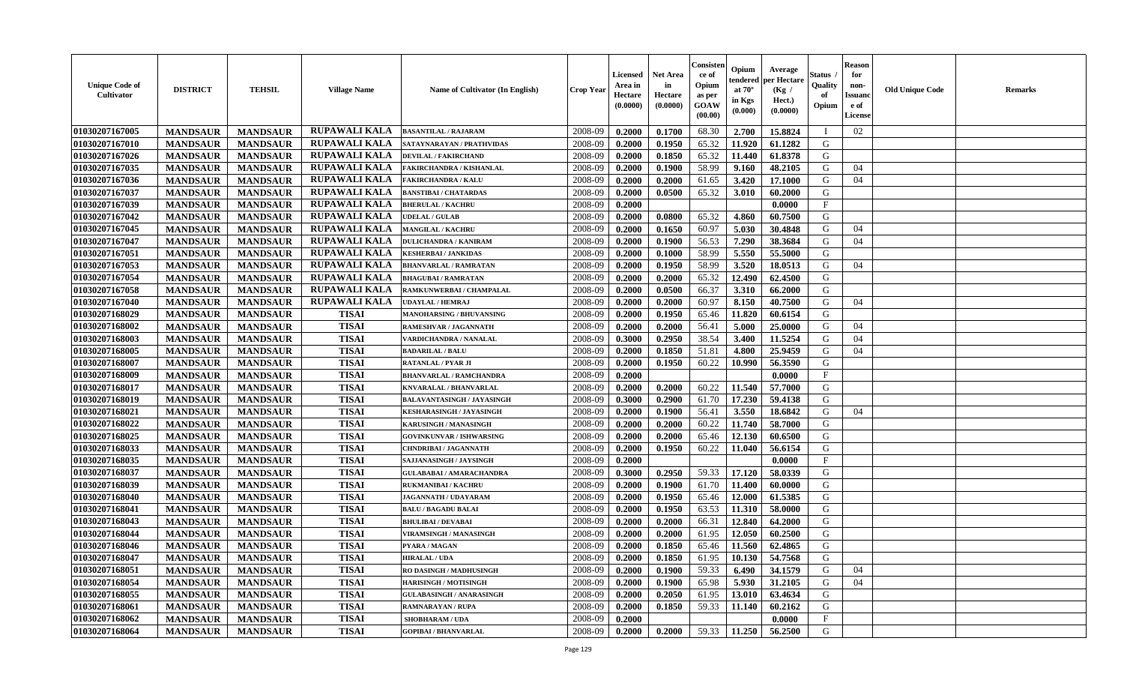| <b>Unique Code of</b><br><b>Cultivator</b> | <b>DISTRICT</b> | <b>TEHSIL</b>   | <b>Village Name</b>  | <b>Name of Cultivator (In English)</b> | <b>Crop Year</b> | <b>Licensed</b><br>Area in<br>Hectare<br>(0.0000) | <b>Net Area</b><br>in<br>Hectare<br>(0.0000) | Consisteı<br>ce of<br>Opium<br>as per<br><b>GOAW</b><br>(00.00) | Opium<br>endered<br>at $70^\circ$<br>in Kgs<br>$(\mathbf{0.000})$ | Average<br>per Hectare<br>(Kg /<br>Hect.)<br>(0.0000) | Status<br>Quality<br>of<br>Opium | Reason<br>for<br>non-<br>Issuan<br>e of<br><b>License</b> | <b>Old Unique Code</b> | <b>Remarks</b> |
|--------------------------------------------|-----------------|-----------------|----------------------|----------------------------------------|------------------|---------------------------------------------------|----------------------------------------------|-----------------------------------------------------------------|-------------------------------------------------------------------|-------------------------------------------------------|----------------------------------|-----------------------------------------------------------|------------------------|----------------|
| 01030207167005                             | <b>MANDSAUR</b> | <b>MANDSAUR</b> | RUPAWALI KALA        | <b>BASANTILAL / RAJARAM</b>            | 2008-09          | 0.2000                                            | 0.1700                                       | 68.30                                                           | 2.700                                                             | 15.8824                                               |                                  | 02                                                        |                        |                |
| 01030207167010                             | <b>MANDSAUR</b> | <b>MANDSAUR</b> | <b>RUPAWALI KALA</b> | SATAYNARAYAN / PRATHVIDAS              | 2008-09          | 0.2000                                            | 0.1950                                       | 65.32                                                           | 11.920                                                            | 61.1282                                               | G                                |                                                           |                        |                |
| 01030207167026                             | <b>MANDSAUR</b> | <b>MANDSAUR</b> | <b>RUPAWALI KALA</b> | <b>DEVILAL / FAKIRCHAND</b>            | 2008-09          | 0.2000                                            | 0.1850                                       | 65.32                                                           | 11.440                                                            | 61.8378                                               | G                                |                                                           |                        |                |
| 01030207167035                             | <b>MANDSAUR</b> | <b>MANDSAUR</b> | <b>RUPAWALI KALA</b> | FAKIRCHANDRA / KISHANLAL               | 2008-09          | 0.2000                                            | 0.1900                                       | 58.99                                                           | 9.160                                                             | 48.2105                                               | G                                | 04                                                        |                        |                |
| 01030207167036                             | <b>MANDSAUR</b> | <b>MANDSAUR</b> | RUPAWALI KALA        | <b>FAKIRCHANDRA / KALU</b>             | 2008-09          | 0.2000                                            | 0.2000                                       | 61.65                                                           | 3.420                                                             | 17.1000                                               | G                                | 04                                                        |                        |                |
| 01030207167037                             | <b>MANDSAUR</b> | <b>MANDSAUR</b> | <b>RUPAWALI KALA</b> | <b>BANSTIBAI / CHATARDAS</b>           | 2008-09          | 0.2000                                            | 0.0500                                       | 65.32                                                           | 3.010                                                             | 60.2000                                               | G                                |                                                           |                        |                |
| 01030207167039                             | <b>MANDSAUR</b> | <b>MANDSAUR</b> | <b>RUPAWALI KALA</b> | <b>BHERULAL / KACHRU</b>               | 2008-09          | 0.2000                                            |                                              |                                                                 |                                                                   | 0.0000                                                | $\mathbf{F}$                     |                                                           |                        |                |
| 01030207167042                             | <b>MANDSAUR</b> | <b>MANDSAUR</b> | <b>RUPAWALI KALA</b> | <b>UDELAL / GULAB</b>                  | 2008-09          | 0.2000                                            | 0.0800                                       | 65.32                                                           | 4.860                                                             | 60.7500                                               | G                                |                                                           |                        |                |
| 01030207167045                             | <b>MANDSAUR</b> | <b>MANDSAUR</b> | <b>RUPAWALI KALA</b> | <b>MANGILAL / KACHRU</b>               | 2008-09          | 0.2000                                            | 0.1650                                       | 60.97                                                           | 5.030                                                             | 30.4848                                               | G                                | 04                                                        |                        |                |
| 01030207167047                             | <b>MANDSAUR</b> | <b>MANDSAUR</b> | <b>RUPAWALI KALA</b> | <b>DULICHANDRA / KANIRAM</b>           | 2008-09          | 0.2000                                            | 0.1900                                       | 56.53                                                           | 7.290                                                             | 38.3684                                               | G                                | 04                                                        |                        |                |
| 01030207167051                             | <b>MANDSAUR</b> | <b>MANDSAUR</b> | <b>RUPAWALI KALA</b> | <b>KESHERBAI / JANKIDAS</b>            | 2008-09          | 0.2000                                            | 0.1000                                       | 58.99                                                           | 5.550                                                             | 55.5000                                               | G                                |                                                           |                        |                |
| 01030207167053                             | <b>MANDSAUR</b> | <b>MANDSAUR</b> | <b>RUPAWALI KALA</b> | <b>BHANVARLAL / RAMRATAN</b>           | 2008-09          | 0.2000                                            | 0.1950                                       | 58.99                                                           | 3.520                                                             | 18.0513                                               | G                                | 04                                                        |                        |                |
| 01030207167054                             | <b>MANDSAUR</b> | <b>MANDSAUR</b> | <b>RUPAWALI KALA</b> | <b>BHAGUBAI/RAMRATAN</b>               | 2008-09          | 0.2000                                            | 0.2000                                       | 65.32                                                           | 12.490                                                            | 62.4500                                               | G                                |                                                           |                        |                |
| 01030207167058                             | <b>MANDSAUR</b> | <b>MANDSAUR</b> | <b>RUPAWALI KALA</b> | RAMKUNWERBAI / CHAMPALAL               | 2008-09          | 0.2000                                            | 0.0500                                       | 66.37                                                           | 3.310                                                             | 66.2000                                               | G                                |                                                           |                        |                |
| 01030207167040                             | <b>MANDSAUR</b> | <b>MANDSAUR</b> | <b>RUPAWALI KALA</b> | <b>UDAYLAL / HEMRAJ</b>                | 2008-09          | 0.2000                                            | 0.2000                                       | 60.97                                                           | 8.150                                                             | 40.7500                                               | G                                | 04                                                        |                        |                |
| 01030207168029                             | <b>MANDSAUR</b> | <b>MANDSAUR</b> | <b>TISAI</b>         | <b>MANOHARSING / BHUVANSING</b>        | 2008-09          | 0.2000                                            | 0.1950                                       | 65.46                                                           | 11.820                                                            | 60.6154                                               | G                                |                                                           |                        |                |
| 01030207168002                             | <b>MANDSAUR</b> | <b>MANDSAUR</b> | <b>TISAI</b>         | RAMESHVAR / JAGANNATH                  | 2008-09          | 0.2000                                            | 0.2000                                       | 56.41                                                           | 5.000                                                             | 25.0000                                               | G                                | 04                                                        |                        |                |
| 01030207168003                             | <b>MANDSAUR</b> | <b>MANDSAUR</b> | <b>TISAI</b>         | VARDICHANDRA / NANALAL                 | 2008-09          | 0.3000                                            | 0.2950                                       | 38.54                                                           | 3.400                                                             | 11.5254                                               | G                                | 04                                                        |                        |                |
| 01030207168005                             | <b>MANDSAUR</b> | <b>MANDSAUR</b> | <b>TISAI</b>         | <b>BADARILAL / BALU</b>                | 2008-09          | 0.2000                                            | 0.1850                                       | 51.81                                                           | 4.800                                                             | 25.9459                                               | G                                | 04                                                        |                        |                |
| 01030207168007                             | <b>MANDSAUR</b> | <b>MANDSAUR</b> | <b>TISAI</b>         | <b>RATANLAL / PYAR JI</b>              | 2008-09          | 0.2000                                            | 0.1950                                       | 60.22                                                           | 10.990                                                            | 56.3590                                               | G                                |                                                           |                        |                |
| 01030207168009                             | <b>MANDSAUR</b> | <b>MANDSAUR</b> | <b>TISAI</b>         | <b>BHANVARLAL / RAMCHANDRA</b>         | 2008-09          | 0.2000                                            |                                              |                                                                 |                                                                   | 0.0000                                                | F                                |                                                           |                        |                |
| 01030207168017                             | <b>MANDSAUR</b> | <b>MANDSAUR</b> | <b>TISAI</b>         | KNVARALAL / BHANVARLAL                 | 2008-09          | 0.2000                                            | 0.2000                                       | 60.22                                                           | 11.540                                                            | 57.7000                                               | G                                |                                                           |                        |                |
| 01030207168019                             | <b>MANDSAUR</b> | <b>MANDSAUR</b> | <b>TISAI</b>         | BALAVANTASINGH / JAYASINGH             | 2008-09          | 0.3000                                            | 0.2900                                       | 61.70                                                           | 17.230                                                            | 59.4138                                               | G                                |                                                           |                        |                |
| 01030207168021                             | <b>MANDSAUR</b> | <b>MANDSAUR</b> | <b>TISAI</b>         | <b>KESHARASINGH / JAYASINGH</b>        | 2008-09          | 0.2000                                            | 0.1900                                       | 56.41                                                           | 3.550                                                             | 18.6842                                               | G                                | 04                                                        |                        |                |
| 01030207168022                             | <b>MANDSAUR</b> | <b>MANDSAUR</b> | <b>TISAI</b>         | KARUSINGH / MANASINGH                  | 2008-09          | 0.2000                                            | 0.2000                                       | 60.22                                                           | 11.740                                                            | 58.7000                                               | G                                |                                                           |                        |                |
| 01030207168025                             | <b>MANDSAUR</b> | <b>MANDSAUR</b> | <b>TISAI</b>         | <b>GOVINKUNVAR / ISHWARSING</b>        | 2008-09          | 0.2000                                            | 0.2000                                       | 65.46                                                           | 12.130                                                            | 60.6500                                               | G                                |                                                           |                        |                |
| 01030207168033                             | <b>MANDSAUR</b> | <b>MANDSAUR</b> | <b>TISAI</b>         | CHNDRIBAI / JAGANNATH                  | 2008-09          | 0.2000                                            | 0.1950                                       | 60.22                                                           | 11.040                                                            | 56.6154                                               | G                                |                                                           |                        |                |
| 01030207168035                             | <b>MANDSAUR</b> | <b>MANDSAUR</b> | <b>TISAI</b>         | SAJJANASINGH / JAYSINGH                | 2008-09          | 0.2000                                            |                                              |                                                                 |                                                                   | 0.0000                                                | $\mathbf{F}$                     |                                                           |                        |                |
| 01030207168037                             | <b>MANDSAUR</b> | <b>MANDSAUR</b> | <b>TISAI</b>         | <b>GULABABAI / AMARACHANDRA</b>        | 2008-09          | 0.3000                                            | 0.2950                                       | 59.33                                                           | 17.120                                                            | 58.0339                                               | G                                |                                                           |                        |                |
| 01030207168039                             | <b>MANDSAUR</b> | <b>MANDSAUR</b> | <b>TISAI</b>         | <b>RUKMANIBAI / KACHRU</b>             | 2008-09          | 0.2000                                            | 0.1900                                       | 61.70                                                           | 11.400                                                            | 60.0000                                               | G                                |                                                           |                        |                |
| 01030207168040                             | <b>MANDSAUR</b> | <b>MANDSAUR</b> | <b>TISAI</b>         | JAGANNATH / UDAYARAM                   | 2008-09          | 0.2000                                            | 0.1950                                       | 65.46                                                           | 12.000                                                            | 61.5385                                               | G                                |                                                           |                        |                |
| 01030207168041                             | <b>MANDSAUR</b> | <b>MANDSAUR</b> | <b>TISAI</b>         | <b>BALU / BAGADU BALAI</b>             | 2008-09          | 0.2000                                            | 0.1950                                       | 63.53                                                           | 11.310                                                            | 58.0000                                               | G                                |                                                           |                        |                |
| 01030207168043                             | <b>MANDSAUR</b> | <b>MANDSAUR</b> | <b>TISAI</b>         | <b>BHULIBAI / DEVABAI</b>              | 2008-09          | 0.2000                                            | 0.2000                                       | 66.31                                                           | 12.840                                                            | 64.2000                                               | G                                |                                                           |                        |                |
| 01030207168044                             | <b>MANDSAUR</b> | <b>MANDSAUR</b> | <b>TISAI</b>         | <b>VIRAMSINGH / MANASINGH</b>          | 2008-09          | 0.2000                                            | 0.2000                                       | 61.95                                                           | 12.050                                                            | 60.2500                                               | G                                |                                                           |                        |                |
| 01030207168046                             | <b>MANDSAUR</b> | <b>MANDSAUR</b> | <b>TISAI</b>         | PYARA / MAGAN                          | 2008-09          | 0.2000                                            | 0.1850                                       | 65.46                                                           | 11.560                                                            | 62.4865                                               | G                                |                                                           |                        |                |
| 01030207168047                             | <b>MANDSAUR</b> | <b>MANDSAUR</b> | TISAI                | <b>HIRALAL / UDA</b>                   | 2008-09          | 0.2000                                            | 0.1850                                       | 61.95                                                           |                                                                   | $10.130$   54.7568                                    | G                                |                                                           |                        |                |
| 01030207168051                             | <b>MANDSAUR</b> | <b>MANDSAUR</b> | <b>TISAI</b>         | RO DASINGH / MADHUSINGH                | 2008-09          | 0.2000                                            | 0.1900                                       | 59.33                                                           | 6.490                                                             | 34.1579                                               | G                                | 04                                                        |                        |                |
| 01030207168054                             | <b>MANDSAUR</b> | <b>MANDSAUR</b> | <b>TISAI</b>         | <b>HARISINGH / MOTISINGH</b>           | 2008-09          | 0.2000                                            | 0.1900                                       | 65.98                                                           | 5.930                                                             | 31.2105                                               | G                                | 04                                                        |                        |                |
| 01030207168055                             | <b>MANDSAUR</b> | <b>MANDSAUR</b> | <b>TISAI</b>         | <b>GULABASINGH / ANARASINGH</b>        | 2008-09          | 0.2000                                            | 0.2050                                       | 61.95                                                           | 13.010                                                            | 63.4634                                               | G                                |                                                           |                        |                |
| <b>01030207168061</b>                      | <b>MANDSAUR</b> | <b>MANDSAUR</b> | <b>TISAI</b>         | <b>RAMNARAYAN / RUPA</b>               | 2008-09          | 0.2000                                            | 0.1850                                       | 59.33                                                           | 11.140                                                            | 60.2162                                               | G                                |                                                           |                        |                |
| 01030207168062                             | <b>MANDSAUR</b> | <b>MANDSAUR</b> | <b>TISAI</b>         | SHOBHARAM / UDA                        | 2008-09          | 0.2000                                            |                                              |                                                                 |                                                                   | 0.0000                                                | $\mathbf{F}$                     |                                                           |                        |                |
| 01030207168064                             | <b>MANDSAUR</b> | <b>MANDSAUR</b> | <b>TISAI</b>         | <b>GOPIBAI/BHANVARLAL</b>              | 2008-09          | 0.2000                                            | 0.2000                                       | 59.33                                                           | 11.250                                                            | 56.2500                                               | G                                |                                                           |                        |                |